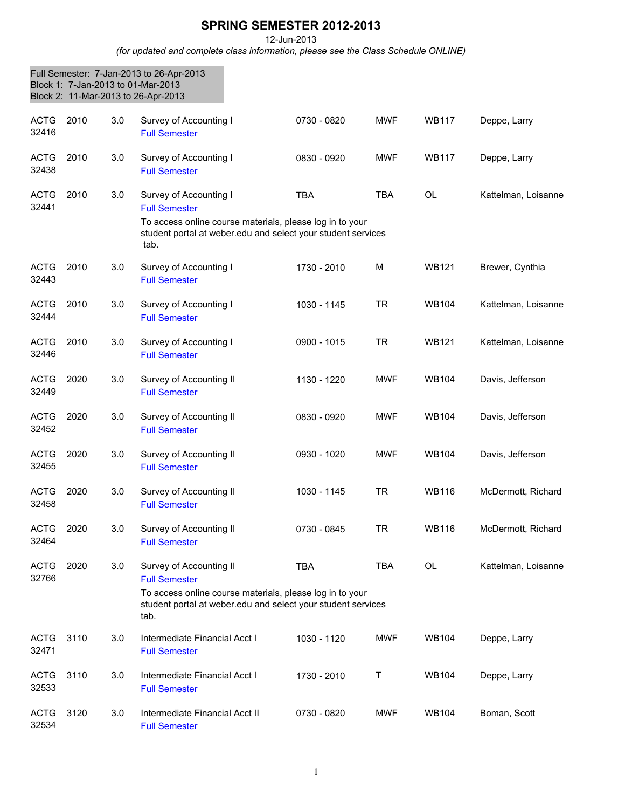## **SPRING SEMESTER 2012-2013**

12-Jun-2013

*(for updated and complete class information, please see the Class Schedule ONLINE)*

|                      |      |     | Full Semester: 7-Jan-2013 to 26-Apr-2013<br>Block 1: 7-Jan-2013 to 01-Mar-2013<br>Block 2: 11-Mar-2013 to 26-Apr-2013            |             |            |              |                     |
|----------------------|------|-----|----------------------------------------------------------------------------------------------------------------------------------|-------------|------------|--------------|---------------------|
| <b>ACTG</b><br>32416 | 2010 | 3.0 | Survey of Accounting I<br><b>Full Semester</b>                                                                                   | 0730 - 0820 | MWF        | <b>WB117</b> | Deppe, Larry        |
| <b>ACTG</b><br>32438 | 2010 | 3.0 | Survey of Accounting I<br><b>Full Semester</b>                                                                                   | 0830 - 0920 | <b>MWF</b> | <b>WB117</b> | Deppe, Larry        |
| <b>ACTG</b><br>32441 | 2010 | 3.0 | Survey of Accounting I<br><b>Full Semester</b>                                                                                   | <b>TBA</b>  | <b>TBA</b> | <b>OL</b>    | Kattelman, Loisanne |
|                      |      |     | To access online course materials, please log in to your<br>student portal at weber edu and select your student services<br>tab. |             |            |              |                     |
| <b>ACTG</b><br>32443 | 2010 | 3.0 | Survey of Accounting I<br><b>Full Semester</b>                                                                                   | 1730 - 2010 | м          | <b>WB121</b> | Brewer, Cynthia     |
| <b>ACTG</b><br>32444 | 2010 | 3.0 | Survey of Accounting I<br><b>Full Semester</b>                                                                                   | 1030 - 1145 | <b>TR</b>  | <b>WB104</b> | Kattelman, Loisanne |
| <b>ACTG</b><br>32446 | 2010 | 3.0 | Survey of Accounting I<br><b>Full Semester</b>                                                                                   | 0900 - 1015 | <b>TR</b>  | <b>WB121</b> | Kattelman, Loisanne |
| <b>ACTG</b><br>32449 | 2020 | 3.0 | Survey of Accounting II<br><b>Full Semester</b>                                                                                  | 1130 - 1220 | MWF        | WB104        | Davis, Jefferson    |
| <b>ACTG</b><br>32452 | 2020 | 3.0 | Survey of Accounting II<br><b>Full Semester</b>                                                                                  | 0830 - 0920 | MWF        | <b>WB104</b> | Davis, Jefferson    |
| <b>ACTG</b><br>32455 | 2020 | 3.0 | Survey of Accounting II<br><b>Full Semester</b>                                                                                  | 0930 - 1020 | MWF        | <b>WB104</b> | Davis, Jefferson    |
| <b>ACTG</b><br>32458 | 2020 | 3.0 | Survey of Accounting II<br><b>Full Semester</b>                                                                                  | 1030 - 1145 | TR         | <b>WB116</b> | McDermott, Richard  |
| <b>ACTG</b><br>32464 | 2020 | 3.0 | Survey of Accounting II<br><b>Full Semester</b>                                                                                  | 0730 - 0845 | <b>TR</b>  | <b>WB116</b> | McDermott, Richard  |
| <b>ACTG</b><br>32766 | 2020 | 3.0 | Survey of Accounting II<br><b>Full Semester</b>                                                                                  | <b>TBA</b>  | <b>TBA</b> | OL           | Kattelman, Loisanne |
|                      |      |     | To access online course materials, please log in to your<br>student portal at weber edu and select your student services<br>tab. |             |            |              |                     |
| <b>ACTG</b><br>32471 | 3110 | 3.0 | Intermediate Financial Acct I<br><b>Full Semester</b>                                                                            | 1030 - 1120 | <b>MWF</b> | <b>WB104</b> | Deppe, Larry        |
| <b>ACTG</b><br>32533 | 3110 | 3.0 | Intermediate Financial Acct I<br><b>Full Semester</b>                                                                            | 1730 - 2010 | Т          | WB104        | Deppe, Larry        |
| <b>ACTG</b><br>32534 | 3120 | 3.0 | Intermediate Financial Acct II<br><b>Full Semester</b>                                                                           | 0730 - 0820 | MWF        | <b>WB104</b> | Boman, Scott        |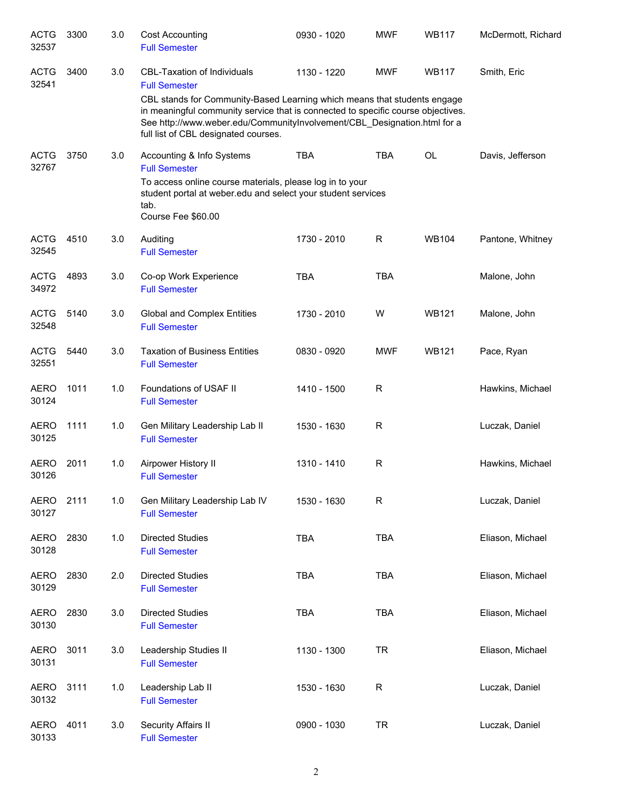| <b>ACTG</b><br>32537 | 3300 | 3.0 | <b>Cost Accounting</b><br><b>Full Semester</b>                                                                                                                                                                                                                                   | 0930 - 1020 | <b>MWF</b>   | <b>WB117</b> | McDermott, Richard |
|----------------------|------|-----|----------------------------------------------------------------------------------------------------------------------------------------------------------------------------------------------------------------------------------------------------------------------------------|-------------|--------------|--------------|--------------------|
| <b>ACTG</b><br>32541 | 3400 | 3.0 | <b>CBL-Taxation of Individuals</b><br><b>Full Semester</b>                                                                                                                                                                                                                       | 1130 - 1220 | <b>MWF</b>   | <b>WB117</b> | Smith, Eric        |
|                      |      |     | CBL stands for Community-Based Learning which means that students engage<br>in meaningful community service that is connected to specific course objectives.<br>See http://www.weber.edu/CommunityInvolvement/CBL_Designation.html for a<br>full list of CBL designated courses. |             |              |              |                    |
| <b>ACTG</b><br>32767 | 3750 | 3.0 | Accounting & Info Systems<br><b>Full Semester</b><br>To access online course materials, please log in to your<br>student portal at weber edu and select your student services<br>tab.<br>Course Fee \$60.00                                                                      | <b>TBA</b>  | <b>TBA</b>   | <b>OL</b>    | Davis, Jefferson   |
| <b>ACTG</b><br>32545 | 4510 | 3.0 | Auditing<br><b>Full Semester</b>                                                                                                                                                                                                                                                 | 1730 - 2010 | R            | <b>WB104</b> | Pantone, Whitney   |
| <b>ACTG</b><br>34972 | 4893 | 3.0 | Co-op Work Experience<br><b>Full Semester</b>                                                                                                                                                                                                                                    | <b>TBA</b>  | <b>TBA</b>   |              | Malone, John       |
| <b>ACTG</b><br>32548 | 5140 | 3.0 | <b>Global and Complex Entities</b><br><b>Full Semester</b>                                                                                                                                                                                                                       | 1730 - 2010 | W            | <b>WB121</b> | Malone, John       |
| <b>ACTG</b><br>32551 | 5440 | 3.0 | <b>Taxation of Business Entities</b><br><b>Full Semester</b>                                                                                                                                                                                                                     | 0830 - 0920 | <b>MWF</b>   | <b>WB121</b> | Pace, Ryan         |
| <b>AERO</b><br>30124 | 1011 | 1.0 | Foundations of USAF II<br><b>Full Semester</b>                                                                                                                                                                                                                                   | 1410 - 1500 | $\mathsf{R}$ |              | Hawkins, Michael   |
| <b>AERO</b><br>30125 | 1111 | 1.0 | Gen Military Leadership Lab II<br><b>Full Semester</b>                                                                                                                                                                                                                           | 1530 - 1630 | $\mathsf{R}$ |              | Luczak, Daniel     |
| <b>AERO</b><br>30126 | 2011 | 1.0 | Airpower History II<br><b>Full Semester</b>                                                                                                                                                                                                                                      | 1310 - 1410 | R            |              | Hawkins, Michael   |
| AERO<br>30127        | 2111 | 1.0 | Gen Military Leadership Lab IV<br><b>Full Semester</b>                                                                                                                                                                                                                           | 1530 - 1630 | R            |              | Luczak, Daniel     |
| <b>AERO</b><br>30128 | 2830 | 1.0 | <b>Directed Studies</b><br><b>Full Semester</b>                                                                                                                                                                                                                                  | <b>TBA</b>  | <b>TBA</b>   |              | Eliason, Michael   |
| <b>AERO</b><br>30129 | 2830 | 2.0 | <b>Directed Studies</b><br><b>Full Semester</b>                                                                                                                                                                                                                                  | <b>TBA</b>  | <b>TBA</b>   |              | Eliason, Michael   |
| <b>AERO</b><br>30130 | 2830 | 3.0 | <b>Directed Studies</b><br><b>Full Semester</b>                                                                                                                                                                                                                                  | <b>TBA</b>  | <b>TBA</b>   |              | Eliason, Michael   |
| <b>AERO</b><br>30131 | 3011 | 3.0 | Leadership Studies II<br><b>Full Semester</b>                                                                                                                                                                                                                                    | 1130 - 1300 | <b>TR</b>    |              | Eliason, Michael   |
| <b>AERO</b><br>30132 | 3111 | 1.0 | Leadership Lab II<br><b>Full Semester</b>                                                                                                                                                                                                                                        | 1530 - 1630 | R            |              | Luczak, Daniel     |
| <b>AERO</b><br>30133 | 4011 | 3.0 | Security Affairs II<br><b>Full Semester</b>                                                                                                                                                                                                                                      | 0900 - 1030 | <b>TR</b>    |              | Luczak, Daniel     |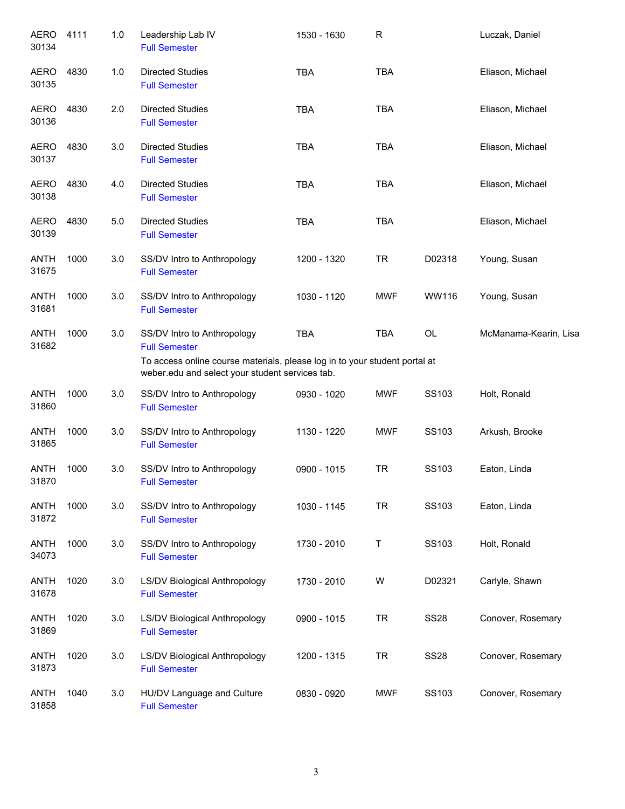| <b>AERO</b><br>30134 | 4111 | 1.0 | Leadership Lab IV<br><b>Full Semester</b>                                                                                                                                            | 1530 - 1630 | R          |             | Luczak, Daniel        |
|----------------------|------|-----|--------------------------------------------------------------------------------------------------------------------------------------------------------------------------------------|-------------|------------|-------------|-----------------------|
| <b>AERO</b><br>30135 | 4830 | 1.0 | <b>Directed Studies</b><br><b>Full Semester</b>                                                                                                                                      | <b>TBA</b>  | <b>TBA</b> |             | Eliason, Michael      |
| AERO<br>30136        | 4830 | 2.0 | <b>Directed Studies</b><br><b>Full Semester</b>                                                                                                                                      | <b>TBA</b>  | <b>TBA</b> |             | Eliason, Michael      |
| AERO<br>30137        | 4830 | 3.0 | <b>Directed Studies</b><br><b>Full Semester</b>                                                                                                                                      | <b>TBA</b>  | <b>TBA</b> |             | Eliason, Michael      |
| AERO<br>30138        | 4830 | 4.0 | <b>Directed Studies</b><br><b>Full Semester</b>                                                                                                                                      | <b>TBA</b>  | <b>TBA</b> |             | Eliason, Michael      |
| AERO<br>30139        | 4830 | 5.0 | <b>Directed Studies</b><br><b>Full Semester</b>                                                                                                                                      | <b>TBA</b>  | <b>TBA</b> |             | Eliason, Michael      |
| <b>ANTH</b><br>31675 | 1000 | 3.0 | SS/DV Intro to Anthropology<br><b>Full Semester</b>                                                                                                                                  | 1200 - 1320 | <b>TR</b>  | D02318      | Young, Susan          |
| <b>ANTH</b><br>31681 | 1000 | 3.0 | SS/DV Intro to Anthropology<br><b>Full Semester</b>                                                                                                                                  | 1030 - 1120 | <b>MWF</b> | WW116       | Young, Susan          |
| <b>ANTH</b><br>31682 | 1000 | 3.0 | SS/DV Intro to Anthropology<br><b>Full Semester</b><br>To access online course materials, please log in to your student portal at<br>weber.edu and select your student services tab. | <b>TBA</b>  | <b>TBA</b> | OL          | McManama-Kearin, Lisa |
| <b>ANTH</b><br>31860 | 1000 | 3.0 | SS/DV Intro to Anthropology<br><b>Full Semester</b>                                                                                                                                  | 0930 - 1020 | <b>MWF</b> | SS103       | Holt, Ronald          |
| <b>ANTH</b><br>31865 | 1000 | 3.0 | SS/DV Intro to Anthropology<br><b>Full Semester</b>                                                                                                                                  | 1130 - 1220 | <b>MWF</b> | SS103       | Arkush, Brooke        |
| <b>ANTH</b><br>31870 | 1000 | 3.0 | SS/DV Intro to Anthropology<br><b>Full Semester</b>                                                                                                                                  | 0900 - 1015 | <b>TR</b>  | SS103       | Eaton, Linda          |
| <b>ANTH</b><br>31872 | 1000 | 3.0 | SS/DV Intro to Anthropology<br><b>Full Semester</b>                                                                                                                                  | 1030 - 1145 | <b>TR</b>  | SS103       | Eaton, Linda          |
| <b>ANTH</b><br>34073 | 1000 | 3.0 | SS/DV Intro to Anthropology<br><b>Full Semester</b>                                                                                                                                  | 1730 - 2010 | Τ          | SS103       | Holt, Ronald          |
| <b>ANTH</b><br>31678 | 1020 | 3.0 | LS/DV Biological Anthropology<br><b>Full Semester</b>                                                                                                                                | 1730 - 2010 | W          | D02321      | Carlyle, Shawn        |
| <b>ANTH</b><br>31869 | 1020 | 3.0 | LS/DV Biological Anthropology<br><b>Full Semester</b>                                                                                                                                | 0900 - 1015 | <b>TR</b>  | <b>SS28</b> | Conover, Rosemary     |
| <b>ANTH</b><br>31873 | 1020 | 3.0 | LS/DV Biological Anthropology<br><b>Full Semester</b>                                                                                                                                | 1200 - 1315 | <b>TR</b>  | <b>SS28</b> | Conover, Rosemary     |
| <b>ANTH</b><br>31858 | 1040 | 3.0 | HU/DV Language and Culture<br><b>Full Semester</b>                                                                                                                                   | 0830 - 0920 | <b>MWF</b> | SS103       | Conover, Rosemary     |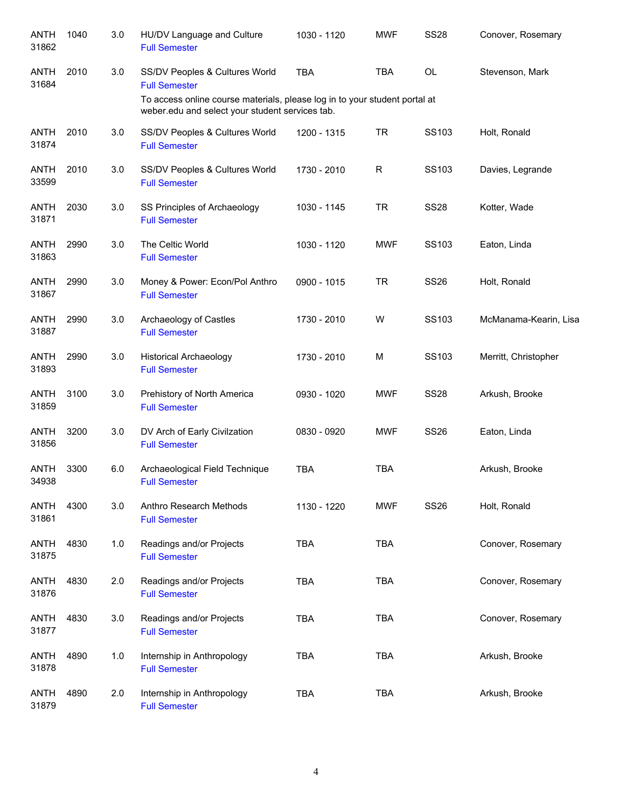| <b>ANTH</b><br>31862 | 1040 | 3.0 | HU/DV Language and Culture<br><b>Full Semester</b>                                                                            | 1030 - 1120 | <b>MWF</b>   | <b>SS28</b> | Conover, Rosemary     |
|----------------------|------|-----|-------------------------------------------------------------------------------------------------------------------------------|-------------|--------------|-------------|-----------------------|
| <b>ANTH</b><br>31684 | 2010 | 3.0 | SS/DV Peoples & Cultures World<br><b>Full Semester</b>                                                                        | <b>TBA</b>  | <b>TBA</b>   | OL          | Stevenson, Mark       |
|                      |      |     | To access online course materials, please log in to your student portal at<br>weber.edu and select your student services tab. |             |              |             |                       |
| <b>ANTH</b><br>31874 | 2010 | 3.0 | SS/DV Peoples & Cultures World<br><b>Full Semester</b>                                                                        | 1200 - 1315 | <b>TR</b>    | SS103       | Holt, Ronald          |
| <b>ANTH</b><br>33599 | 2010 | 3.0 | SS/DV Peoples & Cultures World<br><b>Full Semester</b>                                                                        | 1730 - 2010 | $\mathsf{R}$ | SS103       | Davies, Legrande      |
| <b>ANTH</b><br>31871 | 2030 | 3.0 | SS Principles of Archaeology<br><b>Full Semester</b>                                                                          | 1030 - 1145 | <b>TR</b>    | <b>SS28</b> | Kotter, Wade          |
| <b>ANTH</b><br>31863 | 2990 | 3.0 | The Celtic World<br><b>Full Semester</b>                                                                                      | 1030 - 1120 | <b>MWF</b>   | SS103       | Eaton, Linda          |
| <b>ANTH</b><br>31867 | 2990 | 3.0 | Money & Power: Econ/Pol Anthro<br><b>Full Semester</b>                                                                        | 0900 - 1015 | <b>TR</b>    | <b>SS26</b> | Holt, Ronald          |
| <b>ANTH</b><br>31887 | 2990 | 3.0 | Archaeology of Castles<br><b>Full Semester</b>                                                                                | 1730 - 2010 | W            | SS103       | McManama-Kearin, Lisa |
| <b>ANTH</b><br>31893 | 2990 | 3.0 | <b>Historical Archaeology</b><br><b>Full Semester</b>                                                                         | 1730 - 2010 | M            | SS103       | Merritt, Christopher  |
| <b>ANTH</b><br>31859 | 3100 | 3.0 | Prehistory of North America<br><b>Full Semester</b>                                                                           | 0930 - 1020 | <b>MWF</b>   | <b>SS28</b> | Arkush, Brooke        |
| <b>ANTH</b><br>31856 | 3200 | 3.0 | DV Arch of Early Civilzation<br><b>Full Semester</b>                                                                          | 0830 - 0920 | <b>MWF</b>   | <b>SS26</b> | Eaton, Linda          |
| <b>ANTH</b><br>34938 | 3300 | 6.0 | Archaeological Field Technique<br><b>Full Semester</b>                                                                        | <b>TBA</b>  | <b>TBA</b>   |             | Arkush, Brooke        |
| <b>ANTH</b><br>31861 | 4300 | 3.0 | Anthro Research Methods<br><b>Full Semester</b>                                                                               | 1130 - 1220 | <b>MWF</b>   | <b>SS26</b> | Holt, Ronald          |
| <b>ANTH</b><br>31875 | 4830 | 1.0 | Readings and/or Projects<br><b>Full Semester</b>                                                                              | <b>TBA</b>  | <b>TBA</b>   |             | Conover, Rosemary     |
| <b>ANTH</b><br>31876 | 4830 | 2.0 | Readings and/or Projects<br><b>Full Semester</b>                                                                              | <b>TBA</b>  | <b>TBA</b>   |             | Conover, Rosemary     |
| <b>ANTH</b><br>31877 | 4830 | 3.0 | Readings and/or Projects<br><b>Full Semester</b>                                                                              | <b>TBA</b>  | <b>TBA</b>   |             | Conover, Rosemary     |
| <b>ANTH</b><br>31878 | 4890 | 1.0 | Internship in Anthropology<br><b>Full Semester</b>                                                                            | <b>TBA</b>  | <b>TBA</b>   |             | Arkush, Brooke        |
| ANTH<br>31879        | 4890 | 2.0 | Internship in Anthropology<br><b>Full Semester</b>                                                                            | <b>TBA</b>  | <b>TBA</b>   |             | Arkush, Brooke        |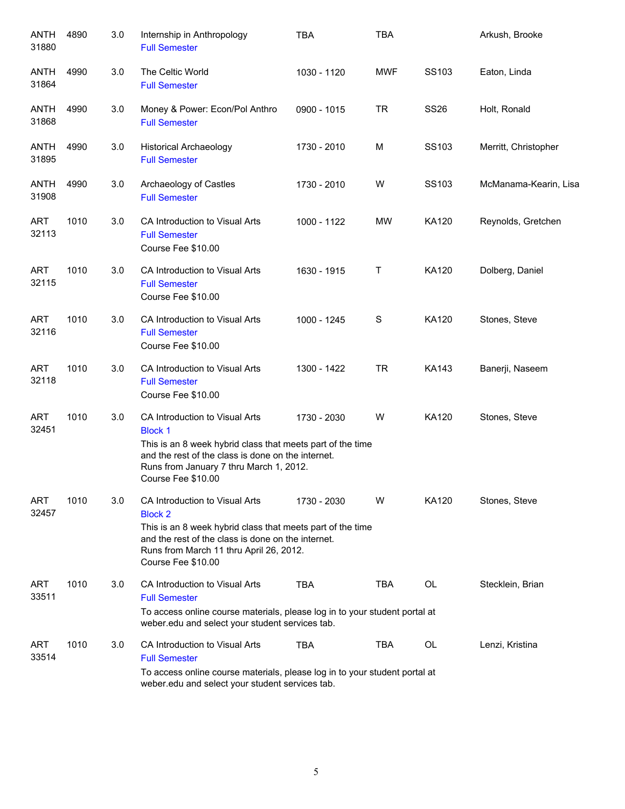| <b>ANTH</b><br>31880 | 4890 | 3.0 | Internship in Anthropology<br><b>Full Semester</b>                                                                                                                                                                                    | <b>TBA</b>  | <b>TBA</b>    |              | Arkush, Brooke        |
|----------------------|------|-----|---------------------------------------------------------------------------------------------------------------------------------------------------------------------------------------------------------------------------------------|-------------|---------------|--------------|-----------------------|
| ANTH<br>31864        | 4990 | 3.0 | The Celtic World<br><b>Full Semester</b>                                                                                                                                                                                              | 1030 - 1120 | <b>MWF</b>    | SS103        | Eaton, Linda          |
| ANTH<br>31868        | 4990 | 3.0 | Money & Power: Econ/Pol Anthro<br><b>Full Semester</b>                                                                                                                                                                                | 0900 - 1015 | <b>TR</b>     | <b>SS26</b>  | Holt, Ronald          |
| ANTH<br>31895        | 4990 | 3.0 | <b>Historical Archaeology</b><br><b>Full Semester</b>                                                                                                                                                                                 | 1730 - 2010 | M             | SS103        | Merritt, Christopher  |
| ANTH<br>31908        | 4990 | 3.0 | Archaeology of Castles<br><b>Full Semester</b>                                                                                                                                                                                        | 1730 - 2010 | W             | SS103        | McManama-Kearin, Lisa |
| <b>ART</b><br>32113  | 1010 | 3.0 | CA Introduction to Visual Arts<br><b>Full Semester</b><br>Course Fee \$10.00                                                                                                                                                          | 1000 - 1122 | <b>MW</b>     | KA120        | Reynolds, Gretchen    |
| <b>ART</b><br>32115  | 1010 | 3.0 | CA Introduction to Visual Arts<br><b>Full Semester</b><br>Course Fee \$10.00                                                                                                                                                          | 1630 - 1915 | Τ             | <b>KA120</b> | Dolberg, Daniel       |
| <b>ART</b><br>32116  | 1010 | 3.0 | CA Introduction to Visual Arts<br><b>Full Semester</b><br>Course Fee \$10.00                                                                                                                                                          | 1000 - 1245 | ${\mathsf S}$ | KA120        | Stones, Steve         |
| <b>ART</b><br>32118  | 1010 | 3.0 | CA Introduction to Visual Arts<br><b>Full Semester</b><br>Course Fee \$10.00                                                                                                                                                          | 1300 - 1422 | <b>TR</b>     | <b>KA143</b> | Banerji, Naseem       |
| <b>ART</b><br>32451  | 1010 | 3.0 | CA Introduction to Visual Arts<br><b>Block 1</b><br>This is an 8 week hybrid class that meets part of the time<br>and the rest of the class is done on the internet.<br>Runs from January 7 thru March 1, 2012.<br>Course Fee \$10.00 | 1730 - 2030 | W             | <b>KA120</b> | Stones, Steve         |
| ART<br>32457         | 1010 | 3.0 | CA Introduction to Visual Arts<br><b>Block 2</b><br>This is an 8 week hybrid class that meets part of the time<br>and the rest of the class is done on the internet.<br>Runs from March 11 thru April 26, 2012.<br>Course Fee \$10.00 | 1730 - 2030 | W             | KA120        | Stones, Steve         |
| ART<br>33511         | 1010 | 3.0 | CA Introduction to Visual Arts<br><b>Full Semester</b><br>To access online course materials, please log in to your student portal at                                                                                                  | <b>TBA</b>  | TBA           | OL           | Stecklein, Brian      |
|                      |      |     | weber.edu and select your student services tab.                                                                                                                                                                                       |             |               |              |                       |
| ART<br>33514         | 1010 | 3.0 | CA Introduction to Visual Arts<br><b>Full Semester</b>                                                                                                                                                                                | <b>TBA</b>  | TBA           | OL           | Lenzi, Kristina       |
|                      |      |     | To access online course materials, please log in to your student portal at<br>weber.edu and select your student services tab.                                                                                                         |             |               |              |                       |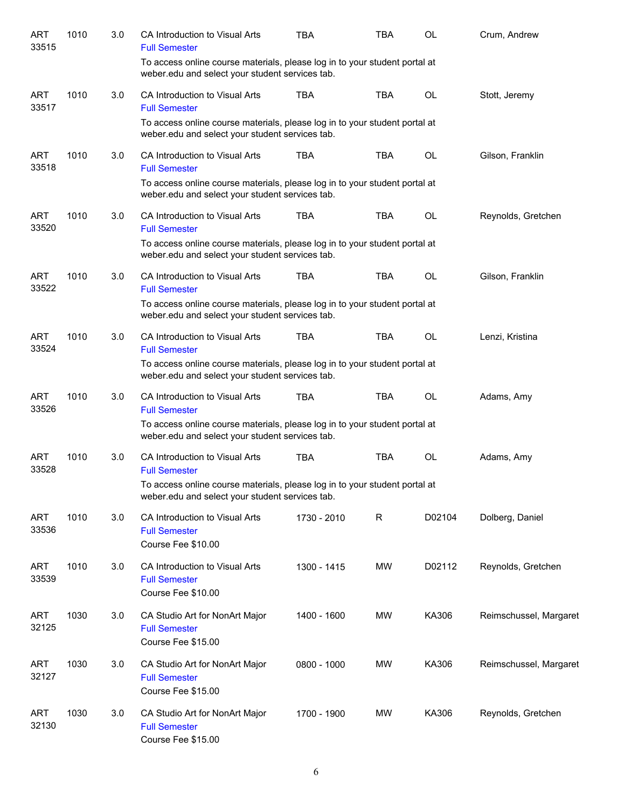| <b>ART</b><br>33515 | 1010 | 3.0 | CA Introduction to Visual Arts<br><b>Full Semester</b>                                                                        | <b>TBA</b>  | TBA          | <b>OL</b> | Crum, Andrew           |
|---------------------|------|-----|-------------------------------------------------------------------------------------------------------------------------------|-------------|--------------|-----------|------------------------|
|                     |      |     | To access online course materials, please log in to your student portal at<br>weber.edu and select your student services tab. |             |              |           |                        |
| <b>ART</b><br>33517 | 1010 | 3.0 | CA Introduction to Visual Arts<br><b>Full Semester</b>                                                                        | <b>TBA</b>  | <b>TBA</b>   | <b>OL</b> | Stott, Jeremy          |
|                     |      |     | To access online course materials, please log in to your student portal at<br>weber.edu and select your student services tab. |             |              |           |                        |
| ART<br>33518        | 1010 | 3.0 | CA Introduction to Visual Arts<br><b>Full Semester</b>                                                                        | <b>TBA</b>  | <b>TBA</b>   | <b>OL</b> | Gilson, Franklin       |
|                     |      |     | To access online course materials, please log in to your student portal at<br>weber.edu and select your student services tab. |             |              |           |                        |
| <b>ART</b><br>33520 | 1010 | 3.0 | CA Introduction to Visual Arts<br><b>Full Semester</b>                                                                        | <b>TBA</b>  | <b>TBA</b>   | <b>OL</b> | Reynolds, Gretchen     |
|                     |      |     | To access online course materials, please log in to your student portal at<br>weber.edu and select your student services tab. |             |              |           |                        |
| <b>ART</b><br>33522 | 1010 | 3.0 | CA Introduction to Visual Arts<br><b>Full Semester</b>                                                                        | <b>TBA</b>  | <b>TBA</b>   | OL        | Gilson, Franklin       |
|                     |      |     | To access online course materials, please log in to your student portal at<br>weber.edu and select your student services tab. |             |              |           |                        |
| <b>ART</b><br>33524 | 1010 | 3.0 | CA Introduction to Visual Arts<br><b>Full Semester</b>                                                                        | <b>TBA</b>  | <b>TBA</b>   | OL        | Lenzi, Kristina        |
|                     |      |     | To access online course materials, please log in to your student portal at<br>weber.edu and select your student services tab. |             |              |           |                        |
| <b>ART</b><br>33526 | 1010 | 3.0 | CA Introduction to Visual Arts<br><b>Full Semester</b>                                                                        | <b>TBA</b>  | <b>TBA</b>   | OL        | Adams, Amy             |
|                     |      |     | To access online course materials, please log in to your student portal at<br>weber.edu and select your student services tab. |             |              |           |                        |
| ART<br>33528        | 1010 | 3.0 | CA Introduction to Visual Arts<br><b>Full Semester</b>                                                                        | <b>TBA</b>  | <b>TBA</b>   | OL        | Adams, Amy             |
|                     |      |     | To access online course materials, please log in to your student portal at<br>weber.edu and select your student services tab. |             |              |           |                        |
| <b>ART</b><br>33536 | 1010 | 3.0 | CA Introduction to Visual Arts<br><b>Full Semester</b><br>Course Fee \$10.00                                                  | 1730 - 2010 | $\mathsf{R}$ | D02104    | Dolberg, Daniel        |
| <b>ART</b><br>33539 | 1010 | 3.0 | CA Introduction to Visual Arts<br><b>Full Semester</b><br>Course Fee \$10.00                                                  | 1300 - 1415 | <b>MW</b>    | D02112    | Reynolds, Gretchen     |
| <b>ART</b><br>32125 | 1030 | 3.0 | CA Studio Art for NonArt Major<br><b>Full Semester</b><br>Course Fee \$15.00                                                  | 1400 - 1600 | MW           | KA306     | Reimschussel, Margaret |
| <b>ART</b><br>32127 | 1030 | 3.0 | CA Studio Art for NonArt Major<br><b>Full Semester</b><br>Course Fee \$15.00                                                  | 0800 - 1000 | MW           | KA306     | Reimschussel, Margaret |
| <b>ART</b><br>32130 | 1030 | 3.0 | CA Studio Art for NonArt Major<br><b>Full Semester</b><br>Course Fee \$15.00                                                  | 1700 - 1900 | MW           | KA306     | Reynolds, Gretchen     |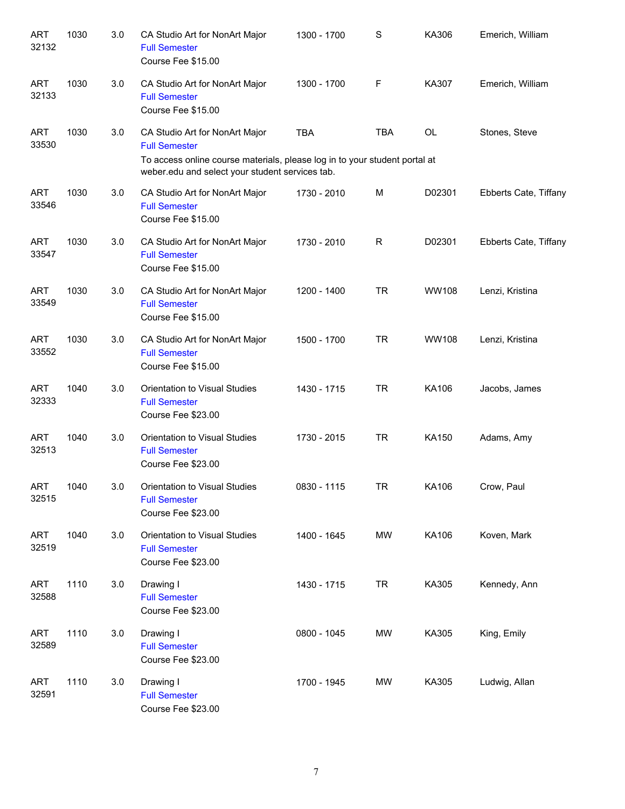| <b>ART</b><br>32132 | 1030 | 3.0 | CA Studio Art for NonArt Major<br><b>Full Semester</b><br>Course Fee \$15.00                                                                                                            | 1300 - 1700 | $\mathbf S$ | KA306        | Emerich, William      |
|---------------------|------|-----|-----------------------------------------------------------------------------------------------------------------------------------------------------------------------------------------|-------------|-------------|--------------|-----------------------|
| <b>ART</b><br>32133 | 1030 | 3.0 | CA Studio Art for NonArt Major<br><b>Full Semester</b><br>Course Fee \$15.00                                                                                                            | 1300 - 1700 | F           | KA307        | Emerich, William      |
| <b>ART</b><br>33530 | 1030 | 3.0 | CA Studio Art for NonArt Major<br><b>Full Semester</b><br>To access online course materials, please log in to your student portal at<br>weber.edu and select your student services tab. | <b>TBA</b>  | <b>TBA</b>  | OL           | Stones, Steve         |
| <b>ART</b><br>33546 | 1030 | 3.0 | CA Studio Art for NonArt Major<br><b>Full Semester</b><br>Course Fee \$15.00                                                                                                            | 1730 - 2010 | M           | D02301       | Ebberts Cate, Tiffany |
| <b>ART</b><br>33547 | 1030 | 3.0 | CA Studio Art for NonArt Major<br><b>Full Semester</b><br>Course Fee \$15.00                                                                                                            | 1730 - 2010 | R           | D02301       | Ebberts Cate, Tiffany |
| <b>ART</b><br>33549 | 1030 | 3.0 | CA Studio Art for NonArt Major<br><b>Full Semester</b><br>Course Fee \$15.00                                                                                                            | 1200 - 1400 | <b>TR</b>   | <b>WW108</b> | Lenzi, Kristina       |
| <b>ART</b><br>33552 | 1030 | 3.0 | CA Studio Art for NonArt Major<br><b>Full Semester</b><br>Course Fee \$15.00                                                                                                            | 1500 - 1700 | <b>TR</b>   | <b>WW108</b> | Lenzi, Kristina       |
| <b>ART</b><br>32333 | 1040 | 3.0 | Orientation to Visual Studies<br><b>Full Semester</b><br>Course Fee \$23.00                                                                                                             | 1430 - 1715 | <b>TR</b>   | KA106        | Jacobs, James         |
| <b>ART</b><br>32513 | 1040 | 3.0 | Orientation to Visual Studies<br><b>Full Semester</b><br>Course Fee \$23.00                                                                                                             | 1730 - 2015 | <b>TR</b>   | KA150        | Adams, Amy            |
| ART<br>32515        | 1040 | 3.0 | Orientation to Visual Studies<br><b>Full Semester</b><br>Course Fee \$23.00                                                                                                             | 0830 - 1115 | <b>TR</b>   | KA106        | Crow, Paul            |
| <b>ART</b><br>32519 | 1040 | 3.0 | Orientation to Visual Studies<br><b>Full Semester</b><br>Course Fee \$23.00                                                                                                             | 1400 - 1645 | MW          | KA106        | Koven, Mark           |
| <b>ART</b><br>32588 | 1110 | 3.0 | Drawing I<br><b>Full Semester</b><br>Course Fee \$23.00                                                                                                                                 | 1430 - 1715 | <b>TR</b>   | KA305        | Kennedy, Ann          |
| <b>ART</b><br>32589 | 1110 | 3.0 | Drawing I<br><b>Full Semester</b><br>Course Fee \$23.00                                                                                                                                 | 0800 - 1045 | MW          | KA305        | King, Emily           |
| <b>ART</b><br>32591 | 1110 | 3.0 | Drawing I<br><b>Full Semester</b><br>Course Fee \$23.00                                                                                                                                 | 1700 - 1945 | MW          | KA305        | Ludwig, Allan         |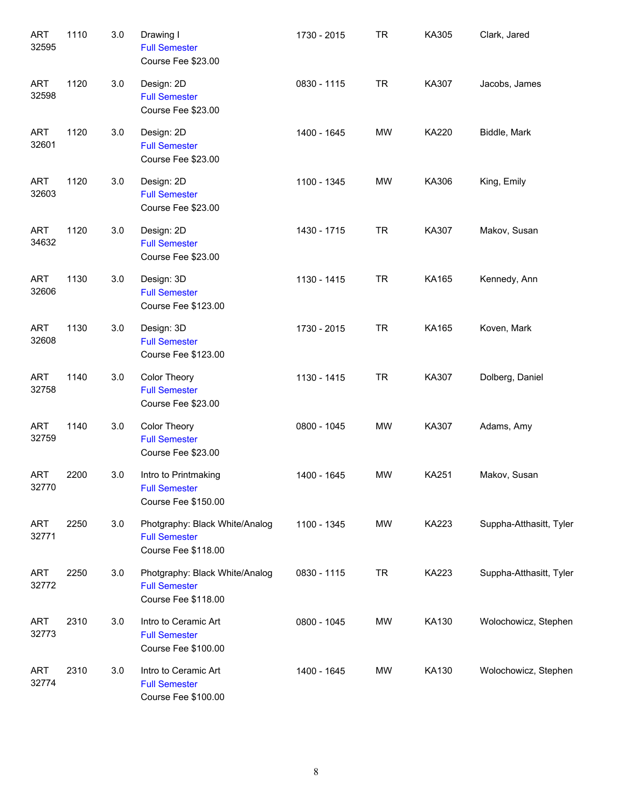| <b>ART</b><br>32595 | 1110 | 3.0 | Drawing I<br><b>Full Semester</b><br>Course Fee \$23.00                       | 1730 - 2015 | <b>TR</b> | KA305        | Clark, Jared            |
|---------------------|------|-----|-------------------------------------------------------------------------------|-------------|-----------|--------------|-------------------------|
| <b>ART</b><br>32598 | 1120 | 3.0 | Design: 2D<br><b>Full Semester</b><br>Course Fee \$23.00                      | 0830 - 1115 | <b>TR</b> | KA307        | Jacobs, James           |
| <b>ART</b><br>32601 | 1120 | 3.0 | Design: 2D<br><b>Full Semester</b><br>Course Fee \$23.00                      | 1400 - 1645 | <b>MW</b> | KA220        | Biddle, Mark            |
| <b>ART</b><br>32603 | 1120 | 3.0 | Design: 2D<br><b>Full Semester</b><br>Course Fee \$23.00                      | 1100 - 1345 | <b>MW</b> | KA306        | King, Emily             |
| <b>ART</b><br>34632 | 1120 | 3.0 | Design: 2D<br><b>Full Semester</b><br>Course Fee \$23.00                      | 1430 - 1715 | <b>TR</b> | KA307        | Makov, Susan            |
| <b>ART</b><br>32606 | 1130 | 3.0 | Design: 3D<br><b>Full Semester</b><br>Course Fee \$123.00                     | 1130 - 1415 | <b>TR</b> | KA165        | Kennedy, Ann            |
| <b>ART</b><br>32608 | 1130 | 3.0 | Design: 3D<br><b>Full Semester</b><br>Course Fee \$123.00                     | 1730 - 2015 | <b>TR</b> | KA165        | Koven, Mark             |
| <b>ART</b><br>32758 | 1140 | 3.0 | Color Theory<br><b>Full Semester</b><br>Course Fee \$23.00                    | 1130 - 1415 | <b>TR</b> | KA307        | Dolberg, Daniel         |
| <b>ART</b><br>32759 | 1140 | 3.0 | Color Theory<br><b>Full Semester</b><br>Course Fee \$23.00                    | 0800 - 1045 | <b>MW</b> | KA307        | Adams, Amy              |
| ART<br>32770        | 2200 | 3.0 | Intro to Printmaking<br><b>Full Semester</b><br>Course Fee \$150.00           | 1400 - 1645 | <b>MW</b> | <b>KA251</b> | Makov, Susan            |
| ART<br>32771        | 2250 | 3.0 | Photgraphy: Black White/Analog<br><b>Full Semester</b><br>Course Fee \$118.00 | 1100 - 1345 | MW        | KA223        | Suppha-Atthasitt, Tyler |
| ART<br>32772        | 2250 | 3.0 | Photgraphy: Black White/Analog<br><b>Full Semester</b><br>Course Fee \$118.00 | 0830 - 1115 | <b>TR</b> | KA223        | Suppha-Atthasitt, Tyler |
| ART<br>32773        | 2310 | 3.0 | Intro to Ceramic Art<br><b>Full Semester</b><br>Course Fee \$100.00           | 0800 - 1045 | MW        | KA130        | Wolochowicz, Stephen    |
| ART<br>32774        | 2310 | 3.0 | Intro to Ceramic Art<br><b>Full Semester</b><br>Course Fee \$100.00           | 1400 - 1645 | MW        | KA130        | Wolochowicz, Stephen    |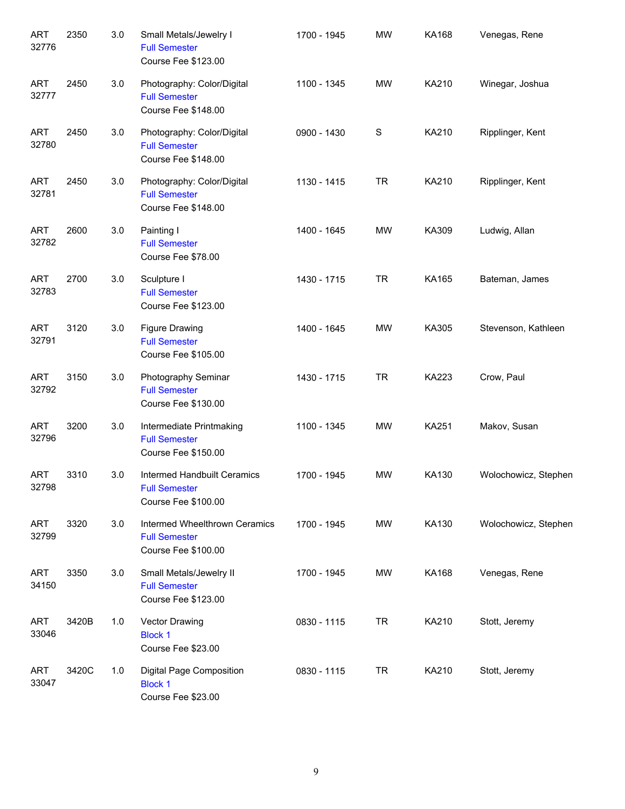| <b>ART</b><br>32776 | 2350  | 3.0 | Small Metals/Jewelry I<br><b>Full Semester</b><br><b>Course Fee \$123.00</b>      | 1700 - 1945 | <b>MW</b> | <b>KA168</b> | Venegas, Rene        |
|---------------------|-------|-----|-----------------------------------------------------------------------------------|-------------|-----------|--------------|----------------------|
| <b>ART</b><br>32777 | 2450  | 3.0 | Photography: Color/Digital<br><b>Full Semester</b><br>Course Fee \$148.00         | 1100 - 1345 | <b>MW</b> | KA210        | Winegar, Joshua      |
| <b>ART</b><br>32780 | 2450  | 3.0 | Photography: Color/Digital<br><b>Full Semester</b><br>Course Fee \$148.00         | 0900 - 1430 | S         | KA210        | Ripplinger, Kent     |
| <b>ART</b><br>32781 | 2450  | 3.0 | Photography: Color/Digital<br><b>Full Semester</b><br>Course Fee \$148.00         | 1130 - 1415 | <b>TR</b> | KA210        | Ripplinger, Kent     |
| <b>ART</b><br>32782 | 2600  | 3.0 | Painting I<br><b>Full Semester</b><br>Course Fee \$78.00                          | 1400 - 1645 | <b>MW</b> | KA309        | Ludwig, Allan        |
| <b>ART</b><br>32783 | 2700  | 3.0 | Sculpture I<br><b>Full Semester</b><br>Course Fee \$123.00                        | 1430 - 1715 | <b>TR</b> | KA165        | Bateman, James       |
| <b>ART</b><br>32791 | 3120  | 3.0 | <b>Figure Drawing</b><br><b>Full Semester</b><br>Course Fee \$105.00              | 1400 - 1645 | <b>MW</b> | KA305        | Stevenson, Kathleen  |
| <b>ART</b><br>32792 | 3150  | 3.0 | Photography Seminar<br><b>Full Semester</b><br>Course Fee \$130.00                | 1430 - 1715 | <b>TR</b> | KA223        | Crow, Paul           |
| <b>ART</b><br>32796 | 3200  | 3.0 | Intermediate Printmaking<br><b>Full Semester</b><br>Course Fee \$150.00           | 1100 - 1345 | <b>MW</b> | KA251        | Makov, Susan         |
| <b>ART</b><br>32798 | 3310  | 3.0 | <b>Intermed Handbuilt Ceramics</b><br><b>Full Semester</b><br>Course Fee \$100.00 | 1700 - 1945 | <b>MW</b> | KA130        | Wolochowicz, Stephen |
| <b>ART</b><br>32799 | 3320  | 3.0 | Intermed Wheelthrown Ceramics<br><b>Full Semester</b><br>Course Fee \$100.00      | 1700 - 1945 | MW        | KA130        | Wolochowicz, Stephen |
| <b>ART</b><br>34150 | 3350  | 3.0 | Small Metals/Jewelry II<br><b>Full Semester</b><br>Course Fee \$123.00            | 1700 - 1945 | MW        | KA168        | Venegas, Rene        |
| <b>ART</b><br>33046 | 3420B | 1.0 | Vector Drawing<br><b>Block 1</b><br>Course Fee \$23.00                            | 0830 - 1115 | <b>TR</b> | KA210        | Stott, Jeremy        |
| ART<br>33047        | 3420C | 1.0 | Digital Page Composition<br><b>Block 1</b><br>Course Fee \$23.00                  | 0830 - 1115 | <b>TR</b> | KA210        | Stott, Jeremy        |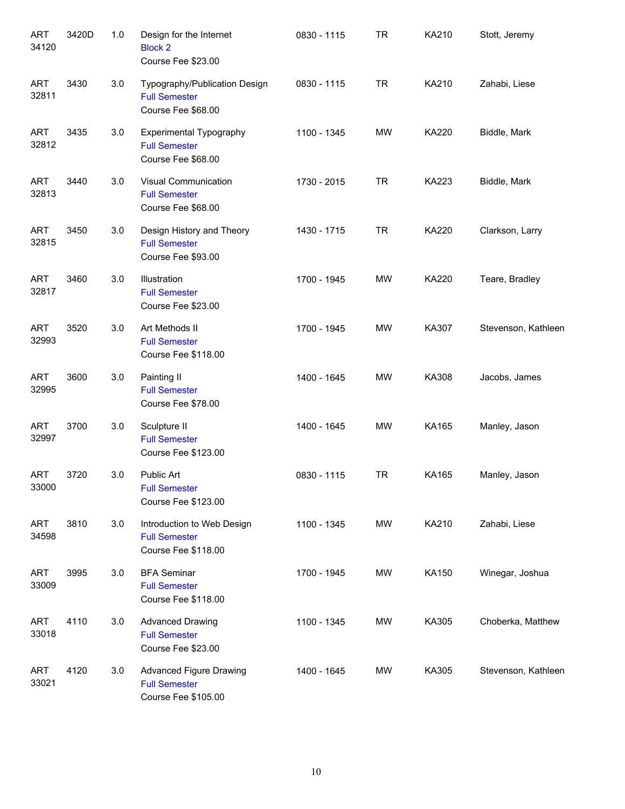| <b>ART</b><br>34120 | 3420D | 1.0 | Design for the Internet<br><b>Block 2</b><br>Course Fee \$23.00              | 0830 - 1115 | <b>TR</b> | KA210 | Stott, Jeremy       |
|---------------------|-------|-----|------------------------------------------------------------------------------|-------------|-----------|-------|---------------------|
| <b>ART</b><br>32811 | 3430  | 3.0 | Typography/Publication Design<br><b>Full Semester</b><br>Course Fee \$68.00  | 0830 - 1115 | <b>TR</b> | KA210 | Zahabi, Liese       |
| <b>ART</b><br>32812 | 3435  | 3.0 | <b>Experimental Typography</b><br><b>Full Semester</b><br>Course Fee \$68.00 | 1100 - 1345 | MW        | KA220 | Biddle, Mark        |
| <b>ART</b><br>32813 | 3440  | 3.0 | Visual Communication<br><b>Full Semester</b><br>Course Fee \$68.00           | 1730 - 2015 | <b>TR</b> | KA223 | Biddle, Mark        |
| <b>ART</b><br>32815 | 3450  | 3.0 | Design History and Theory<br><b>Full Semester</b><br>Course Fee \$93.00      | 1430 - 1715 | <b>TR</b> | KA220 | Clarkson, Larry     |
| <b>ART</b><br>32817 | 3460  | 3.0 | Illustration<br><b>Full Semester</b><br>Course Fee \$23.00                   | 1700 - 1945 | <b>MW</b> | KA220 | Teare, Bradley      |
| <b>ART</b><br>32993 | 3520  | 3.0 | Art Methods II<br><b>Full Semester</b><br>Course Fee \$118.00                | 1700 - 1945 | <b>MW</b> | KA307 | Stevenson, Kathleen |
| <b>ART</b><br>32995 | 3600  | 3.0 | Painting II<br><b>Full Semester</b><br>Course Fee \$78.00                    | 1400 - 1645 | <b>MW</b> | KA308 | Jacobs, James       |
| <b>ART</b><br>32997 | 3700  | 3.0 | Sculpture II<br><b>Full Semester</b><br>Course Fee \$123.00                  | 1400 - 1645 | <b>MW</b> | KA165 | Manley, Jason       |
| ART<br>33000        | 3720  | 3.0 | Public Art<br><b>Full Semester</b><br><b>Course Fee \$123.00</b>             | 0830 - 1115 | <b>TR</b> | KA165 | Manley, Jason       |
| ART<br>34598        | 3810  | 3.0 | Introduction to Web Design<br><b>Full Semester</b><br>Course Fee \$118.00    | 1100 - 1345 | MW        | KA210 | Zahabi, Liese       |
| ART<br>33009        | 3995  | 3.0 | <b>BFA Seminar</b><br><b>Full Semester</b><br>Course Fee \$118.00            | 1700 - 1945 | MW        | KA150 | Winegar, Joshua     |
| ART<br>33018        | 4110  | 3.0 | <b>Advanced Drawing</b><br><b>Full Semester</b><br>Course Fee \$23.00        | 1100 - 1345 | MW        | KA305 | Choberka, Matthew   |
| ART<br>33021        | 4120  | 3.0 | Advanced Figure Drawing<br><b>Full Semester</b><br>Course Fee \$105.00       | 1400 - 1645 | MW        | KA305 | Stevenson, Kathleen |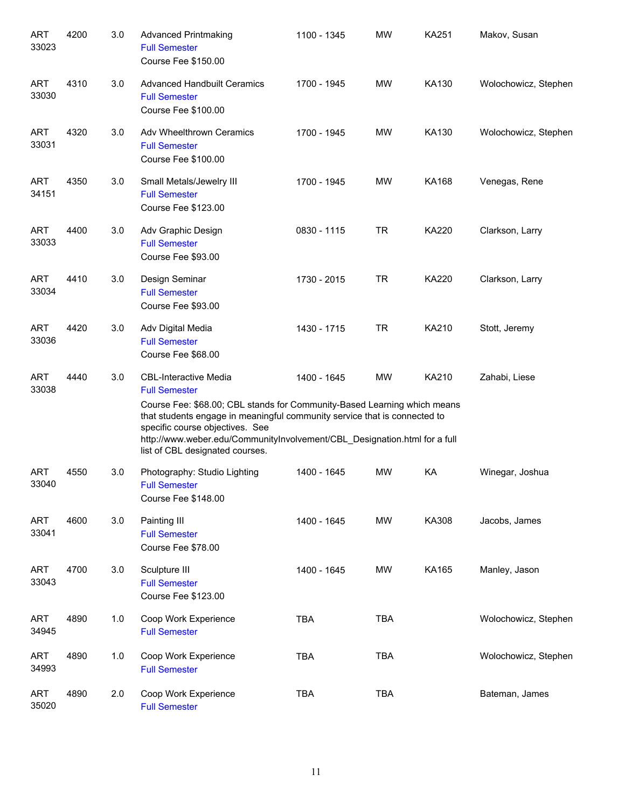| <b>ART</b><br>33023 | 4200 | 3.0 | <b>Advanced Printmaking</b><br><b>Full Semester</b><br>Course Fee \$150.00                                                                                                                                                                                                                                                                                       | 1100 - 1345 | <b>MW</b>  | KA251        | Makov, Susan         |
|---------------------|------|-----|------------------------------------------------------------------------------------------------------------------------------------------------------------------------------------------------------------------------------------------------------------------------------------------------------------------------------------------------------------------|-------------|------------|--------------|----------------------|
| ART<br>33030        | 4310 | 3.0 | <b>Advanced Handbuilt Ceramics</b><br><b>Full Semester</b><br>Course Fee \$100.00                                                                                                                                                                                                                                                                                | 1700 - 1945 | <b>MW</b>  | KA130        | Wolochowicz, Stephen |
| <b>ART</b><br>33031 | 4320 | 3.0 | Adv Wheelthrown Ceramics<br><b>Full Semester</b><br>Course Fee \$100.00                                                                                                                                                                                                                                                                                          | 1700 - 1945 | <b>MW</b>  | KA130        | Wolochowicz, Stephen |
| <b>ART</b><br>34151 | 4350 | 3.0 | Small Metals/Jewelry III<br><b>Full Semester</b><br>Course Fee \$123.00                                                                                                                                                                                                                                                                                          | 1700 - 1945 | <b>MW</b>  | <b>KA168</b> | Venegas, Rene        |
| <b>ART</b><br>33033 | 4400 | 3.0 | Adv Graphic Design<br><b>Full Semester</b><br>Course Fee \$93.00                                                                                                                                                                                                                                                                                                 | 0830 - 1115 | <b>TR</b>  | <b>KA220</b> | Clarkson, Larry      |
| <b>ART</b><br>33034 | 4410 | 3.0 | Design Seminar<br><b>Full Semester</b><br>Course Fee \$93.00                                                                                                                                                                                                                                                                                                     | 1730 - 2015 | <b>TR</b>  | <b>KA220</b> | Clarkson, Larry      |
| <b>ART</b><br>33036 | 4420 | 3.0 | Adv Digital Media<br><b>Full Semester</b><br>Course Fee \$68.00                                                                                                                                                                                                                                                                                                  | 1430 - 1715 | <b>TR</b>  | KA210        | Stott, Jeremy        |
| <b>ART</b><br>33038 | 4440 | 3.0 | <b>CBL-Interactive Media</b><br><b>Full Semester</b><br>Course Fee: \$68.00; CBL stands for Community-Based Learning which means<br>that students engage in meaningful community service that is connected to<br>specific course objectives. See<br>http://www.weber.edu/CommunityInvolvement/CBL_Designation.html for a full<br>list of CBL designated courses. | 1400 - 1645 | <b>MW</b>  | KA210        | Zahabi, Liese        |
| <b>ART</b><br>33040 | 4550 | 3.0 | Photography: Studio Lighting<br><b>Full Semester</b><br>Course Fee \$148.00                                                                                                                                                                                                                                                                                      | 1400 - 1645 | <b>MW</b>  | KA           | Winegar, Joshua      |
| <b>ART</b><br>33041 | 4600 | 3.0 | Painting III<br><b>Full Semester</b><br>Course Fee \$78.00                                                                                                                                                                                                                                                                                                       | 1400 - 1645 | <b>MW</b>  | KA308        | Jacobs, James        |
| <b>ART</b><br>33043 | 4700 | 3.0 | Sculpture III<br><b>Full Semester</b><br>Course Fee \$123.00                                                                                                                                                                                                                                                                                                     | 1400 - 1645 | <b>MW</b>  | KA165        | Manley, Jason        |
| <b>ART</b><br>34945 | 4890 | 1.0 | Coop Work Experience<br><b>Full Semester</b>                                                                                                                                                                                                                                                                                                                     | <b>TBA</b>  | <b>TBA</b> |              | Wolochowicz, Stephen |
| <b>ART</b><br>34993 | 4890 | 1.0 | Coop Work Experience<br><b>Full Semester</b>                                                                                                                                                                                                                                                                                                                     | <b>TBA</b>  | <b>TBA</b> |              | Wolochowicz, Stephen |
| <b>ART</b><br>35020 | 4890 | 2.0 | Coop Work Experience<br><b>Full Semester</b>                                                                                                                                                                                                                                                                                                                     | <b>TBA</b>  | <b>TBA</b> |              | Bateman, James       |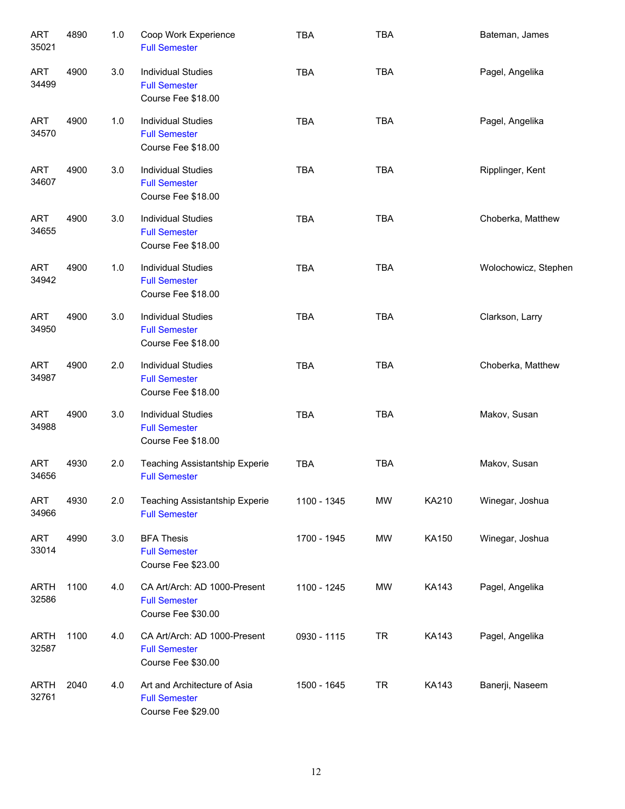| <b>ART</b><br>35021  | 4890 | 1.0 | Coop Work Experience<br><b>Full Semester</b>                               | <b>TBA</b>  | <b>TBA</b> |              | Bateman, James       |
|----------------------|------|-----|----------------------------------------------------------------------------|-------------|------------|--------------|----------------------|
| <b>ART</b><br>34499  | 4900 | 3.0 | <b>Individual Studies</b><br><b>Full Semester</b><br>Course Fee \$18.00    | <b>TBA</b>  | <b>TBA</b> |              | Pagel, Angelika      |
| <b>ART</b><br>34570  | 4900 | 1.0 | <b>Individual Studies</b><br><b>Full Semester</b><br>Course Fee \$18.00    | <b>TBA</b>  | <b>TBA</b> |              | Pagel, Angelika      |
| <b>ART</b><br>34607  | 4900 | 3.0 | <b>Individual Studies</b><br><b>Full Semester</b><br>Course Fee \$18.00    | <b>TBA</b>  | <b>TBA</b> |              | Ripplinger, Kent     |
| <b>ART</b><br>34655  | 4900 | 3.0 | <b>Individual Studies</b><br><b>Full Semester</b><br>Course Fee \$18.00    | <b>TBA</b>  | <b>TBA</b> |              | Choberka, Matthew    |
| <b>ART</b><br>34942  | 4900 | 1.0 | <b>Individual Studies</b><br><b>Full Semester</b><br>Course Fee \$18.00    | <b>TBA</b>  | <b>TBA</b> |              | Wolochowicz, Stephen |
| <b>ART</b><br>34950  | 4900 | 3.0 | <b>Individual Studies</b><br><b>Full Semester</b><br>Course Fee \$18.00    | <b>TBA</b>  | <b>TBA</b> |              | Clarkson, Larry      |
| <b>ART</b><br>34987  | 4900 | 2.0 | <b>Individual Studies</b><br><b>Full Semester</b><br>Course Fee \$18.00    | <b>TBA</b>  | <b>TBA</b> |              | Choberka, Matthew    |
| <b>ART</b><br>34988  | 4900 | 3.0 | <b>Individual Studies</b><br><b>Full Semester</b><br>Course Fee \$18.00    | <b>TBA</b>  | <b>TBA</b> |              | Makov, Susan         |
| <b>ART</b><br>34656  | 4930 | 2.0 | Teaching Assistantship Experie<br><b>Full Semester</b>                     | <b>TBA</b>  | <b>TBA</b> |              | Makov, Susan         |
| <b>ART</b><br>34966  | 4930 | 2.0 | <b>Teaching Assistantship Experie</b><br><b>Full Semester</b>              | 1100 - 1345 | <b>MW</b>  | KA210        | Winegar, Joshua      |
| <b>ART</b><br>33014  | 4990 | 3.0 | <b>BFA Thesis</b><br><b>Full Semester</b><br>Course Fee \$23.00            | 1700 - 1945 | <b>MW</b>  | KA150        | Winegar, Joshua      |
| <b>ARTH</b><br>32586 | 1100 | 4.0 | CA Art/Arch: AD 1000-Present<br><b>Full Semester</b><br>Course Fee \$30.00 | 1100 - 1245 | MW         | <b>KA143</b> | Pagel, Angelika      |
| <b>ARTH</b><br>32587 | 1100 | 4.0 | CA Art/Arch: AD 1000-Present<br><b>Full Semester</b><br>Course Fee \$30.00 | 0930 - 1115 | <b>TR</b>  | <b>KA143</b> | Pagel, Angelika      |
| <b>ARTH</b><br>32761 | 2040 | 4.0 | Art and Architecture of Asia<br><b>Full Semester</b><br>Course Fee \$29.00 | 1500 - 1645 | <b>TR</b>  | <b>KA143</b> | Banerji, Naseem      |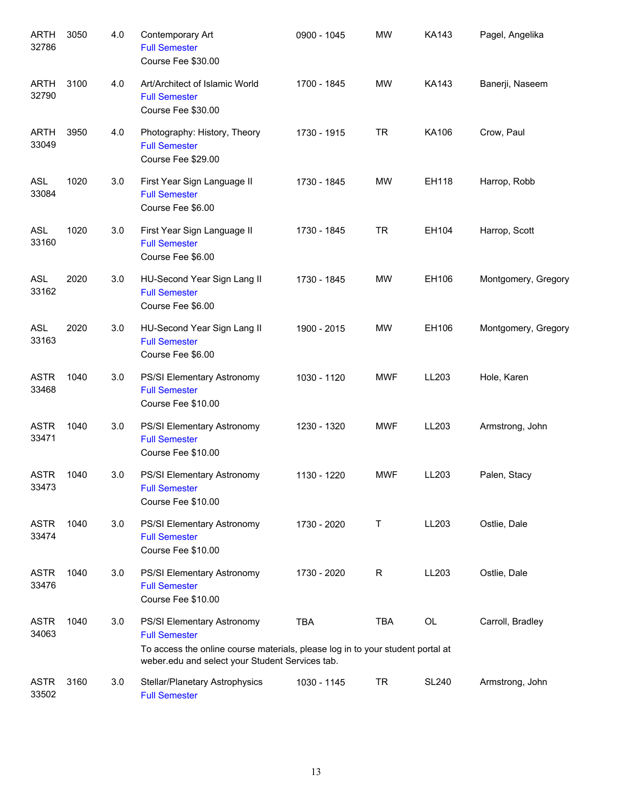| <b>ARTH</b><br>32786 | 3050 | 4.0 | Contemporary Art<br><b>Full Semester</b><br>Course Fee \$30.00                                                                                                                          | 0900 - 1045 | <b>MW</b>    | KA143        | Pagel, Angelika     |
|----------------------|------|-----|-----------------------------------------------------------------------------------------------------------------------------------------------------------------------------------------|-------------|--------------|--------------|---------------------|
| <b>ARTH</b><br>32790 | 3100 | 4.0 | Art/Architect of Islamic World<br><b>Full Semester</b><br>Course Fee \$30.00                                                                                                            | 1700 - 1845 | MW           | KA143        | Banerji, Naseem     |
| <b>ARTH</b><br>33049 | 3950 | 4.0 | Photography: History, Theory<br><b>Full Semester</b><br>Course Fee \$29.00                                                                                                              | 1730 - 1915 | <b>TR</b>    | KA106        | Crow, Paul          |
| <b>ASL</b><br>33084  | 1020 | 3.0 | First Year Sign Language II<br><b>Full Semester</b><br>Course Fee \$6.00                                                                                                                | 1730 - 1845 | MW           | EH118        | Harrop, Robb        |
| <b>ASL</b><br>33160  | 1020 | 3.0 | First Year Sign Language II<br><b>Full Semester</b><br>Course Fee \$6.00                                                                                                                | 1730 - 1845 | <b>TR</b>    | EH104        | Harrop, Scott       |
| <b>ASL</b><br>33162  | 2020 | 3.0 | HU-Second Year Sign Lang II<br><b>Full Semester</b><br>Course Fee \$6.00                                                                                                                | 1730 - 1845 | MW           | EH106        | Montgomery, Gregory |
| <b>ASL</b><br>33163  | 2020 | 3.0 | HU-Second Year Sign Lang II<br><b>Full Semester</b><br>Course Fee \$6.00                                                                                                                | 1900 - 2015 | MW           | EH106        | Montgomery, Gregory |
| <b>ASTR</b><br>33468 | 1040 | 3.0 | PS/SI Elementary Astronomy<br><b>Full Semester</b><br>Course Fee \$10.00                                                                                                                | 1030 - 1120 | <b>MWF</b>   | LL203        | Hole, Karen         |
| <b>ASTR</b><br>33471 | 1040 | 3.0 | PS/SI Elementary Astronomy<br><b>Full Semester</b><br>Course Fee \$10.00                                                                                                                | 1230 - 1320 | <b>MWF</b>   | LL203        | Armstrong, John     |
| <b>ASTR</b><br>33473 | 1040 | 3.0 | PS/SI Elementary Astronomy<br><b>Full Semester</b><br>Course Fee \$10.00                                                                                                                | 1130 - 1220 | <b>MWF</b>   | LL203        | Palen, Stacy        |
| <b>ASTR</b><br>33474 | 1040 | 3.0 | PS/SI Elementary Astronomy<br><b>Full Semester</b><br>Course Fee \$10.00                                                                                                                | 1730 - 2020 | $\sf T$      | LL203        | Ostlie, Dale        |
| <b>ASTR</b><br>33476 | 1040 | 3.0 | PS/SI Elementary Astronomy<br><b>Full Semester</b><br>Course Fee \$10.00                                                                                                                | 1730 - 2020 | $\mathsf{R}$ | LL203        | Ostlie, Dale        |
| <b>ASTR</b><br>34063 | 1040 | 3.0 | PS/SI Elementary Astronomy<br><b>Full Semester</b><br>To access the online course materials, please log in to your student portal at<br>weber.edu and select your Student Services tab. | <b>TBA</b>  | <b>TBA</b>   | OL           | Carroll, Bradley    |
| <b>ASTR</b><br>33502 | 3160 | 3.0 | Stellar/Planetary Astrophysics<br><b>Full Semester</b>                                                                                                                                  | 1030 - 1145 | <b>TR</b>    | <b>SL240</b> | Armstrong, John     |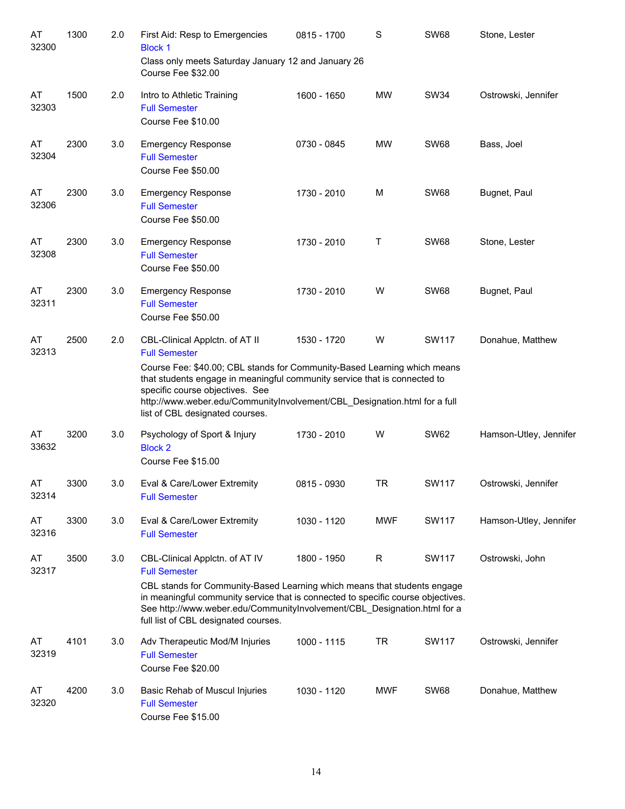| AT<br>32300 | 1300 | 2.0 | First Aid: Resp to Emergencies<br><b>Block 1</b><br>Class only meets Saturday January 12 and January 26<br>Course Fee \$32.00                                                                                                                                                                                                                                      | 0815 - 1700 | S          | <b>SW68</b>  | Stone, Lester          |
|-------------|------|-----|--------------------------------------------------------------------------------------------------------------------------------------------------------------------------------------------------------------------------------------------------------------------------------------------------------------------------------------------------------------------|-------------|------------|--------------|------------------------|
| AT<br>32303 | 1500 | 2.0 | Intro to Athletic Training<br><b>Full Semester</b><br>Course Fee \$10.00                                                                                                                                                                                                                                                                                           | 1600 - 1650 | MW         | <b>SW34</b>  | Ostrowski, Jennifer    |
| AT<br>32304 | 2300 | 3.0 | <b>Emergency Response</b><br><b>Full Semester</b><br>Course Fee \$50.00                                                                                                                                                                                                                                                                                            | 0730 - 0845 | MW         | <b>SW68</b>  | Bass, Joel             |
| AT<br>32306 | 2300 | 3.0 | <b>Emergency Response</b><br><b>Full Semester</b><br>Course Fee \$50.00                                                                                                                                                                                                                                                                                            | 1730 - 2010 | м          | <b>SW68</b>  | Bugnet, Paul           |
| AT<br>32308 | 2300 | 3.0 | <b>Emergency Response</b><br><b>Full Semester</b><br>Course Fee \$50.00                                                                                                                                                                                                                                                                                            | 1730 - 2010 | Τ          | <b>SW68</b>  | Stone, Lester          |
| AT<br>32311 | 2300 | 3.0 | <b>Emergency Response</b><br><b>Full Semester</b><br>Course Fee \$50.00                                                                                                                                                                                                                                                                                            | 1730 - 2010 | W          | <b>SW68</b>  | Bugnet, Paul           |
| AT<br>32313 | 2500 | 2.0 | CBL-Clinical Applctn. of AT II<br><b>Full Semester</b><br>Course Fee: \$40.00; CBL stands for Community-Based Learning which means<br>that students engage in meaningful community service that is connected to<br>specific course objectives. See<br>http://www.weber.edu/CommunityInvolvement/CBL_Designation.html for a full<br>list of CBL designated courses. | 1530 - 1720 | W          | SW117        | Donahue, Matthew       |
| AT<br>33632 | 3200 | 3.0 | Psychology of Sport & Injury<br><b>Block 2</b><br>Course Fee \$15.00                                                                                                                                                                                                                                                                                               | 1730 - 2010 | W          | <b>SW62</b>  | Hamson-Utley, Jennifer |
| AT<br>32314 | 3300 | 3.0 | Eval & Care/Lower Extremity<br><b>Full Semester</b>                                                                                                                                                                                                                                                                                                                | 0815 - 0930 | TR         | SW117        | Ostrowski, Jennifer    |
| AT<br>32316 | 3300 | 3.0 | Eval & Care/Lower Extremity<br><b>Full Semester</b>                                                                                                                                                                                                                                                                                                                | 1030 - 1120 | <b>MWF</b> | SW117        | Hamson-Utley, Jennifer |
| AT<br>32317 | 3500 | 3.0 | CBL-Clinical Applctn. of AT IV<br><b>Full Semester</b><br>CBL stands for Community-Based Learning which means that students engage<br>in meaningful community service that is connected to specific course objectives.<br>See http://www.weber.edu/CommunityInvolvement/CBL_Designation.html for a<br>full list of CBL designated courses.                         | 1800 - 1950 | R          | <b>SW117</b> | Ostrowski, John        |
| AT<br>32319 | 4101 | 3.0 | Adv Therapeutic Mod/M Injuries<br><b>Full Semester</b><br>Course Fee \$20.00                                                                                                                                                                                                                                                                                       | 1000 - 1115 | TR         | SW117        | Ostrowski, Jennifer    |
| AT<br>32320 | 4200 | 3.0 | Basic Rehab of Muscul Injuries<br><b>Full Semester</b><br>Course Fee \$15.00                                                                                                                                                                                                                                                                                       | 1030 - 1120 | <b>MWF</b> | <b>SW68</b>  | Donahue, Matthew       |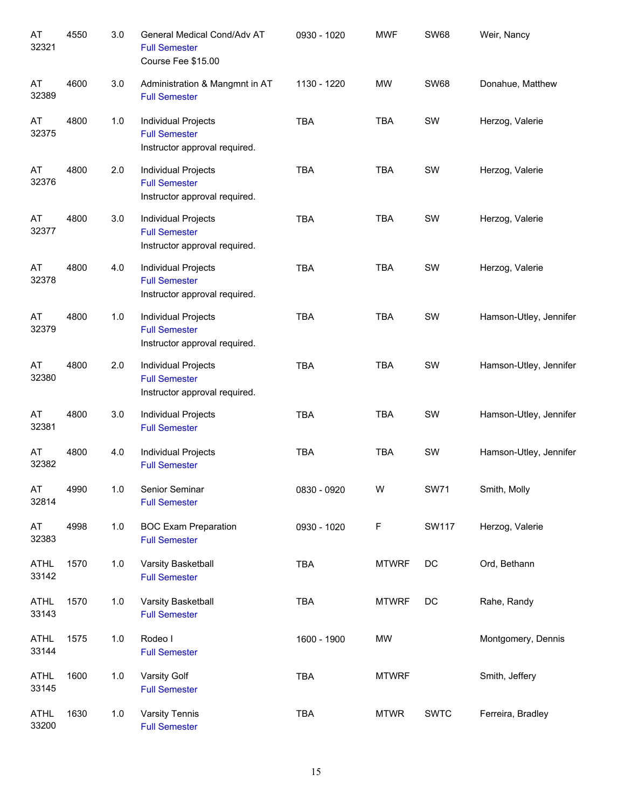| AT<br>32321          | 4550 | 3.0 | General Medical Cond/Adv AT<br><b>Full Semester</b><br>Course Fee \$15.00    | 0930 - 1020 | <b>MWF</b>   | <b>SW68</b>   | Weir, Nancy            |
|----------------------|------|-----|------------------------------------------------------------------------------|-------------|--------------|---------------|------------------------|
| AT<br>32389          | 4600 | 3.0 | Administration & Mangmnt in AT<br><b>Full Semester</b>                       | 1130 - 1220 | <b>MW</b>    | <b>SW68</b>   | Donahue, Matthew       |
| AT<br>32375          | 4800 | 1.0 | Individual Projects<br><b>Full Semester</b><br>Instructor approval required. | <b>TBA</b>  | <b>TBA</b>   | SW            | Herzog, Valerie        |
| AT<br>32376          | 4800 | 2.0 | Individual Projects<br><b>Full Semester</b><br>Instructor approval required. | <b>TBA</b>  | <b>TBA</b>   | SW            | Herzog, Valerie        |
| AT<br>32377          | 4800 | 3.0 | Individual Projects<br><b>Full Semester</b><br>Instructor approval required. | <b>TBA</b>  | <b>TBA</b>   | SW            | Herzog, Valerie        |
| AT<br>32378          | 4800 | 4.0 | Individual Projects<br><b>Full Semester</b><br>Instructor approval required. | <b>TBA</b>  | <b>TBA</b>   | SW            | Herzog, Valerie        |
| AT<br>32379          | 4800 | 1.0 | Individual Projects<br><b>Full Semester</b><br>Instructor approval required. | <b>TBA</b>  | <b>TBA</b>   | SW            | Hamson-Utley, Jennifer |
| AT<br>32380          | 4800 | 2.0 | Individual Projects<br><b>Full Semester</b><br>Instructor approval required. | <b>TBA</b>  | <b>TBA</b>   | SW            | Hamson-Utley, Jennifer |
| AT<br>32381          | 4800 | 3.0 | Individual Projects<br><b>Full Semester</b>                                  | <b>TBA</b>  | <b>TBA</b>   | SW            | Hamson-Utley, Jennifer |
| AT<br>32382          | 4800 | 4.0 | Individual Projects<br><b>Full Semester</b>                                  | <b>TBA</b>  | <b>TBA</b>   | SW            | Hamson-Utley, Jennifer |
| AT<br>32814          | 4990 | 1.0 | Senior Seminar<br><b>Full Semester</b>                                       | 0830 - 0920 | W            | <b>SW71</b>   | Smith, Molly           |
| AT<br>32383          | 4998 | 1.0 | <b>BOC Exam Preparation</b><br><b>Full Semester</b>                          | 0930 - 1020 | $\mathsf F$  | <b>SW117</b>  | Herzog, Valerie        |
| <b>ATHL</b><br>33142 | 1570 | 1.0 | Varsity Basketball<br><b>Full Semester</b>                                   | <b>TBA</b>  | <b>MTWRF</b> | DC            | Ord, Bethann           |
| <b>ATHL</b><br>33143 | 1570 | 1.0 | Varsity Basketball<br><b>Full Semester</b>                                   | <b>TBA</b>  | <b>MTWRF</b> | $\mathsf{DC}$ | Rahe, Randy            |
| <b>ATHL</b><br>33144 | 1575 | 1.0 | Rodeo I<br><b>Full Semester</b>                                              | 1600 - 1900 | <b>MW</b>    |               | Montgomery, Dennis     |
| <b>ATHL</b><br>33145 | 1600 | 1.0 | Varsity Golf<br><b>Full Semester</b>                                         | <b>TBA</b>  | <b>MTWRF</b> |               | Smith, Jeffery         |
| <b>ATHL</b><br>33200 | 1630 | 1.0 | <b>Varsity Tennis</b><br><b>Full Semester</b>                                | <b>TBA</b>  | <b>MTWR</b>  | <b>SWTC</b>   | Ferreira, Bradley      |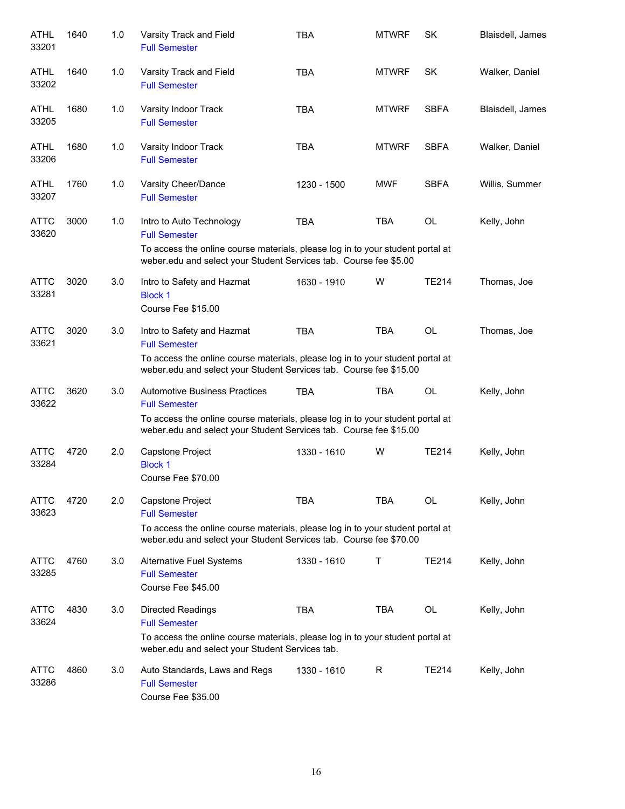| <b>ATHL</b><br>33201 | 1640 | 1.0 | Varsity Track and Field<br><b>Full Semester</b>                                                                                                                                                                      | <b>TBA</b>  | <b>MTWRF</b> | SK           | Blaisdell, James |
|----------------------|------|-----|----------------------------------------------------------------------------------------------------------------------------------------------------------------------------------------------------------------------|-------------|--------------|--------------|------------------|
| ATHL<br>33202        | 1640 | 1.0 | Varsity Track and Field<br><b>Full Semester</b>                                                                                                                                                                      | <b>TBA</b>  | <b>MTWRF</b> | <b>SK</b>    | Walker, Daniel   |
| ATHL<br>33205        | 1680 | 1.0 | Varsity Indoor Track<br><b>Full Semester</b>                                                                                                                                                                         | <b>TBA</b>  | <b>MTWRF</b> | <b>SBFA</b>  | Blaisdell, James |
| <b>ATHL</b><br>33206 | 1680 | 1.0 | Varsity Indoor Track<br><b>Full Semester</b>                                                                                                                                                                         | <b>TBA</b>  | <b>MTWRF</b> | <b>SBFA</b>  | Walker, Daniel   |
| ATHL<br>33207        | 1760 | 1.0 | Varsity Cheer/Dance<br><b>Full Semester</b>                                                                                                                                                                          | 1230 - 1500 | <b>MWF</b>   | <b>SBFA</b>  | Willis, Summer   |
| <b>ATTC</b><br>33620 | 3000 | 1.0 | Intro to Auto Technology<br><b>Full Semester</b><br>To access the online course materials, please log in to your student portal at                                                                                   | <b>TBA</b>  | <b>TBA</b>   | OL           | Kelly, John      |
|                      |      |     | weber.edu and select your Student Services tab. Course fee \$5.00                                                                                                                                                    |             |              |              |                  |
| <b>ATTC</b><br>33281 | 3020 | 3.0 | Intro to Safety and Hazmat<br><b>Block 1</b><br>Course Fee \$15.00                                                                                                                                                   | 1630 - 1910 | W            | <b>TE214</b> | Thomas, Joe      |
| <b>ATTC</b><br>33621 | 3020 | 3.0 | Intro to Safety and Hazmat<br><b>Full Semester</b><br>To access the online course materials, please log in to your student portal at<br>weber.edu and select your Student Services tab. Course fee \$15.00           | <b>TBA</b>  | <b>TBA</b>   | <b>OL</b>    | Thomas, Joe      |
| <b>ATTC</b><br>33622 | 3620 | 3.0 | <b>Automotive Business Practices</b><br><b>Full Semester</b><br>To access the online course materials, please log in to your student portal at<br>weber.edu and select your Student Services tab. Course fee \$15.00 | <b>TBA</b>  | <b>TBA</b>   | OL           | Kelly, John      |
| <b>ATTC</b><br>33284 | 4720 | 2.0 | Capstone Project<br><b>Block 1</b><br>Course Fee \$70.00                                                                                                                                                             | 1330 - 1610 | W            | <b>TE214</b> | Kelly, John      |
| ATTC<br>33623        | 4720 | 2.0 | Capstone Project<br><b>Full Semester</b><br>To access the online course materials, please log in to your student portal at<br>weber.edu and select your Student Services tab. Course fee \$70.00                     | <b>TBA</b>  | TBA          | OL           | Kelly, John      |
| <b>ATTC</b><br>33285 | 4760 | 3.0 | Alternative Fuel Systems<br><b>Full Semester</b><br>Course Fee \$45.00                                                                                                                                               | 1330 - 1610 | Τ            | <b>TE214</b> | Kelly, John      |
| <b>ATTC</b><br>33624 | 4830 | 3.0 | <b>Directed Readings</b><br><b>Full Semester</b><br>To access the online course materials, please log in to your student portal at<br>weber.edu and select your Student Services tab.                                | <b>TBA</b>  | TBA          | OL           | Kelly, John      |
| <b>ATTC</b><br>33286 | 4860 | 3.0 | Auto Standards, Laws and Regs<br><b>Full Semester</b><br>Course Fee \$35.00                                                                                                                                          | 1330 - 1610 | R            | <b>TE214</b> | Kelly, John      |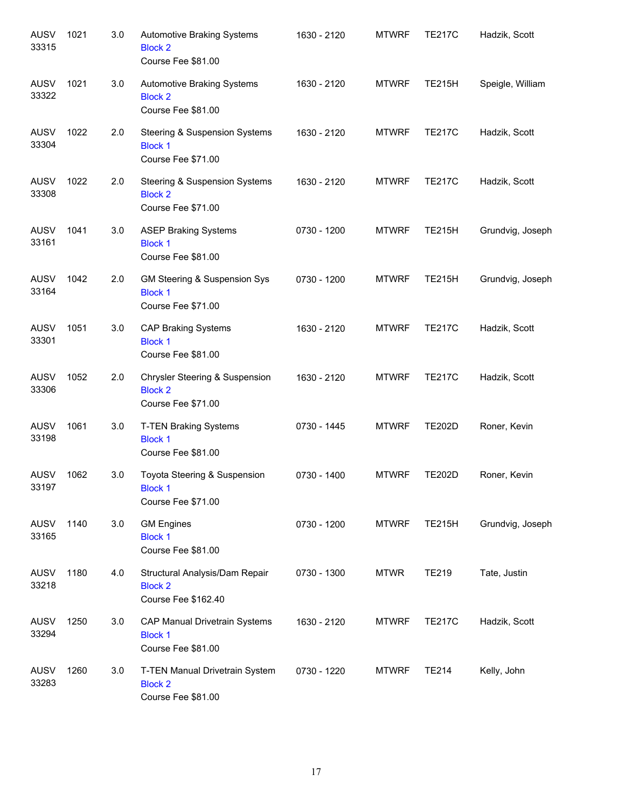| <b>AUSV</b><br>33315 | 1021 | 3.0 | Automotive Braking Systems<br><b>Block 2</b><br>Course Fee \$81.00               | 1630 - 2120 | <b>MTWRF</b> | <b>TE217C</b> | Hadzik, Scott    |
|----------------------|------|-----|----------------------------------------------------------------------------------|-------------|--------------|---------------|------------------|
| <b>AUSV</b><br>33322 | 1021 | 3.0 | <b>Automotive Braking Systems</b><br><b>Block 2</b><br>Course Fee \$81.00        | 1630 - 2120 | <b>MTWRF</b> | <b>TE215H</b> | Speigle, William |
| <b>AUSV</b><br>33304 | 1022 | 2.0 | <b>Steering &amp; Suspension Systems</b><br><b>Block 1</b><br>Course Fee \$71.00 | 1630 - 2120 | <b>MTWRF</b> | <b>TE217C</b> | Hadzik, Scott    |
| <b>AUSV</b><br>33308 | 1022 | 2.0 | <b>Steering &amp; Suspension Systems</b><br><b>Block 2</b><br>Course Fee \$71.00 | 1630 - 2120 | <b>MTWRF</b> | <b>TE217C</b> | Hadzik, Scott    |
| <b>AUSV</b><br>33161 | 1041 | 3.0 | <b>ASEP Braking Systems</b><br><b>Block 1</b><br>Course Fee \$81.00              | 0730 - 1200 | <b>MTWRF</b> | <b>TE215H</b> | Grundvig, Joseph |
| <b>AUSV</b><br>33164 | 1042 | 2.0 | GM Steering & Suspension Sys<br><b>Block 1</b><br>Course Fee \$71.00             | 0730 - 1200 | <b>MTWRF</b> | <b>TE215H</b> | Grundvig, Joseph |
| <b>AUSV</b><br>33301 | 1051 | 3.0 | <b>CAP Braking Systems</b><br><b>Block 1</b><br>Course Fee \$81.00               | 1630 - 2120 | <b>MTWRF</b> | <b>TE217C</b> | Hadzik, Scott    |
| <b>AUSV</b><br>33306 | 1052 | 2.0 | Chrysler Steering & Suspension<br><b>Block 2</b><br>Course Fee \$71.00           | 1630 - 2120 | <b>MTWRF</b> | <b>TE217C</b> | Hadzik, Scott    |
| <b>AUSV</b><br>33198 | 1061 | 3.0 | <b>T-TEN Braking Systems</b><br><b>Block 1</b><br>Course Fee \$81.00             | 0730 - 1445 | <b>MTWRF</b> | <b>TE202D</b> | Roner, Kevin     |
| <b>AUSV</b><br>33197 | 1062 | 3.0 | Toyota Steering & Suspension<br><b>Block 1</b><br>Course Fee \$71.00             | 0730 - 1400 | <b>MTWRF</b> | <b>TE202D</b> | Roner, Kevin     |
| <b>AUSV</b><br>33165 | 1140 | 3.0 | <b>GM Engines</b><br><b>Block 1</b><br>Course Fee \$81.00                        | 0730 - 1200 | <b>MTWRF</b> | <b>TE215H</b> | Grundvig, Joseph |
| <b>AUSV</b><br>33218 | 1180 | 4.0 | Structural Analysis/Dam Repair<br><b>Block 2</b><br>Course Fee \$162.40          | 0730 - 1300 | <b>MTWR</b>  | <b>TE219</b>  | Tate, Justin     |
| AUSV<br>33294        | 1250 | 3.0 | <b>CAP Manual Drivetrain Systems</b><br><b>Block 1</b><br>Course Fee \$81.00     | 1630 - 2120 | <b>MTWRF</b> | <b>TE217C</b> | Hadzik, Scott    |
| AUSV<br>33283        | 1260 | 3.0 | T-TEN Manual Drivetrain System<br><b>Block 2</b><br>Course Fee \$81.00           | 0730 - 1220 | <b>MTWRF</b> | TE214         | Kelly, John      |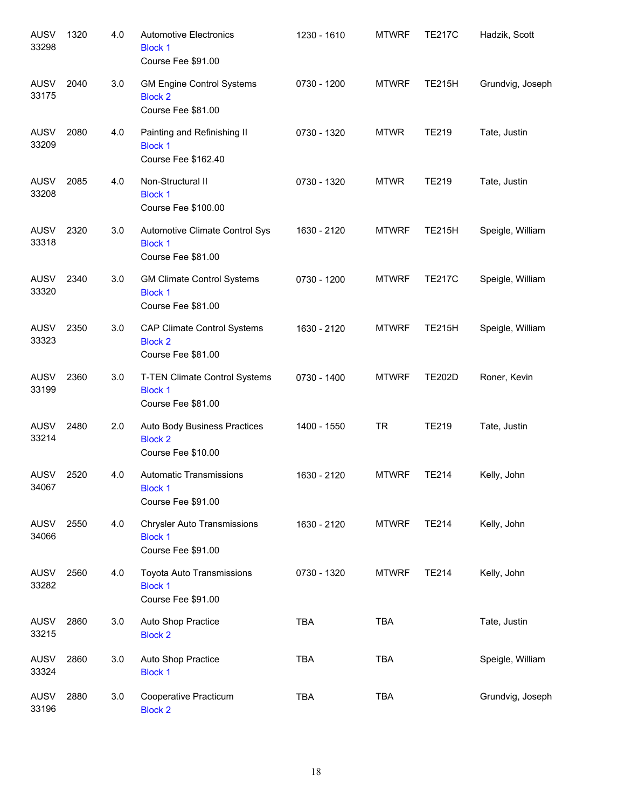| <b>AUSV</b><br>33298 | 1320 | 4.0 | <b>Automotive Electronics</b><br><b>Block 1</b><br>Course Fee \$91.00      | 1230 - 1610 | <b>MTWRF</b> | <b>TE217C</b> | Hadzik, Scott    |
|----------------------|------|-----|----------------------------------------------------------------------------|-------------|--------------|---------------|------------------|
| AUSV<br>33175        | 2040 | 3.0 | <b>GM Engine Control Systems</b><br><b>Block 2</b><br>Course Fee \$81.00   | 0730 - 1200 | <b>MTWRF</b> | <b>TE215H</b> | Grundvig, Joseph |
| <b>AUSV</b><br>33209 | 2080 | 4.0 | Painting and Refinishing II<br><b>Block 1</b><br>Course Fee \$162.40       | 0730 - 1320 | <b>MTWR</b>  | <b>TE219</b>  | Tate, Justin     |
| <b>AUSV</b><br>33208 | 2085 | 4.0 | Non-Structural II<br><b>Block 1</b><br>Course Fee \$100.00                 | 0730 - 1320 | <b>MTWR</b>  | <b>TE219</b>  | Tate, Justin     |
| <b>AUSV</b><br>33318 | 2320 | 3.0 | Automotive Climate Control Sys<br><b>Block 1</b><br>Course Fee \$81.00     | 1630 - 2120 | <b>MTWRF</b> | <b>TE215H</b> | Speigle, William |
| <b>AUSV</b><br>33320 | 2340 | 3.0 | <b>GM Climate Control Systems</b><br><b>Block 1</b><br>Course Fee \$81.00  | 0730 - 1200 | <b>MTWRF</b> | <b>TE217C</b> | Speigle, William |
| AUSV<br>33323        | 2350 | 3.0 | <b>CAP Climate Control Systems</b><br><b>Block 2</b><br>Course Fee \$81.00 | 1630 - 2120 | <b>MTWRF</b> | <b>TE215H</b> | Speigle, William |
| AUSV<br>33199        | 2360 | 3.0 | T-TEN Climate Control Systems<br><b>Block 1</b><br>Course Fee \$81.00      | 0730 - 1400 | <b>MTWRF</b> | <b>TE202D</b> | Roner, Kevin     |
| AUSV<br>33214        | 2480 | 2.0 | Auto Body Business Practices<br><b>Block 2</b><br>Course Fee \$10.00       | 1400 - 1550 | <b>TR</b>    | <b>TE219</b>  | Tate, Justin     |
| AUSV<br>34067        | 2520 | 4.0 | Automatic Transmissions<br><b>Block 1</b><br>Course Fee \$91.00            | 1630 - 2120 | <b>MTWRF</b> | <b>TE214</b>  | Kelly, John      |
| <b>AUSV</b><br>34066 | 2550 | 4.0 | <b>Chrysler Auto Transmissions</b><br><b>Block 1</b><br>Course Fee \$91.00 | 1630 - 2120 | <b>MTWRF</b> | <b>TE214</b>  | Kelly, John      |
| AUSV<br>33282        | 2560 | 4.0 | Toyota Auto Transmissions<br><b>Block 1</b><br>Course Fee \$91.00          | 0730 - 1320 | <b>MTWRF</b> | <b>TE214</b>  | Kelly, John      |
| AUSV<br>33215        | 2860 | 3.0 | Auto Shop Practice<br><b>Block 2</b>                                       | <b>TBA</b>  | <b>TBA</b>   |               | Tate, Justin     |
| <b>AUSV</b><br>33324 | 2860 | 3.0 | Auto Shop Practice<br><b>Block 1</b>                                       | <b>TBA</b>  | <b>TBA</b>   |               | Speigle, William |
| <b>AUSV</b><br>33196 | 2880 | 3.0 | Cooperative Practicum<br><b>Block 2</b>                                    | <b>TBA</b>  | <b>TBA</b>   |               | Grundvig, Joseph |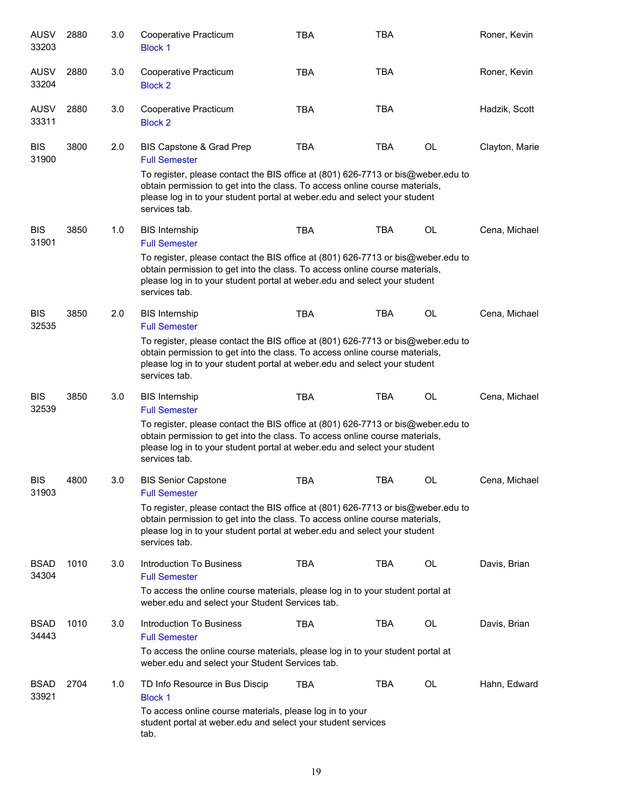| <b>AUSV</b><br>33203 | 2880 | 3.0 | Cooperative Practicum<br><b>Block 1</b>                                                                                                                                                                                                                       | <b>TBA</b> | <b>TBA</b> |           | Roner, Kevin   |
|----------------------|------|-----|---------------------------------------------------------------------------------------------------------------------------------------------------------------------------------------------------------------------------------------------------------------|------------|------------|-----------|----------------|
| <b>AUSV</b><br>33204 | 2880 | 3.0 | Cooperative Practicum<br><b>Block 2</b>                                                                                                                                                                                                                       | <b>TBA</b> | <b>TBA</b> |           | Roner, Kevin   |
| <b>AUSV</b><br>33311 | 2880 | 3.0 | Cooperative Practicum<br><b>Block 2</b>                                                                                                                                                                                                                       | <b>TBA</b> | <b>TBA</b> |           | Hadzik, Scott  |
| <b>BIS</b><br>31900  | 3800 | 2.0 | BIS Capstone & Grad Prep<br><b>Full Semester</b>                                                                                                                                                                                                              | <b>TBA</b> | <b>TBA</b> | <b>OL</b> | Clayton, Marie |
|                      |      |     | To register, please contact the BIS office at (801) 626-7713 or bis@weber.edu to<br>obtain permission to get into the class. To access online course materials,<br>please log in to your student portal at weber.edu and select your student<br>services tab. |            |            |           |                |
| <b>BIS</b><br>31901  | 3850 | 1.0 | <b>BIS Internship</b><br><b>Full Semester</b>                                                                                                                                                                                                                 | <b>TBA</b> | <b>TBA</b> | <b>OL</b> | Cena, Michael  |
|                      |      |     | To register, please contact the BIS office at (801) 626-7713 or bis@weber.edu to<br>obtain permission to get into the class. To access online course materials,<br>please log in to your student portal at weber.edu and select your student<br>services tab. |            |            |           |                |
| <b>BIS</b><br>32535  | 3850 | 2.0 | <b>BIS Internship</b><br><b>Full Semester</b>                                                                                                                                                                                                                 | <b>TBA</b> | <b>TBA</b> | <b>OL</b> | Cena, Michael  |
|                      |      |     | To register, please contact the BIS office at (801) 626-7713 or bis@weber.edu to<br>obtain permission to get into the class. To access online course materials,<br>please log in to your student portal at weber.edu and select your student<br>services tab. |            |            |           |                |
| <b>BIS</b><br>32539  | 3850 | 3.0 | <b>BIS Internship</b><br><b>Full Semester</b>                                                                                                                                                                                                                 | <b>TBA</b> | <b>TBA</b> | OL        | Cena, Michael  |
|                      |      |     | To register, please contact the BIS office at (801) 626-7713 or bis@weber.edu to<br>obtain permission to get into the class. To access online course materials,<br>please log in to your student portal at weber.edu and select your student<br>services tab. |            |            |           |                |
| <b>BIS</b><br>31903  | 4800 | 3.0 | <b>BIS Senior Capstone</b><br><b>Full Semester</b>                                                                                                                                                                                                            | <b>TBA</b> | <b>TBA</b> | <b>OL</b> | Cena, Michael  |
|                      |      |     | To register, please contact the BIS office at (801) 626-7713 or bis@weber.edu to<br>obtain permission to get into the class. To access online course materials,<br>please log in to your student portal at weber.edu and select your student<br>services tab. |            |            |           |                |
| <b>BSAD</b><br>34304 | 1010 | 3.0 | Introduction To Business<br><b>Full Semester</b>                                                                                                                                                                                                              | <b>TBA</b> | <b>TBA</b> | OL        | Davis, Brian   |
|                      |      |     | To access the online course materials, please log in to your student portal at<br>weber.edu and select your Student Services tab.                                                                                                                             |            |            |           |                |
| <b>BSAD</b><br>34443 | 1010 | 3.0 | Introduction To Business<br><b>Full Semester</b>                                                                                                                                                                                                              | <b>TBA</b> | <b>TBA</b> | OL        | Davis, Brian   |
|                      |      |     | To access the online course materials, please log in to your student portal at<br>weber.edu and select your Student Services tab.                                                                                                                             |            |            |           |                |
| <b>BSAD</b><br>33921 | 2704 | 1.0 | TD Info Resource in Bus Discip<br><b>Block 1</b>                                                                                                                                                                                                              | <b>TBA</b> | <b>TBA</b> | OL        | Hahn, Edward   |
|                      |      |     | To access online course materials, please log in to your<br>student portal at weber edu and select your student services<br>tab.                                                                                                                              |            |            |           |                |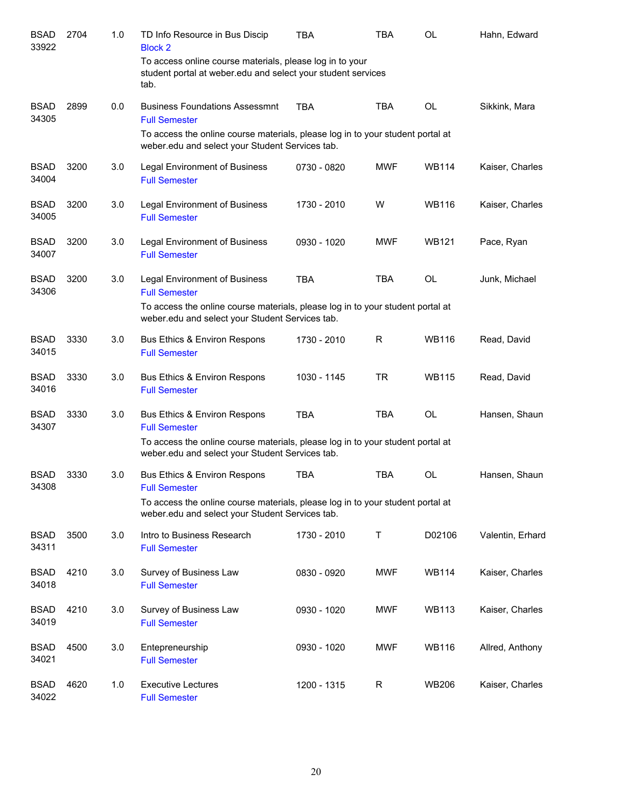| <b>BSAD</b><br>33922 | 2704 | 1.0 | TD Info Resource in Bus Discip<br><b>Block 2</b>                                                                                  | TBA         | <b>TBA</b> | <b>OL</b>    | Hahn, Edward     |
|----------------------|------|-----|-----------------------------------------------------------------------------------------------------------------------------------|-------------|------------|--------------|------------------|
|                      |      |     | To access online course materials, please log in to your<br>student portal at weber edu and select your student services<br>tab.  |             |            |              |                  |
| <b>BSAD</b><br>34305 | 2899 | 0.0 | <b>Business Foundations Assessmnt</b><br><b>Full Semester</b>                                                                     | <b>TBA</b>  | <b>TBA</b> | <b>OL</b>    | Sikkink, Mara    |
|                      |      |     | To access the online course materials, please log in to your student portal at<br>weber.edu and select your Student Services tab. |             |            |              |                  |
| <b>BSAD</b><br>34004 | 3200 | 3.0 | <b>Legal Environment of Business</b><br><b>Full Semester</b>                                                                      | 0730 - 0820 | <b>MWF</b> | <b>WB114</b> | Kaiser, Charles  |
| <b>BSAD</b><br>34005 | 3200 | 3.0 | <b>Legal Environment of Business</b><br><b>Full Semester</b>                                                                      | 1730 - 2010 | W          | <b>WB116</b> | Kaiser, Charles  |
| <b>BSAD</b><br>34007 | 3200 | 3.0 | <b>Legal Environment of Business</b><br><b>Full Semester</b>                                                                      | 0930 - 1020 | <b>MWF</b> | <b>WB121</b> | Pace, Ryan       |
| <b>BSAD</b><br>34306 | 3200 | 3.0 | <b>Legal Environment of Business</b><br><b>Full Semester</b>                                                                      | <b>TBA</b>  | <b>TBA</b> | <b>OL</b>    | Junk, Michael    |
|                      |      |     | To access the online course materials, please log in to your student portal at<br>weber.edu and select your Student Services tab. |             |            |              |                  |
| <b>BSAD</b><br>34015 | 3330 | 3.0 | Bus Ethics & Environ Respons<br><b>Full Semester</b>                                                                              | 1730 - 2010 | R          | <b>WB116</b> | Read, David      |
| <b>BSAD</b><br>34016 | 3330 | 3.0 | Bus Ethics & Environ Respons<br><b>Full Semester</b>                                                                              | 1030 - 1145 | <b>TR</b>  | <b>WB115</b> | Read, David      |
| <b>BSAD</b><br>34307 | 3330 | 3.0 | Bus Ethics & Environ Respons<br><b>Full Semester</b>                                                                              | <b>TBA</b>  | <b>TBA</b> | <b>OL</b>    | Hansen, Shaun    |
|                      |      |     | To access the online course materials, please log in to your student portal at<br>weber.edu and select your Student Services tab. |             |            |              |                  |
| <b>BSAD</b><br>34308 | 3330 | 3.0 | Bus Ethics & Environ Respons<br><b>Full Semester</b>                                                                              | TBA         | <b>TBA</b> | <b>OL</b>    | Hansen, Shaun    |
|                      |      |     | To access the online course materials, please log in to your student portal at<br>weber.edu and select your Student Services tab. |             |            |              |                  |
| <b>BSAD</b><br>34311 | 3500 | 3.0 | Intro to Business Research<br><b>Full Semester</b>                                                                                | 1730 - 2010 | Т          | D02106       | Valentin, Erhard |
| <b>BSAD</b><br>34018 | 4210 | 3.0 | Survey of Business Law<br><b>Full Semester</b>                                                                                    | 0830 - 0920 | <b>MWF</b> | <b>WB114</b> | Kaiser, Charles  |
| <b>BSAD</b><br>34019 | 4210 | 3.0 | Survey of Business Law<br><b>Full Semester</b>                                                                                    | 0930 - 1020 | <b>MWF</b> | <b>WB113</b> | Kaiser, Charles  |
| <b>BSAD</b><br>34021 | 4500 | 3.0 | Entepreneurship<br><b>Full Semester</b>                                                                                           | 0930 - 1020 | MWF        | WB116        | Allred, Anthony  |
| <b>BSAD</b><br>34022 | 4620 | 1.0 | <b>Executive Lectures</b><br><b>Full Semester</b>                                                                                 | 1200 - 1315 | R          | <b>WB206</b> | Kaiser, Charles  |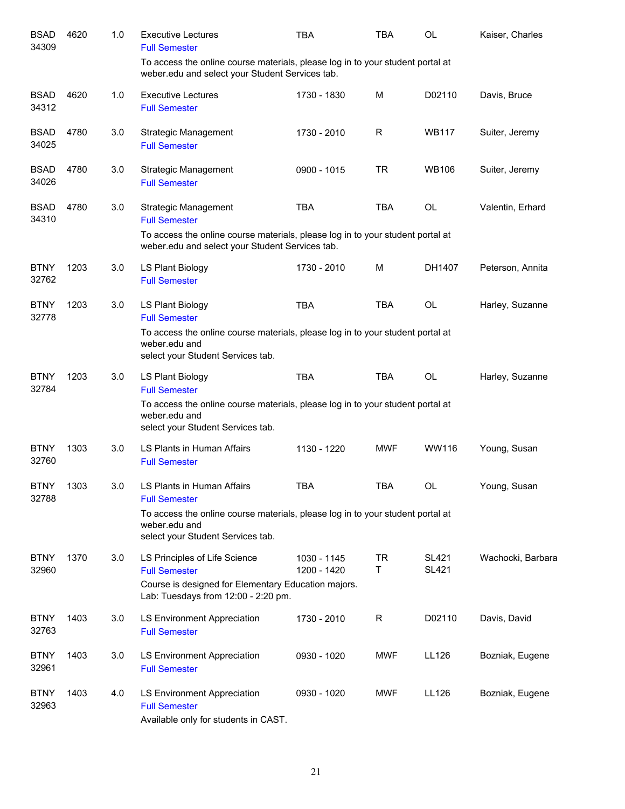| <b>BSAD</b><br>34309 | 4620 | 1.0 | <b>Executive Lectures</b><br><b>Full Semester</b>                                                                                                   | <b>TBA</b>                 | TBA             | <b>OL</b>                    | Kaiser, Charles   |
|----------------------|------|-----|-----------------------------------------------------------------------------------------------------------------------------------------------------|----------------------------|-----------------|------------------------------|-------------------|
|                      |      |     | To access the online course materials, please log in to your student portal at<br>weber.edu and select your Student Services tab.                   |                            |                 |                              |                   |
| <b>BSAD</b><br>34312 | 4620 | 1.0 | <b>Executive Lectures</b><br><b>Full Semester</b>                                                                                                   | 1730 - 1830                | M               | D02110                       | Davis, Bruce      |
| <b>BSAD</b><br>34025 | 4780 | 3.0 | <b>Strategic Management</b><br><b>Full Semester</b>                                                                                                 | 1730 - 2010                | R               | <b>WB117</b>                 | Suiter, Jeremy    |
| <b>BSAD</b><br>34026 | 4780 | 3.0 | <b>Strategic Management</b><br><b>Full Semester</b>                                                                                                 | 0900 - 1015                | <b>TR</b>       | <b>WB106</b>                 | Suiter, Jeremy    |
| <b>BSAD</b><br>34310 | 4780 | 3.0 | Strategic Management<br><b>Full Semester</b>                                                                                                        | <b>TBA</b>                 | <b>TBA</b>      | <b>OL</b>                    | Valentin, Erhard  |
|                      |      |     | To access the online course materials, please log in to your student portal at<br>weber.edu and select your Student Services tab.                   |                            |                 |                              |                   |
| <b>BTNY</b><br>32762 | 1203 | 3.0 | LS Plant Biology<br><b>Full Semester</b>                                                                                                            | 1730 - 2010                | M               | DH1407                       | Peterson, Annita  |
| <b>BTNY</b><br>32778 | 1203 | 3.0 | LS Plant Biology<br><b>Full Semester</b>                                                                                                            | <b>TBA</b>                 | <b>TBA</b>      | <b>OL</b>                    | Harley, Suzanne   |
|                      |      |     | To access the online course materials, please log in to your student portal at<br>weber.edu and<br>select your Student Services tab.                |                            |                 |                              |                   |
| <b>BTNY</b><br>32784 | 1203 | 3.0 | LS Plant Biology<br><b>Full Semester</b>                                                                                                            | <b>TBA</b>                 | <b>TBA</b>      | <b>OL</b>                    | Harley, Suzanne   |
|                      |      |     | To access the online course materials, please log in to your student portal at<br>weber.edu and<br>select your Student Services tab.                |                            |                 |                              |                   |
| <b>BTNY</b><br>32760 | 1303 | 3.0 | LS Plants in Human Affairs<br><b>Full Semester</b>                                                                                                  | 1130 - 1220                | <b>MWF</b>      | WW116                        | Young, Susan      |
| BTNY<br>32788        | 1303 | 3.0 | LS Plants in Human Affairs<br><b>Full Semester</b>                                                                                                  | <b>TBA</b>                 | <b>TBA</b>      | OL                           | Young, Susan      |
|                      |      |     | To access the online course materials, please log in to your student portal at<br>weber.edu and<br>select your Student Services tab.                |                            |                 |                              |                   |
| <b>BTNY</b><br>32960 | 1370 | 3.0 | LS Principles of Life Science<br><b>Full Semester</b><br>Course is designed for Elementary Education majors.<br>Lab: Tuesdays from 12:00 - 2:20 pm. | 1030 - 1145<br>1200 - 1420 | <b>TR</b><br>T. | <b>SL421</b><br><b>SL421</b> | Wachocki, Barbara |
| <b>BTNY</b><br>32763 | 1403 | 3.0 | <b>LS Environment Appreciation</b><br><b>Full Semester</b>                                                                                          | 1730 - 2010                | R               | D02110                       | Davis, David      |
| <b>BTNY</b><br>32961 | 1403 | 3.0 | LS Environment Appreciation<br><b>Full Semester</b>                                                                                                 | 0930 - 1020                | MWF             | LL126                        | Bozniak, Eugene   |
| <b>BTNY</b><br>32963 | 1403 | 4.0 | LS Environment Appreciation<br><b>Full Semester</b><br>Available only for students in CAST.                                                         | 0930 - 1020                | <b>MWF</b>      | LL126                        | Bozniak, Eugene   |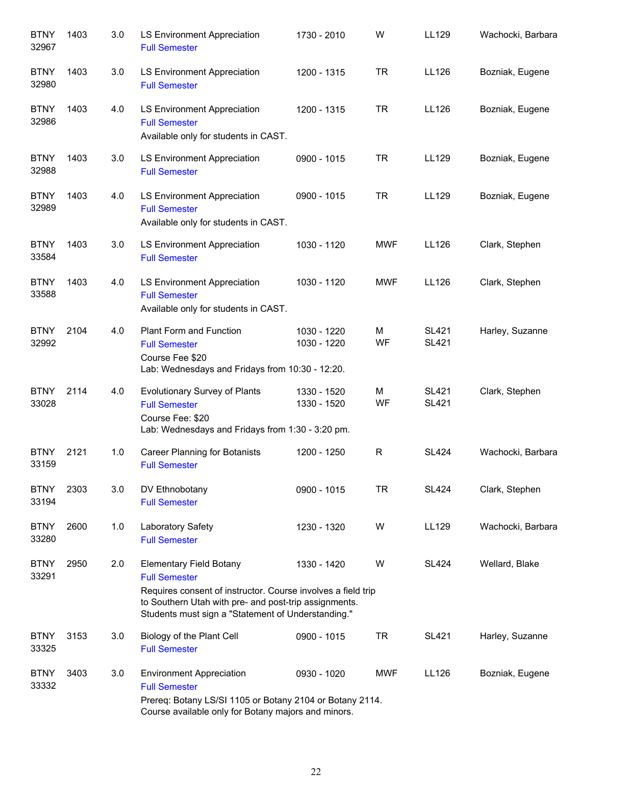| <b>BTNY</b><br>32967 | 1403 | 3.0 | <b>LS Environment Appreciation</b><br><b>Full Semester</b>                                                                                                                                                                            | 1730 - 2010                | W          | LL129                        | Wachocki, Barbara |
|----------------------|------|-----|---------------------------------------------------------------------------------------------------------------------------------------------------------------------------------------------------------------------------------------|----------------------------|------------|------------------------------|-------------------|
| <b>BTNY</b><br>32980 | 1403 | 3.0 | LS Environment Appreciation<br><b>Full Semester</b>                                                                                                                                                                                   | 1200 - 1315                | <b>TR</b>  | LL126                        | Bozniak, Eugene   |
| <b>BTNY</b><br>32986 | 1403 | 4.0 | LS Environment Appreciation<br><b>Full Semester</b><br>Available only for students in CAST.                                                                                                                                           | 1200 - 1315                | <b>TR</b>  | LL126                        | Bozniak, Eugene   |
| <b>BTNY</b><br>32988 | 1403 | 3.0 | LS Environment Appreciation<br><b>Full Semester</b>                                                                                                                                                                                   | 0900 - 1015                | <b>TR</b>  | <b>LL129</b>                 | Bozniak, Eugene   |
| <b>BTNY</b><br>32989 | 1403 | 4.0 | LS Environment Appreciation<br><b>Full Semester</b><br>Available only for students in CAST.                                                                                                                                           | 0900 - 1015                | <b>TR</b>  | LL129                        | Bozniak, Eugene   |
| <b>BTNY</b><br>33584 | 1403 | 3.0 | LS Environment Appreciation<br><b>Full Semester</b>                                                                                                                                                                                   | 1030 - 1120                | <b>MWF</b> | LL126                        | Clark, Stephen    |
| <b>BTNY</b><br>33588 | 1403 | 4.0 | <b>LS Environment Appreciation</b><br><b>Full Semester</b><br>Available only for students in CAST.                                                                                                                                    | 1030 - 1120                | <b>MWF</b> | LL126                        | Clark, Stephen    |
| <b>BTNY</b><br>32992 | 2104 | 4.0 | Plant Form and Function<br><b>Full Semester</b><br>Course Fee \$20<br>Lab: Wednesdays and Fridays from 10:30 - 12:20.                                                                                                                 | 1030 - 1220<br>1030 - 1220 | м<br>WF    | <b>SL421</b><br><b>SL421</b> | Harley, Suzanne   |
| <b>BTNY</b><br>33028 | 2114 | 4.0 | Evolutionary Survey of Plants<br><b>Full Semester</b><br>Course Fee: \$20<br>Lab: Wednesdays and Fridays from 1:30 - 3:20 pm.                                                                                                         | 1330 - 1520<br>1330 - 1520 | M<br>WF    | <b>SL421</b><br><b>SL421</b> | Clark, Stephen    |
| <b>BTNY</b><br>33159 | 2121 | 1.0 | Career Planning for Botanists<br><b>Full Semester</b>                                                                                                                                                                                 | 1200 - 1250                | R          | <b>SL424</b>                 | Wachocki, Barbara |
| <b>BTNY</b><br>33194 | 2303 | 3.0 | DV Ethnobotany<br><b>Full Semester</b>                                                                                                                                                                                                | 0900 - 1015                | TR         | <b>SL424</b>                 | Clark, Stephen    |
| <b>BTNY</b><br>33280 | 2600 | 1.0 | Laboratory Safety<br><b>Full Semester</b>                                                                                                                                                                                             | 1230 - 1320                | W          | LL129                        | Wachocki, Barbara |
| <b>BTNY</b><br>33291 | 2950 | 2.0 | <b>Elementary Field Botany</b><br><b>Full Semester</b><br>Requires consent of instructor. Course involves a field trip<br>to Southern Utah with pre- and post-trip assignments.<br>Students must sign a "Statement of Understanding." | 1330 - 1420                | W          | <b>SL424</b>                 | Wellard, Blake    |
| <b>BTNY</b><br>33325 | 3153 | 3.0 | Biology of the Plant Cell<br><b>Full Semester</b>                                                                                                                                                                                     | 0900 - 1015                | <b>TR</b>  | <b>SL421</b>                 | Harley, Suzanne   |
| <b>BTNY</b><br>33332 | 3403 | 3.0 | <b>Environment Appreciation</b><br><b>Full Semester</b><br>Prereq: Botany LS/SI 1105 or Botany 2104 or Botany 2114.<br>Course available only for Retany majors and miners                                                             | 0930 - 1020                | <b>MWF</b> | LL126                        | Bozniak, Eugene   |

Course available only for Botany majors and minors.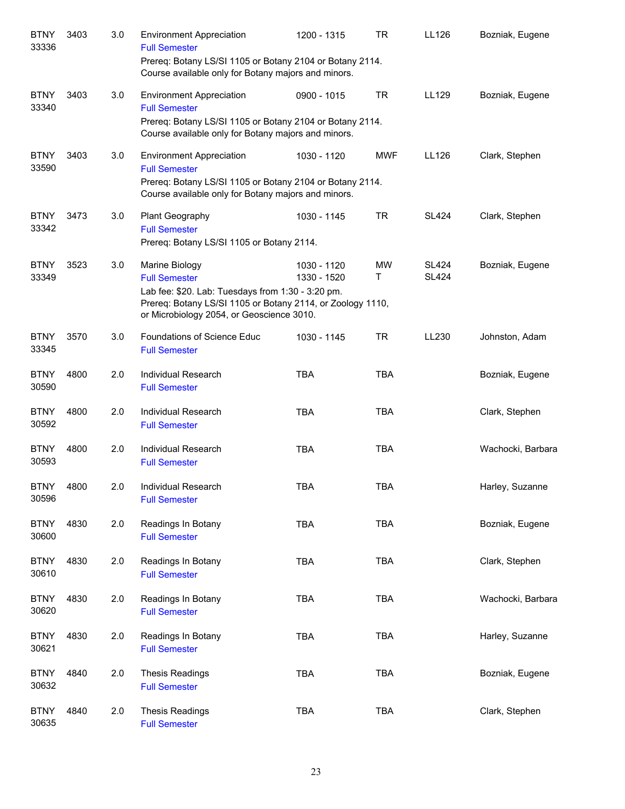| <b>BTNY</b><br>33336 | 3403 | 3.0 | <b>Environment Appreciation</b><br><b>Full Semester</b><br>Prereq: Botany LS/SI 1105 or Botany 2104 or Botany 2114.<br>Course available only for Botany majors and minors.                             | 1200 - 1315                | <b>TR</b>      | LL126                        | Bozniak, Eugene   |
|----------------------|------|-----|--------------------------------------------------------------------------------------------------------------------------------------------------------------------------------------------------------|----------------------------|----------------|------------------------------|-------------------|
| <b>BTNY</b><br>33340 | 3403 | 3.0 | <b>Environment Appreciation</b><br><b>Full Semester</b><br>Prereq: Botany LS/SI 1105 or Botany 2104 or Botany 2114.<br>Course available only for Botany majors and minors.                             | 0900 - 1015                | <b>TR</b>      | LL129                        | Bozniak, Eugene   |
| <b>BTNY</b><br>33590 | 3403 | 3.0 | <b>Environment Appreciation</b><br><b>Full Semester</b><br>Prereq: Botany LS/SI 1105 or Botany 2104 or Botany 2114.<br>Course available only for Botany majors and minors.                             | 1030 - 1120                | <b>MWF</b>     | LL126                        | Clark, Stephen    |
| <b>BTNY</b><br>33342 | 3473 | 3.0 | Plant Geography<br><b>Full Semester</b><br>Prereq: Botany LS/SI 1105 or Botany 2114.                                                                                                                   | 1030 - 1145                | <b>TR</b>      | <b>SL424</b>                 | Clark, Stephen    |
| <b>BTNY</b><br>33349 | 3523 | 3.0 | Marine Biology<br><b>Full Semester</b><br>Lab fee: \$20. Lab: Tuesdays from 1:30 - 3:20 pm.<br>Prereq: Botany LS/SI 1105 or Botany 2114, or Zoology 1110,<br>or Microbiology 2054, or Geoscience 3010. | 1030 - 1120<br>1330 - 1520 | <b>MW</b><br>т | <b>SL424</b><br><b>SL424</b> | Bozniak, Eugene   |
| <b>BTNY</b><br>33345 | 3570 | 3.0 | Foundations of Science Educ<br><b>Full Semester</b>                                                                                                                                                    | 1030 - 1145                | <b>TR</b>      | LL230                        | Johnston, Adam    |
| <b>BTNY</b><br>30590 | 4800 | 2.0 | <b>Individual Research</b><br><b>Full Semester</b>                                                                                                                                                     | <b>TBA</b>                 | <b>TBA</b>     |                              | Bozniak, Eugene   |
| <b>BTNY</b><br>30592 | 4800 | 2.0 | <b>Individual Research</b><br><b>Full Semester</b>                                                                                                                                                     | <b>TBA</b>                 | <b>TBA</b>     |                              | Clark, Stephen    |
| <b>BTNY</b><br>30593 | 4800 | 2.0 | <b>Individual Research</b><br><b>Full Semester</b>                                                                                                                                                     | <b>TBA</b>                 | <b>TBA</b>     |                              | Wachocki, Barbara |
| <b>BTNY</b><br>30596 | 4800 | 2.0 | Individual Research<br><b>Full Semester</b>                                                                                                                                                            | <b>TBA</b>                 | <b>TBA</b>     |                              | Harley, Suzanne   |
| <b>BTNY</b><br>30600 | 4830 | 2.0 | Readings In Botany<br><b>Full Semester</b>                                                                                                                                                             | TBA                        | <b>TBA</b>     |                              | Bozniak, Eugene   |
| <b>BTNY</b><br>30610 | 4830 | 2.0 | Readings In Botany<br><b>Full Semester</b>                                                                                                                                                             | <b>TBA</b>                 | <b>TBA</b>     |                              | Clark, Stephen    |
| <b>BTNY</b><br>30620 | 4830 | 2.0 | Readings In Botany<br><b>Full Semester</b>                                                                                                                                                             | <b>TBA</b>                 | <b>TBA</b>     |                              | Wachocki, Barbara |
| <b>BTNY</b><br>30621 | 4830 | 2.0 | Readings In Botany<br><b>Full Semester</b>                                                                                                                                                             | <b>TBA</b>                 | <b>TBA</b>     |                              | Harley, Suzanne   |
| <b>BTNY</b><br>30632 | 4840 | 2.0 | <b>Thesis Readings</b><br><b>Full Semester</b>                                                                                                                                                         | <b>TBA</b>                 | <b>TBA</b>     |                              | Bozniak, Eugene   |
| <b>BTNY</b><br>30635 | 4840 | 2.0 | <b>Thesis Readings</b><br><b>Full Semester</b>                                                                                                                                                         | <b>TBA</b>                 | <b>TBA</b>     |                              | Clark, Stephen    |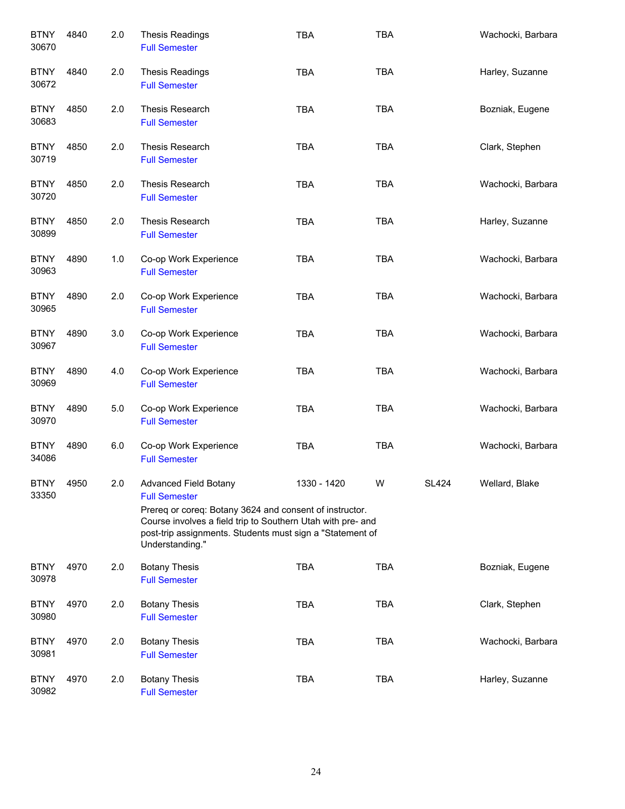| <b>BTNY</b><br>30670 | 4840 | 2.0 | <b>Thesis Readings</b><br><b>Full Semester</b>                                                                                                                                                                                                          | <b>TBA</b>  | <b>TBA</b> |              | Wachocki, Barbara |
|----------------------|------|-----|---------------------------------------------------------------------------------------------------------------------------------------------------------------------------------------------------------------------------------------------------------|-------------|------------|--------------|-------------------|
| <b>BTNY</b><br>30672 | 4840 | 2.0 | <b>Thesis Readings</b><br><b>Full Semester</b>                                                                                                                                                                                                          | <b>TBA</b>  | <b>TBA</b> |              | Harley, Suzanne   |
| <b>BTNY</b><br>30683 | 4850 | 2.0 | Thesis Research<br><b>Full Semester</b>                                                                                                                                                                                                                 | <b>TBA</b>  | <b>TBA</b> |              | Bozniak, Eugene   |
| <b>BTNY</b><br>30719 | 4850 | 2.0 | Thesis Research<br><b>Full Semester</b>                                                                                                                                                                                                                 | <b>TBA</b>  | <b>TBA</b> |              | Clark, Stephen    |
| <b>BTNY</b><br>30720 | 4850 | 2.0 | Thesis Research<br><b>Full Semester</b>                                                                                                                                                                                                                 | <b>TBA</b>  | <b>TBA</b> |              | Wachocki, Barbara |
| <b>BTNY</b><br>30899 | 4850 | 2.0 | Thesis Research<br><b>Full Semester</b>                                                                                                                                                                                                                 | <b>TBA</b>  | <b>TBA</b> |              | Harley, Suzanne   |
| <b>BTNY</b><br>30963 | 4890 | 1.0 | Co-op Work Experience<br><b>Full Semester</b>                                                                                                                                                                                                           | <b>TBA</b>  | <b>TBA</b> |              | Wachocki, Barbara |
| <b>BTNY</b><br>30965 | 4890 | 2.0 | Co-op Work Experience<br><b>Full Semester</b>                                                                                                                                                                                                           | <b>TBA</b>  | <b>TBA</b> |              | Wachocki, Barbara |
| <b>BTNY</b><br>30967 | 4890 | 3.0 | Co-op Work Experience<br><b>Full Semester</b>                                                                                                                                                                                                           | <b>TBA</b>  | <b>TBA</b> |              | Wachocki, Barbara |
| <b>BTNY</b><br>30969 | 4890 | 4.0 | Co-op Work Experience<br><b>Full Semester</b>                                                                                                                                                                                                           | <b>TBA</b>  | <b>TBA</b> |              | Wachocki, Barbara |
| <b>BTNY</b><br>30970 | 4890 | 5.0 | Co-op Work Experience<br><b>Full Semester</b>                                                                                                                                                                                                           | <b>TBA</b>  | <b>TBA</b> |              | Wachocki, Barbara |
| <b>BTNY</b><br>34086 | 4890 | 6.0 | Co-op Work Experience<br><b>Full Semester</b>                                                                                                                                                                                                           | <b>TBA</b>  | <b>TBA</b> |              | Wachocki, Barbara |
| <b>BTNY</b><br>33350 | 4950 | 2.0 | Advanced Field Botany<br><b>Full Semester</b><br>Prereq or coreq: Botany 3624 and consent of instructor.<br>Course involves a field trip to Southern Utah with pre- and<br>post-trip assignments. Students must sign a "Statement of<br>Understanding." | 1330 - 1420 | W          | <b>SL424</b> | Wellard, Blake    |
| <b>BTNY</b><br>30978 | 4970 | 2.0 | <b>Botany Thesis</b><br><b>Full Semester</b>                                                                                                                                                                                                            | <b>TBA</b>  | <b>TBA</b> |              | Bozniak, Eugene   |
| <b>BTNY</b><br>30980 | 4970 | 2.0 | <b>Botany Thesis</b><br><b>Full Semester</b>                                                                                                                                                                                                            | <b>TBA</b>  | <b>TBA</b> |              | Clark, Stephen    |
| <b>BTNY</b><br>30981 | 4970 | 2.0 | <b>Botany Thesis</b><br><b>Full Semester</b>                                                                                                                                                                                                            | <b>TBA</b>  | <b>TBA</b> |              | Wachocki, Barbara |
| <b>BTNY</b><br>30982 | 4970 | 2.0 | <b>Botany Thesis</b><br><b>Full Semester</b>                                                                                                                                                                                                            | <b>TBA</b>  | <b>TBA</b> |              | Harley, Suzanne   |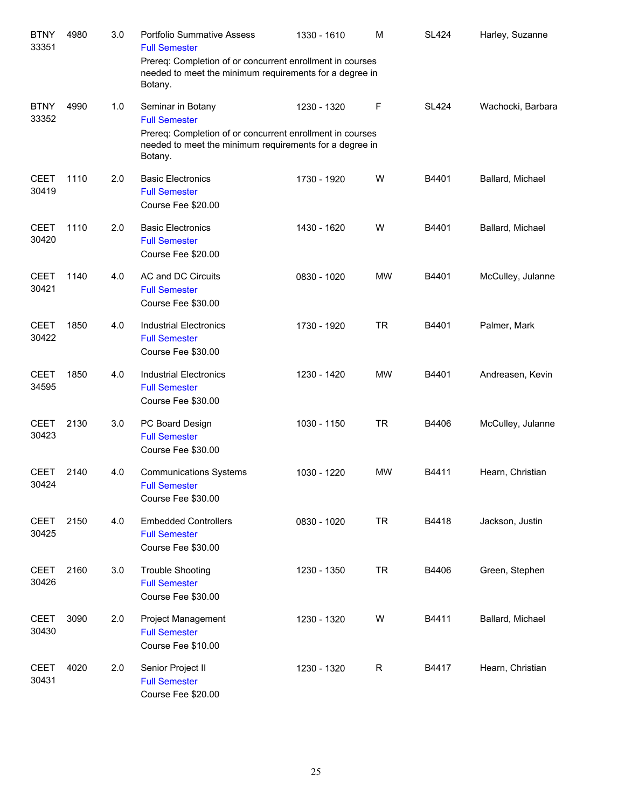| <b>BTNY</b><br>33351 | 4980 | 3.0 | <b>Portfolio Summative Assess</b><br><b>Full Semester</b><br>Prereq: Completion of or concurrent enrollment in courses<br>needed to meet the minimum requirements for a degree in<br>Botany. | 1330 - 1610 | M           | <b>SL424</b> | Harley, Suzanne   |
|----------------------|------|-----|----------------------------------------------------------------------------------------------------------------------------------------------------------------------------------------------|-------------|-------------|--------------|-------------------|
| <b>BTNY</b><br>33352 | 4990 | 1.0 | Seminar in Botany<br><b>Full Semester</b><br>Prereq: Completion of or concurrent enrollment in courses<br>needed to meet the minimum requirements for a degree in<br>Botany.                 | 1230 - 1320 | F           | <b>SL424</b> | Wachocki, Barbara |
| <b>CEET</b><br>30419 | 1110 | 2.0 | <b>Basic Electronics</b><br><b>Full Semester</b><br>Course Fee \$20.00                                                                                                                       | 1730 - 1920 | W           | B4401        | Ballard, Michael  |
| <b>CEET</b><br>30420 | 1110 | 2.0 | <b>Basic Electronics</b><br><b>Full Semester</b><br>Course Fee \$20.00                                                                                                                       | 1430 - 1620 | W           | B4401        | Ballard, Michael  |
| <b>CEET</b><br>30421 | 1140 | 4.0 | AC and DC Circuits<br><b>Full Semester</b><br>Course Fee \$30.00                                                                                                                             | 0830 - 1020 | <b>MW</b>   | B4401        | McCulley, Julanne |
| <b>CEET</b><br>30422 | 1850 | 4.0 | <b>Industrial Electronics</b><br><b>Full Semester</b><br>Course Fee \$30.00                                                                                                                  | 1730 - 1920 | <b>TR</b>   | B4401        | Palmer, Mark      |
| <b>CEET</b><br>34595 | 1850 | 4.0 | <b>Industrial Electronics</b><br><b>Full Semester</b><br>Course Fee \$30.00                                                                                                                  | 1230 - 1420 | <b>MW</b>   | B4401        | Andreasen, Kevin  |
| <b>CEET</b><br>30423 | 2130 | 3.0 | PC Board Design<br><b>Full Semester</b><br>Course Fee \$30.00                                                                                                                                | 1030 - 1150 | <b>TR</b>   | B4406        | McCulley, Julanne |
| <b>CEET</b><br>30424 | 2140 | 4.0 | <b>Communications Systems</b><br><b>Full Semester</b><br>Course Fee \$30.00                                                                                                                  | 1030 - 1220 | <b>MW</b>   | B4411        | Hearn, Christian  |
| <b>CEET</b><br>30425 | 2150 | 4.0 | <b>Embedded Controllers</b><br><b>Full Semester</b><br>Course Fee \$30.00                                                                                                                    | 0830 - 1020 | <b>TR</b>   | B4418        | Jackson, Justin   |
| <b>CEET</b><br>30426 | 2160 | 3.0 | <b>Trouble Shooting</b><br><b>Full Semester</b><br>Course Fee \$30.00                                                                                                                        | 1230 - 1350 | <b>TR</b>   | B4406        | Green, Stephen    |
| <b>CEET</b><br>30430 | 3090 | 2.0 | Project Management<br><b>Full Semester</b><br>Course Fee \$10.00                                                                                                                             | 1230 - 1320 | W           | B4411        | Ballard, Michael  |
| <b>CEET</b><br>30431 | 4020 | 2.0 | Senior Project II<br><b>Full Semester</b><br>Course Fee \$20.00                                                                                                                              | 1230 - 1320 | $\mathsf R$ | B4417        | Hearn, Christian  |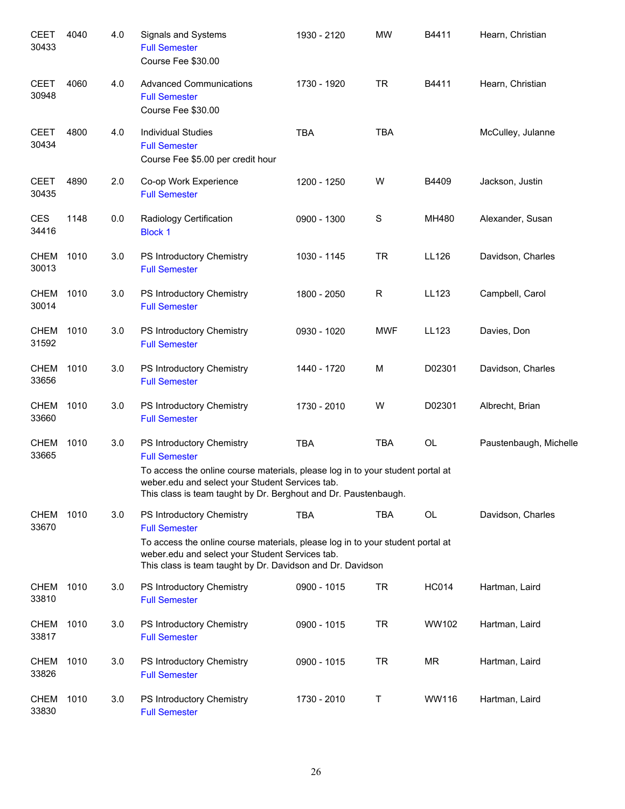| <b>CEET</b><br>30433 | 4040 | 4.0 | Signals and Systems<br><b>Full Semester</b><br>Course Fee \$30.00                                                                                                                                                                                         | 1930 - 2120 | <b>MW</b>   | B4411        | Hearn, Christian       |
|----------------------|------|-----|-----------------------------------------------------------------------------------------------------------------------------------------------------------------------------------------------------------------------------------------------------------|-------------|-------------|--------------|------------------------|
| <b>CEET</b><br>30948 | 4060 | 4.0 | <b>Advanced Communications</b><br><b>Full Semester</b><br>Course Fee \$30.00                                                                                                                                                                              | 1730 - 1920 | <b>TR</b>   | B4411        | Hearn, Christian       |
| <b>CEET</b><br>30434 | 4800 | 4.0 | <b>Individual Studies</b><br><b>Full Semester</b><br>Course Fee \$5.00 per credit hour                                                                                                                                                                    | <b>TBA</b>  | <b>TBA</b>  |              | McCulley, Julanne      |
| <b>CEET</b><br>30435 | 4890 | 2.0 | Co-op Work Experience<br><b>Full Semester</b>                                                                                                                                                                                                             | 1200 - 1250 | W           | B4409        | Jackson, Justin        |
| <b>CES</b><br>34416  | 1148 | 0.0 | Radiology Certification<br><b>Block 1</b>                                                                                                                                                                                                                 | 0900 - 1300 | $\mathbf S$ | MH480        | Alexander, Susan       |
| <b>CHEM</b><br>30013 | 1010 | 3.0 | PS Introductory Chemistry<br><b>Full Semester</b>                                                                                                                                                                                                         | 1030 - 1145 | <b>TR</b>   | LL126        | Davidson, Charles      |
| <b>CHEM</b><br>30014 | 1010 | 3.0 | PS Introductory Chemistry<br><b>Full Semester</b>                                                                                                                                                                                                         | 1800 - 2050 | R           | LL123        | Campbell, Carol        |
| <b>CHEM</b><br>31592 | 1010 | 3.0 | PS Introductory Chemistry<br><b>Full Semester</b>                                                                                                                                                                                                         | 0930 - 1020 | <b>MWF</b>  | LL123        | Davies, Don            |
| <b>CHEM</b><br>33656 | 1010 | 3.0 | PS Introductory Chemistry<br><b>Full Semester</b>                                                                                                                                                                                                         | 1440 - 1720 | M           | D02301       | Davidson, Charles      |
| <b>CHEM</b><br>33660 | 1010 | 3.0 | PS Introductory Chemistry<br><b>Full Semester</b>                                                                                                                                                                                                         | 1730 - 2010 | W           | D02301       | Albrecht, Brian        |
| <b>CHEM</b><br>33665 | 1010 | 3.0 | PS Introductory Chemistry<br><b>Full Semester</b><br>To access the online course materials, please log in to your student portal at<br>weber.edu and select your Student Services tab.<br>This class is team taught by Dr. Berghout and Dr. Paustenbaugh. | <b>TBA</b>  | <b>TBA</b>  | OL           | Paustenbaugh, Michelle |
| <b>CHEM</b><br>33670 | 1010 | 3.0 | PS Introductory Chemistry<br><b>Full Semester</b><br>To access the online course materials, please log in to your student portal at<br>weber.edu and select your Student Services tab.<br>This class is team taught by Dr. Davidson and Dr. Davidson      | <b>TBA</b>  | <b>TBA</b>  | OL           | Davidson, Charles      |
| <b>CHEM</b><br>33810 | 1010 | 3.0 | PS Introductory Chemistry<br><b>Full Semester</b>                                                                                                                                                                                                         | 0900 - 1015 | <b>TR</b>   | <b>HC014</b> | Hartman, Laird         |
| <b>CHEM</b><br>33817 | 1010 | 3.0 | PS Introductory Chemistry<br><b>Full Semester</b>                                                                                                                                                                                                         | 0900 - 1015 | <b>TR</b>   | WW102        | Hartman, Laird         |
| <b>CHEM</b><br>33826 | 1010 | 3.0 | PS Introductory Chemistry<br><b>Full Semester</b>                                                                                                                                                                                                         | 0900 - 1015 | <b>TR</b>   | <b>MR</b>    | Hartman, Laird         |
| <b>CHEM</b><br>33830 | 1010 | 3.0 | PS Introductory Chemistry<br><b>Full Semester</b>                                                                                                                                                                                                         | 1730 - 2010 | T           | WW116        | Hartman, Laird         |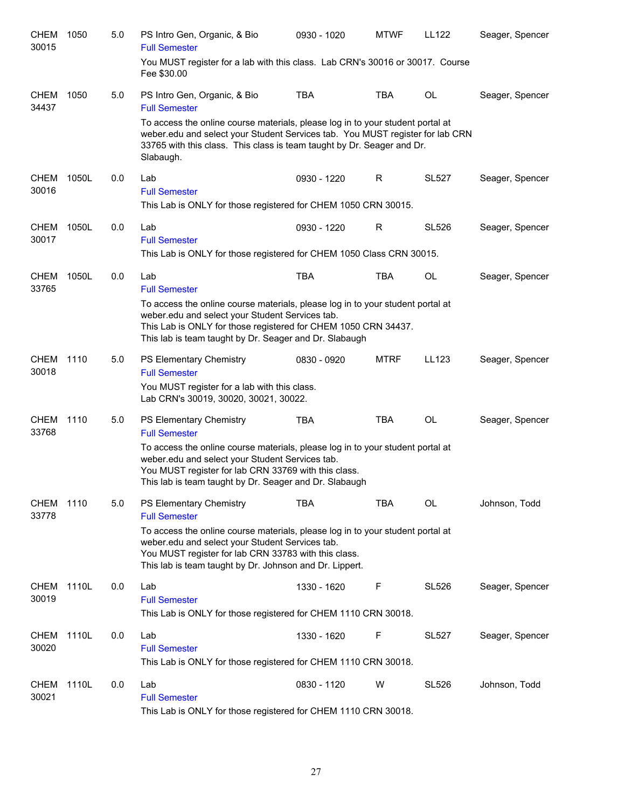| <b>CHEM</b><br>30015 | 1050  | 5.0 | PS Intro Gen, Organic, & Bio<br><b>Full Semester</b>                                                                                                                                                                                                          | 0930 - 1020 | <b>MTWF</b> | LL122        | Seager, Spencer |
|----------------------|-------|-----|---------------------------------------------------------------------------------------------------------------------------------------------------------------------------------------------------------------------------------------------------------------|-------------|-------------|--------------|-----------------|
|                      |       |     | You MUST register for a lab with this class. Lab CRN's 30016 or 30017. Course<br>Fee \$30.00                                                                                                                                                                  |             |             |              |                 |
| <b>CHEM</b><br>34437 | 1050  | 5.0 | PS Intro Gen, Organic, & Bio<br><b>Full Semester</b>                                                                                                                                                                                                          | <b>TBA</b>  | <b>TBA</b>  | OL           | Seager, Spencer |
|                      |       |     | To access the online course materials, please log in to your student portal at<br>weber.edu and select your Student Services tab. You MUST register for lab CRN<br>33765 with this class. This class is team taught by Dr. Seager and Dr.<br>Slabaugh.        |             |             |              |                 |
| CHEM<br>30016        | 1050L | 0.0 | Lab<br><b>Full Semester</b><br>This Lab is ONLY for those registered for CHEM 1050 CRN 30015.                                                                                                                                                                 | 0930 - 1220 | R           | <b>SL527</b> | Seager, Spencer |
| <b>CHEM</b><br>30017 | 1050L | 0.0 | Lab<br><b>Full Semester</b>                                                                                                                                                                                                                                   | 0930 - 1220 | R           | <b>SL526</b> | Seager, Spencer |
|                      |       |     | This Lab is ONLY for those registered for CHEM 1050 Class CRN 30015.                                                                                                                                                                                          |             |             |              |                 |
| <b>CHEM</b><br>33765 | 1050L | 0.0 | Lab<br><b>Full Semester</b>                                                                                                                                                                                                                                   | <b>TBA</b>  | <b>TBA</b>  | OL           | Seager, Spencer |
|                      |       |     | To access the online course materials, please log in to your student portal at<br>weber.edu and select your Student Services tab.<br>This Lab is ONLY for those registered for CHEM 1050 CRN 34437.<br>This lab is team taught by Dr. Seager and Dr. Slabaugh |             |             |              |                 |
| <b>CHEM</b><br>30018 | 1110  | 5.0 | PS Elementary Chemistry<br><b>Full Semester</b><br>You MUST register for a lab with this class.<br>Lab CRN's 30019, 30020, 30021, 30022.                                                                                                                      | 0830 - 0920 | <b>MTRF</b> | LL123        | Seager, Spencer |
| <b>CHEM</b><br>33768 | 1110  | 5.0 | PS Elementary Chemistry<br><b>Full Semester</b>                                                                                                                                                                                                               | <b>TBA</b>  | <b>TBA</b>  | OL           | Seager, Spencer |
|                      |       |     | To access the online course materials, please log in to your student portal at<br>weber.edu and select your Student Services tab.<br>You MUST register for lab CRN 33769 with this class.<br>This lab is team taught by Dr. Seager and Dr. Slabaugh           |             |             |              |                 |
| <b>CHEM</b><br>33778 | 1110  | 5.0 | PS Elementary Chemistry<br><b>Full Semester</b>                                                                                                                                                                                                               | <b>TBA</b>  | <b>TBA</b>  | OL           | Johnson, Todd   |
|                      |       |     | To access the online course materials, please log in to your student portal at<br>weber.edu and select your Student Services tab.<br>You MUST register for lab CRN 33783 with this class.<br>This lab is team taught by Dr. Johnson and Dr. Lippert.          |             |             |              |                 |
| <b>CHEM</b><br>30019 | 1110L | 0.0 | Lab<br><b>Full Semester</b><br>This Lab is ONLY for those registered for CHEM 1110 CRN 30018.                                                                                                                                                                 | 1330 - 1620 | F           | <b>SL526</b> | Seager, Spencer |
| CHEM<br>30020        | 1110L | 0.0 | Lab<br><b>Full Semester</b><br>This Lab is ONLY for those registered for CHEM 1110 CRN 30018.                                                                                                                                                                 | 1330 - 1620 | F           | <b>SL527</b> | Seager, Spencer |
| <b>CHEM</b><br>30021 | 1110L | 0.0 | Lab<br><b>Full Semester</b>                                                                                                                                                                                                                                   | 0830 - 1120 | W           | <b>SL526</b> | Johnson, Todd   |
|                      |       |     |                                                                                                                                                                                                                                                               |             |             |              |                 |

This Lab is ONLY for those registered for CHEM 1110 CRN 30018.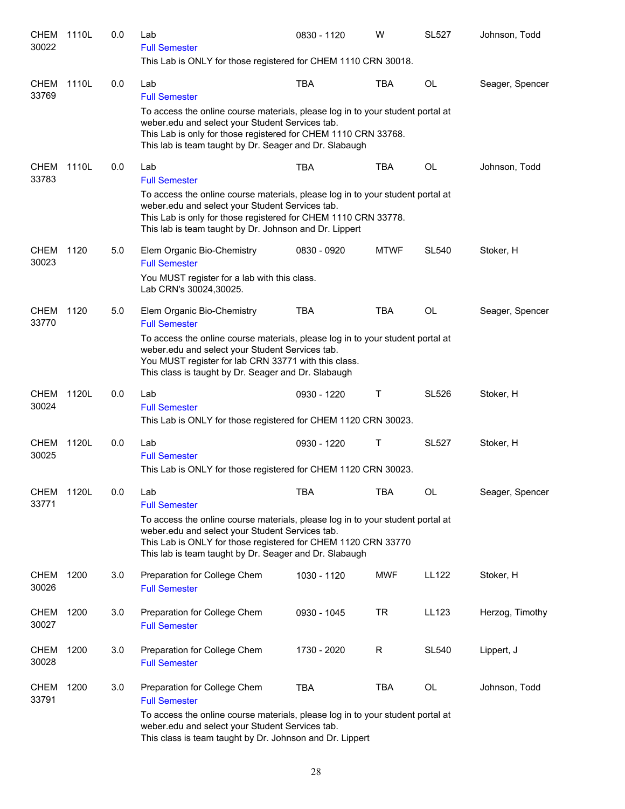| <b>CHEM</b><br>30022 | 1110L | 0.0 | Lab<br><b>Full Semester</b>                                                                                                                                                                                                                                   | 0830 - 1120 | W           | <b>SL527</b> | Johnson, Todd   |
|----------------------|-------|-----|---------------------------------------------------------------------------------------------------------------------------------------------------------------------------------------------------------------------------------------------------------------|-------------|-------------|--------------|-----------------|
|                      |       |     | This Lab is ONLY for those registered for CHEM 1110 CRN 30018.                                                                                                                                                                                                |             |             |              |                 |
| <b>CHEM</b><br>33769 | 1110L | 0.0 | Lab<br><b>Full Semester</b>                                                                                                                                                                                                                                   | <b>TBA</b>  | <b>TBA</b>  | OL           | Seager, Spencer |
|                      |       |     | To access the online course materials, please log in to your student portal at<br>weber.edu and select your Student Services tab.<br>This Lab is only for those registered for CHEM 1110 CRN 33768.<br>This lab is team taught by Dr. Seager and Dr. Slabaugh |             |             |              |                 |
| <b>CHEM</b><br>33783 | 1110L | 0.0 | Lab<br><b>Full Semester</b>                                                                                                                                                                                                                                   | <b>TBA</b>  | <b>TBA</b>  | <b>OL</b>    | Johnson, Todd   |
|                      |       |     | To access the online course materials, please log in to your student portal at<br>weber.edu and select your Student Services tab.<br>This Lab is only for those registered for CHEM 1110 CRN 33778.<br>This lab is team taught by Dr. Johnson and Dr. Lippert |             |             |              |                 |
| CHEM<br>30023        | 1120  | 5.0 | Elem Organic Bio-Chemistry<br><b>Full Semester</b>                                                                                                                                                                                                            | 0830 - 0920 | <b>MTWF</b> | <b>SL540</b> | Stoker, H       |
|                      |       |     | You MUST register for a lab with this class.<br>Lab CRN's 30024,30025.                                                                                                                                                                                        |             |             |              |                 |
| <b>CHEM</b><br>33770 | 1120  | 5.0 | Elem Organic Bio-Chemistry<br><b>Full Semester</b>                                                                                                                                                                                                            | <b>TBA</b>  | <b>TBA</b>  | OL           | Seager, Spencer |
|                      |       |     | To access the online course materials, please log in to your student portal at<br>weber.edu and select your Student Services tab.<br>You MUST register for lab CRN 33771 with this class.<br>This class is taught by Dr. Seager and Dr. Slabaugh              |             |             |              |                 |
| <b>CHEM</b><br>30024 | 1120L | 0.0 | Lab<br><b>Full Semester</b><br>This Lab is ONLY for those registered for CHEM 1120 CRN 30023.                                                                                                                                                                 | 0930 - 1220 | Τ           | <b>SL526</b> | Stoker, H       |
| <b>CHEM</b><br>30025 | 1120L | 0.0 | Lab<br><b>Full Semester</b><br>This Lab is ONLY for those registered for CHEM 1120 CRN 30023.                                                                                                                                                                 | 0930 - 1220 | Τ           | <b>SL527</b> | Stoker, H       |
| CHEM<br>33771        | 1120L | 0.0 | Lab<br><b>Full Semester</b>                                                                                                                                                                                                                                   | TBA         | TBA         | OL           | Seager, Spencer |
|                      |       |     | To access the online course materials, please log in to your student portal at<br>weber.edu and select your Student Services tab.<br>This Lab is ONLY for those registered for CHEM 1120 CRN 33770<br>This lab is team taught by Dr. Seager and Dr. Slabaugh  |             |             |              |                 |
| CHEM<br>30026        | 1200  | 3.0 | Preparation for College Chem<br><b>Full Semester</b>                                                                                                                                                                                                          | 1030 - 1120 | <b>MWF</b>  | <b>LL122</b> | Stoker, H       |
| <b>CHEM</b><br>30027 | 1200  | 3.0 | Preparation for College Chem<br><b>Full Semester</b>                                                                                                                                                                                                          | 0930 - 1045 | <b>TR</b>   | LL123        | Herzog, Timothy |
| <b>CHEM</b><br>30028 | 1200  | 3.0 | Preparation for College Chem<br><b>Full Semester</b>                                                                                                                                                                                                          | 1730 - 2020 | R           | <b>SL540</b> | Lippert, J      |
| <b>CHEM</b><br>33791 | 1200  | 3.0 | Preparation for College Chem<br><b>Full Semester</b>                                                                                                                                                                                                          | <b>TBA</b>  | TBA         | OL           | Johnson, Todd   |
|                      |       |     | To access the online course materials, please log in to your student portal at<br>weber.edu and select your Student Services tab.<br>This class is team taught by Dr. Johnson and Dr. Lippert                                                                 |             |             |              |                 |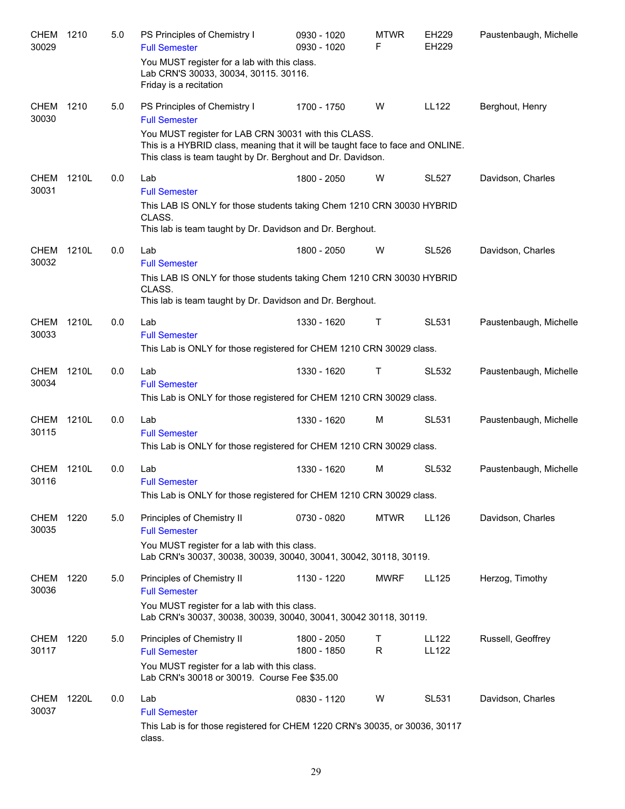| <b>CHEM</b><br>30029 | 1210  | 5.0 | PS Principles of Chemistry I<br><b>Full Semester</b><br>You MUST register for a lab with this class.                                                                                                   | 0930 - 1020<br>0930 - 1020 | <b>MTWR</b><br>F | EH229<br>EH229 | Paustenbaugh, Michelle |
|----------------------|-------|-----|--------------------------------------------------------------------------------------------------------------------------------------------------------------------------------------------------------|----------------------------|------------------|----------------|------------------------|
|                      |       |     | Lab CRN'S 30033, 30034, 30115. 30116.<br>Friday is a recitation                                                                                                                                        |                            |                  |                |                        |
| <b>CHEM</b><br>30030 | 1210  | 5.0 | PS Principles of Chemistry I<br><b>Full Semester</b>                                                                                                                                                   | 1700 - 1750                | W                | <b>LL122</b>   | Berghout, Henry        |
|                      |       |     | You MUST register for LAB CRN 30031 with this CLASS.<br>This is a HYBRID class, meaning that it will be taught face to face and ONLINE.<br>This class is team taught by Dr. Berghout and Dr. Davidson. |                            |                  |                |                        |
| <b>CHEM</b><br>30031 | 1210L | 0.0 | Lab<br><b>Full Semester</b>                                                                                                                                                                            | 1800 - 2050                | W                | <b>SL527</b>   | Davidson, Charles      |
|                      |       |     | This LAB IS ONLY for those students taking Chem 1210 CRN 30030 HYBRID<br>CLASS.<br>This lab is team taught by Dr. Davidson and Dr. Berghout.                                                           |                            |                  |                |                        |
| <b>CHEM</b><br>30032 | 1210L | 0.0 | Lab<br><b>Full Semester</b>                                                                                                                                                                            | 1800 - 2050                | W                | <b>SL526</b>   | Davidson, Charles      |
|                      |       |     | This LAB IS ONLY for those students taking Chem 1210 CRN 30030 HYBRID<br>CLASS.<br>This lab is team taught by Dr. Davidson and Dr. Berghout.                                                           |                            |                  |                |                        |
| <b>CHEM</b><br>30033 | 1210L | 0.0 | Lab<br><b>Full Semester</b>                                                                                                                                                                            | 1330 - 1620                | Τ                | <b>SL531</b>   | Paustenbaugh, Michelle |
|                      |       |     | This Lab is ONLY for those registered for CHEM 1210 CRN 30029 class.                                                                                                                                   |                            |                  |                |                        |
| <b>CHEM</b><br>30034 | 1210L | 0.0 | Lab<br><b>Full Semester</b><br>This Lab is ONLY for those registered for CHEM 1210 CRN 30029 class.                                                                                                    | 1330 - 1620                | Т                | <b>SL532</b>   | Paustenbaugh, Michelle |
| <b>CHEM</b>          | 1210L | 0.0 | Lab                                                                                                                                                                                                    | 1330 - 1620                | M                | <b>SL531</b>   | Paustenbaugh, Michelle |
| 30115                |       |     | <b>Full Semester</b><br>This Lab is ONLY for those registered for CHEM 1210 CRN 30029 class.                                                                                                           |                            |                  |                |                        |
| <b>CHEM</b><br>30116 | 1210L | 0.0 | Lab<br><b>Full Semester</b><br>This Lab is ONLY for those registered for CHEM 1210 CRN 30029 class.                                                                                                    | 1330 - 1620                | M                | <b>SL532</b>   | Paustenbaugh, Michelle |
|                      |       |     |                                                                                                                                                                                                        |                            |                  |                |                        |
| <b>CHEM</b><br>30035 | 1220  | 5.0 | Principles of Chemistry II<br><b>Full Semester</b><br>You MUST register for a lab with this class.                                                                                                     | 0730 - 0820                | <b>MTWR</b>      | LL126          | Davidson, Charles      |
|                      |       |     | Lab CRN's 30037, 30038, 30039, 30040, 30041, 30042, 30118, 30119.                                                                                                                                      |                            |                  |                |                        |
| <b>CHEM</b><br>30036 | 1220  | 5.0 | Principles of Chemistry II<br><b>Full Semester</b>                                                                                                                                                     | 1130 - 1220                | <b>MWRF</b>      | LL125          | Herzog, Timothy        |
|                      |       |     | You MUST register for a lab with this class.<br>Lab CRN's 30037, 30038, 30039, 30040, 30041, 30042 30118, 30119.                                                                                       |                            |                  |                |                        |
| <b>CHEM</b><br>30117 | 1220  | 5.0 | Principles of Chemistry II<br><b>Full Semester</b>                                                                                                                                                     | 1800 - 2050<br>1800 - 1850 | Т<br>R           | LL122<br>LL122 | Russell, Geoffrey      |
|                      |       |     | You MUST register for a lab with this class.<br>Lab CRN's 30018 or 30019. Course Fee \$35.00                                                                                                           |                            |                  |                |                        |
| <b>CHEM</b><br>30037 | 1220L | 0.0 | Lab<br><b>Full Semester</b>                                                                                                                                                                            | 0830 - 1120                | W                | <b>SL531</b>   | Davidson, Charles      |
|                      |       |     | This Lab is for those registered for CHEM 1220 CRN's 30035, or 30036, 30117<br>class.                                                                                                                  |                            |                  |                |                        |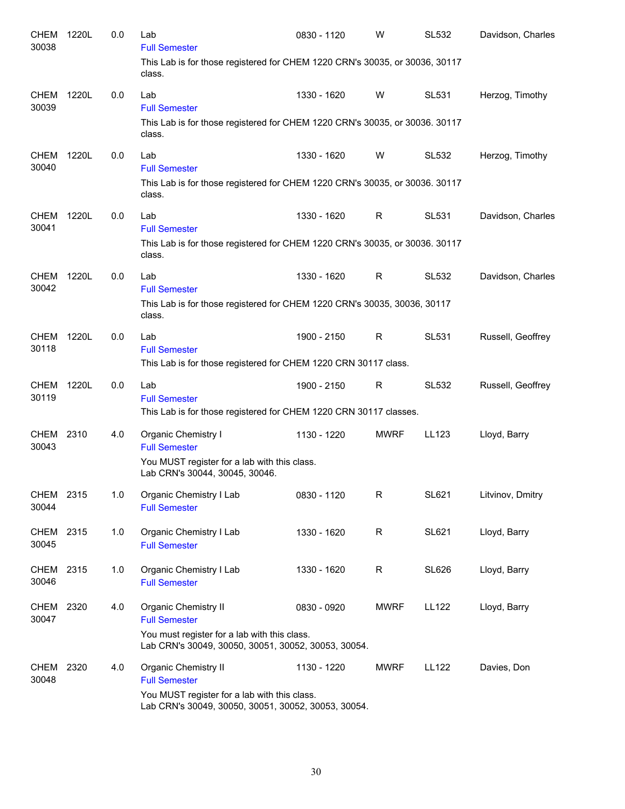| CHEM<br>30038        | 1220L | 0.0 | Lab<br><b>Full Semester</b><br>This Lab is for those registered for CHEM 1220 CRN's 30035, or 30036, 30117                                                 | 0830 - 1120 | W           | SL532        | Davidson, Charles |
|----------------------|-------|-----|------------------------------------------------------------------------------------------------------------------------------------------------------------|-------------|-------------|--------------|-------------------|
| <b>CHEM</b><br>30039 | 1220L | 0.0 | class.<br>Lab<br><b>Full Semester</b>                                                                                                                      | 1330 - 1620 | W           | <b>SL531</b> | Herzog, Timothy   |
|                      |       |     | This Lab is for those registered for CHEM 1220 CRN's 30035, or 30036. 30117<br>class.                                                                      |             |             |              |                   |
| <b>CHEM</b><br>30040 | 1220L | 0.0 | Lab<br><b>Full Semester</b><br>This Lab is for those registered for CHEM 1220 CRN's 30035, or 30036. 30117<br>class.                                       | 1330 - 1620 | W           | <b>SL532</b> | Herzog, Timothy   |
| <b>CHEM</b><br>30041 | 1220L | 0.0 | Lab<br><b>Full Semester</b><br>This Lab is for those registered for CHEM 1220 CRN's 30035, or 30036. 30117<br>class.                                       | 1330 - 1620 | R           | <b>SL531</b> | Davidson, Charles |
| <b>CHEM</b><br>30042 | 1220L | 0.0 | Lab<br><b>Full Semester</b><br>This Lab is for those registered for CHEM 1220 CRN's 30035, 30036, 30117<br>class.                                          | 1330 - 1620 | R           | <b>SL532</b> | Davidson, Charles |
| <b>CHEM</b><br>30118 | 1220L | 0.0 | Lab<br><b>Full Semester</b><br>This Lab is for those registered for CHEM 1220 CRN 30117 class.                                                             | 1900 - 2150 | R           | <b>SL531</b> | Russell, Geoffrey |
| <b>CHEM</b><br>30119 | 1220L | 0.0 | Lab<br><b>Full Semester</b><br>This Lab is for those registered for CHEM 1220 CRN 30117 classes.                                                           | 1900 - 2150 | R           | <b>SL532</b> | Russell, Geoffrey |
| <b>CHEM</b><br>30043 | 2310  | 4.0 | Organic Chemistry I<br><b>Full Semester</b><br>You MUST register for a lab with this class.<br>Lab CRN's 30044, 30045, 30046.                              | 1130 - 1220 | <b>MWRF</b> | LL123        | Lloyd, Barry      |
| CHEM<br>30044        | 2315  | 1.0 | Organic Chemistry I Lab<br><b>Full Semester</b>                                                                                                            | 0830 - 1120 | R           | <b>SL621</b> | Litvinov, Dmitry  |
| CHEM<br>30045        | 2315  | 1.0 | Organic Chemistry I Lab<br><b>Full Semester</b>                                                                                                            | 1330 - 1620 | R           | <b>SL621</b> | Lloyd, Barry      |
| <b>CHEM</b><br>30046 | 2315  | 1.0 | Organic Chemistry I Lab<br><b>Full Semester</b>                                                                                                            | 1330 - 1620 | R           | SL626        | Lloyd, Barry      |
| <b>CHEM</b><br>30047 | 2320  | 4.0 | <b>Organic Chemistry II</b><br><b>Full Semester</b><br>You must register for a lab with this class.<br>Lab CRN's 30049, 30050, 30051, 30052, 30053, 30054. | 0830 - 0920 | <b>MWRF</b> | <b>LL122</b> | Lloyd, Barry      |
| <b>CHEM</b><br>30048 | 2320  | 4.0 | Organic Chemistry II<br><b>Full Semester</b><br>You MUST register for a lab with this class.<br>Lab CRN's 30049, 30050, 30051, 30052, 30053, 30054.        | 1130 - 1220 | <b>MWRF</b> | <b>LL122</b> | Davies, Don       |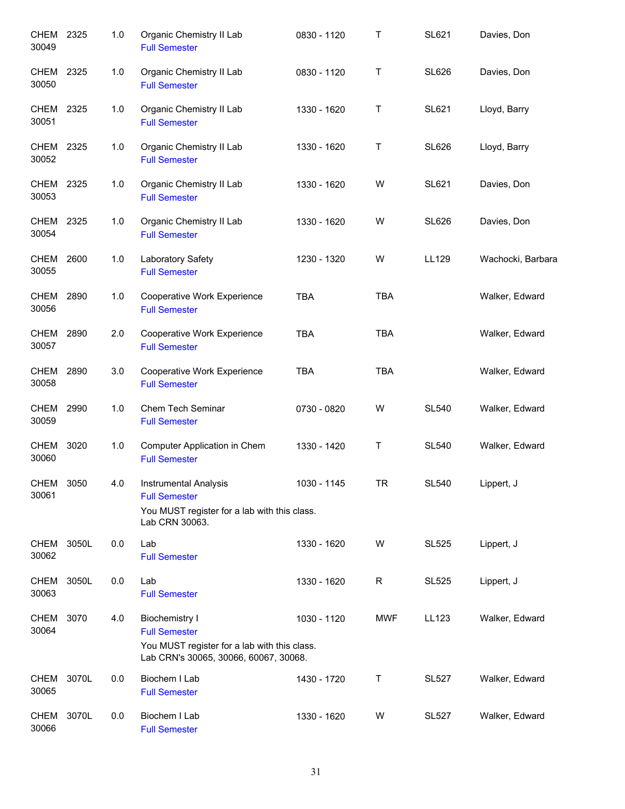| <b>CHEM</b><br>30049 | 2325  | 1.0   | Organic Chemistry II Lab<br><b>Full Semester</b>                                              | 0830 - 1120 | Т          | <b>SL621</b> | Davies, Don       |
|----------------------|-------|-------|-----------------------------------------------------------------------------------------------|-------------|------------|--------------|-------------------|
| <b>CHEM</b><br>30050 | 2325  | 1.0   | Organic Chemistry II Lab<br><b>Full Semester</b>                                              | 0830 - 1120 | Τ          | <b>SL626</b> | Davies, Don       |
| <b>CHEM</b><br>30051 | 2325  | 1.0   | Organic Chemistry II Lab<br><b>Full Semester</b>                                              | 1330 - 1620 | Τ          | <b>SL621</b> | Lloyd, Barry      |
| <b>CHEM</b><br>30052 | 2325  | 1.0   | Organic Chemistry II Lab<br><b>Full Semester</b>                                              | 1330 - 1620 | Τ          | <b>SL626</b> | Lloyd, Barry      |
| CHEM 2325<br>30053   |       | 1.0   | Organic Chemistry II Lab<br><b>Full Semester</b>                                              | 1330 - 1620 | W          | SL621        | Davies, Don       |
| CHEM 2325<br>30054   |       | 1.0   | Organic Chemistry II Lab<br><b>Full Semester</b>                                              | 1330 - 1620 | W          | <b>SL626</b> | Davies, Don       |
| CHEM 2600<br>30055   |       | $1.0$ | Laboratory Safety<br><b>Full Semester</b>                                                     | 1230 - 1320 | W          | LL129        | Wachocki, Barbara |
| <b>CHEM</b><br>30056 | 2890  | 1.0   | Cooperative Work Experience<br><b>Full Semester</b>                                           | <b>TBA</b>  | <b>TBA</b> |              | Walker, Edward    |
| CHEM<br>30057        | 2890  | 2.0   | Cooperative Work Experience<br><b>Full Semester</b>                                           | <b>TBA</b>  | <b>TBA</b> |              | Walker, Edward    |
| <b>CHEM</b><br>30058 | 2890  | 3.0   | Cooperative Work Experience<br><b>Full Semester</b>                                           | <b>TBA</b>  | <b>TBA</b> |              | Walker, Edward    |
| <b>CHEM</b><br>30059 | 2990  | 1.0   | Chem Tech Seminar<br><b>Full Semester</b>                                                     | 0730 - 0820 | W          | <b>SL540</b> | Walker, Edward    |
| <b>CHEM</b><br>30060 | 3020  | 1.0   | Computer Application in Chem<br><b>Full Semester</b>                                          | 1330 - 1420 | T          | <b>SL540</b> | Walker, Edward    |
| <b>CHEM</b><br>30061 | 3050  | 4.0   | Instrumental Analysis<br><b>Full Semester</b>                                                 | 1030 - 1145 | <b>TR</b>  | <b>SL540</b> | Lippert, J        |
|                      |       |       | You MUST register for a lab with this class.<br>Lab CRN 30063.                                |             |            |              |                   |
| <b>CHEM</b><br>30062 | 3050L | 0.0   | Lab<br><b>Full Semester</b>                                                                   | 1330 - 1620 | W          | <b>SL525</b> | Lippert, J        |
| <b>CHEM</b><br>30063 | 3050L | 0.0   | Lab<br><b>Full Semester</b>                                                                   | 1330 - 1620 | R          | <b>SL525</b> | Lippert, J        |
| <b>CHEM</b><br>30064 | 3070  | 4.0   | <b>Biochemistry I</b><br><b>Full Semester</b><br>You MUST register for a lab with this class. | 1030 - 1120 | MWF        | LL123        | Walker, Edward    |
|                      |       |       | Lab CRN's 30065, 30066, 60067, 30068.                                                         |             |            |              |                   |
| <b>CHEM</b><br>30065 | 3070L | 0.0   | Biochem I Lab<br><b>Full Semester</b>                                                         | 1430 - 1720 | Т          | <b>SL527</b> | Walker, Edward    |
| <b>CHEM</b><br>30066 | 3070L | 0.0   | Biochem I Lab<br><b>Full Semester</b>                                                         | 1330 - 1620 | W          | <b>SL527</b> | Walker, Edward    |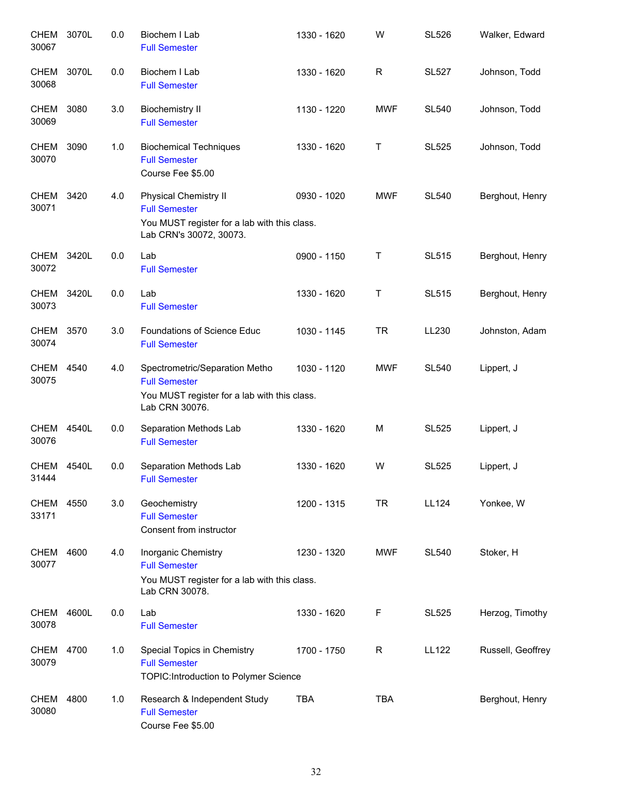| CHEM<br>30067        | 3070L | 0.0 | Biochem I Lab<br><b>Full Semester</b>                                                                                           | 1330 - 1620 | W           | <b>SL526</b> | Walker, Edward    |
|----------------------|-------|-----|---------------------------------------------------------------------------------------------------------------------------------|-------------|-------------|--------------|-------------------|
| <b>CHEM</b><br>30068 | 3070L | 0.0 | Biochem I Lab<br><b>Full Semester</b>                                                                                           | 1330 - 1620 | R           | <b>SL527</b> | Johnson, Todd     |
| <b>CHEM</b><br>30069 | 3080  | 3.0 | <b>Biochemistry II</b><br><b>Full Semester</b>                                                                                  | 1130 - 1220 | <b>MWF</b>  | <b>SL540</b> | Johnson, Todd     |
| <b>CHEM</b><br>30070 | 3090  | 1.0 | <b>Biochemical Techniques</b><br><b>Full Semester</b><br>Course Fee \$5.00                                                      | 1330 - 1620 | Τ           | <b>SL525</b> | Johnson, Todd     |
| CHEM<br>30071        | 3420  | 4.0 | <b>Physical Chemistry II</b><br><b>Full Semester</b><br>You MUST register for a lab with this class.<br>Lab CRN's 30072, 30073. | 0930 - 1020 | <b>MWF</b>  | <b>SL540</b> | Berghout, Henry   |
| <b>CHEM</b><br>30072 | 3420L | 0.0 | Lab<br><b>Full Semester</b>                                                                                                     | 0900 - 1150 | Т           | <b>SL515</b> | Berghout, Henry   |
| <b>CHEM</b><br>30073 | 3420L | 0.0 | Lab<br><b>Full Semester</b>                                                                                                     | 1330 - 1620 | Τ           | <b>SL515</b> | Berghout, Henry   |
| CHEM<br>30074        | 3570  | 3.0 | Foundations of Science Educ<br><b>Full Semester</b>                                                                             | 1030 - 1145 | <b>TR</b>   | LL230        | Johnston, Adam    |
| CHEM<br>30075        | 4540  | 4.0 | Spectrometric/Separation Metho<br><b>Full Semester</b><br>You MUST register for a lab with this class.<br>Lab CRN 30076.        | 1030 - 1120 | <b>MWF</b>  | <b>SL540</b> | Lippert, J        |
| CHEM 4540L<br>30076  |       | 0.0 | Separation Methods Lab<br><b>Full Semester</b>                                                                                  | 1330 - 1620 | M           | <b>SL525</b> | Lippert, J        |
| <b>CHEM</b><br>31444 | 4540L | 0.0 | Separation Methods Lab<br><b>Full Semester</b>                                                                                  | 1330 - 1620 | W           | <b>SL525</b> | Lippert, J        |
| CHEM<br>33171        | 4550  | 3.0 | Geochemistry<br><b>Full Semester</b><br>Consent from instructor                                                                 | 1200 - 1315 | <b>TR</b>   | <b>LL124</b> | Yonkee, W         |
| CHEM<br>30077        | 4600  | 4.0 | Inorganic Chemistry<br><b>Full Semester</b><br>You MUST register for a lab with this class.<br>Lab CRN 30078.                   | 1230 - 1320 | <b>MWF</b>  | <b>SL540</b> | Stoker, H         |
| <b>CHEM</b><br>30078 | 4600L | 0.0 | Lab<br><b>Full Semester</b>                                                                                                     | 1330 - 1620 | F           | <b>SL525</b> | Herzog, Timothy   |
| CHEM<br>30079        | 4700  | 1.0 | Special Topics in Chemistry<br><b>Full Semester</b><br>TOPIC: Introduction to Polymer Science                                   | 1700 - 1750 | $\mathsf R$ | <b>LL122</b> | Russell, Geoffrey |
| <b>CHEM</b><br>30080 | 4800  | 1.0 | Research & Independent Study<br><b>Full Semester</b><br>Course Fee \$5.00                                                       | <b>TBA</b>  | <b>TBA</b>  |              | Berghout, Henry   |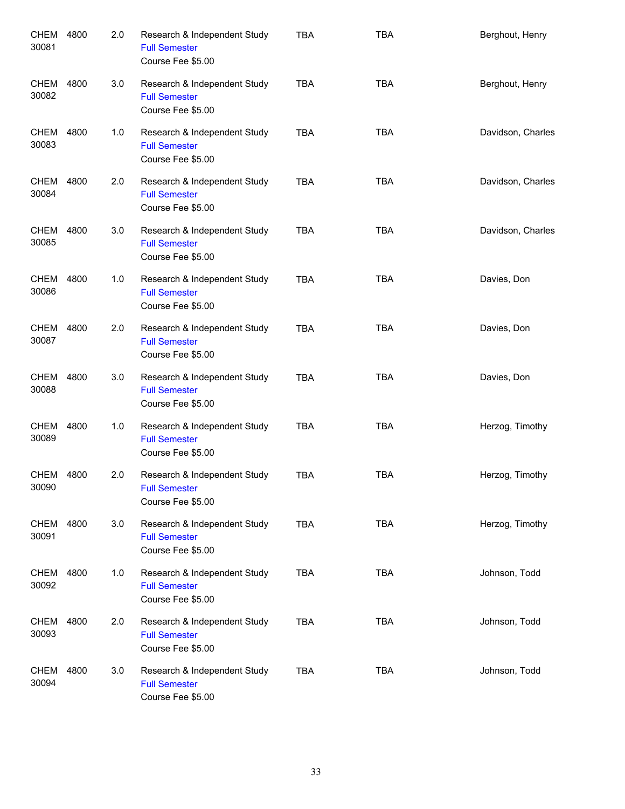| <b>CHEM</b><br>30081 | 4800 | 2.0 | Research & Independent Study<br><b>Full Semester</b><br>Course Fee \$5.00 | <b>TBA</b> | <b>TBA</b> | Berghout, Henry   |
|----------------------|------|-----|---------------------------------------------------------------------------|------------|------------|-------------------|
| CHEM<br>30082        | 4800 | 3.0 | Research & Independent Study<br><b>Full Semester</b><br>Course Fee \$5.00 | <b>TBA</b> | <b>TBA</b> | Berghout, Henry   |
| CHEM<br>30083        | 4800 | 1.0 | Research & Independent Study<br><b>Full Semester</b><br>Course Fee \$5.00 | <b>TBA</b> | <b>TBA</b> | Davidson, Charles |
| CHEM<br>30084        | 4800 | 2.0 | Research & Independent Study<br><b>Full Semester</b><br>Course Fee \$5.00 | <b>TBA</b> | <b>TBA</b> | Davidson, Charles |
| CHEM<br>30085        | 4800 | 3.0 | Research & Independent Study<br><b>Full Semester</b><br>Course Fee \$5.00 | <b>TBA</b> | <b>TBA</b> | Davidson, Charles |
| CHEM<br>30086        | 4800 | 1.0 | Research & Independent Study<br><b>Full Semester</b><br>Course Fee \$5.00 | <b>TBA</b> | <b>TBA</b> | Davies, Don       |
| CHEM<br>30087        | 4800 | 2.0 | Research & Independent Study<br><b>Full Semester</b><br>Course Fee \$5.00 | <b>TBA</b> | <b>TBA</b> | Davies, Don       |
| <b>CHEM</b><br>30088 | 4800 | 3.0 | Research & Independent Study<br><b>Full Semester</b><br>Course Fee \$5.00 | <b>TBA</b> | <b>TBA</b> | Davies, Don       |
| CHEM<br>30089        | 4800 | 1.0 | Research & Independent Study<br><b>Full Semester</b><br>Course Fee \$5.00 | <b>TBA</b> | <b>TBA</b> | Herzog, Timothy   |
| CHEM<br>30090        | 4800 | 2.0 | Research & Independent Study<br><b>Full Semester</b><br>Course Fee \$5.00 | <b>TBA</b> | <b>TBA</b> | Herzog, Timothy   |
| CHEM<br>30091        | 4800 | 3.0 | Research & Independent Study<br><b>Full Semester</b><br>Course Fee \$5.00 | <b>TBA</b> | <b>TBA</b> | Herzog, Timothy   |
| CHEM<br>30092        | 4800 | 1.0 | Research & Independent Study<br><b>Full Semester</b><br>Course Fee \$5.00 | <b>TBA</b> | <b>TBA</b> | Johnson, Todd     |
| CHEM<br>30093        | 4800 | 2.0 | Research & Independent Study<br><b>Full Semester</b><br>Course Fee \$5.00 | <b>TBA</b> | <b>TBA</b> | Johnson, Todd     |
| CHEM<br>30094        | 4800 | 3.0 | Research & Independent Study<br><b>Full Semester</b><br>Course Fee \$5.00 | <b>TBA</b> | <b>TBA</b> | Johnson, Todd     |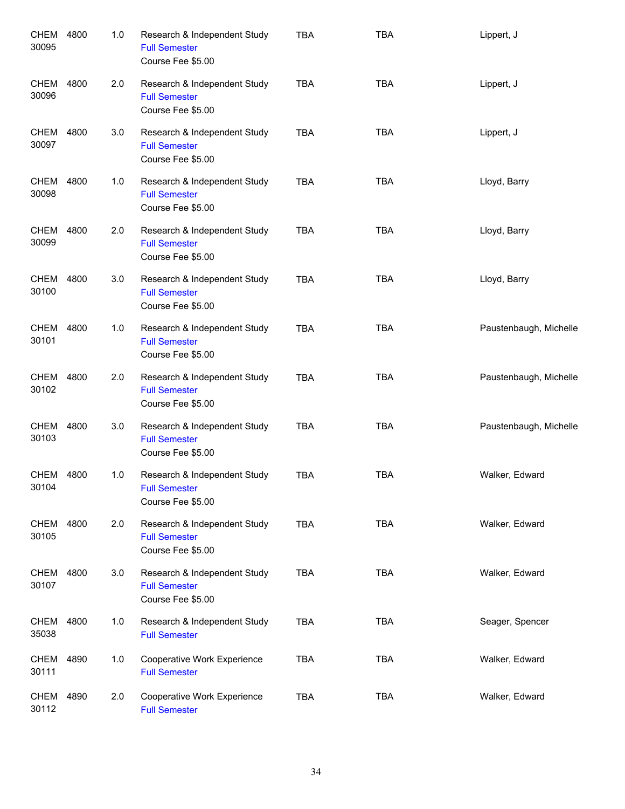| <b>CHEM</b><br>30095 | 4800 | 1.0 | Research & Independent Study<br><b>Full Semester</b><br>Course Fee \$5.00 | <b>TBA</b> | <b>TBA</b> | Lippert, J             |
|----------------------|------|-----|---------------------------------------------------------------------------|------------|------------|------------------------|
| <b>CHEM</b><br>30096 | 4800 | 2.0 | Research & Independent Study<br><b>Full Semester</b><br>Course Fee \$5.00 | <b>TBA</b> | <b>TBA</b> | Lippert, J             |
| <b>CHEM</b><br>30097 | 4800 | 3.0 | Research & Independent Study<br><b>Full Semester</b><br>Course Fee \$5.00 | <b>TBA</b> | <b>TBA</b> | Lippert, J             |
| <b>CHEM</b><br>30098 | 4800 | 1.0 | Research & Independent Study<br><b>Full Semester</b><br>Course Fee \$5.00 | <b>TBA</b> | <b>TBA</b> | Lloyd, Barry           |
| <b>CHEM</b><br>30099 | 4800 | 2.0 | Research & Independent Study<br><b>Full Semester</b><br>Course Fee \$5.00 | <b>TBA</b> | <b>TBA</b> | Lloyd, Barry           |
| <b>CHEM</b><br>30100 | 4800 | 3.0 | Research & Independent Study<br><b>Full Semester</b><br>Course Fee \$5.00 | <b>TBA</b> | <b>TBA</b> | Lloyd, Barry           |
| CHEM<br>30101        | 4800 | 1.0 | Research & Independent Study<br><b>Full Semester</b><br>Course Fee \$5.00 | <b>TBA</b> | <b>TBA</b> | Paustenbaugh, Michelle |
| CHEM<br>30102        | 4800 | 2.0 | Research & Independent Study<br><b>Full Semester</b><br>Course Fee \$5.00 | <b>TBA</b> | <b>TBA</b> | Paustenbaugh, Michelle |
| <b>CHEM</b><br>30103 | 4800 | 3.0 | Research & Independent Study<br><b>Full Semester</b><br>Course Fee \$5.00 | <b>TBA</b> | <b>TBA</b> | Paustenbaugh, Michelle |
| CHEM<br>30104        | 4800 | 1.0 | Research & Independent Study<br><b>Full Semester</b><br>Course Fee \$5.00 | <b>TBA</b> | <b>TBA</b> | Walker, Edward         |
| <b>CHEM</b><br>30105 | 4800 | 2.0 | Research & Independent Study<br><b>Full Semester</b><br>Course Fee \$5.00 | <b>TBA</b> | TBA        | Walker, Edward         |
| CHEM<br>30107        | 4800 | 3.0 | Research & Independent Study<br><b>Full Semester</b><br>Course Fee \$5.00 | <b>TBA</b> | TBA        | Walker, Edward         |
| <b>CHEM</b><br>35038 | 4800 | 1.0 | Research & Independent Study<br><b>Full Semester</b>                      | <b>TBA</b> | <b>TBA</b> | Seager, Spencer        |
| <b>CHEM</b><br>30111 | 4890 | 1.0 | Cooperative Work Experience<br><b>Full Semester</b>                       | <b>TBA</b> | <b>TBA</b> | Walker, Edward         |
| <b>CHEM</b><br>30112 | 4890 | 2.0 | Cooperative Work Experience<br><b>Full Semester</b>                       | <b>TBA</b> | <b>TBA</b> | Walker, Edward         |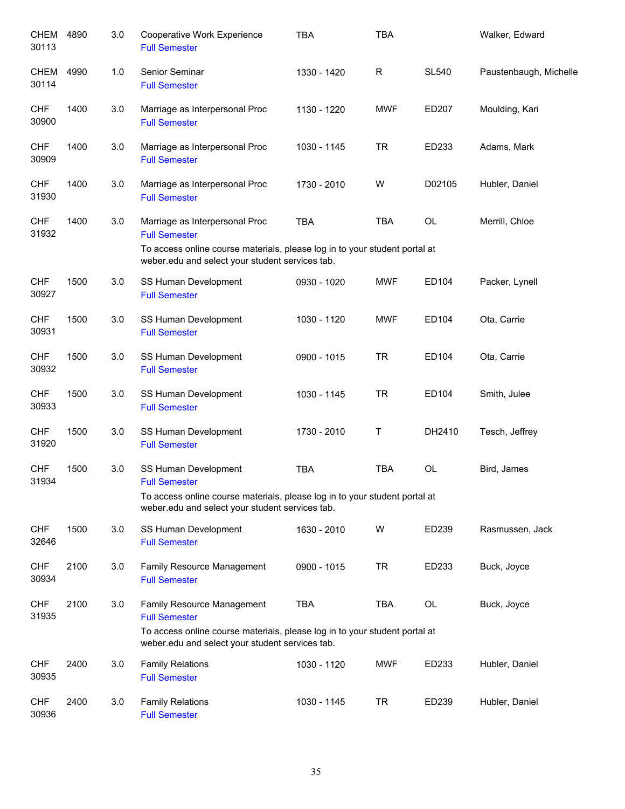| <b>CHEM</b><br>30113 | 4890 | 3.0 | Cooperative Work Experience<br><b>Full Semester</b>                                                                           | <b>TBA</b>  | TBA         |              | Walker, Edward         |
|----------------------|------|-----|-------------------------------------------------------------------------------------------------------------------------------|-------------|-------------|--------------|------------------------|
| <b>CHEM</b><br>30114 | 4990 | 1.0 | Senior Seminar<br><b>Full Semester</b>                                                                                        | 1330 - 1420 | $\mathsf R$ | <b>SL540</b> | Paustenbaugh, Michelle |
| <b>CHF</b><br>30900  | 1400 | 3.0 | Marriage as Interpersonal Proc<br><b>Full Semester</b>                                                                        | 1130 - 1220 | <b>MWF</b>  | ED207        | Moulding, Kari         |
| <b>CHF</b><br>30909  | 1400 | 3.0 | Marriage as Interpersonal Proc<br><b>Full Semester</b>                                                                        | 1030 - 1145 | <b>TR</b>   | ED233        | Adams, Mark            |
| <b>CHF</b><br>31930  | 1400 | 3.0 | Marriage as Interpersonal Proc<br><b>Full Semester</b>                                                                        | 1730 - 2010 | W           | D02105       | Hubler, Daniel         |
| <b>CHF</b><br>31932  | 1400 | 3.0 | Marriage as Interpersonal Proc<br><b>Full Semester</b>                                                                        | <b>TBA</b>  | <b>TBA</b>  | OL           | Merrill, Chloe         |
|                      |      |     | To access online course materials, please log in to your student portal at<br>weber.edu and select your student services tab. |             |             |              |                        |
| <b>CHF</b><br>30927  | 1500 | 3.0 | SS Human Development<br><b>Full Semester</b>                                                                                  | 0930 - 1020 | <b>MWF</b>  | ED104        | Packer, Lynell         |
| <b>CHF</b><br>30931  | 1500 | 3.0 | SS Human Development<br><b>Full Semester</b>                                                                                  | 1030 - 1120 | <b>MWF</b>  | ED104        | Ota, Carrie            |
| <b>CHF</b><br>30932  | 1500 | 3.0 | SS Human Development<br><b>Full Semester</b>                                                                                  | 0900 - 1015 | <b>TR</b>   | ED104        | Ota, Carrie            |
| <b>CHF</b><br>30933  | 1500 | 3.0 | SS Human Development<br><b>Full Semester</b>                                                                                  | 1030 - 1145 | <b>TR</b>   | ED104        | Smith, Julee           |
| <b>CHF</b><br>31920  | 1500 | 3.0 | SS Human Development<br><b>Full Semester</b>                                                                                  | 1730 - 2010 | $\mathsf T$ | DH2410       | Tesch, Jeffrey         |
| <b>CHF</b><br>31934  | 1500 | 3.0 | SS Human Development<br><b>Full Semester</b>                                                                                  | <b>TBA</b>  | <b>TBA</b>  | OL           | Bird, James            |
|                      |      |     | To access online course materials, please log in to your student portal at<br>weber.edu and select your student services tab. |             |             |              |                        |
| <b>CHF</b><br>32646  | 1500 | 3.0 | SS Human Development<br><b>Full Semester</b>                                                                                  | 1630 - 2010 | W           | ED239        | Rasmussen, Jack        |
| <b>CHF</b><br>30934  | 2100 | 3.0 | Family Resource Management<br><b>Full Semester</b>                                                                            | 0900 - 1015 | <b>TR</b>   | ED233        | Buck, Joyce            |
| <b>CHF</b><br>31935  | 2100 | 3.0 | Family Resource Management<br><b>Full Semester</b>                                                                            | <b>TBA</b>  | <b>TBA</b>  | OL           | Buck, Joyce            |
|                      |      |     | To access online course materials, please log in to your student portal at<br>weber.edu and select your student services tab. |             |             |              |                        |
| <b>CHF</b><br>30935  | 2400 | 3.0 | <b>Family Relations</b><br><b>Full Semester</b>                                                                               | 1030 - 1120 | <b>MWF</b>  | ED233        | Hubler, Daniel         |
| <b>CHF</b><br>30936  | 2400 | 3.0 | <b>Family Relations</b><br><b>Full Semester</b>                                                                               | 1030 - 1145 | <b>TR</b>   | ED239        | Hubler, Daniel         |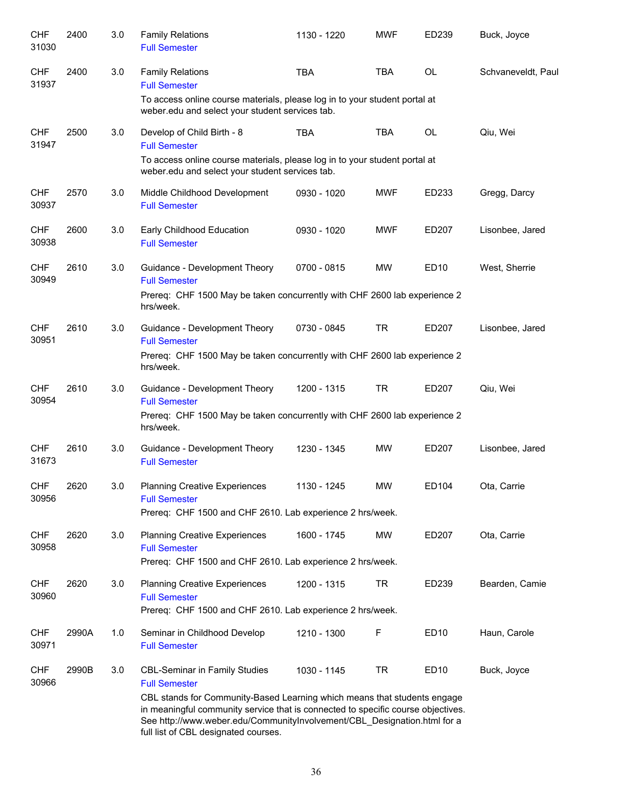| <b>CHF</b><br>31030 | 2400  | 3.0 | <b>Family Relations</b><br><b>Full Semester</b>                                                                                                                                                                                                                                  | 1130 - 1220 | <b>MWF</b> | ED239       | Buck, Joyce        |
|---------------------|-------|-----|----------------------------------------------------------------------------------------------------------------------------------------------------------------------------------------------------------------------------------------------------------------------------------|-------------|------------|-------------|--------------------|
| <b>CHF</b><br>31937 | 2400  | 3.0 | <b>Family Relations</b><br><b>Full Semester</b>                                                                                                                                                                                                                                  | <b>TBA</b>  | <b>TBA</b> | <b>OL</b>   | Schvaneveldt, Paul |
|                     |       |     | To access online course materials, please log in to your student portal at<br>weber.edu and select your student services tab.                                                                                                                                                    |             |            |             |                    |
| <b>CHF</b><br>31947 | 2500  | 3.0 | Develop of Child Birth - 8<br><b>Full Semester</b>                                                                                                                                                                                                                               | <b>TBA</b>  | <b>TBA</b> | <b>OL</b>   | Qiu, Wei           |
|                     |       |     | To access online course materials, please log in to your student portal at<br>weber.edu and select your student services tab.                                                                                                                                                    |             |            |             |                    |
| <b>CHF</b><br>30937 | 2570  | 3.0 | Middle Childhood Development<br><b>Full Semester</b>                                                                                                                                                                                                                             | 0930 - 1020 | <b>MWF</b> | ED233       | Gregg, Darcy       |
| <b>CHF</b><br>30938 | 2600  | 3.0 | Early Childhood Education<br><b>Full Semester</b>                                                                                                                                                                                                                                | 0930 - 1020 | <b>MWF</b> | ED207       | Lisonbee, Jared    |
| <b>CHF</b><br>30949 | 2610  | 3.0 | Guidance - Development Theory<br><b>Full Semester</b>                                                                                                                                                                                                                            | 0700 - 0815 | MW         | <b>ED10</b> | West, Sherrie      |
|                     |       |     | Prereq: CHF 1500 May be taken concurrently with CHF 2600 lab experience 2<br>hrs/week.                                                                                                                                                                                           |             |            |             |                    |
| <b>CHF</b><br>30951 | 2610  | 3.0 | Guidance - Development Theory<br><b>Full Semester</b>                                                                                                                                                                                                                            | 0730 - 0845 | <b>TR</b>  | ED207       | Lisonbee, Jared    |
|                     |       |     | Prereq: CHF 1500 May be taken concurrently with CHF 2600 lab experience 2<br>hrs/week.                                                                                                                                                                                           |             |            |             |                    |
| <b>CHF</b><br>30954 | 2610  | 3.0 | Guidance - Development Theory<br><b>Full Semester</b>                                                                                                                                                                                                                            | 1200 - 1315 | <b>TR</b>  | ED207       | Qiu, Wei           |
|                     |       |     | Prereq: CHF 1500 May be taken concurrently with CHF 2600 lab experience 2<br>hrs/week.                                                                                                                                                                                           |             |            |             |                    |
| <b>CHF</b><br>31673 | 2610  | 3.0 | Guidance - Development Theory<br><b>Full Semester</b>                                                                                                                                                                                                                            | 1230 - 1345 | <b>MW</b>  | ED207       | Lisonbee, Jared    |
| <b>CHF</b><br>30956 | 2620  | 3.0 | <b>Planning Creative Experiences</b><br><b>Full Semester</b>                                                                                                                                                                                                                     | 1130 - 1245 | MW         | ED104       | Ota, Carrie        |
|                     |       |     | Prereq: CHF 1500 and CHF 2610. Lab experience 2 hrs/week.                                                                                                                                                                                                                        |             |            |             |                    |
| <b>CHF</b><br>30958 | 2620  | 3.0 | <b>Planning Creative Experiences</b><br><b>Full Semester</b><br>Prereq: CHF 1500 and CHF 2610. Lab experience 2 hrs/week.                                                                                                                                                        | 1600 - 1745 | <b>MW</b>  | ED207       | Ota, Carrie        |
| <b>CHF</b>          | 2620  | 3.0 | <b>Planning Creative Experiences</b>                                                                                                                                                                                                                                             | 1200 - 1315 | <b>TR</b>  | ED239       | Bearden, Camie     |
| 30960               |       |     | <b>Full Semester</b><br>Prereq: CHF 1500 and CHF 2610. Lab experience 2 hrs/week.                                                                                                                                                                                                |             |            |             |                    |
| <b>CHF</b><br>30971 | 2990A | 1.0 | Seminar in Childhood Develop<br><b>Full Semester</b>                                                                                                                                                                                                                             | 1210 - 1300 | F          | ED10        | Haun, Carole       |
| <b>CHF</b><br>30966 | 2990B | 3.0 | <b>CBL-Seminar in Family Studies</b><br><b>Full Semester</b>                                                                                                                                                                                                                     | 1030 - 1145 | <b>TR</b>  | ED10        | Buck, Joyce        |
|                     |       |     | CBL stands for Community-Based Learning which means that students engage<br>in meaningful community service that is connected to specific course objectives.<br>See http://www.weber.edu/CommunityInvolvement/CBL_Designation.html for a<br>full list of CBL designated courses. |             |            |             |                    |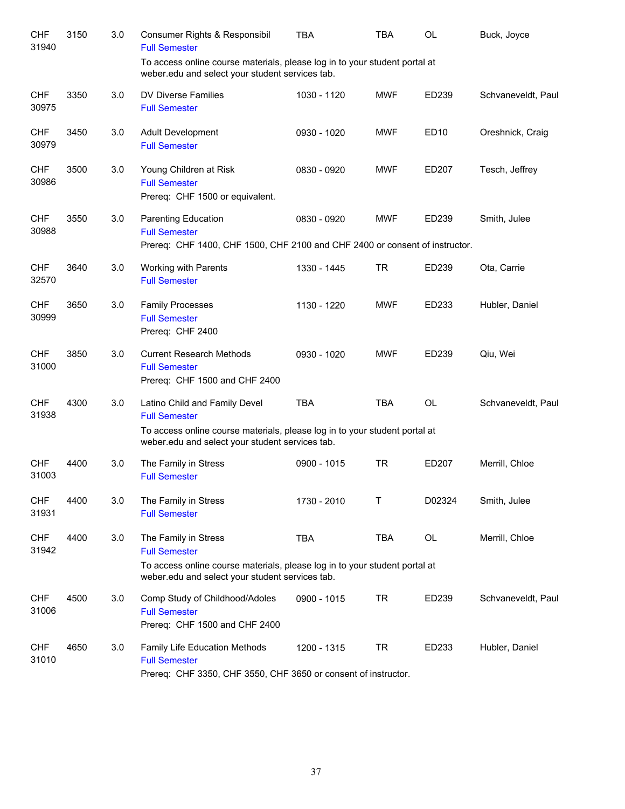| <b>CHF</b><br>31940 | 3150 | 3.0 | Consumer Rights & Responsibil<br><b>Full Semester</b>                                                                               | <b>TBA</b>    | <b>TBA</b> | <b>OL</b> | Buck, Joyce        |
|---------------------|------|-----|-------------------------------------------------------------------------------------------------------------------------------------|---------------|------------|-----------|--------------------|
|                     |      |     | To access online course materials, please log in to your student portal at<br>weber.edu and select your student services tab.       |               |            |           |                    |
| <b>CHF</b><br>30975 | 3350 | 3.0 | DV Diverse Families<br><b>Full Semester</b>                                                                                         | 1030 - 1120   | <b>MWF</b> | ED239     | Schvaneveldt, Paul |
| <b>CHF</b><br>30979 | 3450 | 3.0 | <b>Adult Development</b><br><b>Full Semester</b>                                                                                    | 0930 - 1020   | <b>MWF</b> | ED10      | Oreshnick, Craig   |
| <b>CHF</b><br>30986 | 3500 | 3.0 | Young Children at Risk<br><b>Full Semester</b><br>Prereq: CHF 1500 or equivalent.                                                   | 0830 - 0920   | <b>MWF</b> | ED207     | Tesch, Jeffrey     |
| <b>CHF</b><br>30988 | 3550 | 3.0 | <b>Parenting Education</b><br><b>Full Semester</b><br>Prereq: CHF 1400, CHF 1500, CHF 2100 and CHF 2400 or consent of instructor.   | 0830 - 0920   | <b>MWF</b> | ED239     | Smith, Julee       |
|                     |      |     |                                                                                                                                     |               |            |           |                    |
| <b>CHF</b><br>32570 | 3640 | 3.0 | Working with Parents<br><b>Full Semester</b>                                                                                        | 1330 - 1445   | <b>TR</b>  | ED239     | Ota, Carrie        |
| <b>CHF</b><br>30999 | 3650 | 3.0 | <b>Family Processes</b><br><b>Full Semester</b><br>Prereq: CHF 2400                                                                 | 1130 - 1220   | <b>MWF</b> | ED233     | Hubler, Daniel     |
| <b>CHF</b><br>31000 | 3850 | 3.0 | <b>Current Research Methods</b><br><b>Full Semester</b><br>Prereq: CHF 1500 and CHF 2400                                            | 0930 - 1020   | <b>MWF</b> | ED239     | Qiu, Wei           |
| <b>CHF</b><br>31938 | 4300 | 3.0 | Latino Child and Family Devel<br><b>Full Semester</b><br>To access online course materials, please log in to your student portal at | <b>TBA</b>    | <b>TBA</b> | <b>OL</b> | Schvaneveldt, Paul |
|                     |      |     | weber.edu and select your student services tab.                                                                                     |               |            |           |                    |
| <b>CHF</b><br>31003 | 4400 | 3.0 | The Family in Stress<br><b>Full Semester</b>                                                                                        | $0900 - 1015$ | <b>TR</b>  | ED207     | Merrill, Chloe     |
| <b>CHF</b><br>31931 | 4400 | 3.0 | The Family in Stress<br><b>Full Semester</b>                                                                                        | 1730 - 2010   | Τ          | D02324    | Smith, Julee       |
| <b>CHF</b><br>31942 | 4400 | 3.0 | The Family in Stress<br><b>Full Semester</b><br>To access online course materials, please log in to your student portal at          | <b>TBA</b>    | <b>TBA</b> | OL        | Merrill, Chloe     |
|                     |      |     | weber.edu and select your student services tab.                                                                                     |               |            |           |                    |
| <b>CHF</b><br>31006 | 4500 | 3.0 | Comp Study of Childhood/Adoles<br><b>Full Semester</b><br>Prereq: CHF 1500 and CHF 2400                                             | 0900 - 1015   | <b>TR</b>  | ED239     | Schvaneveldt, Paul |
| <b>CHF</b><br>31010 | 4650 | 3.0 | Family Life Education Methods<br><b>Full Semester</b><br>Prereq: CHF 3350, CHF 3550, CHF 3650 or consent of instructor.             | 1200 - 1315   | <b>TR</b>  | ED233     | Hubler, Daniel     |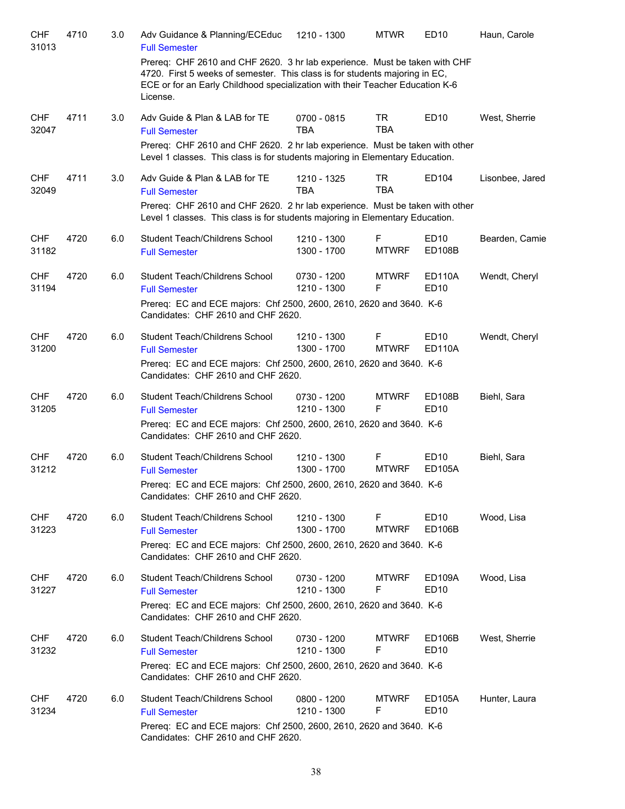| <b>CHF</b><br>31013 | 4710 | 3.0 | Adv Guidance & Planning/ECEduc<br><b>Full Semester</b>                                                                                                                                                                                                 | 1210 - 1300                | <b>MTWR</b>             | ED10                              | Haun, Carole    |
|---------------------|------|-----|--------------------------------------------------------------------------------------------------------------------------------------------------------------------------------------------------------------------------------------------------------|----------------------------|-------------------------|-----------------------------------|-----------------|
|                     |      |     | Prereq: CHF 2610 and CHF 2620. 3 hr lab experience. Must be taken with CHF<br>4720. First 5 weeks of semester. This class is for students majoring in EC,<br>ECE or for an Early Childhood specialization with their Teacher Education K-6<br>License. |                            |                         |                                   |                 |
| <b>CHF</b><br>32047 | 4711 | 3.0 | Adv Guide & Plan & LAB for TE<br><b>Full Semester</b>                                                                                                                                                                                                  | 0700 - 0815<br><b>TBA</b>  | <b>TR</b><br><b>TBA</b> | ED <sub>10</sub>                  | West, Sherrie   |
|                     |      |     | Prereq: CHF 2610 and CHF 2620. 2 hr lab experience. Must be taken with other<br>Level 1 classes. This class is for students majoring in Elementary Education.                                                                                          |                            |                         |                                   |                 |
| <b>CHF</b><br>32049 | 4711 | 3.0 | Adv Guide & Plan & LAB for TE<br><b>Full Semester</b>                                                                                                                                                                                                  | 1210 - 1325<br>TBA         | TR<br>TBA               | ED104                             | Lisonbee, Jared |
|                     |      |     | Prereq: CHF 2610 and CHF 2620. 2 hr lab experience. Must be taken with other<br>Level 1 classes. This class is for students majoring in Elementary Education.                                                                                          |                            |                         |                                   |                 |
| <b>CHF</b><br>31182 | 4720 | 6.0 | Student Teach/Childrens School<br><b>Full Semester</b>                                                                                                                                                                                                 | 1210 - 1300<br>1300 - 1700 | F<br><b>MTWRF</b>       | ED <sub>10</sub><br><b>ED108B</b> | Bearden, Camie  |
| <b>CHF</b><br>31194 | 4720 | 6.0 | Student Teach/Childrens School<br><b>Full Semester</b>                                                                                                                                                                                                 | 0730 - 1200<br>1210 - 1300 | <b>MTWRF</b><br>F       | <b>ED110A</b><br><b>ED10</b>      | Wendt, Cheryl   |
|                     |      |     | Prereq: EC and ECE majors: Chf 2500, 2600, 2610, 2620 and 3640. K-6<br>Candidates: CHF 2610 and CHF 2620.                                                                                                                                              |                            |                         |                                   |                 |
| <b>CHF</b><br>31200 | 4720 | 6.0 | Student Teach/Childrens School<br><b>Full Semester</b>                                                                                                                                                                                                 | 1210 - 1300<br>1300 - 1700 | F<br><b>MTWRF</b>       | ED10<br>ED110A                    | Wendt, Cheryl   |
|                     |      |     | Prereq: EC and ECE majors: Chf 2500, 2600, 2610, 2620 and 3640. K-6<br>Candidates: CHF 2610 and CHF 2620.                                                                                                                                              |                            |                         |                                   |                 |
| <b>CHF</b><br>31205 | 4720 | 6.0 | Student Teach/Childrens School<br><b>Full Semester</b>                                                                                                                                                                                                 | 0730 - 1200<br>1210 - 1300 | <b>MTWRF</b><br>F       | <b>ED108B</b><br><b>ED10</b>      | Biehl, Sara     |
|                     |      |     | Prereq: EC and ECE majors: Chf 2500, 2600, 2610, 2620 and 3640. K-6<br>Candidates: CHF 2610 and CHF 2620.                                                                                                                                              |                            |                         |                                   |                 |
| <b>CHF</b><br>31212 | 4720 | 6.0 | Student Teach/Childrens School<br><b>Full Semester</b>                                                                                                                                                                                                 | 1210 - 1300<br>1300 - 1700 | F<br><b>MTWRF</b>       | ED <sub>10</sub><br><b>ED105A</b> | Biehl, Sara     |
|                     |      |     | Prereq: EC and ECE majors: Chf 2500, 2600, 2610, 2620 and 3640. K-6<br>Candidates: CHF 2610 and CHF 2620.                                                                                                                                              |                            |                         |                                   |                 |
| <b>CHF</b><br>31223 | 4720 | 6.0 | Student Teach/Childrens School<br><b>Full Semester</b>                                                                                                                                                                                                 | 1210 - 1300<br>1300 - 1700 | F.<br><b>MTWRF</b>      | ED <sub>10</sub><br><b>ED106B</b> | Wood, Lisa      |
|                     |      |     | Prereq: EC and ECE majors: Chf 2500, 2600, 2610, 2620 and 3640. K-6<br>Candidates: CHF 2610 and CHF 2620.                                                                                                                                              |                            |                         |                                   |                 |
| <b>CHF</b><br>31227 | 4720 | 6.0 | Student Teach/Childrens School<br><b>Full Semester</b>                                                                                                                                                                                                 | 0730 - 1200<br>1210 - 1300 | <b>MTWRF</b><br>F       | ED109A<br>ED <sub>10</sub>        | Wood, Lisa      |
|                     |      |     | Prereq: EC and ECE majors: Chf 2500, 2600, 2610, 2620 and 3640. K-6<br>Candidates: CHF 2610 and CHF 2620.                                                                                                                                              |                            |                         |                                   |                 |
| <b>CHF</b><br>31232 | 4720 | 6.0 | Student Teach/Childrens School<br><b>Full Semester</b>                                                                                                                                                                                                 | 0730 - 1200<br>1210 - 1300 | MTWRF<br>F              | ED106B<br>ED <sub>10</sub>        | West, Sherrie   |
|                     |      |     | Prereq: EC and ECE majors: Chf 2500, 2600, 2610, 2620 and 3640. K-6<br>Candidates: CHF 2610 and CHF 2620.                                                                                                                                              |                            |                         |                                   |                 |
| <b>CHF</b><br>31234 | 4720 | 6.0 | Student Teach/Childrens School<br><b>Full Semester</b>                                                                                                                                                                                                 | 0800 - 1200<br>1210 - 1300 | <b>MTWRF</b><br>F       | ED105A<br>ED <sub>10</sub>        | Hunter, Laura   |
|                     |      |     | Prereq: EC and ECE majors: Chf 2500, 2600, 2610, 2620 and 3640. K-6<br>Candidates: CHF 2610 and CHF 2620.                                                                                                                                              |                            |                         |                                   |                 |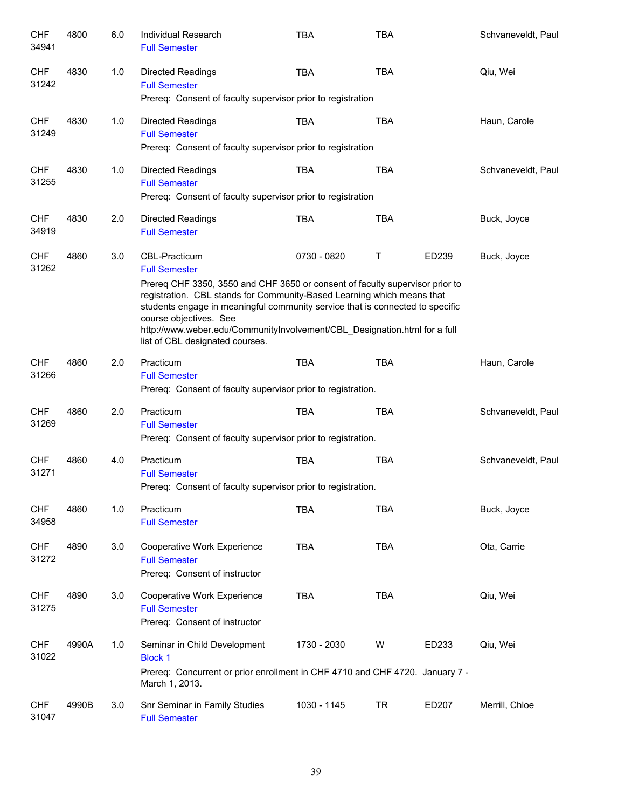| <b>CHF</b><br>34941 | 4800  | 6.0 | <b>Individual Research</b><br><b>Full Semester</b>                                                                                                                                                                                                                                                                                                                                                                                | <b>TBA</b>  | <b>TBA</b> |       | Schvaneveldt, Paul |
|---------------------|-------|-----|-----------------------------------------------------------------------------------------------------------------------------------------------------------------------------------------------------------------------------------------------------------------------------------------------------------------------------------------------------------------------------------------------------------------------------------|-------------|------------|-------|--------------------|
| <b>CHF</b><br>31242 | 4830  | 1.0 | <b>Directed Readings</b><br><b>Full Semester</b><br>Prereq: Consent of faculty supervisor prior to registration                                                                                                                                                                                                                                                                                                                   | <b>TBA</b>  | <b>TBA</b> |       | Qiu, Wei           |
| <b>CHF</b><br>31249 | 4830  | 1.0 | <b>Directed Readings</b><br><b>Full Semester</b><br>Prereq: Consent of faculty supervisor prior to registration                                                                                                                                                                                                                                                                                                                   | <b>TBA</b>  | <b>TBA</b> |       | Haun, Carole       |
| <b>CHF</b><br>31255 | 4830  | 1.0 | <b>Directed Readings</b><br><b>Full Semester</b><br>Prereq: Consent of faculty supervisor prior to registration                                                                                                                                                                                                                                                                                                                   | <b>TBA</b>  | <b>TBA</b> |       | Schvaneveldt, Paul |
| <b>CHF</b><br>34919 | 4830  | 2.0 | <b>Directed Readings</b><br><b>Full Semester</b>                                                                                                                                                                                                                                                                                                                                                                                  | <b>TBA</b>  | <b>TBA</b> |       | Buck, Joyce        |
| <b>CHF</b><br>31262 | 4860  | 3.0 | <b>CBL-Practicum</b><br><b>Full Semester</b><br>Prereq CHF 3350, 3550 and CHF 3650 or consent of faculty supervisor prior to<br>registration. CBL stands for Community-Based Learning which means that<br>students engage in meaningful community service that is connected to specific<br>course objectives. See<br>http://www.weber.edu/CommunityInvolvement/CBL_Designation.html for a full<br>list of CBL designated courses. | 0730 - 0820 | Τ          | ED239 | Buck, Joyce        |
| <b>CHF</b><br>31266 | 4860  | 2.0 | Practicum<br><b>Full Semester</b><br>Prereq: Consent of faculty supervisor prior to registration.                                                                                                                                                                                                                                                                                                                                 | <b>TBA</b>  | <b>TBA</b> |       | Haun, Carole       |
| <b>CHF</b><br>31269 | 4860  | 2.0 | Practicum<br><b>Full Semester</b><br>Prereq: Consent of faculty supervisor prior to registration.                                                                                                                                                                                                                                                                                                                                 | <b>TBA</b>  | <b>TBA</b> |       | Schvaneveldt, Paul |
| <b>CHF</b><br>31271 | 4860  | 4.0 | Practicum<br><b>Full Semester</b><br>Prereq: Consent of faculty supervisor prior to registration.                                                                                                                                                                                                                                                                                                                                 | <b>TBA</b>  | <b>TBA</b> |       | Schvaneveldt, Paul |
| <b>CHF</b><br>34958 | 4860  | 1.0 | Practicum<br><b>Full Semester</b>                                                                                                                                                                                                                                                                                                                                                                                                 | <b>TBA</b>  | <b>TBA</b> |       | Buck, Joyce        |
| <b>CHF</b><br>31272 | 4890  | 3.0 | Cooperative Work Experience<br><b>Full Semester</b><br>Prereq: Consent of instructor                                                                                                                                                                                                                                                                                                                                              | <b>TBA</b>  | <b>TBA</b> |       | Ota, Carrie        |
| <b>CHF</b><br>31275 | 4890  | 3.0 | Cooperative Work Experience<br><b>Full Semester</b><br>Prereq: Consent of instructor                                                                                                                                                                                                                                                                                                                                              | <b>TBA</b>  | <b>TBA</b> |       | Qiu, Wei           |
| <b>CHF</b><br>31022 | 4990A | 1.0 | Seminar in Child Development<br><b>Block 1</b><br>Prereq: Concurrent or prior enrollment in CHF 4710 and CHF 4720. January 7 -<br>March 1, 2013.                                                                                                                                                                                                                                                                                  | 1730 - 2030 | W          | ED233 | Qiu, Wei           |
| <b>CHF</b><br>31047 | 4990B | 3.0 | Snr Seminar in Family Studies<br><b>Full Semester</b>                                                                                                                                                                                                                                                                                                                                                                             | 1030 - 1145 | <b>TR</b>  | ED207 | Merrill, Chloe     |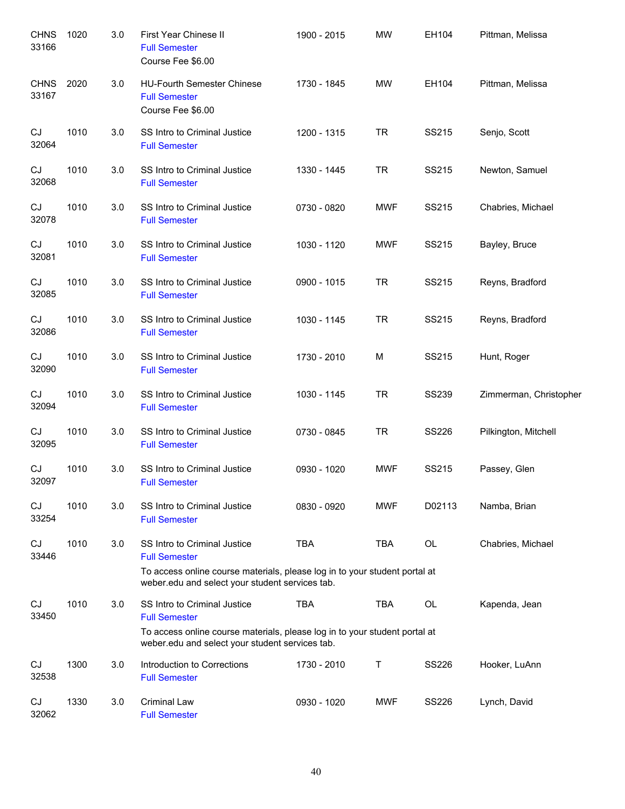| <b>CHNS</b><br>33166 | 1020 | 3.0 | First Year Chinese II<br><b>Full Semester</b><br>Course Fee \$6.00                                                                                                                    | 1900 - 2015 | <b>MW</b>  | EH104        | Pittman, Melissa       |
|----------------------|------|-----|---------------------------------------------------------------------------------------------------------------------------------------------------------------------------------------|-------------|------------|--------------|------------------------|
| <b>CHNS</b><br>33167 | 2020 | 3.0 | <b>HU-Fourth Semester Chinese</b><br><b>Full Semester</b><br>Course Fee \$6.00                                                                                                        | 1730 - 1845 | <b>MW</b>  | EH104        | Pittman, Melissa       |
| CJ<br>32064          | 1010 | 3.0 | SS Intro to Criminal Justice<br><b>Full Semester</b>                                                                                                                                  | 1200 - 1315 | <b>TR</b>  | SS215        | Senjo, Scott           |
| CJ<br>32068          | 1010 | 3.0 | SS Intro to Criminal Justice<br><b>Full Semester</b>                                                                                                                                  | 1330 - 1445 | <b>TR</b>  | SS215        | Newton, Samuel         |
| CJ<br>32078          | 1010 | 3.0 | SS Intro to Criminal Justice<br><b>Full Semester</b>                                                                                                                                  | 0730 - 0820 | <b>MWF</b> | SS215        | Chabries, Michael      |
| CJ<br>32081          | 1010 | 3.0 | SS Intro to Criminal Justice<br><b>Full Semester</b>                                                                                                                                  | 1030 - 1120 | <b>MWF</b> | SS215        | Bayley, Bruce          |
| CJ<br>32085          | 1010 | 3.0 | SS Intro to Criminal Justice<br><b>Full Semester</b>                                                                                                                                  | 0900 - 1015 | <b>TR</b>  | SS215        | Reyns, Bradford        |
| CJ<br>32086          | 1010 | 3.0 | SS Intro to Criminal Justice<br><b>Full Semester</b>                                                                                                                                  | 1030 - 1145 | <b>TR</b>  | SS215        | Reyns, Bradford        |
| CJ<br>32090          | 1010 | 3.0 | SS Intro to Criminal Justice<br><b>Full Semester</b>                                                                                                                                  | 1730 - 2010 | M          | SS215        | Hunt, Roger            |
| CJ<br>32094          | 1010 | 3.0 | SS Intro to Criminal Justice<br><b>Full Semester</b>                                                                                                                                  | 1030 - 1145 | <b>TR</b>  | <b>SS239</b> | Zimmerman, Christopher |
| CJ<br>32095          | 1010 | 3.0 | SS Intro to Criminal Justice<br><b>Full Semester</b>                                                                                                                                  | 0730 - 0845 | <b>TR</b>  | <b>SS226</b> | Pilkington, Mitchell   |
| CJ<br>32097          | 1010 | 3.0 | SS Intro to Criminal Justice<br><b>Full Semester</b>                                                                                                                                  | 0930 - 1020 | <b>MWF</b> | SS215        | Passey, Glen           |
| CJ<br>33254          | 1010 | 3.0 | SS Intro to Criminal Justice<br><b>Full Semester</b>                                                                                                                                  | 0830 - 0920 | <b>MWF</b> | D02113       | Namba, Brian           |
| <b>CJ</b><br>33446   | 1010 | 3.0 | SS Intro to Criminal Justice<br><b>Full Semester</b><br>To access online course materials, please log in to your student portal at<br>weber.edu and select your student services tab. | <b>TBA</b>  | <b>TBA</b> | OL           | Chabries, Michael      |
| CJ<br>33450          | 1010 | 3.0 | SS Intro to Criminal Justice<br><b>Full Semester</b><br>To access online course materials, please log in to your student portal at<br>weber.edu and select your student services tab. | <b>TBA</b>  | <b>TBA</b> | OL           | Kapenda, Jean          |
| CJ<br>32538          | 1300 | 3.0 | Introduction to Corrections<br><b>Full Semester</b>                                                                                                                                   | 1730 - 2010 | Τ          | <b>SS226</b> | Hooker, LuAnn          |
| CJ<br>32062          | 1330 | 3.0 | <b>Criminal Law</b><br><b>Full Semester</b>                                                                                                                                           | 0930 - 1020 | <b>MWF</b> | SS226        | Lynch, David           |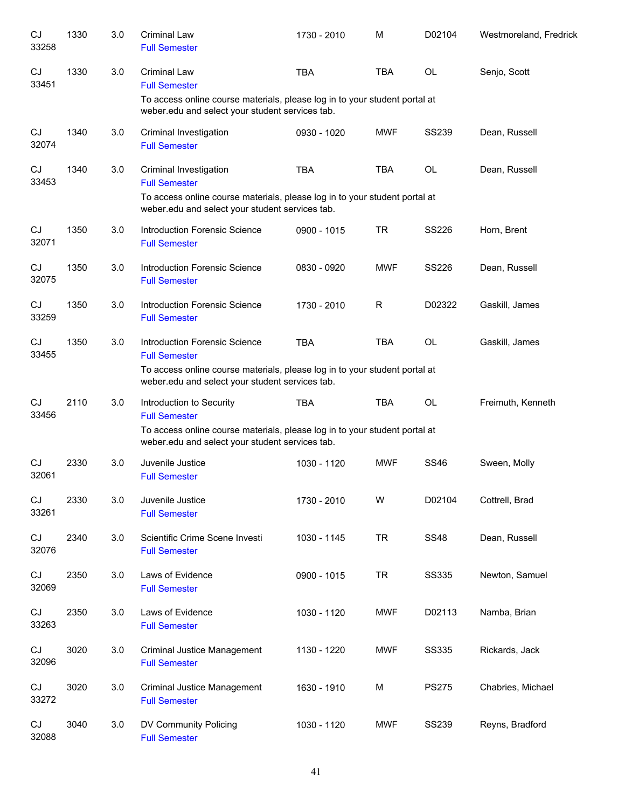| CJ<br>33258                | 1330 | 3.0 | Criminal Law<br><b>Full Semester</b>                                                                                          | 1730 - 2010 | M          | D02104       | Westmoreland, Fredrick |
|----------------------------|------|-----|-------------------------------------------------------------------------------------------------------------------------------|-------------|------------|--------------|------------------------|
| CJ<br>33451                | 1330 | 3.0 | <b>Criminal Law</b><br><b>Full Semester</b>                                                                                   | <b>TBA</b>  | <b>TBA</b> | OL           | Senjo, Scott           |
|                            |      |     | To access online course materials, please log in to your student portal at<br>weber.edu and select your student services tab. |             |            |              |                        |
| CJ<br>32074                | 1340 | 3.0 | Criminal Investigation<br><b>Full Semester</b>                                                                                | 0930 - 1020 | <b>MWF</b> | <b>SS239</b> | Dean, Russell          |
| CJ<br>33453                | 1340 | 3.0 | Criminal Investigation<br><b>Full Semester</b>                                                                                | <b>TBA</b>  | <b>TBA</b> | <b>OL</b>    | Dean, Russell          |
|                            |      |     | To access online course materials, please log in to your student portal at<br>weber.edu and select your student services tab. |             |            |              |                        |
| CJ<br>32071                | 1350 | 3.0 | <b>Introduction Forensic Science</b><br><b>Full Semester</b>                                                                  | 0900 - 1015 | <b>TR</b>  | <b>SS226</b> | Horn, Brent            |
| CJ<br>32075                | 1350 | 3.0 | <b>Introduction Forensic Science</b><br><b>Full Semester</b>                                                                  | 0830 - 0920 | <b>MWF</b> | <b>SS226</b> | Dean, Russell          |
| CJ<br>33259                | 1350 | 3.0 | Introduction Forensic Science<br><b>Full Semester</b>                                                                         | 1730 - 2010 | R          | D02322       | Gaskill, James         |
| CJ<br>33455                | 1350 | 3.0 | Introduction Forensic Science<br><b>Full Semester</b>                                                                         | <b>TBA</b>  | <b>TBA</b> | <b>OL</b>    | Gaskill, James         |
|                            |      |     | To access online course materials, please log in to your student portal at<br>weber.edu and select your student services tab. |             |            |              |                        |
| CJ<br>33456                | 2110 | 3.0 | Introduction to Security<br><b>Full Semester</b>                                                                              | <b>TBA</b>  | <b>TBA</b> | <b>OL</b>    | Freimuth, Kenneth      |
|                            |      |     | To access online course materials, please log in to your student portal at<br>weber.edu and select your student services tab. |             |            |              |                        |
| CJ<br>32061                | 2330 | 3.0 | Juvenile Justice<br><b>Full Semester</b>                                                                                      | 1030 - 1120 | <b>MWF</b> | <b>SS46</b>  | Sween, Molly           |
| $\mathop{\rm CJ}$<br>33261 | 2330 | 3.0 | Juvenile Justice<br><b>Full Semester</b>                                                                                      | 1730 - 2010 | W          | D02104       | Cottrell, Brad         |
| $\mathop{\rm CJ}$<br>32076 | 2340 | 3.0 | Scientific Crime Scene Investi<br><b>Full Semester</b>                                                                        | 1030 - 1145 | <b>TR</b>  | <b>SS48</b>  | Dean, Russell          |
| CJ<br>32069                | 2350 | 3.0 | Laws of Evidence<br><b>Full Semester</b>                                                                                      | 0900 - 1015 | <b>TR</b>  | <b>SS335</b> | Newton, Samuel         |
| CJ<br>33263                | 2350 | 3.0 | Laws of Evidence<br><b>Full Semester</b>                                                                                      | 1030 - 1120 | <b>MWF</b> | D02113       | Namba, Brian           |
| CJ<br>32096                | 3020 | 3.0 | Criminal Justice Management<br><b>Full Semester</b>                                                                           | 1130 - 1220 | <b>MWF</b> | <b>SS335</b> | Rickards, Jack         |
| CJ<br>33272                | 3020 | 3.0 | Criminal Justice Management<br><b>Full Semester</b>                                                                           | 1630 - 1910 | М          | <b>PS275</b> | Chabries, Michael      |
| $\mathop{\rm CJ}$<br>32088 | 3040 | 3.0 | DV Community Policing<br><b>Full Semester</b>                                                                                 | 1030 - 1120 | <b>MWF</b> | <b>SS239</b> | Reyns, Bradford        |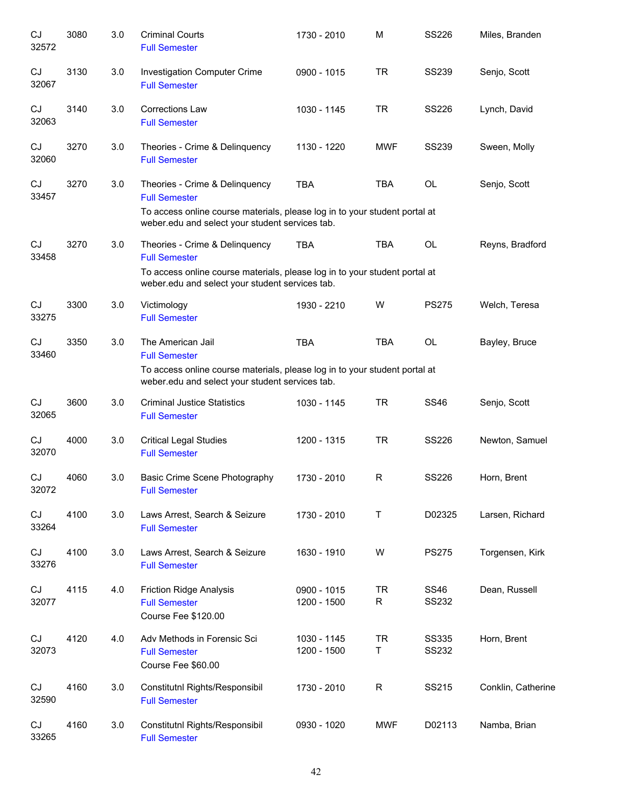| CJ<br>32572 | 3080 | 3.0 | <b>Criminal Courts</b><br><b>Full Semester</b>                                                                                                                                          | 1730 - 2010                | M                         | <b>SS226</b>                 | Miles, Branden     |
|-------------|------|-----|-----------------------------------------------------------------------------------------------------------------------------------------------------------------------------------------|----------------------------|---------------------------|------------------------------|--------------------|
| CJ<br>32067 | 3130 | 3.0 | <b>Investigation Computer Crime</b><br><b>Full Semester</b>                                                                                                                             | 0900 - 1015                | <b>TR</b>                 | <b>SS239</b>                 | Senjo, Scott       |
| CJ<br>32063 | 3140 | 3.0 | <b>Corrections Law</b><br><b>Full Semester</b>                                                                                                                                          | 1030 - 1145                | <b>TR</b>                 | <b>SS226</b>                 | Lynch, David       |
| CJ<br>32060 | 3270 | 3.0 | Theories - Crime & Delinquency<br><b>Full Semester</b>                                                                                                                                  | 1130 - 1220                | <b>MWF</b>                | <b>SS239</b>                 | Sween, Molly       |
| CJ<br>33457 | 3270 | 3.0 | Theories - Crime & Delinquency<br><b>Full Semester</b><br>To access online course materials, please log in to your student portal at<br>weber.edu and select your student services tab. | <b>TBA</b>                 | <b>TBA</b>                | OL                           | Senjo, Scott       |
| CJ<br>33458 | 3270 | 3.0 | Theories - Crime & Delinquency<br><b>Full Semester</b><br>To access online course materials, please log in to your student portal at<br>weber.edu and select your student services tab. | <b>TBA</b>                 | <b>TBA</b>                | OL                           | Reyns, Bradford    |
| CJ<br>33275 | 3300 | 3.0 | Victimology<br><b>Full Semester</b>                                                                                                                                                     | 1930 - 2210                | W                         | <b>PS275</b>                 | Welch, Teresa      |
| CJ<br>33460 | 3350 | 3.0 | The American Jail<br><b>Full Semester</b><br>To access online course materials, please log in to your student portal at<br>weber.edu and select your student services tab.              | <b>TBA</b>                 | <b>TBA</b>                | <b>OL</b>                    | Bayley, Bruce      |
| CJ<br>32065 | 3600 | 3.0 | <b>Criminal Justice Statistics</b><br><b>Full Semester</b>                                                                                                                              | 1030 - 1145                | <b>TR</b>                 | <b>SS46</b>                  | Senjo, Scott       |
| CJ<br>32070 | 4000 | 3.0 | <b>Critical Legal Studies</b><br><b>Full Semester</b>                                                                                                                                   | 1200 - 1315                | <b>TR</b>                 | <b>SS226</b>                 | Newton, Samuel     |
| CJ<br>32072 | 4060 | 3.0 | Basic Crime Scene Photography<br><b>Full Semester</b>                                                                                                                                   | 1730 - 2010                | R                         | <b>SS226</b>                 | Horn, Brent        |
| CJ<br>33264 | 4100 | 3.0 | Laws Arrest, Search & Seizure<br><b>Full Semester</b>                                                                                                                                   | 1730 - 2010                | Τ                         | D02325                       | Larsen, Richard    |
| CJ<br>33276 | 4100 | 3.0 | Laws Arrest, Search & Seizure<br><b>Full Semester</b>                                                                                                                                   | 1630 - 1910                | W                         | <b>PS275</b>                 | Torgensen, Kirk    |
| CJ<br>32077 | 4115 | 4.0 | <b>Friction Ridge Analysis</b><br><b>Full Semester</b><br>Course Fee \$120.00                                                                                                           | 0900 - 1015<br>1200 - 1500 | <b>TR</b><br>$\mathsf{R}$ | <b>SS46</b><br><b>SS232</b>  | Dean, Russell      |
| CJ<br>32073 | 4120 | 4.0 | Adv Methods in Forensic Sci<br><b>Full Semester</b><br>Course Fee \$60.00                                                                                                               | 1030 - 1145<br>1200 - 1500 | <b>TR</b><br>T            | <b>SS335</b><br><b>SS232</b> | Horn, Brent        |
| CJ<br>32590 | 4160 | 3.0 | Constitutnl Rights/Responsibil<br><b>Full Semester</b>                                                                                                                                  | 1730 - 2010                | R                         | SS215                        | Conklin, Catherine |
| CJ<br>33265 | 4160 | 3.0 | Constitutnl Rights/Responsibil<br><b>Full Semester</b>                                                                                                                                  | 0930 - 1020                | <b>MWF</b>                | D02113                       | Namba, Brian       |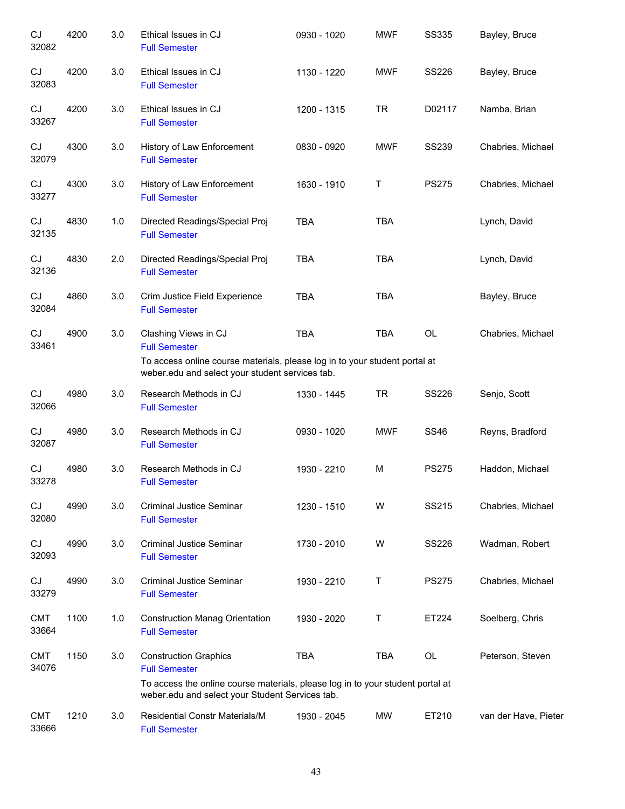| CJ<br>32082         | 4200 | 3.0 | Ethical Issues in CJ<br><b>Full Semester</b>                                                                                                                                              | 0930 - 1020 | <b>MWF</b> | <b>SS335</b> | Bayley, Bruce        |
|---------------------|------|-----|-------------------------------------------------------------------------------------------------------------------------------------------------------------------------------------------|-------------|------------|--------------|----------------------|
| CJ<br>32083         | 4200 | 3.0 | Ethical Issues in CJ<br><b>Full Semester</b>                                                                                                                                              | 1130 - 1220 | <b>MWF</b> | <b>SS226</b> | Bayley, Bruce        |
| CJ<br>33267         | 4200 | 3.0 | Ethical Issues in CJ<br><b>Full Semester</b>                                                                                                                                              | 1200 - 1315 | <b>TR</b>  | D02117       | Namba, Brian         |
| CJ<br>32079         | 4300 | 3.0 | History of Law Enforcement<br><b>Full Semester</b>                                                                                                                                        | 0830 - 0920 | <b>MWF</b> | <b>SS239</b> | Chabries, Michael    |
| CJ<br>33277         | 4300 | 3.0 | History of Law Enforcement<br><b>Full Semester</b>                                                                                                                                        | 1630 - 1910 | Τ          | <b>PS275</b> | Chabries, Michael    |
| CJ<br>32135         | 4830 | 1.0 | Directed Readings/Special Proj<br><b>Full Semester</b>                                                                                                                                    | <b>TBA</b>  | <b>TBA</b> |              | Lynch, David         |
| CJ<br>32136         | 4830 | 2.0 | Directed Readings/Special Proj<br><b>Full Semester</b>                                                                                                                                    | <b>TBA</b>  | <b>TBA</b> |              | Lynch, David         |
| CJ<br>32084         | 4860 | 3.0 | Crim Justice Field Experience<br><b>Full Semester</b>                                                                                                                                     | <b>TBA</b>  | <b>TBA</b> |              | Bayley, Bruce        |
| CJ<br>33461         | 4900 | 3.0 | Clashing Views in CJ<br><b>Full Semester</b><br>To access online course materials, please log in to your student portal at<br>weber.edu and select your student services tab.             | <b>TBA</b>  | <b>TBA</b> | OL           | Chabries, Michael    |
| CJ<br>32066         | 4980 | 3.0 | Research Methods in CJ<br><b>Full Semester</b>                                                                                                                                            | 1330 - 1445 | <b>TR</b>  | <b>SS226</b> | Senjo, Scott         |
| CJ<br>32087         | 4980 | 3.0 | Research Methods in CJ<br><b>Full Semester</b>                                                                                                                                            | 0930 - 1020 | <b>MWF</b> | <b>SS46</b>  | Reyns, Bradford      |
| CJ<br>33278         | 4980 | 3.0 | Research Methods in CJ<br><b>Full Semester</b>                                                                                                                                            | 1930 - 2210 | M          | <b>PS275</b> | Haddon, Michael      |
| CJ<br>32080         | 4990 | 3.0 | Criminal Justice Seminar<br><b>Full Semester</b>                                                                                                                                          | 1230 - 1510 | W          | SS215        | Chabries, Michael    |
| CJ<br>32093         | 4990 | 3.0 | <b>Criminal Justice Seminar</b><br><b>Full Semester</b>                                                                                                                                   | 1730 - 2010 | W          | <b>SS226</b> | Wadman, Robert       |
| CJ<br>33279         | 4990 | 3.0 | <b>Criminal Justice Seminar</b><br><b>Full Semester</b>                                                                                                                                   | 1930 - 2210 | Τ          | <b>PS275</b> | Chabries, Michael    |
| <b>CMT</b><br>33664 | 1100 | 1.0 | <b>Construction Manag Orientation</b><br><b>Full Semester</b>                                                                                                                             | 1930 - 2020 | Τ          | ET224        | Soelberg, Chris      |
| <b>CMT</b><br>34076 | 1150 | 3.0 | <b>Construction Graphics</b><br><b>Full Semester</b><br>To access the online course materials, please log in to your student portal at<br>weber.edu and select your Student Services tab. | <b>TBA</b>  | <b>TBA</b> | OL           | Peterson, Steven     |
| <b>CMT</b><br>33666 | 1210 | 3.0 | <b>Residential Constr Materials/M</b><br><b>Full Semester</b>                                                                                                                             | 1930 - 2045 | <b>MW</b>  | ET210        | van der Have, Pieter |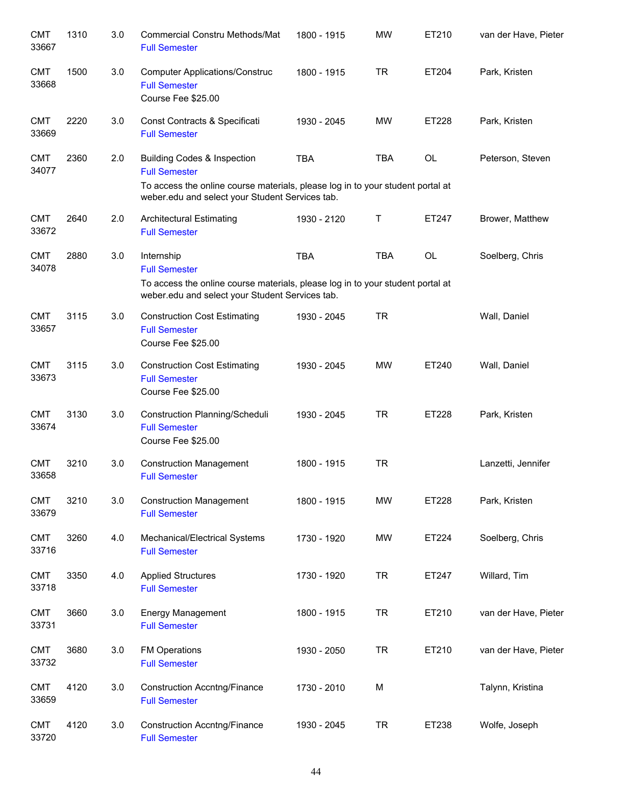| <b>CMT</b><br>33667 | 1310 | 3.0     | <b>Commercial Constru Methods/Mat</b><br><b>Full Semester</b>                                                                                                                                       | 1800 - 1915 | <b>MW</b>  | ET210     | van der Have, Pieter |
|---------------------|------|---------|-----------------------------------------------------------------------------------------------------------------------------------------------------------------------------------------------------|-------------|------------|-----------|----------------------|
| <b>CMT</b><br>33668 | 1500 | 3.0     | <b>Computer Applications/Construc</b><br><b>Full Semester</b><br>Course Fee \$25.00                                                                                                                 | 1800 - 1915 | <b>TR</b>  | ET204     | Park, Kristen        |
| <b>CMT</b><br>33669 | 2220 | 3.0     | Const Contracts & Specificati<br><b>Full Semester</b>                                                                                                                                               | 1930 - 2045 | <b>MW</b>  | ET228     | Park, Kristen        |
| <b>CMT</b><br>34077 | 2360 | 2.0     | <b>Building Codes &amp; Inspection</b><br><b>Full Semester</b><br>To access the online course materials, please log in to your student portal at<br>weber.edu and select your Student Services tab. | <b>TBA</b>  | <b>TBA</b> | <b>OL</b> | Peterson, Steven     |
| <b>CMT</b><br>33672 | 2640 | 2.0     | <b>Architectural Estimating</b><br><b>Full Semester</b>                                                                                                                                             | 1930 - 2120 | Т          | ET247     | Brower, Matthew      |
| <b>CMT</b><br>34078 | 2880 | 3.0     | Internship<br><b>Full Semester</b><br>To access the online course materials, please log in to your student portal at<br>weber.edu and select your Student Services tab.                             | <b>TBA</b>  | <b>TBA</b> | OL        | Soelberg, Chris      |
| <b>CMT</b><br>33657 | 3115 | 3.0     | <b>Construction Cost Estimating</b><br><b>Full Semester</b><br>Course Fee \$25.00                                                                                                                   | 1930 - 2045 | <b>TR</b>  |           | Wall, Daniel         |
| <b>CMT</b><br>33673 | 3115 | 3.0     | <b>Construction Cost Estimating</b><br><b>Full Semester</b><br>Course Fee \$25.00                                                                                                                   | 1930 - 2045 | <b>MW</b>  | ET240     | Wall, Daniel         |
| <b>CMT</b><br>33674 | 3130 | 3.0     | Construction Planning/Scheduli<br><b>Full Semester</b><br>Course Fee \$25.00                                                                                                                        | 1930 - 2045 | <b>TR</b>  | ET228     | Park, Kristen        |
| <b>CMT</b><br>33658 | 3210 | 3.0     | <b>Construction Management</b><br><b>Full Semester</b>                                                                                                                                              | 1800 - 1915 | <b>TR</b>  |           | Lanzetti, Jennifer   |
| <b>CMT</b><br>33679 | 3210 | 3.0     | <b>Construction Management</b><br><b>Full Semester</b>                                                                                                                                              | 1800 - 1915 | <b>MW</b>  | ET228     | Park, Kristen        |
| <b>CMT</b><br>33716 | 3260 | 4.0     | Mechanical/Electrical Systems<br><b>Full Semester</b>                                                                                                                                               | 1730 - 1920 | <b>MW</b>  | ET224     | Soelberg, Chris      |
| <b>CMT</b><br>33718 | 3350 | 4.0     | <b>Applied Structures</b><br><b>Full Semester</b>                                                                                                                                                   | 1730 - 1920 | <b>TR</b>  | ET247     | Willard, Tim         |
| <b>CMT</b><br>33731 | 3660 | 3.0     | Energy Management<br><b>Full Semester</b>                                                                                                                                                           | 1800 - 1915 | <b>TR</b>  | ET210     | van der Have, Pieter |
| <b>CMT</b><br>33732 | 3680 | 3.0     | <b>FM Operations</b><br><b>Full Semester</b>                                                                                                                                                        | 1930 - 2050 | <b>TR</b>  | ET210     | van der Have, Pieter |
| <b>CMT</b><br>33659 | 4120 | $3.0\,$ | <b>Construction Accntng/Finance</b><br><b>Full Semester</b>                                                                                                                                         | 1730 - 2010 | M          |           | Talynn, Kristina     |
| <b>CMT</b><br>33720 | 4120 | 3.0     | <b>Construction Accntng/Finance</b><br><b>Full Semester</b>                                                                                                                                         | 1930 - 2045 | <b>TR</b>  | ET238     | Wolfe, Joseph        |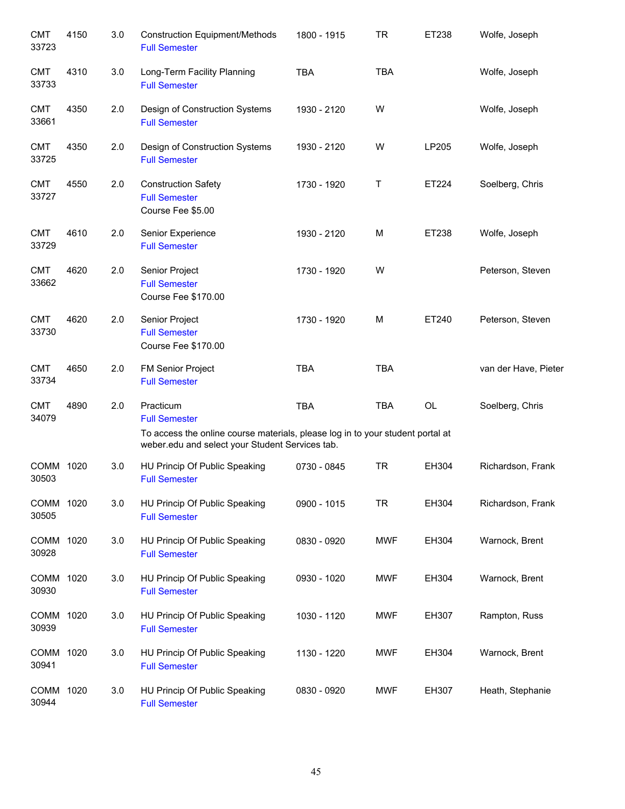| <b>CMT</b><br>33723  | 4150 | 3.0 | <b>Construction Equipment/Methods</b><br><b>Full Semester</b>                                                                                                          | 1800 - 1915 | <b>TR</b>  | ET238 | Wolfe, Joseph        |
|----------------------|------|-----|------------------------------------------------------------------------------------------------------------------------------------------------------------------------|-------------|------------|-------|----------------------|
| <b>CMT</b><br>33733  | 4310 | 3.0 | Long-Term Facility Planning<br><b>Full Semester</b>                                                                                                                    | <b>TBA</b>  | <b>TBA</b> |       | Wolfe, Joseph        |
| <b>CMT</b><br>33661  | 4350 | 2.0 | Design of Construction Systems<br><b>Full Semester</b>                                                                                                                 | 1930 - 2120 | W          |       | Wolfe, Joseph        |
| <b>CMT</b><br>33725  | 4350 | 2.0 | Design of Construction Systems<br><b>Full Semester</b>                                                                                                                 | 1930 - 2120 | W          | LP205 | Wolfe, Joseph        |
| <b>CMT</b><br>33727  | 4550 | 2.0 | <b>Construction Safety</b><br><b>Full Semester</b><br>Course Fee \$5.00                                                                                                | 1730 - 1920 | Τ          | ET224 | Soelberg, Chris      |
| <b>CMT</b><br>33729  | 4610 | 2.0 | Senior Experience<br><b>Full Semester</b>                                                                                                                              | 1930 - 2120 | M          | ET238 | Wolfe, Joseph        |
| <b>CMT</b><br>33662  | 4620 | 2.0 | Senior Project<br><b>Full Semester</b><br>Course Fee \$170.00                                                                                                          | 1730 - 1920 | W          |       | Peterson, Steven     |
| <b>CMT</b><br>33730  | 4620 | 2.0 | Senior Project<br><b>Full Semester</b><br>Course Fee \$170.00                                                                                                          | 1730 - 1920 | M          | ET240 | Peterson, Steven     |
| <b>CMT</b><br>33734  | 4650 | 2.0 | FM Senior Project<br><b>Full Semester</b>                                                                                                                              | <b>TBA</b>  | <b>TBA</b> |       | van der Have, Pieter |
| <b>CMT</b><br>34079  | 4890 | 2.0 | Practicum<br><b>Full Semester</b><br>To access the online course materials, please log in to your student portal at<br>weber.edu and select your Student Services tab. | <b>TBA</b>  | <b>TBA</b> | OL    | Soelberg, Chris      |
| <b>COMM</b><br>30503 | 1020 | 3.0 | HU Princip Of Public Speaking<br><b>Full Semester</b>                                                                                                                  | 0730 - 0845 | <b>TR</b>  | EH304 | Richardson, Frank    |
| COMM 1020<br>30505   |      | 3.0 | HU Princip Of Public Speaking<br><b>Full Semester</b>                                                                                                                  | 0900 - 1015 | <b>TR</b>  | EH304 | Richardson, Frank    |
| COMM 1020<br>30928   |      | 3.0 | HU Princip Of Public Speaking<br><b>Full Semester</b>                                                                                                                  | 0830 - 0920 | <b>MWF</b> | EH304 | Warnock, Brent       |
| COMM 1020<br>30930   |      | 3.0 | HU Princip Of Public Speaking<br><b>Full Semester</b>                                                                                                                  | 0930 - 1020 | <b>MWF</b> | EH304 | Warnock, Brent       |
| COMM 1020<br>30939   |      | 3.0 | HU Princip Of Public Speaking<br><b>Full Semester</b>                                                                                                                  | 1030 - 1120 | <b>MWF</b> | EH307 | Rampton, Russ        |
| COMM 1020<br>30941   |      | 3.0 | HU Princip Of Public Speaking<br><b>Full Semester</b>                                                                                                                  | 1130 - 1220 | <b>MWF</b> | EH304 | Warnock, Brent       |
| COMM 1020<br>30944   |      | 3.0 | HU Princip Of Public Speaking<br><b>Full Semester</b>                                                                                                                  | 0830 - 0920 | <b>MWF</b> | EH307 | Heath, Stephanie     |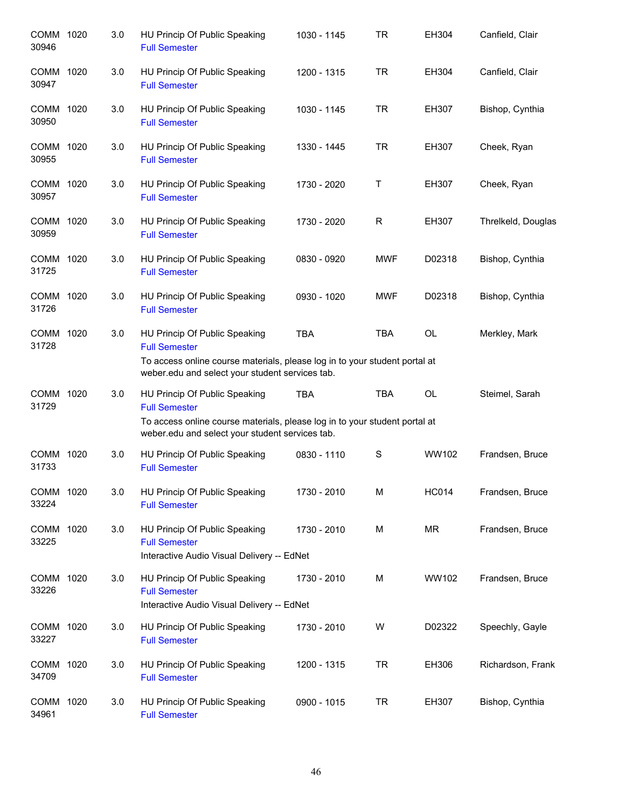| COMM 1020<br>30946 | 3.0 | HU Princip Of Public Speaking<br><b>Full Semester</b>                                                                               | 1030 - 1145 | <b>TR</b>  | EH304        | Canfield, Clair    |
|--------------------|-----|-------------------------------------------------------------------------------------------------------------------------------------|-------------|------------|--------------|--------------------|
| COMM 1020<br>30947 | 3.0 | HU Princip Of Public Speaking<br><b>Full Semester</b>                                                                               | 1200 - 1315 | <b>TR</b>  | EH304        | Canfield, Clair    |
| COMM 1020<br>30950 | 3.0 | HU Princip Of Public Speaking<br><b>Full Semester</b>                                                                               | 1030 - 1145 | <b>TR</b>  | EH307        | Bishop, Cynthia    |
| COMM 1020<br>30955 | 3.0 | HU Princip Of Public Speaking<br><b>Full Semester</b>                                                                               | 1330 - 1445 | <b>TR</b>  | EH307        | Cheek, Ryan        |
| COMM 1020<br>30957 | 3.0 | HU Princip Of Public Speaking<br><b>Full Semester</b>                                                                               | 1730 - 2020 | Τ          | EH307        | Cheek, Ryan        |
| COMM 1020<br>30959 | 3.0 | HU Princip Of Public Speaking<br><b>Full Semester</b>                                                                               | 1730 - 2020 | R          | EH307        | Threlkeld, Douglas |
| COMM 1020<br>31725 | 3.0 | HU Princip Of Public Speaking<br><b>Full Semester</b>                                                                               | 0830 - 0920 | <b>MWF</b> | D02318       | Bishop, Cynthia    |
| COMM 1020<br>31726 | 3.0 | HU Princip Of Public Speaking<br><b>Full Semester</b>                                                                               | 0930 - 1020 | <b>MWF</b> | D02318       | Bishop, Cynthia    |
| COMM 1020<br>31728 | 3.0 | HU Princip Of Public Speaking<br><b>Full Semester</b><br>To access online course materials, please log in to your student portal at | <b>TBA</b>  | <b>TBA</b> | <b>OL</b>    | Merkley, Mark      |
|                    |     | weber.edu and select your student services tab.                                                                                     |             |            |              |                    |
| COMM 1020<br>31729 | 3.0 | HU Princip Of Public Speaking<br><b>Full Semester</b>                                                                               | <b>TBA</b>  | <b>TBA</b> | <b>OL</b>    | Steimel, Sarah     |
|                    |     | To access online course materials, please log in to your student portal at<br>weber.edu and select your student services tab.       |             |            |              |                    |
| COMM 1020<br>31733 | 3.0 | HU Princip Of Public Speaking<br><b>Full Semester</b>                                                                               | 0830 - 1110 | S          | WW102        | Frandsen, Bruce    |
| COMM 1020<br>33224 | 3.0 | HU Princip Of Public Speaking<br><b>Full Semester</b>                                                                               | 1730 - 2010 | M          | <b>HC014</b> | Frandsen, Bruce    |
| COMM 1020<br>33225 | 3.0 | HU Princip Of Public Speaking<br><b>Full Semester</b><br>Interactive Audio Visual Delivery -- EdNet                                 | 1730 - 2010 | M          | MR           | Frandsen, Bruce    |
| COMM 1020<br>33226 | 3.0 | HU Princip Of Public Speaking<br><b>Full Semester</b><br>Interactive Audio Visual Delivery -- EdNet                                 | 1730 - 2010 | M          | WW102        | Frandsen, Bruce    |
| COMM 1020<br>33227 | 3.0 | HU Princip Of Public Speaking<br><b>Full Semester</b>                                                                               | 1730 - 2010 | W          | D02322       | Speechly, Gayle    |
| COMM 1020<br>34709 | 3.0 | HU Princip Of Public Speaking<br><b>Full Semester</b>                                                                               | 1200 - 1315 | <b>TR</b>  | EH306        | Richardson, Frank  |
| COMM 1020<br>34961 | 3.0 | HU Princip Of Public Speaking<br><b>Full Semester</b>                                                                               | 0900 - 1015 | <b>TR</b>  | EH307        | Bishop, Cynthia    |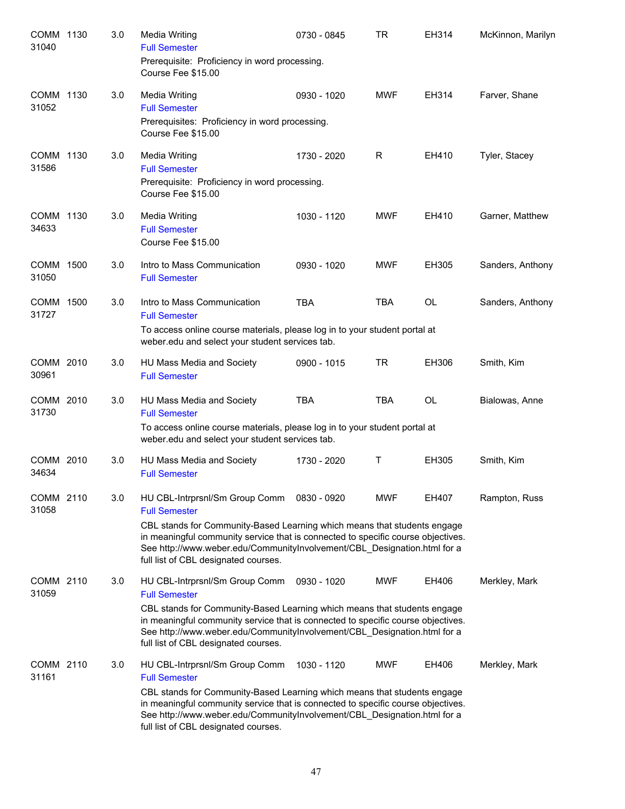| COMM 1130<br>31040 | 3.0 | <b>Media Writing</b><br><b>Full Semester</b><br>Prerequisite: Proficiency in word processing.<br>Course Fee \$15.00                                                                                                                                                                                                                        | 0730 - 0845 | <b>TR</b>  | EH314 | McKinnon, Marilyn |
|--------------------|-----|--------------------------------------------------------------------------------------------------------------------------------------------------------------------------------------------------------------------------------------------------------------------------------------------------------------------------------------------|-------------|------------|-------|-------------------|
| COMM 1130<br>31052 | 3.0 | <b>Media Writing</b><br><b>Full Semester</b><br>Prerequisites: Proficiency in word processing.<br>Course Fee \$15.00                                                                                                                                                                                                                       | 0930 - 1020 | <b>MWF</b> | EH314 | Farver, Shane     |
| COMM 1130<br>31586 | 3.0 | <b>Media Writing</b><br><b>Full Semester</b><br>Prerequisite: Proficiency in word processing.<br>Course Fee \$15.00                                                                                                                                                                                                                        | 1730 - 2020 | R          | EH410 | Tyler, Stacey     |
| COMM 1130<br>34633 | 3.0 | <b>Media Writing</b><br><b>Full Semester</b><br>Course Fee \$15.00                                                                                                                                                                                                                                                                         | 1030 - 1120 | <b>MWF</b> | EH410 | Garner, Matthew   |
| COMM 1500<br>31050 | 3.0 | Intro to Mass Communication<br><b>Full Semester</b>                                                                                                                                                                                                                                                                                        | 0930 - 1020 | <b>MWF</b> | EH305 | Sanders, Anthony  |
| COMM 1500<br>31727 | 3.0 | Intro to Mass Communication<br><b>Full Semester</b><br>To access online course materials, please log in to your student portal at<br>weber.edu and select your student services tab.                                                                                                                                                       | <b>TBA</b>  | <b>TBA</b> | OL    | Sanders, Anthony  |
| COMM 2010<br>30961 | 3.0 | HU Mass Media and Society<br><b>Full Semester</b>                                                                                                                                                                                                                                                                                          | 0900 - 1015 | <b>TR</b>  | EH306 | Smith, Kim        |
| COMM 2010<br>31730 | 3.0 | HU Mass Media and Society<br><b>Full Semester</b><br>To access online course materials, please log in to your student portal at<br>weber.edu and select your student services tab.                                                                                                                                                         | <b>TBA</b>  | <b>TBA</b> | OL    | Bialowas, Anne    |
| COMM 2010<br>34634 | 3.0 | HU Mass Media and Society<br><b>Full Semester</b>                                                                                                                                                                                                                                                                                          | 1730 - 2020 | Τ          | EH305 | Smith, Kim        |
| COMM 2110<br>31058 | 3.0 | HU CBL-Intrprsnl/Sm Group Comm<br><b>Full Semester</b><br>CBL stands for Community-Based Learning which means that students engage<br>in meaningful community service that is connected to specific course objectives.<br>See http://www.weber.edu/CommunityInvolvement/CBL_Designation.html for a<br>full list of CBL designated courses. | 0830 - 0920 | <b>MWF</b> | EH407 | Rampton, Russ     |
| COMM 2110<br>31059 | 3.0 | HU CBL-Intrprsnl/Sm Group Comm<br><b>Full Semester</b><br>CBL stands for Community-Based Learning which means that students engage<br>in meaningful community service that is connected to specific course objectives.<br>See http://www.weber.edu/CommunityInvolvement/CBL_Designation.html for a<br>full list of CBL designated courses. | 0930 - 1020 | <b>MWF</b> | EH406 | Merkley, Mark     |
| COMM 2110<br>31161 | 3.0 | HU CBL-Intrprsnl/Sm Group Comm<br><b>Full Semester</b><br>CBL stands for Community-Based Learning which means that students engage<br>in meaningful community service that is connected to specific course objectives.<br>See http://www.weber.edu/CommunityInvolvement/CBL_Designation.html for a<br>full list of CBL designated courses. | 1030 - 1120 | <b>MWF</b> | EH406 | Merkley, Mark     |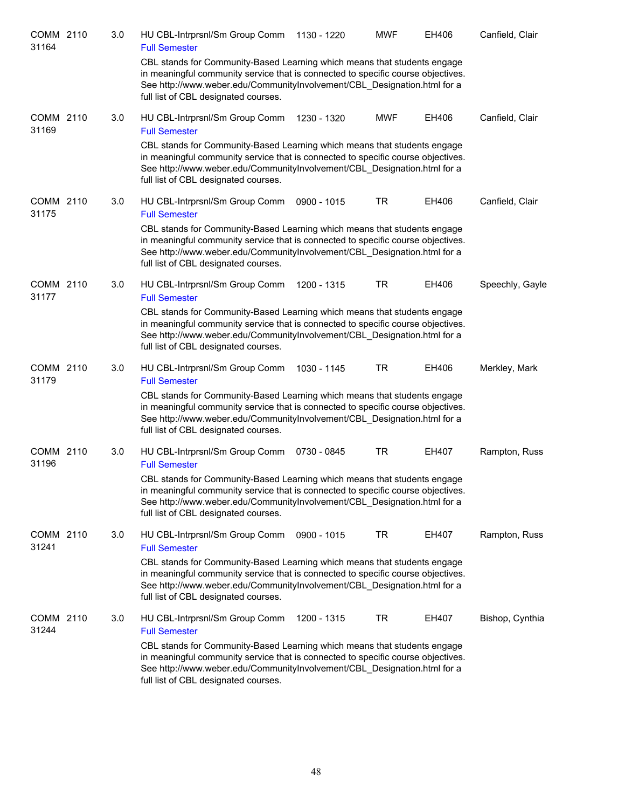| COMM 2110<br>31164 | 3.0 | HU CBL-Intrprsnl/Sm Group Comm<br><b>Full Semester</b>                                                                                                                                                                                                                           | 1130 - 1220 | <b>MWF</b> | EH406 | Canfield, Clair |
|--------------------|-----|----------------------------------------------------------------------------------------------------------------------------------------------------------------------------------------------------------------------------------------------------------------------------------|-------------|------------|-------|-----------------|
|                    |     | CBL stands for Community-Based Learning which means that students engage<br>in meaningful community service that is connected to specific course objectives.<br>See http://www.weber.edu/CommunityInvolvement/CBL_Designation.html for a<br>full list of CBL designated courses. |             |            |       |                 |
| COMM 2110<br>31169 | 3.0 | HU CBL-Intrprsnl/Sm Group Comm<br><b>Full Semester</b>                                                                                                                                                                                                                           | 1230 - 1320 | <b>MWF</b> | EH406 | Canfield, Clair |
|                    |     | CBL stands for Community-Based Learning which means that students engage<br>in meaningful community service that is connected to specific course objectives.<br>See http://www.weber.edu/CommunityInvolvement/CBL Designation.html for a<br>full list of CBL designated courses. |             |            |       |                 |
| COMM 2110<br>31175 | 3.0 | HU CBL-Intrprsnl/Sm Group Comm<br><b>Full Semester</b>                                                                                                                                                                                                                           | 0900 - 1015 | TR         | EH406 | Canfield, Clair |
|                    |     | CBL stands for Community-Based Learning which means that students engage<br>in meaningful community service that is connected to specific course objectives.<br>See http://www.weber.edu/CommunityInvolvement/CBL_Designation.html for a<br>full list of CBL designated courses. |             |            |       |                 |
| COMM 2110<br>31177 | 3.0 | HU CBL-Intrprsnl/Sm Group Comm<br><b>Full Semester</b>                                                                                                                                                                                                                           | 1200 - 1315 | TR         | EH406 | Speechly, Gayle |
|                    |     | CBL stands for Community-Based Learning which means that students engage<br>in meaningful community service that is connected to specific course objectives.<br>See http://www.weber.edu/CommunityInvolvement/CBL_Designation.html for a<br>full list of CBL designated courses. |             |            |       |                 |
| COMM 2110<br>31179 | 3.0 | HU CBL-Intrprsnl/Sm Group Comm<br><b>Full Semester</b>                                                                                                                                                                                                                           | 1030 - 1145 | TR         | EH406 | Merkley, Mark   |
|                    |     | CBL stands for Community-Based Learning which means that students engage<br>in meaningful community service that is connected to specific course objectives.<br>See http://www.weber.edu/CommunityInvolvement/CBL_Designation.html for a<br>full list of CBL designated courses. |             |            |       |                 |
| COMM 2110<br>31196 | 3.0 | HU CBL-Intrprsnl/Sm Group Comm<br><b>Full Semester</b>                                                                                                                                                                                                                           | 0730 - 0845 | TR         | EH407 | Rampton, Russ   |
|                    |     | CBL stands for Community-Based Learning which means that students engage<br>in meaningful community service that is connected to specific course objectives.<br>See http://www.weber.edu/CommunityInvolvement/CBL Designation.html for a<br>full list of CBL designated courses. |             |            |       |                 |
| COMM 2110<br>31241 | 3.0 | HU CBL-Intrprsnl/Sm Group Comm<br><b>Full Semester</b>                                                                                                                                                                                                                           | 0900 - 1015 | TR         | EH407 | Rampton, Russ   |
|                    |     | CBL stands for Community-Based Learning which means that students engage<br>in meaningful community service that is connected to specific course objectives.<br>See http://www.weber.edu/CommunityInvolvement/CBL Designation.html for a<br>full list of CBL designated courses. |             |            |       |                 |
| COMM 2110<br>31244 | 3.0 | HU CBL-Intrprsnl/Sm Group Comm<br><b>Full Semester</b>                                                                                                                                                                                                                           | 1200 - 1315 | TR         | EH407 | Bishop, Cynthia |
|                    |     | CBL stands for Community-Based Learning which means that students engage<br>in meaningful community service that is connected to specific course objectives.<br>See http://www.weber.edu/CommunityInvolvement/CBL_Designation.html for a<br>full list of CBL designated courses. |             |            |       |                 |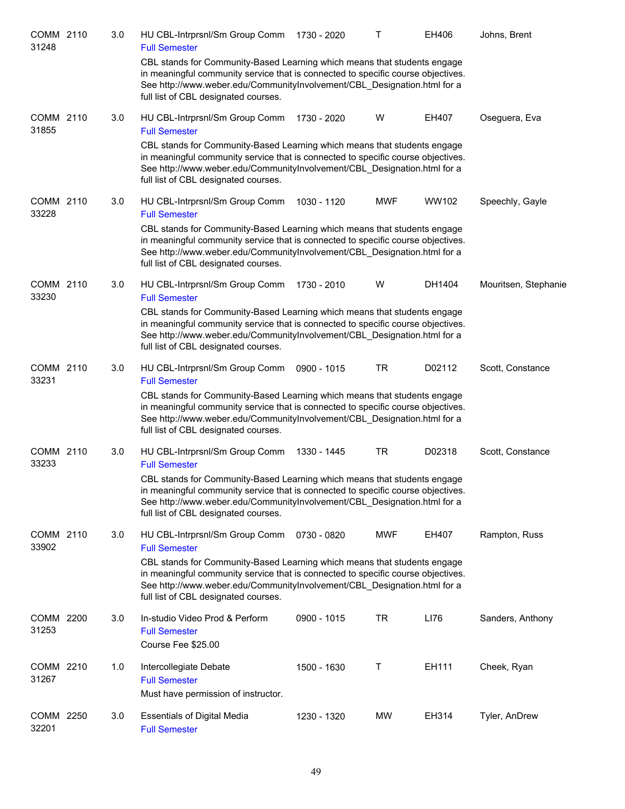| COMM 2110<br>31248 | 3.0 | HU CBL-Intrprsnl/Sm Group Comm<br><b>Full Semester</b>                                                                                                                                                                                                                                                                                     | 1730 - 2020   | т          | EH406  | Johns, Brent         |
|--------------------|-----|--------------------------------------------------------------------------------------------------------------------------------------------------------------------------------------------------------------------------------------------------------------------------------------------------------------------------------------------|---------------|------------|--------|----------------------|
|                    |     | CBL stands for Community-Based Learning which means that students engage<br>in meaningful community service that is connected to specific course objectives.<br>See http://www.weber.edu/CommunityInvolvement/CBL_Designation.html for a<br>full list of CBL designated courses.                                                           |               |            |        |                      |
| COMM 2110<br>31855 | 3.0 | HU CBL-Intrprsnl/Sm Group Comm<br><b>Full Semester</b>                                                                                                                                                                                                                                                                                     | 1730 - 2020   | W          | EH407  | Oseguera, Eva        |
|                    |     | CBL stands for Community-Based Learning which means that students engage<br>in meaningful community service that is connected to specific course objectives.<br>See http://www.weber.edu/CommunityInvolvement/CBL_Designation.html for a<br>full list of CBL designated courses.                                                           |               |            |        |                      |
| COMM 2110<br>33228 | 3.0 | HU CBL-Intrprsnl/Sm Group Comm<br><b>Full Semester</b><br>CBL stands for Community-Based Learning which means that students engage<br>in meaningful community service that is connected to specific course objectives.<br>See http://www.weber.edu/CommunityInvolvement/CBL Designation.html for a<br>full list of CBL designated courses. | 1030 - 1120   | <b>MWF</b> | WW102  | Speechly, Gayle      |
| COMM 2110<br>33230 | 3.0 | HU CBL-Intrprsnl/Sm Group Comm<br><b>Full Semester</b>                                                                                                                                                                                                                                                                                     | 1730 - 2010   | W          | DH1404 | Mouritsen, Stephanie |
|                    |     | CBL stands for Community-Based Learning which means that students engage<br>in meaningful community service that is connected to specific course objectives.<br>See http://www.weber.edu/CommunityInvolvement/CBL_Designation.html for a<br>full list of CBL designated courses.                                                           |               |            |        |                      |
| COMM 2110<br>33231 | 3.0 | HU CBL-Intrprsnl/Sm Group Comm<br><b>Full Semester</b>                                                                                                                                                                                                                                                                                     | 0900 - 1015   | <b>TR</b>  | D02112 | Scott, Constance     |
|                    |     | CBL stands for Community-Based Learning which means that students engage<br>in meaningful community service that is connected to specific course objectives.<br>See http://www.weber.edu/CommunityInvolvement/CBL_Designation.html for a<br>full list of CBL designated courses.                                                           |               |            |        |                      |
| COMM 2110<br>33233 | 3.0 | HU CBL-Intrprsnl/Sm Group Comm<br><b>Full Semester</b>                                                                                                                                                                                                                                                                                     | 1330 - 1445   | TR         | D02318 | Scott, Constance     |
|                    |     | CBL stands for Community-Based Learning which means that students engage<br>in meaningful community service that is connected to specific course objectives.<br>See http://www.weber.edu/CommunityInvolvement/CBL_Designation.html for a<br>full list of CBL designated courses.                                                           |               |            |        |                      |
| COMM 2110<br>33902 | 3.0 | HU CBL-Intrprsnl/Sm Group Comm<br><b>Full Semester</b>                                                                                                                                                                                                                                                                                     | 0730 - 0820   | <b>MWF</b> | EH407  | Rampton, Russ        |
|                    |     | CBL stands for Community-Based Learning which means that students engage<br>in meaningful community service that is connected to specific course objectives.<br>See http://www.weber.edu/CommunityInvolvement/CBL_Designation.html for a<br>full list of CBL designated courses.                                                           |               |            |        |                      |
| COMM 2200<br>31253 | 3.0 | In-studio Video Prod & Perform<br><b>Full Semester</b><br>Course Fee \$25.00                                                                                                                                                                                                                                                               | $0900 - 1015$ | <b>TR</b>  | LI76   | Sanders, Anthony     |
| COMM 2210<br>31267 | 1.0 | Intercollegiate Debate<br><b>Full Semester</b><br>Must have permission of instructor.                                                                                                                                                                                                                                                      | 1500 - 1630   | Τ          | EH111  | Cheek, Ryan          |
| COMM 2250<br>32201 | 3.0 | <b>Essentials of Digital Media</b><br><b>Full Semester</b>                                                                                                                                                                                                                                                                                 | 1230 - 1320   | <b>MW</b>  | EH314  | Tyler, AnDrew        |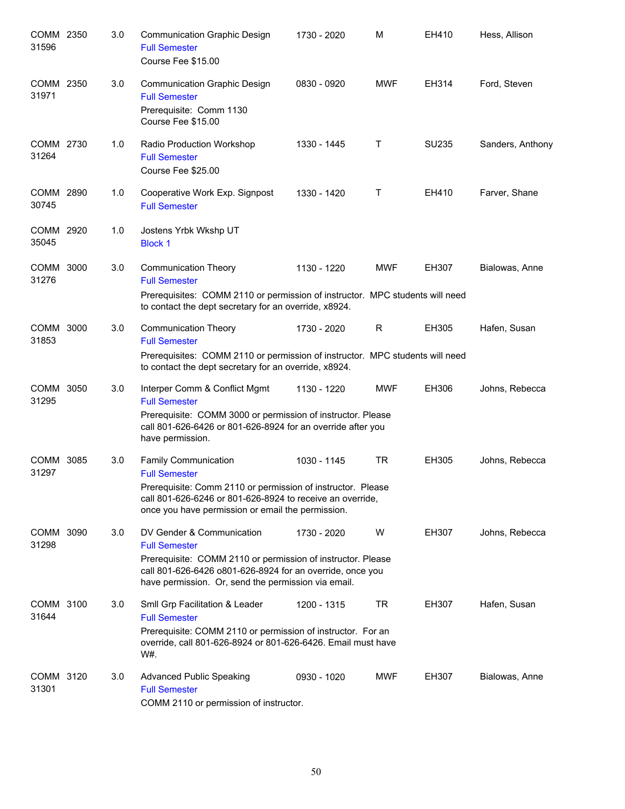| COMM 2350<br>31596 | 3.0 | <b>Communication Graphic Design</b><br><b>Full Semester</b><br>Course Fee \$15.00                                                                                                                     | 1730 - 2020 | M          | EH410 | Hess, Allison    |
|--------------------|-----|-------------------------------------------------------------------------------------------------------------------------------------------------------------------------------------------------------|-------------|------------|-------|------------------|
| COMM 2350<br>31971 | 3.0 | <b>Communication Graphic Design</b><br><b>Full Semester</b><br>Prerequisite: Comm 1130<br>Course Fee \$15.00                                                                                          | 0830 - 0920 | <b>MWF</b> | EH314 | Ford, Steven     |
| COMM 2730<br>31264 | 1.0 | Radio Production Workshop<br><b>Full Semester</b><br>Course Fee \$25.00                                                                                                                               | 1330 - 1445 | T          | SU235 | Sanders, Anthony |
| COMM 2890<br>30745 | 1.0 | Cooperative Work Exp. Signpost<br><b>Full Semester</b>                                                                                                                                                | 1330 - 1420 | Τ          | EH410 | Farver, Shane    |
| COMM 2920<br>35045 | 1.0 | Jostens Yrbk Wkshp UT<br><b>Block 1</b>                                                                                                                                                               |             |            |       |                  |
| COMM 3000<br>31276 | 3.0 | <b>Communication Theory</b><br><b>Full Semester</b>                                                                                                                                                   | 1130 - 1220 | <b>MWF</b> | EH307 | Bialowas, Anne   |
|                    |     | Prerequisites: COMM 2110 or permission of instructor. MPC students will need<br>to contact the dept secretary for an override, x8924.                                                                 |             |            |       |                  |
| COMM 3000<br>31853 | 3.0 | <b>Communication Theory</b><br><b>Full Semester</b>                                                                                                                                                   | 1730 - 2020 | R          | EH305 | Hafen, Susan     |
|                    |     | Prerequisites: COMM 2110 or permission of instructor. MPC students will need<br>to contact the dept secretary for an override, x8924.                                                                 |             |            |       |                  |
| COMM 3050<br>31295 | 3.0 | Interper Comm & Conflict Mgmt<br><b>Full Semester</b><br>Prerequisite: COMM 3000 or permission of instructor. Please<br>call 801-626-6426 or 801-626-8924 for an override after you                   | 1130 - 1220 | <b>MWF</b> | EH306 | Johns, Rebecca   |
| COMM 3085          | 3.0 | have permission.<br><b>Family Communication</b>                                                                                                                                                       | 1030 - 1145 | <b>TR</b>  | EH305 | Johns, Rebecca   |
| 31297              |     | <b>Full Semester</b><br>Prerequisite: Comm 2110 or permission of instructor. Please<br>call 801-626-6246 or 801-626-8924 to receive an override,<br>once you have permission or email the permission. |             |            |       |                  |
| COMM 3090<br>31298 | 3.0 | DV Gender & Communication<br><b>Full Semester</b>                                                                                                                                                     | 1730 - 2020 | W          | EH307 | Johns, Rebecca   |
|                    |     | Prerequisite: COMM 2110 or permission of instructor. Please<br>call 801-626-6426 o801-626-8924 for an override, once you<br>have permission. Or, send the permission via email.                       |             |            |       |                  |
| COMM 3100<br>31644 | 3.0 | Smll Grp Facilitation & Leader<br><b>Full Semester</b><br>Prerequisite: COMM 2110 or permission of instructor. For an<br>override, call 801-626-8924 or 801-626-6426. Email must have<br>W#.          | 1200 - 1315 | TR         | EH307 | Hafen, Susan     |
| COMM 3120<br>31301 | 3.0 | <b>Advanced Public Speaking</b><br><b>Full Semester</b><br>COMM 2110 or permission of instructor.                                                                                                     | 0930 - 1020 | <b>MWF</b> | EH307 | Bialowas, Anne   |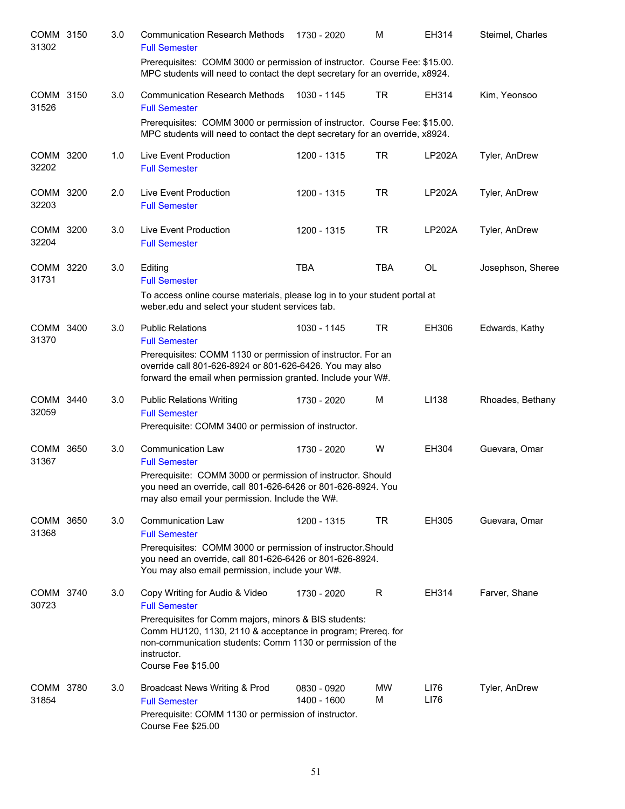| COMM 3150 | 3.0                                                                                                                                         | <b>Communication Research Methods</b><br><b>Full Semester</b>               | 1730 - 2020                | M                                                                                                                                                                                                                                                                                                                              | EH314                                                                                                                                                                                                                                                                                                                                                                                                                                                                                                                                                                          | Steimel, Charles                                                                                                                                                                                                                                                                                                                                                                                       |
|-----------|---------------------------------------------------------------------------------------------------------------------------------------------|-----------------------------------------------------------------------------|----------------------------|--------------------------------------------------------------------------------------------------------------------------------------------------------------------------------------------------------------------------------------------------------------------------------------------------------------------------------|--------------------------------------------------------------------------------------------------------------------------------------------------------------------------------------------------------------------------------------------------------------------------------------------------------------------------------------------------------------------------------------------------------------------------------------------------------------------------------------------------------------------------------------------------------------------------------|--------------------------------------------------------------------------------------------------------------------------------------------------------------------------------------------------------------------------------------------------------------------------------------------------------------------------------------------------------------------------------------------------------|
|           |                                                                                                                                             |                                                                             |                            |                                                                                                                                                                                                                                                                                                                                |                                                                                                                                                                                                                                                                                                                                                                                                                                                                                                                                                                                |                                                                                                                                                                                                                                                                                                                                                                                                        |
|           | 3.0                                                                                                                                         | <b>Communication Research Methods</b><br><b>Full Semester</b>               | 1030 - 1145                | <b>TR</b>                                                                                                                                                                                                                                                                                                                      | EH314                                                                                                                                                                                                                                                                                                                                                                                                                                                                                                                                                                          | Kim, Yeonsoo                                                                                                                                                                                                                                                                                                                                                                                           |
|           |                                                                                                                                             |                                                                             |                            |                                                                                                                                                                                                                                                                                                                                |                                                                                                                                                                                                                                                                                                                                                                                                                                                                                                                                                                                |                                                                                                                                                                                                                                                                                                                                                                                                        |
|           | 1.0                                                                                                                                         | Live Event Production<br><b>Full Semester</b>                               | 1200 - 1315                | <b>TR</b>                                                                                                                                                                                                                                                                                                                      | <b>LP202A</b>                                                                                                                                                                                                                                                                                                                                                                                                                                                                                                                                                                  | Tyler, AnDrew                                                                                                                                                                                                                                                                                                                                                                                          |
|           | 2.0                                                                                                                                         | Live Event Production<br><b>Full Semester</b>                               | 1200 - 1315                | <b>TR</b>                                                                                                                                                                                                                                                                                                                      | <b>LP202A</b>                                                                                                                                                                                                                                                                                                                                                                                                                                                                                                                                                                  | Tyler, AnDrew                                                                                                                                                                                                                                                                                                                                                                                          |
|           | 3.0                                                                                                                                         | Live Event Production<br><b>Full Semester</b>                               | 1200 - 1315                | <b>TR</b>                                                                                                                                                                                                                                                                                                                      | <b>LP202A</b>                                                                                                                                                                                                                                                                                                                                                                                                                                                                                                                                                                  | Tyler, AnDrew                                                                                                                                                                                                                                                                                                                                                                                          |
|           | 3.0                                                                                                                                         | Editing<br><b>Full Semester</b>                                             | <b>TBA</b>                 | <b>TBA</b>                                                                                                                                                                                                                                                                                                                     | <b>OL</b>                                                                                                                                                                                                                                                                                                                                                                                                                                                                                                                                                                      | Josephson, Sheree                                                                                                                                                                                                                                                                                                                                                                                      |
|           |                                                                                                                                             |                                                                             |                            |                                                                                                                                                                                                                                                                                                                                |                                                                                                                                                                                                                                                                                                                                                                                                                                                                                                                                                                                |                                                                                                                                                                                                                                                                                                                                                                                                        |
|           | 3.0                                                                                                                                         | <b>Public Relations</b><br><b>Full Semester</b>                             | 1030 - 1145                | <b>TR</b>                                                                                                                                                                                                                                                                                                                      | EH306                                                                                                                                                                                                                                                                                                                                                                                                                                                                                                                                                                          | Edwards, Kathy                                                                                                                                                                                                                                                                                                                                                                                         |
|           |                                                                                                                                             |                                                                             |                            |                                                                                                                                                                                                                                                                                                                                |                                                                                                                                                                                                                                                                                                                                                                                                                                                                                                                                                                                |                                                                                                                                                                                                                                                                                                                                                                                                        |
|           | 3.0                                                                                                                                         | <b>Public Relations Writing</b><br><b>Full Semester</b>                     | 1730 - 2020                | M                                                                                                                                                                                                                                                                                                                              | LI138                                                                                                                                                                                                                                                                                                                                                                                                                                                                                                                                                                          | Rhoades, Bethany                                                                                                                                                                                                                                                                                                                                                                                       |
|           |                                                                                                                                             |                                                                             |                            |                                                                                                                                                                                                                                                                                                                                |                                                                                                                                                                                                                                                                                                                                                                                                                                                                                                                                                                                |                                                                                                                                                                                                                                                                                                                                                                                                        |
|           | 3.0                                                                                                                                         | <b>Communication Law</b><br><b>Full Semester</b>                            | 1730 - 2020                | W                                                                                                                                                                                                                                                                                                                              | EH304                                                                                                                                                                                                                                                                                                                                                                                                                                                                                                                                                                          | Guevara, Omar                                                                                                                                                                                                                                                                                                                                                                                          |
|           |                                                                                                                                             |                                                                             |                            |                                                                                                                                                                                                                                                                                                                                |                                                                                                                                                                                                                                                                                                                                                                                                                                                                                                                                                                                |                                                                                                                                                                                                                                                                                                                                                                                                        |
|           | 3.0                                                                                                                                         | <b>Communication Law</b><br><b>Full Semester</b>                            | 1200 - 1315                | <b>TR</b>                                                                                                                                                                                                                                                                                                                      | EH305                                                                                                                                                                                                                                                                                                                                                                                                                                                                                                                                                                          | Guevara, Omar                                                                                                                                                                                                                                                                                                                                                                                          |
|           |                                                                                                                                             |                                                                             |                            |                                                                                                                                                                                                                                                                                                                                |                                                                                                                                                                                                                                                                                                                                                                                                                                                                                                                                                                                |                                                                                                                                                                                                                                                                                                                                                                                                        |
|           | 3.0                                                                                                                                         | Copy Writing for Audio & Video<br><b>Full Semester</b>                      | 1730 - 2020                | R                                                                                                                                                                                                                                                                                                                              | EH314                                                                                                                                                                                                                                                                                                                                                                                                                                                                                                                                                                          | Farver, Shane                                                                                                                                                                                                                                                                                                                                                                                          |
|           |                                                                                                                                             | instructor.<br>Course Fee \$15.00                                           |                            |                                                                                                                                                                                                                                                                                                                                |                                                                                                                                                                                                                                                                                                                                                                                                                                                                                                                                                                                |                                                                                                                                                                                                                                                                                                                                                                                                        |
|           | 3.0                                                                                                                                         | Broadcast News Writing & Prod<br><b>Full Semester</b><br>Course Fee \$25.00 | 0830 - 0920<br>1400 - 1600 | MW<br>м                                                                                                                                                                                                                                                                                                                        | LI76<br>LI76                                                                                                                                                                                                                                                                                                                                                                                                                                                                                                                                                                   | Tyler, AnDrew                                                                                                                                                                                                                                                                                                                                                                                          |
|           | COMM 3150<br>COMM 3200<br>COMM 3200<br>COMM 3200<br>COMM 3220<br>COMM 3400<br>COMM 3440<br>COMM 3650<br>COMM 3650<br>COMM 3740<br>COMM 3780 |                                                                             |                            | weber.edu and select your student services tab.<br>Prerequisite: COMM 3400 or permission of instructor.<br>may also email your permission. Include the W#.<br>You may also email permission, include your W#.<br>Prerequisites for Comm majors, minors & BIS students:<br>Prerequisite: COMM 1130 or permission of instructor. | Prerequisites: COMM 1130 or permission of instructor. For an<br>override call 801-626-8924 or 801-626-6426. You may also<br>forward the email when permission granted. Include your W#.<br>Prerequisite: COMM 3000 or permission of instructor. Should<br>you need an override, call 801-626-6426 or 801-626-8924. You<br>Prerequisites: COMM 3000 or permission of instructor.Should<br>you need an override, call 801-626-6426 or 801-626-8924.<br>Comm HU120, 1130, 2110 & acceptance in program; Prereq. for<br>non-communication students: Comm 1130 or permission of the | Prerequisites: COMM 3000 or permission of instructor. Course Fee: \$15.00.<br>MPC students will need to contact the dept secretary for an override, x8924.<br>Prerequisites: COMM 3000 or permission of instructor. Course Fee: \$15.00.<br>MPC students will need to contact the dept secretary for an override, x8924.<br>To access online course materials, please log in to your student portal at |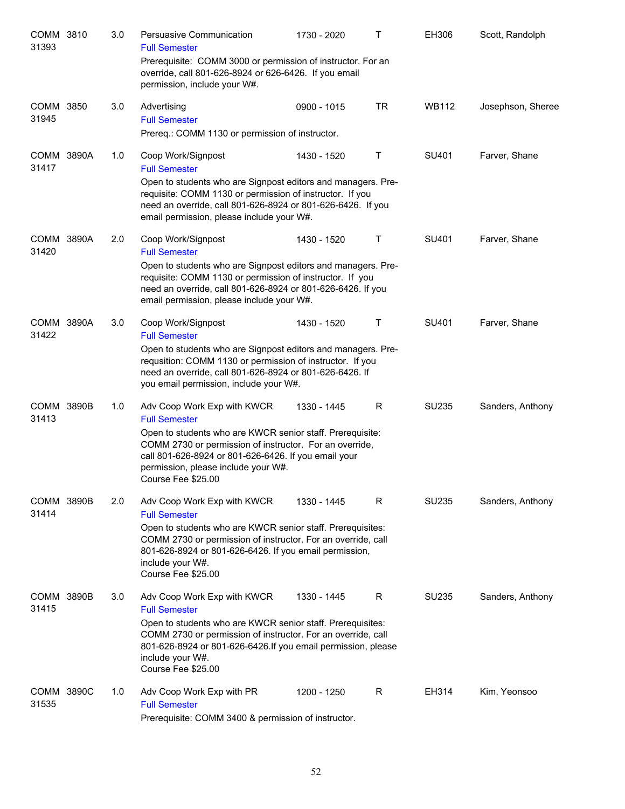| COMM 3810<br>31393         | 3.0 | Persuasive Communication<br><b>Full Semester</b>                                                                                                                                                                                          | 1730 - 2020 | т         | EH306        | Scott, Randolph   |
|----------------------------|-----|-------------------------------------------------------------------------------------------------------------------------------------------------------------------------------------------------------------------------------------------|-------------|-----------|--------------|-------------------|
|                            |     | Prerequisite: COMM 3000 or permission of instructor. For an<br>override, call 801-626-8924 or 626-6426. If you email<br>permission, include your W#.                                                                                      |             |           |              |                   |
| COMM 3850<br>31945         | 3.0 | Advertising<br><b>Full Semester</b>                                                                                                                                                                                                       | 0900 - 1015 | <b>TR</b> | WB112        | Josephson, Sheree |
|                            |     | Prereq.: COMM 1130 or permission of instructor.                                                                                                                                                                                           |             |           |              |                   |
| COMM 3890A<br>31417        | 1.0 | Coop Work/Signpost<br><b>Full Semester</b>                                                                                                                                                                                                | 1430 - 1520 | Τ         | SU401        | Farver, Shane     |
|                            |     | Open to students who are Signpost editors and managers. Pre-<br>requisite: COMM 1130 or permission of instructor. If you<br>need an override, call 801-626-8924 or 801-626-6426. If you<br>email permission, please include your W#.      |             |           |              |                   |
| COMM 3890A<br>31420        | 2.0 | Coop Work/Signpost<br><b>Full Semester</b>                                                                                                                                                                                                | 1430 - 1520 | Τ         | SU401        | Farver, Shane     |
|                            |     | Open to students who are Signpost editors and managers. Pre-<br>requisite: COMM 1130 or permission of instructor. If you<br>need an override, call 801-626-8924 or 801-626-6426. If you<br>email permission, please include your W#.      |             |           |              |                   |
| COMM 3890A<br>31422        | 3.0 | Coop Work/Signpost<br><b>Full Semester</b>                                                                                                                                                                                                | 1430 - 1520 | Τ         | SU401        | Farver, Shane     |
|                            |     | Open to students who are Signpost editors and managers. Pre-<br>requsition: COMM 1130 or permission of instructor. If you<br>need an override, call 801-626-8924 or 801-626-6426. If<br>you email permission, include your W#.            |             |           |              |                   |
| <b>COMM 3890B</b><br>31413 | 1.0 | Adv Coop Work Exp with KWCR<br><b>Full Semester</b>                                                                                                                                                                                       | 1330 - 1445 | R         | SU235        | Sanders, Anthony  |
|                            |     | Open to students who are KWCR senior staff. Prerequisite:<br>COMM 2730 or permission of instructor. For an override,<br>call 801-626-8924 or 801-626-6426. If you email your<br>permission, please include your W#.<br>Course Fee \$25.00 |             |           |              |                   |
| <b>COMM 3890B</b><br>31414 | 2.0 | Adv Coop Work Exp with KWCR<br><b>Full Semester</b>                                                                                                                                                                                       | 1330 - 1445 | R.        | SU235        | Sanders, Anthony  |
|                            |     | Open to students who are KWCR senior staff. Prerequisites:<br>COMM 2730 or permission of instructor. For an override, call<br>801-626-8924 or 801-626-6426. If you email permission,<br>include your W#.<br>Course Fee \$25.00            |             |           |              |                   |
| COMM 3890B<br>31415        | 3.0 | Adv Coop Work Exp with KWCR<br><b>Full Semester</b>                                                                                                                                                                                       | 1330 - 1445 | R         | <b>SU235</b> | Sanders, Anthony  |
|                            |     | Open to students who are KWCR senior staff. Prerequisites:<br>COMM 2730 or permission of instructor. For an override, call<br>801-626-8924 or 801-626-6426. If you email permission, please<br>include your W#.<br>Course Fee \$25.00     |             |           |              |                   |
| COMM 3890C<br>31535        | 1.0 | Adv Coop Work Exp with PR<br><b>Full Semester</b><br>Prerequisite: COMM 3400 & permission of instructor.                                                                                                                                  | 1200 - 1250 | R         | EH314        | Kim, Yeonsoo      |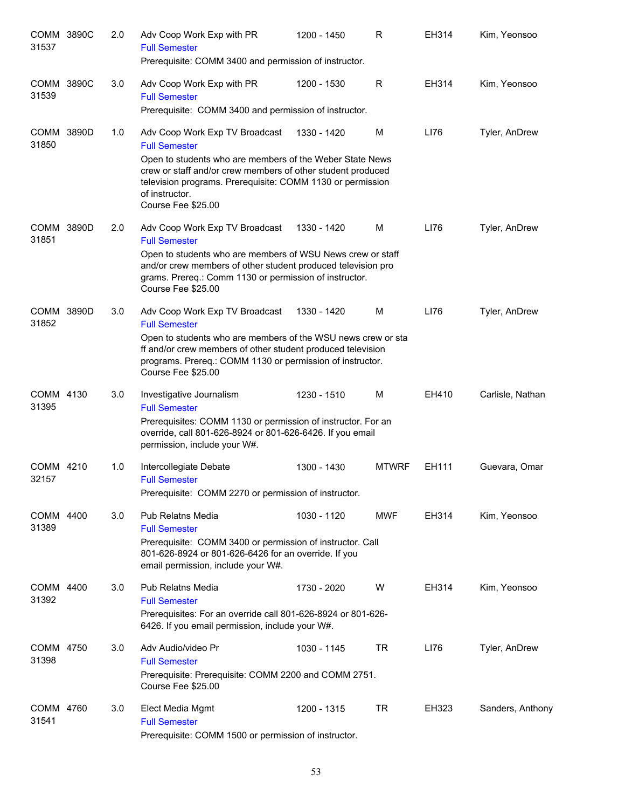| COMM 3890C<br>31537 | 2.0 | Adv Coop Work Exp with PR<br><b>Full Semester</b><br>Prerequisite: COMM 3400 and permission of instructor.                                                                                                                                                                              | 1200 - 1450 | R            | EH314 | Kim, Yeonsoo     |
|---------------------|-----|-----------------------------------------------------------------------------------------------------------------------------------------------------------------------------------------------------------------------------------------------------------------------------------------|-------------|--------------|-------|------------------|
| COMM 3890C<br>31539 | 3.0 | Adv Coop Work Exp with PR<br><b>Full Semester</b><br>Prerequisite: COMM 3400 and permission of instructor.                                                                                                                                                                              | 1200 - 1530 | R            | EH314 | Kim, Yeonsoo     |
| COMM 3890D<br>31850 | 1.0 | Adv Coop Work Exp TV Broadcast<br><b>Full Semester</b><br>Open to students who are members of the Weber State News<br>crew or staff and/or crew members of other student produced<br>television programs. Prerequisite: COMM 1130 or permission<br>of instructor.<br>Course Fee \$25.00 | 1330 - 1420 | м            | LI76  | Tyler, AnDrew    |
| COMM 3890D<br>31851 | 2.0 | Adv Coop Work Exp TV Broadcast<br><b>Full Semester</b><br>Open to students who are members of WSU News crew or staff<br>and/or crew members of other student produced television pro<br>grams. Prereq.: Comm 1130 or permission of instructor.<br>Course Fee \$25.00                    | 1330 - 1420 | M            | LI76  | Tyler, AnDrew    |
| COMM 3890D<br>31852 | 3.0 | Adv Coop Work Exp TV Broadcast<br><b>Full Semester</b><br>Open to students who are members of the WSU news crew or sta<br>ff and/or crew members of other student produced television<br>programs. Prereq.: COMM 1130 or permission of instructor.<br>Course Fee \$25.00                | 1330 - 1420 | M            | LI76  | Tyler, AnDrew    |
| COMM 4130<br>31395  | 3.0 | Investigative Journalism<br><b>Full Semester</b><br>Prerequisites: COMM 1130 or permission of instructor. For an<br>override, call 801-626-8924 or 801-626-6426. If you email<br>permission, include your W#.                                                                           | 1230 - 1510 | м            | EH410 | Carlisle, Nathan |
| COMM 4210<br>32157  | 1.0 | Intercollegiate Debate<br><b>Full Semester</b><br>Prerequisite: COMM 2270 or permission of instructor.                                                                                                                                                                                  | 1300 - 1430 | <b>MTWRF</b> | EH111 | Guevara, Omar    |
| COMM 4400<br>31389  | 3.0 | Pub Relatns Media<br><b>Full Semester</b><br>Prerequisite: COMM 3400 or permission of instructor. Call<br>801-626-8924 or 801-626-6426 for an override. If you<br>email permission, include your W#.                                                                                    | 1030 - 1120 | <b>MWF</b>   | EH314 | Kim, Yeonsoo     |
| COMM 4400<br>31392  | 3.0 | Pub Relatns Media<br><b>Full Semester</b><br>Prerequisites: For an override call 801-626-8924 or 801-626-<br>6426. If you email permission, include your W#.                                                                                                                            | 1730 - 2020 | W            | EH314 | Kim, Yeonsoo     |
| COMM 4750<br>31398  | 3.0 | Adv Audio/video Pr<br><b>Full Semester</b><br>Prerequisite: Prerequisite: COMM 2200 and COMM 2751.<br>Course Fee \$25.00                                                                                                                                                                | 1030 - 1145 | TR           | LI76  | Tyler, AnDrew    |
| COMM 4760<br>31541  | 3.0 | Elect Media Mgmt<br><b>Full Semester</b><br>Prerequisite: COMM 1500 or permission of instructor.                                                                                                                                                                                        | 1200 - 1315 | <b>TR</b>    | EH323 | Sanders, Anthony |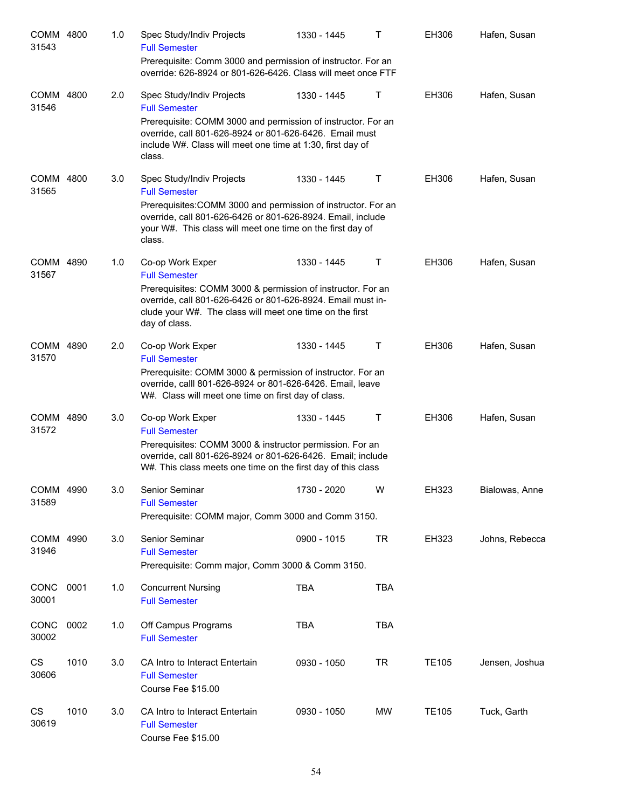| COMM 4800<br>31543   |      | 1.0 | Spec Study/Indiv Projects<br><b>Full Semester</b>                                                                                                                                                                                                         | 1330 - 1445 | т            | EH306        | Hafen, Susan   |
|----------------------|------|-----|-----------------------------------------------------------------------------------------------------------------------------------------------------------------------------------------------------------------------------------------------------------|-------------|--------------|--------------|----------------|
|                      |      |     | Prerequisite: Comm 3000 and permission of instructor. For an<br>override: 626-8924 or 801-626-6426. Class will meet once FTF                                                                                                                              |             |              |              |                |
| COMM 4800<br>31546   |      | 2.0 | Spec Study/Indiv Projects<br><b>Full Semester</b><br>Prerequisite: COMM 3000 and permission of instructor. For an<br>override, call 801-626-8924 or 801-626-6426. Email must<br>include W#. Class will meet one time at 1:30, first day of<br>class.      | 1330 - 1445 | Т            | EH306        | Hafen, Susan   |
| COMM 4800<br>31565   |      | 3.0 | Spec Study/Indiv Projects<br><b>Full Semester</b><br>Prerequisites: COMM 3000 and permission of instructor. For an<br>override, call 801-626-6426 or 801-626-8924. Email, include<br>your W#. This class will meet one time on the first day of<br>class. | 1330 - 1445 | Τ            | EH306        | Hafen, Susan   |
| COMM 4890<br>31567   |      | 1.0 | Co-op Work Exper<br><b>Full Semester</b><br>Prerequisites: COMM 3000 & permission of instructor. For an<br>override, call 801-626-6426 or 801-626-8924. Email must in-<br>clude your W#. The class will meet one time on the first<br>day of class.       | 1330 - 1445 | Τ            | EH306        | Hafen, Susan   |
| COMM 4890<br>31570   |      | 2.0 | Co-op Work Exper<br><b>Full Semester</b><br>Prerequisite: COMM 3000 & permission of instructor. For an<br>override, calll 801-626-8924 or 801-626-6426. Email, leave<br>W#. Class will meet one time on first day of class.                               | 1330 - 1445 | Τ            | EH306        | Hafen, Susan   |
| COMM 4890<br>31572   |      | 3.0 | Co-op Work Exper<br><b>Full Semester</b><br>Prerequisites: COMM 3000 & instructor permission. For an<br>override, call 801-626-8924 or 801-626-6426. Email; include<br>W#. This class meets one time on the first day of this class                       | 1330 - 1445 | $\mathsf{T}$ | EH306        | Hafen, Susan   |
| COMM 4990<br>31589   |      | 3.0 | Senior Seminar<br><b>Full Semester</b><br>Prerequisite: COMM major, Comm 3000 and Comm 3150.                                                                                                                                                              | 1730 - 2020 | <b>W</b>     | EH323        | Bialowas, Anne |
| COMM 4990<br>31946   |      | 3.0 | Senior Seminar<br><b>Full Semester</b><br>Prerequisite: Comm major, Comm 3000 & Comm 3150.                                                                                                                                                                | 0900 - 1015 | TR           | EH323        | Johns, Rebecca |
| <b>CONC</b><br>30001 | 0001 | 1.0 | <b>Concurrent Nursing</b><br><b>Full Semester</b>                                                                                                                                                                                                         | <b>TBA</b>  | <b>TBA</b>   |              |                |
| <b>CONC</b><br>30002 | 0002 | 1.0 | Off Campus Programs<br><b>Full Semester</b>                                                                                                                                                                                                               | <b>TBA</b>  | <b>TBA</b>   |              |                |
| CS<br>30606          | 1010 | 3.0 | CA Intro to Interact Entertain<br><b>Full Semester</b><br>Course Fee \$15.00                                                                                                                                                                              | 0930 - 1050 | <b>TR</b>    | <b>TE105</b> | Jensen, Joshua |
| CS<br>30619          | 1010 | 3.0 | CA Intro to Interact Entertain<br><b>Full Semester</b><br>Course Fee \$15.00                                                                                                                                                                              | 0930 - 1050 | MW           | <b>TE105</b> | Tuck, Garth    |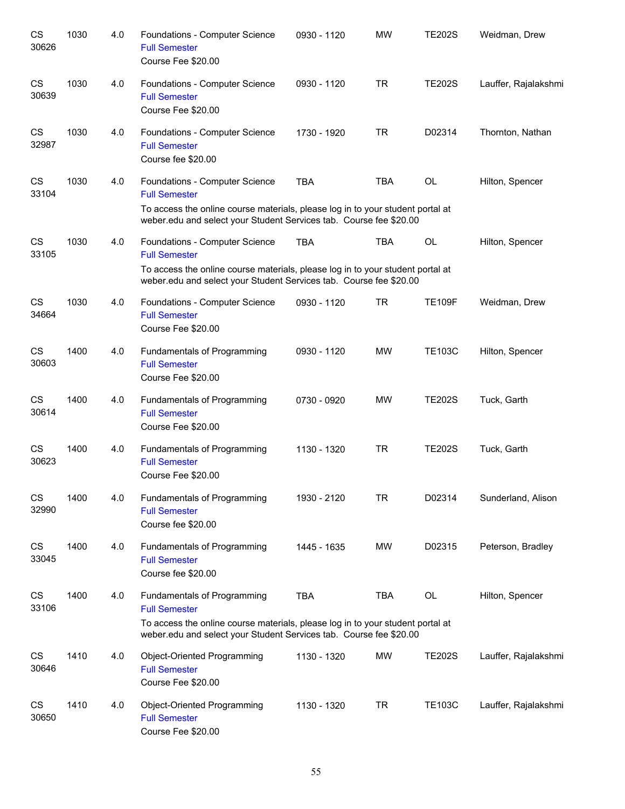| CS<br>30626        | 1030 | 4.0 | Foundations - Computer Science<br><b>Full Semester</b><br>Course Fee \$20.00                                                                                                                                   | 0930 - 1120 | <b>MW</b>  | <b>TE202S</b> | Weidman, Drew        |
|--------------------|------|-----|----------------------------------------------------------------------------------------------------------------------------------------------------------------------------------------------------------------|-------------|------------|---------------|----------------------|
| CS<br>30639        | 1030 | 4.0 | Foundations - Computer Science<br><b>Full Semester</b><br>Course Fee \$20.00                                                                                                                                   | 0930 - 1120 | <b>TR</b>  | <b>TE202S</b> | Lauffer, Rajalakshmi |
| CS<br>32987        | 1030 | 4.0 | Foundations - Computer Science<br><b>Full Semester</b><br>Course fee \$20.00                                                                                                                                   | 1730 - 1920 | <b>TR</b>  | D02314        | Thornton, Nathan     |
| <b>CS</b><br>33104 | 1030 | 4.0 | Foundations - Computer Science<br><b>Full Semester</b><br>To access the online course materials, please log in to your student portal at<br>weber.edu and select your Student Services tab. Course fee \$20.00 | <b>TBA</b>  | <b>TBA</b> | OL            | Hilton, Spencer      |
| <b>CS</b><br>33105 | 1030 | 4.0 | Foundations - Computer Science<br><b>Full Semester</b><br>To access the online course materials, please log in to your student portal at<br>weber.edu and select your Student Services tab. Course fee \$20.00 | <b>TBA</b>  | <b>TBA</b> | <b>OL</b>     | Hilton, Spencer      |
| CS<br>34664        | 1030 | 4.0 | Foundations - Computer Science<br><b>Full Semester</b><br>Course Fee \$20.00                                                                                                                                   | 0930 - 1120 | <b>TR</b>  | <b>TE109F</b> | Weidman, Drew        |
| CS<br>30603        | 1400 | 4.0 | Fundamentals of Programming<br><b>Full Semester</b><br>Course Fee \$20.00                                                                                                                                      | 0930 - 1120 | <b>MW</b>  | <b>TE103C</b> | Hilton, Spencer      |
| <b>CS</b><br>30614 | 1400 | 4.0 | Fundamentals of Programming<br><b>Full Semester</b><br>Course Fee \$20.00                                                                                                                                      | 0730 - 0920 | <b>MW</b>  | <b>TE202S</b> | Tuck, Garth          |
| CS<br>30623        | 1400 | 4.0 | Fundamentals of Programming<br><b>Full Semester</b><br>Course Fee \$20.00                                                                                                                                      | 1130 - 1320 | <b>TR</b>  | <b>TE202S</b> | Tuck, Garth          |
| CS<br>32990        | 1400 | 4.0 | Fundamentals of Programming<br><b>Full Semester</b><br>Course fee \$20.00                                                                                                                                      | 1930 - 2120 | <b>TR</b>  | D02314        | Sunderland, Alison   |
| CS<br>33045        | 1400 | 4.0 | Fundamentals of Programming<br><b>Full Semester</b><br>Course fee \$20.00                                                                                                                                      | 1445 - 1635 | <b>MW</b>  | D02315        | Peterson, Bradley    |
| CS<br>33106        | 1400 | 4.0 | Fundamentals of Programming<br><b>Full Semester</b><br>To access the online course materials, please log in to your student portal at<br>weber.edu and select your Student Services tab. Course fee \$20.00    | <b>TBA</b>  | <b>TBA</b> | OL            | Hilton, Spencer      |
| CS<br>30646        | 1410 | 4.0 | Object-Oriented Programming<br><b>Full Semester</b><br>Course Fee \$20.00                                                                                                                                      | 1130 - 1320 | <b>MW</b>  | <b>TE202S</b> | Lauffer, Rajalakshmi |
| <b>CS</b><br>30650 | 1410 | 4.0 | Object-Oriented Programming<br><b>Full Semester</b><br>Course Fee \$20.00                                                                                                                                      | 1130 - 1320 | <b>TR</b>  | <b>TE103C</b> | Lauffer, Rajalakshmi |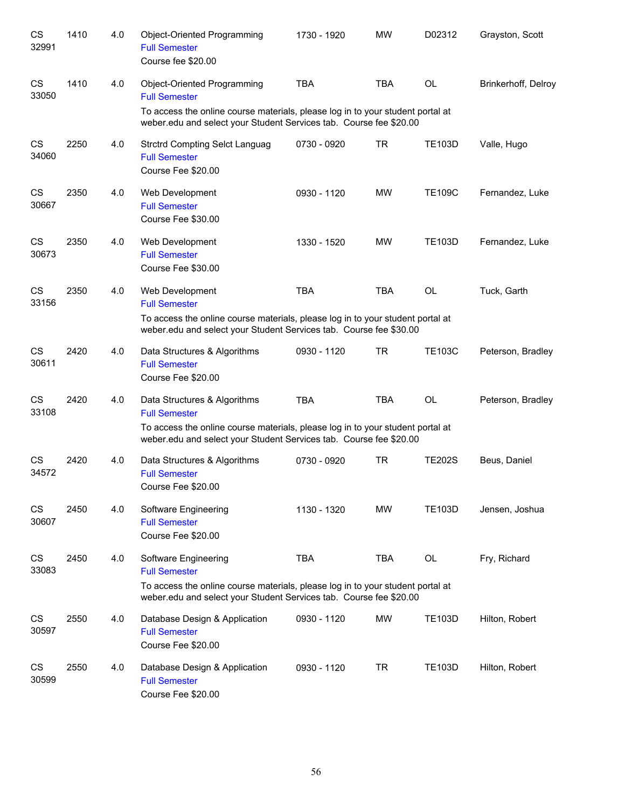| CS<br>32991 | 1410 | 4.0 | Object-Oriented Programming<br><b>Full Semester</b><br>Course fee \$20.00                                                                                                                                    | 1730 - 1920 | <b>MW</b>  | D02312        | Grayston, Scott     |
|-------------|------|-----|--------------------------------------------------------------------------------------------------------------------------------------------------------------------------------------------------------------|-------------|------------|---------------|---------------------|
| CS<br>33050 | 1410 | 4.0 | Object-Oriented Programming<br><b>Full Semester</b><br>To access the online course materials, please log in to your student portal at<br>weber.edu and select your Student Services tab. Course fee \$20.00  | <b>TBA</b>  | <b>TBA</b> | OL            | Brinkerhoff, Delroy |
| CS<br>34060 | 2250 | 4.0 | <b>Strctrd Compting Selct Languag</b><br><b>Full Semester</b><br>Course Fee \$20.00                                                                                                                          | 0730 - 0920 | <b>TR</b>  | <b>TE103D</b> | Valle, Hugo         |
| CS<br>30667 | 2350 | 4.0 | Web Development<br><b>Full Semester</b><br>Course Fee \$30.00                                                                                                                                                | 0930 - 1120 | <b>MW</b>  | <b>TE109C</b> | Fernandez, Luke     |
| CS<br>30673 | 2350 | 4.0 | Web Development<br><b>Full Semester</b><br>Course Fee \$30.00                                                                                                                                                | 1330 - 1520 | <b>MW</b>  | <b>TE103D</b> | Fernandez, Luke     |
| CS<br>33156 | 2350 | 4.0 | Web Development<br><b>Full Semester</b><br>To access the online course materials, please log in to your student portal at<br>weber.edu and select your Student Services tab. Course fee \$30.00              | <b>TBA</b>  | <b>TBA</b> | <b>OL</b>     | Tuck, Garth         |
| CS<br>30611 | 2420 | 4.0 | Data Structures & Algorithms<br><b>Full Semester</b><br>Course Fee \$20.00                                                                                                                                   | 0930 - 1120 | <b>TR</b>  | <b>TE103C</b> | Peterson, Bradley   |
| CS<br>33108 | 2420 | 4.0 | Data Structures & Algorithms<br><b>Full Semester</b><br>To access the online course materials, please log in to your student portal at<br>weber.edu and select your Student Services tab. Course fee \$20.00 | <b>TBA</b>  | <b>TBA</b> | <b>OL</b>     | Peterson, Bradley   |
| CS<br>34572 | 2420 | 4.0 | Data Structures & Algorithms<br><b>Full Semester</b><br>Course Fee \$20.00                                                                                                                                   | 0730 - 0920 | <b>TR</b>  | <b>TE202S</b> | Beus, Daniel        |
| CS<br>30607 | 2450 | 4.0 | Software Engineering<br><b>Full Semester</b><br>Course Fee \$20.00                                                                                                                                           | 1130 - 1320 | <b>MW</b>  | <b>TE103D</b> | Jensen, Joshua      |
| CS<br>33083 | 2450 | 4.0 | Software Engineering<br><b>Full Semester</b><br>To access the online course materials, please log in to your student portal at<br>weber.edu and select your Student Services tab. Course fee \$20.00         | <b>TBA</b>  | <b>TBA</b> | OL            | Fry, Richard        |
| CS<br>30597 | 2550 | 4.0 | Database Design & Application<br><b>Full Semester</b><br>Course Fee \$20.00                                                                                                                                  | 0930 - 1120 | <b>MW</b>  | <b>TE103D</b> | Hilton, Robert      |
| CS<br>30599 | 2550 | 4.0 | Database Design & Application<br><b>Full Semester</b><br>Course Fee \$20.00                                                                                                                                  | 0930 - 1120 | <b>TR</b>  | <b>TE103D</b> | Hilton, Robert      |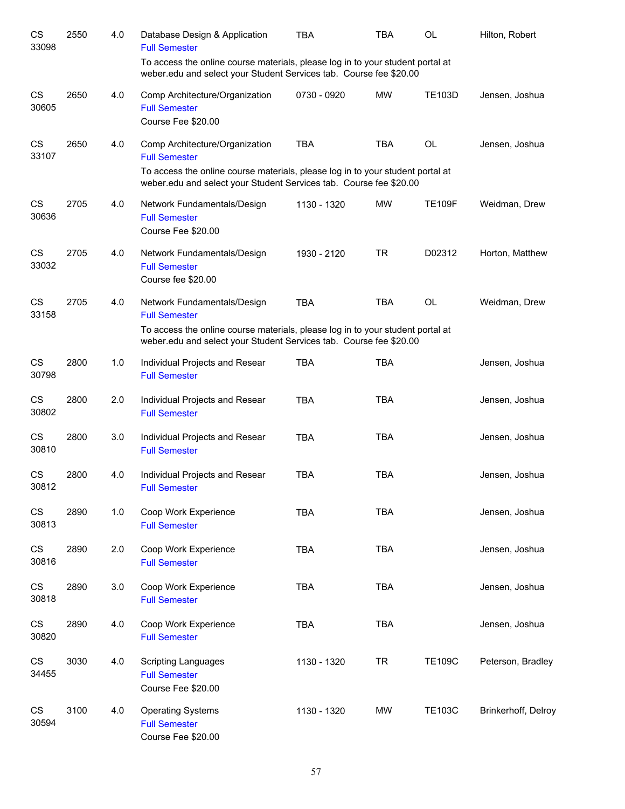| CS<br>33098 | 2550 | 4.0 | Database Design & Application<br><b>Full Semester</b>                                                                                                                                                          | <b>TBA</b>  | <b>TBA</b> | OL            | Hilton, Robert      |
|-------------|------|-----|----------------------------------------------------------------------------------------------------------------------------------------------------------------------------------------------------------------|-------------|------------|---------------|---------------------|
|             |      |     | To access the online course materials, please log in to your student portal at<br>weber.edu and select your Student Services tab. Course fee \$20.00                                                           |             |            |               |                     |
| CS<br>30605 | 2650 | 4.0 | Comp Architecture/Organization<br><b>Full Semester</b><br>Course Fee \$20.00                                                                                                                                   | 0730 - 0920 | <b>MW</b>  | <b>TE103D</b> | Jensen, Joshua      |
| CS<br>33107 | 2650 | 4.0 | Comp Architecture/Organization<br><b>Full Semester</b><br>To access the online course materials, please log in to your student portal at<br>weber.edu and select your Student Services tab. Course fee \$20.00 | <b>TBA</b>  | <b>TBA</b> | OL            | Jensen, Joshua      |
| CS<br>30636 | 2705 | 4.0 | Network Fundamentals/Design<br><b>Full Semester</b><br>Course Fee \$20.00                                                                                                                                      | 1130 - 1320 | <b>MW</b>  | <b>TE109F</b> | Weidman, Drew       |
| CS<br>33032 | 2705 | 4.0 | Network Fundamentals/Design<br><b>Full Semester</b><br>Course fee \$20.00                                                                                                                                      | 1930 - 2120 | <b>TR</b>  | D02312        | Horton, Matthew     |
| CS<br>33158 | 2705 | 4.0 | Network Fundamentals/Design<br><b>Full Semester</b><br>To access the online course materials, please log in to your student portal at<br>weber.edu and select your Student Services tab. Course fee \$20.00    | <b>TBA</b>  | <b>TBA</b> | <b>OL</b>     | Weidman, Drew       |
| CS<br>30798 | 2800 | 1.0 | Individual Projects and Resear<br><b>Full Semester</b>                                                                                                                                                         | <b>TBA</b>  | <b>TBA</b> |               | Jensen, Joshua      |
| CS<br>30802 | 2800 | 2.0 | Individual Projects and Resear<br><b>Full Semester</b>                                                                                                                                                         | <b>TBA</b>  | <b>TBA</b> |               | Jensen, Joshua      |
| CS<br>30810 | 2800 | 3.0 | Individual Projects and Resear<br><b>Full Semester</b>                                                                                                                                                         | <b>TBA</b>  | <b>TBA</b> |               | Jensen, Joshua      |
| CS<br>30812 | 2800 | 4.0 | Individual Projects and Resear<br><b>Full Semester</b>                                                                                                                                                         | <b>TBA</b>  | <b>TBA</b> |               | Jensen, Joshua      |
| CS<br>30813 | 2890 | 1.0 | Coop Work Experience<br><b>Full Semester</b>                                                                                                                                                                   | TBA         | <b>TBA</b> |               | Jensen, Joshua      |
| CS<br>30816 | 2890 | 2.0 | Coop Work Experience<br><b>Full Semester</b>                                                                                                                                                                   | <b>TBA</b>  | <b>TBA</b> |               | Jensen, Joshua      |
| CS<br>30818 | 2890 | 3.0 | Coop Work Experience<br><b>Full Semester</b>                                                                                                                                                                   | <b>TBA</b>  | <b>TBA</b> |               | Jensen, Joshua      |
| CS<br>30820 | 2890 | 4.0 | Coop Work Experience<br><b>Full Semester</b>                                                                                                                                                                   | <b>TBA</b>  | <b>TBA</b> |               | Jensen, Joshua      |
| CS<br>34455 | 3030 | 4.0 | <b>Scripting Languages</b><br><b>Full Semester</b><br>Course Fee \$20.00                                                                                                                                       | 1130 - 1320 | <b>TR</b>  | <b>TE109C</b> | Peterson, Bradley   |
| CS<br>30594 | 3100 | 4.0 | <b>Operating Systems</b><br><b>Full Semester</b><br>Course Fee \$20.00                                                                                                                                         | 1130 - 1320 | <b>MW</b>  | <b>TE103C</b> | Brinkerhoff, Delroy |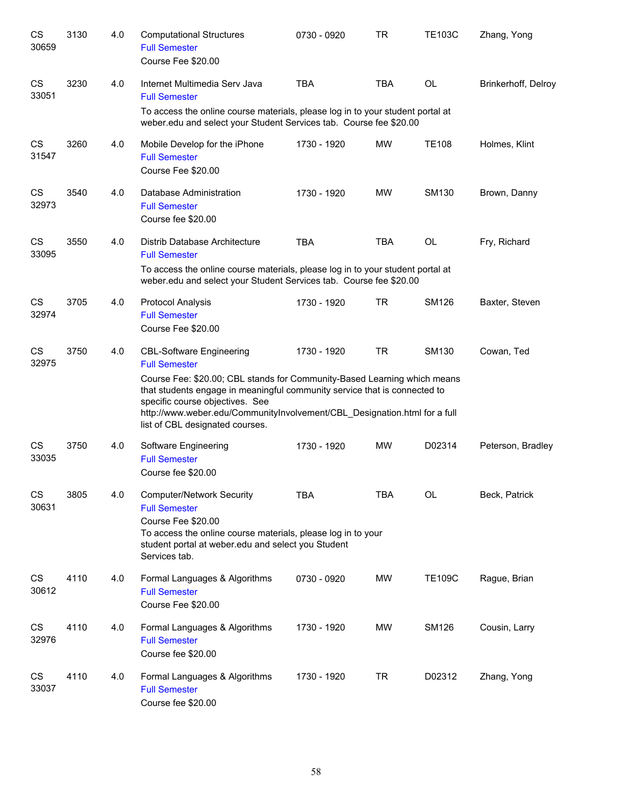| CS<br>30659        | 3130 | 4.0 | <b>Computational Structures</b><br><b>Full Semester</b><br>Course Fee \$20.00                                                                                                                                                | 0730 - 0920 | <b>TR</b>  | <b>TE103C</b> | Zhang, Yong         |
|--------------------|------|-----|------------------------------------------------------------------------------------------------------------------------------------------------------------------------------------------------------------------------------|-------------|------------|---------------|---------------------|
| <b>CS</b><br>33051 | 3230 | 4.0 | Internet Multimedia Serv Java<br><b>Full Semester</b>                                                                                                                                                                        | <b>TBA</b>  | <b>TBA</b> | <b>OL</b>     | Brinkerhoff, Delroy |
|                    |      |     | To access the online course materials, please log in to your student portal at<br>weber.edu and select your Student Services tab. Course fee \$20.00                                                                         |             |            |               |                     |
| <b>CS</b><br>31547 | 3260 | 4.0 | Mobile Develop for the iPhone<br><b>Full Semester</b><br>Course Fee \$20.00                                                                                                                                                  | 1730 - 1920 | <b>MW</b>  | <b>TE108</b>  | Holmes, Klint       |
| <b>CS</b><br>32973 | 3540 | 4.0 | Database Administration<br><b>Full Semester</b><br>Course fee \$20.00                                                                                                                                                        | 1730 - 1920 | <b>MW</b>  | SM130         | Brown, Danny        |
| <b>CS</b><br>33095 | 3550 | 4.0 | Distrib Database Architecture<br><b>Full Semester</b>                                                                                                                                                                        | <b>TBA</b>  | <b>TBA</b> | <b>OL</b>     | Fry, Richard        |
|                    |      |     | To access the online course materials, please log in to your student portal at<br>weber.edu and select your Student Services tab. Course fee \$20.00                                                                         |             |            |               |                     |
| CS<br>32974        | 3705 | 4.0 | <b>Protocol Analysis</b><br><b>Full Semester</b><br>Course Fee \$20.00                                                                                                                                                       | 1730 - 1920 | <b>TR</b>  | <b>SM126</b>  | Baxter, Steven      |
| CS<br>32975        | 3750 | 4.0 | <b>CBL-Software Engineering</b><br><b>Full Semester</b><br>Course Fee: \$20.00; CBL stands for Community-Based Learning which means                                                                                          | 1730 - 1920 | <b>TR</b>  | SM130         | Cowan, Ted          |
|                    |      |     | that students engage in meaningful community service that is connected to<br>specific course objectives. See<br>http://www.weber.edu/CommunityInvolvement/CBL_Designation.html for a full<br>list of CBL designated courses. |             |            |               |                     |
| CS<br>33035        | 3750 | 4.0 | Software Engineering<br><b>Full Semester</b><br>Course fee \$20.00                                                                                                                                                           | 1730 - 1920 | <b>MW</b>  | D02314        | Peterson, Bradley   |
| CS<br>30631        | 3805 | 4.0 | <b>Computer/Network Security</b><br><b>Full Semester</b><br>Course Fee \$20.00                                                                                                                                               | TBA         | <b>TBA</b> | OL            | Beck, Patrick       |
|                    |      |     | To access the online course materials, please log in to your<br>student portal at weber.edu and select you Student<br>Services tab.                                                                                          |             |            |               |                     |
| CS<br>30612        | 4110 | 4.0 | Formal Languages & Algorithms<br><b>Full Semester</b><br>Course Fee \$20.00                                                                                                                                                  | 0730 - 0920 | MW         | <b>TE109C</b> | Rague, Brian        |
| CS<br>32976        | 4110 | 4.0 | Formal Languages & Algorithms<br><b>Full Semester</b><br>Course fee \$20.00                                                                                                                                                  | 1730 - 1920 | MW         | <b>SM126</b>  | Cousin, Larry       |
| CS<br>33037        | 4110 | 4.0 | Formal Languages & Algorithms<br><b>Full Semester</b><br>Course fee \$20.00                                                                                                                                                  | 1730 - 1920 | TR         | D02312        | Zhang, Yong         |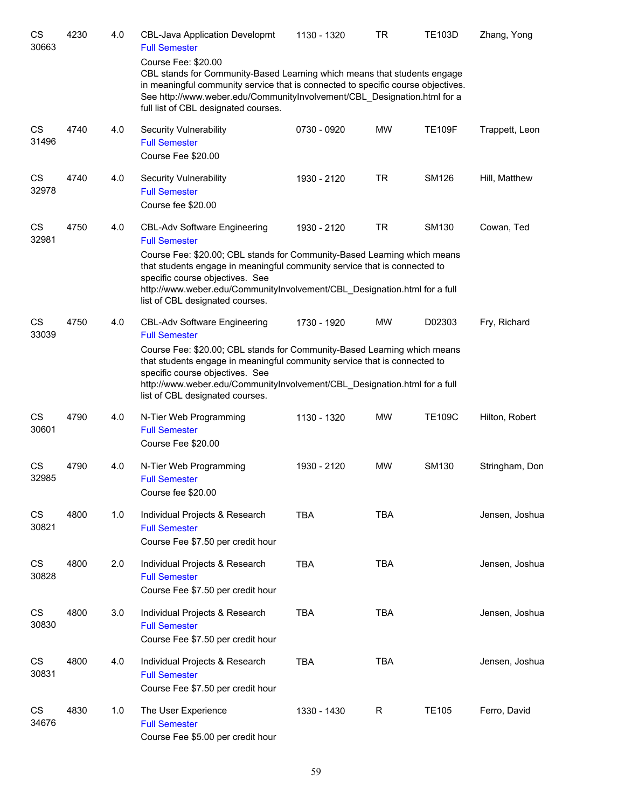| CS<br>30663 | 4230 | 4.0 | CBL-Java Application Developmt<br><b>Full Semester</b>                                                                                                                                                                                                                                                                                                                  | 1130 - 1320 | TR         | <b>TE103D</b> | Zhang, Yong    |
|-------------|------|-----|-------------------------------------------------------------------------------------------------------------------------------------------------------------------------------------------------------------------------------------------------------------------------------------------------------------------------------------------------------------------------|-------------|------------|---------------|----------------|
|             |      |     | Course Fee: \$20.00<br>CBL stands for Community-Based Learning which means that students engage<br>in meaningful community service that is connected to specific course objectives.<br>See http://www.weber.edu/CommunityInvolvement/CBL_Designation.html for a<br>full list of CBL designated courses.                                                                 |             |            |               |                |
| CS<br>31496 | 4740 | 4.0 | <b>Security Vulnerability</b><br><b>Full Semester</b><br>Course Fee \$20.00                                                                                                                                                                                                                                                                                             | 0730 - 0920 | <b>MW</b>  | <b>TE109F</b> | Trappett, Leon |
| CS<br>32978 | 4740 | 4.0 | <b>Security Vulnerability</b><br><b>Full Semester</b><br>Course fee \$20.00                                                                                                                                                                                                                                                                                             | 1930 - 2120 | <b>TR</b>  | <b>SM126</b>  | Hill, Matthew  |
| CS<br>32981 | 4750 | 4.0 | <b>CBL-Adv Software Engineering</b><br><b>Full Semester</b><br>Course Fee: \$20.00; CBL stands for Community-Based Learning which means<br>that students engage in meaningful community service that is connected to<br>specific course objectives. See<br>http://www.weber.edu/CommunityInvolvement/CBL_Designation.html for a full<br>list of CBL designated courses. | 1930 - 2120 | <b>TR</b>  | SM130         | Cowan, Ted     |
| CS<br>33039 | 4750 | 4.0 | <b>CBL-Adv Software Engineering</b><br><b>Full Semester</b><br>Course Fee: \$20.00; CBL stands for Community-Based Learning which means<br>that students engage in meaningful community service that is connected to<br>specific course objectives. See<br>http://www.weber.edu/CommunityInvolvement/CBL_Designation.html for a full<br>list of CBL designated courses. | 1730 - 1920 | <b>MW</b>  | D02303        | Fry, Richard   |
| CS<br>30601 | 4790 | 4.0 | N-Tier Web Programming<br><b>Full Semester</b><br>Course Fee \$20.00                                                                                                                                                                                                                                                                                                    | 1130 - 1320 | <b>MW</b>  | <b>TE109C</b> | Hilton, Robert |
| CS<br>32985 | 4790 | 4.0 | N-Tier Web Programming<br><b>Full Semester</b><br>Course fee \$20.00                                                                                                                                                                                                                                                                                                    | 1930 - 2120 | <b>MW</b>  | SM130         | Stringham, Don |
| CS<br>30821 | 4800 | 1.0 | Individual Projects & Research<br><b>Full Semester</b><br>Course Fee \$7.50 per credit hour                                                                                                                                                                                                                                                                             | <b>TBA</b>  | <b>TBA</b> |               | Jensen, Joshua |
| CS<br>30828 | 4800 | 2.0 | Individual Projects & Research<br><b>Full Semester</b><br>Course Fee \$7.50 per credit hour                                                                                                                                                                                                                                                                             | TBA         | <b>TBA</b> |               | Jensen, Joshua |
| CS<br>30830 | 4800 | 3.0 | Individual Projects & Research<br><b>Full Semester</b><br>Course Fee \$7.50 per credit hour                                                                                                                                                                                                                                                                             | <b>TBA</b>  | <b>TBA</b> |               | Jensen, Joshua |
| CS<br>30831 | 4800 | 4.0 | Individual Projects & Research<br><b>Full Semester</b><br>Course Fee \$7.50 per credit hour                                                                                                                                                                                                                                                                             | TBA         | <b>TBA</b> |               | Jensen, Joshua |
| CS<br>34676 | 4830 | 1.0 | The User Experience<br><b>Full Semester</b><br>Course Fee \$5.00 per credit hour                                                                                                                                                                                                                                                                                        | 1330 - 1430 | R          | TE105         | Ferro, David   |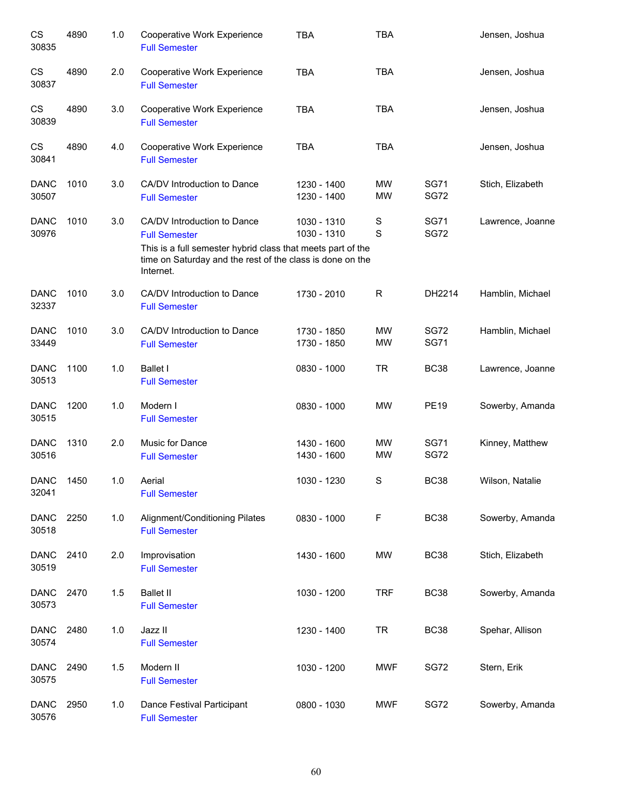| CS<br>30835          | 4890 | 1.0 | Cooperative Work Experience<br><b>Full Semester</b>                                                                | <b>TBA</b>                 | <b>TBA</b>             |                            | Jensen, Joshua   |
|----------------------|------|-----|--------------------------------------------------------------------------------------------------------------------|----------------------------|------------------------|----------------------------|------------------|
| CS<br>30837          | 4890 | 2.0 | Cooperative Work Experience<br><b>Full Semester</b>                                                                | <b>TBA</b>                 | <b>TBA</b>             |                            | Jensen, Joshua   |
| CS<br>30839          | 4890 | 3.0 | Cooperative Work Experience<br><b>Full Semester</b>                                                                | <b>TBA</b>                 | <b>TBA</b>             |                            | Jensen, Joshua   |
| CS<br>30841          | 4890 | 4.0 | Cooperative Work Experience<br><b>Full Semester</b>                                                                | <b>TBA</b>                 | <b>TBA</b>             |                            | Jensen, Joshua   |
| <b>DANC</b><br>30507 | 1010 | 3.0 | CA/DV Introduction to Dance<br><b>Full Semester</b>                                                                | 1230 - 1400<br>1230 - 1400 | MW<br><b>MW</b>        | <b>SG71</b><br><b>SG72</b> | Stich, Elizabeth |
| <b>DANC</b><br>30976 | 1010 | 3.0 | CA/DV Introduction to Dance<br><b>Full Semester</b><br>This is a full semester hybrid class that meets part of the | 1030 - 1310<br>1030 - 1310 | S<br>S                 | <b>SG71</b><br><b>SG72</b> | Lawrence, Joanne |
|                      |      |     | time on Saturday and the rest of the class is done on the<br>Internet.                                             |                            |                        |                            |                  |
| <b>DANC</b><br>32337 | 1010 | 3.0 | CA/DV Introduction to Dance<br><b>Full Semester</b>                                                                | 1730 - 2010                | R                      | DH2214                     | Hamblin, Michael |
| <b>DANC</b><br>33449 | 1010 | 3.0 | CA/DV Introduction to Dance<br><b>Full Semester</b>                                                                | 1730 - 1850<br>1730 - 1850 | MW<br><b>MW</b>        | <b>SG72</b><br><b>SG71</b> | Hamblin, Michael |
| <b>DANC</b><br>30513 | 1100 | 1.0 | <b>Ballet I</b><br><b>Full Semester</b>                                                                            | 0830 - 1000                | <b>TR</b>              | <b>BC38</b>                | Lawrence, Joanne |
| <b>DANC</b><br>30515 | 1200 | 1.0 | Modern I<br><b>Full Semester</b>                                                                                   | 0830 - 1000                | <b>MW</b>              | <b>PE19</b>                | Sowerby, Amanda  |
| <b>DANC</b><br>30516 | 1310 | 2.0 | Music for Dance<br><b>Full Semester</b>                                                                            | 1430 - 1600<br>1430 - 1600 | <b>MW</b><br><b>MW</b> | <b>SG71</b><br><b>SG72</b> | Kinney, Matthew  |
| <b>DANC</b><br>32041 | 1450 | 1.0 | Aerial<br><b>Full Semester</b>                                                                                     | 1030 - 1230                | S                      | <b>BC38</b>                | Wilson, Natalie  |
| <b>DANC</b><br>30518 | 2250 | 1.0 | Alignment/Conditioning Pilates<br><b>Full Semester</b>                                                             | 0830 - 1000                | F                      | <b>BC38</b>                | Sowerby, Amanda  |
| <b>DANC</b><br>30519 | 2410 | 2.0 | Improvisation<br><b>Full Semester</b>                                                                              | 1430 - 1600                | MW                     | <b>BC38</b>                | Stich, Elizabeth |
| <b>DANC</b><br>30573 | 2470 | 1.5 | <b>Ballet II</b><br><b>Full Semester</b>                                                                           | 1030 - 1200                | <b>TRF</b>             | <b>BC38</b>                | Sowerby, Amanda  |
| <b>DANC</b><br>30574 | 2480 | 1.0 | Jazz II<br><b>Full Semester</b>                                                                                    | 1230 - 1400                | <b>TR</b>              | <b>BC38</b>                | Spehar, Allison  |
| <b>DANC</b><br>30575 | 2490 | 1.5 | Modern II<br><b>Full Semester</b>                                                                                  | 1030 - 1200                | <b>MWF</b>             | <b>SG72</b>                | Stern, Erik      |
| <b>DANC</b><br>30576 | 2950 | 1.0 | Dance Festival Participant<br><b>Full Semester</b>                                                                 | 0800 - 1030                | <b>MWF</b>             | <b>SG72</b>                | Sowerby, Amanda  |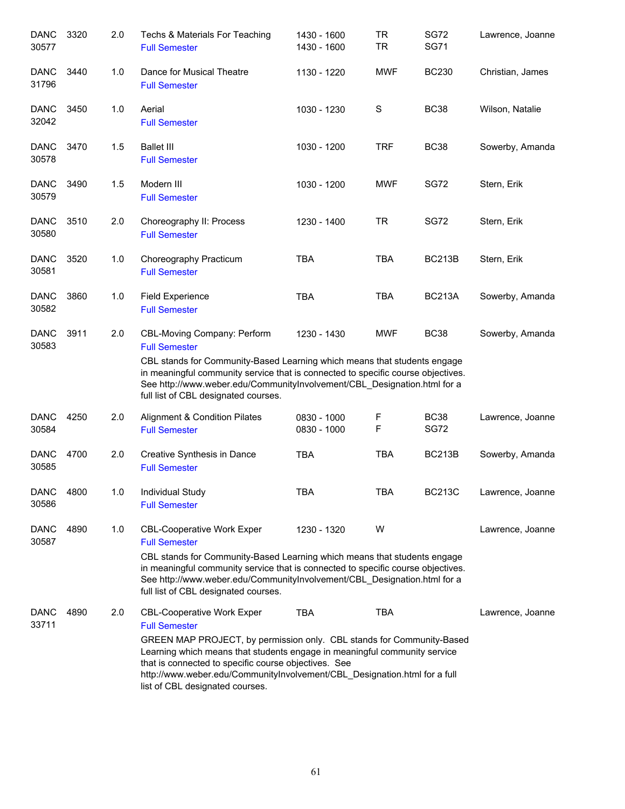| <b>DANC</b><br>30577 | 3320 | 2.0 | Techs & Materials For Teaching<br><b>Full Semester</b>                                                                                                                                                                                                                                                                                                                                  | 1430 - 1600<br>1430 - 1600 | <b>TR</b><br><b>TR</b> | <b>SG72</b><br><b>SG71</b> | Lawrence, Joanne |
|----------------------|------|-----|-----------------------------------------------------------------------------------------------------------------------------------------------------------------------------------------------------------------------------------------------------------------------------------------------------------------------------------------------------------------------------------------|----------------------------|------------------------|----------------------------|------------------|
| <b>DANC</b><br>31796 | 3440 | 1.0 | Dance for Musical Theatre<br><b>Full Semester</b>                                                                                                                                                                                                                                                                                                                                       | 1130 - 1220                | <b>MWF</b>             | <b>BC230</b>               | Christian, James |
| <b>DANC</b><br>32042 | 3450 | 1.0 | Aerial<br><b>Full Semester</b>                                                                                                                                                                                                                                                                                                                                                          | 1030 - 1230                | $\mathbf S$            | <b>BC38</b>                | Wilson, Natalie  |
| <b>DANC</b><br>30578 | 3470 | 1.5 | <b>Ballet III</b><br><b>Full Semester</b>                                                                                                                                                                                                                                                                                                                                               | 1030 - 1200                | <b>TRF</b>             | <b>BC38</b>                | Sowerby, Amanda  |
| <b>DANC</b><br>30579 | 3490 | 1.5 | Modern III<br><b>Full Semester</b>                                                                                                                                                                                                                                                                                                                                                      | 1030 - 1200                | <b>MWF</b>             | <b>SG72</b>                | Stern, Erik      |
| <b>DANC</b><br>30580 | 3510 | 2.0 | Choreography II: Process<br><b>Full Semester</b>                                                                                                                                                                                                                                                                                                                                        | 1230 - 1400                | <b>TR</b>              | <b>SG72</b>                | Stern, Erik      |
| <b>DANC</b><br>30581 | 3520 | 1.0 | Choreography Practicum<br><b>Full Semester</b>                                                                                                                                                                                                                                                                                                                                          | <b>TBA</b>                 | <b>TBA</b>             | <b>BC213B</b>              | Stern, Erik      |
| <b>DANC</b><br>30582 | 3860 | 1.0 | <b>Field Experience</b><br><b>Full Semester</b>                                                                                                                                                                                                                                                                                                                                         | <b>TBA</b>                 | <b>TBA</b>             | <b>BC213A</b>              | Sowerby, Amanda  |
| <b>DANC</b><br>30583 | 3911 | 2.0 | CBL-Moving Company: Perform<br><b>Full Semester</b><br>CBL stands for Community-Based Learning which means that students engage<br>in meaningful community service that is connected to specific course objectives.<br>See http://www.weber.edu/CommunityInvolvement/CBL_Designation.html for a<br>full list of CBL designated courses.                                                 | 1230 - 1430                | <b>MWF</b>             | <b>BC38</b>                | Sowerby, Amanda  |
| <b>DANC</b><br>30584 | 4250 | 2.0 | Alignment & Condition Pilates<br><b>Full Semester</b>                                                                                                                                                                                                                                                                                                                                   | 0830 - 1000<br>0830 - 1000 | F<br>F                 | <b>BC38</b><br><b>SG72</b> | Lawrence, Joanne |
| <b>DANC</b><br>30585 | 4700 | 2.0 | Creative Synthesis in Dance<br><b>Full Semester</b>                                                                                                                                                                                                                                                                                                                                     | <b>TBA</b>                 | <b>TBA</b>             | <b>BC213B</b>              | Sowerby, Amanda  |
| <b>DANC</b><br>30586 | 4800 | 1.0 | Individual Study<br><b>Full Semester</b>                                                                                                                                                                                                                                                                                                                                                | <b>TBA</b>                 | <b>TBA</b>             | <b>BC213C</b>              | Lawrence, Joanne |
| <b>DANC</b><br>30587 | 4890 | 1.0 | <b>CBL-Cooperative Work Exper</b><br><b>Full Semester</b><br>CBL stands for Community-Based Learning which means that students engage<br>in meaningful community service that is connected to specific course objectives.<br>See http://www.weber.edu/CommunityInvolvement/CBL_Designation.html for a<br>full list of CBL designated courses.                                           | 1230 - 1320                | W                      |                            | Lawrence, Joanne |
| <b>DANC</b><br>33711 | 4890 | 2.0 | <b>CBL-Cooperative Work Exper</b><br><b>Full Semester</b><br>GREEN MAP PROJECT, by permission only. CBL stands for Community-Based<br>Learning which means that students engage in meaningful community service<br>that is connected to specific course objectives. See<br>http://www.weber.edu/CommunityInvolvement/CBL_Designation.html for a full<br>list of CBL designated courses. | <b>TBA</b>                 | TBA                    |                            | Lawrence, Joanne |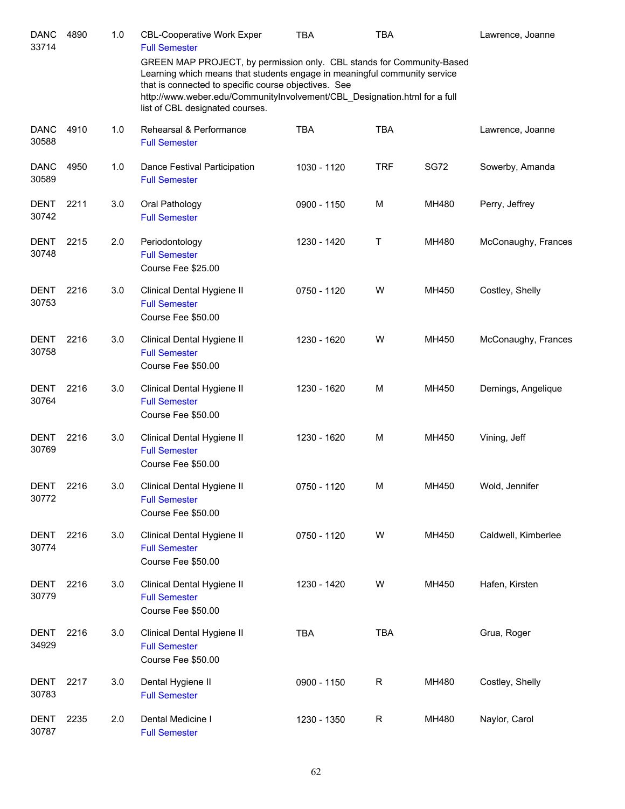| <b>DANC</b><br>33714 | 4890 | 1.0 | <b>CBL-Cooperative Work Exper</b><br><b>Full Semester</b>                                                                                                                                                                                                                                                                  | TBA         | TBA        |             | Lawrence, Joanne    |
|----------------------|------|-----|----------------------------------------------------------------------------------------------------------------------------------------------------------------------------------------------------------------------------------------------------------------------------------------------------------------------------|-------------|------------|-------------|---------------------|
|                      |      |     | GREEN MAP PROJECT, by permission only. CBL stands for Community-Based<br>Learning which means that students engage in meaningful community service<br>that is connected to specific course objectives. See<br>http://www.weber.edu/CommunityInvolvement/CBL_Designation.html for a full<br>list of CBL designated courses. |             |            |             |                     |
| <b>DANC</b><br>30588 | 4910 | 1.0 | Rehearsal & Performance<br><b>Full Semester</b>                                                                                                                                                                                                                                                                            | <b>TBA</b>  | <b>TBA</b> |             | Lawrence, Joanne    |
| <b>DANC</b><br>30589 | 4950 | 1.0 | Dance Festival Participation<br><b>Full Semester</b>                                                                                                                                                                                                                                                                       | 1030 - 1120 | <b>TRF</b> | <b>SG72</b> | Sowerby, Amanda     |
| <b>DENT</b><br>30742 | 2211 | 3.0 | Oral Pathology<br><b>Full Semester</b>                                                                                                                                                                                                                                                                                     | 0900 - 1150 | M          | MH480       | Perry, Jeffrey      |
| <b>DENT</b><br>30748 | 2215 | 2.0 | Periodontology<br><b>Full Semester</b><br>Course Fee \$25.00                                                                                                                                                                                                                                                               | 1230 - 1420 | Τ          | MH480       | McConaughy, Frances |
| <b>DENT</b><br>30753 | 2216 | 3.0 | Clinical Dental Hygiene II<br><b>Full Semester</b><br>Course Fee \$50.00                                                                                                                                                                                                                                                   | 0750 - 1120 | W          | MH450       | Costley, Shelly     |
| <b>DENT</b><br>30758 | 2216 | 3.0 | Clinical Dental Hygiene II<br><b>Full Semester</b><br>Course Fee \$50.00                                                                                                                                                                                                                                                   | 1230 - 1620 | W          | MH450       | McConaughy, Frances |
| <b>DENT</b><br>30764 | 2216 | 3.0 | Clinical Dental Hygiene II<br><b>Full Semester</b><br>Course Fee \$50.00                                                                                                                                                                                                                                                   | 1230 - 1620 | M          | MH450       | Demings, Angelique  |
| <b>DENT</b><br>30769 | 2216 | 3.0 | Clinical Dental Hygiene II<br><b>Full Semester</b><br>Course Fee \$50.00                                                                                                                                                                                                                                                   | 1230 - 1620 | M          | MH450       | Vining, Jeff        |
| DENT<br>30772        | 2216 | 3.0 | Clinical Dental Hygiene II<br><b>Full Semester</b><br>Course Fee \$50.00                                                                                                                                                                                                                                                   | 0750 - 1120 | M          | MH450       | Wold, Jennifer      |
| DENT<br>30774        | 2216 | 3.0 | Clinical Dental Hygiene II<br><b>Full Semester</b><br>Course Fee \$50.00                                                                                                                                                                                                                                                   | 0750 - 1120 | W          | MH450       | Caldwell, Kimberlee |
| DENT<br>30779        | 2216 | 3.0 | Clinical Dental Hygiene II<br><b>Full Semester</b><br>Course Fee \$50.00                                                                                                                                                                                                                                                   | 1230 - 1420 | W          | MH450       | Hafen, Kirsten      |
| DENT<br>34929        | 2216 | 3.0 | Clinical Dental Hygiene II<br><b>Full Semester</b><br>Course Fee \$50.00                                                                                                                                                                                                                                                   | <b>TBA</b>  | <b>TBA</b> |             | Grua, Roger         |
| DENT<br>30783        | 2217 | 3.0 | Dental Hygiene II<br><b>Full Semester</b>                                                                                                                                                                                                                                                                                  | 0900 - 1150 | R          | MH480       | Costley, Shelly     |
| DENT<br>30787        | 2235 | 2.0 | Dental Medicine I<br><b>Full Semester</b>                                                                                                                                                                                                                                                                                  | 1230 - 1350 | R          | MH480       | Naylor, Carol       |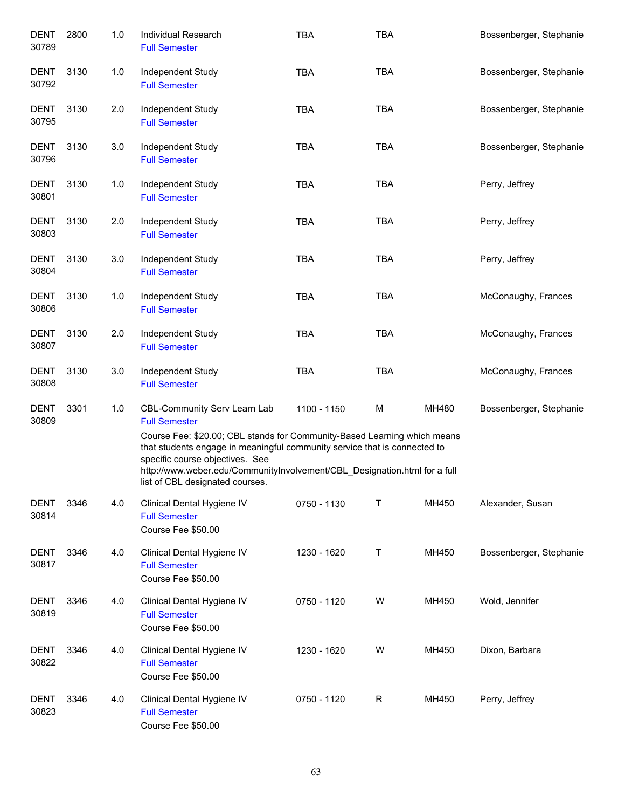| <b>DENT</b><br>30789 | 2800 | 1.0 | Individual Research<br><b>Full Semester</b>                                                                                                                                                                                                                                                                                                                             | <b>TBA</b>  | <b>TBA</b> |       | Bossenberger, Stephanie |
|----------------------|------|-----|-------------------------------------------------------------------------------------------------------------------------------------------------------------------------------------------------------------------------------------------------------------------------------------------------------------------------------------------------------------------------|-------------|------------|-------|-------------------------|
| DENT<br>30792        | 3130 | 1.0 | Independent Study<br><b>Full Semester</b>                                                                                                                                                                                                                                                                                                                               | <b>TBA</b>  | <b>TBA</b> |       | Bossenberger, Stephanie |
| <b>DENT</b><br>30795 | 3130 | 2.0 | Independent Study<br><b>Full Semester</b>                                                                                                                                                                                                                                                                                                                               | <b>TBA</b>  | <b>TBA</b> |       | Bossenberger, Stephanie |
| <b>DENT</b><br>30796 | 3130 | 3.0 | Independent Study<br><b>Full Semester</b>                                                                                                                                                                                                                                                                                                                               | <b>TBA</b>  | <b>TBA</b> |       | Bossenberger, Stephanie |
| DENT<br>30801        | 3130 | 1.0 | Independent Study<br><b>Full Semester</b>                                                                                                                                                                                                                                                                                                                               | <b>TBA</b>  | <b>TBA</b> |       | Perry, Jeffrey          |
| <b>DENT</b><br>30803 | 3130 | 2.0 | Independent Study<br><b>Full Semester</b>                                                                                                                                                                                                                                                                                                                               | <b>TBA</b>  | <b>TBA</b> |       | Perry, Jeffrey          |
| DENT<br>30804        | 3130 | 3.0 | Independent Study<br><b>Full Semester</b>                                                                                                                                                                                                                                                                                                                               | <b>TBA</b>  | <b>TBA</b> |       | Perry, Jeffrey          |
| <b>DENT</b><br>30806 | 3130 | 1.0 | Independent Study<br><b>Full Semester</b>                                                                                                                                                                                                                                                                                                                               | <b>TBA</b>  | <b>TBA</b> |       | McConaughy, Frances     |
| <b>DENT</b><br>30807 | 3130 | 2.0 | Independent Study<br><b>Full Semester</b>                                                                                                                                                                                                                                                                                                                               | <b>TBA</b>  | <b>TBA</b> |       | McConaughy, Frances     |
| <b>DENT</b><br>30808 | 3130 | 3.0 | Independent Study<br><b>Full Semester</b>                                                                                                                                                                                                                                                                                                                               | <b>TBA</b>  | <b>TBA</b> |       | McConaughy, Frances     |
| <b>DENT</b><br>30809 | 3301 | 1.0 | <b>CBL-Community Serv Learn Lab</b><br><b>Full Semester</b><br>Course Fee: \$20.00; CBL stands for Community-Based Learning which means<br>that students engage in meaningful community service that is connected to<br>specific course objectives. See<br>http://www.weber.edu/CommunityInvolvement/CBL_Designation.html for a full<br>list of CBL designated courses. | 1100 - 1150 | M          | MH480 | Bossenberger, Stephanie |
| <b>DENT</b><br>30814 | 3346 | 4.0 | Clinical Dental Hygiene IV<br><b>Full Semester</b><br>Course Fee \$50.00                                                                                                                                                                                                                                                                                                | 0750 - 1130 | т          | MH450 | Alexander, Susan        |
| <b>DENT</b><br>30817 | 3346 | 4.0 | Clinical Dental Hygiene IV<br><b>Full Semester</b><br>Course Fee \$50.00                                                                                                                                                                                                                                                                                                | 1230 - 1620 | т          | MH450 | Bossenberger, Stephanie |
| <b>DENT</b><br>30819 | 3346 | 4.0 | Clinical Dental Hygiene IV<br><b>Full Semester</b><br>Course Fee \$50.00                                                                                                                                                                                                                                                                                                | 0750 - 1120 | W          | MH450 | Wold, Jennifer          |
| <b>DENT</b><br>30822 | 3346 | 4.0 | Clinical Dental Hygiene IV<br><b>Full Semester</b><br>Course Fee \$50.00                                                                                                                                                                                                                                                                                                | 1230 - 1620 | W          | MH450 | Dixon, Barbara          |
| <b>DENT</b><br>30823 | 3346 | 4.0 | Clinical Dental Hygiene IV<br><b>Full Semester</b><br>Course Fee \$50.00                                                                                                                                                                                                                                                                                                | 0750 - 1120 | R          | MH450 | Perry, Jeffrey          |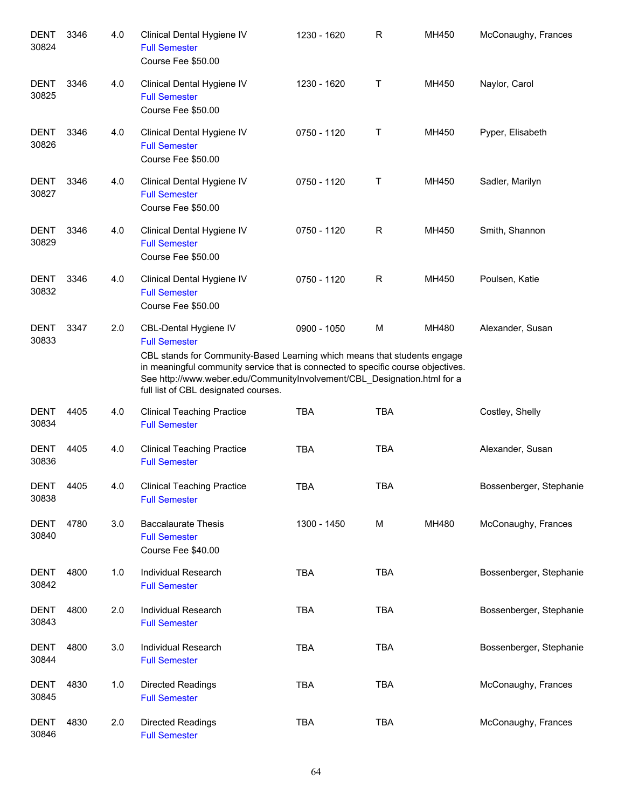| <b>DENT</b><br>30824 | 3346 | 4.0 | Clinical Dental Hygiene IV<br><b>Full Semester</b><br>Course Fee \$50.00                                                                                                                                                                                                                                                                 | 1230 - 1620 | R          | MH450 | McConaughy, Frances     |
|----------------------|------|-----|------------------------------------------------------------------------------------------------------------------------------------------------------------------------------------------------------------------------------------------------------------------------------------------------------------------------------------------|-------------|------------|-------|-------------------------|
| <b>DENT</b><br>30825 | 3346 | 4.0 | Clinical Dental Hygiene IV<br><b>Full Semester</b><br>Course Fee \$50.00                                                                                                                                                                                                                                                                 | 1230 - 1620 | Τ          | MH450 | Naylor, Carol           |
| <b>DENT</b><br>30826 | 3346 | 4.0 | Clinical Dental Hygiene IV<br><b>Full Semester</b><br>Course Fee \$50.00                                                                                                                                                                                                                                                                 | 0750 - 1120 | Τ          | MH450 | Pyper, Elisabeth        |
| <b>DENT</b><br>30827 | 3346 | 4.0 | Clinical Dental Hygiene IV<br><b>Full Semester</b><br>Course Fee \$50.00                                                                                                                                                                                                                                                                 | 0750 - 1120 | Τ          | MH450 | Sadler, Marilyn         |
| <b>DENT</b><br>30829 | 3346 | 4.0 | Clinical Dental Hygiene IV<br><b>Full Semester</b><br>Course Fee \$50.00                                                                                                                                                                                                                                                                 | 0750 - 1120 | R          | MH450 | Smith, Shannon          |
| <b>DENT</b><br>30832 | 3346 | 4.0 | Clinical Dental Hygiene IV<br><b>Full Semester</b><br>Course Fee \$50.00                                                                                                                                                                                                                                                                 | 0750 - 1120 | R          | MH450 | Poulsen, Katie          |
| <b>DENT</b><br>30833 | 3347 | 2.0 | <b>CBL-Dental Hygiene IV</b><br><b>Full Semester</b><br>CBL stands for Community-Based Learning which means that students engage<br>in meaningful community service that is connected to specific course objectives.<br>See http://www.weber.edu/CommunityInvolvement/CBL_Designation.html for a<br>full list of CBL designated courses. | 0900 - 1050 | M          | MH480 | Alexander, Susan        |
| <b>DENT</b><br>30834 | 4405 | 4.0 | <b>Clinical Teaching Practice</b><br><b>Full Semester</b>                                                                                                                                                                                                                                                                                | <b>TBA</b>  | <b>TBA</b> |       | Costley, Shelly         |
| <b>DENT</b><br>30836 | 4405 | 4.0 | <b>Clinical Teaching Practice</b><br><b>Full Semester</b>                                                                                                                                                                                                                                                                                | <b>TBA</b>  | <b>TBA</b> |       | Alexander, Susan        |
| <b>DENT</b><br>30838 | 4405 | 4.0 | <b>Clinical Teaching Practice</b><br><b>Full Semester</b>                                                                                                                                                                                                                                                                                | <b>TBA</b>  | TBA        |       | Bossenberger, Stephanie |
| <b>DENT</b><br>30840 | 4780 | 3.0 | <b>Baccalaurate Thesis</b><br><b>Full Semester</b><br>Course Fee \$40.00                                                                                                                                                                                                                                                                 | 1300 - 1450 | M          | MH480 | McConaughy, Frances     |
| DENT<br>30842        | 4800 | 1.0 | <b>Individual Research</b><br><b>Full Semester</b>                                                                                                                                                                                                                                                                                       | <b>TBA</b>  | <b>TBA</b> |       | Bossenberger, Stephanie |
| <b>DENT</b><br>30843 | 4800 | 2.0 | Individual Research<br><b>Full Semester</b>                                                                                                                                                                                                                                                                                              | <b>TBA</b>  | <b>TBA</b> |       | Bossenberger, Stephanie |
| <b>DENT</b><br>30844 | 4800 | 3.0 | Individual Research<br><b>Full Semester</b>                                                                                                                                                                                                                                                                                              | <b>TBA</b>  | <b>TBA</b> |       | Bossenberger, Stephanie |
| <b>DENT</b><br>30845 | 4830 | 1.0 | Directed Readings<br><b>Full Semester</b>                                                                                                                                                                                                                                                                                                | <b>TBA</b>  | <b>TBA</b> |       | McConaughy, Frances     |
| <b>DENT</b><br>30846 | 4830 | 2.0 | Directed Readings<br><b>Full Semester</b>                                                                                                                                                                                                                                                                                                | <b>TBA</b>  | <b>TBA</b> |       | McConaughy, Frances     |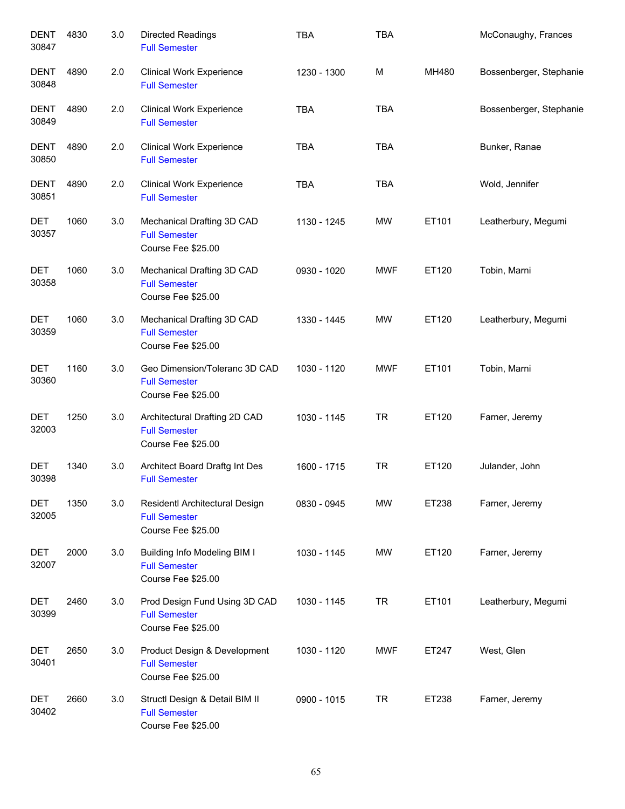| <b>DENT</b><br>30847 | 4830 | 3.0 | <b>Directed Readings</b><br><b>Full Semester</b>                                  | <b>TBA</b>  | <b>TBA</b> |       | McConaughy, Frances     |
|----------------------|------|-----|-----------------------------------------------------------------------------------|-------------|------------|-------|-------------------------|
| <b>DENT</b><br>30848 | 4890 | 2.0 | <b>Clinical Work Experience</b><br><b>Full Semester</b>                           | 1230 - 1300 | M          | MH480 | Bossenberger, Stephanie |
| <b>DENT</b><br>30849 | 4890 | 2.0 | <b>Clinical Work Experience</b><br><b>Full Semester</b>                           | <b>TBA</b>  | <b>TBA</b> |       | Bossenberger, Stephanie |
| <b>DENT</b><br>30850 | 4890 | 2.0 | <b>Clinical Work Experience</b><br><b>Full Semester</b>                           | <b>TBA</b>  | <b>TBA</b> |       | Bunker, Ranae           |
| <b>DENT</b><br>30851 | 4890 | 2.0 | <b>Clinical Work Experience</b><br><b>Full Semester</b>                           | <b>TBA</b>  | <b>TBA</b> |       | Wold, Jennifer          |
| <b>DET</b><br>30357  | 1060 | 3.0 | Mechanical Drafting 3D CAD<br><b>Full Semester</b><br>Course Fee \$25.00          | 1130 - 1245 | <b>MW</b>  | ET101 | Leatherbury, Megumi     |
| <b>DET</b><br>30358  | 1060 | 3.0 | Mechanical Drafting 3D CAD<br><b>Full Semester</b><br>Course Fee \$25.00          | 0930 - 1020 | <b>MWF</b> | ET120 | Tobin, Marni            |
| <b>DET</b><br>30359  | 1060 | 3.0 | Mechanical Drafting 3D CAD<br><b>Full Semester</b><br>Course Fee \$25.00          | 1330 - 1445 | <b>MW</b>  | ET120 | Leatherbury, Megumi     |
| <b>DET</b><br>30360  | 1160 | 3.0 | Geo Dimension/Toleranc 3D CAD<br><b>Full Semester</b><br>Course Fee \$25.00       | 1030 - 1120 | <b>MWF</b> | ET101 | Tobin, Marni            |
| <b>DET</b><br>32003  | 1250 | 3.0 | Architectural Drafting 2D CAD<br><b>Full Semester</b><br>Course Fee \$25.00       | 1030 - 1145 | <b>TR</b>  | ET120 | Farner, Jeremy          |
| <b>DET</b><br>30398  | 1340 | 3.0 | Architect Board Draftg Int Des<br><b>Full Semester</b>                            | 1600 - 1715 | <b>TR</b>  | ET120 | Julander, John          |
| <b>DET</b><br>32005  | 1350 | 3.0 | Residentl Architectural Design<br><b>Full Semester</b><br>Course Fee \$25.00      | 0830 - 0945 | <b>MW</b>  | ET238 | Farner, Jeremy          |
| <b>DET</b><br>32007  | 2000 | 3.0 | <b>Building Info Modeling BIM I</b><br><b>Full Semester</b><br>Course Fee \$25.00 | 1030 - 1145 | <b>MW</b>  | ET120 | Farner, Jeremy          |
| <b>DET</b><br>30399  | 2460 | 3.0 | Prod Design Fund Using 3D CAD<br><b>Full Semester</b><br>Course Fee \$25.00       | 1030 - 1145 | <b>TR</b>  | ET101 | Leatherbury, Megumi     |
| <b>DET</b><br>30401  | 2650 | 3.0 | Product Design & Development<br><b>Full Semester</b><br>Course Fee \$25.00        | 1030 - 1120 | <b>MWF</b> | ET247 | West, Glen              |
| <b>DET</b><br>30402  | 2660 | 3.0 | Structl Design & Detail BIM II<br><b>Full Semester</b><br>Course Fee \$25.00      | 0900 - 1015 | <b>TR</b>  | ET238 | Farner, Jeremy          |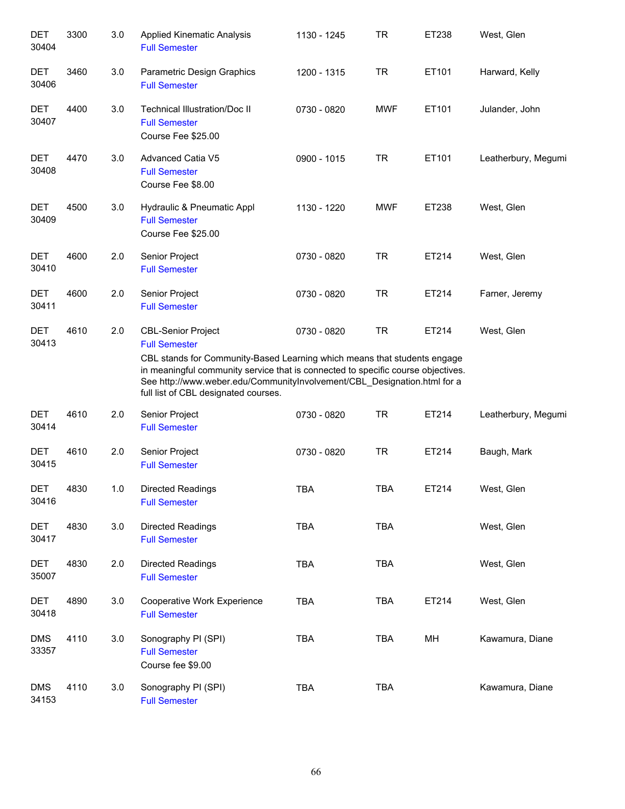| <b>DET</b><br>30404 | 3300 | 3.0 | <b>Applied Kinematic Analysis</b><br><b>Full Semester</b>                                                                                                                                                                                                                                                                             | 1130 - 1245 | <b>TR</b>  | ET238 | West, Glen          |
|---------------------|------|-----|---------------------------------------------------------------------------------------------------------------------------------------------------------------------------------------------------------------------------------------------------------------------------------------------------------------------------------------|-------------|------------|-------|---------------------|
| <b>DET</b><br>30406 | 3460 | 3.0 | Parametric Design Graphics<br><b>Full Semester</b>                                                                                                                                                                                                                                                                                    | 1200 - 1315 | <b>TR</b>  | ET101 | Harward, Kelly      |
| <b>DET</b><br>30407 | 4400 | 3.0 | <b>Technical Illustration/Doc II</b><br><b>Full Semester</b><br>Course Fee \$25.00                                                                                                                                                                                                                                                    | 0730 - 0820 | <b>MWF</b> | ET101 | Julander, John      |
| <b>DET</b><br>30408 | 4470 | 3.0 | <b>Advanced Catia V5</b><br><b>Full Semester</b><br>Course Fee \$8.00                                                                                                                                                                                                                                                                 | 0900 - 1015 | <b>TR</b>  | ET101 | Leatherbury, Megumi |
| <b>DET</b><br>30409 | 4500 | 3.0 | Hydraulic & Pneumatic Appl<br><b>Full Semester</b><br>Course Fee \$25.00                                                                                                                                                                                                                                                              | 1130 - 1220 | <b>MWF</b> | ET238 | West, Glen          |
| <b>DET</b><br>30410 | 4600 | 2.0 | Senior Project<br><b>Full Semester</b>                                                                                                                                                                                                                                                                                                | 0730 - 0820 | <b>TR</b>  | ET214 | West, Glen          |
| <b>DET</b><br>30411 | 4600 | 2.0 | Senior Project<br><b>Full Semester</b>                                                                                                                                                                                                                                                                                                | 0730 - 0820 | <b>TR</b>  | ET214 | Farner, Jeremy      |
| <b>DET</b><br>30413 | 4610 | 2.0 | <b>CBL-Senior Project</b><br><b>Full Semester</b><br>CBL stands for Community-Based Learning which means that students engage<br>in meaningful community service that is connected to specific course objectives.<br>See http://www.weber.edu/CommunityInvolvement/CBL_Designation.html for a<br>full list of CBL designated courses. | 0730 - 0820 | <b>TR</b>  | ET214 | West, Glen          |
| <b>DET</b><br>30414 | 4610 | 2.0 | Senior Project<br><b>Full Semester</b>                                                                                                                                                                                                                                                                                                | 0730 - 0820 | <b>TR</b>  | ET214 | Leatherbury, Megumi |
| <b>DET</b><br>30415 | 4610 | 2.0 | Senior Project<br><b>Full Semester</b>                                                                                                                                                                                                                                                                                                | 0730 - 0820 | <b>TR</b>  | ET214 | Baugh, Mark         |
| DET<br>30416        | 4830 | 1.0 | Directed Readings<br><b>Full Semester</b>                                                                                                                                                                                                                                                                                             | TBA         | TBA        | ET214 | West, Glen          |
| <b>DET</b><br>30417 | 4830 | 3.0 | Directed Readings<br><b>Full Semester</b>                                                                                                                                                                                                                                                                                             | TBA         | TBA        |       | West, Glen          |
| <b>DET</b><br>35007 | 4830 | 2.0 | Directed Readings<br><b>Full Semester</b>                                                                                                                                                                                                                                                                                             | <b>TBA</b>  | <b>TBA</b> |       | West, Glen          |
| <b>DET</b><br>30418 | 4890 | 3.0 | Cooperative Work Experience<br><b>Full Semester</b>                                                                                                                                                                                                                                                                                   | <b>TBA</b>  | TBA        | ET214 | West, Glen          |
| <b>DMS</b><br>33357 | 4110 | 3.0 | Sonography PI (SPI)<br><b>Full Semester</b><br>Course fee \$9.00                                                                                                                                                                                                                                                                      | <b>TBA</b>  | <b>TBA</b> | MH    | Kawamura, Diane     |
| <b>DMS</b><br>34153 | 4110 | 3.0 | Sonography PI (SPI)<br><b>Full Semester</b>                                                                                                                                                                                                                                                                                           | <b>TBA</b>  | TBA        |       | Kawamura, Diane     |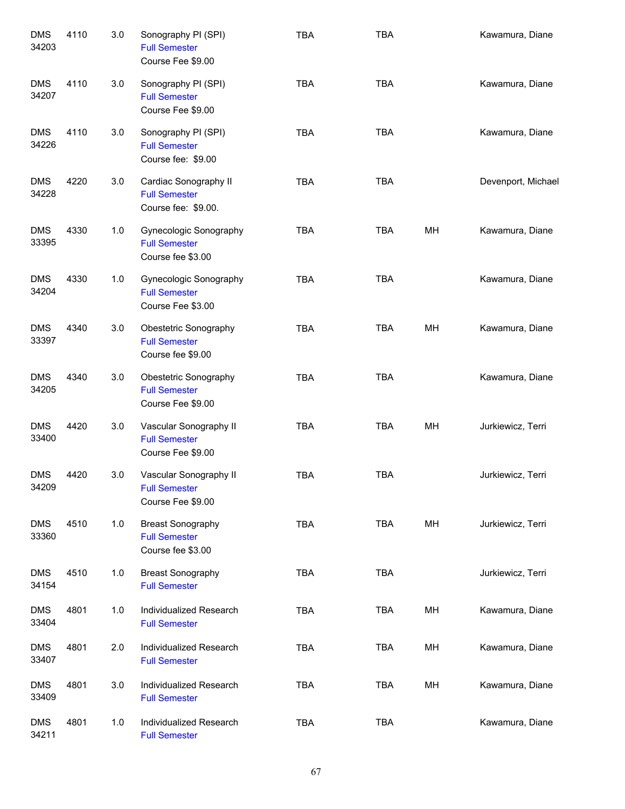| <b>DMS</b><br>34203 | 4110 | 3.0 | Sonography PI (SPI)<br><b>Full Semester</b><br>Course Fee \$9.00      | <b>TBA</b> | <b>TBA</b> |    | Kawamura, Diane    |
|---------------------|------|-----|-----------------------------------------------------------------------|------------|------------|----|--------------------|
| <b>DMS</b><br>34207 | 4110 | 3.0 | Sonography PI (SPI)<br><b>Full Semester</b><br>Course Fee \$9.00      | <b>TBA</b> | <b>TBA</b> |    | Kawamura, Diane    |
| <b>DMS</b><br>34226 | 4110 | 3.0 | Sonography PI (SPI)<br><b>Full Semester</b><br>Course fee: \$9.00     | <b>TBA</b> | <b>TBA</b> |    | Kawamura, Diane    |
| <b>DMS</b><br>34228 | 4220 | 3.0 | Cardiac Sonography II<br><b>Full Semester</b><br>Course fee: \$9.00.  | <b>TBA</b> | <b>TBA</b> |    | Devenport, Michael |
| <b>DMS</b><br>33395 | 4330 | 1.0 | Gynecologic Sonography<br><b>Full Semester</b><br>Course fee \$3.00   | <b>TBA</b> | <b>TBA</b> | МH | Kawamura, Diane    |
| <b>DMS</b><br>34204 | 4330 | 1.0 | Gynecologic Sonography<br><b>Full Semester</b><br>Course Fee \$3.00   | <b>TBA</b> | <b>TBA</b> |    | Kawamura, Diane    |
| <b>DMS</b><br>33397 | 4340 | 3.0 | Obestetric Sonography<br><b>Full Semester</b><br>Course fee \$9.00    | <b>TBA</b> | <b>TBA</b> | MH | Kawamura, Diane    |
| <b>DMS</b><br>34205 | 4340 | 3.0 | Obestetric Sonography<br><b>Full Semester</b><br>Course Fee \$9.00    | <b>TBA</b> | <b>TBA</b> |    | Kawamura, Diane    |
| <b>DMS</b><br>33400 | 4420 | 3.0 | Vascular Sonography II<br><b>Full Semester</b><br>Course Fee \$9.00   | <b>TBA</b> | <b>TBA</b> | МH | Jurkiewicz, Terri  |
| <b>DMS</b><br>34209 | 4420 | 3.0 | Vascular Sonography II<br><b>Full Semester</b><br>Course Fee \$9.00   | <b>TBA</b> | <b>TBA</b> |    | Jurkiewicz, Terri  |
| <b>DMS</b><br>33360 | 4510 | 1.0 | <b>Breast Sonography</b><br><b>Full Semester</b><br>Course fee \$3.00 | <b>TBA</b> | <b>TBA</b> | MH | Jurkiewicz, Terri  |
| <b>DMS</b><br>34154 | 4510 | 1.0 | <b>Breast Sonography</b><br><b>Full Semester</b>                      | <b>TBA</b> | <b>TBA</b> |    | Jurkiewicz, Terri  |
| <b>DMS</b><br>33404 | 4801 | 1.0 | Individualized Research<br><b>Full Semester</b>                       | <b>TBA</b> | <b>TBA</b> | MH | Kawamura, Diane    |
| <b>DMS</b><br>33407 | 4801 | 2.0 | Individualized Research<br><b>Full Semester</b>                       | <b>TBA</b> | <b>TBA</b> | MH | Kawamura, Diane    |
| <b>DMS</b><br>33409 | 4801 | 3.0 | Individualized Research<br><b>Full Semester</b>                       | <b>TBA</b> | <b>TBA</b> | MH | Kawamura, Diane    |
| <b>DMS</b><br>34211 | 4801 | 1.0 | Individualized Research<br><b>Full Semester</b>                       | <b>TBA</b> | <b>TBA</b> |    | Kawamura, Diane    |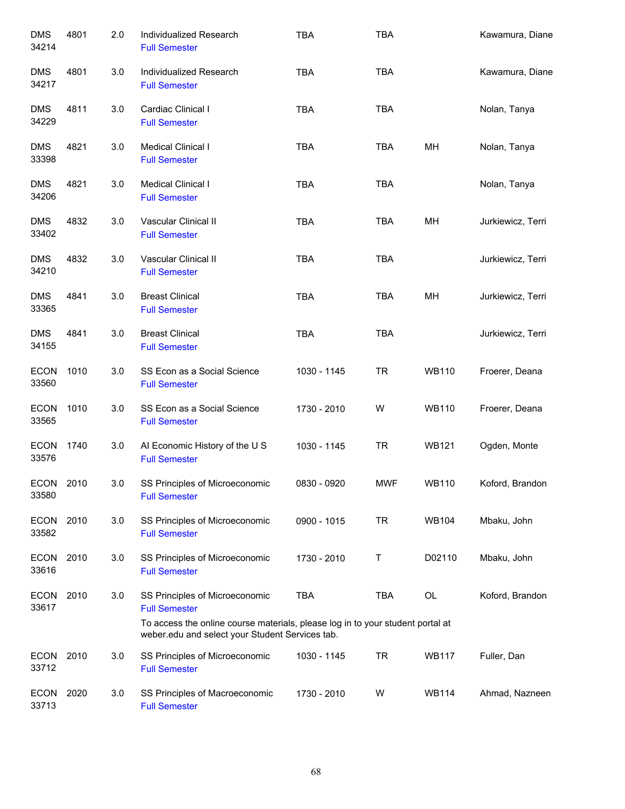| <b>DMS</b><br>34214  | 4801 | 2.0 | Individualized Research<br><b>Full Semester</b>                                                                                                                                             | <b>TBA</b>  | <b>TBA</b> |              | Kawamura, Diane   |
|----------------------|------|-----|---------------------------------------------------------------------------------------------------------------------------------------------------------------------------------------------|-------------|------------|--------------|-------------------|
| <b>DMS</b><br>34217  | 4801 | 3.0 | Individualized Research<br><b>Full Semester</b>                                                                                                                                             | <b>TBA</b>  | <b>TBA</b> |              | Kawamura, Diane   |
| <b>DMS</b><br>34229  | 4811 | 3.0 | Cardiac Clinical I<br><b>Full Semester</b>                                                                                                                                                  | <b>TBA</b>  | <b>TBA</b> |              | Nolan, Tanya      |
| <b>DMS</b><br>33398  | 4821 | 3.0 | Medical Clinical I<br><b>Full Semester</b>                                                                                                                                                  | <b>TBA</b>  | TBA        | MH           | Nolan, Tanya      |
| <b>DMS</b><br>34206  | 4821 | 3.0 | Medical Clinical I<br><b>Full Semester</b>                                                                                                                                                  | <b>TBA</b>  | TBA        |              | Nolan, Tanya      |
| <b>DMS</b><br>33402  | 4832 | 3.0 | Vascular Clinical II<br><b>Full Semester</b>                                                                                                                                                | <b>TBA</b>  | <b>TBA</b> | MН           | Jurkiewicz, Terri |
| <b>DMS</b><br>34210  | 4832 | 3.0 | <b>Vascular Clinical II</b><br><b>Full Semester</b>                                                                                                                                         | <b>TBA</b>  | <b>TBA</b> |              | Jurkiewicz, Terri |
| <b>DMS</b><br>33365  | 4841 | 3.0 | <b>Breast Clinical</b><br><b>Full Semester</b>                                                                                                                                              | <b>TBA</b>  | <b>TBA</b> | MH           | Jurkiewicz, Terri |
| <b>DMS</b><br>34155  | 4841 | 3.0 | <b>Breast Clinical</b><br><b>Full Semester</b>                                                                                                                                              | <b>TBA</b>  | <b>TBA</b> |              | Jurkiewicz, Terri |
| <b>ECON</b><br>33560 | 1010 | 3.0 | SS Econ as a Social Science<br><b>Full Semester</b>                                                                                                                                         | 1030 - 1145 | <b>TR</b>  | <b>WB110</b> | Froerer, Deana    |
| <b>ECON</b><br>33565 | 1010 | 3.0 | SS Econ as a Social Science<br><b>Full Semester</b>                                                                                                                                         | 1730 - 2010 | W          | WB110        | Froerer, Deana    |
| <b>ECON</b><br>33576 | 1740 | 3.0 | Al Economic History of the U S<br><b>Full Semester</b>                                                                                                                                      | 1030 - 1145 | <b>TR</b>  | <b>WB121</b> | Ogden, Monte      |
| <b>ECON</b><br>33580 | 2010 | 3.0 | SS Principles of Microeconomic<br><b>Full Semester</b>                                                                                                                                      | 0830 - 0920 | <b>MWF</b> | <b>WB110</b> | Koford, Brandon   |
| ECON<br>33582        | 2010 | 3.0 | SS Principles of Microeconomic<br><b>Full Semester</b>                                                                                                                                      | 0900 - 1015 | <b>TR</b>  | <b>WB104</b> | Mbaku, John       |
| <b>ECON</b><br>33616 | 2010 | 3.0 | SS Principles of Microeconomic<br><b>Full Semester</b>                                                                                                                                      | 1730 - 2010 | Τ          | D02110       | Mbaku, John       |
| <b>ECON</b><br>33617 | 2010 | 3.0 | SS Principles of Microeconomic<br><b>Full Semester</b><br>To access the online course materials, please log in to your student portal at<br>weber.edu and select your Student Services tab. | <b>TBA</b>  | TBA        | OL           | Koford, Brandon   |
| <b>ECON</b><br>33712 | 2010 | 3.0 | SS Principles of Microeconomic<br><b>Full Semester</b>                                                                                                                                      | 1030 - 1145 | <b>TR</b>  | <b>WB117</b> | Fuller, Dan       |
| <b>ECON</b><br>33713 | 2020 | 3.0 | SS Principles of Macroeconomic<br><b>Full Semester</b>                                                                                                                                      | 1730 - 2010 | W          | <b>WB114</b> | Ahmad, Nazneen    |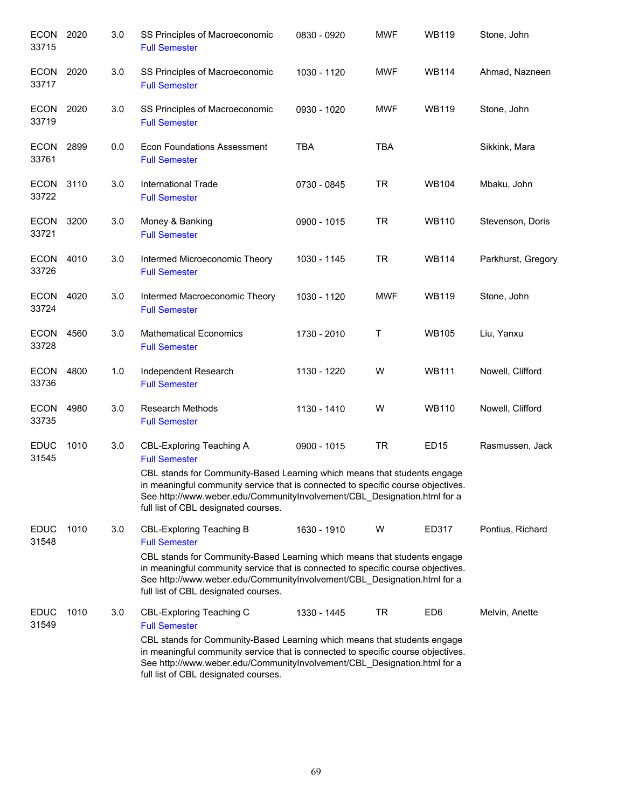| ECON 2020<br>33715   |      | 3.0 | SS Principles of Macroeconomic<br><b>Full Semester</b>                                                                                                                                                                                                                                                                                      | 0830 - 0920 | <b>MWF</b> | <b>WB119</b>    | Stone, John        |
|----------------------|------|-----|---------------------------------------------------------------------------------------------------------------------------------------------------------------------------------------------------------------------------------------------------------------------------------------------------------------------------------------------|-------------|------------|-----------------|--------------------|
| ECON<br>33717        | 2020 | 3.0 | SS Principles of Macroeconomic<br><b>Full Semester</b>                                                                                                                                                                                                                                                                                      | 1030 - 1120 | <b>MWF</b> | <b>WB114</b>    | Ahmad, Nazneen     |
| ECON 2020<br>33719   |      | 3.0 | SS Principles of Macroeconomic<br><b>Full Semester</b>                                                                                                                                                                                                                                                                                      | 0930 - 1020 | <b>MWF</b> | <b>WB119</b>    | Stone, John        |
| ECON 2899<br>33761   |      | 0.0 | <b>Econ Foundations Assessment</b><br><b>Full Semester</b>                                                                                                                                                                                                                                                                                  | <b>TBA</b>  | <b>TBA</b> |                 | Sikkink, Mara      |
| ECON 3110<br>33722   |      | 3.0 | <b>International Trade</b><br><b>Full Semester</b>                                                                                                                                                                                                                                                                                          | 0730 - 0845 | <b>TR</b>  | <b>WB104</b>    | Mbaku, John        |
| ECON 3200<br>33721   |      | 3.0 | Money & Banking<br><b>Full Semester</b>                                                                                                                                                                                                                                                                                                     | 0900 - 1015 | <b>TR</b>  | <b>WB110</b>    | Stevenson, Doris   |
| ECON 4010<br>33726   |      | 3.0 | Intermed Microeconomic Theory<br><b>Full Semester</b>                                                                                                                                                                                                                                                                                       | 1030 - 1145 | <b>TR</b>  | <b>WB114</b>    | Parkhurst, Gregory |
| ECON 4020<br>33724   |      | 3.0 | Intermed Macroeconomic Theory<br><b>Full Semester</b>                                                                                                                                                                                                                                                                                       | 1030 - 1120 | <b>MWF</b> | <b>WB119</b>    | Stone, John        |
| ECON<br>33728        | 4560 | 3.0 | <b>Mathematical Economics</b><br><b>Full Semester</b>                                                                                                                                                                                                                                                                                       | 1730 - 2010 | Τ          | <b>WB105</b>    | Liu, Yanxu         |
| <b>ECON</b><br>33736 | 4800 | 1.0 | Independent Research<br><b>Full Semester</b>                                                                                                                                                                                                                                                                                                | 1130 - 1220 | W          | <b>WB111</b>    | Nowell, Clifford   |
| <b>ECON</b><br>33735 | 4980 | 3.0 | <b>Research Methods</b><br><b>Full Semester</b>                                                                                                                                                                                                                                                                                             | 1130 - 1410 | W          | <b>WB110</b>    | Nowell, Clifford   |
| <b>EDUC</b><br>31545 | 1010 | 3.0 | <b>CBL-Exploring Teaching A</b><br><b>Full Semester</b><br>CBL stands for Community-Based Learning which means that students engage<br>in meaningful community service that is connected to specific course objectives.<br>See http://www.weber.edu/CommunityInvolvement/CBL_Designation.html for a<br>full list of CBL designated courses. | 0900 - 1015 | <b>TR</b>  | <b>ED15</b>     | Rasmussen, Jack    |
| <b>EDUC</b><br>31548 | 1010 | 3.0 | <b>CBL-Exploring Teaching B</b><br><b>Full Semester</b><br>CBL stands for Community-Based Learning which means that students engage<br>in meaningful community service that is connected to specific course objectives.<br>See http://www.weber.edu/CommunityInvolvement/CBL_Designation.html for a<br>full list of CBL designated courses. | 1630 - 1910 | W          | ED317           | Pontius, Richard   |
| <b>EDUC</b><br>31549 | 1010 | 3.0 | CBL-Exploring Teaching C<br><b>Full Semester</b><br>CBL stands for Community-Based Learning which means that students engage<br>in meaningful community service that is connected to specific course objectives.<br>See http://www.weber.edu/CommunityInvolvement/CBL_Designation.html for a<br>full list of CBL designated courses.        | 1330 - 1445 | TR         | ED <sub>6</sub> | Melvin, Anette     |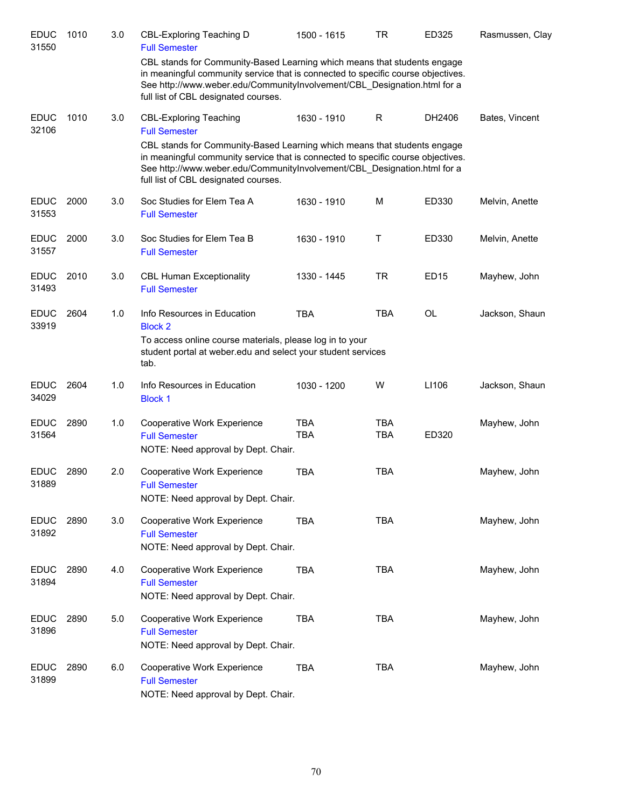| <b>EDUC</b><br>31550 | 1010 | 3.0 | CBL-Exploring Teaching D<br><b>Full Semester</b>                                                                                                                                                                                                                                                                                          | 1500 - 1615              | <b>TR</b>                | ED325     | Rasmussen, Clay |
|----------------------|------|-----|-------------------------------------------------------------------------------------------------------------------------------------------------------------------------------------------------------------------------------------------------------------------------------------------------------------------------------------------|--------------------------|--------------------------|-----------|-----------------|
|                      |      |     | CBL stands for Community-Based Learning which means that students engage<br>in meaningful community service that is connected to specific course objectives.<br>See http://www.weber.edu/CommunityInvolvement/CBL_Designation.html for a<br>full list of CBL designated courses.                                                          |                          |                          |           |                 |
| <b>EDUC</b><br>32106 | 1010 | 3.0 | <b>CBL-Exploring Teaching</b><br><b>Full Semester</b><br>CBL stands for Community-Based Learning which means that students engage<br>in meaningful community service that is connected to specific course objectives.<br>See http://www.weber.edu/CommunityInvolvement/CBL_Designation.html for a<br>full list of CBL designated courses. | 1630 - 1910              | R                        | DH2406    | Bates, Vincent  |
| <b>EDUC</b><br>31553 | 2000 | 3.0 | Soc Studies for Elem Tea A<br><b>Full Semester</b>                                                                                                                                                                                                                                                                                        | 1630 - 1910              | M                        | ED330     | Melvin, Anette  |
| <b>EDUC</b><br>31557 | 2000 | 3.0 | Soc Studies for Elem Tea B<br><b>Full Semester</b>                                                                                                                                                                                                                                                                                        | 1630 - 1910              | Τ                        | ED330     | Melvin, Anette  |
| <b>EDUC</b><br>31493 | 2010 | 3.0 | <b>CBL Human Exceptionality</b><br><b>Full Semester</b>                                                                                                                                                                                                                                                                                   | 1330 - 1445              | <b>TR</b>                | ED15      | Mayhew, John    |
| <b>EDUC</b><br>33919 | 2604 | 1.0 | Info Resources in Education<br><b>Block 2</b><br>To access online course materials, please log in to your<br>student portal at weber.edu and select your student services<br>tab.                                                                                                                                                         | <b>TBA</b>               | <b>TBA</b>               | <b>OL</b> | Jackson, Shaun  |
| <b>EDUC</b><br>34029 | 2604 | 1.0 | Info Resources in Education<br><b>Block 1</b>                                                                                                                                                                                                                                                                                             | 1030 - 1200              | W                        | LI106     | Jackson, Shaun  |
| <b>EDUC</b><br>31564 | 2890 | 1.0 | Cooperative Work Experience<br><b>Full Semester</b><br>NOTE: Need approval by Dept. Chair.                                                                                                                                                                                                                                                | <b>TBA</b><br><b>TBA</b> | <b>TBA</b><br><b>TBA</b> | ED320     | Mayhew, John    |
| <b>EDUC</b><br>31889 | 2890 | 2.0 | Cooperative Work Experience<br><b>Full Semester</b><br>NOTE: Need approval by Dept. Chair.                                                                                                                                                                                                                                                | <b>TBA</b>               | <b>TBA</b>               |           | Mayhew, John    |
| <b>EDUC</b><br>31892 | 2890 | 3.0 | Cooperative Work Experience<br><b>Full Semester</b><br>NOTE: Need approval by Dept. Chair.                                                                                                                                                                                                                                                | <b>TBA</b>               | TBA                      |           | Mayhew, John    |
| <b>EDUC</b><br>31894 | 2890 | 4.0 | Cooperative Work Experience<br><b>Full Semester</b><br>NOTE: Need approval by Dept. Chair.                                                                                                                                                                                                                                                | <b>TBA</b>               | <b>TBA</b>               |           | Mayhew, John    |
| <b>EDUC</b><br>31896 | 2890 | 5.0 | Cooperative Work Experience<br><b>Full Semester</b><br>NOTE: Need approval by Dept. Chair.                                                                                                                                                                                                                                                | <b>TBA</b>               | <b>TBA</b>               |           | Mayhew, John    |
| <b>EDUC</b><br>31899 | 2890 | 6.0 | Cooperative Work Experience<br><b>Full Semester</b><br>NOTE: Need approval by Dept. Chair.                                                                                                                                                                                                                                                | <b>TBA</b>               | TBA                      |           | Mayhew, John    |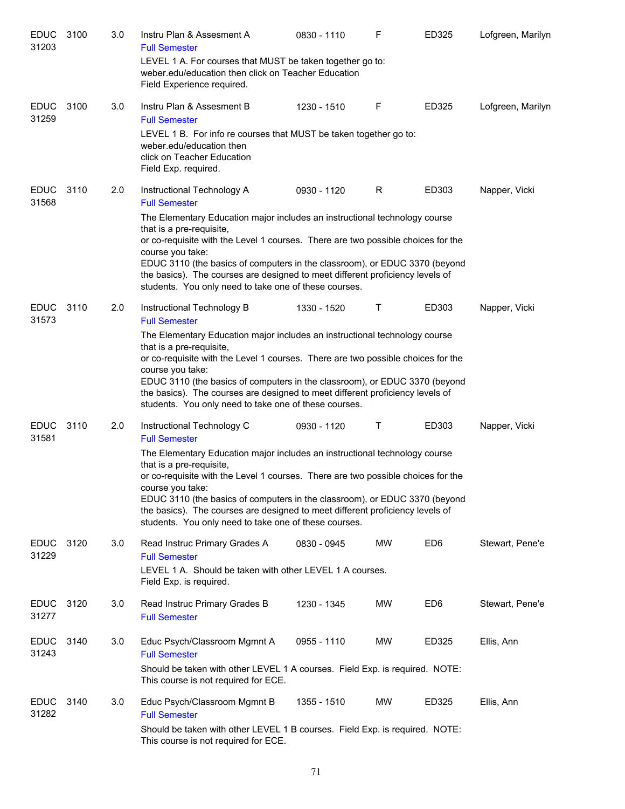| <b>EDUC</b><br>31203 | 3100 | 3.0 | Instru Plan & Assesment A<br><b>Full Semester</b>                                                                                                                                                                                                                                                                                                                                                                                      | 0830 - 1110 | F         | ED325           | Lofgreen, Marilyn |
|----------------------|------|-----|----------------------------------------------------------------------------------------------------------------------------------------------------------------------------------------------------------------------------------------------------------------------------------------------------------------------------------------------------------------------------------------------------------------------------------------|-------------|-----------|-----------------|-------------------|
|                      |      |     | LEVEL 1 A. For courses that MUST be taken together go to:<br>weber.edu/education then click on Teacher Education<br>Field Experience required.                                                                                                                                                                                                                                                                                         |             |           |                 |                   |
| <b>EDUC</b><br>31259 | 3100 | 3.0 | Instru Plan & Assesment B<br><b>Full Semester</b>                                                                                                                                                                                                                                                                                                                                                                                      | 1230 - 1510 | F         | ED325           | Lofgreen, Marilyn |
|                      |      |     | LEVEL 1 B. For info re courses that MUST be taken together go to:<br>weber.edu/education then<br>click on Teacher Education<br>Field Exp. required.                                                                                                                                                                                                                                                                                    |             |           |                 |                   |
| <b>EDUC</b><br>31568 | 3110 | 2.0 | Instructional Technology A<br><b>Full Semester</b>                                                                                                                                                                                                                                                                                                                                                                                     | 0930 - 1120 | R         | ED303           | Napper, Vicki     |
|                      |      |     | The Elementary Education major includes an instructional technology course<br>that is a pre-requisite,<br>or co-requisite with the Level 1 courses. There are two possible choices for the<br>course you take:<br>EDUC 3110 (the basics of computers in the classroom), or EDUC 3370 (beyond<br>the basics). The courses are designed to meet different proficiency levels of<br>students. You only need to take one of these courses. |             |           |                 |                   |
| <b>EDUC</b><br>31573 | 3110 | 2.0 | Instructional Technology B<br><b>Full Semester</b>                                                                                                                                                                                                                                                                                                                                                                                     | 1330 - 1520 | Τ         | ED303           | Napper, Vicki     |
|                      |      |     | The Elementary Education major includes an instructional technology course<br>that is a pre-requisite,<br>or co-requisite with the Level 1 courses. There are two possible choices for the<br>course you take:<br>EDUC 3110 (the basics of computers in the classroom), or EDUC 3370 (beyond<br>the basics). The courses are designed to meet different proficiency levels of<br>students. You only need to take one of these courses. |             |           |                 |                   |
| <b>EDUC</b><br>31581 | 3110 | 2.0 | Instructional Technology C<br><b>Full Semester</b>                                                                                                                                                                                                                                                                                                                                                                                     | 0930 - 1120 | Τ         | ED303           | Napper, Vicki     |
|                      |      |     | The Elementary Education major includes an instructional technology course<br>that is a pre-requisite,<br>or co-requisite with the Level 1 courses. There are two possible choices for the<br>course you take:<br>EDUC 3110 (the basics of computers in the classroom), or EDUC 3370 (beyond<br>the basics). The courses are designed to meet different proficiency levels of<br>students. You only need to take one of these courses. |             |           |                 |                   |
| <b>EDUC</b><br>31229 | 3120 | 3.0 | Read Instruc Primary Grades A<br><b>Full Semester</b><br>LEVEL 1 A. Should be taken with other LEVEL 1 A courses.<br>Field Exp. is required.                                                                                                                                                                                                                                                                                           | 0830 - 0945 | <b>MW</b> | ED <sub>6</sub> | Stewart, Pene'e   |
| <b>EDUC</b><br>31277 | 3120 | 3.0 | Read Instruc Primary Grades B<br><b>Full Semester</b>                                                                                                                                                                                                                                                                                                                                                                                  | 1230 - 1345 | <b>MW</b> | ED <sub>6</sub> | Stewart, Pene'e   |
| <b>EDUC</b><br>31243 | 3140 | 3.0 | Educ Psych/Classroom Mgmnt A<br><b>Full Semester</b><br>Should be taken with other LEVEL 1 A courses. Field Exp. is required. NOTE:<br>This course is not required for ECE.                                                                                                                                                                                                                                                            | 0955 - 1110 | MW        | ED325           | Ellis, Ann        |
| <b>EDUC</b><br>31282 | 3140 | 3.0 | Educ Psych/Classroom Mgmnt B<br><b>Full Semester</b><br>Should be taken with other LEVEL 1 B courses. Field Exp. is required. NOTE:<br>This course is not required for ECE.                                                                                                                                                                                                                                                            | 1355 - 1510 | MW        | ED325           | Ellis, Ann        |
|                      |      |     |                                                                                                                                                                                                                                                                                                                                                                                                                                        |             |           |                 |                   |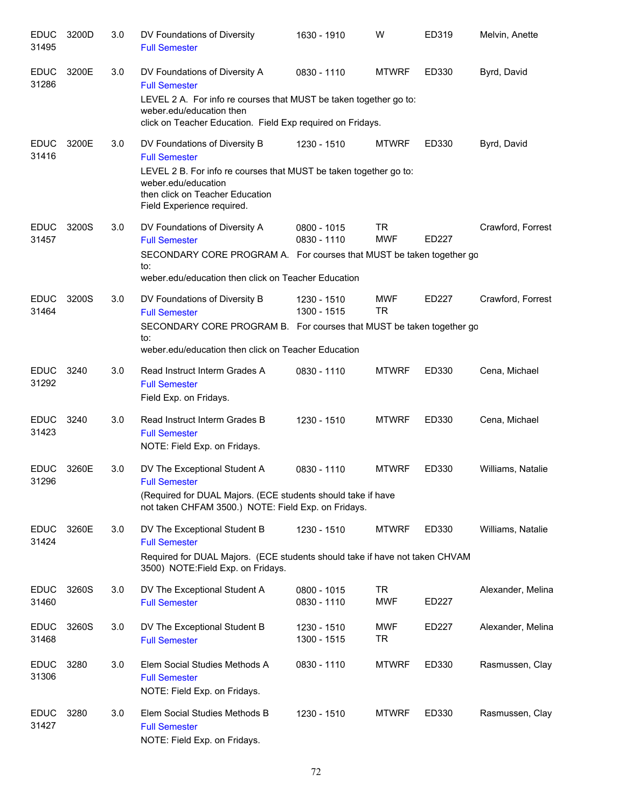| <b>EDUC</b><br>31495 | 3200D | 3.0 | DV Foundations of Diversity<br><b>Full Semester</b>                                                                                                                                                                | 1630 - 1910                | W                       | ED319 | Melvin, Anette    |
|----------------------|-------|-----|--------------------------------------------------------------------------------------------------------------------------------------------------------------------------------------------------------------------|----------------------------|-------------------------|-------|-------------------|
| <b>EDUC</b><br>31286 | 3200E | 3.0 | DV Foundations of Diversity A<br><b>Full Semester</b>                                                                                                                                                              | 0830 - 1110                | <b>MTWRF</b>            | ED330 | Byrd, David       |
|                      |       |     | LEVEL 2 A. For info re courses that MUST be taken together go to:<br>weber.edu/education then<br>click on Teacher Education. Field Exp required on Fridays.                                                        |                            |                         |       |                   |
| <b>EDUC</b><br>31416 | 3200E | 3.0 | DV Foundations of Diversity B<br><b>Full Semester</b><br>LEVEL 2 B. For info re courses that MUST be taken together go to:<br>weber.edu/education<br>then click on Teacher Education<br>Field Experience required. | 1230 - 1510                | <b>MTWRF</b>            | ED330 | Byrd, David       |
| <b>EDUC</b><br>31457 | 3200S | 3.0 | DV Foundations of Diversity A<br><b>Full Semester</b><br>SECONDARY CORE PROGRAM A. For courses that MUST be taken together go                                                                                      | 0800 - 1015<br>0830 - 1110 | TR<br><b>MWF</b>        | ED227 | Crawford, Forrest |
|                      |       |     | to:<br>weber.edu/education then click on Teacher Education                                                                                                                                                         |                            |                         |       |                   |
| <b>EDUC</b><br>31464 | 3200S | 3.0 | DV Foundations of Diversity B<br><b>Full Semester</b>                                                                                                                                                              | 1230 - 1510<br>1300 - 1515 | MWF<br><b>TR</b>        | ED227 | Crawford, Forrest |
|                      |       |     | SECONDARY CORE PROGRAM B. For courses that MUST be taken together go<br>to:<br>weber.edu/education then click on Teacher Education                                                                                 |                            |                         |       |                   |
| <b>EDUC</b><br>31292 | 3240  | 3.0 | Read Instruct Interm Grades A<br><b>Full Semester</b><br>Field Exp. on Fridays.                                                                                                                                    | 0830 - 1110                | <b>MTWRF</b>            | ED330 | Cena, Michael     |
| <b>EDUC</b><br>31423 | 3240  | 3.0 | Read Instruct Interm Grades B<br><b>Full Semester</b><br>NOTE: Field Exp. on Fridays.                                                                                                                              | 1230 - 1510                | <b>MTWRF</b>            | ED330 | Cena, Michael     |
| <b>EDUC</b><br>31296 | 3260E | 3.0 | DV The Exceptional Student A<br><b>Full Semester</b><br>(Required for DUAL Majors. (ECE students should take if have<br>not taken CHFAM 3500.) NOTE: Field Exp. on Fridays.                                        | 0830 - 1110                | <b>MTWRF</b>            | ED330 | Williams, Natalie |
| <b>EDUC</b><br>31424 | 3260E | 3.0 | DV The Exceptional Student B<br><b>Full Semester</b><br>Required for DUAL Majors. (ECE students should take if have not taken CHVAM<br>3500) NOTE: Field Exp. on Fridays.                                          | 1230 - 1510                | <b>MTWRF</b>            | ED330 | Williams, Natalie |
| <b>EDUC</b><br>31460 | 3260S | 3.0 | DV The Exceptional Student A<br><b>Full Semester</b>                                                                                                                                                               | 0800 - 1015<br>0830 - 1110 | <b>TR</b><br><b>MWF</b> | ED227 | Alexander, Melina |
| <b>EDUC</b><br>31468 | 3260S | 3.0 | DV The Exceptional Student B<br><b>Full Semester</b>                                                                                                                                                               | 1230 - 1510<br>1300 - 1515 | <b>MWF</b><br><b>TR</b> | ED227 | Alexander, Melina |
| <b>EDUC</b><br>31306 | 3280  | 3.0 | Elem Social Studies Methods A<br><b>Full Semester</b><br>NOTE: Field Exp. on Fridays.                                                                                                                              | 0830 - 1110                | <b>MTWRF</b>            | ED330 | Rasmussen, Clay   |
| <b>EDUC</b><br>31427 | 3280  | 3.0 | Elem Social Studies Methods B<br><b>Full Semester</b><br>NOTE: Field Exp. on Fridays.                                                                                                                              | 1230 - 1510                | <b>MTWRF</b>            | ED330 | Rasmussen, Clay   |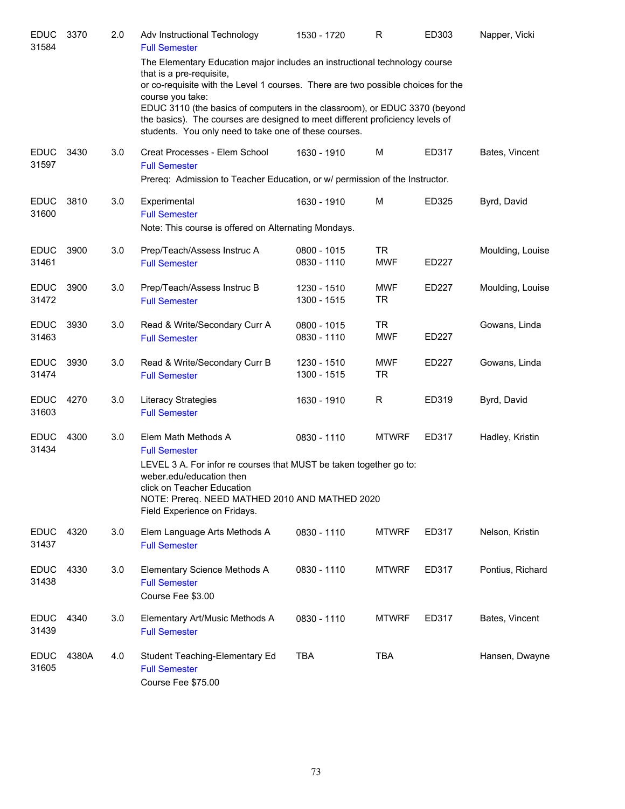| <b>EDUC</b><br>31584 | 3370  | 2.0 | Adv Instructional Technology<br><b>Full Semester</b>                                                                                                                                                                                                                                                                                                                                                                                   | 1530 - 1720                | R                       | ED303 | Napper, Vicki    |
|----------------------|-------|-----|----------------------------------------------------------------------------------------------------------------------------------------------------------------------------------------------------------------------------------------------------------------------------------------------------------------------------------------------------------------------------------------------------------------------------------------|----------------------------|-------------------------|-------|------------------|
|                      |       |     | The Elementary Education major includes an instructional technology course<br>that is a pre-requisite,<br>or co-requisite with the Level 1 courses. There are two possible choices for the<br>course you take:<br>EDUC 3110 (the basics of computers in the classroom), or EDUC 3370 (beyond<br>the basics). The courses are designed to meet different proficiency levels of<br>students. You only need to take one of these courses. |                            |                         |       |                  |
| <b>EDUC</b><br>31597 | 3430  | 3.0 | Creat Processes - Elem School<br><b>Full Semester</b><br>Prereq: Admission to Teacher Education, or w/ permission of the Instructor.                                                                                                                                                                                                                                                                                                   | 1630 - 1910                | M                       | ED317 | Bates, Vincent   |
| <b>EDUC</b><br>31600 | 3810  | 3.0 | Experimental<br><b>Full Semester</b><br>Note: This course is offered on Alternating Mondays.                                                                                                                                                                                                                                                                                                                                           | 1630 - 1910                | M                       | ED325 | Byrd, David      |
| <b>EDUC</b><br>31461 | 3900  | 3.0 | Prep/Teach/Assess Instruc A<br><b>Full Semester</b>                                                                                                                                                                                                                                                                                                                                                                                    | 0800 - 1015<br>0830 - 1110 | <b>TR</b><br><b>MWF</b> | ED227 | Moulding, Louise |
| <b>EDUC</b><br>31472 | 3900  | 3.0 | Prep/Teach/Assess Instruc B<br><b>Full Semester</b>                                                                                                                                                                                                                                                                                                                                                                                    | 1230 - 1510<br>1300 - 1515 | <b>MWF</b><br>TR        | ED227 | Moulding, Louise |
| <b>EDUC</b><br>31463 | 3930  | 3.0 | Read & Write/Secondary Curr A<br><b>Full Semester</b>                                                                                                                                                                                                                                                                                                                                                                                  | 0800 - 1015<br>0830 - 1110 | <b>TR</b><br><b>MWF</b> | ED227 | Gowans, Linda    |
| <b>EDUC</b><br>31474 | 3930  | 3.0 | Read & Write/Secondary Curr B<br><b>Full Semester</b>                                                                                                                                                                                                                                                                                                                                                                                  | 1230 - 1510<br>1300 - 1515 | <b>MWF</b><br><b>TR</b> | ED227 | Gowans, Linda    |
| <b>EDUC</b><br>31603 | 4270  | 3.0 | Literacy Strategies<br><b>Full Semester</b>                                                                                                                                                                                                                                                                                                                                                                                            | 1630 - 1910                | R                       | ED319 | Byrd, David      |
| <b>EDUC</b><br>31434 | 4300  | 3.0 | Elem Math Methods A<br><b>Full Semester</b><br>LEVEL 3 A. For infor re courses that MUST be taken together go to:<br>weber.edu/education then<br>click on Teacher Education<br>NOTE: Prereq. NEED MATHED 2010 AND MATHED 2020<br>Field Experience on Fridays.                                                                                                                                                                          | 0830 - 1110                | <b>MTWRF</b>            | ED317 | Hadley, Kristin  |
| <b>EDUC</b><br>31437 | 4320  | 3.0 | Elem Language Arts Methods A<br><b>Full Semester</b>                                                                                                                                                                                                                                                                                                                                                                                   | 0830 - 1110                | <b>MTWRF</b>            | ED317 | Nelson, Kristin  |
| <b>EDUC</b><br>31438 | 4330  | 3.0 | Elementary Science Methods A<br><b>Full Semester</b><br>Course Fee \$3.00                                                                                                                                                                                                                                                                                                                                                              | 0830 - 1110                | <b>MTWRF</b>            | ED317 | Pontius, Richard |
| <b>EDUC</b><br>31439 | 4340  | 3.0 | Elementary Art/Music Methods A<br><b>Full Semester</b>                                                                                                                                                                                                                                                                                                                                                                                 | 0830 - 1110                | <b>MTWRF</b>            | ED317 | Bates, Vincent   |
| <b>EDUC</b><br>31605 | 4380A | 4.0 | Student Teaching-Elementary Ed<br><b>Full Semester</b><br>Course Fee \$75.00                                                                                                                                                                                                                                                                                                                                                           | <b>TBA</b>                 | TBA                     |       | Hansen, Dwayne   |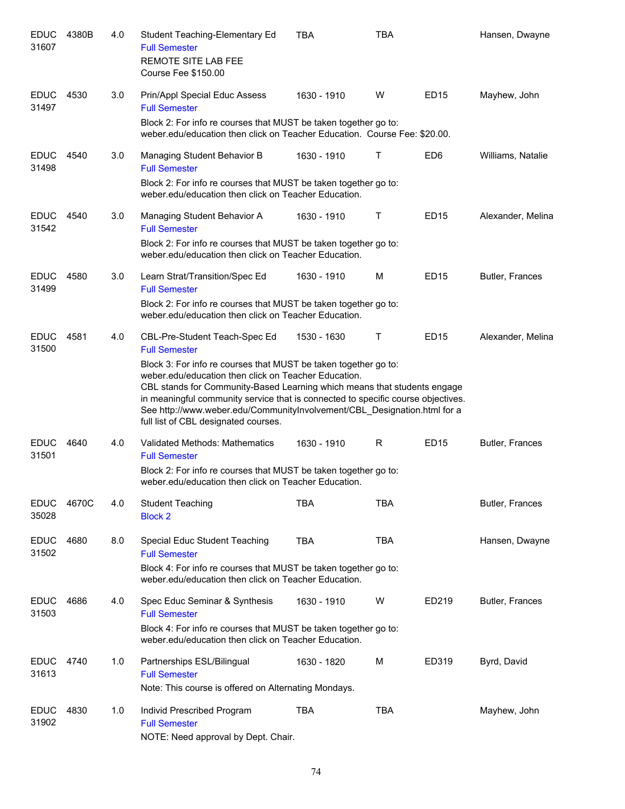| <b>EDUC</b><br>31607 | 4380B | 4.0 | Student Teaching-Elementary Ed<br><b>Full Semester</b><br>REMOTE SITE LAB FEE<br>Course Fee \$150.00                                                                                                                                                                                                                                                                                                        | <b>TBA</b>  | <b>TBA</b> |                 | Hansen, Dwayne    |
|----------------------|-------|-----|-------------------------------------------------------------------------------------------------------------------------------------------------------------------------------------------------------------------------------------------------------------------------------------------------------------------------------------------------------------------------------------------------------------|-------------|------------|-----------------|-------------------|
| <b>EDUC</b><br>31497 | 4530  | 3.0 | Prin/Appl Special Educ Assess<br><b>Full Semester</b><br>Block 2: For info re courses that MUST be taken together go to:                                                                                                                                                                                                                                                                                    | 1630 - 1910 | W          | <b>ED15</b>     | Mayhew, John      |
|                      |       |     | weber.edu/education then click on Teacher Education. Course Fee: \$20.00.                                                                                                                                                                                                                                                                                                                                   |             |            |                 |                   |
| <b>EDUC</b><br>31498 | 4540  | 3.0 | Managing Student Behavior B<br><b>Full Semester</b>                                                                                                                                                                                                                                                                                                                                                         | 1630 - 1910 | Т          | ED <sub>6</sub> | Williams, Natalie |
|                      |       |     | Block 2: For info re courses that MUST be taken together go to:<br>weber.edu/education then click on Teacher Education.                                                                                                                                                                                                                                                                                     |             |            |                 |                   |
| <b>EDUC</b><br>31542 | 4540  | 3.0 | Managing Student Behavior A<br><b>Full Semester</b>                                                                                                                                                                                                                                                                                                                                                         | 1630 - 1910 | Т          | <b>ED15</b>     | Alexander, Melina |
|                      |       |     | Block 2: For info re courses that MUST be taken together go to:<br>weber.edu/education then click on Teacher Education.                                                                                                                                                                                                                                                                                     |             |            |                 |                   |
| <b>EDUC</b><br>31499 | 4580  | 3.0 | Learn Strat/Transition/Spec Ed<br><b>Full Semester</b>                                                                                                                                                                                                                                                                                                                                                      | 1630 - 1910 | M          | <b>ED15</b>     | Butler, Frances   |
|                      |       |     | Block 2: For info re courses that MUST be taken together go to:<br>weber.edu/education then click on Teacher Education.                                                                                                                                                                                                                                                                                     |             |            |                 |                   |
| <b>EDUC</b><br>31500 | 4581  | 4.0 | CBL-Pre-Student Teach-Spec Ed<br><b>Full Semester</b>                                                                                                                                                                                                                                                                                                                                                       | 1530 - 1630 | т          | <b>ED15</b>     | Alexander, Melina |
|                      |       |     | Block 3: For info re courses that MUST be taken together go to:<br>weber.edu/education then click on Teacher Education.<br>CBL stands for Community-Based Learning which means that students engage<br>in meaningful community service that is connected to specific course objectives.<br>See http://www.weber.edu/CommunityInvolvement/CBL_Designation.html for a<br>full list of CBL designated courses. |             |            |                 |                   |
| <b>EDUC</b><br>31501 | 4640  | 4.0 | Validated Methods: Mathematics<br><b>Full Semester</b>                                                                                                                                                                                                                                                                                                                                                      | 1630 - 1910 | R          | <b>ED15</b>     | Butler, Frances   |
|                      |       |     | Block 2: For info re courses that MUST be taken together go to:<br>weber.edu/education then click on Teacher Education.                                                                                                                                                                                                                                                                                     |             |            |                 |                   |
| <b>EDUC</b><br>35028 | 4670C | 4.0 | <b>Student Teaching</b><br><b>Block 2</b>                                                                                                                                                                                                                                                                                                                                                                   | <b>TBA</b>  | <b>TBA</b> |                 | Butler, Frances   |
| <b>EDUC</b><br>31502 | 4680  | 8.0 | Special Educ Student Teaching<br><b>Full Semester</b>                                                                                                                                                                                                                                                                                                                                                       | <b>TBA</b>  | <b>TBA</b> |                 | Hansen, Dwayne    |
|                      |       |     | Block 4: For info re courses that MUST be taken together go to:<br>weber.edu/education then click on Teacher Education.                                                                                                                                                                                                                                                                                     |             |            |                 |                   |
| <b>EDUC</b><br>31503 | 4686  | 4.0 | Spec Educ Seminar & Synthesis<br><b>Full Semester</b>                                                                                                                                                                                                                                                                                                                                                       | 1630 - 1910 | W          | ED219           | Butler, Frances   |
|                      |       |     | Block 4: For info re courses that MUST be taken together go to:<br>weber.edu/education then click on Teacher Education.                                                                                                                                                                                                                                                                                     |             |            |                 |                   |
| <b>EDUC</b><br>31613 | 4740  | 1.0 | Partnerships ESL/Bilingual<br><b>Full Semester</b>                                                                                                                                                                                                                                                                                                                                                          | 1630 - 1820 | M          | ED319           | Byrd, David       |
|                      |       |     | Note: This course is offered on Alternating Mondays.                                                                                                                                                                                                                                                                                                                                                        |             |            |                 |                   |
| <b>EDUC</b><br>31902 | 4830  | 1.0 | Individ Prescribed Program<br><b>Full Semester</b><br>NOTE: Need approval by Dept. Chair.                                                                                                                                                                                                                                                                                                                   | <b>TBA</b>  | <b>TBA</b> |                 | Mayhew, John      |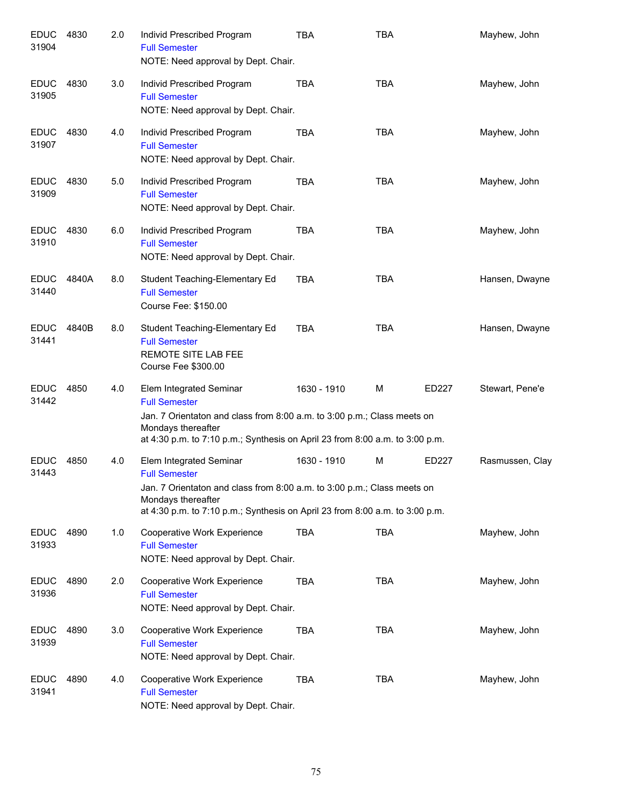| <b>EDUC</b><br>31904 | 4830  | 2.0 | Individ Prescribed Program<br><b>Full Semester</b><br>NOTE: Need approval by Dept. Chair.                                                                                                                                        | <b>TBA</b>  | <b>TBA</b> |       | Mayhew, John    |
|----------------------|-------|-----|----------------------------------------------------------------------------------------------------------------------------------------------------------------------------------------------------------------------------------|-------------|------------|-------|-----------------|
| <b>EDUC</b><br>31905 | 4830  | 3.0 | Individ Prescribed Program<br><b>Full Semester</b><br>NOTE: Need approval by Dept. Chair.                                                                                                                                        | <b>TBA</b>  | <b>TBA</b> |       | Mayhew, John    |
| <b>EDUC</b><br>31907 | 4830  | 4.0 | Individ Prescribed Program<br><b>Full Semester</b><br>NOTE: Need approval by Dept. Chair.                                                                                                                                        | <b>TBA</b>  | <b>TBA</b> |       | Mayhew, John    |
| <b>EDUC</b><br>31909 | 4830  | 5.0 | Individ Prescribed Program<br><b>Full Semester</b><br>NOTE: Need approval by Dept. Chair.                                                                                                                                        | <b>TBA</b>  | <b>TBA</b> |       | Mayhew, John    |
| <b>EDUC</b><br>31910 | 4830  | 6.0 | Individ Prescribed Program<br><b>Full Semester</b><br>NOTE: Need approval by Dept. Chair.                                                                                                                                        | <b>TBA</b>  | TBA        |       | Mayhew, John    |
| <b>EDUC</b><br>31440 | 4840A | 8.0 | Student Teaching-Elementary Ed<br><b>Full Semester</b><br>Course Fee: \$150.00                                                                                                                                                   | <b>TBA</b>  | <b>TBA</b> |       | Hansen, Dwayne  |
| <b>EDUC</b><br>31441 | 4840B | 8.0 | Student Teaching-Elementary Ed<br><b>Full Semester</b><br>REMOTE SITE LAB FEE<br>Course Fee \$300.00                                                                                                                             | <b>TBA</b>  | <b>TBA</b> |       | Hansen, Dwayne  |
| <b>EDUC</b><br>31442 | 4850  | 4.0 | Elem Integrated Seminar<br><b>Full Semester</b><br>Jan. 7 Orientaton and class from 8:00 a.m. to 3:00 p.m.; Class meets on<br>Mondays thereafter<br>at 4:30 p.m. to 7:10 p.m.; Synthesis on April 23 from 8:00 a.m. to 3:00 p.m. | 1630 - 1910 | м          | ED227 | Stewart, Pene'e |
| <b>EDUC</b><br>31443 | 4850  | 4.0 | Elem Integrated Seminar<br><b>Full Semester</b><br>Jan. 7 Orientaton and class from 8:00 a.m. to 3:00 p.m.; Class meets on<br>Mondays thereafter<br>at 4:30 p.m. to 7:10 p.m.; Synthesis on April 23 from 8:00 a.m. to 3:00 p.m. | 1630 - 1910 | M          | ED227 | Rasmussen, Clay |
| <b>EDUC</b><br>31933 | 4890  | 1.0 | Cooperative Work Experience<br><b>Full Semester</b><br>NOTE: Need approval by Dept. Chair.                                                                                                                                       | TBA         | <b>TBA</b> |       | Mayhew, John    |
| <b>EDUC</b><br>31936 | 4890  | 2.0 | Cooperative Work Experience<br><b>Full Semester</b><br>NOTE: Need approval by Dept. Chair.                                                                                                                                       | TBA         | TBA        |       | Mayhew, John    |
| <b>EDUC</b><br>31939 | 4890  | 3.0 | Cooperative Work Experience<br><b>Full Semester</b><br>NOTE: Need approval by Dept. Chair.                                                                                                                                       | TBA         | TBA        |       | Mayhew, John    |
| <b>EDUC</b><br>31941 | 4890  | 4.0 | Cooperative Work Experience<br><b>Full Semester</b><br>NOTE: Need approval by Dept. Chair.                                                                                                                                       | TBA         | TBA        |       | Mayhew, John    |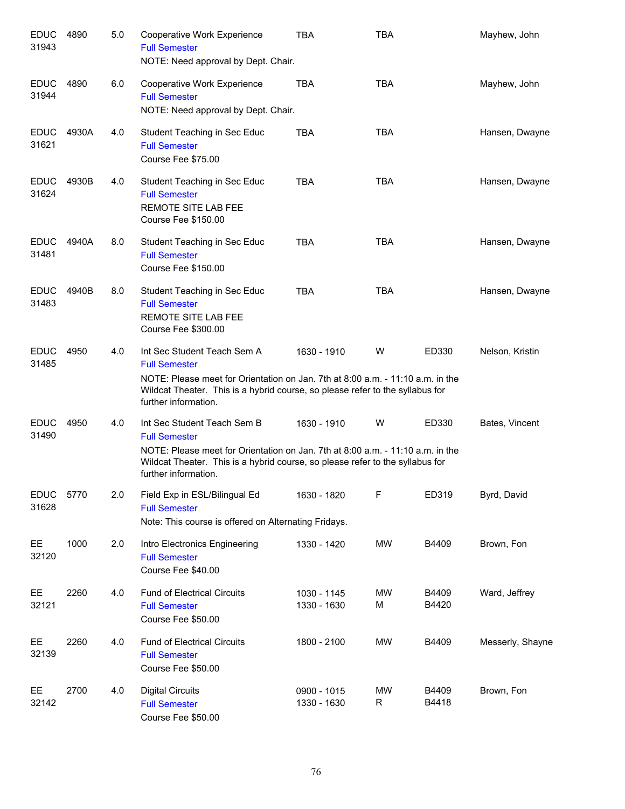| <b>EDUC</b><br>31943 | 4890  | 5.0 | Cooperative Work Experience<br><b>Full Semester</b><br>NOTE: Need approval by Dept. Chair.                                                                                                                                                     | <b>TBA</b>                 | <b>TBA</b> |                | Mayhew, John     |
|----------------------|-------|-----|------------------------------------------------------------------------------------------------------------------------------------------------------------------------------------------------------------------------------------------------|----------------------------|------------|----------------|------------------|
| <b>EDUC</b><br>31944 | 4890  | 6.0 | Cooperative Work Experience<br><b>Full Semester</b><br>NOTE: Need approval by Dept. Chair.                                                                                                                                                     | <b>TBA</b>                 | <b>TBA</b> |                | Mayhew, John     |
| <b>EDUC</b><br>31621 | 4930A | 4.0 | Student Teaching in Sec Educ<br><b>Full Semester</b><br>Course Fee \$75.00                                                                                                                                                                     | <b>TBA</b>                 | <b>TBA</b> |                | Hansen, Dwayne   |
| <b>EDUC</b><br>31624 | 4930B | 4.0 | Student Teaching in Sec Educ<br><b>Full Semester</b><br><b>REMOTE SITE LAB FEE</b><br>Course Fee \$150.00                                                                                                                                      | <b>TBA</b>                 | TBA        |                | Hansen, Dwayne   |
| <b>EDUC</b><br>31481 | 4940A | 8.0 | Student Teaching in Sec Educ<br><b>Full Semester</b><br>Course Fee \$150.00                                                                                                                                                                    | <b>TBA</b>                 | <b>TBA</b> |                | Hansen, Dwayne   |
| <b>EDUC</b><br>31483 | 4940B | 8.0 | Student Teaching in Sec Educ<br><b>Full Semester</b><br><b>REMOTE SITE LAB FEE</b><br>Course Fee \$300.00                                                                                                                                      | <b>TBA</b>                 | <b>TBA</b> |                | Hansen, Dwayne   |
| <b>EDUC</b><br>31485 | 4950  | 4.0 | Int Sec Student Teach Sem A<br><b>Full Semester</b><br>NOTE: Please meet for Orientation on Jan. 7th at 8:00 a.m. - 11:10 a.m. in the<br>Wildcat Theater. This is a hybrid course, so please refer to the syllabus for<br>further information. | 1630 - 1910                | W          | ED330          | Nelson, Kristin  |
| <b>EDUC</b><br>31490 | 4950  | 4.0 | Int Sec Student Teach Sem B<br><b>Full Semester</b><br>NOTE: Please meet for Orientation on Jan. 7th at 8:00 a.m. - 11:10 a.m. in the<br>Wildcat Theater. This is a hybrid course, so please refer to the syllabus for<br>further information. | 1630 - 1910                | W          | ED330          | Bates, Vincent   |
| <b>EDUC</b><br>31628 | 5770  | 2.0 | Field Exp in ESL/Bilingual Ed<br><b>Full Semester</b><br>Note: This course is offered on Alternating Fridays.                                                                                                                                  | 1630 - 1820                | F          | ED319          | Byrd, David      |
| EE<br>32120          | 1000  | 2.0 | Intro Electronics Engineering<br><b>Full Semester</b><br>Course Fee \$40.00                                                                                                                                                                    | 1330 - 1420                | MW         | B4409          | Brown, Fon       |
| EE<br>32121          | 2260  | 4.0 | <b>Fund of Electrical Circuits</b><br><b>Full Semester</b><br>Course Fee \$50.00                                                                                                                                                               | 1030 - 1145<br>1330 - 1630 | MW<br>М    | B4409<br>B4420 | Ward, Jeffrey    |
| EE<br>32139          | 2260  | 4.0 | <b>Fund of Electrical Circuits</b><br><b>Full Semester</b><br>Course Fee \$50.00                                                                                                                                                               | 1800 - 2100                | MW         | B4409          | Messerly, Shayne |
| EE<br>32142          | 2700  | 4.0 | <b>Digital Circuits</b><br><b>Full Semester</b><br>Course Fee \$50.00                                                                                                                                                                          | 0900 - 1015<br>1330 - 1630 | МW<br>R    | B4409<br>B4418 | Brown, Fon       |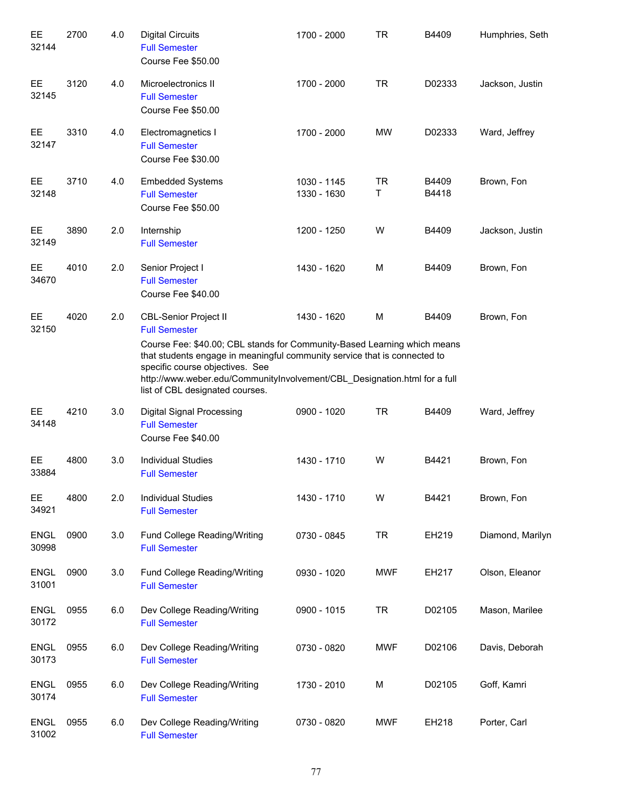| EE<br>32144          | 2700 | 4.0 | <b>Digital Circuits</b><br><b>Full Semester</b><br>Course Fee \$50.00                                                                                                                                                                                                                                                                                            | 1700 - 2000                | <b>TR</b>      | B4409          | Humphries, Seth  |
|----------------------|------|-----|------------------------------------------------------------------------------------------------------------------------------------------------------------------------------------------------------------------------------------------------------------------------------------------------------------------------------------------------------------------|----------------------------|----------------|----------------|------------------|
| EE.<br>32145         | 3120 | 4.0 | Microelectronics II<br><b>Full Semester</b><br>Course Fee \$50.00                                                                                                                                                                                                                                                                                                | 1700 - 2000                | <b>TR</b>      | D02333         | Jackson, Justin  |
| EE<br>32147          | 3310 | 4.0 | Electromagnetics I<br><b>Full Semester</b><br>Course Fee \$30.00                                                                                                                                                                                                                                                                                                 | 1700 - 2000                | <b>MW</b>      | D02333         | Ward, Jeffrey    |
| EE.<br>32148         | 3710 | 4.0 | <b>Embedded Systems</b><br><b>Full Semester</b><br>Course Fee \$50.00                                                                                                                                                                                                                                                                                            | 1030 - 1145<br>1330 - 1630 | <b>TR</b><br>T | B4409<br>B4418 | Brown, Fon       |
| EE.<br>32149         | 3890 | 2.0 | Internship<br><b>Full Semester</b>                                                                                                                                                                                                                                                                                                                               | 1200 - 1250                | W              | B4409          | Jackson, Justin  |
| EE<br>34670          | 4010 | 2.0 | Senior Project I<br><b>Full Semester</b><br>Course Fee \$40.00                                                                                                                                                                                                                                                                                                   | 1430 - 1620                | M              | B4409          | Brown, Fon       |
| EE<br>32150          | 4020 | 2.0 | <b>CBL-Senior Project II</b><br><b>Full Semester</b><br>Course Fee: \$40.00; CBL stands for Community-Based Learning which means<br>that students engage in meaningful community service that is connected to<br>specific course objectives. See<br>http://www.weber.edu/CommunityInvolvement/CBL_Designation.html for a full<br>list of CBL designated courses. | 1430 - 1620                | M              | B4409          | Brown, Fon       |
| EE.<br>34148         | 4210 | 3.0 | <b>Digital Signal Processing</b><br><b>Full Semester</b><br>Course Fee \$40.00                                                                                                                                                                                                                                                                                   | 0900 - 1020                | <b>TR</b>      | B4409          | Ward, Jeffrey    |
| EE<br>33884          | 4800 | 3.0 | <b>Individual Studies</b><br><b>Full Semester</b>                                                                                                                                                                                                                                                                                                                | 1430 - 1710                | W              | B4421          | Brown, Fon       |
| EE.<br>34921         | 4800 | 2.0 | <b>Individual Studies</b><br><b>Full Semester</b>                                                                                                                                                                                                                                                                                                                | 1430 - 1710                | W              | B4421          | Brown, Fon       |
| <b>ENGL</b><br>30998 | 0900 | 3.0 | Fund College Reading/Writing<br><b>Full Semester</b>                                                                                                                                                                                                                                                                                                             | 0730 - 0845                | <b>TR</b>      | EH219          | Diamond, Marilyn |
| <b>ENGL</b><br>31001 | 0900 | 3.0 | Fund College Reading/Writing<br><b>Full Semester</b>                                                                                                                                                                                                                                                                                                             | 0930 - 1020                | <b>MWF</b>     | EH217          | Olson, Eleanor   |
| <b>ENGL</b><br>30172 | 0955 | 6.0 | Dev College Reading/Writing<br><b>Full Semester</b>                                                                                                                                                                                                                                                                                                              | 0900 - 1015                | <b>TR</b>      | D02105         | Mason, Marilee   |
| <b>ENGL</b><br>30173 | 0955 | 6.0 | Dev College Reading/Writing<br><b>Full Semester</b>                                                                                                                                                                                                                                                                                                              | 0730 - 0820                | <b>MWF</b>     | D02106         | Davis, Deborah   |
| <b>ENGL</b><br>30174 | 0955 | 6.0 | Dev College Reading/Writing<br><b>Full Semester</b>                                                                                                                                                                                                                                                                                                              | 1730 - 2010                | M              | D02105         | Goff, Kamri      |
| <b>ENGL</b><br>31002 | 0955 | 6.0 | Dev College Reading/Writing<br><b>Full Semester</b>                                                                                                                                                                                                                                                                                                              | 0730 - 0820                | <b>MWF</b>     | EH218          | Porter, Carl     |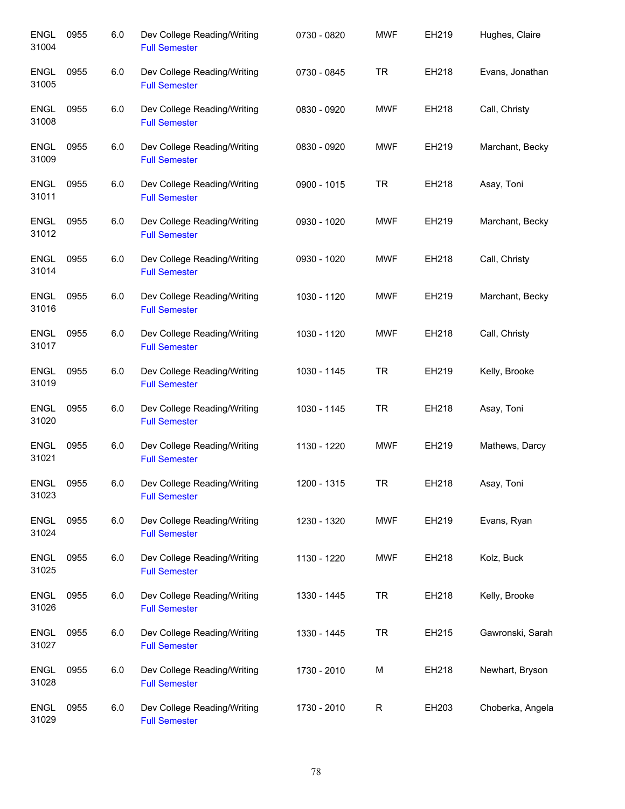| <b>ENGL</b><br>31004 | 0955 | 6.0 | Dev College Reading/Writing<br><b>Full Semester</b> | 0730 - 0820 | <b>MWF</b> | EH219 | Hughes, Claire   |
|----------------------|------|-----|-----------------------------------------------------|-------------|------------|-------|------------------|
| <b>ENGL</b><br>31005 | 0955 | 6.0 | Dev College Reading/Writing<br><b>Full Semester</b> | 0730 - 0845 | <b>TR</b>  | EH218 | Evans, Jonathan  |
| <b>ENGL</b><br>31008 | 0955 | 6.0 | Dev College Reading/Writing<br><b>Full Semester</b> | 0830 - 0920 | <b>MWF</b> | EH218 | Call, Christy    |
| <b>ENGL</b><br>31009 | 0955 | 6.0 | Dev College Reading/Writing<br><b>Full Semester</b> | 0830 - 0920 | <b>MWF</b> | EH219 | Marchant, Becky  |
| <b>ENGL</b><br>31011 | 0955 | 6.0 | Dev College Reading/Writing<br><b>Full Semester</b> | 0900 - 1015 | <b>TR</b>  | EH218 | Asay, Toni       |
| <b>ENGL</b><br>31012 | 0955 | 6.0 | Dev College Reading/Writing<br><b>Full Semester</b> | 0930 - 1020 | MWF        | EH219 | Marchant, Becky  |
| <b>ENGL</b><br>31014 | 0955 | 6.0 | Dev College Reading/Writing<br><b>Full Semester</b> | 0930 - 1020 | <b>MWF</b> | EH218 | Call, Christy    |
| <b>ENGL</b><br>31016 | 0955 | 6.0 | Dev College Reading/Writing<br><b>Full Semester</b> | 1030 - 1120 | <b>MWF</b> | EH219 | Marchant, Becky  |
| <b>ENGL</b><br>31017 | 0955 | 6.0 | Dev College Reading/Writing<br><b>Full Semester</b> | 1030 - 1120 | <b>MWF</b> | EH218 | Call, Christy    |
| <b>ENGL</b><br>31019 | 0955 | 6.0 | Dev College Reading/Writing<br><b>Full Semester</b> | 1030 - 1145 | <b>TR</b>  | EH219 | Kelly, Brooke    |
| <b>ENGL</b><br>31020 | 0955 | 6.0 | Dev College Reading/Writing<br><b>Full Semester</b> | 1030 - 1145 | <b>TR</b>  | EH218 | Asay, Toni       |
| <b>ENGL</b><br>31021 | 0955 | 6.0 | Dev College Reading/Writing<br><b>Full Semester</b> | 1130 - 1220 | <b>MWF</b> | EH219 | Mathews, Darcy   |
| <b>ENGL</b><br>31023 | 0955 | 6.0 | Dev College Reading/Writing<br><b>Full Semester</b> | 1200 - 1315 | <b>TR</b>  | EH218 | Asay, Toni       |
| <b>ENGL</b><br>31024 | 0955 | 6.0 | Dev College Reading/Writing<br><b>Full Semester</b> | 1230 - 1320 | <b>MWF</b> | EH219 | Evans, Ryan      |
| <b>ENGL</b><br>31025 | 0955 | 6.0 | Dev College Reading/Writing<br><b>Full Semester</b> | 1130 - 1220 | <b>MWF</b> | EH218 | Kolz, Buck       |
| <b>ENGL</b><br>31026 | 0955 | 6.0 | Dev College Reading/Writing<br><b>Full Semester</b> | 1330 - 1445 | <b>TR</b>  | EH218 | Kelly, Brooke    |
| <b>ENGL</b><br>31027 | 0955 | 6.0 | Dev College Reading/Writing<br><b>Full Semester</b> | 1330 - 1445 | <b>TR</b>  | EH215 | Gawronski, Sarah |
| <b>ENGL</b><br>31028 | 0955 | 6.0 | Dev College Reading/Writing<br><b>Full Semester</b> | 1730 - 2010 | M          | EH218 | Newhart, Bryson  |
| <b>ENGL</b><br>31029 | 0955 | 6.0 | Dev College Reading/Writing<br><b>Full Semester</b> | 1730 - 2010 | R          | EH203 | Choberka, Angela |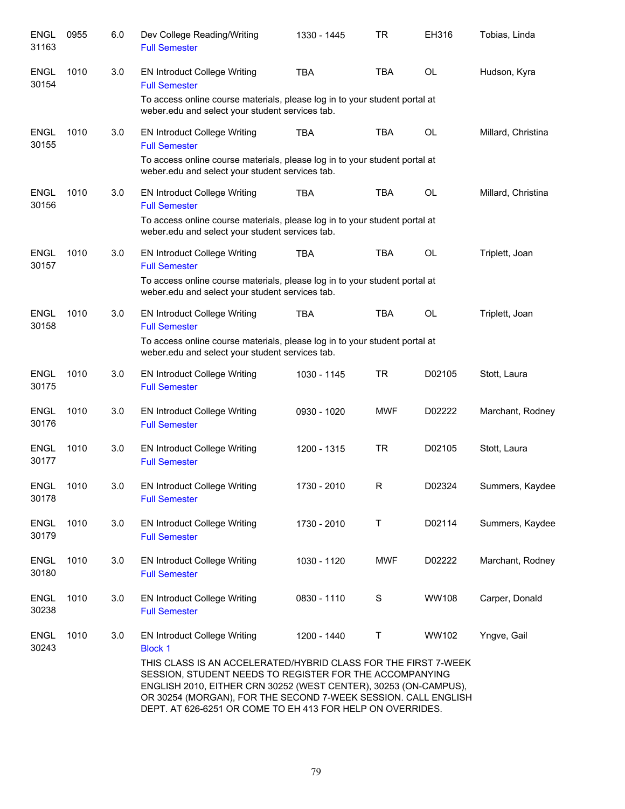| <b>ENGL</b><br>31163 | 0955 | 6.0 | Dev College Reading/Writing<br><b>Full Semester</b>                                                                                                                                                                                                                                                                           | 1330 - 1445 | TR           | EH316     | Tobias, Linda      |
|----------------------|------|-----|-------------------------------------------------------------------------------------------------------------------------------------------------------------------------------------------------------------------------------------------------------------------------------------------------------------------------------|-------------|--------------|-----------|--------------------|
| <b>ENGL</b><br>30154 | 1010 | 3.0 | <b>EN Introduct College Writing</b><br><b>Full Semester</b><br>To access online course materials, please log in to your student portal at                                                                                                                                                                                     | <b>TBA</b>  | <b>TBA</b>   | <b>OL</b> | Hudson, Kyra       |
|                      |      |     | weber.edu and select your student services tab.                                                                                                                                                                                                                                                                               |             |              |           |                    |
| <b>ENGL</b><br>30155 | 1010 | 3.0 | <b>EN Introduct College Writing</b><br><b>Full Semester</b>                                                                                                                                                                                                                                                                   | TBA         | <b>TBA</b>   | OL        | Millard, Christina |
|                      |      |     | To access online course materials, please log in to your student portal at<br>weber.edu and select your student services tab.                                                                                                                                                                                                 |             |              |           |                    |
| ENGL<br>30156        | 1010 | 3.0 | <b>EN Introduct College Writing</b><br><b>Full Semester</b>                                                                                                                                                                                                                                                                   | <b>TBA</b>  | <b>TBA</b>   | <b>OL</b> | Millard, Christina |
|                      |      |     | To access online course materials, please log in to your student portal at<br>weber.edu and select your student services tab.                                                                                                                                                                                                 |             |              |           |                    |
| <b>ENGL</b><br>30157 | 1010 | 3.0 | <b>EN Introduct College Writing</b><br><b>Full Semester</b>                                                                                                                                                                                                                                                                   | <b>TBA</b>  | <b>TBA</b>   | <b>OL</b> | Triplett, Joan     |
|                      |      |     | To access online course materials, please log in to your student portal at<br>weber.edu and select your student services tab.                                                                                                                                                                                                 |             |              |           |                    |
| <b>ENGL</b><br>30158 | 1010 | 3.0 | <b>EN Introduct College Writing</b><br><b>Full Semester</b>                                                                                                                                                                                                                                                                   | <b>TBA</b>  | <b>TBA</b>   | <b>OL</b> | Triplett, Joan     |
|                      |      |     | To access online course materials, please log in to your student portal at<br>weber.edu and select your student services tab.                                                                                                                                                                                                 |             |              |           |                    |
| <b>ENGL</b><br>30175 | 1010 | 3.0 | <b>EN Introduct College Writing</b><br><b>Full Semester</b>                                                                                                                                                                                                                                                                   | 1030 - 1145 | <b>TR</b>    | D02105    | Stott, Laura       |
| <b>ENGL</b><br>30176 | 1010 | 3.0 | <b>EN Introduct College Writing</b><br><b>Full Semester</b>                                                                                                                                                                                                                                                                   | 0930 - 1020 | <b>MWF</b>   | D02222    | Marchant, Rodney   |
| <b>ENGL</b><br>30177 | 1010 | 3.0 | <b>EN Introduct College Writing</b><br><b>Full Semester</b>                                                                                                                                                                                                                                                                   | 1200 - 1315 | <b>TR</b>    | D02105    | Stott, Laura       |
| <b>ENGL</b><br>30178 | 1010 | 3.0 | <b>EN Introduct College Writing</b><br><b>Full Semester</b>                                                                                                                                                                                                                                                                   | 1730 - 2010 | $\mathsf{R}$ | D02324    | Summers, Kaydee    |
| <b>ENGL</b><br>30179 | 1010 | 3.0 | <b>EN Introduct College Writing</b><br><b>Full Semester</b>                                                                                                                                                                                                                                                                   | 1730 - 2010 | T            | D02114    | Summers, Kaydee    |
| <b>ENGL</b><br>30180 | 1010 | 3.0 | <b>EN Introduct College Writing</b><br><b>Full Semester</b>                                                                                                                                                                                                                                                                   | 1030 - 1120 | <b>MWF</b>   | D02222    | Marchant, Rodney   |
| <b>ENGL</b><br>30238 | 1010 | 3.0 | <b>EN Introduct College Writing</b><br><b>Full Semester</b>                                                                                                                                                                                                                                                                   | 0830 - 1110 | S            | WW108     | Carper, Donald     |
| <b>ENGL</b><br>30243 | 1010 | 3.0 | <b>EN Introduct College Writing</b><br><b>Block 1</b>                                                                                                                                                                                                                                                                         | 1200 - 1440 | T            | WW102     | Yngve, Gail        |
|                      |      |     | THIS CLASS IS AN ACCELERATED/HYBRID CLASS FOR THE FIRST 7-WEEK<br>SESSION, STUDENT NEEDS TO REGISTER FOR THE ACCOMPANYING<br>ENGLISH 2010, EITHER CRN 30252 (WEST CENTER), 30253 (ON-CAMPUS),<br>OR 30254 (MORGAN), FOR THE SECOND 7-WEEK SESSION. CALL ENGLISH<br>DEPT. AT 626-6251 OR COME TO EH 413 FOR HELP ON OVERRIDES. |             |              |           |                    |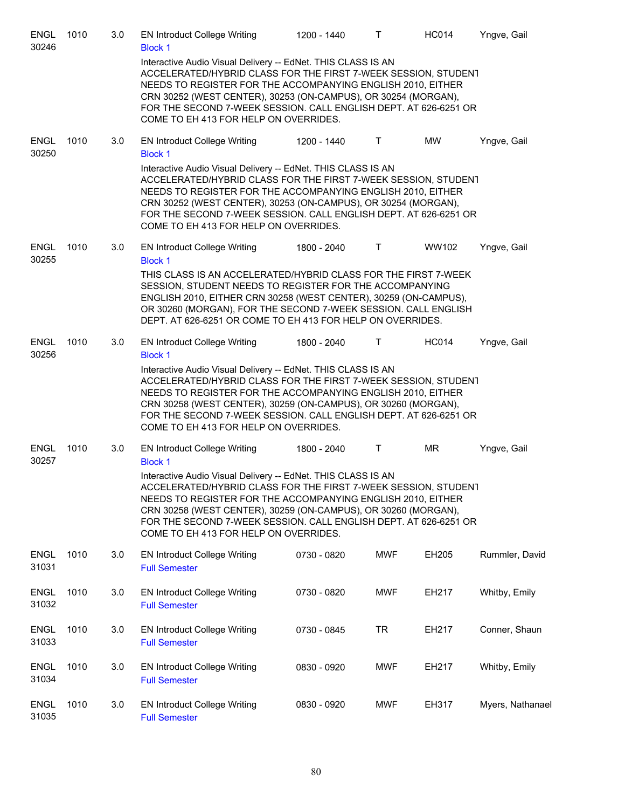| <b>ENGL</b><br>30246 | 1010 | 3.0 | <b>EN Introduct College Writing</b><br><b>Block 1</b>                                                                                                                                                                                                                                                                                                                        | 1200 - 1440 | $\mathsf{T}$ | <b>HC014</b> | Yngve, Gail      |
|----------------------|------|-----|------------------------------------------------------------------------------------------------------------------------------------------------------------------------------------------------------------------------------------------------------------------------------------------------------------------------------------------------------------------------------|-------------|--------------|--------------|------------------|
|                      |      |     | Interactive Audio Visual Delivery -- EdNet. THIS CLASS IS AN<br>ACCELERATED/HYBRID CLASS FOR THE FIRST 7-WEEK SESSION, STUDENT<br>NEEDS TO REGISTER FOR THE ACCOMPANYING ENGLISH 2010, EITHER<br>CRN 30252 (WEST CENTER), 30253 (ON-CAMPUS), OR 30254 (MORGAN),<br>FOR THE SECOND 7-WEEK SESSION. CALL ENGLISH DEPT. AT 626-6251 OR<br>COME TO EH 413 FOR HELP ON OVERRIDES. |             |              |              |                  |
| <b>ENGL</b><br>30250 | 1010 | 3.0 | <b>EN Introduct College Writing</b><br><b>Block 1</b>                                                                                                                                                                                                                                                                                                                        | 1200 - 1440 | Τ            | <b>MW</b>    | Yngve, Gail      |
|                      |      |     | Interactive Audio Visual Delivery -- EdNet. THIS CLASS IS AN<br>ACCELERATED/HYBRID CLASS FOR THE FIRST 7-WEEK SESSION, STUDENT<br>NEEDS TO REGISTER FOR THE ACCOMPANYING ENGLISH 2010, EITHER<br>CRN 30252 (WEST CENTER), 30253 (ON-CAMPUS), OR 30254 (MORGAN),<br>FOR THE SECOND 7-WEEK SESSION. CALL ENGLISH DEPT. AT 626-6251 OR<br>COME TO EH 413 FOR HELP ON OVERRIDES. |             |              |              |                  |
| <b>ENGL</b><br>30255 | 1010 | 3.0 | <b>EN Introduct College Writing</b><br><b>Block 1</b>                                                                                                                                                                                                                                                                                                                        | 1800 - 2040 | $\top$       | WW102        | Yngve, Gail      |
|                      |      |     | THIS CLASS IS AN ACCELERATED/HYBRID CLASS FOR THE FIRST 7-WEEK<br>SESSION, STUDENT NEEDS TO REGISTER FOR THE ACCOMPANYING<br>ENGLISH 2010, EITHER CRN 30258 (WEST CENTER), 30259 (ON-CAMPUS),<br>OR 30260 (MORGAN), FOR THE SECOND 7-WEEK SESSION. CALL ENGLISH<br>DEPT. AT 626-6251 OR COME TO EH 413 FOR HELP ON OVERRIDES.                                                |             |              |              |                  |
| <b>ENGL</b><br>30256 | 1010 | 3.0 | <b>EN Introduct College Writing</b><br><b>Block 1</b>                                                                                                                                                                                                                                                                                                                        | 1800 - 2040 | $\top$       | <b>HC014</b> | Yngve, Gail      |
|                      |      |     | Interactive Audio Visual Delivery -- EdNet. THIS CLASS IS AN<br>ACCELERATED/HYBRID CLASS FOR THE FIRST 7-WEEK SESSION, STUDENT<br>NEEDS TO REGISTER FOR THE ACCOMPANYING ENGLISH 2010, EITHER<br>CRN 30258 (WEST CENTER), 30259 (ON-CAMPUS), OR 30260 (MORGAN),<br>FOR THE SECOND 7-WEEK SESSION. CALL ENGLISH DEPT. AT 626-6251 OR<br>COME TO EH 413 FOR HELP ON OVERRIDES. |             |              |              |                  |
| <b>ENGL</b><br>30257 | 1010 | 3.0 | <b>EN Introduct College Writing</b><br><b>Block 1</b>                                                                                                                                                                                                                                                                                                                        | 1800 - 2040 | T            | <b>MR</b>    | Yngve, Gail      |
|                      |      |     | Interactive Audio Visual Delivery -- EdNet. THIS CLASS IS AN<br>ACCELERATED/HYBRID CLASS FOR THE FIRST 7-WEEK SESSION, STUDENT<br>NEEDS TO REGISTER FOR THE ACCOMPANYING ENGLISH 2010, EITHER<br>CRN 30258 (WEST CENTER), 30259 (ON-CAMPUS), OR 30260 (MORGAN),<br>FOR THE SECOND 7-WEEK SESSION. CALL ENGLISH DEPT. AT 626-6251 OR<br>COME TO EH 413 FOR HELP ON OVERRIDES. |             |              |              |                  |
| <b>ENGL</b><br>31031 | 1010 | 3.0 | <b>EN Introduct College Writing</b><br><b>Full Semester</b>                                                                                                                                                                                                                                                                                                                  | 0730 - 0820 | <b>MWF</b>   | EH205        | Rummler, David   |
| <b>ENGL</b><br>31032 | 1010 | 3.0 | <b>EN Introduct College Writing</b><br><b>Full Semester</b>                                                                                                                                                                                                                                                                                                                  | 0730 - 0820 | <b>MWF</b>   | EH217        | Whitby, Emily    |
| <b>ENGL</b><br>31033 | 1010 | 3.0 | <b>EN Introduct College Writing</b><br><b>Full Semester</b>                                                                                                                                                                                                                                                                                                                  | 0730 - 0845 | <b>TR</b>    | EH217        | Conner, Shaun    |
| <b>ENGL</b><br>31034 | 1010 | 3.0 | <b>EN Introduct College Writing</b><br><b>Full Semester</b>                                                                                                                                                                                                                                                                                                                  | 0830 - 0920 | <b>MWF</b>   | EH217        | Whitby, Emily    |
| <b>ENGL</b><br>31035 | 1010 | 3.0 | <b>EN Introduct College Writing</b><br><b>Full Semester</b>                                                                                                                                                                                                                                                                                                                  | 0830 - 0920 | <b>MWF</b>   | EH317        | Myers, Nathanael |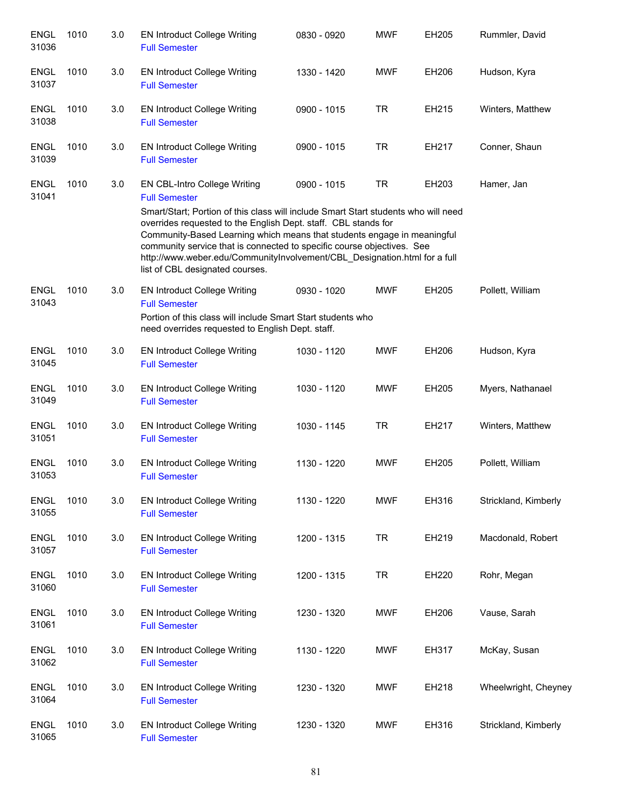| <b>ENGL</b><br>31036 | 1010 | 3.0 | <b>EN Introduct College Writing</b><br><b>Full Semester</b>                                                                                                                                                                                                                                                                                                                                                                                                                       | 0830 - 0920 | <b>MWF</b> | EH205 | Rummler, David       |
|----------------------|------|-----|-----------------------------------------------------------------------------------------------------------------------------------------------------------------------------------------------------------------------------------------------------------------------------------------------------------------------------------------------------------------------------------------------------------------------------------------------------------------------------------|-------------|------------|-------|----------------------|
| <b>ENGL</b><br>31037 | 1010 | 3.0 | <b>EN Introduct College Writing</b><br><b>Full Semester</b>                                                                                                                                                                                                                                                                                                                                                                                                                       | 1330 - 1420 | <b>MWF</b> | EH206 | Hudson, Kyra         |
| <b>ENGL</b><br>31038 | 1010 | 3.0 | <b>EN Introduct College Writing</b><br><b>Full Semester</b>                                                                                                                                                                                                                                                                                                                                                                                                                       | 0900 - 1015 | <b>TR</b>  | EH215 | Winters, Matthew     |
| <b>ENGL</b><br>31039 | 1010 | 3.0 | <b>EN Introduct College Writing</b><br><b>Full Semester</b>                                                                                                                                                                                                                                                                                                                                                                                                                       | 0900 - 1015 | <b>TR</b>  | EH217 | Conner, Shaun        |
| <b>ENGL</b><br>31041 | 1010 | 3.0 | EN CBL-Intro College Writing<br><b>Full Semester</b><br>Smart/Start; Portion of this class will include Smart Start students who will need<br>overrides requested to the English Dept. staff. CBL stands for<br>Community-Based Learning which means that students engage in meaningful<br>community service that is connected to specific course objectives. See<br>http://www.weber.edu/CommunityInvolvement/CBL_Designation.html for a full<br>list of CBL designated courses. | 0900 - 1015 | <b>TR</b>  | EH203 | Hamer, Jan           |
| <b>ENGL</b><br>31043 | 1010 | 3.0 | <b>EN Introduct College Writing</b><br><b>Full Semester</b><br>Portion of this class will include Smart Start students who<br>need overrides requested to English Dept. staff.                                                                                                                                                                                                                                                                                                    | 0930 - 1020 | <b>MWF</b> | EH205 | Pollett, William     |
| <b>ENGL</b><br>31045 | 1010 | 3.0 | <b>EN Introduct College Writing</b><br><b>Full Semester</b>                                                                                                                                                                                                                                                                                                                                                                                                                       | 1030 - 1120 | <b>MWF</b> | EH206 | Hudson, Kyra         |
| <b>ENGL</b><br>31049 | 1010 | 3.0 | <b>EN Introduct College Writing</b><br><b>Full Semester</b>                                                                                                                                                                                                                                                                                                                                                                                                                       | 1030 - 1120 | <b>MWF</b> | EH205 | Myers, Nathanael     |
| <b>ENGL</b><br>31051 | 1010 | 3.0 | <b>EN Introduct College Writing</b><br><b>Full Semester</b>                                                                                                                                                                                                                                                                                                                                                                                                                       | 1030 - 1145 | <b>TR</b>  | EH217 | Winters, Matthew     |
| <b>ENGL</b><br>31053 | 1010 | 3.0 | <b>EN Introduct College Writing</b><br><b>Full Semester</b>                                                                                                                                                                                                                                                                                                                                                                                                                       | 1130 - 1220 | MWF        | EH205 | Pollett, William     |
| <b>ENGL</b><br>31055 | 1010 | 3.0 | <b>EN Introduct College Writing</b><br><b>Full Semester</b>                                                                                                                                                                                                                                                                                                                                                                                                                       | 1130 - 1220 | <b>MWF</b> | EH316 | Strickland, Kimberly |
| <b>ENGL</b><br>31057 | 1010 | 3.0 | <b>EN Introduct College Writing</b><br><b>Full Semester</b>                                                                                                                                                                                                                                                                                                                                                                                                                       | 1200 - 1315 | <b>TR</b>  | EH219 | Macdonald, Robert    |
| <b>ENGL</b><br>31060 | 1010 | 3.0 | <b>EN Introduct College Writing</b><br><b>Full Semester</b>                                                                                                                                                                                                                                                                                                                                                                                                                       | 1200 - 1315 | <b>TR</b>  | EH220 | Rohr, Megan          |
| <b>ENGL</b><br>31061 | 1010 | 3.0 | <b>EN Introduct College Writing</b><br><b>Full Semester</b>                                                                                                                                                                                                                                                                                                                                                                                                                       | 1230 - 1320 | <b>MWF</b> | EH206 | Vause, Sarah         |
| <b>ENGL</b><br>31062 | 1010 | 3.0 | <b>EN Introduct College Writing</b><br><b>Full Semester</b>                                                                                                                                                                                                                                                                                                                                                                                                                       | 1130 - 1220 | <b>MWF</b> | EH317 | McKay, Susan         |
| <b>ENGL</b><br>31064 | 1010 | 3.0 | <b>EN Introduct College Writing</b><br><b>Full Semester</b>                                                                                                                                                                                                                                                                                                                                                                                                                       | 1230 - 1320 | <b>MWF</b> | EH218 | Wheelwright, Cheyney |
| <b>ENGL</b><br>31065 | 1010 | 3.0 | <b>EN Introduct College Writing</b><br><b>Full Semester</b>                                                                                                                                                                                                                                                                                                                                                                                                                       | 1230 - 1320 | <b>MWF</b> | EH316 | Strickland, Kimberly |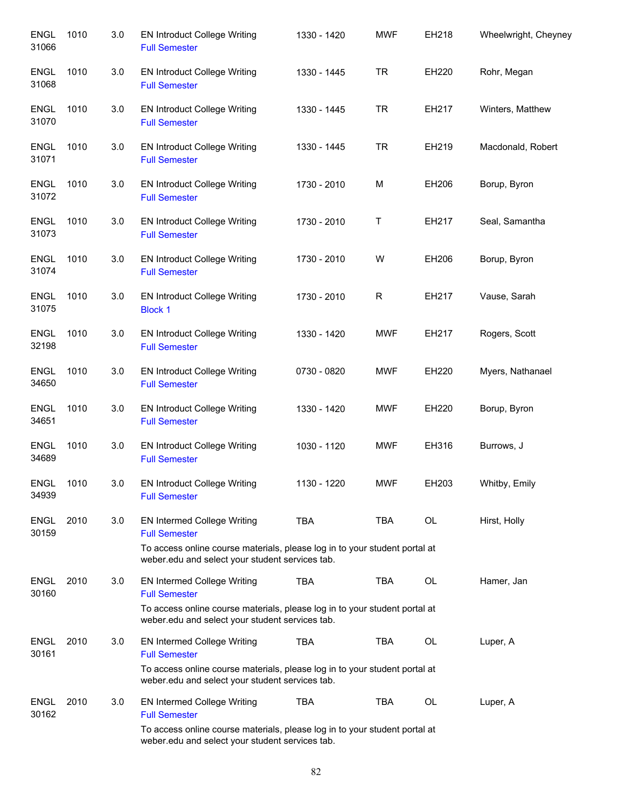| <b>ENGL</b><br>31066 | 1010 | 3.0 | <b>EN Introduct College Writing</b><br><b>Full Semester</b>                                                                   | 1330 - 1420 | <b>MWF</b>  | EH218 | Wheelwright, Cheyney |
|----------------------|------|-----|-------------------------------------------------------------------------------------------------------------------------------|-------------|-------------|-------|----------------------|
| <b>ENGL</b><br>31068 | 1010 | 3.0 | <b>EN Introduct College Writing</b><br><b>Full Semester</b>                                                                   | 1330 - 1445 | <b>TR</b>   | EH220 | Rohr, Megan          |
| <b>ENGL</b><br>31070 | 1010 | 3.0 | EN Introduct College Writing<br><b>Full Semester</b>                                                                          | 1330 - 1445 | <b>TR</b>   | EH217 | Winters, Matthew     |
| <b>ENGL</b><br>31071 | 1010 | 3.0 | <b>EN Introduct College Writing</b><br><b>Full Semester</b>                                                                   | 1330 - 1445 | <b>TR</b>   | EH219 | Macdonald, Robert    |
| <b>ENGL</b><br>31072 | 1010 | 3.0 | <b>EN Introduct College Writing</b><br><b>Full Semester</b>                                                                   | 1730 - 2010 | М           | EH206 | Borup, Byron         |
| <b>ENGL</b><br>31073 | 1010 | 3.0 | <b>EN Introduct College Writing</b><br><b>Full Semester</b>                                                                   | 1730 - 2010 | Τ           | EH217 | Seal, Samantha       |
| <b>ENGL</b><br>31074 | 1010 | 3.0 | <b>EN Introduct College Writing</b><br><b>Full Semester</b>                                                                   | 1730 - 2010 | W           | EH206 | Borup, Byron         |
| <b>ENGL</b><br>31075 | 1010 | 3.0 | <b>EN Introduct College Writing</b><br><b>Block 1</b>                                                                         | 1730 - 2010 | $\mathsf R$ | EH217 | Vause, Sarah         |
| <b>ENGL</b><br>32198 | 1010 | 3.0 | <b>EN Introduct College Writing</b><br><b>Full Semester</b>                                                                   | 1330 - 1420 | <b>MWF</b>  | EH217 | Rogers, Scott        |
| <b>ENGL</b><br>34650 | 1010 | 3.0 | <b>EN Introduct College Writing</b><br><b>Full Semester</b>                                                                   | 0730 - 0820 | <b>MWF</b>  | EH220 | Myers, Nathanael     |
| <b>ENGL</b><br>34651 | 1010 | 3.0 | <b>EN Introduct College Writing</b><br><b>Full Semester</b>                                                                   | 1330 - 1420 | <b>MWF</b>  | EH220 | Borup, Byron         |
| <b>ENGL</b><br>34689 | 1010 | 3.0 | <b>EN Introduct College Writing</b><br><b>Full Semester</b>                                                                   | 1030 - 1120 | <b>MWF</b>  | EH316 | Burrows, J           |
| <b>ENGL</b><br>34939 | 1010 | 3.0 | <b>EN Introduct College Writing</b><br><b>Full Semester</b>                                                                   | 1130 - 1220 | <b>MWF</b>  | EH203 | Whitby, Emily        |
| <b>ENGL</b><br>30159 | 2010 | 3.0 | <b>EN Intermed College Writing</b><br><b>Full Semester</b>                                                                    | <b>TBA</b>  | TBA         | OL    | Hirst, Holly         |
|                      |      |     | To access online course materials, please log in to your student portal at<br>weber.edu and select your student services tab. |             |             |       |                      |
| <b>ENGL</b><br>30160 | 2010 | 3.0 | EN Intermed College Writing<br><b>Full Semester</b>                                                                           | <b>TBA</b>  | TBA         | OL    | Hamer, Jan           |
|                      |      |     | To access online course materials, please log in to your student portal at<br>weber.edu and select your student services tab. |             |             |       |                      |
| <b>ENGL</b><br>30161 | 2010 | 3.0 | <b>EN Intermed College Writing</b><br><b>Full Semester</b>                                                                    | <b>TBA</b>  | <b>TBA</b>  | OL    | Luper, A             |
|                      |      |     | To access online course materials, please log in to your student portal at<br>weber.edu and select your student services tab. |             |             |       |                      |
| <b>ENGL</b><br>30162 | 2010 | 3.0 | EN Intermed College Writing<br><b>Full Semester</b>                                                                           | <b>TBA</b>  | TBA         | OL    | Luper, A             |
|                      |      |     | To access online course materials, please log in to your student portal at<br>weber.edu and select your student services tab. |             |             |       |                      |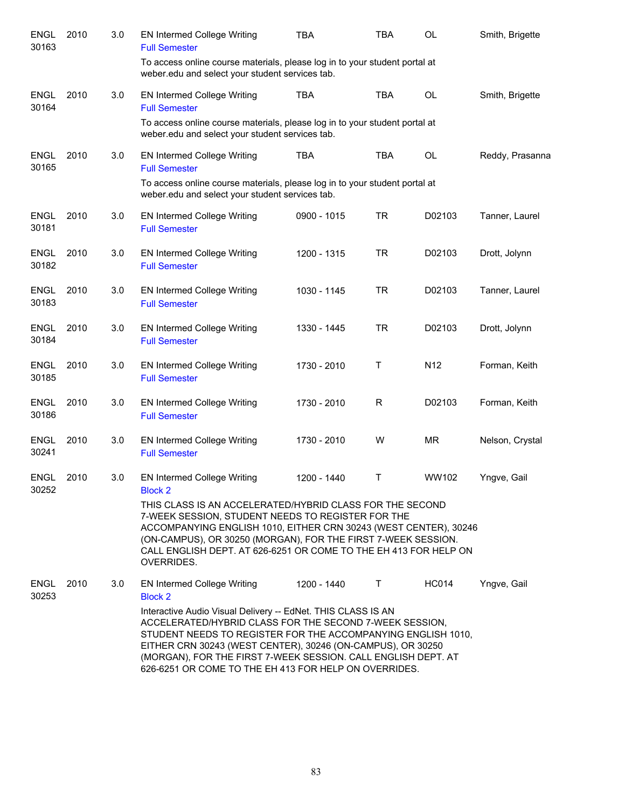| <b>ENGL</b><br>30163 | 2010 | 3.0 | <b>EN Intermed College Writing</b><br><b>Full Semester</b>                                                                                                                                                                                                                                                                                  | <b>TBA</b>  | TBA          | OL              | Smith, Brigette |
|----------------------|------|-----|---------------------------------------------------------------------------------------------------------------------------------------------------------------------------------------------------------------------------------------------------------------------------------------------------------------------------------------------|-------------|--------------|-----------------|-----------------|
|                      |      |     | To access online course materials, please log in to your student portal at<br>weber.edu and select your student services tab.                                                                                                                                                                                                               |             |              |                 |                 |
| <b>ENGL</b><br>30164 | 2010 | 3.0 | <b>EN Intermed College Writing</b><br><b>Full Semester</b>                                                                                                                                                                                                                                                                                  | TBA         | <b>TBA</b>   | OL              | Smith, Brigette |
|                      |      |     | To access online course materials, please log in to your student portal at<br>weber.edu and select your student services tab.                                                                                                                                                                                                               |             |              |                 |                 |
| <b>ENGL</b><br>30165 | 2010 | 3.0 | <b>EN Intermed College Writing</b><br><b>Full Semester</b>                                                                                                                                                                                                                                                                                  | <b>TBA</b>  | <b>TBA</b>   | <b>OL</b>       | Reddy, Prasanna |
|                      |      |     | To access online course materials, please log in to your student portal at<br>weber.edu and select your student services tab.                                                                                                                                                                                                               |             |              |                 |                 |
| <b>ENGL</b><br>30181 | 2010 | 3.0 | <b>EN Intermed College Writing</b><br><b>Full Semester</b>                                                                                                                                                                                                                                                                                  | 0900 - 1015 | <b>TR</b>    | D02103          | Tanner, Laurel  |
| <b>ENGL</b><br>30182 | 2010 | 3.0 | <b>EN Intermed College Writing</b><br><b>Full Semester</b>                                                                                                                                                                                                                                                                                  | 1200 - 1315 | <b>TR</b>    | D02103          | Drott, Jolynn   |
| <b>ENGL</b><br>30183 | 2010 | 3.0 | <b>EN Intermed College Writing</b><br><b>Full Semester</b>                                                                                                                                                                                                                                                                                  | 1030 - 1145 | <b>TR</b>    | D02103          | Tanner, Laurel  |
| <b>ENGL</b><br>30184 | 2010 | 3.0 | <b>EN Intermed College Writing</b><br><b>Full Semester</b>                                                                                                                                                                                                                                                                                  | 1330 - 1445 | <b>TR</b>    | D02103          | Drott, Jolynn   |
| <b>ENGL</b><br>30185 | 2010 | 3.0 | <b>EN Intermed College Writing</b><br><b>Full Semester</b>                                                                                                                                                                                                                                                                                  | 1730 - 2010 | Τ            | N <sub>12</sub> | Forman, Keith   |
| <b>ENGL</b><br>30186 | 2010 | 3.0 | <b>EN Intermed College Writing</b><br><b>Full Semester</b>                                                                                                                                                                                                                                                                                  | 1730 - 2010 | R            | D02103          | Forman, Keith   |
| <b>ENGL</b><br>30241 | 2010 | 3.0 | <b>EN Intermed College Writing</b><br><b>Full Semester</b>                                                                                                                                                                                                                                                                                  | 1730 - 2010 | W            | <b>MR</b>       | Nelson, Crystal |
| <b>ENGL</b><br>30252 | 2010 | 3.0 | <b>EN Intermed College Writing</b><br><b>Block 2</b>                                                                                                                                                                                                                                                                                        | 1200 - 1440 | $\mathsf{T}$ | WW102           | Yngve, Gail     |
|                      |      |     | THIS CLASS IS AN ACCELERATED/HYBRID CLASS FOR THE SECOND<br>7-WEEK SESSION, STUDENT NEEDS TO REGISTER FOR THE<br>ACCOMPANYING ENGLISH 1010, EITHER CRN 30243 (WEST CENTER), 30246<br>(ON-CAMPUS), OR 30250 (MORGAN), FOR THE FIRST 7-WEEK SESSION.<br>CALL ENGLISH DEPT. AT 626-6251 OR COME TO THE EH 413 FOR HELP ON<br><b>OVERRIDES.</b> |             |              |                 |                 |
| ENGL<br>30253        | 2010 | 3.0 | <b>EN Intermed College Writing</b><br><b>Block 2</b><br>Interactive Audio Visual Delivery -- EdNet. THIS CLASS IS AN<br>ACCELERATED/HYBRID CLASS FOR THE SECOND 7-WEEK SESSION,<br>STUDENT NEEDS TO REGISTER FOR THE ACCOMPANYING ENGLISH 1010,<br>EITHER CRN 30243 (WEST CENTER), 30246 (ON-CAMPUS), OR 30250                              | 1200 - 1440 | T.           | <b>HC014</b>    | Yngve, Gail     |
|                      |      |     | (MORGAN), FOR THE FIRST 7-WEEK SESSION. CALL ENGLISH DEPT. AT<br>626-6251 OR COME TO THE EH 413 FOR HELP ON OVERRIDES.                                                                                                                                                                                                                      |             |              |                 |                 |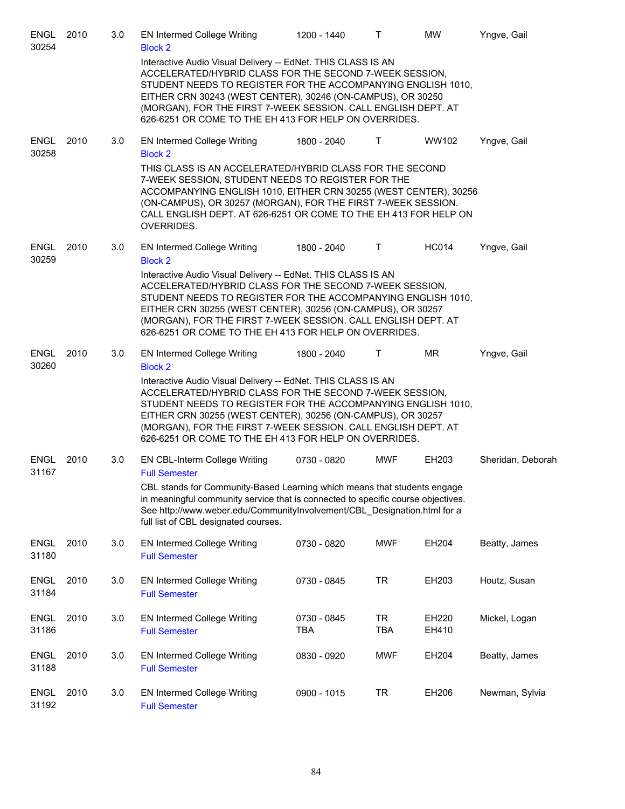| <b>ENGL</b><br>30254 | 2010 | 3.0 | <b>EN Intermed College Writing</b><br><b>Block 2</b>                                                                                                                                                                                                                                                                                                                             | 1200 - 1440               | T                 | <b>MW</b>      | Yngve, Gail       |
|----------------------|------|-----|----------------------------------------------------------------------------------------------------------------------------------------------------------------------------------------------------------------------------------------------------------------------------------------------------------------------------------------------------------------------------------|---------------------------|-------------------|----------------|-------------------|
|                      |      |     | Interactive Audio Visual Delivery -- EdNet. THIS CLASS IS AN<br>ACCELERATED/HYBRID CLASS FOR THE SECOND 7-WEEK SESSION,<br>STUDENT NEEDS TO REGISTER FOR THE ACCOMPANYING ENGLISH 1010,<br>EITHER CRN 30243 (WEST CENTER), 30246 (ON-CAMPUS), OR 30250<br>(MORGAN), FOR THE FIRST 7-WEEK SESSION. CALL ENGLISH DEPT. AT<br>626-6251 OR COME TO THE EH 413 FOR HELP ON OVERRIDES. |                           |                   |                |                   |
| <b>ENGL</b><br>30258 | 2010 | 3.0 | <b>EN Intermed College Writing</b><br><b>Block 2</b>                                                                                                                                                                                                                                                                                                                             | 1800 - 2040               | T.                | WW102          | Yngve, Gail       |
|                      |      |     | THIS CLASS IS AN ACCELERATED/HYBRID CLASS FOR THE SECOND<br>7-WEEK SESSION, STUDENT NEEDS TO REGISTER FOR THE<br>ACCOMPANYING ENGLISH 1010, EITHER CRN 30255 (WEST CENTER), 30256<br>(ON-CAMPUS), OR 30257 (MORGAN), FOR THE FIRST 7-WEEK SESSION.<br>CALL ENGLISH DEPT. AT 626-6251 OR COME TO THE EH 413 FOR HELP ON<br>OVERRIDES.                                             |                           |                   |                |                   |
| ENGL<br>30259        | 2010 | 3.0 | EN Intermed College Writing<br><b>Block 2</b>                                                                                                                                                                                                                                                                                                                                    | 1800 - 2040               | Τ                 | <b>HC014</b>   | Yngve, Gail       |
|                      |      |     | Interactive Audio Visual Delivery -- EdNet. THIS CLASS IS AN<br>ACCELERATED/HYBRID CLASS FOR THE SECOND 7-WEEK SESSION,<br>STUDENT NEEDS TO REGISTER FOR THE ACCOMPANYING ENGLISH 1010,<br>EITHER CRN 30255 (WEST CENTER), 30256 (ON-CAMPUS), OR 30257<br>(MORGAN), FOR THE FIRST 7-WEEK SESSION. CALL ENGLISH DEPT. AT<br>626-6251 OR COME TO THE EH 413 FOR HELP ON OVERRIDES. |                           |                   |                |                   |
| ENGL<br>30260        | 2010 | 3.0 | EN Intermed College Writing<br><b>Block 2</b>                                                                                                                                                                                                                                                                                                                                    | 1800 - 2040               | Τ                 | MR             | Yngve, Gail       |
|                      |      |     | Interactive Audio Visual Delivery -- EdNet. THIS CLASS IS AN<br>ACCELERATED/HYBRID CLASS FOR THE SECOND 7-WEEK SESSION,<br>STUDENT NEEDS TO REGISTER FOR THE ACCOMPANYING ENGLISH 1010,<br>EITHER CRN 30255 (WEST CENTER), 30256 (ON-CAMPUS), OR 30257<br>(MORGAN), FOR THE FIRST 7-WEEK SESSION. CALL ENGLISH DEPT. AT<br>626-6251 OR COME TO THE EH 413 FOR HELP ON OVERRIDES. |                           |                   |                |                   |
| <b>ENGL</b><br>31167 | 2010 | 3.0 | EN CBL-Interm College Writing<br><b>Full Semester</b>                                                                                                                                                                                                                                                                                                                            | 0730 - 0820               | MWF               | EH203          | Sheridan, Deborah |
|                      |      |     | CBL stands for Community-Based Learning which means that students engage<br>in meaningful community service that is connected to specific course objectives.<br>See http://www.weber.edu/CommunityInvolvement/CBL_Designation.html for a<br>full list of CBL designated courses.                                                                                                 |                           |                   |                |                   |
| <b>ENGL</b><br>31180 | 2010 | 3.0 | <b>EN Intermed College Writing</b><br><b>Full Semester</b>                                                                                                                                                                                                                                                                                                                       | 0730 - 0820               | <b>MWF</b>        | EH204          | Beatty, James     |
| <b>ENGL</b><br>31184 | 2010 | 3.0 | EN Intermed College Writing<br><b>Full Semester</b>                                                                                                                                                                                                                                                                                                                              | 0730 - 0845               | <b>TR</b>         | EH203          | Houtz, Susan      |
| <b>ENGL</b><br>31186 | 2010 | 3.0 | EN Intermed College Writing<br><b>Full Semester</b>                                                                                                                                                                                                                                                                                                                              | 0730 - 0845<br><b>TBA</b> | TR.<br><b>TBA</b> | EH220<br>EH410 | Mickel, Logan     |
| <b>ENGL</b><br>31188 | 2010 | 3.0 | <b>EN Intermed College Writing</b><br><b>Full Semester</b>                                                                                                                                                                                                                                                                                                                       | 0830 - 0920               | <b>MWF</b>        | EH204          | Beatty, James     |
| <b>ENGL</b><br>31192 | 2010 | 3.0 | <b>EN Intermed College Writing</b><br><b>Full Semester</b>                                                                                                                                                                                                                                                                                                                       | 0900 - 1015               | <b>TR</b>         | EH206          | Newman, Sylvia    |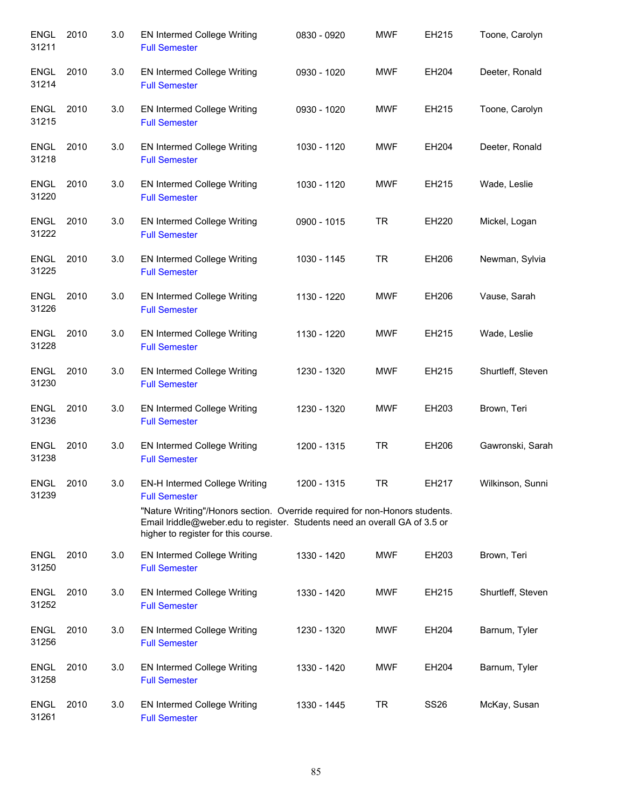| <b>ENGL</b><br>31211 | 2010 | 3.0 | <b>EN Intermed College Writing</b><br><b>Full Semester</b>                                                                                                                                       | 0830 - 0920 | <b>MWF</b> | EH215       | Toone, Carolyn    |
|----------------------|------|-----|--------------------------------------------------------------------------------------------------------------------------------------------------------------------------------------------------|-------------|------------|-------------|-------------------|
| <b>ENGL</b><br>31214 | 2010 | 3.0 | <b>EN Intermed College Writing</b><br><b>Full Semester</b>                                                                                                                                       | 0930 - 1020 | <b>MWF</b> | EH204       | Deeter, Ronald    |
| <b>ENGL</b><br>31215 | 2010 | 3.0 | <b>EN Intermed College Writing</b><br><b>Full Semester</b>                                                                                                                                       | 0930 - 1020 | <b>MWF</b> | EH215       | Toone, Carolyn    |
| <b>ENGL</b><br>31218 | 2010 | 3.0 | <b>EN Intermed College Writing</b><br><b>Full Semester</b>                                                                                                                                       | 1030 - 1120 | MWF        | EH204       | Deeter, Ronald    |
| <b>ENGL</b><br>31220 | 2010 | 3.0 | EN Intermed College Writing<br><b>Full Semester</b>                                                                                                                                              | 1030 - 1120 | MWF        | EH215       | Wade, Leslie      |
| <b>ENGL</b><br>31222 | 2010 | 3.0 | <b>EN Intermed College Writing</b><br><b>Full Semester</b>                                                                                                                                       | 0900 - 1015 | <b>TR</b>  | EH220       | Mickel, Logan     |
| <b>ENGL</b><br>31225 | 2010 | 3.0 | <b>EN Intermed College Writing</b><br><b>Full Semester</b>                                                                                                                                       | 1030 - 1145 | <b>TR</b>  | EH206       | Newman, Sylvia    |
| <b>ENGL</b><br>31226 | 2010 | 3.0 | <b>EN Intermed College Writing</b><br><b>Full Semester</b>                                                                                                                                       | 1130 - 1220 | <b>MWF</b> | EH206       | Vause, Sarah      |
| ENGL<br>31228        | 2010 | 3.0 | EN Intermed College Writing<br><b>Full Semester</b>                                                                                                                                              | 1130 - 1220 | <b>MWF</b> | EH215       | Wade, Leslie      |
| <b>ENGL</b><br>31230 | 2010 | 3.0 | EN Intermed College Writing<br><b>Full Semester</b>                                                                                                                                              | 1230 - 1320 | <b>MWF</b> | EH215       | Shurtleff, Steven |
| <b>ENGL</b><br>31236 | 2010 | 3.0 | EN Intermed College Writing<br><b>Full Semester</b>                                                                                                                                              | 1230 - 1320 | MWF        | EH203       | Brown, Teri       |
| <b>ENGL</b><br>31238 | 2010 | 3.0 | EN Intermed College Writing<br><b>Full Semester</b>                                                                                                                                              | 1200 - 1315 | <b>TR</b>  | EH206       | Gawronski, Sarah  |
| <b>ENGL</b><br>31239 | 2010 | 3.0 | <b>EN-H Intermed College Writing</b><br><b>Full Semester</b>                                                                                                                                     | 1200 - 1315 | TR         | EH217       | Wilkinson, Sunni  |
|                      |      |     | "Nature Writing"/Honors section. Override required for non-Honors students.<br>Email Iriddle@weber.edu to register. Students need an overall GA of 3.5 or<br>higher to register for this course. |             |            |             |                   |
| <b>ENGL</b><br>31250 | 2010 | 3.0 | <b>EN Intermed College Writing</b><br><b>Full Semester</b>                                                                                                                                       | 1330 - 1420 | MWF        | EH203       | Brown, Teri       |
| <b>ENGL</b><br>31252 | 2010 | 3.0 | EN Intermed College Writing<br><b>Full Semester</b>                                                                                                                                              | 1330 - 1420 | MWF        | EH215       | Shurtleff, Steven |
| <b>ENGL</b><br>31256 | 2010 | 3.0 | <b>EN Intermed College Writing</b><br><b>Full Semester</b>                                                                                                                                       | 1230 - 1320 | MWF        | EH204       | Barnum, Tyler     |
| <b>ENGL</b><br>31258 | 2010 | 3.0 | <b>EN Intermed College Writing</b><br><b>Full Semester</b>                                                                                                                                       | 1330 - 1420 | MWF        | EH204       | Barnum, Tyler     |
| <b>ENGL</b><br>31261 | 2010 | 3.0 | <b>EN Intermed College Writing</b><br><b>Full Semester</b>                                                                                                                                       | 1330 - 1445 | <b>TR</b>  | <b>SS26</b> | McKay, Susan      |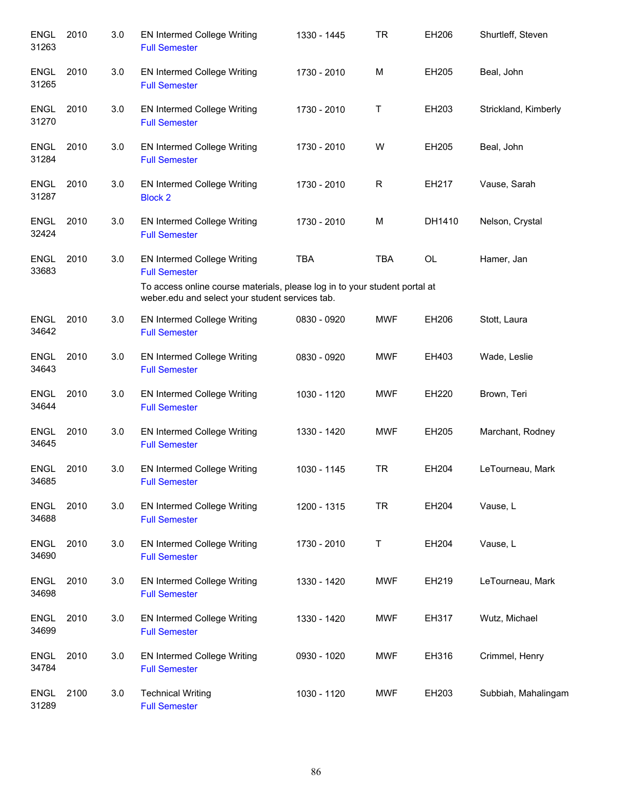| <b>ENGL</b><br>31263 | 2010 | 3.0 | EN Intermed College Writing<br><b>Full Semester</b>                                                                                                                                         | 1330 - 1445 | <b>TR</b>   | EH206  | Shurtleff, Steven    |
|----------------------|------|-----|---------------------------------------------------------------------------------------------------------------------------------------------------------------------------------------------|-------------|-------------|--------|----------------------|
| <b>ENGL</b><br>31265 | 2010 | 3.0 | EN Intermed College Writing<br><b>Full Semester</b>                                                                                                                                         | 1730 - 2010 | M           | EH205  | Beal, John           |
| <b>ENGL</b><br>31270 | 2010 | 3.0 | <b>EN Intermed College Writing</b><br><b>Full Semester</b>                                                                                                                                  | 1730 - 2010 | $\mathsf T$ | EH203  | Strickland, Kimberly |
| <b>ENGL</b><br>31284 | 2010 | 3.0 | EN Intermed College Writing<br><b>Full Semester</b>                                                                                                                                         | 1730 - 2010 | W           | EH205  | Beal, John           |
| <b>ENGL</b><br>31287 | 2010 | 3.0 | EN Intermed College Writing<br><b>Block 2</b>                                                                                                                                               | 1730 - 2010 | R           | EH217  | Vause, Sarah         |
| <b>ENGL</b><br>32424 | 2010 | 3.0 | <b>EN Intermed College Writing</b><br><b>Full Semester</b>                                                                                                                                  | 1730 - 2010 | М           | DH1410 | Nelson, Crystal      |
| <b>ENGL</b><br>33683 | 2010 | 3.0 | <b>EN Intermed College Writing</b><br><b>Full Semester</b><br>To access online course materials, please log in to your student portal at<br>weber.edu and select your student services tab. | <b>TBA</b>  | <b>TBA</b>  | OL     | Hamer, Jan           |
| <b>ENGL</b><br>34642 | 2010 | 3.0 | EN Intermed College Writing<br><b>Full Semester</b>                                                                                                                                         | 0830 - 0920 | <b>MWF</b>  | EH206  | Stott, Laura         |
| <b>ENGL</b><br>34643 | 2010 | 3.0 | <b>EN Intermed College Writing</b><br><b>Full Semester</b>                                                                                                                                  | 0830 - 0920 | <b>MWF</b>  | EH403  | Wade, Leslie         |
| <b>ENGL</b><br>34644 | 2010 | 3.0 | <b>EN Intermed College Writing</b><br><b>Full Semester</b>                                                                                                                                  | 1030 - 1120 | <b>MWF</b>  | EH220  | Brown, Teri          |
| <b>ENGL</b><br>34645 | 2010 | 3.0 | EN Intermed College Writing<br><b>Full Semester</b>                                                                                                                                         | 1330 - 1420 | <b>MWF</b>  | EH205  | Marchant, Rodney     |
| <b>ENGL</b><br>34685 | 2010 | 3.0 | EN Intermed College Writing<br><b>Full Semester</b>                                                                                                                                         | 1030 - 1145 | <b>TR</b>   | EH204  | LeTourneau, Mark     |
| <b>ENGL</b><br>34688 | 2010 | 3.0 | EN Intermed College Writing<br><b>Full Semester</b>                                                                                                                                         | 1200 - 1315 | <b>TR</b>   | EH204  | Vause, L             |
| <b>ENGL</b><br>34690 | 2010 | 3.0 | <b>EN Intermed College Writing</b><br><b>Full Semester</b>                                                                                                                                  | 1730 - 2010 | $\mathsf T$ | EH204  | Vause, L             |
| <b>ENGL</b><br>34698 | 2010 | 3.0 | EN Intermed College Writing<br><b>Full Semester</b>                                                                                                                                         | 1330 - 1420 | <b>MWF</b>  | EH219  | LeTourneau, Mark     |
| <b>ENGL</b><br>34699 | 2010 | 3.0 | EN Intermed College Writing<br><b>Full Semester</b>                                                                                                                                         | 1330 - 1420 | <b>MWF</b>  | EH317  | Wutz, Michael        |
| <b>ENGL</b><br>34784 | 2010 | 3.0 | EN Intermed College Writing<br><b>Full Semester</b>                                                                                                                                         | 0930 - 1020 | <b>MWF</b>  | EH316  | Crimmel, Henry       |
| <b>ENGL</b><br>31289 | 2100 | 3.0 | <b>Technical Writing</b><br><b>Full Semester</b>                                                                                                                                            | 1030 - 1120 | <b>MWF</b>  | EH203  | Subbiah, Mahalingam  |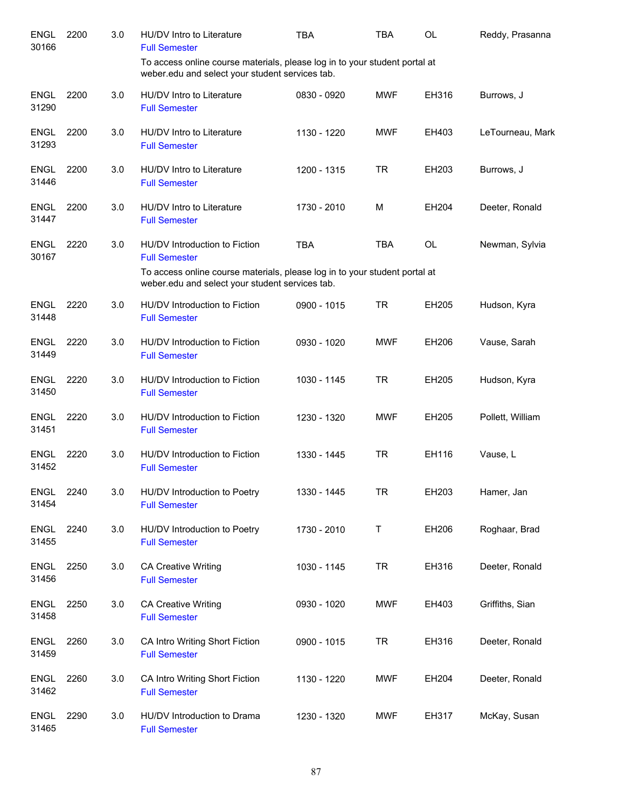| <b>ENGL</b><br>30166 | 2200 | 3.0 | HU/DV Intro to Literature<br><b>Full Semester</b>                                                                                                                                      | <b>TBA</b>  | <b>TBA</b> | <b>OL</b> | Reddy, Prasanna  |
|----------------------|------|-----|----------------------------------------------------------------------------------------------------------------------------------------------------------------------------------------|-------------|------------|-----------|------------------|
|                      |      |     | To access online course materials, please log in to your student portal at<br>weber.edu and select your student services tab.                                                          |             |            |           |                  |
| <b>ENGL</b><br>31290 | 2200 | 3.0 | HU/DV Intro to Literature<br><b>Full Semester</b>                                                                                                                                      | 0830 - 0920 | <b>MWF</b> | EH316     | Burrows, J       |
| <b>ENGL</b><br>31293 | 2200 | 3.0 | HU/DV Intro to Literature<br><b>Full Semester</b>                                                                                                                                      | 1130 - 1220 | <b>MWF</b> | EH403     | LeTourneau, Mark |
| <b>ENGL</b><br>31446 | 2200 | 3.0 | HU/DV Intro to Literature<br><b>Full Semester</b>                                                                                                                                      | 1200 - 1315 | TR         | EH203     | Burrows, J       |
| <b>ENGL</b><br>31447 | 2200 | 3.0 | HU/DV Intro to Literature<br><b>Full Semester</b>                                                                                                                                      | 1730 - 2010 | М          | EH204     | Deeter, Ronald   |
| <b>ENGL</b><br>30167 | 2220 | 3.0 | HU/DV Introduction to Fiction<br><b>Full Semester</b><br>To access online course materials, please log in to your student portal at<br>weber.edu and select your student services tab. | <b>TBA</b>  | <b>TBA</b> | <b>OL</b> | Newman, Sylvia   |
| <b>ENGL</b><br>31448 | 2220 | 3.0 | HU/DV Introduction to Fiction<br><b>Full Semester</b>                                                                                                                                  | 0900 - 1015 | <b>TR</b>  | EH205     | Hudson, Kyra     |
| <b>ENGL</b><br>31449 | 2220 | 3.0 | HU/DV Introduction to Fiction<br><b>Full Semester</b>                                                                                                                                  | 0930 - 1020 | MWF        | EH206     | Vause, Sarah     |
| <b>ENGL</b><br>31450 | 2220 | 3.0 | HU/DV Introduction to Fiction<br><b>Full Semester</b>                                                                                                                                  | 1030 - 1145 | <b>TR</b>  | EH205     | Hudson, Kyra     |
| <b>ENGL</b><br>31451 | 2220 | 3.0 | HU/DV Introduction to Fiction<br><b>Full Semester</b>                                                                                                                                  | 1230 - 1320 | <b>MWF</b> | EH205     | Pollett, William |
| <b>ENGL</b><br>31452 | 2220 | 3.0 | HU/DV Introduction to Fiction<br><b>Full Semester</b>                                                                                                                                  | 1330 - 1445 | <b>TR</b>  | EH116     | Vause, L         |
| ENGL<br>31454        | 2240 | 3.0 | HU/DV Introduction to Poetry<br><b>Full Semester</b>                                                                                                                                   | 1330 - 1445 | TR         | EH203     | Hamer, Jan       |
| <b>ENGL</b><br>31455 | 2240 | 3.0 | HU/DV Introduction to Poetry<br><b>Full Semester</b>                                                                                                                                   | 1730 - 2010 | Τ          | EH206     | Roghaar, Brad    |
| <b>ENGL</b><br>31456 | 2250 | 3.0 | <b>CA Creative Writing</b><br><b>Full Semester</b>                                                                                                                                     | 1030 - 1145 | <b>TR</b>  | EH316     | Deeter, Ronald   |
| <b>ENGL</b><br>31458 | 2250 | 3.0 | <b>CA Creative Writing</b><br><b>Full Semester</b>                                                                                                                                     | 0930 - 1020 | <b>MWF</b> | EH403     | Griffiths, Sian  |
| <b>ENGL</b><br>31459 | 2260 | 3.0 | CA Intro Writing Short Fiction<br><b>Full Semester</b>                                                                                                                                 | 0900 - 1015 | <b>TR</b>  | EH316     | Deeter, Ronald   |
| <b>ENGL</b><br>31462 | 2260 | 3.0 | CA Intro Writing Short Fiction<br><b>Full Semester</b>                                                                                                                                 | 1130 - 1220 | <b>MWF</b> | EH204     | Deeter, Ronald   |
| <b>ENGL</b><br>31465 | 2290 | 3.0 | HU/DV Introduction to Drama<br><b>Full Semester</b>                                                                                                                                    | 1230 - 1320 | MWF        | EH317     | McKay, Susan     |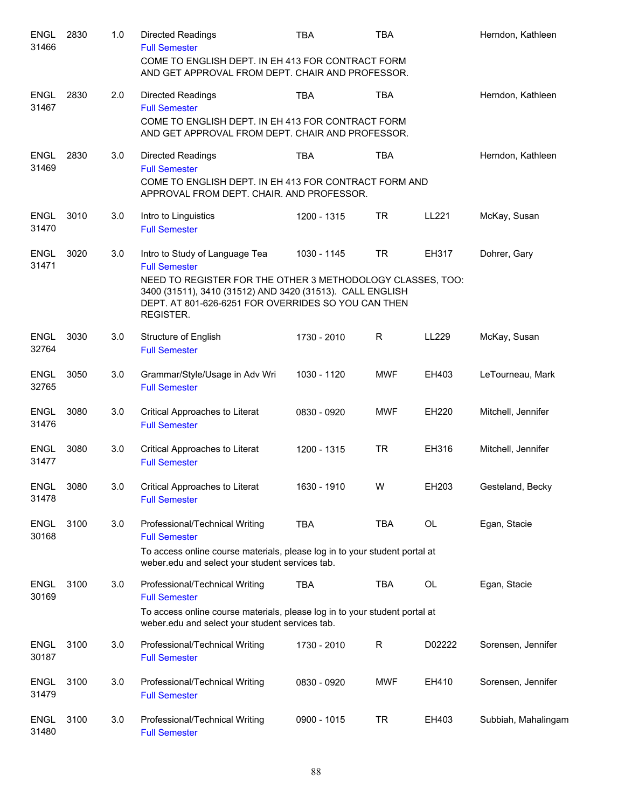| <b>ENGL</b><br>31466 | 2830 | 1.0 | <b>Directed Readings</b><br><b>Full Semester</b>                                                                                                                                            | <b>TBA</b>  | TBA          |        | Herndon, Kathleen   |
|----------------------|------|-----|---------------------------------------------------------------------------------------------------------------------------------------------------------------------------------------------|-------------|--------------|--------|---------------------|
|                      |      |     | COME TO ENGLISH DEPT. IN EH 413 FOR CONTRACT FORM<br>AND GET APPROVAL FROM DEPT. CHAIR AND PROFESSOR.                                                                                       |             |              |        |                     |
| <b>ENGL</b><br>31467 | 2830 | 2.0 | <b>Directed Readings</b><br><b>Full Semester</b>                                                                                                                                            | <b>TBA</b>  | <b>TBA</b>   |        | Herndon, Kathleen   |
|                      |      |     | COME TO ENGLISH DEPT. IN EH 413 FOR CONTRACT FORM<br>AND GET APPROVAL FROM DEPT. CHAIR AND PROFESSOR.                                                                                       |             |              |        |                     |
| <b>ENGL</b><br>31469 | 2830 | 3.0 | <b>Directed Readings</b><br><b>Full Semester</b><br>COME TO ENGLISH DEPT. IN EH 413 FOR CONTRACT FORM AND                                                                                   | <b>TBA</b>  | <b>TBA</b>   |        | Herndon, Kathleen   |
|                      |      |     | APPROVAL FROM DEPT. CHAIR. AND PROFESSOR.                                                                                                                                                   |             |              |        |                     |
| <b>ENGL</b><br>31470 | 3010 | 3.0 | Intro to Linguistics<br><b>Full Semester</b>                                                                                                                                                | 1200 - 1315 | <b>TR</b>    | LL221  | McKay, Susan        |
| <b>ENGL</b><br>31471 | 3020 | 3.0 | Intro to Study of Language Tea<br><b>Full Semester</b>                                                                                                                                      | 1030 - 1145 | <b>TR</b>    | EH317  | Dohrer, Gary        |
|                      |      |     | NEED TO REGISTER FOR THE OTHER 3 METHODOLOGY CLASSES, TOO:<br>3400 (31511), 3410 (31512) AND 3420 (31513). CALL ENGLISH<br>DEPT. AT 801-626-6251 FOR OVERRIDES SO YOU CAN THEN<br>REGISTER. |             |              |        |                     |
| <b>ENGL</b><br>32764 | 3030 | 3.0 | Structure of English<br><b>Full Semester</b>                                                                                                                                                | 1730 - 2010 | $\mathsf{R}$ | LL229  | McKay, Susan        |
| ENGL<br>32765        | 3050 | 3.0 | Grammar/Style/Usage in Adv Wri<br><b>Full Semester</b>                                                                                                                                      | 1030 - 1120 | <b>MWF</b>   | EH403  | LeTourneau, Mark    |
| <b>ENGL</b><br>31476 | 3080 | 3.0 | Critical Approaches to Literat<br><b>Full Semester</b>                                                                                                                                      | 0830 - 0920 | <b>MWF</b>   | EH220  | Mitchell, Jennifer  |
| <b>ENGL</b><br>31477 | 3080 | 3.0 | Critical Approaches to Literat<br><b>Full Semester</b>                                                                                                                                      | 1200 - 1315 | <b>TR</b>    | EH316  | Mitchell, Jennifer  |
| <b>ENGL</b><br>31478 | 3080 | 3.0 | Critical Approaches to Literat<br><b>Full Semester</b>                                                                                                                                      | 1630 - 1910 | W            | EH203  | Gesteland, Becky    |
| <b>ENGL</b><br>30168 | 3100 | 3.0 | Professional/Technical Writing<br><b>Full Semester</b>                                                                                                                                      | <b>TBA</b>  | <b>TBA</b>   | OL     | Egan, Stacie        |
|                      |      |     | To access online course materials, please log in to your student portal at<br>weber.edu and select your student services tab.                                                               |             |              |        |                     |
| <b>ENGL</b><br>30169 | 3100 | 3.0 | Professional/Technical Writing<br><b>Full Semester</b>                                                                                                                                      | <b>TBA</b>  | TBA          | OL     | Egan, Stacie        |
|                      |      |     | To access online course materials, please log in to your student portal at<br>weber.edu and select your student services tab.                                                               |             |              |        |                     |
| <b>ENGL</b><br>30187 | 3100 | 3.0 | Professional/Technical Writing<br><b>Full Semester</b>                                                                                                                                      | 1730 - 2010 | R            | D02222 | Sorensen, Jennifer  |
| <b>ENGL</b><br>31479 | 3100 | 3.0 | Professional/Technical Writing<br><b>Full Semester</b>                                                                                                                                      | 0830 - 0920 | <b>MWF</b>   | EH410  | Sorensen, Jennifer  |
| <b>ENGL</b><br>31480 | 3100 | 3.0 | Professional/Technical Writing<br><b>Full Semester</b>                                                                                                                                      | 0900 - 1015 | TR           | EH403  | Subbiah, Mahalingam |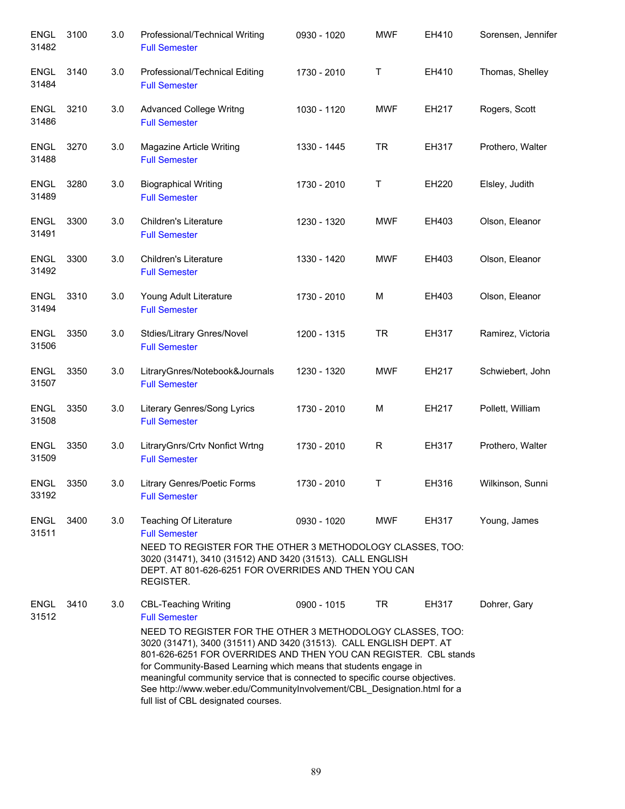| <b>ENGL</b><br>31482 | 3100 | 3.0 | Professional/Technical Writing<br><b>Full Semester</b>                                                                                                                                                                                                                                                                                                                                                                                                                                                                               | 0930 - 1020 | <b>MWF</b>   | EH410 | Sorensen, Jennifer |
|----------------------|------|-----|--------------------------------------------------------------------------------------------------------------------------------------------------------------------------------------------------------------------------------------------------------------------------------------------------------------------------------------------------------------------------------------------------------------------------------------------------------------------------------------------------------------------------------------|-------------|--------------|-------|--------------------|
| <b>ENGL</b><br>31484 | 3140 | 3.0 | Professional/Technical Editing<br><b>Full Semester</b>                                                                                                                                                                                                                                                                                                                                                                                                                                                                               | 1730 - 2010 | Τ            | EH410 | Thomas, Shelley    |
| <b>ENGL</b><br>31486 | 3210 | 3.0 | <b>Advanced College Writng</b><br><b>Full Semester</b>                                                                                                                                                                                                                                                                                                                                                                                                                                                                               | 1030 - 1120 | <b>MWF</b>   | EH217 | Rogers, Scott      |
| <b>ENGL</b><br>31488 | 3270 | 3.0 | Magazine Article Writing<br><b>Full Semester</b>                                                                                                                                                                                                                                                                                                                                                                                                                                                                                     | 1330 - 1445 | <b>TR</b>    | EH317 | Prothero, Walter   |
| <b>ENGL</b><br>31489 | 3280 | 3.0 | <b>Biographical Writing</b><br><b>Full Semester</b>                                                                                                                                                                                                                                                                                                                                                                                                                                                                                  | 1730 - 2010 | T            | EH220 | Elsley, Judith     |
| <b>ENGL</b><br>31491 | 3300 | 3.0 | <b>Children's Literature</b><br><b>Full Semester</b>                                                                                                                                                                                                                                                                                                                                                                                                                                                                                 | 1230 - 1320 | <b>MWF</b>   | EH403 | Olson, Eleanor     |
| <b>ENGL</b><br>31492 | 3300 | 3.0 | Children's Literature<br><b>Full Semester</b>                                                                                                                                                                                                                                                                                                                                                                                                                                                                                        | 1330 - 1420 | <b>MWF</b>   | EH403 | Olson, Eleanor     |
| <b>ENGL</b><br>31494 | 3310 | 3.0 | Young Adult Literature<br><b>Full Semester</b>                                                                                                                                                                                                                                                                                                                                                                                                                                                                                       | 1730 - 2010 | M            | EH403 | Olson, Eleanor     |
| <b>ENGL</b><br>31506 | 3350 | 3.0 | Stdies/Litrary Gnres/Novel<br><b>Full Semester</b>                                                                                                                                                                                                                                                                                                                                                                                                                                                                                   | 1200 - 1315 | <b>TR</b>    | EH317 | Ramirez, Victoria  |
| <b>ENGL</b><br>31507 | 3350 | 3.0 | LitraryGnres/Notebook&Journals<br><b>Full Semester</b>                                                                                                                                                                                                                                                                                                                                                                                                                                                                               | 1230 - 1320 | <b>MWF</b>   | EH217 | Schwiebert, John   |
| <b>ENGL</b><br>31508 | 3350 | 3.0 | Literary Genres/Song Lyrics<br><b>Full Semester</b>                                                                                                                                                                                                                                                                                                                                                                                                                                                                                  | 1730 - 2010 | M            | EH217 | Pollett, William   |
| <b>ENGL</b><br>31509 | 3350 | 3.0 | LitraryGnrs/Crtv Nonfict Wrtng<br><b>Full Semester</b>                                                                                                                                                                                                                                                                                                                                                                                                                                                                               | 1730 - 2010 | $\mathsf{R}$ | EH317 | Prothero, Walter   |
| ENGL<br>33192        | 3350 | 3.0 | Litrary Genres/Poetic Forms<br><b>Full Semester</b>                                                                                                                                                                                                                                                                                                                                                                                                                                                                                  | 1730 - 2010 | Т            | EH316 | Wilkinson, Sunni   |
| <b>ENGL</b><br>31511 | 3400 | 3.0 | <b>Teaching Of Literature</b><br><b>Full Semester</b><br>NEED TO REGISTER FOR THE OTHER 3 METHODOLOGY CLASSES, TOO:<br>3020 (31471), 3410 (31512) AND 3420 (31513). CALL ENGLISH<br>DEPT. AT 801-626-6251 FOR OVERRIDES AND THEN YOU CAN<br>REGISTER.                                                                                                                                                                                                                                                                                | 0930 - 1020 | <b>MWF</b>   | EH317 | Young, James       |
| <b>ENGL</b><br>31512 | 3410 | 3.0 | <b>CBL-Teaching Writing</b><br><b>Full Semester</b><br>NEED TO REGISTER FOR THE OTHER 3 METHODOLOGY CLASSES, TOO:<br>3020 (31471), 3400 (31511) AND 3420 (31513). CALL ENGLISH DEPT. AT<br>801-626-6251 FOR OVERRIDES AND THEN YOU CAN REGISTER. CBL stands<br>for Community-Based Learning which means that students engage in<br>meaningful community service that is connected to specific course objectives.<br>See http://www.weber.edu/CommunityInvolvement/CBL_Designation.html for a<br>full list of CBL designated courses. | 0900 - 1015 | TR           | EH317 | Dohrer, Gary       |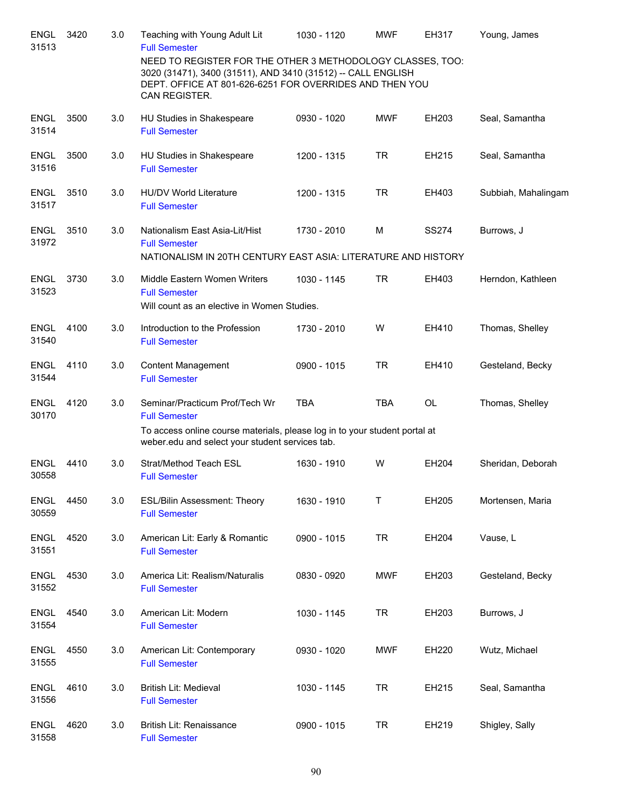| <b>ENGL</b><br>31513 | 3420 | 3.0 | Teaching with Young Adult Lit<br><b>Full Semester</b>                                                                                                                                                  | 1030 - 1120 | <b>MWF</b> | EH317        | Young, James        |
|----------------------|------|-----|--------------------------------------------------------------------------------------------------------------------------------------------------------------------------------------------------------|-------------|------------|--------------|---------------------|
|                      |      |     | NEED TO REGISTER FOR THE OTHER 3 METHODOLOGY CLASSES, TOO:<br>3020 (31471), 3400 (31511), AND 3410 (31512) -- CALL ENGLISH<br>DEPT. OFFICE AT 801-626-6251 FOR OVERRIDES AND THEN YOU<br>CAN REGISTER. |             |            |              |                     |
| <b>ENGL</b><br>31514 | 3500 | 3.0 | HU Studies in Shakespeare<br><b>Full Semester</b>                                                                                                                                                      | 0930 - 1020 | <b>MWF</b> | EH203        | Seal, Samantha      |
| <b>ENGL</b><br>31516 | 3500 | 3.0 | HU Studies in Shakespeare<br><b>Full Semester</b>                                                                                                                                                      | 1200 - 1315 | <b>TR</b>  | EH215        | Seal, Samantha      |
| <b>ENGL</b><br>31517 | 3510 | 3.0 | <b>HU/DV World Literature</b><br><b>Full Semester</b>                                                                                                                                                  | 1200 - 1315 | <b>TR</b>  | EH403        | Subbiah, Mahalingam |
| <b>ENGL</b><br>31972 | 3510 | 3.0 | Nationalism East Asia-Lit/Hist<br><b>Full Semester</b><br>NATIONALISM IN 20TH CENTURY EAST ASIA: LITERATURE AND HISTORY                                                                                | 1730 - 2010 | M          | <b>SS274</b> | Burrows, J          |
| <b>ENGL</b><br>31523 | 3730 | 3.0 | Middle Eastern Women Writers<br><b>Full Semester</b><br>Will count as an elective in Women Studies.                                                                                                    | 1030 - 1145 | <b>TR</b>  | EH403        | Herndon, Kathleen   |
| <b>ENGL</b><br>31540 | 4100 | 3.0 | Introduction to the Profession<br><b>Full Semester</b>                                                                                                                                                 | 1730 - 2010 | W          | EH410        | Thomas, Shelley     |
| <b>ENGL</b><br>31544 | 4110 | 3.0 | <b>Content Management</b><br><b>Full Semester</b>                                                                                                                                                      | 0900 - 1015 | <b>TR</b>  | EH410        | Gesteland, Becky    |
| <b>ENGL</b><br>30170 | 4120 | 3.0 | Seminar/Practicum Prof/Tech Wr<br><b>Full Semester</b><br>To access online course materials, please log in to your student portal at<br>weber.edu and select your student services tab.                | <b>TBA</b>  | <b>TBA</b> | OL           | Thomas, Shelley     |
| <b>ENGL</b><br>30558 | 4410 | 3.0 | Strat/Method Teach ESL<br><b>Full Semester</b>                                                                                                                                                         | 1630 - 1910 | W          | EH204        | Sheridan, Deborah   |
| <b>ENGL</b><br>30559 | 4450 | 3.0 | ESL/Bilin Assessment: Theory<br><b>Full Semester</b>                                                                                                                                                   | 1630 - 1910 | Τ          | EH205        | Mortensen, Maria    |
| <b>ENGL</b><br>31551 | 4520 | 3.0 | American Lit: Early & Romantic<br><b>Full Semester</b>                                                                                                                                                 | 0900 - 1015 | <b>TR</b>  | EH204        | Vause, L            |
| <b>ENGL</b><br>31552 | 4530 | 3.0 | America Lit: Realism/Naturalis<br><b>Full Semester</b>                                                                                                                                                 | 0830 - 0920 | <b>MWF</b> | EH203        | Gesteland, Becky    |
| <b>ENGL</b><br>31554 | 4540 | 3.0 | American Lit: Modern<br><b>Full Semester</b>                                                                                                                                                           | 1030 - 1145 | <b>TR</b>  | EH203        | Burrows, J          |
| <b>ENGL</b><br>31555 | 4550 | 3.0 | American Lit: Contemporary<br><b>Full Semester</b>                                                                                                                                                     | 0930 - 1020 | <b>MWF</b> | EH220        | Wutz, Michael       |
| <b>ENGL</b><br>31556 | 4610 | 3.0 | British Lit: Medieval<br><b>Full Semester</b>                                                                                                                                                          | 1030 - 1145 | <b>TR</b>  | EH215        | Seal, Samantha      |
| <b>ENGL</b><br>31558 | 4620 | 3.0 | British Lit: Renaissance<br><b>Full Semester</b>                                                                                                                                                       | 0900 - 1015 | <b>TR</b>  | EH219        | Shigley, Sally      |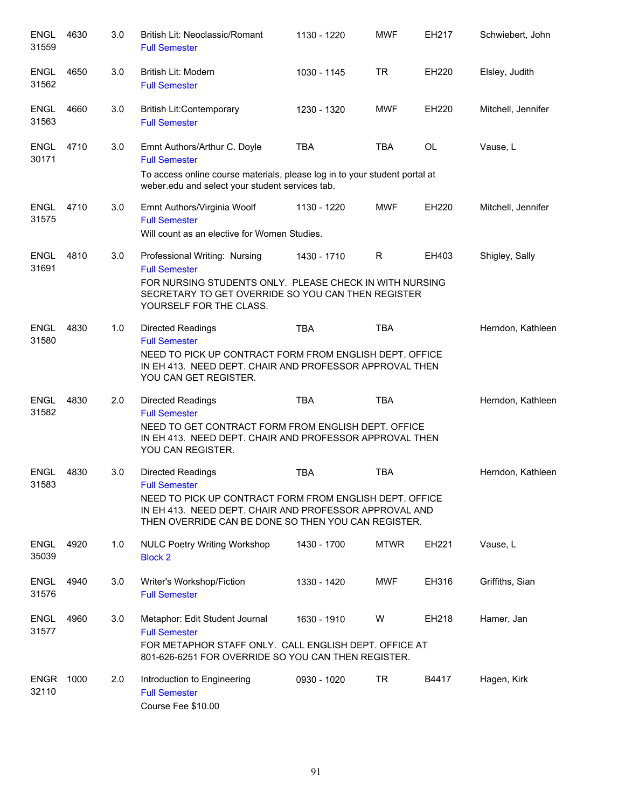| <b>ENGL</b><br>31559 | 4630 | 3.0 | British Lit: Neoclassic/Romant<br><b>Full Semester</b>                                                                                                                                                                       | 1130 - 1220 | <b>MWF</b>  | EH217     | Schwiebert, John   |
|----------------------|------|-----|------------------------------------------------------------------------------------------------------------------------------------------------------------------------------------------------------------------------------|-------------|-------------|-----------|--------------------|
| <b>ENGL</b><br>31562 | 4650 | 3.0 | British Lit: Modern<br><b>Full Semester</b>                                                                                                                                                                                  | 1030 - 1145 | <b>TR</b>   | EH220     | Elsley, Judith     |
| <b>ENGL</b><br>31563 | 4660 | 3.0 | <b>British Lit:Contemporary</b><br><b>Full Semester</b>                                                                                                                                                                      | 1230 - 1320 | <b>MWF</b>  | EH220     | Mitchell, Jennifer |
| <b>ENGL</b><br>30171 | 4710 | 3.0 | Emnt Authors/Arthur C. Doyle<br><b>Full Semester</b>                                                                                                                                                                         | <b>TBA</b>  | TBA         | <b>OL</b> | Vause, L           |
|                      |      |     | To access online course materials, please log in to your student portal at<br>weber.edu and select your student services tab.                                                                                                |             |             |           |                    |
| <b>ENGL</b><br>31575 | 4710 | 3.0 | Emnt Authors/Virginia Woolf<br><b>Full Semester</b><br>Will count as an elective for Women Studies.                                                                                                                          | 1130 - 1220 | <b>MWF</b>  | EH220     | Mitchell, Jennifer |
| <b>ENGL</b><br>31691 | 4810 | 3.0 | Professional Writing: Nursing<br><b>Full Semester</b><br>FOR NURSING STUDENTS ONLY. PLEASE CHECK IN WITH NURSING<br>SECRETARY TO GET OVERRIDE SO YOU CAN THEN REGISTER<br>YOURSELF FOR THE CLASS.                            | 1430 - 1710 | R           | EH403     | Shigley, Sally     |
| <b>ENGL</b><br>31580 | 4830 | 1.0 | <b>Directed Readings</b><br><b>Full Semester</b><br>NEED TO PICK UP CONTRACT FORM FROM ENGLISH DEPT. OFFICE<br>IN EH 413. NEED DEPT. CHAIR AND PROFESSOR APPROVAL THEN<br>YOU CAN GET REGISTER.                              | <b>TBA</b>  | <b>TBA</b>  |           | Herndon, Kathleen  |
| <b>ENGL</b><br>31582 | 4830 | 2.0 | <b>Directed Readings</b><br><b>Full Semester</b><br>NEED TO GET CONTRACT FORM FROM ENGLISH DEPT. OFFICE<br>IN EH 413. NEED DEPT. CHAIR AND PROFESSOR APPROVAL THEN<br>YOU CAN REGISTER.                                      | <b>TBA</b>  | <b>TBA</b>  |           | Herndon, Kathleen  |
| <b>ENGL</b><br>31583 | 4830 | 3.0 | <b>Directed Readings</b><br><b>Full Semester</b><br>NEED TO PICK UP CONTRACT FORM FROM ENGLISH DEPT. OFFICE<br>IN EH 413. NEED DEPT. CHAIR AND PROFESSOR APPROVAL AND<br>THEN OVERRIDE CAN BE DONE SO THEN YOU CAN REGISTER. | <b>TBA</b>  | <b>TBA</b>  |           | Herndon, Kathleen  |
| <b>ENGL</b><br>35039 | 4920 | 1.0 | <b>NULC Poetry Writing Workshop</b><br><b>Block 2</b>                                                                                                                                                                        | 1430 - 1700 | <b>MTWR</b> | EH221     | Vause, L           |
| <b>ENGL</b><br>31576 | 4940 | 3.0 | Writer's Workshop/Fiction<br><b>Full Semester</b>                                                                                                                                                                            | 1330 - 1420 | <b>MWF</b>  | EH316     | Griffiths, Sian    |
| <b>ENGL</b><br>31577 | 4960 | 3.0 | Metaphor: Edit Student Journal<br><b>Full Semester</b><br>FOR METAPHOR STAFF ONLY. CALL ENGLISH DEPT. OFFICE AT<br>801-626-6251 FOR OVERRIDE SO YOU CAN THEN REGISTER.                                                       | 1630 - 1910 | W           | EH218     | Hamer, Jan         |
| <b>ENGR</b><br>32110 | 1000 | 2.0 | Introduction to Engineering<br><b>Full Semester</b><br>Course Fee \$10.00                                                                                                                                                    | 0930 - 1020 | <b>TR</b>   | B4417     | Hagen, Kirk        |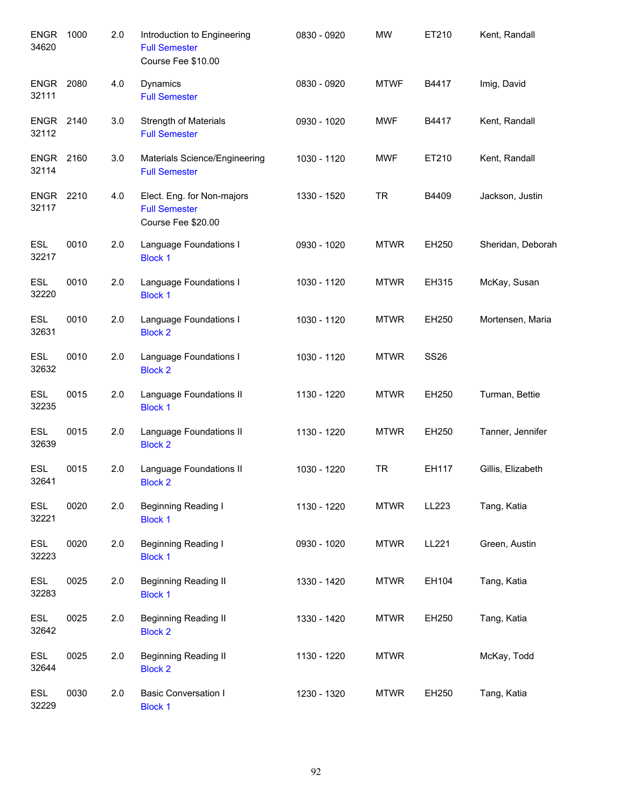| <b>ENGR</b><br>34620      | 1000 | 2.0 | Introduction to Engineering<br><b>Full Semester</b><br>Course Fee \$10.00 | 0830 - 0920 | <b>MW</b>   | ET210       | Kent, Randall     |
|---------------------------|------|-----|---------------------------------------------------------------------------|-------------|-------------|-------------|-------------------|
| <b>ENGR</b><br>32111      | 2080 | 4.0 | Dynamics<br><b>Full Semester</b>                                          | 0830 - 0920 | <b>MTWF</b> | B4417       | Imig, David       |
| <b>ENGR 2140</b><br>32112 |      | 3.0 | <b>Strength of Materials</b><br><b>Full Semester</b>                      | 0930 - 1020 | MWF         | B4417       | Kent, Randall     |
| <b>ENGR 2160</b><br>32114 |      | 3.0 | Materials Science/Engineering<br><b>Full Semester</b>                     | 1030 - 1120 | <b>MWF</b>  | ET210       | Kent, Randall     |
| <b>ENGR 2210</b><br>32117 |      | 4.0 | Elect. Eng. for Non-majors<br><b>Full Semester</b><br>Course Fee \$20.00  | 1330 - 1520 | <b>TR</b>   | B4409       | Jackson, Justin   |
| <b>ESL</b><br>32217       | 0010 | 2.0 | Language Foundations I<br><b>Block 1</b>                                  | 0930 - 1020 | <b>MTWR</b> | EH250       | Sheridan, Deborah |
| ESL<br>32220              | 0010 | 2.0 | Language Foundations I<br><b>Block 1</b>                                  | 1030 - 1120 | <b>MTWR</b> | EH315       | McKay, Susan      |
| ESL<br>32631              | 0010 | 2.0 | Language Foundations I<br><b>Block 2</b>                                  | 1030 - 1120 | <b>MTWR</b> | EH250       | Mortensen, Maria  |
| <b>ESL</b><br>32632       | 0010 | 2.0 | Language Foundations I<br><b>Block 2</b>                                  | 1030 - 1120 | <b>MTWR</b> | <b>SS26</b> |                   |
| ESL<br>32235              | 0015 | 2.0 | Language Foundations II<br><b>Block 1</b>                                 | 1130 - 1220 | MTWR        | EH250       | Turman, Bettie    |
| ESL<br>32639              | 0015 | 2.0 | Language Foundations II<br><b>Block 2</b>                                 | 1130 - 1220 | <b>MTWR</b> | EH250       | Tanner, Jennifer  |
| <b>ESL</b><br>32641       | 0015 | 2.0 | Language Foundations II<br><b>Block 2</b>                                 | 1030 - 1220 | <b>TR</b>   | EH117       | Gillis, Elizabeth |
| ESL<br>32221              | 0020 | 2.0 | Beginning Reading I<br><b>Block 1</b>                                     | 1130 - 1220 | <b>MTWR</b> | LL223       | Tang, Katia       |
| <b>ESL</b><br>32223       | 0020 | 2.0 | Beginning Reading I<br><b>Block 1</b>                                     | 0930 - 1020 | <b>MTWR</b> | LL221       | Green, Austin     |
| ESL<br>32283              | 0025 | 2.0 | <b>Beginning Reading II</b><br><b>Block 1</b>                             | 1330 - 1420 | <b>MTWR</b> | EH104       | Tang, Katia       |
| ESL<br>32642              | 0025 | 2.0 | <b>Beginning Reading II</b><br><b>Block 2</b>                             | 1330 - 1420 | <b>MTWR</b> | EH250       | Tang, Katia       |
| <b>ESL</b><br>32644       | 0025 | 2.0 | <b>Beginning Reading II</b><br><b>Block 2</b>                             | 1130 - 1220 | <b>MTWR</b> |             | McKay, Todd       |
| ESL<br>32229              | 0030 | 2.0 | <b>Basic Conversation I</b><br><b>Block 1</b>                             | 1230 - 1320 | <b>MTWR</b> | EH250       | Tang, Katia       |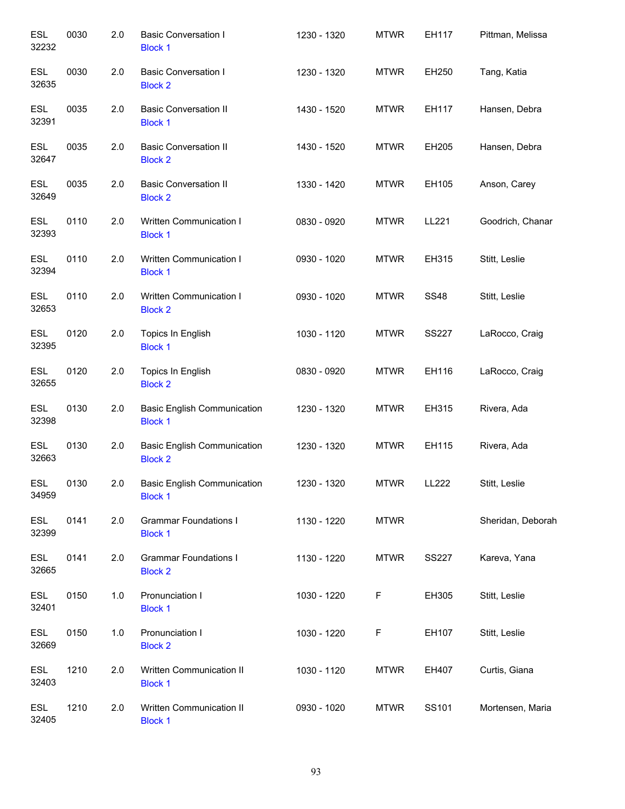| <b>ESL</b><br>32232 | 0030 | 2.0 | <b>Basic Conversation I</b><br><b>Block 1</b>        | 1230 - 1320 | <b>MTWR</b> | EH117        | Pittman, Melissa  |
|---------------------|------|-----|------------------------------------------------------|-------------|-------------|--------------|-------------------|
| <b>ESL</b><br>32635 | 0030 | 2.0 | <b>Basic Conversation I</b><br><b>Block 2</b>        | 1230 - 1320 | <b>MTWR</b> | EH250        | Tang, Katia       |
| <b>ESL</b><br>32391 | 0035 | 2.0 | <b>Basic Conversation II</b><br><b>Block 1</b>       | 1430 - 1520 | <b>MTWR</b> | EH117        | Hansen, Debra     |
| ESL<br>32647        | 0035 | 2.0 | <b>Basic Conversation II</b><br><b>Block 2</b>       | 1430 - 1520 | <b>MTWR</b> | EH205        | Hansen, Debra     |
| ESL<br>32649        | 0035 | 2.0 | <b>Basic Conversation II</b><br><b>Block 2</b>       | 1330 - 1420 | <b>MTWR</b> | EH105        | Anson, Carey      |
| ESL<br>32393        | 0110 | 2.0 | Written Communication I<br><b>Block 1</b>            | 0830 - 0920 | <b>MTWR</b> | LL221        | Goodrich, Chanar  |
| ESL<br>32394        | 0110 | 2.0 | Written Communication I<br><b>Block 1</b>            | 0930 - 1020 | <b>MTWR</b> | EH315        | Stitt, Leslie     |
| ESL<br>32653        | 0110 | 2.0 | Written Communication I<br><b>Block 2</b>            | 0930 - 1020 | MTWR        | <b>SS48</b>  | Stitt, Leslie     |
| ESL<br>32395        | 0120 | 2.0 | Topics In English<br><b>Block 1</b>                  | 1030 - 1120 | <b>MTWR</b> | <b>SS227</b> | LaRocco, Craig    |
| <b>ESL</b><br>32655 | 0120 | 2.0 | Topics In English<br><b>Block 2</b>                  | 0830 - 0920 | <b>MTWR</b> | EH116        | LaRocco, Craig    |
| <b>ESL</b><br>32398 | 0130 | 2.0 | <b>Basic English Communication</b><br><b>Block 1</b> | 1230 - 1320 | <b>MTWR</b> | EH315        | Rivera, Ada       |
| <b>ESL</b><br>32663 | 0130 | 2.0 | <b>Basic English Communication</b><br><b>Block 2</b> | 1230 - 1320 | <b>MTWR</b> | EH115        | Rivera, Ada       |
| <b>ESL</b><br>34959 | 0130 | 2.0 | <b>Basic English Communication</b><br><b>Block 1</b> | 1230 - 1320 | <b>MTWR</b> | <b>LL222</b> | Stitt, Leslie     |
| <b>ESL</b><br>32399 | 0141 | 2.0 | <b>Grammar Foundations I</b><br><b>Block 1</b>       | 1130 - 1220 | <b>MTWR</b> |              | Sheridan, Deborah |
| <b>ESL</b><br>32665 | 0141 | 2.0 | <b>Grammar Foundations I</b><br><b>Block 2</b>       | 1130 - 1220 | <b>MTWR</b> | <b>SS227</b> | Kareva, Yana      |
| <b>ESL</b><br>32401 | 0150 | 1.0 | Pronunciation I<br><b>Block 1</b>                    | 1030 - 1220 | F           | EH305        | Stitt, Leslie     |
| ESL<br>32669        | 0150 | 1.0 | Pronunciation I<br><b>Block 2</b>                    | 1030 - 1220 | F           | EH107        | Stitt, Leslie     |
| ESL<br>32403        | 1210 | 2.0 | Written Communication II<br><b>Block 1</b>           | 1030 - 1120 | <b>MTWR</b> | EH407        | Curtis, Giana     |
| <b>ESL</b><br>32405 | 1210 | 2.0 | Written Communication II<br><b>Block 1</b>           | 0930 - 1020 | <b>MTWR</b> | SS101        | Mortensen, Maria  |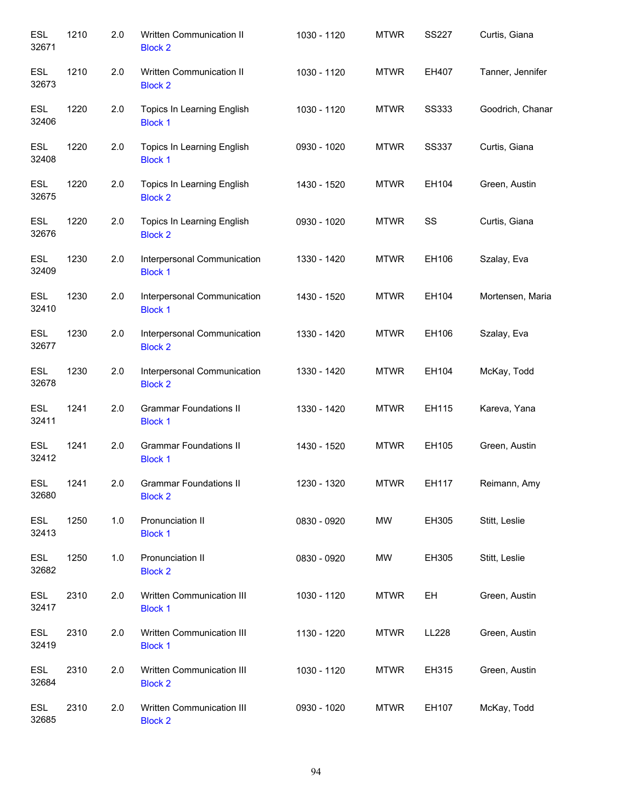| <b>ESL</b><br>32671 | 1210 | 2.0 | Written Communication II<br><b>Block 2</b>      | 1030 - 1120 | <b>MTWR</b> | <b>SS227</b> | Curtis, Giana    |
|---------------------|------|-----|-------------------------------------------------|-------------|-------------|--------------|------------------|
| <b>ESL</b><br>32673 | 1210 | 2.0 | Written Communication II<br><b>Block 2</b>      | 1030 - 1120 | <b>MTWR</b> | EH407        | Tanner, Jennifer |
| <b>ESL</b><br>32406 | 1220 | 2.0 | Topics In Learning English<br><b>Block 1</b>    | 1030 - 1120 | <b>MTWR</b> | <b>SS333</b> | Goodrich, Chanar |
| <b>ESL</b><br>32408 | 1220 | 2.0 | Topics In Learning English<br><b>Block 1</b>    | 0930 - 1020 | <b>MTWR</b> | <b>SS337</b> | Curtis, Giana    |
| <b>ESL</b><br>32675 | 1220 | 2.0 | Topics In Learning English<br><b>Block 2</b>    | 1430 - 1520 | <b>MTWR</b> | EH104        | Green, Austin    |
| <b>ESL</b><br>32676 | 1220 | 2.0 | Topics In Learning English<br><b>Block 2</b>    | 0930 - 1020 | <b>MTWR</b> | SS           | Curtis, Giana    |
| <b>ESL</b><br>32409 | 1230 | 2.0 | Interpersonal Communication<br><b>Block 1</b>   | 1330 - 1420 | <b>MTWR</b> | EH106        | Szalay, Eva      |
| <b>ESL</b><br>32410 | 1230 | 2.0 | Interpersonal Communication<br><b>Block 1</b>   | 1430 - 1520 | <b>MTWR</b> | EH104        | Mortensen, Maria |
| <b>ESL</b><br>32677 | 1230 | 2.0 | Interpersonal Communication<br><b>Block 2</b>   | 1330 - 1420 | <b>MTWR</b> | EH106        | Szalay, Eva      |
| <b>ESL</b><br>32678 | 1230 | 2.0 | Interpersonal Communication<br><b>Block 2</b>   | 1330 - 1420 | <b>MTWR</b> | EH104        | McKay, Todd      |
| <b>ESL</b><br>32411 | 1241 | 2.0 | <b>Grammar Foundations II</b><br><b>Block 1</b> | 1330 - 1420 | <b>MTWR</b> | EH115        | Kareva, Yana     |
| <b>ESL</b><br>32412 | 1241 | 2.0 | <b>Grammar Foundations II</b><br><b>Block 1</b> | 1430 - 1520 | <b>MTWR</b> | EH105        | Green, Austin    |
| <b>ESL</b><br>32680 | 1241 | 2.0 | <b>Grammar Foundations II</b><br><b>Block 2</b> | 1230 - 1320 | <b>MTWR</b> | EH117        | Reimann, Amy     |
| <b>ESL</b><br>32413 | 1250 | 1.0 | Pronunciation II<br><b>Block 1</b>              | 0830 - 0920 | MW          | EH305        | Stitt, Leslie    |
| <b>ESL</b><br>32682 | 1250 | 1.0 | Pronunciation II<br><b>Block 2</b>              | 0830 - 0920 | MW          | EH305        | Stitt, Leslie    |
| <b>ESL</b><br>32417 | 2310 | 2.0 | Written Communication III<br><b>Block 1</b>     | 1030 - 1120 | <b>MTWR</b> | EH           | Green, Austin    |
| <b>ESL</b><br>32419 | 2310 | 2.0 | Written Communication III<br><b>Block 1</b>     | 1130 - 1220 | <b>MTWR</b> | LL228        | Green, Austin    |
| <b>ESL</b><br>32684 | 2310 | 2.0 | Written Communication III<br><b>Block 2</b>     | 1030 - 1120 | <b>MTWR</b> | EH315        | Green, Austin    |
| <b>ESL</b><br>32685 | 2310 | 2.0 | Written Communication III<br><b>Block 2</b>     | 0930 - 1020 | <b>MTWR</b> | EH107        | McKay, Todd      |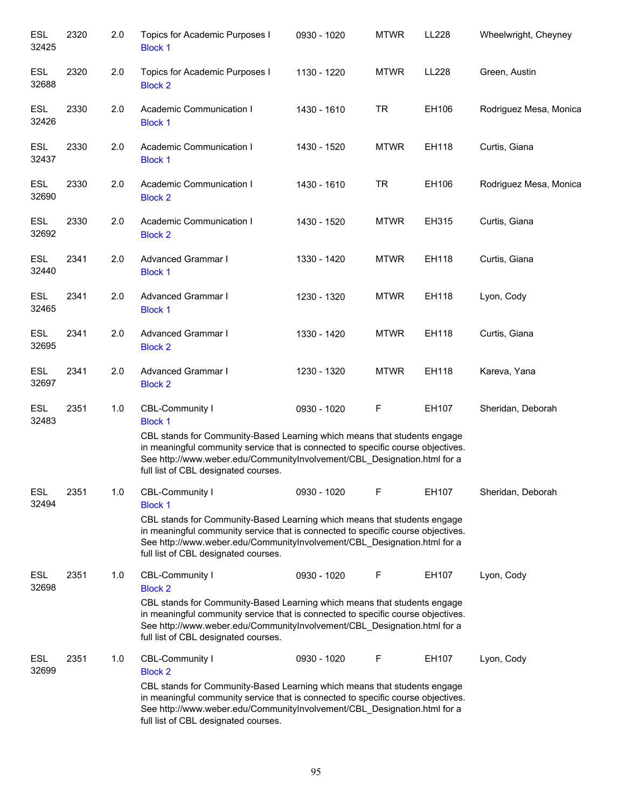| <b>ESL</b><br>32425 | 2320 | 2.0 | Topics for Academic Purposes I<br><b>Block 1</b>                                                                                                                                                                                                                                                                      | 0930 - 1020 | <b>MTWR</b> | LL228 | Wheelwright, Cheyney   |
|---------------------|------|-----|-----------------------------------------------------------------------------------------------------------------------------------------------------------------------------------------------------------------------------------------------------------------------------------------------------------------------|-------------|-------------|-------|------------------------|
| <b>ESL</b><br>32688 | 2320 | 2.0 | Topics for Academic Purposes I<br><b>Block 2</b>                                                                                                                                                                                                                                                                      | 1130 - 1220 | <b>MTWR</b> | LL228 | Green, Austin          |
| <b>ESL</b><br>32426 | 2330 | 2.0 | Academic Communication I<br><b>Block 1</b>                                                                                                                                                                                                                                                                            | 1430 - 1610 | <b>TR</b>   | EH106 | Rodriguez Mesa, Monica |
| <b>ESL</b><br>32437 | 2330 | 2.0 | Academic Communication I<br><b>Block 1</b>                                                                                                                                                                                                                                                                            | 1430 - 1520 | <b>MTWR</b> | EH118 | Curtis, Giana          |
| <b>ESL</b><br>32690 | 2330 | 2.0 | Academic Communication I<br><b>Block 2</b>                                                                                                                                                                                                                                                                            | 1430 - 1610 | <b>TR</b>   | EH106 | Rodriguez Mesa, Monica |
| <b>ESL</b><br>32692 | 2330 | 2.0 | Academic Communication I<br><b>Block 2</b>                                                                                                                                                                                                                                                                            | 1430 - 1520 | <b>MTWR</b> | EH315 | Curtis, Giana          |
| <b>ESL</b><br>32440 | 2341 | 2.0 | Advanced Grammar I<br><b>Block 1</b>                                                                                                                                                                                                                                                                                  | 1330 - 1420 | <b>MTWR</b> | EH118 | Curtis, Giana          |
| <b>ESL</b><br>32465 | 2341 | 2.0 | Advanced Grammar I<br><b>Block 1</b>                                                                                                                                                                                                                                                                                  | 1230 - 1320 | <b>MTWR</b> | EH118 | Lyon, Cody             |
| <b>ESL</b><br>32695 | 2341 | 2.0 | Advanced Grammar I<br><b>Block 2</b>                                                                                                                                                                                                                                                                                  | 1330 - 1420 | <b>MTWR</b> | EH118 | Curtis, Giana          |
| <b>ESL</b><br>32697 | 2341 | 2.0 | <b>Advanced Grammar I</b><br><b>Block 2</b>                                                                                                                                                                                                                                                                           | 1230 - 1320 | <b>MTWR</b> | EH118 | Kareva, Yana           |
| <b>ESL</b><br>32483 | 2351 | 1.0 | CBL-Community I<br><b>Block 1</b><br>CBL stands for Community-Based Learning which means that students engage<br>in meaningful community service that is connected to specific course objectives.<br>See http://www.weber.edu/CommunityInvolvement/CBL_Designation.html for a<br>full list of CBL designated courses. | 0930 - 1020 | F           | EH107 | Sheridan, Deborah      |
| <b>ESL</b><br>32494 | 2351 | 1.0 | CBL-Community I<br><b>Block 1</b><br>CBL stands for Community-Based Learning which means that students engage<br>in meaningful community service that is connected to specific course objectives.<br>See http://www.weber.edu/CommunityInvolvement/CBL_Designation.html for a<br>full list of CBL designated courses. | 0930 - 1020 | F           | EH107 | Sheridan, Deborah      |
| <b>ESL</b><br>32698 | 2351 | 1.0 | CBL-Community I<br><b>Block 2</b><br>CBL stands for Community-Based Learning which means that students engage<br>in meaningful community service that is connected to specific course objectives.<br>See http://www.weber.edu/CommunityInvolvement/CBL_Designation.html for a<br>full list of CBL designated courses. | 0930 - 1020 | F           | EH107 | Lyon, Cody             |
| ESL<br>32699        | 2351 | 1.0 | CBL-Community I<br><b>Block 2</b><br>CBL stands for Community-Based Learning which means that students engage<br>in meaningful community service that is connected to specific course objectives.<br>See http://www.weber.edu/CommunityInvolvement/CBL_Designation.html for a<br>full list of CBL designated courses. | 0930 - 1020 | F           | EH107 | Lyon, Cody             |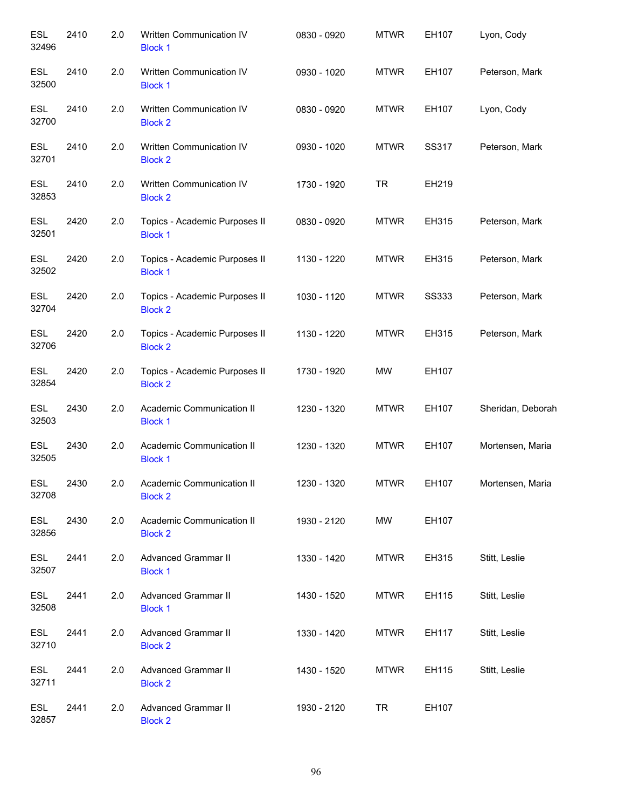| <b>ESL</b><br>32496 | 2410 | 2.0 | Written Communication IV<br><b>Block 1</b>      | 0830 - 0920 | <b>MTWR</b> | EH107        | Lyon, Cody        |
|---------------------|------|-----|-------------------------------------------------|-------------|-------------|--------------|-------------------|
| <b>ESL</b><br>32500 | 2410 | 2.0 | Written Communication IV<br><b>Block 1</b>      | 0930 - 1020 | <b>MTWR</b> | EH107        | Peterson, Mark    |
| <b>ESL</b><br>32700 | 2410 | 2.0 | Written Communication IV<br><b>Block 2</b>      | 0830 - 0920 | <b>MTWR</b> | EH107        | Lyon, Cody        |
| ESL<br>32701        | 2410 | 2.0 | Written Communication IV<br><b>Block 2</b>      | 0930 - 1020 | <b>MTWR</b> | SS317        | Peterson, Mark    |
| <b>ESL</b><br>32853 | 2410 | 2.0 | Written Communication IV<br><b>Block 2</b>      | 1730 - 1920 | <b>TR</b>   | EH219        |                   |
| <b>ESL</b><br>32501 | 2420 | 2.0 | Topics - Academic Purposes II<br><b>Block 1</b> | 0830 - 0920 | <b>MTWR</b> | EH315        | Peterson, Mark    |
| <b>ESL</b><br>32502 | 2420 | 2.0 | Topics - Academic Purposes II<br><b>Block 1</b> | 1130 - 1220 | <b>MTWR</b> | EH315        | Peterson, Mark    |
| <b>ESL</b><br>32704 | 2420 | 2.0 | Topics - Academic Purposes II<br><b>Block 2</b> | 1030 - 1120 | <b>MTWR</b> | <b>SS333</b> | Peterson, Mark    |
| <b>ESL</b><br>32706 | 2420 | 2.0 | Topics - Academic Purposes II<br><b>Block 2</b> | 1130 - 1220 | <b>MTWR</b> | EH315        | Peterson, Mark    |
| <b>ESL</b><br>32854 | 2420 | 2.0 | Topics - Academic Purposes II<br><b>Block 2</b> | 1730 - 1920 | MW          | EH107        |                   |
| <b>ESL</b><br>32503 | 2430 | 2.0 | Academic Communication II<br><b>Block 1</b>     | 1230 - 1320 | <b>MTWR</b> | EH107        | Sheridan, Deborah |
| <b>ESL</b><br>32505 | 2430 | 2.0 | Academic Communication II<br><b>Block 1</b>     | 1230 - 1320 | <b>MTWR</b> | EH107        | Mortensen, Maria  |
| <b>ESL</b><br>32708 | 2430 | 2.0 | Academic Communication II<br><b>Block 2</b>     | 1230 - 1320 | <b>MTWR</b> | EH107        | Mortensen, Maria  |
| <b>ESL</b><br>32856 | 2430 | 2.0 | Academic Communication II<br><b>Block 2</b>     | 1930 - 2120 | MW          | EH107        |                   |
| <b>ESL</b><br>32507 | 2441 | 2.0 | Advanced Grammar II<br><b>Block 1</b>           | 1330 - 1420 | <b>MTWR</b> | EH315        | Stitt, Leslie     |
| <b>ESL</b><br>32508 | 2441 | 2.0 | Advanced Grammar II<br><b>Block 1</b>           | 1430 - 1520 | <b>MTWR</b> | EH115        | Stitt, Leslie     |
| <b>ESL</b><br>32710 | 2441 | 2.0 | Advanced Grammar II<br><b>Block 2</b>           | 1330 - 1420 | <b>MTWR</b> | EH117        | Stitt, Leslie     |
| <b>ESL</b><br>32711 | 2441 | 2.0 | Advanced Grammar II<br><b>Block 2</b>           | 1430 - 1520 | <b>MTWR</b> | EH115        | Stitt, Leslie     |
| <b>ESL</b><br>32857 | 2441 | 2.0 | <b>Advanced Grammar II</b><br><b>Block 2</b>    | 1930 - 2120 | <b>TR</b>   | EH107        |                   |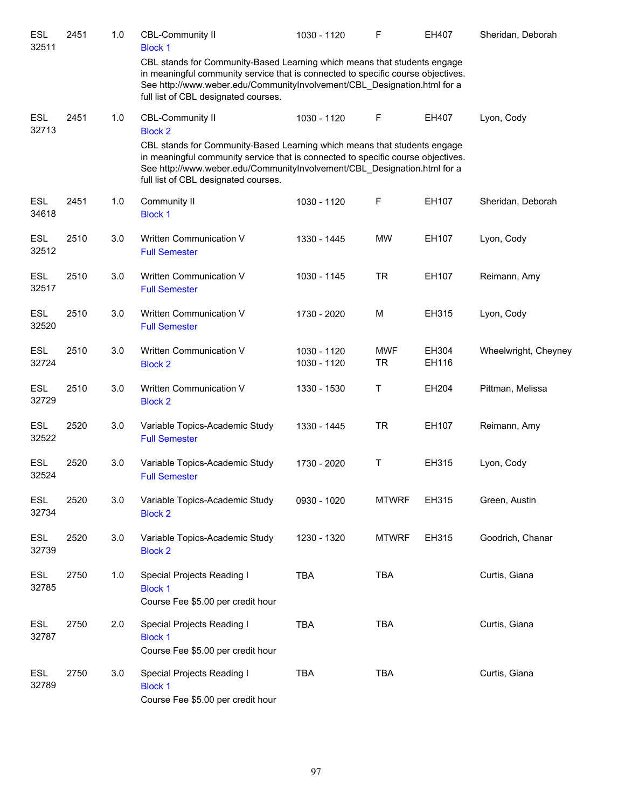| <b>ESL</b><br>32511 | 2451 | 1.0 | <b>CBL-Community II</b><br><b>Block 1</b>                                                                                                                                                                                                                                        | 1030 - 1120                | F                | EH407          | Sheridan, Deborah    |
|---------------------|------|-----|----------------------------------------------------------------------------------------------------------------------------------------------------------------------------------------------------------------------------------------------------------------------------------|----------------------------|------------------|----------------|----------------------|
|                     |      |     | CBL stands for Community-Based Learning which means that students engage<br>in meaningful community service that is connected to specific course objectives.<br>See http://www.weber.edu/CommunityInvolvement/CBL_Designation.html for a<br>full list of CBL designated courses. |                            |                  |                |                      |
| <b>ESL</b><br>32713 | 2451 | 1.0 | CBL-Community II<br><b>Block 2</b>                                                                                                                                                                                                                                               | 1030 - 1120                | F                | EH407          | Lyon, Cody           |
|                     |      |     | CBL stands for Community-Based Learning which means that students engage<br>in meaningful community service that is connected to specific course objectives.<br>See http://www.weber.edu/CommunityInvolvement/CBL_Designation.html for a<br>full list of CBL designated courses. |                            |                  |                |                      |
| ESL<br>34618        | 2451 | 1.0 | Community II<br><b>Block 1</b>                                                                                                                                                                                                                                                   | 1030 - 1120                | F                | EH107          | Sheridan, Deborah    |
| <b>ESL</b><br>32512 | 2510 | 3.0 | <b>Written Communication V</b><br><b>Full Semester</b>                                                                                                                                                                                                                           | 1330 - 1445                | <b>MW</b>        | EH107          | Lyon, Cody           |
| <b>ESL</b><br>32517 | 2510 | 3.0 | Written Communication V<br><b>Full Semester</b>                                                                                                                                                                                                                                  | 1030 - 1145                | <b>TR</b>        | EH107          | Reimann, Amy         |
| <b>ESL</b><br>32520 | 2510 | 3.0 | Written Communication V<br><b>Full Semester</b>                                                                                                                                                                                                                                  | 1730 - 2020                | M                | EH315          | Lyon, Cody           |
| <b>ESL</b><br>32724 | 2510 | 3.0 | Written Communication V<br><b>Block 2</b>                                                                                                                                                                                                                                        | 1030 - 1120<br>1030 - 1120 | <b>MWF</b><br>TR | EH304<br>EH116 | Wheelwright, Cheyney |
| <b>ESL</b><br>32729 | 2510 | 3.0 | Written Communication V<br><b>Block 2</b>                                                                                                                                                                                                                                        | 1330 - 1530                | Τ                | EH204          | Pittman, Melissa     |
| ESL<br>32522        | 2520 | 3.0 | Variable Topics-Academic Study<br><b>Full Semester</b>                                                                                                                                                                                                                           | 1330 - 1445                | <b>TR</b>        | EH107          | Reimann, Amy         |
| <b>ESL</b><br>32524 | 2520 | 3.0 | Variable Topics-Academic Study<br><b>Full Semester</b>                                                                                                                                                                                                                           | 1730 - 2020                | Τ                | EH315          | Lyon, Cody           |
| ESL<br>32734        | 2520 | 3.0 | Variable Topics-Academic Study<br><b>Block 2</b>                                                                                                                                                                                                                                 | 0930 - 1020                | <b>MTWRF</b>     | EH315          | Green, Austin        |
| ESL<br>32739        | 2520 | 3.0 | Variable Topics-Academic Study<br><b>Block 2</b>                                                                                                                                                                                                                                 | 1230 - 1320                | <b>MTWRF</b>     | EH315          | Goodrich, Chanar     |
| ESL<br>32785        | 2750 | 1.0 | Special Projects Reading I<br><b>Block 1</b><br>Course Fee \$5.00 per credit hour                                                                                                                                                                                                | <b>TBA</b>                 | <b>TBA</b>       |                | Curtis, Giana        |
| ESL<br>32787        | 2750 | 2.0 | Special Projects Reading I<br><b>Block 1</b><br>Course Fee \$5.00 per credit hour                                                                                                                                                                                                | <b>TBA</b>                 | <b>TBA</b>       |                | Curtis, Giana        |
| ESL<br>32789        | 2750 | 3.0 | Special Projects Reading I<br><b>Block 1</b><br>Course Fee \$5.00 per credit hour                                                                                                                                                                                                | <b>TBA</b>                 | <b>TBA</b>       |                | Curtis, Giana        |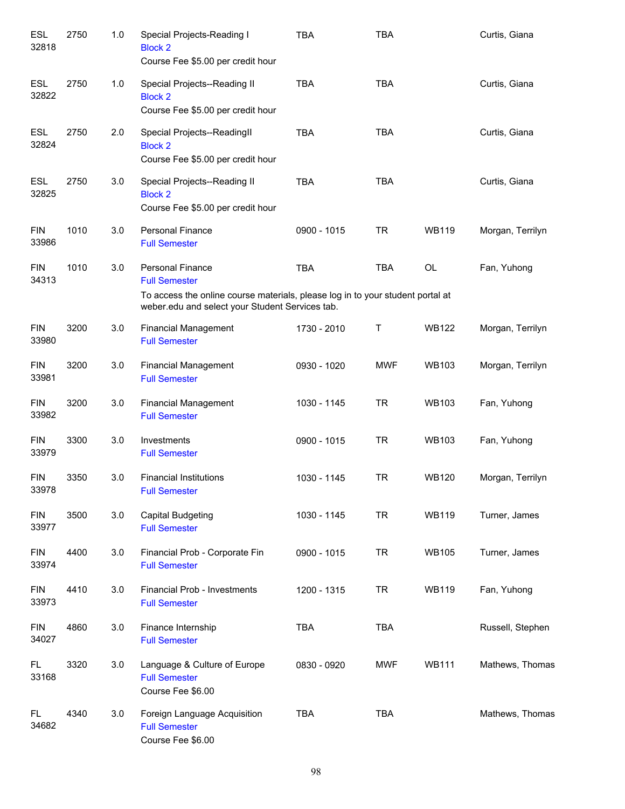| <b>ESL</b><br>32818 | 2750 | 1.0 | Special Projects-Reading I<br><b>Block 2</b><br>Course Fee \$5.00 per credit hour                                                 | <b>TBA</b>  | <b>TBA</b> |              | Curtis, Giana    |
|---------------------|------|-----|-----------------------------------------------------------------------------------------------------------------------------------|-------------|------------|--------------|------------------|
| ESL<br>32822        | 2750 | 1.0 | Special Projects--Reading II<br><b>Block 2</b><br>Course Fee \$5.00 per credit hour                                               | <b>TBA</b>  | <b>TBA</b> |              | Curtis, Giana    |
| <b>ESL</b><br>32824 | 2750 | 2.0 | Special Projects--ReadingII<br><b>Block 2</b><br>Course Fee \$5.00 per credit hour                                                | <b>TBA</b>  | <b>TBA</b> |              | Curtis, Giana    |
| <b>ESL</b><br>32825 | 2750 | 3.0 | Special Projects--Reading II<br><b>Block 2</b><br>Course Fee \$5.00 per credit hour                                               | <b>TBA</b>  | <b>TBA</b> |              | Curtis, Giana    |
| <b>FIN</b><br>33986 | 1010 | 3.0 | <b>Personal Finance</b><br><b>Full Semester</b>                                                                                   | 0900 - 1015 | <b>TR</b>  | <b>WB119</b> | Morgan, Terrilyn |
| <b>FIN</b><br>34313 | 1010 | 3.0 | <b>Personal Finance</b><br><b>Full Semester</b><br>To access the online course materials, please log in to your student portal at | <b>TBA</b>  | <b>TBA</b> | OL           | Fan, Yuhong      |
|                     |      |     | weber.edu and select your Student Services tab.                                                                                   |             |            |              |                  |
| <b>FIN</b><br>33980 | 3200 | 3.0 | <b>Financial Management</b><br><b>Full Semester</b>                                                                               | 1730 - 2010 | Τ          | <b>WB122</b> | Morgan, Terrilyn |
| <b>FIN</b><br>33981 | 3200 | 3.0 | <b>Financial Management</b><br><b>Full Semester</b>                                                                               | 0930 - 1020 | <b>MWF</b> | <b>WB103</b> | Morgan, Terrilyn |
| <b>FIN</b><br>33982 | 3200 | 3.0 | <b>Financial Management</b><br><b>Full Semester</b>                                                                               | 1030 - 1145 | <b>TR</b>  | <b>WB103</b> | Fan, Yuhong      |
| <b>FIN</b><br>33979 | 3300 | 3.0 | Investments<br><b>Full Semester</b>                                                                                               | 0900 - 1015 | <b>TR</b>  | <b>WB103</b> | Fan, Yuhong      |
| <b>FIN</b><br>33978 | 3350 | 3.0 | <b>Financial Institutions</b><br><b>Full Semester</b>                                                                             | 1030 - 1145 | <b>TR</b>  | <b>WB120</b> | Morgan, Terrilyn |
| <b>FIN</b><br>33977 | 3500 | 3.0 | <b>Capital Budgeting</b><br><b>Full Semester</b>                                                                                  | 1030 - 1145 | <b>TR</b>  | <b>WB119</b> | Turner, James    |
| <b>FIN</b><br>33974 | 4400 | 3.0 | Financial Prob - Corporate Fin<br><b>Full Semester</b>                                                                            | 0900 - 1015 | <b>TR</b>  | <b>WB105</b> | Turner, James    |
| <b>FIN</b><br>33973 | 4410 | 3.0 | Financial Prob - Investments<br><b>Full Semester</b>                                                                              | 1200 - 1315 | <b>TR</b>  | <b>WB119</b> | Fan, Yuhong      |
| <b>FIN</b><br>34027 | 4860 | 3.0 | Finance Internship<br><b>Full Semester</b>                                                                                        | <b>TBA</b>  | <b>TBA</b> |              | Russell, Stephen |
| FL.<br>33168        | 3320 | 3.0 | Language & Culture of Europe<br><b>Full Semester</b><br>Course Fee \$6.00                                                         | 0830 - 0920 | <b>MWF</b> | <b>WB111</b> | Mathews, Thomas  |
| FL.<br>34682        | 4340 | 3.0 | Foreign Language Acquisition<br><b>Full Semester</b><br>Course Fee \$6.00                                                         | <b>TBA</b>  | <b>TBA</b> |              | Mathews, Thomas  |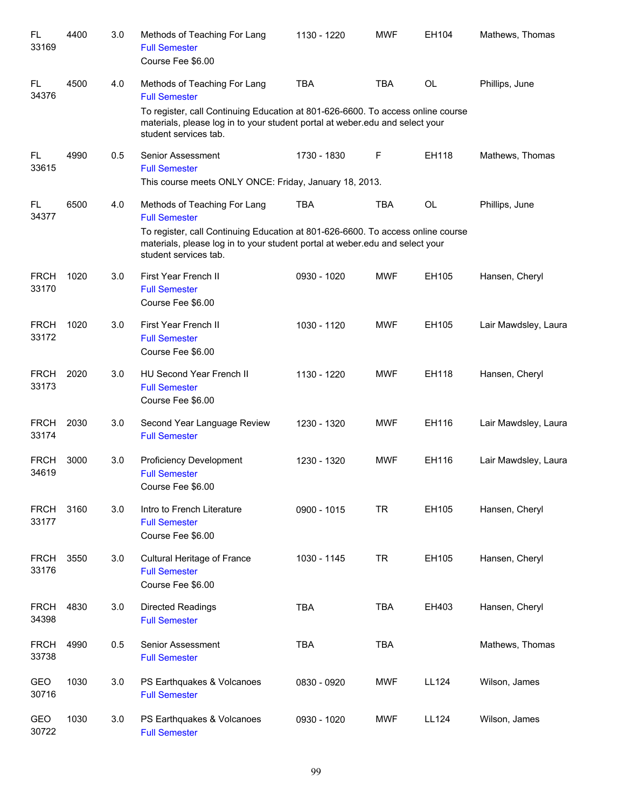| <b>FL</b><br>33169   | 4400 | 3.0 | Methods of Teaching For Lang<br><b>Full Semester</b><br>Course Fee \$6.00                                                                                                                | 1130 - 1220 | <b>MWF</b> | EH104        | Mathews, Thomas      |
|----------------------|------|-----|------------------------------------------------------------------------------------------------------------------------------------------------------------------------------------------|-------------|------------|--------------|----------------------|
| FL.<br>34376         | 4500 | 4.0 | Methods of Teaching For Lang<br><b>Full Semester</b>                                                                                                                                     | <b>TBA</b>  | <b>TBA</b> | OL           | Phillips, June       |
|                      |      |     | To register, call Continuing Education at 801-626-6600. To access online course<br>materials, please log in to your student portal at weber.edu and select your<br>student services tab. |             |            |              |                      |
| FL<br>33615          | 4990 | 0.5 | Senior Assessment<br><b>Full Semester</b><br>This course meets ONLY ONCE: Friday, January 18, 2013.                                                                                      | 1730 - 1830 | F          | EH118        | Mathews, Thomas      |
| FL<br>34377          | 6500 | 4.0 | Methods of Teaching For Lang<br><b>Full Semester</b>                                                                                                                                     | <b>TBA</b>  | <b>TBA</b> | <b>OL</b>    | Phillips, June       |
|                      |      |     | To register, call Continuing Education at 801-626-6600. To access online course<br>materials, please log in to your student portal at weber edu and select your<br>student services tab. |             |            |              |                      |
| <b>FRCH</b><br>33170 | 1020 | 3.0 | First Year French II<br><b>Full Semester</b><br>Course Fee \$6.00                                                                                                                        | 0930 - 1020 | <b>MWF</b> | EH105        | Hansen, Cheryl       |
| <b>FRCH</b><br>33172 | 1020 | 3.0 | First Year French II<br><b>Full Semester</b><br>Course Fee \$6.00                                                                                                                        | 1030 - 1120 | <b>MWF</b> | EH105        | Lair Mawdsley, Laura |
| <b>FRCH</b><br>33173 | 2020 | 3.0 | HU Second Year French II<br><b>Full Semester</b><br>Course Fee \$6.00                                                                                                                    | 1130 - 1220 | <b>MWF</b> | EH118        | Hansen, Cheryl       |
| <b>FRCH</b><br>33174 | 2030 | 3.0 | Second Year Language Review<br><b>Full Semester</b>                                                                                                                                      | 1230 - 1320 | <b>MWF</b> | EH116        | Lair Mawdsley, Laura |
| <b>FRCH</b><br>34619 | 3000 | 3.0 | <b>Proficiency Development</b><br><b>Full Semester</b><br>Course Fee \$6.00                                                                                                              | 1230 - 1320 | <b>MWF</b> | EH116        | Lair Mawdsley, Laura |
| <b>FRCH</b><br>33177 | 3160 | 3.0 | Intro to French Literature<br><b>Full Semester</b><br>Course Fee \$6.00                                                                                                                  | 0900 - 1015 | <b>TR</b>  | EH105        | Hansen, Cheryl       |
| <b>FRCH</b><br>33176 | 3550 | 3.0 | Cultural Heritage of France<br><b>Full Semester</b><br>Course Fee \$6.00                                                                                                                 | 1030 - 1145 | <b>TR</b>  | EH105        | Hansen, Cheryl       |
| <b>FRCH</b><br>34398 | 4830 | 3.0 | <b>Directed Readings</b><br><b>Full Semester</b>                                                                                                                                         | <b>TBA</b>  | <b>TBA</b> | EH403        | Hansen, Cheryl       |
| <b>FRCH</b><br>33738 | 4990 | 0.5 | Senior Assessment<br><b>Full Semester</b>                                                                                                                                                | <b>TBA</b>  | <b>TBA</b> |              | Mathews, Thomas      |
| GEO<br>30716         | 1030 | 3.0 | PS Earthquakes & Volcanoes<br><b>Full Semester</b>                                                                                                                                       | 0830 - 0920 | <b>MWF</b> | LL124        | Wilson, James        |
| GEO<br>30722         | 1030 | 3.0 | PS Earthquakes & Volcanoes<br><b>Full Semester</b>                                                                                                                                       | 0930 - 1020 | <b>MWF</b> | <b>LL124</b> | Wilson, James        |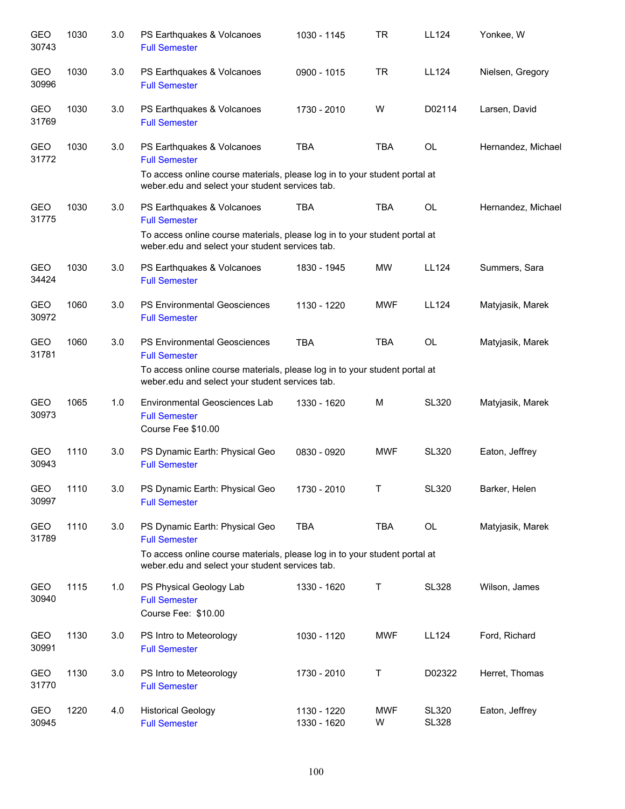| <b>GEO</b><br>30743 | 1030 | 3.0 | PS Earthquakes & Volcanoes<br><b>Full Semester</b>                                                                               | 1030 - 1145                | TR              | LL124                        | Yonkee, W          |
|---------------------|------|-----|----------------------------------------------------------------------------------------------------------------------------------|----------------------------|-----------------|------------------------------|--------------------|
| GEO<br>30996        | 1030 | 3.0 | PS Earthquakes & Volcanoes<br><b>Full Semester</b>                                                                               | 0900 - 1015                | <b>TR</b>       | LL124                        | Nielsen, Gregory   |
| <b>GEO</b><br>31769 | 1030 | 3.0 | PS Earthquakes & Volcanoes<br><b>Full Semester</b>                                                                               | 1730 - 2010                | W               | D02114                       | Larsen, David      |
| GEO<br>31772        | 1030 | 3.0 | PS Earthquakes & Volcanoes<br><b>Full Semester</b><br>To access online course materials, please log in to your student portal at | <b>TBA</b>                 | <b>TBA</b>      | OL                           | Hernandez, Michael |
|                     |      |     | weber.edu and select your student services tab.                                                                                  |                            |                 |                              |                    |
| GEO<br>31775        | 1030 | 3.0 | PS Earthquakes & Volcanoes<br><b>Full Semester</b>                                                                               | <b>TBA</b>                 | <b>TBA</b>      | OL                           | Hernandez, Michael |
|                     |      |     | To access online course materials, please log in to your student portal at<br>weber.edu and select your student services tab.    |                            |                 |                              |                    |
| GEO<br>34424        | 1030 | 3.0 | PS Earthquakes & Volcanoes<br><b>Full Semester</b>                                                                               | 1830 - 1945                | <b>MW</b>       | LL124                        | Summers, Sara      |
| GEO<br>30972        | 1060 | 3.0 | <b>PS Environmental Geosciences</b><br><b>Full Semester</b>                                                                      | 1130 - 1220                | <b>MWF</b>      | LL124                        | Matyjasik, Marek   |
| <b>GEO</b><br>31781 | 1060 | 3.0 | <b>PS Environmental Geosciences</b><br><b>Full Semester</b>                                                                      | <b>TBA</b>                 | <b>TBA</b>      | <b>OL</b>                    | Matyjasik, Marek   |
|                     |      |     | To access online course materials, please log in to your student portal at<br>weber.edu and select your student services tab.    |                            |                 |                              |                    |
| GEO<br>30973        | 1065 | 1.0 | Environmental Geosciences Lab<br><b>Full Semester</b><br>Course Fee \$10.00                                                      | 1330 - 1620                | M               | SL320                        | Matyjasik, Marek   |
| GEO<br>30943        | 1110 | 3.0 | PS Dynamic Earth: Physical Geo<br><b>Full Semester</b>                                                                           | 0830 - 0920                | <b>MWF</b>      | <b>SL320</b>                 | Eaton, Jeffrey     |
| GEO<br>30997        | 1110 | 3.0 | PS Dynamic Earth: Physical Geo<br><b>Full Semester</b>                                                                           | 1730 - 2010                | Т               | <b>SL320</b>                 | Barker, Helen      |
| GEO<br>31789        | 1110 | 3.0 | PS Dynamic Earth: Physical Geo<br><b>Full Semester</b>                                                                           | TBA                        | <b>TBA</b>      | OL                           | Matyjasik, Marek   |
|                     |      |     | To access online course materials, please log in to your student portal at<br>weber.edu and select your student services tab.    |                            |                 |                              |                    |
| GEO<br>30940        | 1115 | 1.0 | PS Physical Geology Lab<br><b>Full Semester</b><br>Course Fee: \$10.00                                                           | 1330 - 1620                | Τ               | <b>SL328</b>                 | Wilson, James      |
| GEO<br>30991        | 1130 | 3.0 | PS Intro to Meteorology<br><b>Full Semester</b>                                                                                  | 1030 - 1120                | <b>MWF</b>      | <b>LL124</b>                 | Ford, Richard      |
| GEO<br>31770        | 1130 | 3.0 | PS Intro to Meteorology<br><b>Full Semester</b>                                                                                  | 1730 - 2010                | T               | D02322                       | Herret, Thomas     |
| <b>GEO</b><br>30945 | 1220 | 4.0 | <b>Historical Geology</b><br><b>Full Semester</b>                                                                                | 1130 - 1220<br>1330 - 1620 | <b>MWF</b><br>W | <b>SL320</b><br><b>SL328</b> | Eaton, Jeffrey     |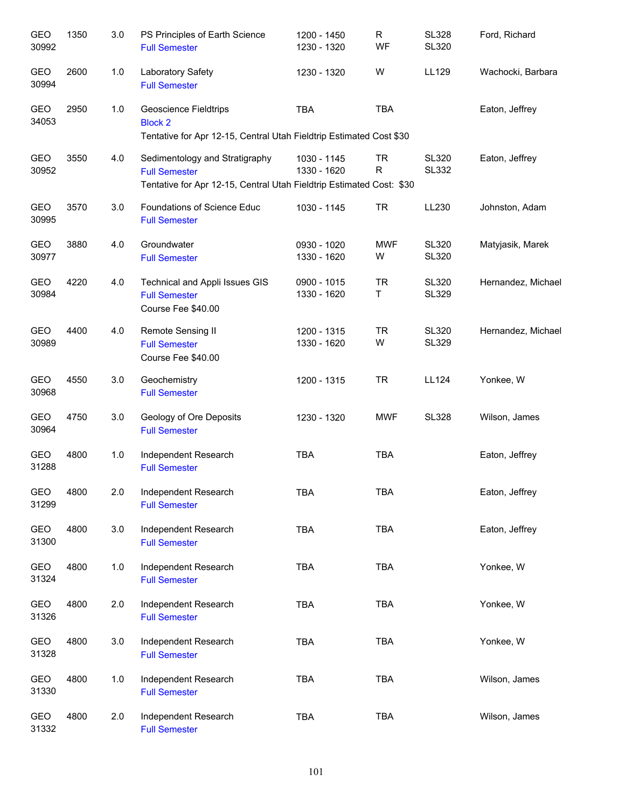| <b>GEO</b><br>30992 | 1350 | 3.0 | PS Principles of Earth Science<br><b>Full Semester</b>                                                                         | 1200 - 1450<br>1230 - 1320 | R<br>WF                   | <b>SL328</b><br><b>SL320</b> | Ford, Richard      |
|---------------------|------|-----|--------------------------------------------------------------------------------------------------------------------------------|----------------------------|---------------------------|------------------------------|--------------------|
| GEO<br>30994        | 2600 | 1.0 | Laboratory Safety<br><b>Full Semester</b>                                                                                      | 1230 - 1320                | W                         | LL129                        | Wachocki, Barbara  |
| GEO<br>34053        | 2950 | 1.0 | Geoscience Fieldtrips<br><b>Block 2</b><br>Tentative for Apr 12-15, Central Utah Fieldtrip Estimated Cost \$30                 | <b>TBA</b>                 | <b>TBA</b>                |                              | Eaton, Jeffrey     |
| GEO<br>30952        | 3550 | 4.0 | Sedimentology and Stratigraphy<br><b>Full Semester</b><br>Tentative for Apr 12-15, Central Utah Fieldtrip Estimated Cost: \$30 | 1030 - 1145<br>1330 - 1620 | <b>TR</b><br>$\mathsf{R}$ | <b>SL320</b><br><b>SL332</b> | Eaton, Jeffrey     |
| GEO<br>30995        | 3570 | 3.0 | Foundations of Science Educ<br><b>Full Semester</b>                                                                            | 1030 - 1145                | <b>TR</b>                 | LL230                        | Johnston, Adam     |
| GEO<br>30977        | 3880 | 4.0 | Groundwater<br><b>Full Semester</b>                                                                                            | 0930 - 1020<br>1330 - 1620 | <b>MWF</b><br>W           | <b>SL320</b><br><b>SL320</b> | Matyjasik, Marek   |
| <b>GEO</b><br>30984 | 4220 | 4.0 | Technical and Appli Issues GIS<br><b>Full Semester</b><br>Course Fee \$40.00                                                   | 0900 - 1015<br>1330 - 1620 | <b>TR</b><br>T.           | <b>SL320</b><br><b>SL329</b> | Hernandez, Michael |
| GEO<br>30989        | 4400 | 4.0 | Remote Sensing II<br><b>Full Semester</b><br>Course Fee \$40.00                                                                | 1200 - 1315<br>1330 - 1620 | <b>TR</b><br>W            | <b>SL320</b><br><b>SL329</b> | Hernandez, Michael |
| GEO<br>30968        | 4550 | 3.0 | Geochemistry<br><b>Full Semester</b>                                                                                           | 1200 - 1315                | <b>TR</b>                 | <b>LL124</b>                 | Yonkee, W          |
| GEO<br>30964        | 4750 | 3.0 | Geology of Ore Deposits<br><b>Full Semester</b>                                                                                | 1230 - 1320                | <b>MWF</b>                | <b>SL328</b>                 | Wilson, James      |
| GEO<br>31288        | 4800 | 1.0 | Independent Research<br><b>Full Semester</b>                                                                                   | <b>TBA</b>                 | <b>TBA</b>                |                              | Eaton, Jeffrey     |
| <b>GEO</b><br>31299 | 4800 | 2.0 | Independent Research<br><b>Full Semester</b>                                                                                   | <b>TBA</b>                 | <b>TBA</b>                |                              | Eaton, Jeffrey     |
| GEO<br>31300        | 4800 | 3.0 | Independent Research<br><b>Full Semester</b>                                                                                   | TBA                        | TBA                       |                              | Eaton, Jeffrey     |
| GEO<br>31324        | 4800 | 1.0 | Independent Research<br><b>Full Semester</b>                                                                                   | <b>TBA</b>                 | <b>TBA</b>                |                              | Yonkee, W          |
| GEO<br>31326        | 4800 | 2.0 | Independent Research<br><b>Full Semester</b>                                                                                   | <b>TBA</b>                 | TBA                       |                              | Yonkee, W          |
| GEO<br>31328        | 4800 | 3.0 | Independent Research<br><b>Full Semester</b>                                                                                   | <b>TBA</b>                 | TBA                       |                              | Yonkee, W          |
| GEO<br>31330        | 4800 | 1.0 | Independent Research<br><b>Full Semester</b>                                                                                   | <b>TBA</b>                 | TBA                       |                              | Wilson, James      |
| GEO<br>31332        | 4800 | 2.0 | Independent Research<br><b>Full Semester</b>                                                                                   | TBA                        | <b>TBA</b>                |                              | Wilson, James      |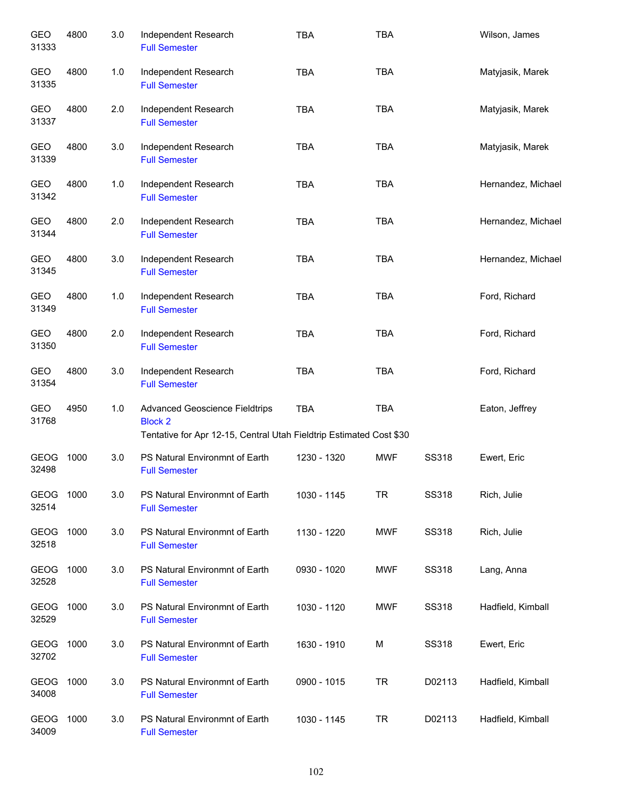| GEO<br>31333         | 4800 | 3.0 | Independent Research<br><b>Full Semester</b>                                                                                   | <b>TBA</b>  | <b>TBA</b> |              | Wilson, James      |
|----------------------|------|-----|--------------------------------------------------------------------------------------------------------------------------------|-------------|------------|--------------|--------------------|
| GEO<br>31335         | 4800 | 1.0 | Independent Research<br><b>Full Semester</b>                                                                                   | <b>TBA</b>  | <b>TBA</b> |              | Matyjasik, Marek   |
| GEO<br>31337         | 4800 | 2.0 | Independent Research<br><b>Full Semester</b>                                                                                   | <b>TBA</b>  | <b>TBA</b> |              | Matyjasik, Marek   |
| GEO<br>31339         | 4800 | 3.0 | Independent Research<br><b>Full Semester</b>                                                                                   | <b>TBA</b>  | <b>TBA</b> |              | Matyjasik, Marek   |
| GEO<br>31342         | 4800 | 1.0 | Independent Research<br><b>Full Semester</b>                                                                                   | <b>TBA</b>  | <b>TBA</b> |              | Hernandez, Michael |
| GEO<br>31344         | 4800 | 2.0 | Independent Research<br><b>Full Semester</b>                                                                                   | <b>TBA</b>  | <b>TBA</b> |              | Hernandez, Michael |
| GEO<br>31345         | 4800 | 3.0 | Independent Research<br><b>Full Semester</b>                                                                                   | <b>TBA</b>  | <b>TBA</b> |              | Hernandez, Michael |
| GEO<br>31349         | 4800 | 1.0 | Independent Research<br><b>Full Semester</b>                                                                                   | <b>TBA</b>  | <b>TBA</b> |              | Ford, Richard      |
| GEO<br>31350         | 4800 | 2.0 | Independent Research<br><b>Full Semester</b>                                                                                   | <b>TBA</b>  | <b>TBA</b> |              | Ford, Richard      |
| GEO<br>31354         | 4800 | 3.0 | Independent Research<br><b>Full Semester</b>                                                                                   | <b>TBA</b>  | <b>TBA</b> |              | Ford, Richard      |
| GEO<br>31768         | 4950 | 1.0 | <b>Advanced Geoscience Fieldtrips</b><br><b>Block 2</b><br>Tentative for Apr 12-15, Central Utah Fieldtrip Estimated Cost \$30 | <b>TBA</b>  | <b>TBA</b> |              | Eaton, Jeffrey     |
| GEOG<br>32498        | 1000 | 3.0 | PS Natural Environmnt of Earth<br><b>Full Semester</b>                                                                         | 1230 - 1320 | <b>MWF</b> | <b>SS318</b> | Ewert, Eric        |
| GEOG<br>32514        | 1000 | 3.0 | PS Natural Environmnt of Earth<br><b>Full Semester</b>                                                                         | 1030 - 1145 | <b>TR</b>  | <b>SS318</b> | Rich, Julie        |
| GEOG<br>32518        | 1000 | 3.0 | PS Natural Environmnt of Earth<br><b>Full Semester</b>                                                                         | 1130 - 1220 | MWF        | SS318        | Rich, Julie        |
| GEOG 1000<br>32528   |      | 3.0 | PS Natural Environmnt of Earth<br><b>Full Semester</b>                                                                         | 0930 - 1020 | MWF        | SS318        | Lang, Anna         |
| GEOG 1000<br>32529   |      | 3.0 | PS Natural Environmnt of Earth<br><b>Full Semester</b>                                                                         | 1030 - 1120 | MWF        | SS318        | Hadfield, Kimball  |
| GEOG<br>32702        | 1000 | 3.0 | PS Natural Environmnt of Earth<br><b>Full Semester</b>                                                                         | 1630 - 1910 | М          | SS318        | Ewert, Eric        |
| <b>GEOG</b><br>34008 | 1000 | 3.0 | PS Natural Environmnt of Earth<br><b>Full Semester</b>                                                                         | 0900 - 1015 | <b>TR</b>  | D02113       | Hadfield, Kimball  |
| GEOG<br>34009        | 1000 | 3.0 | PS Natural Environmnt of Earth<br><b>Full Semester</b>                                                                         | 1030 - 1145 | <b>TR</b>  | D02113       | Hadfield, Kimball  |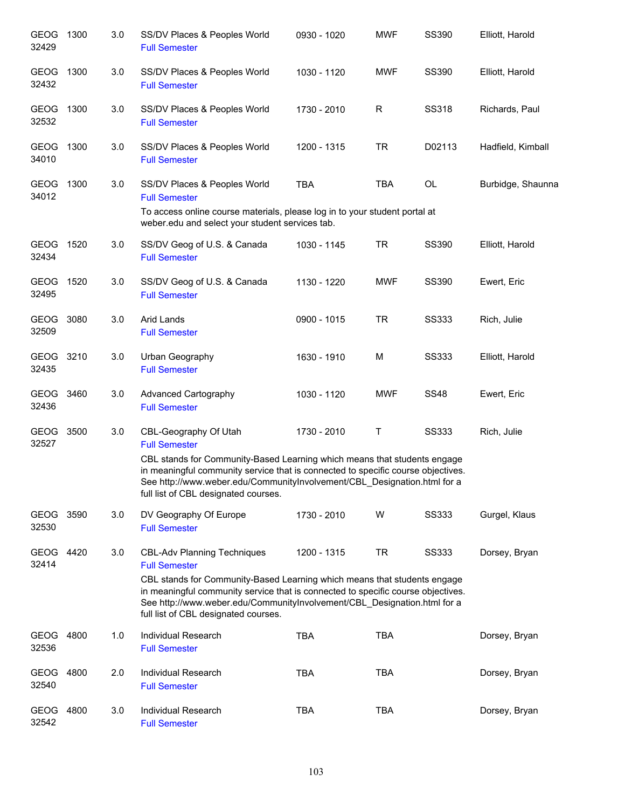| <b>GEOG</b><br>32429 | 1300 | 3.0 | SS/DV Places & Peoples World<br><b>Full Semester</b>                                                                                                                                                                                                                                                                                           | 0930 - 1020 | <b>MWF</b> | <b>SS390</b> | Elliott, Harold   |
|----------------------|------|-----|------------------------------------------------------------------------------------------------------------------------------------------------------------------------------------------------------------------------------------------------------------------------------------------------------------------------------------------------|-------------|------------|--------------|-------------------|
| GEOG 1300<br>32432   |      | 3.0 | SS/DV Places & Peoples World<br><b>Full Semester</b>                                                                                                                                                                                                                                                                                           | 1030 - 1120 | <b>MWF</b> | SS390        | Elliott, Harold   |
| GEOG 1300<br>32532   |      | 3.0 | SS/DV Places & Peoples World<br><b>Full Semester</b>                                                                                                                                                                                                                                                                                           | 1730 - 2010 | R          | SS318        | Richards, Paul    |
| GEOG 1300<br>34010   |      | 3.0 | SS/DV Places & Peoples World<br><b>Full Semester</b>                                                                                                                                                                                                                                                                                           | 1200 - 1315 | <b>TR</b>  | D02113       | Hadfield, Kimball |
| GEOG 1300<br>34012   |      | 3.0 | SS/DV Places & Peoples World<br><b>Full Semester</b><br>To access online course materials, please log in to your student portal at<br>weber.edu and select your student services tab.                                                                                                                                                          | <b>TBA</b>  | <b>TBA</b> | OL           | Burbidge, Shaunna |
| GEOG 1520<br>32434   |      | 3.0 | SS/DV Geog of U.S. & Canada<br><b>Full Semester</b>                                                                                                                                                                                                                                                                                            | 1030 - 1145 | <b>TR</b>  | SS390        | Elliott, Harold   |
| GEOG 1520<br>32495   |      | 3.0 | SS/DV Geog of U.S. & Canada<br><b>Full Semester</b>                                                                                                                                                                                                                                                                                            | 1130 - 1220 | <b>MWF</b> | SS390        | Ewert, Eric       |
| GEOG 3080<br>32509   |      | 3.0 | Arid Lands<br><b>Full Semester</b>                                                                                                                                                                                                                                                                                                             | 0900 - 1015 | <b>TR</b>  | <b>SS333</b> | Rich, Julie       |
| GEOG 3210<br>32435   |      | 3.0 | Urban Geography<br><b>Full Semester</b>                                                                                                                                                                                                                                                                                                        | 1630 - 1910 | M          | <b>SS333</b> | Elliott, Harold   |
| GEOG 3460<br>32436   |      | 3.0 | Advanced Cartography<br><b>Full Semester</b>                                                                                                                                                                                                                                                                                                   | 1030 - 1120 | <b>MWF</b> | <b>SS48</b>  | Ewert, Eric       |
| GEOG 3500<br>32527   |      | 3.0 | CBL-Geography Of Utah<br><b>Full Semester</b><br>CBL stands for Community-Based Learning which means that students engage<br>in meaningful community service that is connected to specific course objectives.<br>See http://www.weber.edu/CommunityInvolvement/CBL_Designation.html for a<br>full list of CBL designated courses.              | 1730 - 2010 | Τ          | <b>SS333</b> | Rich, Julie       |
| GEOG 3590<br>32530   |      | 3.0 | DV Geography Of Europe<br><b>Full Semester</b>                                                                                                                                                                                                                                                                                                 | 1730 - 2010 | W          | <b>SS333</b> | Gurgel, Klaus     |
| GEOG 4420<br>32414   |      | 3.0 | <b>CBL-Adv Planning Techniques</b><br><b>Full Semester</b><br>CBL stands for Community-Based Learning which means that students engage<br>in meaningful community service that is connected to specific course objectives.<br>See http://www.weber.edu/CommunityInvolvement/CBL Designation.html for a<br>full list of CBL designated courses. | 1200 - 1315 | <b>TR</b>  | <b>SS333</b> | Dorsey, Bryan     |
| GEOG<br>32536        | 4800 | 1.0 | Individual Research<br><b>Full Semester</b>                                                                                                                                                                                                                                                                                                    | <b>TBA</b>  | <b>TBA</b> |              | Dorsey, Bryan     |
| GEOG<br>32540        | 4800 | 2.0 | Individual Research<br><b>Full Semester</b>                                                                                                                                                                                                                                                                                                    | <b>TBA</b>  | <b>TBA</b> |              | Dorsey, Bryan     |
| GEOG<br>32542        | 4800 | 3.0 | Individual Research<br><b>Full Semester</b>                                                                                                                                                                                                                                                                                                    | <b>TBA</b>  | <b>TBA</b> |              | Dorsey, Bryan     |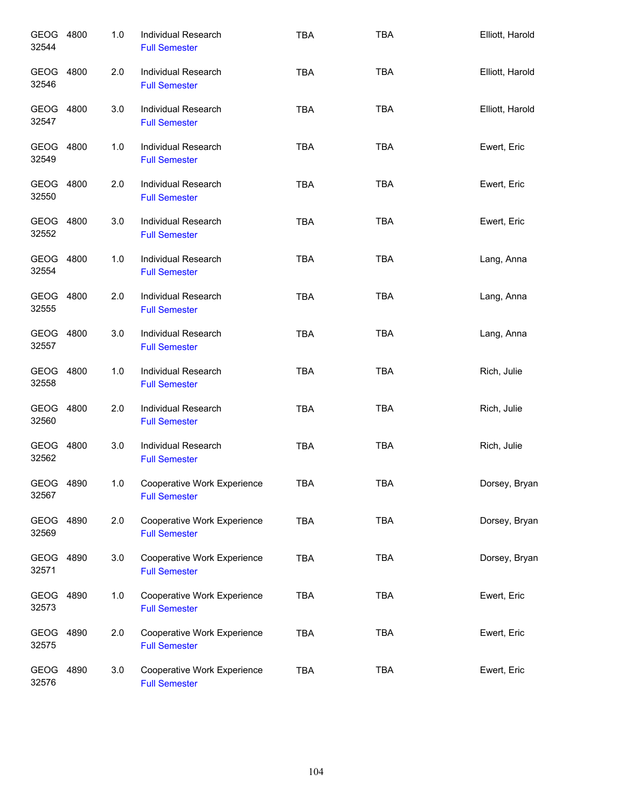| GEOG 4800<br>32544 | 1.0 | Individual Research<br><b>Full Semester</b>         | <b>TBA</b> | <b>TBA</b> | Elliott, Harold |
|--------------------|-----|-----------------------------------------------------|------------|------------|-----------------|
| GEOG 4800<br>32546 | 2.0 | <b>Individual Research</b><br><b>Full Semester</b>  | <b>TBA</b> | <b>TBA</b> | Elliott, Harold |
| GEOG 4800<br>32547 | 3.0 | Individual Research<br><b>Full Semester</b>         | <b>TBA</b> | <b>TBA</b> | Elliott, Harold |
| GEOG 4800<br>32549 | 1.0 | Individual Research<br><b>Full Semester</b>         | <b>TBA</b> | <b>TBA</b> | Ewert, Eric     |
| GEOG 4800<br>32550 | 2.0 | Individual Research<br><b>Full Semester</b>         | <b>TBA</b> | <b>TBA</b> | Ewert, Eric     |
| GEOG 4800<br>32552 | 3.0 | Individual Research<br><b>Full Semester</b>         | <b>TBA</b> | <b>TBA</b> | Ewert, Eric     |
| GEOG 4800<br>32554 | 1.0 | Individual Research<br><b>Full Semester</b>         | <b>TBA</b> | <b>TBA</b> | Lang, Anna      |
| GEOG 4800<br>32555 | 2.0 | Individual Research<br><b>Full Semester</b>         | <b>TBA</b> | <b>TBA</b> | Lang, Anna      |
| GEOG 4800<br>32557 | 3.0 | Individual Research<br><b>Full Semester</b>         | <b>TBA</b> | <b>TBA</b> | Lang, Anna      |
| GEOG 4800<br>32558 | 1.0 | Individual Research<br><b>Full Semester</b>         | <b>TBA</b> | <b>TBA</b> | Rich, Julie     |
| GEOG 4800<br>32560 | 2.0 | Individual Research<br><b>Full Semester</b>         | <b>TBA</b> | <b>TBA</b> | Rich, Julie     |
| GEOG 4800<br>32562 | 3.0 | Individual Research<br><b>Full Semester</b>         | <b>TBA</b> | <b>TBA</b> | Rich, Julie     |
| GEOG 4890<br>32567 | 1.0 | Cooperative Work Experience<br><b>Full Semester</b> | TBA        | TBA        | Dorsey, Bryan   |
| GEOG 4890<br>32569 | 2.0 | Cooperative Work Experience<br><b>Full Semester</b> | TBA        | <b>TBA</b> | Dorsey, Bryan   |
| GEOG 4890<br>32571 | 3.0 | Cooperative Work Experience<br><b>Full Semester</b> | TBA        | <b>TBA</b> | Dorsey, Bryan   |
| GEOG 4890<br>32573 | 1.0 | Cooperative Work Experience<br><b>Full Semester</b> | TBA        | <b>TBA</b> | Ewert, Eric     |
| GEOG 4890<br>32575 | 2.0 | Cooperative Work Experience<br><b>Full Semester</b> | <b>TBA</b> | <b>TBA</b> | Ewert, Eric     |
| GEOG 4890<br>32576 | 3.0 | Cooperative Work Experience<br><b>Full Semester</b> | <b>TBA</b> | <b>TBA</b> | Ewert, Eric     |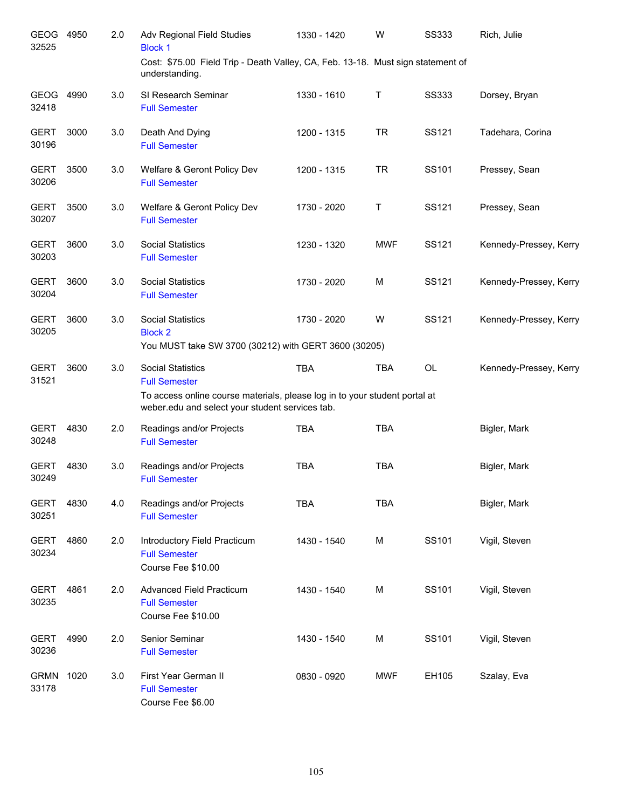| GEOG<br>32525        | 4950 | 2.0 | Adv Regional Field Studies<br><b>Block 1</b>                                                                                  | 1330 - 1420 | W          | SS333        | Rich, Julie            |
|----------------------|------|-----|-------------------------------------------------------------------------------------------------------------------------------|-------------|------------|--------------|------------------------|
|                      |      |     | Cost: \$75.00 Field Trip - Death Valley, CA, Feb. 13-18. Must sign statement of<br>understanding.                             |             |            |              |                        |
| <b>GEOG</b><br>32418 | 4990 | 3.0 | SI Research Seminar<br><b>Full Semester</b>                                                                                   | 1330 - 1610 | Τ          | <b>SS333</b> | Dorsey, Bryan          |
| <b>GERT</b><br>30196 | 3000 | 3.0 | Death And Dying<br><b>Full Semester</b>                                                                                       | 1200 - 1315 | <b>TR</b>  | SS121        | Tadehara, Corina       |
| <b>GERT</b><br>30206 | 3500 | 3.0 | Welfare & Geront Policy Dev<br><b>Full Semester</b>                                                                           | 1200 - 1315 | <b>TR</b>  | SS101        | Pressey, Sean          |
| <b>GERT</b><br>30207 | 3500 | 3.0 | Welfare & Geront Policy Dev<br><b>Full Semester</b>                                                                           | 1730 - 2020 | Τ          | SS121        | Pressey, Sean          |
| GERT<br>30203        | 3600 | 3.0 | <b>Social Statistics</b><br><b>Full Semester</b>                                                                              | 1230 - 1320 | <b>MWF</b> | SS121        | Kennedy-Pressey, Kerry |
| <b>GERT</b><br>30204 | 3600 | 3.0 | <b>Social Statistics</b><br><b>Full Semester</b>                                                                              | 1730 - 2020 | м          | SS121        | Kennedy-Pressey, Kerry |
| <b>GERT</b><br>30205 | 3600 | 3.0 | <b>Social Statistics</b><br><b>Block 2</b><br>You MUST take SW 3700 (30212) with GERT 3600 (30205)                            | 1730 - 2020 | W          | SS121        | Kennedy-Pressey, Kerry |
| <b>GERT</b><br>31521 | 3600 | 3.0 | <b>Social Statistics</b><br><b>Full Semester</b>                                                                              | <b>TBA</b>  | <b>TBA</b> | <b>OL</b>    | Kennedy-Pressey, Kerry |
|                      |      |     | To access online course materials, please log in to your student portal at<br>weber.edu and select your student services tab. |             |            |              |                        |
| <b>GERT</b><br>30248 | 4830 | 2.0 | Readings and/or Projects<br><b>Full Semester</b>                                                                              | <b>TBA</b>  | <b>TBA</b> |              | Bigler, Mark           |
| <b>GERT</b><br>30249 | 4830 | 3.0 | Readings and/or Projects<br><b>Full Semester</b>                                                                              | <b>TBA</b>  | <b>TBA</b> |              | Bigler, Mark           |
| <b>GERT</b><br>30251 | 4830 | 4.0 | Readings and/or Projects<br><b>Full Semester</b>                                                                              | <b>TBA</b>  | <b>TBA</b> |              | Bigler, Mark           |
| <b>GERT</b><br>30234 | 4860 | 2.0 | Introductory Field Practicum<br><b>Full Semester</b><br>Course Fee \$10.00                                                    | 1430 - 1540 | M          | SS101        | Vigil, Steven          |
| <b>GERT</b><br>30235 | 4861 | 2.0 | <b>Advanced Field Practicum</b><br><b>Full Semester</b><br>Course Fee \$10.00                                                 | 1430 - 1540 | M          | SS101        | Vigil, Steven          |
| <b>GERT</b><br>30236 | 4990 | 2.0 | Senior Seminar<br><b>Full Semester</b>                                                                                        | 1430 - 1540 | M          | SS101        | Vigil, Steven          |
| <b>GRMN</b><br>33178 | 1020 | 3.0 | First Year German II<br><b>Full Semester</b><br>Course Fee \$6.00                                                             | 0830 - 0920 | <b>MWF</b> | EH105        | Szalay, Eva            |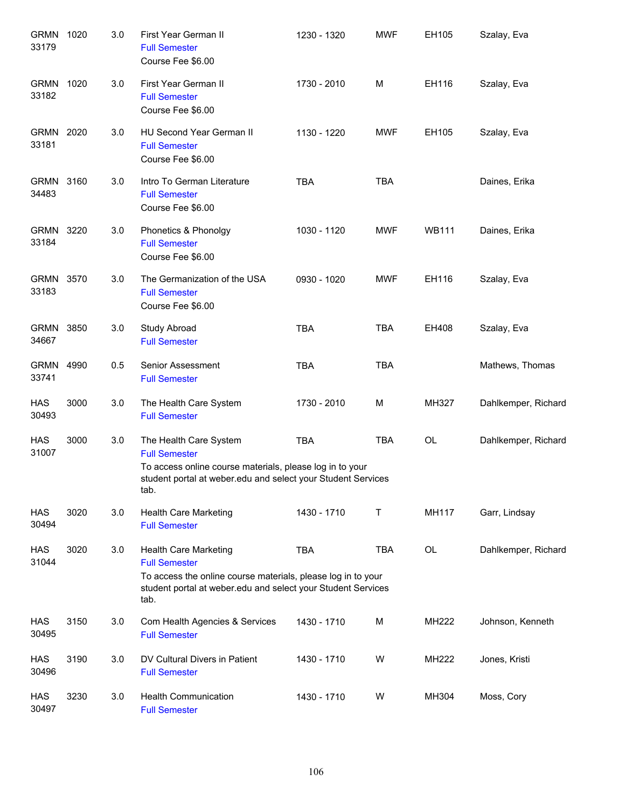| <b>GRMN</b><br>33179 | 1020 | 3.0 | First Year German II<br><b>Full Semester</b><br>Course Fee \$6.00                                                                                                                            | 1230 - 1320 | <b>MWF</b> | EH105        | Szalay, Eva         |
|----------------------|------|-----|----------------------------------------------------------------------------------------------------------------------------------------------------------------------------------------------|-------------|------------|--------------|---------------------|
| <b>GRMN</b><br>33182 | 1020 | 3.0 | First Year German II<br><b>Full Semester</b><br>Course Fee \$6.00                                                                                                                            | 1730 - 2010 | М          | EH116        | Szalay, Eva         |
| GRMN<br>33181        | 2020 | 3.0 | HU Second Year German II<br><b>Full Semester</b><br>Course Fee \$6.00                                                                                                                        | 1130 - 1220 | <b>MWF</b> | EH105        | Szalay, Eva         |
| GRMN 3160<br>34483   |      | 3.0 | Intro To German Literature<br><b>Full Semester</b><br>Course Fee \$6.00                                                                                                                      | <b>TBA</b>  | <b>TBA</b> |              | Daines, Erika       |
| <b>GRMN</b><br>33184 | 3220 | 3.0 | Phonetics & Phonolgy<br><b>Full Semester</b><br>Course Fee \$6.00                                                                                                                            | 1030 - 1120 | <b>MWF</b> | <b>WB111</b> | Daines, Erika       |
| <b>GRMN</b><br>33183 | 3570 | 3.0 | The Germanization of the USA<br><b>Full Semester</b><br>Course Fee \$6.00                                                                                                                    | 0930 - 1020 | <b>MWF</b> | EH116        | Szalay, Eva         |
| <b>GRMN</b><br>34667 | 3850 | 3.0 | <b>Study Abroad</b><br><b>Full Semester</b>                                                                                                                                                  | <b>TBA</b>  | <b>TBA</b> | EH408        | Szalay, Eva         |
| <b>GRMN</b><br>33741 | 4990 | 0.5 | Senior Assessment<br><b>Full Semester</b>                                                                                                                                                    | <b>TBA</b>  | <b>TBA</b> |              | Mathews, Thomas     |
| HAS<br>30493         | 3000 | 3.0 | The Health Care System<br><b>Full Semester</b>                                                                                                                                               | 1730 - 2010 | М          | MH327        | Dahlkemper, Richard |
| <b>HAS</b><br>31007  | 3000 | 3.0 | The Health Care System<br><b>Full Semester</b><br>To access online course materials, please log in to your<br>student portal at weber.edu and select your Student Services<br>tab.           | <b>TBA</b>  | <b>TBA</b> | <b>OL</b>    | Dahlkemper, Richard |
| <b>HAS</b><br>30494  | 3020 | 3.0 | <b>Health Care Marketing</b><br><b>Full Semester</b>                                                                                                                                         | 1430 - 1710 | Τ          | MH117        | Garr, Lindsay       |
| <b>HAS</b><br>31044  | 3020 | 3.0 | <b>Health Care Marketing</b><br><b>Full Semester</b><br>To access the online course materials, please log in to your<br>student portal at weber.edu and select your Student Services<br>tab. | <b>TBA</b>  | <b>TBA</b> | <b>OL</b>    | Dahlkemper, Richard |
| <b>HAS</b><br>30495  | 3150 | 3.0 | Com Health Agencies & Services<br><b>Full Semester</b>                                                                                                                                       | 1430 - 1710 | М          | MH222        | Johnson, Kenneth    |
| HAS<br>30496         | 3190 | 3.0 | DV Cultural Divers in Patient<br><b>Full Semester</b>                                                                                                                                        | 1430 - 1710 | W          | MH222        | Jones, Kristi       |
| <b>HAS</b><br>30497  | 3230 | 3.0 | <b>Health Communication</b><br><b>Full Semester</b>                                                                                                                                          | 1430 - 1710 | W          | MH304        | Moss, Cory          |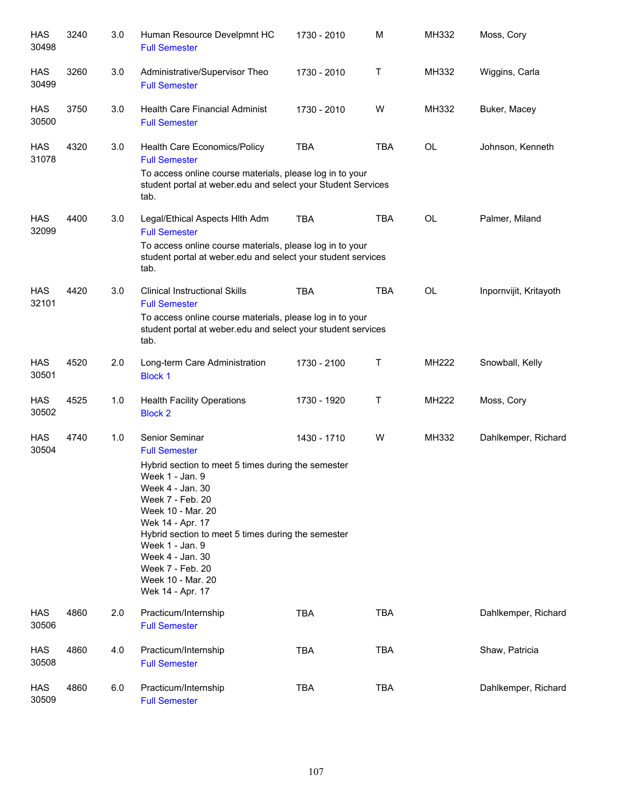| <b>HAS</b><br>30498 | 3240 | 3.0 | Human Resource Develpmnt HC<br><b>Full Semester</b>                                                                                                                                                                                                                                                                                                        | 1730 - 2010 | M          | MH332     | Moss, Cory             |
|---------------------|------|-----|------------------------------------------------------------------------------------------------------------------------------------------------------------------------------------------------------------------------------------------------------------------------------------------------------------------------------------------------------------|-------------|------------|-----------|------------------------|
| <b>HAS</b><br>30499 | 3260 | 3.0 | Administrative/Supervisor Theo<br><b>Full Semester</b>                                                                                                                                                                                                                                                                                                     | 1730 - 2010 | Т          | MH332     | Wiggins, Carla         |
| <b>HAS</b><br>30500 | 3750 | 3.0 | Health Care Financial Administ<br><b>Full Semester</b>                                                                                                                                                                                                                                                                                                     | 1730 - 2010 | W          | MH332     | Buker, Macey           |
| <b>HAS</b><br>31078 | 4320 | 3.0 | Health Care Economics/Policy<br><b>Full Semester</b><br>To access online course materials, please log in to your<br>student portal at weber.edu and select your Student Services<br>tab.                                                                                                                                                                   | <b>TBA</b>  | <b>TBA</b> | <b>OL</b> | Johnson, Kenneth       |
| HAS<br>32099        | 4400 | 3.0 | Legal/Ethical Aspects Hith Adm<br><b>Full Semester</b><br>To access online course materials, please log in to your<br>student portal at weber edu and select your student services<br>tab.                                                                                                                                                                 | <b>TBA</b>  | <b>TBA</b> | <b>OL</b> | Palmer, Miland         |
| HAS<br>32101        | 4420 | 3.0 | <b>Clinical Instructional Skills</b><br><b>Full Semester</b><br>To access online course materials, please log in to your<br>student portal at weber edu and select your student services<br>tab.                                                                                                                                                           | <b>TBA</b>  | <b>TBA</b> | <b>OL</b> | Inpornvijit, Kritayoth |
| <b>HAS</b><br>30501 | 4520 | 2.0 | Long-term Care Administration<br><b>Block 1</b>                                                                                                                                                                                                                                                                                                            | 1730 - 2100 | Τ          | MH222     | Snowball, Kelly        |
| <b>HAS</b><br>30502 | 4525 | 1.0 | <b>Health Facility Operations</b><br><b>Block 2</b>                                                                                                                                                                                                                                                                                                        | 1730 - 1920 | Т          | MH222     | Moss, Cory             |
| HAS<br>30504        | 4740 | 1.0 | Senior Seminar<br><b>Full Semester</b><br>Hybrid section to meet 5 times during the semester<br>Week 1 - Jan. 9<br>Week 4 - Jan. 30<br>Week 7 - Feb. 20<br>Week 10 - Mar. 20<br>Wek 14 - Apr. 17<br>Hybrid section to meet 5 times during the semester<br>Week 1 - Jan. 9<br>Week 4 - Jan. 30<br>Week 7 - Feb. 20<br>Week 10 - Mar. 20<br>Wek 14 - Apr. 17 | 1430 - 1710 | W          | MH332     | Dahlkemper, Richard    |
| <b>HAS</b><br>30506 | 4860 | 2.0 | Practicum/Internship<br><b>Full Semester</b>                                                                                                                                                                                                                                                                                                               | <b>TBA</b>  | <b>TBA</b> |           | Dahlkemper, Richard    |
| HAS<br>30508        | 4860 | 4.0 | Practicum/Internship<br><b>Full Semester</b>                                                                                                                                                                                                                                                                                                               | <b>TBA</b>  | <b>TBA</b> |           | Shaw, Patricia         |
| <b>HAS</b><br>30509 | 4860 | 6.0 | Practicum/Internship<br><b>Full Semester</b>                                                                                                                                                                                                                                                                                                               | <b>TBA</b>  | <b>TBA</b> |           | Dahlkemper, Richard    |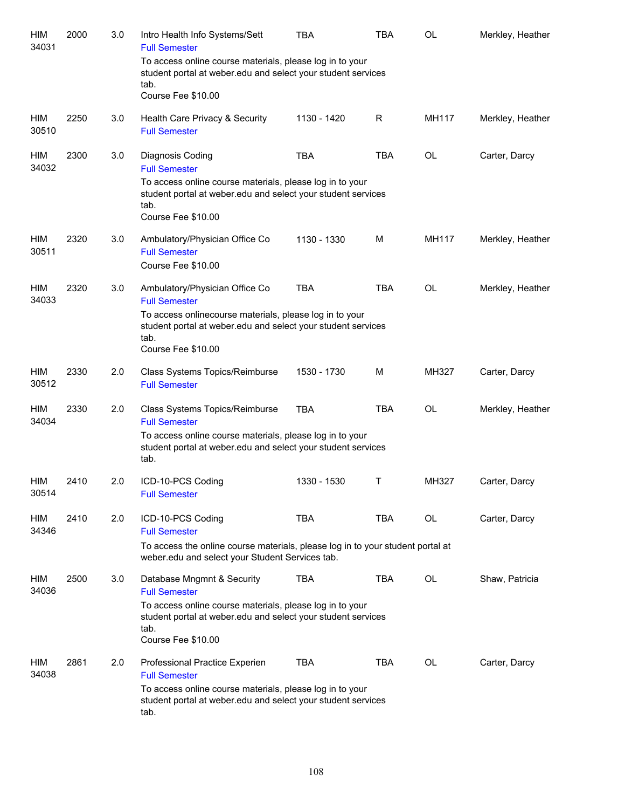| HIM<br>34031        | 2000 | 3.0 | Intro Health Info Systems/Sett<br><b>Full Semester</b>                                                                                                                                                          | TBA         | TBA        | <b>OL</b> | Merkley, Heather |
|---------------------|------|-----|-----------------------------------------------------------------------------------------------------------------------------------------------------------------------------------------------------------------|-------------|------------|-----------|------------------|
|                     |      |     | To access online course materials, please log in to your<br>student portal at weber edu and select your student services<br>tab.<br>Course Fee \$10.00                                                          |             |            |           |                  |
| HIM<br>30510        | 2250 | 3.0 | Health Care Privacy & Security<br><b>Full Semester</b>                                                                                                                                                          | 1130 - 1420 | R          | MH117     | Merkley, Heather |
| HIM<br>34032        | 2300 | 3.0 | Diagnosis Coding<br><b>Full Semester</b><br>To access online course materials, please log in to your<br>student portal at weber edu and select your student services<br>tab.<br>Course Fee \$10.00              | <b>TBA</b>  | <b>TBA</b> | <b>OL</b> | Carter, Darcy    |
| HIM<br>30511        | 2320 | 3.0 | Ambulatory/Physician Office Co<br><b>Full Semester</b><br>Course Fee \$10.00                                                                                                                                    | 1130 - 1330 | M          | MH117     | Merkley, Heather |
| HIM<br>34033        | 2320 | 3.0 | Ambulatory/Physician Office Co<br><b>Full Semester</b><br>To access onlinecourse materials, please log in to your<br>student portal at weber edu and select your student services<br>tab.<br>Course Fee \$10.00 | <b>TBA</b>  | <b>TBA</b> | <b>OL</b> | Merkley, Heather |
| HIM<br>30512        | 2330 | 2.0 | Class Systems Topics/Reimburse<br><b>Full Semester</b>                                                                                                                                                          | 1530 - 1730 | M          | MH327     | Carter, Darcy    |
| HIM<br>34034        | 2330 | 2.0 | Class Systems Topics/Reimburse<br><b>Full Semester</b><br>To access online course materials, please log in to your<br>student portal at weber edu and select your student services<br>tab.                      | <b>TBA</b>  | <b>TBA</b> | <b>OL</b> | Merkley, Heather |
| HIM<br>30514        | 2410 | 2.0 | ICD-10-PCS Coding<br><b>Full Semester</b>                                                                                                                                                                       | 1330 - 1530 | Т          | MH327     | Carter, Darcy    |
| <b>HIM</b><br>34346 | 2410 | 2.0 | ICD-10-PCS Coding<br><b>Full Semester</b><br>To access the online course materials, please log in to your student portal at<br>weber.edu and select your Student Services tab.                                  | <b>TBA</b>  | <b>TBA</b> | <b>OL</b> | Carter, Darcy    |
| HIM<br>34036        | 2500 | 3.0 | Database Mngmnt & Security<br><b>Full Semester</b><br>To access online course materials, please log in to your<br>student portal at weber edu and select your student services<br>tab.<br>Course Fee \$10.00    | <b>TBA</b>  | <b>TBA</b> | OL        | Shaw, Patricia   |
| HIM<br>34038        | 2861 | 2.0 | Professional Practice Experien<br><b>Full Semester</b><br>To access online course materials, please log in to your<br>student portal at weber edu and select your student services<br>tab.                      | <b>TBA</b>  | <b>TBA</b> | OL        | Carter, Darcy    |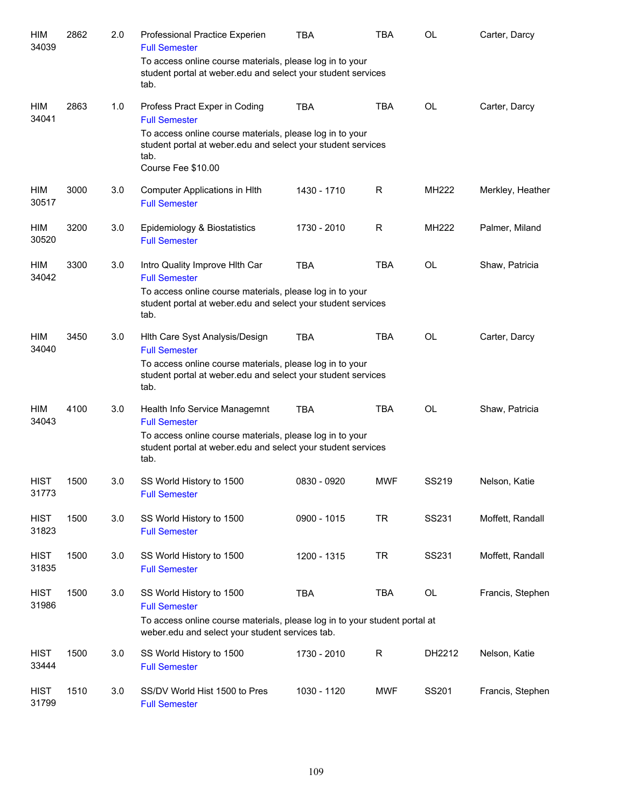| HIM<br>34039         | 2862 | 2.0 | Professional Practice Experien<br><b>Full Semester</b><br>To access online course materials, please log in to your<br>student portal at weber edu and select your student services | <b>TBA</b>  | TBA        | OL           | Carter, Darcy    |
|----------------------|------|-----|------------------------------------------------------------------------------------------------------------------------------------------------------------------------------------|-------------|------------|--------------|------------------|
| HIM<br>34041         | 2863 | 1.0 | tab.<br>Profess Pract Exper in Coding<br><b>Full Semester</b>                                                                                                                      | <b>TBA</b>  | <b>TBA</b> | OL           | Carter, Darcy    |
|                      |      |     | To access online course materials, please log in to your<br>student portal at weber edu and select your student services<br>tab.<br>Course Fee \$10.00                             |             |            |              |                  |
| HIM<br>30517         | 3000 | 3.0 | Computer Applications in HIth<br><b>Full Semester</b>                                                                                                                              | 1430 - 1710 | R          | <b>MH222</b> | Merkley, Heather |
| HIM<br>30520         | 3200 | 3.0 | Epidemiology & Biostatistics<br><b>Full Semester</b>                                                                                                                               | 1730 - 2010 | R          | <b>MH222</b> | Palmer, Miland   |
| HIM<br>34042         | 3300 | 3.0 | Intro Quality Improve Hith Car<br><b>Full Semester</b>                                                                                                                             | <b>TBA</b>  | <b>TBA</b> | OL           | Shaw, Patricia   |
|                      |      |     | To access online course materials, please log in to your<br>student portal at weber edu and select your student services<br>tab.                                                   |             |            |              |                  |
| HIM<br>34040         | 3450 | 3.0 | Hith Care Syst Analysis/Design<br><b>Full Semester</b><br>To access online course materials, please log in to your                                                                 | <b>TBA</b>  | <b>TBA</b> | OL           | Carter, Darcy    |
|                      |      |     | student portal at weber edu and select your student services<br>tab.                                                                                                               |             |            |              |                  |
| HIM<br>34043         | 4100 | 3.0 | Health Info Service Managemnt<br><b>Full Semester</b>                                                                                                                              | <b>TBA</b>  | <b>TBA</b> | OL           | Shaw, Patricia   |
|                      |      |     | To access online course materials, please log in to your<br>student portal at weber edu and select your student services<br>tab.                                                   |             |            |              |                  |
| <b>HIST</b><br>31773 | 1500 | 3.0 | SS World History to 1500<br><b>Full Semester</b>                                                                                                                                   | 0830 - 0920 | <b>MWF</b> | SS219        | Nelson, Katie    |
| <b>HIST</b><br>31823 | 1500 | 3.0 | SS World History to 1500<br><b>Full Semester</b>                                                                                                                                   | 0900 - 1015 | <b>TR</b>  | SS231        | Moffett, Randall |
| <b>HIST</b><br>31835 | 1500 | 3.0 | SS World History to 1500<br><b>Full Semester</b>                                                                                                                                   | 1200 - 1315 | <b>TR</b>  | SS231        | Moffett, Randall |
| <b>HIST</b><br>31986 | 1500 | 3.0 | SS World History to 1500<br><b>Full Semester</b>                                                                                                                                   | <b>TBA</b>  | <b>TBA</b> | OL           | Francis, Stephen |
|                      |      |     | To access online course materials, please log in to your student portal at<br>weber.edu and select your student services tab.                                                      |             |            |              |                  |
| <b>HIST</b><br>33444 | 1500 | 3.0 | SS World History to 1500<br><b>Full Semester</b>                                                                                                                                   | 1730 - 2010 | R          | DH2212       | Nelson, Katie    |
| <b>HIST</b><br>31799 | 1510 | 3.0 | SS/DV World Hist 1500 to Pres<br><b>Full Semester</b>                                                                                                                              | 1030 - 1120 | <b>MWF</b> | SS201        | Francis, Stephen |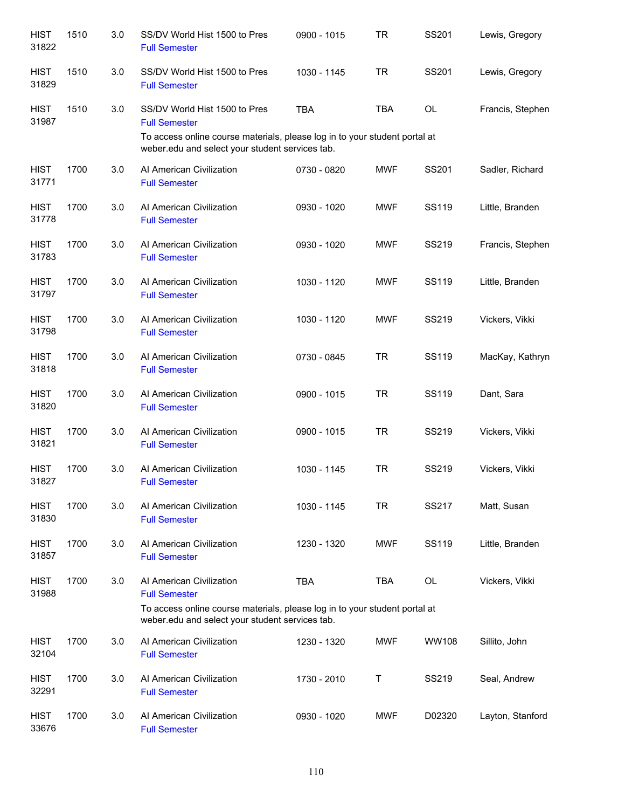| <b>HIST</b><br>31822 | 1510 | 3.0 | SS/DV World Hist 1500 to Pres<br><b>Full Semester</b>                                                                               | 0900 - 1015 | <b>TR</b>  | SS201        | Lewis, Gregory   |
|----------------------|------|-----|-------------------------------------------------------------------------------------------------------------------------------------|-------------|------------|--------------|------------------|
| <b>HIST</b><br>31829 | 1510 | 3.0 | SS/DV World Hist 1500 to Pres<br><b>Full Semester</b>                                                                               | 1030 - 1145 | <b>TR</b>  | SS201        | Lewis, Gregory   |
| <b>HIST</b><br>31987 | 1510 | 3.0 | SS/DV World Hist 1500 to Pres<br><b>Full Semester</b><br>To access online course materials, please log in to your student portal at | <b>TBA</b>  | <b>TBA</b> | OL           | Francis, Stephen |
|                      |      |     | weber.edu and select your student services tab.                                                                                     |             |            |              |                  |
| <b>HIST</b><br>31771 | 1700 | 3.0 | Al American Civilization<br><b>Full Semester</b>                                                                                    | 0730 - 0820 | <b>MWF</b> | SS201        | Sadler, Richard  |
| <b>HIST</b><br>31778 | 1700 | 3.0 | Al American Civilization<br><b>Full Semester</b>                                                                                    | 0930 - 1020 | <b>MWF</b> | SS119        | Little, Branden  |
| <b>HIST</b><br>31783 | 1700 | 3.0 | Al American Civilization<br><b>Full Semester</b>                                                                                    | 0930 - 1020 | <b>MWF</b> | SS219        | Francis, Stephen |
| <b>HIST</b><br>31797 | 1700 | 3.0 | Al American Civilization<br><b>Full Semester</b>                                                                                    | 1030 - 1120 | <b>MWF</b> | SS119        | Little, Branden  |
| <b>HIST</b><br>31798 | 1700 | 3.0 | Al American Civilization<br><b>Full Semester</b>                                                                                    | 1030 - 1120 | <b>MWF</b> | SS219        | Vickers, Vikki   |
| <b>HIST</b><br>31818 | 1700 | 3.0 | Al American Civilization<br><b>Full Semester</b>                                                                                    | 0730 - 0845 | <b>TR</b>  | <b>SS119</b> | MacKay, Kathryn  |
| <b>HIST</b><br>31820 | 1700 | 3.0 | Al American Civilization<br><b>Full Semester</b>                                                                                    | 0900 - 1015 | <b>TR</b>  | SS119        | Dant, Sara       |
| <b>HIST</b><br>31821 | 1700 | 3.0 | Al American Civilization<br><b>Full Semester</b>                                                                                    | 0900 - 1015 | <b>TR</b>  | SS219        | Vickers, Vikki   |
| <b>HIST</b><br>31827 | 1700 | 3.0 | Al American Civilization<br><b>Full Semester</b>                                                                                    | 1030 - 1145 | <b>TR</b>  | SS219        | Vickers, Vikki   |
| <b>HIST</b><br>31830 | 1700 | 3.0 | Al American Civilization<br><b>Full Semester</b>                                                                                    | 1030 - 1145 | TR         | SS217        | Matt, Susan      |
| <b>HIST</b><br>31857 | 1700 | 3.0 | Al American Civilization<br><b>Full Semester</b>                                                                                    | 1230 - 1320 | <b>MWF</b> | SS119        | Little, Branden  |
| <b>HIST</b><br>31988 | 1700 | 3.0 | Al American Civilization<br><b>Full Semester</b>                                                                                    | <b>TBA</b>  | <b>TBA</b> | OL           | Vickers, Vikki   |
|                      |      |     | To access online course materials, please log in to your student portal at<br>weber.edu and select your student services tab.       |             |            |              |                  |
| <b>HIST</b><br>32104 | 1700 | 3.0 | Al American Civilization<br><b>Full Semester</b>                                                                                    | 1230 - 1320 | <b>MWF</b> | <b>WW108</b> | Sillito, John    |
| <b>HIST</b><br>32291 | 1700 | 3.0 | Al American Civilization<br><b>Full Semester</b>                                                                                    | 1730 - 2010 | Τ          | SS219        | Seal, Andrew     |
| <b>HIST</b><br>33676 | 1700 | 3.0 | Al American Civilization<br><b>Full Semester</b>                                                                                    | 0930 - 1020 | <b>MWF</b> | D02320       | Layton, Stanford |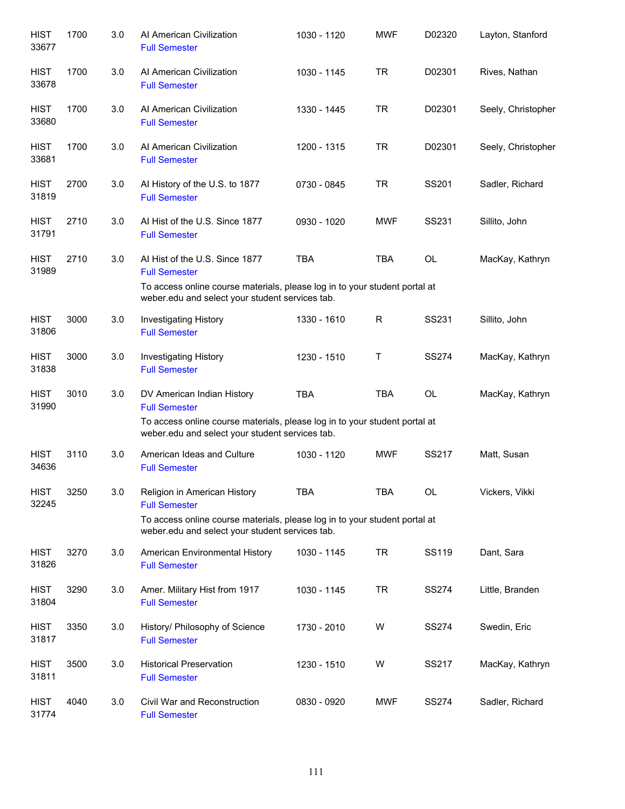| <b>HIST</b><br>33677 | 1700 | 3.0 | Al American Civilization<br><b>Full Semester</b>                                                                              | 1030 - 1120 | <b>MWF</b> | D02320       | Layton, Stanford   |
|----------------------|------|-----|-------------------------------------------------------------------------------------------------------------------------------|-------------|------------|--------------|--------------------|
| <b>HIST</b><br>33678 | 1700 | 3.0 | Al American Civilization<br><b>Full Semester</b>                                                                              | 1030 - 1145 | <b>TR</b>  | D02301       | Rives, Nathan      |
| <b>HIST</b><br>33680 | 1700 | 3.0 | Al American Civilization<br><b>Full Semester</b>                                                                              | 1330 - 1445 | <b>TR</b>  | D02301       | Seely, Christopher |
| <b>HIST</b><br>33681 | 1700 | 3.0 | Al American Civilization<br><b>Full Semester</b>                                                                              | 1200 - 1315 | <b>TR</b>  | D02301       | Seely, Christopher |
| <b>HIST</b><br>31819 | 2700 | 3.0 | Al History of the U.S. to 1877<br><b>Full Semester</b>                                                                        | 0730 - 0845 | <b>TR</b>  | SS201        | Sadler, Richard    |
| <b>HIST</b><br>31791 | 2710 | 3.0 | Al Hist of the U.S. Since 1877<br><b>Full Semester</b>                                                                        | 0930 - 1020 | <b>MWF</b> | SS231        | Sillito, John      |
| <b>HIST</b><br>31989 | 2710 | 3.0 | Al Hist of the U.S. Since 1877<br><b>Full Semester</b>                                                                        | <b>TBA</b>  | <b>TBA</b> | OL           | MacKay, Kathryn    |
|                      |      |     | To access online course materials, please log in to your student portal at<br>weber.edu and select your student services tab. |             |            |              |                    |
| <b>HIST</b><br>31806 | 3000 | 3.0 | Investigating History<br><b>Full Semester</b>                                                                                 | 1330 - 1610 | R          | SS231        | Sillito, John      |
| <b>HIST</b><br>31838 | 3000 | 3.0 | Investigating History<br><b>Full Semester</b>                                                                                 | 1230 - 1510 | Τ          | <b>SS274</b> | MacKay, Kathryn    |
| <b>HIST</b><br>31990 | 3010 | 3.0 | DV American Indian History<br><b>Full Semester</b>                                                                            | <b>TBA</b>  | <b>TBA</b> | OL           | MacKay, Kathryn    |
|                      |      |     | To access online course materials, please log in to your student portal at<br>weber.edu and select your student services tab. |             |            |              |                    |
| <b>HIST</b><br>34636 | 3110 | 3.0 | American Ideas and Culture<br><b>Full Semester</b>                                                                            | 1030 - 1120 | <b>MWF</b> | SS217        | Matt, Susan        |
| <b>HIST</b><br>32245 | 3250 | 3.0 | Religion in American History<br><b>Full Semester</b>                                                                          | TBA         | TBA        | OL           | Vickers, Vikki     |
|                      |      |     | To access online course materials, please log in to your student portal at<br>weber.edu and select your student services tab. |             |            |              |                    |
| <b>HIST</b><br>31826 | 3270 | 3.0 | American Environmental History<br><b>Full Semester</b>                                                                        | 1030 - 1145 | <b>TR</b>  | SS119        | Dant, Sara         |
| <b>HIST</b><br>31804 | 3290 | 3.0 | Amer. Military Hist from 1917<br><b>Full Semester</b>                                                                         | 1030 - 1145 | <b>TR</b>  | <b>SS274</b> | Little, Branden    |
| <b>HIST</b><br>31817 | 3350 | 3.0 | History/ Philosophy of Science<br><b>Full Semester</b>                                                                        | 1730 - 2010 | W          | <b>SS274</b> | Swedin, Eric       |
| <b>HIST</b><br>31811 | 3500 | 3.0 | <b>Historical Preservation</b><br><b>Full Semester</b>                                                                        | 1230 - 1510 | W          | SS217        | MacKay, Kathryn    |
| <b>HIST</b><br>31774 | 4040 | 3.0 | Civil War and Reconstruction<br><b>Full Semester</b>                                                                          | 0830 - 0920 | <b>MWF</b> | <b>SS274</b> | Sadler, Richard    |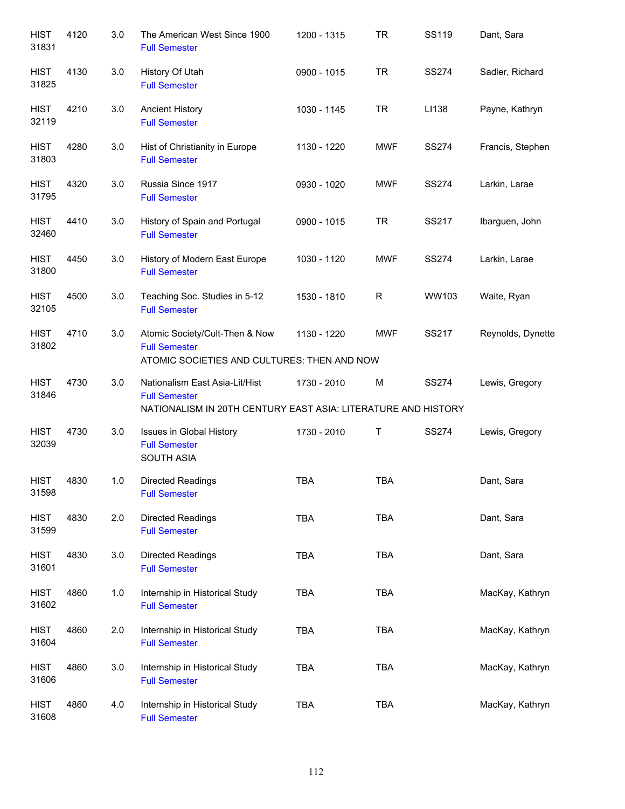| <b>HIST</b><br>31831 | 4120 | 3.0   | The American West Since 1900<br><b>Full Semester</b>                                                                    | 1200 - 1315 | <b>TR</b>   | SS119        | Dant, Sara        |
|----------------------|------|-------|-------------------------------------------------------------------------------------------------------------------------|-------------|-------------|--------------|-------------------|
| <b>HIST</b><br>31825 | 4130 | 3.0   | History Of Utah<br><b>Full Semester</b>                                                                                 | 0900 - 1015 | <b>TR</b>   | <b>SS274</b> | Sadler, Richard   |
| <b>HIST</b><br>32119 | 4210 | 3.0   | <b>Ancient History</b><br><b>Full Semester</b>                                                                          | 1030 - 1145 | <b>TR</b>   | LI138        | Payne, Kathryn    |
| <b>HIST</b><br>31803 | 4280 | 3.0   | Hist of Christianity in Europe<br><b>Full Semester</b>                                                                  | 1130 - 1220 | <b>MWF</b>  | <b>SS274</b> | Francis, Stephen  |
| <b>HIST</b><br>31795 | 4320 | 3.0   | Russia Since 1917<br><b>Full Semester</b>                                                                               | 0930 - 1020 | <b>MWF</b>  | <b>SS274</b> | Larkin, Larae     |
| <b>HIST</b><br>32460 | 4410 | 3.0   | History of Spain and Portugal<br><b>Full Semester</b>                                                                   | 0900 - 1015 | <b>TR</b>   | SS217        | Ibarguen, John    |
| <b>HIST</b><br>31800 | 4450 | 3.0   | History of Modern East Europe<br><b>Full Semester</b>                                                                   | 1030 - 1120 | <b>MWF</b>  | <b>SS274</b> | Larkin, Larae     |
| <b>HIST</b><br>32105 | 4500 | 3.0   | Teaching Soc. Studies in 5-12<br><b>Full Semester</b>                                                                   | 1530 - 1810 | $\mathsf R$ | WW103        | Waite, Ryan       |
| <b>HIST</b><br>31802 | 4710 | 3.0   | Atomic Society/Cult-Then & Now<br><b>Full Semester</b><br>ATOMIC SOCIETIES AND CULTURES: THEN AND NOW                   | 1130 - 1220 | <b>MWF</b>  | SS217        | Reynolds, Dynette |
| <b>HIST</b><br>31846 | 4730 | 3.0   | Nationalism East Asia-Lit/Hist<br><b>Full Semester</b><br>NATIONALISM IN 20TH CENTURY EAST ASIA: LITERATURE AND HISTORY | 1730 - 2010 | M           | <b>SS274</b> | Lewis, Gregory    |
| <b>HIST</b><br>32039 | 4730 | 3.0   | Issues in Global History<br><b>Full Semester</b><br>SOUTH ASIA                                                          | 1730 - 2010 | Т           | <b>SS274</b> | Lewis, Gregory    |
| <b>HIST</b><br>31598 | 4830 | 1.0   | <b>Directed Readings</b><br><b>Full Semester</b>                                                                        | <b>TBA</b>  | <b>TBA</b>  |              | Dant, Sara        |
| <b>HIST</b><br>31599 | 4830 | 2.0   | <b>Directed Readings</b><br><b>Full Semester</b>                                                                        | <b>TBA</b>  | <b>TBA</b>  |              | Dant, Sara        |
| <b>HIST</b><br>31601 | 4830 | 3.0   | <b>Directed Readings</b><br><b>Full Semester</b>                                                                        | <b>TBA</b>  | <b>TBA</b>  |              | Dant, Sara        |
| <b>HIST</b><br>31602 | 4860 | $1.0$ | Internship in Historical Study<br><b>Full Semester</b>                                                                  | TBA         | <b>TBA</b>  |              | MacKay, Kathryn   |
| <b>HIST</b><br>31604 | 4860 | 2.0   | Internship in Historical Study<br><b>Full Semester</b>                                                                  | <b>TBA</b>  | <b>TBA</b>  |              | MacKay, Kathryn   |
| <b>HIST</b><br>31606 | 4860 | 3.0   | Internship in Historical Study<br><b>Full Semester</b>                                                                  | <b>TBA</b>  | <b>TBA</b>  |              | MacKay, Kathryn   |
| <b>HIST</b><br>31608 | 4860 | 4.0   | Internship in Historical Study<br><b>Full Semester</b>                                                                  | <b>TBA</b>  | <b>TBA</b>  |              | MacKay, Kathryn   |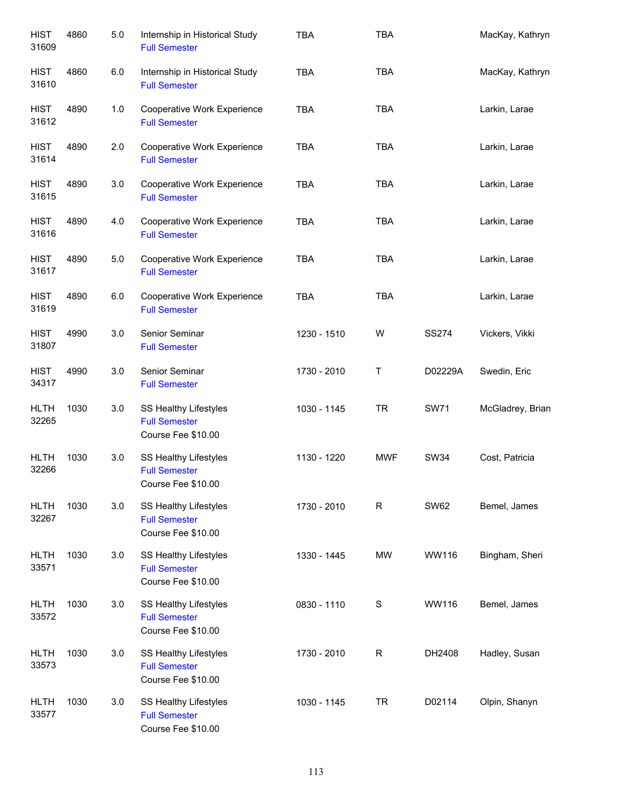| <b>HIST</b><br>31609 | 4860 | 5.0 | Internship in Historical Study<br><b>Full Semester</b>              | <b>TBA</b>  | TBA         |              | MacKay, Kathryn  |
|----------------------|------|-----|---------------------------------------------------------------------|-------------|-------------|--------------|------------------|
| <b>HIST</b><br>31610 | 4860 | 6.0 | Internship in Historical Study<br><b>Full Semester</b>              | <b>TBA</b>  | <b>TBA</b>  |              | MacKay, Kathryn  |
| <b>HIST</b><br>31612 | 4890 | 1.0 | Cooperative Work Experience<br><b>Full Semester</b>                 | <b>TBA</b>  | <b>TBA</b>  |              | Larkin, Larae    |
| <b>HIST</b><br>31614 | 4890 | 2.0 | Cooperative Work Experience<br><b>Full Semester</b>                 | <b>TBA</b>  | <b>TBA</b>  |              | Larkin, Larae    |
| <b>HIST</b><br>31615 | 4890 | 3.0 | Cooperative Work Experience<br><b>Full Semester</b>                 | <b>TBA</b>  | <b>TBA</b>  |              | Larkin, Larae    |
| <b>HIST</b><br>31616 | 4890 | 4.0 | Cooperative Work Experience<br><b>Full Semester</b>                 | <b>TBA</b>  | <b>TBA</b>  |              | Larkin, Larae    |
| <b>HIST</b><br>31617 | 4890 | 5.0 | Cooperative Work Experience<br><b>Full Semester</b>                 | <b>TBA</b>  | <b>TBA</b>  |              | Larkin, Larae    |
| <b>HIST</b><br>31619 | 4890 | 6.0 | Cooperative Work Experience<br><b>Full Semester</b>                 | <b>TBA</b>  | <b>TBA</b>  |              | Larkin, Larae    |
| <b>HIST</b><br>31807 | 4990 | 3.0 | Senior Seminar<br><b>Full Semester</b>                              | 1230 - 1510 | W           | <b>SS274</b> | Vickers, Vikki   |
| <b>HIST</b><br>34317 | 4990 | 3.0 | Senior Seminar<br><b>Full Semester</b>                              | 1730 - 2010 | Τ           | D02229A      | Swedin, Eric     |
| <b>HLTH</b><br>32265 | 1030 | 3.0 | SS Healthy Lifestyles<br><b>Full Semester</b><br>Course Fee \$10.00 | 1030 - 1145 | <b>TR</b>   | <b>SW71</b>  | McGladrey, Brian |
| <b>HLTH</b><br>32266 | 1030 | 3.0 | SS Healthy Lifestyles<br><b>Full Semester</b><br>Course Fee \$10.00 | 1130 - 1220 | <b>MWF</b>  | <b>SW34</b>  | Cost, Patricia   |
| <b>HLTH</b><br>32267 | 1030 | 3.0 | SS Healthy Lifestyles<br><b>Full Semester</b><br>Course Fee \$10.00 | 1730 - 2010 | $\mathsf R$ | <b>SW62</b>  | Bemel, James     |
| <b>HLTH</b><br>33571 | 1030 | 3.0 | SS Healthy Lifestyles<br><b>Full Semester</b><br>Course Fee \$10.00 | 1330 - 1445 | <b>MW</b>   | WW116        | Bingham, Sheri   |
| <b>HLTH</b><br>33572 | 1030 | 3.0 | SS Healthy Lifestyles<br><b>Full Semester</b><br>Course Fee \$10.00 | 0830 - 1110 | $\mathbf S$ | WW116        | Bemel, James     |
| <b>HLTH</b><br>33573 | 1030 | 3.0 | SS Healthy Lifestyles<br><b>Full Semester</b><br>Course Fee \$10.00 | 1730 - 2010 | $\mathsf R$ | DH2408       | Hadley, Susan    |
| <b>HLTH</b><br>33577 | 1030 | 3.0 | SS Healthy Lifestyles<br><b>Full Semester</b><br>Course Fee \$10.00 | 1030 - 1145 | <b>TR</b>   | D02114       | Olpin, Shanyn    |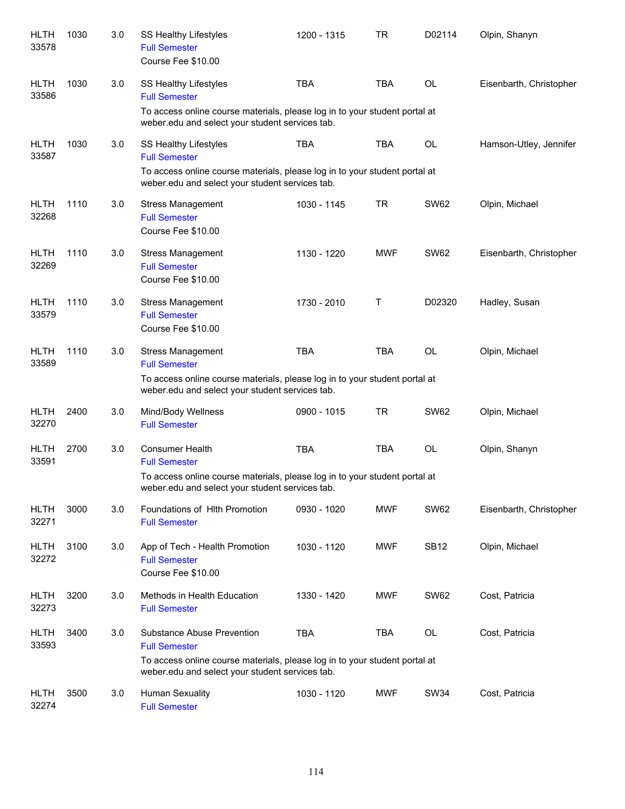| <b>HLTH</b><br>33578 | 1030 | 3.0 | SS Healthy Lifestyles<br><b>Full Semester</b><br>Course Fee \$10.00                                                                                                               | 1200 - 1315 | TR         | D02114      | Olpin, Shanyn           |
|----------------------|------|-----|-----------------------------------------------------------------------------------------------------------------------------------------------------------------------------------|-------------|------------|-------------|-------------------------|
| <b>HLTH</b><br>33586 | 1030 | 3.0 | SS Healthy Lifestyles<br><b>Full Semester</b>                                                                                                                                     | <b>TBA</b>  | <b>TBA</b> | OL          | Eisenbarth, Christopher |
|                      |      |     | To access online course materials, please log in to your student portal at<br>weber.edu and select your student services tab.                                                     |             |            |             |                         |
| <b>HLTH</b><br>33587 | 1030 | 3.0 | SS Healthy Lifestyles<br><b>Full Semester</b>                                                                                                                                     | <b>TBA</b>  | <b>TBA</b> | OL          | Hamson-Utley, Jennifer  |
|                      |      |     | To access online course materials, please log in to your student portal at<br>weber.edu and select your student services tab.                                                     |             |            |             |                         |
| <b>HLTH</b><br>32268 | 1110 | 3.0 | <b>Stress Management</b><br><b>Full Semester</b><br>Course Fee \$10.00                                                                                                            | 1030 - 1145 | <b>TR</b>  | <b>SW62</b> | Olpin, Michael          |
| <b>HLTH</b><br>32269 | 1110 | 3.0 | <b>Stress Management</b><br><b>Full Semester</b><br>Course Fee \$10.00                                                                                                            | 1130 - 1220 | <b>MWF</b> | <b>SW62</b> | Eisenbarth, Christopher |
| <b>HLTH</b><br>33579 | 1110 | 3.0 | <b>Stress Management</b><br><b>Full Semester</b><br>Course Fee \$10.00                                                                                                            | 1730 - 2010 | Τ          | D02320      | Hadley, Susan           |
| <b>HLTH</b><br>33589 | 1110 | 3.0 | <b>Stress Management</b><br><b>Full Semester</b><br>To access online course materials, please log in to your student portal at<br>weber.edu and select your student services tab. | <b>TBA</b>  | <b>TBA</b> | OL          | Olpin, Michael          |
| <b>HLTH</b><br>32270 | 2400 | 3.0 | Mind/Body Wellness<br><b>Full Semester</b>                                                                                                                                        | 0900 - 1015 | <b>TR</b>  | <b>SW62</b> | Olpin, Michael          |
| <b>HLTH</b><br>33591 | 2700 | 3.0 | <b>Consumer Health</b><br><b>Full Semester</b>                                                                                                                                    | <b>TBA</b>  | <b>TBA</b> | OL          | Olpin, Shanyn           |
|                      |      |     | To access online course materials, please log in to your student portal at<br>weber.edu and select your student services tab.                                                     |             |            |             |                         |
| <b>HLTH</b><br>32271 | 3000 | 3.0 | Foundations of Hith Promotion<br><b>Full Semester</b>                                                                                                                             | 0930 - 1020 | <b>MWF</b> | <b>SW62</b> | Eisenbarth, Christopher |
| <b>HLTH</b><br>32272 | 3100 | 3.0 | App of Tech - Health Promotion<br><b>Full Semester</b><br>Course Fee \$10.00                                                                                                      | 1030 - 1120 | <b>MWF</b> | <b>SB12</b> | Olpin, Michael          |
| <b>HLTH</b><br>32273 | 3200 | 3.0 | Methods in Health Education<br><b>Full Semester</b>                                                                                                                               | 1330 - 1420 | <b>MWF</b> | <b>SW62</b> | Cost, Patricia          |
| <b>HLTH</b><br>33593 | 3400 | 3.0 | Substance Abuse Prevention<br><b>Full Semester</b>                                                                                                                                | <b>TBA</b>  | <b>TBA</b> | OL          | Cost, Patricia          |
|                      |      |     | To access online course materials, please log in to your student portal at<br>weber.edu and select your student services tab.                                                     |             |            |             |                         |
| <b>HLTH</b><br>32274 | 3500 | 3.0 | <b>Human Sexuality</b><br><b>Full Semester</b>                                                                                                                                    | 1030 - 1120 | <b>MWF</b> | SW34        | Cost, Patricia          |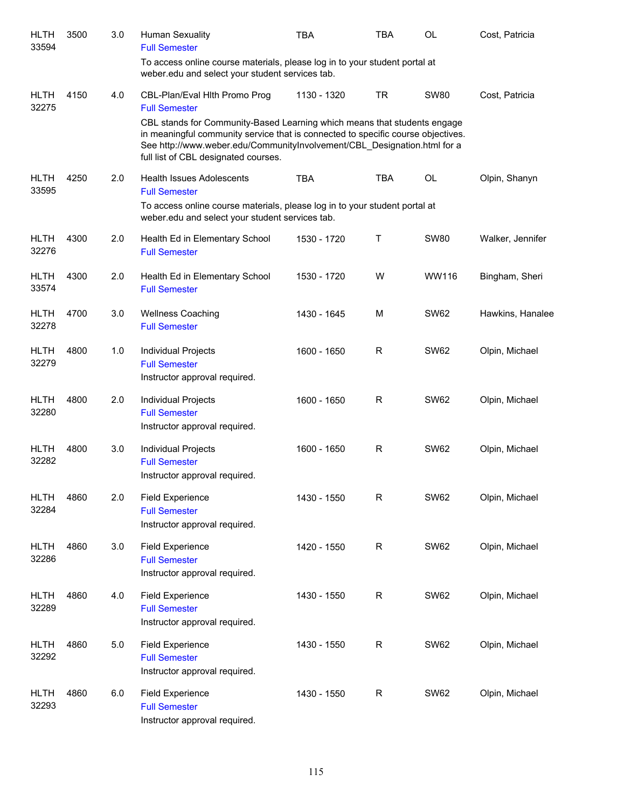| HLTH<br>33594        | 3500 | 3.0 | <b>Human Sexuality</b><br><b>Full Semester</b>                                                                                                                                                                                                                                   | TBA         | TBA         | OL          | Cost, Patricia   |
|----------------------|------|-----|----------------------------------------------------------------------------------------------------------------------------------------------------------------------------------------------------------------------------------------------------------------------------------|-------------|-------------|-------------|------------------|
|                      |      |     | To access online course materials, please log in to your student portal at<br>weber.edu and select your student services tab.                                                                                                                                                    |             |             |             |                  |
| <b>HLTH</b><br>32275 | 4150 | 4.0 | CBL-Plan/Eval Hith Promo Prog<br><b>Full Semester</b>                                                                                                                                                                                                                            | 1130 - 1320 | <b>TR</b>   | <b>SW80</b> | Cost, Patricia   |
|                      |      |     | CBL stands for Community-Based Learning which means that students engage<br>in meaningful community service that is connected to specific course objectives.<br>See http://www.weber.edu/CommunityInvolvement/CBL_Designation.html for a<br>full list of CBL designated courses. |             |             |             |                  |
| <b>HLTH</b><br>33595 | 4250 | 2.0 | <b>Health Issues Adolescents</b><br><b>Full Semester</b>                                                                                                                                                                                                                         | <b>TBA</b>  | <b>TBA</b>  | OL          | Olpin, Shanyn    |
|                      |      |     | To access online course materials, please log in to your student portal at<br>weber.edu and select your student services tab.                                                                                                                                                    |             |             |             |                  |
| <b>HLTH</b><br>32276 | 4300 | 2.0 | Health Ed in Elementary School<br><b>Full Semester</b>                                                                                                                                                                                                                           | 1530 - 1720 | Т           | <b>SW80</b> | Walker, Jennifer |
| <b>HLTH</b><br>33574 | 4300 | 2.0 | Health Ed in Elementary School<br><b>Full Semester</b>                                                                                                                                                                                                                           | 1530 - 1720 | W           | WW116       | Bingham, Sheri   |
| <b>HLTH</b><br>32278 | 4700 | 3.0 | <b>Wellness Coaching</b><br><b>Full Semester</b>                                                                                                                                                                                                                                 | 1430 - 1645 | M           | <b>SW62</b> | Hawkins, Hanalee |
| <b>HLTH</b><br>32279 | 4800 | 1.0 | Individual Projects<br><b>Full Semester</b><br>Instructor approval required.                                                                                                                                                                                                     | 1600 - 1650 | R           | <b>SW62</b> | Olpin, Michael   |
| <b>HLTH</b><br>32280 | 4800 | 2.0 | Individual Projects<br><b>Full Semester</b><br>Instructor approval required.                                                                                                                                                                                                     | 1600 - 1650 | R           | <b>SW62</b> | Olpin, Michael   |
| <b>HLTH</b><br>32282 | 4800 | 3.0 | Individual Projects<br><b>Full Semester</b><br>Instructor approval required.                                                                                                                                                                                                     | 1600 - 1650 | $\mathsf R$ | <b>SW62</b> | Olpin, Michael   |
| <b>HLTH</b><br>32284 | 4860 | 2.0 | <b>Field Experience</b><br><b>Full Semester</b><br>Instructor approval required.                                                                                                                                                                                                 | 1430 - 1550 | $\mathsf R$ | <b>SW62</b> | Olpin, Michael   |
| <b>HLTH</b><br>32286 | 4860 | 3.0 | <b>Field Experience</b><br><b>Full Semester</b><br>Instructor approval required.                                                                                                                                                                                                 | 1420 - 1550 | $\mathsf R$ | <b>SW62</b> | Olpin, Michael   |
| <b>HLTH</b><br>32289 | 4860 | 4.0 | <b>Field Experience</b><br><b>Full Semester</b><br>Instructor approval required.                                                                                                                                                                                                 | 1430 - 1550 | R           | <b>SW62</b> | Olpin, Michael   |
| <b>HLTH</b><br>32292 | 4860 | 5.0 | <b>Field Experience</b><br><b>Full Semester</b><br>Instructor approval required.                                                                                                                                                                                                 | 1430 - 1550 | R           | <b>SW62</b> | Olpin, Michael   |
| <b>HLTH</b><br>32293 | 4860 | 6.0 | <b>Field Experience</b><br><b>Full Semester</b><br>Instructor approval required.                                                                                                                                                                                                 | 1430 - 1550 | R           | <b>SW62</b> | Olpin, Michael   |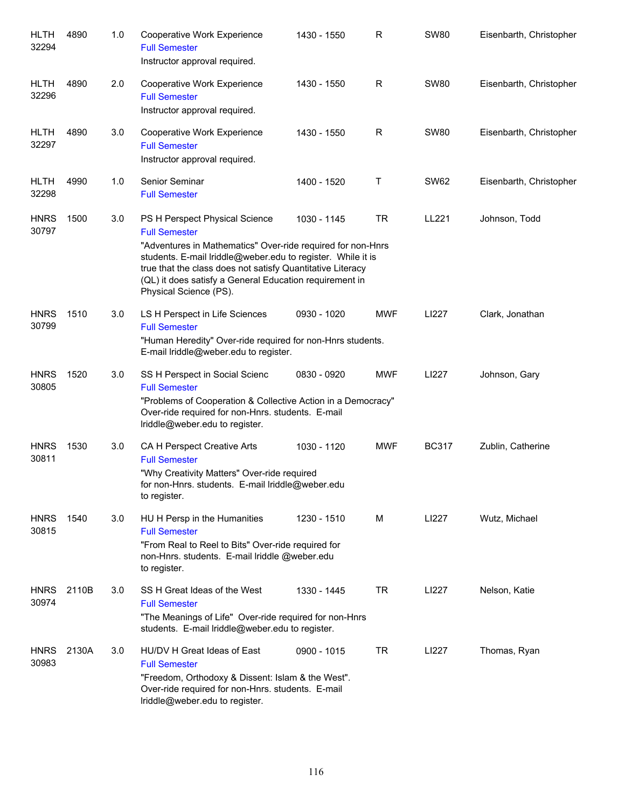| <b>HLTH</b><br>32294 | 4890  | 1.0 | Cooperative Work Experience<br><b>Full Semester</b><br>Instructor approval required.                                                                                                                                                                                                                                                    | 1430 - 1550 | R          | <b>SW80</b>  | Eisenbarth, Christopher |
|----------------------|-------|-----|-----------------------------------------------------------------------------------------------------------------------------------------------------------------------------------------------------------------------------------------------------------------------------------------------------------------------------------------|-------------|------------|--------------|-------------------------|
| <b>HLTH</b><br>32296 | 4890  | 2.0 | Cooperative Work Experience<br><b>Full Semester</b><br>Instructor approval required.                                                                                                                                                                                                                                                    | 1430 - 1550 | R          | <b>SW80</b>  | Eisenbarth, Christopher |
| <b>HLTH</b><br>32297 | 4890  | 3.0 | Cooperative Work Experience<br><b>Full Semester</b><br>Instructor approval required.                                                                                                                                                                                                                                                    | 1430 - 1550 | R          | <b>SW80</b>  | Eisenbarth, Christopher |
| <b>HLTH</b><br>32298 | 4990  | 1.0 | Senior Seminar<br><b>Full Semester</b>                                                                                                                                                                                                                                                                                                  | 1400 - 1520 | Т          | <b>SW62</b>  | Eisenbarth, Christopher |
| <b>HNRS</b><br>30797 | 1500  | 3.0 | PS H Perspect Physical Science<br><b>Full Semester</b><br>"Adventures in Mathematics" Over-ride required for non-Hnrs<br>students. E-mail lriddle@weber.edu to register. While it is<br>true that the class does not satisfy Quantitative Literacy<br>(QL) it does satisfy a General Education requirement in<br>Physical Science (PS). | 1030 - 1145 | <b>TR</b>  | LL221        | Johnson, Todd           |
| <b>HNRS</b><br>30799 | 1510  | 3.0 | LS H Perspect in Life Sciences<br><b>Full Semester</b><br>"Human Heredity" Over-ride required for non-Hnrs students.<br>E-mail Iriddle@weber.edu to register.                                                                                                                                                                           | 0930 - 1020 | <b>MWF</b> | LI227        | Clark, Jonathan         |
| <b>HNRS</b><br>30805 | 1520  | 3.0 | SS H Perspect in Social Scienc<br><b>Full Semester</b><br>"Problems of Cooperation & Collective Action in a Democracy"<br>Over-ride required for non-Hnrs. students. E-mail<br>Iriddle@weber.edu to register.                                                                                                                           | 0830 - 0920 | <b>MWF</b> | LI227        | Johnson, Gary           |
| <b>HNRS</b><br>30811 | 1530  | 3.0 | CA H Perspect Creative Arts<br><b>Full Semester</b><br>"Why Creativity Matters" Over-ride required<br>for non-Hnrs. students. E-mail lriddle@weber.edu<br>to register.                                                                                                                                                                  | 1030 - 1120 | <b>MWF</b> | <b>BC317</b> | Zublin, Catherine       |
| <b>HNRS</b><br>30815 | 1540  | 3.0 | HU H Persp in the Humanities<br><b>Full Semester</b><br>"From Real to Reel to Bits" Over-ride required for<br>non-Hnrs. students. E-mail Iriddle @weber.edu<br>to register.                                                                                                                                                             | 1230 - 1510 | M          | LI227        | Wutz, Michael           |
| <b>HNRS</b><br>30974 | 2110B | 3.0 | SS H Great Ideas of the West<br><b>Full Semester</b><br>"The Meanings of Life" Over-ride required for non-Hnrs<br>students. E-mail lriddle@weber.edu to register.                                                                                                                                                                       | 1330 - 1445 | <b>TR</b>  | LI227        | Nelson, Katie           |
| <b>HNRS</b><br>30983 | 2130A | 3.0 | HU/DV H Great Ideas of East<br><b>Full Semester</b><br>"Freedom, Orthodoxy & Dissent: Islam & the West".<br>Over-ride required for non-Hnrs. students. E-mail<br>Iriddle@weber.edu to register.                                                                                                                                         | 0900 - 1015 | TR         | LI227        | Thomas, Ryan            |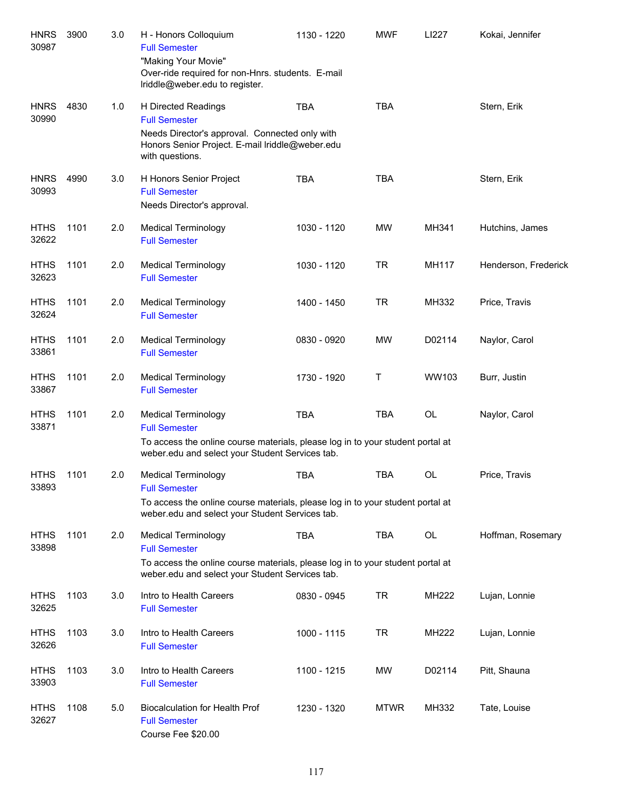| <b>HNRS</b><br>30987 | 3900 | 3.0 | H - Honors Colloquium<br><b>Full Semester</b><br>"Making Your Movie"<br>Over-ride required for non-Hnrs. students. E-mail<br>Iriddle@weber.edu to register.         | 1130 - 1220 | <b>MWF</b>  | LI227     | Kokai, Jennifer      |
|----------------------|------|-----|---------------------------------------------------------------------------------------------------------------------------------------------------------------------|-------------|-------------|-----------|----------------------|
| <b>HNRS</b><br>30990 | 4830 | 1.0 | H Directed Readings<br><b>Full Semester</b><br>Needs Director's approval. Connected only with<br>Honors Senior Project. E-mail Iriddle@weber.edu<br>with questions. | <b>TBA</b>  | <b>TBA</b>  |           | Stern, Erik          |
| <b>HNRS</b><br>30993 | 4990 | 3.0 | H Honors Senior Project<br><b>Full Semester</b><br>Needs Director's approval.                                                                                       | <b>TBA</b>  | <b>TBA</b>  |           | Stern, Erik          |
| <b>HTHS</b><br>32622 | 1101 | 2.0 | <b>Medical Terminology</b><br><b>Full Semester</b>                                                                                                                  | 1030 - 1120 | <b>MW</b>   | MH341     | Hutchins, James      |
| <b>HTHS</b><br>32623 | 1101 | 2.0 | <b>Medical Terminology</b><br><b>Full Semester</b>                                                                                                                  | 1030 - 1120 | <b>TR</b>   | MH117     | Henderson, Frederick |
| <b>HTHS</b><br>32624 | 1101 | 2.0 | <b>Medical Terminology</b><br><b>Full Semester</b>                                                                                                                  | 1400 - 1450 | <b>TR</b>   | MH332     | Price, Travis        |
| <b>HTHS</b><br>33861 | 1101 | 2.0 | <b>Medical Terminology</b><br><b>Full Semester</b>                                                                                                                  | 0830 - 0920 | <b>MW</b>   | D02114    | Naylor, Carol        |
| <b>HTHS</b><br>33867 | 1101 | 2.0 | <b>Medical Terminology</b><br><b>Full Semester</b>                                                                                                                  | 1730 - 1920 | Τ           | WW103     | Burr, Justin         |
| <b>HTHS</b><br>33871 | 1101 | 2.0 | <b>Medical Terminology</b><br><b>Full Semester</b>                                                                                                                  | <b>TBA</b>  | <b>TBA</b>  | OL        | Naylor, Carol        |
|                      |      |     | To access the online course materials, please log in to your student portal at<br>weber.edu and select your Student Services tab.                                   |             |             |           |                      |
| <b>HTHS</b><br>33893 | 1101 | 2.0 | <b>Medical Terminology</b><br><b>Full Semester</b>                                                                                                                  | <b>TBA</b>  | <b>TBA</b>  | <b>OL</b> | Price, Travis        |
|                      |      |     | To access the online course materials, please log in to your student portal at<br>weber.edu and select your Student Services tab.                                   |             |             |           |                      |
| <b>HTHS</b><br>33898 | 1101 | 2.0 | <b>Medical Terminology</b><br><b>Full Semester</b><br>To access the online course materials, please log in to your student portal at                                | <b>TBA</b>  | <b>TBA</b>  | OL        | Hoffman, Rosemary    |
|                      |      |     | weber.edu and select your Student Services tab.                                                                                                                     |             |             |           |                      |
| <b>HTHS</b><br>32625 | 1103 | 3.0 | Intro to Health Careers<br><b>Full Semester</b>                                                                                                                     | 0830 - 0945 | <b>TR</b>   | MH222     | Lujan, Lonnie        |
| <b>HTHS</b><br>32626 | 1103 | 3.0 | Intro to Health Careers<br><b>Full Semester</b>                                                                                                                     | 1000 - 1115 | <b>TR</b>   | MH222     | Lujan, Lonnie        |
| <b>HTHS</b><br>33903 | 1103 | 3.0 | Intro to Health Careers<br><b>Full Semester</b>                                                                                                                     | 1100 - 1215 | MW          | D02114    | Pitt, Shauna         |
| <b>HTHS</b><br>32627 | 1108 | 5.0 | <b>Biocalculation for Health Prof</b><br><b>Full Semester</b><br>Course Fee \$20.00                                                                                 | 1230 - 1320 | <b>MTWR</b> | MH332     | Tate, Louise         |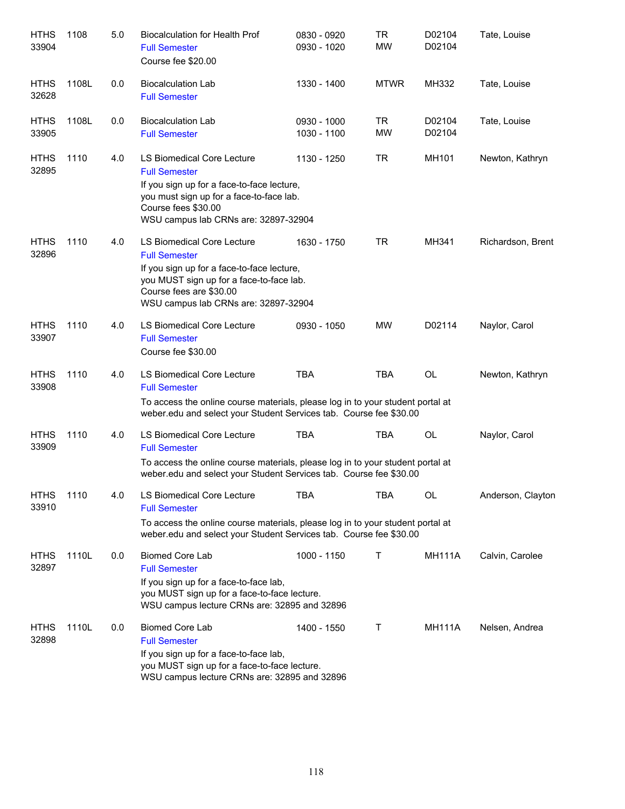| <b>HTHS</b><br>33904 | 1108  | 5.0 | <b>Biocalculation for Health Prof</b><br><b>Full Semester</b><br>Course fee \$20.00                                                                                                                                | 0830 - 0920<br>0930 - 1020 | <b>TR</b><br><b>MW</b> | D02104<br>D02104 | Tate, Louise      |
|----------------------|-------|-----|--------------------------------------------------------------------------------------------------------------------------------------------------------------------------------------------------------------------|----------------------------|------------------------|------------------|-------------------|
| <b>HTHS</b><br>32628 | 1108L | 0.0 | <b>Biocalculation Lab</b><br><b>Full Semester</b>                                                                                                                                                                  | 1330 - 1400                | <b>MTWR</b>            | MH332            | Tate, Louise      |
| <b>HTHS</b><br>33905 | 1108L | 0.0 | <b>Biocalculation Lab</b><br><b>Full Semester</b>                                                                                                                                                                  | 0930 - 1000<br>1030 - 1100 | <b>TR</b><br><b>MW</b> | D02104<br>D02104 | Tate, Louise      |
| <b>HTHS</b><br>32895 | 1110  | 4.0 | <b>LS Biomedical Core Lecture</b><br><b>Full Semester</b><br>If you sign up for a face-to-face lecture,<br>you must sign up for a face-to-face lab.<br>Course fees \$30.00<br>WSU campus lab CRNs are: 32897-32904 | 1130 - 1250                | <b>TR</b>              | MH101            | Newton, Kathryn   |
| <b>HTHS</b><br>32896 | 1110  | 4.0 | LS Biomedical Core Lecture<br><b>Full Semester</b><br>If you sign up for a face-to-face lecture,<br>you MUST sign up for a face-to-face lab.<br>Course fees are \$30.00<br>WSU campus lab CRNs are: 32897-32904    | 1630 - 1750                | <b>TR</b>              | MH341            | Richardson, Brent |
| <b>HTHS</b><br>33907 | 1110  | 4.0 | LS Biomedical Core Lecture<br><b>Full Semester</b><br>Course fee \$30.00                                                                                                                                           | 0930 - 1050                | <b>MW</b>              | D02114           | Naylor, Carol     |
| <b>HTHS</b><br>33908 | 1110  | 4.0 | LS Biomedical Core Lecture<br><b>Full Semester</b><br>To access the online course materials, please log in to your student portal at<br>weber.edu and select your Student Services tab. Course fee \$30.00         | <b>TBA</b>                 | <b>TBA</b>             | <b>OL</b>        | Newton, Kathryn   |
| <b>HTHS</b><br>33909 | 1110  | 4.0 | LS Biomedical Core Lecture<br><b>Full Semester</b><br>To access the online course materials, please log in to your student portal at<br>weber.edu and select your Student Services tab. Course fee \$30.00         | <b>TBA</b>                 | <b>TBA</b>             | OL               | Naylor, Carol     |
| <b>HTHS</b><br>33910 | 1110  | 4.0 | LS Biomedical Core Lecture<br><b>Full Semester</b><br>To access the online course materials, please log in to your student portal at<br>weber.edu and select your Student Services tab. Course fee \$30.00         | <b>TBA</b>                 | <b>TBA</b>             | OL               | Anderson, Clayton |
| <b>HTHS</b><br>32897 | 1110L | 0.0 | <b>Biomed Core Lab</b><br><b>Full Semester</b><br>If you sign up for a face-to-face lab,<br>you MUST sign up for a face-to-face lecture.<br>WSU campus lecture CRNs are: 32895 and 32896                           | 1000 - 1150                | т                      | <b>MH111A</b>    | Calvin, Carolee   |
| <b>HTHS</b><br>32898 | 1110L | 0.0 | <b>Biomed Core Lab</b><br><b>Full Semester</b><br>If you sign up for a face-to-face lab,<br>you MUST sign up for a face-to-face lecture.<br>WSU campus lecture CRNs are: 32895 and 32896                           | 1400 - 1550                | Τ                      | <b>MH111A</b>    | Nelsen, Andrea    |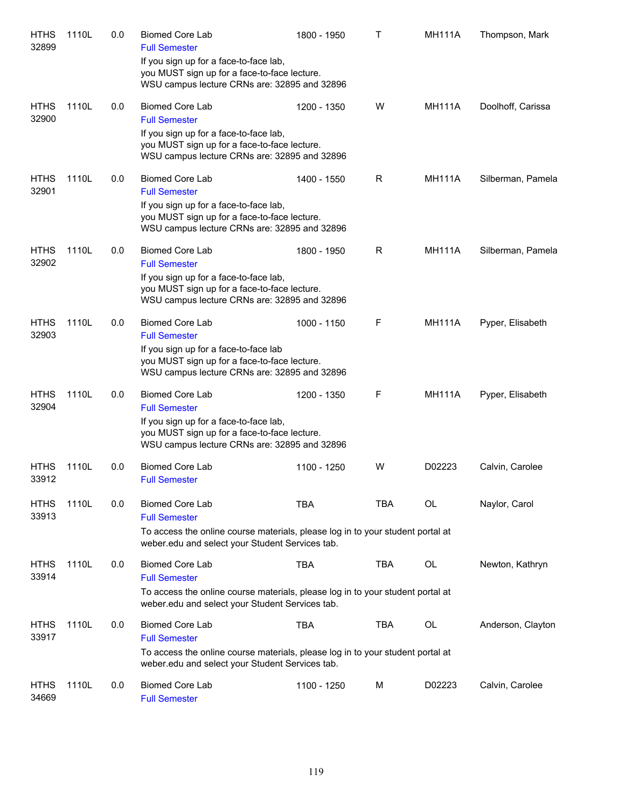| <b>HTHS</b><br>32899 | 1110L | 0.0 | <b>Biomed Core Lab</b><br><b>Full Semester</b><br>If you sign up for a face-to-face lab,<br>you MUST sign up for a face-to-face lecture.                                                                                                 | 1800 - 1950 | Τ          | <b>MH111A</b> | Thompson, Mark    |
|----------------------|-------|-----|------------------------------------------------------------------------------------------------------------------------------------------------------------------------------------------------------------------------------------------|-------------|------------|---------------|-------------------|
| <b>HTHS</b><br>32900 | 1110L | 0.0 | WSU campus lecture CRNs are: 32895 and 32896<br><b>Biomed Core Lab</b><br><b>Full Semester</b><br>If you sign up for a face-to-face lab,<br>you MUST sign up for a face-to-face lecture.<br>WSU campus lecture CRNs are: 32895 and 32896 | 1200 - 1350 | W          | <b>MH111A</b> | Doolhoff, Carissa |
| <b>HTHS</b><br>32901 | 1110L | 0.0 | <b>Biomed Core Lab</b><br><b>Full Semester</b><br>If you sign up for a face-to-face lab,<br>you MUST sign up for a face-to-face lecture.<br>WSU campus lecture CRNs are: 32895 and 32896                                                 | 1400 - 1550 | R          | <b>MH111A</b> | Silberman, Pamela |
| <b>HTHS</b><br>32902 | 1110L | 0.0 | Biomed Core Lab<br><b>Full Semester</b><br>If you sign up for a face-to-face lab,<br>you MUST sign up for a face-to-face lecture.<br>WSU campus lecture CRNs are: 32895 and 32896                                                        | 1800 - 1950 | R          | <b>MH111A</b> | Silberman, Pamela |
| <b>HTHS</b><br>32903 | 1110L | 0.0 | <b>Biomed Core Lab</b><br><b>Full Semester</b><br>If you sign up for a face-to-face lab<br>you MUST sign up for a face-to-face lecture.<br>WSU campus lecture CRNs are: 32895 and 32896                                                  | 1000 - 1150 | F          | <b>MH111A</b> | Pyper, Elisabeth  |
| <b>HTHS</b><br>32904 | 1110L | 0.0 | <b>Biomed Core Lab</b><br><b>Full Semester</b><br>If you sign up for a face-to-face lab,<br>you MUST sign up for a face-to-face lecture.<br>WSU campus lecture CRNs are: 32895 and 32896                                                 | 1200 - 1350 | F          | <b>MH111A</b> | Pyper, Elisabeth  |
| <b>HTHS</b><br>33912 | 1110L | 0.0 | <b>Biomed Core Lab</b><br><b>Full Semester</b>                                                                                                                                                                                           | 1100 - 1250 | W          | D02223        | Calvin, Carolee   |
| <b>HTHS</b><br>33913 | 1110L | 0.0 | <b>Biomed Core Lab</b><br><b>Full Semester</b><br>To access the online course materials, please log in to your student portal at<br>weber.edu and select your Student Services tab.                                                      | <b>TBA</b>  | <b>TBA</b> | OL            | Naylor, Carol     |
| <b>HTHS</b><br>33914 | 1110L | 0.0 | <b>Biomed Core Lab</b><br><b>Full Semester</b><br>To access the online course materials, please log in to your student portal at<br>weber.edu and select your Student Services tab.                                                      | TBA         | <b>TBA</b> | OL            | Newton, Kathryn   |
| <b>HTHS</b><br>33917 | 1110L | 0.0 | <b>Biomed Core Lab</b><br><b>Full Semester</b><br>To access the online course materials, please log in to your student portal at<br>weber.edu and select your Student Services tab.                                                      | <b>TBA</b>  | <b>TBA</b> | OL            | Anderson, Clayton |
| <b>HTHS</b><br>34669 | 1110L | 0.0 | <b>Biomed Core Lab</b><br><b>Full Semester</b>                                                                                                                                                                                           | 1100 - 1250 | M          | D02223        | Calvin, Carolee   |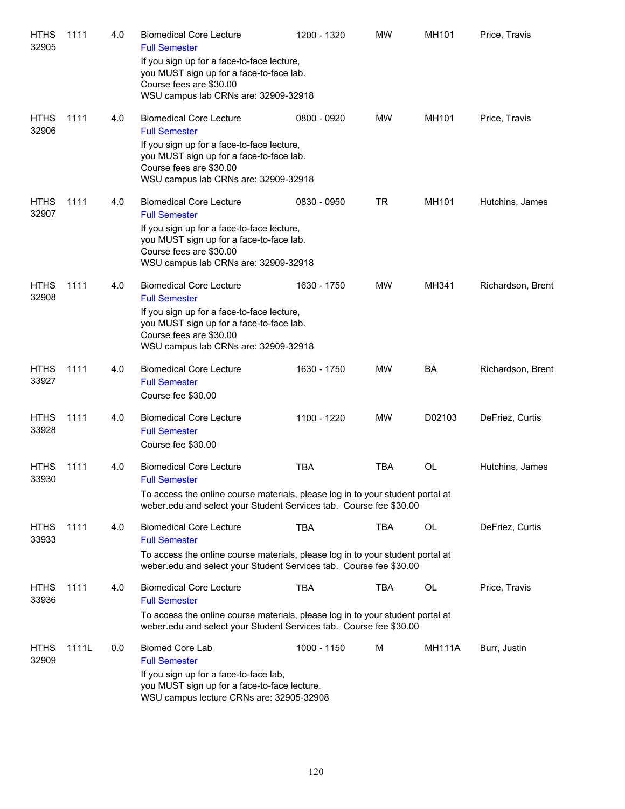| <b>HTHS</b><br>32905 | 1111  | 4.0 | <b>Biomedical Core Lecture</b><br><b>Full Semester</b>                                                                                                    | 1200 - 1320 | <b>MW</b>  | MH101         | Price, Travis     |
|----------------------|-------|-----|-----------------------------------------------------------------------------------------------------------------------------------------------------------|-------------|------------|---------------|-------------------|
|                      |       |     | If you sign up for a face-to-face lecture,<br>you MUST sign up for a face-to-face lab.<br>Course fees are \$30.00                                         |             |            |               |                   |
|                      |       |     | WSU campus lab CRNs are: 32909-32918                                                                                                                      |             |            |               |                   |
| <b>HTHS</b><br>32906 | 1111  | 4.0 | <b>Biomedical Core Lecture</b><br><b>Full Semester</b>                                                                                                    | 0800 - 0920 | <b>MW</b>  | MH101         | Price, Travis     |
|                      |       |     | If you sign up for a face-to-face lecture,<br>you MUST sign up for a face-to-face lab.<br>Course fees are \$30.00<br>WSU campus lab CRNs are: 32909-32918 |             |            |               |                   |
| <b>HTHS</b><br>32907 | 1111  | 4.0 | <b>Biomedical Core Lecture</b><br><b>Full Semester</b>                                                                                                    | 0830 - 0950 | <b>TR</b>  | MH101         | Hutchins, James   |
|                      |       |     | If you sign up for a face-to-face lecture,<br>you MUST sign up for a face-to-face lab.<br>Course fees are \$30.00<br>WSU campus lab CRNs are: 32909-32918 |             |            |               |                   |
|                      |       |     |                                                                                                                                                           |             |            |               |                   |
| <b>HTHS</b><br>32908 | 1111  | 4.0 | <b>Biomedical Core Lecture</b><br><b>Full Semester</b>                                                                                                    | 1630 - 1750 | MW         | MH341         | Richardson, Brent |
|                      |       |     | If you sign up for a face-to-face lecture,<br>you MUST sign up for a face-to-face lab.<br>Course fees are \$30.00<br>WSU campus lab CRNs are: 32909-32918 |             |            |               |                   |
| <b>HTHS</b>          | 1111  | 4.0 | <b>Biomedical Core Lecture</b>                                                                                                                            | 1630 - 1750 | <b>MW</b>  | BA            | Richardson, Brent |
| 33927                |       |     | <b>Full Semester</b><br>Course fee \$30.00                                                                                                                |             |            |               |                   |
| <b>HTHS</b>          | 1111  | 4.0 | <b>Biomedical Core Lecture</b>                                                                                                                            | 1100 - 1220 | MW         | D02103        | DeFriez, Curtis   |
| 33928                |       |     | <b>Full Semester</b><br>Course fee \$30.00                                                                                                                |             |            |               |                   |
| <b>HTHS</b><br>33930 | 1111  | 4.0 | <b>Biomedical Core Lecture</b><br><b>Full Semester</b>                                                                                                    | TBA         | <b>TBA</b> | OL            | Hutchins, James   |
|                      |       |     | To access the online course materials, please log in to your student portal at<br>weber.edu and select your Student Services tab. Course fee \$30.00      |             |            |               |                   |
| <b>HTHS</b><br>33933 | 1111  | 4.0 | <b>Biomedical Core Lecture</b><br><b>Full Semester</b>                                                                                                    | <b>TBA</b>  | <b>TBA</b> | OL            | DeFriez, Curtis   |
|                      |       |     | To access the online course materials, please log in to your student portal at<br>weber.edu and select your Student Services tab. Course fee \$30.00      |             |            |               |                   |
| <b>HTHS</b><br>33936 | 1111  | 4.0 | <b>Biomedical Core Lecture</b><br><b>Full Semester</b>                                                                                                    | <b>TBA</b>  | TBA        | OL            | Price, Travis     |
|                      |       |     | To access the online course materials, please log in to your student portal at<br>weber.edu and select your Student Services tab. Course fee \$30.00      |             |            |               |                   |
| <b>HTHS</b><br>32909 | 1111L | 0.0 | <b>Biomed Core Lab</b><br><b>Full Semester</b>                                                                                                            | 1000 - 1150 | M          | <b>MH111A</b> | Burr, Justin      |
|                      |       |     | If you sign up for a face-to-face lab,<br>you MUST sign up for a face-to-face lecture.<br>WSU campus lecture CRNs are: 32905-32908                        |             |            |               |                   |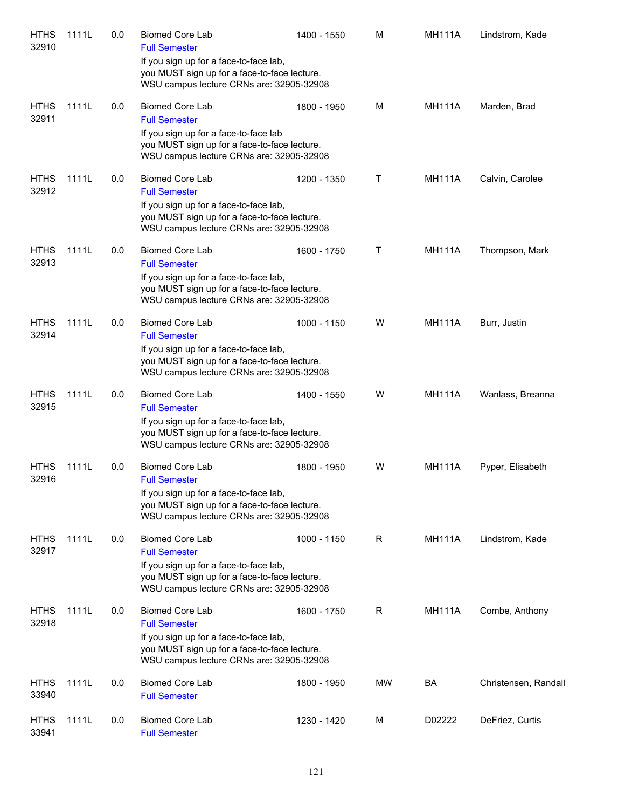| <b>HTHS</b><br>32910 | 1111L | 0.0 | <b>Biomed Core Lab</b><br><b>Full Semester</b>                                                                                                                                       | 1400 - 1550 | м  | <b>MH111A</b> | Lindstrom, Kade      |
|----------------------|-------|-----|--------------------------------------------------------------------------------------------------------------------------------------------------------------------------------------|-------------|----|---------------|----------------------|
|                      |       |     | If you sign up for a face-to-face lab,<br>you MUST sign up for a face-to-face lecture.<br>WSU campus lecture CRNs are: 32905-32908                                                   |             |    |               |                      |
| <b>HTHS</b><br>32911 | 1111L | 0.0 | <b>Biomed Core Lab</b><br><b>Full Semester</b><br>If you sign up for a face-to-face lab<br>you MUST sign up for a face-to-face lecture.<br>WSU campus lecture CRNs are: 32905-32908  | 1800 - 1950 | M  | <b>MH111A</b> | Marden, Brad         |
| <b>HTHS</b><br>32912 | 1111L | 0.0 | <b>Biomed Core Lab</b><br><b>Full Semester</b><br>If you sign up for a face-to-face lab,<br>you MUST sign up for a face-to-face lecture.<br>WSU campus lecture CRNs are: 32905-32908 | 1200 - 1350 | т  | <b>MH111A</b> | Calvin, Carolee      |
| <b>HTHS</b><br>32913 | 1111L | 0.0 | <b>Biomed Core Lab</b><br><b>Full Semester</b><br>If you sign up for a face-to-face lab,<br>you MUST sign up for a face-to-face lecture.<br>WSU campus lecture CRNs are: 32905-32908 | 1600 - 1750 | Τ  | <b>MH111A</b> | Thompson, Mark       |
| <b>HTHS</b><br>32914 | 1111L | 0.0 | <b>Biomed Core Lab</b><br><b>Full Semester</b><br>If you sign up for a face-to-face lab,<br>you MUST sign up for a face-to-face lecture.<br>WSU campus lecture CRNs are: 32905-32908 | 1000 - 1150 | W  | <b>MH111A</b> | Burr, Justin         |
| <b>HTHS</b><br>32915 | 1111L | 0.0 | <b>Biomed Core Lab</b><br><b>Full Semester</b><br>If you sign up for a face-to-face lab,<br>you MUST sign up for a face-to-face lecture.<br>WSU campus lecture CRNs are: 32905-32908 | 1400 - 1550 | W  | <b>MH111A</b> | Wanlass, Breanna     |
| <b>HTHS</b><br>32916 | 1111L | 0.0 | <b>Biomed Core Lab</b><br><b>Full Semester</b><br>If you sign up for a face-to-face lab,<br>you MUST sign up for a face-to-face lecture.<br>WSU campus lecture CRNs are: 32905-32908 | 1800 - 1950 | W  | <b>MH111A</b> | Pyper, Elisabeth     |
| <b>HTHS</b><br>32917 | 1111L | 0.0 | <b>Biomed Core Lab</b><br><b>Full Semester</b><br>If you sign up for a face-to-face lab,<br>you MUST sign up for a face-to-face lecture.<br>WSU campus lecture CRNs are: 32905-32908 | 1000 - 1150 | R  | <b>MH111A</b> | Lindstrom, Kade      |
| <b>HTHS</b><br>32918 | 1111L | 0.0 | <b>Biomed Core Lab</b><br><b>Full Semester</b><br>If you sign up for a face-to-face lab,<br>you MUST sign up for a face-to-face lecture.<br>WSU campus lecture CRNs are: 32905-32908 | 1600 - 1750 | R  | <b>MH111A</b> | Combe, Anthony       |
| <b>HTHS</b><br>33940 | 1111L | 0.0 | <b>Biomed Core Lab</b><br><b>Full Semester</b>                                                                                                                                       | 1800 - 1950 | MW | BA            | Christensen, Randall |
| <b>HTHS</b><br>33941 | 1111L | 0.0 | <b>Biomed Core Lab</b><br><b>Full Semester</b>                                                                                                                                       | 1230 - 1420 | М  | D02222        | DeFriez, Curtis      |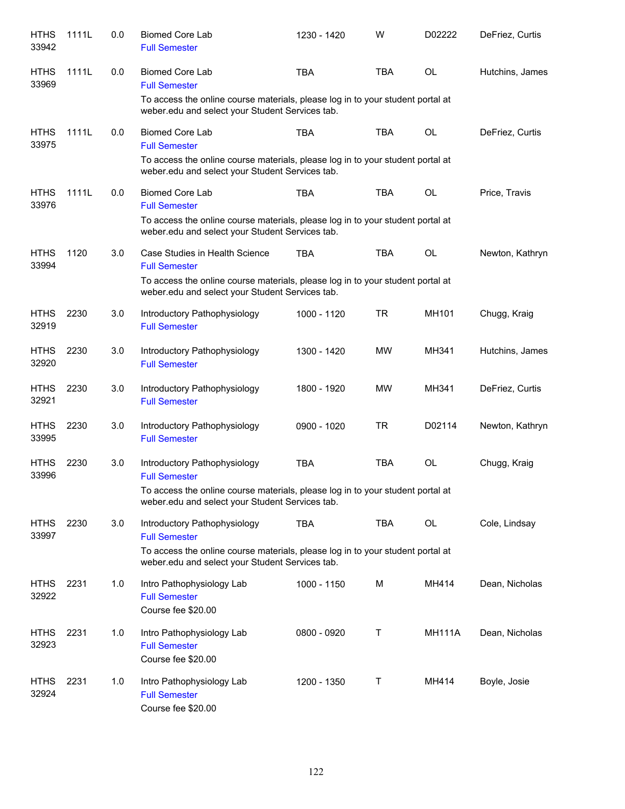| <b>HTHS</b><br>33942 | 1111L | 0.0 | <b>Biomed Core Lab</b><br><b>Full Semester</b>                                                                                                                                              | 1230 - 1420 | W          | D02222        | DeFriez, Curtis |
|----------------------|-------|-----|---------------------------------------------------------------------------------------------------------------------------------------------------------------------------------------------|-------------|------------|---------------|-----------------|
| <b>HTHS</b><br>33969 | 1111L | 0.0 | <b>Biomed Core Lab</b><br><b>Full Semester</b><br>To access the online course materials, please log in to your student portal at<br>weber.edu and select your Student Services tab.         | <b>TBA</b>  | <b>TBA</b> | <b>OL</b>     | Hutchins, James |
| <b>HTHS</b><br>33975 | 1111L | 0.0 | <b>Biomed Core Lab</b><br><b>Full Semester</b><br>To access the online course materials, please log in to your student portal at<br>weber.edu and select your Student Services tab.         | <b>TBA</b>  | <b>TBA</b> | <b>OL</b>     | DeFriez, Curtis |
| <b>HTHS</b><br>33976 | 1111L | 0.0 | <b>Biomed Core Lab</b><br><b>Full Semester</b><br>To access the online course materials, please log in to your student portal at<br>weber.edu and select your Student Services tab.         | <b>TBA</b>  | <b>TBA</b> | <b>OL</b>     | Price, Travis   |
| <b>HTHS</b><br>33994 | 1120  | 3.0 | Case Studies in Health Science<br><b>Full Semester</b><br>To access the online course materials, please log in to your student portal at<br>weber.edu and select your Student Services tab. | <b>TBA</b>  | <b>TBA</b> | OL            | Newton, Kathryn |
| <b>HTHS</b><br>32919 | 2230  | 3.0 | Introductory Pathophysiology<br><b>Full Semester</b>                                                                                                                                        | 1000 - 1120 | <b>TR</b>  | MH101         | Chugg, Kraig    |
| <b>HTHS</b><br>32920 | 2230  | 3.0 | Introductory Pathophysiology<br><b>Full Semester</b>                                                                                                                                        | 1300 - 1420 | <b>MW</b>  | MH341         | Hutchins, James |
| <b>HTHS</b><br>32921 | 2230  | 3.0 | Introductory Pathophysiology<br><b>Full Semester</b>                                                                                                                                        | 1800 - 1920 | <b>MW</b>  | MH341         | DeFriez, Curtis |
| <b>HTHS</b><br>33995 | 2230  | 3.0 | Introductory Pathophysiology<br><b>Full Semester</b>                                                                                                                                        | 0900 - 1020 | <b>TR</b>  | D02114        | Newton, Kathryn |
| <b>HTHS</b><br>33996 | 2230  | 3.0 | Introductory Pathophysiology<br><b>Full Semester</b><br>To access the online course materials, please log in to your student portal at<br>weber.edu and select your Student Services tab.   | <b>TBA</b>  | TBA        | <b>OL</b>     | Chugg, Kraig    |
| <b>HTHS</b><br>33997 | 2230  | 3.0 | Introductory Pathophysiology<br><b>Full Semester</b><br>To access the online course materials, please log in to your student portal at<br>weber.edu and select your Student Services tab.   | <b>TBA</b>  | TBA        | OL            | Cole, Lindsay   |
| <b>HTHS</b><br>32922 | 2231  | 1.0 | Intro Pathophysiology Lab<br><b>Full Semester</b><br>Course fee \$20.00                                                                                                                     | 1000 - 1150 | M          | MH414         | Dean, Nicholas  |
| <b>HTHS</b><br>32923 | 2231  | 1.0 | Intro Pathophysiology Lab<br><b>Full Semester</b><br>Course fee \$20.00                                                                                                                     | 0800 - 0920 | Τ          | <b>MH111A</b> | Dean, Nicholas  |
| <b>HTHS</b><br>32924 | 2231  | 1.0 | Intro Pathophysiology Lab<br><b>Full Semester</b><br>Course fee \$20.00                                                                                                                     | 1200 - 1350 | Τ          | MH414         | Boyle, Josie    |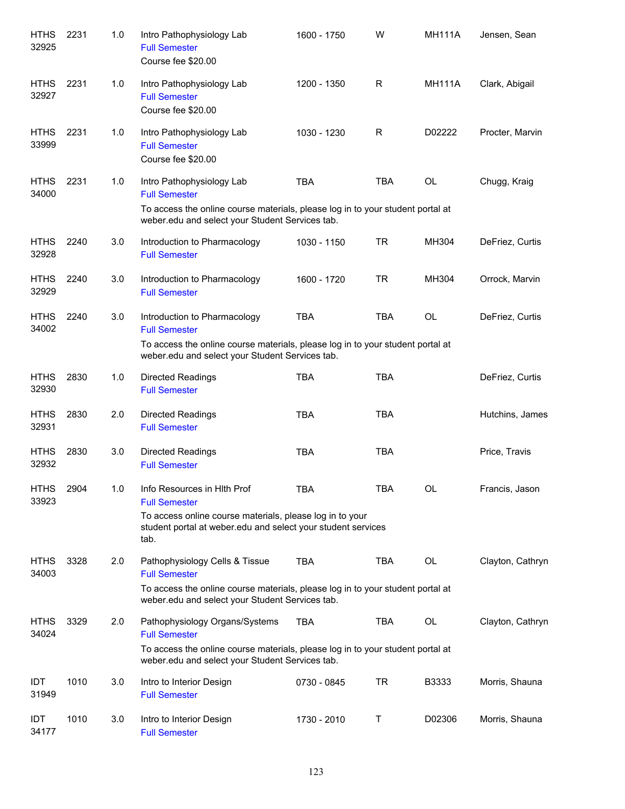| <b>HTHS</b><br>32925 | 2231 | 1.0 | Intro Pathophysiology Lab<br><b>Full Semester</b><br>Course fee \$20.00                                                                                                                     | 1600 - 1750 | W          | <b>MH111A</b> | Jensen, Sean     |
|----------------------|------|-----|---------------------------------------------------------------------------------------------------------------------------------------------------------------------------------------------|-------------|------------|---------------|------------------|
| <b>HTHS</b><br>32927 | 2231 | 1.0 | Intro Pathophysiology Lab<br><b>Full Semester</b><br>Course fee \$20.00                                                                                                                     | 1200 - 1350 | R          | <b>MH111A</b> | Clark, Abigail   |
| <b>HTHS</b><br>33999 | 2231 | 1.0 | Intro Pathophysiology Lab<br><b>Full Semester</b><br>Course fee \$20.00                                                                                                                     | 1030 - 1230 | R          | D02222        | Procter, Marvin  |
| <b>HTHS</b><br>34000 | 2231 | 1.0 | Intro Pathophysiology Lab<br><b>Full Semester</b><br>To access the online course materials, please log in to your student portal at<br>weber.edu and select your Student Services tab.      | <b>TBA</b>  | <b>TBA</b> | <b>OL</b>     | Chugg, Kraig     |
| <b>HTHS</b><br>32928 | 2240 | 3.0 | Introduction to Pharmacology<br><b>Full Semester</b>                                                                                                                                        | 1030 - 1150 | <b>TR</b>  | MH304         | DeFriez, Curtis  |
| <b>HTHS</b><br>32929 | 2240 | 3.0 | Introduction to Pharmacology<br><b>Full Semester</b>                                                                                                                                        | 1600 - 1720 | <b>TR</b>  | MH304         | Orrock, Marvin   |
| <b>HTHS</b><br>34002 | 2240 | 3.0 | Introduction to Pharmacology<br><b>Full Semester</b><br>To access the online course materials, please log in to your student portal at<br>weber.edu and select your Student Services tab.   | <b>TBA</b>  | <b>TBA</b> | <b>OL</b>     | DeFriez, Curtis  |
| <b>HTHS</b><br>32930 | 2830 | 1.0 | Directed Readings<br><b>Full Semester</b>                                                                                                                                                   | <b>TBA</b>  | <b>TBA</b> |               | DeFriez, Curtis  |
| <b>HTHS</b><br>32931 | 2830 | 2.0 | Directed Readings<br><b>Full Semester</b>                                                                                                                                                   | <b>TBA</b>  | <b>TBA</b> |               | Hutchins, James  |
| <b>HTHS</b><br>32932 | 2830 | 3.0 | Directed Readings<br><b>Full Semester</b>                                                                                                                                                   | <b>TBA</b>  | <b>TBA</b> |               | Price, Travis    |
| <b>HTHS</b><br>33923 | 2904 | 1.0 | Info Resources in Hlth Prof<br><b>Full Semester</b><br>To access online course materials, please log in to your<br>student portal at weber.edu and select your student services<br>tab.     | TBA         | <b>TBA</b> | OL            | Francis, Jason   |
| <b>HTHS</b><br>34003 | 3328 | 2.0 | Pathophysiology Cells & Tissue<br><b>Full Semester</b><br>To access the online course materials, please log in to your student portal at<br>weber.edu and select your Student Services tab. | <b>TBA</b>  | TBA        | OL            | Clayton, Cathryn |
| <b>HTHS</b><br>34024 | 3329 | 2.0 | Pathophysiology Organs/Systems<br><b>Full Semester</b><br>To access the online course materials, please log in to your student portal at<br>weber.edu and select your Student Services tab. | TBA         | TBA        | OL            | Clayton, Cathryn |
| IDT<br>31949         | 1010 | 3.0 | Intro to Interior Design<br><b>Full Semester</b>                                                                                                                                            | 0730 - 0845 | <b>TR</b>  | B3333         | Morris, Shauna   |
| <b>IDT</b><br>34177  | 1010 | 3.0 | Intro to Interior Design<br><b>Full Semester</b>                                                                                                                                            | 1730 - 2010 | Т          | D02306        | Morris, Shauna   |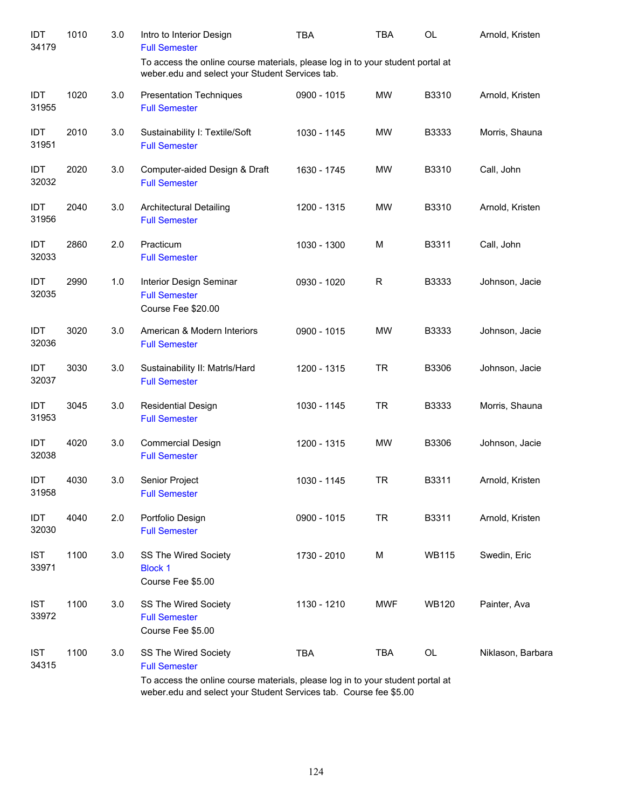| IDT<br>34179        | 1010 | 3.0 | Intro to Interior Design<br><b>Full Semester</b>                                                                                  | <b>TBA</b>  | <b>TBA</b> | <b>OL</b>    | Arnold, Kristen   |
|---------------------|------|-----|-----------------------------------------------------------------------------------------------------------------------------------|-------------|------------|--------------|-------------------|
|                     |      |     | To access the online course materials, please log in to your student portal at<br>weber.edu and select your Student Services tab. |             |            |              |                   |
| IDT<br>31955        | 1020 | 3.0 | <b>Presentation Techniques</b><br><b>Full Semester</b>                                                                            | 0900 - 1015 | <b>MW</b>  | B3310        | Arnold, Kristen   |
| IDT<br>31951        | 2010 | 3.0 | Sustainability I: Textile/Soft<br><b>Full Semester</b>                                                                            | 1030 - 1145 | MW         | B3333        | Morris, Shauna    |
| IDT<br>32032        | 2020 | 3.0 | Computer-aided Design & Draft<br><b>Full Semester</b>                                                                             | 1630 - 1745 | <b>MW</b>  | B3310        | Call, John        |
| IDT<br>31956        | 2040 | 3.0 | Architectural Detailing<br><b>Full Semester</b>                                                                                   | 1200 - 1315 | <b>MW</b>  | B3310        | Arnold, Kristen   |
| IDT<br>32033        | 2860 | 2.0 | Practicum<br><b>Full Semester</b>                                                                                                 | 1030 - 1300 | M          | B3311        | Call, John        |
| IDT<br>32035        | 2990 | 1.0 | Interior Design Seminar<br><b>Full Semester</b><br>Course Fee \$20.00                                                             | 0930 - 1020 | R          | B3333        | Johnson, Jacie    |
| IDT<br>32036        | 3020 | 3.0 | American & Modern Interiors<br><b>Full Semester</b>                                                                               | 0900 - 1015 | <b>MW</b>  | B3333        | Johnson, Jacie    |
| IDT<br>32037        | 3030 | 3.0 | Sustainability II: Matrls/Hard<br><b>Full Semester</b>                                                                            | 1200 - 1315 | <b>TR</b>  | B3306        | Johnson, Jacie    |
| IDT<br>31953        | 3045 | 3.0 | <b>Residential Design</b><br><b>Full Semester</b>                                                                                 | 1030 - 1145 | <b>TR</b>  | B3333        | Morris, Shauna    |
| IDT<br>32038        | 4020 | 3.0 | <b>Commercial Design</b><br><b>Full Semester</b>                                                                                  | 1200 - 1315 | <b>MW</b>  | B3306        | Johnson, Jacie    |
| IDT<br>31958        | 4030 | 3.0 | Senior Project<br><b>Full Semester</b>                                                                                            | 1030 - 1145 | <b>TR</b>  | B3311        | Arnold, Kristen   |
| IDT<br>32030        | 4040 | 2.0 | Portfolio Design<br><b>Full Semester</b>                                                                                          | 0900 - 1015 | <b>TR</b>  | B3311        | Arnold, Kristen   |
| <b>IST</b><br>33971 | 1100 | 3.0 | SS The Wired Society<br><b>Block 1</b><br>Course Fee \$5.00                                                                       | 1730 - 2010 | M          | <b>WB115</b> | Swedin, Eric      |
| <b>IST</b><br>33972 | 1100 | 3.0 | SS The Wired Society<br><b>Full Semester</b><br>Course Fee \$5.00                                                                 | 1130 - 1210 | <b>MWF</b> | <b>WB120</b> | Painter, Ava      |
| <b>IST</b><br>34315 | 1100 | 3.0 | SS The Wired Society<br><b>Full Semester</b>                                                                                      | <b>TBA</b>  | <b>TBA</b> | OL           | Niklason, Barbara |
|                     |      |     | To access the online course materials, please log in to your student portal at                                                    |             |            |              |                   |

weber.edu and select your Student Services tab. Course fee \$5.00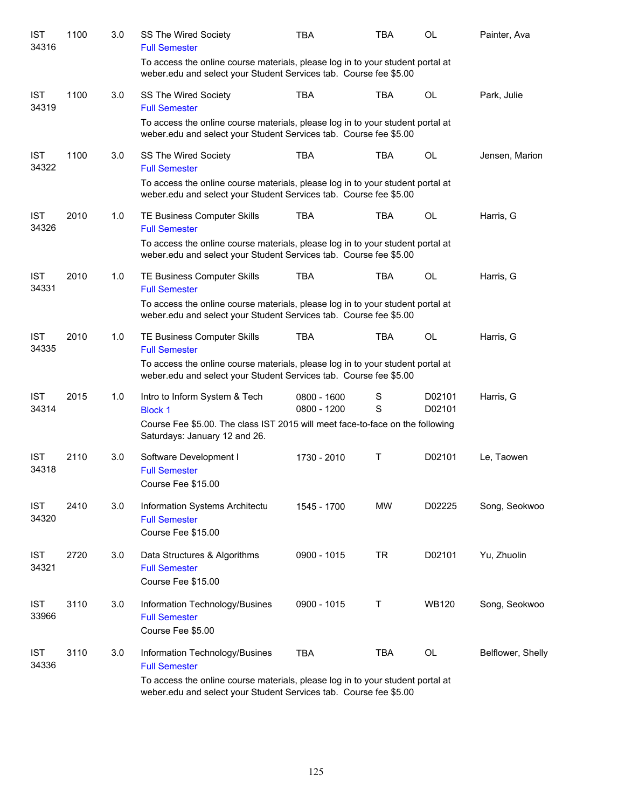| <b>IST</b><br>34316 | 1100 | 3.0 | SS The Wired Society<br><b>Full Semester</b>                                                                                                        | TBA                          | TBA        | OL               | Painter, Ava      |
|---------------------|------|-----|-----------------------------------------------------------------------------------------------------------------------------------------------------|------------------------------|------------|------------------|-------------------|
|                     |      |     | To access the online course materials, please log in to your student portal at<br>weber.edu and select your Student Services tab. Course fee \$5.00 |                              |            |                  |                   |
| <b>IST</b><br>34319 | 1100 | 3.0 | SS The Wired Society<br><b>Full Semester</b>                                                                                                        | <b>TBA</b>                   | <b>TBA</b> | <b>OL</b>        | Park, Julie       |
|                     |      |     | To access the online course materials, please log in to your student portal at<br>weber.edu and select your Student Services tab. Course fee \$5.00 |                              |            |                  |                   |
| <b>IST</b><br>34322 | 1100 | 3.0 | SS The Wired Society<br><b>Full Semester</b>                                                                                                        | <b>TBA</b>                   | <b>TBA</b> | <b>OL</b>        | Jensen, Marion    |
|                     |      |     | To access the online course materials, please log in to your student portal at<br>weber.edu and select your Student Services tab. Course fee \$5.00 |                              |            |                  |                   |
| <b>IST</b><br>34326 | 2010 | 1.0 | TE Business Computer Skills<br><b>Full Semester</b>                                                                                                 | <b>TBA</b>                   | <b>TBA</b> | OL               | Harris, G         |
|                     |      |     | To access the online course materials, please log in to your student portal at<br>weber.edu and select your Student Services tab. Course fee \$5.00 |                              |            |                  |                   |
| <b>IST</b><br>34331 | 2010 | 1.0 | TE Business Computer Skills<br><b>Full Semester</b>                                                                                                 | <b>TBA</b>                   | <b>TBA</b> | OL               | Harris, G         |
|                     |      |     | To access the online course materials, please log in to your student portal at<br>weber.edu and select your Student Services tab. Course fee \$5.00 |                              |            |                  |                   |
| <b>IST</b><br>34335 | 2010 | 1.0 | TE Business Computer Skills<br><b>Full Semester</b>                                                                                                 | <b>TBA</b>                   | <b>TBA</b> | OL               | Harris, G         |
|                     |      |     | To access the online course materials, please log in to your student portal at<br>weber.edu and select your Student Services tab. Course fee \$5.00 |                              |            |                  |                   |
| <b>IST</b><br>34314 | 2015 | 1.0 | Intro to Inform System & Tech<br><b>Block 1</b>                                                                                                     | 0800 - 1600<br>$0800 - 1200$ | S<br>S     | D02101<br>D02101 | Harris, G         |
|                     |      |     | Course Fee \$5.00. The class IST 2015 will meet face-to-face on the following<br>Saturdays: January 12 and 26.                                      |                              |            |                  |                   |
| <b>IST</b><br>34318 | 2110 | 3.0 | Software Development I<br><b>Full Semester</b><br>Course Fee \$15.00                                                                                | 1730 - 2010                  | T          | D02101           | Le, Taowen        |
| <b>IST</b><br>34320 | 2410 | 3.0 | Information Systems Architectu<br><b>Full Semester</b><br>Course Fee \$15.00                                                                        | 1545 - 1700                  | <b>MW</b>  | D02225           | Song, Seokwoo     |
| <b>IST</b><br>34321 | 2720 | 3.0 | Data Structures & Algorithms<br><b>Full Semester</b><br>Course Fee \$15.00                                                                          | 0900 - 1015                  | <b>TR</b>  | D02101           | Yu, Zhuolin       |
| <b>IST</b><br>33966 | 3110 | 3.0 | Information Technology/Busines<br><b>Full Semester</b><br>Course Fee \$5.00                                                                         | 0900 - 1015                  | Τ          | <b>WB120</b>     | Song, Seokwoo     |
| <b>IST</b><br>34336 | 3110 | 3.0 | Information Technology/Busines<br><b>Full Semester</b>                                                                                              | <b>TBA</b>                   | <b>TBA</b> | OL               | Belflower, Shelly |
|                     |      |     | To access the online course materials, please log in to your student portal at<br>weber.edu and select your Student Services tab. Course fee \$5.00 |                              |            |                  |                   |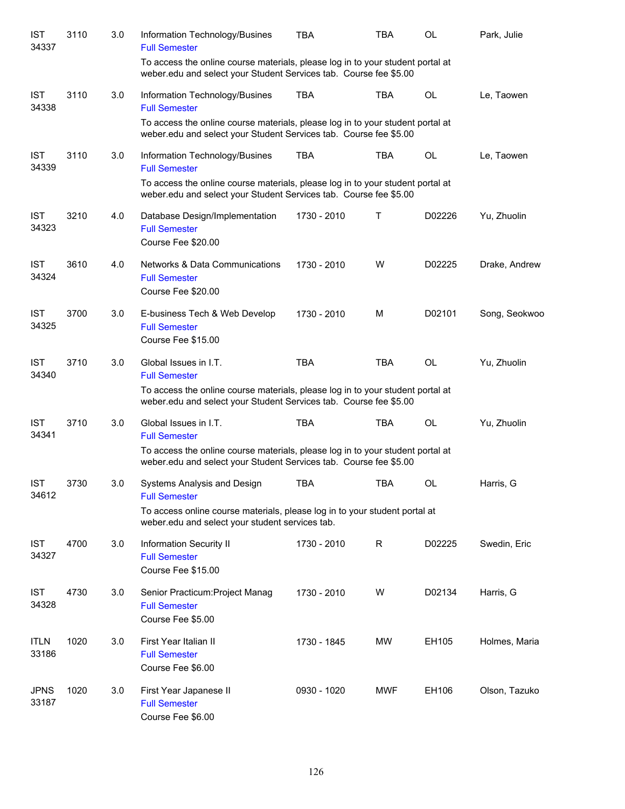| <b>IST</b><br>34337  | 3110 | 3.0 | Information Technology/Busines<br><b>Full Semester</b>                                                                                                                                               | TBA         | TBA        | OL        | Park, Julie   |
|----------------------|------|-----|------------------------------------------------------------------------------------------------------------------------------------------------------------------------------------------------------|-------------|------------|-----------|---------------|
|                      |      |     | To access the online course materials, please log in to your student portal at<br>weber.edu and select your Student Services tab. Course fee \$5.00                                                  |             |            |           |               |
| <b>IST</b><br>34338  | 3110 | 3.0 | Information Technology/Busines<br><b>Full Semester</b>                                                                                                                                               | <b>TBA</b>  | <b>TBA</b> | <b>OL</b> | Le, Taowen    |
|                      |      |     | To access the online course materials, please log in to your student portal at<br>weber.edu and select your Student Services tab. Course fee \$5.00                                                  |             |            |           |               |
| <b>IST</b><br>34339  | 3110 | 3.0 | Information Technology/Busines<br><b>Full Semester</b><br>To access the online course materials, please log in to your student portal at                                                             | <b>TBA</b>  | <b>TBA</b> | <b>OL</b> | Le, Taowen    |
| <b>IST</b><br>34323  | 3210 | 4.0 | weber.edu and select your Student Services tab. Course fee \$5.00<br>Database Design/Implementation<br><b>Full Semester</b><br>Course Fee \$20.00                                                    | 1730 - 2010 | Τ          | D02226    | Yu, Zhuolin   |
| <b>IST</b><br>34324  | 3610 | 4.0 | <b>Networks &amp; Data Communications</b><br><b>Full Semester</b><br>Course Fee \$20.00                                                                                                              | 1730 - 2010 | W          | D02225    | Drake, Andrew |
| <b>IST</b><br>34325  | 3700 | 3.0 | E-business Tech & Web Develop<br><b>Full Semester</b><br>Course Fee \$15.00                                                                                                                          | 1730 - 2010 | M          | D02101    | Song, Seokwoo |
| <b>IST</b><br>34340  | 3710 | 3.0 | Global Issues in I.T.<br><b>Full Semester</b><br>To access the online course materials, please log in to your student portal at<br>weber.edu and select your Student Services tab. Course fee \$5.00 | <b>TBA</b>  | <b>TBA</b> | <b>OL</b> | Yu, Zhuolin   |
| <b>IST</b><br>34341  | 3710 | 3.0 | Global Issues in I.T.<br><b>Full Semester</b><br>To access the online course materials, please log in to your student portal at<br>weber.edu and select your Student Services tab. Course fee \$5.00 | <b>TBA</b>  | <b>TBA</b> | OL        | Yu, Zhuolin   |
| <b>IST</b><br>34612  | 3730 | 3.0 | Systems Analysis and Design<br><b>Full Semester</b><br>To access online course materials, please log in to your student portal at<br>weber.edu and select your student services tab.                 | TBA         | <b>TBA</b> | <b>OL</b> | Harris, G     |
| <b>IST</b><br>34327  | 4700 | 3.0 | Information Security II<br><b>Full Semester</b><br>Course Fee \$15.00                                                                                                                                | 1730 - 2010 | R          | D02225    | Swedin, Eric  |
| <b>IST</b><br>34328  | 4730 | 3.0 | Senior Practicum: Project Manag<br><b>Full Semester</b><br>Course Fee \$5.00                                                                                                                         | 1730 - 2010 | W          | D02134    | Harris, G     |
| <b>ITLN</b><br>33186 | 1020 | 3.0 | First Year Italian II<br><b>Full Semester</b><br>Course Fee \$6.00                                                                                                                                   | 1730 - 1845 | <b>MW</b>  | EH105     | Holmes, Maria |
| <b>JPNS</b><br>33187 | 1020 | 3.0 | First Year Japanese II<br><b>Full Semester</b><br>Course Fee \$6.00                                                                                                                                  | 0930 - 1020 | <b>MWF</b> | EH106     | Olson, Tazuko |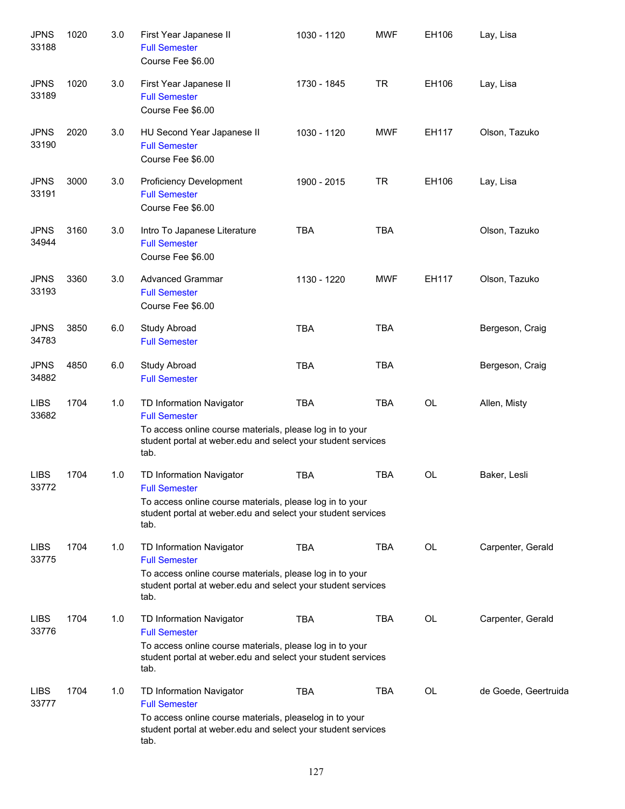| <b>JPNS</b><br>33188 | 1020 | 3.0 | First Year Japanese II<br><b>Full Semester</b><br>Course Fee \$6.00                                                                                                                  | 1030 - 1120 | <b>MWF</b> | EH106     | Lay, Lisa            |
|----------------------|------|-----|--------------------------------------------------------------------------------------------------------------------------------------------------------------------------------------|-------------|------------|-----------|----------------------|
| <b>JPNS</b><br>33189 | 1020 | 3.0 | First Year Japanese II<br><b>Full Semester</b><br>Course Fee \$6.00                                                                                                                  | 1730 - 1845 | <b>TR</b>  | EH106     | Lay, Lisa            |
| <b>JPNS</b><br>33190 | 2020 | 3.0 | HU Second Year Japanese II<br><b>Full Semester</b><br>Course Fee \$6.00                                                                                                              | 1030 - 1120 | <b>MWF</b> | EH117     | Olson, Tazuko        |
| <b>JPNS</b><br>33191 | 3000 | 3.0 | Proficiency Development<br><b>Full Semester</b><br>Course Fee \$6.00                                                                                                                 | 1900 - 2015 | <b>TR</b>  | EH106     | Lay, Lisa            |
| <b>JPNS</b><br>34944 | 3160 | 3.0 | Intro To Japanese Literature<br><b>Full Semester</b><br>Course Fee \$6.00                                                                                                            | <b>TBA</b>  | <b>TBA</b> |           | Olson, Tazuko        |
| <b>JPNS</b><br>33193 | 3360 | 3.0 | <b>Advanced Grammar</b><br><b>Full Semester</b><br>Course Fee \$6.00                                                                                                                 | 1130 - 1220 | <b>MWF</b> | EH117     | Olson, Tazuko        |
| <b>JPNS</b><br>34783 | 3850 | 6.0 | Study Abroad<br><b>Full Semester</b>                                                                                                                                                 | <b>TBA</b>  | <b>TBA</b> |           | Bergeson, Craig      |
| <b>JPNS</b><br>34882 | 4850 | 6.0 | Study Abroad<br><b>Full Semester</b>                                                                                                                                                 | <b>TBA</b>  | <b>TBA</b> |           | Bergeson, Craig      |
| <b>LIBS</b><br>33682 | 1704 | 1.0 | TD Information Navigator<br><b>Full Semester</b><br>To access online course materials, please log in to your<br>student portal at weber edu and select your student services<br>tab. | <b>TBA</b>  | <b>TBA</b> | OL        | Allen, Misty         |
| <b>LIBS</b><br>33772 | 1704 | 1.0 | TD Information Navigator<br><b>Full Semester</b><br>To access online course materials, please log in to your<br>student portal at weber edu and select your student services<br>tab. | <b>TBA</b>  | <b>TBA</b> | <b>OL</b> | Baker, Lesli         |
| <b>LIBS</b><br>33775 | 1704 | 1.0 | TD Information Navigator<br><b>Full Semester</b><br>To access online course materials, please log in to your<br>student portal at weber.edu and select your student services<br>tab. | <b>TBA</b>  | <b>TBA</b> | OL        | Carpenter, Gerald    |
| <b>LIBS</b><br>33776 | 1704 | 1.0 | TD Information Navigator<br><b>Full Semester</b><br>To access online course materials, please log in to your<br>student portal at weber edu and select your student services<br>tab. | <b>TBA</b>  | TBA        | OL        | Carpenter, Gerald    |
| <b>LIBS</b><br>33777 | 1704 | 1.0 | TD Information Navigator<br><b>Full Semester</b><br>To access online course materials, pleaselog in to your<br>student portal at weber edu and select your student services<br>tab.  | <b>TBA</b>  | <b>TBA</b> | OL        | de Goede, Geertruida |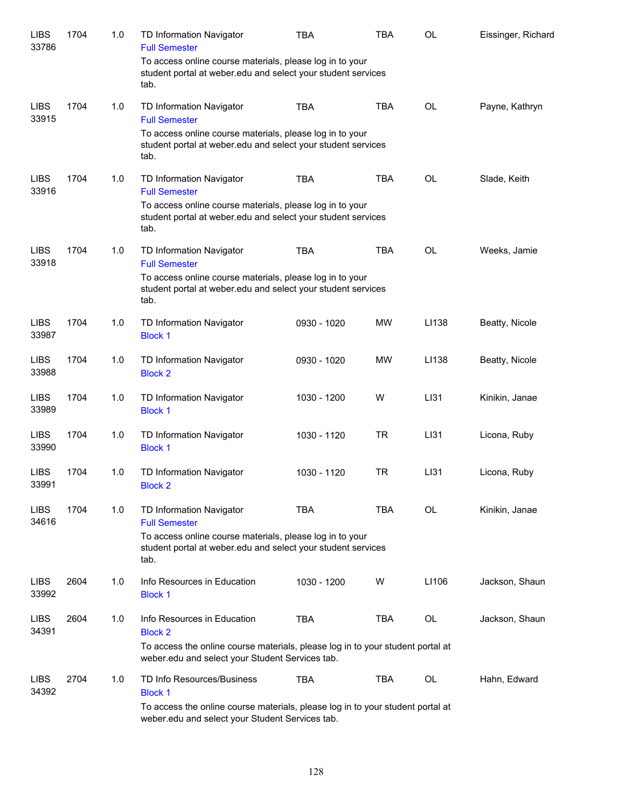| <b>LIBS</b><br>33786 | 1704 | 1.0 | TD Information Navigator<br><b>Full Semester</b>                                                                                  | <b>TBA</b>  | <b>TBA</b> | OL        | Eissinger, Richard |
|----------------------|------|-----|-----------------------------------------------------------------------------------------------------------------------------------|-------------|------------|-----------|--------------------|
|                      |      |     | To access online course materials, please log in to your<br>student portal at weber.edu and select your student services<br>tab.  |             |            |           |                    |
| <b>LIBS</b><br>33915 | 1704 | 1.0 | TD Information Navigator<br><b>Full Semester</b>                                                                                  | <b>TBA</b>  | <b>TBA</b> | OL        | Payne, Kathryn     |
|                      |      |     | To access online course materials, please log in to your<br>student portal at weber.edu and select your student services<br>tab.  |             |            |           |                    |
| <b>LIBS</b><br>33916 | 1704 | 1.0 | TD Information Navigator<br><b>Full Semester</b>                                                                                  | <b>TBA</b>  | <b>TBA</b> | OL        | Slade, Keith       |
|                      |      |     | To access online course materials, please log in to your<br>student portal at weber.edu and select your student services<br>tab.  |             |            |           |                    |
| <b>LIBS</b><br>33918 | 1704 | 1.0 | TD Information Navigator<br><b>Full Semester</b>                                                                                  | <b>TBA</b>  | <b>TBA</b> | <b>OL</b> | Weeks, Jamie       |
|                      |      |     | To access online course materials, please log in to your<br>student portal at weber edu and select your student services<br>tab.  |             |            |           |                    |
| <b>LIBS</b><br>33987 | 1704 | 1.0 | TD Information Navigator<br><b>Block 1</b>                                                                                        | 0930 - 1020 | MW         | LI138     | Beatty, Nicole     |
| <b>LIBS</b><br>33988 | 1704 | 1.0 | TD Information Navigator<br><b>Block 2</b>                                                                                        | 0930 - 1020 | MW         | LI138     | Beatty, Nicole     |
| <b>LIBS</b><br>33989 | 1704 | 1.0 | TD Information Navigator<br><b>Block 1</b>                                                                                        | 1030 - 1200 | W          | LI31      | Kinikin, Janae     |
| <b>LIBS</b><br>33990 | 1704 | 1.0 | TD Information Navigator<br><b>Block 1</b>                                                                                        | 1030 - 1120 | <b>TR</b>  | LI31      | Licona, Ruby       |
| <b>LIBS</b><br>33991 | 1704 | 1.0 | TD Information Navigator<br><b>Block 2</b>                                                                                        | 1030 - 1120 | <b>TR</b>  | LI31      | Licona, Ruby       |
| <b>LIBS</b><br>34616 | 1704 | 1.0 | TD Information Navigator<br><b>Full Semester</b>                                                                                  | TBA         | <b>TBA</b> | OL        | Kinikin, Janae     |
|                      |      |     | To access online course materials, please log in to your<br>student portal at weber edu and select your student services<br>tab.  |             |            |           |                    |
| <b>LIBS</b><br>33992 | 2604 | 1.0 | Info Resources in Education<br><b>Block 1</b>                                                                                     | 1030 - 1200 | W          | LI106     | Jackson, Shaun     |
| <b>LIBS</b><br>34391 | 2604 | 1.0 | Info Resources in Education<br><b>Block 2</b>                                                                                     | <b>TBA</b>  | <b>TBA</b> | OL        | Jackson, Shaun     |
|                      |      |     | To access the online course materials, please log in to your student portal at<br>weber.edu and select your Student Services tab. |             |            |           |                    |
| <b>LIBS</b><br>34392 | 2704 | 1.0 | TD Info Resources/Business<br><b>Block 1</b>                                                                                      | <b>TBA</b>  | <b>TBA</b> | OL        | Hahn, Edward       |
|                      |      |     | To access the online course materials, please log in to your student portal at<br>weber.edu and select your Student Services tab. |             |            |           |                    |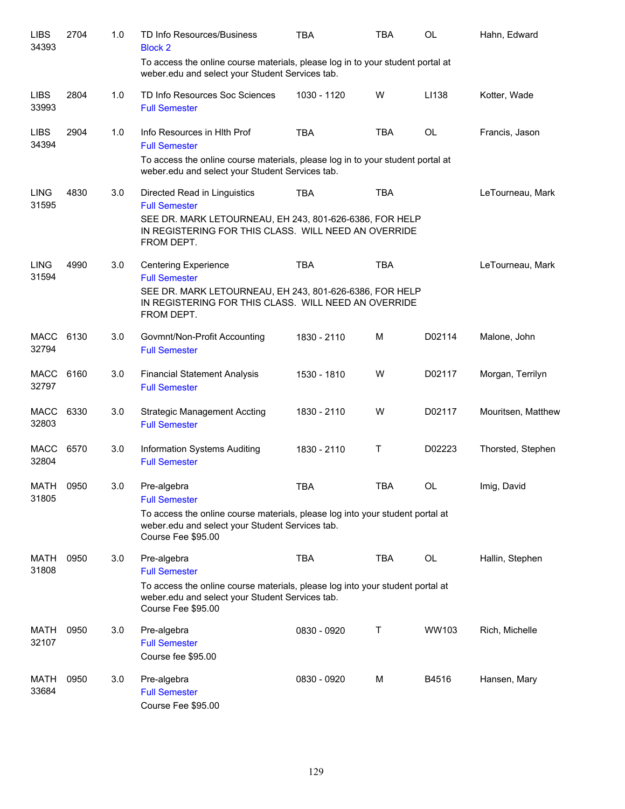| <b>LIBS</b><br>34393 | 2704 | 1.0 | TD Info Resources/Business<br><b>Block 2</b>                                                                                                           | <b>TBA</b>  | <b>TBA</b> | <b>OL</b> | Hahn, Edward       |
|----------------------|------|-----|--------------------------------------------------------------------------------------------------------------------------------------------------------|-------------|------------|-----------|--------------------|
|                      |      |     | To access the online course materials, please log in to your student portal at<br>weber.edu and select your Student Services tab.                      |             |            |           |                    |
| <b>LIBS</b><br>33993 | 2804 | 1.0 | TD Info Resources Soc Sciences<br><b>Full Semester</b>                                                                                                 | 1030 - 1120 | W          | LI138     | Kotter, Wade       |
| <b>LIBS</b><br>34394 | 2904 | 1.0 | Info Resources in Hith Prof<br><b>Full Semester</b>                                                                                                    | <b>TBA</b>  | <b>TBA</b> | <b>OL</b> | Francis, Jason     |
|                      |      |     | To access the online course materials, please log in to your student portal at<br>weber.edu and select your Student Services tab.                      |             |            |           |                    |
| <b>LING</b><br>31595 | 4830 | 3.0 | Directed Read in Linguistics<br><b>Full Semester</b>                                                                                                   | <b>TBA</b>  | <b>TBA</b> |           | LeTourneau, Mark   |
|                      |      |     | SEE DR. MARK LETOURNEAU, EH 243, 801-626-6386, FOR HELP<br>IN REGISTERING FOR THIS CLASS. WILL NEED AN OVERRIDE<br>FROM DEPT.                          |             |            |           |                    |
| <b>LING</b><br>31594 | 4990 | 3.0 | <b>Centering Experience</b><br><b>Full Semester</b>                                                                                                    | <b>TBA</b>  | <b>TBA</b> |           | LeTourneau, Mark   |
|                      |      |     | SEE DR. MARK LETOURNEAU, EH 243, 801-626-6386, FOR HELP<br>IN REGISTERING FOR THIS CLASS. WILL NEED AN OVERRIDE<br>FROM DEPT.                          |             |            |           |                    |
| <b>MACC</b><br>32794 | 6130 | 3.0 | Govmnt/Non-Profit Accounting<br><b>Full Semester</b>                                                                                                   | 1830 - 2110 | M          | D02114    | Malone, John       |
| MACC<br>32797        | 6160 | 3.0 | <b>Financial Statement Analysis</b><br><b>Full Semester</b>                                                                                            | 1530 - 1810 | W          | D02117    | Morgan, Terrilyn   |
| MACC<br>32803        | 6330 | 3.0 | <b>Strategic Management Accting</b><br><b>Full Semester</b>                                                                                            | 1830 - 2110 | W          | D02117    | Mouritsen, Matthew |
| MACC<br>32804        | 6570 | 3.0 | Information Systems Auditing<br><b>Full Semester</b>                                                                                                   | 1830 - 2110 | Τ          | D02223    | Thorsted, Stephen  |
| <b>MATH</b><br>31805 | 0950 | 3.0 | Pre-algebra<br><b>Full Semester</b>                                                                                                                    | <b>TBA</b>  | <b>TBA</b> | OL        | Imig, David        |
|                      |      |     | To access the online course materials, please log into your student portal at<br>weber.edu and select your Student Services tab.<br>Course Fee \$95.00 |             |            |           |                    |
| MATH<br>31808        | 0950 | 3.0 | Pre-algebra<br><b>Full Semester</b>                                                                                                                    | <b>TBA</b>  | TBA        | OL        | Hallin, Stephen    |
|                      |      |     | To access the online course materials, please log into your student portal at<br>weber.edu and select your Student Services tab.<br>Course Fee \$95.00 |             |            |           |                    |
| MATH<br>32107        | 0950 | 3.0 | Pre-algebra<br><b>Full Semester</b><br>Course fee \$95.00                                                                                              | 0830 - 0920 | Т          | WW103     | Rich, Michelle     |
| MATH<br>33684        | 0950 | 3.0 | Pre-algebra<br><b>Full Semester</b><br>Course Fee \$95.00                                                                                              | 0830 - 0920 | M          | B4516     | Hansen, Mary       |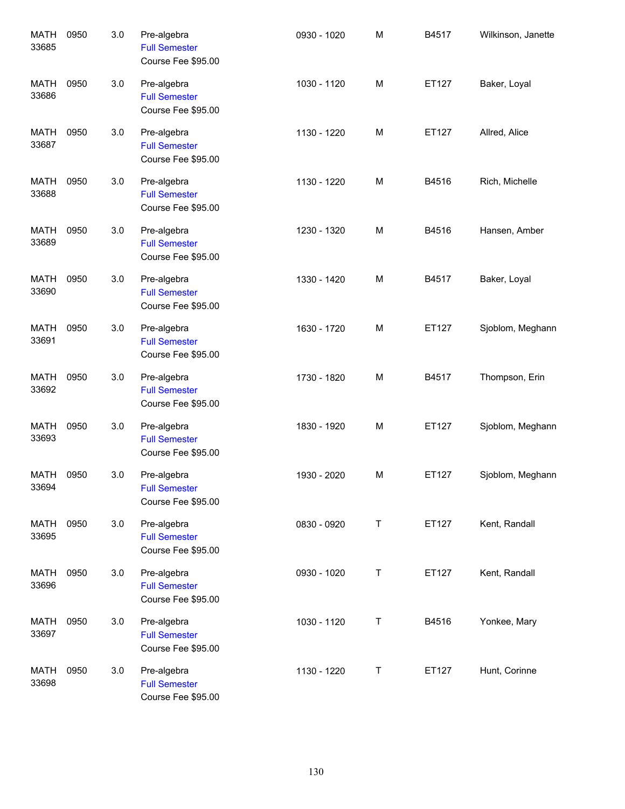| <b>MATH</b><br>33685 | 0950 | 3.0 | Pre-algebra<br><b>Full Semester</b><br>Course Fee \$95.00 | 0930 - 1020 | М | B4517 | Wilkinson, Janette |
|----------------------|------|-----|-----------------------------------------------------------|-------------|---|-------|--------------------|
| <b>MATH</b><br>33686 | 0950 | 3.0 | Pre-algebra<br><b>Full Semester</b><br>Course Fee \$95.00 | 1030 - 1120 | M | ET127 | Baker, Loyal       |
| <b>MATH</b><br>33687 | 0950 | 3.0 | Pre-algebra<br><b>Full Semester</b><br>Course Fee \$95.00 | 1130 - 1220 | M | ET127 | Allred, Alice      |
| <b>MATH</b><br>33688 | 0950 | 3.0 | Pre-algebra<br><b>Full Semester</b><br>Course Fee \$95.00 | 1130 - 1220 | М | B4516 | Rich, Michelle     |
| <b>MATH</b><br>33689 | 0950 | 3.0 | Pre-algebra<br><b>Full Semester</b><br>Course Fee \$95.00 | 1230 - 1320 | М | B4516 | Hansen, Amber      |
| <b>MATH</b><br>33690 | 0950 | 3.0 | Pre-algebra<br><b>Full Semester</b><br>Course Fee \$95.00 | 1330 - 1420 | М | B4517 | Baker, Loyal       |
| <b>MATH</b><br>33691 | 0950 | 3.0 | Pre-algebra<br><b>Full Semester</b><br>Course Fee \$95.00 | 1630 - 1720 | М | ET127 | Sjoblom, Meghann   |
| MATH<br>33692        | 0950 | 3.0 | Pre-algebra<br><b>Full Semester</b><br>Course Fee \$95.00 | 1730 - 1820 | M | B4517 | Thompson, Erin     |
| MATH<br>33693        | 0950 | 3.0 | Pre-algebra<br><b>Full Semester</b><br>Course Fee \$95.00 | 1830 - 1920 | М | ET127 | Sjoblom, Meghann   |
| MATH<br>33694        | 0950 | 3.0 | Pre-algebra<br><b>Full Semester</b><br>Course Fee \$95.00 | 1930 - 2020 | М | ET127 | Sjoblom, Meghann   |
| MATH<br>33695        | 0950 | 3.0 | Pre-algebra<br><b>Full Semester</b><br>Course Fee \$95.00 | 0830 - 0920 | T | ET127 | Kent, Randall      |
| MATH<br>33696        | 0950 | 3.0 | Pre-algebra<br><b>Full Semester</b><br>Course Fee \$95.00 | 0930 - 1020 | T | ET127 | Kent, Randall      |
| MATH<br>33697        | 0950 | 3.0 | Pre-algebra<br><b>Full Semester</b><br>Course Fee \$95.00 | 1030 - 1120 | Τ | B4516 | Yonkee, Mary       |
| MATH<br>33698        | 0950 | 3.0 | Pre-algebra<br><b>Full Semester</b><br>Course Fee \$95.00 | 1130 - 1220 | T | ET127 | Hunt, Corinne      |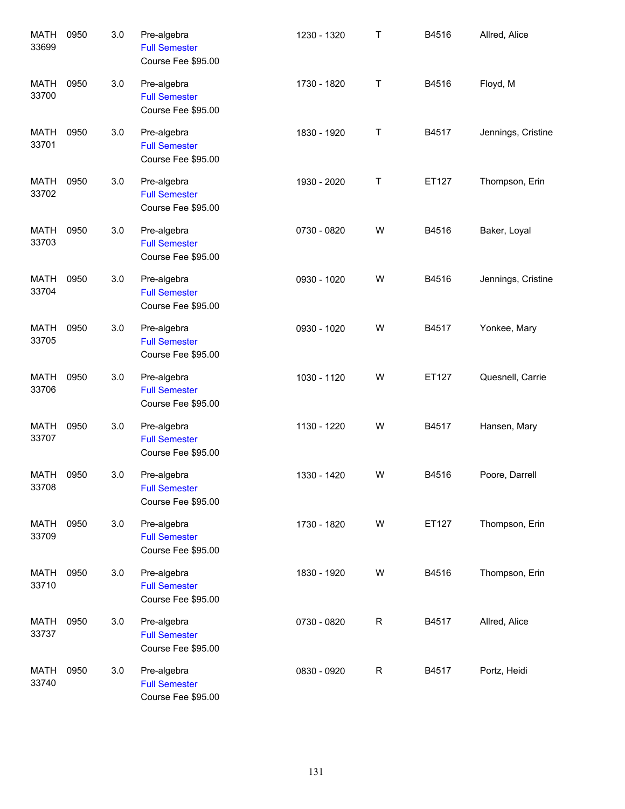| <b>MATH</b><br>33699 | 0950 | 3.0 | Pre-algebra<br><b>Full Semester</b><br>Course Fee \$95.00 | 1230 - 1320 | $\mathsf T$  | B4516 | Allred, Alice      |
|----------------------|------|-----|-----------------------------------------------------------|-------------|--------------|-------|--------------------|
| <b>MATH</b><br>33700 | 0950 | 3.0 | Pre-algebra<br><b>Full Semester</b><br>Course Fee \$95.00 | 1730 - 1820 | $\mathsf T$  | B4516 | Floyd, M           |
| <b>MATH</b><br>33701 | 0950 | 3.0 | Pre-algebra<br><b>Full Semester</b><br>Course Fee \$95.00 | 1830 - 1920 | $\mathsf T$  | B4517 | Jennings, Cristine |
| MATH<br>33702        | 0950 | 3.0 | Pre-algebra<br><b>Full Semester</b><br>Course Fee \$95.00 | 1930 - 2020 | $\mathsf T$  | ET127 | Thompson, Erin     |
| <b>MATH</b><br>33703 | 0950 | 3.0 | Pre-algebra<br><b>Full Semester</b><br>Course Fee \$95.00 | 0730 - 0820 | W            | B4516 | Baker, Loyal       |
| MATH<br>33704        | 0950 | 3.0 | Pre-algebra<br><b>Full Semester</b><br>Course Fee \$95.00 | 0930 - 1020 | W            | B4516 | Jennings, Cristine |
| MATH<br>33705        | 0950 | 3.0 | Pre-algebra<br><b>Full Semester</b><br>Course Fee \$95.00 | 0930 - 1020 | W            | B4517 | Yonkee, Mary       |
| MATH<br>33706        | 0950 | 3.0 | Pre-algebra<br><b>Full Semester</b><br>Course Fee \$95.00 | 1030 - 1120 | W            | ET127 | Quesnell, Carrie   |
| MATH<br>33707        | 0950 | 3.0 | Pre-algebra<br><b>Full Semester</b><br>Course Fee \$95.00 | 1130 - 1220 | W            | B4517 | Hansen, Mary       |
| MATH<br>33708        | 0950 | 3.0 | Pre-algebra<br><b>Full Semester</b><br>Course Fee \$95.00 | 1330 - 1420 | W            | B4516 | Poore, Darrell     |
| <b>MATH</b><br>33709 | 0950 | 3.0 | Pre-algebra<br><b>Full Semester</b><br>Course Fee \$95.00 | 1730 - 1820 | W            | ET127 | Thompson, Erin     |
| MATH<br>33710        | 0950 | 3.0 | Pre-algebra<br><b>Full Semester</b><br>Course Fee \$95.00 | 1830 - 1920 | W            | B4516 | Thompson, Erin     |
| MATH<br>33737        | 0950 | 3.0 | Pre-algebra<br><b>Full Semester</b><br>Course Fee \$95.00 | 0730 - 0820 | $\mathsf{R}$ | B4517 | Allred, Alice      |
| <b>MATH</b><br>33740 | 0950 | 3.0 | Pre-algebra<br><b>Full Semester</b><br>Course Fee \$95.00 | 0830 - 0920 | R            | B4517 | Portz, Heidi       |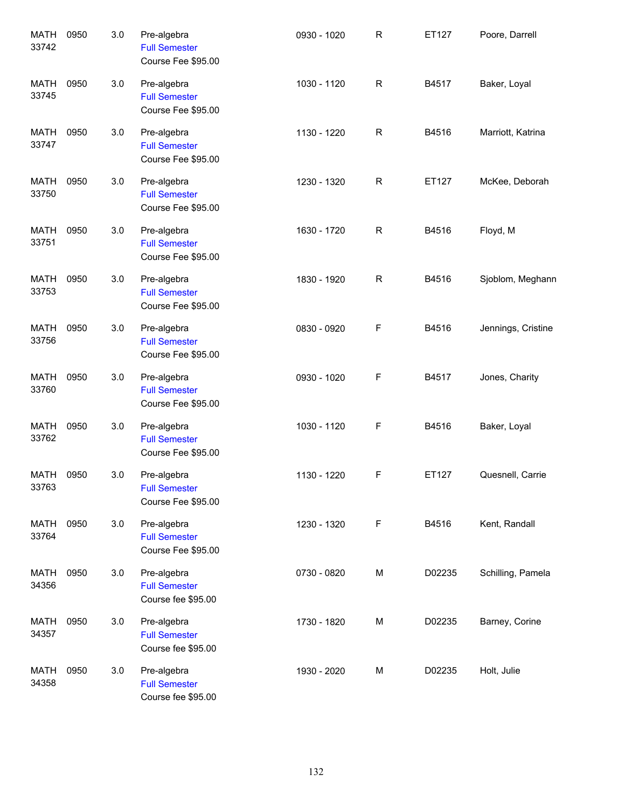| <b>MATH</b><br>33742 | 0950 | 3.0 | Pre-algebra<br><b>Full Semester</b><br>Course Fee \$95.00 | 0930 - 1020 | ${\sf R}$    | ET127  | Poore, Darrell     |
|----------------------|------|-----|-----------------------------------------------------------|-------------|--------------|--------|--------------------|
| <b>MATH</b><br>33745 | 0950 | 3.0 | Pre-algebra<br><b>Full Semester</b><br>Course Fee \$95.00 | 1030 - 1120 | $\mathsf{R}$ | B4517  | Baker, Loyal       |
| MATH<br>33747        | 0950 | 3.0 | Pre-algebra<br><b>Full Semester</b><br>Course Fee \$95.00 | 1130 - 1220 | $\mathsf{R}$ | B4516  | Marriott, Katrina  |
| <b>MATH</b><br>33750 | 0950 | 3.0 | Pre-algebra<br><b>Full Semester</b><br>Course Fee \$95.00 | 1230 - 1320 | $\mathsf{R}$ | ET127  | McKee, Deborah     |
| <b>MATH</b><br>33751 | 0950 | 3.0 | Pre-algebra<br><b>Full Semester</b><br>Course Fee \$95.00 | 1630 - 1720 | $\mathsf{R}$ | B4516  | Floyd, M           |
| <b>MATH</b><br>33753 | 0950 | 3.0 | Pre-algebra<br><b>Full Semester</b><br>Course Fee \$95.00 | 1830 - 1920 | $\mathsf{R}$ | B4516  | Sjoblom, Meghann   |
| <b>MATH</b><br>33756 | 0950 | 3.0 | Pre-algebra<br><b>Full Semester</b><br>Course Fee \$95.00 | 0830 - 0920 | $\mathsf F$  | B4516  | Jennings, Cristine |
| <b>MATH</b><br>33760 | 0950 | 3.0 | Pre-algebra<br><b>Full Semester</b><br>Course Fee \$95.00 | 0930 - 1020 | $\mathsf F$  | B4517  | Jones, Charity     |
| MATH<br>33762        | 0950 | 3.0 | Pre-algebra<br><b>Full Semester</b><br>Course Fee \$95.00 | 1030 - 1120 | $\mathsf F$  | B4516  | Baker, Loyal       |
| MATH<br>33763        | 0950 | 3.0 | Pre-algebra<br><b>Full Semester</b><br>Course Fee \$95.00 | 1130 - 1220 | $\mathsf F$  | ET127  | Quesnell, Carrie   |
| MATH<br>33764        | 0950 | 3.0 | Pre-algebra<br><b>Full Semester</b><br>Course Fee \$95.00 | 1230 - 1320 | $\mathsf F$  | B4516  | Kent, Randall      |
| MATH<br>34356        | 0950 | 3.0 | Pre-algebra<br><b>Full Semester</b><br>Course fee \$95.00 | 0730 - 0820 | M            | D02235 | Schilling, Pamela  |
| MATH<br>34357        | 0950 | 3.0 | Pre-algebra<br><b>Full Semester</b><br>Course fee \$95.00 | 1730 - 1820 | M            | D02235 | Barney, Corine     |
| MATH<br>34358        | 0950 | 3.0 | Pre-algebra<br><b>Full Semester</b><br>Course fee \$95.00 | 1930 - 2020 | M            | D02235 | Holt, Julie        |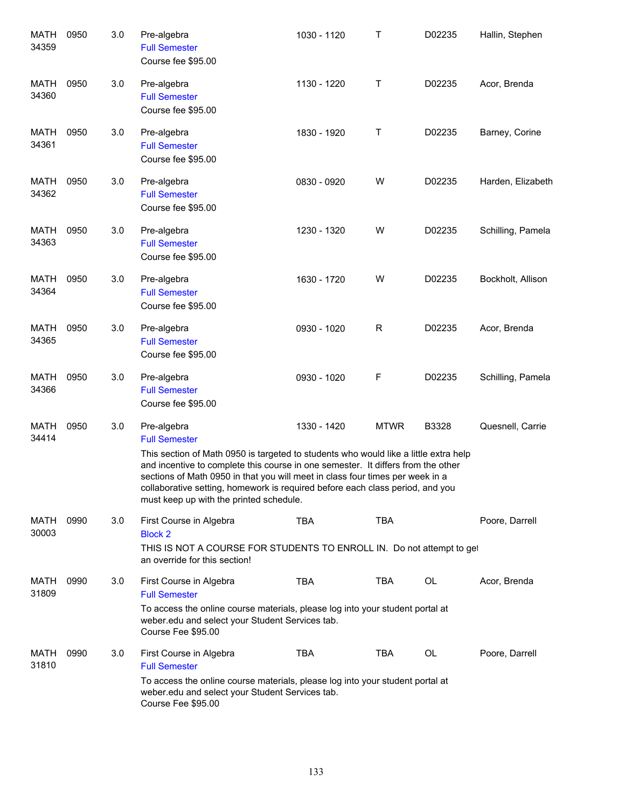| <b>MATH</b><br>34359 | 0950 | 3.0 | Pre-algebra<br><b>Full Semester</b><br>Course fee \$95.00                                                                                                                                                                                                                                                                                                                                                                    | 1030 - 1120 | Т           | D02235 | Hallin, Stephen   |
|----------------------|------|-----|------------------------------------------------------------------------------------------------------------------------------------------------------------------------------------------------------------------------------------------------------------------------------------------------------------------------------------------------------------------------------------------------------------------------------|-------------|-------------|--------|-------------------|
| MATH<br>34360        | 0950 | 3.0 | Pre-algebra<br><b>Full Semester</b><br>Course fee \$95.00                                                                                                                                                                                                                                                                                                                                                                    | 1130 - 1220 | Τ           | D02235 | Acor, Brenda      |
| MATH<br>34361        | 0950 | 3.0 | Pre-algebra<br><b>Full Semester</b><br>Course fee \$95.00                                                                                                                                                                                                                                                                                                                                                                    | 1830 - 1920 | Τ           | D02235 | Barney, Corine    |
| MATH<br>34362        | 0950 | 3.0 | Pre-algebra<br><b>Full Semester</b><br>Course fee \$95.00                                                                                                                                                                                                                                                                                                                                                                    | 0830 - 0920 | W           | D02235 | Harden, Elizabeth |
| MATH<br>34363        | 0950 | 3.0 | Pre-algebra<br><b>Full Semester</b><br>Course fee \$95.00                                                                                                                                                                                                                                                                                                                                                                    | 1230 - 1320 | W           | D02235 | Schilling, Pamela |
| <b>MATH</b><br>34364 | 0950 | 3.0 | Pre-algebra<br><b>Full Semester</b><br>Course fee \$95.00                                                                                                                                                                                                                                                                                                                                                                    | 1630 - 1720 | W           | D02235 | Bockholt, Allison |
| MATH<br>34365        | 0950 | 3.0 | Pre-algebra<br><b>Full Semester</b><br>Course fee \$95.00                                                                                                                                                                                                                                                                                                                                                                    | 0930 - 1020 | $\mathsf R$ | D02235 | Acor, Brenda      |
| <b>MATH</b><br>34366 | 0950 | 3.0 | Pre-algebra<br><b>Full Semester</b><br>Course fee \$95.00                                                                                                                                                                                                                                                                                                                                                                    | 0930 - 1020 | F           | D02235 | Schilling, Pamela |
| <b>MATH</b><br>34414 | 0950 | 3.0 | Pre-algebra<br><b>Full Semester</b><br>This section of Math 0950 is targeted to students who would like a little extra help<br>and incentive to complete this course in one semester. It differs from the other<br>sections of Math 0950 in that you will meet in class four times per week in a<br>collaborative setting, homework is required before each class period, and you<br>must keep up with the printed schedule. | 1330 - 1420 | <b>MTWR</b> | B3328  | Quesnell, Carrie  |
| MATH<br>30003        | 0990 | 3.0 | First Course in Algebra<br><b>Block 2</b><br>THIS IS NOT A COURSE FOR STUDENTS TO ENROLL IN. Do not attempt to get<br>an override for this section!                                                                                                                                                                                                                                                                          | <b>TBA</b>  | TBA         |        | Poore, Darrell    |
| MATH<br>31809        | 0990 | 3.0 | First Course in Algebra<br><b>Full Semester</b><br>To access the online course materials, please log into your student portal at<br>weber.edu and select your Student Services tab.<br>Course Fee \$95.00                                                                                                                                                                                                                    | <b>TBA</b>  | <b>TBA</b>  | OL     | Acor, Brenda      |
| MATH<br>31810        | 0990 | 3.0 | First Course in Algebra<br><b>Full Semester</b><br>To access the online course materials, please log into your student portal at<br>weber.edu and select your Student Services tab.<br>Course Fee \$95.00                                                                                                                                                                                                                    | <b>TBA</b>  | <b>TBA</b>  | OL     | Poore, Darrell    |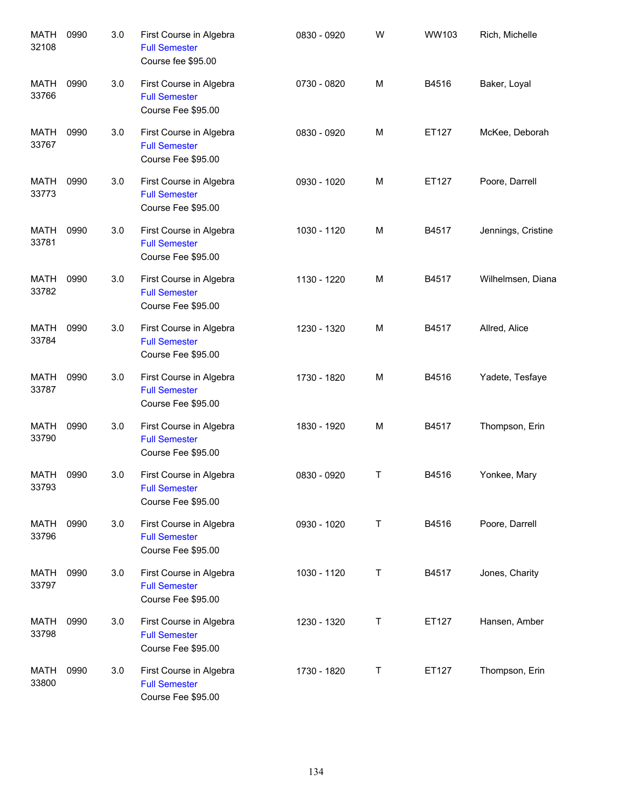| <b>MATH</b><br>32108 | 0990 | 3.0 | First Course in Algebra<br><b>Full Semester</b><br>Course fee \$95.00 | 0830 - 0920 | W | WW103 | Rich, Michelle     |
|----------------------|------|-----|-----------------------------------------------------------------------|-------------|---|-------|--------------------|
| MATH<br>33766        | 0990 | 3.0 | First Course in Algebra<br><b>Full Semester</b><br>Course Fee \$95.00 | 0730 - 0820 | M | B4516 | Baker, Loyal       |
| MATH<br>33767        | 0990 | 3.0 | First Course in Algebra<br><b>Full Semester</b><br>Course Fee \$95.00 | 0830 - 0920 | M | ET127 | McKee, Deborah     |
| MATH<br>33773        | 0990 | 3.0 | First Course in Algebra<br><b>Full Semester</b><br>Course Fee \$95.00 | 0930 - 1020 | M | ET127 | Poore, Darrell     |
| MATH<br>33781        | 0990 | 3.0 | First Course in Algebra<br><b>Full Semester</b><br>Course Fee \$95.00 | 1030 - 1120 | M | B4517 | Jennings, Cristine |
| MATH<br>33782        | 0990 | 3.0 | First Course in Algebra<br><b>Full Semester</b><br>Course Fee \$95.00 | 1130 - 1220 | M | B4517 | Wilhelmsen, Diana  |
| MATH<br>33784        | 0990 | 3.0 | First Course in Algebra<br><b>Full Semester</b><br>Course Fee \$95.00 | 1230 - 1320 | M | B4517 | Allred, Alice      |
| MATH<br>33787        | 0990 | 3.0 | First Course in Algebra<br><b>Full Semester</b><br>Course Fee \$95.00 | 1730 - 1820 | M | B4516 | Yadete, Tesfaye    |
| MATH<br>33790        | 0990 | 3.0 | First Course in Algebra<br><b>Full Semester</b><br>Course Fee \$95.00 | 1830 - 1920 | M | B4517 | Thompson, Erin     |
| MATH<br>33793        | 0990 | 3.0 | First Course in Algebra<br><b>Full Semester</b><br>Course Fee \$95.00 | 0830 - 0920 | Τ | B4516 | Yonkee, Mary       |
| MATH<br>33796        | 0990 | 3.0 | First Course in Algebra<br><b>Full Semester</b><br>Course Fee \$95.00 | 0930 - 1020 | T | B4516 | Poore, Darrell     |
| MATH<br>33797        | 0990 | 3.0 | First Course in Algebra<br><b>Full Semester</b><br>Course Fee \$95.00 | 1030 - 1120 | T | B4517 | Jones, Charity     |
| MATH<br>33798        | 0990 | 3.0 | First Course in Algebra<br><b>Full Semester</b><br>Course Fee \$95.00 | 1230 - 1320 | T | ET127 | Hansen, Amber      |
| MATH<br>33800        | 0990 | 3.0 | First Course in Algebra<br><b>Full Semester</b><br>Course Fee \$95.00 | 1730 - 1820 | T | ET127 | Thompson, Erin     |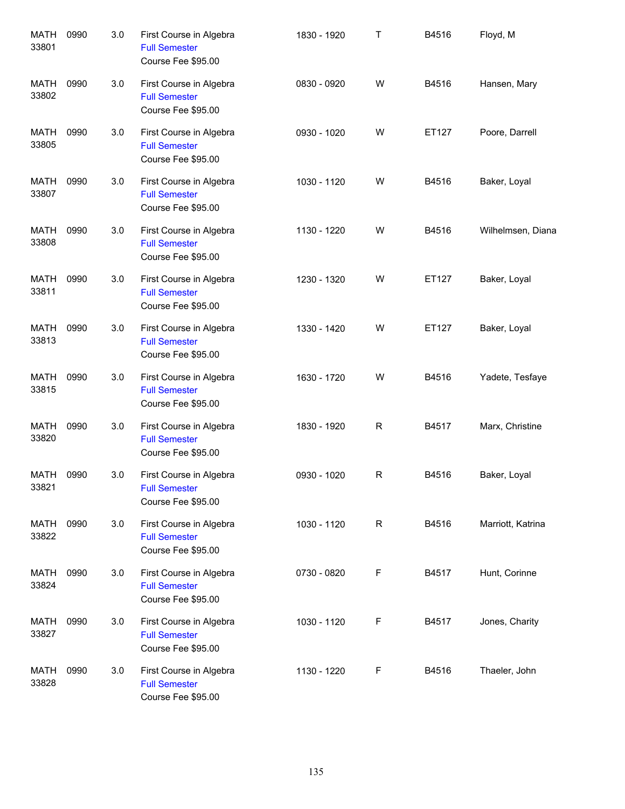| <b>MATH</b><br>33801 | 0990 | 3.0 | First Course in Algebra<br><b>Full Semester</b><br>Course Fee \$95.00 | 1830 - 1920 | $\top$      | B4516 | Floyd, M          |
|----------------------|------|-----|-----------------------------------------------------------------------|-------------|-------------|-------|-------------------|
| <b>MATH</b><br>33802 | 0990 | 3.0 | First Course in Algebra<br><b>Full Semester</b><br>Course Fee \$95.00 | 0830 - 0920 | W           | B4516 | Hansen, Mary      |
| MATH<br>33805        | 0990 | 3.0 | First Course in Algebra<br><b>Full Semester</b><br>Course Fee \$95.00 | 0930 - 1020 | W           | ET127 | Poore, Darrell    |
| MATH<br>33807        | 0990 | 3.0 | First Course in Algebra<br><b>Full Semester</b><br>Course Fee \$95.00 | 1030 - 1120 | W           | B4516 | Baker, Loyal      |
| <b>MATH</b><br>33808 | 0990 | 3.0 | First Course in Algebra<br><b>Full Semester</b><br>Course Fee \$95.00 | 1130 - 1220 | W           | B4516 | Wilhelmsen, Diana |
| MATH<br>33811        | 0990 | 3.0 | First Course in Algebra<br><b>Full Semester</b><br>Course Fee \$95.00 | 1230 - 1320 | W           | ET127 | Baker, Loyal      |
| <b>MATH</b><br>33813 | 0990 | 3.0 | First Course in Algebra<br><b>Full Semester</b><br>Course Fee \$95.00 | 1330 - 1420 | W           | ET127 | Baker, Loyal      |
| MATH<br>33815        | 0990 | 3.0 | First Course in Algebra<br><b>Full Semester</b><br>Course Fee \$95.00 | 1630 - 1720 | W           | B4516 | Yadete, Tesfaye   |
| MATH<br>33820        | 0990 | 3.0 | First Course in Algebra<br><b>Full Semester</b><br>Course Fee \$95.00 | 1830 - 1920 | $\mathsf R$ | B4517 | Marx, Christine   |
| MATH<br>33821        | 0990 | 3.0 | First Course in Algebra<br><b>Full Semester</b><br>Course Fee \$95.00 | 0930 - 1020 | R           | B4516 | Baker, Loyal      |
| MATH<br>33822        | 0990 | 3.0 | First Course in Algebra<br><b>Full Semester</b><br>Course Fee \$95.00 | 1030 - 1120 | R           | B4516 | Marriott, Katrina |
| MATH<br>33824        | 0990 | 3.0 | First Course in Algebra<br><b>Full Semester</b><br>Course Fee \$95.00 | 0730 - 0820 | F           | B4517 | Hunt, Corinne     |
| MATH<br>33827        | 0990 | 3.0 | First Course in Algebra<br><b>Full Semester</b><br>Course Fee \$95.00 | 1030 - 1120 | F           | B4517 | Jones, Charity    |
| MATH<br>33828        | 0990 | 3.0 | First Course in Algebra<br><b>Full Semester</b><br>Course Fee \$95.00 | 1130 - 1220 | F           | B4516 | Thaeler, John     |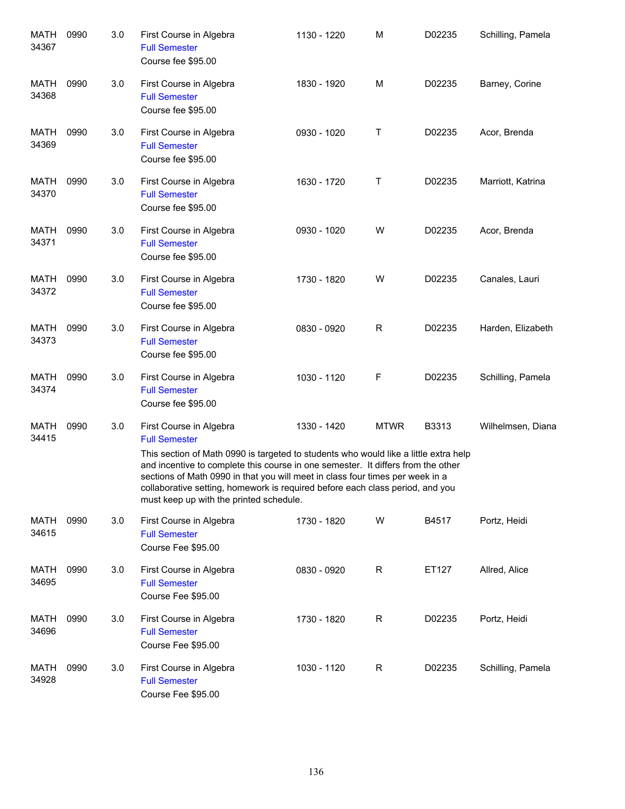| <b>MATH</b><br>34367 | 0990 | 3.0 | First Course in Algebra<br><b>Full Semester</b><br>Course fee \$95.00                                                                                                                                                                                                                                                                                                                                                                    | 1130 - 1220 | M            | D02235 | Schilling, Pamela |
|----------------------|------|-----|------------------------------------------------------------------------------------------------------------------------------------------------------------------------------------------------------------------------------------------------------------------------------------------------------------------------------------------------------------------------------------------------------------------------------------------|-------------|--------------|--------|-------------------|
| MATH<br>34368        | 0990 | 3.0 | First Course in Algebra<br><b>Full Semester</b><br>Course fee \$95.00                                                                                                                                                                                                                                                                                                                                                                    | 1830 - 1920 | M            | D02235 | Barney, Corine    |
| MATH<br>34369        | 0990 | 3.0 | First Course in Algebra<br><b>Full Semester</b><br>Course fee \$95.00                                                                                                                                                                                                                                                                                                                                                                    | 0930 - 1020 | Т            | D02235 | Acor, Brenda      |
| MATH<br>34370        | 0990 | 3.0 | First Course in Algebra<br><b>Full Semester</b><br>Course fee \$95.00                                                                                                                                                                                                                                                                                                                                                                    | 1630 - 1720 | Т            | D02235 | Marriott, Katrina |
| MATH<br>34371        | 0990 | 3.0 | First Course in Algebra<br><b>Full Semester</b><br>Course fee \$95.00                                                                                                                                                                                                                                                                                                                                                                    | 0930 - 1020 | W            | D02235 | Acor, Brenda      |
| MATH<br>34372        | 0990 | 3.0 | First Course in Algebra<br><b>Full Semester</b><br>Course fee \$95.00                                                                                                                                                                                                                                                                                                                                                                    | 1730 - 1820 | W            | D02235 | Canales, Lauri    |
| MATH<br>34373        | 0990 | 3.0 | First Course in Algebra<br><b>Full Semester</b><br>Course fee \$95.00                                                                                                                                                                                                                                                                                                                                                                    | 0830 - 0920 | R            | D02235 | Harden, Elizabeth |
| MATH<br>34374        | 0990 | 3.0 | First Course in Algebra<br><b>Full Semester</b><br>Course fee \$95.00                                                                                                                                                                                                                                                                                                                                                                    | 1030 - 1120 | F            | D02235 | Schilling, Pamela |
| <b>MATH</b><br>34415 | 0990 | 3.0 | First Course in Algebra<br><b>Full Semester</b><br>This section of Math 0990 is targeted to students who would like a little extra help<br>and incentive to complete this course in one semester. It differs from the other<br>sections of Math 0990 in that you will meet in class four times per week in a<br>collaborative setting, homework is required before each class period, and you<br>must keep up with the printed schedule. | 1330 - 1420 | <b>MTWR</b>  | B3313  | Wilhelmsen, Diana |
| MATH<br>34615        | 0990 | 3.0 | First Course in Algebra<br><b>Full Semester</b><br>Course Fee \$95.00                                                                                                                                                                                                                                                                                                                                                                    | 1730 - 1820 | W            | B4517  | Portz, Heidi      |
| <b>MATH</b><br>34695 | 0990 | 3.0 | First Course in Algebra<br><b>Full Semester</b><br>Course Fee \$95.00                                                                                                                                                                                                                                                                                                                                                                    | 0830 - 0920 | $\mathsf{R}$ | ET127  | Allred, Alice     |
| <b>MATH</b><br>34696 | 0990 | 3.0 | First Course in Algebra<br><b>Full Semester</b><br>Course Fee \$95.00                                                                                                                                                                                                                                                                                                                                                                    | 1730 - 1820 | R            | D02235 | Portz, Heidi      |
| <b>MATH</b><br>34928 | 0990 | 3.0 | First Course in Algebra<br><b>Full Semester</b><br>Course Fee \$95.00                                                                                                                                                                                                                                                                                                                                                                    | 1030 - 1120 | R            | D02235 | Schilling, Pamela |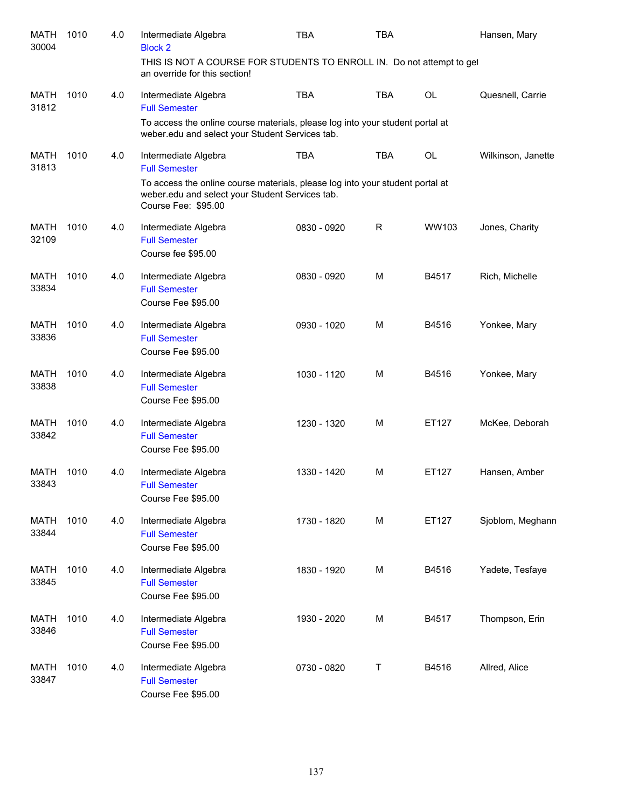| <b>MATH</b><br>30004 | 1010 | 4.0 | Intermediate Algebra<br><b>Block 2</b>                                                                                                                  | <b>TBA</b>  | <b>TBA</b> |           | Hansen, Mary       |
|----------------------|------|-----|---------------------------------------------------------------------------------------------------------------------------------------------------------|-------------|------------|-----------|--------------------|
|                      |      |     | THIS IS NOT A COURSE FOR STUDENTS TO ENROLL IN. Do not attempt to get<br>an override for this section!                                                  |             |            |           |                    |
| <b>MATH</b><br>31812 | 1010 | 4.0 | Intermediate Algebra<br><b>Full Semester</b>                                                                                                            | <b>TBA</b>  | <b>TBA</b> | <b>OL</b> | Quesnell, Carrie   |
|                      |      |     | To access the online course materials, please log into your student portal at<br>weber.edu and select your Student Services tab.                        |             |            |           |                    |
| <b>MATH</b><br>31813 | 1010 | 4.0 | Intermediate Algebra<br><b>Full Semester</b>                                                                                                            | <b>TBA</b>  | TBA        | OL        | Wilkinson, Janette |
|                      |      |     | To access the online course materials, please log into your student portal at<br>weber.edu and select your Student Services tab.<br>Course Fee: \$95.00 |             |            |           |                    |
| <b>MATH</b><br>32109 | 1010 | 4.0 | Intermediate Algebra<br><b>Full Semester</b><br>Course fee \$95.00                                                                                      | 0830 - 0920 | R          | WW103     | Jones, Charity     |
| <b>MATH</b><br>33834 | 1010 | 4.0 | Intermediate Algebra<br><b>Full Semester</b><br>Course Fee \$95.00                                                                                      | 0830 - 0920 | M          | B4517     | Rich, Michelle     |
| MATH<br>33836        | 1010 | 4.0 | Intermediate Algebra<br><b>Full Semester</b><br>Course Fee \$95.00                                                                                      | 0930 - 1020 | M          | B4516     | Yonkee, Mary       |
| MATH<br>33838        | 1010 | 4.0 | Intermediate Algebra<br><b>Full Semester</b><br>Course Fee \$95.00                                                                                      | 1030 - 1120 | M          | B4516     | Yonkee, Mary       |
| MATH<br>33842        | 1010 | 4.0 | Intermediate Algebra<br><b>Full Semester</b><br>Course Fee \$95.00                                                                                      | 1230 - 1320 | M          | ET127     | McKee, Deborah     |
| <b>MATH</b><br>33843 | 1010 | 4.0 | Intermediate Algebra<br><b>Full Semester</b><br>Course Fee \$95.00                                                                                      | 1330 - 1420 | M          | ET127     | Hansen, Amber      |
| MATH<br>33844        | 1010 | 4.0 | Intermediate Algebra<br><b>Full Semester</b><br>Course Fee \$95.00                                                                                      | 1730 - 1820 | M          | ET127     | Sjoblom, Meghann   |
| MATH<br>33845        | 1010 | 4.0 | Intermediate Algebra<br><b>Full Semester</b><br>Course Fee \$95.00                                                                                      | 1830 - 1920 | М          | B4516     | Yadete, Tesfaye    |
| MATH<br>33846        | 1010 | 4.0 | Intermediate Algebra<br><b>Full Semester</b><br>Course Fee \$95.00                                                                                      | 1930 - 2020 | М          | B4517     | Thompson, Erin     |
| MATH<br>33847        | 1010 | 4.0 | Intermediate Algebra<br><b>Full Semester</b><br>Course Fee \$95.00                                                                                      | 0730 - 0820 | Τ          | B4516     | Allred, Alice      |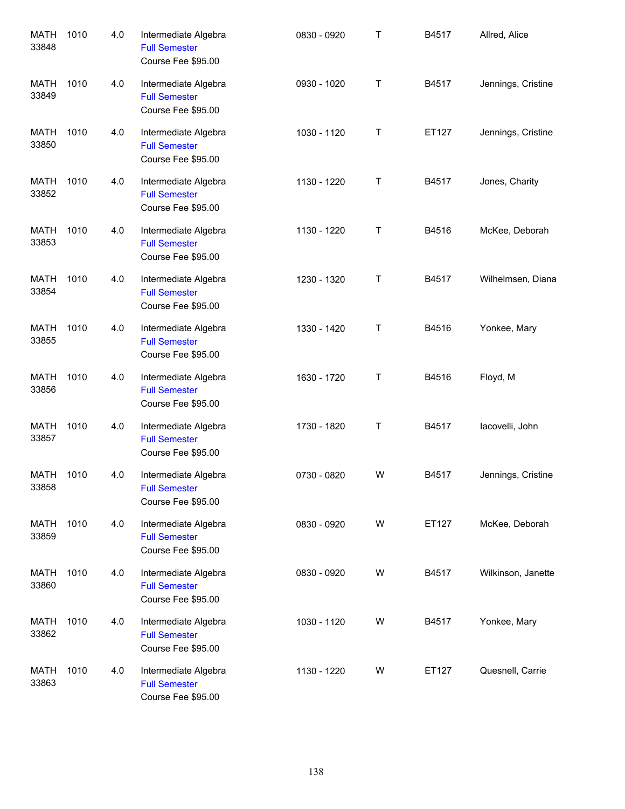| <b>MATH</b><br>33848 | 1010 | 4.0 | Intermediate Algebra<br><b>Full Semester</b><br>Course Fee \$95.00 | 0830 - 0920 | Τ | B4517 | Allred, Alice      |
|----------------------|------|-----|--------------------------------------------------------------------|-------------|---|-------|--------------------|
| <b>MATH</b><br>33849 | 1010 | 4.0 | Intermediate Algebra<br><b>Full Semester</b><br>Course Fee \$95.00 | 0930 - 1020 | Τ | B4517 | Jennings, Cristine |
| <b>MATH</b><br>33850 | 1010 | 4.0 | Intermediate Algebra<br><b>Full Semester</b><br>Course Fee \$95.00 | 1030 - 1120 | Τ | ET127 | Jennings, Cristine |
| MATH<br>33852        | 1010 | 4.0 | Intermediate Algebra<br><b>Full Semester</b><br>Course Fee \$95.00 | 1130 - 1220 | Τ | B4517 | Jones, Charity     |
| <b>MATH</b><br>33853 | 1010 | 4.0 | Intermediate Algebra<br><b>Full Semester</b><br>Course Fee \$95.00 | 1130 - 1220 | Τ | B4516 | McKee, Deborah     |
| MATH<br>33854        | 1010 | 4.0 | Intermediate Algebra<br><b>Full Semester</b><br>Course Fee \$95.00 | 1230 - 1320 | Τ | B4517 | Wilhelmsen, Diana  |
| MATH<br>33855        | 1010 | 4.0 | Intermediate Algebra<br><b>Full Semester</b><br>Course Fee \$95.00 | 1330 - 1420 | Τ | B4516 | Yonkee, Mary       |
| MATH<br>33856        | 1010 | 4.0 | Intermediate Algebra<br><b>Full Semester</b><br>Course Fee \$95.00 | 1630 - 1720 | Τ | B4516 | Floyd, M           |
| MATH<br>33857        | 1010 | 4.0 | Intermediate Algebra<br><b>Full Semester</b><br>Course Fee \$95.00 | 1730 - 1820 | Τ | B4517 | lacovelli, John    |
| MATH<br>33858        | 1010 | 4.0 | Intermediate Algebra<br><b>Full Semester</b><br>Course Fee \$95.00 | 0730 - 0820 | W | B4517 | Jennings, Cristine |
| MATH<br>33859        | 1010 | 4.0 | Intermediate Algebra<br><b>Full Semester</b><br>Course Fee \$95.00 | 0830 - 0920 | W | ET127 | McKee, Deborah     |
| MATH<br>33860        | 1010 | 4.0 | Intermediate Algebra<br><b>Full Semester</b><br>Course Fee \$95.00 | 0830 - 0920 | W | B4517 | Wilkinson, Janette |
| MATH<br>33862        | 1010 | 4.0 | Intermediate Algebra<br><b>Full Semester</b><br>Course Fee \$95.00 | 1030 - 1120 | W | B4517 | Yonkee, Mary       |
| MATH<br>33863        | 1010 | 4.0 | Intermediate Algebra<br><b>Full Semester</b><br>Course Fee \$95.00 | 1130 - 1220 | W | ET127 | Quesnell, Carrie   |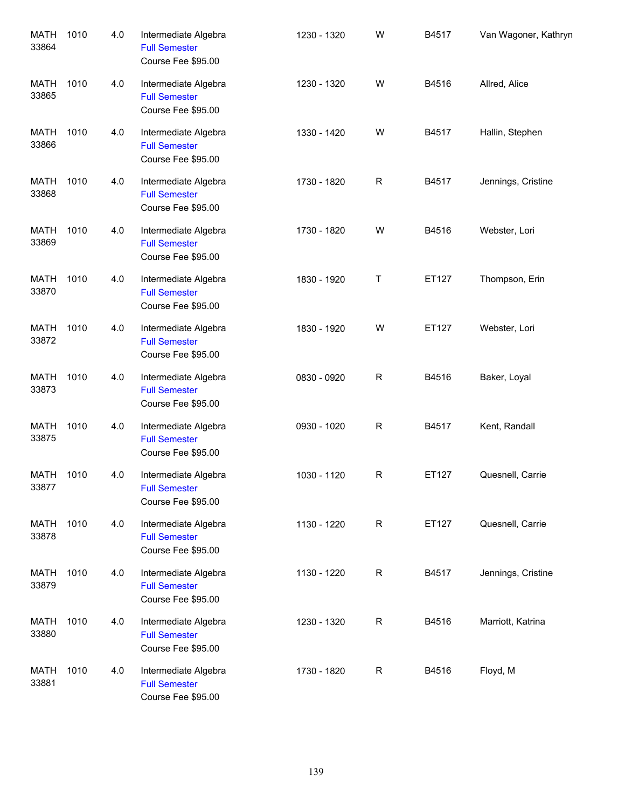| <b>MATH</b><br>33864 | 1010 | 4.0 | Intermediate Algebra<br><b>Full Semester</b><br>Course Fee \$95.00 | 1230 - 1320 | W            | B4517 | Van Wagoner, Kathryn |
|----------------------|------|-----|--------------------------------------------------------------------|-------------|--------------|-------|----------------------|
| <b>MATH</b><br>33865 | 1010 | 4.0 | Intermediate Algebra<br><b>Full Semester</b><br>Course Fee \$95.00 | 1230 - 1320 | W            | B4516 | Allred, Alice        |
| <b>MATH</b><br>33866 | 1010 | 4.0 | Intermediate Algebra<br><b>Full Semester</b><br>Course Fee \$95.00 | 1330 - 1420 | W            | B4517 | Hallin, Stephen      |
| <b>MATH</b><br>33868 | 1010 | 4.0 | Intermediate Algebra<br><b>Full Semester</b><br>Course Fee \$95.00 | 1730 - 1820 | $\mathsf{R}$ | B4517 | Jennings, Cristine   |
| <b>MATH</b><br>33869 | 1010 | 4.0 | Intermediate Algebra<br><b>Full Semester</b><br>Course Fee \$95.00 | 1730 - 1820 | W            | B4516 | Webster, Lori        |
| <b>MATH</b><br>33870 | 1010 | 4.0 | Intermediate Algebra<br><b>Full Semester</b><br>Course Fee \$95.00 | 1830 - 1920 | T            | ET127 | Thompson, Erin       |
| <b>MATH</b><br>33872 | 1010 | 4.0 | Intermediate Algebra<br><b>Full Semester</b><br>Course Fee \$95.00 | 1830 - 1920 | W            | ET127 | Webster, Lori        |
| <b>MATH</b><br>33873 | 1010 | 4.0 | Intermediate Algebra<br><b>Full Semester</b><br>Course Fee \$95.00 | 0830 - 0920 | $\mathsf{R}$ | B4516 | Baker, Loyal         |
| <b>MATH</b><br>33875 | 1010 | 4.0 | Intermediate Algebra<br><b>Full Semester</b><br>Course Fee \$95.00 | 0930 - 1020 | $\mathsf{R}$ | B4517 | Kent, Randall        |
| MATH<br>33877        | 1010 | 4.0 | Intermediate Algebra<br><b>Full Semester</b><br>Course Fee \$95.00 | 1030 - 1120 | $\mathsf R$  | ET127 | Quesnell, Carrie     |
| <b>MATH</b><br>33878 | 1010 | 4.0 | Intermediate Algebra<br><b>Full Semester</b><br>Course Fee \$95.00 | 1130 - 1220 | R            | ET127 | Quesnell, Carrie     |
| <b>MATH</b><br>33879 | 1010 | 4.0 | Intermediate Algebra<br><b>Full Semester</b><br>Course Fee \$95.00 | 1130 - 1220 | $\mathsf R$  | B4517 | Jennings, Cristine   |
| <b>MATH</b><br>33880 | 1010 | 4.0 | Intermediate Algebra<br><b>Full Semester</b><br>Course Fee \$95.00 | 1230 - 1320 | $\mathsf R$  | B4516 | Marriott, Katrina    |
| <b>MATH</b><br>33881 | 1010 | 4.0 | Intermediate Algebra<br><b>Full Semester</b><br>Course Fee \$95.00 | 1730 - 1820 | $\mathsf R$  | B4516 | Floyd, M             |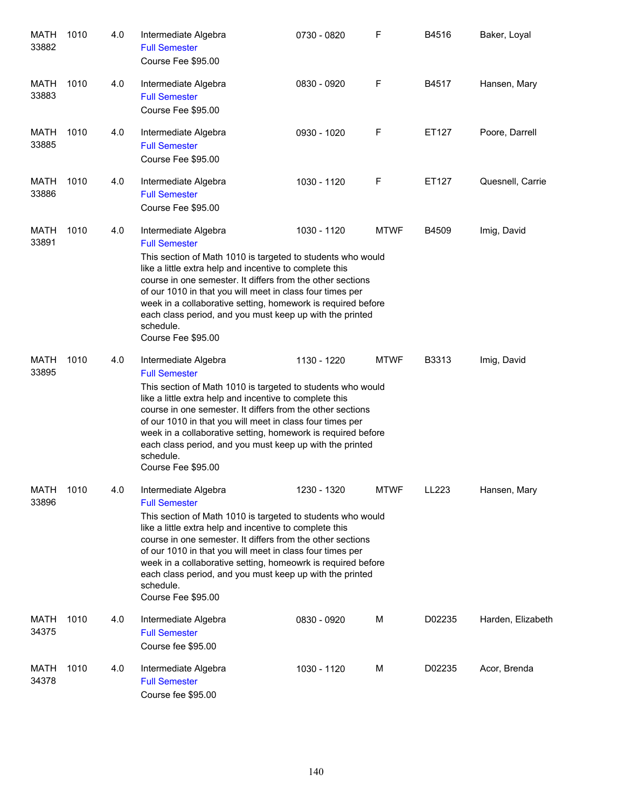| <b>MATH</b><br>33882 | 1010 | 4.0 | Intermediate Algebra<br><b>Full Semester</b><br>Course Fee \$95.00                                                                                                                                                                                                                                                                                                                                                                                               | 0730 - 0820 | F           | B4516  | Baker, Loyal      |
|----------------------|------|-----|------------------------------------------------------------------------------------------------------------------------------------------------------------------------------------------------------------------------------------------------------------------------------------------------------------------------------------------------------------------------------------------------------------------------------------------------------------------|-------------|-------------|--------|-------------------|
| MATH<br>33883        | 1010 | 4.0 | Intermediate Algebra<br><b>Full Semester</b><br>Course Fee \$95.00                                                                                                                                                                                                                                                                                                                                                                                               | 0830 - 0920 | F           | B4517  | Hansen, Mary      |
| MATH<br>33885        | 1010 | 4.0 | Intermediate Algebra<br><b>Full Semester</b><br>Course Fee \$95.00                                                                                                                                                                                                                                                                                                                                                                                               | 0930 - 1020 | F           | ET127  | Poore, Darrell    |
| MATH<br>33886        | 1010 | 4.0 | Intermediate Algebra<br><b>Full Semester</b><br>Course Fee \$95.00                                                                                                                                                                                                                                                                                                                                                                                               | 1030 - 1120 | F           | ET127  | Quesnell, Carrie  |
| MATH<br>33891        | 1010 | 4.0 | Intermediate Algebra<br><b>Full Semester</b><br>This section of Math 1010 is targeted to students who would<br>like a little extra help and incentive to complete this<br>course in one semester. It differs from the other sections<br>of our 1010 in that you will meet in class four times per<br>week in a collaborative setting, homework is required before<br>each class period, and you must keep up with the printed<br>schedule.<br>Course Fee \$95.00 | 1030 - 1120 | <b>MTWF</b> | B4509  | Imig, David       |
| MATH<br>33895        | 1010 | 4.0 | Intermediate Algebra<br><b>Full Semester</b><br>This section of Math 1010 is targeted to students who would<br>like a little extra help and incentive to complete this<br>course in one semester. It differs from the other sections<br>of our 1010 in that you will meet in class four times per<br>week in a collaborative setting, homework is required before<br>each class period, and you must keep up with the printed<br>schedule.<br>Course Fee \$95.00 | 1130 - 1220 | <b>MTWF</b> | B3313  | Imig, David       |
| <b>MATH</b><br>33896 | 1010 | 4.0 | Intermediate Algebra<br><b>Full Semester</b><br>This section of Math 1010 is targeted to students who would<br>like a little extra help and incentive to complete this<br>course in one semester. It differs from the other sections<br>of our 1010 in that you will meet in class four times per<br>week in a collaborative setting, homeowrk is required before<br>each class period, and you must keep up with the printed<br>schedule.<br>Course Fee \$95.00 | 1230 - 1320 | <b>MTWF</b> | LL223  | Hansen, Mary      |
| MATH<br>34375        | 1010 | 4.0 | Intermediate Algebra<br><b>Full Semester</b><br>Course fee \$95.00                                                                                                                                                                                                                                                                                                                                                                                               | 0830 - 0920 | М           | D02235 | Harden, Elizabeth |
| MATH<br>34378        | 1010 | 4.0 | Intermediate Algebra<br><b>Full Semester</b><br>Course fee \$95.00                                                                                                                                                                                                                                                                                                                                                                                               | 1030 - 1120 | М           | D02235 | Acor, Brenda      |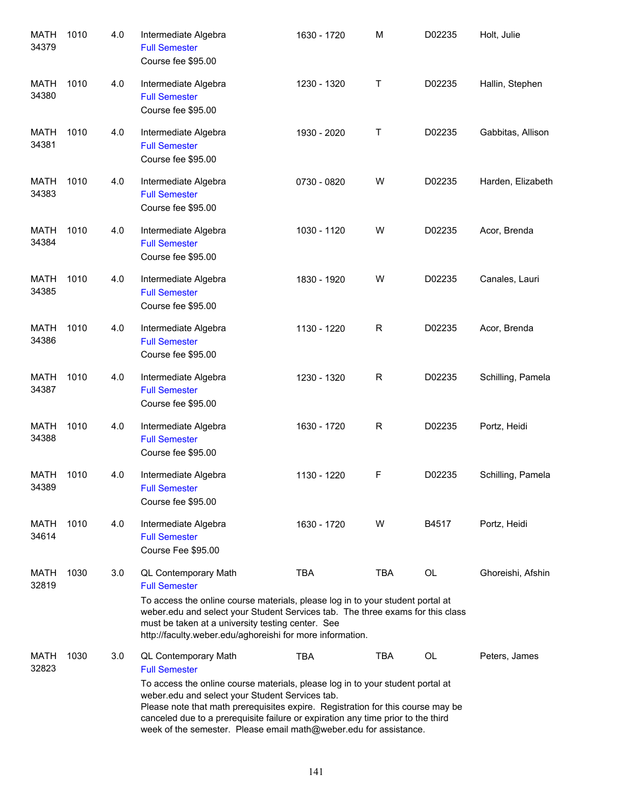| <b>MATH</b><br>34379 | 1010 | 4.0 | Intermediate Algebra<br><b>Full Semester</b><br>Course fee \$95.00                                                                                                                                                                                                                                                                                                                                                            | 1630 - 1720 | M           | D02235    | Holt, Julie       |
|----------------------|------|-----|-------------------------------------------------------------------------------------------------------------------------------------------------------------------------------------------------------------------------------------------------------------------------------------------------------------------------------------------------------------------------------------------------------------------------------|-------------|-------------|-----------|-------------------|
| MATH<br>34380        | 1010 | 4.0 | Intermediate Algebra<br><b>Full Semester</b><br>Course fee \$95.00                                                                                                                                                                                                                                                                                                                                                            | 1230 - 1320 | Τ           | D02235    | Hallin, Stephen   |
| MATH<br>34381        | 1010 | 4.0 | Intermediate Algebra<br><b>Full Semester</b><br>Course fee \$95.00                                                                                                                                                                                                                                                                                                                                                            | 1930 - 2020 | Τ           | D02235    | Gabbitas, Allison |
| MATH<br>34383        | 1010 | 4.0 | Intermediate Algebra<br><b>Full Semester</b><br>Course fee \$95.00                                                                                                                                                                                                                                                                                                                                                            | 0730 - 0820 | W           | D02235    | Harden, Elizabeth |
| MATH<br>34384        | 1010 | 4.0 | Intermediate Algebra<br><b>Full Semester</b><br>Course fee \$95.00                                                                                                                                                                                                                                                                                                                                                            | 1030 - 1120 | W           | D02235    | Acor, Brenda      |
| MATH<br>34385        | 1010 | 4.0 | Intermediate Algebra<br><b>Full Semester</b><br>Course fee \$95.00                                                                                                                                                                                                                                                                                                                                                            | 1830 - 1920 | W           | D02235    | Canales, Lauri    |
| MATH<br>34386        | 1010 | 4.0 | Intermediate Algebra<br><b>Full Semester</b><br>Course fee \$95.00                                                                                                                                                                                                                                                                                                                                                            | 1130 - 1220 | $\mathsf R$ | D02235    | Acor, Brenda      |
| MATH<br>34387        | 1010 | 4.0 | Intermediate Algebra<br><b>Full Semester</b><br>Course fee \$95.00                                                                                                                                                                                                                                                                                                                                                            | 1230 - 1320 | $\mathsf R$ | D02235    | Schilling, Pamela |
| MATH<br>34388        | 1010 | 4.0 | Intermediate Algebra<br><b>Full Semester</b><br>Course fee \$95.00                                                                                                                                                                                                                                                                                                                                                            | 1630 - 1720 | $\mathsf R$ | D02235    | Portz, Heidi      |
| MATH<br>34389        | 1010 | 4.0 | Intermediate Algebra<br><b>Full Semester</b><br>Course fee \$95.00                                                                                                                                                                                                                                                                                                                                                            | 1130 - 1220 | F           | D02235    | Schilling, Pamela |
| MATH<br>34614        | 1010 | 4.0 | Intermediate Algebra<br><b>Full Semester</b><br>Course Fee \$95.00                                                                                                                                                                                                                                                                                                                                                            | 1630 - 1720 | W           | B4517     | Portz, Heidi      |
| MATH<br>32819        | 1030 | 3.0 | QL Contemporary Math<br><b>Full Semester</b><br>To access the online course materials, please log in to your student portal at<br>weber.edu and select your Student Services tab. The three exams for this class<br>must be taken at a university testing center. See<br>http://faculty.weber.edu/aghoreishi for more information.                                                                                            | <b>TBA</b>  | <b>TBA</b>  | <b>OL</b> | Ghoreishi, Afshin |
| MATH<br>32823        | 1030 | 3.0 | QL Contemporary Math<br><b>Full Semester</b><br>To access the online course materials, please log in to your student portal at<br>weber.edu and select your Student Services tab.<br>Please note that math prerequisites expire. Registration for this course may be<br>canceled due to a prerequisite failure or expiration any time prior to the third<br>week of the semester. Please email math@weber.edu for assistance. | <b>TBA</b>  | TBA         | OL        | Peters, James     |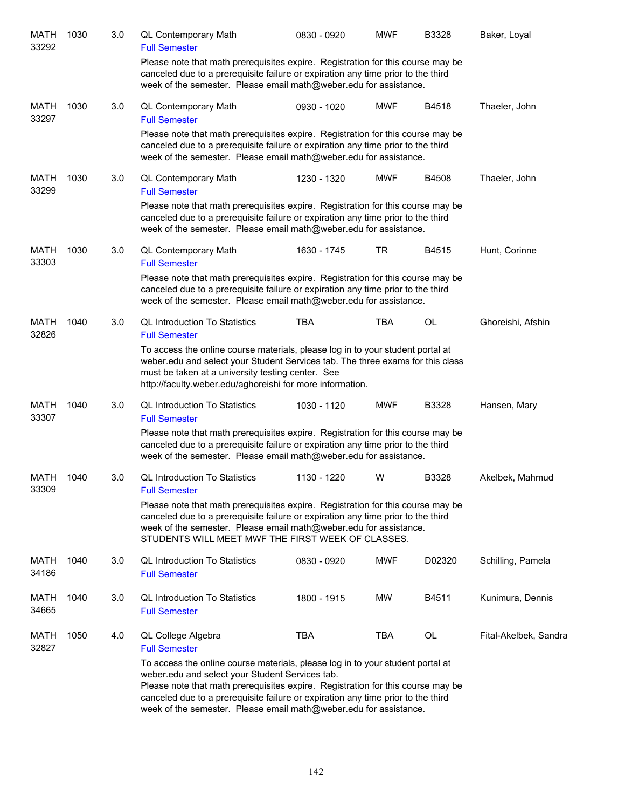| <b>MATH</b><br>33292 | 1030 | 3.0 | <b>QL Contemporary Math</b><br><b>Full Semester</b>                                                                                                                                                                                                                                                                                                                           | 0830 - 0920 | <b>MWF</b> | B3328  | Baker, Loyal          |
|----------------------|------|-----|-------------------------------------------------------------------------------------------------------------------------------------------------------------------------------------------------------------------------------------------------------------------------------------------------------------------------------------------------------------------------------|-------------|------------|--------|-----------------------|
|                      |      |     | Please note that math prerequisites expire. Registration for this course may be<br>canceled due to a prerequisite failure or expiration any time prior to the third<br>week of the semester. Please email math@weber.edu for assistance.                                                                                                                                      |             |            |        |                       |
| <b>MATH</b><br>33297 | 1030 | 3.0 | QL Contemporary Math<br><b>Full Semester</b>                                                                                                                                                                                                                                                                                                                                  | 0930 - 1020 | <b>MWF</b> | B4518  | Thaeler, John         |
|                      |      |     | Please note that math prerequisites expire. Registration for this course may be<br>canceled due to a prerequisite failure or expiration any time prior to the third<br>week of the semester. Please email math@weber.edu for assistance.                                                                                                                                      |             |            |        |                       |
| MATH<br>33299        | 1030 | 3.0 | QL Contemporary Math<br><b>Full Semester</b>                                                                                                                                                                                                                                                                                                                                  | 1230 - 1320 | <b>MWF</b> | B4508  | Thaeler, John         |
|                      |      |     | Please note that math prerequisites expire. Registration for this course may be<br>canceled due to a prerequisite failure or expiration any time prior to the third<br>week of the semester. Please email math@weber.edu for assistance.                                                                                                                                      |             |            |        |                       |
| <b>MATH</b><br>33303 | 1030 | 3.0 | QL Contemporary Math<br><b>Full Semester</b>                                                                                                                                                                                                                                                                                                                                  | 1630 - 1745 | TR         | B4515  | Hunt, Corinne         |
|                      |      |     | Please note that math prerequisites expire. Registration for this course may be<br>canceled due to a prerequisite failure or expiration any time prior to the third<br>week of the semester. Please email math@weber.edu for assistance.                                                                                                                                      |             |            |        |                       |
| MATH<br>32826        | 1040 | 3.0 | <b>QL Introduction To Statistics</b><br><b>Full Semester</b>                                                                                                                                                                                                                                                                                                                  | <b>TBA</b>  | <b>TBA</b> | OL     | Ghoreishi, Afshin     |
|                      |      |     | To access the online course materials, please log in to your student portal at<br>weber.edu and select your Student Services tab. The three exams for this class<br>must be taken at a university testing center. See<br>http://faculty.weber.edu/aghoreishi for more information.                                                                                            |             |            |        |                       |
| MATH<br>33307        | 1040 | 3.0 | <b>QL Introduction To Statistics</b><br><b>Full Semester</b>                                                                                                                                                                                                                                                                                                                  | 1030 - 1120 | <b>MWF</b> | B3328  | Hansen, Mary          |
|                      |      |     | Please note that math prerequisites expire. Registration for this course may be<br>canceled due to a prerequisite failure or expiration any time prior to the third<br>week of the semester. Please email math@weber.edu for assistance.                                                                                                                                      |             |            |        |                       |
| MATH<br>33309        | 1040 | 3.0 | <b>QL Introduction To Statistics</b><br><b>Full Semester</b>                                                                                                                                                                                                                                                                                                                  | 1130 - 1220 | W          | B3328  | Akelbek, Mahmud       |
|                      |      |     | Please note that math prerequisites expire. Registration for this course may be<br>canceled due to a prerequisite failure or expiration any time prior to the third<br>week of the semester. Please email math@weber.edu for assistance.<br>STUDENTS WILL MEET MWF THE FIRST WEEK OF CLASSES.                                                                                 |             |            |        |                       |
| MATH<br>34186        | 1040 | 3.0 | <b>QL Introduction To Statistics</b><br><b>Full Semester</b>                                                                                                                                                                                                                                                                                                                  | 0830 - 0920 | <b>MWF</b> | D02320 | Schilling, Pamela     |
| MATH<br>34665        | 1040 | 3.0 | <b>QL Introduction To Statistics</b><br><b>Full Semester</b>                                                                                                                                                                                                                                                                                                                  | 1800 - 1915 | MW         | B4511  | Kunimura, Dennis      |
| MATH<br>32827        | 1050 | 4.0 | QL College Algebra<br><b>Full Semester</b>                                                                                                                                                                                                                                                                                                                                    | <b>TBA</b>  | TBA        | OL     | Fital-Akelbek, Sandra |
|                      |      |     | To access the online course materials, please log in to your student portal at<br>weber.edu and select your Student Services tab.<br>Please note that math prerequisites expire. Registration for this course may be<br>canceled due to a prerequisite failure or expiration any time prior to the third<br>week of the semester. Please email math@weber.edu for assistance. |             |            |        |                       |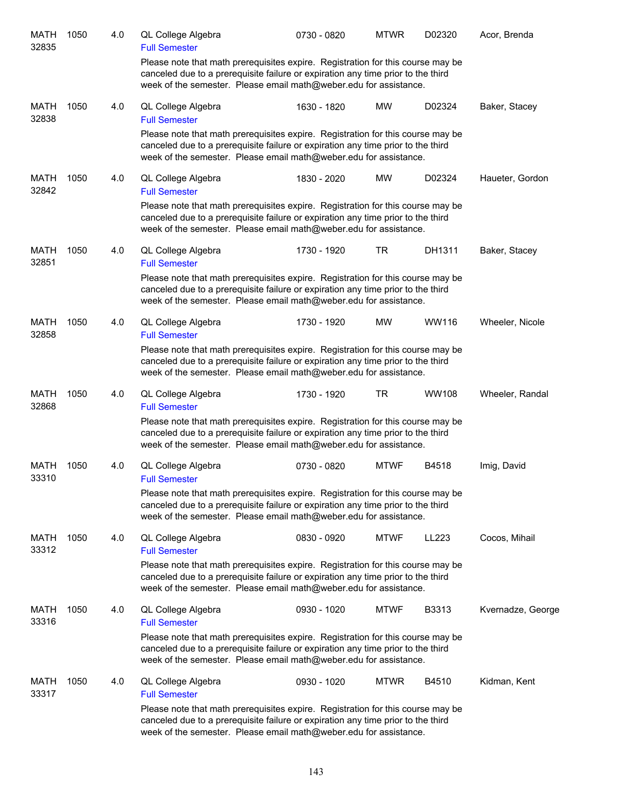| <b>MATH</b><br>32835 | 1050 | 4.0 | QL College Algebra<br><b>Full Semester</b> | 0730 - 0820                                                                                                                                                                                                                              | <b>MTWR</b> | D02320       | Acor, Brenda      |
|----------------------|------|-----|--------------------------------------------|------------------------------------------------------------------------------------------------------------------------------------------------------------------------------------------------------------------------------------------|-------------|--------------|-------------------|
|                      |      |     |                                            | Please note that math prerequisites expire. Registration for this course may be<br>canceled due to a prerequisite failure or expiration any time prior to the third<br>week of the semester. Please email math@weber.edu for assistance. |             |              |                   |
| <b>MATH</b><br>32838 | 1050 | 4.0 | QL College Algebra<br><b>Full Semester</b> | 1630 - 1820                                                                                                                                                                                                                              | <b>MW</b>   | D02324       | Baker, Stacey     |
|                      |      |     |                                            | Please note that math prerequisites expire. Registration for this course may be<br>canceled due to a prerequisite failure or expiration any time prior to the third<br>week of the semester. Please email math@weber.edu for assistance. |             |              |                   |
| <b>MATH</b><br>32842 | 1050 | 4.0 | QL College Algebra<br><b>Full Semester</b> | 1830 - 2020                                                                                                                                                                                                                              | <b>MW</b>   | D02324       | Haueter, Gordon   |
|                      |      |     |                                            | Please note that math prerequisites expire. Registration for this course may be<br>canceled due to a prerequisite failure or expiration any time prior to the third<br>week of the semester. Please email math@weber.edu for assistance. |             |              |                   |
| MATH<br>32851        | 1050 | 4.0 | QL College Algebra<br><b>Full Semester</b> | 1730 - 1920                                                                                                                                                                                                                              | <b>TR</b>   | DH1311       | Baker, Stacey     |
|                      |      |     |                                            | Please note that math prerequisites expire. Registration for this course may be<br>canceled due to a prerequisite failure or expiration any time prior to the third<br>week of the semester. Please email math@weber.edu for assistance. |             |              |                   |
| MATH<br>32858        | 1050 | 4.0 | QL College Algebra<br><b>Full Semester</b> | 1730 - 1920                                                                                                                                                                                                                              | <b>MW</b>   | WW116        | Wheeler, Nicole   |
|                      |      |     |                                            | Please note that math prerequisites expire. Registration for this course may be<br>canceled due to a prerequisite failure or expiration any time prior to the third<br>week of the semester. Please email math@weber.edu for assistance. |             |              |                   |
| <b>MATH</b><br>32868 | 1050 | 4.0 | QL College Algebra<br><b>Full Semester</b> | 1730 - 1920                                                                                                                                                                                                                              | <b>TR</b>   | <b>WW108</b> | Wheeler, Randal   |
|                      |      |     |                                            | Please note that math prerequisites expire. Registration for this course may be<br>canceled due to a prerequisite failure or expiration any time prior to the third<br>week of the semester. Please email math@weber.edu for assistance. |             |              |                   |
| MATH<br>33310        | 1050 | 4.0 | QL College Algebra<br><b>Full Semester</b> | 0730 - 0820                                                                                                                                                                                                                              | <b>MTWF</b> | B4518        | Imig, David       |
|                      |      |     |                                            | Please note that math prerequisites expire. Registration for this course may be<br>canceled due to a prerequisite failure or expiration any time prior to the third<br>week of the semester. Please email math@weber.edu for assistance. |             |              |                   |
| MATH<br>33312        | 1050 | 4.0 | QL College Algebra<br><b>Full Semester</b> | 0830 - 0920                                                                                                                                                                                                                              | <b>MTWF</b> | LL223        | Cocos, Mihail     |
|                      |      |     |                                            | Please note that math prerequisites expire. Registration for this course may be<br>canceled due to a prerequisite failure or expiration any time prior to the third<br>week of the semester. Please email math@weber.edu for assistance. |             |              |                   |
| MATH<br>33316        | 1050 | 4.0 | QL College Algebra<br><b>Full Semester</b> | 0930 - 1020                                                                                                                                                                                                                              | <b>MTWF</b> | B3313        | Kvernadze, George |
|                      |      |     |                                            | Please note that math prerequisites expire. Registration for this course may be<br>canceled due to a prerequisite failure or expiration any time prior to the third<br>week of the semester. Please email math@weber.edu for assistance. |             |              |                   |
| MATH<br>33317        | 1050 | 4.0 | QL College Algebra<br><b>Full Semester</b> | 0930 - 1020                                                                                                                                                                                                                              | <b>MTWR</b> | B4510        | Kidman, Kent      |
|                      |      |     |                                            | Please note that math prerequisites expire. Registration for this course may be<br>canceled due to a prerequisite failure or expiration any time prior to the third<br>week of the semester. Please email math@weber.edu for assistance. |             |              |                   |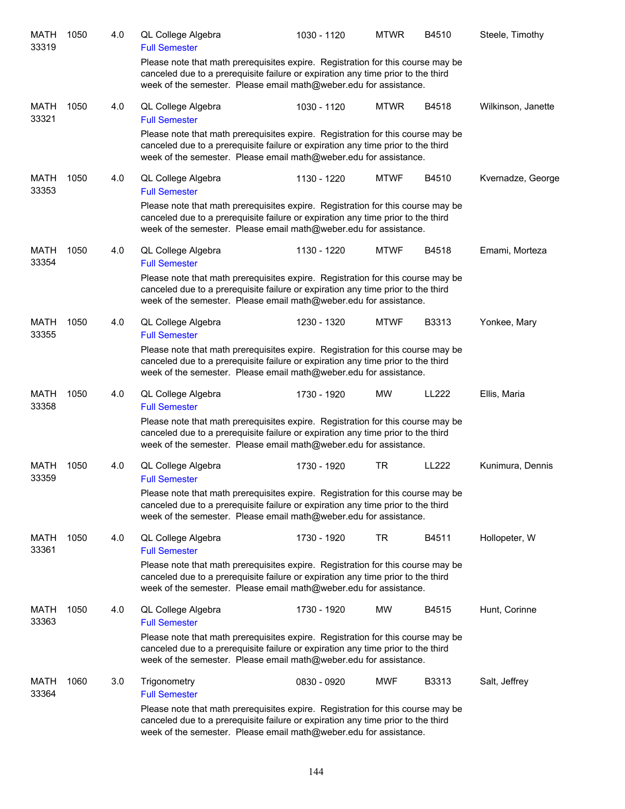| <b>MATH</b><br>33319 | 1050 | 4.0 | QL College Algebra<br><b>Full Semester</b>                                                                                                                                                                                               | 1030 - 1120 | <b>MTWR</b> | B4510 | Steele, Timothy    |
|----------------------|------|-----|------------------------------------------------------------------------------------------------------------------------------------------------------------------------------------------------------------------------------------------|-------------|-------------|-------|--------------------|
|                      |      |     | Please note that math prerequisites expire. Registration for this course may be<br>canceled due to a prerequisite failure or expiration any time prior to the third<br>week of the semester. Please email math@weber.edu for assistance. |             |             |       |                    |
| <b>MATH</b><br>33321 | 1050 | 4.0 | QL College Algebra<br><b>Full Semester</b>                                                                                                                                                                                               | 1030 - 1120 | <b>MTWR</b> | B4518 | Wilkinson, Janette |
|                      |      |     | Please note that math prerequisites expire. Registration for this course may be<br>canceled due to a prerequisite failure or expiration any time prior to the third<br>week of the semester. Please email math@weber.edu for assistance. |             |             |       |                    |
| <b>MATH</b><br>33353 | 1050 | 4.0 | QL College Algebra<br><b>Full Semester</b>                                                                                                                                                                                               | 1130 - 1220 | <b>MTWF</b> | B4510 | Kvernadze, George  |
|                      |      |     | Please note that math prerequisites expire. Registration for this course may be<br>canceled due to a prerequisite failure or expiration any time prior to the third<br>week of the semester. Please email math@weber.edu for assistance. |             |             |       |                    |
| <b>MATH</b><br>33354 | 1050 | 4.0 | QL College Algebra<br><b>Full Semester</b>                                                                                                                                                                                               | 1130 - 1220 | <b>MTWF</b> | B4518 | Emami, Morteza     |
|                      |      |     | Please note that math prerequisites expire. Registration for this course may be<br>canceled due to a prerequisite failure or expiration any time prior to the third<br>week of the semester. Please email math@weber.edu for assistance. |             |             |       |                    |
| MATH<br>33355        | 1050 | 4.0 | QL College Algebra<br><b>Full Semester</b>                                                                                                                                                                                               | 1230 - 1320 | <b>MTWF</b> | B3313 | Yonkee, Mary       |
|                      |      |     | Please note that math prerequisites expire. Registration for this course may be<br>canceled due to a prerequisite failure or expiration any time prior to the third<br>week of the semester. Please email math@weber.edu for assistance. |             |             |       |                    |
| MATH<br>33358        | 1050 | 4.0 | QL College Algebra<br><b>Full Semester</b>                                                                                                                                                                                               | 1730 - 1920 | MW          | LL222 | Ellis, Maria       |
|                      |      |     | Please note that math prerequisites expire. Registration for this course may be<br>canceled due to a prerequisite failure or expiration any time prior to the third<br>week of the semester. Please email math@weber.edu for assistance. |             |             |       |                    |
| MATH<br>33359        | 1050 | 4.0 | QL College Algebra<br><b>Full Semester</b>                                                                                                                                                                                               | 1730 - 1920 | TR          | LL222 | Kunimura, Dennis   |
|                      |      |     | Please note that math prerequisites expire. Registration for this course may be<br>canceled due to a prerequisite failure or expiration any time prior to the third<br>week of the semester. Please email math@weber.edu for assistance. |             |             |       |                    |
| MATH<br>33361        | 1050 | 4.0 | QL College Algebra<br><b>Full Semester</b>                                                                                                                                                                                               | 1730 - 1920 | <b>TR</b>   | B4511 | Hollopeter, W      |
|                      |      |     | Please note that math prerequisites expire. Registration for this course may be<br>canceled due to a prerequisite failure or expiration any time prior to the third<br>week of the semester. Please email math@weber.edu for assistance. |             |             |       |                    |
| MATH<br>33363        | 1050 | 4.0 | QL College Algebra<br><b>Full Semester</b>                                                                                                                                                                                               | 1730 - 1920 | MW          | B4515 | Hunt, Corinne      |
|                      |      |     | Please note that math prerequisites expire. Registration for this course may be<br>canceled due to a prerequisite failure or expiration any time prior to the third<br>week of the semester. Please email math@weber.edu for assistance. |             |             |       |                    |
| MATH<br>33364        | 1060 | 3.0 | Trigonometry<br><b>Full Semester</b>                                                                                                                                                                                                     | 0830 - 0920 | <b>MWF</b>  | B3313 | Salt, Jeffrey      |
|                      |      |     | Please note that math prerequisites expire. Registration for this course may be<br>canceled due to a prerequisite failure or expiration any time prior to the third<br>week of the semester. Please email math@weber.edu for assistance. |             |             |       |                    |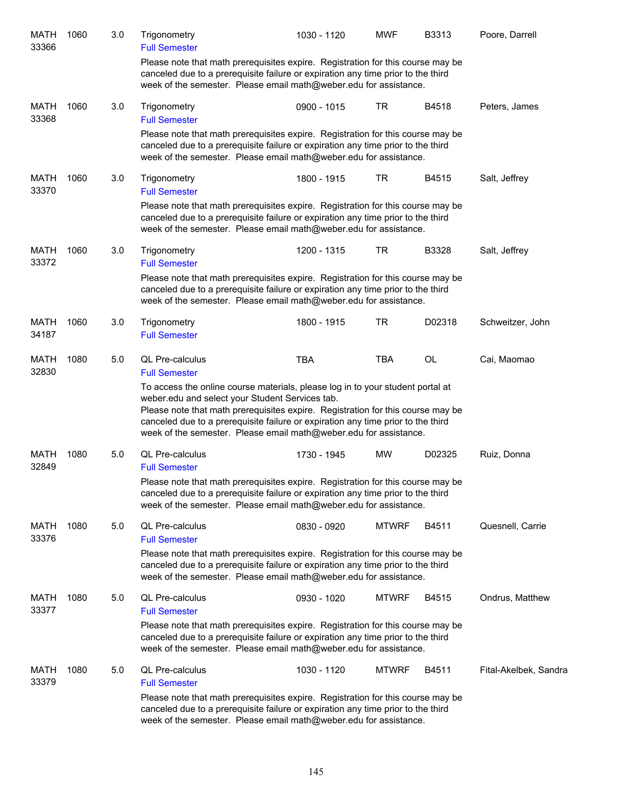| <b>MATH</b><br>33366 | 1060 | 3.0 | Trigonometry<br><b>Full Semester</b>                                                                                                                                                                                                                                                                                                                                          | 1030 - 1120 | <b>MWF</b>   | B3313  | Poore, Darrell        |
|----------------------|------|-----|-------------------------------------------------------------------------------------------------------------------------------------------------------------------------------------------------------------------------------------------------------------------------------------------------------------------------------------------------------------------------------|-------------|--------------|--------|-----------------------|
|                      |      |     | Please note that math prerequisites expire. Registration for this course may be<br>canceled due to a prerequisite failure or expiration any time prior to the third<br>week of the semester. Please email math@weber.edu for assistance.                                                                                                                                      |             |              |        |                       |
| MATH<br>33368        | 1060 | 3.0 | Trigonometry<br><b>Full Semester</b>                                                                                                                                                                                                                                                                                                                                          | 0900 - 1015 | TR           | B4518  | Peters, James         |
|                      |      |     | Please note that math prerequisites expire. Registration for this course may be<br>canceled due to a prerequisite failure or expiration any time prior to the third<br>week of the semester. Please email math@weber.edu for assistance.                                                                                                                                      |             |              |        |                       |
| <b>MATH</b><br>33370 | 1060 | 3.0 | Trigonometry<br><b>Full Semester</b>                                                                                                                                                                                                                                                                                                                                          | 1800 - 1915 | TR           | B4515  | Salt, Jeffrey         |
|                      |      |     | Please note that math prerequisites expire. Registration for this course may be<br>canceled due to a prerequisite failure or expiration any time prior to the third<br>week of the semester. Please email math@weber.edu for assistance.                                                                                                                                      |             |              |        |                       |
| <b>MATH</b><br>33372 | 1060 | 3.0 | Trigonometry<br><b>Full Semester</b>                                                                                                                                                                                                                                                                                                                                          | 1200 - 1315 | TR           | B3328  | Salt, Jeffrey         |
|                      |      |     | Please note that math prerequisites expire. Registration for this course may be<br>canceled due to a prerequisite failure or expiration any time prior to the third<br>week of the semester. Please email math@weber.edu for assistance.                                                                                                                                      |             |              |        |                       |
| <b>MATH</b><br>34187 | 1060 | 3.0 | Trigonometry<br><b>Full Semester</b>                                                                                                                                                                                                                                                                                                                                          | 1800 - 1915 | TR           | D02318 | Schweitzer, John      |
| <b>MATH</b><br>32830 | 1080 | 5.0 | QL Pre-calculus<br><b>Full Semester</b>                                                                                                                                                                                                                                                                                                                                       | <b>TBA</b>  | <b>TBA</b>   | OL     | Cai, Maomao           |
|                      |      |     | To access the online course materials, please log in to your student portal at<br>weber.edu and select your Student Services tab.<br>Please note that math prerequisites expire. Registration for this course may be<br>canceled due to a prerequisite failure or expiration any time prior to the third<br>week of the semester. Please email math@weber.edu for assistance. |             |              |        |                       |
| <b>MATH</b><br>32849 | 1080 | 5.0 | QL Pre-calculus<br><b>Full Semester</b>                                                                                                                                                                                                                                                                                                                                       | 1730 - 1945 | MW           | D02325 | Ruiz, Donna           |
|                      |      |     | Please note that math prerequisites expire. Registration for this course may be<br>canceled due to a prerequisite failure or expiration any time prior to the third<br>week of the semester. Please email math@weber.edu for assistance.                                                                                                                                      |             |              |        |                       |
| <b>MATH</b><br>33376 | 1080 | 5.0 | QL Pre-calculus<br><b>Full Semester</b>                                                                                                                                                                                                                                                                                                                                       | 0830 - 0920 | <b>MTWRF</b> | B4511  | Quesnell, Carrie      |
|                      |      |     | Please note that math prerequisites expire. Registration for this course may be<br>canceled due to a prerequisite failure or expiration any time prior to the third<br>week of the semester. Please email math@weber.edu for assistance.                                                                                                                                      |             |              |        |                       |
| MATH<br>33377        | 1080 | 5.0 | QL Pre-calculus<br><b>Full Semester</b>                                                                                                                                                                                                                                                                                                                                       | 0930 - 1020 | <b>MTWRF</b> | B4515  | Ondrus, Matthew       |
|                      |      |     | Please note that math prerequisites expire. Registration for this course may be<br>canceled due to a prerequisite failure or expiration any time prior to the third<br>week of the semester. Please email math@weber.edu for assistance.                                                                                                                                      |             |              |        |                       |
| MATH<br>33379        | 1080 | 5.0 | QL Pre-calculus<br><b>Full Semester</b>                                                                                                                                                                                                                                                                                                                                       | 1030 - 1120 | <b>MTWRF</b> | B4511  | Fital-Akelbek, Sandra |
|                      |      |     | Please note that math prerequisites expire. Registration for this course may be<br>canceled due to a prerequisite failure or expiration any time prior to the third<br>week of the semester. Please email math@weber.edu for assistance.                                                                                                                                      |             |              |        |                       |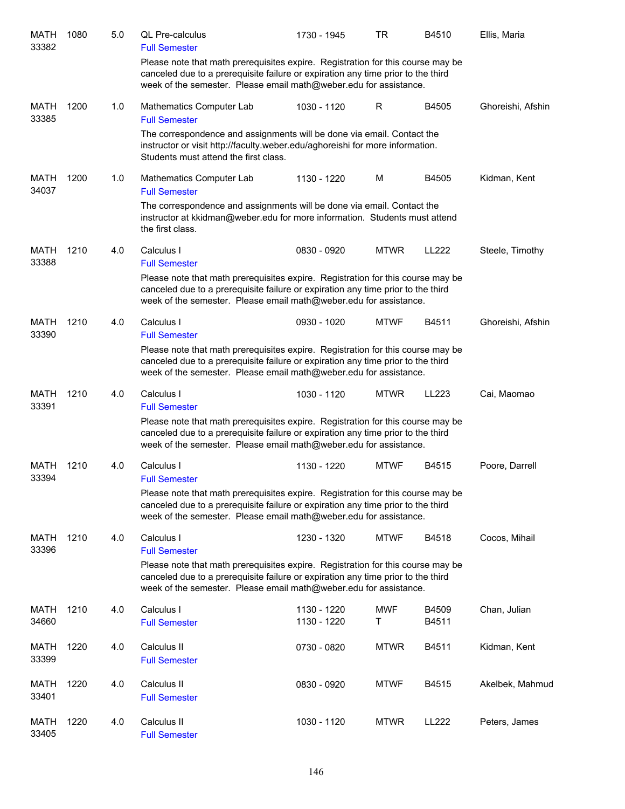| MATH<br>33382        | 1080 | 5.0 | <b>QL Pre-calculus</b><br><b>Full Semester</b>                                                                                                                                                                                           | 1730 - 1945                | TR              | B4510          | Ellis, Maria      |
|----------------------|------|-----|------------------------------------------------------------------------------------------------------------------------------------------------------------------------------------------------------------------------------------------|----------------------------|-----------------|----------------|-------------------|
|                      |      |     | Please note that math prerequisites expire. Registration for this course may be<br>canceled due to a prerequisite failure or expiration any time prior to the third<br>week of the semester. Please email math@weber.edu for assistance. |                            |                 |                |                   |
| MATH<br>33385        | 1200 | 1.0 | Mathematics Computer Lab<br><b>Full Semester</b>                                                                                                                                                                                         | 1030 - 1120                | R               | B4505          | Ghoreishi, Afshin |
|                      |      |     | The correspondence and assignments will be done via email. Contact the<br>instructor or visit http://faculty.weber.edu/aghoreishi for more information.<br>Students must attend the first class.                                         |                            |                 |                |                   |
| <b>MATH</b><br>34037 | 1200 | 1.0 | Mathematics Computer Lab<br><b>Full Semester</b>                                                                                                                                                                                         | 1130 - 1220                | M               | B4505          | Kidman, Kent      |
|                      |      |     | The correspondence and assignments will be done via email. Contact the<br>instructor at kkidman@weber.edu for more information. Students must attend<br>the first class.                                                                 |                            |                 |                |                   |
| MATH<br>33388        | 1210 | 4.0 | Calculus I<br><b>Full Semester</b>                                                                                                                                                                                                       | 0830 - 0920                | <b>MTWR</b>     | <b>LL222</b>   | Steele, Timothy   |
|                      |      |     | Please note that math prerequisites expire. Registration for this course may be<br>canceled due to a prerequisite failure or expiration any time prior to the third<br>week of the semester. Please email math@weber.edu for assistance. |                            |                 |                |                   |
| MATH<br>33390        | 1210 | 4.0 | Calculus I<br><b>Full Semester</b>                                                                                                                                                                                                       | 0930 - 1020                | <b>MTWF</b>     | B4511          | Ghoreishi, Afshin |
|                      |      |     | Please note that math prerequisites expire. Registration for this course may be<br>canceled due to a prerequisite failure or expiration any time prior to the third<br>week of the semester. Please email math@weber.edu for assistance. |                            |                 |                |                   |
| <b>MATH</b><br>33391 | 1210 | 4.0 | Calculus I<br><b>Full Semester</b>                                                                                                                                                                                                       | 1030 - 1120                | <b>MTWR</b>     | LL223          | Cai, Maomao       |
|                      |      |     | Please note that math prerequisites expire. Registration for this course may be<br>canceled due to a prerequisite failure or expiration any time prior to the third<br>week of the semester. Please email math@weber.edu for assistance. |                            |                 |                |                   |
| MATH<br>33394        | 1210 | 4.0 | Calculus I<br><b>Full Semester</b>                                                                                                                                                                                                       | 1130 - 1220                | <b>MTWF</b>     | B4515          | Poore, Darrell    |
|                      |      |     | Please note that math prerequisites expire. Registration for this course may be<br>canceled due to a prerequisite failure or expiration any time prior to the third<br>week of the semester. Please email math@weber.edu for assistance. |                            |                 |                |                   |
| <b>MATH</b><br>33396 | 1210 | 4.0 | Calculus I<br><b>Full Semester</b>                                                                                                                                                                                                       | 1230 - 1320                | <b>MTWF</b>     | B4518          | Cocos, Mihail     |
|                      |      |     | Please note that math prerequisites expire. Registration for this course may be<br>canceled due to a prerequisite failure or expiration any time prior to the third<br>week of the semester. Please email math@weber.edu for assistance. |                            |                 |                |                   |
| MATH<br>34660        | 1210 | 4.0 | Calculus I<br><b>Full Semester</b>                                                                                                                                                                                                       | 1130 - 1220<br>1130 - 1220 | <b>MWF</b><br>Т | B4509<br>B4511 | Chan, Julian      |
| <b>MATH</b><br>33399 | 1220 | 4.0 | Calculus II<br><b>Full Semester</b>                                                                                                                                                                                                      | 0730 - 0820                | <b>MTWR</b>     | B4511          | Kidman, Kent      |
| <b>MATH</b><br>33401 | 1220 | 4.0 | Calculus II<br><b>Full Semester</b>                                                                                                                                                                                                      | 0830 - 0920                | <b>MTWF</b>     | B4515          | Akelbek, Mahmud   |
| <b>MATH</b><br>33405 | 1220 | 4.0 | Calculus II<br><b>Full Semester</b>                                                                                                                                                                                                      | 1030 - 1120                | <b>MTWR</b>     | LL222          | Peters, James     |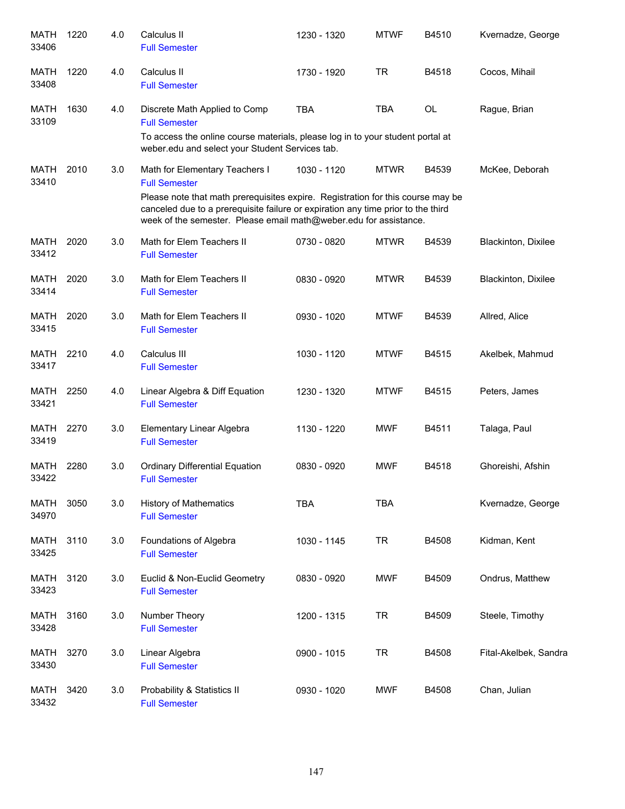| <b>MATH</b><br>33406 | 1220 | 4.0 | Calculus II<br><b>Full Semester</b>                                                                                                                                                                                                                                                                | 1230 - 1320 | <b>MTWF</b> | B4510     | Kvernadze, George     |
|----------------------|------|-----|----------------------------------------------------------------------------------------------------------------------------------------------------------------------------------------------------------------------------------------------------------------------------------------------------|-------------|-------------|-----------|-----------------------|
| MATH<br>33408        | 1220 | 4.0 | Calculus II<br><b>Full Semester</b>                                                                                                                                                                                                                                                                | 1730 - 1920 | <b>TR</b>   | B4518     | Cocos, Mihail         |
| MATH<br>33109        | 1630 | 4.0 | Discrete Math Applied to Comp<br><b>Full Semester</b><br>To access the online course materials, please log in to your student portal at<br>weber.edu and select your Student Services tab.                                                                                                         | <b>TBA</b>  | <b>TBA</b>  | <b>OL</b> | Rague, Brian          |
| <b>MATH</b><br>33410 | 2010 | 3.0 | Math for Elementary Teachers I<br><b>Full Semester</b><br>Please note that math prerequisites expire. Registration for this course may be<br>canceled due to a prerequisite failure or expiration any time prior to the third<br>week of the semester. Please email math@weber.edu for assistance. | 1030 - 1120 | <b>MTWR</b> | B4539     | McKee, Deborah        |
| <b>MATH</b><br>33412 | 2020 | 3.0 | Math for Elem Teachers II<br><b>Full Semester</b>                                                                                                                                                                                                                                                  | 0730 - 0820 | <b>MTWR</b> | B4539     | Blackinton, Dixilee   |
| <b>MATH</b><br>33414 | 2020 | 3.0 | Math for Elem Teachers II<br><b>Full Semester</b>                                                                                                                                                                                                                                                  | 0830 - 0920 | <b>MTWR</b> | B4539     | Blackinton, Dixilee   |
| MATH<br>33415        | 2020 | 3.0 | Math for Elem Teachers II<br><b>Full Semester</b>                                                                                                                                                                                                                                                  | 0930 - 1020 | <b>MTWF</b> | B4539     | Allred, Alice         |
| MATH<br>33417        | 2210 | 4.0 | Calculus III<br><b>Full Semester</b>                                                                                                                                                                                                                                                               | 1030 - 1120 | <b>MTWF</b> | B4515     | Akelbek, Mahmud       |
| MATH<br>33421        | 2250 | 4.0 | Linear Algebra & Diff Equation<br><b>Full Semester</b>                                                                                                                                                                                                                                             | 1230 - 1320 | <b>MTWF</b> | B4515     | Peters, James         |
| <b>MATH</b><br>33419 | 2270 | 3.0 | Elementary Linear Algebra<br><b>Full Semester</b>                                                                                                                                                                                                                                                  | 1130 - 1220 | <b>MWF</b>  | B4511     | Talaga, Paul          |
| MATH<br>33422        | 2280 | 3.0 | <b>Ordinary Differential Equation</b><br><b>Full Semester</b>                                                                                                                                                                                                                                      | 0830 - 0920 | <b>MWF</b>  | B4518     | Ghoreishi, Afshin     |
| <b>MATH</b><br>34970 | 3050 | 3.0 | <b>History of Mathematics</b><br><b>Full Semester</b>                                                                                                                                                                                                                                              | <b>TBA</b>  | <b>TBA</b>  |           | Kvernadze, George     |
| <b>MATH</b><br>33425 | 3110 | 3.0 | Foundations of Algebra<br><b>Full Semester</b>                                                                                                                                                                                                                                                     | 1030 - 1145 | <b>TR</b>   | B4508     | Kidman, Kent          |
| <b>MATH</b><br>33423 | 3120 | 3.0 | Euclid & Non-Euclid Geometry<br><b>Full Semester</b>                                                                                                                                                                                                                                               | 0830 - 0920 | <b>MWF</b>  | B4509     | Ondrus, Matthew       |
| <b>MATH</b><br>33428 | 3160 | 3.0 | Number Theory<br><b>Full Semester</b>                                                                                                                                                                                                                                                              | 1200 - 1315 | <b>TR</b>   | B4509     | Steele, Timothy       |
| <b>MATH</b><br>33430 | 3270 | 3.0 | Linear Algebra<br><b>Full Semester</b>                                                                                                                                                                                                                                                             | 0900 - 1015 | <b>TR</b>   | B4508     | Fital-Akelbek, Sandra |
| <b>MATH</b><br>33432 | 3420 | 3.0 | Probability & Statistics II<br><b>Full Semester</b>                                                                                                                                                                                                                                                | 0930 - 1020 | <b>MWF</b>  | B4508     | Chan, Julian          |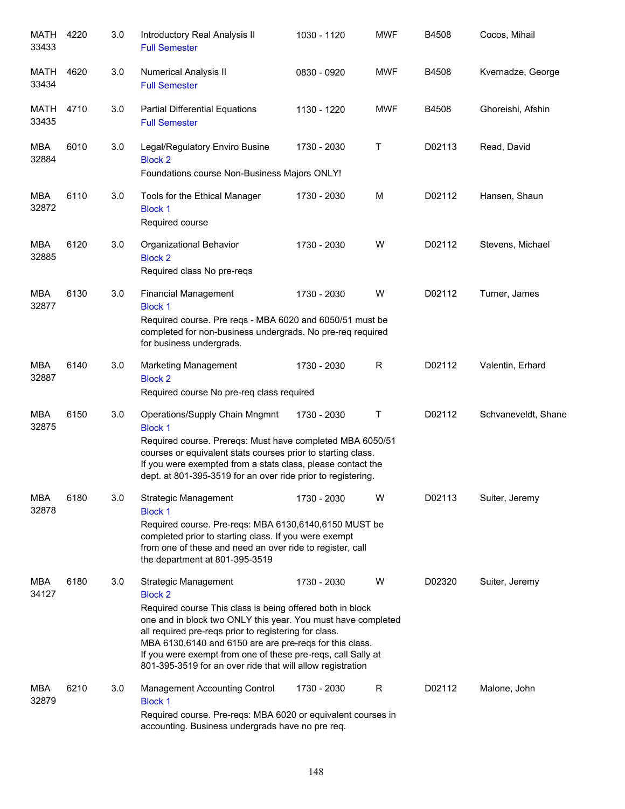| MATH<br>33433       | 4220 | 3.0 | Introductory Real Analysis II<br><b>Full Semester</b>                                                                                                                                                                                                                                                                                                                                                                        | 1030 - 1120 | <b>MWF</b>   | B4508  | Cocos, Mihail       |
|---------------------|------|-----|------------------------------------------------------------------------------------------------------------------------------------------------------------------------------------------------------------------------------------------------------------------------------------------------------------------------------------------------------------------------------------------------------------------------------|-------------|--------------|--------|---------------------|
| MATH<br>33434       | 4620 | 3.0 | Numerical Analysis II<br><b>Full Semester</b>                                                                                                                                                                                                                                                                                                                                                                                | 0830 - 0920 | <b>MWF</b>   | B4508  | Kvernadze, George   |
| MATH<br>33435       | 4710 | 3.0 | <b>Partial Differential Equations</b><br><b>Full Semester</b>                                                                                                                                                                                                                                                                                                                                                                | 1130 - 1220 | <b>MWF</b>   | B4508  | Ghoreishi, Afshin   |
| <b>MBA</b><br>32884 | 6010 | 3.0 | Legal/Regulatory Enviro Busine<br><b>Block 2</b><br>Foundations course Non-Business Majors ONLY!                                                                                                                                                                                                                                                                                                                             | 1730 - 2030 | Τ            | D02113 | Read, David         |
| <b>MBA</b><br>32872 | 6110 | 3.0 | Tools for the Ethical Manager<br><b>Block 1</b><br>Required course                                                                                                                                                                                                                                                                                                                                                           | 1730 - 2030 | M            | D02112 | Hansen, Shaun       |
| <b>MBA</b><br>32885 | 6120 | 3.0 | Organizational Behavior<br><b>Block 2</b><br>Required class No pre-reqs                                                                                                                                                                                                                                                                                                                                                      | 1730 - 2030 | W            | D02112 | Stevens, Michael    |
| <b>MBA</b><br>32877 | 6130 | 3.0 | <b>Financial Management</b><br><b>Block 1</b><br>Required course. Pre reqs - MBA 6020 and 6050/51 must be<br>completed for non-business undergrads. No pre-req required<br>for business undergrads.                                                                                                                                                                                                                          | 1730 - 2030 | W            | D02112 | Turner, James       |
| <b>MBA</b><br>32887 | 6140 | 3.0 | Marketing Management<br><b>Block 2</b><br>Required course No pre-req class required                                                                                                                                                                                                                                                                                                                                          | 1730 - 2030 | $\mathsf R$  | D02112 | Valentin, Erhard    |
| <b>MBA</b><br>32875 | 6150 | 3.0 | Operations/Supply Chain Mngmnt<br><b>Block 1</b><br>Required course. Preregs: Must have completed MBA 6050/51<br>courses or equivalent stats courses prior to starting class.<br>If you were exempted from a stats class, please contact the<br>dept. at 801-395-3519 for an over ride prior to registering.                                                                                                                 | 1730 - 2030 | Т            | D02112 | Schvaneveldt, Shane |
| <b>MBA</b><br>32878 | 6180 | 3.0 | Strategic Management<br><b>Block 1</b><br>Required course. Pre-reqs: MBA 6130,6140,6150 MUST be<br>completed prior to starting class. If you were exempt<br>from one of these and need an over ride to register, call<br>the department at 801-395-3519                                                                                                                                                                      | 1730 - 2030 | W            | D02113 | Suiter, Jeremy      |
| <b>MBA</b><br>34127 | 6180 | 3.0 | <b>Strategic Management</b><br><b>Block 2</b><br>Required course This class is being offered both in block<br>one and in block two ONLY this year. You must have completed<br>all required pre-reqs prior to registering for class.<br>MBA 6130,6140 and 6150 are are pre-reqs for this class.<br>If you were exempt from one of these pre-reqs, call Sally at<br>801-395-3519 for an over ride that will allow registration | 1730 - 2030 | W            | D02320 | Suiter, Jeremy      |
| <b>MBA</b><br>32879 | 6210 | 3.0 | Management Accounting Control<br><b>Block 1</b><br>Required course. Pre-reqs: MBA 6020 or equivalent courses in<br>accounting. Business undergrads have no pre req.                                                                                                                                                                                                                                                          | 1730 - 2030 | $\mathsf{R}$ | D02112 | Malone, John        |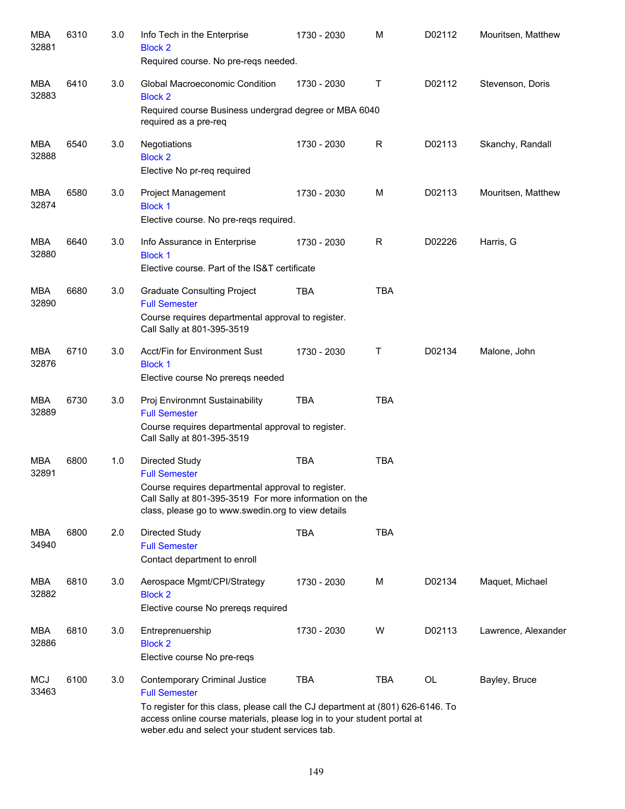| <b>MBA</b><br>32881 | 6310 | 3.0 | Info Tech in the Enterprise<br><b>Block 2</b><br>Required course. No pre-reqs needed.                                                                                                                                                                                  | 1730 - 2030 | M          | D02112 | Mouritsen, Matthew  |
|---------------------|------|-----|------------------------------------------------------------------------------------------------------------------------------------------------------------------------------------------------------------------------------------------------------------------------|-------------|------------|--------|---------------------|
| MBA<br>32883        | 6410 | 3.0 | Global Macroeconomic Condition<br><b>Block 2</b><br>Required course Business undergrad degree or MBA 6040<br>required as a pre-req                                                                                                                                     | 1730 - 2030 | Т          | D02112 | Stevenson, Doris    |
| MBA<br>32888        | 6540 | 3.0 | Negotiations<br><b>Block 2</b><br>Elective No pr-req required                                                                                                                                                                                                          | 1730 - 2030 | R          | D02113 | Skanchy, Randall    |
| <b>MBA</b><br>32874 | 6580 | 3.0 | <b>Project Management</b><br><b>Block 1</b><br>Elective course. No pre-reqs required.                                                                                                                                                                                  | 1730 - 2030 | M          | D02113 | Mouritsen, Matthew  |
| <b>MBA</b><br>32880 | 6640 | 3.0 | Info Assurance in Enterprise<br><b>Block 1</b><br>Elective course. Part of the IS&T certificate                                                                                                                                                                        | 1730 - 2030 | R          | D02226 | Harris, G           |
| <b>MBA</b><br>32890 | 6680 | 3.0 | <b>Graduate Consulting Project</b><br><b>Full Semester</b><br>Course requires departmental approval to register.<br>Call Sally at 801-395-3519                                                                                                                         | <b>TBA</b>  | <b>TBA</b> |        |                     |
| <b>MBA</b><br>32876 | 6710 | 3.0 | Acct/Fin for Environment Sust<br><b>Block 1</b><br>Elective course No prereqs needed                                                                                                                                                                                   | 1730 - 2030 | т          | D02134 | Malone, John        |
| <b>MBA</b><br>32889 | 6730 | 3.0 | Proj Environmnt Sustainability<br><b>Full Semester</b><br>Course requires departmental approval to register.<br>Call Sally at 801-395-3519                                                                                                                             | <b>TBA</b>  | <b>TBA</b> |        |                     |
| MBA<br>32891        | 6800 | 1.0 | Directed Study<br><b>Full Semester</b><br>Course requires departmental approval to register.<br>Call Sally at 801-395-3519 For more information on the<br>class, please go to www.swedin.org to view details                                                           | <b>TBA</b>  | <b>TBA</b> |        |                     |
| MBA<br>34940        | 6800 | 2.0 | Directed Study<br><b>Full Semester</b><br>Contact department to enroll                                                                                                                                                                                                 | <b>TBA</b>  | <b>TBA</b> |        |                     |
| MBA<br>32882        | 6810 | 3.0 | Aerospace Mgmt/CPI/Strategy<br><b>Block 2</b><br>Elective course No prereqs required                                                                                                                                                                                   | 1730 - 2030 | M          | D02134 | Maquet, Michael     |
| <b>MBA</b><br>32886 | 6810 | 3.0 | Entreprenuership<br><b>Block 2</b><br>Elective course No pre-reqs                                                                                                                                                                                                      | 1730 - 2030 | W          | D02113 | Lawrence, Alexander |
| <b>MCJ</b><br>33463 | 6100 | 3.0 | Contemporary Criminal Justice<br><b>Full Semester</b><br>To register for this class, please call the CJ department at (801) 626-6146. To<br>access online course materials, please log in to your student portal at<br>weber.edu and select your student services tab. | <b>TBA</b>  | <b>TBA</b> | OL     | Bayley, Bruce       |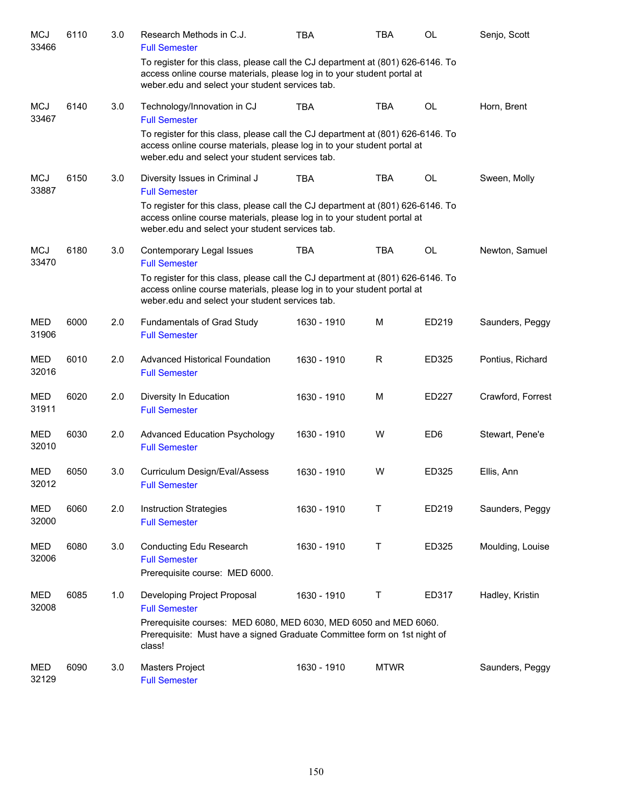| <b>MCJ</b><br>33466 | 6110 | 3.0 | Research Methods in C.J.<br><b>Full Semester</b>                                                                                                                                                              | <b>TBA</b>  | <b>TBA</b>  | <b>OL</b>       | Senjo, Scott      |
|---------------------|------|-----|---------------------------------------------------------------------------------------------------------------------------------------------------------------------------------------------------------------|-------------|-------------|-----------------|-------------------|
|                     |      |     | To register for this class, please call the CJ department at (801) 626-6146. To<br>access online course materials, please log in to your student portal at<br>weber.edu and select your student services tab. |             |             |                 |                   |
| <b>MCJ</b><br>33467 | 6140 | 3.0 | Technology/Innovation in CJ<br><b>Full Semester</b>                                                                                                                                                           | <b>TBA</b>  | <b>TBA</b>  | <b>OL</b>       | Horn, Brent       |
|                     |      |     | To register for this class, please call the CJ department at (801) 626-6146. To<br>access online course materials, please log in to your student portal at<br>weber.edu and select your student services tab. |             |             |                 |                   |
| MCJ<br>33887        | 6150 | 3.0 | Diversity Issues in Criminal J<br><b>Full Semester</b>                                                                                                                                                        | <b>TBA</b>  | TBA         | <b>OL</b>       | Sween, Molly      |
|                     |      |     | To register for this class, please call the CJ department at (801) 626-6146. To<br>access online course materials, please log in to your student portal at<br>weber.edu and select your student services tab. |             |             |                 |                   |
| <b>MCJ</b><br>33470 | 6180 | 3.0 | Contemporary Legal Issues<br><b>Full Semester</b>                                                                                                                                                             | <b>TBA</b>  | <b>TBA</b>  | <b>OL</b>       | Newton, Samuel    |
|                     |      |     | To register for this class, please call the CJ department at (801) 626-6146. To<br>access online course materials, please log in to your student portal at<br>weber.edu and select your student services tab. |             |             |                 |                   |
| MED<br>31906        | 6000 | 2.0 | Fundamentals of Grad Study<br><b>Full Semester</b>                                                                                                                                                            | 1630 - 1910 | M           | ED219           | Saunders, Peggy   |
| MED<br>32016        | 6010 | 2.0 | <b>Advanced Historical Foundation</b><br><b>Full Semester</b>                                                                                                                                                 | 1630 - 1910 | $\mathsf R$ | ED325           | Pontius, Richard  |
| MED<br>31911        | 6020 | 2.0 | Diversity In Education<br><b>Full Semester</b>                                                                                                                                                                | 1630 - 1910 | M           | ED227           | Crawford, Forrest |
| MED<br>32010        | 6030 | 2.0 | <b>Advanced Education Psychology</b><br><b>Full Semester</b>                                                                                                                                                  | 1630 - 1910 | W           | ED <sub>6</sub> | Stewart, Pene'e   |
| <b>MED</b><br>32012 | 6050 | 3.0 | <b>Curriculum Design/Eval/Assess</b><br><b>Full Semester</b>                                                                                                                                                  | 1630 - 1910 | W           | ED325           | Ellis, Ann        |
| <b>MED</b><br>32000 | 6060 | 2.0 | <b>Instruction Strategies</b><br><b>Full Semester</b>                                                                                                                                                         | 1630 - 1910 | т           | ED219           | Saunders, Peggy   |
| MED<br>32006        | 6080 | 3.0 | Conducting Edu Research<br><b>Full Semester</b><br>Prerequisite course: MED 6000.                                                                                                                             | 1630 - 1910 | Τ           | ED325           | Moulding, Louise  |
| MED<br>32008        | 6085 | 1.0 | Developing Project Proposal<br><b>Full Semester</b>                                                                                                                                                           | 1630 - 1910 | Τ           | ED317           | Hadley, Kristin   |
|                     |      |     | Prerequisite courses: MED 6080, MED 6030, MED 6050 and MED 6060.<br>Prerequisite: Must have a signed Graduate Committee form on 1st night of<br>class!                                                        |             |             |                 |                   |
| MED<br>32129        | 6090 | 3.0 | <b>Masters Project</b><br><b>Full Semester</b>                                                                                                                                                                | 1630 - 1910 | <b>MTWR</b> |                 | Saunders, Peggy   |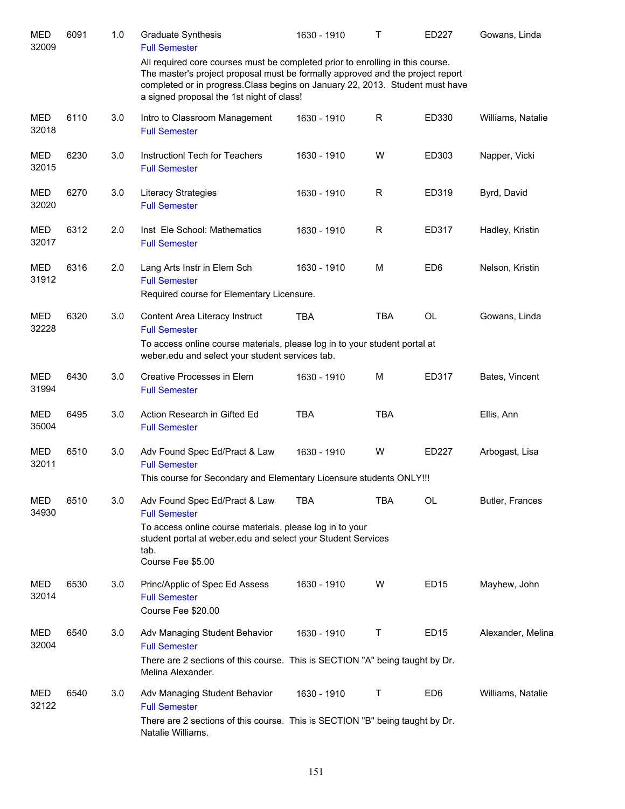| <b>MED</b><br>32009 | 6091 | 1.0 | Graduate Synthesis<br><b>Full Semester</b>                                                                                                                                                                                                                                                     | 1630 - 1910 | т           | ED227            | Gowans, Linda     |
|---------------------|------|-----|------------------------------------------------------------------------------------------------------------------------------------------------------------------------------------------------------------------------------------------------------------------------------------------------|-------------|-------------|------------------|-------------------|
|                     |      |     | All required core courses must be completed prior to enrolling in this course.<br>The master's project proposal must be formally approved and the project report<br>completed or in progress. Class begins on January 22, 2013. Student must have<br>a signed proposal the 1st night of class! |             |             |                  |                   |
| MED<br>32018        | 6110 | 3.0 | Intro to Classroom Management<br><b>Full Semester</b>                                                                                                                                                                                                                                          | 1630 - 1910 | $\mathsf R$ | ED330            | Williams, Natalie |
| <b>MED</b><br>32015 | 6230 | 3.0 | Instruction Tech for Teachers<br><b>Full Semester</b>                                                                                                                                                                                                                                          | 1630 - 1910 | W           | ED303            | Napper, Vicki     |
| <b>MED</b><br>32020 | 6270 | 3.0 | Literacy Strategies<br><b>Full Semester</b>                                                                                                                                                                                                                                                    | 1630 - 1910 | $\mathsf R$ | ED319            | Byrd, David       |
| <b>MED</b><br>32017 | 6312 | 2.0 | Inst Ele School: Mathematics<br><b>Full Semester</b>                                                                                                                                                                                                                                           | 1630 - 1910 | $\mathsf R$ | ED317            | Hadley, Kristin   |
| <b>MED</b><br>31912 | 6316 | 2.0 | Lang Arts Instr in Elem Sch<br><b>Full Semester</b><br>Required course for Elementary Licensure.                                                                                                                                                                                               | 1630 - 1910 | M           | ED <sub>6</sub>  | Nelson, Kristin   |
| MED<br>32228        | 6320 | 3.0 | Content Area Literacy Instruct<br><b>Full Semester</b><br>To access online course materials, please log in to your student portal at<br>weber.edu and select your student services tab.                                                                                                        | <b>TBA</b>  | <b>TBA</b>  | OL               | Gowans, Linda     |
| <b>MED</b><br>31994 | 6430 | 3.0 | Creative Processes in Elem<br><b>Full Semester</b>                                                                                                                                                                                                                                             | 1630 - 1910 | M           | ED317            | Bates, Vincent    |
| <b>MED</b><br>35004 | 6495 | 3.0 | Action Research in Gifted Ed<br><b>Full Semester</b>                                                                                                                                                                                                                                           | <b>TBA</b>  | <b>TBA</b>  |                  | Ellis, Ann        |
| <b>MED</b><br>32011 | 6510 | 3.0 | Adv Found Spec Ed/Pract & Law<br><b>Full Semester</b><br>This course for Secondary and Elementary Licensure students ONLY!!!                                                                                                                                                                   | 1630 - 1910 | W           | ED227            | Arbogast, Lisa    |
| MED<br>34930        | 6510 | 3.0 | Adv Found Spec Ed/Pract & Law<br><b>Full Semester</b><br>To access online course materials, please log in to your<br>student portal at weber.edu and select your Student Services<br>tab.<br>Course Fee \$5.00                                                                                 | <b>TBA</b>  | <b>TBA</b>  | OL               | Butler, Frances   |
| MED<br>32014        | 6530 | 3.0 | Princ/Applic of Spec Ed Assess<br><b>Full Semester</b><br>Course Fee \$20.00                                                                                                                                                                                                                   | 1630 - 1910 | W           | ED <sub>15</sub> | Mayhew, John      |
| MED<br>32004        | 6540 | 3.0 | Adv Managing Student Behavior<br><b>Full Semester</b><br>There are 2 sections of this course. This is SECTION "A" being taught by Dr.<br>Melina Alexander.                                                                                                                                     | 1630 - 1910 | Т           | ED <sub>15</sub> | Alexander, Melina |
| MED<br>32122        | 6540 | 3.0 | Adv Managing Student Behavior<br><b>Full Semester</b><br>There are 2 sections of this course. This is SECTION "B" being taught by Dr.<br>Natalie Williams.                                                                                                                                     | 1630 - 1910 | Τ           | ED <sub>6</sub>  | Williams, Natalie |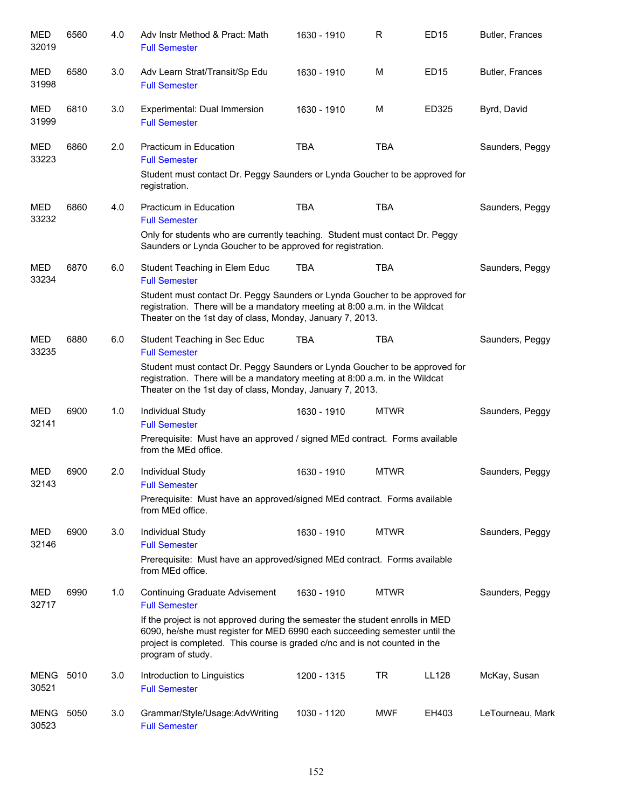| MED<br>32019              | 6560 | 4.0 | Adv Instr Method & Pract: Math<br><b>Full Semester</b>                                                                                                                                                                                                         | 1630 - 1910 | R           | <b>ED15</b>  | Butler, Frances  |
|---------------------------|------|-----|----------------------------------------------------------------------------------------------------------------------------------------------------------------------------------------------------------------------------------------------------------------|-------------|-------------|--------------|------------------|
| MED<br>31998              | 6580 | 3.0 | Adv Learn Strat/Transit/Sp Edu<br><b>Full Semester</b>                                                                                                                                                                                                         | 1630 - 1910 | M           | ED15         | Butler, Frances  |
| MED<br>31999              | 6810 | 3.0 | Experimental: Dual Immersion<br><b>Full Semester</b>                                                                                                                                                                                                           | 1630 - 1910 | M           | ED325        | Byrd, David      |
| MED<br>33223              | 6860 | 2.0 | Practicum in Education<br><b>Full Semester</b>                                                                                                                                                                                                                 | <b>TBA</b>  | <b>TBA</b>  |              | Saunders, Peggy  |
|                           |      |     | Student must contact Dr. Peggy Saunders or Lynda Goucher to be approved for<br>registration.                                                                                                                                                                   |             |             |              |                  |
| MED<br>33232              | 6860 | 4.0 | Practicum in Education<br><b>Full Semester</b>                                                                                                                                                                                                                 | <b>TBA</b>  | <b>TBA</b>  |              | Saunders, Peggy  |
|                           |      |     | Only for students who are currently teaching. Student must contact Dr. Peggy<br>Saunders or Lynda Goucher to be approved for registration.                                                                                                                     |             |             |              |                  |
| MED<br>33234              | 6870 | 6.0 | Student Teaching in Elem Educ<br><b>Full Semester</b>                                                                                                                                                                                                          | <b>TBA</b>  | <b>TBA</b>  |              | Saunders, Peggy  |
|                           |      |     | Student must contact Dr. Peggy Saunders or Lynda Goucher to be approved for<br>registration. There will be a mandatory meeting at 8:00 a.m. in the Wildcat<br>Theater on the 1st day of class, Monday, January 7, 2013.                                        |             |             |              |                  |
| MED<br>33235              | 6880 | 6.0 | Student Teaching in Sec Educ<br><b>Full Semester</b>                                                                                                                                                                                                           | <b>TBA</b>  | <b>TBA</b>  |              | Saunders, Peggy  |
|                           |      |     | Student must contact Dr. Peggy Saunders or Lynda Goucher to be approved for<br>registration. There will be a mandatory meeting at 8:00 a.m. in the Wildcat<br>Theater on the 1st day of class, Monday, January 7, 2013.                                        |             |             |              |                  |
| MED<br>32141              | 6900 | 1.0 | <b>Individual Study</b><br><b>Full Semester</b>                                                                                                                                                                                                                | 1630 - 1910 | <b>MTWR</b> |              | Saunders, Peggy  |
|                           |      |     | Prerequisite: Must have an approved / signed MEd contract. Forms available<br>from the MEd office.                                                                                                                                                             |             |             |              |                  |
| <b>MED</b><br>32143       | 6900 | 2.0 | Individual Study<br><b>Full Semester</b>                                                                                                                                                                                                                       | 1630 - 1910 | <b>MTWR</b> |              | Saunders, Peggy  |
|                           |      |     | Prerequisite: Must have an approved/signed MEd contract. Forms available<br>from MEd office.                                                                                                                                                                   |             |             |              |                  |
| <b>MED</b><br>32146       | 6900 | 3.0 | Individual Study<br><b>Full Semester</b>                                                                                                                                                                                                                       | 1630 - 1910 | <b>MTWR</b> |              | Saunders, Peggy  |
|                           |      |     | Prerequisite: Must have an approved/signed MEd contract. Forms available<br>from MEd office.                                                                                                                                                                   |             |             |              |                  |
| MED<br>32717              | 6990 | 1.0 | <b>Continuing Graduate Advisement</b><br><b>Full Semester</b>                                                                                                                                                                                                  | 1630 - 1910 | <b>MTWR</b> |              | Saunders, Peggy  |
|                           |      |     | If the project is not approved during the semester the student enrolls in MED<br>6090, he/she must register for MED 6990 each succeeding semester until the<br>project is completed. This course is graded c/nc and is not counted in the<br>program of study. |             |             |              |                  |
| <b>MENG 5010</b><br>30521 |      | 3.0 | Introduction to Linguistics<br><b>Full Semester</b>                                                                                                                                                                                                            | 1200 - 1315 | <b>TR</b>   | <b>LL128</b> | McKay, Susan     |
| MENG<br>30523             | 5050 | 3.0 | Grammar/Style/Usage:AdvWriting<br><b>Full Semester</b>                                                                                                                                                                                                         | 1030 - 1120 | <b>MWF</b>  | EH403        | LeTourneau, Mark |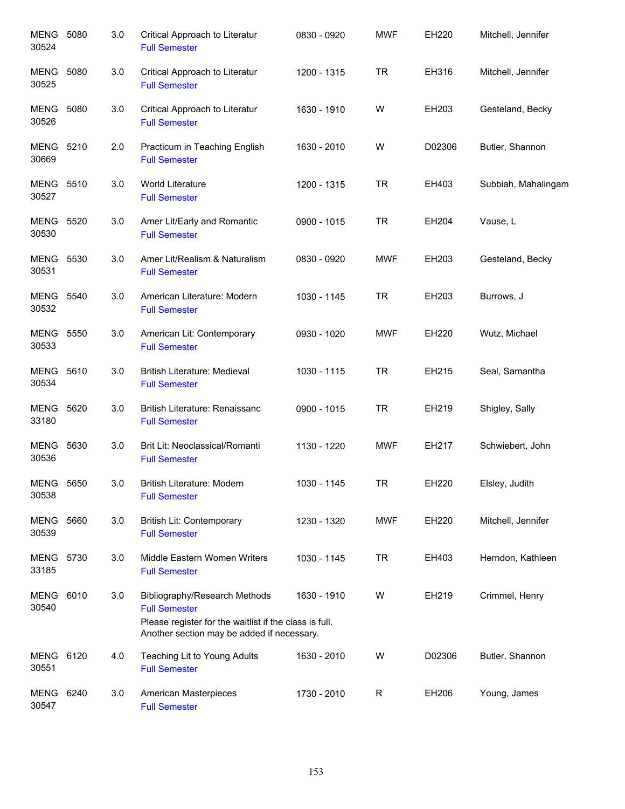| <b>MENG</b><br>30524      | 5080 | 3.0 | Critical Approach to Literatur<br><b>Full Semester</b>                                                                                                        | 0830 - 0920 | <b>MWF</b>  | EH220  | Mitchell, Jennifer  |
|---------------------------|------|-----|---------------------------------------------------------------------------------------------------------------------------------------------------------------|-------------|-------------|--------|---------------------|
| MENG<br>30525             | 5080 | 3.0 | Critical Approach to Literatur<br><b>Full Semester</b>                                                                                                        | 1200 - 1315 | <b>TR</b>   | EH316  | Mitchell, Jennifer  |
| <b>MENG</b><br>30526      | 5080 | 3.0 | Critical Approach to Literatur<br><b>Full Semester</b>                                                                                                        | 1630 - 1910 | W           | EH203  | Gesteland, Becky    |
| MENG 5210<br>30669        |      | 2.0 | Practicum in Teaching English<br><b>Full Semester</b>                                                                                                         | 1630 - 2010 | W           | D02306 | Butler, Shannon     |
| <b>MENG 5510</b><br>30527 |      | 3.0 | <b>World Literature</b><br><b>Full Semester</b>                                                                                                               | 1200 - 1315 | <b>TR</b>   | EH403  | Subbiah, Mahalingam |
| <b>MENG 5520</b><br>30530 |      | 3.0 | Amer Lit/Early and Romantic<br><b>Full Semester</b>                                                                                                           | 0900 - 1015 | <b>TR</b>   | EH204  | Vause, L            |
| <b>MENG 5530</b><br>30531 |      | 3.0 | Amer Lit/Realism & Naturalism<br><b>Full Semester</b>                                                                                                         | 0830 - 0920 | <b>MWF</b>  | EH203  | Gesteland, Becky    |
| <b>MENG 5540</b><br>30532 |      | 3.0 | American Literature: Modern<br><b>Full Semester</b>                                                                                                           | 1030 - 1145 | <b>TR</b>   | EH203  | Burrows, J          |
| <b>MENG 5550</b><br>30533 |      | 3.0 | American Lit: Contemporary<br><b>Full Semester</b>                                                                                                            | 0930 - 1020 | <b>MWF</b>  | EH220  | Wutz, Michael       |
| MENG<br>30534             | 5610 | 3.0 | <b>British Literature: Medieval</b><br><b>Full Semester</b>                                                                                                   | 1030 - 1115 | <b>TR</b>   | EH215  | Seal, Samantha      |
| <b>MENG</b><br>33180      | 5620 | 3.0 | British Literature: Renaissanc<br><b>Full Semester</b>                                                                                                        | 0900 - 1015 | <b>TR</b>   | EH219  | Shigley, Sally      |
| <b>MENG</b><br>30536      | 5630 | 3.0 | Brit Lit: Neoclassical/Romanti<br><b>Full Semester</b>                                                                                                        | 1130 - 1220 | <b>MWF</b>  | EH217  | Schwiebert, John    |
| MENG<br>30538             | 5650 | 3.0 | British Literature: Modern<br><b>Full Semester</b>                                                                                                            | 1030 - 1145 | <b>TR</b>   | EH220  | Elsley, Judith      |
| MENG<br>30539             | 5660 | 3.0 | British Lit: Contemporary<br><b>Full Semester</b>                                                                                                             | 1230 - 1320 | <b>MWF</b>  | EH220  | Mitchell, Jennifer  |
| MENG 5730<br>33185        |      | 3.0 | Middle Eastern Women Writers<br><b>Full Semester</b>                                                                                                          | 1030 - 1145 | <b>TR</b>   | EH403  | Herndon, Kathleen   |
| MENG<br>30540             | 6010 | 3.0 | Bibliography/Research Methods<br><b>Full Semester</b><br>Please register for the waitlist if the class is full.<br>Another section may be added if necessary. | 1630 - 1910 | W           | EH219  | Crimmel, Henry      |
| <b>MENG</b><br>30551      | 6120 | 4.0 | Teaching Lit to Young Adults<br><b>Full Semester</b>                                                                                                          | 1630 - 2010 | W           | D02306 | Butler, Shannon     |
| MENG<br>30547             | 6240 | 3.0 | American Masterpieces<br><b>Full Semester</b>                                                                                                                 | 1730 - 2010 | $\mathsf R$ | EH206  | Young, James        |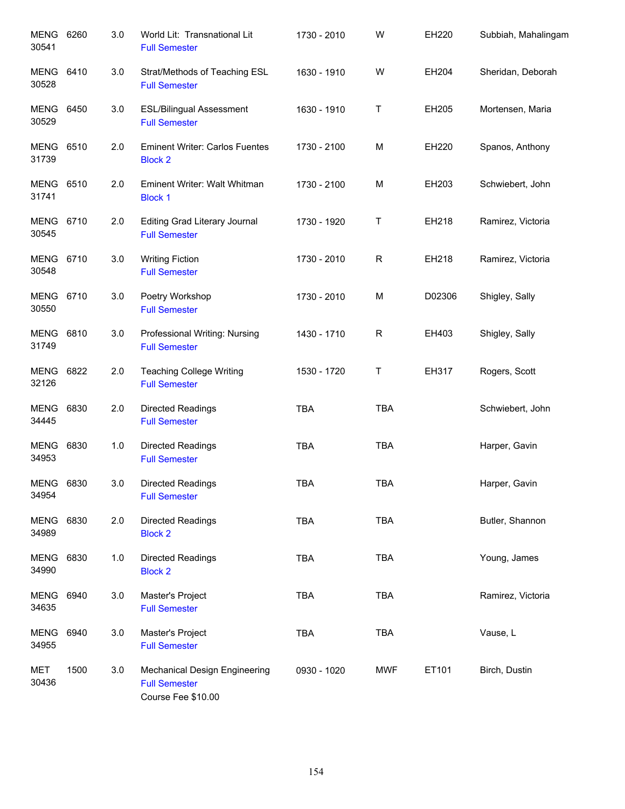| MENG 6260<br>30541        |      | 3.0   | World Lit: Transnational Lit<br><b>Full Semester</b>                               | 1730 - 2010 | W           | EH220  | Subbiah, Mahalingam |
|---------------------------|------|-------|------------------------------------------------------------------------------------|-------------|-------------|--------|---------------------|
| MENG<br>30528             | 6410 | 3.0   | Strat/Methods of Teaching ESL<br><b>Full Semester</b>                              | 1630 - 1910 | W           | EH204  | Sheridan, Deborah   |
| MENG 6450<br>30529        |      | 3.0   | <b>ESL/Bilingual Assessment</b><br><b>Full Semester</b>                            | 1630 - 1910 | Τ           | EH205  | Mortensen, Maria    |
| MENG 6510<br>31739        |      | 2.0   | <b>Eminent Writer: Carlos Fuentes</b><br><b>Block 2</b>                            | 1730 - 2100 | М           | EH220  | Spanos, Anthony     |
| <b>MENG 6510</b><br>31741 |      | 2.0   | Eminent Writer: Walt Whitman<br><b>Block 1</b>                                     | 1730 - 2100 | M           | EH203  | Schwiebert, John    |
| MENG 6710<br>30545        |      | 2.0   | <b>Editing Grad Literary Journal</b><br><b>Full Semester</b>                       | 1730 - 1920 | Τ           | EH218  | Ramirez, Victoria   |
| MENG 6710<br>30548        |      | 3.0   | <b>Writing Fiction</b><br><b>Full Semester</b>                                     | 1730 - 2010 | $\mathsf R$ | EH218  | Ramirez, Victoria   |
| MENG 6710<br>30550        |      | 3.0   | Poetry Workshop<br><b>Full Semester</b>                                            | 1730 - 2010 | M           | D02306 | Shigley, Sally      |
| MENG 6810<br>31749        |      | 3.0   | Professional Writing: Nursing<br><b>Full Semester</b>                              | 1430 - 1710 | $\mathsf R$ | EH403  | Shigley, Sally      |
| MENG 6822<br>32126        |      | 2.0   | <b>Teaching College Writing</b><br><b>Full Semester</b>                            | 1530 - 1720 | Τ           | EH317  | Rogers, Scott       |
| <b>MENG</b><br>34445      | 6830 | 2.0   | <b>Directed Readings</b><br><b>Full Semester</b>                                   | <b>TBA</b>  | <b>TBA</b>  |        | Schwiebert, John    |
| <b>MENG</b><br>34953      | 6830 | 1.0   | <b>Directed Readings</b><br><b>Full Semester</b>                                   | <b>TBA</b>  | <b>TBA</b>  |        | Harper, Gavin       |
| <b>MENG</b><br>34954      | 6830 | 3.0   | Directed Readings<br><b>Full Semester</b>                                          | <b>TBA</b>  | <b>TBA</b>  |        | Harper, Gavin       |
| MENG 6830<br>34989        |      | 2.0   | Directed Readings<br><b>Block 2</b>                                                | <b>TBA</b>  | TBA         |        | Butler, Shannon     |
| MENG 6830<br>34990        |      | $1.0$ | Directed Readings<br><b>Block 2</b>                                                | <b>TBA</b>  | <b>TBA</b>  |        | Young, James        |
| MENG 6940<br>34635        |      | 3.0   | Master's Project<br><b>Full Semester</b>                                           | <b>TBA</b>  | <b>TBA</b>  |        | Ramirez, Victoria   |
| <b>MENG</b><br>34955      | 6940 | 3.0   | Master's Project<br><b>Full Semester</b>                                           | TBA         | <b>TBA</b>  |        | Vause, L            |
| <b>MET</b><br>30436       | 1500 | 3.0   | <b>Mechanical Design Engineering</b><br><b>Full Semester</b><br>Course Fee \$10.00 | 0930 - 1020 | <b>MWF</b>  | ET101  | Birch, Dustin       |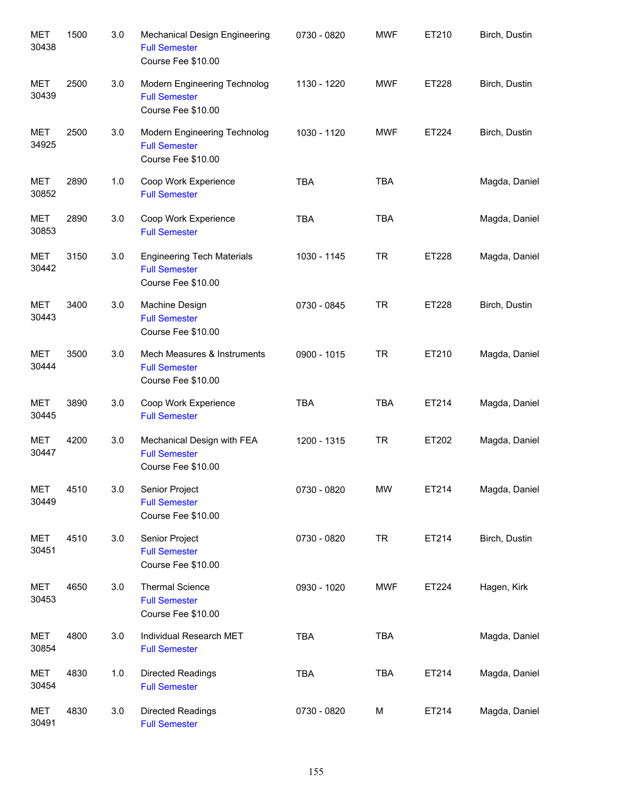| <b>MET</b><br>30438 | 1500 | 3.0 | <b>Mechanical Design Engineering</b><br><b>Full Semester</b><br>Course Fee \$10.00 | 0730 - 0820 | <b>MWF</b> | ET210 | Birch, Dustin |
|---------------------|------|-----|------------------------------------------------------------------------------------|-------------|------------|-------|---------------|
| MET<br>30439        | 2500 | 3.0 | Modern Engineering Technolog<br><b>Full Semester</b><br>Course Fee \$10.00         | 1130 - 1220 | <b>MWF</b> | ET228 | Birch, Dustin |
| MET<br>34925        | 2500 | 3.0 | Modern Engineering Technolog<br><b>Full Semester</b><br>Course Fee \$10.00         | 1030 - 1120 | <b>MWF</b> | ET224 | Birch, Dustin |
| MET<br>30852        | 2890 | 1.0 | Coop Work Experience<br><b>Full Semester</b>                                       | <b>TBA</b>  | <b>TBA</b> |       | Magda, Daniel |
| MET<br>30853        | 2890 | 3.0 | Coop Work Experience<br><b>Full Semester</b>                                       | <b>TBA</b>  | <b>TBA</b> |       | Magda, Daniel |
| MET<br>30442        | 3150 | 3.0 | <b>Engineering Tech Materials</b><br><b>Full Semester</b><br>Course Fee \$10.00    | 1030 - 1145 | <b>TR</b>  | ET228 | Magda, Daniel |
| MET<br>30443        | 3400 | 3.0 | Machine Design<br><b>Full Semester</b><br>Course Fee \$10.00                       | 0730 - 0845 | <b>TR</b>  | ET228 | Birch, Dustin |
| <b>MET</b><br>30444 | 3500 | 3.0 | Mech Measures & Instruments<br><b>Full Semester</b><br>Course Fee \$10.00          | 0900 - 1015 | <b>TR</b>  | ET210 | Magda, Daniel |
| MET<br>30445        | 3890 | 3.0 | Coop Work Experience<br><b>Full Semester</b>                                       | <b>TBA</b>  | <b>TBA</b> | ET214 | Magda, Daniel |
| MET<br>30447        | 4200 | 3.0 | Mechanical Design with FEA<br><b>Full Semester</b><br>Course Fee \$10.00           | 1200 - 1315 | <b>TR</b>  | ET202 | Magda, Daniel |
| MET<br>30449        | 4510 | 3.0 | Senior Project<br><b>Full Semester</b><br>Course Fee \$10.00                       | 0730 - 0820 | MW         | ET214 | Magda, Daniel |
| MET<br>30451        | 4510 | 3.0 | Senior Project<br><b>Full Semester</b><br>Course Fee \$10.00                       | 0730 - 0820 | <b>TR</b>  | ET214 | Birch, Dustin |
| <b>MET</b><br>30453 | 4650 | 3.0 | <b>Thermal Science</b><br><b>Full Semester</b><br>Course Fee \$10.00               | 0930 - 1020 | <b>MWF</b> | ET224 | Hagen, Kirk   |
| <b>MET</b><br>30854 | 4800 | 3.0 | Individual Research MET<br><b>Full Semester</b>                                    | <b>TBA</b>  | <b>TBA</b> |       | Magda, Daniel |
| <b>MET</b><br>30454 | 4830 | 1.0 | Directed Readings<br><b>Full Semester</b>                                          | <b>TBA</b>  | <b>TBA</b> | ET214 | Magda, Daniel |
| <b>MET</b><br>30491 | 4830 | 3.0 | Directed Readings<br><b>Full Semester</b>                                          | 0730 - 0820 | М          | ET214 | Magda, Daniel |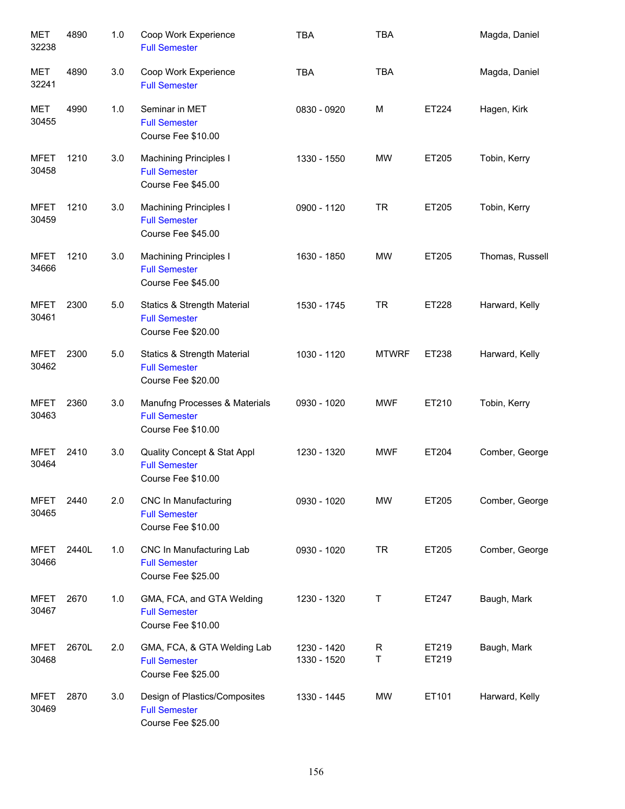| MET<br>32238         | 4890  | 1.0 | Coop Work Experience<br><b>Full Semester</b>                                         | <b>TBA</b>                 | <b>TBA</b>   |                | Magda, Daniel   |
|----------------------|-------|-----|--------------------------------------------------------------------------------------|----------------------------|--------------|----------------|-----------------|
| MET<br>32241         | 4890  | 3.0 | Coop Work Experience<br><b>Full Semester</b>                                         | <b>TBA</b>                 | <b>TBA</b>   |                | Magda, Daniel   |
| MET<br>30455         | 4990  | 1.0 | Seminar in MET<br><b>Full Semester</b><br>Course Fee \$10.00                         | 0830 - 0920                | M            | ET224          | Hagen, Kirk     |
| <b>MFET</b><br>30458 | 1210  | 3.0 | <b>Machining Principles I</b><br><b>Full Semester</b><br>Course Fee \$45.00          | 1330 - 1550                | <b>MW</b>    | ET205          | Tobin, Kerry    |
| <b>MFET</b><br>30459 | 1210  | 3.0 | <b>Machining Principles I</b><br><b>Full Semester</b><br>Course Fee \$45.00          | 0900 - 1120                | <b>TR</b>    | ET205          | Tobin, Kerry    |
| <b>MFET</b><br>34666 | 1210  | 3.0 | <b>Machining Principles I</b><br><b>Full Semester</b><br>Course Fee \$45.00          | 1630 - 1850                | <b>MW</b>    | ET205          | Thomas, Russell |
| <b>MFET</b><br>30461 | 2300  | 5.0 | <b>Statics &amp; Strength Material</b><br><b>Full Semester</b><br>Course Fee \$20.00 | 1530 - 1745                | <b>TR</b>    | ET228          | Harward, Kelly  |
| <b>MFET</b><br>30462 | 2300  | 5.0 | <b>Statics &amp; Strength Material</b><br><b>Full Semester</b><br>Course Fee \$20.00 | 1030 - 1120                | <b>MTWRF</b> | ET238          | Harward, Kelly  |
| <b>MFET</b><br>30463 | 2360  | 3.0 | Manufng Processes & Materials<br><b>Full Semester</b><br>Course Fee \$10.00          | 0930 - 1020                | <b>MWF</b>   | ET210          | Tobin, Kerry    |
| <b>MFET</b><br>30464 | 2410  | 3.0 | Quality Concept & Stat Appl<br><b>Full Semester</b><br>Course Fee \$10.00            | 1230 - 1320                | <b>MWF</b>   | ET204          | Comber, George  |
| <b>MFET</b><br>30465 | 2440  | 2.0 | <b>CNC In Manufacturing</b><br><b>Full Semester</b><br>Course Fee \$10.00            | 0930 - 1020                | MW           | ET205          | Comber, George  |
| <b>MFET</b><br>30466 | 2440L | 1.0 | CNC In Manufacturing Lab<br><b>Full Semester</b><br>Course Fee \$25.00               | 0930 - 1020                | <b>TR</b>    | ET205          | Comber, George  |
| <b>MFET</b><br>30467 | 2670  | 1.0 | GMA, FCA, and GTA Welding<br><b>Full Semester</b><br>Course Fee \$10.00              | 1230 - 1320                | Т            | ET247          | Baugh, Mark     |
| <b>MFET</b><br>30468 | 2670L | 2.0 | GMA, FCA, & GTA Welding Lab<br><b>Full Semester</b><br>Course Fee \$25.00            | 1230 - 1420<br>1330 - 1520 | R<br>$\sf T$ | ET219<br>ET219 | Baugh, Mark     |
| <b>MFET</b><br>30469 | 2870  | 3.0 | Design of Plastics/Composites<br><b>Full Semester</b><br>Course Fee \$25.00          | 1330 - 1445                | MW           | ET101          | Harward, Kelly  |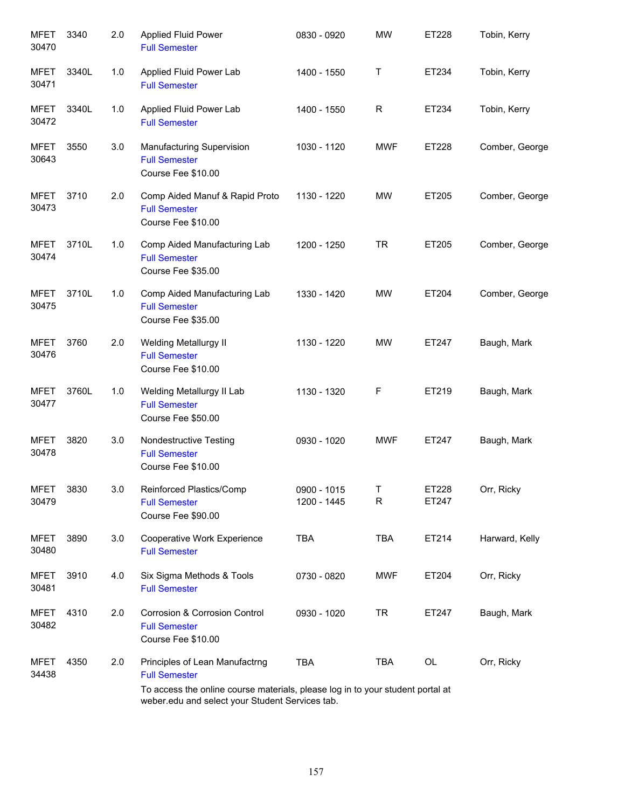| <b>MFET</b><br>30470 | 3340  | 2.0 | <b>Applied Fluid Power</b><br><b>Full Semester</b>                                                                                                                                          | 0830 - 0920                | <b>MW</b>        | ET228          | Tobin, Kerry   |
|----------------------|-------|-----|---------------------------------------------------------------------------------------------------------------------------------------------------------------------------------------------|----------------------------|------------------|----------------|----------------|
| <b>MFET</b><br>30471 | 3340L | 1.0 | Applied Fluid Power Lab<br><b>Full Semester</b>                                                                                                                                             | 1400 - 1550                | Τ                | ET234          | Tobin, Kerry   |
| <b>MFET</b><br>30472 | 3340L | 1.0 | Applied Fluid Power Lab<br><b>Full Semester</b>                                                                                                                                             | 1400 - 1550                | $\mathsf R$      | ET234          | Tobin, Kerry   |
| <b>MFET</b><br>30643 | 3550  | 3.0 | Manufacturing Supervision<br><b>Full Semester</b><br>Course Fee \$10.00                                                                                                                     | 1030 - 1120                | <b>MWF</b>       | ET228          | Comber, George |
| <b>MFET</b><br>30473 | 3710  | 2.0 | Comp Aided Manuf & Rapid Proto<br><b>Full Semester</b><br>Course Fee \$10.00                                                                                                                | 1130 - 1220                | MW               | ET205          | Comber, George |
| <b>MFET</b><br>30474 | 3710L | 1.0 | Comp Aided Manufacturing Lab<br><b>Full Semester</b><br>Course Fee \$35.00                                                                                                                  | 1200 - 1250                | <b>TR</b>        | ET205          | Comber, George |
| <b>MFET</b><br>30475 | 3710L | 1.0 | Comp Aided Manufacturing Lab<br><b>Full Semester</b><br>Course Fee \$35.00                                                                                                                  | 1330 - 1420                | <b>MW</b>        | ET204          | Comber, George |
| <b>MFET</b><br>30476 | 3760  | 2.0 | Welding Metallurgy II<br><b>Full Semester</b><br>Course Fee \$10.00                                                                                                                         | 1130 - 1220                | <b>MW</b>        | ET247          | Baugh, Mark    |
| <b>MFET</b><br>30477 | 3760L | 1.0 | Welding Metallurgy II Lab<br><b>Full Semester</b><br>Course Fee \$50.00                                                                                                                     | 1130 - 1320                | F                | ET219          | Baugh, Mark    |
| <b>MFET</b><br>30478 | 3820  | 3.0 | Nondestructive Testing<br><b>Full Semester</b><br>Course Fee \$10.00                                                                                                                        | 0930 - 1020                | <b>MWF</b>       | ET247          | Baugh, Mark    |
| <b>MFET</b><br>30479 | 3830  | 3.0 | Reinforced Plastics/Comp<br><b>Full Semester</b><br>Course Fee \$90.00                                                                                                                      | 0900 - 1015<br>1200 - 1445 | Т<br>$\mathsf R$ | ET228<br>ET247 | Orr, Ricky     |
| <b>MFET</b><br>30480 | 3890  | 3.0 | Cooperative Work Experience<br><b>Full Semester</b>                                                                                                                                         | <b>TBA</b>                 | <b>TBA</b>       | ET214          | Harward, Kelly |
| <b>MFET</b><br>30481 | 3910  | 4.0 | Six Sigma Methods & Tools<br><b>Full Semester</b>                                                                                                                                           | 0730 - 0820                | <b>MWF</b>       | ET204          | Orr, Ricky     |
| <b>MFET</b><br>30482 | 4310  | 2.0 | <b>Corrosion &amp; Corrosion Control</b><br><b>Full Semester</b><br>Course Fee \$10.00                                                                                                      | 0930 - 1020                | <b>TR</b>        | ET247          | Baugh, Mark    |
| <b>MFET</b><br>34438 | 4350  | 2.0 | Principles of Lean Manufactrng<br><b>Full Semester</b><br>To access the online course materials, please log in to your student portal at<br>weber.edu and select your Student Services tab. | <b>TBA</b>                 | <b>TBA</b>       | OL             | Orr, Ricky     |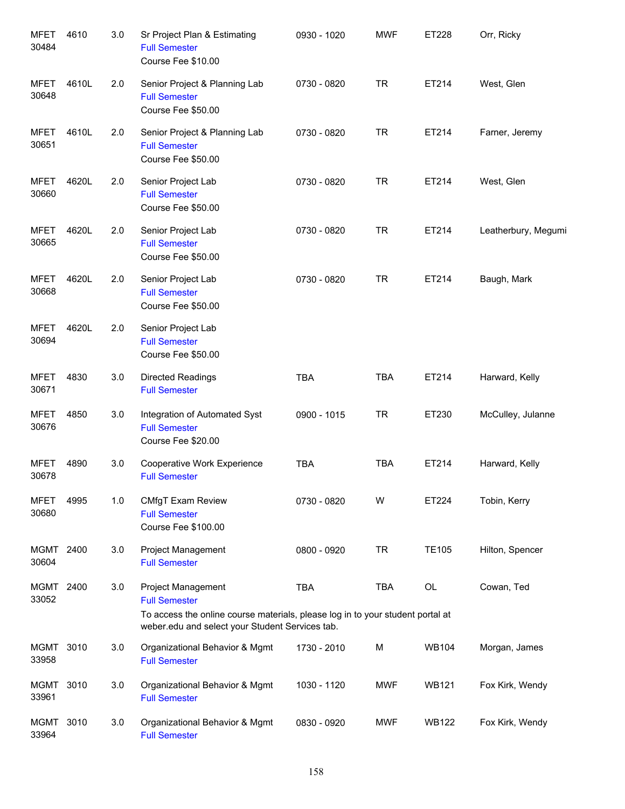| <b>MFET</b><br>30484 | 4610  | 3.0 | Sr Project Plan & Estimating<br><b>Full Semester</b><br>Course Fee \$10.00                                                                                                      | 0930 - 1020 | <b>MWF</b> | ET228        | Orr, Ricky          |
|----------------------|-------|-----|---------------------------------------------------------------------------------------------------------------------------------------------------------------------------------|-------------|------------|--------------|---------------------|
| <b>MFET</b><br>30648 | 4610L | 2.0 | Senior Project & Planning Lab<br><b>Full Semester</b><br>Course Fee \$50.00                                                                                                     | 0730 - 0820 | <b>TR</b>  | ET214        | West, Glen          |
| <b>MFET</b><br>30651 | 4610L | 2.0 | Senior Project & Planning Lab<br><b>Full Semester</b><br>Course Fee \$50.00                                                                                                     | 0730 - 0820 | <b>TR</b>  | ET214        | Farner, Jeremy      |
| <b>MFET</b><br>30660 | 4620L | 2.0 | Senior Project Lab<br><b>Full Semester</b><br>Course Fee \$50.00                                                                                                                | 0730 - 0820 | <b>TR</b>  | ET214        | West, Glen          |
| <b>MFET</b><br>30665 | 4620L | 2.0 | Senior Project Lab<br><b>Full Semester</b><br>Course Fee \$50.00                                                                                                                | 0730 - 0820 | <b>TR</b>  | ET214        | Leatherbury, Megumi |
| <b>MFET</b><br>30668 | 4620L | 2.0 | Senior Project Lab<br><b>Full Semester</b><br>Course Fee \$50.00                                                                                                                | 0730 - 0820 | <b>TR</b>  | ET214        | Baugh, Mark         |
| <b>MFET</b><br>30694 | 4620L | 2.0 | Senior Project Lab<br><b>Full Semester</b><br>Course Fee \$50.00                                                                                                                |             |            |              |                     |
| <b>MFET</b><br>30671 | 4830  | 3.0 | Directed Readings<br><b>Full Semester</b>                                                                                                                                       | <b>TBA</b>  | <b>TBA</b> | ET214        | Harward, Kelly      |
| <b>MFET</b><br>30676 | 4850  | 3.0 | Integration of Automated Syst<br><b>Full Semester</b><br>Course Fee \$20.00                                                                                                     | 0900 - 1015 | <b>TR</b>  | ET230        | McCulley, Julanne   |
| <b>MFET</b><br>30678 | 4890  | 3.0 | Cooperative Work Experience<br><b>Full Semester</b>                                                                                                                             | <b>TBA</b>  | <b>TBA</b> | ET214        | Harward, Kelly      |
| <b>MFET</b><br>30680 | 4995  | 1.0 | <b>CMfgT Exam Review</b><br><b>Full Semester</b><br>Course Fee \$100.00                                                                                                         | 0730 - 0820 | W          | ET224        | Tobin, Kerry        |
| <b>MGMT</b><br>30604 | 2400  | 3.0 | <b>Project Management</b><br><b>Full Semester</b>                                                                                                                               | 0800 - 0920 | <b>TR</b>  | <b>TE105</b> | Hilton, Spencer     |
| <b>MGMT</b><br>33052 | 2400  | 3.0 | Project Management<br><b>Full Semester</b><br>To access the online course materials, please log in to your student portal at<br>weber.edu and select your Student Services tab. | <b>TBA</b>  | <b>TBA</b> | OL           | Cowan, Ted          |
| <b>MGMT</b><br>33958 | 3010  | 3.0 | Organizational Behavior & Mgmt<br><b>Full Semester</b>                                                                                                                          | 1730 - 2010 | M          | <b>WB104</b> | Morgan, James       |
| <b>MGMT</b><br>33961 | 3010  | 3.0 | Organizational Behavior & Mgmt<br><b>Full Semester</b>                                                                                                                          | 1030 - 1120 | <b>MWF</b> | <b>WB121</b> | Fox Kirk, Wendy     |
| <b>MGMT</b><br>33964 | 3010  | 3.0 | Organizational Behavior & Mgmt<br><b>Full Semester</b>                                                                                                                          | 0830 - 0920 | <b>MWF</b> | <b>WB122</b> | Fox Kirk, Wendy     |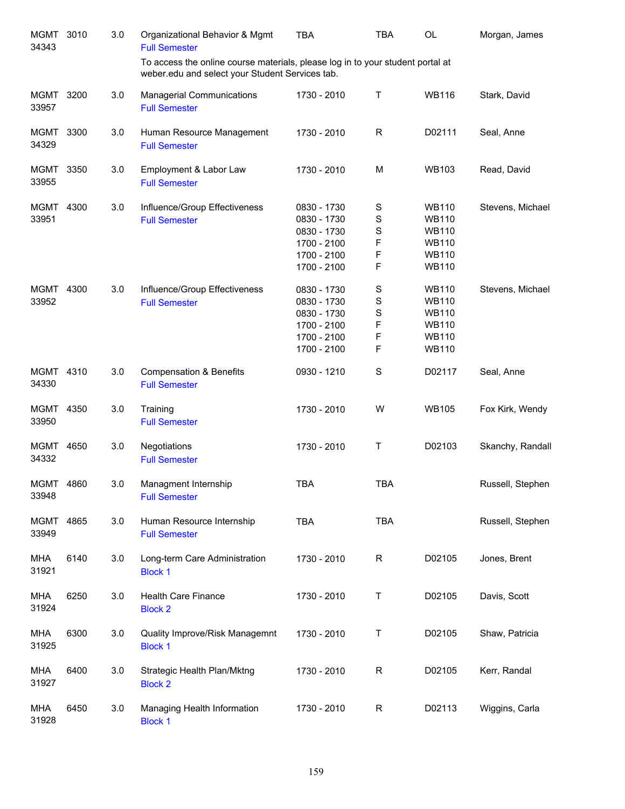| <b>MGMT</b><br>34343 | 3010 | 3.0 | Organizational Behavior & Mgmt<br><b>Full Semester</b>                                                                            | <b>TBA</b>                                                                             | <b>TBA</b>                                     | <b>OL</b>                                                                                    | Morgan, James    |
|----------------------|------|-----|-----------------------------------------------------------------------------------------------------------------------------------|----------------------------------------------------------------------------------------|------------------------------------------------|----------------------------------------------------------------------------------------------|------------------|
|                      |      |     | To access the online course materials, please log in to your student portal at<br>weber.edu and select your Student Services tab. |                                                                                        |                                                |                                                                                              |                  |
| MGMT 3200<br>33957   |      | 3.0 | <b>Managerial Communications</b><br><b>Full Semester</b>                                                                          | 1730 - 2010                                                                            | Т                                              | <b>WB116</b>                                                                                 | Stark, David     |
| <b>MGMT</b><br>34329 | 3300 | 3.0 | Human Resource Management<br><b>Full Semester</b>                                                                                 | 1730 - 2010                                                                            | $\mathsf R$                                    | D02111                                                                                       | Seal, Anne       |
| <b>MGMT</b><br>33955 | 3350 | 3.0 | Employment & Labor Law<br><b>Full Semester</b>                                                                                    | 1730 - 2010                                                                            | M                                              | <b>WB103</b>                                                                                 | Read, David      |
| MGMT 4300<br>33951   |      | 3.0 | Influence/Group Effectiveness<br><b>Full Semester</b>                                                                             | 0830 - 1730<br>0830 - 1730<br>0830 - 1730<br>1700 - 2100<br>1700 - 2100<br>1700 - 2100 | $\mathbb S$<br>S<br>S<br>F<br>F<br>F           | <b>WB110</b><br><b>WB110</b><br><b>WB110</b><br><b>WB110</b><br><b>WB110</b><br><b>WB110</b> | Stevens, Michael |
| MGMT 4300<br>33952   |      | 3.0 | Influence/Group Effectiveness<br><b>Full Semester</b>                                                                             | 0830 - 1730<br>0830 - 1730<br>0830 - 1730<br>1700 - 2100<br>1700 - 2100<br>1700 - 2100 | S<br>$\mathbf S$<br>$\mathbf S$<br>F<br>F<br>F | <b>WB110</b><br><b>WB110</b><br><b>WB110</b><br><b>WB110</b><br><b>WB110</b><br><b>WB110</b> | Stevens, Michael |
| MGMT 4310<br>34330   |      | 3.0 | <b>Compensation &amp; Benefits</b><br><b>Full Semester</b>                                                                        | 0930 - 1210                                                                            | $\mathbf S$                                    | D02117                                                                                       | Seal, Anne       |
| MGMT 4350<br>33950   |      | 3.0 | Training<br><b>Full Semester</b>                                                                                                  | 1730 - 2010                                                                            | W                                              | <b>WB105</b>                                                                                 | Fox Kirk, Wendy  |
| MGMT<br>34332        | 4650 | 3.0 | Negotiations<br><b>Full Semester</b>                                                                                              | 1730 - 2010                                                                            | Т                                              | D02103                                                                                       | Skanchy, Randall |
| MGMT<br>33948        | 4860 | 3.0 | Managment Internship<br><b>Full Semester</b>                                                                                      | <b>TBA</b>                                                                             | <b>TBA</b>                                     |                                                                                              | Russell, Stephen |
| <b>MGMT</b><br>33949 | 4865 | 3.0 | Human Resource Internship<br><b>Full Semester</b>                                                                                 | <b>TBA</b>                                                                             | <b>TBA</b>                                     |                                                                                              | Russell, Stephen |
| <b>MHA</b><br>31921  | 6140 | 3.0 | Long-term Care Administration<br><b>Block 1</b>                                                                                   | 1730 - 2010                                                                            | R                                              | D02105                                                                                       | Jones, Brent     |
| MHA<br>31924         | 6250 | 3.0 | <b>Health Care Finance</b><br><b>Block 2</b>                                                                                      | 1730 - 2010                                                                            | Τ                                              | D02105                                                                                       | Davis, Scott     |
| MHA<br>31925         | 6300 | 3.0 | Quality Improve/Risk Managemnt<br><b>Block 1</b>                                                                                  | 1730 - 2010                                                                            | Т                                              | D02105                                                                                       | Shaw, Patricia   |
| MHA<br>31927         | 6400 | 3.0 | Strategic Health Plan/Mktng<br><b>Block 2</b>                                                                                     | 1730 - 2010                                                                            | R                                              | D02105                                                                                       | Kerr, Randal     |
| MHA<br>31928         | 6450 | 3.0 | Managing Health Information<br><b>Block 1</b>                                                                                     | 1730 - 2010                                                                            | $\mathsf R$                                    | D02113                                                                                       | Wiggins, Carla   |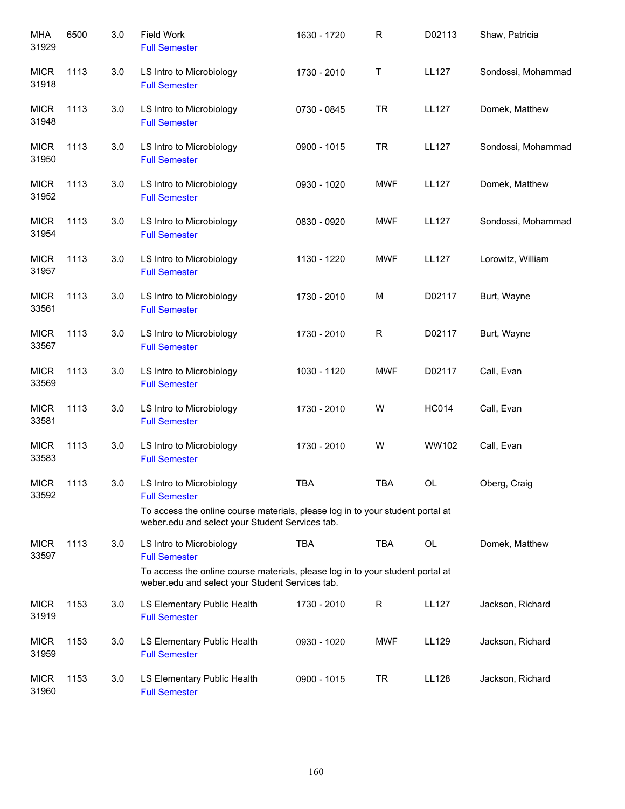| <b>MHA</b><br>31929  | 6500 | 3.0 | Field Work<br><b>Full Semester</b>                                                                                                | 1630 - 1720 | $\mathsf{R}$ | D02113       | Shaw, Patricia     |
|----------------------|------|-----|-----------------------------------------------------------------------------------------------------------------------------------|-------------|--------------|--------------|--------------------|
| <b>MICR</b><br>31918 | 1113 | 3.0 | LS Intro to Microbiology<br><b>Full Semester</b>                                                                                  | 1730 - 2010 | T            | <b>LL127</b> | Sondossi, Mohammad |
| <b>MICR</b><br>31948 | 1113 | 3.0 | LS Intro to Microbiology<br><b>Full Semester</b>                                                                                  | 0730 - 0845 | <b>TR</b>    | <b>LL127</b> | Domek, Matthew     |
| <b>MICR</b><br>31950 | 1113 | 3.0 | LS Intro to Microbiology<br><b>Full Semester</b>                                                                                  | 0900 - 1015 | <b>TR</b>    | <b>LL127</b> | Sondossi, Mohammad |
| <b>MICR</b><br>31952 | 1113 | 3.0 | LS Intro to Microbiology<br><b>Full Semester</b>                                                                                  | 0930 - 1020 | <b>MWF</b>   | <b>LL127</b> | Domek, Matthew     |
| <b>MICR</b><br>31954 | 1113 | 3.0 | LS Intro to Microbiology<br><b>Full Semester</b>                                                                                  | 0830 - 0920 | <b>MWF</b>   | <b>LL127</b> | Sondossi, Mohammad |
| <b>MICR</b><br>31957 | 1113 | 3.0 | LS Intro to Microbiology<br><b>Full Semester</b>                                                                                  | 1130 - 1220 | <b>MWF</b>   | <b>LL127</b> | Lorowitz, William  |
| <b>MICR</b><br>33561 | 1113 | 3.0 | LS Intro to Microbiology<br><b>Full Semester</b>                                                                                  | 1730 - 2010 | M            | D02117       | Burt, Wayne        |
| <b>MICR</b><br>33567 | 1113 | 3.0 | LS Intro to Microbiology<br><b>Full Semester</b>                                                                                  | 1730 - 2010 | $\mathsf R$  | D02117       | Burt, Wayne        |
| <b>MICR</b><br>33569 | 1113 | 3.0 | LS Intro to Microbiology<br><b>Full Semester</b>                                                                                  | 1030 - 1120 | <b>MWF</b>   | D02117       | Call, Evan         |
| <b>MICR</b><br>33581 | 1113 | 3.0 | LS Intro to Microbiology<br><b>Full Semester</b>                                                                                  | 1730 - 2010 | W            | <b>HC014</b> | Call, Evan         |
| <b>MICR</b><br>33583 | 1113 | 3.0 | LS Intro to Microbiology<br><b>Full Semester</b>                                                                                  | 1730 - 2010 | W            | WW102        | Call, Evan         |
| <b>MICR</b><br>33592 | 1113 | 3.0 | LS Intro to Microbiology<br><b>Full Semester</b>                                                                                  | <b>TBA</b>  | <b>TBA</b>   | OL           | Oberg, Craig       |
|                      |      |     | To access the online course materials, please log in to your student portal at<br>weber.edu and select your Student Services tab. |             |              |              |                    |
| <b>MICR</b><br>33597 | 1113 | 3.0 | LS Intro to Microbiology<br><b>Full Semester</b>                                                                                  | <b>TBA</b>  | <b>TBA</b>   | <b>OL</b>    | Domek, Matthew     |
|                      |      |     | To access the online course materials, please log in to your student portal at<br>weber.edu and select your Student Services tab. |             |              |              |                    |
| <b>MICR</b><br>31919 | 1153 | 3.0 | LS Elementary Public Health<br><b>Full Semester</b>                                                                               | 1730 - 2010 | $\mathsf{R}$ | <b>LL127</b> | Jackson, Richard   |
| <b>MICR</b><br>31959 | 1153 | 3.0 | LS Elementary Public Health<br><b>Full Semester</b>                                                                               | 0930 - 1020 | <b>MWF</b>   | LL129        | Jackson, Richard   |
| <b>MICR</b><br>31960 | 1153 | 3.0 | LS Elementary Public Health<br><b>Full Semester</b>                                                                               | 0900 - 1015 | <b>TR</b>    | LL128        | Jackson, Richard   |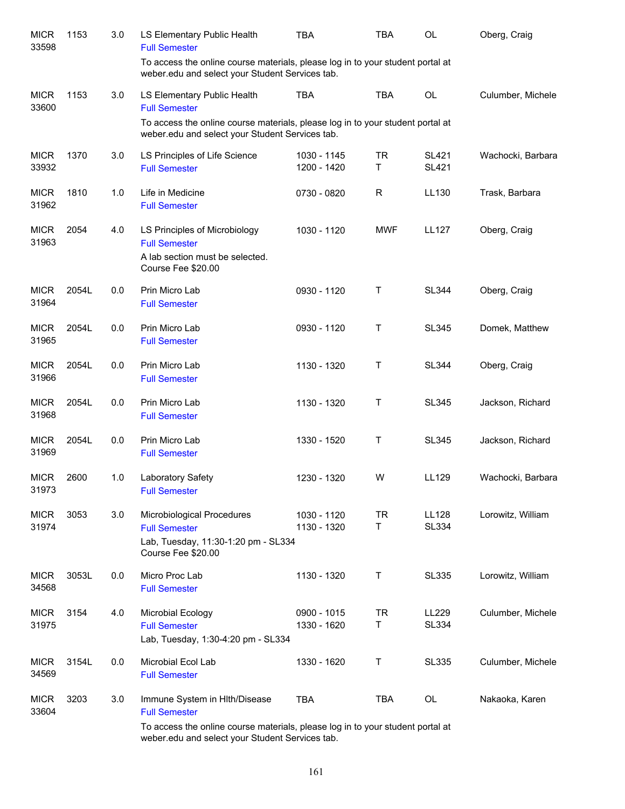| <b>MICR</b><br>33598 | 1153  | 3.0 | LS Elementary Public Health<br><b>Full Semester</b>                                                                               | <b>TBA</b>                 | <b>TBA</b>     | OL                    | Oberg, Craig      |
|----------------------|-------|-----|-----------------------------------------------------------------------------------------------------------------------------------|----------------------------|----------------|-----------------------|-------------------|
|                      |       |     | To access the online course materials, please log in to your student portal at<br>weber.edu and select your Student Services tab. |                            |                |                       |                   |
| <b>MICR</b><br>33600 | 1153  | 3.0 | LS Elementary Public Health<br><b>Full Semester</b>                                                                               | <b>TBA</b>                 | <b>TBA</b>     | OL                    | Culumber, Michele |
|                      |       |     | To access the online course materials, please log in to your student portal at<br>weber.edu and select your Student Services tab. |                            |                |                       |                   |
| <b>MICR</b>          | 1370  | 3.0 | LS Principles of Life Science                                                                                                     | 1030 - 1145                | <b>TR</b>      | <b>SL421</b>          | Wachocki, Barbara |
| 33932                |       |     | <b>Full Semester</b>                                                                                                              | 1200 - 1420                | T.             | <b>SL421</b>          |                   |
| <b>MICR</b><br>31962 | 1810  | 1.0 | Life in Medicine<br><b>Full Semester</b>                                                                                          | 0730 - 0820                | $\mathsf R$    | LL130                 | Trask, Barbara    |
| <b>MICR</b><br>31963 | 2054  | 4.0 | LS Principles of Microbiology<br><b>Full Semester</b>                                                                             | 1030 - 1120                | <b>MWF</b>     | <b>LL127</b>          | Oberg, Craig      |
|                      |       |     | A lab section must be selected.<br>Course Fee \$20.00                                                                             |                            |                |                       |                   |
| <b>MICR</b><br>31964 | 2054L | 0.0 | Prin Micro Lab<br><b>Full Semester</b>                                                                                            | 0930 - 1120                | Τ              | <b>SL344</b>          | Oberg, Craig      |
| <b>MICR</b><br>31965 | 2054L | 0.0 | Prin Micro Lab<br><b>Full Semester</b>                                                                                            | 0930 - 1120                | Τ              | <b>SL345</b>          | Domek, Matthew    |
| <b>MICR</b><br>31966 | 2054L | 0.0 | Prin Micro Lab<br><b>Full Semester</b>                                                                                            | 1130 - 1320                | $\sf T$        | <b>SL344</b>          | Oberg, Craig      |
| <b>MICR</b><br>31968 | 2054L | 0.0 | Prin Micro Lab<br><b>Full Semester</b>                                                                                            | 1130 - 1320                | Τ              | <b>SL345</b>          | Jackson, Richard  |
| <b>MICR</b><br>31969 | 2054L | 0.0 | Prin Micro Lab<br><b>Full Semester</b>                                                                                            | 1330 - 1520                | Τ              | <b>SL345</b>          | Jackson, Richard  |
| <b>MICR</b><br>31973 | 2600  | 1.0 | Laboratory Safety<br><b>Full Semester</b>                                                                                         | 1230 - 1320                | W              | LL129                 | Wachocki, Barbara |
| <b>MICR</b><br>31974 | 3053  | 3.0 | Microbiological Procedures<br><b>Full Semester</b>                                                                                | 1030 - 1120<br>1130 - 1320 | <b>TR</b><br>Τ | <b>LL128</b><br>SL334 | Lorowitz, William |
|                      |       |     | Lab, Tuesday, 11:30-1:20 pm - SL334<br>Course Fee \$20.00                                                                         |                            |                |                       |                   |
| <b>MICR</b><br>34568 | 3053L | 0.0 | Micro Proc Lab<br><b>Full Semester</b>                                                                                            | 1130 - 1320                | Τ              | <b>SL335</b>          | Lorowitz, William |
| <b>MICR</b>          | 3154  | 4.0 | Microbial Ecology                                                                                                                 | 0900 - 1015                | <b>TR</b>      | LL229                 | Culumber, Michele |
| 31975                |       |     | <b>Full Semester</b><br>Lab, Tuesday, 1:30-4:20 pm - SL334                                                                        | 1330 - 1620                | Τ              | SL334                 |                   |
| <b>MICR</b><br>34569 | 3154L | 0.0 | Microbial Ecol Lab<br><b>Full Semester</b>                                                                                        | 1330 - 1620                | Τ              | <b>SL335</b>          | Culumber, Michele |
| <b>MICR</b><br>33604 | 3203  | 3.0 | Immune System in Hlth/Disease<br><b>Full Semester</b>                                                                             | <b>TBA</b>                 | <b>TBA</b>     | OL                    | Nakaoka, Karen    |
|                      |       |     | To access the online course materials, please log in to your student portal at<br>weber.edu and select your Student Services tab. |                            |                |                       |                   |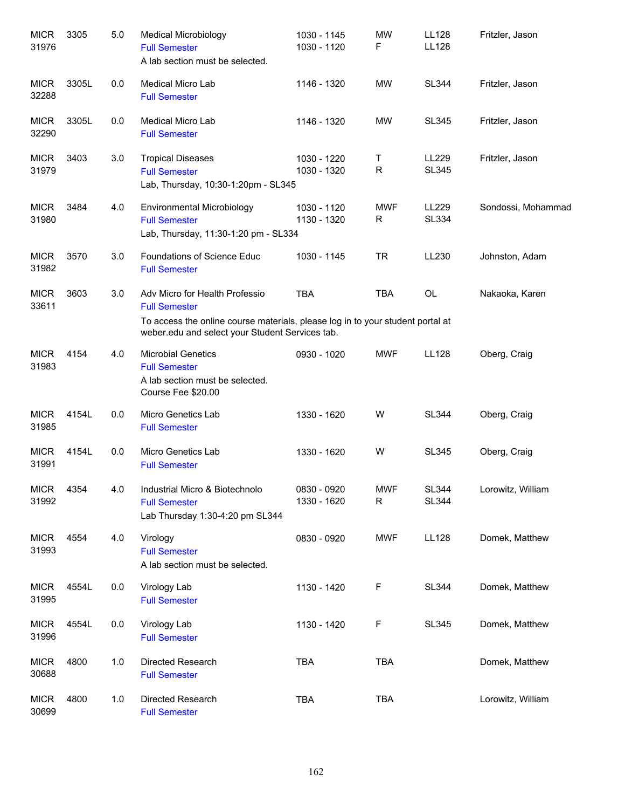| <b>MICR</b><br>31976 | 3305  | 5.0 | <b>Medical Microbiology</b><br><b>Full Semester</b><br>A lab section must be selected.                                                                                                      | 1030 - 1145<br>1030 - 1120 | <b>MW</b><br>F  | <b>LL128</b><br>LL128        | Fritzler, Jason    |
|----------------------|-------|-----|---------------------------------------------------------------------------------------------------------------------------------------------------------------------------------------------|----------------------------|-----------------|------------------------------|--------------------|
| <b>MICR</b><br>32288 | 3305L | 0.0 | <b>Medical Micro Lab</b><br><b>Full Semester</b>                                                                                                                                            | 1146 - 1320                | <b>MW</b>       | <b>SL344</b>                 | Fritzler, Jason    |
| <b>MICR</b><br>32290 | 3305L | 0.0 | Medical Micro Lab<br><b>Full Semester</b>                                                                                                                                                   | 1146 - 1320                | <b>MW</b>       | <b>SL345</b>                 | Fritzler, Jason    |
| <b>MICR</b><br>31979 | 3403  | 3.0 | <b>Tropical Diseases</b><br><b>Full Semester</b><br>Lab, Thursday, 10:30-1:20pm - SL345                                                                                                     | 1030 - 1220<br>1030 - 1320 | т<br>R          | LL229<br><b>SL345</b>        | Fritzler, Jason    |
| <b>MICR</b><br>31980 | 3484  | 4.0 | Environmental Microbiology<br><b>Full Semester</b><br>Lab, Thursday, 11:30-1:20 pm - SL334                                                                                                  | 1030 - 1120<br>1130 - 1320 | <b>MWF</b><br>R | LL229<br><b>SL334</b>        | Sondossi, Mohammad |
| <b>MICR</b><br>31982 | 3570  | 3.0 | Foundations of Science Educ<br><b>Full Semester</b>                                                                                                                                         | 1030 - 1145                | <b>TR</b>       | LL230                        | Johnston, Adam     |
| <b>MICR</b><br>33611 | 3603  | 3.0 | Adv Micro for Health Professio<br><b>Full Semester</b><br>To access the online course materials, please log in to your student portal at<br>weber.edu and select your Student Services tab. | <b>TBA</b>                 | <b>TBA</b>      | <b>OL</b>                    | Nakaoka, Karen     |
| <b>MICR</b><br>31983 | 4154  | 4.0 | <b>Microbial Genetics</b><br><b>Full Semester</b><br>A lab section must be selected.<br>Course Fee \$20.00                                                                                  | 0930 - 1020                | <b>MWF</b>      | <b>LL128</b>                 | Oberg, Craig       |
| <b>MICR</b><br>31985 | 4154L | 0.0 | Micro Genetics Lab<br><b>Full Semester</b>                                                                                                                                                  | 1330 - 1620                | W               | <b>SL344</b>                 | Oberg, Craig       |
| <b>MICR</b><br>31991 | 4154L | 0.0 | Micro Genetics Lab<br><b>Full Semester</b>                                                                                                                                                  | 1330 - 1620                | W               | <b>SL345</b>                 | Oberg, Craig       |
| <b>MICR</b><br>31992 | 4354  | 4.0 | Industrial Micro & Biotechnolo<br><b>Full Semester</b><br>Lab Thursday 1:30-4:20 pm SL344                                                                                                   | 0830 - 0920<br>1330 - 1620 | <b>MWF</b><br>R | <b>SL344</b><br><b>SL344</b> | Lorowitz, William  |
| <b>MICR</b><br>31993 | 4554  | 4.0 | Virology<br><b>Full Semester</b><br>A lab section must be selected.                                                                                                                         | 0830 - 0920                | <b>MWF</b>      | <b>LL128</b>                 | Domek, Matthew     |
| <b>MICR</b><br>31995 | 4554L | 0.0 | Virology Lab<br><b>Full Semester</b>                                                                                                                                                        | 1130 - 1420                | F               | <b>SL344</b>                 | Domek, Matthew     |
| <b>MICR</b><br>31996 | 4554L | 0.0 | Virology Lab<br><b>Full Semester</b>                                                                                                                                                        | 1130 - 1420                | F               | <b>SL345</b>                 | Domek, Matthew     |
| <b>MICR</b><br>30688 | 4800  | 1.0 | Directed Research<br><b>Full Semester</b>                                                                                                                                                   | <b>TBA</b>                 | <b>TBA</b>      |                              | Domek, Matthew     |
| <b>MICR</b><br>30699 | 4800  | 1.0 | Directed Research<br><b>Full Semester</b>                                                                                                                                                   | <b>TBA</b>                 | <b>TBA</b>      |                              | Lorowitz, William  |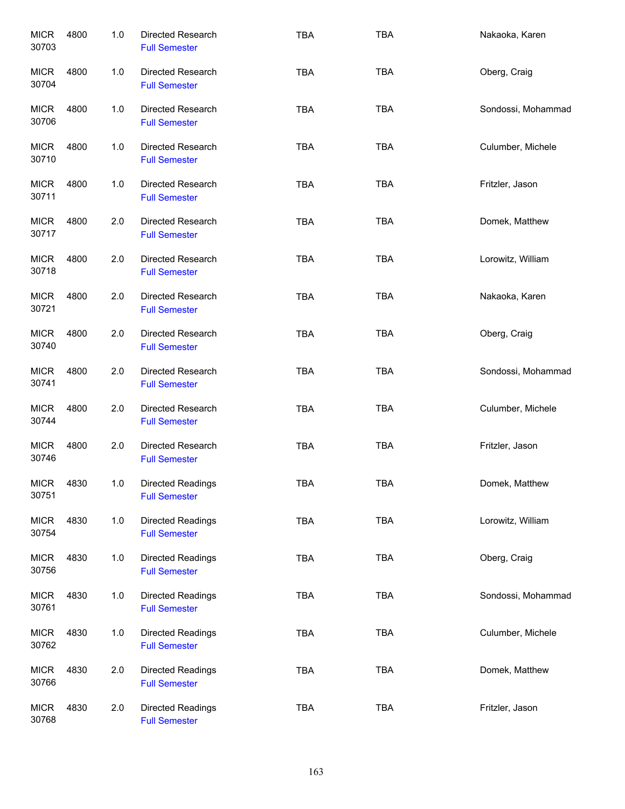| <b>MICR</b><br>30703 | 4800 | 1.0   | Directed Research<br><b>Full Semester</b>        | <b>TBA</b> | <b>TBA</b> | Nakaoka, Karen     |
|----------------------|------|-------|--------------------------------------------------|------------|------------|--------------------|
| <b>MICR</b><br>30704 | 4800 | 1.0   | Directed Research<br><b>Full Semester</b>        | <b>TBA</b> | <b>TBA</b> | Oberg, Craig       |
| <b>MICR</b><br>30706 | 4800 | 1.0   | Directed Research<br><b>Full Semester</b>        | <b>TBA</b> | <b>TBA</b> | Sondossi, Mohammad |
| <b>MICR</b><br>30710 | 4800 | 1.0   | Directed Research<br><b>Full Semester</b>        | <b>TBA</b> | <b>TBA</b> | Culumber, Michele  |
| <b>MICR</b><br>30711 | 4800 | 1.0   | Directed Research<br><b>Full Semester</b>        | <b>TBA</b> | TBA        | Fritzler, Jason    |
| <b>MICR</b><br>30717 | 4800 | 2.0   | Directed Research<br><b>Full Semester</b>        | <b>TBA</b> | <b>TBA</b> | Domek, Matthew     |
| <b>MICR</b><br>30718 | 4800 | 2.0   | Directed Research<br><b>Full Semester</b>        | <b>TBA</b> | <b>TBA</b> | Lorowitz, William  |
| <b>MICR</b><br>30721 | 4800 | 2.0   | Directed Research<br><b>Full Semester</b>        | <b>TBA</b> | <b>TBA</b> | Nakaoka, Karen     |
| <b>MICR</b><br>30740 | 4800 | 2.0   | Directed Research<br><b>Full Semester</b>        | <b>TBA</b> | <b>TBA</b> | Oberg, Craig       |
| <b>MICR</b><br>30741 | 4800 | 2.0   | Directed Research<br><b>Full Semester</b>        | <b>TBA</b> | TBA        | Sondossi, Mohammad |
| <b>MICR</b><br>30744 | 4800 | 2.0   | Directed Research<br><b>Full Semester</b>        | <b>TBA</b> | <b>TBA</b> | Culumber, Michele  |
| <b>MICR</b><br>30746 | 4800 | 2.0   | Directed Research<br><b>Full Semester</b>        | <b>TBA</b> | <b>TBA</b> | Fritzler, Jason    |
| <b>MICR</b><br>30751 | 4830 | 1.0   | <b>Directed Readings</b><br><b>Full Semester</b> | TBA        | TBA        | Domek, Matthew     |
| <b>MICR</b><br>30754 | 4830 | $1.0$ | Directed Readings<br><b>Full Semester</b>        | <b>TBA</b> | <b>TBA</b> | Lorowitz, William  |
| <b>MICR</b><br>30756 | 4830 | 1.0   | Directed Readings<br><b>Full Semester</b>        | <b>TBA</b> | <b>TBA</b> | Oberg, Craig       |
| <b>MICR</b><br>30761 | 4830 | 1.0   | Directed Readings<br><b>Full Semester</b>        | TBA        | <b>TBA</b> | Sondossi, Mohammad |
| <b>MICR</b><br>30762 | 4830 | 1.0   | Directed Readings<br><b>Full Semester</b>        | <b>TBA</b> | <b>TBA</b> | Culumber, Michele  |
| <b>MICR</b><br>30766 | 4830 | 2.0   | Directed Readings<br><b>Full Semester</b>        | <b>TBA</b> | <b>TBA</b> | Domek, Matthew     |
| <b>MICR</b><br>30768 | 4830 | 2.0   | Directed Readings<br><b>Full Semester</b>        | TBA        | <b>TBA</b> | Fritzler, Jason    |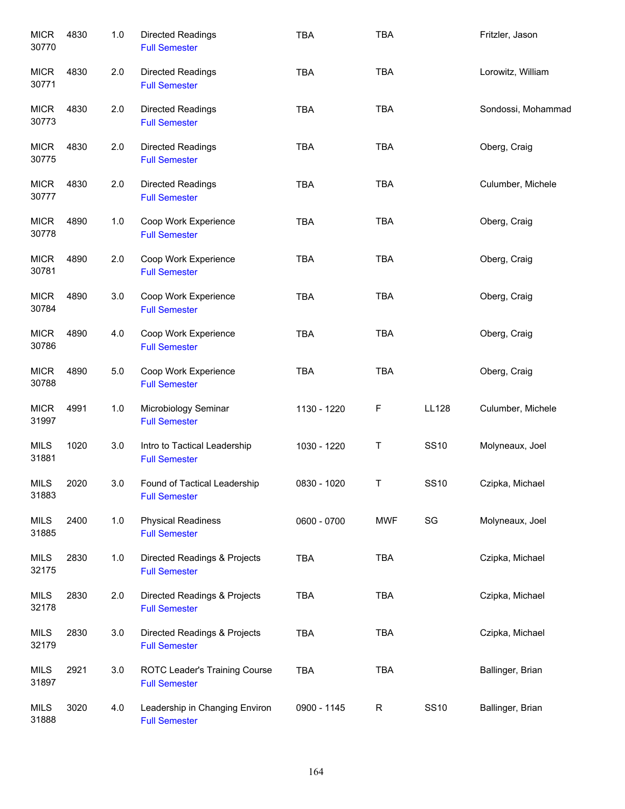| <b>MICR</b><br>30770 | 4830 | $1.0$ | Directed Readings<br><b>Full Semester</b>              | <b>TBA</b>  | <b>TBA</b>  |              | Fritzler, Jason    |
|----------------------|------|-------|--------------------------------------------------------|-------------|-------------|--------------|--------------------|
| <b>MICR</b><br>30771 | 4830 | 2.0   | Directed Readings<br><b>Full Semester</b>              | <b>TBA</b>  | <b>TBA</b>  |              | Lorowitz, William  |
| <b>MICR</b><br>30773 | 4830 | 2.0   | Directed Readings<br><b>Full Semester</b>              | <b>TBA</b>  | <b>TBA</b>  |              | Sondossi, Mohammad |
| <b>MICR</b><br>30775 | 4830 | 2.0   | Directed Readings<br><b>Full Semester</b>              | <b>TBA</b>  | <b>TBA</b>  |              | Oberg, Craig       |
| <b>MICR</b><br>30777 | 4830 | 2.0   | Directed Readings<br><b>Full Semester</b>              | <b>TBA</b>  | <b>TBA</b>  |              | Culumber, Michele  |
| <b>MICR</b><br>30778 | 4890 | 1.0   | Coop Work Experience<br><b>Full Semester</b>           | <b>TBA</b>  | <b>TBA</b>  |              | Oberg, Craig       |
| <b>MICR</b><br>30781 | 4890 | 2.0   | Coop Work Experience<br><b>Full Semester</b>           | <b>TBA</b>  | <b>TBA</b>  |              | Oberg, Craig       |
| <b>MICR</b><br>30784 | 4890 | 3.0   | Coop Work Experience<br><b>Full Semester</b>           | <b>TBA</b>  | TBA         |              | Oberg, Craig       |
| <b>MICR</b><br>30786 | 4890 | 4.0   | Coop Work Experience<br><b>Full Semester</b>           | <b>TBA</b>  | <b>TBA</b>  |              | Oberg, Craig       |
| <b>MICR</b><br>30788 | 4890 | $5.0$ | Coop Work Experience<br><b>Full Semester</b>           | <b>TBA</b>  | <b>TBA</b>  |              | Oberg, Craig       |
| <b>MICR</b><br>31997 | 4991 | 1.0   | Microbiology Seminar<br><b>Full Semester</b>           | 1130 - 1220 | F           | <b>LL128</b> | Culumber, Michele  |
| <b>MILS</b><br>31881 | 1020 | 3.0   | Intro to Tactical Leadership<br><b>Full Semester</b>   | 1030 - 1220 | T           | <b>SS10</b>  | Molyneaux, Joel    |
| <b>MILS</b><br>31883 | 2020 | 3.0   | Found of Tactical Leadership<br><b>Full Semester</b>   | 0830 - 1020 | Τ           | <b>SS10</b>  | Czipka, Michael    |
| <b>MILS</b><br>31885 | 2400 | 1.0   | <b>Physical Readiness</b><br><b>Full Semester</b>      | 0600 - 0700 | <b>MWF</b>  | SG           | Molyneaux, Joel    |
| <b>MILS</b><br>32175 | 2830 | 1.0   | Directed Readings & Projects<br><b>Full Semester</b>   | TBA         | TBA         |              | Czipka, Michael    |
| <b>MILS</b><br>32178 | 2830 | 2.0   | Directed Readings & Projects<br><b>Full Semester</b>   | TBA         | <b>TBA</b>  |              | Czipka, Michael    |
| <b>MILS</b><br>32179 | 2830 | 3.0   | Directed Readings & Projects<br><b>Full Semester</b>   | <b>TBA</b>  | <b>TBA</b>  |              | Czipka, Michael    |
| <b>MILS</b><br>31897 | 2921 | 3.0   | ROTC Leader's Training Course<br><b>Full Semester</b>  | TBA         | <b>TBA</b>  |              | Ballinger, Brian   |
| <b>MILS</b><br>31888 | 3020 | 4.0   | Leadership in Changing Environ<br><b>Full Semester</b> | 0900 - 1145 | $\mathsf R$ | <b>SS10</b>  | Ballinger, Brian   |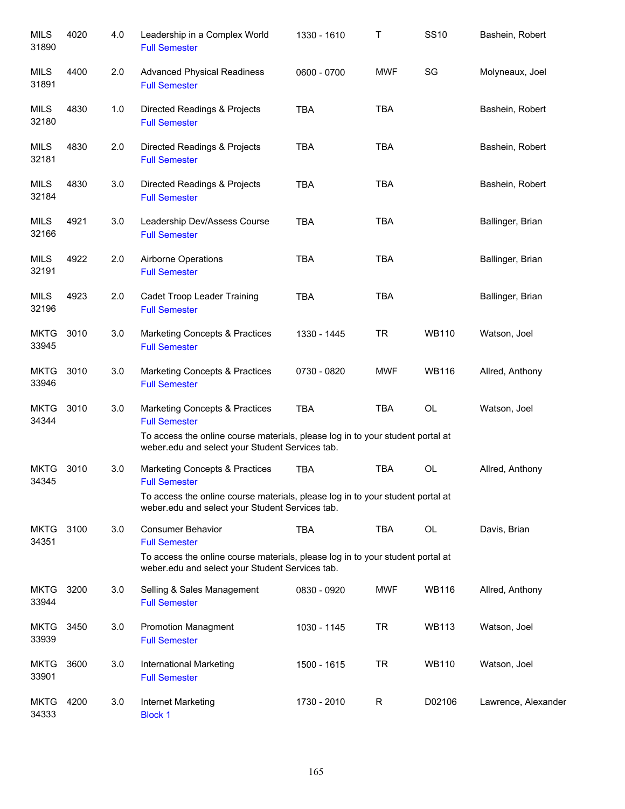| <b>MILS</b><br>31890 | 4020 | 4.0 | Leadership in a Complex World<br><b>Full Semester</b>                                                                                                                                                  | 1330 - 1610 | Τ          | <b>SS10</b>  | Bashein, Robert     |
|----------------------|------|-----|--------------------------------------------------------------------------------------------------------------------------------------------------------------------------------------------------------|-------------|------------|--------------|---------------------|
| <b>MILS</b><br>31891 | 4400 | 2.0 | <b>Advanced Physical Readiness</b><br><b>Full Semester</b>                                                                                                                                             | 0600 - 0700 | <b>MWF</b> | SG           | Molyneaux, Joel     |
| MILS<br>32180        | 4830 | 1.0 | Directed Readings & Projects<br><b>Full Semester</b>                                                                                                                                                   | <b>TBA</b>  | <b>TBA</b> |              | Bashein, Robert     |
| <b>MILS</b><br>32181 | 4830 | 2.0 | Directed Readings & Projects<br><b>Full Semester</b>                                                                                                                                                   | <b>TBA</b>  | <b>TBA</b> |              | Bashein, Robert     |
| <b>MILS</b><br>32184 | 4830 | 3.0 | Directed Readings & Projects<br><b>Full Semester</b>                                                                                                                                                   | <b>TBA</b>  | <b>TBA</b> |              | Bashein, Robert     |
| <b>MILS</b><br>32166 | 4921 | 3.0 | Leadership Dev/Assess Course<br><b>Full Semester</b>                                                                                                                                                   | <b>TBA</b>  | <b>TBA</b> |              | Ballinger, Brian    |
| <b>MILS</b><br>32191 | 4922 | 2.0 | Airborne Operations<br><b>Full Semester</b>                                                                                                                                                            | <b>TBA</b>  | <b>TBA</b> |              | Ballinger, Brian    |
| <b>MILS</b><br>32196 | 4923 | 2.0 | Cadet Troop Leader Training<br><b>Full Semester</b>                                                                                                                                                    | <b>TBA</b>  | <b>TBA</b> |              | Ballinger, Brian    |
| <b>MKTG</b><br>33945 | 3010 | 3.0 | <b>Marketing Concepts &amp; Practices</b><br><b>Full Semester</b>                                                                                                                                      | 1330 - 1445 | <b>TR</b>  | <b>WB110</b> | Watson, Joel        |
| <b>MKTG</b><br>33946 | 3010 | 3.0 | <b>Marketing Concepts &amp; Practices</b><br><b>Full Semester</b>                                                                                                                                      | 0730 - 0820 | <b>MWF</b> | <b>WB116</b> | Allred, Anthony     |
| <b>MKTG</b><br>34344 | 3010 | 3.0 | <b>Marketing Concepts &amp; Practices</b><br><b>Full Semester</b><br>To access the online course materials, please log in to your student portal at<br>weber.edu and select your Student Services tab. | <b>TBA</b>  | <b>TBA</b> | OL           | Watson, Joel        |
| <b>MKTG</b><br>34345 | 3010 | 3.0 | <b>Marketing Concepts &amp; Practices</b><br><b>Full Semester</b><br>To access the online course materials, please log in to your student portal at<br>weber.edu and select your Student Services tab. | <b>TBA</b>  | <b>TBA</b> | OL           | Allred, Anthony     |
| <b>MKTG</b><br>34351 | 3100 | 3.0 | <b>Consumer Behavior</b><br><b>Full Semester</b><br>To access the online course materials, please log in to your student portal at<br>weber.edu and select your Student Services tab.                  | <b>TBA</b>  | <b>TBA</b> | <b>OL</b>    | Davis, Brian        |
| <b>MKTG</b><br>33944 | 3200 | 3.0 | Selling & Sales Management<br><b>Full Semester</b>                                                                                                                                                     | 0830 - 0920 | <b>MWF</b> | <b>WB116</b> | Allred, Anthony     |
| <b>MKTG</b><br>33939 | 3450 | 3.0 | <b>Promotion Managment</b><br><b>Full Semester</b>                                                                                                                                                     | 1030 - 1145 | <b>TR</b>  | <b>WB113</b> | Watson, Joel        |
| <b>MKTG</b><br>33901 | 3600 | 3.0 | International Marketing<br><b>Full Semester</b>                                                                                                                                                        | 1500 - 1615 | <b>TR</b>  | <b>WB110</b> | Watson, Joel        |
| <b>MKTG</b><br>34333 | 4200 | 3.0 | Internet Marketing<br><b>Block 1</b>                                                                                                                                                                   | 1730 - 2010 | R          | D02106       | Lawrence, Alexander |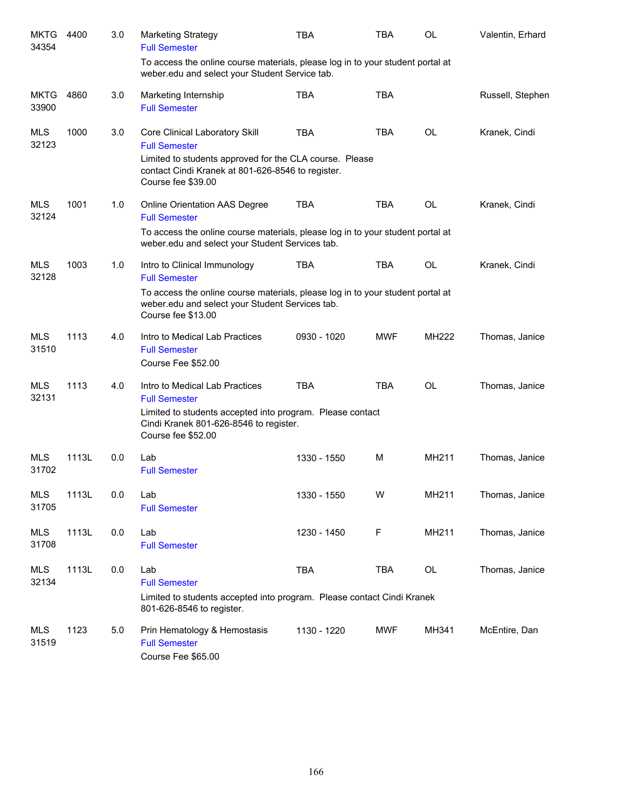| <b>MKTG</b><br>34354 | 4400  | 3.0 | <b>Marketing Strategy</b><br><b>Full Semester</b>                                                                                                                      | <b>TBA</b>  | <b>TBA</b> | <b>OL</b> | Valentin, Erhard |
|----------------------|-------|-----|------------------------------------------------------------------------------------------------------------------------------------------------------------------------|-------------|------------|-----------|------------------|
|                      |       |     | To access the online course materials, please log in to your student portal at<br>weber.edu and select your Student Service tab.                                       |             |            |           |                  |
| <b>MKTG</b><br>33900 | 4860  | 3.0 | Marketing Internship<br><b>Full Semester</b>                                                                                                                           | <b>TBA</b>  | <b>TBA</b> |           | Russell, Stephen |
| MLS<br>32123         | 1000  | 3.0 | Core Clinical Laboratory Skill<br><b>Full Semester</b><br>Limited to students approved for the CLA course. Please<br>contact Cindi Kranek at 801-626-8546 to register. | <b>TBA</b>  | <b>TBA</b> | <b>OL</b> | Kranek, Cindi    |
|                      |       |     | Course fee \$39.00                                                                                                                                                     |             |            |           |                  |
| <b>MLS</b><br>32124  | 1001  | 1.0 | Online Orientation AAS Degree<br><b>Full Semester</b>                                                                                                                  | <b>TBA</b>  | <b>TBA</b> | <b>OL</b> | Kranek, Cindi    |
|                      |       |     | To access the online course materials, please log in to your student portal at<br>weber.edu and select your Student Services tab.                                      |             |            |           |                  |
| <b>MLS</b><br>32128  | 1003  | 1.0 | Intro to Clinical Immunology<br><b>Full Semester</b>                                                                                                                   | <b>TBA</b>  | <b>TBA</b> | <b>OL</b> | Kranek, Cindi    |
|                      |       |     | To access the online course materials, please log in to your student portal at<br>weber.edu and select your Student Services tab.<br>Course fee \$13.00                |             |            |           |                  |
| <b>MLS</b><br>31510  | 1113  | 4.0 | Intro to Medical Lab Practices<br><b>Full Semester</b><br>Course Fee \$52.00                                                                                           | 0930 - 1020 | <b>MWF</b> | MH222     | Thomas, Janice   |
| <b>MLS</b><br>32131  | 1113  | 4.0 | Intro to Medical Lab Practices<br><b>Full Semester</b>                                                                                                                 | <b>TBA</b>  | <b>TBA</b> | <b>OL</b> | Thomas, Janice   |
|                      |       |     | Limited to students accepted into program. Please contact<br>Cindi Kranek 801-626-8546 to register.<br>Course fee \$52.00                                              |             |            |           |                  |
| <b>MLS</b><br>31702  | 1113L | 0.0 | Lab<br><b>Full Semester</b>                                                                                                                                            | 1330 - 1550 | M          | MH211     | Thomas, Janice   |
| <b>MLS</b><br>31705  | 1113L | 0.0 | Lab<br><b>Full Semester</b>                                                                                                                                            | 1330 - 1550 | W          | MH211     | Thomas, Janice   |
| MLS<br>31708         | 1113L | 0.0 | Lab<br><b>Full Semester</b>                                                                                                                                            | 1230 - 1450 | F          | MH211     | Thomas, Janice   |
| MLS<br>32134         | 1113L | 0.0 | Lab<br><b>Full Semester</b>                                                                                                                                            | <b>TBA</b>  | <b>TBA</b> | OL        | Thomas, Janice   |
|                      |       |     | Limited to students accepted into program. Please contact Cindi Kranek<br>801-626-8546 to register.                                                                    |             |            |           |                  |
| MLS<br>31519         | 1123  | 5.0 | Prin Hematology & Hemostasis<br><b>Full Semester</b><br>Course Fee \$65.00                                                                                             | 1130 - 1220 | <b>MWF</b> | MH341     | McEntire, Dan    |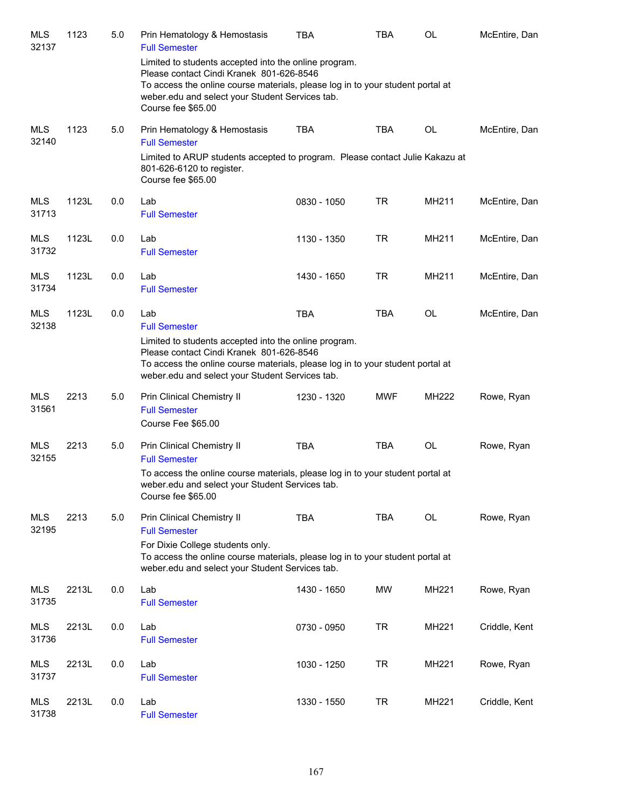| MLS<br>32137        | 1123  | 5.0 | Prin Hematology & Hemostasis<br><b>Full Semester</b>                                                                                                                                                                                                                  | <b>TBA</b>  | TBA        | <b>OL</b> | McEntire, Dan |
|---------------------|-------|-----|-----------------------------------------------------------------------------------------------------------------------------------------------------------------------------------------------------------------------------------------------------------------------|-------------|------------|-----------|---------------|
|                     |       |     | Limited to students accepted into the online program.<br>Please contact Cindi Kranek 801-626-8546<br>To access the online course materials, please log in to your student portal at<br>weber.edu and select your Student Services tab.<br>Course fee \$65.00          |             |            |           |               |
| <b>MLS</b><br>32140 | 1123  | 5.0 | Prin Hematology & Hemostasis<br><b>Full Semester</b>                                                                                                                                                                                                                  | <b>TBA</b>  | <b>TBA</b> | <b>OL</b> | McEntire, Dan |
|                     |       |     | Limited to ARUP students accepted to program. Please contact Julie Kakazu at<br>801-626-6120 to register.<br>Course fee \$65.00                                                                                                                                       |             |            |           |               |
| MLS<br>31713        | 1123L | 0.0 | Lab<br><b>Full Semester</b>                                                                                                                                                                                                                                           | 0830 - 1050 | <b>TR</b>  | MH211     | McEntire, Dan |
| MLS<br>31732        | 1123L | 0.0 | Lab<br><b>Full Semester</b>                                                                                                                                                                                                                                           | 1130 - 1350 | <b>TR</b>  | MH211     | McEntire, Dan |
| MLS<br>31734        | 1123L | 0.0 | Lab<br><b>Full Semester</b>                                                                                                                                                                                                                                           | 1430 - 1650 | <b>TR</b>  | MH211     | McEntire, Dan |
| <b>MLS</b><br>32138 | 1123L | 0.0 | Lab<br><b>Full Semester</b><br>Limited to students accepted into the online program.<br>Please contact Cindi Kranek 801-626-8546<br>To access the online course materials, please log in to your student portal at<br>weber.edu and select your Student Services tab. | <b>TBA</b>  | <b>TBA</b> | <b>OL</b> | McEntire, Dan |
| <b>MLS</b><br>31561 | 2213  | 5.0 | Prin Clinical Chemistry II<br><b>Full Semester</b><br>Course Fee \$65.00                                                                                                                                                                                              | 1230 - 1320 | <b>MWF</b> | MH222     | Rowe, Ryan    |
| <b>MLS</b><br>32155 | 2213  | 5.0 | Prin Clinical Chemistry II<br><b>Full Semester</b><br>To access the online course materials, please log in to your student portal at<br>weber.edu and select your Student Services tab.<br>Course fee \$65.00                                                         | <b>TBA</b>  | <b>TBA</b> | OL        | Rowe, Ryan    |
| <b>MLS</b><br>32195 | 2213  | 5.0 | Prin Clinical Chemistry II<br><b>Full Semester</b><br>For Dixie College students only.<br>To access the online course materials, please log in to your student portal at<br>weber.edu and select your Student Services tab.                                           | <b>TBA</b>  | <b>TBA</b> | OL        | Rowe, Ryan    |
| MLS<br>31735        | 2213L | 0.0 | Lab<br><b>Full Semester</b>                                                                                                                                                                                                                                           | 1430 - 1650 | <b>MW</b>  | MH221     | Rowe, Ryan    |
| MLS<br>31736        | 2213L | 0.0 | Lab<br><b>Full Semester</b>                                                                                                                                                                                                                                           | 0730 - 0950 | <b>TR</b>  | MH221     | Criddle, Kent |
| MLS<br>31737        | 2213L | 0.0 | Lab<br><b>Full Semester</b>                                                                                                                                                                                                                                           | 1030 - 1250 | <b>TR</b>  | MH221     | Rowe, Ryan    |
| <b>MLS</b><br>31738 | 2213L | 0.0 | Lab<br><b>Full Semester</b>                                                                                                                                                                                                                                           | 1330 - 1550 | <b>TR</b>  | MH221     | Criddle, Kent |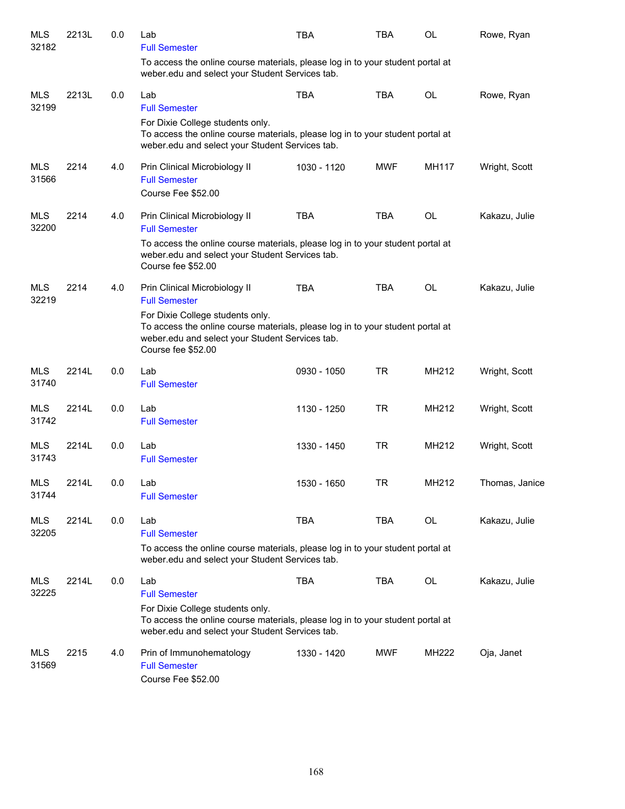| <b>MLS</b><br>32182 | 2213L | 0.0 | Lab<br><b>Full Semester</b><br>To access the online course materials, please log in to your student portal at<br>weber.edu and select your Student Services tab.                                                                                     | <b>TBA</b>  | <b>TBA</b> | OL        | Rowe, Ryan     |
|---------------------|-------|-----|------------------------------------------------------------------------------------------------------------------------------------------------------------------------------------------------------------------------------------------------------|-------------|------------|-----------|----------------|
| <b>MLS</b><br>32199 | 2213L | 0.0 | Lab<br><b>Full Semester</b><br>For Dixie College students only.<br>To access the online course materials, please log in to your student portal at<br>weber.edu and select your Student Services tab.                                                 | <b>TBA</b>  | <b>TBA</b> | OL        | Rowe, Ryan     |
| <b>MLS</b><br>31566 | 2214  | 4.0 | Prin Clinical Microbiology II<br><b>Full Semester</b><br>Course Fee \$52.00                                                                                                                                                                          | 1030 - 1120 | <b>MWF</b> | MH117     | Wright, Scott  |
| <b>MLS</b><br>32200 | 2214  | 4.0 | Prin Clinical Microbiology II<br><b>Full Semester</b><br>To access the online course materials, please log in to your student portal at<br>weber.edu and select your Student Services tab.<br>Course fee \$52.00                                     | <b>TBA</b>  | <b>TBA</b> | <b>OL</b> | Kakazu, Julie  |
| <b>MLS</b><br>32219 | 2214  | 4.0 | Prin Clinical Microbiology II<br><b>Full Semester</b><br>For Dixie College students only.<br>To access the online course materials, please log in to your student portal at<br>weber.edu and select your Student Services tab.<br>Course fee \$52.00 | <b>TBA</b>  | <b>TBA</b> | <b>OL</b> | Kakazu, Julie  |
| <b>MLS</b><br>31740 | 2214L | 0.0 | Lab<br><b>Full Semester</b>                                                                                                                                                                                                                          | 0930 - 1050 | <b>TR</b>  | MH212     | Wright, Scott  |
| MLS<br>31742        | 2214L | 0.0 | Lab<br><b>Full Semester</b>                                                                                                                                                                                                                          | 1130 - 1250 | TR         | MH212     | Wright, Scott  |
| MLS<br>31743        | 2214L | 0.0 | Lab<br><b>Full Semester</b>                                                                                                                                                                                                                          | 1330 - 1450 | TR         | MH212     | Wright, Scott  |
| <b>MLS</b><br>31744 | 2214L | 0.0 | Lab<br><b>Full Semester</b>                                                                                                                                                                                                                          | 1530 - 1650 | TR         | MH212     | Thomas, Janice |
| <b>MLS</b><br>32205 | 2214L | 0.0 | Lab<br><b>Full Semester</b><br>To access the online course materials, please log in to your student portal at<br>weber.edu and select your Student Services tab.                                                                                     | <b>TBA</b>  | TBA        | OL        | Kakazu, Julie  |
| MLS<br>32225        | 2214L | 0.0 | Lab<br><b>Full Semester</b><br>For Dixie College students only.<br>To access the online course materials, please log in to your student portal at<br>weber.edu and select your Student Services tab.                                                 | <b>TBA</b>  | <b>TBA</b> | OL        | Kakazu, Julie  |
| MLS<br>31569        | 2215  | 4.0 | Prin of Immunohematology<br><b>Full Semester</b><br>Course Fee \$52.00                                                                                                                                                                               | 1330 - 1420 | <b>MWF</b> | MH222     | Oja, Janet     |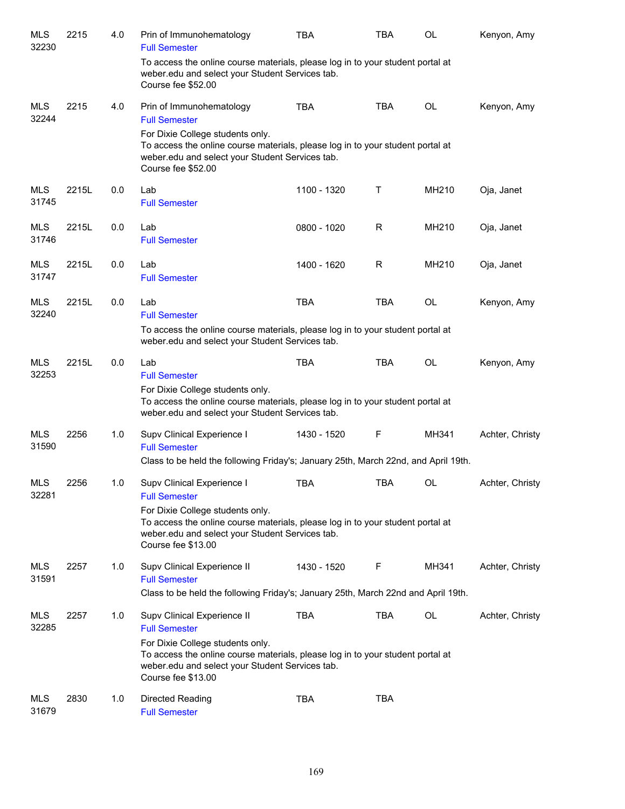| <b>MLS</b><br>32230 | 2215  | 4.0 | Prin of Immunohematology<br><b>Full Semester</b>                                                                                                                                            | <b>TBA</b>  | TBA         | OL        | Kenyon, Amy     |
|---------------------|-------|-----|---------------------------------------------------------------------------------------------------------------------------------------------------------------------------------------------|-------------|-------------|-----------|-----------------|
|                     |       |     | To access the online course materials, please log in to your student portal at<br>weber.edu and select your Student Services tab.<br>Course fee \$52.00                                     |             |             |           |                 |
| MLS<br>32244        | 2215  | 4.0 | Prin of Immunohematology<br><b>Full Semester</b>                                                                                                                                            | <b>TBA</b>  | <b>TBA</b>  | OL        | Kenyon, Amy     |
|                     |       |     | For Dixie College students only.<br>To access the online course materials, please log in to your student portal at<br>weber.edu and select your Student Services tab.<br>Course fee \$52.00 |             |             |           |                 |
| <b>MLS</b><br>31745 | 2215L | 0.0 | Lab<br><b>Full Semester</b>                                                                                                                                                                 | 1100 - 1320 | Τ           | MH210     | Oja, Janet      |
| <b>MLS</b><br>31746 | 2215L | 0.0 | Lab<br><b>Full Semester</b>                                                                                                                                                                 | 0800 - 1020 | $\mathsf R$ | MH210     | Oja, Janet      |
| <b>MLS</b><br>31747 | 2215L | 0.0 | Lab<br><b>Full Semester</b>                                                                                                                                                                 | 1400 - 1620 | R           | MH210     | Oja, Janet      |
| MLS<br>32240        | 2215L | 0.0 | Lab<br><b>Full Semester</b>                                                                                                                                                                 | <b>TBA</b>  | <b>TBA</b>  | OL        | Kenyon, Amy     |
|                     |       |     | To access the online course materials, please log in to your student portal at<br>weber.edu and select your Student Services tab.                                                           |             |             |           |                 |
| MLS<br>32253        | 2215L | 0.0 | Lab<br><b>Full Semester</b>                                                                                                                                                                 | <b>TBA</b>  | <b>TBA</b>  | <b>OL</b> | Kenyon, Amy     |
|                     |       |     | For Dixie College students only.<br>To access the online course materials, please log in to your student portal at<br>weber.edu and select your Student Services tab.                       |             |             |           |                 |
| MLS<br>31590        | 2256  | 1.0 | Supv Clinical Experience I<br><b>Full Semester</b>                                                                                                                                          | 1430 - 1520 | F           | MH341     | Achter, Christy |
|                     |       |     | Class to be held the following Friday's; January 25th, March 22nd, and April 19th.                                                                                                          |             |             |           |                 |
| <b>MLS</b><br>32281 | 2256  | 1.0 | Supv Clinical Experience I<br><b>Full Semester</b>                                                                                                                                          | <b>TBA</b>  | TBA         | OL        | Achter, Christy |
|                     |       |     | For Dixie College students only.<br>To access the online course materials, please log in to your student portal at<br>weber.edu and select your Student Services tab.<br>Course fee \$13.00 |             |             |           |                 |
| MLS<br>31591        | 2257  | 1.0 | Supv Clinical Experience II<br><b>Full Semester</b>                                                                                                                                         | 1430 - 1520 | F           | MH341     | Achter, Christy |
|                     |       |     | Class to be held the following Friday's; January 25th, March 22nd and April 19th.                                                                                                           |             |             |           |                 |
| MLS<br>32285        | 2257  | 1.0 | Supv Clinical Experience II<br><b>Full Semester</b>                                                                                                                                         | <b>TBA</b>  | <b>TBA</b>  | OL        | Achter, Christy |
|                     |       |     | For Dixie College students only.<br>To access the online course materials, please log in to your student portal at<br>weber.edu and select your Student Services tab.<br>Course fee \$13.00 |             |             |           |                 |
| MLS<br>31679        | 2830  | 1.0 | Directed Reading<br><b>Full Semester</b>                                                                                                                                                    | <b>TBA</b>  | <b>TBA</b>  |           |                 |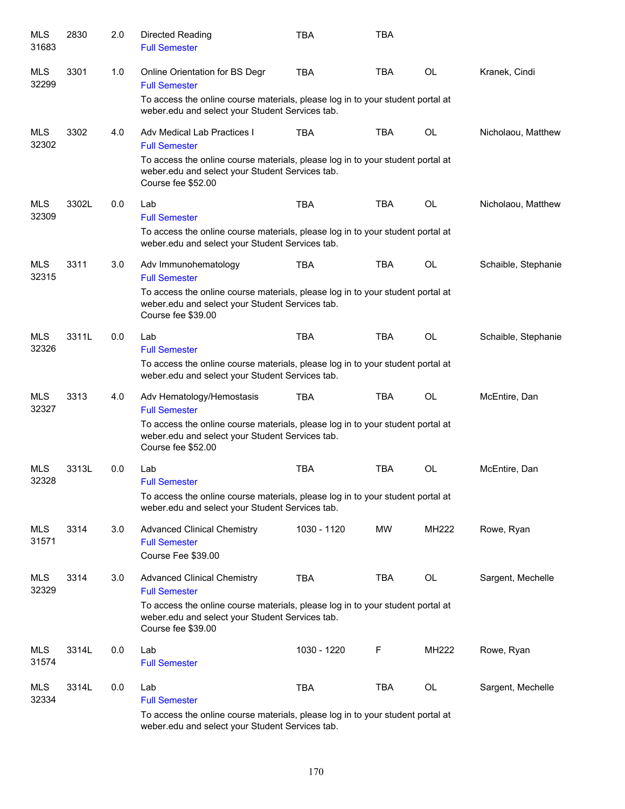| MLS<br>31683        | 2830  | 2.0 | Directed Reading<br><b>Full Semester</b>                                                                                                                | <b>TBA</b>  | <b>TBA</b> |           |                     |
|---------------------|-------|-----|---------------------------------------------------------------------------------------------------------------------------------------------------------|-------------|------------|-----------|---------------------|
| <b>MLS</b><br>32299 | 3301  | 1.0 | Online Orientation for BS Degr<br><b>Full Semester</b>                                                                                                  | <b>TBA</b>  | <b>TBA</b> | OL        | Kranek, Cindi       |
|                     |       |     | To access the online course materials, please log in to your student portal at<br>weber.edu and select your Student Services tab.                       |             |            |           |                     |
| <b>MLS</b><br>32302 | 3302  | 4.0 | Adv Medical Lab Practices I<br><b>Full Semester</b>                                                                                                     | <b>TBA</b>  | <b>TBA</b> | <b>OL</b> | Nicholaou, Matthew  |
|                     |       |     | To access the online course materials, please log in to your student portal at<br>weber.edu and select your Student Services tab.<br>Course fee \$52.00 |             |            |           |                     |
| <b>MLS</b><br>32309 | 3302L | 0.0 | Lab<br><b>Full Semester</b>                                                                                                                             | <b>TBA</b>  | <b>TBA</b> | <b>OL</b> | Nicholaou, Matthew  |
|                     |       |     | To access the online course materials, please log in to your student portal at<br>weber.edu and select your Student Services tab.                       |             |            |           |                     |
| <b>MLS</b><br>32315 | 3311  | 3.0 | Adv Immunohematology<br><b>Full Semester</b>                                                                                                            | <b>TBA</b>  | <b>TBA</b> | <b>OL</b> | Schaible, Stephanie |
|                     |       |     | To access the online course materials, please log in to your student portal at<br>weber.edu and select your Student Services tab.<br>Course fee \$39.00 |             |            |           |                     |
| <b>MLS</b><br>32326 | 3311L | 0.0 | Lab<br><b>Full Semester</b>                                                                                                                             | <b>TBA</b>  | <b>TBA</b> | <b>OL</b> | Schaible, Stephanie |
|                     |       |     | To access the online course materials, please log in to your student portal at<br>weber.edu and select your Student Services tab.                       |             |            |           |                     |
| <b>MLS</b><br>32327 | 3313  | 4.0 | Adv Hematology/Hemostasis<br><b>Full Semester</b>                                                                                                       | <b>TBA</b>  | <b>TBA</b> | OL        | McEntire, Dan       |
|                     |       |     | To access the online course materials, please log in to your student portal at<br>weber.edu and select your Student Services tab.<br>Course fee \$52.00 |             |            |           |                     |
| <b>MLS</b><br>32328 | 3313L | 0.0 | Lab<br><b>Full Semester</b>                                                                                                                             | <b>TBA</b>  | <b>TBA</b> | <b>OL</b> | McEntire, Dan       |
|                     |       |     | To access the online course materials, please log in to your student portal at<br>weber.edu and select your Student Services tab.                       |             |            |           |                     |
| <b>MLS</b><br>31571 | 3314  | 3.0 | <b>Advanced Clinical Chemistry</b><br><b>Full Semester</b><br>Course Fee \$39.00                                                                        | 1030 - 1120 | <b>MW</b>  | MH222     | Rowe, Ryan          |
| <b>MLS</b><br>32329 | 3314  | 3.0 | <b>Advanced Clinical Chemistry</b><br><b>Full Semester</b>                                                                                              | <b>TBA</b>  | <b>TBA</b> | OL        | Sargent, Mechelle   |
|                     |       |     | To access the online course materials, please log in to your student portal at<br>weber.edu and select your Student Services tab.<br>Course fee \$39.00 |             |            |           |                     |
| <b>MLS</b><br>31574 | 3314L | 0.0 | Lab<br><b>Full Semester</b>                                                                                                                             | 1030 - 1220 | F          | MH222     | Rowe, Ryan          |
| <b>MLS</b><br>32334 | 3314L | 0.0 | Lab<br><b>Full Semester</b>                                                                                                                             | <b>TBA</b>  | <b>TBA</b> | OL        | Sargent, Mechelle   |
|                     |       |     | To access the online course materials, please log in to your student portal at                                                                          |             |            |           |                     |

weber.edu and select your Student Services tab.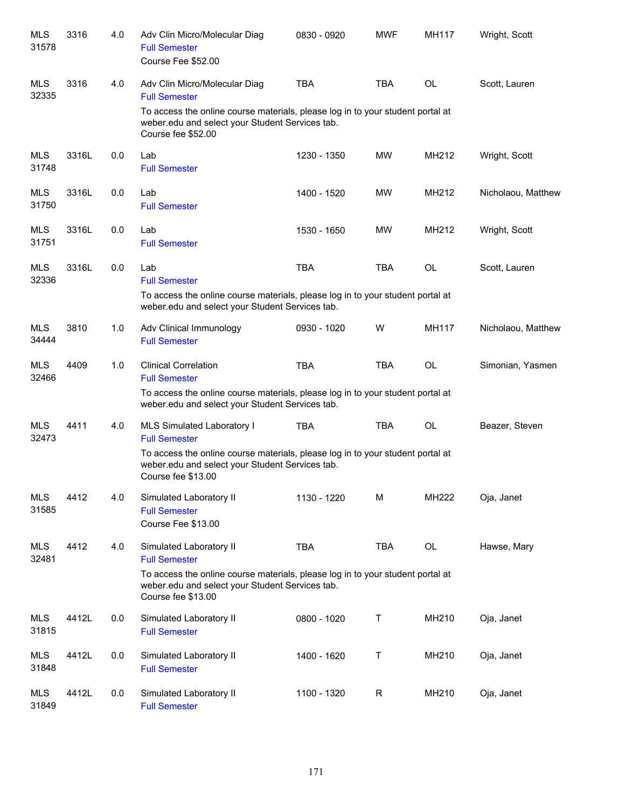| <b>MLS</b><br>31578 | 3316  | 4.0 | Adv Clin Micro/Molecular Diag<br><b>Full Semester</b><br>Course Fee \$52.00                                                                             | 0830 - 0920 | <b>MWF</b> | <b>MH117</b> | Wright, Scott      |
|---------------------|-------|-----|---------------------------------------------------------------------------------------------------------------------------------------------------------|-------------|------------|--------------|--------------------|
| MLS<br>32335        | 3316  | 4.0 | Adv Clin Micro/Molecular Diag<br><b>Full Semester</b>                                                                                                   | <b>TBA</b>  | <b>TBA</b> | <b>OL</b>    | Scott, Lauren      |
|                     |       |     | To access the online course materials, please log in to your student portal at<br>weber.edu and select your Student Services tab.<br>Course fee \$52.00 |             |            |              |                    |
| <b>MLS</b><br>31748 | 3316L | 0.0 | Lab<br><b>Full Semester</b>                                                                                                                             | 1230 - 1350 | <b>MW</b>  | MH212        | Wright, Scott      |
| <b>MLS</b><br>31750 | 3316L | 0.0 | Lab<br><b>Full Semester</b>                                                                                                                             | 1400 - 1520 | <b>MW</b>  | MH212        | Nicholaou, Matthew |
| <b>MLS</b><br>31751 | 3316L | 0.0 | Lab<br><b>Full Semester</b>                                                                                                                             | 1530 - 1650 | <b>MW</b>  | MH212        | Wright, Scott      |
| <b>MLS</b><br>32336 | 3316L | 0.0 | Lab<br><b>Full Semester</b>                                                                                                                             | <b>TBA</b>  | <b>TBA</b> | <b>OL</b>    | Scott, Lauren      |
|                     |       |     | To access the online course materials, please log in to your student portal at<br>weber.edu and select your Student Services tab.                       |             |            |              |                    |
| <b>MLS</b><br>34444 | 3810  | 1.0 | Adv Clinical Immunology<br><b>Full Semester</b>                                                                                                         | 0930 - 1020 | W          | MH117        | Nicholaou, Matthew |
| <b>MLS</b><br>32466 | 4409  | 1.0 | <b>Clinical Correlation</b><br><b>Full Semester</b>                                                                                                     | <b>TBA</b>  | <b>TBA</b> | OL           | Simonian, Yasmen   |
|                     |       |     | To access the online course materials, please log in to your student portal at<br>weber.edu and select your Student Services tab.                       |             |            |              |                    |
| <b>MLS</b><br>32473 | 4411  | 4.0 | MLS Simulated Laboratory I<br><b>Full Semester</b>                                                                                                      | <b>TBA</b>  | <b>TBA</b> | OL           | Beazer, Steven     |
|                     |       |     | To access the online course materials, please log in to your student portal at<br>weber.edu and select your Student Services tab.<br>Course fee \$13.00 |             |            |              |                    |
| <b>MLS</b><br>31585 | 4412  | 4.0 | Simulated Laboratory II<br><b>Full Semester</b><br>Course Fee \$13.00                                                                                   | 1130 - 1220 | M          | MH222        | Oja, Janet         |
| <b>MLS</b><br>32481 | 4412  | 4.0 | Simulated Laboratory II<br><b>Full Semester</b>                                                                                                         | <b>TBA</b>  | <b>TBA</b> | OL           | Hawse, Mary        |
|                     |       |     | To access the online course materials, please log in to your student portal at<br>weber.edu and select your Student Services tab.<br>Course fee \$13.00 |             |            |              |                    |
| <b>MLS</b><br>31815 | 4412L | 0.0 | Simulated Laboratory II<br><b>Full Semester</b>                                                                                                         | 0800 - 1020 | Τ          | MH210        | Oja, Janet         |
| <b>MLS</b><br>31848 | 4412L | 0.0 | Simulated Laboratory II<br><b>Full Semester</b>                                                                                                         | 1400 - 1620 | Т          | MH210        | Oja, Janet         |
| <b>MLS</b><br>31849 | 4412L | 0.0 | Simulated Laboratory II<br><b>Full Semester</b>                                                                                                         | 1100 - 1320 | R          | MH210        | Oja, Janet         |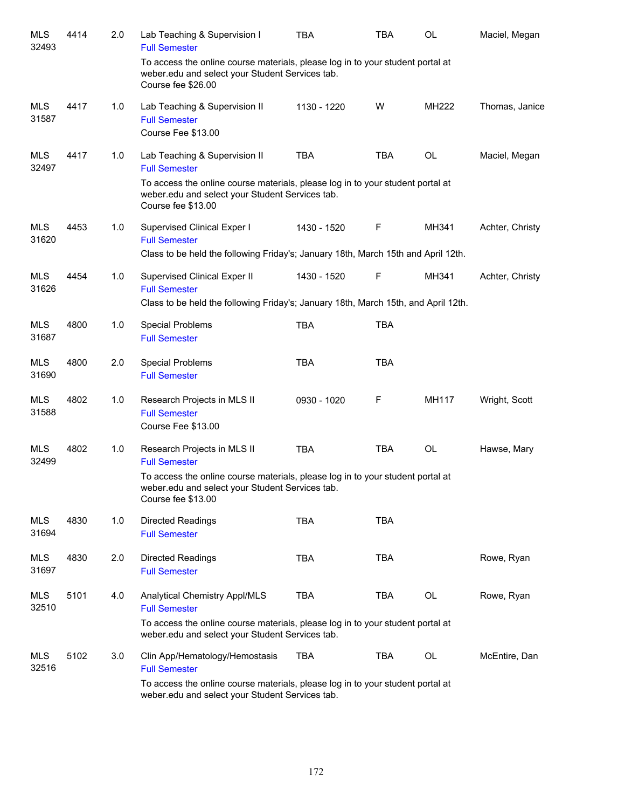| <b>MLS</b><br>32493 | 4414 | 2.0 | Lab Teaching & Supervision I<br><b>Full Semester</b>                                                                                                    | <b>TBA</b>  | TBA        | OL    | Maciel, Megan   |
|---------------------|------|-----|---------------------------------------------------------------------------------------------------------------------------------------------------------|-------------|------------|-------|-----------------|
|                     |      |     | To access the online course materials, please log in to your student portal at<br>weber.edu and select your Student Services tab.<br>Course fee \$26.00 |             |            |       |                 |
| MLS<br>31587        | 4417 | 1.0 | Lab Teaching & Supervision II<br><b>Full Semester</b><br>Course Fee \$13.00                                                                             | 1130 - 1220 | W          | MH222 | Thomas, Janice  |
| MLS<br>32497        | 4417 | 1.0 | Lab Teaching & Supervision II<br><b>Full Semester</b>                                                                                                   | <b>TBA</b>  | <b>TBA</b> | OL    | Maciel, Megan   |
|                     |      |     | To access the online course materials, please log in to your student portal at<br>weber.edu and select your Student Services tab.<br>Course fee \$13.00 |             |            |       |                 |
| MLS<br>31620        | 4453 | 1.0 | Supervised Clinical Exper I<br><b>Full Semester</b>                                                                                                     | 1430 - 1520 | F          | MH341 | Achter, Christy |
|                     |      |     | Class to be held the following Friday's; January 18th, March 15th and April 12th.                                                                       |             |            |       |                 |
| MLS<br>31626        | 4454 | 1.0 | Supervised Clinical Exper II<br><b>Full Semester</b>                                                                                                    | 1430 - 1520 | F          | MH341 | Achter, Christy |
|                     |      |     | Class to be held the following Friday's; January 18th, March 15th, and April 12th.                                                                      |             |            |       |                 |
| MLS<br>31687        | 4800 | 1.0 | <b>Special Problems</b><br><b>Full Semester</b>                                                                                                         | <b>TBA</b>  | <b>TBA</b> |       |                 |
| MLS<br>31690        | 4800 | 2.0 | <b>Special Problems</b><br><b>Full Semester</b>                                                                                                         | <b>TBA</b>  | <b>TBA</b> |       |                 |
| <b>MLS</b><br>31588 | 4802 | 1.0 | Research Projects in MLS II<br><b>Full Semester</b><br>Course Fee \$13.00                                                                               | 0930 - 1020 | F          | MH117 | Wright, Scott   |
| <b>MLS</b><br>32499 | 4802 | 1.0 | Research Projects in MLS II<br><b>Full Semester</b>                                                                                                     | <b>TBA</b>  | <b>TBA</b> | OL    | Hawse, Mary     |
|                     |      |     | To access the online course materials, please log in to your student portal at<br>weber.edu and select your Student Services tab.<br>Course fee \$13.00 |             |            |       |                 |
| <b>MLS</b><br>31694 | 4830 | 1.0 | <b>Directed Readings</b><br><b>Full Semester</b>                                                                                                        | <b>TBA</b>  | <b>TBA</b> |       |                 |
| <b>MLS</b><br>31697 | 4830 | 2.0 | <b>Directed Readings</b><br><b>Full Semester</b>                                                                                                        | <b>TBA</b>  | <b>TBA</b> |       | Rowe, Ryan      |
| <b>MLS</b><br>32510 | 5101 | 4.0 | Analytical Chemistry Appl/MLS<br><b>Full Semester</b>                                                                                                   | TBA         | <b>TBA</b> | OL    | Rowe, Ryan      |
|                     |      |     | To access the online course materials, please log in to your student portal at<br>weber.edu and select your Student Services tab.                       |             |            |       |                 |
| MLS<br>32516        | 5102 | 3.0 | Clin App/Hematology/Hemostasis<br><b>Full Semester</b>                                                                                                  | <b>TBA</b>  | <b>TBA</b> | OL    | McEntire, Dan   |
|                     |      |     | To access the online course materials, please log in to your student portal at<br>weber.edu and select your Student Services tab.                       |             |            |       |                 |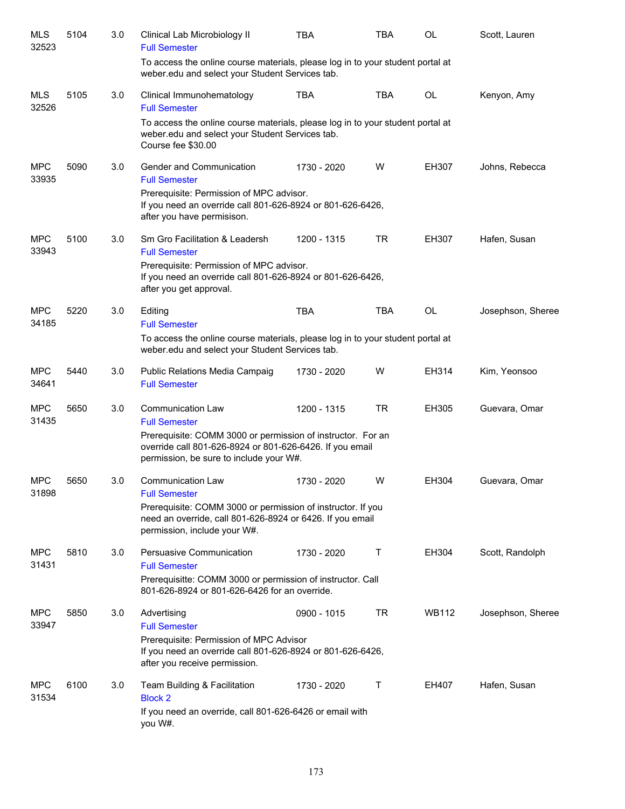| <b>MLS</b><br>32523 | 5104 | 3.0 | Clinical Lab Microbiology II<br><b>Full Semester</b>                                                                                                                          | <b>TBA</b>  | <b>TBA</b> | <b>OL</b>    | Scott, Lauren     |
|---------------------|------|-----|-------------------------------------------------------------------------------------------------------------------------------------------------------------------------------|-------------|------------|--------------|-------------------|
|                     |      |     | To access the online course materials, please log in to your student portal at<br>weber.edu and select your Student Services tab.                                             |             |            |              |                   |
| <b>MLS</b><br>32526 | 5105 | 3.0 | Clinical Immunohematology<br><b>Full Semester</b>                                                                                                                             | <b>TBA</b>  | <b>TBA</b> | <b>OL</b>    | Kenyon, Amy       |
|                     |      |     | To access the online course materials, please log in to your student portal at<br>weber.edu and select your Student Services tab.<br>Course fee \$30.00                       |             |            |              |                   |
| <b>MPC</b><br>33935 | 5090 | 3.0 | Gender and Communication<br><b>Full Semester</b>                                                                                                                              | 1730 - 2020 | W          | EH307        | Johns, Rebecca    |
|                     |      |     | Prerequisite: Permission of MPC advisor.<br>If you need an override call 801-626-8924 or 801-626-6426,<br>after you have permisison.                                          |             |            |              |                   |
| <b>MPC</b><br>33943 | 5100 | 3.0 | Sm Gro Facilitation & Leadersh<br><b>Full Semester</b>                                                                                                                        | 1200 - 1315 | <b>TR</b>  | EH307        | Hafen, Susan      |
|                     |      |     | Prerequisite: Permission of MPC advisor.<br>If you need an override call 801-626-8924 or 801-626-6426,<br>after you get approval.                                             |             |            |              |                   |
| <b>MPC</b><br>34185 | 5220 | 3.0 | Editing<br><b>Full Semester</b>                                                                                                                                               | <b>TBA</b>  | <b>TBA</b> | <b>OL</b>    | Josephson, Sheree |
|                     |      |     | To access the online course materials, please log in to your student portal at<br>weber.edu and select your Student Services tab.                                             |             |            |              |                   |
| <b>MPC</b><br>34641 | 5440 | 3.0 | Public Relations Media Campaig<br><b>Full Semester</b>                                                                                                                        | 1730 - 2020 | W          | EH314        | Kim, Yeonsoo      |
| <b>MPC</b><br>31435 | 5650 | 3.0 | <b>Communication Law</b><br><b>Full Semester</b>                                                                                                                              | 1200 - 1315 | <b>TR</b>  | EH305        | Guevara, Omar     |
|                     |      |     | Prerequisite: COMM 3000 or permission of instructor. For an<br>override call 801-626-8924 or 801-626-6426. If you email<br>permission, be sure to include your W#.            |             |            |              |                   |
| <b>MPC</b><br>31898 | 5650 | 3.0 | <b>Communication Law</b><br><b>Full Semester</b>                                                                                                                              | 1730 - 2020 | W          | EH304        | Guevara, Omar     |
|                     |      |     | Prerequisite: COMM 3000 or permission of instructor. If you<br>need an override, call 801-626-8924 or 6426. If you email<br>permission, include your W#.                      |             |            |              |                   |
| <b>MPC</b><br>31431 | 5810 | 3.0 | Persuasive Communication<br><b>Full Semester</b>                                                                                                                              | 1730 - 2020 | Т          | EH304        | Scott, Randolph   |
|                     |      |     | Prerequisitte: COMM 3000 or permission of instructor. Call<br>801-626-8924 or 801-626-6426 for an override.                                                                   |             |            |              |                   |
| <b>MPC</b><br>33947 | 5850 | 3.0 | Advertising<br><b>Full Semester</b><br>Prerequisite: Permission of MPC Advisor<br>If you need an override call 801-626-8924 or 801-626-6426,<br>after you receive permission. | 0900 - 1015 | <b>TR</b>  | <b>WB112</b> | Josephson, Sheree |
| <b>MPC</b><br>31534 | 6100 | 3.0 | Team Building & Facilitation<br><b>Block 2</b><br>If you need an override, call 801-626-6426 or email with<br>you W#.                                                         | 1730 - 2020 | Τ          | EH407        | Hafen, Susan      |
|                     |      |     |                                                                                                                                                                               |             |            |              |                   |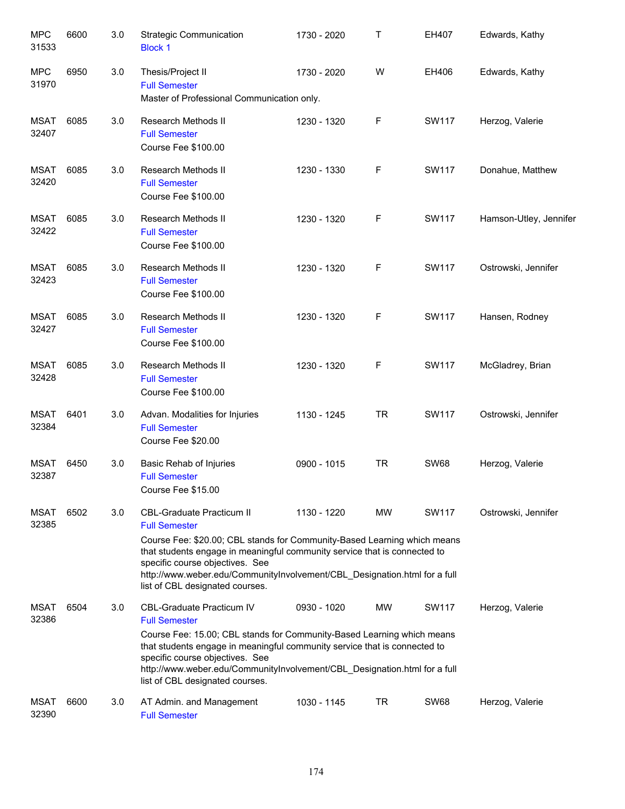| <b>MPC</b><br>31533  | 6600 | 3.0 | <b>Strategic Communication</b><br><b>Block 1</b>                                                                                                                                                                                                                                                                                                                     | 1730 - 2020 | Т         | EH407        | Edwards, Kathy         |
|----------------------|------|-----|----------------------------------------------------------------------------------------------------------------------------------------------------------------------------------------------------------------------------------------------------------------------------------------------------------------------------------------------------------------------|-------------|-----------|--------------|------------------------|
| <b>MPC</b><br>31970  | 6950 | 3.0 | Thesis/Project II<br><b>Full Semester</b><br>Master of Professional Communication only.                                                                                                                                                                                                                                                                              | 1730 - 2020 | W         | EH406        | Edwards, Kathy         |
| <b>MSAT</b><br>32407 | 6085 | 3.0 | Research Methods II<br><b>Full Semester</b><br>Course Fee \$100.00                                                                                                                                                                                                                                                                                                   | 1230 - 1320 | F         | <b>SW117</b> | Herzog, Valerie        |
| MSAT<br>32420        | 6085 | 3.0 | Research Methods II<br><b>Full Semester</b><br>Course Fee \$100.00                                                                                                                                                                                                                                                                                                   | 1230 - 1330 | F         | SW117        | Donahue, Matthew       |
| MSAT<br>32422        | 6085 | 3.0 | Research Methods II<br><b>Full Semester</b><br>Course Fee \$100.00                                                                                                                                                                                                                                                                                                   | 1230 - 1320 | F         | SW117        | Hamson-Utley, Jennifer |
| <b>MSAT</b><br>32423 | 6085 | 3.0 | <b>Research Methods II</b><br><b>Full Semester</b><br>Course Fee \$100.00                                                                                                                                                                                                                                                                                            | 1230 - 1320 | F         | SW117        | Ostrowski, Jennifer    |
| MSAT<br>32427        | 6085 | 3.0 | Research Methods II<br><b>Full Semester</b><br>Course Fee \$100.00                                                                                                                                                                                                                                                                                                   | 1230 - 1320 | F         | <b>SW117</b> | Hansen, Rodney         |
| <b>MSAT</b><br>32428 | 6085 | 3.0 | Research Methods II<br><b>Full Semester</b><br>Course Fee \$100.00                                                                                                                                                                                                                                                                                                   | 1230 - 1320 | F         | <b>SW117</b> | McGladrey, Brian       |
| MSAT<br>32384        | 6401 | 3.0 | Advan. Modalities for Injuries<br><b>Full Semester</b><br>Course Fee \$20.00                                                                                                                                                                                                                                                                                         | 1130 - 1245 | <b>TR</b> | SW117        | Ostrowski, Jennifer    |
| <b>MSAT</b><br>32387 | 6450 | 3.0 | Basic Rehab of Injuries<br><b>Full Semester</b><br>Course Fee \$15.00                                                                                                                                                                                                                                                                                                | 0900 - 1015 | <b>TR</b> | <b>SW68</b>  | Herzog, Valerie        |
| MSAT<br>32385        | 6502 | 3.0 | <b>CBL-Graduate Practicum II</b><br><b>Full Semester</b><br>Course Fee: \$20.00; CBL stands for Community-Based Learning which means<br>that students engage in meaningful community service that is connected to<br>specific course objectives. See<br>http://www.weber.edu/CommunityInvolvement/CBL_Designation.html for a full<br>list of CBL designated courses. | 1130 - 1220 | <b>MW</b> | SW117        | Ostrowski, Jennifer    |
| <b>MSAT</b><br>32386 | 6504 | 3.0 | <b>CBL-Graduate Practicum IV</b><br><b>Full Semester</b><br>Course Fee: 15.00; CBL stands for Community-Based Learning which means<br>that students engage in meaningful community service that is connected to<br>specific course objectives. See<br>http://www.weber.edu/CommunityInvolvement/CBL_Designation.html for a full<br>list of CBL designated courses.   | 0930 - 1020 | MW        | SW117        | Herzog, Valerie        |
| <b>MSAT</b><br>32390 | 6600 | 3.0 | AT Admin. and Management<br><b>Full Semester</b>                                                                                                                                                                                                                                                                                                                     | 1030 - 1145 | TR        | <b>SW68</b>  | Herzog, Valerie        |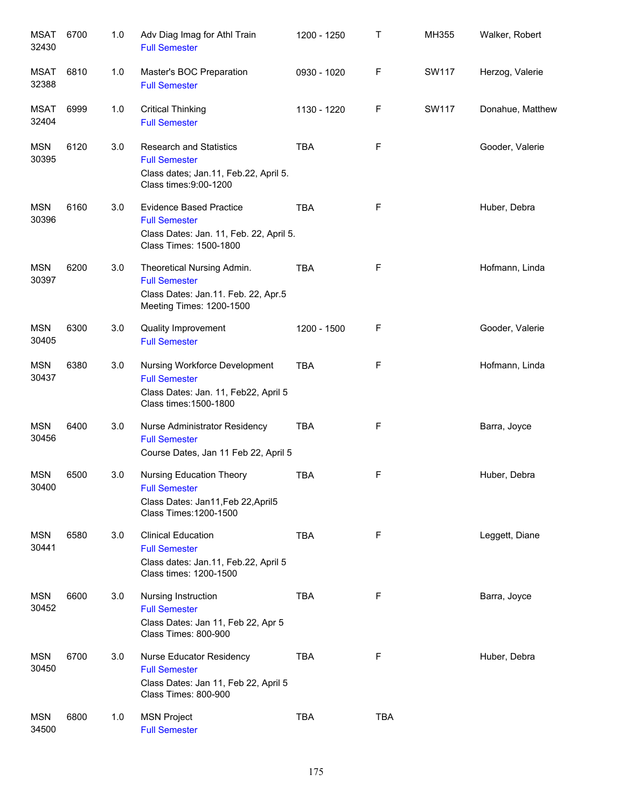| <b>MSAT</b><br>32430 | 6700 | 1.0 | Adv Diag Imag for Athl Train<br><b>Full Semester</b>                                                                        | 1200 - 1250 | Т           | MH355 | Walker, Robert   |
|----------------------|------|-----|-----------------------------------------------------------------------------------------------------------------------------|-------------|-------------|-------|------------------|
| <b>MSAT</b><br>32388 | 6810 | 1.0 | Master's BOC Preparation<br><b>Full Semester</b>                                                                            | 0930 - 1020 | F           | SW117 | Herzog, Valerie  |
| <b>MSAT</b><br>32404 | 6999 | 1.0 | <b>Critical Thinking</b><br><b>Full Semester</b>                                                                            | 1130 - 1220 | F           | SW117 | Donahue, Matthew |
| <b>MSN</b><br>30395  | 6120 | 3.0 | <b>Research and Statistics</b><br><b>Full Semester</b><br>Class dates; Jan.11, Feb.22, April 5.<br>Class times: 9:00-1200   | <b>TBA</b>  | F           |       | Gooder, Valerie  |
| <b>MSN</b><br>30396  | 6160 | 3.0 | <b>Evidence Based Practice</b><br><b>Full Semester</b><br>Class Dates: Jan. 11, Feb. 22, April 5.<br>Class Times: 1500-1800 | <b>TBA</b>  | F           |       | Huber, Debra     |
| <b>MSN</b><br>30397  | 6200 | 3.0 | Theoretical Nursing Admin.<br><b>Full Semester</b><br>Class Dates: Jan.11. Feb. 22, Apr.5<br>Meeting Times: 1200-1500       | <b>TBA</b>  | $\mathsf F$ |       | Hofmann, Linda   |
| <b>MSN</b><br>30405  | 6300 | 3.0 | Quality Improvement<br><b>Full Semester</b>                                                                                 | 1200 - 1500 | F           |       | Gooder, Valerie  |
| <b>MSN</b><br>30437  | 6380 | 3.0 | Nursing Workforce Development<br><b>Full Semester</b><br>Class Dates: Jan. 11, Feb22, April 5<br>Class times: 1500-1800     | <b>TBA</b>  | F           |       | Hofmann, Linda   |
| <b>MSN</b><br>30456  | 6400 | 3.0 | Nurse Administrator Residency<br><b>Full Semester</b><br>Course Dates, Jan 11 Feb 22, April 5                               | <b>TBA</b>  | F           |       | Barra, Joyce     |
| <b>MSN</b><br>30400  | 6500 | 3.0 | Nursing Education Theory<br><b>Full Semester</b><br>Class Dates: Jan11, Feb 22, April5<br>Class Times: 1200-1500            | <b>TBA</b>  | F           |       | Huber, Debra     |
| <b>MSN</b><br>30441  | 6580 | 3.0 | <b>Clinical Education</b><br><b>Full Semester</b><br>Class dates: Jan.11, Feb.22, April 5<br>Class times: 1200-1500         | <b>TBA</b>  | F           |       | Leggett, Diane   |
| <b>MSN</b><br>30452  | 6600 | 3.0 | Nursing Instruction<br><b>Full Semester</b><br>Class Dates: Jan 11, Feb 22, Apr 5<br><b>Class Times: 800-900</b>            | <b>TBA</b>  | F           |       | Barra, Joyce     |
| <b>MSN</b><br>30450  | 6700 | 3.0 | Nurse Educator Residency<br><b>Full Semester</b><br>Class Dates: Jan 11, Feb 22, April 5<br>Class Times: 800-900            | <b>TBA</b>  | F           |       | Huber, Debra     |
| <b>MSN</b><br>34500  | 6800 | 1.0 | <b>MSN Project</b><br><b>Full Semester</b>                                                                                  | <b>TBA</b>  | <b>TBA</b>  |       |                  |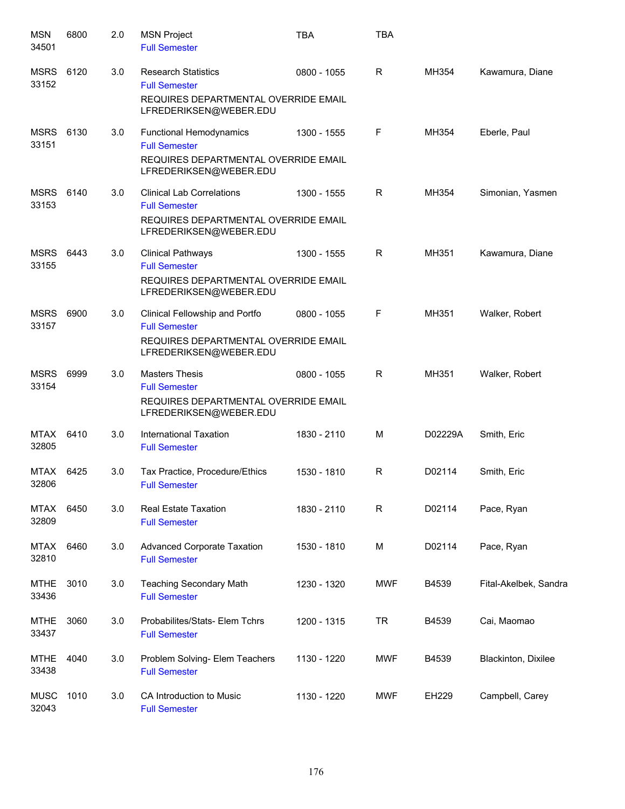| <b>MSN</b><br>34501  | 6800 | 2.0 | <b>MSN Project</b><br><b>Full Semester</b>                                                                                 | <b>TBA</b>    | <b>TBA</b>   |         |                       |
|----------------------|------|-----|----------------------------------------------------------------------------------------------------------------------------|---------------|--------------|---------|-----------------------|
| MSRS<br>33152        | 6120 | 3.0 | <b>Research Statistics</b><br><b>Full Semester</b><br>REQUIRES DEPARTMENTAL OVERRIDE EMAIL<br>LFREDERIKSEN@WEBER.EDU       | 0800 - 1055   | R            | MH354   | Kawamura, Diane       |
| <b>MSRS</b><br>33151 | 6130 | 3.0 | <b>Functional Hemodynamics</b><br><b>Full Semester</b><br>REQUIRES DEPARTMENTAL OVERRIDE EMAIL<br>LFREDERIKSEN@WEBER.EDU   | 1300 - 1555   | F            | MH354   | Eberle, Paul          |
| <b>MSRS</b><br>33153 | 6140 | 3.0 | <b>Clinical Lab Correlations</b><br><b>Full Semester</b><br>REQUIRES DEPARTMENTAL OVERRIDE EMAIL<br>LFREDERIKSEN@WEBER.EDU | 1300 - 1555   | R.           | MH354   | Simonian, Yasmen      |
| <b>MSRS</b><br>33155 | 6443 | 3.0 | <b>Clinical Pathways</b><br><b>Full Semester</b><br>REQUIRES DEPARTMENTAL OVERRIDE EMAIL<br>LFREDERIKSEN@WEBER.EDU         | 1300 - 1555   | R            | MH351   | Kawamura, Diane       |
| <b>MSRS</b><br>33157 | 6900 | 3.0 | Clinical Fellowship and Portfo<br><b>Full Semester</b><br>REQUIRES DEPARTMENTAL OVERRIDE EMAIL<br>LFREDERIKSEN@WEBER.EDU   | $0800 - 1055$ | F            | MH351   | Walker, Robert        |
| <b>MSRS</b><br>33154 | 6999 | 3.0 | <b>Masters Thesis</b><br><b>Full Semester</b><br>REQUIRES DEPARTMENTAL OVERRIDE EMAIL<br>LFREDERIKSEN@WEBER.EDU            | 0800 - 1055   | R            | MH351   | Walker, Robert        |
| <b>MTAX</b><br>32805 | 6410 | 3.0 | <b>International Taxation</b><br><b>Full Semester</b>                                                                      | 1830 - 2110   | M            | D02229A | Smith, Eric           |
| MTAX<br>32806        | 6425 | 3.0 | Tax Practice, Procedure/Ethics<br><b>Full Semester</b>                                                                     | 1530 - 1810   | R.           | D02114  | Smith, Eric           |
| MTAX<br>32809        | 6450 | 3.0 | Real Estate Taxation<br><b>Full Semester</b>                                                                               | 1830 - 2110   | $\mathsf{R}$ | D02114  | Pace, Ryan            |
| MTAX<br>32810        | 6460 | 3.0 | <b>Advanced Corporate Taxation</b><br><b>Full Semester</b>                                                                 | 1530 - 1810   | M            | D02114  | Pace, Ryan            |
| <b>MTHE</b><br>33436 | 3010 | 3.0 | <b>Teaching Secondary Math</b><br><b>Full Semester</b>                                                                     | 1230 - 1320   | <b>MWF</b>   | B4539   | Fital-Akelbek, Sandra |
| <b>MTHE</b><br>33437 | 3060 | 3.0 | Probabilites/Stats- Elem Tchrs<br><b>Full Semester</b>                                                                     | 1200 - 1315   | <b>TR</b>    | B4539   | Cai, Maomao           |
| <b>MTHE</b><br>33438 | 4040 | 3.0 | Problem Solving- Elem Teachers<br><b>Full Semester</b>                                                                     | 1130 - 1220   | MWF          | B4539   | Blackinton, Dixilee   |
| <b>MUSC</b><br>32043 | 1010 | 3.0 | CA Introduction to Music<br><b>Full Semester</b>                                                                           | 1130 - 1220   | <b>MWF</b>   | EH229   | Campbell, Carey       |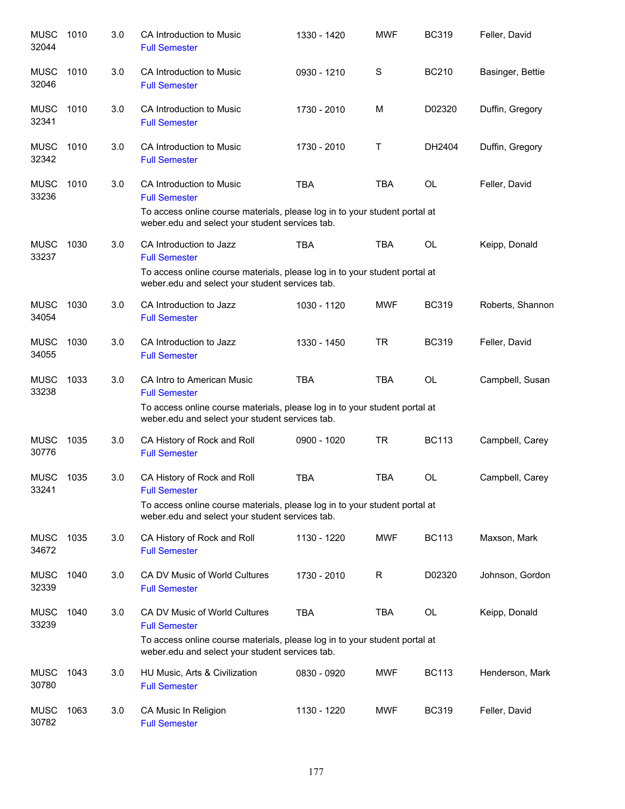| <b>MUSC</b><br>32044 | 1010 | 3.0 | CA Introduction to Music<br><b>Full Semester</b>                                                                                                                                       | 1330 - 1420 | <b>MWF</b> | <b>BC319</b> | Feller, David    |
|----------------------|------|-----|----------------------------------------------------------------------------------------------------------------------------------------------------------------------------------------|-------------|------------|--------------|------------------|
| <b>MUSC</b><br>32046 | 1010 | 3.0 | CA Introduction to Music<br><b>Full Semester</b>                                                                                                                                       | 0930 - 1210 | S          | <b>BC210</b> | Basinger, Bettie |
| <b>MUSC</b><br>32341 | 1010 | 3.0 | CA Introduction to Music<br><b>Full Semester</b>                                                                                                                                       | 1730 - 2010 | M          | D02320       | Duffin, Gregory  |
| <b>MUSC</b><br>32342 | 1010 | 3.0 | CA Introduction to Music<br><b>Full Semester</b>                                                                                                                                       | 1730 - 2010 | Т          | DH2404       | Duffin, Gregory  |
| <b>MUSC</b><br>33236 | 1010 | 3.0 | CA Introduction to Music<br><b>Full Semester</b><br>To access online course materials, please log in to your student portal at<br>weber.edu and select your student services tab.      | <b>TBA</b>  | <b>TBA</b> | <b>OL</b>    | Feller, David    |
| <b>MUSC</b><br>33237 | 1030 | 3.0 | CA Introduction to Jazz<br><b>Full Semester</b><br>To access online course materials, please log in to your student portal at                                                          | <b>TBA</b>  | <b>TBA</b> | OL           | Keipp, Donald    |
| <b>MUSC</b><br>34054 | 1030 | 3.0 | weber.edu and select your student services tab.<br>CA Introduction to Jazz<br><b>Full Semester</b>                                                                                     | 1030 - 1120 | <b>MWF</b> | <b>BC319</b> | Roberts, Shannon |
| <b>MUSC</b><br>34055 | 1030 | 3.0 | CA Introduction to Jazz<br><b>Full Semester</b>                                                                                                                                        | 1330 - 1450 | <b>TR</b>  | <b>BC319</b> | Feller, David    |
| <b>MUSC</b><br>33238 | 1033 | 3.0 | CA Intro to American Music<br><b>Full Semester</b><br>To access online course materials, please log in to your student portal at<br>weber.edu and select your student services tab.    | <b>TBA</b>  | <b>TBA</b> | <b>OL</b>    | Campbell, Susan  |
| <b>MUSC</b><br>30776 | 1035 | 3.0 | CA History of Rock and Roll<br><b>Full Semester</b>                                                                                                                                    | 0900 - 1020 | <b>TR</b>  | <b>BC113</b> | Campbell, Carey  |
| <b>MUSC</b><br>33241 | 1035 | 3.0 | CA History of Rock and Roll<br><b>Full Semester</b><br>To access online course materials, please log in to your student portal at<br>weber.edu and select your student services tab.   | <b>TBA</b>  | TBA        | <b>OL</b>    | Campbell, Carey  |
| <b>MUSC</b><br>34672 | 1035 | 3.0 | CA History of Rock and Roll<br><b>Full Semester</b>                                                                                                                                    | 1130 - 1220 | <b>MWF</b> | <b>BC113</b> | Maxson, Mark     |
| <b>MUSC</b><br>32339 | 1040 | 3.0 | CA DV Music of World Cultures<br><b>Full Semester</b>                                                                                                                                  | 1730 - 2010 | R          | D02320       | Johnson, Gordon  |
| <b>MUSC</b><br>33239 | 1040 | 3.0 | CA DV Music of World Cultures<br><b>Full Semester</b><br>To access online course materials, please log in to your student portal at<br>weber.edu and select your student services tab. | <b>TBA</b>  | <b>TBA</b> | OL           | Keipp, Donald    |
| <b>MUSC</b><br>30780 | 1043 | 3.0 | HU Music, Arts & Civilization<br><b>Full Semester</b>                                                                                                                                  | 0830 - 0920 | <b>MWF</b> | <b>BC113</b> | Henderson, Mark  |
| <b>MUSC</b><br>30782 | 1063 | 3.0 | CA Music In Religion<br><b>Full Semester</b>                                                                                                                                           | 1130 - 1220 | MWF        | <b>BC319</b> | Feller, David    |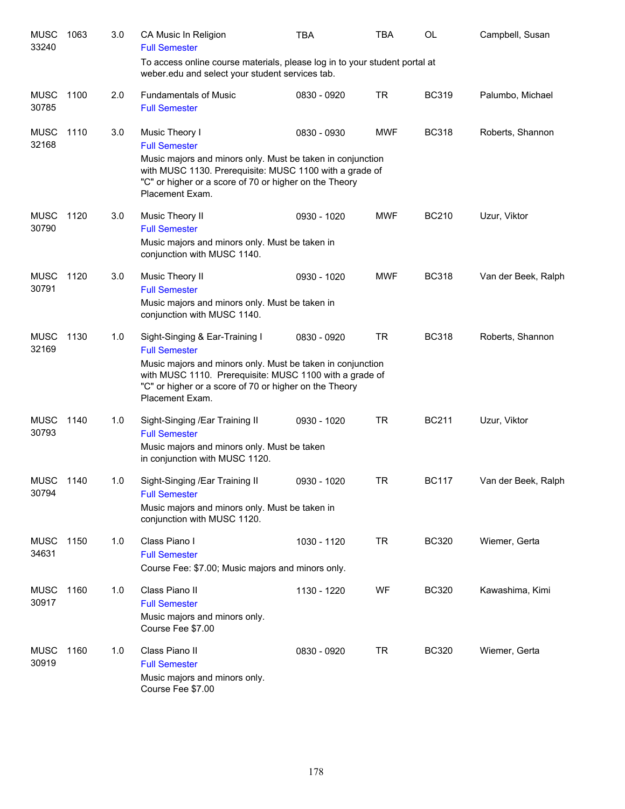| <b>MUSC</b><br>33240 | 1063 | 3.0 | CA Music In Religion<br><b>Full Semester</b>                                                                                                                                                                                                                 | <b>TBA</b>  | TBA        | OL           | Campbell, Susan     |
|----------------------|------|-----|--------------------------------------------------------------------------------------------------------------------------------------------------------------------------------------------------------------------------------------------------------------|-------------|------------|--------------|---------------------|
|                      |      |     | To access online course materials, please log in to your student portal at<br>weber.edu and select your student services tab.                                                                                                                                |             |            |              |                     |
| <b>MUSC</b><br>30785 | 1100 | 2.0 | <b>Fundamentals of Music</b><br><b>Full Semester</b>                                                                                                                                                                                                         | 0830 - 0920 | <b>TR</b>  | <b>BC319</b> | Palumbo, Michael    |
| <b>MUSC</b><br>32168 | 1110 | 3.0 | Music Theory I<br><b>Full Semester</b><br>Music majors and minors only. Must be taken in conjunction<br>with MUSC 1130. Prerequisite: MUSC 1100 with a grade of<br>"C" or higher or a score of 70 or higher on the Theory<br>Placement Exam.                 | 0830 - 0930 | <b>MWF</b> | <b>BC318</b> | Roberts, Shannon    |
| <b>MUSC</b><br>30790 | 1120 | 3.0 | Music Theory II<br><b>Full Semester</b><br>Music majors and minors only. Must be taken in<br>conjunction with MUSC 1140.                                                                                                                                     | 0930 - 1020 | <b>MWF</b> | <b>BC210</b> | Uzur, Viktor        |
| <b>MUSC</b><br>30791 | 1120 | 3.0 | Music Theory II<br><b>Full Semester</b><br>Music majors and minors only. Must be taken in<br>conjunction with MUSC 1140.                                                                                                                                     | 0930 - 1020 | <b>MWF</b> | <b>BC318</b> | Van der Beek, Ralph |
| <b>MUSC</b><br>32169 | 1130 | 1.0 | Sight-Singing & Ear-Training I<br><b>Full Semester</b><br>Music majors and minors only. Must be taken in conjunction<br>with MUSC 1110. Prerequisite: MUSC 1100 with a grade of<br>"C" or higher or a score of 70 or higher on the Theory<br>Placement Exam. | 0830 - 0920 | <b>TR</b>  | <b>BC318</b> | Roberts, Shannon    |
| <b>MUSC</b><br>30793 | 1140 | 1.0 | Sight-Singing / Ear Training II<br><b>Full Semester</b><br>Music majors and minors only. Must be taken<br>in conjunction with MUSC 1120.                                                                                                                     | 0930 - 1020 | <b>TR</b>  | <b>BC211</b> | Uzur, Viktor        |
| <b>MUSC</b><br>30794 | 1140 | 1.0 | Sight-Singing / Ear Training II<br><b>Full Semester</b><br>Music majors and minors only. Must be taken in<br>conjunction with MUSC 1120.                                                                                                                     | 0930 - 1020 | <b>TR</b>  | <b>BC117</b> | Van der Beek, Ralph |
| <b>MUSC</b><br>34631 | 1150 | 1.0 | Class Piano I<br><b>Full Semester</b><br>Course Fee: \$7.00; Music majors and minors only.                                                                                                                                                                   | 1030 - 1120 | <b>TR</b>  | <b>BC320</b> | Wiemer, Gerta       |
| <b>MUSC</b><br>30917 | 1160 | 1.0 | Class Piano II<br><b>Full Semester</b><br>Music majors and minors only.<br>Course Fee \$7.00                                                                                                                                                                 | 1130 - 1220 | WF         | <b>BC320</b> | Kawashima, Kimi     |
| <b>MUSC</b><br>30919 | 1160 | 1.0 | Class Piano II<br><b>Full Semester</b><br>Music majors and minors only.<br>Course Fee \$7.00                                                                                                                                                                 | 0830 - 0920 | <b>TR</b>  | <b>BC320</b> | Wiemer, Gerta       |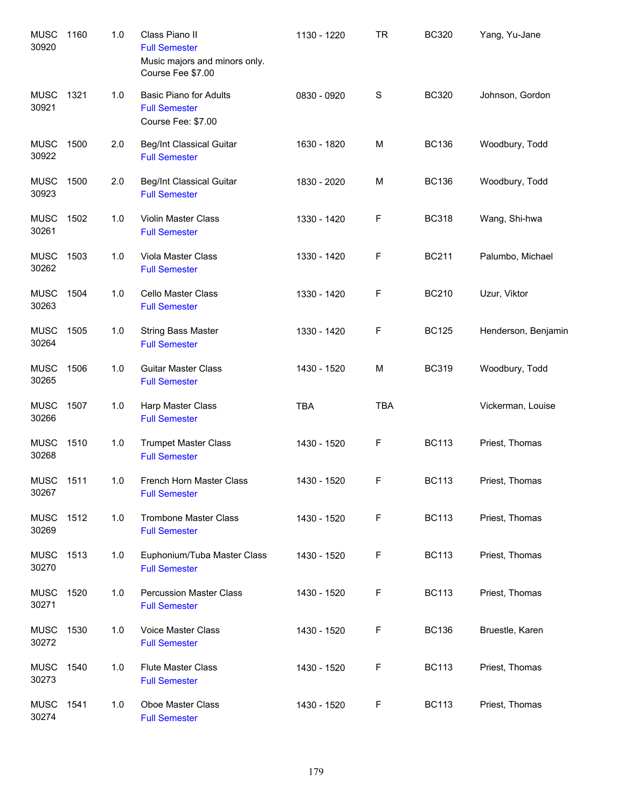| <b>MUSC</b><br>30920 | 1160 | 1.0 | Class Piano II<br><b>Full Semester</b><br>Music majors and minors only.<br>Course Fee \$7.00 | 1130 - 1220 | <b>TR</b>   | <b>BC320</b> | Yang, Yu-Jane       |
|----------------------|------|-----|----------------------------------------------------------------------------------------------|-------------|-------------|--------------|---------------------|
| <b>MUSC</b><br>30921 | 1321 | 1.0 | <b>Basic Piano for Adults</b><br><b>Full Semester</b><br>Course Fee: \$7.00                  | 0830 - 0920 | $\mathbf S$ | <b>BC320</b> | Johnson, Gordon     |
| <b>MUSC</b><br>30922 | 1500 | 2.0 | Beg/Int Classical Guitar<br><b>Full Semester</b>                                             | 1630 - 1820 | M           | <b>BC136</b> | Woodbury, Todd      |
| <b>MUSC</b><br>30923 | 1500 | 2.0 | Beg/Int Classical Guitar<br><b>Full Semester</b>                                             | 1830 - 2020 | M           | <b>BC136</b> | Woodbury, Todd      |
| <b>MUSC</b><br>30261 | 1502 | 1.0 | Violin Master Class<br><b>Full Semester</b>                                                  | 1330 - 1420 | F           | <b>BC318</b> | Wang, Shi-hwa       |
| <b>MUSC</b><br>30262 | 1503 | 1.0 | Viola Master Class<br><b>Full Semester</b>                                                   | 1330 - 1420 | F           | <b>BC211</b> | Palumbo, Michael    |
| <b>MUSC</b><br>30263 | 1504 | 1.0 | Cello Master Class<br><b>Full Semester</b>                                                   | 1330 - 1420 | F           | <b>BC210</b> | Uzur, Viktor        |
| <b>MUSC</b><br>30264 | 1505 | 1.0 | String Bass Master<br><b>Full Semester</b>                                                   | 1330 - 1420 | F           | <b>BC125</b> | Henderson, Benjamin |
| <b>MUSC</b><br>30265 | 1506 | 1.0 | <b>Guitar Master Class</b><br><b>Full Semester</b>                                           | 1430 - 1520 | M           | <b>BC319</b> | Woodbury, Todd      |
| <b>MUSC</b><br>30266 | 1507 | 1.0 | Harp Master Class<br><b>Full Semester</b>                                                    | <b>TBA</b>  | <b>TBA</b>  |              | Vickerman, Louise   |
| <b>MUSC</b><br>30268 | 1510 | 1.0 | <b>Trumpet Master Class</b><br><b>Full Semester</b>                                          | 1430 - 1520 | F           | <b>BC113</b> | Priest, Thomas      |
| <b>MUSC</b><br>30267 | 1511 | 1.0 | French Horn Master Class<br><b>Full Semester</b>                                             | 1430 - 1520 | F           | <b>BC113</b> | Priest, Thomas      |
| <b>MUSC</b><br>30269 | 1512 | 1.0 | <b>Trombone Master Class</b><br><b>Full Semester</b>                                         | 1430 - 1520 | F           | <b>BC113</b> | Priest, Thomas      |
| <b>MUSC</b><br>30270 | 1513 | 1.0 | Euphonium/Tuba Master Class<br><b>Full Semester</b>                                          | 1430 - 1520 | F           | <b>BC113</b> | Priest, Thomas      |
| <b>MUSC</b><br>30271 | 1520 | 1.0 | <b>Percussion Master Class</b><br><b>Full Semester</b>                                       | 1430 - 1520 | F           | <b>BC113</b> | Priest, Thomas      |
| <b>MUSC</b><br>30272 | 1530 | 1.0 | Voice Master Class<br><b>Full Semester</b>                                                   | 1430 - 1520 | F           | <b>BC136</b> | Bruestle, Karen     |
| <b>MUSC</b><br>30273 | 1540 | 1.0 | <b>Flute Master Class</b><br><b>Full Semester</b>                                            | 1430 - 1520 | F           | <b>BC113</b> | Priest, Thomas      |
| <b>MUSC</b><br>30274 | 1541 | 1.0 | Oboe Master Class<br><b>Full Semester</b>                                                    | 1430 - 1520 | F           | <b>BC113</b> | Priest, Thomas      |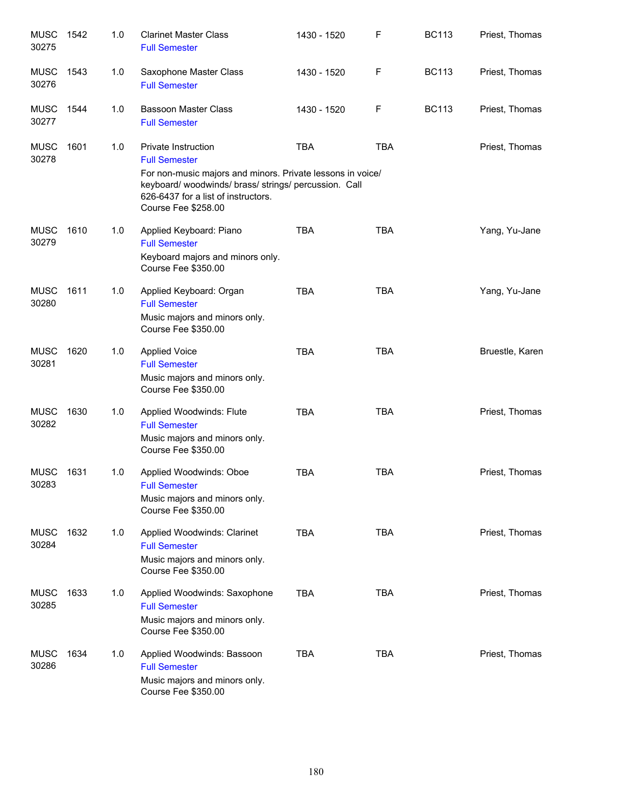| <b>MUSC</b><br>30275 | 1542 | 1.0 | <b>Clarinet Master Class</b><br><b>Full Semester</b>                                                                                                                                                                         | 1430 - 1520 | F          | <b>BC113</b> | Priest, Thomas  |
|----------------------|------|-----|------------------------------------------------------------------------------------------------------------------------------------------------------------------------------------------------------------------------------|-------------|------------|--------------|-----------------|
| <b>MUSC</b><br>30276 | 1543 | 1.0 | Saxophone Master Class<br><b>Full Semester</b>                                                                                                                                                                               | 1430 - 1520 | F          | <b>BC113</b> | Priest, Thomas  |
| <b>MUSC</b><br>30277 | 1544 | 1.0 | <b>Bassoon Master Class</b><br><b>Full Semester</b>                                                                                                                                                                          | 1430 - 1520 | F          | <b>BC113</b> | Priest, Thomas  |
| <b>MUSC</b><br>30278 | 1601 | 1.0 | Private Instruction<br><b>Full Semester</b><br>For non-music majors and minors. Private lessons in voice/<br>keyboard/woodwinds/brass/strings/percussion. Call<br>626-6437 for a list of instructors.<br>Course Fee \$258.00 | <b>TBA</b>  | <b>TBA</b> |              | Priest, Thomas  |
| MUSC<br>30279        | 1610 | 1.0 | Applied Keyboard: Piano<br><b>Full Semester</b><br>Keyboard majors and minors only.<br>Course Fee \$350.00                                                                                                                   | <b>TBA</b>  | <b>TBA</b> |              | Yang, Yu-Jane   |
| <b>MUSC</b><br>30280 | 1611 | 1.0 | Applied Keyboard: Organ<br><b>Full Semester</b><br>Music majors and minors only.<br>Course Fee \$350.00                                                                                                                      | <b>TBA</b>  | <b>TBA</b> |              | Yang, Yu-Jane   |
| <b>MUSC</b><br>30281 | 1620 | 1.0 | <b>Applied Voice</b><br><b>Full Semester</b><br>Music majors and minors only.<br>Course Fee \$350.00                                                                                                                         | <b>TBA</b>  | <b>TBA</b> |              | Bruestle, Karen |
| <b>MUSC</b><br>30282 | 1630 | 1.0 | Applied Woodwinds: Flute<br><b>Full Semester</b><br>Music majors and minors only.<br>Course Fee \$350.00                                                                                                                     | <b>TBA</b>  | <b>TBA</b> |              | Priest, Thomas  |
| <b>MUSC</b><br>30283 | 1631 | 1.0 | Applied Woodwinds: Oboe<br><b>Full Semester</b><br>Music majors and minors only.<br>Course Fee \$350.00                                                                                                                      | <b>TBA</b>  | <b>TBA</b> |              | Priest, Thomas  |
| <b>MUSC</b><br>30284 | 1632 | 1.0 | Applied Woodwinds: Clarinet<br><b>Full Semester</b><br>Music majors and minors only.<br>Course Fee \$350.00                                                                                                                  | <b>TBA</b>  | <b>TBA</b> |              | Priest, Thomas  |
| <b>MUSC</b><br>30285 | 1633 | 1.0 | Applied Woodwinds: Saxophone<br><b>Full Semester</b><br>Music majors and minors only.<br>Course Fee \$350.00                                                                                                                 | <b>TBA</b>  | <b>TBA</b> |              | Priest, Thomas  |
| <b>MUSC</b><br>30286 | 1634 | 1.0 | Applied Woodwinds: Bassoon<br><b>Full Semester</b><br>Music majors and minors only.<br>Course Fee \$350.00                                                                                                                   | <b>TBA</b>  | <b>TBA</b> |              | Priest, Thomas  |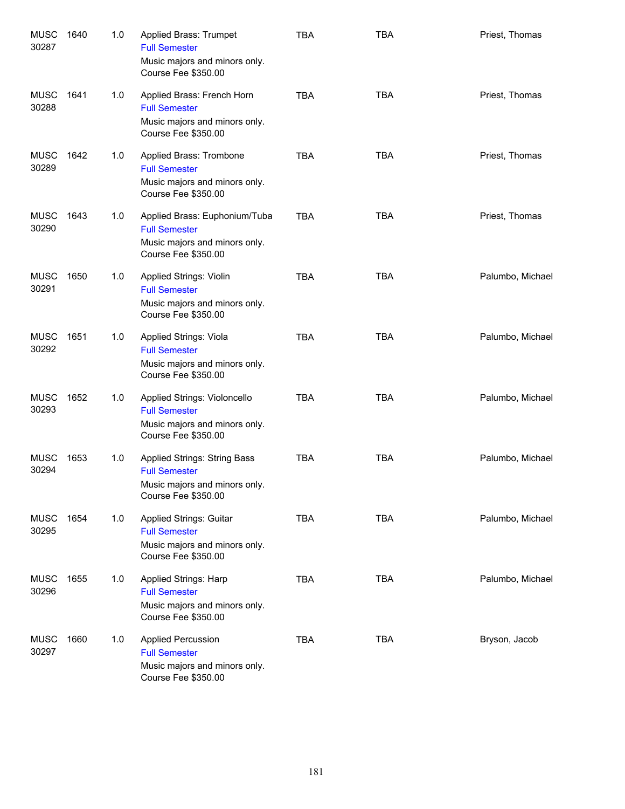| <b>MUSC</b><br>30287 | 1640 | 1.0 | Applied Brass: Trumpet<br><b>Full Semester</b><br>Music majors and minors only.<br>Course Fee \$350.00        | <b>TBA</b> | <b>TBA</b> | Priest, Thomas   |
|----------------------|------|-----|---------------------------------------------------------------------------------------------------------------|------------|------------|------------------|
| <b>MUSC</b><br>30288 | 1641 | 1.0 | Applied Brass: French Horn<br><b>Full Semester</b><br>Music majors and minors only.<br>Course Fee \$350.00    | <b>TBA</b> | <b>TBA</b> | Priest, Thomas   |
| <b>MUSC</b><br>30289 | 1642 | 1.0 | Applied Brass: Trombone<br><b>Full Semester</b><br>Music majors and minors only.<br>Course Fee \$350.00       | <b>TBA</b> | <b>TBA</b> | Priest, Thomas   |
| <b>MUSC</b><br>30290 | 1643 | 1.0 | Applied Brass: Euphonium/Tuba<br><b>Full Semester</b><br>Music majors and minors only.<br>Course Fee \$350.00 | <b>TBA</b> | <b>TBA</b> | Priest, Thomas   |
| <b>MUSC</b><br>30291 | 1650 | 1.0 | Applied Strings: Violin<br><b>Full Semester</b><br>Music majors and minors only.<br>Course Fee \$350.00       | <b>TBA</b> | <b>TBA</b> | Palumbo, Michael |
| <b>MUSC</b><br>30292 | 1651 | 1.0 | Applied Strings: Viola<br><b>Full Semester</b><br>Music majors and minors only.<br>Course Fee \$350.00        | <b>TBA</b> | <b>TBA</b> | Palumbo, Michael |
| <b>MUSC</b><br>30293 | 1652 | 1.0 | Applied Strings: Violoncello<br><b>Full Semester</b><br>Music majors and minors only.<br>Course Fee \$350.00  | <b>TBA</b> | <b>TBA</b> | Palumbo, Michael |
| <b>MUSC</b><br>30294 | 1653 | 1.0 | Applied Strings: String Bass<br><b>Full Semester</b><br>Music majors and minors only.<br>Course Fee \$350.00  | <b>TBA</b> | <b>TBA</b> | Palumbo, Michael |
| <b>MUSC</b><br>30295 | 1654 | 1.0 | Applied Strings: Guitar<br><b>Full Semester</b><br>Music majors and minors only.<br>Course Fee \$350.00       | <b>TBA</b> | <b>TBA</b> | Palumbo, Michael |
| <b>MUSC</b><br>30296 | 1655 | 1.0 | Applied Strings: Harp<br><b>Full Semester</b><br>Music majors and minors only.<br>Course Fee \$350.00         | <b>TBA</b> | <b>TBA</b> | Palumbo, Michael |
| <b>MUSC</b><br>30297 | 1660 | 1.0 | <b>Applied Percussion</b><br><b>Full Semester</b><br>Music majors and minors only.<br>Course Fee \$350.00     | <b>TBA</b> | <b>TBA</b> | Bryson, Jacob    |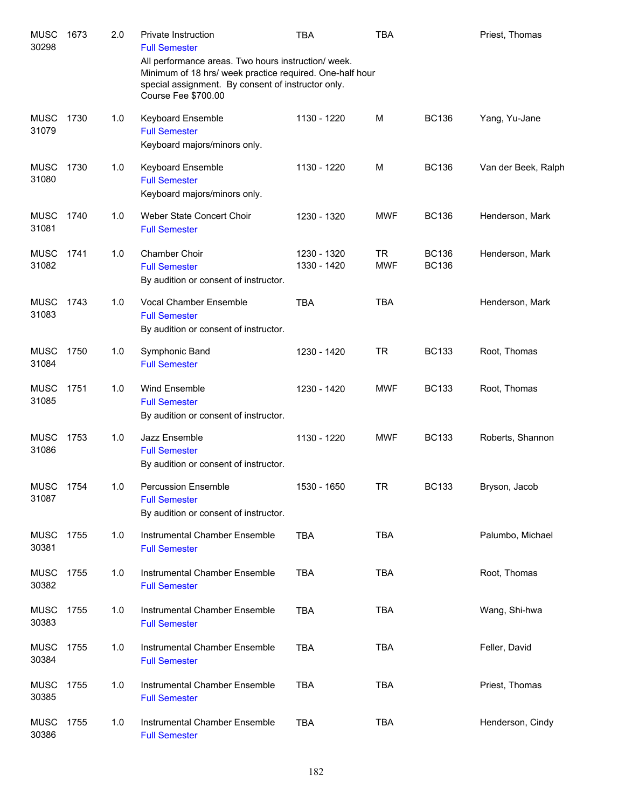| <b>MUSC</b><br>30298 | 1673 | 2.0 | Private Instruction<br><b>Full Semester</b>                                                                                                                                                 | <b>TBA</b>                 | <b>TBA</b>              |                              | Priest, Thomas      |
|----------------------|------|-----|---------------------------------------------------------------------------------------------------------------------------------------------------------------------------------------------|----------------------------|-------------------------|------------------------------|---------------------|
|                      |      |     | All performance areas. Two hours instruction/week.<br>Minimum of 18 hrs/ week practice required. One-half hour<br>special assignment. By consent of instructor only.<br>Course Fee \$700.00 |                            |                         |                              |                     |
| <b>MUSC</b><br>31079 | 1730 | 1.0 | Keyboard Ensemble<br><b>Full Semester</b><br>Keyboard majors/minors only.                                                                                                                   | 1130 - 1220                | M                       | <b>BC136</b>                 | Yang, Yu-Jane       |
| <b>MUSC</b><br>31080 | 1730 | 1.0 | Keyboard Ensemble<br><b>Full Semester</b><br>Keyboard majors/minors only.                                                                                                                   | 1130 - 1220                | M                       | <b>BC136</b>                 | Van der Beek, Ralph |
| <b>MUSC</b><br>31081 | 1740 | 1.0 | Weber State Concert Choir<br><b>Full Semester</b>                                                                                                                                           | 1230 - 1320                | <b>MWF</b>              | <b>BC136</b>                 | Henderson, Mark     |
| <b>MUSC</b><br>31082 | 1741 | 1.0 | <b>Chamber Choir</b><br><b>Full Semester</b><br>By audition or consent of instructor.                                                                                                       | 1230 - 1320<br>1330 - 1420 | <b>TR</b><br><b>MWF</b> | <b>BC136</b><br><b>BC136</b> | Henderson, Mark     |
| <b>MUSC</b><br>31083 | 1743 | 1.0 | Vocal Chamber Ensemble<br><b>Full Semester</b><br>By audition or consent of instructor.                                                                                                     | <b>TBA</b>                 | <b>TBA</b>              |                              | Henderson, Mark     |
| <b>MUSC</b><br>31084 | 1750 | 1.0 | Symphonic Band<br><b>Full Semester</b>                                                                                                                                                      | 1230 - 1420                | <b>TR</b>               | <b>BC133</b>                 | Root, Thomas        |
| <b>MUSC</b><br>31085 | 1751 | 1.0 | Wind Ensemble<br><b>Full Semester</b><br>By audition or consent of instructor.                                                                                                              | 1230 - 1420                | <b>MWF</b>              | <b>BC133</b>                 | Root, Thomas        |
| <b>MUSC</b><br>31086 | 1753 | 1.0 | Jazz Ensemble<br><b>Full Semester</b><br>By audition or consent of instructor.                                                                                                              | 1130 - 1220                | <b>MWF</b>              | <b>BC133</b>                 | Roberts, Shannon    |
| MUSC<br>31087        | 1754 | 1.0 | <b>Percussion Ensemble</b><br><b>Full Semester</b><br>By audition or consent of instructor.                                                                                                 | 1530 - 1650                | <b>TR</b>               | <b>BC133</b>                 | Bryson, Jacob       |
| <b>MUSC</b><br>30381 | 1755 | 1.0 | Instrumental Chamber Ensemble<br><b>Full Semester</b>                                                                                                                                       | <b>TBA</b>                 | <b>TBA</b>              |                              | Palumbo, Michael    |
| <b>MUSC</b><br>30382 | 1755 | 1.0 | Instrumental Chamber Ensemble<br><b>Full Semester</b>                                                                                                                                       | <b>TBA</b>                 | <b>TBA</b>              |                              | Root, Thomas        |
| <b>MUSC</b><br>30383 | 1755 | 1.0 | Instrumental Chamber Ensemble<br><b>Full Semester</b>                                                                                                                                       | <b>TBA</b>                 | <b>TBA</b>              |                              | Wang, Shi-hwa       |
| <b>MUSC</b><br>30384 | 1755 | 1.0 | Instrumental Chamber Ensemble<br><b>Full Semester</b>                                                                                                                                       | <b>TBA</b>                 | <b>TBA</b>              |                              | Feller, David       |
| <b>MUSC</b><br>30385 | 1755 | 1.0 | Instrumental Chamber Ensemble<br><b>Full Semester</b>                                                                                                                                       | <b>TBA</b>                 | <b>TBA</b>              |                              | Priest, Thomas      |
| <b>MUSC</b><br>30386 | 1755 | 1.0 | Instrumental Chamber Ensemble<br><b>Full Semester</b>                                                                                                                                       | <b>TBA</b>                 | <b>TBA</b>              |                              | Henderson, Cindy    |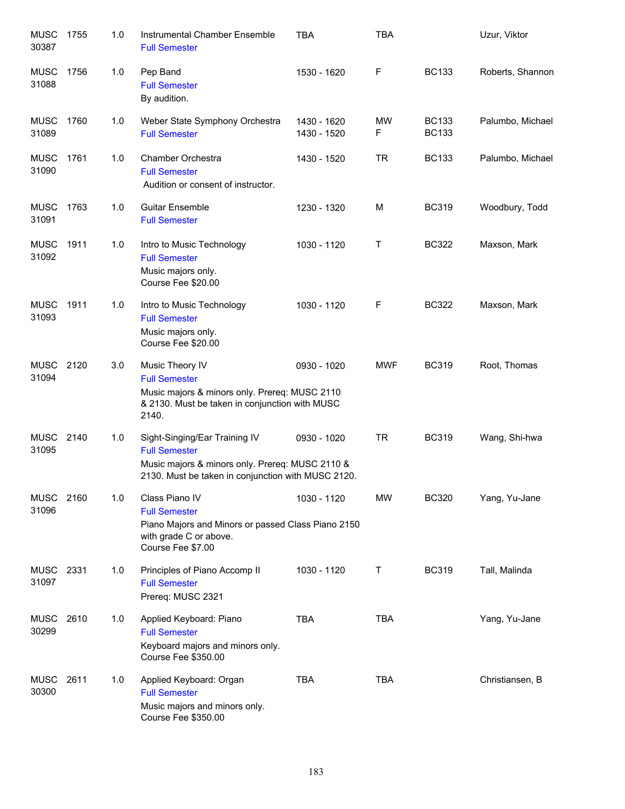| <b>MUSC</b><br>30387 | 1755 | 1.0 | Instrumental Chamber Ensemble<br><b>Full Semester</b>                                                                                                          | <b>TBA</b>                 | <b>TBA</b>     |                              | Uzur, Viktor     |
|----------------------|------|-----|----------------------------------------------------------------------------------------------------------------------------------------------------------------|----------------------------|----------------|------------------------------|------------------|
| <b>MUSC</b><br>31088 | 1756 | 1.0 | Pep Band<br><b>Full Semester</b><br>By audition.                                                                                                               | 1530 - 1620                | F              | <b>BC133</b>                 | Roberts, Shannon |
| <b>MUSC</b><br>31089 | 1760 | 1.0 | Weber State Symphony Orchestra<br><b>Full Semester</b>                                                                                                         | 1430 - 1620<br>1430 - 1520 | <b>MW</b><br>F | <b>BC133</b><br><b>BC133</b> | Palumbo, Michael |
| <b>MUSC</b><br>31090 | 1761 | 1.0 | Chamber Orchestra<br><b>Full Semester</b><br>Audition or consent of instructor.                                                                                | 1430 - 1520                | <b>TR</b>      | <b>BC133</b>                 | Palumbo, Michael |
| <b>MUSC</b><br>31091 | 1763 | 1.0 | <b>Guitar Ensemble</b><br><b>Full Semester</b>                                                                                                                 | 1230 - 1320                | M              | <b>BC319</b>                 | Woodbury, Todd   |
| <b>MUSC</b><br>31092 | 1911 | 1.0 | Intro to Music Technology<br><b>Full Semester</b><br>Music majors only.<br>Course Fee \$20.00                                                                  | 1030 - 1120                | Τ              | <b>BC322</b>                 | Maxson, Mark     |
| <b>MUSC</b><br>31093 | 1911 | 1.0 | Intro to Music Technology<br><b>Full Semester</b><br>Music majors only.<br>Course Fee \$20.00                                                                  | 1030 - 1120                | F              | <b>BC322</b>                 | Maxson, Mark     |
| <b>MUSC</b><br>31094 | 2120 | 3.0 | Music Theory IV<br><b>Full Semester</b><br>Music majors & minors only. Prereq: MUSC 2110<br>& 2130. Must be taken in conjunction with MUSC<br>2140.            | 0930 - 1020                | <b>MWF</b>     | <b>BC319</b>                 | Root, Thomas     |
| <b>MUSC</b><br>31095 | 2140 | 1.0 | Sight-Singing/Ear Training IV<br><b>Full Semester</b><br>Music majors & minors only. Prereq: MUSC 2110 &<br>2130. Must be taken in conjunction with MUSC 2120. | 0930 - 1020                | <b>TR</b>      | <b>BC319</b>                 | Wang, Shi-hwa    |
| <b>MUSC</b><br>31096 | 2160 | 1.0 | Class Piano IV<br><b>Full Semester</b><br>Piano Majors and Minors or passed Class Piano 2150<br>with grade C or above.<br>Course Fee \$7.00                    | 1030 - 1120                | <b>MW</b>      | <b>BC320</b>                 | Yang, Yu-Jane    |
| MUSC 2331<br>31097   |      | 1.0 | Principles of Piano Accomp II<br><b>Full Semester</b><br>Prereq: MUSC 2321                                                                                     | 1030 - 1120                | Τ              | <b>BC319</b>                 | Tall, Malinda    |
| <b>MUSC</b><br>30299 | 2610 | 1.0 | Applied Keyboard: Piano<br><b>Full Semester</b><br>Keyboard majors and minors only.<br>Course Fee \$350.00                                                     | <b>TBA</b>                 | <b>TBA</b>     |                              | Yang, Yu-Jane    |
| <b>MUSC</b><br>30300 | 2611 | 1.0 | Applied Keyboard: Organ<br><b>Full Semester</b><br>Music majors and minors only.<br>Course Fee \$350.00                                                        | TBA                        | <b>TBA</b>     |                              | Christiansen, B  |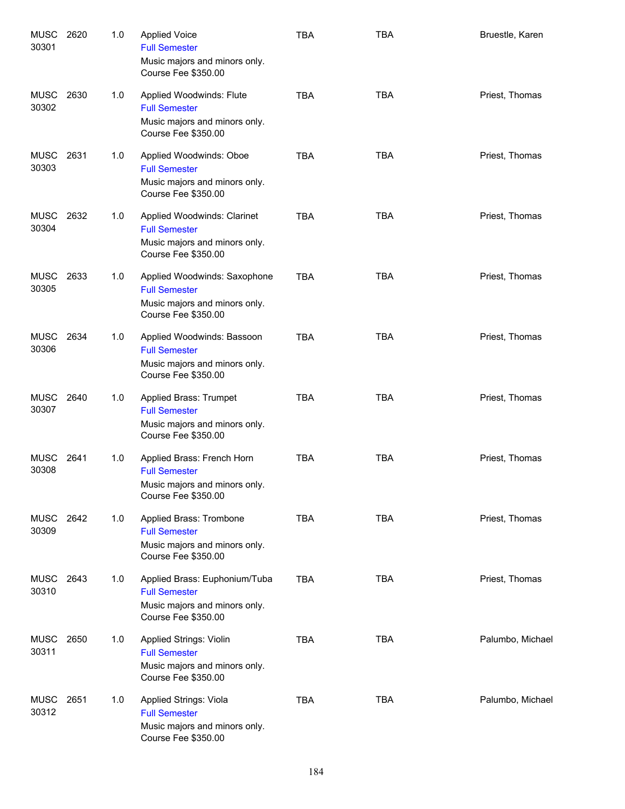| <b>MUSC</b><br>30301 | 2620 | 1.0 | <b>Applied Voice</b><br><b>Full Semester</b><br>Music majors and minors only.<br>Course Fee \$350.00          | <b>TBA</b> | <b>TBA</b> | Bruestle, Karen  |
|----------------------|------|-----|---------------------------------------------------------------------------------------------------------------|------------|------------|------------------|
| MUSC<br>30302        | 2630 | 1.0 | Applied Woodwinds: Flute<br><b>Full Semester</b><br>Music majors and minors only.<br>Course Fee \$350.00      | <b>TBA</b> | <b>TBA</b> | Priest, Thomas   |
| <b>MUSC</b><br>30303 | 2631 | 1.0 | Applied Woodwinds: Oboe<br><b>Full Semester</b><br>Music majors and minors only.<br>Course Fee \$350.00       | <b>TBA</b> | <b>TBA</b> | Priest, Thomas   |
| <b>MUSC</b><br>30304 | 2632 | 1.0 | Applied Woodwinds: Clarinet<br><b>Full Semester</b><br>Music majors and minors only.<br>Course Fee \$350.00   | <b>TBA</b> | <b>TBA</b> | Priest, Thomas   |
| <b>MUSC</b><br>30305 | 2633 | 1.0 | Applied Woodwinds: Saxophone<br><b>Full Semester</b><br>Music majors and minors only.<br>Course Fee \$350.00  | <b>TBA</b> | <b>TBA</b> | Priest, Thomas   |
| <b>MUSC</b><br>30306 | 2634 | 1.0 | Applied Woodwinds: Bassoon<br><b>Full Semester</b><br>Music majors and minors only.<br>Course Fee \$350.00    | <b>TBA</b> | <b>TBA</b> | Priest, Thomas   |
| <b>MUSC</b><br>30307 | 2640 | 1.0 | Applied Brass: Trumpet<br><b>Full Semester</b><br>Music majors and minors only.<br>Course Fee \$350.00        | <b>TBA</b> | <b>TBA</b> | Priest, Thomas   |
| MUSC<br>30308        | 2641 | 1.0 | Applied Brass: French Horn<br><b>Full Semester</b><br>Music majors and minors only.<br>Course Fee \$350.00    | <b>TBA</b> | <b>TBA</b> | Priest, Thomas   |
| MUSC 2642<br>30309   |      | 1.0 | Applied Brass: Trombone<br><b>Full Semester</b><br>Music majors and minors only.<br>Course Fee \$350.00       | <b>TBA</b> | <b>TBA</b> | Priest, Thomas   |
| <b>MUSC</b><br>30310 | 2643 | 1.0 | Applied Brass: Euphonium/Tuba<br><b>Full Semester</b><br>Music majors and minors only.<br>Course Fee \$350.00 | <b>TBA</b> | <b>TBA</b> | Priest, Thomas   |
| <b>MUSC</b><br>30311 | 2650 | 1.0 | Applied Strings: Violin<br><b>Full Semester</b><br>Music majors and minors only.<br>Course Fee \$350.00       | <b>TBA</b> | <b>TBA</b> | Palumbo, Michael |
| MUSC<br>30312        | 2651 | 1.0 | Applied Strings: Viola<br><b>Full Semester</b><br>Music majors and minors only.<br>Course Fee \$350.00        | <b>TBA</b> | <b>TBA</b> | Palumbo, Michael |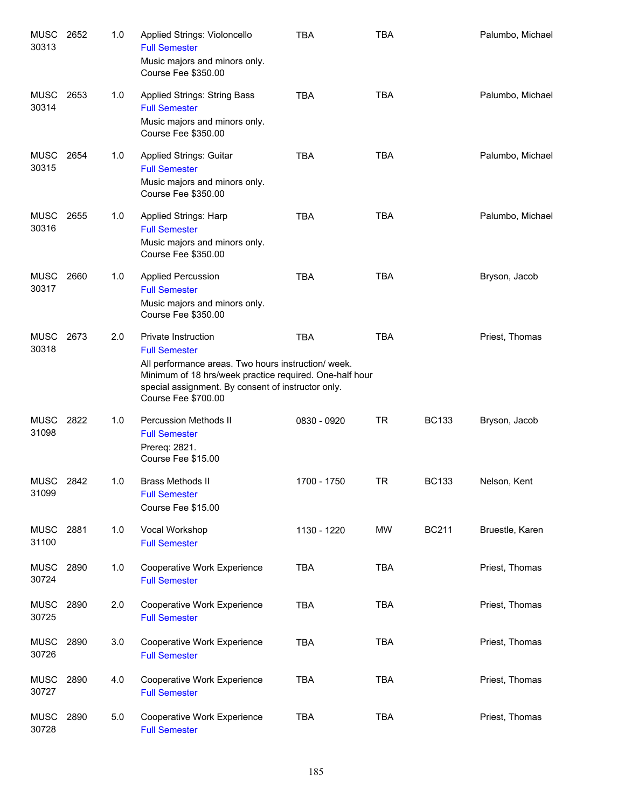| <b>MUSC</b><br>30313 | 2652 | 1.0 | Applied Strings: Violoncello<br><b>Full Semester</b><br>Music majors and minors only.<br>Course Fee \$350.00                                                                                                                                      | <b>TBA</b>  | <b>TBA</b> |              | Palumbo, Michael |
|----------------------|------|-----|---------------------------------------------------------------------------------------------------------------------------------------------------------------------------------------------------------------------------------------------------|-------------|------------|--------------|------------------|
| <b>MUSC</b><br>30314 | 2653 | 1.0 | <b>Applied Strings: String Bass</b><br><b>Full Semester</b><br>Music majors and minors only.<br>Course Fee \$350.00                                                                                                                               | <b>TBA</b>  | <b>TBA</b> |              | Palumbo, Michael |
| <b>MUSC</b><br>30315 | 2654 | 1.0 | Applied Strings: Guitar<br><b>Full Semester</b><br>Music majors and minors only.<br>Course Fee \$350.00                                                                                                                                           | <b>TBA</b>  | <b>TBA</b> |              | Palumbo, Michael |
| <b>MUSC</b><br>30316 | 2655 | 1.0 | Applied Strings: Harp<br><b>Full Semester</b><br>Music majors and minors only.<br>Course Fee \$350.00                                                                                                                                             | <b>TBA</b>  | <b>TBA</b> |              | Palumbo, Michael |
| MUSC<br>30317        | 2660 | 1.0 | <b>Applied Percussion</b><br><b>Full Semester</b><br>Music majors and minors only.<br>Course Fee \$350.00                                                                                                                                         | <b>TBA</b>  | <b>TBA</b> |              | Bryson, Jacob    |
| <b>MUSC</b><br>30318 | 2673 | 2.0 | <b>Private Instruction</b><br><b>Full Semester</b><br>All performance areas. Two hours instruction/ week.<br>Minimum of 18 hrs/week practice required. One-half hour<br>special assignment. By consent of instructor only.<br>Course Fee \$700.00 | <b>TBA</b>  | <b>TBA</b> |              | Priest, Thomas   |
| <b>MUSC</b><br>31098 | 2822 | 1.0 | <b>Percussion Methods II</b><br><b>Full Semester</b><br>Prereq: 2821.<br>Course Fee \$15.00                                                                                                                                                       | 0830 - 0920 | <b>TR</b>  | <b>BC133</b> | Bryson, Jacob    |
| <b>MUSC</b><br>31099 | 2842 | 1.0 | <b>Brass Methods II</b><br><b>Full Semester</b><br>Course Fee \$15.00                                                                                                                                                                             | 1700 - 1750 | <b>TR</b>  | <b>BC133</b> | Nelson, Kent     |
| <b>MUSC</b><br>31100 | 2881 | 1.0 | Vocal Workshop<br><b>Full Semester</b>                                                                                                                                                                                                            | 1130 - 1220 | MW         | <b>BC211</b> | Bruestle, Karen  |
| <b>MUSC</b><br>30724 | 2890 | 1.0 | Cooperative Work Experience<br><b>Full Semester</b>                                                                                                                                                                                               | <b>TBA</b>  | <b>TBA</b> |              | Priest, Thomas   |
| MUSC<br>30725        | 2890 | 2.0 | Cooperative Work Experience<br><b>Full Semester</b>                                                                                                                                                                                               | <b>TBA</b>  | <b>TBA</b> |              | Priest, Thomas   |
| MUSC<br>30726        | 2890 | 3.0 | Cooperative Work Experience<br><b>Full Semester</b>                                                                                                                                                                                               | <b>TBA</b>  | <b>TBA</b> |              | Priest, Thomas   |
| <b>MUSC</b><br>30727 | 2890 | 4.0 | Cooperative Work Experience<br><b>Full Semester</b>                                                                                                                                                                                               | <b>TBA</b>  | <b>TBA</b> |              | Priest, Thomas   |
| <b>MUSC</b><br>30728 | 2890 | 5.0 | Cooperative Work Experience<br><b>Full Semester</b>                                                                                                                                                                                               | <b>TBA</b>  | <b>TBA</b> |              | Priest, Thomas   |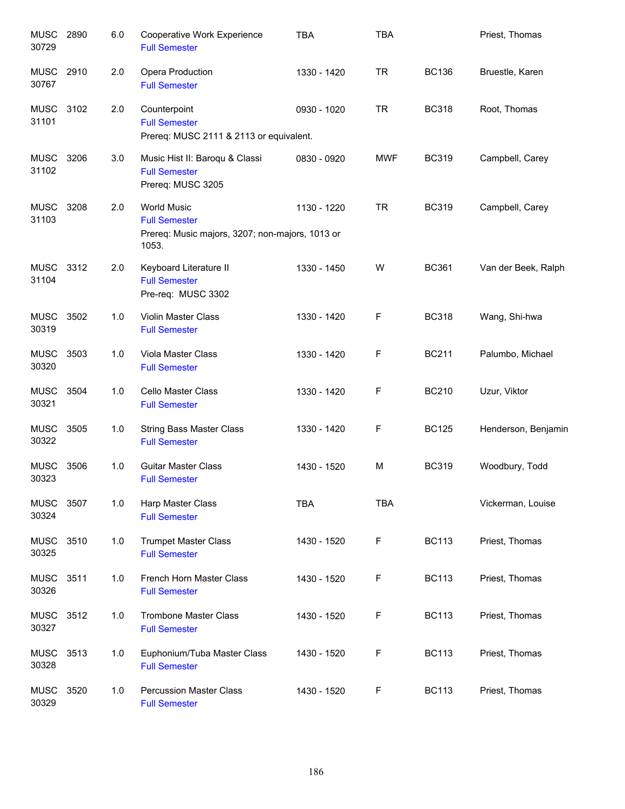| <b>MUSC</b><br>30729 | 2890 | 6.0 | <b>Cooperative Work Experience</b><br><b>Full Semester</b>                                             | <b>TBA</b>  | <b>TBA</b>  |              | Priest, Thomas      |
|----------------------|------|-----|--------------------------------------------------------------------------------------------------------|-------------|-------------|--------------|---------------------|
| <b>MUSC</b><br>30767 | 2910 | 2.0 | Opera Production<br><b>Full Semester</b>                                                               | 1330 - 1420 | <b>TR</b>   | <b>BC136</b> | Bruestle, Karen     |
| <b>MUSC</b><br>31101 | 3102 | 2.0 | Counterpoint<br><b>Full Semester</b><br>Prereq: MUSC 2111 & 2113 or equivalent.                        | 0930 - 1020 | <b>TR</b>   | <b>BC318</b> | Root, Thomas        |
| <b>MUSC</b><br>31102 | 3206 | 3.0 | Music Hist II: Baroqu & Classi<br><b>Full Semester</b><br>Prereq: MUSC 3205                            | 0830 - 0920 | <b>MWF</b>  | <b>BC319</b> | Campbell, Carey     |
| <b>MUSC</b><br>31103 | 3208 | 2.0 | <b>World Music</b><br><b>Full Semester</b><br>Prereq: Music majors, 3207; non-majors, 1013 or<br>1053. | 1130 - 1220 | <b>TR</b>   | <b>BC319</b> | Campbell, Carey     |
| <b>MUSC</b><br>31104 | 3312 | 2.0 | Keyboard Literature II<br><b>Full Semester</b><br>Pre-req: MUSC 3302                                   | 1330 - 1450 | W           | <b>BC361</b> | Van der Beek, Ralph |
| <b>MUSC</b><br>30319 | 3502 | 1.0 | <b>Violin Master Class</b><br><b>Full Semester</b>                                                     | 1330 - 1420 | F           | <b>BC318</b> | Wang, Shi-hwa       |
| <b>MUSC</b><br>30320 | 3503 | 1.0 | Viola Master Class<br><b>Full Semester</b>                                                             | 1330 - 1420 | F           | <b>BC211</b> | Palumbo, Michael    |
| <b>MUSC</b><br>30321 | 3504 | 1.0 | <b>Cello Master Class</b><br><b>Full Semester</b>                                                      | 1330 - 1420 | F           | <b>BC210</b> | Uzur, Viktor        |
| <b>MUSC</b><br>30322 | 3505 | 1.0 | <b>String Bass Master Class</b><br><b>Full Semester</b>                                                | 1330 - 1420 | F           | <b>BC125</b> | Henderson, Benjamin |
| <b>MUSC</b><br>30323 | 3506 | 1.0 | <b>Guitar Master Class</b><br><b>Full Semester</b>                                                     | 1430 - 1520 | M           | <b>BC319</b> | Woodbury, Todd      |
| <b>MUSC</b><br>30324 | 3507 | 1.0 | Harp Master Class<br><b>Full Semester</b>                                                              | <b>TBA</b>  | <b>TBA</b>  |              | Vickerman, Louise   |
| <b>MUSC</b><br>30325 | 3510 | 1.0 | <b>Trumpet Master Class</b><br><b>Full Semester</b>                                                    | 1430 - 1520 | $\mathsf F$ | <b>BC113</b> | Priest, Thomas      |
| <b>MUSC</b><br>30326 | 3511 | 1.0 | French Horn Master Class<br><b>Full Semester</b>                                                       | 1430 - 1520 | F           | <b>BC113</b> | Priest, Thomas      |
| <b>MUSC</b><br>30327 | 3512 | 1.0 | <b>Trombone Master Class</b><br><b>Full Semester</b>                                                   | 1430 - 1520 | F           | <b>BC113</b> | Priest, Thomas      |
| <b>MUSC</b><br>30328 | 3513 | 1.0 | Euphonium/Tuba Master Class<br><b>Full Semester</b>                                                    | 1430 - 1520 | F           | <b>BC113</b> | Priest, Thomas      |
| <b>MUSC</b><br>30329 | 3520 | 1.0 | <b>Percussion Master Class</b><br><b>Full Semester</b>                                                 | 1430 - 1520 | F           | <b>BC113</b> | Priest, Thomas      |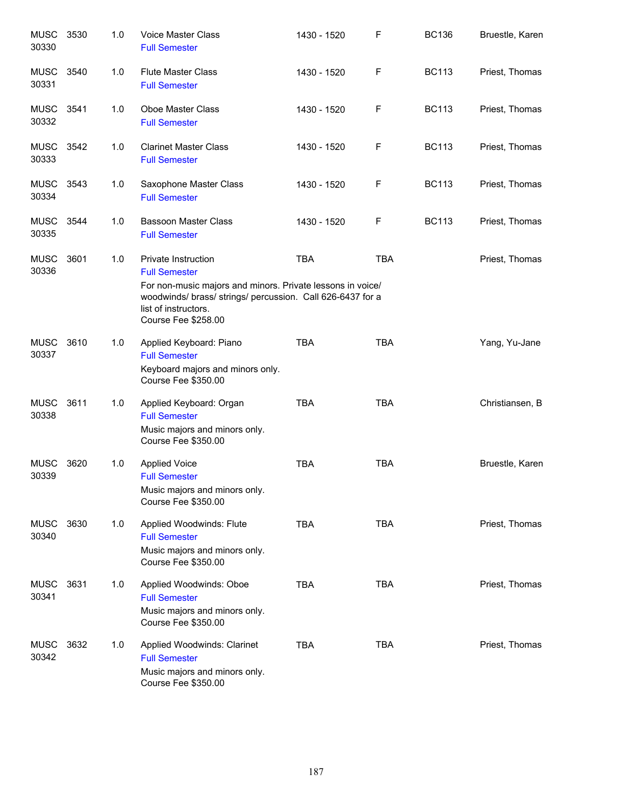| <b>MUSC</b><br>30330 | 3530 | 1.0 | Voice Master Class<br><b>Full Semester</b>                                                                                                                              | 1430 - 1520 | F          | <b>BC136</b> | Bruestle, Karen |
|----------------------|------|-----|-------------------------------------------------------------------------------------------------------------------------------------------------------------------------|-------------|------------|--------------|-----------------|
| <b>MUSC</b><br>30331 | 3540 | 1.0 | <b>Flute Master Class</b><br><b>Full Semester</b>                                                                                                                       | 1430 - 1520 | F          | <b>BC113</b> | Priest, Thomas  |
| <b>MUSC</b><br>30332 | 3541 | 1.0 | Oboe Master Class<br><b>Full Semester</b>                                                                                                                               | 1430 - 1520 | F          | <b>BC113</b> | Priest, Thomas  |
| MUSC<br>30333        | 3542 | 1.0 | <b>Clarinet Master Class</b><br><b>Full Semester</b>                                                                                                                    | 1430 - 1520 | F          | <b>BC113</b> | Priest, Thomas  |
| <b>MUSC</b><br>30334 | 3543 | 1.0 | Saxophone Master Class<br><b>Full Semester</b>                                                                                                                          | 1430 - 1520 | F          | <b>BC113</b> | Priest, Thomas  |
| MUSC<br>30335        | 3544 | 1.0 | <b>Bassoon Master Class</b><br><b>Full Semester</b>                                                                                                                     | 1430 - 1520 | F          | <b>BC113</b> | Priest, Thomas  |
| <b>MUSC</b><br>30336 | 3601 | 1.0 | Private Instruction<br><b>Full Semester</b>                                                                                                                             | <b>TBA</b>  | <b>TBA</b> |              | Priest, Thomas  |
|                      |      |     | For non-music majors and minors. Private lessons in voice/<br>woodwinds/ brass/ strings/ percussion. Call 626-6437 for a<br>list of instructors.<br>Course Fee \$258.00 |             |            |              |                 |
| <b>MUSC</b><br>30337 | 3610 | 1.0 | Applied Keyboard: Piano<br><b>Full Semester</b><br>Keyboard majors and minors only.<br>Course Fee \$350.00                                                              | <b>TBA</b>  | <b>TBA</b> |              | Yang, Yu-Jane   |
| <b>MUSC</b><br>30338 | 3611 | 1.0 | Applied Keyboard: Organ<br><b>Full Semester</b><br>Music majors and minors only.<br>Course Fee \$350.00                                                                 | <b>TBA</b>  | <b>TBA</b> |              | Christiansen, B |
| <b>MUSC</b><br>30339 | 3620 | 1.0 | <b>Applied Voice</b><br><b>Full Semester</b><br>Music majors and minors only.<br><b>Course Fee \$350.00</b>                                                             | <b>TBA</b>  | <b>TBA</b> |              | Bruestle, Karen |
| <b>MUSC</b><br>30340 | 3630 | 1.0 | Applied Woodwinds: Flute<br><b>Full Semester</b><br>Music majors and minors only.<br>Course Fee \$350.00                                                                | <b>TBA</b>  | <b>TBA</b> |              | Priest, Thomas  |
| <b>MUSC</b><br>30341 | 3631 | 1.0 | Applied Woodwinds: Oboe<br><b>Full Semester</b><br>Music majors and minors only.<br>Course Fee \$350.00                                                                 | <b>TBA</b>  | <b>TBA</b> |              | Priest, Thomas  |
| <b>MUSC</b><br>30342 | 3632 | 1.0 | Applied Woodwinds: Clarinet<br><b>Full Semester</b><br>Music majors and minors only.<br>Course Fee \$350.00                                                             | <b>TBA</b>  | <b>TBA</b> |              | Priest, Thomas  |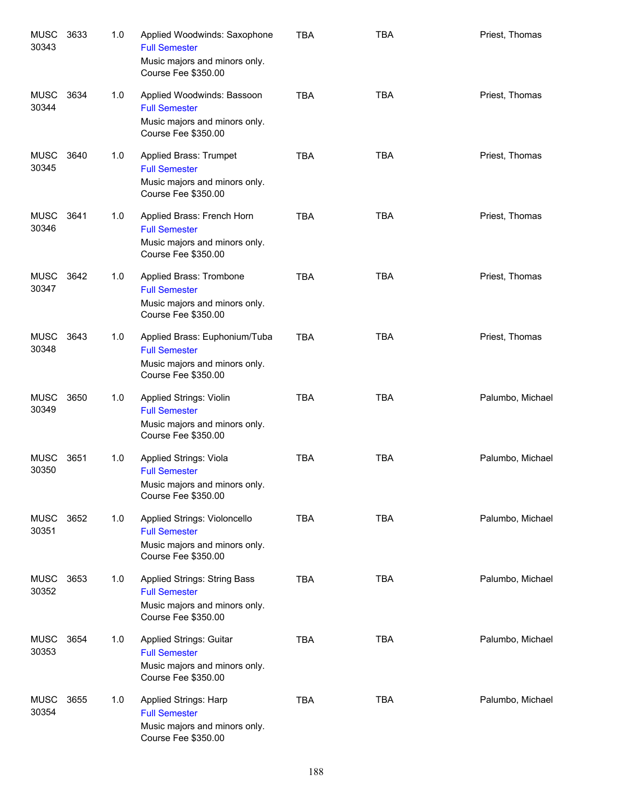| <b>MUSC</b><br>30343 | 3633 | 1.0 | Applied Woodwinds: Saxophone<br><b>Full Semester</b><br>Music majors and minors only.<br>Course Fee \$350.00   | <b>TBA</b> | <b>TBA</b> | Priest, Thomas   |
|----------------------|------|-----|----------------------------------------------------------------------------------------------------------------|------------|------------|------------------|
| MUSC<br>30344        | 3634 | 1.0 | Applied Woodwinds: Bassoon<br><b>Full Semester</b><br>Music majors and minors only.<br>Course Fee \$350.00     | <b>TBA</b> | <b>TBA</b> | Priest, Thomas   |
| <b>MUSC</b><br>30345 | 3640 | 1.0 | Applied Brass: Trumpet<br><b>Full Semester</b><br>Music majors and minors only.<br>Course Fee \$350.00         | <b>TBA</b> | <b>TBA</b> | Priest, Thomas   |
| <b>MUSC</b><br>30346 | 3641 | 1.0 | Applied Brass: French Horn<br><b>Full Semester</b><br>Music majors and minors only.<br>Course Fee \$350.00     | <b>TBA</b> | <b>TBA</b> | Priest, Thomas   |
| <b>MUSC</b><br>30347 | 3642 | 1.0 | Applied Brass: Trombone<br><b>Full Semester</b><br>Music majors and minors only.<br>Course Fee \$350.00        | <b>TBA</b> | <b>TBA</b> | Priest, Thomas   |
| <b>MUSC</b><br>30348 | 3643 | 1.0 | Applied Brass: Euphonium/Tuba<br><b>Full Semester</b><br>Music majors and minors only.<br>Course Fee \$350.00  | <b>TBA</b> | <b>TBA</b> | Priest, Thomas   |
| <b>MUSC</b><br>30349 | 3650 | 1.0 | <b>Applied Strings: Violin</b><br><b>Full Semester</b><br>Music majors and minors only.<br>Course Fee \$350.00 | <b>TBA</b> | <b>TBA</b> | Palumbo, Michael |
| <b>MUSC</b><br>30350 | 3651 | 1.0 | Applied Strings: Viola<br><b>Full Semester</b><br>Music majors and minors only.<br>Course Fee \$350.00         | <b>TBA</b> | <b>TBA</b> | Palumbo, Michael |
| MUSC<br>30351        | 3652 | 1.0 | Applied Strings: Violoncello<br><b>Full Semester</b><br>Music majors and minors only.<br>Course Fee \$350.00   | <b>TBA</b> | <b>TBA</b> | Palumbo, Michael |
| MUSC<br>30352        | 3653 | 1.0 | Applied Strings: String Bass<br><b>Full Semester</b><br>Music majors and minors only.<br>Course Fee \$350.00   | <b>TBA</b> | <b>TBA</b> | Palumbo, Michael |
| <b>MUSC</b><br>30353 | 3654 | 1.0 | Applied Strings: Guitar<br><b>Full Semester</b><br>Music majors and minors only.<br>Course Fee \$350.00        | <b>TBA</b> | <b>TBA</b> | Palumbo, Michael |
| <b>MUSC</b><br>30354 | 3655 | 1.0 | Applied Strings: Harp<br><b>Full Semester</b><br>Music majors and minors only.<br>Course Fee \$350.00          | <b>TBA</b> | <b>TBA</b> | Palumbo, Michael |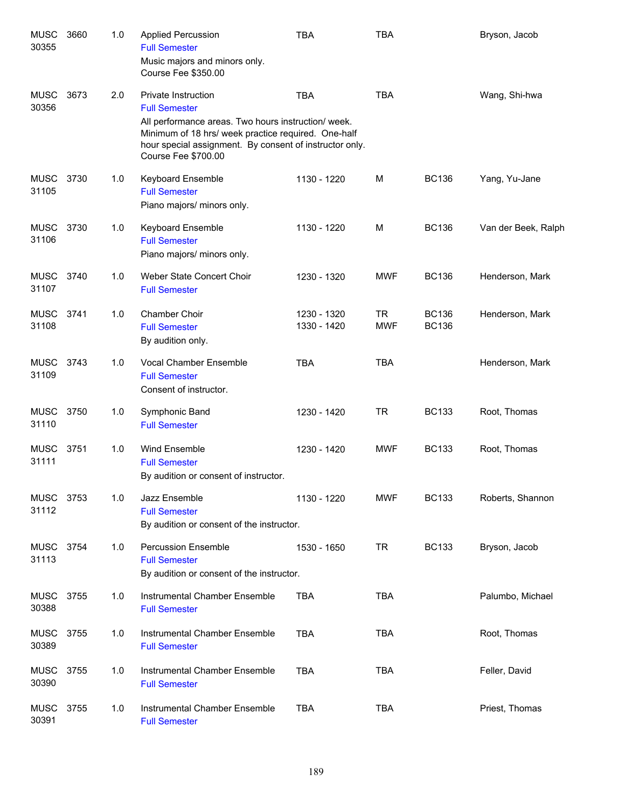| <b>MUSC</b><br>30355 | 3660 | 1.0 | <b>Applied Percussion</b><br><b>Full Semester</b><br>Music majors and minors only.<br>Course Fee \$350.00                                                                                                                                         | <b>TBA</b>                 | <b>TBA</b>              |                              | Bryson, Jacob       |
|----------------------|------|-----|---------------------------------------------------------------------------------------------------------------------------------------------------------------------------------------------------------------------------------------------------|----------------------------|-------------------------|------------------------------|---------------------|
| <b>MUSC</b><br>30356 | 3673 | 2.0 | <b>Private Instruction</b><br><b>Full Semester</b><br>All performance areas. Two hours instruction/week.<br>Minimum of 18 hrs/ week practice required. One-half<br>hour special assignment. By consent of instructor only.<br>Course Fee \$700.00 | <b>TBA</b>                 | <b>TBA</b>              |                              | Wang, Shi-hwa       |
| <b>MUSC</b><br>31105 | 3730 | 1.0 | Keyboard Ensemble<br><b>Full Semester</b><br>Piano majors/ minors only.                                                                                                                                                                           | 1130 - 1220                | м                       | <b>BC136</b>                 | Yang, Yu-Jane       |
| <b>MUSC</b><br>31106 | 3730 | 1.0 | Keyboard Ensemble<br><b>Full Semester</b><br>Piano majors/ minors only.                                                                                                                                                                           | 1130 - 1220                | M                       | <b>BC136</b>                 | Van der Beek, Ralph |
| <b>MUSC</b><br>31107 | 3740 | 1.0 | Weber State Concert Choir<br><b>Full Semester</b>                                                                                                                                                                                                 | 1230 - 1320                | <b>MWF</b>              | <b>BC136</b>                 | Henderson, Mark     |
| <b>MUSC</b><br>31108 | 3741 | 1.0 | Chamber Choir<br><b>Full Semester</b><br>By audition only.                                                                                                                                                                                        | 1230 - 1320<br>1330 - 1420 | <b>TR</b><br><b>MWF</b> | <b>BC136</b><br><b>BC136</b> | Henderson, Mark     |
| <b>MUSC</b><br>31109 | 3743 | 1.0 | Vocal Chamber Ensemble<br><b>Full Semester</b><br>Consent of instructor.                                                                                                                                                                          | <b>TBA</b>                 | <b>TBA</b>              |                              | Henderson, Mark     |
| <b>MUSC</b><br>31110 | 3750 | 1.0 | Symphonic Band<br><b>Full Semester</b>                                                                                                                                                                                                            | 1230 - 1420                | <b>TR</b>               | <b>BC133</b>                 | Root, Thomas        |
| <b>MUSC</b><br>31111 | 3751 | 1.0 | Wind Ensemble<br><b>Full Semester</b><br>By audition or consent of instructor.                                                                                                                                                                    | 1230 - 1420                | <b>MWF</b>              | <b>BC133</b>                 | Root, Thomas        |
| MUSC<br>31112        | 3753 | 1.0 | Jazz Ensemble<br><b>Full Semester</b><br>By audition or consent of the instructor.                                                                                                                                                                | 1130 - 1220                | <b>MWF</b>              | <b>BC133</b>                 | Roberts, Shannon    |
| MUSC<br>31113        | 3754 | 1.0 | <b>Percussion Ensemble</b><br><b>Full Semester</b><br>By audition or consent of the instructor.                                                                                                                                                   | 1530 - 1650                | <b>TR</b>               | <b>BC133</b>                 | Bryson, Jacob       |
| MUSC<br>30388        | 3755 | 1.0 | Instrumental Chamber Ensemble<br><b>Full Semester</b>                                                                                                                                                                                             | <b>TBA</b>                 | <b>TBA</b>              |                              | Palumbo, Michael    |
| <b>MUSC</b><br>30389 | 3755 | 1.0 | Instrumental Chamber Ensemble<br><b>Full Semester</b>                                                                                                                                                                                             | <b>TBA</b>                 | <b>TBA</b>              |                              | Root, Thomas        |
| MUSC<br>30390        | 3755 | 1.0 | Instrumental Chamber Ensemble<br><b>Full Semester</b>                                                                                                                                                                                             | <b>TBA</b>                 | <b>TBA</b>              |                              | Feller, David       |
| <b>MUSC</b><br>30391 | 3755 | 1.0 | Instrumental Chamber Ensemble<br><b>Full Semester</b>                                                                                                                                                                                             | <b>TBA</b>                 | <b>TBA</b>              |                              | Priest, Thomas      |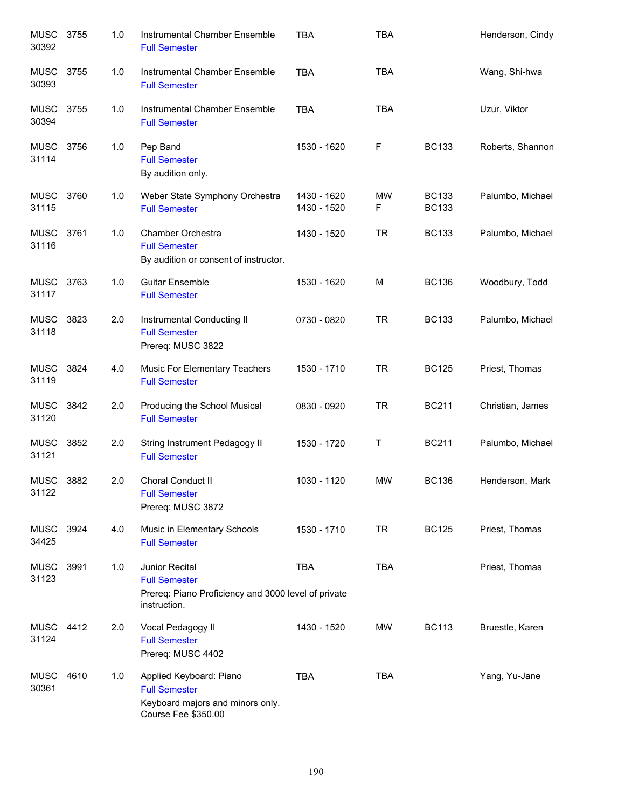| <b>MUSC</b><br>30392 | 3755 | 1.0 | Instrumental Chamber Ensemble<br><b>Full Semester</b>                                                         | <b>TBA</b>                 | <b>TBA</b>     |                              | Henderson, Cindy |
|----------------------|------|-----|---------------------------------------------------------------------------------------------------------------|----------------------------|----------------|------------------------------|------------------|
| MUSC<br>30393        | 3755 | 1.0 | Instrumental Chamber Ensemble<br><b>Full Semester</b>                                                         | <b>TBA</b>                 | <b>TBA</b>     |                              | Wang, Shi-hwa    |
| <b>MUSC</b><br>30394 | 3755 | 1.0 | Instrumental Chamber Ensemble<br><b>Full Semester</b>                                                         | <b>TBA</b>                 | <b>TBA</b>     |                              | Uzur, Viktor     |
| <b>MUSC</b><br>31114 | 3756 | 1.0 | Pep Band<br><b>Full Semester</b><br>By audition only.                                                         | 1530 - 1620                | F              | <b>BC133</b>                 | Roberts, Shannon |
| <b>MUSC</b><br>31115 | 3760 | 1.0 | Weber State Symphony Orchestra<br><b>Full Semester</b>                                                        | 1430 - 1620<br>1430 - 1520 | <b>MW</b><br>F | <b>BC133</b><br><b>BC133</b> | Palumbo, Michael |
| MUSC 3761<br>31116   |      | 1.0 | Chamber Orchestra<br><b>Full Semester</b><br>By audition or consent of instructor.                            | 1430 - 1520                | <b>TR</b>      | <b>BC133</b>                 | Palumbo, Michael |
| MUSC 3763<br>31117   |      | 1.0 | <b>Guitar Ensemble</b><br><b>Full Semester</b>                                                                | 1530 - 1620                | M              | <b>BC136</b>                 | Woodbury, Todd   |
| <b>MUSC</b><br>31118 | 3823 | 2.0 | Instrumental Conducting II<br><b>Full Semester</b><br>Prereq: MUSC 3822                                       | 0730 - 0820                | <b>TR</b>      | <b>BC133</b>                 | Palumbo, Michael |
| MUSC 3824<br>31119   |      | 4.0 | Music For Elementary Teachers<br><b>Full Semester</b>                                                         | 1530 - 1710                | <b>TR</b>      | <b>BC125</b>                 | Priest, Thomas   |
| MUSC<br>31120        | 3842 | 2.0 | Producing the School Musical<br><b>Full Semester</b>                                                          | 0830 - 0920                | <b>TR</b>      | <b>BC211</b>                 | Christian, James |
| <b>MUSC</b><br>31121 | 3852 | 2.0 | String Instrument Pedagogy II<br><b>Full Semester</b>                                                         | 1530 - 1720                | Τ              | <b>BC211</b>                 | Palumbo, Michael |
| <b>MUSC</b><br>31122 | 3882 | 2.0 | Choral Conduct II<br><b>Full Semester</b><br>Prereq: MUSC 3872                                                | 1030 - 1120                | <b>MW</b>      | <b>BC136</b>                 | Henderson, Mark  |
| <b>MUSC</b><br>34425 | 3924 | 4.0 | Music in Elementary Schools<br><b>Full Semester</b>                                                           | 1530 - 1710                | <b>TR</b>      | <b>BC125</b>                 | Priest, Thomas   |
| <b>MUSC</b><br>31123 | 3991 | 1.0 | Junior Recital<br><b>Full Semester</b><br>Prereq: Piano Proficiency and 3000 level of private<br>instruction. | <b>TBA</b>                 | <b>TBA</b>     |                              | Priest, Thomas   |
| MUSC 4412<br>31124   |      | 2.0 | Vocal Pedagogy II<br><b>Full Semester</b><br>Prereq: MUSC 4402                                                | 1430 - 1520                | MW             | <b>BC113</b>                 | Bruestle, Karen  |
| <b>MUSC</b><br>30361 | 4610 | 1.0 | Applied Keyboard: Piano<br><b>Full Semester</b><br>Keyboard majors and minors only.<br>Course Fee \$350.00    | <b>TBA</b>                 | <b>TBA</b>     |                              | Yang, Yu-Jane    |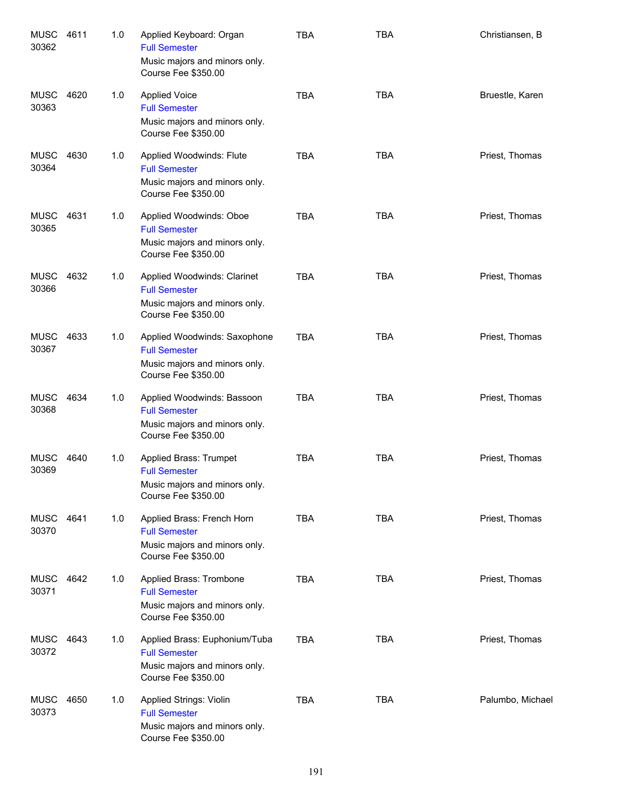| MUSC<br>30362        | 4611 | 1.0 | Applied Keyboard: Organ<br><b>Full Semester</b><br>Music majors and minors only.<br>Course Fee \$350.00       | <b>TBA</b> | <b>TBA</b> | Christiansen, B  |
|----------------------|------|-----|---------------------------------------------------------------------------------------------------------------|------------|------------|------------------|
| <b>MUSC</b><br>30363 | 4620 | 1.0 | <b>Applied Voice</b><br><b>Full Semester</b><br>Music majors and minors only.<br>Course Fee \$350.00          | <b>TBA</b> | <b>TBA</b> | Bruestle, Karen  |
| <b>MUSC</b><br>30364 | 4630 | 1.0 | Applied Woodwinds: Flute<br><b>Full Semester</b><br>Music majors and minors only.<br>Course Fee \$350.00      | <b>TBA</b> | <b>TBA</b> | Priest, Thomas   |
| MUSC<br>30365        | 4631 | 1.0 | Applied Woodwinds: Oboe<br><b>Full Semester</b><br>Music majors and minors only.<br>Course Fee \$350.00       | <b>TBA</b> | <b>TBA</b> | Priest, Thomas   |
| <b>MUSC</b><br>30366 | 4632 | 1.0 | Applied Woodwinds: Clarinet<br><b>Full Semester</b><br>Music majors and minors only.<br>Course Fee \$350.00   | <b>TBA</b> | <b>TBA</b> | Priest, Thomas   |
| <b>MUSC</b><br>30367 | 4633 | 1.0 | Applied Woodwinds: Saxophone<br><b>Full Semester</b><br>Music majors and minors only.<br>Course Fee \$350.00  | <b>TBA</b> | <b>TBA</b> | Priest, Thomas   |
| <b>MUSC</b><br>30368 | 4634 | 1.0 | Applied Woodwinds: Bassoon<br><b>Full Semester</b><br>Music majors and minors only.<br>Course Fee \$350.00    | <b>TBA</b> | <b>TBA</b> | Priest, Thomas   |
| MUSC<br>30369        | 4640 | 1.0 | Applied Brass: Trumpet<br><b>Full Semester</b><br>Music majors and minors only.<br>Course Fee \$350.00        | <b>TBA</b> | <b>TBA</b> | Priest, Thomas   |
| <b>MUSC</b><br>30370 | 4641 | 1.0 | Applied Brass: French Horn<br><b>Full Semester</b><br>Music majors and minors only.<br>Course Fee \$350.00    | <b>TBA</b> | <b>TBA</b> | Priest, Thomas   |
| <b>MUSC</b><br>30371 | 4642 | 1.0 | Applied Brass: Trombone<br><b>Full Semester</b><br>Music majors and minors only.<br>Course Fee \$350.00       | <b>TBA</b> | <b>TBA</b> | Priest, Thomas   |
| MUSC<br>30372        | 4643 | 1.0 | Applied Brass: Euphonium/Tuba<br><b>Full Semester</b><br>Music majors and minors only.<br>Course Fee \$350.00 | <b>TBA</b> | <b>TBA</b> | Priest, Thomas   |
| <b>MUSC</b><br>30373 | 4650 | 1.0 | Applied Strings: Violin<br><b>Full Semester</b><br>Music majors and minors only.<br>Course Fee \$350.00       | <b>TBA</b> | <b>TBA</b> | Palumbo, Michael |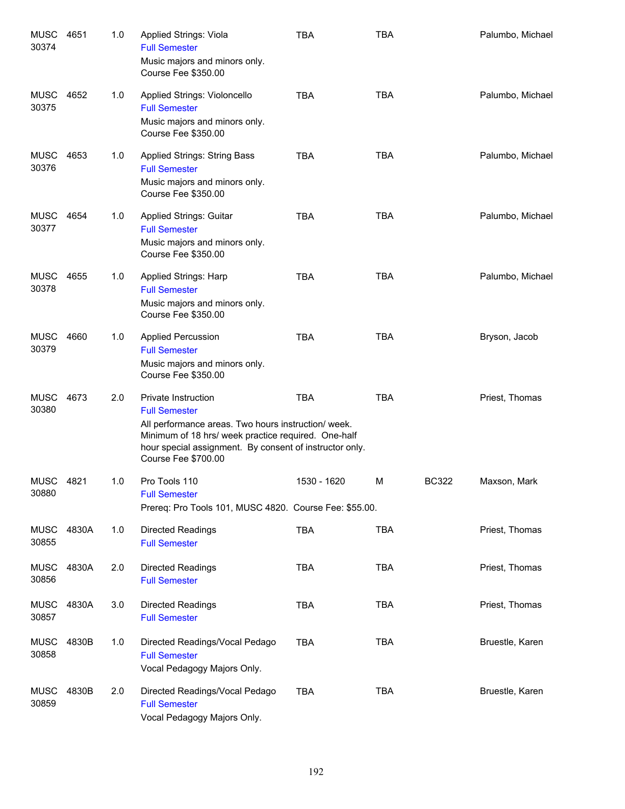| MUSC<br>30374        | 4651  | 1.0 | Applied Strings: Viola<br><b>Full Semester</b><br>Music majors and minors only.<br>Course Fee \$350.00                                                                                                                                      | TBA         | <b>TBA</b> |              | Palumbo, Michael |
|----------------------|-------|-----|---------------------------------------------------------------------------------------------------------------------------------------------------------------------------------------------------------------------------------------------|-------------|------------|--------------|------------------|
| <b>MUSC</b><br>30375 | 4652  | 1.0 | Applied Strings: Violoncello<br><b>Full Semester</b><br>Music majors and minors only.<br>Course Fee \$350.00                                                                                                                                | <b>TBA</b>  | <b>TBA</b> |              | Palumbo, Michael |
| <b>MUSC</b><br>30376 | 4653  | 1.0 | <b>Applied Strings: String Bass</b><br><b>Full Semester</b><br>Music majors and minors only.<br>Course Fee \$350.00                                                                                                                         | <b>TBA</b>  | <b>TBA</b> |              | Palumbo, Michael |
| MUSC<br>30377        | 4654  | 1.0 | Applied Strings: Guitar<br><b>Full Semester</b><br>Music majors and minors only.<br>Course Fee \$350.00                                                                                                                                     | <b>TBA</b>  | <b>TBA</b> |              | Palumbo, Michael |
| <b>MUSC</b><br>30378 | 4655  | 1.0 | Applied Strings: Harp<br><b>Full Semester</b><br>Music majors and minors only.<br>Course Fee \$350.00                                                                                                                                       | <b>TBA</b>  | <b>TBA</b> |              | Palumbo, Michael |
| <b>MUSC</b><br>30379 | 4660  | 1.0 | <b>Applied Percussion</b><br><b>Full Semester</b><br>Music majors and minors only.<br>Course Fee \$350.00                                                                                                                                   | <b>TBA</b>  | <b>TBA</b> |              | Bryson, Jacob    |
| MUSC<br>30380        | 4673  | 2.0 | Private Instruction<br><b>Full Semester</b><br>All performance areas. Two hours instruction/ week.<br>Minimum of 18 hrs/ week practice required. One-half<br>hour special assignment. By consent of instructor only.<br>Course Fee \$700.00 | <b>TBA</b>  | <b>TBA</b> |              | Priest, Thomas   |
| MUSC 4821<br>30880   |       | 1.0 | Pro Tools 110<br><b>Full Semester</b><br>Prereq: Pro Tools 101, MUSC 4820. Course Fee: \$55.00.                                                                                                                                             | 1530 - 1620 | м          | <b>BC322</b> | Maxson, Mark     |
| <b>MUSC</b><br>30855 | 4830A | 1.0 | <b>Directed Readings</b><br><b>Full Semester</b>                                                                                                                                                                                            | <b>TBA</b>  | <b>TBA</b> |              | Priest, Thomas   |
| <b>MUSC</b><br>30856 | 4830A | 2.0 | <b>Directed Readings</b><br><b>Full Semester</b>                                                                                                                                                                                            | <b>TBA</b>  | <b>TBA</b> |              | Priest, Thomas   |
| MUSC<br>30857        | 4830A | 3.0 | <b>Directed Readings</b><br><b>Full Semester</b>                                                                                                                                                                                            | <b>TBA</b>  | <b>TBA</b> |              | Priest, Thomas   |
| <b>MUSC</b><br>30858 | 4830B | 1.0 | Directed Readings/Vocal Pedago<br><b>Full Semester</b><br>Vocal Pedagogy Majors Only.                                                                                                                                                       | <b>TBA</b>  | <b>TBA</b> |              | Bruestle, Karen  |
| <b>MUSC</b><br>30859 | 4830B | 2.0 | Directed Readings/Vocal Pedago<br><b>Full Semester</b><br>Vocal Pedagogy Majors Only.                                                                                                                                                       | <b>TBA</b>  | <b>TBA</b> |              | Bruestle, Karen  |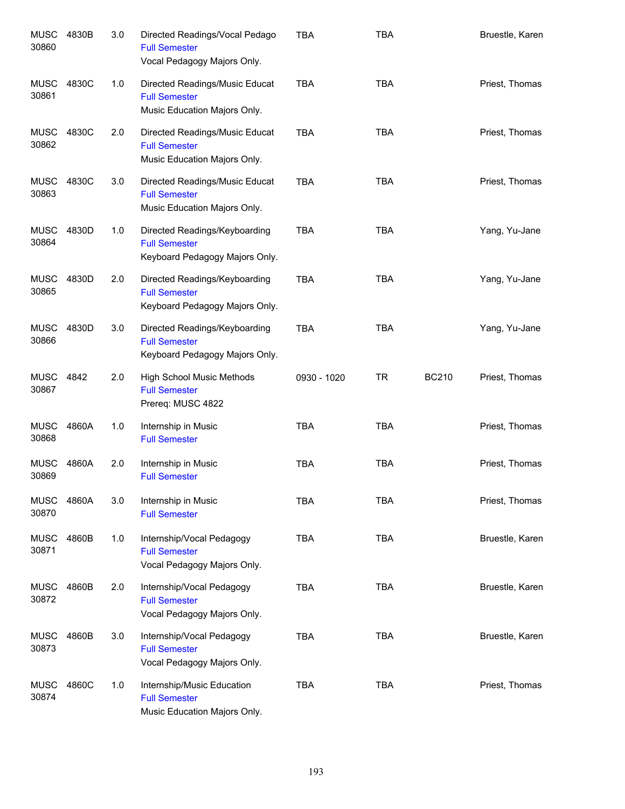| <b>MUSC</b><br>30860 | 4830B | 3.0 | Directed Readings/Vocal Pedago<br><b>Full Semester</b><br>Vocal Pedagogy Majors Only.   | TBA         | <b>TBA</b> |              | Bruestle, Karen |
|----------------------|-------|-----|-----------------------------------------------------------------------------------------|-------------|------------|--------------|-----------------|
| MUSC<br>30861        | 4830C | 1.0 | Directed Readings/Music Educat<br><b>Full Semester</b><br>Music Education Majors Only.  | <b>TBA</b>  | <b>TBA</b> |              | Priest, Thomas  |
| MUSC<br>30862        | 4830C | 2.0 | Directed Readings/Music Educat<br><b>Full Semester</b><br>Music Education Majors Only.  | <b>TBA</b>  | <b>TBA</b> |              | Priest, Thomas  |
| MUSC<br>30863        | 4830C | 3.0 | Directed Readings/Music Educat<br><b>Full Semester</b><br>Music Education Majors Only.  | <b>TBA</b>  | <b>TBA</b> |              | Priest, Thomas  |
| MUSC<br>30864        | 4830D | 1.0 | Directed Readings/Keyboarding<br><b>Full Semester</b><br>Keyboard Pedagogy Majors Only. | <b>TBA</b>  | <b>TBA</b> |              | Yang, Yu-Jane   |
| MUSC<br>30865        | 4830D | 2.0 | Directed Readings/Keyboarding<br><b>Full Semester</b><br>Keyboard Pedagogy Majors Only. | <b>TBA</b>  | <b>TBA</b> |              | Yang, Yu-Jane   |
| MUSC<br>30866        | 4830D | 3.0 | Directed Readings/Keyboarding<br><b>Full Semester</b><br>Keyboard Pedagogy Majors Only. | <b>TBA</b>  | <b>TBA</b> |              | Yang, Yu-Jane   |
| MUSC<br>30867        | 4842  | 2.0 | <b>High School Music Methods</b><br><b>Full Semester</b><br>Prereq: MUSC 4822           | 0930 - 1020 | <b>TR</b>  | <b>BC210</b> | Priest, Thomas  |
| MUSC<br>30868        | 4860A | 1.0 | Internship in Music<br><b>Full Semester</b>                                             | <b>TBA</b>  | <b>TBA</b> |              | Priest, Thomas  |
| <b>MUSC</b><br>30869 | 4860A | 2.0 | Internship in Music<br><b>Full Semester</b>                                             | <b>TBA</b>  | <b>TBA</b> |              | Priest, Thomas  |
| <b>MUSC</b><br>30870 | 4860A | 3.0 | Internship in Music<br><b>Full Semester</b>                                             | <b>TBA</b>  | <b>TBA</b> |              | Priest, Thomas  |
| <b>MUSC</b><br>30871 | 4860B | 1.0 | Internship/Vocal Pedagogy<br><b>Full Semester</b><br>Vocal Pedagogy Majors Only.        | <b>TBA</b>  | <b>TBA</b> |              | Bruestle, Karen |
| <b>MUSC</b><br>30872 | 4860B | 2.0 | Internship/Vocal Pedagogy<br><b>Full Semester</b><br>Vocal Pedagogy Majors Only.        | <b>TBA</b>  | <b>TBA</b> |              | Bruestle, Karen |
| <b>MUSC</b><br>30873 | 4860B | 3.0 | Internship/Vocal Pedagogy<br><b>Full Semester</b><br>Vocal Pedagogy Majors Only.        | <b>TBA</b>  | <b>TBA</b> |              | Bruestle, Karen |
| <b>MUSC</b><br>30874 | 4860C | 1.0 | Internship/Music Education<br><b>Full Semester</b><br>Music Education Majors Only.      | <b>TBA</b>  | <b>TBA</b> |              | Priest, Thomas  |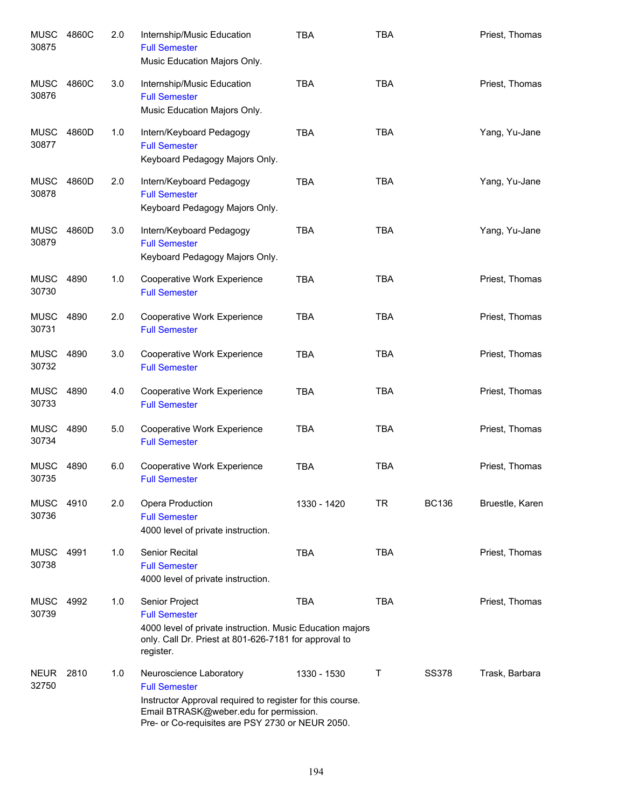| <b>MUSC</b><br>30875 | 4860C | 2.0 | Internship/Music Education<br><b>Full Semester</b><br>Music Education Majors Only.                                                                                                                         | <b>TBA</b>  | <b>TBA</b> |              | Priest, Thomas  |
|----------------------|-------|-----|------------------------------------------------------------------------------------------------------------------------------------------------------------------------------------------------------------|-------------|------------|--------------|-----------------|
| MUSC<br>30876        | 4860C | 3.0 | Internship/Music Education<br><b>Full Semester</b><br>Music Education Majors Only.                                                                                                                         | <b>TBA</b>  | <b>TBA</b> |              | Priest, Thomas  |
| <b>MUSC</b><br>30877 | 4860D | 1.0 | Intern/Keyboard Pedagogy<br><b>Full Semester</b><br>Keyboard Pedagogy Majors Only.                                                                                                                         | <b>TBA</b>  | <b>TBA</b> |              | Yang, Yu-Jane   |
| MUSC<br>30878        | 4860D | 2.0 | Intern/Keyboard Pedagogy<br><b>Full Semester</b><br>Keyboard Pedagogy Majors Only.                                                                                                                         | <b>TBA</b>  | <b>TBA</b> |              | Yang, Yu-Jane   |
| MUSC<br>30879        | 4860D | 3.0 | Intern/Keyboard Pedagogy<br><b>Full Semester</b><br>Keyboard Pedagogy Majors Only.                                                                                                                         | <b>TBA</b>  | <b>TBA</b> |              | Yang, Yu-Jane   |
| MUSC<br>30730        | 4890  | 1.0 | Cooperative Work Experience<br><b>Full Semester</b>                                                                                                                                                        | <b>TBA</b>  | <b>TBA</b> |              | Priest, Thomas  |
| MUSC<br>30731        | 4890  | 2.0 | Cooperative Work Experience<br><b>Full Semester</b>                                                                                                                                                        | <b>TBA</b>  | <b>TBA</b> |              | Priest, Thomas  |
| MUSC<br>30732        | 4890  | 3.0 | Cooperative Work Experience<br><b>Full Semester</b>                                                                                                                                                        | <b>TBA</b>  | <b>TBA</b> |              | Priest, Thomas  |
| <b>MUSC</b><br>30733 | 4890  | 4.0 | Cooperative Work Experience<br><b>Full Semester</b>                                                                                                                                                        | <b>TBA</b>  | <b>TBA</b> |              | Priest, Thomas  |
| <b>MUSC</b><br>30734 | 4890  | 5.0 | Cooperative Work Experience<br><b>Full Semester</b>                                                                                                                                                        | <b>TBA</b>  | <b>TBA</b> |              | Priest, Thomas  |
| <b>MUSC</b><br>30735 | 4890  | 6.0 | Cooperative Work Experience<br><b>Full Semester</b>                                                                                                                                                        | TBA         | <b>TBA</b> |              | Priest, Thomas  |
| MUSC<br>30736        | 4910  | 2.0 | Opera Production<br><b>Full Semester</b><br>4000 level of private instruction.                                                                                                                             | 1330 - 1420 | TR         | <b>BC136</b> | Bruestle, Karen |
| <b>MUSC</b><br>30738 | 4991  | 1.0 | Senior Recital<br><b>Full Semester</b><br>4000 level of private instruction.                                                                                                                               | <b>TBA</b>  | <b>TBA</b> |              | Priest, Thomas  |
| <b>MUSC</b><br>30739 | 4992  | 1.0 | Senior Project<br><b>Full Semester</b><br>4000 level of private instruction. Music Education majors<br>only. Call Dr. Priest at 801-626-7181 for approval to<br>register.                                  | <b>TBA</b>  | <b>TBA</b> |              | Priest, Thomas  |
| <b>NEUR</b><br>32750 | 2810  | 1.0 | Neuroscience Laboratory<br><b>Full Semester</b><br>Instructor Approval required to register for this course.<br>Email BTRASK@weber.edu for permission.<br>Pre- or Co-requisites are PSY 2730 or NEUR 2050. | 1330 - 1530 | Τ          | <b>SS378</b> | Trask, Barbara  |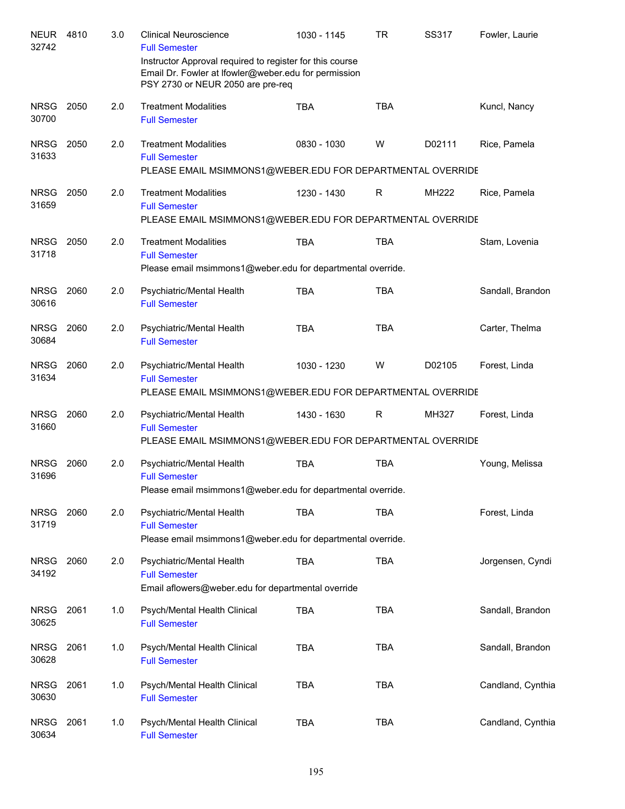| <b>NEUR</b><br>32742 | 4810 | 3.0 | <b>Clinical Neuroscience</b><br><b>Full Semester</b>                                                                                                  | 1030 - 1145 | <b>TR</b>  | SS317  | Fowler, Laurie    |
|----------------------|------|-----|-------------------------------------------------------------------------------------------------------------------------------------------------------|-------------|------------|--------|-------------------|
|                      |      |     | Instructor Approval required to register for this course<br>Email Dr. Fowler at Ifowler@weber.edu for permission<br>PSY 2730 or NEUR 2050 are pre-req |             |            |        |                   |
| <b>NRSG</b><br>30700 | 2050 | 2.0 | <b>Treatment Modalities</b><br><b>Full Semester</b>                                                                                                   | <b>TBA</b>  | <b>TBA</b> |        | Kuncl, Nancy      |
| <b>NRSG</b><br>31633 | 2050 | 2.0 | <b>Treatment Modalities</b><br><b>Full Semester</b><br>PLEASE EMAIL MSIMMONS1@WEBER.EDU FOR DEPARTMENTAL OVERRIDE                                     | 0830 - 1030 | W          | D02111 | Rice, Pamela      |
| <b>NRSG</b><br>31659 | 2050 | 2.0 | <b>Treatment Modalities</b><br><b>Full Semester</b><br>PLEASE EMAIL MSIMMONS1@WEBER.EDU FOR DEPARTMENTAL OVERRIDE                                     | 1230 - 1430 | R          | MH222  | Rice, Pamela      |
| <b>NRSG</b><br>31718 | 2050 | 2.0 | <b>Treatment Modalities</b><br><b>Full Semester</b><br>Please email msimmons1@weber.edu for departmental override.                                    | <b>TBA</b>  | <b>TBA</b> |        | Stam, Lovenia     |
| <b>NRSG</b><br>30616 | 2060 | 2.0 | Psychiatric/Mental Health<br><b>Full Semester</b>                                                                                                     | <b>TBA</b>  | <b>TBA</b> |        | Sandall, Brandon  |
| <b>NRSG</b><br>30684 | 2060 | 2.0 | Psychiatric/Mental Health<br><b>Full Semester</b>                                                                                                     | <b>TBA</b>  | <b>TBA</b> |        | Carter, Thelma    |
| <b>NRSG</b><br>31634 | 2060 | 2.0 | Psychiatric/Mental Health<br><b>Full Semester</b><br>PLEASE EMAIL MSIMMONS1@WEBER.EDU FOR DEPARTMENTAL OVERRIDE                                       | 1030 - 1230 | W          | D02105 | Forest, Linda     |
| <b>NRSG</b><br>31660 | 2060 | 2.0 | Psychiatric/Mental Health<br><b>Full Semester</b><br>PLEASE EMAIL MSIMMONS1@WEBER.EDU FOR DEPARTMENTAL OVERRIDE                                       | 1430 - 1630 | R          | MH327  | Forest, Linda     |
| <b>NRSG</b><br>31696 | 2060 | 2.0 | Psychiatric/Mental Health<br><b>Full Semester</b><br>Please email msimmons1@weber.edu for departmental override.                                      | <b>TBA</b>  | <b>TBA</b> |        | Young, Melissa    |
| <b>NRSG</b><br>31719 | 2060 | 2.0 | Psychiatric/Mental Health<br><b>Full Semester</b><br>Please email msimmons1@weber.edu for departmental override.                                      | <b>TBA</b>  | <b>TBA</b> |        | Forest, Linda     |
| <b>NRSG</b><br>34192 | 2060 | 2.0 | Psychiatric/Mental Health<br><b>Full Semester</b><br>Email aflowers@weber.edu for departmental override                                               | <b>TBA</b>  | <b>TBA</b> |        | Jorgensen, Cyndi  |
| <b>NRSG</b><br>30625 | 2061 | 1.0 | Psych/Mental Health Clinical<br><b>Full Semester</b>                                                                                                  | <b>TBA</b>  | <b>TBA</b> |        | Sandall, Brandon  |
| <b>NRSG</b><br>30628 | 2061 | 1.0 | Psych/Mental Health Clinical<br><b>Full Semester</b>                                                                                                  | <b>TBA</b>  | <b>TBA</b> |        | Sandall, Brandon  |
| <b>NRSG</b><br>30630 | 2061 | 1.0 | Psych/Mental Health Clinical<br><b>Full Semester</b>                                                                                                  | <b>TBA</b>  | <b>TBA</b> |        | Candland, Cynthia |
| <b>NRSG</b><br>30634 | 2061 | 1.0 | Psych/Mental Health Clinical<br><b>Full Semester</b>                                                                                                  | <b>TBA</b>  | <b>TBA</b> |        | Candland, Cynthia |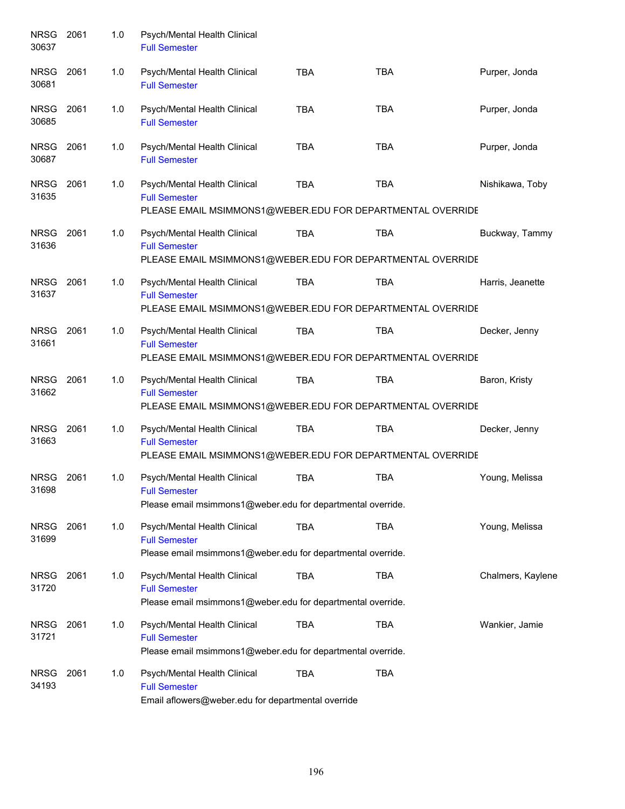| <b>NRSG</b><br>30637 | 2061 | 1.0 | Psych/Mental Health Clinical<br><b>Full Semester</b>                                                                |            |            |                   |
|----------------------|------|-----|---------------------------------------------------------------------------------------------------------------------|------------|------------|-------------------|
| <b>NRSG</b><br>30681 | 2061 | 1.0 | Psych/Mental Health Clinical<br><b>Full Semester</b>                                                                | <b>TBA</b> | <b>TBA</b> | Purper, Jonda     |
| <b>NRSG</b><br>30685 | 2061 | 1.0 | Psych/Mental Health Clinical<br><b>Full Semester</b>                                                                | <b>TBA</b> | <b>TBA</b> | Purper, Jonda     |
| <b>NRSG</b><br>30687 | 2061 | 1.0 | Psych/Mental Health Clinical<br><b>Full Semester</b>                                                                | <b>TBA</b> | <b>TBA</b> | Purper, Jonda     |
| NRSG<br>31635        | 2061 | 1.0 | Psych/Mental Health Clinical<br><b>Full Semester</b><br>PLEASE EMAIL MSIMMONS1@WEBER.EDU FOR DEPARTMENTAL OVERRIDE  | <b>TBA</b> | <b>TBA</b> | Nishikawa, Toby   |
| <b>NRSG</b><br>31636 | 2061 | 1.0 | Psych/Mental Health Clinical<br><b>Full Semester</b><br>PLEASE EMAIL MSIMMONS1@WEBER.EDU FOR DEPARTMENTAL OVERRIDE  | <b>TBA</b> | <b>TBA</b> | Buckway, Tammy    |
| <b>NRSG</b><br>31637 | 2061 | 1.0 | Psych/Mental Health Clinical<br><b>Full Semester</b><br>PLEASE EMAIL MSIMMONS1@WEBER.EDU FOR DEPARTMENTAL OVERRIDE  | <b>TBA</b> | <b>TBA</b> | Harris, Jeanette  |
| <b>NRSG</b><br>31661 | 2061 | 1.0 | Psych/Mental Health Clinical<br><b>Full Semester</b><br>PLEASE EMAIL MSIMMONS1@WEBER.EDU FOR DEPARTMENTAL OVERRIDE  | <b>TBA</b> | <b>TBA</b> | Decker, Jenny     |
| <b>NRSG</b><br>31662 | 2061 | 1.0 | Psych/Mental Health Clinical<br><b>Full Semester</b><br>PLEASE EMAIL MSIMMONS1@WEBER.EDU FOR DEPARTMENTAL OVERRIDE  | <b>TBA</b> | <b>TBA</b> | Baron, Kristy     |
| <b>NRSG</b><br>31663 | 2061 | 1.0 | Psych/Mental Health Clinical<br><b>Full Semester</b><br>PLEASE EMAIL MSIMMONS1@WEBER.EDU FOR DEPARTMENTAL OVERRIDE  | <b>TBA</b> | <b>TBA</b> | Decker, Jenny     |
| <b>NRSG</b><br>31698 | 2061 | 1.0 | Psych/Mental Health Clinical<br><b>Full Semester</b><br>Please email msimmons1@weber.edu for departmental override. | <b>TBA</b> | <b>TBA</b> | Young, Melissa    |
| <b>NRSG</b><br>31699 | 2061 | 1.0 | Psych/Mental Health Clinical<br><b>Full Semester</b><br>Please email msimmons1@weber.edu for departmental override. | <b>TBA</b> | <b>TBA</b> | Young, Melissa    |
| <b>NRSG</b><br>31720 | 2061 | 1.0 | Psych/Mental Health Clinical<br><b>Full Semester</b><br>Please email msimmons1@weber.edu for departmental override. | <b>TBA</b> | <b>TBA</b> | Chalmers, Kaylene |
| <b>NRSG</b><br>31721 | 2061 | 1.0 | Psych/Mental Health Clinical<br><b>Full Semester</b><br>Please email msimmons1@weber.edu for departmental override. | <b>TBA</b> | <b>TBA</b> | Wankier, Jamie    |
| <b>NRSG</b><br>34193 | 2061 | 1.0 | Psych/Mental Health Clinical<br><b>Full Semester</b><br>Email aflowers@weber.edu for departmental override          | <b>TBA</b> | <b>TBA</b> |                   |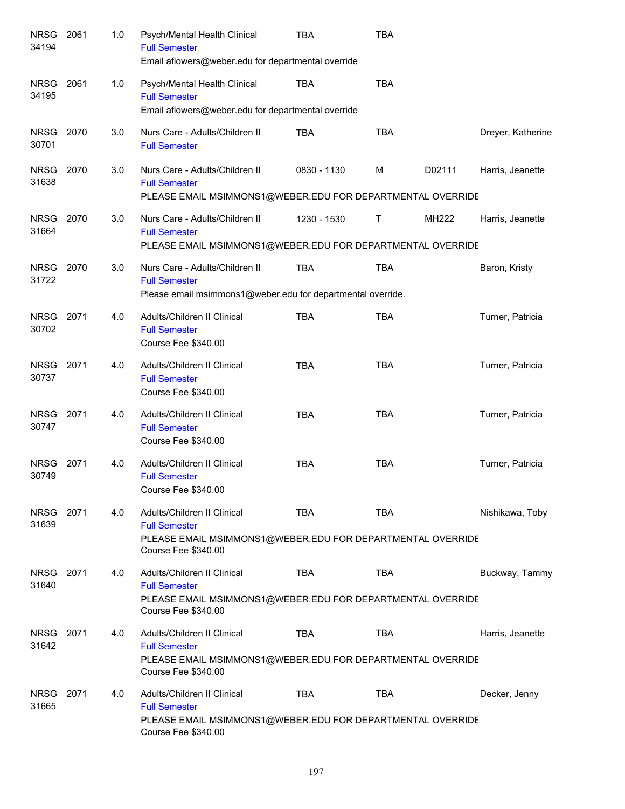| <b>NRSG</b><br>34194 | 2061 | 1.0 | Psych/Mental Health Clinical<br><b>Full Semester</b><br>Email aflowers@weber.edu for departmental override                               | TBA         | <b>TBA</b> |        |                   |
|----------------------|------|-----|------------------------------------------------------------------------------------------------------------------------------------------|-------------|------------|--------|-------------------|
| <b>NRSG</b><br>34195 | 2061 | 1.0 | Psych/Mental Health Clinical<br><b>Full Semester</b><br>Email aflowers@weber.edu for departmental override                               | <b>TBA</b>  | <b>TBA</b> |        |                   |
| <b>NRSG</b><br>30701 | 2070 | 3.0 | Nurs Care - Adults/Children II<br><b>Full Semester</b>                                                                                   | <b>TBA</b>  | <b>TBA</b> |        | Dreyer, Katherine |
| <b>NRSG</b><br>31638 | 2070 | 3.0 | Nurs Care - Adults/Children II<br><b>Full Semester</b><br>PLEASE EMAIL MSIMMONS1@WEBER.EDU FOR DEPARTMENTAL OVERRIDE                     | 0830 - 1130 | M          | D02111 | Harris, Jeanette  |
| <b>NRSG</b><br>31664 | 2070 | 3.0 | Nurs Care - Adults/Children II<br><b>Full Semester</b><br>PLEASE EMAIL MSIMMONS1@WEBER.EDU FOR DEPARTMENTAL OVERRIDE                     | 1230 - 1530 | Τ          | MH222  | Harris, Jeanette  |
| <b>NRSG</b><br>31722 | 2070 | 3.0 | Nurs Care - Adults/Children II<br><b>Full Semester</b><br>Please email msimmons1@weber.edu for departmental override.                    | <b>TBA</b>  | <b>TBA</b> |        | Baron, Kristy     |
| <b>NRSG</b><br>30702 | 2071 | 4.0 | Adults/Children II Clinical<br><b>Full Semester</b><br>Course Fee \$340.00                                                               | <b>TBA</b>  | <b>TBA</b> |        | Turner, Patricia  |
| <b>NRSG</b><br>30737 | 2071 | 4.0 | Adults/Children II Clinical<br><b>Full Semester</b><br>Course Fee \$340.00                                                               | <b>TBA</b>  | <b>TBA</b> |        | Turner, Patricia  |
| <b>NRSG</b><br>30747 | 2071 | 4.0 | Adults/Children II Clinical<br><b>Full Semester</b><br>Course Fee \$340.00                                                               | <b>TBA</b>  | <b>TBA</b> |        | Turner, Patricia  |
| <b>NRSG</b><br>30749 | 2071 | 4.0 | Adults/Children II Clinical<br><b>Full Semester</b><br>Course Fee \$340.00                                                               | <b>TBA</b>  | <b>TBA</b> |        | Turner, Patricia  |
| NRSG 2071<br>31639   |      | 4.0 | Adults/Children II Clinical<br><b>Full Semester</b><br>PLEASE EMAIL MSIMMONS1@WEBER.EDU FOR DEPARTMENTAL OVERRIDE<br>Course Fee \$340.00 | TBA         | <b>TBA</b> |        | Nishikawa, Toby   |
| NRSG<br>31640        | 2071 | 4.0 | Adults/Children II Clinical<br><b>Full Semester</b><br>PLEASE EMAIL MSIMMONS1@WEBER.EDU FOR DEPARTMENTAL OVERRIDE<br>Course Fee \$340.00 | TBA         | TBA        |        | Buckway, Tammy    |
| NRSG 2071<br>31642   |      | 4.0 | Adults/Children II Clinical<br><b>Full Semester</b><br>PLEASE EMAIL MSIMMONS1@WEBER.EDU FOR DEPARTMENTAL OVERRIDE<br>Course Fee \$340.00 | TBA         | <b>TBA</b> |        | Harris, Jeanette  |
| <b>NRSG</b><br>31665 | 2071 | 4.0 | Adults/Children II Clinical<br><b>Full Semester</b><br>PLEASE EMAIL MSIMMONS1@WEBER.EDU FOR DEPARTMENTAL OVERRIDE<br>Course Fee \$340.00 | <b>TBA</b>  | <b>TBA</b> |        | Decker, Jenny     |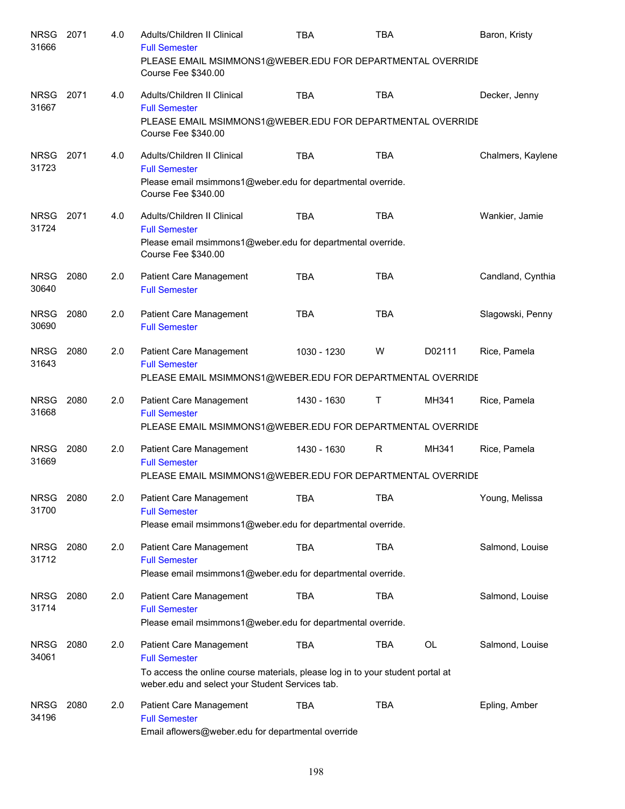| <b>NRSG</b><br>31666 | 2071 | 4.0 | Adults/Children II Clinical<br><b>Full Semester</b>                                                                                       | TBA         | TBA          |        | Baron, Kristy     |
|----------------------|------|-----|-------------------------------------------------------------------------------------------------------------------------------------------|-------------|--------------|--------|-------------------|
|                      |      |     | PLEASE EMAIL MSIMMONS1@WEBER.EDU FOR DEPARTMENTAL OVERRIDE<br>Course Fee \$340.00                                                         |             |              |        |                   |
| <b>NRSG</b><br>31667 | 2071 | 4.0 | Adults/Children II Clinical<br><b>Full Semester</b><br>PLEASE EMAIL MSIMMONS1@WEBER.EDU FOR DEPARTMENTAL OVERRIDE                         | <b>TBA</b>  | <b>TBA</b>   |        | Decker, Jenny     |
|                      |      |     | Course Fee \$340.00                                                                                                                       |             |              |        |                   |
| <b>NRSG</b><br>31723 | 2071 | 4.0 | Adults/Children II Clinical<br><b>Full Semester</b><br>Please email msimmons1@weber.edu for departmental override.                        | <b>TBA</b>  | <b>TBA</b>   |        | Chalmers, Kaylene |
|                      |      |     | Course Fee \$340.00                                                                                                                       |             |              |        |                   |
| <b>NRSG</b><br>31724 | 2071 | 4.0 | Adults/Children II Clinical<br><b>Full Semester</b><br>Please email msimmons1@weber.edu for departmental override.<br>Course Fee \$340.00 | <b>TBA</b>  | <b>TBA</b>   |        | Wankier, Jamie    |
|                      |      |     |                                                                                                                                           |             |              |        |                   |
| <b>NRSG</b><br>30640 | 2080 | 2.0 | Patient Care Management<br><b>Full Semester</b>                                                                                           | <b>TBA</b>  | <b>TBA</b>   |        | Candland, Cynthia |
| <b>NRSG</b><br>30690 | 2080 | 2.0 | Patient Care Management<br><b>Full Semester</b>                                                                                           | <b>TBA</b>  | <b>TBA</b>   |        | Slagowski, Penny  |
| <b>NRSG</b><br>31643 | 2080 | 2.0 | Patient Care Management<br><b>Full Semester</b><br>PLEASE EMAIL MSIMMONS1@WEBER.EDU FOR DEPARTMENTAL OVERRIDE                             | 1030 - 1230 | W            | D02111 | Rice, Pamela      |
| <b>NRSG</b><br>31668 | 2080 | 2.0 | Patient Care Management<br><b>Full Semester</b><br>PLEASE EMAIL MSIMMONS1@WEBER.EDU FOR DEPARTMENTAL OVERRIDE                             | 1430 - 1630 | $\mathsf{T}$ | MH341  | Rice, Pamela      |
| <b>NRSG</b><br>31669 | 2080 | 2.0 | Patient Care Management<br><b>Full Semester</b><br>PLEASE EMAIL MSIMMONS1@WEBER.EDU FOR DEPARTMENTAL OVERRIDE                             | 1430 - 1630 | $\mathsf{R}$ | MH341  | Rice, Pamela      |
| <b>NRSG</b><br>31700 | 2080 | 2.0 | Patient Care Management<br><b>Full Semester</b>                                                                                           | <b>TBA</b>  | <b>TBA</b>   |        | Young, Melissa    |
|                      |      |     | Please email msimmons1@weber.edu for departmental override.                                                                               |             |              |        |                   |
| <b>NRSG</b><br>31712 | 2080 | 2.0 | <b>Patient Care Management</b><br><b>Full Semester</b>                                                                                    | <b>TBA</b>  | <b>TBA</b>   |        | Salmond, Louise   |
|                      |      |     | Please email msimmons1@weber.edu for departmental override.                                                                               |             |              |        |                   |
| <b>NRSG</b><br>31714 | 2080 | 2.0 | Patient Care Management<br><b>Full Semester</b>                                                                                           | <b>TBA</b>  | TBA          |        | Salmond, Louise   |
|                      |      |     | Please email msimmons1@weber.edu for departmental override.                                                                               |             |              |        |                   |
| <b>NRSG</b><br>34061 | 2080 | 2.0 | Patient Care Management<br><b>Full Semester</b>                                                                                           | <b>TBA</b>  | TBA          | OL     | Salmond, Louise   |
|                      |      |     | To access the online course materials, please log in to your student portal at<br>weber.edu and select your Student Services tab.         |             |              |        |                   |
| <b>NRSG</b><br>34196 | 2080 | 2.0 | Patient Care Management<br><b>Full Semester</b><br>Email aflowers@weber.edu for departmental override                                     | <b>TBA</b>  | <b>TBA</b>   |        | Epling, Amber     |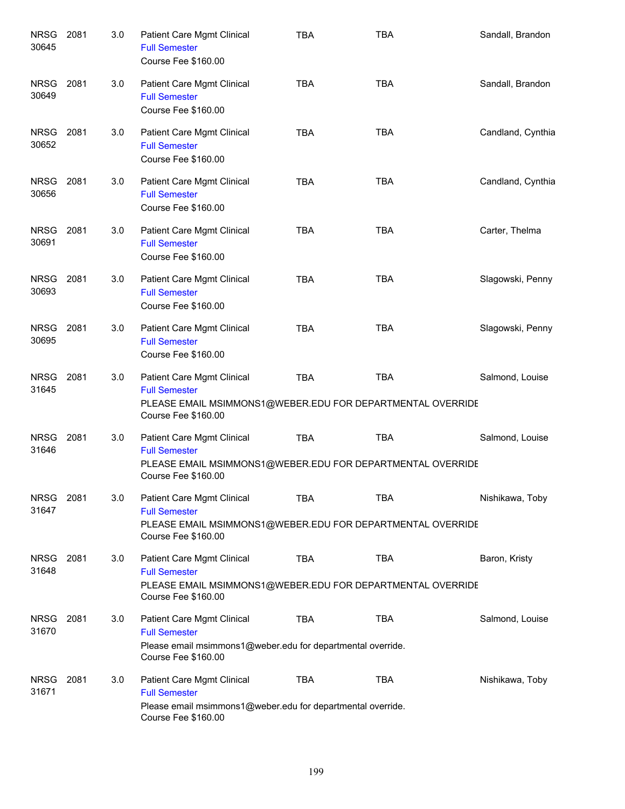| <b>NRSG</b><br>30645 | 2081 | 3.0 | Patient Care Mgmt Clinical<br><b>Full Semester</b><br>Course Fee \$160.00                                                                | <b>TBA</b> | <b>TBA</b> | Sandall, Brandon  |
|----------------------|------|-----|------------------------------------------------------------------------------------------------------------------------------------------|------------|------------|-------------------|
| <b>NRSG</b><br>30649 | 2081 | 3.0 | Patient Care Mgmt Clinical<br><b>Full Semester</b><br>Course Fee \$160.00                                                                | <b>TBA</b> | <b>TBA</b> | Sandall, Brandon  |
| <b>NRSG</b><br>30652 | 2081 | 3.0 | Patient Care Mgmt Clinical<br><b>Full Semester</b><br>Course Fee \$160.00                                                                | <b>TBA</b> | <b>TBA</b> | Candland, Cynthia |
| <b>NRSG</b><br>30656 | 2081 | 3.0 | Patient Care Mgmt Clinical<br><b>Full Semester</b><br>Course Fee \$160.00                                                                | <b>TBA</b> | <b>TBA</b> | Candland, Cynthia |
| <b>NRSG</b><br>30691 | 2081 | 3.0 | Patient Care Mgmt Clinical<br><b>Full Semester</b><br>Course Fee \$160.00                                                                | <b>TBA</b> | <b>TBA</b> | Carter, Thelma    |
| <b>NRSG</b><br>30693 | 2081 | 3.0 | Patient Care Mgmt Clinical<br><b>Full Semester</b><br>Course Fee \$160.00                                                                | <b>TBA</b> | <b>TBA</b> | Slagowski, Penny  |
| <b>NRSG</b><br>30695 | 2081 | 3.0 | Patient Care Mgmt Clinical<br><b>Full Semester</b><br>Course Fee \$160.00                                                                | <b>TBA</b> | <b>TBA</b> | Slagowski, Penny  |
| <b>NRSG</b><br>31645 | 2081 | 3.0 | Patient Care Mgmt Clinical<br><b>Full Semester</b><br>PLEASE EMAIL MSIMMONS1@WEBER.EDU FOR DEPARTMENTAL OVERRIDE<br>Course Fee \$160.00  | <b>TBA</b> | <b>TBA</b> | Salmond, Louise   |
| <b>NRSG</b><br>31646 | 2081 | 3.0 | Patient Care Mgmt Clinical<br><b>Full Semester</b><br>PLEASE EMAIL MSIMMONS1@WEBER.EDU FOR DEPARTMENTAL OVERRIDE<br>Course Fee \$160.00  | <b>TBA</b> | <b>TBA</b> | Salmond, Louise   |
| <b>NRSG</b><br>31647 | 2081 | 3.0 | Patient Care Mgmt Clinical<br><b>Full Semester</b><br>PLEASE EMAIL MSIMMONS1@WEBER.EDU FOR DEPARTMENTAL OVERRIDE<br>Course Fee \$160.00  | <b>TBA</b> | <b>TBA</b> | Nishikawa, Toby   |
| <b>NRSG</b><br>31648 | 2081 | 3.0 | Patient Care Mgmt Clinical<br><b>Full Semester</b><br>PLEASE EMAIL MSIMMONS1@WEBER.EDU FOR DEPARTMENTAL OVERRIDE<br>Course Fee \$160.00  | <b>TBA</b> | <b>TBA</b> | Baron, Kristy     |
| NRSG<br>31670        | 2081 | 3.0 | Patient Care Mgmt Clinical<br><b>Full Semester</b><br>Please email msimmons1@weber.edu for departmental override.<br>Course Fee \$160.00 | TBA        | TBA        | Salmond, Louise   |
| <b>NRSG</b><br>31671 | 2081 | 3.0 | Patient Care Mgmt Clinical<br><b>Full Semester</b><br>Please email msimmons1@weber.edu for departmental override.<br>Course Fee \$160.00 | <b>TBA</b> | <b>TBA</b> | Nishikawa, Toby   |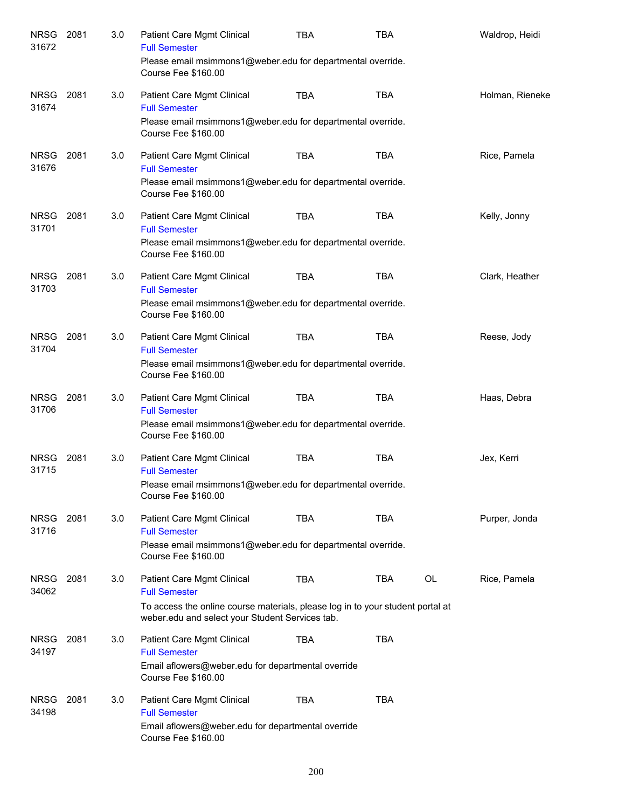| <b>NRSG</b><br>31672 | 2081 | 3.0 | Patient Care Mgmt Clinical<br><b>Full Semester</b>                                                                                       | TBA        | <b>TBA</b> |           | Waldrop, Heidi  |
|----------------------|------|-----|------------------------------------------------------------------------------------------------------------------------------------------|------------|------------|-----------|-----------------|
|                      |      |     | Please email msimmons1@weber.edu for departmental override.<br>Course Fee \$160.00                                                       |            |            |           |                 |
| <b>NRSG</b><br>31674 | 2081 | 3.0 | Patient Care Mgmt Clinical<br><b>Full Semester</b>                                                                                       | <b>TBA</b> | <b>TBA</b> |           | Holman, Rieneke |
|                      |      |     | Please email msimmons1@weber.edu for departmental override.<br>Course Fee \$160.00                                                       |            |            |           |                 |
| <b>NRSG</b><br>31676 | 2081 | 3.0 | Patient Care Mgmt Clinical<br><b>Full Semester</b>                                                                                       | <b>TBA</b> | <b>TBA</b> |           | Rice, Pamela    |
|                      |      |     | Please email msimmons1@weber.edu for departmental override.<br>Course Fee \$160.00                                                       |            |            |           |                 |
| <b>NRSG</b><br>31701 | 2081 | 3.0 | Patient Care Mgmt Clinical<br><b>Full Semester</b>                                                                                       | <b>TBA</b> | <b>TBA</b> |           | Kelly, Jonny    |
|                      |      |     | Please email msimmons1@weber.edu for departmental override.<br>Course Fee \$160.00                                                       |            |            |           |                 |
| <b>NRSG</b><br>31703 | 2081 | 3.0 | Patient Care Mgmt Clinical<br><b>Full Semester</b>                                                                                       | <b>TBA</b> | <b>TBA</b> |           | Clark, Heather  |
|                      |      |     | Please email msimmons1@weber.edu for departmental override.<br>Course Fee \$160.00                                                       |            |            |           |                 |
| <b>NRSG</b><br>31704 | 2081 | 3.0 | Patient Care Mgmt Clinical<br><b>Full Semester</b>                                                                                       | <b>TBA</b> | <b>TBA</b> |           | Reese, Jody     |
|                      |      |     | Please email msimmons1@weber.edu for departmental override.<br>Course Fee \$160.00                                                       |            |            |           |                 |
| <b>NRSG</b><br>31706 | 2081 | 3.0 | Patient Care Mgmt Clinical<br><b>Full Semester</b><br>Please email msimmons1@weber.edu for departmental override.<br>Course Fee \$160.00 | <b>TBA</b> | <b>TBA</b> |           | Haas, Debra     |
| <b>NRSG</b><br>31715 | 2081 | 3.0 | Patient Care Mgmt Clinical<br><b>Full Semester</b>                                                                                       | <b>TBA</b> | <b>TBA</b> |           | Jex, Kerri      |
|                      |      |     | Please email msimmons1@weber.edu for departmental override.<br>Course Fee \$160.00                                                       |            |            |           |                 |
| <b>NRSG</b><br>31716 | 2081 | 3.0 | Patient Care Mgmt Clinical<br><b>Full Semester</b>                                                                                       | <b>TBA</b> | <b>TBA</b> |           | Purper, Jonda   |
|                      |      |     | Please email msimmons1@weber.edu for departmental override.<br>Course Fee \$160.00                                                       |            |            |           |                 |
| <b>NRSG</b><br>34062 | 2081 | 3.0 | Patient Care Mgmt Clinical<br><b>Full Semester</b>                                                                                       | <b>TBA</b> | <b>TBA</b> | <b>OL</b> | Rice, Pamela    |
|                      |      |     | To access the online course materials, please log in to your student portal at<br>weber.edu and select your Student Services tab.        |            |            |           |                 |
| <b>NRSG</b><br>34197 | 2081 | 3.0 | Patient Care Mgmt Clinical<br><b>Full Semester</b>                                                                                       | TBA        | <b>TBA</b> |           |                 |
|                      |      |     | Email aflowers@weber.edu for departmental override<br>Course Fee \$160.00                                                                |            |            |           |                 |
| <b>NRSG</b><br>34198 | 2081 | 3.0 | Patient Care Mgmt Clinical<br><b>Full Semester</b>                                                                                       | <b>TBA</b> | <b>TBA</b> |           |                 |
|                      |      |     | Email aflowers@weber.edu for departmental override<br>Course Fee \$160.00                                                                |            |            |           |                 |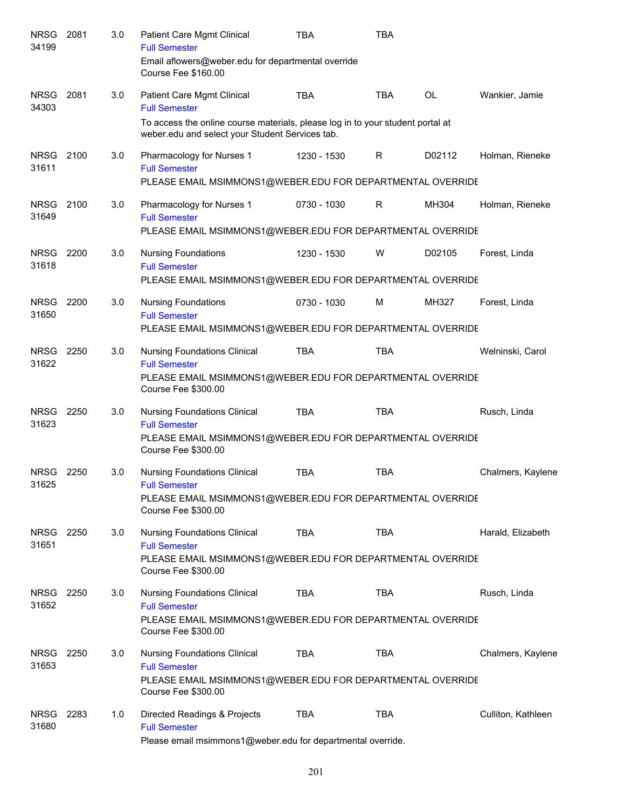| <b>NRSG</b><br>34199 | 2081 | 3.0 | Patient Care Mgmt Clinical<br><b>Full Semester</b>                                                                                               | <b>TBA</b>  | TBA        |           |                    |
|----------------------|------|-----|--------------------------------------------------------------------------------------------------------------------------------------------------|-------------|------------|-----------|--------------------|
|                      |      |     | Email aflowers@weber.edu for departmental override<br>Course Fee \$160.00                                                                        |             |            |           |                    |
| <b>NRSG</b><br>34303 | 2081 | 3.0 | Patient Care Mgmt Clinical<br><b>Full Semester</b>                                                                                               | <b>TBA</b>  | <b>TBA</b> | <b>OL</b> | Wankier, Jamie     |
|                      |      |     | To access the online course materials, please log in to your student portal at<br>weber.edu and select your Student Services tab.                |             |            |           |                    |
| <b>NRSG</b><br>31611 | 2100 | 3.0 | Pharmacology for Nurses 1<br><b>Full Semester</b><br>PLEASE EMAIL MSIMMONS1@WEBER.EDU FOR DEPARTMENTAL OVERRIDE                                  | 1230 - 1530 | R          | D02112    | Holman, Rieneke    |
| <b>NRSG</b><br>31649 | 2100 | 3.0 | Pharmacology for Nurses 1<br><b>Full Semester</b><br>PLEASE EMAIL MSIMMONS1@WEBER.EDU FOR DEPARTMENTAL OVERRIDE                                  | 0730 - 1030 | R          | MH304     | Holman, Rieneke    |
| <b>NRSG</b><br>31618 | 2200 | 3.0 | <b>Nursing Foundations</b><br><b>Full Semester</b><br>PLEASE EMAIL MSIMMONS1@WEBER.EDU FOR DEPARTMENTAL OVERRIDE                                 | 1230 - 1530 | W          | D02105    | Forest, Linda      |
| <b>NRSG</b>          | 2200 | 3.0 | <b>Nursing Foundations</b>                                                                                                                       | 0730 - 1030 | M          | MH327     | Forest, Linda      |
| 31650                |      |     | <b>Full Semester</b><br>PLEASE EMAIL MSIMMONS1@WEBER.EDU FOR DEPARTMENTAL OVERRIDE                                                               |             |            |           |                    |
| <b>NRSG</b><br>31622 | 2250 | 3.0 | <b>Nursing Foundations Clinical</b><br><b>Full Semester</b><br>PLEASE EMAIL MSIMMONS1@WEBER.EDU FOR DEPARTMENTAL OVERRIDE<br>Course Fee \$300.00 | <b>TBA</b>  | <b>TBA</b> |           | Welninski, Carol   |
| <b>NRSG</b><br>31623 | 2250 | 3.0 | <b>Nursing Foundations Clinical</b><br><b>Full Semester</b><br>PLEASE EMAIL MSIMMONS1@WEBER.EDU FOR DEPARTMENTAL OVERRIDE<br>Course Fee \$300.00 | <b>TBA</b>  | <b>TBA</b> |           | Rusch, Linda       |
| <b>NRSG</b><br>31625 | 2250 | 3.0 | <b>Nursing Foundations Clinical</b><br><b>Full Semester</b><br>PLEASE EMAIL MSIMMONS1@WEBER.EDU FOR DEPARTMENTAL OVERRIDE<br>Course Fee \$300.00 | <b>TBA</b>  | <b>TBA</b> |           | Chalmers, Kaylene  |
| NRSG 2250<br>31651   |      | 3.0 | <b>Nursing Foundations Clinical</b><br><b>Full Semester</b><br>PLEASE EMAIL MSIMMONS1@WEBER.EDU FOR DEPARTMENTAL OVERRIDE<br>Course Fee \$300.00 | <b>TBA</b>  | <b>TBA</b> |           | Harald, Elizabeth  |
| <b>NRSG</b><br>31652 | 2250 | 3.0 | <b>Nursing Foundations Clinical</b><br><b>Full Semester</b><br>PLEASE EMAIL MSIMMONS1@WEBER.EDU FOR DEPARTMENTAL OVERRIDE<br>Course Fee \$300.00 | <b>TBA</b>  | <b>TBA</b> |           | Rusch, Linda       |
| <b>NRSG</b><br>31653 | 2250 | 3.0 | <b>Nursing Foundations Clinical</b><br><b>Full Semester</b><br>PLEASE EMAIL MSIMMONS1@WEBER.EDU FOR DEPARTMENTAL OVERRIDE<br>Course Fee \$300.00 | <b>TBA</b>  | <b>TBA</b> |           | Chalmers, Kaylene  |
| <b>NRSG</b><br>31680 | 2283 | 1.0 | Directed Readings & Projects<br><b>Full Semester</b><br>Please email msimmons1@weber.edu for departmental override.                              | <b>TBA</b>  | <b>TBA</b> |           | Culliton, Kathleen |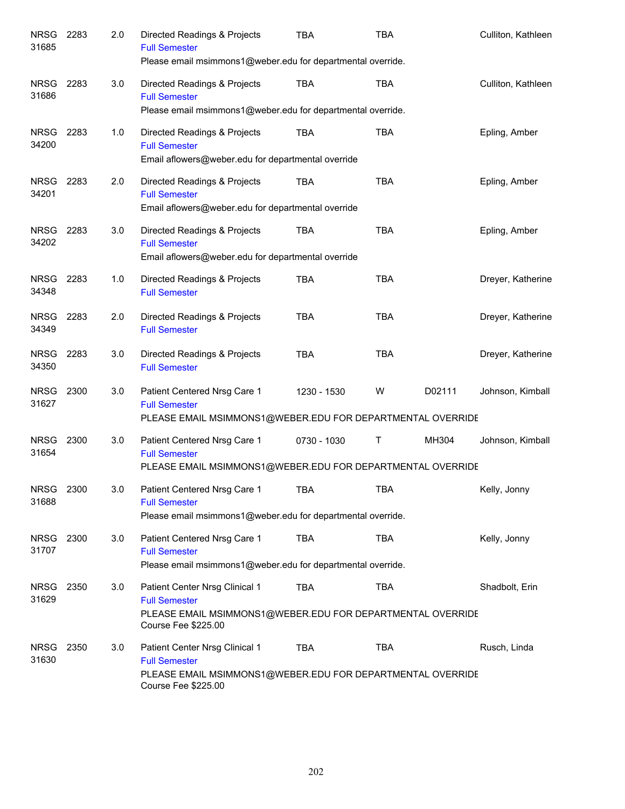| <b>NRSG</b><br>31685 | 2283 | 2.0 | Directed Readings & Projects<br><b>Full Semester</b><br>Please email msimmons1@weber.edu for departmental override.                                | <b>TBA</b>  | <b>TBA</b> |        | Culliton, Kathleen |
|----------------------|------|-----|----------------------------------------------------------------------------------------------------------------------------------------------------|-------------|------------|--------|--------------------|
| <b>NRSG</b><br>31686 | 2283 | 3.0 | Directed Readings & Projects<br><b>Full Semester</b><br>Please email msimmons1@weber.edu for departmental override.                                | <b>TBA</b>  | <b>TBA</b> |        | Culliton, Kathleen |
| <b>NRSG</b><br>34200 | 2283 | 1.0 | Directed Readings & Projects<br><b>Full Semester</b><br>Email aflowers@weber.edu for departmental override                                         | <b>TBA</b>  | <b>TBA</b> |        | Epling, Amber      |
| <b>NRSG</b><br>34201 | 2283 | 2.0 | Directed Readings & Projects<br><b>Full Semester</b><br>Email aflowers@weber.edu for departmental override                                         | <b>TBA</b>  | <b>TBA</b> |        | Epling, Amber      |
| NRSG<br>34202        | 2283 | 3.0 | Directed Readings & Projects<br><b>Full Semester</b><br>Email aflowers@weber.edu for departmental override                                         | <b>TBA</b>  | <b>TBA</b> |        | Epling, Amber      |
| NRSG<br>34348        | 2283 | 1.0 | Directed Readings & Projects<br><b>Full Semester</b>                                                                                               | <b>TBA</b>  | <b>TBA</b> |        | Dreyer, Katherine  |
| <b>NRSG</b><br>34349 | 2283 | 2.0 | Directed Readings & Projects<br><b>Full Semester</b>                                                                                               | <b>TBA</b>  | <b>TBA</b> |        | Dreyer, Katherine  |
| <b>NRSG</b><br>34350 | 2283 | 3.0 | Directed Readings & Projects<br><b>Full Semester</b>                                                                                               | <b>TBA</b>  | <b>TBA</b> |        | Dreyer, Katherine  |
| <b>NRSG</b><br>31627 | 2300 | 3.0 | Patient Centered Nrsg Care 1<br><b>Full Semester</b><br>PLEASE EMAIL MSIMMONS1@WEBER.EDU FOR DEPARTMENTAL OVERRIDE                                 | 1230 - 1530 | W          | D02111 | Johnson, Kimball   |
| <b>NRSG</b><br>31654 | 2300 | 3.0 | Patient Centered Nrsg Care 1<br><b>Full Semester</b><br>PLEASE EMAIL MSIMMONS1@WEBER.EDU FOR DEPARTMENTAL OVERRIDE                                 | 0730 - 1030 | Τ          | MH304  | Johnson, Kimball   |
| <b>NRSG</b><br>31688 | 2300 | 3.0 | Patient Centered Nrsg Care 1<br><b>Full Semester</b><br>Please email msimmons1@weber.edu for departmental override.                                | TBA         | <b>TBA</b> |        | Kelly, Jonny       |
| <b>NRSG</b><br>31707 | 2300 | 3.0 | Patient Centered Nrsg Care 1<br><b>Full Semester</b><br>Please email msimmons1@weber.edu for departmental override.                                | <b>TBA</b>  | <b>TBA</b> |        | Kelly, Jonny       |
| <b>NRSG</b><br>31629 | 2350 | 3.0 | Patient Center Nrsg Clinical 1<br><b>Full Semester</b><br>PLEASE EMAIL MSIMMONS1@WEBER.EDU FOR DEPARTMENTAL OVERRIDE<br><b>Course Fee \$225.00</b> | <b>TBA</b>  | <b>TBA</b> |        | Shadbolt, Erin     |
| <b>NRSG</b><br>31630 | 2350 | 3.0 | Patient Center Nrsg Clinical 1<br><b>Full Semester</b><br>PLEASE EMAIL MSIMMONS1@WEBER.EDU FOR DEPARTMENTAL OVERRIDE<br>Course Fee \$225.00        | <b>TBA</b>  | TBA        |        | Rusch, Linda       |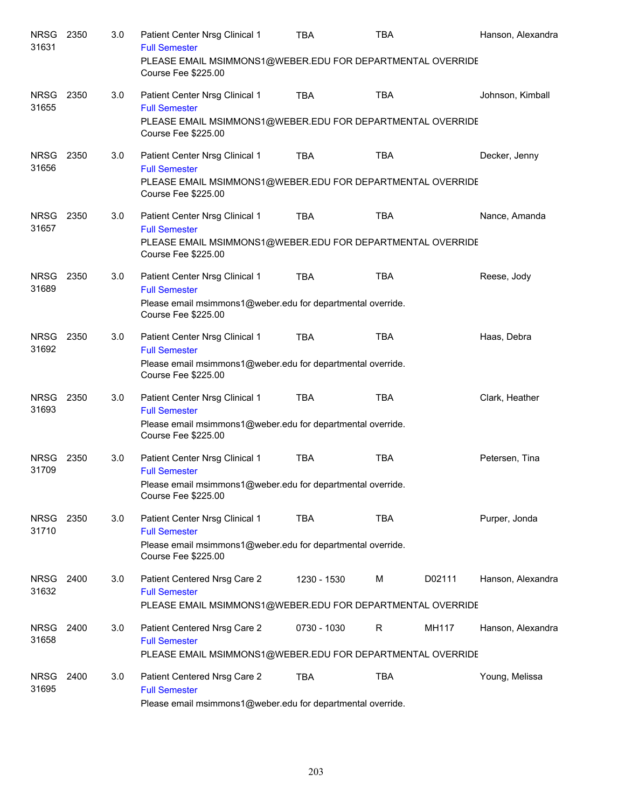| NRSG 2350<br>31631   |      | 3.0 | Patient Center Nrsg Clinical 1<br><b>Full Semester</b>                                                                                              | <b>TBA</b>  | <b>TBA</b>   |        | Hanson, Alexandra |
|----------------------|------|-----|-----------------------------------------------------------------------------------------------------------------------------------------------------|-------------|--------------|--------|-------------------|
|                      |      |     | PLEASE EMAIL MSIMMONS1@WEBER.EDU FOR DEPARTMENTAL OVERRIDE<br>Course Fee \$225.00                                                                   |             |              |        |                   |
| <b>NRSG</b><br>31655 | 2350 | 3.0 | Patient Center Nrsg Clinical 1<br><b>Full Semester</b>                                                                                              | <b>TBA</b>  | <b>TBA</b>   |        | Johnson, Kimball  |
|                      |      |     | PLEASE EMAIL MSIMMONS1@WEBER.EDU FOR DEPARTMENTAL OVERRIDE<br>Course Fee \$225.00                                                                   |             |              |        |                   |
| <b>NRSG</b><br>31656 | 2350 | 3.0 | Patient Center Nrsg Clinical 1<br><b>Full Semester</b>                                                                                              | <b>TBA</b>  | <b>TBA</b>   |        | Decker, Jenny     |
|                      |      |     | PLEASE EMAIL MSIMMONS1@WEBER.EDU FOR DEPARTMENTAL OVERRIDE<br><b>Course Fee \$225.00</b>                                                            |             |              |        |                   |
| <b>NRSG</b><br>31657 | 2350 | 3.0 | Patient Center Nrsg Clinical 1<br><b>Full Semester</b>                                                                                              | <b>TBA</b>  | <b>TBA</b>   |        | Nance, Amanda     |
|                      |      |     | PLEASE EMAIL MSIMMONS1@WEBER.EDU FOR DEPARTMENTAL OVERRIDE<br><b>Course Fee \$225.00</b>                                                            |             |              |        |                   |
| <b>NRSG</b><br>31689 | 2350 | 3.0 | Patient Center Nrsg Clinical 1<br><b>Full Semester</b>                                                                                              | <b>TBA</b>  | <b>TBA</b>   |        | Reese, Jody       |
|                      |      |     | Please email msimmons1@weber.edu for departmental override.<br>Course Fee \$225.00                                                                  |             |              |        |                   |
| NRSG 2350<br>31692   |      | 3.0 | Patient Center Nrsg Clinical 1<br><b>Full Semester</b>                                                                                              | <b>TBA</b>  | <b>TBA</b>   |        | Haas, Debra       |
|                      |      |     | Please email msimmons1@weber.edu for departmental override.<br>Course Fee \$225.00                                                                  |             |              |        |                   |
| <b>NRSG</b><br>31693 | 2350 | 3.0 | Patient Center Nrsg Clinical 1<br><b>Full Semester</b><br>Please email msimmons1@weber.edu for departmental override.<br><b>Course Fee \$225.00</b> | <b>TBA</b>  | <b>TBA</b>   |        | Clark, Heather    |
| <b>NRSG</b><br>31709 | 2350 | 3.0 | Patient Center Nrsg Clinical 1<br><b>Full Semester</b>                                                                                              | <b>TBA</b>  | <b>TBA</b>   |        | Petersen, Tina    |
|                      |      |     | Please email msimmons1@weber.edu for departmental override.<br><b>Course Fee \$225.00</b>                                                           |             |              |        |                   |
| <b>NRSG</b><br>31710 | 2350 | 3.0 | Patient Center Nrsg Clinical 1<br><b>Full Semester</b>                                                                                              | <b>TBA</b>  | <b>TBA</b>   |        | Purper, Jonda     |
|                      |      |     | Please email msimmons1@weber.edu for departmental override.<br><b>Course Fee \$225.00</b>                                                           |             |              |        |                   |
| <b>NRSG</b><br>31632 | 2400 | 3.0 | Patient Centered Nrsg Care 2<br><b>Full Semester</b><br>PLEASE EMAIL MSIMMONS1@WEBER.EDU FOR DEPARTMENTAL OVERRIDE                                  | 1230 - 1530 | M            | D02111 | Hanson, Alexandra |
| <b>NRSG</b><br>31658 | 2400 | 3.0 | Patient Centered Nrsg Care 2<br><b>Full Semester</b><br>PLEASE EMAIL MSIMMONS1@WEBER.EDU FOR DEPARTMENTAL OVERRIDE                                  | 0730 - 1030 | $\mathsf{R}$ | MH117  | Hanson, Alexandra |
| <b>NRSG</b>          | 2400 | 3.0 | Patient Centered Nrsg Care 2                                                                                                                        | <b>TBA</b>  | <b>TBA</b>   |        | Young, Melissa    |
| 31695                |      |     | <b>Full Semester</b><br>Please email msimmons1@weber.edu for departmental override.                                                                 |             |              |        |                   |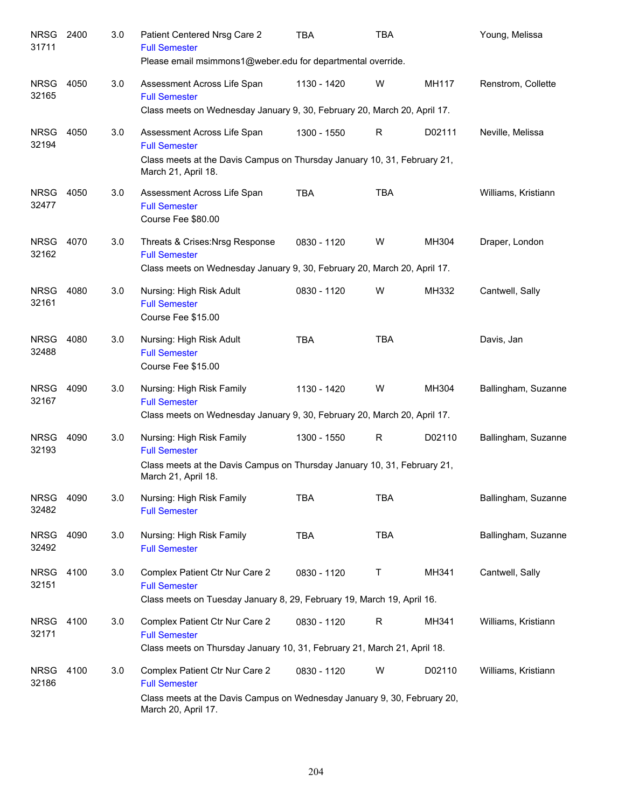| <b>NRSG</b><br>31711 | 2400 | 3.0 | Patient Centered Nrsg Care 2<br><b>Full Semester</b><br>Please email msimmons1@weber.edu for departmental override.                 | <b>TBA</b>  | <b>TBA</b> |        | Young, Melissa      |
|----------------------|------|-----|-------------------------------------------------------------------------------------------------------------------------------------|-------------|------------|--------|---------------------|
|                      |      |     |                                                                                                                                     |             |            |        |                     |
| <b>NRSG</b><br>32165 | 4050 | 3.0 | Assessment Across Life Span<br><b>Full Semester</b>                                                                                 | 1130 - 1420 | W          | MH117  | Renstrom, Collette  |
|                      |      |     | Class meets on Wednesday January 9, 30, February 20, March 20, April 17.                                                            |             |            |        |                     |
| <b>NRSG</b><br>32194 | 4050 | 3.0 | Assessment Across Life Span<br><b>Full Semester</b>                                                                                 | 1300 - 1550 | R          | D02111 | Neville, Melissa    |
|                      |      |     | Class meets at the Davis Campus on Thursday January 10, 31, February 21,<br>March 21, April 18.                                     |             |            |        |                     |
| <b>NRSG</b><br>32477 | 4050 | 3.0 | Assessment Across Life Span<br><b>Full Semester</b><br>Course Fee \$80.00                                                           | <b>TBA</b>  | <b>TBA</b> |        | Williams, Kristiann |
| <b>NRSG</b><br>32162 | 4070 | 3.0 | Threats & Crises: Nrsg Response<br><b>Full Semester</b><br>Class meets on Wednesday January 9, 30, February 20, March 20, April 17. | 0830 - 1120 | W          | MH304  | Draper, London      |
|                      |      |     |                                                                                                                                     |             |            |        |                     |
| <b>NRSG</b><br>32161 | 4080 | 3.0 | Nursing: High Risk Adult<br><b>Full Semester</b><br>Course Fee \$15.00                                                              | 0830 - 1120 | W          | MH332  | Cantwell, Sally     |
| <b>NRSG</b><br>32488 | 4080 | 3.0 | Nursing: High Risk Adult<br><b>Full Semester</b><br>Course Fee \$15.00                                                              | <b>TBA</b>  | <b>TBA</b> |        | Davis, Jan          |
| <b>NRSG</b><br>32167 | 4090 | 3.0 | Nursing: High Risk Family<br><b>Full Semester</b><br>Class meets on Wednesday January 9, 30, February 20, March 20, April 17.       | 1130 - 1420 | W          | MH304  | Ballingham, Suzanne |
| <b>NRSG</b><br>32193 | 4090 | 3.0 | Nursing: High Risk Family<br><b>Full Semester</b>                                                                                   | 1300 - 1550 | R          | D02110 | Ballingham, Suzanne |
|                      |      |     | Class meets at the Davis Campus on Thursday January 10, 31, February 21,<br>March 21, April 18.                                     |             |            |        |                     |
| <b>NRSG</b><br>32482 | 4090 | 3.0 | Nursing: High Risk Family<br><b>Full Semester</b>                                                                                   | <b>TBA</b>  | <b>TBA</b> |        | Ballingham, Suzanne |
| <b>NRSG</b><br>32492 | 4090 | 3.0 | Nursing: High Risk Family<br><b>Full Semester</b>                                                                                   | <b>TBA</b>  | <b>TBA</b> |        | Ballingham, Suzanne |
| <b>NRSG</b><br>32151 | 4100 | 3.0 | Complex Patient Ctr Nur Care 2<br><b>Full Semester</b>                                                                              | 0830 - 1120 | T          | MH341  | Cantwell, Sally     |
|                      |      |     | Class meets on Tuesday January 8, 29, February 19, March 19, April 16.                                                              |             |            |        |                     |
| <b>NRSG</b><br>32171 | 4100 | 3.0 | Complex Patient Ctr Nur Care 2<br><b>Full Semester</b>                                                                              | 0830 - 1120 | R          | MH341  | Williams, Kristiann |
|                      |      |     | Class meets on Thursday January 10, 31, February 21, March 21, April 18.                                                            |             |            |        |                     |
| <b>NRSG</b><br>32186 | 4100 | 3.0 | Complex Patient Ctr Nur Care 2<br><b>Full Semester</b>                                                                              | 0830 - 1120 | W          | D02110 | Williams, Kristiann |
|                      |      |     | Class meets at the Davis Campus on Wednesday January 9, 30, February 20,<br>March 20, April 17.                                     |             |            |        |                     |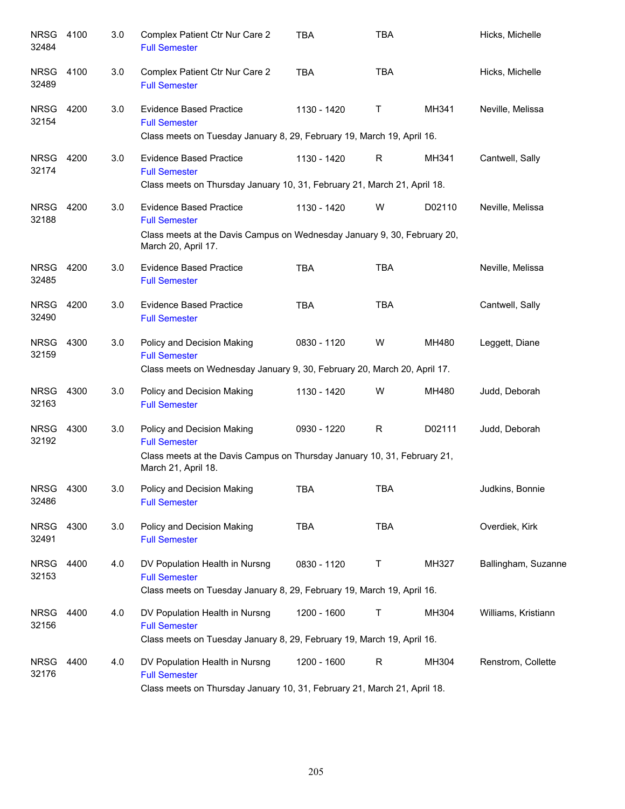| <b>NRSG</b><br>32484 | 4100 | 3.0 | Complex Patient Ctr Nur Care 2<br><b>Full Semester</b>                                                                                                    | <b>TBA</b>  | <b>TBA</b>   |        | Hicks, Michelle     |
|----------------------|------|-----|-----------------------------------------------------------------------------------------------------------------------------------------------------------|-------------|--------------|--------|---------------------|
| <b>NRSG</b><br>32489 | 4100 | 3.0 | Complex Patient Ctr Nur Care 2<br><b>Full Semester</b>                                                                                                    | <b>TBA</b>  | <b>TBA</b>   |        | Hicks, Michelle     |
| <b>NRSG</b><br>32154 | 4200 | 3.0 | <b>Evidence Based Practice</b><br><b>Full Semester</b><br>Class meets on Tuesday January 8, 29, February 19, March 19, April 16.                          | 1130 - 1420 | T            | MH341  | Neville, Melissa    |
| <b>NRSG</b><br>32174 | 4200 | 3.0 | <b>Evidence Based Practice</b><br><b>Full Semester</b><br>Class meets on Thursday January 10, 31, February 21, March 21, April 18.                        | 1130 - 1420 | R            | MH341  | Cantwell, Sally     |
| <b>NRSG</b><br>32188 | 4200 | 3.0 | <b>Evidence Based Practice</b><br><b>Full Semester</b><br>Class meets at the Davis Campus on Wednesday January 9, 30, February 20,<br>March 20, April 17. | 1130 - 1420 | W            | D02110 | Neville, Melissa    |
| <b>NRSG</b><br>32485 | 4200 | 3.0 | <b>Evidence Based Practice</b><br><b>Full Semester</b>                                                                                                    | <b>TBA</b>  | <b>TBA</b>   |        | Neville, Melissa    |
| <b>NRSG</b><br>32490 | 4200 | 3.0 | <b>Evidence Based Practice</b><br><b>Full Semester</b>                                                                                                    | <b>TBA</b>  | <b>TBA</b>   |        | Cantwell, Sally     |
| <b>NRSG</b><br>32159 | 4300 | 3.0 | Policy and Decision Making<br><b>Full Semester</b><br>Class meets on Wednesday January 9, 30, February 20, March 20, April 17.                            | 0830 - 1120 | W            | MH480  | Leggett, Diane      |
| <b>NRSG</b><br>32163 | 4300 | 3.0 | Policy and Decision Making<br><b>Full Semester</b>                                                                                                        | 1130 - 1420 | W            | MH480  | Judd, Deborah       |
| <b>NRSG</b><br>32192 | 4300 | 3.0 | Policy and Decision Making<br><b>Full Semester</b><br>Class meets at the Davis Campus on Thursday January 10, 31, February 21,<br>March 21, April 18.     | 0930 - 1220 | $\mathsf{R}$ | D02111 | Judd, Deborah       |
| <b>NRSG</b><br>32486 | 4300 | 3.0 | Policy and Decision Making<br><b>Full Semester</b>                                                                                                        | TBA         | <b>TBA</b>   |        | Judkins, Bonnie     |
| <b>NRSG</b><br>32491 | 4300 | 3.0 | Policy and Decision Making<br><b>Full Semester</b>                                                                                                        | <b>TBA</b>  | <b>TBA</b>   |        | Overdiek, Kirk      |
| <b>NRSG</b><br>32153 | 4400 | 4.0 | DV Population Health in Nursng<br><b>Full Semester</b><br>Class meets on Tuesday January 8, 29, February 19, March 19, April 16.                          | 0830 - 1120 | $\top$       | MH327  | Ballingham, Suzanne |
| <b>NRSG</b><br>32156 | 4400 | 4.0 | DV Population Health in Nursng<br><b>Full Semester</b><br>Class meets on Tuesday January 8, 29, February 19, March 19, April 16.                          | 1200 - 1600 | $\mathsf T$  | MH304  | Williams, Kristiann |
| <b>NRSG</b><br>32176 | 4400 | 4.0 | DV Population Health in Nursng<br><b>Full Semester</b><br>Class meets on Thursday January 10, 31, February 21, March 21, April 18.                        | 1200 - 1600 | $\mathsf{R}$ | MH304  | Renstrom, Collette  |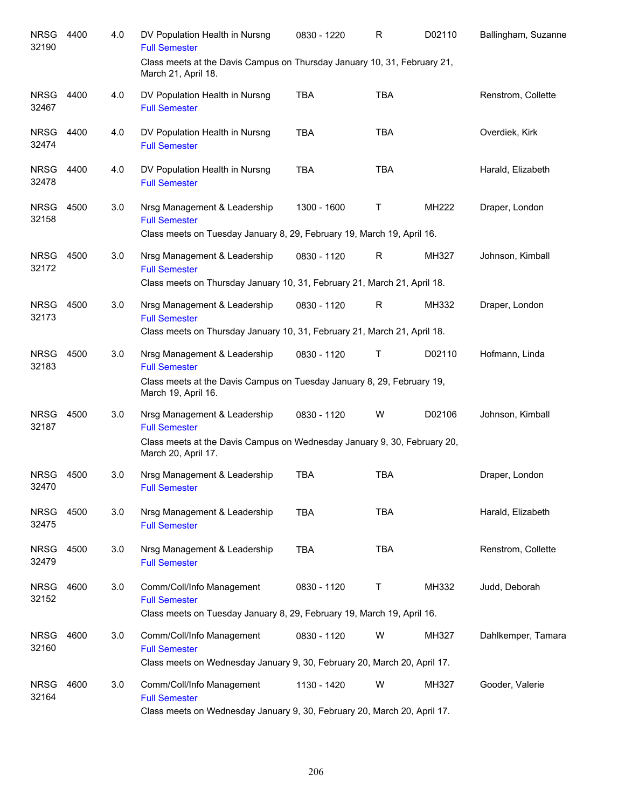| <b>NRSG</b><br>32190 | 4400 | 4.0 | DV Population Health in Nursng<br><b>Full Semester</b>                                                                           | 0830 - 1220 | R            | D02110 | Ballingham, Suzanne |
|----------------------|------|-----|----------------------------------------------------------------------------------------------------------------------------------|-------------|--------------|--------|---------------------|
|                      |      |     | Class meets at the Davis Campus on Thursday January 10, 31, February 21,<br>March 21, April 18.                                  |             |              |        |                     |
| <b>NRSG</b><br>32467 | 4400 | 4.0 | DV Population Health in Nursng<br><b>Full Semester</b>                                                                           | <b>TBA</b>  | <b>TBA</b>   |        | Renstrom, Collette  |
| <b>NRSG</b><br>32474 | 4400 | 4.0 | DV Population Health in Nursng<br><b>Full Semester</b>                                                                           | <b>TBA</b>  | <b>TBA</b>   |        | Overdiek, Kirk      |
| <b>NRSG</b><br>32478 | 4400 | 4.0 | DV Population Health in Nursng<br><b>Full Semester</b>                                                                           | <b>TBA</b>  | <b>TBA</b>   |        | Harald, Elizabeth   |
| <b>NRSG</b><br>32158 | 4500 | 3.0 | Nrsg Management & Leadership<br><b>Full Semester</b>                                                                             | 1300 - 1600 | Τ            | MH222  | Draper, London      |
|                      |      |     | Class meets on Tuesday January 8, 29, February 19, March 19, April 16.                                                           |             |              |        |                     |
| <b>NRSG</b><br>32172 | 4500 | 3.0 | Nrsg Management & Leadership<br><b>Full Semester</b>                                                                             | 0830 - 1120 | R            | MH327  | Johnson, Kimball    |
|                      |      |     | Class meets on Thursday January 10, 31, February 21, March 21, April 18.                                                         |             |              |        |                     |
| <b>NRSG</b><br>32173 | 4500 | 3.0 | Nrsg Management & Leadership<br><b>Full Semester</b><br>Class meets on Thursday January 10, 31, February 21, March 21, April 18. | 0830 - 1120 | R            | MH332  | Draper, London      |
|                      |      |     |                                                                                                                                  |             |              |        |                     |
| <b>NRSG</b><br>32183 | 4500 | 3.0 | Nrsg Management & Leadership<br><b>Full Semester</b><br>Class meets at the Davis Campus on Tuesday January 8, 29, February 19,   | 0830 - 1120 | $\mathsf{T}$ | D02110 | Hofmann, Linda      |
|                      |      |     | March 19, April 16.                                                                                                              |             |              |        |                     |
| <b>NRSG</b><br>32187 | 4500 | 3.0 | Nrsg Management & Leadership<br><b>Full Semester</b>                                                                             | 0830 - 1120 | W            | D02106 | Johnson, Kimball    |
|                      |      |     | Class meets at the Davis Campus on Wednesday January 9, 30, February 20,<br>March 20, April 17.                                  |             |              |        |                     |
| <b>NRSG</b><br>32470 | 4500 | 3.0 | Nrsg Management & Leadership<br><b>Full Semester</b>                                                                             | <b>TBA</b>  | <b>TBA</b>   |        | Draper, London      |
| <b>NRSG</b><br>32475 | 4500 | 3.0 | Nrsg Management & Leadership<br><b>Full Semester</b>                                                                             | <b>TBA</b>  | <b>TBA</b>   |        | Harald, Elizabeth   |
| <b>NRSG</b><br>32479 | 4500 | 3.0 | Nrsg Management & Leadership<br><b>Full Semester</b>                                                                             | <b>TBA</b>  | <b>TBA</b>   |        | Renstrom, Collette  |
| <b>NRSG</b><br>32152 | 4600 | 3.0 | Comm/Coll/Info Management<br><b>Full Semester</b><br>Class meets on Tuesday January 8, 29, February 19, March 19, April 16.      | 0830 - 1120 | Т            | MH332  | Judd, Deborah       |
| <b>NRSG</b><br>32160 | 4600 | 3.0 | Comm/Coll/Info Management<br><b>Full Semester</b><br>Class meets on Wednesday January 9, 30, February 20, March 20, April 17.    | 0830 - 1120 | W            | MH327  | Dahlkemper, Tamara  |
|                      |      |     |                                                                                                                                  |             |              |        |                     |
| <b>NRSG</b><br>32164 | 4600 | 3.0 | Comm/Coll/Info Management<br><b>Full Semester</b><br>Class meets on Wednesday January 9, 30, February 20, March 20, April 17.    | 1130 - 1420 | W            | MH327  | Gooder, Valerie     |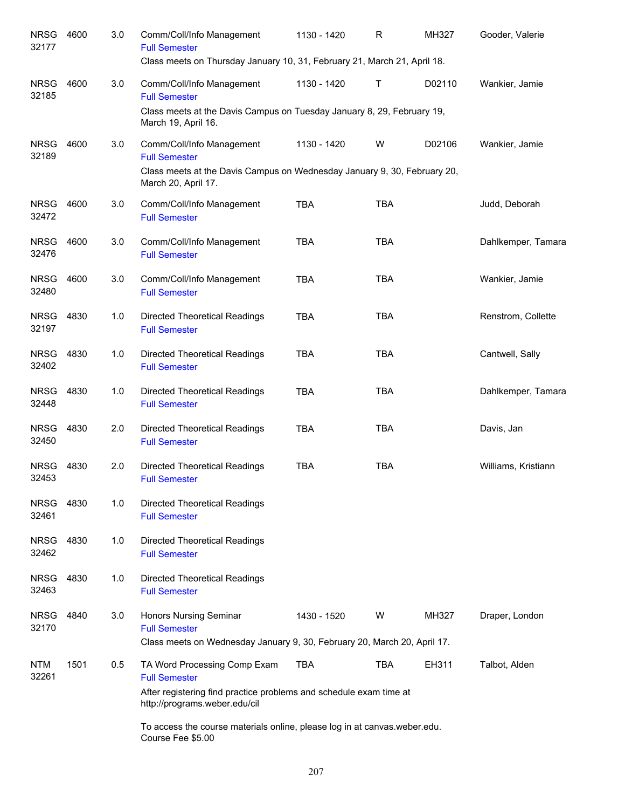| <b>NRSG</b><br>32177 | 4600 | 3.0 | Comm/Coll/Info Management<br><b>Full Semester</b><br>Class meets on Thursday January 10, 31, February 21, March 21, April 18.                                                                                                            | 1130 - 1420 | R            | MH327        | Gooder, Valerie     |
|----------------------|------|-----|------------------------------------------------------------------------------------------------------------------------------------------------------------------------------------------------------------------------------------------|-------------|--------------|--------------|---------------------|
| <b>NRSG</b><br>32185 | 4600 | 3.0 | Comm/Coll/Info Management<br><b>Full Semester</b><br>Class meets at the Davis Campus on Tuesday January 8, 29, February 19,                                                                                                              | 1130 - 1420 | $\mathsf{T}$ | D02110       | Wankier, Jamie      |
| <b>NRSG</b><br>32189 | 4600 | 3.0 | March 19, April 16.<br>Comm/Coll/Info Management<br><b>Full Semester</b><br>Class meets at the Davis Campus on Wednesday January 9, 30, February 20,<br>March 20, April 17.                                                              | 1130 - 1420 | W            | D02106       | Wankier, Jamie      |
| <b>NRSG</b><br>32472 | 4600 | 3.0 | Comm/Coll/Info Management<br><b>Full Semester</b>                                                                                                                                                                                        | <b>TBA</b>  | <b>TBA</b>   |              | Judd, Deborah       |
| <b>NRSG</b><br>32476 | 4600 | 3.0 | Comm/Coll/Info Management<br><b>Full Semester</b>                                                                                                                                                                                        | <b>TBA</b>  | <b>TBA</b>   |              | Dahlkemper, Tamara  |
| <b>NRSG</b><br>32480 | 4600 | 3.0 | Comm/Coll/Info Management<br><b>Full Semester</b>                                                                                                                                                                                        | <b>TBA</b>  | <b>TBA</b>   |              | Wankier, Jamie      |
| <b>NRSG</b><br>32197 | 4830 | 1.0 | <b>Directed Theoretical Readings</b><br><b>Full Semester</b>                                                                                                                                                                             | <b>TBA</b>  | <b>TBA</b>   |              | Renstrom, Collette  |
| <b>NRSG</b><br>32402 | 4830 | 1.0 | <b>Directed Theoretical Readings</b><br><b>Full Semester</b>                                                                                                                                                                             | <b>TBA</b>  | <b>TBA</b>   |              | Cantwell, Sally     |
| <b>NRSG</b><br>32448 | 4830 | 1.0 | <b>Directed Theoretical Readings</b><br><b>Full Semester</b>                                                                                                                                                                             | <b>TBA</b>  | <b>TBA</b>   |              | Dahlkemper, Tamara  |
| <b>NRSG</b><br>32450 | 4830 | 2.0 | <b>Directed Theoretical Readings</b><br><b>Full Semester</b>                                                                                                                                                                             | <b>TBA</b>  | <b>TBA</b>   |              | Davis, Jan          |
| <b>NRSG</b><br>32453 | 4830 | 2.0 | <b>Directed Theoretical Readings</b><br><b>Full Semester</b>                                                                                                                                                                             | <b>TBA</b>  | <b>TBA</b>   |              | Williams, Kristiann |
| <b>NRSG</b><br>32461 | 4830 | 1.0 | <b>Directed Theoretical Readings</b><br><b>Full Semester</b>                                                                                                                                                                             |             |              |              |                     |
| <b>NRSG</b><br>32462 | 4830 | 1.0 | <b>Directed Theoretical Readings</b><br><b>Full Semester</b>                                                                                                                                                                             |             |              |              |                     |
| <b>NRSG</b><br>32463 | 4830 | 1.0 | <b>Directed Theoretical Readings</b><br><b>Full Semester</b>                                                                                                                                                                             |             |              |              |                     |
| <b>NRSG</b><br>32170 | 4840 | 3.0 | <b>Honors Nursing Seminar</b><br><b>Full Semester</b><br>Class meets on Wednesday January 9, 30, February 20, March 20, April 17.                                                                                                        | 1430 - 1520 | W            | <b>MH327</b> | Draper, London      |
| <b>NTM</b><br>32261  | 1501 | 0.5 | TA Word Processing Comp Exam<br><b>Full Semester</b><br>After registering find practice problems and schedule exam time at<br>http://programs.weber.edu/cil<br>To access the course materials online, please log in at canvas weber edu. | <b>TBA</b>  | <b>TBA</b>   | EH311        | Talbot, Alden       |
|                      |      |     | Course Fee \$5.00                                                                                                                                                                                                                        |             |              |              |                     |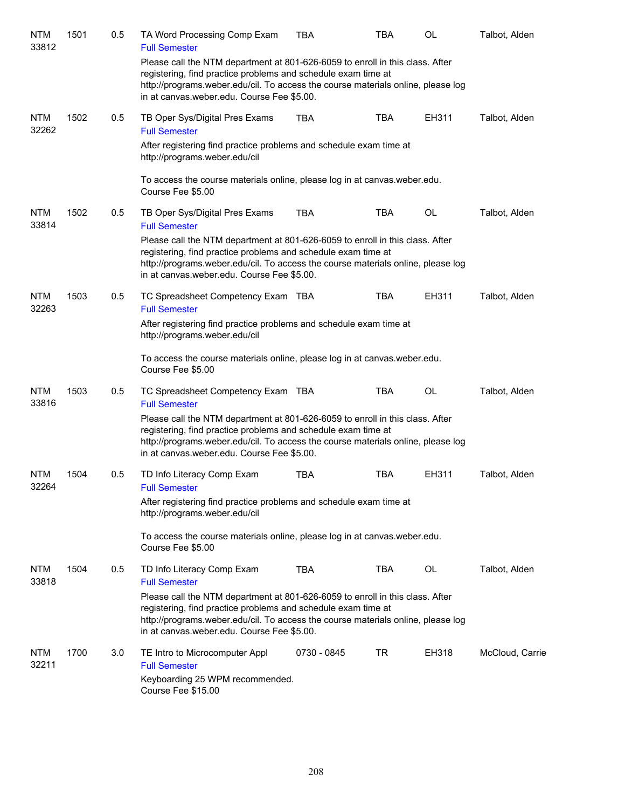| <b>NTM</b><br>33812 | 1501 | 0.5 | TA Word Processing Comp Exam<br><b>Full Semester</b>                                                                                                                                                                                                                             | <b>TBA</b>  | <b>TBA</b> | OL    | Talbot, Alden   |
|---------------------|------|-----|----------------------------------------------------------------------------------------------------------------------------------------------------------------------------------------------------------------------------------------------------------------------------------|-------------|------------|-------|-----------------|
|                     |      |     | Please call the NTM department at 801-626-6059 to enroll in this class. After<br>registering, find practice problems and schedule exam time at<br>http://programs.weber.edu/cil. To access the course materials online, please log<br>in at canvas.weber.edu. Course Fee \$5.00. |             |            |       |                 |
| <b>NTM</b><br>32262 | 1502 | 0.5 | TB Oper Sys/Digital Pres Exams<br><b>Full Semester</b>                                                                                                                                                                                                                           | <b>TBA</b>  | <b>TBA</b> | EH311 | Talbot, Alden   |
|                     |      |     | After registering find practice problems and schedule exam time at<br>http://programs.weber.edu/cil                                                                                                                                                                              |             |            |       |                 |
|                     |      |     | To access the course materials online, please log in at canvas weber edu.<br>Course Fee \$5.00                                                                                                                                                                                   |             |            |       |                 |
| <b>NTM</b><br>33814 | 1502 | 0.5 | TB Oper Sys/Digital Pres Exams<br><b>Full Semester</b>                                                                                                                                                                                                                           | <b>TBA</b>  | <b>TBA</b> | OL    | Talbot, Alden   |
|                     |      |     | Please call the NTM department at 801-626-6059 to enroll in this class. After<br>registering, find practice problems and schedule exam time at<br>http://programs.weber.edu/cil. To access the course materials online, please log<br>in at canvas.weber.edu. Course Fee \$5.00. |             |            |       |                 |
| <b>NTM</b><br>32263 | 1503 | 0.5 | TC Spreadsheet Competency Exam TBA<br><b>Full Semester</b>                                                                                                                                                                                                                       |             | TBA        | EH311 | Talbot, Alden   |
|                     |      |     | After registering find practice problems and schedule exam time at<br>http://programs.weber.edu/cil                                                                                                                                                                              |             |            |       |                 |
|                     |      |     | To access the course materials online, please log in at canvas weber edu.<br>Course Fee \$5.00                                                                                                                                                                                   |             |            |       |                 |
| <b>NTM</b><br>33816 | 1503 | 0.5 | TC Spreadsheet Competency Exam TBA<br><b>Full Semester</b>                                                                                                                                                                                                                       |             | <b>TBA</b> | OL    | Talbot, Alden   |
|                     |      |     | Please call the NTM department at 801-626-6059 to enroll in this class. After<br>registering, find practice problems and schedule exam time at<br>http://programs.weber.edu/cil. To access the course materials online, please log<br>in at canvas.weber.edu. Course Fee \$5.00. |             |            |       |                 |
| <b>NTM</b><br>32264 | 1504 | 0.5 | TD Info Literacy Comp Exam<br><b>Full Semester</b>                                                                                                                                                                                                                               | <b>TBA</b>  | <b>TBA</b> | EH311 | Talbot, Alden   |
|                     |      |     | After registering find practice problems and schedule exam time at<br>http://programs.weber.edu/cil                                                                                                                                                                              |             |            |       |                 |
|                     |      |     | To access the course materials online, please log in at canvas weber edu.<br>Course Fee \$5.00                                                                                                                                                                                   |             |            |       |                 |
| <b>NTM</b><br>33818 | 1504 | 0.5 | TD Info Literacy Comp Exam<br><b>Full Semester</b>                                                                                                                                                                                                                               | <b>TBA</b>  | <b>TBA</b> | OL    | Talbot, Alden   |
|                     |      |     | Please call the NTM department at 801-626-6059 to enroll in this class. After<br>registering, find practice problems and schedule exam time at<br>http://programs.weber.edu/cil. To access the course materials online, please log<br>in at canvas.weber.edu. Course Fee \$5.00. |             |            |       |                 |
| <b>NTM</b><br>32211 | 1700 | 3.0 | TE Intro to Microcomputer Appl<br><b>Full Semester</b>                                                                                                                                                                                                                           | 0730 - 0845 | TR         | EH318 | McCloud, Carrie |
|                     |      |     | Keyboarding 25 WPM recommended.<br>Course Fee \$15.00                                                                                                                                                                                                                            |             |            |       |                 |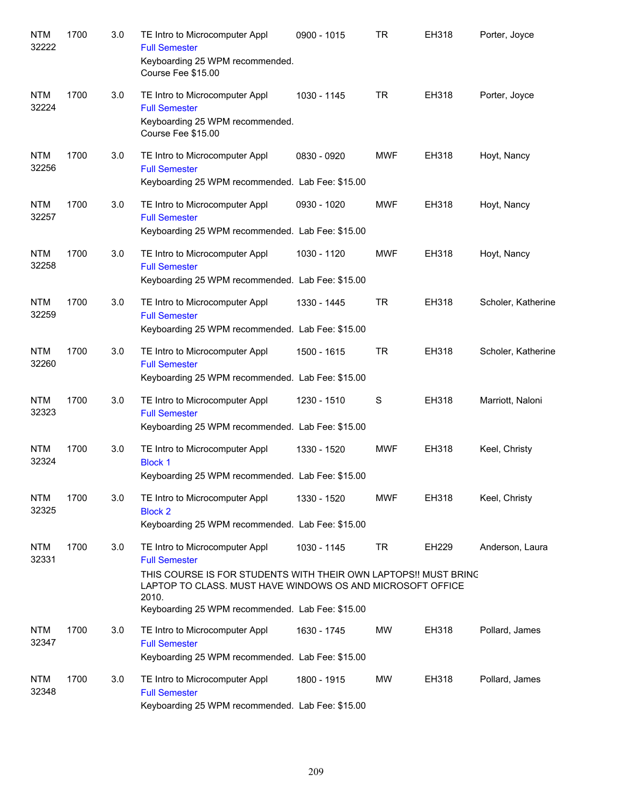| <b>NTM</b><br>32222 | 1700 | 3.0 | TE Intro to Microcomputer Appl<br><b>Full Semester</b><br>Keyboarding 25 WPM recommended.<br>Course Fee \$15.00                                                                                                                                      | 0900 - 1015 | <b>TR</b>   | EH318        | Porter, Joyce      |
|---------------------|------|-----|------------------------------------------------------------------------------------------------------------------------------------------------------------------------------------------------------------------------------------------------------|-------------|-------------|--------------|--------------------|
| <b>NTM</b><br>32224 | 1700 | 3.0 | TE Intro to Microcomputer Appl<br><b>Full Semester</b><br>Keyboarding 25 WPM recommended.<br>Course Fee \$15.00                                                                                                                                      | 1030 - 1145 | <b>TR</b>   | EH318        | Porter, Joyce      |
| <b>NTM</b><br>32256 | 1700 | 3.0 | TE Intro to Microcomputer Appl<br><b>Full Semester</b><br>Keyboarding 25 WPM recommended. Lab Fee: \$15.00                                                                                                                                           | 0830 - 0920 | <b>MWF</b>  | EH318        | Hoyt, Nancy        |
| <b>NTM</b><br>32257 | 1700 | 3.0 | TE Intro to Microcomputer Appl<br><b>Full Semester</b><br>Keyboarding 25 WPM recommended. Lab Fee: \$15.00                                                                                                                                           | 0930 - 1020 | <b>MWF</b>  | EH318        | Hoyt, Nancy        |
| <b>NTM</b><br>32258 | 1700 | 3.0 | TE Intro to Microcomputer Appl<br><b>Full Semester</b><br>Keyboarding 25 WPM recommended. Lab Fee: \$15.00                                                                                                                                           | 1030 - 1120 | <b>MWF</b>  | EH318        | Hoyt, Nancy        |
| <b>NTM</b><br>32259 | 1700 | 3.0 | TE Intro to Microcomputer Appl<br><b>Full Semester</b><br>Keyboarding 25 WPM recommended. Lab Fee: \$15.00                                                                                                                                           | 1330 - 1445 | <b>TR</b>   | EH318        | Scholer, Katherine |
| <b>NTM</b><br>32260 | 1700 | 3.0 | TE Intro to Microcomputer Appl<br><b>Full Semester</b><br>Keyboarding 25 WPM recommended. Lab Fee: \$15.00                                                                                                                                           | 1500 - 1615 | <b>TR</b>   | EH318        | Scholer, Katherine |
| <b>NTM</b><br>32323 | 1700 | 3.0 | TE Intro to Microcomputer Appl<br><b>Full Semester</b><br>Keyboarding 25 WPM recommended. Lab Fee: \$15.00                                                                                                                                           | 1230 - 1510 | $\mathbf S$ | EH318        | Marriott, Naloni   |
| <b>NTM</b><br>32324 | 1700 | 3.0 | TE Intro to Microcomputer Appl<br><b>Block 1</b><br>Keyboarding 25 WPM recommended. Lab Fee: \$15.00                                                                                                                                                 | 1330 - 1520 | <b>MWF</b>  | EH318        | Keel, Christy      |
| <b>NTM</b><br>32325 | 1700 | 3.0 | TE Intro to Microcomputer Appl<br><b>Block 2</b><br>Keyboarding 25 WPM recommended. Lab Fee: \$15.00                                                                                                                                                 | 1330 - 1520 | <b>MWF</b>  | EH318        | Keel, Christy      |
| NTM<br>32331        | 1700 | 3.0 | TE Intro to Microcomputer Appl<br><b>Full Semester</b><br>THIS COURSE IS FOR STUDENTS WITH THEIR OWN LAPTOPS!! MUST BRING<br>LAPTOP TO CLASS. MUST HAVE WINDOWS OS AND MICROSOFT OFFICE<br>2010.<br>Keyboarding 25 WPM recommended. Lab Fee: \$15.00 | 1030 - 1145 | <b>TR</b>   | <b>EH229</b> | Anderson, Laura    |
| <b>NTM</b><br>32347 | 1700 | 3.0 | TE Intro to Microcomputer Appl<br><b>Full Semester</b><br>Keyboarding 25 WPM recommended. Lab Fee: \$15.00                                                                                                                                           | 1630 - 1745 | MW          | EH318        | Pollard, James     |
| <b>NTM</b><br>32348 | 1700 | 3.0 | TE Intro to Microcomputer Appl<br><b>Full Semester</b><br>Keyboarding 25 WPM recommended. Lab Fee: \$15.00                                                                                                                                           | 1800 - 1915 | MW          | EH318        | Pollard, James     |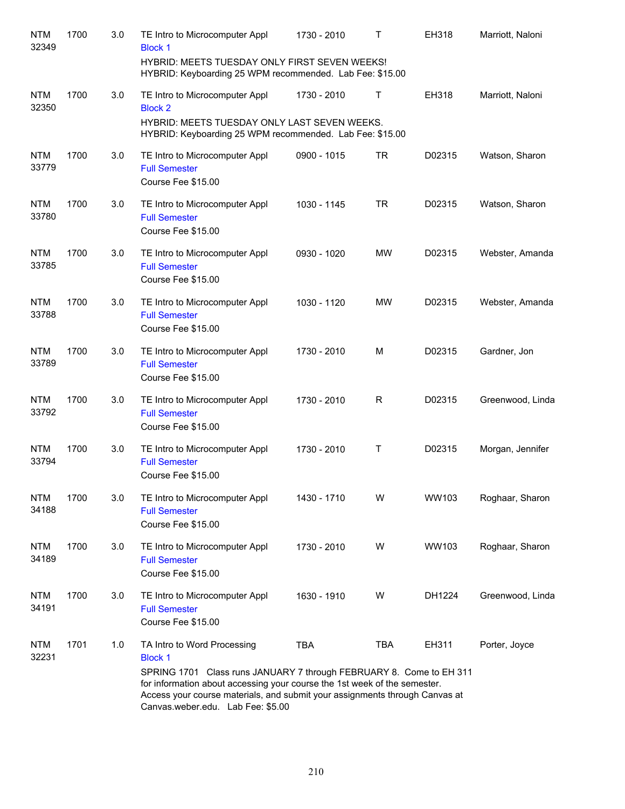| <b>NTM</b><br>32349 | 1700 | 3.0 | TE Intro to Microcomputer Appl<br><b>Block 1</b><br>HYBRID: MEETS TUESDAY ONLY FIRST SEVEN WEEKS!<br>HYBRID: Keyboarding 25 WPM recommended. Lab Fee: \$15.00                                                                                                                                                         | 1730 - 2010 | T          | EH318  | Marriott, Naloni |
|---------------------|------|-----|-----------------------------------------------------------------------------------------------------------------------------------------------------------------------------------------------------------------------------------------------------------------------------------------------------------------------|-------------|------------|--------|------------------|
| <b>NTM</b><br>32350 | 1700 | 3.0 | TE Intro to Microcomputer Appl<br><b>Block 2</b><br>HYBRID: MEETS TUESDAY ONLY LAST SEVEN WEEKS.<br>HYBRID: Keyboarding 25 WPM recommended. Lab Fee: \$15.00                                                                                                                                                          | 1730 - 2010 | т          | EH318  | Marriott, Naloni |
| <b>NTM</b><br>33779 | 1700 | 3.0 | TE Intro to Microcomputer Appl<br><b>Full Semester</b><br>Course Fee \$15.00                                                                                                                                                                                                                                          | 0900 - 1015 | <b>TR</b>  | D02315 | Watson, Sharon   |
| <b>NTM</b><br>33780 | 1700 | 3.0 | TE Intro to Microcomputer Appl<br><b>Full Semester</b><br>Course Fee \$15.00                                                                                                                                                                                                                                          | 1030 - 1145 | <b>TR</b>  | D02315 | Watson, Sharon   |
| <b>NTM</b><br>33785 | 1700 | 3.0 | TE Intro to Microcomputer Appl<br><b>Full Semester</b><br>Course Fee \$15.00                                                                                                                                                                                                                                          | 0930 - 1020 | <b>MW</b>  | D02315 | Webster, Amanda  |
| <b>NTM</b><br>33788 | 1700 | 3.0 | TE Intro to Microcomputer Appl<br><b>Full Semester</b><br>Course Fee \$15.00                                                                                                                                                                                                                                          | 1030 - 1120 | <b>MW</b>  | D02315 | Webster, Amanda  |
| <b>NTM</b><br>33789 | 1700 | 3.0 | TE Intro to Microcomputer Appl<br><b>Full Semester</b><br>Course Fee \$15.00                                                                                                                                                                                                                                          | 1730 - 2010 | M          | D02315 | Gardner, Jon     |
| <b>NTM</b><br>33792 | 1700 | 3.0 | TE Intro to Microcomputer Appl<br><b>Full Semester</b><br>Course Fee \$15.00                                                                                                                                                                                                                                          | 1730 - 2010 | R          | D02315 | Greenwood, Linda |
| <b>NTM</b><br>33794 | 1700 | 3.0 | TE Intro to Microcomputer Appl<br><b>Full Semester</b><br>Course Fee \$15.00                                                                                                                                                                                                                                          | 1730 - 2010 | Τ          | D02315 | Morgan, Jennifer |
| <b>NTM</b><br>34188 | 1700 | 3.0 | TE Intro to Microcomputer Appl<br><b>Full Semester</b><br>Course Fee \$15.00                                                                                                                                                                                                                                          | 1430 - 1710 | W          | WW103  | Roghaar, Sharon  |
| <b>NTM</b><br>34189 | 1700 | 3.0 | TE Intro to Microcomputer Appl<br><b>Full Semester</b><br>Course Fee \$15.00                                                                                                                                                                                                                                          | 1730 - 2010 | W          | WW103  | Roghaar, Sharon  |
| <b>NTM</b><br>34191 | 1700 | 3.0 | TE Intro to Microcomputer Appl<br><b>Full Semester</b><br>Course Fee \$15.00                                                                                                                                                                                                                                          | 1630 - 1910 | W          | DH1224 | Greenwood, Linda |
| <b>NTM</b><br>32231 | 1701 | 1.0 | TA Intro to Word Processing<br><b>Block 1</b><br>SPRING 1701 Class runs JANUARY 7 through FEBRUARY 8. Come to EH 311<br>for information about accessing your course the 1st week of the semester.<br>Access your course materials, and submit your assignments through Canvas at<br>Canvas.weber.edu. Lab Fee: \$5.00 | <b>TBA</b>  | <b>TBA</b> | EH311  | Porter, Joyce    |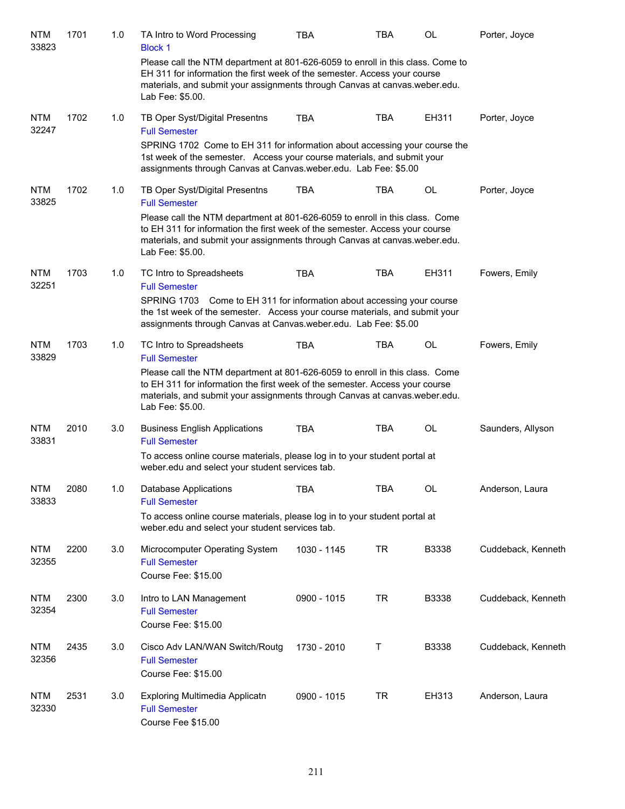| <b>NTM</b><br>33823 | 1701 | 1.0 | TA Intro to Word Processing<br><b>Block 1</b>                                                                                                                                                                                                                                                                      | <b>TBA</b>  | TBA        | OL        | Porter, Joyce      |
|---------------------|------|-----|--------------------------------------------------------------------------------------------------------------------------------------------------------------------------------------------------------------------------------------------------------------------------------------------------------------------|-------------|------------|-----------|--------------------|
|                     |      |     | Please call the NTM department at 801-626-6059 to enroll in this class. Come to<br>EH 311 for information the first week of the semester. Access your course<br>materials, and submit your assignments through Canvas at canvas weber edu.<br>Lab Fee: \$5.00.                                                     |             |            |           |                    |
| <b>NTM</b><br>32247 | 1702 | 1.0 | TB Oper Syst/Digital Presentns<br><b>Full Semester</b>                                                                                                                                                                                                                                                             | <b>TBA</b>  | <b>TBA</b> | EH311     | Porter, Joyce      |
|                     |      |     | SPRING 1702 Come to EH 311 for information about accessing your course the<br>1st week of the semester. Access your course materials, and submit your<br>assignments through Canvas at Canvas.weber.edu. Lab Fee: \$5.00                                                                                           |             |            |           |                    |
| <b>NTM</b><br>33825 | 1702 | 1.0 | TB Oper Syst/Digital Presentns<br><b>Full Semester</b>                                                                                                                                                                                                                                                             | <b>TBA</b>  | <b>TBA</b> | <b>OL</b> | Porter, Joyce      |
|                     |      |     | Please call the NTM department at 801-626-6059 to enroll in this class. Come<br>to EH 311 for information the first week of the semester. Access your course<br>materials, and submit your assignments through Canvas at canvas.weber.edu.<br>Lab Fee: \$5.00.                                                     |             |            |           |                    |
| <b>NTM</b><br>32251 | 1703 | 1.0 | TC Intro to Spreadsheets<br><b>Full Semester</b><br>SPRING 1703 Come to EH 311 for information about accessing your course<br>the 1st week of the semester. Access your course materials, and submit your<br>assignments through Canvas at Canvas.weber.edu. Lab Fee: \$5.00                                       | <b>TBA</b>  | <b>TBA</b> | EH311     | Fowers, Emily      |
| <b>NTM</b><br>33829 | 1703 | 1.0 | TC Intro to Spreadsheets<br><b>Full Semester</b><br>Please call the NTM department at 801-626-6059 to enroll in this class. Come<br>to EH 311 for information the first week of the semester. Access your course<br>materials, and submit your assignments through Canvas at canvas weber edu.<br>Lab Fee: \$5.00. | <b>TBA</b>  | <b>TBA</b> | <b>OL</b> | Fowers, Emily      |
| <b>NTM</b><br>33831 | 2010 | 3.0 | <b>Business English Applications</b><br><b>Full Semester</b><br>To access online course materials, please log in to your student portal at<br>weber.edu and select your student services tab.                                                                                                                      | <b>TBA</b>  | <b>TBA</b> | <b>OL</b> | Saunders, Allyson  |
| <b>NTM</b><br>33833 | 2080 | 1.0 | <b>Database Applications</b><br><b>Full Semester</b><br>To access online course materials, please log in to your student portal at<br>weber.edu and select your student services tab.                                                                                                                              | <b>TBA</b>  | TBA        | OL        | Anderson, Laura    |
| NTM<br>32355        | 2200 | 3.0 | Microcomputer Operating System<br><b>Full Semester</b><br>Course Fee: \$15.00                                                                                                                                                                                                                                      | 1030 - 1145 | TR         | B3338     | Cuddeback, Kenneth |
| <b>NTM</b><br>32354 | 2300 | 3.0 | Intro to LAN Management<br><b>Full Semester</b><br>Course Fee: \$15.00                                                                                                                                                                                                                                             | 0900 - 1015 | <b>TR</b>  | B3338     | Cuddeback, Kenneth |
| <b>NTM</b><br>32356 | 2435 | 3.0 | Cisco Adv LAN/WAN Switch/Routg<br><b>Full Semester</b><br>Course Fee: \$15.00                                                                                                                                                                                                                                      | 1730 - 2010 | Τ          | B3338     | Cuddeback, Kenneth |
| <b>NTM</b><br>32330 | 2531 | 3.0 | Exploring Multimedia Applicatn<br><b>Full Semester</b><br>Course Fee \$15.00                                                                                                                                                                                                                                       | 0900 - 1015 | <b>TR</b>  | EH313     | Anderson, Laura    |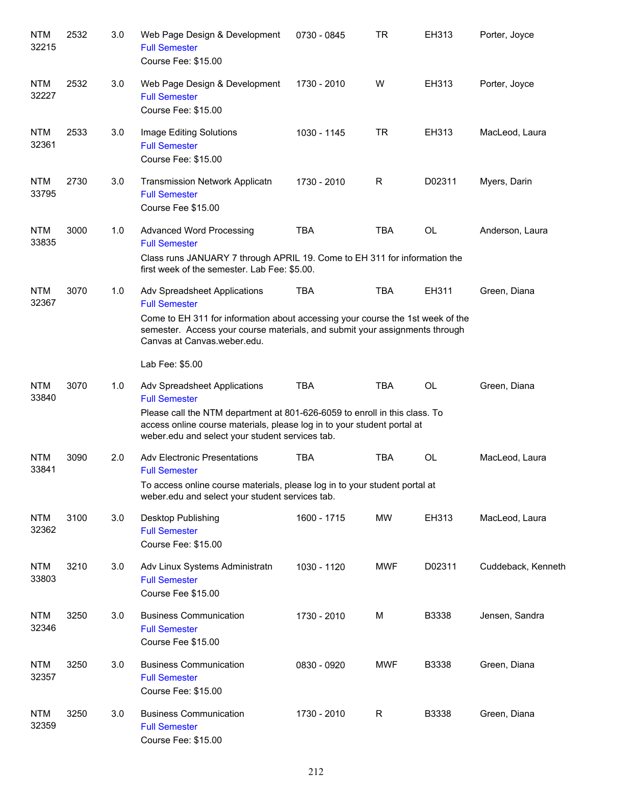| <b>NTM</b><br>32215 | 2532 | 3.0 | Web Page Design & Development<br><b>Full Semester</b><br>Course Fee: \$15.00                                                                                                                                                                                     | 0730 - 0845 | <b>TR</b>   | EH313     | Porter, Joyce      |
|---------------------|------|-----|------------------------------------------------------------------------------------------------------------------------------------------------------------------------------------------------------------------------------------------------------------------|-------------|-------------|-----------|--------------------|
| <b>NTM</b><br>32227 | 2532 | 3.0 | Web Page Design & Development<br><b>Full Semester</b><br>Course Fee: \$15.00                                                                                                                                                                                     | 1730 - 2010 | W           | EH313     | Porter, Joyce      |
| <b>NTM</b><br>32361 | 2533 | 3.0 | Image Editing Solutions<br><b>Full Semester</b><br>Course Fee: \$15.00                                                                                                                                                                                           | 1030 - 1145 | <b>TR</b>   | EH313     | MacLeod, Laura     |
| <b>NTM</b><br>33795 | 2730 | 3.0 | <b>Transmission Network Applicatn</b><br><b>Full Semester</b><br>Course Fee \$15.00                                                                                                                                                                              | 1730 - 2010 | R           | D02311    | Myers, Darin       |
| <b>NTM</b><br>33835 | 3000 | 1.0 | <b>Advanced Word Processing</b><br><b>Full Semester</b><br>Class runs JANUARY 7 through APRIL 19. Come to EH 311 for information the<br>first week of the semester. Lab Fee: \$5.00.                                                                             | <b>TBA</b>  | <b>TBA</b>  | <b>OL</b> | Anderson, Laura    |
| <b>NTM</b><br>32367 | 3070 | 1.0 | Adv Spreadsheet Applications<br><b>Full Semester</b><br>Come to EH 311 for information about accessing your course the 1st week of the<br>semester. Access your course materials, and submit your assignments through<br>Canvas at Canvas.weber.edu.             | <b>TBA</b>  | <b>TBA</b>  | EH311     | Green, Diana       |
|                     |      |     | Lab Fee: \$5.00                                                                                                                                                                                                                                                  |             |             |           |                    |
| <b>NTM</b><br>33840 | 3070 | 1.0 | Adv Spreadsheet Applications<br><b>Full Semester</b><br>Please call the NTM department at 801-626-6059 to enroll in this class. To<br>access online course materials, please log in to your student portal at<br>weber.edu and select your student services tab. | <b>TBA</b>  | <b>TBA</b>  | <b>OL</b> | Green, Diana       |
| <b>NTM</b><br>33841 | 3090 | 2.0 | <b>Adv Electronic Presentations</b><br><b>Full Semester</b><br>To access online course materials, please log in to your student portal at<br>weber.edu and select your student services tab.                                                                     | <b>TBA</b>  | <b>TBA</b>  | <b>OL</b> | MacLeod, Laura     |
| <b>NTM</b><br>32362 | 3100 | 3.0 | Desktop Publishing<br><b>Full Semester</b><br>Course Fee: \$15.00                                                                                                                                                                                                | 1600 - 1715 | <b>MW</b>   | EH313     | MacLeod, Laura     |
| <b>NTM</b><br>33803 | 3210 | 3.0 | Adv Linux Systems Administratn<br><b>Full Semester</b><br>Course Fee \$15.00                                                                                                                                                                                     | 1030 - 1120 | <b>MWF</b>  | D02311    | Cuddeback, Kenneth |
| <b>NTM</b><br>32346 | 3250 | 3.0 | <b>Business Communication</b><br><b>Full Semester</b><br>Course Fee \$15.00                                                                                                                                                                                      | 1730 - 2010 | М           | B3338     | Jensen, Sandra     |
| <b>NTM</b><br>32357 | 3250 | 3.0 | <b>Business Communication</b><br><b>Full Semester</b><br>Course Fee: \$15.00                                                                                                                                                                                     | 0830 - 0920 | <b>MWF</b>  | B3338     | Green, Diana       |
| <b>NTM</b><br>32359 | 3250 | 3.0 | <b>Business Communication</b><br><b>Full Semester</b><br>Course Fee: \$15.00                                                                                                                                                                                     | 1730 - 2010 | $\mathsf R$ | B3338     | Green, Diana       |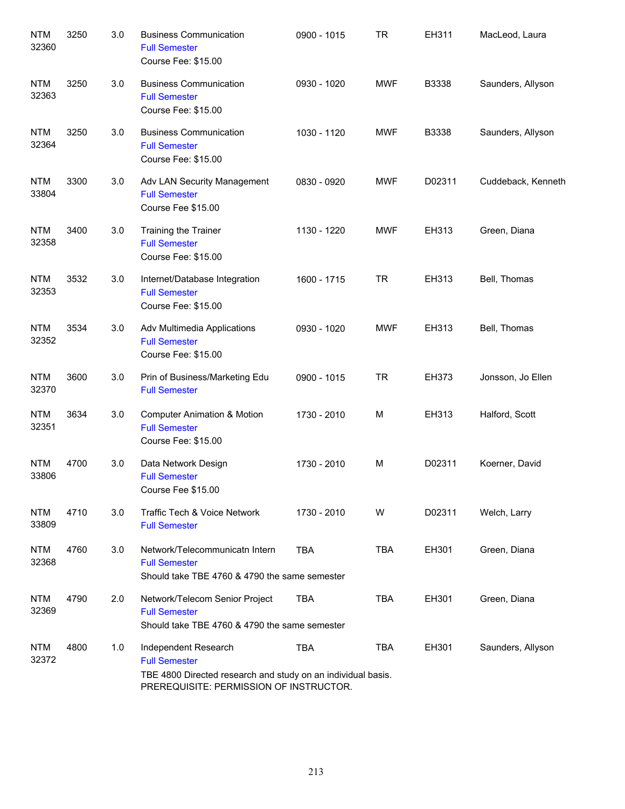| <b>NTM</b><br>32360 | 3250 | 3.0 | <b>Business Communication</b><br><b>Full Semester</b><br>Course Fee: \$15.00                                                                            | 0900 - 1015 | <b>TR</b>  | EH311  | MacLeod, Laura     |
|---------------------|------|-----|---------------------------------------------------------------------------------------------------------------------------------------------------------|-------------|------------|--------|--------------------|
| <b>NTM</b><br>32363 | 3250 | 3.0 | <b>Business Communication</b><br><b>Full Semester</b><br>Course Fee: \$15.00                                                                            | 0930 - 1020 | <b>MWF</b> | B3338  | Saunders, Allyson  |
| <b>NTM</b><br>32364 | 3250 | 3.0 | <b>Business Communication</b><br><b>Full Semester</b><br>Course Fee: \$15.00                                                                            | 1030 - 1120 | <b>MWF</b> | B3338  | Saunders, Allyson  |
| <b>NTM</b><br>33804 | 3300 | 3.0 | Adv LAN Security Management<br><b>Full Semester</b><br>Course Fee \$15.00                                                                               | 0830 - 0920 | <b>MWF</b> | D02311 | Cuddeback, Kenneth |
| <b>NTM</b><br>32358 | 3400 | 3.0 | Training the Trainer<br><b>Full Semester</b><br>Course Fee: \$15.00                                                                                     | 1130 - 1220 | <b>MWF</b> | EH313  | Green, Diana       |
| <b>NTM</b><br>32353 | 3532 | 3.0 | Internet/Database Integration<br><b>Full Semester</b><br>Course Fee: \$15.00                                                                            | 1600 - 1715 | <b>TR</b>  | EH313  | Bell, Thomas       |
| <b>NTM</b><br>32352 | 3534 | 3.0 | Adv Multimedia Applications<br><b>Full Semester</b><br>Course Fee: \$15.00                                                                              | 0930 - 1020 | <b>MWF</b> | EH313  | Bell, Thomas       |
| <b>NTM</b><br>32370 | 3600 | 3.0 | Prin of Business/Marketing Edu<br><b>Full Semester</b>                                                                                                  | 0900 - 1015 | <b>TR</b>  | EH373  | Jonsson, Jo Ellen  |
| <b>NTM</b><br>32351 | 3634 | 3.0 | <b>Computer Animation &amp; Motion</b><br><b>Full Semester</b><br>Course Fee: \$15.00                                                                   | 1730 - 2010 | M          | EH313  | Halford, Scott     |
| <b>NTM</b><br>33806 | 4700 | 3.0 | Data Network Design<br><b>Full Semester</b><br>Course Fee \$15.00                                                                                       | 1730 - 2010 | M          | D02311 | Koerner, David     |
| <b>NTM</b><br>33809 | 4710 | 3.0 | Traffic Tech & Voice Network<br><b>Full Semester</b>                                                                                                    | 1730 - 2010 | W          | D02311 | Welch, Larry       |
| <b>NTM</b><br>32368 | 4760 | 3.0 | Network/Telecommunicatn Intern<br><b>Full Semester</b><br>Should take TBE 4760 & 4790 the same semester                                                 | <b>TBA</b>  | <b>TBA</b> | EH301  | Green, Diana       |
| <b>NTM</b><br>32369 | 4790 | 2.0 | Network/Telecom Senior Project<br><b>Full Semester</b><br>Should take TBE 4760 & 4790 the same semester                                                 | <b>TBA</b>  | <b>TBA</b> | EH301  | Green, Diana       |
| <b>NTM</b><br>32372 | 4800 | 1.0 | Independent Research<br><b>Full Semester</b><br>TBE 4800 Directed research and study on an individual basis.<br>PREREQUISITE: PERMISSION OF INSTRUCTOR. | <b>TBA</b>  | <b>TBA</b> | EH301  | Saunders, Allyson  |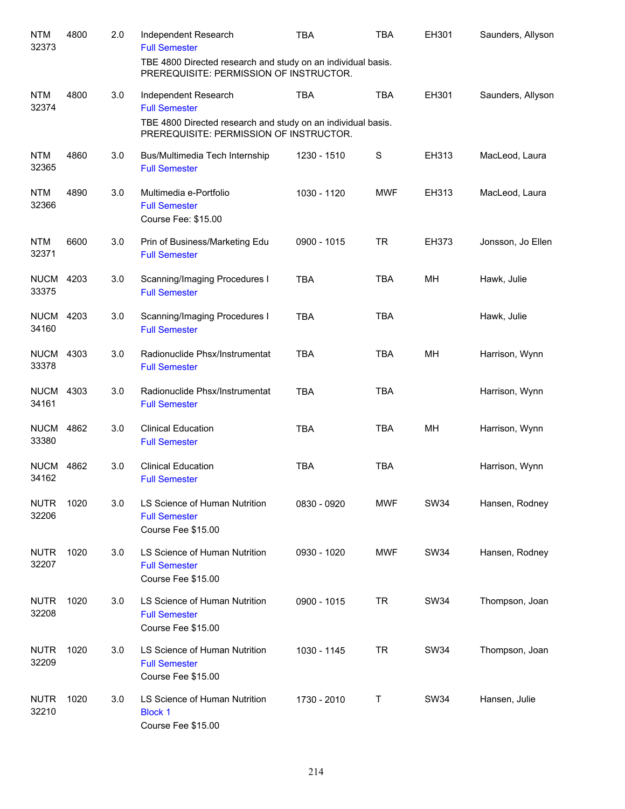| <b>NTM</b><br>32373       | 4800 | 2.0 | Independent Research<br><b>Full Semester</b><br>TBE 4800 Directed research and study on an individual basis. | <b>TBA</b>  | <b>TBA</b>  | EH301       | Saunders, Allyson |
|---------------------------|------|-----|--------------------------------------------------------------------------------------------------------------|-------------|-------------|-------------|-------------------|
|                           |      |     | PREREQUISITE: PERMISSION OF INSTRUCTOR.                                                                      |             |             |             |                   |
| <b>NTM</b><br>32374       | 4800 | 3.0 | Independent Research<br><b>Full Semester</b>                                                                 | <b>TBA</b>  | <b>TBA</b>  | EH301       | Saunders, Allyson |
|                           |      |     | TBE 4800 Directed research and study on an individual basis.<br>PREREQUISITE: PERMISSION OF INSTRUCTOR.      |             |             |             |                   |
| <b>NTM</b><br>32365       | 4860 | 3.0 | Bus/Multimedia Tech Internship<br><b>Full Semester</b>                                                       | 1230 - 1510 | $\mathbf S$ | EH313       | MacLeod, Laura    |
| <b>NTM</b><br>32366       | 4890 | 3.0 | Multimedia e-Portfolio<br><b>Full Semester</b><br>Course Fee: \$15.00                                        | 1030 - 1120 | <b>MWF</b>  | EH313       | MacLeod, Laura    |
| <b>NTM</b><br>32371       | 6600 | 3.0 | Prin of Business/Marketing Edu<br><b>Full Semester</b>                                                       | 0900 - 1015 | <b>TR</b>   | EH373       | Jonsson, Jo Ellen |
| <b>NUCM</b><br>33375      | 4203 | 3.0 | Scanning/Imaging Procedures I<br><b>Full Semester</b>                                                        | <b>TBA</b>  | <b>TBA</b>  | MH          | Hawk, Julie       |
| <b>NUCM</b><br>34160      | 4203 | 3.0 | Scanning/Imaging Procedures I<br><b>Full Semester</b>                                                        | <b>TBA</b>  | <b>TBA</b>  |             | Hawk, Julie       |
| <b>NUCM 4303</b><br>33378 |      | 3.0 | Radionuclide Phsx/Instrumentat<br><b>Full Semester</b>                                                       | <b>TBA</b>  | <b>TBA</b>  | MH          | Harrison, Wynn    |
| <b>NUCM</b><br>34161      | 4303 | 3.0 | Radionuclide Phsx/Instrumentat<br><b>Full Semester</b>                                                       | <b>TBA</b>  | <b>TBA</b>  |             | Harrison, Wynn    |
| <b>NUCM</b><br>33380      | 4862 | 3.0 | <b>Clinical Education</b><br><b>Full Semester</b>                                                            | <b>TBA</b>  | <b>TBA</b>  | MH          | Harrison, Wynn    |
| <b>NUCM</b><br>34162      | 4862 | 3.0 | <b>Clinical Education</b><br><b>Full Semester</b>                                                            | <b>TBA</b>  | <b>TBA</b>  |             | Harrison, Wynn    |
| <b>NUTR</b><br>32206      | 1020 | 3.0 | LS Science of Human Nutrition<br><b>Full Semester</b><br>Course Fee \$15.00                                  | 0830 - 0920 | <b>MWF</b>  | <b>SW34</b> | Hansen, Rodney    |
| <b>NUTR</b><br>32207      | 1020 | 3.0 | LS Science of Human Nutrition<br><b>Full Semester</b><br>Course Fee \$15.00                                  | 0930 - 1020 | <b>MWF</b>  | <b>SW34</b> | Hansen, Rodney    |
| <b>NUTR</b><br>32208      | 1020 | 3.0 | LS Science of Human Nutrition<br><b>Full Semester</b><br>Course Fee \$15.00                                  | 0900 - 1015 | <b>TR</b>   | <b>SW34</b> | Thompson, Joan    |
| <b>NUTR</b><br>32209      | 1020 | 3.0 | LS Science of Human Nutrition<br><b>Full Semester</b><br>Course Fee \$15.00                                  | 1030 - 1145 | <b>TR</b>   | <b>SW34</b> | Thompson, Joan    |
| <b>NUTR</b><br>32210      | 1020 | 3.0 | LS Science of Human Nutrition<br><b>Block 1</b><br>Course Fee \$15.00                                        | 1730 - 2010 | Τ           | <b>SW34</b> | Hansen, Julie     |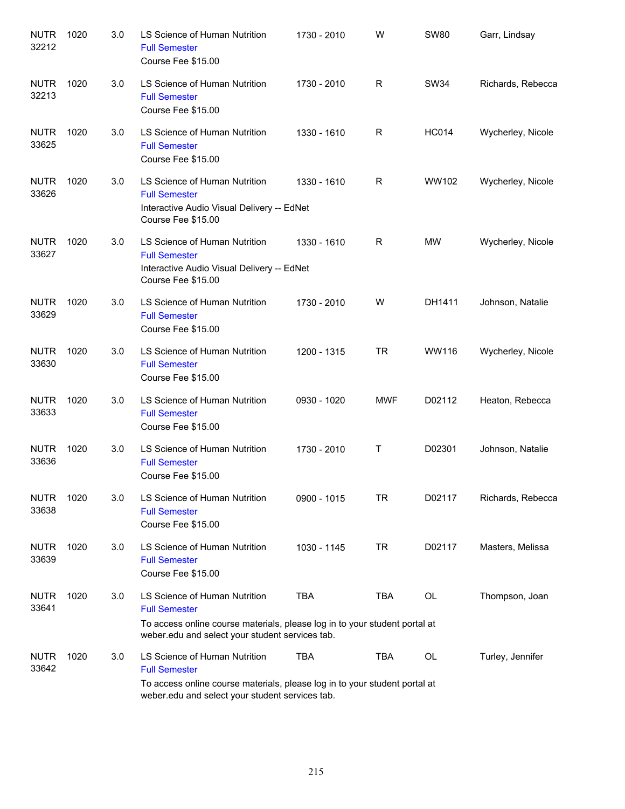| <b>NUTR</b><br>32212 | 1020 | 3.0 | LS Science of Human Nutrition<br><b>Full Semester</b><br>Course Fee \$15.00                                                                                                            | 1730 - 2010 | W          | <b>SW80</b>  | Garr, Lindsay     |
|----------------------|------|-----|----------------------------------------------------------------------------------------------------------------------------------------------------------------------------------------|-------------|------------|--------------|-------------------|
| <b>NUTR</b><br>32213 | 1020 | 3.0 | LS Science of Human Nutrition<br><b>Full Semester</b><br>Course Fee \$15.00                                                                                                            | 1730 - 2010 | R          | <b>SW34</b>  | Richards, Rebecca |
| <b>NUTR</b><br>33625 | 1020 | 3.0 | LS Science of Human Nutrition<br><b>Full Semester</b><br>Course Fee \$15.00                                                                                                            | 1330 - 1610 | R          | <b>HC014</b> | Wycherley, Nicole |
| <b>NUTR</b><br>33626 | 1020 | 3.0 | LS Science of Human Nutrition<br><b>Full Semester</b><br>Interactive Audio Visual Delivery -- EdNet<br>Course Fee \$15.00                                                              | 1330 - 1610 | R          | WW102        | Wycherley, Nicole |
| <b>NUTR</b><br>33627 | 1020 | 3.0 | LS Science of Human Nutrition<br><b>Full Semester</b><br>Interactive Audio Visual Delivery -- EdNet<br>Course Fee \$15.00                                                              | 1330 - 1610 | R          | <b>MW</b>    | Wycherley, Nicole |
| <b>NUTR</b><br>33629 | 1020 | 3.0 | LS Science of Human Nutrition<br><b>Full Semester</b><br>Course Fee \$15.00                                                                                                            | 1730 - 2010 | W          | DH1411       | Johnson, Natalie  |
| <b>NUTR</b><br>33630 | 1020 | 3.0 | LS Science of Human Nutrition<br><b>Full Semester</b><br>Course Fee \$15.00                                                                                                            | 1200 - 1315 | <b>TR</b>  | WW116        | Wycherley, Nicole |
| <b>NUTR</b><br>33633 | 1020 | 3.0 | LS Science of Human Nutrition<br><b>Full Semester</b><br>Course Fee \$15.00                                                                                                            | 0930 - 1020 | <b>MWF</b> | D02112       | Heaton, Rebecca   |
| <b>NUTR</b><br>33636 | 1020 | 3.0 | LS Science of Human Nutrition<br><b>Full Semester</b><br>Course Fee \$15.00                                                                                                            | 1730 - 2010 | Τ          | D02301       | Johnson, Natalie  |
| <b>NUTR</b><br>33638 | 1020 | 3.0 | LS Science of Human Nutrition<br><b>Full Semester</b><br>Course Fee \$15.00                                                                                                            | 0900 - 1015 | TR         | D02117       | Richards, Rebecca |
| <b>NUTR</b><br>33639 | 1020 | 3.0 | LS Science of Human Nutrition<br><b>Full Semester</b><br>Course Fee \$15.00                                                                                                            | 1030 - 1145 | <b>TR</b>  | D02117       | Masters, Melissa  |
| <b>NUTR</b><br>33641 | 1020 | 3.0 | LS Science of Human Nutrition<br><b>Full Semester</b><br>To access online course materials, please log in to your student portal at<br>weber.edu and select your student services tab. | <b>TBA</b>  | <b>TBA</b> | OL           | Thompson, Joan    |
| <b>NUTR</b><br>33642 | 1020 | 3.0 | LS Science of Human Nutrition<br><b>Full Semester</b><br>To access online course materials, please log in to your student portal at<br>weber.edu and select your student services tab. | <b>TBA</b>  | TBA        | OL           | Turley, Jennifer  |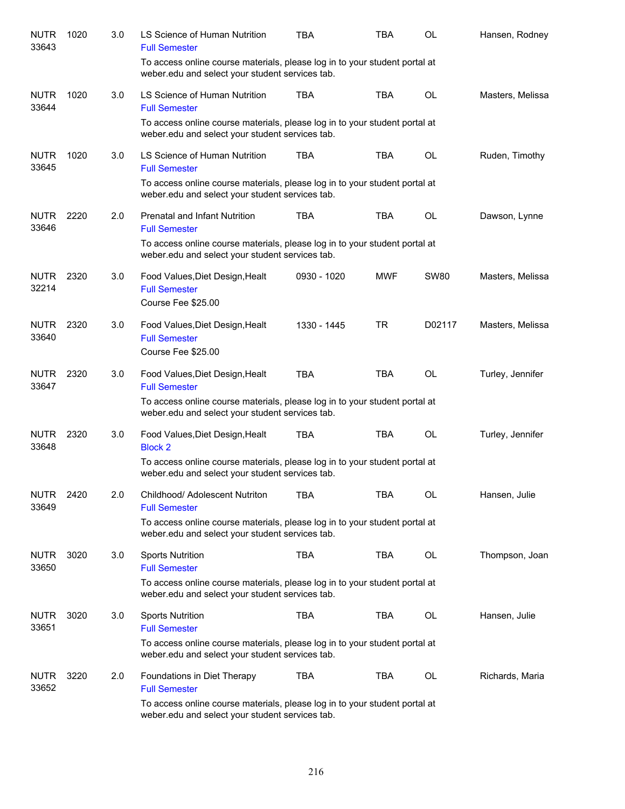| <b>NUTR</b><br>33643 | 1020 | 3.0 | LS Science of Human Nutrition<br><b>Full Semester</b>                                                                         | TBA         | TBA        | <b>OL</b>   | Hansen, Rodney   |
|----------------------|------|-----|-------------------------------------------------------------------------------------------------------------------------------|-------------|------------|-------------|------------------|
|                      |      |     | To access online course materials, please log in to your student portal at<br>weber.edu and select your student services tab. |             |            |             |                  |
| <b>NUTR</b><br>33644 | 1020 | 3.0 | LS Science of Human Nutrition<br><b>Full Semester</b>                                                                         | <b>TBA</b>  | <b>TBA</b> | <b>OL</b>   | Masters, Melissa |
|                      |      |     | To access online course materials, please log in to your student portal at<br>weber.edu and select your student services tab. |             |            |             |                  |
| <b>NUTR</b><br>33645 | 1020 | 3.0 | LS Science of Human Nutrition<br><b>Full Semester</b>                                                                         | <b>TBA</b>  | <b>TBA</b> | <b>OL</b>   | Ruden, Timothy   |
|                      |      |     | To access online course materials, please log in to your student portal at<br>weber.edu and select your student services tab. |             |            |             |                  |
| <b>NUTR</b><br>33646 | 2220 | 2.0 | Prenatal and Infant Nutrition<br><b>Full Semester</b>                                                                         | <b>TBA</b>  | <b>TBA</b> | <b>OL</b>   | Dawson, Lynne    |
|                      |      |     | To access online course materials, please log in to your student portal at<br>weber.edu and select your student services tab. |             |            |             |                  |
| <b>NUTR</b><br>32214 | 2320 | 3.0 | Food Values, Diet Design, Healt<br><b>Full Semester</b><br>Course Fee \$25.00                                                 | 0930 - 1020 | <b>MWF</b> | <b>SW80</b> | Masters, Melissa |
| <b>NUTR</b><br>33640 | 2320 | 3.0 | Food Values, Diet Design, Healt<br><b>Full Semester</b><br>Course Fee \$25.00                                                 | 1330 - 1445 | <b>TR</b>  | D02117      | Masters, Melissa |
| <b>NUTR</b><br>33647 | 2320 | 3.0 | Food Values, Diet Design, Healt<br><b>Full Semester</b>                                                                       | <b>TBA</b>  | <b>TBA</b> | <b>OL</b>   | Turley, Jennifer |
|                      |      |     | To access online course materials, please log in to your student portal at<br>weber.edu and select your student services tab. |             |            |             |                  |
| <b>NUTR</b><br>33648 | 2320 | 3.0 | Food Values, Diet Design, Healt<br><b>Block 2</b>                                                                             | <b>TBA</b>  | <b>TBA</b> | <b>OL</b>   | Turley, Jennifer |
|                      |      |     | To access online course materials, please log in to your student portal at<br>weber.edu and select your student services tab. |             |            |             |                  |
| <b>NUTR</b><br>33649 | 2420 | 2.0 | Childhood/ Adolescent Nutriton<br><b>Full Semester</b>                                                                        | TBA         | TBA        | OL          | Hansen, Julie    |
|                      |      |     | To access online course materials, please log in to your student portal at<br>weber.edu and select your student services tab. |             |            |             |                  |
| <b>NUTR</b><br>33650 | 3020 | 3.0 | <b>Sports Nutrition</b><br><b>Full Semester</b>                                                                               | <b>TBA</b>  | <b>TBA</b> | OL          | Thompson, Joan   |
|                      |      |     | To access online course materials, please log in to your student portal at<br>weber.edu and select your student services tab. |             |            |             |                  |
| <b>NUTR</b><br>33651 | 3020 | 3.0 | <b>Sports Nutrition</b><br><b>Full Semester</b>                                                                               | <b>TBA</b>  | TBA        | OL          | Hansen, Julie    |
|                      |      |     | To access online course materials, please log in to your student portal at<br>weber.edu and select your student services tab. |             |            |             |                  |
| <b>NUTR</b><br>33652 | 3220 | 2.0 | Foundations in Diet Therapy<br><b>Full Semester</b>                                                                           | <b>TBA</b>  | <b>TBA</b> | OL          | Richards, Maria  |
|                      |      |     | To access online course materials, please log in to your student portal at<br>weber.edu and select your student services tab. |             |            |             |                  |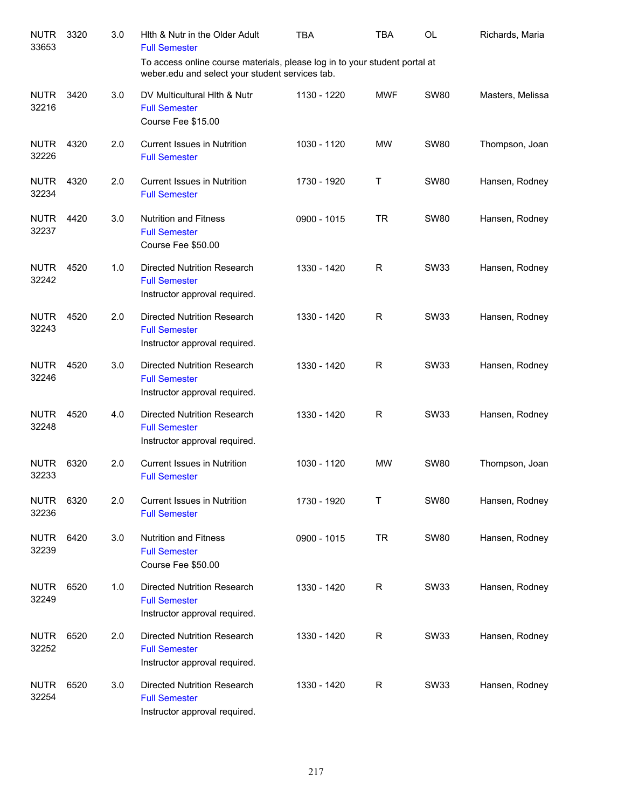| <b>NUTR</b><br>33653 | 3320 | 3.0 | Hith & Nutr in the Older Adult<br><b>Full Semester</b>                                                                        | <b>TBA</b>  | TBA        | <b>OL</b>   | Richards, Maria  |
|----------------------|------|-----|-------------------------------------------------------------------------------------------------------------------------------|-------------|------------|-------------|------------------|
|                      |      |     | To access online course materials, please log in to your student portal at<br>weber.edu and select your student services tab. |             |            |             |                  |
| <b>NUTR</b><br>32216 | 3420 | 3.0 | DV Multicultural Hith & Nutr<br><b>Full Semester</b><br>Course Fee \$15.00                                                    | 1130 - 1220 | <b>MWF</b> | <b>SW80</b> | Masters, Melissa |
| <b>NUTR</b><br>32226 | 4320 | 2.0 | <b>Current Issues in Nutrition</b><br><b>Full Semester</b>                                                                    | 1030 - 1120 | <b>MW</b>  | <b>SW80</b> | Thompson, Joan   |
| <b>NUTR</b><br>32234 | 4320 | 2.0 | <b>Current Issues in Nutrition</b><br><b>Full Semester</b>                                                                    | 1730 - 1920 | Τ          | <b>SW80</b> | Hansen, Rodney   |
| <b>NUTR</b><br>32237 | 4420 | 3.0 | <b>Nutrition and Fitness</b><br><b>Full Semester</b><br>Course Fee \$50.00                                                    | 0900 - 1015 | <b>TR</b>  | <b>SW80</b> | Hansen, Rodney   |
| <b>NUTR</b><br>32242 | 4520 | 1.0 | <b>Directed Nutrition Research</b><br><b>Full Semester</b><br>Instructor approval required.                                   | 1330 - 1420 | R          | <b>SW33</b> | Hansen, Rodney   |
| <b>NUTR</b><br>32243 | 4520 | 2.0 | <b>Directed Nutrition Research</b><br><b>Full Semester</b><br>Instructor approval required.                                   | 1330 - 1420 | R          | <b>SW33</b> | Hansen, Rodney   |
| <b>NUTR</b><br>32246 | 4520 | 3.0 | <b>Directed Nutrition Research</b><br><b>Full Semester</b><br>Instructor approval required.                                   | 1330 - 1420 | R          | <b>SW33</b> | Hansen, Rodney   |
| <b>NUTR</b><br>32248 | 4520 | 4.0 | <b>Directed Nutrition Research</b><br><b>Full Semester</b><br>Instructor approval required.                                   | 1330 - 1420 | R          | <b>SW33</b> | Hansen, Rodney   |
| <b>NUTR</b><br>32233 | 6320 | 2.0 | <b>Current Issues in Nutrition</b><br><b>Full Semester</b>                                                                    | 1030 - 1120 | <b>MW</b>  | <b>SW80</b> | Thompson, Joan   |
| <b>NUTR</b><br>32236 | 6320 | 2.0 | <b>Current Issues in Nutrition</b><br><b>Full Semester</b>                                                                    | 1730 - 1920 | Т          | <b>SW80</b> | Hansen, Rodney   |
| <b>NUTR</b><br>32239 | 6420 | 3.0 | <b>Nutrition and Fitness</b><br><b>Full Semester</b><br>Course Fee \$50.00                                                    | 0900 - 1015 | <b>TR</b>  | <b>SW80</b> | Hansen, Rodney   |
| <b>NUTR</b><br>32249 | 6520 | 1.0 | <b>Directed Nutrition Research</b><br><b>Full Semester</b><br>Instructor approval required.                                   | 1330 - 1420 | R          | <b>SW33</b> | Hansen, Rodney   |
| <b>NUTR</b><br>32252 | 6520 | 2.0 | <b>Directed Nutrition Research</b><br><b>Full Semester</b><br>Instructor approval required.                                   | 1330 - 1420 | R          | <b>SW33</b> | Hansen, Rodney   |
| <b>NUTR</b><br>32254 | 6520 | 3.0 | <b>Directed Nutrition Research</b><br><b>Full Semester</b><br>Instructor approval required.                                   | 1330 - 1420 | R          | <b>SW33</b> | Hansen, Rodney   |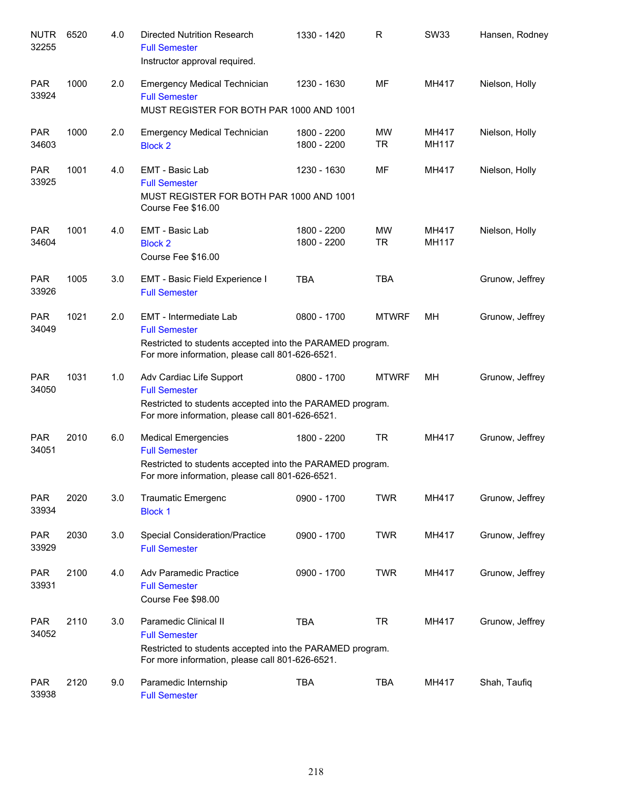| <b>NUTR</b><br>32255 | 6520 | 4.0 | <b>Directed Nutrition Research</b><br><b>Full Semester</b><br>Instructor approval required.                                                                        | 1330 - 1420                | R                      | <b>SW33</b>    | Hansen, Rodney  |
|----------------------|------|-----|--------------------------------------------------------------------------------------------------------------------------------------------------------------------|----------------------------|------------------------|----------------|-----------------|
| <b>PAR</b><br>33924  | 1000 | 2.0 | <b>Emergency Medical Technician</b><br><b>Full Semester</b><br>MUST REGISTER FOR BOTH PAR 1000 AND 1001                                                            | 1230 - 1630                | MF                     | MH417          | Nielson, Holly  |
| <b>PAR</b><br>34603  | 1000 | 2.0 | <b>Emergency Medical Technician</b><br><b>Block 2</b>                                                                                                              | 1800 - 2200<br>1800 - 2200 | <b>MW</b><br><b>TR</b> | MH417<br>MH117 | Nielson, Holly  |
| <b>PAR</b><br>33925  | 1001 | 4.0 | EMT - Basic Lab<br><b>Full Semester</b><br>MUST REGISTER FOR BOTH PAR 1000 AND 1001<br>Course Fee \$16.00                                                          | 1230 - 1630                | MF                     | MH417          | Nielson, Holly  |
| <b>PAR</b><br>34604  | 1001 | 4.0 | EMT - Basic Lab<br><b>Block 2</b><br>Course Fee \$16.00                                                                                                            | 1800 - 2200<br>1800 - 2200 | MW<br><b>TR</b>        | MH417<br>MH117 | Nielson, Holly  |
| <b>PAR</b><br>33926  | 1005 | 3.0 | <b>EMT - Basic Field Experience I</b><br><b>Full Semester</b>                                                                                                      | <b>TBA</b>                 | <b>TBA</b>             |                | Grunow, Jeffrey |
| <b>PAR</b><br>34049  | 1021 | 2.0 | EMT - Intermediate Lab<br><b>Full Semester</b><br>Restricted to students accepted into the PARAMED program.<br>For more information, please call 801-626-6521.     | 0800 - 1700                | <b>MTWRF</b>           | МH             | Grunow, Jeffrey |
| <b>PAR</b><br>34050  | 1031 | 1.0 | Adv Cardiac Life Support<br><b>Full Semester</b><br>Restricted to students accepted into the PARAMED program.<br>For more information, please call 801-626-6521.   | 0800 - 1700                | <b>MTWRF</b>           | <b>MH</b>      | Grunow, Jeffrey |
| <b>PAR</b><br>34051  | 2010 | 6.0 | <b>Medical Emergencies</b><br><b>Full Semester</b><br>Restricted to students accepted into the PARAMED program.<br>For more information, please call 801-626-6521. | 1800 - 2200                | <b>TR</b>              | MH417          | Grunow, Jeffrey |
| <b>PAR</b><br>33934  | 2020 | 3.0 | <b>Traumatic Emergenc</b><br><b>Block 1</b>                                                                                                                        | 0900 - 1700                | <b>TWR</b>             | MH417          | Grunow, Jeffrey |
| <b>PAR</b><br>33929  | 2030 | 3.0 | <b>Special Consideration/Practice</b><br><b>Full Semester</b>                                                                                                      | 0900 - 1700                | <b>TWR</b>             | MH417          | Grunow, Jeffrey |
| <b>PAR</b><br>33931  | 2100 | 4.0 | Adv Paramedic Practice<br><b>Full Semester</b><br>Course Fee \$98.00                                                                                               | 0900 - 1700                | <b>TWR</b>             | MH417          | Grunow, Jeffrey |
| <b>PAR</b><br>34052  | 2110 | 3.0 | Paramedic Clinical II<br><b>Full Semester</b><br>Restricted to students accepted into the PARAMED program.<br>For more information, please call 801-626-6521.      | <b>TBA</b>                 | <b>TR</b>              | MH417          | Grunow, Jeffrey |
| <b>PAR</b><br>33938  | 2120 | 9.0 | Paramedic Internship<br><b>Full Semester</b>                                                                                                                       | <b>TBA</b>                 | <b>TBA</b>             | MH417          | Shah, Taufiq    |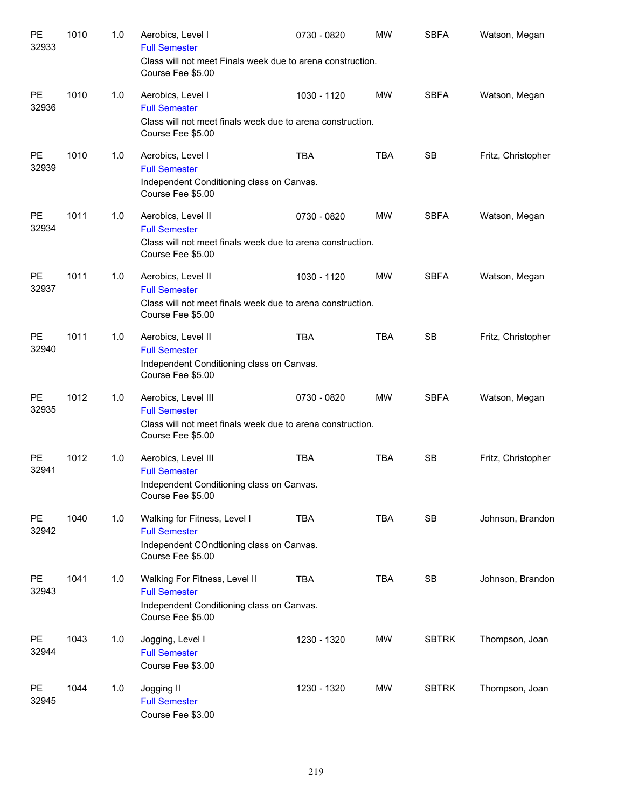| PE<br>32933        | 1010 | 1.0 | Aerobics, Level I<br><b>Full Semester</b><br>Class will not meet Finals week due to arena construction.<br>Course Fee \$5.00   | 0730 - 0820 | <b>MW</b>  | <b>SBFA</b>  | Watson, Megan      |
|--------------------|------|-----|--------------------------------------------------------------------------------------------------------------------------------|-------------|------------|--------------|--------------------|
| <b>PE</b><br>32936 | 1010 | 1.0 | Aerobics, Level I<br><b>Full Semester</b><br>Class will not meet finals week due to arena construction.<br>Course Fee \$5.00   | 1030 - 1120 | <b>MW</b>  | <b>SBFA</b>  | Watson, Megan      |
| PE<br>32939        | 1010 | 1.0 | Aerobics, Level I<br><b>Full Semester</b><br>Independent Conditioning class on Canvas.<br>Course Fee \$5.00                    | <b>TBA</b>  | <b>TBA</b> | <b>SB</b>    | Fritz, Christopher |
| <b>PE</b><br>32934 | 1011 | 1.0 | Aerobics, Level II<br><b>Full Semester</b><br>Class will not meet finals week due to arena construction.<br>Course Fee \$5.00  | 0730 - 0820 | <b>MW</b>  | <b>SBFA</b>  | Watson, Megan      |
| <b>PE</b><br>32937 | 1011 | 1.0 | Aerobics, Level II<br><b>Full Semester</b><br>Class will not meet finals week due to arena construction.<br>Course Fee \$5.00  | 1030 - 1120 | <b>MW</b>  | <b>SBFA</b>  | Watson, Megan      |
| PE<br>32940        | 1011 | 1.0 | Aerobics, Level II<br><b>Full Semester</b><br>Independent Conditioning class on Canvas.<br>Course Fee \$5.00                   | <b>TBA</b>  | <b>TBA</b> | <b>SB</b>    | Fritz, Christopher |
| PE<br>32935        | 1012 | 1.0 | Aerobics, Level III<br><b>Full Semester</b><br>Class will not meet finals week due to arena construction.<br>Course Fee \$5.00 | 0730 - 0820 | <b>MW</b>  | <b>SBFA</b>  | Watson, Megan      |
| <b>PE</b><br>32941 | 1012 | 1.0 | Aerobics, Level III<br><b>Full Semester</b><br>Independent Conditioning class on Canvas.<br>Course Fee \$5.00                  | <b>TBA</b>  | <b>TBA</b> | <b>SB</b>    | Fritz, Christopher |
| PE<br>32942        | 1040 | 1.0 | Walking for Fitness, Level I<br><b>Full Semester</b><br>Independent COndtioning class on Canvas.<br>Course Fee \$5.00          | <b>TBA</b>  | <b>TBA</b> | SB           | Johnson, Brandon   |
| PE<br>32943        | 1041 | 1.0 | Walking For Fitness, Level II<br><b>Full Semester</b><br>Independent Conditioning class on Canvas.<br>Course Fee \$5.00        | <b>TBA</b>  | <b>TBA</b> | SB           | Johnson, Brandon   |
| PE<br>32944        | 1043 | 1.0 | Jogging, Level I<br><b>Full Semester</b><br>Course Fee \$3.00                                                                  | 1230 - 1320 | MW         | <b>SBTRK</b> | Thompson, Joan     |
| PE<br>32945        | 1044 | 1.0 | Jogging II<br><b>Full Semester</b><br>Course Fee \$3.00                                                                        | 1230 - 1320 | MW         | <b>SBTRK</b> | Thompson, Joan     |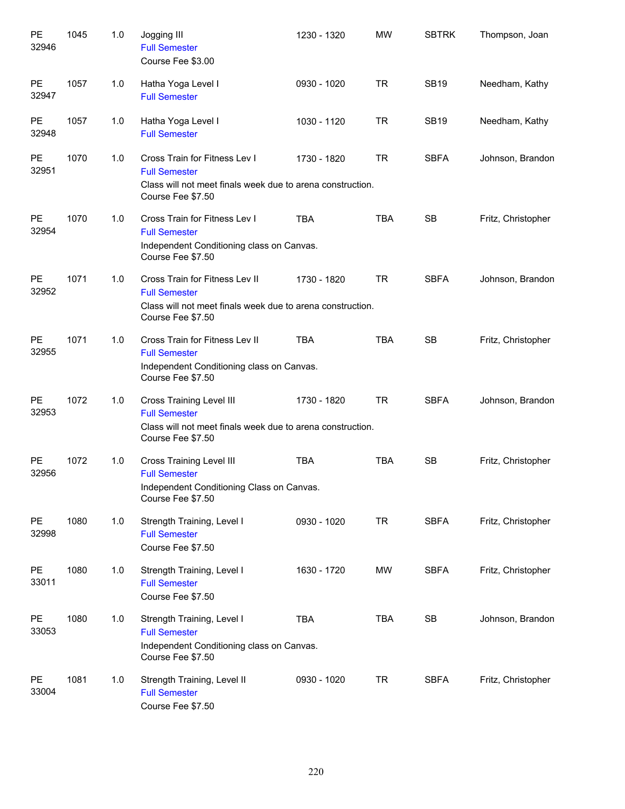| PE<br>32946            | 1045 | 1.0 | Jogging III<br><b>Full Semester</b><br>Course Fee \$3.00                                                                                   | 1230 - 1320 | <b>MW</b>  | <b>SBTRK</b> | Thompson, Joan     |
|------------------------|------|-----|--------------------------------------------------------------------------------------------------------------------------------------------|-------------|------------|--------------|--------------------|
| PE<br>32947            | 1057 | 1.0 | Hatha Yoga Level I<br><b>Full Semester</b>                                                                                                 | 0930 - 1020 | <b>TR</b>  | <b>SB19</b>  | Needham, Kathy     |
| $\mathsf{PE}$<br>32948 | 1057 | 1.0 | Hatha Yoga Level I<br><b>Full Semester</b>                                                                                                 | 1030 - 1120 | <b>TR</b>  | <b>SB19</b>  | Needham, Kathy     |
| PE<br>32951            | 1070 | 1.0 | Cross Train for Fitness Lev I<br><b>Full Semester</b><br>Class will not meet finals week due to arena construction.<br>Course Fee \$7.50   | 1730 - 1820 | <b>TR</b>  | <b>SBFA</b>  | Johnson, Brandon   |
| PE<br>32954            | 1070 | 1.0 | Cross Train for Fitness Lev I<br><b>Full Semester</b><br>Independent Conditioning class on Canvas.<br>Course Fee \$7.50                    | <b>TBA</b>  | <b>TBA</b> | <b>SB</b>    | Fritz, Christopher |
| PE<br>32952            | 1071 | 1.0 | Cross Train for Fitness Lev II<br><b>Full Semester</b><br>Class will not meet finals week due to arena construction.<br>Course Fee \$7.50  | 1730 - 1820 | <b>TR</b>  | <b>SBFA</b>  | Johnson, Brandon   |
| <b>PE</b><br>32955     | 1071 | 1.0 | Cross Train for Fitness Lev II<br><b>Full Semester</b><br>Independent Conditioning class on Canvas.<br>Course Fee \$7.50                   | <b>TBA</b>  | <b>TBA</b> | <b>SB</b>    | Fritz, Christopher |
| PE<br>32953            | 1072 | 1.0 | <b>Cross Training Level III</b><br><b>Full Semester</b><br>Class will not meet finals week due to arena construction.<br>Course Fee \$7.50 | 1730 - 1820 | <b>TR</b>  | <b>SBFA</b>  | Johnson, Brandon   |
| PE<br>32956            | 1072 | 1.0 | Cross Training Level III<br><b>Full Semester</b><br>Independent Conditioning Class on Canvas.<br>Course Fee \$7.50                         | <b>TBA</b>  | <b>TBA</b> | <b>SB</b>    | Fritz, Christopher |
| PE<br>32998            | 1080 | 1.0 | Strength Training, Level I<br><b>Full Semester</b><br>Course Fee \$7.50                                                                    | 0930 - 1020 | <b>TR</b>  | <b>SBFA</b>  | Fritz, Christopher |
| PE<br>33011            | 1080 | 1.0 | Strength Training, Level I<br><b>Full Semester</b><br>Course Fee \$7.50                                                                    | 1630 - 1720 | MW         | <b>SBFA</b>  | Fritz, Christopher |
| <b>PE</b><br>33053     | 1080 | 1.0 | Strength Training, Level I<br><b>Full Semester</b><br>Independent Conditioning class on Canvas.<br>Course Fee \$7.50                       | <b>TBA</b>  | <b>TBA</b> | SB           | Johnson, Brandon   |
| <b>PE</b><br>33004     | 1081 | 1.0 | Strength Training, Level II<br><b>Full Semester</b><br>Course Fee \$7.50                                                                   | 0930 - 1020 | <b>TR</b>  | <b>SBFA</b>  | Fritz, Christopher |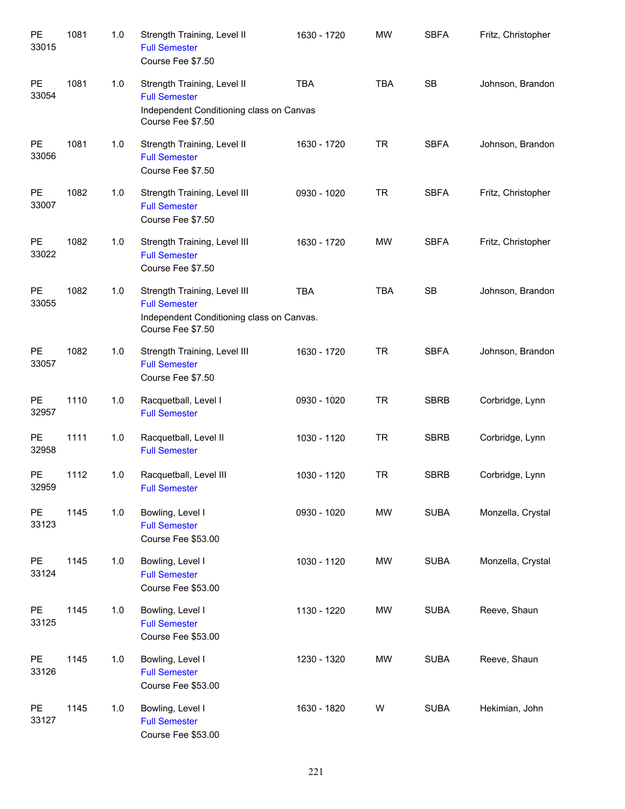| PE<br>33015        | 1081 | 1.0 | Strength Training, Level II<br><b>Full Semester</b><br>Course Fee \$7.50                                               | 1630 - 1720 | <b>MW</b>  | <b>SBFA</b> | Fritz, Christopher |
|--------------------|------|-----|------------------------------------------------------------------------------------------------------------------------|-------------|------------|-------------|--------------------|
| PE<br>33054        | 1081 | 1.0 | Strength Training, Level II<br><b>Full Semester</b><br>Independent Conditioning class on Canvas<br>Course Fee \$7.50   | <b>TBA</b>  | <b>TBA</b> | <b>SB</b>   | Johnson, Brandon   |
| PE<br>33056        | 1081 | 1.0 | Strength Training, Level II<br><b>Full Semester</b><br>Course Fee \$7.50                                               | 1630 - 1720 | <b>TR</b>  | <b>SBFA</b> | Johnson, Brandon   |
| PE<br>33007        | 1082 | 1.0 | Strength Training, Level III<br><b>Full Semester</b><br>Course Fee \$7.50                                              | 0930 - 1020 | <b>TR</b>  | <b>SBFA</b> | Fritz, Christopher |
| PE<br>33022        | 1082 | 1.0 | Strength Training, Level III<br><b>Full Semester</b><br>Course Fee \$7.50                                              | 1630 - 1720 | <b>MW</b>  | <b>SBFA</b> | Fritz, Christopher |
| PE<br>33055        | 1082 | 1.0 | Strength Training, Level III<br><b>Full Semester</b><br>Independent Conditioning class on Canvas.<br>Course Fee \$7.50 | <b>TBA</b>  | <b>TBA</b> | <b>SB</b>   | Johnson, Brandon   |
| <b>PE</b><br>33057 | 1082 | 1.0 | Strength Training, Level III<br><b>Full Semester</b><br>Course Fee \$7.50                                              | 1630 - 1720 | <b>TR</b>  | <b>SBFA</b> | Johnson, Brandon   |
| <b>PE</b><br>32957 | 1110 | 1.0 | Racquetball, Level I<br><b>Full Semester</b>                                                                           | 0930 - 1020 | <b>TR</b>  | <b>SBRB</b> | Corbridge, Lynn    |
| <b>PE</b><br>32958 | 1111 | 1.0 | Racquetball, Level II<br><b>Full Semester</b>                                                                          | 1030 - 1120 | <b>TR</b>  | <b>SBRB</b> | Corbridge, Lynn    |
| <b>PE</b><br>32959 | 1112 | 1.0 | Racquetball, Level III<br><b>Full Semester</b>                                                                         | 1030 - 1120 | <b>TR</b>  | <b>SBRB</b> | Corbridge, Lynn    |
| PE<br>33123        | 1145 | 1.0 | Bowling, Level I<br><b>Full Semester</b><br>Course Fee \$53.00                                                         | 0930 - 1020 | MW         | <b>SUBA</b> | Monzella, Crystal  |
| PE<br>33124        | 1145 | 1.0 | Bowling, Level I<br><b>Full Semester</b><br>Course Fee \$53.00                                                         | 1030 - 1120 | MW         | <b>SUBA</b> | Monzella, Crystal  |
| PE<br>33125        | 1145 | 1.0 | Bowling, Level I<br><b>Full Semester</b><br>Course Fee \$53.00                                                         | 1130 - 1220 | MW         | <b>SUBA</b> | Reeve, Shaun       |
| PE<br>33126        | 1145 | 1.0 | Bowling, Level I<br><b>Full Semester</b><br>Course Fee \$53.00                                                         | 1230 - 1320 | MW         | <b>SUBA</b> | Reeve, Shaun       |
| PE<br>33127        | 1145 | 1.0 | Bowling, Level I<br><b>Full Semester</b><br>Course Fee \$53.00                                                         | 1630 - 1820 | W          | <b>SUBA</b> | Hekimian, John     |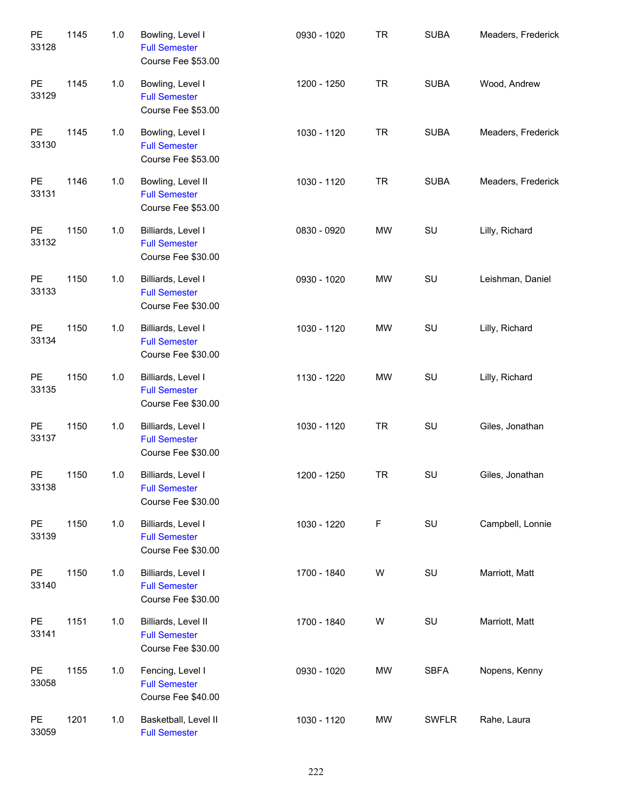| PE<br>33128        | 1145 | $1.0$ | Bowling, Level I<br><b>Full Semester</b><br>Course Fee \$53.00    | 0930 - 1020 | <b>TR</b>   | <b>SUBA</b>  | Meaders, Frederick |
|--------------------|------|-------|-------------------------------------------------------------------|-------------|-------------|--------------|--------------------|
| PE<br>33129        | 1145 | 1.0   | Bowling, Level I<br><b>Full Semester</b><br>Course Fee \$53.00    | 1200 - 1250 | <b>TR</b>   | <b>SUBA</b>  | Wood, Andrew       |
| PE<br>33130        | 1145 | 1.0   | Bowling, Level I<br><b>Full Semester</b><br>Course Fee \$53.00    | 1030 - 1120 | <b>TR</b>   | <b>SUBA</b>  | Meaders, Frederick |
| PE<br>33131        | 1146 | 1.0   | Bowling, Level II<br><b>Full Semester</b><br>Course Fee \$53.00   | 1030 - 1120 | <b>TR</b>   | <b>SUBA</b>  | Meaders, Frederick |
| PE<br>33132        | 1150 | 1.0   | Billiards, Level I<br><b>Full Semester</b><br>Course Fee \$30.00  | 0830 - 0920 | <b>MW</b>   | SU           | Lilly, Richard     |
| PE<br>33133        | 1150 | 1.0   | Billiards, Level I<br><b>Full Semester</b><br>Course Fee \$30.00  | 0930 - 1020 | <b>MW</b>   | SU           | Leishman, Daniel   |
| PE<br>33134        | 1150 | 1.0   | Billiards, Level I<br><b>Full Semester</b><br>Course Fee \$30.00  | 1030 - 1120 | <b>MW</b>   | SU           | Lilly, Richard     |
| PE<br>33135        | 1150 | 1.0   | Billiards, Level I<br><b>Full Semester</b><br>Course Fee \$30.00  | 1130 - 1220 | <b>MW</b>   | SU           | Lilly, Richard     |
| PE<br>33137        | 1150 | 1.0   | Billiards, Level I<br><b>Full Semester</b><br>Course Fee \$30.00  | 1030 - 1120 | <b>TR</b>   | SU           | Giles, Jonathan    |
| <b>PE</b><br>33138 | 1150 | 1.0   | Billiards, Level I<br><b>Full Semester</b><br>Course Fee \$30.00  | 1200 - 1250 | <b>TR</b>   | SU           | Giles, Jonathan    |
| PE<br>33139        | 1150 | 1.0   | Billiards, Level I<br><b>Full Semester</b><br>Course Fee \$30.00  | 1030 - 1220 | $\mathsf F$ | SU           | Campbell, Lonnie   |
| PE<br>33140        | 1150 | $1.0$ | Billiards, Level I<br><b>Full Semester</b><br>Course Fee \$30.00  | 1700 - 1840 | W           | SU           | Marriott, Matt     |
| PE<br>33141        | 1151 | 1.0   | Billiards, Level II<br><b>Full Semester</b><br>Course Fee \$30.00 | 1700 - 1840 | W           | SU           | Marriott, Matt     |
| PE<br>33058        | 1155 | 1.0   | Fencing, Level I<br><b>Full Semester</b><br>Course Fee \$40.00    | 0930 - 1020 | MW          | <b>SBFA</b>  | Nopens, Kenny      |
| PE<br>33059        | 1201 | 1.0   | Basketball, Level II<br><b>Full Semester</b>                      | 1030 - 1120 | MW          | <b>SWFLR</b> | Rahe, Laura        |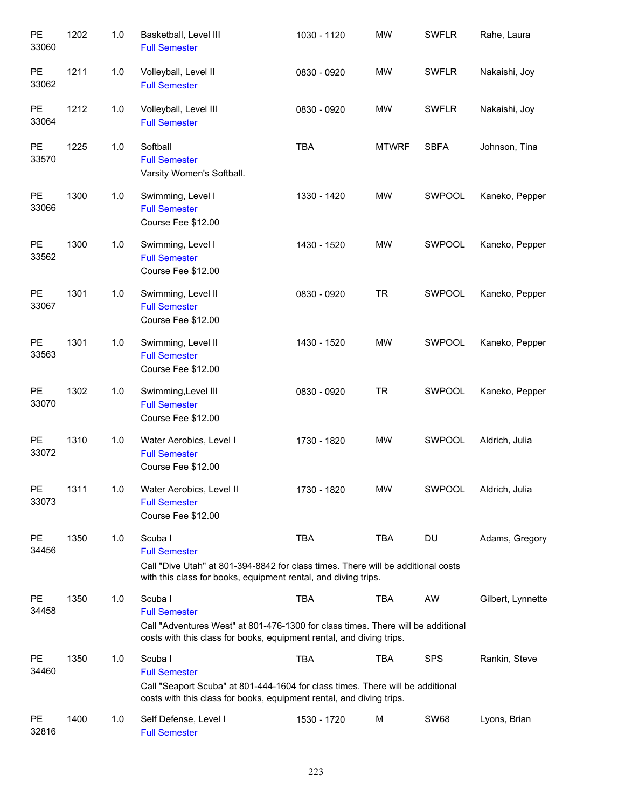| PE<br>33060            | 1202 | 1.0 | Basketball, Level III<br><b>Full Semester</b>                                                                                                                                               | 1030 - 1120 | <b>MW</b>    | <b>SWFLR</b>  | Rahe, Laura       |
|------------------------|------|-----|---------------------------------------------------------------------------------------------------------------------------------------------------------------------------------------------|-------------|--------------|---------------|-------------------|
| $\mathsf{PE}$<br>33062 | 1211 | 1.0 | Volleyball, Level II<br><b>Full Semester</b>                                                                                                                                                | 0830 - 0920 | MW           | <b>SWFLR</b>  | Nakaishi, Joy     |
| <b>PE</b><br>33064     | 1212 | 1.0 | Volleyball, Level III<br><b>Full Semester</b>                                                                                                                                               | 0830 - 0920 | MW           | <b>SWFLR</b>  | Nakaishi, Joy     |
| PE<br>33570            | 1225 | 1.0 | Softball<br><b>Full Semester</b><br>Varsity Women's Softball.                                                                                                                               | <b>TBA</b>  | <b>MTWRF</b> | <b>SBFA</b>   | Johnson, Tina     |
| <b>PE</b><br>33066     | 1300 | 1.0 | Swimming, Level I<br><b>Full Semester</b><br>Course Fee \$12.00                                                                                                                             | 1330 - 1420 | MW           | SWPOOL        | Kaneko, Pepper    |
| <b>PE</b><br>33562     | 1300 | 1.0 | Swimming, Level I<br><b>Full Semester</b><br>Course Fee \$12.00                                                                                                                             | 1430 - 1520 | MW           | SWPOOL        | Kaneko, Pepper    |
| <b>PE</b><br>33067     | 1301 | 1.0 | Swimming, Level II<br><b>Full Semester</b><br>Course Fee \$12.00                                                                                                                            | 0830 - 0920 | <b>TR</b>    | SWPOOL        | Kaneko, Pepper    |
| <b>PE</b><br>33563     | 1301 | 1.0 | Swimming, Level II<br><b>Full Semester</b><br>Course Fee \$12.00                                                                                                                            | 1430 - 1520 | MW           | SWPOOL        | Kaneko, Pepper    |
| <b>PE</b><br>33070     | 1302 | 1.0 | Swimming, Level III<br><b>Full Semester</b><br>Course Fee \$12.00                                                                                                                           | 0830 - 0920 | <b>TR</b>    | SWPOOL        | Kaneko, Pepper    |
| <b>PE</b><br>33072     | 1310 | 1.0 | Water Aerobics, Level I<br><b>Full Semester</b><br>Course Fee \$12.00                                                                                                                       | 1730 - 1820 | MW           | <b>SWPOOL</b> | Aldrich, Julia    |
| PE<br>33073            | 1311 | 1.0 | Water Aerobics, Level II<br><b>Full Semester</b><br>Course Fee \$12.00                                                                                                                      | 1730 - 1820 | MW           | <b>SWPOOL</b> | Aldrich, Julia    |
| PE<br>34456            | 1350 | 1.0 | Scuba I<br><b>Full Semester</b><br>Call "Dive Utah" at 801-394-8842 for class times. There will be additional costs<br>with this class for books, equipment rental, and diving trips.       | <b>TBA</b>  | <b>TBA</b>   | DU            | Adams, Gregory    |
| <b>PE</b><br>34458     | 1350 | 1.0 | Scuba I<br><b>Full Semester</b><br>Call "Adventures West" at 801-476-1300 for class times. There will be additional<br>costs with this class for books, equipment rental, and diving trips. | <b>TBA</b>  | TBA          | AW            | Gilbert, Lynnette |
| PE<br>34460            | 1350 | 1.0 | Scuba I<br><b>Full Semester</b><br>Call "Seaport Scuba" at 801-444-1604 for class times. There will be additional<br>costs with this class for books, equipment rental, and diving trips.   | <b>TBA</b>  | TBA          | <b>SPS</b>    | Rankin, Steve     |
| <b>PE</b><br>32816     | 1400 | 1.0 | Self Defense, Level I<br><b>Full Semester</b>                                                                                                                                               | 1530 - 1720 | М            | <b>SW68</b>   | Lyons, Brian      |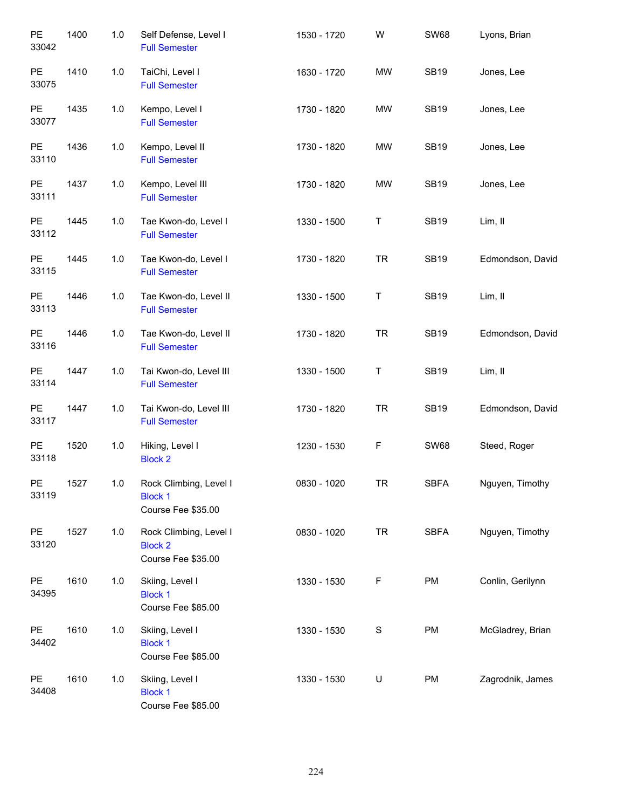| PE<br>33042 | 1400 | 1.0   | Self Defense, Level I<br><b>Full Semester</b>                  | 1530 - 1720 | W         | <b>SW68</b> | Lyons, Brian     |
|-------------|------|-------|----------------------------------------------------------------|-------------|-----------|-------------|------------------|
| PE<br>33075 | 1410 | 1.0   | TaiChi, Level I<br><b>Full Semester</b>                        | 1630 - 1720 | MW        | <b>SB19</b> | Jones, Lee       |
| PE<br>33077 | 1435 | $1.0$ | Kempo, Level I<br><b>Full Semester</b>                         | 1730 - 1820 | MW        | <b>SB19</b> | Jones, Lee       |
| PE<br>33110 | 1436 | $1.0$ | Kempo, Level II<br><b>Full Semester</b>                        | 1730 - 1820 | MW        | <b>SB19</b> | Jones, Lee       |
| PE<br>33111 | 1437 | $1.0$ | Kempo, Level III<br><b>Full Semester</b>                       | 1730 - 1820 | MW        | <b>SB19</b> | Jones, Lee       |
| PE<br>33112 | 1445 | $1.0$ | Tae Kwon-do, Level I<br><b>Full Semester</b>                   | 1330 - 1500 | Τ         | <b>SB19</b> | Lim, II          |
| PE<br>33115 | 1445 | $1.0$ | Tae Kwon-do, Level I<br><b>Full Semester</b>                   | 1730 - 1820 | <b>TR</b> | <b>SB19</b> | Edmondson, David |
| PE<br>33113 | 1446 | $1.0$ | Tae Kwon-do, Level II<br><b>Full Semester</b>                  | 1330 - 1500 | T         | <b>SB19</b> | Lim, II          |
| PE<br>33116 | 1446 | 1.0   | Tae Kwon-do, Level II<br><b>Full Semester</b>                  | 1730 - 1820 | <b>TR</b> | <b>SB19</b> | Edmondson, David |
| PE<br>33114 | 1447 | 1.0   | Tai Kwon-do, Level III<br><b>Full Semester</b>                 | 1330 - 1500 | Τ         | <b>SB19</b> | Lim, II          |
| PE<br>33117 | 1447 | 1.0   | Tai Kwon-do, Level III<br><b>Full Semester</b>                 | 1730 - 1820 | <b>TR</b> | <b>SB19</b> | Edmondson, David |
| PE<br>33118 | 1520 | 1.0   | Hiking, Level I<br><b>Block 2</b>                              | 1230 - 1530 | F         | <b>SW68</b> | Steed, Roger     |
| PE<br>33119 | 1527 | 1.0   | Rock Climbing, Level I<br><b>Block 1</b><br>Course Fee \$35.00 | 0830 - 1020 | <b>TR</b> | <b>SBFA</b> | Nguyen, Timothy  |
| PE<br>33120 | 1527 | 1.0   | Rock Climbing, Level I<br><b>Block 2</b><br>Course Fee \$35.00 | 0830 - 1020 | <b>TR</b> | <b>SBFA</b> | Nguyen, Timothy  |
| PE<br>34395 | 1610 | 1.0   | Skiing, Level I<br><b>Block 1</b><br>Course Fee \$85.00        | 1330 - 1530 | F         | PM          | Conlin, Gerilynn |
| PE<br>34402 | 1610 | 1.0   | Skiing, Level I<br><b>Block 1</b><br>Course Fee \$85.00        | 1330 - 1530 | S         | PM          | McGladrey, Brian |
| PE<br>34408 | 1610 | 1.0   | Skiing, Level I<br><b>Block 1</b><br>Course Fee \$85.00        | 1330 - 1530 | U         | PM          | Zagrodnik, James |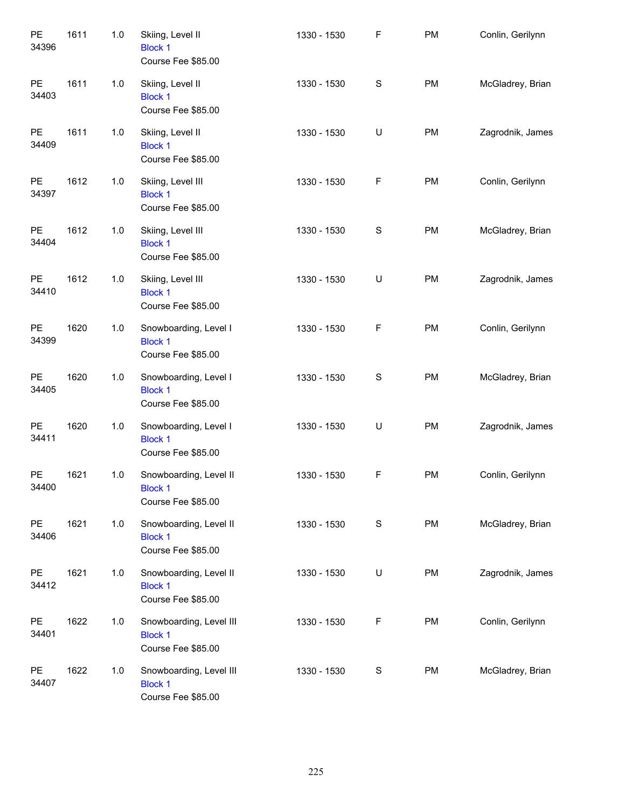| PE<br>34396 | 1611 | 1.0 | Skiing, Level II<br><b>Block 1</b><br>Course Fee \$85.00        | 1330 - 1530 | F             | PM        | Conlin, Gerilynn |
|-------------|------|-----|-----------------------------------------------------------------|-------------|---------------|-----------|------------------|
| PE<br>34403 | 1611 | 1.0 | Skiing, Level II<br><b>Block 1</b><br>Course Fee \$85.00        | 1330 - 1530 | ${\mathsf S}$ | PM        | McGladrey, Brian |
| PE<br>34409 | 1611 | 1.0 | Skiing, Level II<br><b>Block 1</b><br>Course Fee \$85.00        | 1330 - 1530 | U             | <b>PM</b> | Zagrodnik, James |
| PE<br>34397 | 1612 | 1.0 | Skiing, Level III<br><b>Block 1</b><br>Course Fee \$85.00       | 1330 - 1530 | F             | <b>PM</b> | Conlin, Gerilynn |
| PE<br>34404 | 1612 | 1.0 | Skiing, Level III<br><b>Block 1</b><br>Course Fee \$85.00       | 1330 - 1530 | S             | <b>PM</b> | McGladrey, Brian |
| PE<br>34410 | 1612 | 1.0 | Skiing, Level III<br><b>Block 1</b><br>Course Fee \$85.00       | 1330 - 1530 | U             | <b>PM</b> | Zagrodnik, James |
| PE<br>34399 | 1620 | 1.0 | Snowboarding, Level I<br><b>Block 1</b><br>Course Fee \$85.00   | 1330 - 1530 | F             | PM        | Conlin, Gerilynn |
| PE<br>34405 | 1620 | 1.0 | Snowboarding, Level I<br><b>Block 1</b><br>Course Fee \$85.00   | 1330 - 1530 | S             | PM        | McGladrey, Brian |
| PE<br>34411 | 1620 | 1.0 | Snowboarding, Level I<br><b>Block 1</b><br>Course Fee \$85.00   | 1330 - 1530 | U             | PM        | Zagrodnik, James |
| PE<br>34400 | 1621 | 1.0 | Snowboarding, Level II<br><b>Block 1</b><br>Course Fee \$85.00  | 1330 - 1530 | F             | <b>PM</b> | Conlin, Gerilynn |
| PE<br>34406 | 1621 | 1.0 | Snowboarding, Level II<br><b>Block 1</b><br>Course Fee \$85.00  | 1330 - 1530 | $\mathbf S$   | PM        | McGladrey, Brian |
| PE<br>34412 | 1621 | 1.0 | Snowboarding, Level II<br><b>Block 1</b><br>Course Fee \$85.00  | 1330 - 1530 | U             | PM        | Zagrodnik, James |
| PE<br>34401 | 1622 | 1.0 | Snowboarding, Level III<br><b>Block 1</b><br>Course Fee \$85.00 | 1330 - 1530 | F             | PM        | Conlin, Gerilynn |
| PE<br>34407 | 1622 | 1.0 | Snowboarding, Level III<br><b>Block 1</b><br>Course Fee \$85.00 | 1330 - 1530 | S             | PM        | McGladrey, Brian |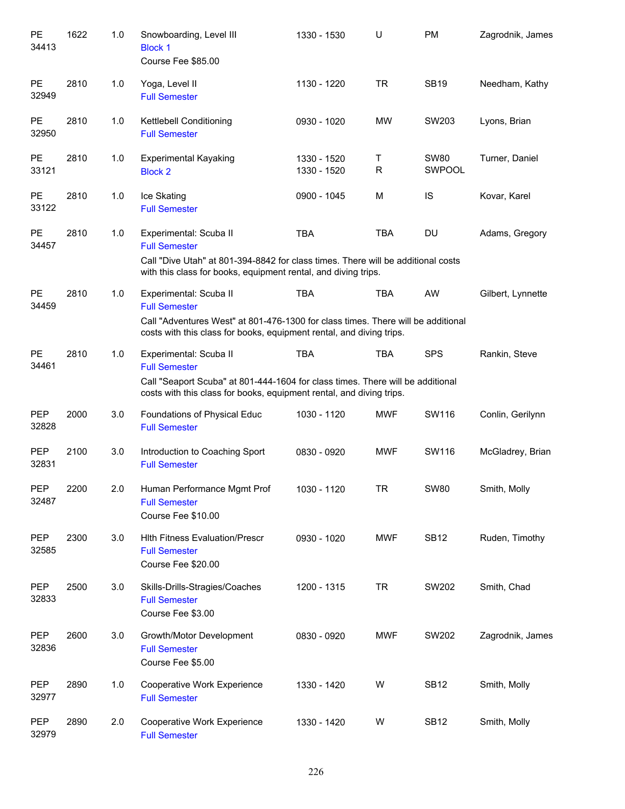| PE<br>34413         | 1622 | 1.0 | Snowboarding, Level III<br><b>Block 1</b><br>Course Fee \$85.00                                                                                                                                            | 1330 - 1530                | U          | PM                    | Zagrodnik, James  |
|---------------------|------|-----|------------------------------------------------------------------------------------------------------------------------------------------------------------------------------------------------------------|----------------------------|------------|-----------------------|-------------------|
| <b>PE</b><br>32949  | 2810 | 1.0 | Yoga, Level II<br><b>Full Semester</b>                                                                                                                                                                     | 1130 - 1220                | <b>TR</b>  | <b>SB19</b>           | Needham, Kathy    |
| PE<br>32950         | 2810 | 1.0 | Kettlebell Conditioning<br><b>Full Semester</b>                                                                                                                                                            | 0930 - 1020                | <b>MW</b>  | SW203                 | Lyons, Brian      |
| <b>PE</b><br>33121  | 2810 | 1.0 | <b>Experimental Kayaking</b><br><b>Block 2</b>                                                                                                                                                             | 1330 - 1520<br>1330 - 1520 | Τ<br>R     | <b>SW80</b><br>SWPOOL | Turner, Daniel    |
| <b>PE</b><br>33122  | 2810 | 1.0 | Ice Skating<br><b>Full Semester</b>                                                                                                                                                                        | 0900 - 1045                | M          | IS                    | Kovar, Karel      |
| <b>PE</b><br>34457  | 2810 | 1.0 | Experimental: Scuba II<br><b>Full Semester</b><br>Call "Dive Utah" at 801-394-8842 for class times. There will be additional costs<br>with this class for books, equipment rental, and diving trips.       | <b>TBA</b>                 | <b>TBA</b> | DU                    | Adams, Gregory    |
| <b>PE</b><br>34459  | 2810 | 1.0 | Experimental: Scuba II<br><b>Full Semester</b><br>Call "Adventures West" at 801-476-1300 for class times. There will be additional<br>costs with this class for books, equipment rental, and diving trips. | TBA                        | <b>TBA</b> | AW                    | Gilbert, Lynnette |
| <b>PE</b><br>34461  | 2810 | 1.0 | Experimental: Scuba II<br><b>Full Semester</b><br>Call "Seaport Scuba" at 801-444-1604 for class times. There will be additional<br>costs with this class for books, equipment rental, and diving trips.   | <b>TBA</b>                 | <b>TBA</b> | <b>SPS</b>            | Rankin, Steve     |
| <b>PEP</b><br>32828 | 2000 | 3.0 | Foundations of Physical Educ<br><b>Full Semester</b>                                                                                                                                                       | 1030 - 1120                | <b>MWF</b> | SW116                 | Conlin, Gerilynn  |
| <b>PEP</b><br>32831 | 2100 | 3.0 | Introduction to Coaching Sport<br><b>Full Semester</b>                                                                                                                                                     | 0830 - 0920                | <b>MWF</b> | SW116                 | McGladrey, Brian  |
| PEP<br>32487        | 2200 | 2.0 | Human Performance Mgmt Prof<br><b>Full Semester</b><br>Course Fee \$10.00                                                                                                                                  | 1030 - 1120                | TR         | <b>SW80</b>           | Smith, Molly      |
| PEP<br>32585        | 2300 | 3.0 | <b>Hith Fitness Evaluation/Prescr</b><br><b>Full Semester</b><br>Course Fee \$20.00                                                                                                                        | 0930 - 1020                | <b>MWF</b> | <b>SB12</b>           | Ruden, Timothy    |
| <b>PEP</b><br>32833 | 2500 | 3.0 | Skills-Drills-Stragies/Coaches<br><b>Full Semester</b><br>Course Fee \$3.00                                                                                                                                | 1200 - 1315                | <b>TR</b>  | SW202                 | Smith, Chad       |
| PEP<br>32836        | 2600 | 3.0 | Growth/Motor Development<br><b>Full Semester</b><br>Course Fee \$5.00                                                                                                                                      | 0830 - 0920                | <b>MWF</b> | SW202                 | Zagrodnik, James  |
| PEP<br>32977        | 2890 | 1.0 | Cooperative Work Experience<br><b>Full Semester</b>                                                                                                                                                        | 1330 - 1420                | W          | <b>SB12</b>           | Smith, Molly      |
| <b>PEP</b><br>32979 | 2890 | 2.0 | Cooperative Work Experience<br><b>Full Semester</b>                                                                                                                                                        | 1330 - 1420                | W          | <b>SB12</b>           | Smith, Molly      |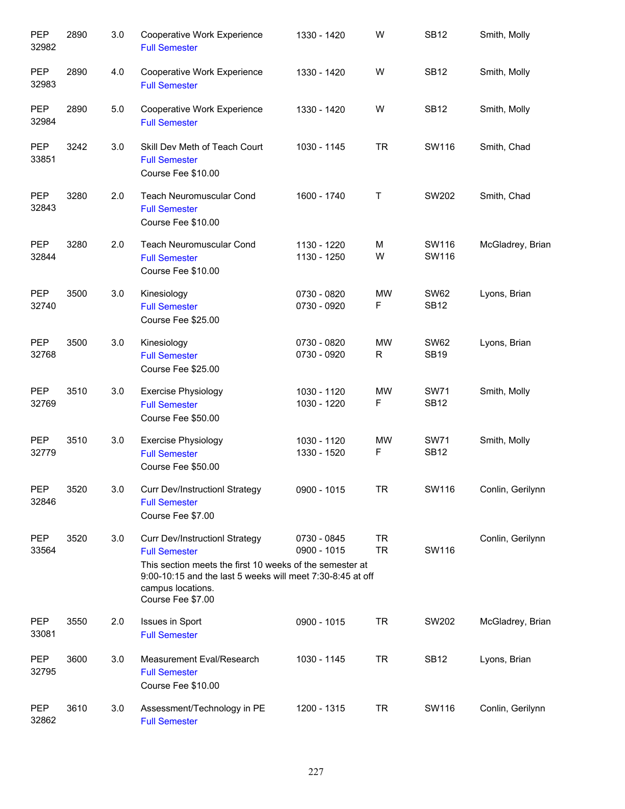| PEP<br>32982        | 2890 | 3.0 | Cooperative Work Experience<br><b>Full Semester</b>                                                                                                                                                                               | 1330 - 1420                | W                        | <b>SB12</b>                | Smith, Molly     |
|---------------------|------|-----|-----------------------------------------------------------------------------------------------------------------------------------------------------------------------------------------------------------------------------------|----------------------------|--------------------------|----------------------------|------------------|
| <b>PEP</b><br>32983 | 2890 | 4.0 | Cooperative Work Experience<br><b>Full Semester</b>                                                                                                                                                                               | 1330 - 1420                | W                        | <b>SB12</b>                | Smith, Molly     |
| PEP<br>32984        | 2890 | 5.0 | Cooperative Work Experience<br><b>Full Semester</b>                                                                                                                                                                               | 1330 - 1420                | W                        | <b>SB12</b>                | Smith, Molly     |
| <b>PEP</b><br>33851 | 3242 | 3.0 | Skill Dev Meth of Teach Court<br><b>Full Semester</b><br>Course Fee \$10.00                                                                                                                                                       | 1030 - 1145                | <b>TR</b>                | SW116                      | Smith, Chad      |
| <b>PEP</b><br>32843 | 3280 | 2.0 | Teach Neuromuscular Cond<br><b>Full Semester</b><br>Course Fee \$10.00                                                                                                                                                            | 1600 - 1740                | Τ                        | SW202                      | Smith, Chad      |
| <b>PEP</b><br>32844 | 3280 | 2.0 | Teach Neuromuscular Cond<br><b>Full Semester</b><br>Course Fee \$10.00                                                                                                                                                            | 1130 - 1220<br>1130 - 1250 | M<br>W                   | SW116<br>SW116             | McGladrey, Brian |
| <b>PEP</b><br>32740 | 3500 | 3.0 | Kinesiology<br><b>Full Semester</b><br>Course Fee \$25.00                                                                                                                                                                         | 0730 - 0820<br>0730 - 0920 | <b>MW</b><br>F           | <b>SW62</b><br><b>SB12</b> | Lyons, Brian     |
| <b>PEP</b><br>32768 | 3500 | 3.0 | Kinesiology<br><b>Full Semester</b><br>Course Fee \$25.00                                                                                                                                                                         | 0730 - 0820<br>0730 - 0920 | <b>MW</b><br>$\mathsf R$ | <b>SW62</b><br><b>SB19</b> | Lyons, Brian     |
| <b>PEP</b><br>32769 | 3510 | 3.0 | <b>Exercise Physiology</b><br><b>Full Semester</b><br>Course Fee \$50.00                                                                                                                                                          | 1030 - 1120<br>1030 - 1220 | <b>MW</b><br>F           | <b>SW71</b><br><b>SB12</b> | Smith, Molly     |
| <b>PEP</b><br>32779 | 3510 | 3.0 | <b>Exercise Physiology</b><br><b>Full Semester</b><br>Course Fee \$50.00                                                                                                                                                          | 1030 - 1120<br>1330 - 1520 | MW<br>F                  | <b>SW71</b><br><b>SB12</b> | Smith, Molly     |
| <b>PEP</b><br>32846 | 3520 | 3.0 | <b>Curr Dev/Instructionl Strategy</b><br><b>Full Semester</b><br>Course Fee \$7.00                                                                                                                                                | 0900 - 1015                | TR                       | SW116                      | Conlin, Gerilynn |
| PEP<br>33564        | 3520 | 3.0 | <b>Curr Dev/InstructionI Strategy</b><br><b>Full Semester</b><br>This section meets the first 10 weeks of the semester at<br>9:00-10:15 and the last 5 weeks will meet 7:30-8:45 at off<br>campus locations.<br>Course Fee \$7.00 | 0730 - 0845<br>0900 - 1015 | TR<br><b>TR</b>          | SW116                      | Conlin, Gerilynn |
| PEP<br>33081        | 3550 | 2.0 | <b>Issues in Sport</b><br><b>Full Semester</b>                                                                                                                                                                                    | 0900 - 1015                | <b>TR</b>                | SW202                      | McGladrey, Brian |
| PEP<br>32795        | 3600 | 3.0 | Measurement Eval/Research<br><b>Full Semester</b><br>Course Fee \$10.00                                                                                                                                                           | 1030 - 1145                | <b>TR</b>                | SB <sub>12</sub>           | Lyons, Brian     |
| <b>PEP</b><br>32862 | 3610 | 3.0 | Assessment/Technology in PE<br><b>Full Semester</b>                                                                                                                                                                               | 1200 - 1315                | <b>TR</b>                | SW116                      | Conlin, Gerilynn |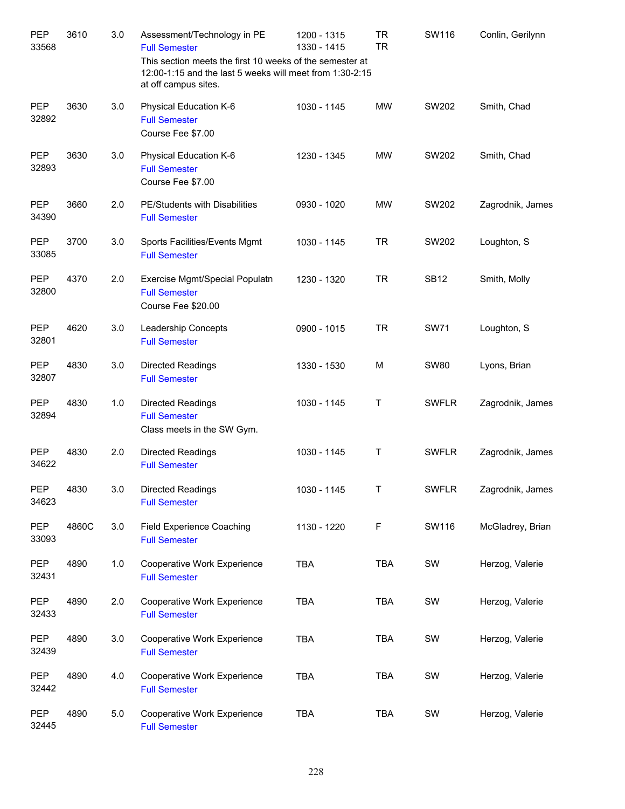| PEP<br>33568        | 3610  | 3.0 | Assessment/Technology in PE<br><b>Full Semester</b><br>This section meets the first 10 weeks of the semester at<br>12:00-1:15 and the last 5 weeks will meet from 1:30-2:15<br>at off campus sites. | 1200 - 1315<br>1330 - 1415 | <b>TR</b><br><b>TR</b> | SW116        | Conlin, Gerilynn |
|---------------------|-------|-----|-----------------------------------------------------------------------------------------------------------------------------------------------------------------------------------------------------|----------------------------|------------------------|--------------|------------------|
| <b>PEP</b><br>32892 | 3630  | 3.0 | Physical Education K-6<br><b>Full Semester</b><br>Course Fee \$7.00                                                                                                                                 | 1030 - 1145                | <b>MW</b>              | SW202        | Smith, Chad      |
| <b>PEP</b><br>32893 | 3630  | 3.0 | Physical Education K-6<br><b>Full Semester</b><br>Course Fee \$7.00                                                                                                                                 | 1230 - 1345                | <b>MW</b>              | SW202        | Smith, Chad      |
| <b>PEP</b><br>34390 | 3660  | 2.0 | PE/Students with Disabilities<br><b>Full Semester</b>                                                                                                                                               | 0930 - 1020                | <b>MW</b>              | SW202        | Zagrodnik, James |
| <b>PEP</b><br>33085 | 3700  | 3.0 | Sports Facilities/Events Mgmt<br><b>Full Semester</b>                                                                                                                                               | 1030 - 1145                | <b>TR</b>              | SW202        | Loughton, S      |
| <b>PEP</b><br>32800 | 4370  | 2.0 | Exercise Mgmt/Special Populatn<br><b>Full Semester</b><br>Course Fee \$20.00                                                                                                                        | 1230 - 1320                | <b>TR</b>              | <b>SB12</b>  | Smith, Molly     |
| <b>PEP</b><br>32801 | 4620  | 3.0 | Leadership Concepts<br><b>Full Semester</b>                                                                                                                                                         | 0900 - 1015                | <b>TR</b>              | <b>SW71</b>  | Loughton, S      |
| <b>PEP</b><br>32807 | 4830  | 3.0 | <b>Directed Readings</b><br><b>Full Semester</b>                                                                                                                                                    | 1330 - 1530                | M                      | <b>SW80</b>  | Lyons, Brian     |
| <b>PEP</b><br>32894 | 4830  | 1.0 | <b>Directed Readings</b><br><b>Full Semester</b><br>Class meets in the SW Gym.                                                                                                                      | 1030 - 1145                | Τ                      | <b>SWFLR</b> | Zagrodnik, James |
| <b>PEP</b><br>34622 | 4830  | 2.0 | <b>Directed Readings</b><br><b>Full Semester</b>                                                                                                                                                    | 1030 - 1145                | Τ                      | <b>SWFLR</b> | Zagrodnik, James |
| PEP<br>34623        | 4830  | 3.0 | Directed Readings<br><b>Full Semester</b>                                                                                                                                                           | 1030 - 1145                | Τ                      | <b>SWFLR</b> | Zagrodnik, James |
| <b>PEP</b><br>33093 | 4860C | 3.0 | Field Experience Coaching<br><b>Full Semester</b>                                                                                                                                                   | 1130 - 1220                | F                      | SW116        | McGladrey, Brian |
| PEP<br>32431        | 4890  | 1.0 | Cooperative Work Experience<br><b>Full Semester</b>                                                                                                                                                 | TBA                        | <b>TBA</b>             | SW           | Herzog, Valerie  |
| PEP<br>32433        | 4890  | 2.0 | <b>Cooperative Work Experience</b><br><b>Full Semester</b>                                                                                                                                          | <b>TBA</b>                 | <b>TBA</b>             | SW           | Herzog, Valerie  |
| PEP<br>32439        | 4890  | 3.0 | Cooperative Work Experience<br><b>Full Semester</b>                                                                                                                                                 | TBA                        | <b>TBA</b>             | SW           | Herzog, Valerie  |
| <b>PEP</b><br>32442 | 4890  | 4.0 | Cooperative Work Experience<br><b>Full Semester</b>                                                                                                                                                 | <b>TBA</b>                 | <b>TBA</b>             | SW           | Herzog, Valerie  |
| <b>PEP</b><br>32445 | 4890  | 5.0 | Cooperative Work Experience<br><b>Full Semester</b>                                                                                                                                                 | <b>TBA</b>                 | <b>TBA</b>             | SW           | Herzog, Valerie  |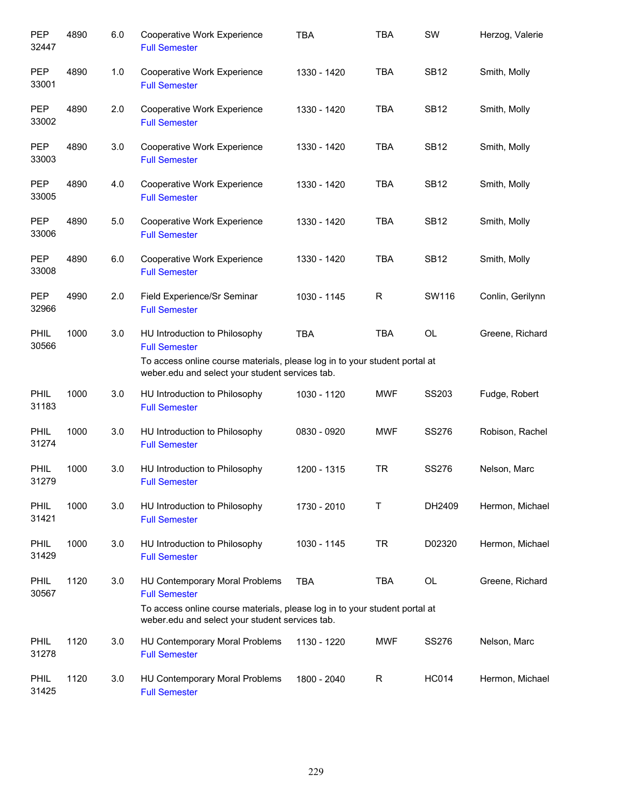| PEP<br>32447         | 4890 | 6.0 | Cooperative Work Experience<br><b>Full Semester</b>                                                                                                                                     | <b>TBA</b>  | <b>TBA</b>   | SW           | Herzog, Valerie  |
|----------------------|------|-----|-----------------------------------------------------------------------------------------------------------------------------------------------------------------------------------------|-------------|--------------|--------------|------------------|
| <b>PEP</b><br>33001  | 4890 | 1.0 | Cooperative Work Experience<br><b>Full Semester</b>                                                                                                                                     | 1330 - 1420 | <b>TBA</b>   | <b>SB12</b>  | Smith, Molly     |
| <b>PEP</b><br>33002  | 4890 | 2.0 | Cooperative Work Experience<br><b>Full Semester</b>                                                                                                                                     | 1330 - 1420 | <b>TBA</b>   | <b>SB12</b>  | Smith, Molly     |
| <b>PEP</b><br>33003  | 4890 | 3.0 | Cooperative Work Experience<br><b>Full Semester</b>                                                                                                                                     | 1330 - 1420 | <b>TBA</b>   | <b>SB12</b>  | Smith, Molly     |
| <b>PEP</b><br>33005  | 4890 | 4.0 | Cooperative Work Experience<br><b>Full Semester</b>                                                                                                                                     | 1330 - 1420 | <b>TBA</b>   | <b>SB12</b>  | Smith, Molly     |
| <b>PEP</b><br>33006  | 4890 | 5.0 | Cooperative Work Experience<br><b>Full Semester</b>                                                                                                                                     | 1330 - 1420 | <b>TBA</b>   | <b>SB12</b>  | Smith, Molly     |
| <b>PEP</b><br>33008  | 4890 | 6.0 | Cooperative Work Experience<br><b>Full Semester</b>                                                                                                                                     | 1330 - 1420 | <b>TBA</b>   | <b>SB12</b>  | Smith, Molly     |
| <b>PEP</b><br>32966  | 4990 | 2.0 | Field Experience/Sr Seminar<br><b>Full Semester</b>                                                                                                                                     | 1030 - 1145 | $\mathsf{R}$ | SW116        | Conlin, Gerilynn |
| PHIL<br>30566        | 1000 | 3.0 | HU Introduction to Philosophy<br><b>Full Semester</b><br>To access online course materials, please log in to your student portal at<br>weber.edu and select your student services tab.  | <b>TBA</b>  | <b>TBA</b>   | OL           | Greene, Richard  |
| <b>PHIL</b><br>31183 | 1000 | 3.0 | HU Introduction to Philosophy<br><b>Full Semester</b>                                                                                                                                   | 1030 - 1120 | <b>MWF</b>   | SS203        | Fudge, Robert    |
| <b>PHIL</b><br>31274 | 1000 | 3.0 | HU Introduction to Philosophy<br><b>Full Semester</b>                                                                                                                                   | 0830 - 0920 | <b>MWF</b>   | <b>SS276</b> | Robison, Rachel  |
| PHIL<br>31279        | 1000 | 3.0 | HU Introduction to Philosophy<br><b>Full Semester</b>                                                                                                                                   | 1200 - 1315 | <b>TR</b>    | <b>SS276</b> | Nelson, Marc     |
| PHIL<br>31421        | 1000 | 3.0 | HU Introduction to Philosophy<br><b>Full Semester</b>                                                                                                                                   | 1730 - 2010 | т            | DH2409       | Hermon, Michael  |
| PHIL<br>31429        | 1000 | 3.0 | HU Introduction to Philosophy<br><b>Full Semester</b>                                                                                                                                   | 1030 - 1145 | <b>TR</b>    | D02320       | Hermon, Michael  |
| <b>PHIL</b><br>30567 | 1120 | 3.0 | HU Contemporary Moral Problems<br><b>Full Semester</b><br>To access online course materials, please log in to your student portal at<br>weber.edu and select your student services tab. | <b>TBA</b>  | <b>TBA</b>   | OL           | Greene, Richard  |
| <b>PHIL</b><br>31278 | 1120 | 3.0 | HU Contemporary Moral Problems<br><b>Full Semester</b>                                                                                                                                  | 1130 - 1220 | <b>MWF</b>   | <b>SS276</b> | Nelson, Marc     |
| <b>PHIL</b><br>31425 | 1120 | 3.0 | HU Contemporary Moral Problems<br><b>Full Semester</b>                                                                                                                                  | 1800 - 2040 | R            | <b>HC014</b> | Hermon, Michael  |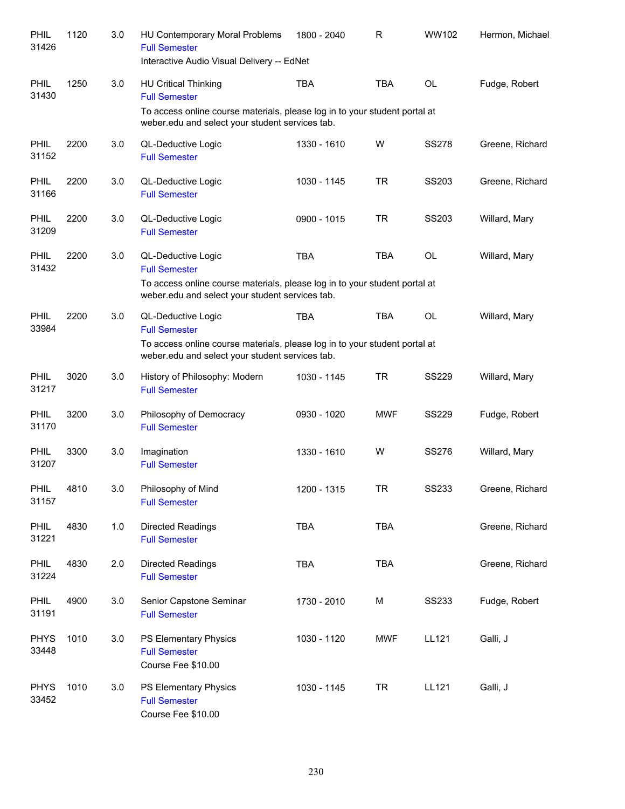| PHIL<br>31426        | 1120 | 3.0 | HU Contemporary Moral Problems<br><b>Full Semester</b><br>Interactive Audio Visual Delivery -- EdNet                                                                                 | 1800 - 2040 | R          | WW102        | Hermon, Michael |
|----------------------|------|-----|--------------------------------------------------------------------------------------------------------------------------------------------------------------------------------------|-------------|------------|--------------|-----------------|
| PHIL<br>31430        | 1250 | 3.0 | <b>HU Critical Thinking</b><br><b>Full Semester</b><br>To access online course materials, please log in to your student portal at<br>weber.edu and select your student services tab. | <b>TBA</b>  | <b>TBA</b> | <b>OL</b>    | Fudge, Robert   |
| PHIL<br>31152        | 2200 | 3.0 | QL-Deductive Logic<br><b>Full Semester</b>                                                                                                                                           | 1330 - 1610 | W          | <b>SS278</b> | Greene, Richard |
| PHIL<br>31166        | 2200 | 3.0 | QL-Deductive Logic<br><b>Full Semester</b>                                                                                                                                           | 1030 - 1145 | <b>TR</b>  | <b>SS203</b> | Greene, Richard |
| <b>PHIL</b><br>31209 | 2200 | 3.0 | QL-Deductive Logic<br><b>Full Semester</b>                                                                                                                                           | 0900 - 1015 | <b>TR</b>  | SS203        | Willard, Mary   |
| PHIL<br>31432        | 2200 | 3.0 | QL-Deductive Logic<br><b>Full Semester</b><br>To access online course materials, please log in to your student portal at<br>weber.edu and select your student services tab.          | <b>TBA</b>  | <b>TBA</b> | <b>OL</b>    | Willard, Mary   |
| <b>PHIL</b><br>33984 | 2200 | 3.0 | QL-Deductive Logic<br><b>Full Semester</b><br>To access online course materials, please log in to your student portal at<br>weber.edu and select your student services tab.          | <b>TBA</b>  | <b>TBA</b> | OL           | Willard, Mary   |
| PHIL<br>31217        | 3020 | 3.0 | History of Philosophy: Modern<br><b>Full Semester</b>                                                                                                                                | 1030 - 1145 | <b>TR</b>  | <b>SS229</b> | Willard, Mary   |
| PHIL<br>31170        | 3200 | 3.0 | Philosophy of Democracy<br><b>Full Semester</b>                                                                                                                                      | 0930 - 1020 | <b>MWF</b> | <b>SS229</b> | Fudge, Robert   |
| PHIL<br>31207        | 3300 | 3.0 | Imagination<br><b>Full Semester</b>                                                                                                                                                  | 1330 - 1610 | W          | <b>SS276</b> | Willard, Mary   |
| PHIL<br>31157        | 4810 | 3.0 | Philosophy of Mind<br><b>Full Semester</b>                                                                                                                                           | 1200 - 1315 | TR         | SS233        | Greene, Richard |
| <b>PHIL</b><br>31221 | 4830 | 1.0 | <b>Directed Readings</b><br><b>Full Semester</b>                                                                                                                                     | TBA         | <b>TBA</b> |              | Greene, Richard |
| PHIL<br>31224        | 4830 | 2.0 | <b>Directed Readings</b><br><b>Full Semester</b>                                                                                                                                     | TBA         | <b>TBA</b> |              | Greene, Richard |
| PHIL<br>31191        | 4900 | 3.0 | Senior Capstone Seminar<br><b>Full Semester</b>                                                                                                                                      | 1730 - 2010 | M          | <b>SS233</b> | Fudge, Robert   |
| <b>PHYS</b><br>33448 | 1010 | 3.0 | PS Elementary Physics<br><b>Full Semester</b><br>Course Fee \$10.00                                                                                                                  | 1030 - 1120 | <b>MWF</b> | LL121        | Galli, J        |
| <b>PHYS</b><br>33452 | 1010 | 3.0 | PS Elementary Physics<br><b>Full Semester</b><br>Course Fee \$10.00                                                                                                                  | 1030 - 1145 | <b>TR</b>  | LL121        | Galli, J        |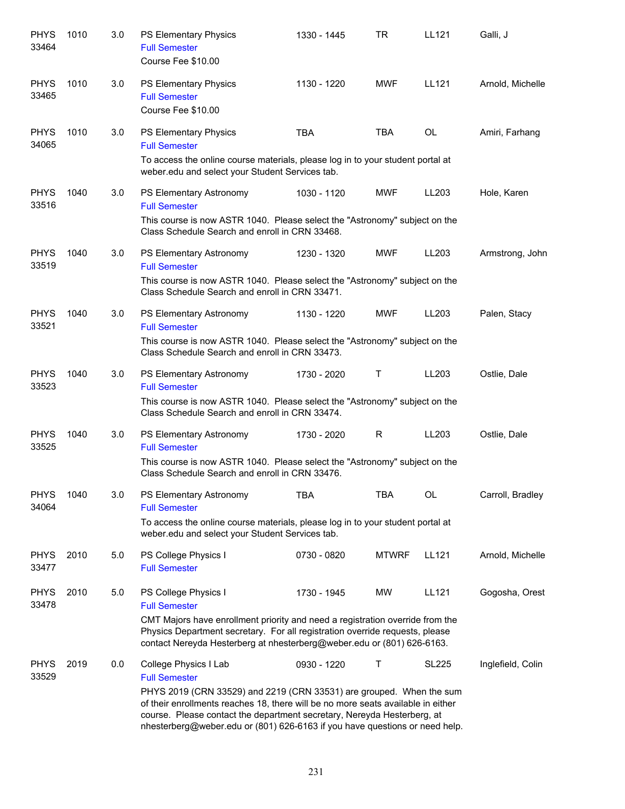| <b>PHYS</b><br>33464 | 1010 | 3.0   | PS Elementary Physics<br><b>Full Semester</b><br>Course Fee \$10.00                                                                                                                                                                                                                                                | 1330 - 1445 | <b>TR</b>    | LL121 | Galli, J          |
|----------------------|------|-------|--------------------------------------------------------------------------------------------------------------------------------------------------------------------------------------------------------------------------------------------------------------------------------------------------------------------|-------------|--------------|-------|-------------------|
| <b>PHYS</b><br>33465 | 1010 | 3.0   | PS Elementary Physics<br><b>Full Semester</b><br>Course Fee \$10.00                                                                                                                                                                                                                                                | 1130 - 1220 | <b>MWF</b>   | LL121 | Arnold, Michelle  |
| <b>PHYS</b><br>34065 | 1010 | 3.0   | PS Elementary Physics<br><b>Full Semester</b><br>To access the online course materials, please log in to your student portal at                                                                                                                                                                                    | <b>TBA</b>  | <b>TBA</b>   | OL    | Amiri, Farhang    |
|                      |      |       | weber.edu and select your Student Services tab.                                                                                                                                                                                                                                                                    |             |              |       |                   |
| <b>PHYS</b><br>33516 | 1040 | 3.0   | PS Elementary Astronomy<br><b>Full Semester</b>                                                                                                                                                                                                                                                                    | 1030 - 1120 | <b>MWF</b>   | LL203 | Hole, Karen       |
|                      |      |       | This course is now ASTR 1040. Please select the "Astronomy" subject on the<br>Class Schedule Search and enroll in CRN 33468.                                                                                                                                                                                       |             |              |       |                   |
| <b>PHYS</b><br>33519 | 1040 | 3.0   | PS Elementary Astronomy<br><b>Full Semester</b>                                                                                                                                                                                                                                                                    | 1230 - 1320 | <b>MWF</b>   | LL203 | Armstrong, John   |
|                      |      |       | This course is now ASTR 1040. Please select the "Astronomy" subject on the<br>Class Schedule Search and enroll in CRN 33471.                                                                                                                                                                                       |             |              |       |                   |
| <b>PHYS</b><br>33521 | 1040 | 3.0   | PS Elementary Astronomy<br><b>Full Semester</b>                                                                                                                                                                                                                                                                    | 1130 - 1220 | <b>MWF</b>   | LL203 | Palen, Stacy      |
|                      |      |       | This course is now ASTR 1040. Please select the "Astronomy" subject on the<br>Class Schedule Search and enroll in CRN 33473.                                                                                                                                                                                       |             |              |       |                   |
| <b>PHYS</b><br>33523 | 1040 | 3.0   | PS Elementary Astronomy<br><b>Full Semester</b>                                                                                                                                                                                                                                                                    | 1730 - 2020 | T            | LL203 | Ostlie, Dale      |
|                      |      |       | This course is now ASTR 1040. Please select the "Astronomy" subject on the<br>Class Schedule Search and enroll in CRN 33474.                                                                                                                                                                                       |             |              |       |                   |
| <b>PHYS</b><br>33525 | 1040 | 3.0   | PS Elementary Astronomy<br><b>Full Semester</b>                                                                                                                                                                                                                                                                    | 1730 - 2020 | R            | LL203 | Ostlie, Dale      |
|                      |      |       | This course is now ASTR 1040. Please select the "Astronomy" subject on the<br>Class Schedule Search and enroll in CRN 33476.                                                                                                                                                                                       |             |              |       |                   |
| <b>PHYS</b><br>34064 | 1040 | 3.0   | PS Elementary Astronomy<br><b>Full Semester</b>                                                                                                                                                                                                                                                                    | TBA         | TBA          | OL    | Carroll, Bradley  |
|                      |      |       | To access the online course materials, please log in to your student portal at<br>weber.edu and select your Student Services tab.                                                                                                                                                                                  |             |              |       |                   |
| <b>PHYS</b><br>33477 | 2010 | 5.0   | PS College Physics I<br><b>Full Semester</b>                                                                                                                                                                                                                                                                       | 0730 - 0820 | <b>MTWRF</b> | LL121 | Arnold, Michelle  |
| <b>PHYS</b><br>33478 | 2010 | $5.0$ | PS College Physics I<br><b>Full Semester</b>                                                                                                                                                                                                                                                                       | 1730 - 1945 | MW           | LL121 | Gogosha, Orest    |
|                      |      |       | CMT Majors have enrollment priority and need a registration override from the<br>Physics Department secretary. For all registration override requests, please<br>contact Nereyda Hesterberg at nhesterberg@weber.edu or (801) 626-6163.                                                                            |             |              |       |                   |
| <b>PHYS</b><br>33529 | 2019 | 0.0   | College Physics I Lab<br><b>Full Semester</b>                                                                                                                                                                                                                                                                      | 0930 - 1220 | Т            | SL225 | Inglefield, Colin |
|                      |      |       | PHYS 2019 (CRN 33529) and 2219 (CRN 33531) are grouped. When the sum<br>of their enrollments reaches 18, there will be no more seats available in either<br>course. Please contact the department secretary, Nereyda Hesterberg, at<br>nhesterberg@weber.edu or (801) 626-6163 if you have questions or need help. |             |              |       |                   |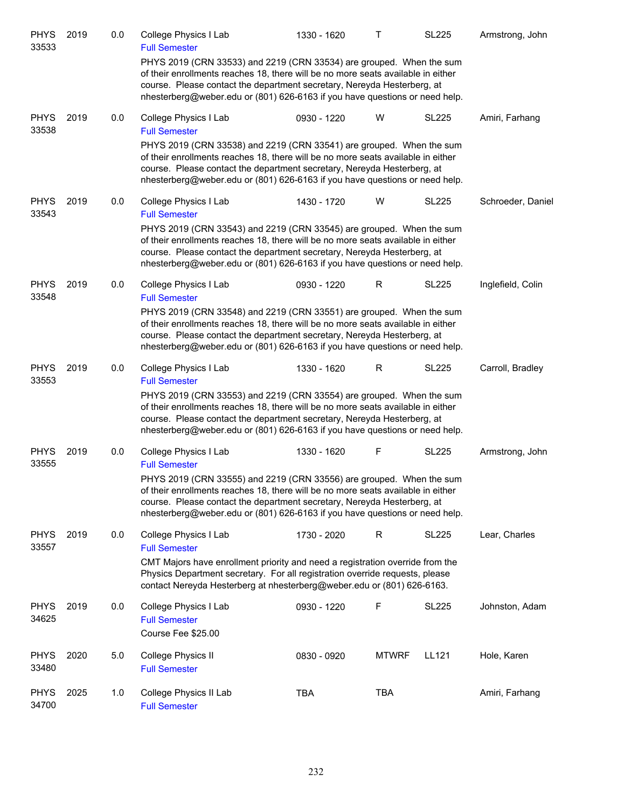| <b>PHYS</b><br>33533 | 2019 | 0.0 | College Physics I Lab<br><b>Full Semester</b>                                                                                                                                                                                                                                                                                                                       | 1330 - 1620 | т            | <b>SL225</b> | Armstrong, John   |
|----------------------|------|-----|---------------------------------------------------------------------------------------------------------------------------------------------------------------------------------------------------------------------------------------------------------------------------------------------------------------------------------------------------------------------|-------------|--------------|--------------|-------------------|
|                      |      |     | PHYS 2019 (CRN 33533) and 2219 (CRN 33534) are grouped. When the sum<br>of their enrollments reaches 18, there will be no more seats available in either<br>course. Please contact the department secretary, Nereyda Hesterberg, at<br>nhesterberg@weber.edu or (801) 626-6163 if you have questions or need help.                                                  |             |              |              |                   |
| <b>PHYS</b><br>33538 | 2019 | 0.0 | College Physics I Lab<br><b>Full Semester</b>                                                                                                                                                                                                                                                                                                                       | 0930 - 1220 | W            | <b>SL225</b> | Amiri, Farhang    |
|                      |      |     | PHYS 2019 (CRN 33538) and 2219 (CRN 33541) are grouped. When the sum<br>of their enrollments reaches 18, there will be no more seats available in either<br>course. Please contact the department secretary, Nereyda Hesterberg, at<br>nhesterberg@weber.edu or (801) 626-6163 if you have questions or need help.                                                  |             |              |              |                   |
| <b>PHYS</b><br>33543 | 2019 | 0.0 | College Physics I Lab<br><b>Full Semester</b>                                                                                                                                                                                                                                                                                                                       | 1430 - 1720 | W            | <b>SL225</b> | Schroeder, Daniel |
|                      |      |     | PHYS 2019 (CRN 33543) and 2219 (CRN 33545) are grouped. When the sum<br>of their enrollments reaches 18, there will be no more seats available in either<br>course. Please contact the department secretary, Nereyda Hesterberg, at<br>nhesterberg@weber.edu or (801) 626-6163 if you have questions or need help.                                                  |             |              |              |                   |
| <b>PHYS</b><br>33548 | 2019 | 0.0 | College Physics I Lab<br><b>Full Semester</b>                                                                                                                                                                                                                                                                                                                       | 0930 - 1220 | R            | <b>SL225</b> | Inglefield, Colin |
|                      |      |     | PHYS 2019 (CRN 33548) and 2219 (CRN 33551) are grouped. When the sum<br>of their enrollments reaches 18, there will be no more seats available in either<br>course. Please contact the department secretary, Nereyda Hesterberg, at<br>nhesterberg@weber.edu or (801) 626-6163 if you have questions or need help.                                                  |             |              |              |                   |
| <b>PHYS</b><br>33553 | 2019 | 0.0 | College Physics I Lab<br><b>Full Semester</b><br>PHYS 2019 (CRN 33553) and 2219 (CRN 33554) are grouped. When the sum<br>of their enrollments reaches 18, there will be no more seats available in either<br>course. Please contact the department secretary, Nereyda Hesterberg, at<br>nhesterberg@weber.edu or (801) 626-6163 if you have questions or need help. | 1330 - 1620 | R            | <b>SL225</b> | Carroll, Bradley  |
| <b>PHYS</b><br>33555 | 2019 | 0.0 | College Physics I Lab<br><b>Full Semester</b><br>PHYS 2019 (CRN 33555) and 2219 (CRN 33556) are grouped. When the sum<br>of their enrollments reaches 18, there will be no more seats available in either<br>course. Please contact the department secretary, Nereyda Hesterberg, at<br>nhesterberg@weber.edu or (801) 626-6163 if you have questions or need help. | 1330 - 1620 | F            | <b>SL225</b> | Armstrong, John   |
| <b>PHYS</b><br>33557 | 2019 | 0.0 | College Physics I Lab<br><b>Full Semester</b><br>CMT Majors have enrollment priority and need a registration override from the<br>Physics Department secretary. For all registration override requests, please<br>contact Nereyda Hesterberg at nhesterberg@weber.edu or (801) 626-6163.                                                                            | 1730 - 2020 | R            | <b>SL225</b> | Lear, Charles     |
| <b>PHYS</b><br>34625 | 2019 | 0.0 | College Physics I Lab<br><b>Full Semester</b><br>Course Fee \$25.00                                                                                                                                                                                                                                                                                                 | 0930 - 1220 | F            | <b>SL225</b> | Johnston, Adam    |
| <b>PHYS</b><br>33480 | 2020 | 5.0 | College Physics II<br><b>Full Semester</b>                                                                                                                                                                                                                                                                                                                          | 0830 - 0920 | <b>MTWRF</b> | LL121        | Hole, Karen       |
| <b>PHYS</b><br>34700 | 2025 | 1.0 | College Physics II Lab<br><b>Full Semester</b>                                                                                                                                                                                                                                                                                                                      | <b>TBA</b>  | <b>TBA</b>   |              | Amiri, Farhang    |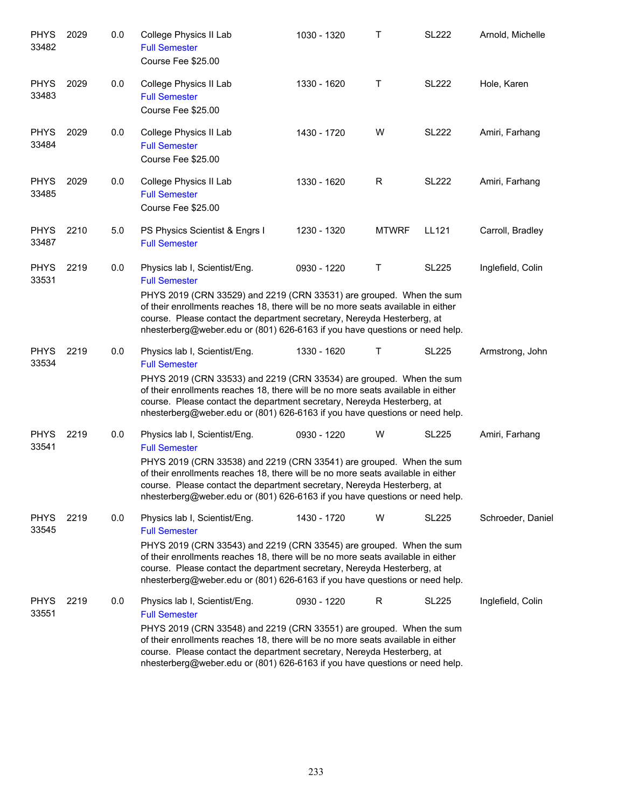| <b>PHYS</b><br>33482 | 2029 | 0.0 | College Physics II Lab<br><b>Full Semester</b><br>Course Fee \$25.00                                                                                                                                                                                                                                                                                                        | 1030 - 1320 | Τ            | <b>SL222</b> | Arnold, Michelle  |
|----------------------|------|-----|-----------------------------------------------------------------------------------------------------------------------------------------------------------------------------------------------------------------------------------------------------------------------------------------------------------------------------------------------------------------------------|-------------|--------------|--------------|-------------------|
| <b>PHYS</b><br>33483 | 2029 | 0.0 | College Physics II Lab<br><b>Full Semester</b><br>Course Fee \$25.00                                                                                                                                                                                                                                                                                                        | 1330 - 1620 | Τ            | <b>SL222</b> | Hole, Karen       |
| <b>PHYS</b><br>33484 | 2029 | 0.0 | College Physics II Lab<br><b>Full Semester</b><br>Course Fee \$25.00                                                                                                                                                                                                                                                                                                        | 1430 - 1720 | W            | <b>SL222</b> | Amiri, Farhang    |
| <b>PHYS</b><br>33485 | 2029 | 0.0 | College Physics II Lab<br><b>Full Semester</b><br>Course Fee \$25.00                                                                                                                                                                                                                                                                                                        | 1330 - 1620 | R            | <b>SL222</b> | Amiri, Farhang    |
| <b>PHYS</b><br>33487 | 2210 | 5.0 | PS Physics Scientist & Engrs I<br><b>Full Semester</b>                                                                                                                                                                                                                                                                                                                      | 1230 - 1320 | <b>MTWRF</b> | LL121        | Carroll, Bradley  |
| <b>PHYS</b><br>33531 | 2219 | 0.0 | Physics lab I, Scientist/Eng.<br><b>Full Semester</b><br>PHYS 2019 (CRN 33529) and 2219 (CRN 33531) are grouped. When the sum<br>of their enrollments reaches 18, there will be no more seats available in either<br>course. Please contact the department secretary, Nereyda Hesterberg, at<br>nhesterberg@weber.edu or (801) 626-6163 if you have questions or need help. | 0930 - 1220 | $\mathsf T$  | <b>SL225</b> | Inglefield, Colin |
| <b>PHYS</b><br>33534 | 2219 | 0.0 | Physics lab I, Scientist/Eng.<br><b>Full Semester</b><br>PHYS 2019 (CRN 33533) and 2219 (CRN 33534) are grouped. When the sum<br>of their enrollments reaches 18, there will be no more seats available in either<br>course. Please contact the department secretary, Nereyda Hesterberg, at<br>nhesterberg@weber.edu or (801) 626-6163 if you have questions or need help. | 1330 - 1620 | Т            | <b>SL225</b> | Armstrong, John   |
| <b>PHYS</b><br>33541 | 2219 | 0.0 | Physics lab I, Scientist/Eng.<br><b>Full Semester</b><br>PHYS 2019 (CRN 33538) and 2219 (CRN 33541) are grouped. When the sum<br>of their enrollments reaches 18, there will be no more seats available in either<br>course. Please contact the department secretary, Nereyda Hesterberg, at<br>nhesterberg@weber.edu or (801) 626-6163 if you have questions or need help. | 0930 - 1220 | W            | <b>SL225</b> | Amiri, Farhang    |
| <b>PHYS</b><br>33545 | 2219 | 0.0 | Physics lab I, Scientist/Eng.<br><b>Full Semester</b><br>PHYS 2019 (CRN 33543) and 2219 (CRN 33545) are grouped. When the sum<br>of their enrollments reaches 18, there will be no more seats available in either<br>course. Please contact the department secretary, Nereyda Hesterberg, at<br>nhesterberg@weber.edu or (801) 626-6163 if you have questions or need help. | 1430 - 1720 | W            | <b>SL225</b> | Schroeder, Daniel |
| <b>PHYS</b><br>33551 | 2219 | 0.0 | Physics lab I, Scientist/Eng.<br><b>Full Semester</b><br>PHYS 2019 (CRN 33548) and 2219 (CRN 33551) are grouped. When the sum<br>of their enrollments reaches 18, there will be no more seats available in either<br>course. Please contact the department secretary, Nereyda Hesterberg, at<br>nhesterberg@weber.edu or (801) 626-6163 if you have questions or need help. | 0930 - 1220 | R            | <b>SL225</b> | Inglefield, Colin |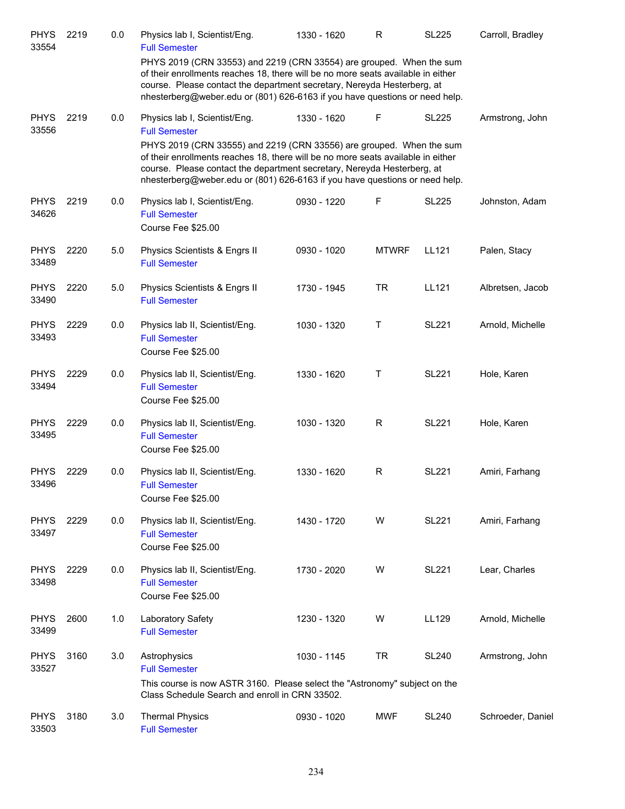| <b>PHYS</b><br>33554 | 2219 | 0.0 | Physics lab I, Scientist/Eng.<br><b>Full Semester</b>                                                                                                                                                                                                                                                              | 1330 - 1620 | $\mathsf{R}$ | <b>SL225</b> | Carroll, Bradley  |
|----------------------|------|-----|--------------------------------------------------------------------------------------------------------------------------------------------------------------------------------------------------------------------------------------------------------------------------------------------------------------------|-------------|--------------|--------------|-------------------|
|                      |      |     | PHYS 2019 (CRN 33553) and 2219 (CRN 33554) are grouped. When the sum<br>of their enrollments reaches 18, there will be no more seats available in either<br>course. Please contact the department secretary, Nereyda Hesterberg, at<br>nhesterberg@weber.edu or (801) 626-6163 if you have questions or need help. |             |              |              |                   |
| <b>PHYS</b><br>33556 | 2219 | 0.0 | Physics lab I, Scientist/Eng.<br><b>Full Semester</b>                                                                                                                                                                                                                                                              | 1330 - 1620 | F            | <b>SL225</b> | Armstrong, John   |
|                      |      |     | PHYS 2019 (CRN 33555) and 2219 (CRN 33556) are grouped. When the sum<br>of their enrollments reaches 18, there will be no more seats available in either<br>course. Please contact the department secretary, Nereyda Hesterberg, at<br>nhesterberg@weber.edu or (801) 626-6163 if you have questions or need help. |             |              |              |                   |
| <b>PHYS</b><br>34626 | 2219 | 0.0 | Physics lab I, Scientist/Eng.<br><b>Full Semester</b><br>Course Fee \$25.00                                                                                                                                                                                                                                        | 0930 - 1220 | F            | <b>SL225</b> | Johnston, Adam    |
| <b>PHYS</b><br>33489 | 2220 | 5.0 | Physics Scientists & Engrs II<br><b>Full Semester</b>                                                                                                                                                                                                                                                              | 0930 - 1020 | <b>MTWRF</b> | LL121        | Palen, Stacy      |
| <b>PHYS</b><br>33490 | 2220 | 5.0 | Physics Scientists & Engrs II<br><b>Full Semester</b>                                                                                                                                                                                                                                                              | 1730 - 1945 | <b>TR</b>    | LL121        | Albretsen, Jacob  |
| <b>PHYS</b><br>33493 | 2229 | 0.0 | Physics lab II, Scientist/Eng.<br><b>Full Semester</b><br>Course Fee \$25.00                                                                                                                                                                                                                                       | 1030 - 1320 | Τ            | <b>SL221</b> | Arnold, Michelle  |
| <b>PHYS</b><br>33494 | 2229 | 0.0 | Physics lab II, Scientist/Eng.<br><b>Full Semester</b><br>Course Fee \$25.00                                                                                                                                                                                                                                       | 1330 - 1620 | Τ            | <b>SL221</b> | Hole, Karen       |
| <b>PHYS</b><br>33495 | 2229 | 0.0 | Physics lab II, Scientist/Eng.<br><b>Full Semester</b><br>Course Fee \$25.00                                                                                                                                                                                                                                       | 1030 - 1320 | $\mathsf{R}$ | <b>SL221</b> | Hole, Karen       |
| <b>PHYS</b><br>33496 | 2229 | 0.0 | Physics lab II, Scientist/Eng.<br><b>Full Semester</b><br>Course Fee \$25.00                                                                                                                                                                                                                                       | 1330 - 1620 | R            | <b>SL221</b> | Amiri, Farhang    |
| <b>PHYS</b><br>33497 | 2229 | 0.0 | Physics lab II, Scientist/Eng.<br><b>Full Semester</b><br>Course Fee \$25.00                                                                                                                                                                                                                                       | 1430 - 1720 | W            | <b>SL221</b> | Amiri, Farhang    |
| <b>PHYS</b><br>33498 | 2229 | 0.0 | Physics lab II, Scientist/Eng.<br><b>Full Semester</b><br>Course Fee \$25.00                                                                                                                                                                                                                                       | 1730 - 2020 | W            | <b>SL221</b> | Lear, Charles     |
| <b>PHYS</b><br>33499 | 2600 | 1.0 | Laboratory Safety<br><b>Full Semester</b>                                                                                                                                                                                                                                                                          | 1230 - 1320 | W            | LL129        | Arnold, Michelle  |
| <b>PHYS</b><br>33527 | 3160 | 3.0 | Astrophysics<br><b>Full Semester</b><br>This course is now ASTR 3160. Please select the "Astronomy" subject on the<br>Class Schedule Search and enroll in CRN 33502.                                                                                                                                               | 1030 - 1145 | <b>TR</b>    | <b>SL240</b> | Armstrong, John   |
| <b>PHYS</b><br>33503 | 3180 | 3.0 | <b>Thermal Physics</b><br><b>Full Semester</b>                                                                                                                                                                                                                                                                     | 0930 - 1020 | <b>MWF</b>   | <b>SL240</b> | Schroeder, Daniel |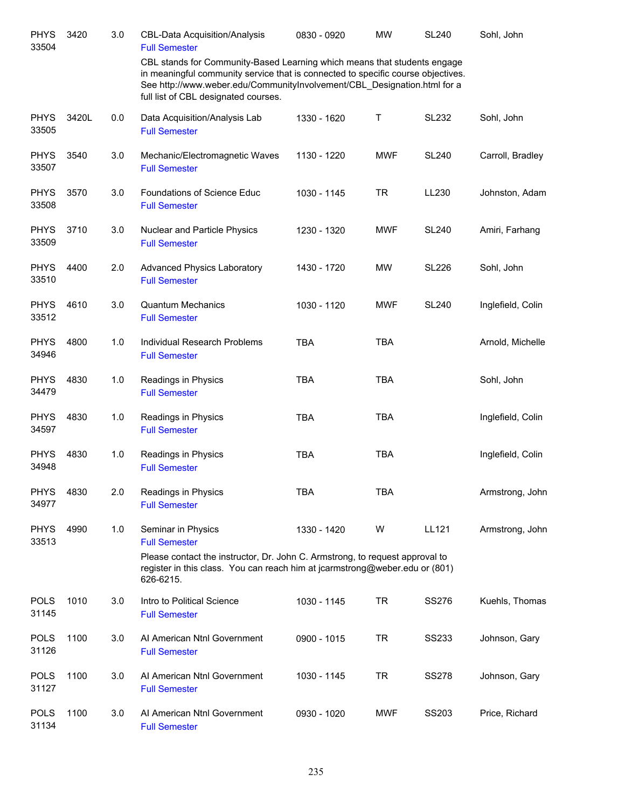| <b>PHYS</b><br>33504 | 3420  | 3.0 | <b>CBL-Data Acquisition/Analysis</b><br><b>Full Semester</b>                                                                                                                                                                                                                     | 0830 - 0920 | <b>MW</b>  | <b>SL240</b> | Sohl, John        |
|----------------------|-------|-----|----------------------------------------------------------------------------------------------------------------------------------------------------------------------------------------------------------------------------------------------------------------------------------|-------------|------------|--------------|-------------------|
|                      |       |     | CBL stands for Community-Based Learning which means that students engage<br>in meaningful community service that is connected to specific course objectives.<br>See http://www.weber.edu/CommunityInvolvement/CBL_Designation.html for a<br>full list of CBL designated courses. |             |            |              |                   |
| <b>PHYS</b><br>33505 | 3420L | 0.0 | Data Acquisition/Analysis Lab<br><b>Full Semester</b>                                                                                                                                                                                                                            | 1330 - 1620 | Τ          | <b>SL232</b> | Sohl, John        |
| <b>PHYS</b><br>33507 | 3540  | 3.0 | Mechanic/Electromagnetic Waves<br><b>Full Semester</b>                                                                                                                                                                                                                           | 1130 - 1220 | <b>MWF</b> | <b>SL240</b> | Carroll, Bradley  |
| <b>PHYS</b><br>33508 | 3570  | 3.0 | Foundations of Science Educ<br><b>Full Semester</b>                                                                                                                                                                                                                              | 1030 - 1145 | <b>TR</b>  | LL230        | Johnston, Adam    |
| <b>PHYS</b><br>33509 | 3710  | 3.0 | Nuclear and Particle Physics<br><b>Full Semester</b>                                                                                                                                                                                                                             | 1230 - 1320 | <b>MWF</b> | <b>SL240</b> | Amiri, Farhang    |
| <b>PHYS</b><br>33510 | 4400  | 2.0 | <b>Advanced Physics Laboratory</b><br><b>Full Semester</b>                                                                                                                                                                                                                       | 1430 - 1720 | <b>MW</b>  | <b>SL226</b> | Sohl, John        |
| <b>PHYS</b><br>33512 | 4610  | 3.0 | <b>Quantum Mechanics</b><br><b>Full Semester</b>                                                                                                                                                                                                                                 | 1030 - 1120 | <b>MWF</b> | <b>SL240</b> | Inglefield, Colin |
| <b>PHYS</b><br>34946 | 4800  | 1.0 | Individual Research Problems<br><b>Full Semester</b>                                                                                                                                                                                                                             | <b>TBA</b>  | <b>TBA</b> |              | Arnold, Michelle  |
| <b>PHYS</b><br>34479 | 4830  | 1.0 | Readings in Physics<br><b>Full Semester</b>                                                                                                                                                                                                                                      | <b>TBA</b>  | <b>TBA</b> |              | Sohl, John        |
| <b>PHYS</b><br>34597 | 4830  | 1.0 | Readings in Physics<br><b>Full Semester</b>                                                                                                                                                                                                                                      | <b>TBA</b>  | <b>TBA</b> |              | Inglefield, Colin |
| <b>PHYS</b><br>34948 | 4830  | 1.0 | Readings in Physics<br><b>Full Semester</b>                                                                                                                                                                                                                                      | <b>TBA</b>  | <b>TBA</b> |              | Inglefield, Colin |
| <b>PHYS</b><br>34977 | 4830  | 2.0 | Readings in Physics<br><b>Full Semester</b>                                                                                                                                                                                                                                      | TBA         | TBA        |              | Armstrong, John   |
| <b>PHYS</b><br>33513 | 4990  | 1.0 | Seminar in Physics<br><b>Full Semester</b><br>Please contact the instructor, Dr. John C. Armstrong, to request approval to<br>register in this class. You can reach him at jcarmstrong@weber.edu or (801)                                                                        | 1330 - 1420 | W          | LL121        | Armstrong, John   |
| <b>POLS</b><br>31145 | 1010  | 3.0 | 626-6215.<br>Intro to Political Science<br><b>Full Semester</b>                                                                                                                                                                                                                  | 1030 - 1145 | <b>TR</b>  | SS276        | Kuehls, Thomas    |
| <b>POLS</b><br>31126 | 1100  | 3.0 | Al American Ntnl Government<br><b>Full Semester</b>                                                                                                                                                                                                                              | 0900 - 1015 | <b>TR</b>  | SS233        | Johnson, Gary     |
| <b>POLS</b><br>31127 | 1100  | 3.0 | Al American Ntnl Government<br><b>Full Semester</b>                                                                                                                                                                                                                              | 1030 - 1145 | <b>TR</b>  | <b>SS278</b> | Johnson, Gary     |
| <b>POLS</b><br>31134 | 1100  | 3.0 | Al American Ntnl Government<br><b>Full Semester</b>                                                                                                                                                                                                                              | 0930 - 1020 | <b>MWF</b> | SS203        | Price, Richard    |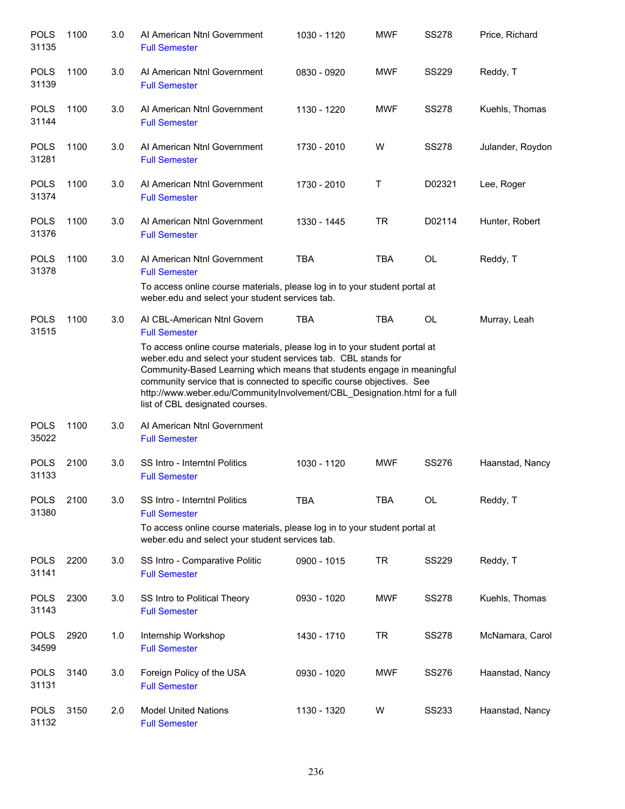| <b>POLS</b><br>31135 | 1100 | 3.0 | Al American Ntnl Government<br><b>Full Semester</b>                                                                                                                                                                                                                                                                                                                                                               | 1030 - 1120 | <b>MWF</b> | <b>SS278</b> | Price, Richard   |
|----------------------|------|-----|-------------------------------------------------------------------------------------------------------------------------------------------------------------------------------------------------------------------------------------------------------------------------------------------------------------------------------------------------------------------------------------------------------------------|-------------|------------|--------------|------------------|
| <b>POLS</b><br>31139 | 1100 | 3.0 | Al American Ntnl Government<br><b>Full Semester</b>                                                                                                                                                                                                                                                                                                                                                               | 0830 - 0920 | <b>MWF</b> | <b>SS229</b> | Reddy, T         |
| <b>POLS</b><br>31144 | 1100 | 3.0 | Al American Ntnl Government<br><b>Full Semester</b>                                                                                                                                                                                                                                                                                                                                                               | 1130 - 1220 | <b>MWF</b> | <b>SS278</b> | Kuehls, Thomas   |
| <b>POLS</b><br>31281 | 1100 | 3.0 | Al American Ntnl Government<br><b>Full Semester</b>                                                                                                                                                                                                                                                                                                                                                               | 1730 - 2010 | W          | <b>SS278</b> | Julander, Roydon |
| <b>POLS</b><br>31374 | 1100 | 3.0 | Al American Ntnl Government<br><b>Full Semester</b>                                                                                                                                                                                                                                                                                                                                                               | 1730 - 2010 | Т          | D02321       | Lee, Roger       |
| <b>POLS</b><br>31376 | 1100 | 3.0 | Al American Ntnl Government<br><b>Full Semester</b>                                                                                                                                                                                                                                                                                                                                                               | 1330 - 1445 | <b>TR</b>  | D02114       | Hunter, Robert   |
| <b>POLS</b><br>31378 | 1100 | 3.0 | Al American Ntnl Government<br><b>Full Semester</b>                                                                                                                                                                                                                                                                                                                                                               | <b>TBA</b>  | <b>TBA</b> | OL           | Reddy, T         |
|                      |      |     | To access online course materials, please log in to your student portal at<br>weber.edu and select your student services tab.                                                                                                                                                                                                                                                                                     |             |            |              |                  |
| <b>POLS</b><br>31515 | 1100 | 3.0 | AI CBL-American Ntnl Govern<br><b>Full Semester</b>                                                                                                                                                                                                                                                                                                                                                               | <b>TBA</b>  | <b>TBA</b> | <b>OL</b>    | Murray, Leah     |
|                      |      |     | To access online course materials, please log in to your student portal at<br>weber.edu and select your student services tab. CBL stands for<br>Community-Based Learning which means that students engage in meaningful<br>community service that is connected to specific course objectives. See<br>http://www.weber.edu/CommunityInvolvement/CBL_Designation.html for a full<br>list of CBL designated courses. |             |            |              |                  |
| <b>POLS</b><br>35022 | 1100 | 3.0 | Al American Ntnl Government<br><b>Full Semester</b>                                                                                                                                                                                                                                                                                                                                                               |             |            |              |                  |
| <b>POLS</b><br>31133 | 2100 | 3.0 | SS Intro - Interntnl Politics<br><b>Full Semester</b>                                                                                                                                                                                                                                                                                                                                                             | 1030 - 1120 | <b>MWF</b> | <b>SS276</b> | Haanstad, Nancy  |
| <b>POLS</b><br>31380 | 2100 | 3.0 | SS Intro - Interntnl Politics<br><b>Full Semester</b>                                                                                                                                                                                                                                                                                                                                                             | <b>TBA</b>  | <b>TBA</b> | OL           | Reddy, T         |
|                      |      |     | To access online course materials, please log in to your student portal at<br>weber.edu and select your student services tab.                                                                                                                                                                                                                                                                                     |             |            |              |                  |
| <b>POLS</b><br>31141 | 2200 | 3.0 | SS Intro - Comparative Politic<br><b>Full Semester</b>                                                                                                                                                                                                                                                                                                                                                            | 0900 - 1015 | <b>TR</b>  | <b>SS229</b> | Reddy, T         |
| <b>POLS</b><br>31143 | 2300 | 3.0 | SS Intro to Political Theory<br><b>Full Semester</b>                                                                                                                                                                                                                                                                                                                                                              | 0930 - 1020 | MWF        | <b>SS278</b> | Kuehls, Thomas   |
| <b>POLS</b><br>34599 | 2920 | 1.0 | Internship Workshop<br><b>Full Semester</b>                                                                                                                                                                                                                                                                                                                                                                       | 1430 - 1710 | <b>TR</b>  | <b>SS278</b> | McNamara, Carol  |
| <b>POLS</b><br>31131 | 3140 | 3.0 | Foreign Policy of the USA<br><b>Full Semester</b>                                                                                                                                                                                                                                                                                                                                                                 | 0930 - 1020 | <b>MWF</b> | SS276        | Haanstad, Nancy  |
| <b>POLS</b><br>31132 | 3150 | 2.0 | <b>Model United Nations</b><br><b>Full Semester</b>                                                                                                                                                                                                                                                                                                                                                               | 1130 - 1320 | W          | <b>SS233</b> | Haanstad, Nancy  |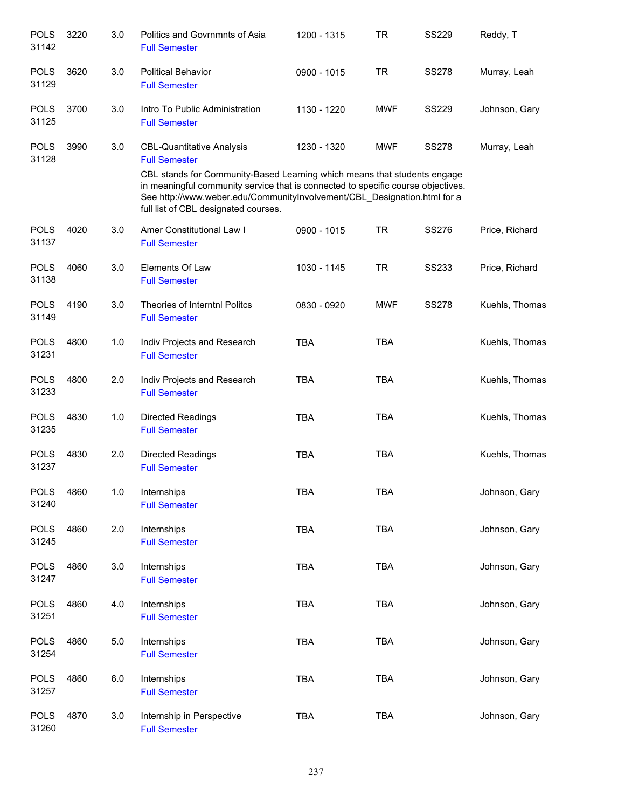| <b>POLS</b><br>31142 | 3220 | 3.0   | Politics and Govrnmnts of Asia<br><b>Full Semester</b>                                                                                                                                                                                                                                                                                       | 1200 - 1315   | <b>TR</b>  | <b>SS229</b> | Reddy, T       |
|----------------------|------|-------|----------------------------------------------------------------------------------------------------------------------------------------------------------------------------------------------------------------------------------------------------------------------------------------------------------------------------------------------|---------------|------------|--------------|----------------|
| <b>POLS</b><br>31129 | 3620 | 3.0   | <b>Political Behavior</b><br><b>Full Semester</b>                                                                                                                                                                                                                                                                                            | 0900 - 1015   | <b>TR</b>  | <b>SS278</b> | Murray, Leah   |
| <b>POLS</b><br>31125 | 3700 | 3.0   | Intro To Public Administration<br><b>Full Semester</b>                                                                                                                                                                                                                                                                                       | 1130 - 1220   | <b>MWF</b> | <b>SS229</b> | Johnson, Gary  |
| <b>POLS</b><br>31128 | 3990 | 3.0   | <b>CBL-Quantitative Analysis</b><br><b>Full Semester</b><br>CBL stands for Community-Based Learning which means that students engage<br>in meaningful community service that is connected to specific course objectives.<br>See http://www.weber.edu/CommunityInvolvement/CBL_Designation.html for a<br>full list of CBL designated courses. | 1230 - 1320   | <b>MWF</b> | <b>SS278</b> | Murray, Leah   |
| <b>POLS</b><br>31137 | 4020 | 3.0   | Amer Constitutional Law I<br><b>Full Semester</b>                                                                                                                                                                                                                                                                                            | $0900 - 1015$ | <b>TR</b>  | <b>SS276</b> | Price, Richard |
| <b>POLS</b><br>31138 | 4060 | 3.0   | Elements Of Law<br><b>Full Semester</b>                                                                                                                                                                                                                                                                                                      | 1030 - 1145   | <b>TR</b>  | <b>SS233</b> | Price, Richard |
| <b>POLS</b><br>31149 | 4190 | 3.0   | Theories of Interntnl Politcs<br><b>Full Semester</b>                                                                                                                                                                                                                                                                                        | 0830 - 0920   | <b>MWF</b> | <b>SS278</b> | Kuehls, Thomas |
| <b>POLS</b><br>31231 | 4800 | 1.0   | Indiv Projects and Research<br><b>Full Semester</b>                                                                                                                                                                                                                                                                                          | <b>TBA</b>    | <b>TBA</b> |              | Kuehls, Thomas |
| <b>POLS</b><br>31233 | 4800 | 2.0   | Indiv Projects and Research<br><b>Full Semester</b>                                                                                                                                                                                                                                                                                          | <b>TBA</b>    | <b>TBA</b> |              | Kuehls, Thomas |
| <b>POLS</b><br>31235 | 4830 | 1.0   | Directed Readings<br><b>Full Semester</b>                                                                                                                                                                                                                                                                                                    | <b>TBA</b>    | <b>TBA</b> |              | Kuehls, Thomas |
| <b>POLS</b><br>31237 | 4830 | 2.0   | <b>Directed Readings</b><br><b>Full Semester</b>                                                                                                                                                                                                                                                                                             | <b>TBA</b>    | <b>TBA</b> |              | Kuehls, Thomas |
| <b>POLS</b><br>31240 | 4860 | $1.0$ | Internships<br><b>Full Semester</b>                                                                                                                                                                                                                                                                                                          | <b>TBA</b>    | TBA        |              | Johnson, Gary  |
| <b>POLS</b><br>31245 | 4860 | 2.0   | Internships<br><b>Full Semester</b>                                                                                                                                                                                                                                                                                                          | <b>TBA</b>    | <b>TBA</b> |              | Johnson, Gary  |
| <b>POLS</b><br>31247 | 4860 | 3.0   | Internships<br><b>Full Semester</b>                                                                                                                                                                                                                                                                                                          | TBA           | <b>TBA</b> |              | Johnson, Gary  |
| <b>POLS</b><br>31251 | 4860 | 4.0   | Internships<br><b>Full Semester</b>                                                                                                                                                                                                                                                                                                          | <b>TBA</b>    | <b>TBA</b> |              | Johnson, Gary  |
| <b>POLS</b><br>31254 | 4860 | 5.0   | Internships<br><b>Full Semester</b>                                                                                                                                                                                                                                                                                                          | TBA           | <b>TBA</b> |              | Johnson, Gary  |
| <b>POLS</b><br>31257 | 4860 | 6.0   | Internships<br><b>Full Semester</b>                                                                                                                                                                                                                                                                                                          | <b>TBA</b>    | <b>TBA</b> |              | Johnson, Gary  |
| <b>POLS</b><br>31260 | 4870 | 3.0   | Internship in Perspective<br><b>Full Semester</b>                                                                                                                                                                                                                                                                                            | <b>TBA</b>    | <b>TBA</b> |              | Johnson, Gary  |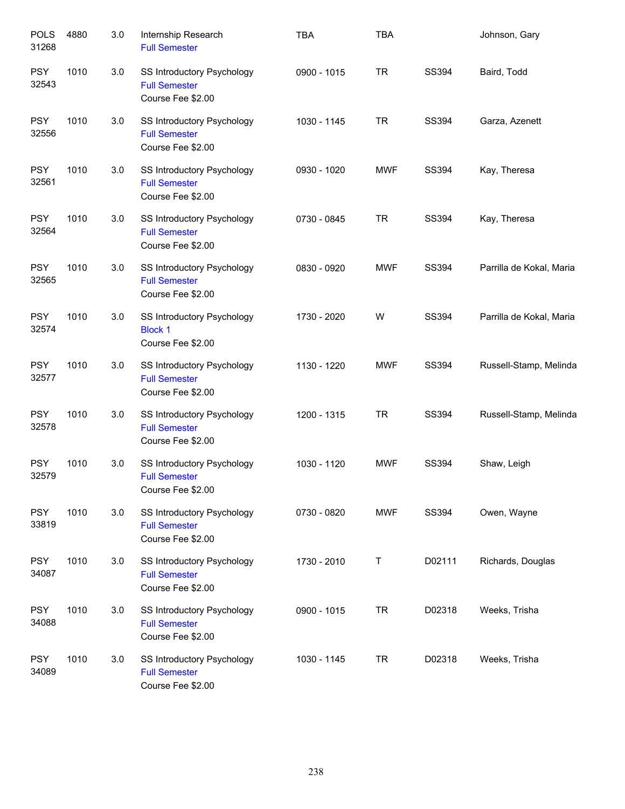| <b>POLS</b><br>31268 | 4880 | 3.0 | Internship Research<br><b>Full Semester</b>                             | <b>TBA</b>  | <b>TBA</b> |              | Johnson, Gary            |
|----------------------|------|-----|-------------------------------------------------------------------------|-------------|------------|--------------|--------------------------|
| <b>PSY</b><br>32543  | 1010 | 3.0 | SS Introductory Psychology<br><b>Full Semester</b><br>Course Fee \$2.00 | 0900 - 1015 | <b>TR</b>  | <b>SS394</b> | Baird, Todd              |
| <b>PSY</b><br>32556  | 1010 | 3.0 | SS Introductory Psychology<br><b>Full Semester</b><br>Course Fee \$2.00 | 1030 - 1145 | <b>TR</b>  | SS394        | Garza, Azenett           |
| <b>PSY</b><br>32561  | 1010 | 3.0 | SS Introductory Psychology<br><b>Full Semester</b><br>Course Fee \$2.00 | 0930 - 1020 | <b>MWF</b> | SS394        | Kay, Theresa             |
| <b>PSY</b><br>32564  | 1010 | 3.0 | SS Introductory Psychology<br><b>Full Semester</b><br>Course Fee \$2.00 | 0730 - 0845 | <b>TR</b>  | SS394        | Kay, Theresa             |
| <b>PSY</b><br>32565  | 1010 | 3.0 | SS Introductory Psychology<br><b>Full Semester</b><br>Course Fee \$2.00 | 0830 - 0920 | <b>MWF</b> | SS394        | Parrilla de Kokal, Maria |
| <b>PSY</b><br>32574  | 1010 | 3.0 | SS Introductory Psychology<br><b>Block 1</b><br>Course Fee \$2.00       | 1730 - 2020 | W          | SS394        | Parrilla de Kokal, Maria |
| <b>PSY</b><br>32577  | 1010 | 3.0 | SS Introductory Psychology<br><b>Full Semester</b><br>Course Fee \$2.00 | 1130 - 1220 | <b>MWF</b> | SS394        | Russell-Stamp, Melinda   |
| <b>PSY</b><br>32578  | 1010 | 3.0 | SS Introductory Psychology<br><b>Full Semester</b><br>Course Fee \$2.00 | 1200 - 1315 | <b>TR</b>  | SS394        | Russell-Stamp, Melinda   |
| <b>PSY</b><br>32579  | 1010 | 3.0 | SS Introductory Psychology<br><b>Full Semester</b><br>Course Fee \$2.00 | 1030 - 1120 | <b>MWF</b> | <b>SS394</b> | Shaw, Leigh              |
| <b>PSY</b><br>33819  | 1010 | 3.0 | SS Introductory Psychology<br><b>Full Semester</b><br>Course Fee \$2.00 | 0730 - 0820 | <b>MWF</b> | <b>SS394</b> | Owen, Wayne              |
| <b>PSY</b><br>34087  | 1010 | 3.0 | SS Introductory Psychology<br><b>Full Semester</b><br>Course Fee \$2.00 | 1730 - 2010 | $\top$     | D02111       | Richards, Douglas        |
| <b>PSY</b><br>34088  | 1010 | 3.0 | SS Introductory Psychology<br><b>Full Semester</b><br>Course Fee \$2.00 | 0900 - 1015 | <b>TR</b>  | D02318       | Weeks, Trisha            |
| <b>PSY</b><br>34089  | 1010 | 3.0 | SS Introductory Psychology<br><b>Full Semester</b><br>Course Fee \$2.00 | 1030 - 1145 | <b>TR</b>  | D02318       | Weeks, Trisha            |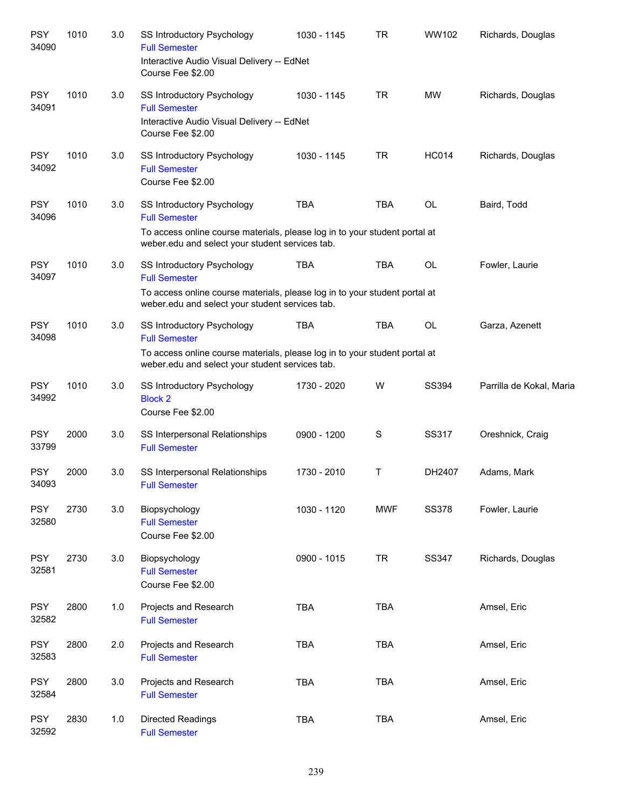| <b>PSY</b><br>34090 | 1010 | 3.0 | SS Introductory Psychology<br><b>Full Semester</b><br>Interactive Audio Visual Delivery -- EdNet                                                                                    | 1030 - 1145 | <b>TR</b>     | WW102        | Richards, Douglas        |
|---------------------|------|-----|-------------------------------------------------------------------------------------------------------------------------------------------------------------------------------------|-------------|---------------|--------------|--------------------------|
| <b>PSY</b><br>34091 | 1010 | 3.0 | Course Fee \$2.00<br><b>SS Introductory Psychology</b><br><b>Full Semester</b><br>Interactive Audio Visual Delivery -- EdNet                                                        | 1030 - 1145 | <b>TR</b>     | <b>MW</b>    | Richards, Douglas        |
|                     |      |     | Course Fee \$2.00                                                                                                                                                                   |             |               |              |                          |
| <b>PSY</b><br>34092 | 1010 | 3.0 | SS Introductory Psychology<br><b>Full Semester</b><br>Course Fee \$2.00                                                                                                             | 1030 - 1145 | <b>TR</b>     | <b>HC014</b> | Richards, Douglas        |
| <b>PSY</b><br>34096 | 1010 | 3.0 | SS Introductory Psychology<br><b>Full Semester</b><br>To access online course materials, please log in to your student portal at<br>weber.edu and select your student services tab. | <b>TBA</b>  | <b>TBA</b>    | OL           | Baird, Todd              |
| <b>PSY</b><br>34097 | 1010 | 3.0 | SS Introductory Psychology<br><b>Full Semester</b><br>To access online course materials, please log in to your student portal at<br>weber.edu and select your student services tab. | <b>TBA</b>  | <b>TBA</b>    | <b>OL</b>    | Fowler, Laurie           |
| <b>PSY</b><br>34098 | 1010 | 3.0 | SS Introductory Psychology<br><b>Full Semester</b><br>To access online course materials, please log in to your student portal at<br>weber.edu and select your student services tab. | <b>TBA</b>  | <b>TBA</b>    | OL           | Garza, Azenett           |
| <b>PSY</b><br>34992 | 1010 | 3.0 | SS Introductory Psychology<br><b>Block 2</b><br>Course Fee \$2.00                                                                                                                   | 1730 - 2020 | W             | <b>SS394</b> | Parrilla de Kokal, Maria |
| <b>PSY</b><br>33799 | 2000 | 3.0 | SS Interpersonal Relationships<br><b>Full Semester</b>                                                                                                                              | 0900 - 1200 | ${\mathsf S}$ | SS317        | Oreshnick, Craig         |
| <b>PSY</b><br>34093 | 2000 | 3.0 | SS Interpersonal Relationships<br><b>Full Semester</b>                                                                                                                              | 1730 - 2010 | Т             | DH2407       | Adams, Mark              |
| <b>PSY</b><br>32580 | 2730 | 3.0 | Biopsychology<br><b>Full Semester</b><br>Course Fee \$2.00                                                                                                                          | 1030 - 1120 | <b>MWF</b>    | <b>SS378</b> | Fowler, Laurie           |
| <b>PSY</b><br>32581 | 2730 | 3.0 | Biopsychology<br><b>Full Semester</b><br>Course Fee \$2.00                                                                                                                          | 0900 - 1015 | <b>TR</b>     | <b>SS347</b> | Richards, Douglas        |
| <b>PSY</b><br>32582 | 2800 | 1.0 | Projects and Research<br><b>Full Semester</b>                                                                                                                                       | <b>TBA</b>  | <b>TBA</b>    |              | Amsel, Eric              |
| <b>PSY</b><br>32583 | 2800 | 2.0 | Projects and Research<br><b>Full Semester</b>                                                                                                                                       | <b>TBA</b>  | <b>TBA</b>    |              | Amsel, Eric              |
| <b>PSY</b><br>32584 | 2800 | 3.0 | Projects and Research<br><b>Full Semester</b>                                                                                                                                       | <b>TBA</b>  | <b>TBA</b>    |              | Amsel, Eric              |
| <b>PSY</b><br>32592 | 2830 | 1.0 | Directed Readings<br><b>Full Semester</b>                                                                                                                                           | <b>TBA</b>  | <b>TBA</b>    |              | Amsel, Eric              |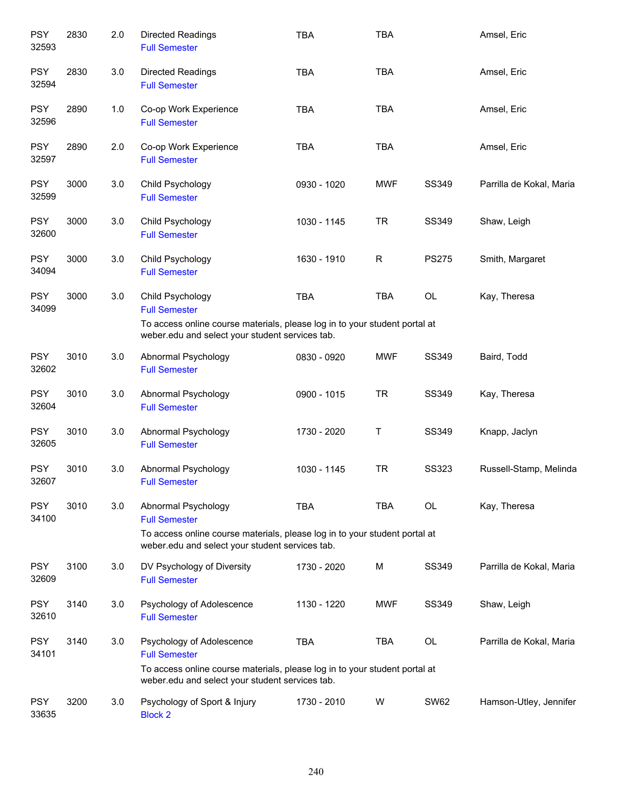| <b>PSY</b><br>32593 | 2830 | 2.0 | <b>Directed Readings</b><br><b>Full Semester</b>                                                                              | <b>TBA</b>  | <b>TBA</b>  |              | Amsel, Eric              |
|---------------------|------|-----|-------------------------------------------------------------------------------------------------------------------------------|-------------|-------------|--------------|--------------------------|
| <b>PSY</b><br>32594 | 2830 | 3.0 | <b>Directed Readings</b><br><b>Full Semester</b>                                                                              | <b>TBA</b>  | <b>TBA</b>  |              | Amsel, Eric              |
| <b>PSY</b><br>32596 | 2890 | 1.0 | Co-op Work Experience<br><b>Full Semester</b>                                                                                 | <b>TBA</b>  | <b>TBA</b>  |              | Amsel, Eric              |
| <b>PSY</b><br>32597 | 2890 | 2.0 | Co-op Work Experience<br><b>Full Semester</b>                                                                                 | <b>TBA</b>  | <b>TBA</b>  |              | Amsel, Eric              |
| <b>PSY</b><br>32599 | 3000 | 3.0 | Child Psychology<br><b>Full Semester</b>                                                                                      | 0930 - 1020 | <b>MWF</b>  | SS349        | Parrilla de Kokal, Maria |
| <b>PSY</b><br>32600 | 3000 | 3.0 | Child Psychology<br><b>Full Semester</b>                                                                                      | 1030 - 1145 | <b>TR</b>   | SS349        | Shaw, Leigh              |
| <b>PSY</b><br>34094 | 3000 | 3.0 | Child Psychology<br><b>Full Semester</b>                                                                                      | 1630 - 1910 | $\mathsf R$ | <b>PS275</b> | Smith, Margaret          |
| <b>PSY</b><br>34099 | 3000 | 3.0 | Child Psychology<br><b>Full Semester</b>                                                                                      | <b>TBA</b>  | TBA         | OL           | Kay, Theresa             |
|                     |      |     | To access online course materials, please log in to your student portal at<br>weber.edu and select your student services tab. |             |             |              |                          |
| <b>PSY</b><br>32602 | 3010 | 3.0 | Abnormal Psychology<br><b>Full Semester</b>                                                                                   | 0830 - 0920 | <b>MWF</b>  | SS349        | Baird, Todd              |
| <b>PSY</b><br>32604 | 3010 | 3.0 | Abnormal Psychology<br><b>Full Semester</b>                                                                                   | 0900 - 1015 | <b>TR</b>   | SS349        | Kay, Theresa             |
| <b>PSY</b><br>32605 | 3010 | 3.0 | Abnormal Psychology<br><b>Full Semester</b>                                                                                   | 1730 - 2020 | Τ           | SS349        | Knapp, Jaclyn            |
| <b>PSY</b><br>32607 | 3010 | 3.0 | Abnormal Psychology<br><b>Full Semester</b>                                                                                   | 1030 - 1145 | <b>TR</b>   | <b>SS323</b> | Russell-Stamp, Melinda   |
| <b>PSY</b><br>34100 | 3010 | 3.0 | Abnormal Psychology<br><b>Full Semester</b>                                                                                   | <b>TBA</b>  | <b>TBA</b>  | <b>OL</b>    | Kay, Theresa             |
|                     |      |     | To access online course materials, please log in to your student portal at<br>weber.edu and select your student services tab. |             |             |              |                          |
| <b>PSY</b><br>32609 | 3100 | 3.0 | DV Psychology of Diversity<br><b>Full Semester</b>                                                                            | 1730 - 2020 | M           | SS349        | Parrilla de Kokal, Maria |
| <b>PSY</b><br>32610 | 3140 | 3.0 | Psychology of Adolescence<br><b>Full Semester</b>                                                                             | 1130 - 1220 | <b>MWF</b>  | SS349        | Shaw, Leigh              |
| <b>PSY</b><br>34101 | 3140 | 3.0 | Psychology of Adolescence<br><b>Full Semester</b>                                                                             | <b>TBA</b>  | <b>TBA</b>  | <b>OL</b>    | Parrilla de Kokal, Maria |
|                     |      |     | To access online course materials, please log in to your student portal at<br>weber.edu and select your student services tab. |             |             |              |                          |
| <b>PSY</b><br>33635 | 3200 | 3.0 | Psychology of Sport & Injury<br><b>Block 2</b>                                                                                | 1730 - 2010 | W           | <b>SW62</b>  | Hamson-Utley, Jennifer   |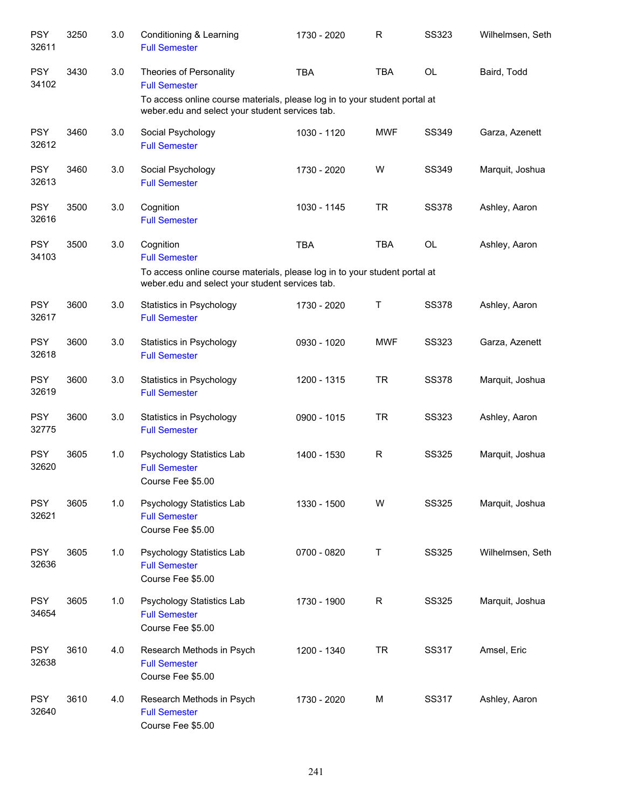| <b>PSY</b><br>32611 | 3250 | 3.0 | Conditioning & Learning<br><b>Full Semester</b>                                                                               | 1730 - 2020 | R          | <b>SS323</b> | Wilhelmsen, Seth |
|---------------------|------|-----|-------------------------------------------------------------------------------------------------------------------------------|-------------|------------|--------------|------------------|
| <b>PSY</b><br>34102 | 3430 | 3.0 | Theories of Personality<br><b>Full Semester</b>                                                                               | <b>TBA</b>  | <b>TBA</b> | <b>OL</b>    | Baird, Todd      |
|                     |      |     | To access online course materials, please log in to your student portal at<br>weber.edu and select your student services tab. |             |            |              |                  |
| <b>PSY</b><br>32612 | 3460 | 3.0 | Social Psychology<br><b>Full Semester</b>                                                                                     | 1030 - 1120 | <b>MWF</b> | SS349        | Garza, Azenett   |
| <b>PSY</b><br>32613 | 3460 | 3.0 | Social Psychology<br><b>Full Semester</b>                                                                                     | 1730 - 2020 | W          | <b>SS349</b> | Marquit, Joshua  |
| <b>PSY</b><br>32616 | 3500 | 3.0 | Cognition<br><b>Full Semester</b>                                                                                             | 1030 - 1145 | <b>TR</b>  | <b>SS378</b> | Ashley, Aaron    |
| <b>PSY</b><br>34103 | 3500 | 3.0 | Cognition<br><b>Full Semester</b>                                                                                             | <b>TBA</b>  | <b>TBA</b> | OL           | Ashley, Aaron    |
|                     |      |     | To access online course materials, please log in to your student portal at<br>weber.edu and select your student services tab. |             |            |              |                  |
| <b>PSY</b><br>32617 | 3600 | 3.0 | Statistics in Psychology<br><b>Full Semester</b>                                                                              | 1730 - 2020 | Τ          | <b>SS378</b> | Ashley, Aaron    |
| <b>PSY</b><br>32618 | 3600 | 3.0 | Statistics in Psychology<br><b>Full Semester</b>                                                                              | 0930 - 1020 | <b>MWF</b> | <b>SS323</b> | Garza, Azenett   |
| <b>PSY</b><br>32619 | 3600 | 3.0 | Statistics in Psychology<br><b>Full Semester</b>                                                                              | 1200 - 1315 | <b>TR</b>  | <b>SS378</b> | Marquit, Joshua  |
| <b>PSY</b><br>32775 | 3600 | 3.0 | Statistics in Psychology<br><b>Full Semester</b>                                                                              | 0900 - 1015 | <b>TR</b>  | <b>SS323</b> | Ashley, Aaron    |
| <b>PSY</b><br>32620 | 3605 | 1.0 | Psychology Statistics Lab<br><b>Full Semester</b><br>Course Fee \$5.00                                                        | 1400 - 1530 | R          | <b>SS325</b> | Marquit, Joshua  |
| <b>PSY</b><br>32621 | 3605 | 1.0 | Psychology Statistics Lab<br><b>Full Semester</b><br>Course Fee \$5.00                                                        | 1330 - 1500 | W          | <b>SS325</b> | Marquit, Joshua  |
| <b>PSY</b><br>32636 | 3605 | 1.0 | Psychology Statistics Lab<br><b>Full Semester</b><br>Course Fee \$5.00                                                        | 0700 - 0820 | Τ          | <b>SS325</b> | Wilhelmsen, Seth |
| <b>PSY</b><br>34654 | 3605 | 1.0 | Psychology Statistics Lab<br><b>Full Semester</b><br>Course Fee \$5.00                                                        | 1730 - 1900 | R          | <b>SS325</b> | Marquit, Joshua  |
| <b>PSY</b><br>32638 | 3610 | 4.0 | Research Methods in Psych<br><b>Full Semester</b><br>Course Fee \$5.00                                                        | 1200 - 1340 | <b>TR</b>  | SS317        | Amsel, Eric      |
| <b>PSY</b><br>32640 | 3610 | 4.0 | Research Methods in Psych<br><b>Full Semester</b><br>Course Fee \$5.00                                                        | 1730 - 2020 | М          | SS317        | Ashley, Aaron    |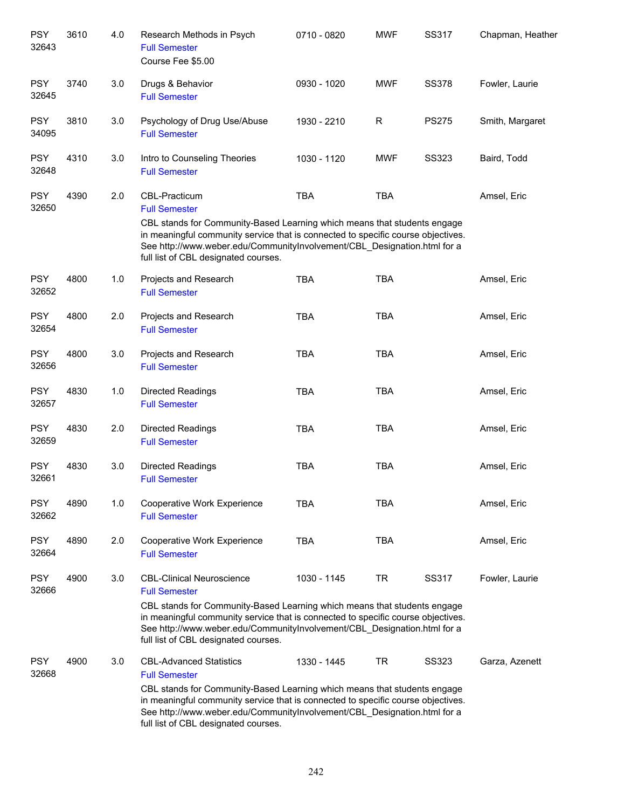| <b>PSY</b><br>32643 | 3610 | 4.0   | Research Methods in Psych<br><b>Full Semester</b><br>Course Fee \$5.00                                                                                                                                                                                                           | 0710 - 0820 | <b>MWF</b>   | SS317        | Chapman, Heather |
|---------------------|------|-------|----------------------------------------------------------------------------------------------------------------------------------------------------------------------------------------------------------------------------------------------------------------------------------|-------------|--------------|--------------|------------------|
| <b>PSY</b><br>32645 | 3740 | 3.0   | Drugs & Behavior<br><b>Full Semester</b>                                                                                                                                                                                                                                         | 0930 - 1020 | <b>MWF</b>   | <b>SS378</b> | Fowler, Laurie   |
| <b>PSY</b><br>34095 | 3810 | 3.0   | Psychology of Drug Use/Abuse<br><b>Full Semester</b>                                                                                                                                                                                                                             | 1930 - 2210 | $\mathsf{R}$ | <b>PS275</b> | Smith, Margaret  |
| <b>PSY</b><br>32648 | 4310 | 3.0   | Intro to Counseling Theories<br><b>Full Semester</b>                                                                                                                                                                                                                             | 1030 - 1120 | <b>MWF</b>   | <b>SS323</b> | Baird, Todd      |
| <b>PSY</b><br>32650 | 4390 | 2.0   | <b>CBL-Practicum</b><br><b>Full Semester</b>                                                                                                                                                                                                                                     | <b>TBA</b>  | TBA          |              | Amsel, Eric      |
|                     |      |       | CBL stands for Community-Based Learning which means that students engage<br>in meaningful community service that is connected to specific course objectives.<br>See http://www.weber.edu/CommunityInvolvement/CBL_Designation.html for a<br>full list of CBL designated courses. |             |              |              |                  |
| <b>PSY</b><br>32652 | 4800 | 1.0   | Projects and Research<br><b>Full Semester</b>                                                                                                                                                                                                                                    | <b>TBA</b>  | <b>TBA</b>   |              | Amsel, Eric      |
| <b>PSY</b><br>32654 | 4800 | 2.0   | Projects and Research<br><b>Full Semester</b>                                                                                                                                                                                                                                    | <b>TBA</b>  | <b>TBA</b>   |              | Amsel, Eric      |
| <b>PSY</b><br>32656 | 4800 | 3.0   | Projects and Research<br><b>Full Semester</b>                                                                                                                                                                                                                                    | <b>TBA</b>  | <b>TBA</b>   |              | Amsel, Eric      |
| <b>PSY</b><br>32657 | 4830 | $1.0$ | Directed Readings<br><b>Full Semester</b>                                                                                                                                                                                                                                        | <b>TBA</b>  | <b>TBA</b>   |              | Amsel, Eric      |
| <b>PSY</b><br>32659 | 4830 | 2.0   | Directed Readings<br><b>Full Semester</b>                                                                                                                                                                                                                                        | <b>TBA</b>  | <b>TBA</b>   |              | Amsel, Eric      |
| <b>PSY</b><br>32661 | 4830 | 3.0   | Directed Readings<br><b>Full Semester</b>                                                                                                                                                                                                                                        | <b>TBA</b>  | <b>TBA</b>   |              | Amsel, Eric      |
| <b>PSY</b><br>32662 | 4890 | 1.0   | Cooperative Work Experience<br><b>Full Semester</b>                                                                                                                                                                                                                              | <b>TBA</b>  | <b>TBA</b>   |              | Amsel, Eric      |
| <b>PSY</b><br>32664 | 4890 | 2.0   | Cooperative Work Experience<br><b>Full Semester</b>                                                                                                                                                                                                                              | <b>TBA</b>  | <b>TBA</b>   |              | Amsel, Eric      |
| <b>PSY</b><br>32666 | 4900 | 3.0   | <b>CBL-Clinical Neuroscience</b><br><b>Full Semester</b>                                                                                                                                                                                                                         | 1030 - 1145 | <b>TR</b>    | SS317        | Fowler, Laurie   |
|                     |      |       | CBL stands for Community-Based Learning which means that students engage<br>in meaningful community service that is connected to specific course objectives.<br>See http://www.weber.edu/CommunityInvolvement/CBL_Designation.html for a<br>full list of CBL designated courses. |             |              |              |                  |
| <b>PSY</b><br>32668 | 4900 | 3.0   | <b>CBL-Advanced Statistics</b><br><b>Full Semester</b>                                                                                                                                                                                                                           | 1330 - 1445 | <b>TR</b>    | <b>SS323</b> | Garza, Azenett   |
|                     |      |       | CBL stands for Community-Based Learning which means that students engage<br>in meaningful community service that is connected to specific course objectives.<br>See http://www.weber.edu/CommunityInvolvement/CBL_Designation.html for a<br>full list of CBL designated courses. |             |              |              |                  |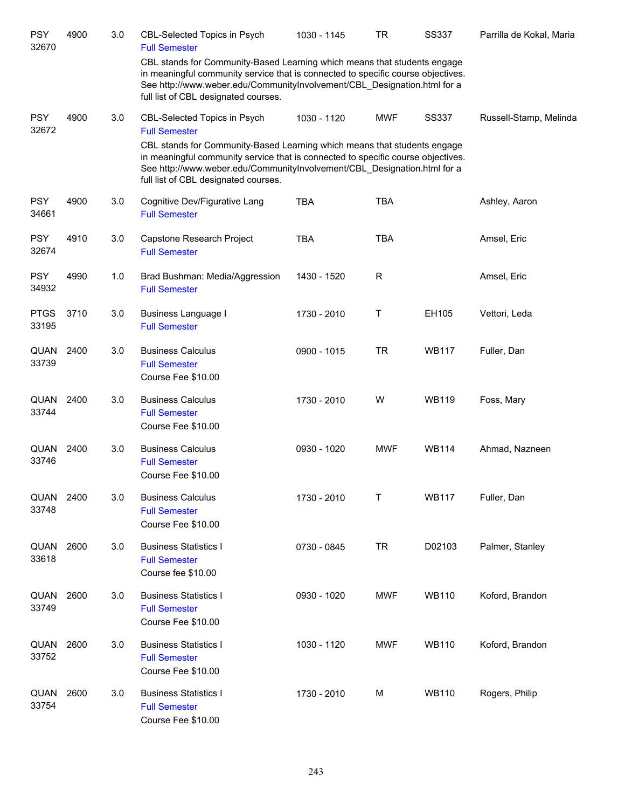| <b>PSY</b><br>32670  | 4900 | 3.0 | <b>CBL-Selected Topics in Psych</b><br><b>Full Semester</b>                                                                                                                                                                                                                                                                              | 1030 - 1145 | <b>TR</b>   | SS337        | Parrilla de Kokal, Maria |
|----------------------|------|-----|------------------------------------------------------------------------------------------------------------------------------------------------------------------------------------------------------------------------------------------------------------------------------------------------------------------------------------------|-------------|-------------|--------------|--------------------------|
|                      |      |     | CBL stands for Community-Based Learning which means that students engage<br>in meaningful community service that is connected to specific course objectives.<br>See http://www.weber.edu/CommunityInvolvement/CBL Designation.html for a<br>full list of CBL designated courses.                                                         |             |             |              |                          |
| <b>PSY</b><br>32672  | 4900 | 3.0 | CBL-Selected Topics in Psych<br><b>Full Semester</b><br>CBL stands for Community-Based Learning which means that students engage<br>in meaningful community service that is connected to specific course objectives.<br>See http://www.weber.edu/CommunityInvolvement/CBL_Designation.html for a<br>full list of CBL designated courses. | 1030 - 1120 | <b>MWF</b>  | <b>SS337</b> | Russell-Stamp, Melinda   |
| <b>PSY</b><br>34661  | 4900 | 3.0 | Cognitive Dev/Figurative Lang<br><b>Full Semester</b>                                                                                                                                                                                                                                                                                    | <b>TBA</b>  | <b>TBA</b>  |              | Ashley, Aaron            |
| <b>PSY</b><br>32674  | 4910 | 3.0 | Capstone Research Project<br><b>Full Semester</b>                                                                                                                                                                                                                                                                                        | <b>TBA</b>  | <b>TBA</b>  |              | Amsel, Eric              |
| <b>PSY</b><br>34932  | 4990 | 1.0 | Brad Bushman: Media/Aggression<br><b>Full Semester</b>                                                                                                                                                                                                                                                                                   | 1430 - 1520 | $\mathsf R$ |              | Amsel, Eric              |
| <b>PTGS</b><br>33195 | 3710 | 3.0 | <b>Business Language I</b><br><b>Full Semester</b>                                                                                                                                                                                                                                                                                       | 1730 - 2010 | Т           | EH105        | Vettori, Leda            |
| QUAN<br>33739        | 2400 | 3.0 | <b>Business Calculus</b><br><b>Full Semester</b><br>Course Fee \$10.00                                                                                                                                                                                                                                                                   | 0900 - 1015 | <b>TR</b>   | <b>WB117</b> | Fuller, Dan              |
| QUAN<br>33744        | 2400 | 3.0 | <b>Business Calculus</b><br><b>Full Semester</b><br>Course Fee \$10.00                                                                                                                                                                                                                                                                   | 1730 - 2010 | W           | <b>WB119</b> | Foss, Mary               |
| QUAN<br>33746        | 2400 | 3.0 | <b>Business Calculus</b><br><b>Full Semester</b><br>Course Fee \$10.00                                                                                                                                                                                                                                                                   | 0930 - 1020 | <b>MWF</b>  | <b>WB114</b> | Ahmad, Nazneen           |
| QUAN<br>33748        | 2400 | 3.0 | <b>Business Calculus</b><br><b>Full Semester</b><br>Course Fee \$10.00                                                                                                                                                                                                                                                                   | 1730 - 2010 | Τ           | <b>WB117</b> | Fuller, Dan              |
| QUAN<br>33618        | 2600 | 3.0 | <b>Business Statistics I</b><br><b>Full Semester</b><br>Course fee \$10.00                                                                                                                                                                                                                                                               | 0730 - 0845 | <b>TR</b>   | D02103       | Palmer, Stanley          |
| QUAN<br>33749        | 2600 | 3.0 | <b>Business Statistics I</b><br><b>Full Semester</b><br>Course Fee \$10.00                                                                                                                                                                                                                                                               | 0930 - 1020 | <b>MWF</b>  | <b>WB110</b> | Koford, Brandon          |
| QUAN<br>33752        | 2600 | 3.0 | <b>Business Statistics I</b><br><b>Full Semester</b><br>Course Fee \$10.00                                                                                                                                                                                                                                                               | 1030 - 1120 | <b>MWF</b>  | <b>WB110</b> | Koford, Brandon          |
| QUAN<br>33754        | 2600 | 3.0 | <b>Business Statistics I</b><br><b>Full Semester</b><br>Course Fee \$10.00                                                                                                                                                                                                                                                               | 1730 - 2010 | M           | <b>WB110</b> | Rogers, Philip           |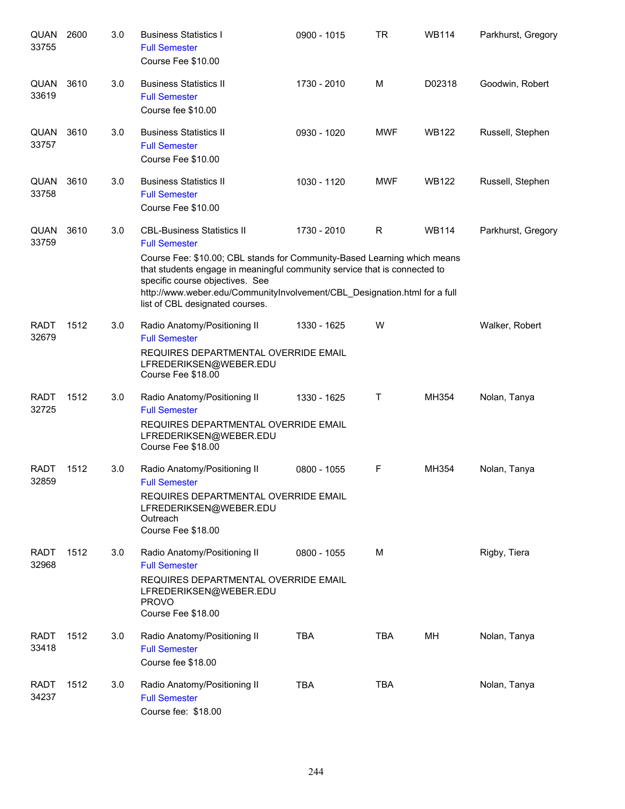| QUAN<br>33755        | 2600 | 3.0 | <b>Business Statistics I</b><br><b>Full Semester</b><br>Course Fee \$10.00                                                                                                                                                                                                                                                                                            | 0900 - 1015 | <b>TR</b>  | <b>WB114</b> | Parkhurst, Gregory |
|----------------------|------|-----|-----------------------------------------------------------------------------------------------------------------------------------------------------------------------------------------------------------------------------------------------------------------------------------------------------------------------------------------------------------------------|-------------|------------|--------------|--------------------|
| QUAN<br>33619        | 3610 | 3.0 | <b>Business Statistics II</b><br><b>Full Semester</b><br>Course fee \$10.00                                                                                                                                                                                                                                                                                           | 1730 - 2010 | M          | D02318       | Goodwin, Robert    |
| QUAN<br>33757        | 3610 | 3.0 | <b>Business Statistics II</b><br><b>Full Semester</b><br>Course Fee \$10.00                                                                                                                                                                                                                                                                                           | 0930 - 1020 | <b>MWF</b> | <b>WB122</b> | Russell, Stephen   |
| QUAN<br>33758        | 3610 | 3.0 | <b>Business Statistics II</b><br><b>Full Semester</b><br>Course Fee \$10.00                                                                                                                                                                                                                                                                                           | 1030 - 1120 | <b>MWF</b> | <b>WB122</b> | Russell, Stephen   |
| QUAN<br>33759        | 3610 | 3.0 | <b>CBL-Business Statistics II</b><br><b>Full Semester</b><br>Course Fee: \$10.00; CBL stands for Community-Based Learning which means<br>that students engage in meaningful community service that is connected to<br>specific course objectives. See<br>http://www.weber.edu/CommunityInvolvement/CBL_Designation.html for a full<br>list of CBL designated courses. | 1730 - 2010 | R          | <b>WB114</b> | Parkhurst, Gregory |
| <b>RADT</b><br>32679 | 1512 | 3.0 | Radio Anatomy/Positioning II<br><b>Full Semester</b><br>REQUIRES DEPARTMENTAL OVERRIDE EMAIL<br>LFREDERIKSEN@WEBER.EDU<br>Course Fee \$18.00                                                                                                                                                                                                                          | 1330 - 1625 | W          |              | Walker, Robert     |
| <b>RADT</b><br>32725 | 1512 | 3.0 | Radio Anatomy/Positioning II<br><b>Full Semester</b><br>REQUIRES DEPARTMENTAL OVERRIDE EMAIL<br>LFREDERIKSEN@WEBER.EDU<br>Course Fee \$18.00                                                                                                                                                                                                                          | 1330 - 1625 | Т          | MH354        | Nolan, Tanya       |
| <b>RADT</b><br>32859 | 1512 | 3.0 | Radio Anatomy/Positioning II<br><b>Full Semester</b><br>REQUIRES DEPARTMENTAL OVERRIDE EMAIL<br>LFREDERIKSEN@WEBER.EDU<br>Outreach<br>Course Fee \$18.00                                                                                                                                                                                                              | 0800 - 1055 | F          | MH354        | Nolan, Tanya       |
| <b>RADT</b><br>32968 | 1512 | 3.0 | Radio Anatomy/Positioning II<br><b>Full Semester</b><br>REQUIRES DEPARTMENTAL OVERRIDE EMAIL<br>LFREDERIKSEN@WEBER.EDU<br><b>PROVO</b><br>Course Fee \$18.00                                                                                                                                                                                                          | 0800 - 1055 | M          |              | Rigby, Tiera       |
| <b>RADT</b><br>33418 | 1512 | 3.0 | Radio Anatomy/Positioning II<br><b>Full Semester</b><br>Course fee \$18.00                                                                                                                                                                                                                                                                                            | <b>TBA</b>  | <b>TBA</b> | MН           | Nolan, Tanya       |
| <b>RADT</b><br>34237 | 1512 | 3.0 | Radio Anatomy/Positioning II<br><b>Full Semester</b><br>Course fee: \$18.00                                                                                                                                                                                                                                                                                           | <b>TBA</b>  | <b>TBA</b> |              | Nolan, Tanya       |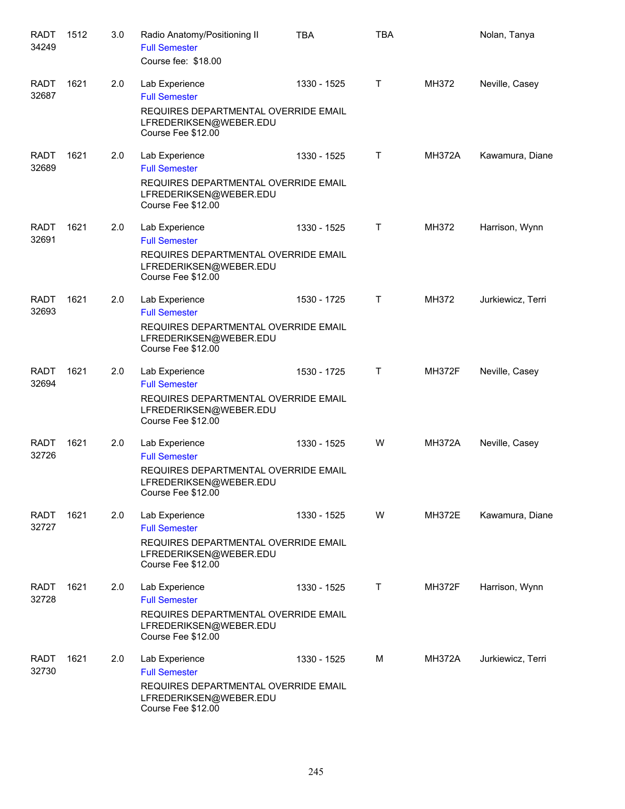| RADT<br>34249        | 1512 | 3.0 | Radio Anatomy/Positioning II<br><b>Full Semester</b><br>Course fee: \$18.00                                  | <b>TBA</b>  | <b>TBA</b>   |               | Nolan, Tanya      |
|----------------------|------|-----|--------------------------------------------------------------------------------------------------------------|-------------|--------------|---------------|-------------------|
| <b>RADT</b><br>32687 | 1621 | 2.0 | Lab Experience<br><b>Full Semester</b>                                                                       | 1330 - 1525 | т            | MH372         | Neville, Casey    |
|                      |      |     | REQUIRES DEPARTMENTAL OVERRIDE EMAIL<br>LFREDERIKSEN@WEBER.EDU<br>Course Fee \$12.00                         |             |              |               |                   |
| <b>RADT</b><br>32689 | 1621 | 2.0 | Lab Experience<br><b>Full Semester</b>                                                                       | 1330 - 1525 | т            | <b>MH372A</b> | Kawamura, Diane   |
|                      |      |     | REQUIRES DEPARTMENTAL OVERRIDE EMAIL<br>LFREDERIKSEN@WEBER.EDU<br>Course Fee \$12.00                         |             |              |               |                   |
| <b>RADT</b><br>32691 | 1621 | 2.0 | Lab Experience<br><b>Full Semester</b>                                                                       | 1330 - 1525 | T            | MH372         | Harrison, Wynn    |
|                      |      |     | REQUIRES DEPARTMENTAL OVERRIDE EMAIL<br>LFREDERIKSEN@WEBER.EDU<br>Course Fee \$12.00                         |             |              |               |                   |
| <b>RADT</b><br>32693 | 1621 | 2.0 | Lab Experience<br><b>Full Semester</b>                                                                       | 1530 - 1725 | $\mathsf{T}$ | MH372         | Jurkiewicz, Terri |
|                      |      |     | REQUIRES DEPARTMENTAL OVERRIDE EMAIL<br>LFREDERIKSEN@WEBER.EDU<br>Course Fee \$12.00                         |             |              |               |                   |
| <b>RADT</b><br>32694 | 1621 | 2.0 | Lab Experience<br><b>Full Semester</b>                                                                       | 1530 - 1725 | $\mathsf{T}$ | <b>MH372F</b> | Neville, Casey    |
|                      |      |     | REQUIRES DEPARTMENTAL OVERRIDE EMAIL<br>LFREDERIKSEN@WEBER.EDU<br>Course Fee \$12.00                         |             |              |               |                   |
| <b>RADT</b>          | 1621 | 2.0 | Lab Experience                                                                                               | 1330 - 1525 | W            | <b>MH372A</b> | Neville, Casey    |
| 32726                |      |     | <b>Full Semester</b><br>REQUIRES DEPARTMENTAL OVERRIDE EMAIL                                                 |             |              |               |                   |
|                      |      |     | LFREDERIKSEN@WEBER.EDU<br>Course Fee \$12.00                                                                 |             |              |               |                   |
| <b>RADT</b><br>32727 | 1621 | 2.0 | Lab Experience<br><b>Full Semester</b>                                                                       | 1330 - 1525 | W            | <b>MH372E</b> | Kawamura, Diane   |
|                      |      |     | REQUIRES DEPARTMENTAL OVERRIDE EMAIL<br>LFREDERIKSEN@WEBER.EDU<br>Course Fee \$12.00                         |             |              |               |                   |
| <b>RADT</b><br>32728 | 1621 | 2.0 | Lab Experience                                                                                               | 1330 - 1525 | Τ            | <b>MH372F</b> | Harrison, Wynn    |
|                      |      |     | <b>Full Semester</b><br>REQUIRES DEPARTMENTAL OVERRIDE EMAIL<br>LFREDERIKSEN@WEBER.EDU<br>Course Fee \$12.00 |             |              |               |                   |
| <b>RADT</b>          | 1621 | 2.0 | Lab Experience                                                                                               | 1330 - 1525 | M            | <b>MH372A</b> | Jurkiewicz, Terri |
| 32730                |      |     | <b>Full Semester</b><br>REQUIRES DEPARTMENTAL OVERRIDE EMAIL<br>LFREDERIKSEN@WEBER.EDU<br>Course Fee \$12.00 |             |              |               |                   |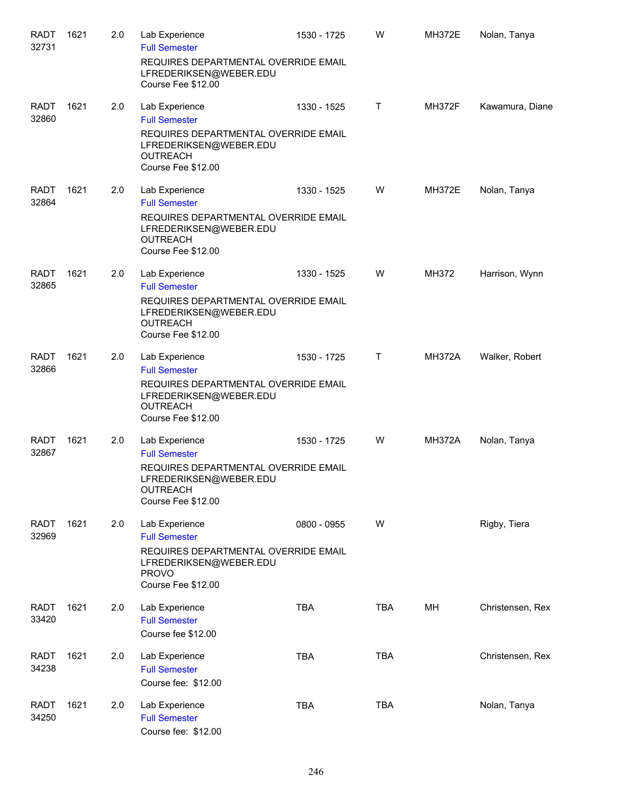| <b>RADT</b><br>32731 | 1621 | 2.0 | Lab Experience<br><b>Full Semester</b>                                                                  | 1530 - 1725 | W            | <b>MH372E</b> | Nolan, Tanya     |
|----------------------|------|-----|---------------------------------------------------------------------------------------------------------|-------------|--------------|---------------|------------------|
|                      |      |     | REQUIRES DEPARTMENTAL OVERRIDE EMAIL<br>LFREDERIKSEN@WEBER.EDU<br>Course Fee \$12.00                    |             |              |               |                  |
| <b>RADT</b><br>32860 | 1621 | 2.0 | Lab Experience<br><b>Full Semester</b>                                                                  | 1330 - 1525 | Τ            | <b>MH372F</b> | Kawamura, Diane  |
|                      |      |     | REQUIRES DEPARTMENTAL OVERRIDE EMAIL<br>LFREDERIKSEN@WEBER.EDU<br><b>OUTREACH</b><br>Course Fee \$12.00 |             |              |               |                  |
| <b>RADT</b><br>32864 | 1621 | 2.0 | Lab Experience<br><b>Full Semester</b>                                                                  | 1330 - 1525 | W            | <b>MH372E</b> | Nolan, Tanya     |
|                      |      |     | REQUIRES DEPARTMENTAL OVERRIDE EMAIL<br>LFREDERIKSEN@WEBER.EDU<br><b>OUTREACH</b><br>Course Fee \$12.00 |             |              |               |                  |
| <b>RADT</b><br>32865 | 1621 | 2.0 | Lab Experience<br><b>Full Semester</b>                                                                  | 1330 - 1525 | W            | MH372         | Harrison, Wynn   |
|                      |      |     | REQUIRES DEPARTMENTAL OVERRIDE EMAIL<br>LFREDERIKSEN@WEBER.EDU<br><b>OUTREACH</b><br>Course Fee \$12.00 |             |              |               |                  |
| <b>RADT</b><br>32866 | 1621 | 2.0 | Lab Experience<br><b>Full Semester</b>                                                                  | 1530 - 1725 | $\mathsf{T}$ | <b>MH372A</b> | Walker, Robert   |
|                      |      |     | REQUIRES DEPARTMENTAL OVERRIDE EMAIL<br>LFREDERIKSEN@WEBER.EDU<br><b>OUTREACH</b><br>Course Fee \$12.00 |             |              |               |                  |
| <b>RADT</b><br>32867 | 1621 | 2.0 | Lab Experience<br><b>Full Semester</b>                                                                  | 1530 - 1725 | W            | <b>MH372A</b> | Nolan, Tanya     |
|                      |      |     | REQUIRES DEPARTMENTAL OVERRIDE EMAIL<br>LFREDERIKSEN@WEBER.EDU<br>OUTREACH<br>Course Fee \$12.00        |             |              |               |                  |
| <b>RADT</b><br>32969 | 1621 | 2.0 | Lab Experience<br><b>Full Semester</b>                                                                  | 0800 - 0955 | W            |               | Rigby, Tiera     |
|                      |      |     | REQUIRES DEPARTMENTAL OVERRIDE EMAIL<br>LFREDERIKSEN@WEBER.EDU<br><b>PROVO</b><br>Course Fee \$12.00    |             |              |               |                  |
| <b>RADT</b>          | 1621 | 2.0 | Lab Experience                                                                                          | <b>TBA</b>  | <b>TBA</b>   | MН            | Christensen, Rex |
| 33420                |      |     | <b>Full Semester</b><br>Course fee \$12.00                                                              |             |              |               |                  |
| <b>RADT</b><br>34238 | 1621 | 2.0 | Lab Experience<br><b>Full Semester</b><br>Course fee: \$12.00                                           | <b>TBA</b>  | <b>TBA</b>   |               | Christensen, Rex |
| <b>RADT</b><br>34250 | 1621 | 2.0 | Lab Experience<br><b>Full Semester</b><br>Course fee: \$12.00                                           | <b>TBA</b>  | <b>TBA</b>   |               | Nolan, Tanya     |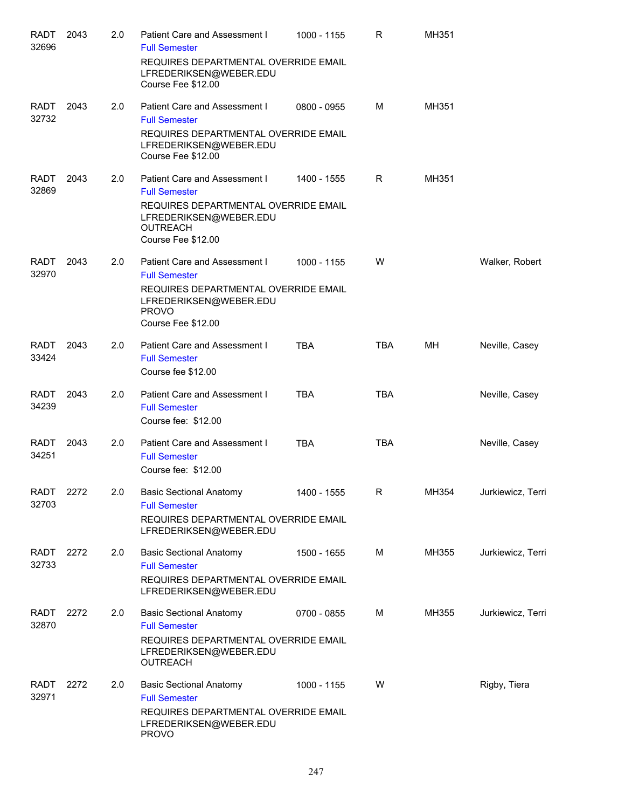| <b>RADT</b><br>32696 | 2043 | 2.0 | Patient Care and Assessment I<br><b>Full Semester</b>                                                   | 1000 - 1155 | R          | MH351 |                   |
|----------------------|------|-----|---------------------------------------------------------------------------------------------------------|-------------|------------|-------|-------------------|
|                      |      |     | REQUIRES DEPARTMENTAL OVERRIDE EMAIL<br>LFREDERIKSEN@WEBER.EDU<br>Course Fee \$12.00                    |             |            |       |                   |
| <b>RADT</b><br>32732 | 2043 | 2.0 | Patient Care and Assessment I<br><b>Full Semester</b>                                                   | 0800 - 0955 | м          | MH351 |                   |
|                      |      |     | REQUIRES DEPARTMENTAL OVERRIDE EMAIL<br>LFREDERIKSEN@WEBER.EDU<br>Course Fee \$12.00                    |             |            |       |                   |
| <b>RADT</b><br>32869 | 2043 | 2.0 | Patient Care and Assessment I<br><b>Full Semester</b>                                                   | 1400 - 1555 | R          | MH351 |                   |
|                      |      |     | REQUIRES DEPARTMENTAL OVERRIDE EMAIL<br>LFREDERIKSEN@WEBER.EDU<br><b>OUTREACH</b><br>Course Fee \$12.00 |             |            |       |                   |
| <b>RADT</b><br>32970 | 2043 | 2.0 | Patient Care and Assessment I<br><b>Full Semester</b>                                                   | 1000 - 1155 | W          |       | Walker, Robert    |
|                      |      |     | REQUIRES DEPARTMENTAL OVERRIDE EMAIL<br>LFREDERIKSEN@WEBER.EDU<br><b>PROVO</b><br>Course Fee \$12.00    |             |            |       |                   |
| RADT<br>33424        | 2043 | 2.0 | Patient Care and Assessment I<br><b>Full Semester</b><br>Course fee \$12.00                             | <b>TBA</b>  | <b>TBA</b> | MН    | Neville, Casey    |
| <b>RADT</b><br>34239 | 2043 | 2.0 | Patient Care and Assessment I<br><b>Full Semester</b><br>Course fee: \$12.00                            | <b>TBA</b>  | <b>TBA</b> |       | Neville, Casey    |
| <b>RADT</b><br>34251 | 2043 | 2.0 | Patient Care and Assessment I<br><b>Full Semester</b><br>Course fee: \$12.00                            | <b>TBA</b>  | <b>TBA</b> |       | Neville, Casey    |
| <b>RADT</b><br>32703 | 2272 | 2.0 | <b>Basic Sectional Anatomy</b><br><b>Full Semester</b>                                                  | 1400 - 1555 | R          | MH354 | Jurkiewicz, Terri |
|                      |      |     | REQUIRES DEPARTMENTAL OVERRIDE EMAIL<br>LFREDERIKSEN@WEBER.EDU                                          |             |            |       |                   |
| <b>RADT</b><br>32733 | 2272 | 2.0 | <b>Basic Sectional Anatomy</b><br><b>Full Semester</b>                                                  | 1500 - 1655 | М          | MH355 | Jurkiewicz, Terri |
|                      |      |     | REQUIRES DEPARTMENTAL OVERRIDE EMAIL<br>LFREDERIKSEN@WEBER.EDU                                          |             |            |       |                   |
| RADT<br>32870        | 2272 | 2.0 | <b>Basic Sectional Anatomy</b><br><b>Full Semester</b>                                                  | 0700 - 0855 | м          | MH355 | Jurkiewicz, Terri |
|                      |      |     | REQUIRES DEPARTMENTAL OVERRIDE EMAIL<br>LFREDERIKSEN@WEBER.EDU<br><b>OUTREACH</b>                       |             |            |       |                   |
| <b>RADT</b><br>32971 | 2272 | 2.0 | <b>Basic Sectional Anatomy</b><br><b>Full Semester</b>                                                  | 1000 - 1155 | W          |       | Rigby, Tiera      |
|                      |      |     | REQUIRES DEPARTMENTAL OVERRIDE EMAIL<br>LFREDERIKSEN@WEBER.EDU<br><b>PROVO</b>                          |             |            |       |                   |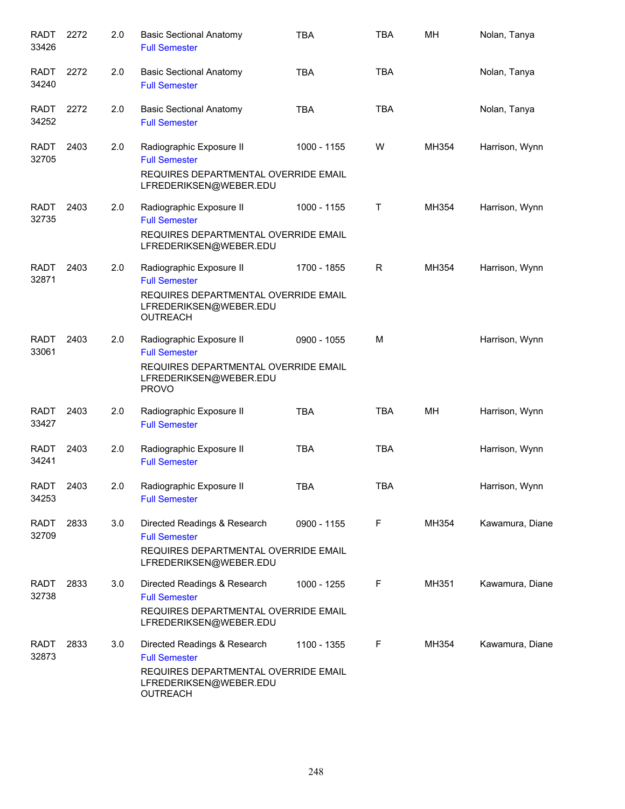| <b>RADT</b><br>33426 | 2272 | 2.0 | <b>Basic Sectional Anatomy</b><br><b>Full Semester</b>                                                                                    | <b>TBA</b>  | <b>TBA</b>   | MH    | Nolan, Tanya    |
|----------------------|------|-----|-------------------------------------------------------------------------------------------------------------------------------------------|-------------|--------------|-------|-----------------|
| <b>RADT</b><br>34240 | 2272 | 2.0 | <b>Basic Sectional Anatomy</b><br><b>Full Semester</b>                                                                                    | <b>TBA</b>  | <b>TBA</b>   |       | Nolan, Tanya    |
| RADT<br>34252        | 2272 | 2.0 | <b>Basic Sectional Anatomy</b><br><b>Full Semester</b>                                                                                    | <b>TBA</b>  | <b>TBA</b>   |       | Nolan, Tanya    |
| <b>RADT</b><br>32705 | 2403 | 2.0 | Radiographic Exposure II<br><b>Full Semester</b><br>REQUIRES DEPARTMENTAL OVERRIDE EMAIL<br>LFREDERIKSEN@WEBER.EDU                        | 1000 - 1155 | W            | MH354 | Harrison, Wynn  |
| <b>RADT</b><br>32735 | 2403 | 2.0 | Radiographic Exposure II<br><b>Full Semester</b><br>REQUIRES DEPARTMENTAL OVERRIDE EMAIL<br>LFREDERIKSEN@WEBER.EDU                        | 1000 - 1155 | $\mathsf{T}$ | MH354 | Harrison, Wynn  |
| <b>RADT</b><br>32871 | 2403 | 2.0 | Radiographic Exposure II<br><b>Full Semester</b><br>REQUIRES DEPARTMENTAL OVERRIDE EMAIL<br>LFREDERIKSEN@WEBER.EDU<br><b>OUTREACH</b>     | 1700 - 1855 | R            | MH354 | Harrison, Wynn  |
| <b>RADT</b><br>33061 | 2403 | 2.0 | Radiographic Exposure II<br><b>Full Semester</b><br>REQUIRES DEPARTMENTAL OVERRIDE EMAIL<br>LFREDERIKSEN@WEBER.EDU<br><b>PROVO</b>        | 0900 - 1055 | M            |       | Harrison, Wynn  |
| <b>RADT</b><br>33427 | 2403 | 2.0 | Radiographic Exposure II<br><b>Full Semester</b>                                                                                          | <b>TBA</b>  | <b>TBA</b>   | MH    | Harrison, Wynn  |
| <b>RADT</b><br>34241 | 2403 | 2.0 | Radiographic Exposure II<br><b>Full Semester</b>                                                                                          | <b>TBA</b>  | <b>TBA</b>   |       | Harrison, Wynn  |
| RADT<br>34253        | 2403 | 2.0 | Radiographic Exposure II<br><b>Full Semester</b>                                                                                          | <b>TBA</b>  | <b>TBA</b>   |       | Harrison, Wynn  |
| RADT<br>32709        | 2833 | 3.0 | Directed Readings & Research<br><b>Full Semester</b><br>REQUIRES DEPARTMENTAL OVERRIDE EMAIL<br>LFREDERIKSEN@WEBER.EDU                    | 0900 - 1155 | F            | MH354 | Kawamura, Diane |
| RADT<br>32738        | 2833 | 3.0 | Directed Readings & Research<br><b>Full Semester</b><br>REQUIRES DEPARTMENTAL OVERRIDE EMAIL<br>LFREDERIKSEN@WEBER.EDU                    | 1000 - 1255 | F            | MH351 | Kawamura, Diane |
| <b>RADT</b><br>32873 | 2833 | 3.0 | Directed Readings & Research<br><b>Full Semester</b><br>REQUIRES DEPARTMENTAL OVERRIDE EMAIL<br>LFREDERIKSEN@WEBER.EDU<br><b>OUTREACH</b> | 1100 - 1355 | F            | MH354 | Kawamura, Diane |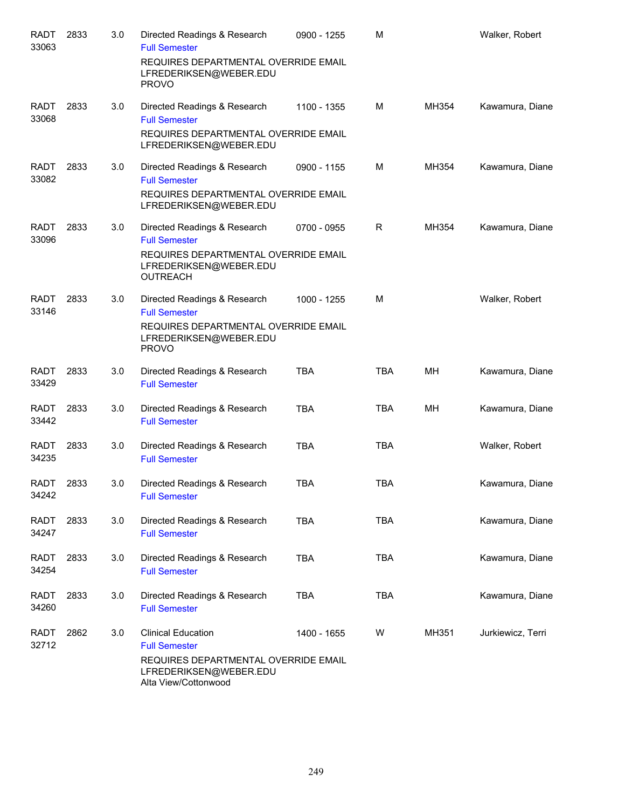| <b>RADT</b><br>33063 | 2833 | 3.0 | Directed Readings & Research<br><b>Full Semester</b><br>REQUIRES DEPARTMENTAL OVERRIDE EMAIL | 0900 - 1255 | M          |       | Walker, Robert    |
|----------------------|------|-----|----------------------------------------------------------------------------------------------|-------------|------------|-------|-------------------|
|                      |      |     | LFREDERIKSEN@WEBER.EDU<br><b>PROVO</b>                                                       |             |            |       |                   |
| <b>RADT</b><br>33068 | 2833 | 3.0 | Directed Readings & Research<br><b>Full Semester</b>                                         | 1100 - 1355 | М          | MH354 | Kawamura, Diane   |
|                      |      |     | REQUIRES DEPARTMENTAL OVERRIDE EMAIL<br>LFREDERIKSEN@WEBER.EDU                               |             |            |       |                   |
| <b>RADT</b><br>33082 | 2833 | 3.0 | Directed Readings & Research<br><b>Full Semester</b>                                         | 0900 - 1155 | М          | MH354 | Kawamura, Diane   |
|                      |      |     | REQUIRES DEPARTMENTAL OVERRIDE EMAIL<br>LFREDERIKSEN@WEBER.EDU                               |             |            |       |                   |
| <b>RADT</b><br>33096 | 2833 | 3.0 | Directed Readings & Research<br><b>Full Semester</b>                                         | 0700 - 0955 | R          | MH354 | Kawamura, Diane   |
|                      |      |     | REQUIRES DEPARTMENTAL OVERRIDE EMAIL<br>LFREDERIKSEN@WEBER.EDU<br><b>OUTREACH</b>            |             |            |       |                   |
| <b>RADT</b><br>33146 | 2833 | 3.0 | Directed Readings & Research<br><b>Full Semester</b>                                         | 1000 - 1255 | M          |       | Walker, Robert    |
|                      |      |     | REQUIRES DEPARTMENTAL OVERRIDE EMAIL<br>LFREDERIKSEN@WEBER.EDU<br><b>PROVO</b>               |             |            |       |                   |
| <b>RADT</b><br>33429 | 2833 | 3.0 | Directed Readings & Research<br><b>Full Semester</b>                                         | <b>TBA</b>  | <b>TBA</b> | MН    | Kawamura, Diane   |
| RADT<br>33442        | 2833 | 3.0 | Directed Readings & Research<br><b>Full Semester</b>                                         | <b>TBA</b>  | <b>TBA</b> | MH    | Kawamura, Diane   |
| RADT<br>34235        | 2833 | 3.0 | Directed Readings & Research<br><b>Full Semester</b>                                         | <b>TBA</b>  | <b>TBA</b> |       | Walker, Robert    |
| RADT<br>34242        | 2833 | 3.0 | Directed Readings & Research<br><b>Full Semester</b>                                         | <b>TBA</b>  | <b>TBA</b> |       | Kawamura, Diane   |
| RADT<br>34247        | 2833 | 3.0 | Directed Readings & Research<br><b>Full Semester</b>                                         | <b>TBA</b>  | <b>TBA</b> |       | Kawamura, Diane   |
| RADT<br>34254        | 2833 | 3.0 | Directed Readings & Research<br><b>Full Semester</b>                                         | <b>TBA</b>  | <b>TBA</b> |       | Kawamura, Diane   |
| RADT<br>34260        | 2833 | 3.0 | Directed Readings & Research<br><b>Full Semester</b>                                         | <b>TBA</b>  | <b>TBA</b> |       | Kawamura, Diane   |
| RADT<br>32712        | 2862 | 3.0 | <b>Clinical Education</b><br><b>Full Semester</b>                                            | 1400 - 1655 | W          | MH351 | Jurkiewicz, Terri |
|                      |      |     | REQUIRES DEPARTMENTAL OVERRIDE EMAIL<br>LFREDERIKSEN@WEBER.EDU<br>Alta View/Cottonwood       |             |            |       |                   |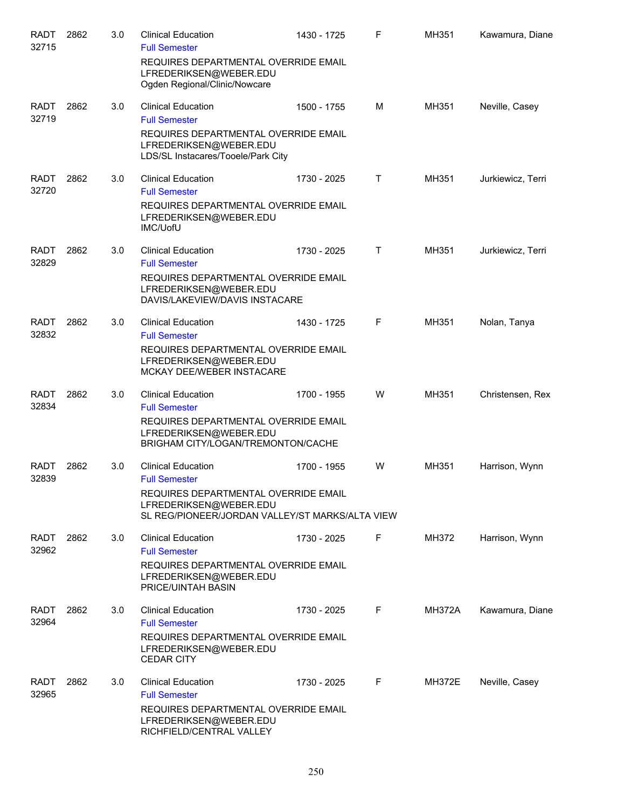| <b>RADT</b><br>32715 | 2862 | 3.0 | <b>Clinical Education</b><br><b>Full Semester</b>                                                                            | 1430 - 1725 | F  | MH351  | Kawamura, Diane   |
|----------------------|------|-----|------------------------------------------------------------------------------------------------------------------------------|-------------|----|--------|-------------------|
|                      |      |     | REQUIRES DEPARTMENTAL OVERRIDE EMAIL<br>LFREDERIKSEN@WEBER.EDU<br>Ogden Regional/Clinic/Nowcare                              |             |    |        |                   |
| <b>RADT</b>          | 2862 | 3.0 | <b>Clinical Education</b>                                                                                                    | 1500 - 1755 | М  | MH351  | Neville, Casey    |
| 32719                |      |     | <b>Full Semester</b><br>REQUIRES DEPARTMENTAL OVERRIDE EMAIL<br>LFREDERIKSEN@WEBER.EDU<br>LDS/SL Instacares/Tooele/Park City |             |    |        |                   |
| <b>RADT</b>          | 2862 | 3.0 | <b>Clinical Education</b>                                                                                                    | 1730 - 2025 | Τ  | MH351  | Jurkiewicz, Terri |
| 32720                |      |     | <b>Full Semester</b><br>REQUIRES DEPARTMENTAL OVERRIDE EMAIL<br>LFREDERIKSEN@WEBER.EDU<br><b>IMC/UofU</b>                    |             |    |        |                   |
| <b>RADT</b><br>32829 | 2862 | 3.0 | <b>Clinical Education</b><br><b>Full Semester</b>                                                                            | 1730 - 2025 | T  | MH351  | Jurkiewicz, Terri |
|                      |      |     | REQUIRES DEPARTMENTAL OVERRIDE EMAIL<br>LFREDERIKSEN@WEBER.EDU<br>DAVIS/LAKEVIEW/DAVIS INSTACARE                             |             |    |        |                   |
| <b>RADT</b><br>32832 | 2862 | 3.0 | <b>Clinical Education</b><br><b>Full Semester</b>                                                                            | 1430 - 1725 | F  | MH351  | Nolan, Tanya      |
|                      |      |     | REQUIRES DEPARTMENTAL OVERRIDE EMAIL<br>LFREDERIKSEN@WEBER.EDU<br><b>MCKAY DEE/WEBER INSTACARE</b>                           |             |    |        |                   |
| <b>RADT</b><br>32834 | 2862 | 3.0 | <b>Clinical Education</b><br><b>Full Semester</b>                                                                            | 1700 - 1955 | W  | MH351  | Christensen, Rex  |
|                      |      |     | REQUIRES DEPARTMENTAL OVERRIDE EMAIL<br>LFREDERIKSEN@WEBER.EDU<br>BRIGHAM CITY/LOGAN/TREMONTON/CACHE                         |             |    |        |                   |
| <b>RADT</b><br>32839 | 2862 | 3.0 | <b>Clinical Education</b><br><b>Full Semester</b>                                                                            | 1700 - 1955 | W  | MH351  | Harrison, Wynn    |
|                      |      |     | REQUIRES DEPARTMENTAL OVERRIDE EMAIL<br>LFREDERIKSEN@WEBER.EDU<br>SL REG/PIONEER/JORDAN VALLEY/ST MARKS/ALTA VIEW            |             |    |        |                   |
|                      |      |     |                                                                                                                              |             |    |        |                   |
| RADT<br>32962        | 2862 | 3.0 | <b>Clinical Education</b><br><b>Full Semester</b>                                                                            | 1730 - 2025 | F. | MH372  | Harrison, Wynn    |
|                      |      |     | REQUIRES DEPARTMENTAL OVERRIDE EMAIL<br>LFREDERIKSEN@WEBER.EDU<br><b>PRICE/UINTAH BASIN</b>                                  |             |    |        |                   |
| <b>RADT</b><br>32964 | 2862 | 3.0 | <b>Clinical Education</b><br><b>Full Semester</b>                                                                            | 1730 - 2025 | F. | MH372A | Kawamura, Diane   |
|                      |      |     | REQUIRES DEPARTMENTAL OVERRIDE EMAIL<br>LFREDERIKSEN@WEBER.EDU<br><b>CEDAR CITY</b>                                          |             |    |        |                   |
| <b>RADT</b><br>32965 | 2862 | 3.0 | <b>Clinical Education</b><br><b>Full Semester</b>                                                                            | 1730 - 2025 | F. | MH372E | Neville, Casey    |
|                      |      |     | REQUIRES DEPARTMENTAL OVERRIDE EMAIL<br>LFREDERIKSEN@WEBER.EDU<br>RICHFIELD/CENTRAL VALLEY                                   |             |    |        |                   |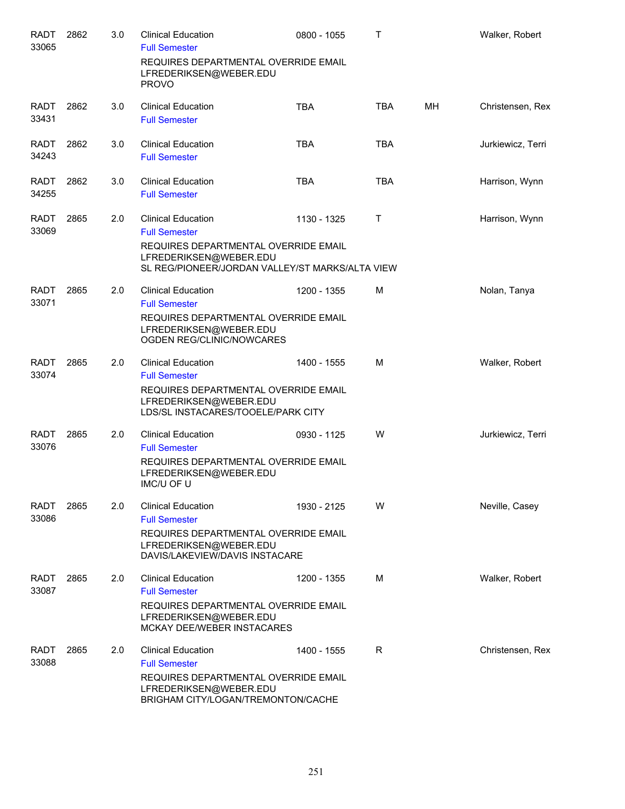| <b>RADT</b><br>33065 | 2862 | 3.0 | <b>Clinical Education</b><br><b>Full Semester</b>                                                                    | 0800 - 1055 | T            |    | Walker, Robert    |
|----------------------|------|-----|----------------------------------------------------------------------------------------------------------------------|-------------|--------------|----|-------------------|
|                      |      |     | REQUIRES DEPARTMENTAL OVERRIDE EMAIL<br>LFREDERIKSEN@WEBER.EDU<br><b>PROVO</b>                                       |             |              |    |                   |
| <b>RADT</b><br>33431 | 2862 | 3.0 | <b>Clinical Education</b><br><b>Full Semester</b>                                                                    | <b>TBA</b>  | <b>TBA</b>   | MН | Christensen, Rex  |
| <b>RADT</b><br>34243 | 2862 | 3.0 | <b>Clinical Education</b><br><b>Full Semester</b>                                                                    | <b>TBA</b>  | <b>TBA</b>   |    | Jurkiewicz, Terri |
| <b>RADT</b><br>34255 | 2862 | 3.0 | <b>Clinical Education</b><br><b>Full Semester</b>                                                                    | <b>TBA</b>  | <b>TBA</b>   |    | Harrison, Wynn    |
| <b>RADT</b><br>33069 | 2865 | 2.0 | <b>Clinical Education</b><br><b>Full Semester</b><br>REQUIRES DEPARTMENTAL OVERRIDE EMAIL                            | 1130 - 1325 | $\mathsf{T}$ |    | Harrison, Wynn    |
|                      |      |     | LFREDERIKSEN@WEBER.EDU<br>SL REG/PIONEER/JORDAN VALLEY/ST MARKS/ALTA VIEW                                            |             |              |    |                   |
| <b>RADT</b><br>33071 | 2865 | 2.0 | <b>Clinical Education</b><br><b>Full Semester</b>                                                                    | 1200 - 1355 | M            |    | Nolan, Tanya      |
|                      |      |     | REQUIRES DEPARTMENTAL OVERRIDE EMAIL<br>LFREDERIKSEN@WEBER.EDU<br><b>OGDEN REG/CLINIC/NOWCARES</b>                   |             |              |    |                   |
| <b>RADT</b><br>33074 | 2865 | 2.0 | <b>Clinical Education</b><br><b>Full Semester</b>                                                                    | 1400 - 1555 | м            |    | Walker, Robert    |
|                      |      |     | REQUIRES DEPARTMENTAL OVERRIDE EMAIL<br>LFREDERIKSEN@WEBER.EDU<br>LDS/SL INSTACARES/TOOELE/PARK CITY                 |             |              |    |                   |
| <b>RADT</b><br>33076 | 2865 | 2.0 | <b>Clinical Education</b><br><b>Full Semester</b>                                                                    | 0930 - 1125 | w            |    | Jurkiewicz, Terri |
|                      |      |     | REQUIRES DEPARTMENTAL OVERRIDE EMAIL<br>LFREDERIKSEN@WEBER.EDU<br>IMC/U OF U                                         |             |              |    |                   |
| <b>RADT</b><br>33086 | 2865 | 2.0 | <b>Clinical Education</b><br><b>Full Semester</b>                                                                    | 1930 - 2125 | w            |    | Neville, Casey    |
|                      |      |     | REQUIRES DEPARTMENTAL OVERRIDE EMAIL<br>LFREDERIKSEN@WEBER.EDU<br>DAVIS/LAKEVIEW/DAVIS INSTACARE                     |             |              |    |                   |
| <b>RADT</b><br>33087 | 2865 | 2.0 | <b>Clinical Education</b>                                                                                            | 1200 - 1355 | м            |    | Walker, Robert    |
|                      |      |     | <b>Full Semester</b><br>REQUIRES DEPARTMENTAL OVERRIDE EMAIL<br>LFREDERIKSEN@WEBER.EDU<br>MCKAY DEE/WEBER INSTACARES |             |              |    |                   |
| <b>RADT</b><br>33088 | 2865 | 2.0 | <b>Clinical Education</b><br><b>Full Semester</b>                                                                    | 1400 - 1555 | R.           |    | Christensen, Rex  |
|                      |      |     | REQUIRES DEPARTMENTAL OVERRIDE EMAIL<br>LFREDERIKSEN@WEBER.EDU<br>BRIGHAM CITY/LOGAN/TREMONTON/CACHE                 |             |              |    |                   |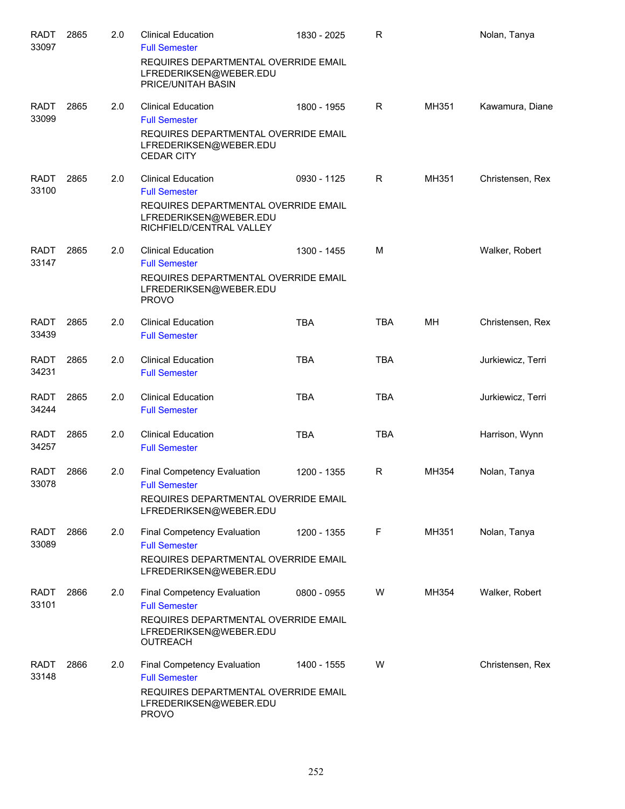| RADT<br>33097        | 2865 | 2.0 | <b>Clinical Education</b><br><b>Full Semester</b>                                                                            | 1830 - 2025 | R          |       | Nolan, Tanya      |
|----------------------|------|-----|------------------------------------------------------------------------------------------------------------------------------|-------------|------------|-------|-------------------|
|                      |      |     | REQUIRES DEPARTMENTAL OVERRIDE EMAIL<br>LFREDERIKSEN@WEBER.EDU<br><b>PRICE/UNITAH BASIN</b>                                  |             |            |       |                   |
| <b>RADT</b>          | 2865 | 2.0 | <b>Clinical Education</b>                                                                                                    | 1800 - 1955 | R          | MH351 | Kawamura, Diane   |
| 33099                |      |     | <b>Full Semester</b><br>REQUIRES DEPARTMENTAL OVERRIDE EMAIL<br>LFREDERIKSEN@WEBER.EDU<br><b>CEDAR CITY</b>                  |             |            |       |                   |
| <b>RADT</b><br>33100 | 2865 | 2.0 | <b>Clinical Education</b><br><b>Full Semester</b>                                                                            | 0930 - 1125 | R.         | MH351 | Christensen, Rex  |
|                      |      |     | REQUIRES DEPARTMENTAL OVERRIDE EMAIL<br>LFREDERIKSEN@WEBER.EDU<br>RICHFIELD/CENTRAL VALLEY                                   |             |            |       |                   |
| <b>RADT</b><br>33147 | 2865 | 2.0 | <b>Clinical Education</b><br><b>Full Semester</b>                                                                            | 1300 - 1455 | M          |       | Walker, Robert    |
|                      |      |     | REQUIRES DEPARTMENTAL OVERRIDE EMAIL<br>LFREDERIKSEN@WEBER.EDU<br><b>PROVO</b>                                               |             |            |       |                   |
| <b>RADT</b><br>33439 | 2865 | 2.0 | <b>Clinical Education</b><br><b>Full Semester</b>                                                                            | <b>TBA</b>  | <b>TBA</b> | MН    | Christensen, Rex  |
| <b>RADT</b><br>34231 | 2865 | 2.0 | <b>Clinical Education</b><br><b>Full Semester</b>                                                                            | <b>TBA</b>  | <b>TBA</b> |       | Jurkiewicz, Terri |
| <b>RADT</b><br>34244 | 2865 | 2.0 | <b>Clinical Education</b><br><b>Full Semester</b>                                                                            | <b>TBA</b>  | <b>TBA</b> |       | Jurkiewicz, Terri |
| <b>RADT</b><br>34257 | 2865 | 2.0 | <b>Clinical Education</b><br><b>Full Semester</b>                                                                            | <b>TBA</b>  | TBA        |       | Harrison, Wynn    |
| <b>RADT</b><br>33078 | 2866 | 2.0 | <b>Final Competency Evaluation</b><br><b>Full Semester</b><br>REQUIRES DEPARTMENTAL OVERRIDE EMAIL<br>LFREDERIKSEN@WEBER.EDU | 1200 - 1355 | R          | MH354 | Nolan, Tanya      |
| <b>RADT</b><br>33089 | 2866 | 2.0 | Final Competency Evaluation<br><b>Full Semester</b>                                                                          | 1200 - 1355 | F          | MH351 | Nolan, Tanya      |
|                      |      |     | REQUIRES DEPARTMENTAL OVERRIDE EMAIL<br>LFREDERIKSEN@WEBER.EDU                                                               |             |            |       |                   |
| <b>RADT</b><br>33101 | 2866 | 2.0 | Final Competency Evaluation<br><b>Full Semester</b>                                                                          | 0800 - 0955 | W          | MH354 | Walker, Robert    |
|                      |      |     | REQUIRES DEPARTMENTAL OVERRIDE EMAIL<br>LFREDERIKSEN@WEBER.EDU<br><b>OUTREACH</b>                                            |             |            |       |                   |
| <b>RADT</b><br>33148 | 2866 | 2.0 | Final Competency Evaluation<br><b>Full Semester</b>                                                                          | 1400 - 1555 | W          |       | Christensen, Rex  |
|                      |      |     | REQUIRES DEPARTMENTAL OVERRIDE EMAIL<br>LFREDERIKSEN@WEBER.EDU<br><b>PROVO</b>                                               |             |            |       |                   |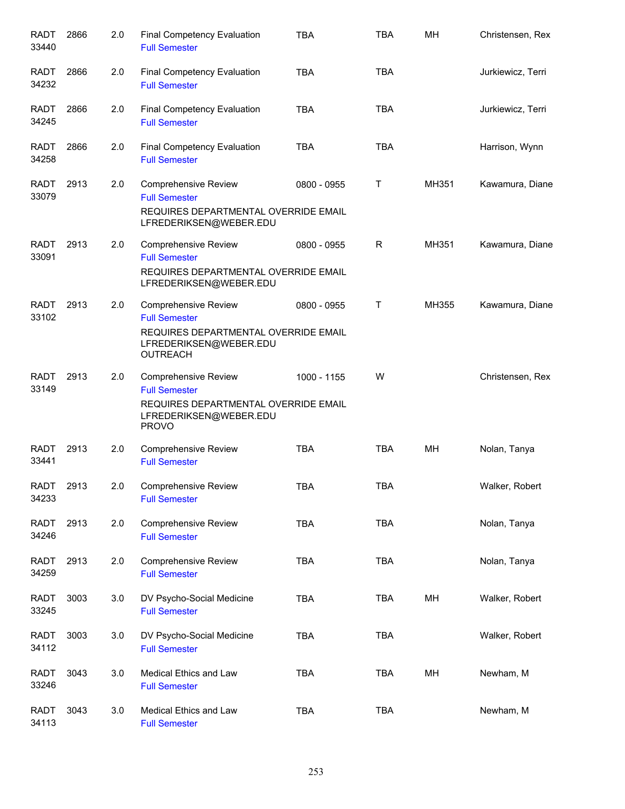| <b>RADT</b><br>33440 | 2866 | 2.0 | <b>Final Competency Evaluation</b><br><b>Full Semester</b>                                                                        | <b>TBA</b>  | <b>TBA</b>   | MH    | Christensen, Rex  |
|----------------------|------|-----|-----------------------------------------------------------------------------------------------------------------------------------|-------------|--------------|-------|-------------------|
| <b>RADT</b><br>34232 | 2866 | 2.0 | Final Competency Evaluation<br><b>Full Semester</b>                                                                               | <b>TBA</b>  | <b>TBA</b>   |       | Jurkiewicz, Terri |
| <b>RADT</b><br>34245 | 2866 | 2.0 | <b>Final Competency Evaluation</b><br><b>Full Semester</b>                                                                        | <b>TBA</b>  | <b>TBA</b>   |       | Jurkiewicz, Terri |
| <b>RADT</b><br>34258 | 2866 | 2.0 | Final Competency Evaluation<br><b>Full Semester</b>                                                                               | <b>TBA</b>  | <b>TBA</b>   |       | Harrison, Wynn    |
| RADT<br>33079        | 2913 | 2.0 | Comprehensive Review<br><b>Full Semester</b><br>REQUIRES DEPARTMENTAL OVERRIDE EMAIL<br>LFREDERIKSEN@WEBER.EDU                    | 0800 - 0955 | Τ            | MH351 | Kawamura, Diane   |
| <b>RADT</b><br>33091 | 2913 | 2.0 | Comprehensive Review<br><b>Full Semester</b><br>REQUIRES DEPARTMENTAL OVERRIDE EMAIL<br>LFREDERIKSEN@WEBER.EDU                    | 0800 - 0955 | R            | MH351 | Kawamura, Diane   |
| <b>RADT</b><br>33102 | 2913 | 2.0 | Comprehensive Review<br><b>Full Semester</b><br>REQUIRES DEPARTMENTAL OVERRIDE EMAIL<br>LFREDERIKSEN@WEBER.EDU<br><b>OUTREACH</b> | 0800 - 0955 | $\mathsf{T}$ | MH355 | Kawamura, Diane   |
| <b>RADT</b><br>33149 | 2913 | 2.0 | Comprehensive Review<br><b>Full Semester</b><br>REQUIRES DEPARTMENTAL OVERRIDE EMAIL<br>LFREDERIKSEN@WEBER.EDU<br><b>PROVO</b>    | 1000 - 1155 | W            |       | Christensen, Rex  |
| <b>RADT</b><br>33441 | 2913 | 2.0 | Comprehensive Review<br><b>Full Semester</b>                                                                                      | <b>TBA</b>  | <b>TBA</b>   | MH    | Nolan, Tanya      |
| RADT 2913<br>34233   |      | 2.0 | <b>Comprehensive Review</b><br><b>Full Semester</b>                                                                               | <b>TBA</b>  | <b>TBA</b>   |       | Walker, Robert    |
| <b>RADT</b><br>34246 | 2913 | 2.0 | <b>Comprehensive Review</b><br><b>Full Semester</b>                                                                               | <b>TBA</b>  | TBA          |       | Nolan, Tanya      |
| <b>RADT</b><br>34259 | 2913 | 2.0 | <b>Comprehensive Review</b><br><b>Full Semester</b>                                                                               | <b>TBA</b>  | <b>TBA</b>   |       | Nolan, Tanya      |
| <b>RADT</b><br>33245 | 3003 | 3.0 | DV Psycho-Social Medicine<br><b>Full Semester</b>                                                                                 | <b>TBA</b>  | <b>TBA</b>   | MH    | Walker, Robert    |
| <b>RADT</b><br>34112 | 3003 | 3.0 | DV Psycho-Social Medicine<br><b>Full Semester</b>                                                                                 | <b>TBA</b>  | <b>TBA</b>   |       | Walker, Robert    |
| <b>RADT</b><br>33246 | 3043 | 3.0 | Medical Ethics and Law<br><b>Full Semester</b>                                                                                    | <b>TBA</b>  | <b>TBA</b>   | MH    | Newham, M         |
| <b>RADT</b><br>34113 | 3043 | 3.0 | Medical Ethics and Law<br><b>Full Semester</b>                                                                                    | <b>TBA</b>  | <b>TBA</b>   |       | Newham, M         |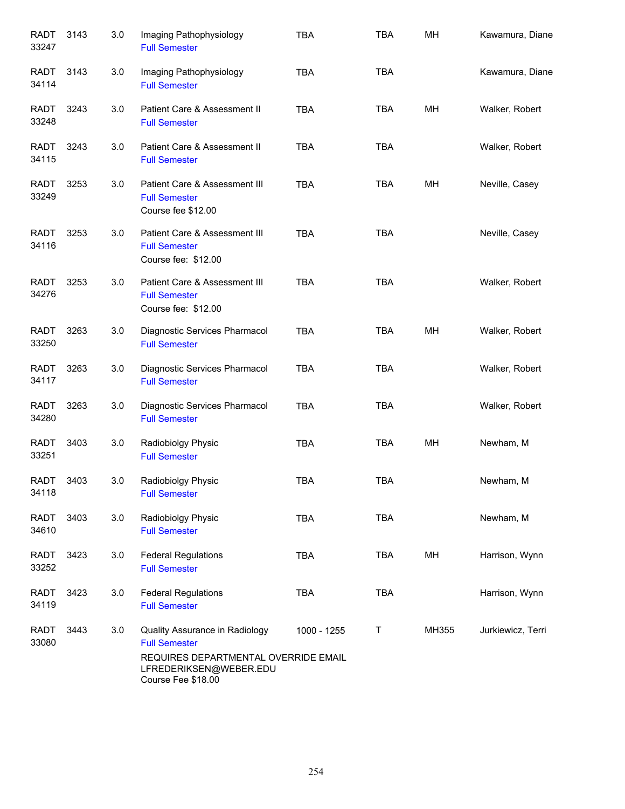| <b>RADT</b><br>33247 | 3143 | 3.0 | Imaging Pathophysiology<br><b>Full Semester</b>                                                                                                | <b>TBA</b>  | <b>TBA</b> | MH    | Kawamura, Diane   |
|----------------------|------|-----|------------------------------------------------------------------------------------------------------------------------------------------------|-------------|------------|-------|-------------------|
| <b>RADT</b><br>34114 | 3143 | 3.0 | Imaging Pathophysiology<br><b>Full Semester</b>                                                                                                | <b>TBA</b>  | <b>TBA</b> |       | Kawamura, Diane   |
| RADT<br>33248        | 3243 | 3.0 | Patient Care & Assessment II<br><b>Full Semester</b>                                                                                           | <b>TBA</b>  | <b>TBA</b> | MН    | Walker, Robert    |
| <b>RADT</b><br>34115 | 3243 | 3.0 | Patient Care & Assessment II<br><b>Full Semester</b>                                                                                           | <b>TBA</b>  | <b>TBA</b> |       | Walker, Robert    |
| RADT<br>33249        | 3253 | 3.0 | Patient Care & Assessment III<br><b>Full Semester</b><br>Course fee \$12.00                                                                    | <b>TBA</b>  | <b>TBA</b> | MН    | Neville, Casey    |
| <b>RADT</b><br>34116 | 3253 | 3.0 | Patient Care & Assessment III<br><b>Full Semester</b><br>Course fee: \$12.00                                                                   | <b>TBA</b>  | <b>TBA</b> |       | Neville, Casey    |
| <b>RADT</b><br>34276 | 3253 | 3.0 | Patient Care & Assessment III<br><b>Full Semester</b><br>Course fee: \$12.00                                                                   | <b>TBA</b>  | <b>TBA</b> |       | Walker, Robert    |
| <b>RADT</b><br>33250 | 3263 | 3.0 | Diagnostic Services Pharmacol<br><b>Full Semester</b>                                                                                          | <b>TBA</b>  | <b>TBA</b> | MН    | Walker, Robert    |
| <b>RADT</b><br>34117 | 3263 | 3.0 | Diagnostic Services Pharmacol<br><b>Full Semester</b>                                                                                          | <b>TBA</b>  | <b>TBA</b> |       | Walker, Robert    |
| <b>RADT</b><br>34280 | 3263 | 3.0 | Diagnostic Services Pharmacol<br><b>Full Semester</b>                                                                                          | <b>TBA</b>  | <b>TBA</b> |       | Walker, Robert    |
| <b>RADT</b><br>33251 | 3403 | 3.0 | Radiobiolgy Physic<br><b>Full Semester</b>                                                                                                     | <b>TBA</b>  | <b>TBA</b> | MН    | Newham, M         |
| <b>RADT</b><br>34118 | 3403 | 3.0 | Radiobiolgy Physic<br><b>Full Semester</b>                                                                                                     | <b>TBA</b>  | <b>TBA</b> |       | Newham, M         |
| <b>RADT</b><br>34610 | 3403 | 3.0 | Radiobiolgy Physic<br><b>Full Semester</b>                                                                                                     | <b>TBA</b>  | <b>TBA</b> |       | Newham, M         |
| RADT<br>33252        | 3423 | 3.0 | <b>Federal Regulations</b><br><b>Full Semester</b>                                                                                             | <b>TBA</b>  | <b>TBA</b> | MН    | Harrison, Wynn    |
| <b>RADT</b><br>34119 | 3423 | 3.0 | <b>Federal Regulations</b><br><b>Full Semester</b>                                                                                             | <b>TBA</b>  | <b>TBA</b> |       | Harrison, Wynn    |
| RADT<br>33080        | 3443 | 3.0 | Quality Assurance in Radiology<br><b>Full Semester</b><br>REQUIRES DEPARTMENTAL OVERRIDE EMAIL<br>LFREDERIKSEN@WEBER.EDU<br>Course Fee \$18.00 | 1000 - 1255 | Т          | MH355 | Jurkiewicz, Terri |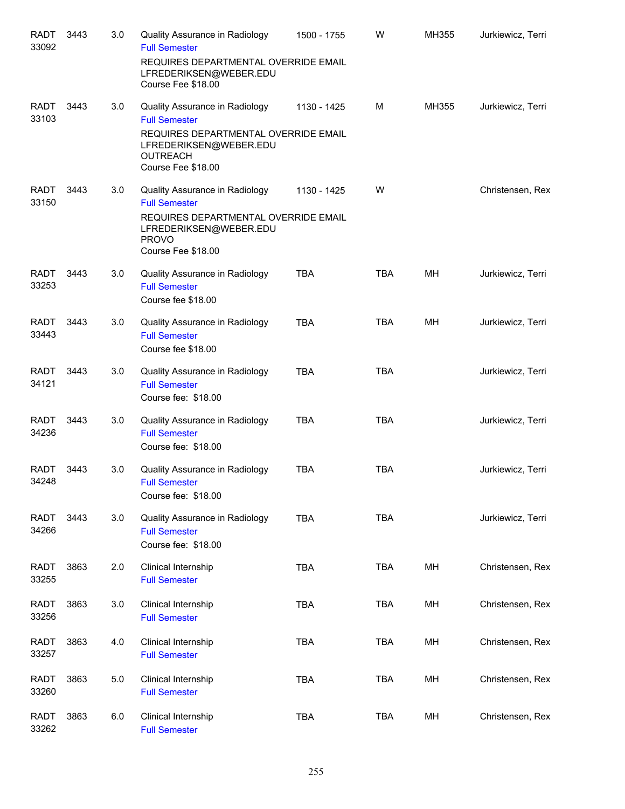| RADT<br>33092        | 3443 | 3.0 | Quality Assurance in Radiology<br><b>Full Semester</b>                                                  | 1500 - 1755 | W          | MH355 | Jurkiewicz, Terri |
|----------------------|------|-----|---------------------------------------------------------------------------------------------------------|-------------|------------|-------|-------------------|
|                      |      |     | REQUIRES DEPARTMENTAL OVERRIDE EMAIL<br>LFREDERIKSEN@WEBER.EDU<br>Course Fee \$18.00                    |             |            |       |                   |
| <b>RADT</b><br>33103 | 3443 | 3.0 | Quality Assurance in Radiology<br><b>Full Semester</b>                                                  | 1130 - 1425 | М          | MH355 | Jurkiewicz, Terri |
|                      |      |     | REQUIRES DEPARTMENTAL OVERRIDE EMAIL<br>LFREDERIKSEN@WEBER.EDU<br><b>OUTREACH</b><br>Course Fee \$18.00 |             |            |       |                   |
| <b>RADT</b><br>33150 | 3443 | 3.0 | Quality Assurance in Radiology<br><b>Full Semester</b>                                                  | 1130 - 1425 | W          |       | Christensen, Rex  |
|                      |      |     | REQUIRES DEPARTMENTAL OVERRIDE EMAIL<br>LFREDERIKSEN@WEBER.EDU<br><b>PROVO</b><br>Course Fee \$18.00    |             |            |       |                   |
| <b>RADT</b><br>33253 | 3443 | 3.0 | Quality Assurance in Radiology<br><b>Full Semester</b><br>Course fee \$18.00                            | <b>TBA</b>  | <b>TBA</b> | MН    | Jurkiewicz, Terri |
| <b>RADT</b><br>33443 | 3443 | 3.0 | Quality Assurance in Radiology<br><b>Full Semester</b><br>Course fee \$18.00                            | <b>TBA</b>  | <b>TBA</b> | MH    | Jurkiewicz, Terri |
| <b>RADT</b><br>34121 | 3443 | 3.0 | Quality Assurance in Radiology<br><b>Full Semester</b><br>Course fee: \$18.00                           | <b>TBA</b>  | <b>TBA</b> |       | Jurkiewicz, Terri |
| <b>RADT</b><br>34236 | 3443 | 3.0 | Quality Assurance in Radiology<br><b>Full Semester</b><br>Course fee: \$18.00                           | <b>TBA</b>  | <b>TBA</b> |       | Jurkiewicz, Terri |
| <b>RADT</b><br>34248 | 3443 | 3.0 | Quality Assurance in Radiology<br><b>Full Semester</b><br>Course fee: \$18.00                           | <b>TBA</b>  | <b>TBA</b> |       | Jurkiewicz, Terri |
| <b>RADT</b><br>34266 | 3443 | 3.0 | Quality Assurance in Radiology<br><b>Full Semester</b><br>Course fee: \$18.00                           | <b>TBA</b>  | <b>TBA</b> |       | Jurkiewicz, Terri |
| <b>RADT</b><br>33255 | 3863 | 2.0 | Clinical Internship<br><b>Full Semester</b>                                                             | <b>TBA</b>  | <b>TBA</b> | MН    | Christensen, Rex  |
| <b>RADT</b><br>33256 | 3863 | 3.0 | Clinical Internship<br><b>Full Semester</b>                                                             | <b>TBA</b>  | <b>TBA</b> | MH    | Christensen, Rex  |
| <b>RADT</b><br>33257 | 3863 | 4.0 | Clinical Internship<br><b>Full Semester</b>                                                             | <b>TBA</b>  | <b>TBA</b> | MH    | Christensen, Rex  |
| <b>RADT</b><br>33260 | 3863 | 5.0 | Clinical Internship<br><b>Full Semester</b>                                                             | <b>TBA</b>  | TBA        | MH    | Christensen, Rex  |
| <b>RADT</b><br>33262 | 3863 | 6.0 | Clinical Internship<br><b>Full Semester</b>                                                             | <b>TBA</b>  | <b>TBA</b> | MH    | Christensen, Rex  |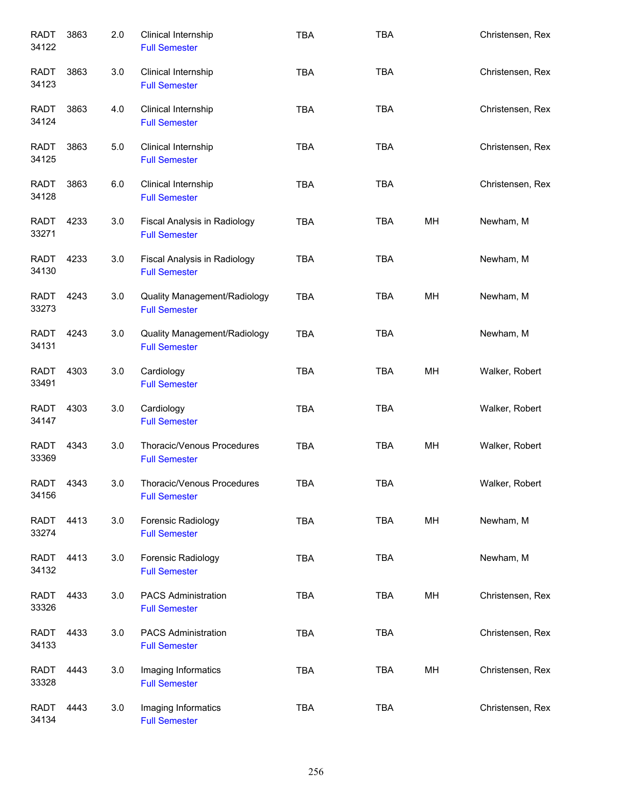| <b>RADT</b><br>34122 | 3863 | 2.0 | Clinical Internship<br><b>Full Semester</b>          | <b>TBA</b> | <b>TBA</b> |    | Christensen, Rex |
|----------------------|------|-----|------------------------------------------------------|------------|------------|----|------------------|
| <b>RADT</b><br>34123 | 3863 | 3.0 | Clinical Internship<br><b>Full Semester</b>          | <b>TBA</b> | <b>TBA</b> |    | Christensen, Rex |
| <b>RADT</b><br>34124 | 3863 | 4.0 | Clinical Internship<br><b>Full Semester</b>          | <b>TBA</b> | <b>TBA</b> |    | Christensen, Rex |
| RADT<br>34125        | 3863 | 5.0 | Clinical Internship<br><b>Full Semester</b>          | <b>TBA</b> | <b>TBA</b> |    | Christensen, Rex |
| <b>RADT</b><br>34128 | 3863 | 6.0 | Clinical Internship<br><b>Full Semester</b>          | <b>TBA</b> | <b>TBA</b> |    | Christensen, Rex |
| RADT<br>33271        | 4233 | 3.0 | Fiscal Analysis in Radiology<br><b>Full Semester</b> | <b>TBA</b> | <b>TBA</b> | MH | Newham, M        |
| <b>RADT</b><br>34130 | 4233 | 3.0 | Fiscal Analysis in Radiology<br><b>Full Semester</b> | <b>TBA</b> | <b>TBA</b> |    | Newham, M        |
| <b>RADT</b><br>33273 | 4243 | 3.0 | Quality Management/Radiology<br><b>Full Semester</b> | <b>TBA</b> | <b>TBA</b> | MH | Newham, M        |
| <b>RADT</b><br>34131 | 4243 | 3.0 | Quality Management/Radiology<br><b>Full Semester</b> | <b>TBA</b> | <b>TBA</b> |    | Newham, M        |
| <b>RADT</b><br>33491 | 4303 | 3.0 | Cardiology<br><b>Full Semester</b>                   | <b>TBA</b> | <b>TBA</b> | MH | Walker, Robert   |
| <b>RADT</b><br>34147 | 4303 | 3.0 | Cardiology<br><b>Full Semester</b>                   | <b>TBA</b> | <b>TBA</b> |    | Walker, Robert   |
| <b>RADT</b><br>33369 | 4343 | 3.0 | Thoracic/Venous Procedures<br><b>Full Semester</b>   | <b>TBA</b> | <b>TBA</b> | MH | Walker, Robert   |
| <b>RADT</b><br>34156 | 4343 | 3.0 | Thoracic/Venous Procedures<br><b>Full Semester</b>   | TBA        | <b>TBA</b> |    | Walker, Robert   |
| <b>RADT</b><br>33274 | 4413 | 3.0 | Forensic Radiology<br><b>Full Semester</b>           | <b>TBA</b> | <b>TBA</b> | MH | Newham, M        |
| <b>RADT</b><br>34132 | 4413 | 3.0 | Forensic Radiology<br><b>Full Semester</b>           | TBA        | <b>TBA</b> |    | Newham, M        |
| <b>RADT</b><br>33326 | 4433 | 3.0 | <b>PACS Administration</b><br><b>Full Semester</b>   | <b>TBA</b> | <b>TBA</b> | MH | Christensen, Rex |
| <b>RADT</b><br>34133 | 4433 | 3.0 | <b>PACS Administration</b><br><b>Full Semester</b>   | <b>TBA</b> | <b>TBA</b> |    | Christensen, Rex |
| <b>RADT</b><br>33328 | 4443 | 3.0 | Imaging Informatics<br><b>Full Semester</b>          | TBA        | <b>TBA</b> | MH | Christensen, Rex |
| <b>RADT</b><br>34134 | 4443 | 3.0 | Imaging Informatics<br><b>Full Semester</b>          | <b>TBA</b> | <b>TBA</b> |    | Christensen, Rex |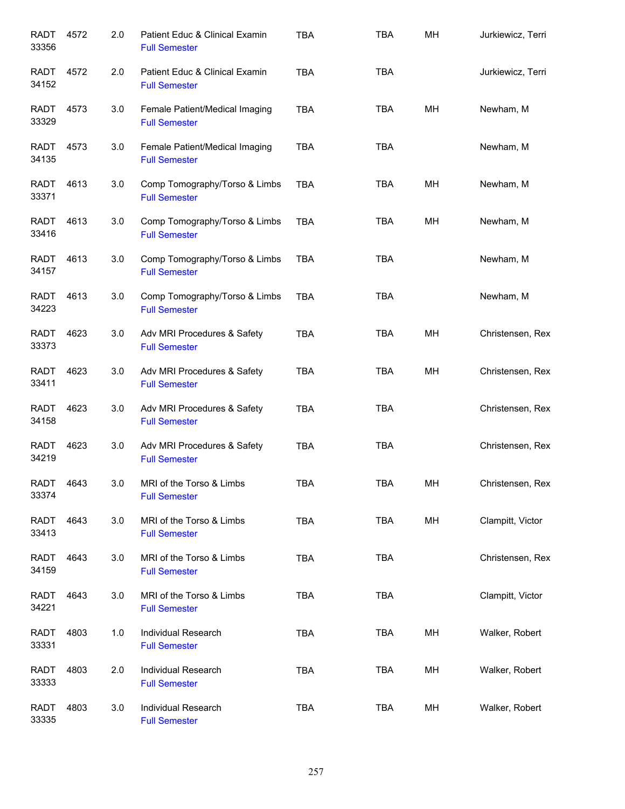| <b>RADT</b><br>33356 | 4572 | 2.0 | Patient Educ & Clinical Examin<br><b>Full Semester</b> | <b>TBA</b> | <b>TBA</b> | MH | Jurkiewicz, Terri |
|----------------------|------|-----|--------------------------------------------------------|------------|------------|----|-------------------|
| RADT<br>34152        | 4572 | 2.0 | Patient Educ & Clinical Examin<br><b>Full Semester</b> | <b>TBA</b> | <b>TBA</b> |    | Jurkiewicz, Terri |
| RADT<br>33329        | 4573 | 3.0 | Female Patient/Medical Imaging<br><b>Full Semester</b> | <b>TBA</b> | TBA        | MH | Newham, M         |
| RADT<br>34135        | 4573 | 3.0 | Female Patient/Medical Imaging<br><b>Full Semester</b> | <b>TBA</b> | <b>TBA</b> |    | Newham, M         |
| RADT<br>33371        | 4613 | 3.0 | Comp Tomography/Torso & Limbs<br><b>Full Semester</b>  | <b>TBA</b> | <b>TBA</b> | MH | Newham, M         |
| RADT<br>33416        | 4613 | 3.0 | Comp Tomography/Torso & Limbs<br><b>Full Semester</b>  | <b>TBA</b> | <b>TBA</b> | MH | Newham, M         |
| <b>RADT</b><br>34157 | 4613 | 3.0 | Comp Tomography/Torso & Limbs<br><b>Full Semester</b>  | <b>TBA</b> | <b>TBA</b> |    | Newham, M         |
| <b>RADT</b><br>34223 | 4613 | 3.0 | Comp Tomography/Torso & Limbs<br><b>Full Semester</b>  | <b>TBA</b> | <b>TBA</b> |    | Newham, M         |
| <b>RADT</b><br>33373 | 4623 | 3.0 | Adv MRI Procedures & Safety<br><b>Full Semester</b>    | <b>TBA</b> | <b>TBA</b> | MH | Christensen, Rex  |
| <b>RADT</b><br>33411 | 4623 | 3.0 | Adv MRI Procedures & Safety<br><b>Full Semester</b>    | <b>TBA</b> | <b>TBA</b> | MH | Christensen, Rex  |
| <b>RADT</b><br>34158 | 4623 | 3.0 | Adv MRI Procedures & Safety<br><b>Full Semester</b>    | <b>TBA</b> | <b>TBA</b> |    | Christensen, Rex  |
| <b>RADT</b><br>34219 | 4623 | 3.0 | Adv MRI Procedures & Safety<br><b>Full Semester</b>    | <b>TBA</b> | <b>TBA</b> |    | Christensen, Rex  |
| <b>RADT</b><br>33374 | 4643 | 3.0 | MRI of the Torso & Limbs<br><b>Full Semester</b>       | <b>TBA</b> | TBA        | MН | Christensen, Rex  |
| <b>RADT</b><br>33413 | 4643 | 3.0 | MRI of the Torso & Limbs<br><b>Full Semester</b>       | <b>TBA</b> | TBA        | MH | Clampitt, Victor  |
| RADT<br>34159        | 4643 | 3.0 | MRI of the Torso & Limbs<br><b>Full Semester</b>       | <b>TBA</b> | <b>TBA</b> |    | Christensen, Rex  |
| RADT<br>34221        | 4643 | 3.0 | MRI of the Torso & Limbs<br><b>Full Semester</b>       | <b>TBA</b> | <b>TBA</b> |    | Clampitt, Victor  |
| <b>RADT</b><br>33331 | 4803 | 1.0 | Individual Research<br><b>Full Semester</b>            | <b>TBA</b> | TBA        | MH | Walker, Robert    |
| <b>RADT</b><br>33333 | 4803 | 2.0 | Individual Research<br><b>Full Semester</b>            | <b>TBA</b> | TBA        | MH | Walker, Robert    |
| <b>RADT</b><br>33335 | 4803 | 3.0 | Individual Research<br><b>Full Semester</b>            | <b>TBA</b> | <b>TBA</b> | MH | Walker, Robert    |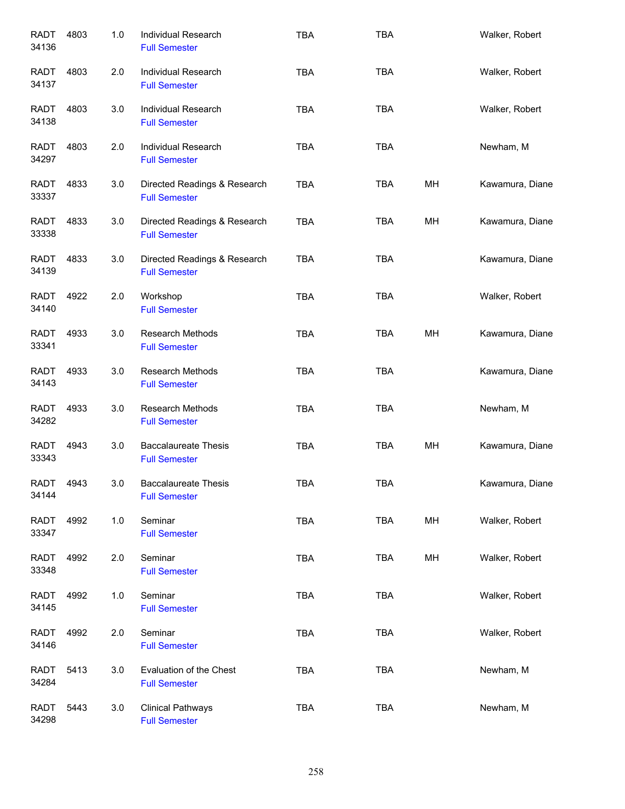| <b>RADT</b><br>34136 | 4803 | 1.0 | Individual Research<br><b>Full Semester</b>          | <b>TBA</b> | <b>TBA</b> |    | Walker, Robert  |
|----------------------|------|-----|------------------------------------------------------|------------|------------|----|-----------------|
| RADT<br>34137        | 4803 | 2.0 | Individual Research<br><b>Full Semester</b>          | <b>TBA</b> | <b>TBA</b> |    | Walker, Robert  |
| RADT<br>34138        | 4803 | 3.0 | Individual Research<br><b>Full Semester</b>          | <b>TBA</b> | <b>TBA</b> |    | Walker, Robert  |
| <b>RADT</b><br>34297 | 4803 | 2.0 | Individual Research<br><b>Full Semester</b>          | <b>TBA</b> | <b>TBA</b> |    | Newham, M       |
| <b>RADT</b><br>33337 | 4833 | 3.0 | Directed Readings & Research<br><b>Full Semester</b> | <b>TBA</b> | <b>TBA</b> | MH | Kawamura, Diane |
| RADT<br>33338        | 4833 | 3.0 | Directed Readings & Research<br><b>Full Semester</b> | <b>TBA</b> | <b>TBA</b> | MH | Kawamura, Diane |
| <b>RADT</b><br>34139 | 4833 | 3.0 | Directed Readings & Research<br><b>Full Semester</b> | <b>TBA</b> | <b>TBA</b> |    | Kawamura, Diane |
| <b>RADT</b><br>34140 | 4922 | 2.0 | Workshop<br><b>Full Semester</b>                     | <b>TBA</b> | <b>TBA</b> |    | Walker, Robert  |
| <b>RADT</b><br>33341 | 4933 | 3.0 | <b>Research Methods</b><br><b>Full Semester</b>      | <b>TBA</b> | <b>TBA</b> | MH | Kawamura, Diane |
| <b>RADT</b><br>34143 | 4933 | 3.0 | <b>Research Methods</b><br><b>Full Semester</b>      | <b>TBA</b> | <b>TBA</b> |    | Kawamura, Diane |
| <b>RADT</b><br>34282 | 4933 | 3.0 | <b>Research Methods</b><br><b>Full Semester</b>      | <b>TBA</b> | <b>TBA</b> |    | Newham, M       |
| <b>RADT</b><br>33343 | 4943 | 3.0 | <b>Baccalaureate Thesis</b><br><b>Full Semester</b>  | <b>TBA</b> | <b>TBA</b> | MH | Kawamura, Diane |
| <b>RADT</b><br>34144 | 4943 | 3.0 | <b>Baccalaureate Thesis</b><br><b>Full Semester</b>  | <b>TBA</b> | <b>TBA</b> |    | Kawamura, Diane |
| <b>RADT</b><br>33347 | 4992 | 1.0 | Seminar<br><b>Full Semester</b>                      | <b>TBA</b> | <b>TBA</b> | MH | Walker, Robert  |
| <b>RADT</b><br>33348 | 4992 | 2.0 | Seminar<br><b>Full Semester</b>                      | TBA        | <b>TBA</b> | MH | Walker, Robert  |
| <b>RADT</b><br>34145 | 4992 | 1.0 | Seminar<br><b>Full Semester</b>                      | <b>TBA</b> | <b>TBA</b> |    | Walker, Robert  |
| <b>RADT</b><br>34146 | 4992 | 2.0 | Seminar<br><b>Full Semester</b>                      | <b>TBA</b> | <b>TBA</b> |    | Walker, Robert  |
| <b>RADT</b><br>34284 | 5413 | 3.0 | Evaluation of the Chest<br><b>Full Semester</b>      | <b>TBA</b> | <b>TBA</b> |    | Newham, M       |
| <b>RADT</b><br>34298 | 5443 | 3.0 | <b>Clinical Pathways</b><br><b>Full Semester</b>     | <b>TBA</b> | <b>TBA</b> |    | Newham, M       |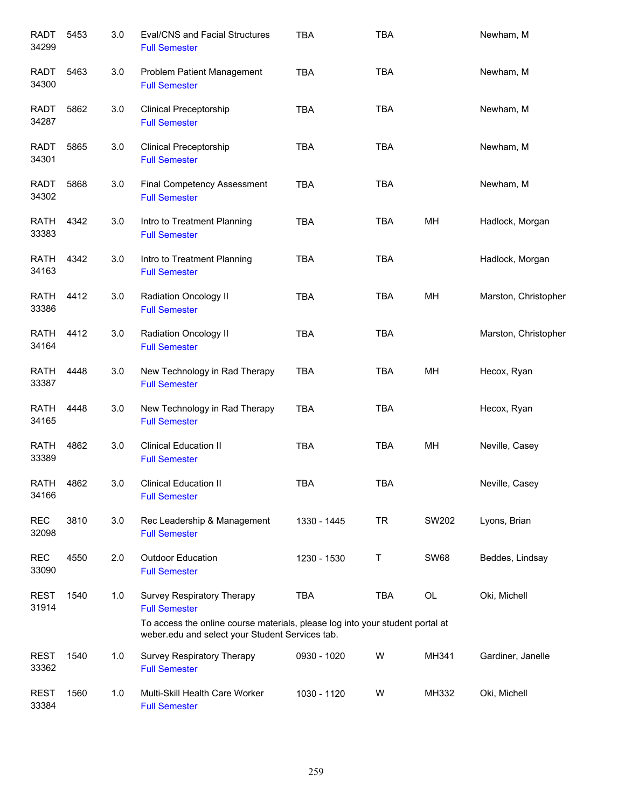| <b>RADT</b><br>34299 | 5453 | 3.0 | Eval/CNS and Facial Structures<br><b>Full Semester</b>                                                                                                                                 | <b>TBA</b>  | <b>TBA</b> |             | Newham, M            |
|----------------------|------|-----|----------------------------------------------------------------------------------------------------------------------------------------------------------------------------------------|-------------|------------|-------------|----------------------|
| <b>RADT</b><br>34300 | 5463 | 3.0 | Problem Patient Management<br><b>Full Semester</b>                                                                                                                                     | <b>TBA</b>  | <b>TBA</b> |             | Newham, M            |
| RADT<br>34287        | 5862 | 3.0 | <b>Clinical Preceptorship</b><br><b>Full Semester</b>                                                                                                                                  | <b>TBA</b>  | <b>TBA</b> |             | Newham, M            |
| RADT<br>34301        | 5865 | 3.0 | <b>Clinical Preceptorship</b><br><b>Full Semester</b>                                                                                                                                  | <b>TBA</b>  | <b>TBA</b> |             | Newham, M            |
| RADT<br>34302        | 5868 | 3.0 | Final Competency Assessment<br><b>Full Semester</b>                                                                                                                                    | <b>TBA</b>  | <b>TBA</b> |             | Newham, M            |
| RATH<br>33383        | 4342 | 3.0 | Intro to Treatment Planning<br><b>Full Semester</b>                                                                                                                                    | <b>TBA</b>  | <b>TBA</b> | MН          | Hadlock, Morgan      |
| <b>RATH</b><br>34163 | 4342 | 3.0 | Intro to Treatment Planning<br><b>Full Semester</b>                                                                                                                                    | <b>TBA</b>  | <b>TBA</b> |             | Hadlock, Morgan      |
| <b>RATH</b><br>33386 | 4412 | 3.0 | Radiation Oncology II<br><b>Full Semester</b>                                                                                                                                          | <b>TBA</b>  | <b>TBA</b> | MH          | Marston, Christopher |
| <b>RATH</b><br>34164 | 4412 | 3.0 | <b>Radiation Oncology II</b><br><b>Full Semester</b>                                                                                                                                   | <b>TBA</b>  | <b>TBA</b> |             | Marston, Christopher |
| RATH<br>33387        | 4448 | 3.0 | New Technology in Rad Therapy<br><b>Full Semester</b>                                                                                                                                  | <b>TBA</b>  | <b>TBA</b> | MH          | Hecox, Ryan          |
| <b>RATH</b><br>34165 | 4448 | 3.0 | New Technology in Rad Therapy<br><b>Full Semester</b>                                                                                                                                  | <b>TBA</b>  | <b>TBA</b> |             | Hecox, Ryan          |
| <b>RATH</b><br>33389 | 4862 | 3.0 | <b>Clinical Education II</b><br><b>Full Semester</b>                                                                                                                                   | <b>TBA</b>  | <b>TBA</b> | MH          | Neville, Casey       |
| RATH<br>34166        | 4862 | 3.0 | <b>Clinical Education II</b><br><b>Full Semester</b>                                                                                                                                   | <b>TBA</b>  | <b>TBA</b> |             | Neville, Casey       |
| <b>REC</b><br>32098  | 3810 | 3.0 | Rec Leadership & Management<br><b>Full Semester</b>                                                                                                                                    | 1330 - 1445 | <b>TR</b>  | SW202       | Lyons, Brian         |
| <b>REC</b><br>33090  | 4550 | 2.0 | Outdoor Education<br><b>Full Semester</b>                                                                                                                                              | 1230 - 1530 | $\sf T$    | <b>SW68</b> | Beddes, Lindsay      |
| <b>REST</b><br>31914 | 1540 | 1.0 | Survey Respiratory Therapy<br><b>Full Semester</b><br>To access the online course materials, please log into your student portal at<br>weber.edu and select your Student Services tab. | <b>TBA</b>  | <b>TBA</b> | OL          | Oki, Michell         |
| <b>REST</b><br>33362 | 1540 | 1.0 | Survey Respiratory Therapy<br><b>Full Semester</b>                                                                                                                                     | 0930 - 1020 | W          | MH341       | Gardiner, Janelle    |
| <b>REST</b><br>33384 | 1560 | 1.0 | Multi-Skill Health Care Worker<br><b>Full Semester</b>                                                                                                                                 | 1030 - 1120 | W          | MH332       | Oki, Michell         |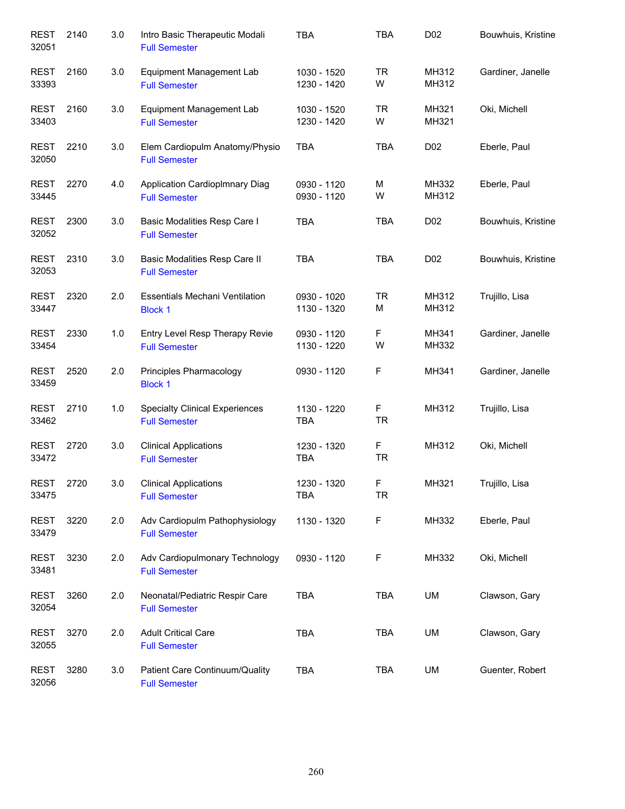| <b>REST</b><br>32051 | 2140 | 3.0 | Intro Basic Therapeutic Modali<br><b>Full Semester</b>        | <b>TBA</b>                 | <b>TBA</b>     | D <sub>02</sub>  | Bouwhuis, Kristine |
|----------------------|------|-----|---------------------------------------------------------------|----------------------------|----------------|------------------|--------------------|
| <b>REST</b><br>33393 | 2160 | 3.0 | Equipment Management Lab<br><b>Full Semester</b>              | 1030 - 1520<br>1230 - 1420 | <b>TR</b><br>W | MH312<br>MH312   | Gardiner, Janelle  |
| <b>REST</b><br>33403 | 2160 | 3.0 | Equipment Management Lab<br><b>Full Semester</b>              | 1030 - 1520<br>1230 - 1420 | <b>TR</b><br>W | MH321<br>MH321   | Oki, Michell       |
| <b>REST</b><br>32050 | 2210 | 3.0 | Elem Cardiopulm Anatomy/Physio<br><b>Full Semester</b>        | <b>TBA</b>                 | <b>TBA</b>     | D <sub>0</sub> 2 | Eberle, Paul       |
| <b>REST</b><br>33445 | 2270 | 4.0 | Application CardiopImnary Diag<br><b>Full Semester</b>        | 0930 - 1120<br>0930 - 1120 | М<br>W         | MH332<br>MH312   | Eberle, Paul       |
| REST<br>32052        | 2300 | 3.0 | Basic Modalities Resp Care I<br><b>Full Semester</b>          | <b>TBA</b>                 | <b>TBA</b>     | D <sub>02</sub>  | Bouwhuis, Kristine |
| <b>REST</b><br>32053 | 2310 | 3.0 | Basic Modalities Resp Care II<br><b>Full Semester</b>         | <b>TBA</b>                 | <b>TBA</b>     | D <sub>02</sub>  | Bouwhuis, Kristine |
| <b>REST</b><br>33447 | 2320 | 2.0 | <b>Essentials Mechani Ventilation</b><br><b>Block 1</b>       | 0930 - 1020<br>1130 - 1320 | <b>TR</b><br>M | MH312<br>MH312   | Trujillo, Lisa     |
| <b>REST</b><br>33454 | 2330 | 1.0 | Entry Level Resp Therapy Revie<br><b>Full Semester</b>        | 0930 - 1120<br>1130 - 1220 | F<br>W         | MH341<br>MH332   | Gardiner, Janelle  |
| <b>REST</b><br>33459 | 2520 | 2.0 | Principles Pharmacology<br><b>Block 1</b>                     | 0930 - 1120                | F              | MH341            | Gardiner, Janelle  |
| <b>REST</b><br>33462 | 2710 | 1.0 | <b>Specialty Clinical Experiences</b><br><b>Full Semester</b> | 1130 - 1220<br><b>TBA</b>  | F<br>TR        | MH312            | Trujillo, Lisa     |
| <b>REST</b><br>33472 | 2720 | 3.0 | <b>Clinical Applications</b><br><b>Full Semester</b>          | 1230 - 1320<br><b>TBA</b>  | F<br><b>TR</b> | MH312            | Oki, Michell       |
| <b>REST</b><br>33475 | 2720 | 3.0 | <b>Clinical Applications</b><br><b>Full Semester</b>          | 1230 - 1320<br><b>TBA</b>  | F<br><b>TR</b> | MH321            | Trujillo, Lisa     |
| <b>REST</b><br>33479 | 3220 | 2.0 | Adv Cardiopulm Pathophysiology<br><b>Full Semester</b>        | 1130 - 1320                | F              | MH332            | Eberle, Paul       |
| <b>REST</b><br>33481 | 3230 | 2.0 | Adv Cardiopulmonary Technology<br><b>Full Semester</b>        | 0930 - 1120                | F              | MH332            | Oki, Michell       |
| <b>REST</b><br>32054 | 3260 | 2.0 | Neonatal/Pediatric Respir Care<br><b>Full Semester</b>        | <b>TBA</b>                 | TBA            | UM               | Clawson, Gary      |
| <b>REST</b><br>32055 | 3270 | 2.0 | <b>Adult Critical Care</b><br><b>Full Semester</b>            | <b>TBA</b>                 | <b>TBA</b>     | UM               | Clawson, Gary      |
| <b>REST</b><br>32056 | 3280 | 3.0 | Patient Care Continuum/Quality<br><b>Full Semester</b>        | <b>TBA</b>                 | <b>TBA</b>     | UM               | Guenter, Robert    |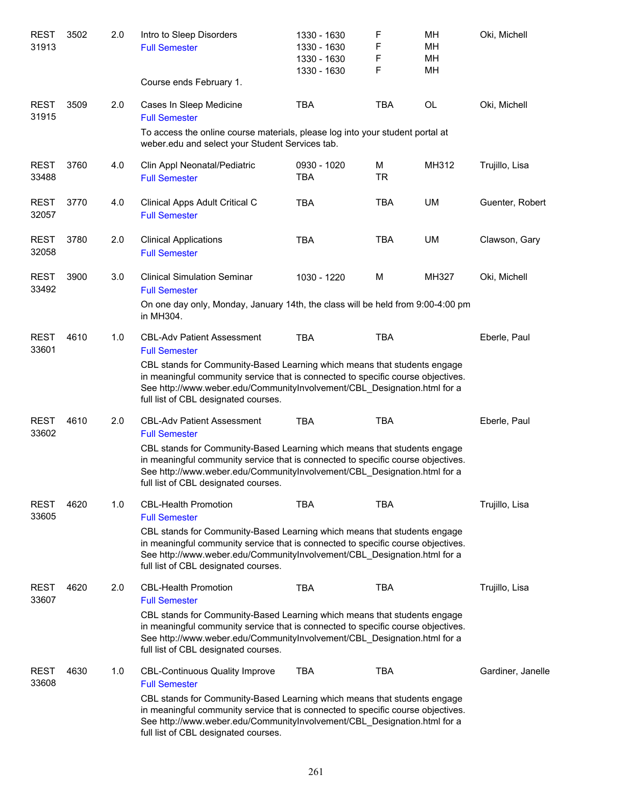| <b>REST</b><br>31913 | 3502 | 2.0 | Intro to Sleep Disorders<br><b>Full Semester</b>                                                                                                                                                                                                                                 | 1330 - 1630<br>1330 - 1630<br>1330 - 1630 | F<br>F<br>F | MH<br>MH<br>MН<br><b>MH</b> | Oki, Michell      |
|----------------------|------|-----|----------------------------------------------------------------------------------------------------------------------------------------------------------------------------------------------------------------------------------------------------------------------------------|-------------------------------------------|-------------|-----------------------------|-------------------|
|                      |      |     | Course ends February 1.                                                                                                                                                                                                                                                          | 1330 - 1630                               | F           |                             |                   |
| <b>REST</b><br>31915 | 3509 | 2.0 | Cases In Sleep Medicine<br><b>Full Semester</b>                                                                                                                                                                                                                                  | <b>TBA</b>                                | <b>TBA</b>  | <b>OL</b>                   | Oki, Michell      |
|                      |      |     | To access the online course materials, please log into your student portal at<br>weber.edu and select your Student Services tab.                                                                                                                                                 |                                           |             |                             |                   |
| <b>REST</b><br>33488 | 3760 | 4.0 | Clin Appl Neonatal/Pediatric<br><b>Full Semester</b>                                                                                                                                                                                                                             | 0930 - 1020<br>TBA                        | М<br>TR     | MH312                       | Trujillo, Lisa    |
| <b>REST</b><br>32057 | 3770 | 4.0 | Clinical Apps Adult Critical C<br><b>Full Semester</b>                                                                                                                                                                                                                           | <b>TBA</b>                                | TBA         | <b>UM</b>                   | Guenter, Robert   |
| <b>REST</b><br>32058 | 3780 | 2.0 | <b>Clinical Applications</b><br><b>Full Semester</b>                                                                                                                                                                                                                             | <b>TBA</b>                                | <b>TBA</b>  | <b>UM</b>                   | Clawson, Gary     |
| <b>REST</b><br>33492 | 3900 | 3.0 | <b>Clinical Simulation Seminar</b><br><b>Full Semester</b>                                                                                                                                                                                                                       | 1030 - 1220                               | M           | MH327                       | Oki, Michell      |
|                      |      |     | On one day only, Monday, January 14th, the class will be held from 9:00-4:00 pm<br>in MH304.                                                                                                                                                                                     |                                           |             |                             |                   |
| <b>REST</b><br>33601 | 4610 | 1.0 | <b>CBL-Adv Patient Assessment</b><br><b>Full Semester</b>                                                                                                                                                                                                                        | <b>TBA</b>                                | <b>TBA</b>  |                             | Eberle, Paul      |
|                      |      |     | CBL stands for Community-Based Learning which means that students engage<br>in meaningful community service that is connected to specific course objectives.<br>See http://www.weber.edu/CommunityInvolvement/CBL_Designation.html for a<br>full list of CBL designated courses. |                                           |             |                             |                   |
| <b>REST</b><br>33602 | 4610 | 2.0 | <b>CBL-Adv Patient Assessment</b><br><b>Full Semester</b>                                                                                                                                                                                                                        | <b>TBA</b>                                | <b>TBA</b>  |                             | Eberle, Paul      |
|                      |      |     | CBL stands for Community-Based Learning which means that students engage<br>in meaningful community service that is connected to specific course objectives.<br>See http://www.weber.edu/CommunityInvolvement/CBL_Designation.html for a<br>full list of CBL designated courses. |                                           |             |                             |                   |
| <b>REST</b><br>33605 | 4620 | 1.0 | <b>CBL-Health Promotion</b><br><b>Full Semester</b>                                                                                                                                                                                                                              | <b>TBA</b>                                | <b>TBA</b>  |                             | Trujillo, Lisa    |
|                      |      |     | CBL stands for Community-Based Learning which means that students engage<br>in meaningful community service that is connected to specific course objectives.<br>See http://www.weber.edu/CommunityInvolvement/CBL_Designation.html for a<br>full list of CBL designated courses. |                                           |             |                             |                   |
| <b>REST</b><br>33607 | 4620 | 2.0 | <b>CBL-Health Promotion</b><br><b>Full Semester</b>                                                                                                                                                                                                                              | TBA                                       | <b>TBA</b>  |                             | Trujillo, Lisa    |
|                      |      |     | CBL stands for Community-Based Learning which means that students engage<br>in meaningful community service that is connected to specific course objectives.<br>See http://www.weber.edu/CommunityInvolvement/CBL_Designation.html for a<br>full list of CBL designated courses. |                                           |             |                             |                   |
| <b>REST</b><br>33608 | 4630 | 1.0 | <b>CBL-Continuous Quality Improve</b><br><b>Full Semester</b>                                                                                                                                                                                                                    | <b>TBA</b>                                | <b>TBA</b>  |                             | Gardiner, Janelle |
|                      |      |     | CBL stands for Community-Based Learning which means that students engage<br>in meaningful community service that is connected to specific course objectives.<br>See http://www.weber.edu/CommunityInvolvement/CBL_Designation.html for a<br>full list of CBL designated courses. |                                           |             |                             |                   |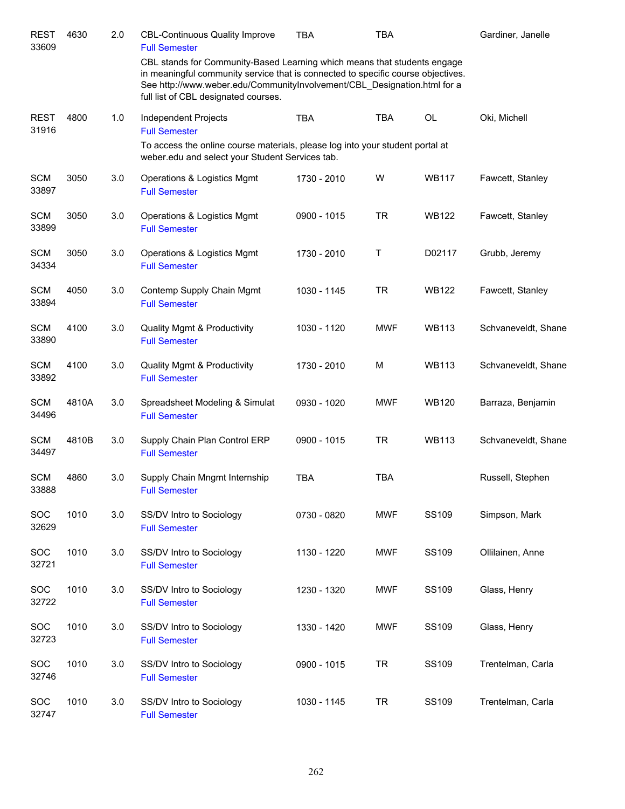| <b>REST</b><br>33609 | 4630  | 2.0 | <b>CBL-Continuous Quality Improve</b><br><b>Full Semester</b>                                                                                                                                                                                                                    | <b>TBA</b>  | TBA        |              | Gardiner, Janelle   |
|----------------------|-------|-----|----------------------------------------------------------------------------------------------------------------------------------------------------------------------------------------------------------------------------------------------------------------------------------|-------------|------------|--------------|---------------------|
|                      |       |     | CBL stands for Community-Based Learning which means that students engage<br>in meaningful community service that is connected to specific course objectives.<br>See http://www.weber.edu/CommunityInvolvement/CBL_Designation.html for a<br>full list of CBL designated courses. |             |            |              |                     |
| <b>REST</b><br>31916 | 4800  | 1.0 | Independent Projects<br><b>Full Semester</b>                                                                                                                                                                                                                                     | <b>TBA</b>  | <b>TBA</b> | <b>OL</b>    | Oki, Michell        |
|                      |       |     | To access the online course materials, please log into your student portal at<br>weber.edu and select your Student Services tab.                                                                                                                                                 |             |            |              |                     |
| <b>SCM</b><br>33897  | 3050  | 3.0 | Operations & Logistics Mgmt<br><b>Full Semester</b>                                                                                                                                                                                                                              | 1730 - 2010 | W          | <b>WB117</b> | Fawcett, Stanley    |
| <b>SCM</b><br>33899  | 3050  | 3.0 | Operations & Logistics Mgmt<br><b>Full Semester</b>                                                                                                                                                                                                                              | 0900 - 1015 | <b>TR</b>  | <b>WB122</b> | Fawcett, Stanley    |
| <b>SCM</b><br>34334  | 3050  | 3.0 | Operations & Logistics Mgmt<br><b>Full Semester</b>                                                                                                                                                                                                                              | 1730 - 2010 | Τ          | D02117       | Grubb, Jeremy       |
| <b>SCM</b><br>33894  | 4050  | 3.0 | Contemp Supply Chain Mgmt<br><b>Full Semester</b>                                                                                                                                                                                                                                | 1030 - 1145 | <b>TR</b>  | <b>WB122</b> | Fawcett, Stanley    |
| <b>SCM</b><br>33890  | 4100  | 3.0 | <b>Quality Mgmt &amp; Productivity</b><br><b>Full Semester</b>                                                                                                                                                                                                                   | 1030 - 1120 | <b>MWF</b> | <b>WB113</b> | Schvaneveldt, Shane |
| <b>SCM</b><br>33892  | 4100  | 3.0 | <b>Quality Mgmt &amp; Productivity</b><br><b>Full Semester</b>                                                                                                                                                                                                                   | 1730 - 2010 | M          | <b>WB113</b> | Schvaneveldt, Shane |
| <b>SCM</b><br>34496  | 4810A | 3.0 | Spreadsheet Modeling & Simulat<br><b>Full Semester</b>                                                                                                                                                                                                                           | 0930 - 1020 | <b>MWF</b> | <b>WB120</b> | Barraza, Benjamin   |
| <b>SCM</b><br>34497  | 4810B | 3.0 | Supply Chain Plan Control ERP<br><b>Full Semester</b>                                                                                                                                                                                                                            | 0900 - 1015 | <b>TR</b>  | <b>WB113</b> | Schvaneveldt, Shane |
| <b>SCM</b><br>33888  | 4860  | 3.0 | Supply Chain Mngmt Internship<br><b>Full Semester</b>                                                                                                                                                                                                                            | <b>TBA</b>  | <b>TBA</b> |              | Russell, Stephen    |
| SOC<br>32629         | 1010  | 3.0 | SS/DV Intro to Sociology<br><b>Full Semester</b>                                                                                                                                                                                                                                 | 0730 - 0820 | <b>MWF</b> | <b>SS109</b> | Simpson, Mark       |
| SOC<br>32721         | 1010  | 3.0 | SS/DV Intro to Sociology<br><b>Full Semester</b>                                                                                                                                                                                                                                 | 1130 - 1220 | <b>MWF</b> | SS109        | Ollilainen, Anne    |
| SOC<br>32722         | 1010  | 3.0 | SS/DV Intro to Sociology<br><b>Full Semester</b>                                                                                                                                                                                                                                 | 1230 - 1320 | <b>MWF</b> | SS109        | Glass, Henry        |
| SOC<br>32723         | 1010  | 3.0 | SS/DV Intro to Sociology<br><b>Full Semester</b>                                                                                                                                                                                                                                 | 1330 - 1420 | <b>MWF</b> | SS109        | Glass, Henry        |
| SOC<br>32746         | 1010  | 3.0 | SS/DV Intro to Sociology<br><b>Full Semester</b>                                                                                                                                                                                                                                 | 0900 - 1015 | <b>TR</b>  | SS109        | Trentelman, Carla   |
| SOC<br>32747         | 1010  | 3.0 | SS/DV Intro to Sociology<br><b>Full Semester</b>                                                                                                                                                                                                                                 | 1030 - 1145 | <b>TR</b>  | SS109        | Trentelman, Carla   |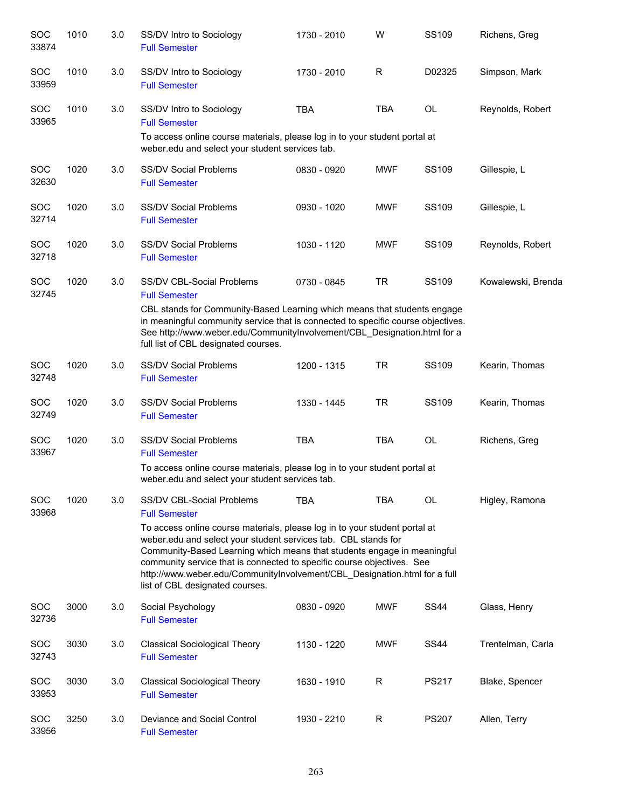| SOC<br>33874        | 1010 | 3.0 | SS/DV Intro to Sociology<br><b>Full Semester</b>                                                                                                                                                                                                                                                                                                                                                                  | 1730 - 2010 | W          | SS109        | Richens, Greg      |
|---------------------|------|-----|-------------------------------------------------------------------------------------------------------------------------------------------------------------------------------------------------------------------------------------------------------------------------------------------------------------------------------------------------------------------------------------------------------------------|-------------|------------|--------------|--------------------|
| <b>SOC</b><br>33959 | 1010 | 3.0 | SS/DV Intro to Sociology<br><b>Full Semester</b>                                                                                                                                                                                                                                                                                                                                                                  | 1730 - 2010 | R          | D02325       | Simpson, Mark      |
| SOC<br>33965        | 1010 | 3.0 | SS/DV Intro to Sociology<br><b>Full Semester</b>                                                                                                                                                                                                                                                                                                                                                                  | <b>TBA</b>  | <b>TBA</b> | OL           | Reynolds, Robert   |
|                     |      |     | To access online course materials, please log in to your student portal at<br>weber.edu and select your student services tab.                                                                                                                                                                                                                                                                                     |             |            |              |                    |
| <b>SOC</b><br>32630 | 1020 | 3.0 | <b>SS/DV Social Problems</b><br><b>Full Semester</b>                                                                                                                                                                                                                                                                                                                                                              | 0830 - 0920 | <b>MWF</b> | SS109        | Gillespie, L       |
| <b>SOC</b><br>32714 | 1020 | 3.0 | <b>SS/DV Social Problems</b><br><b>Full Semester</b>                                                                                                                                                                                                                                                                                                                                                              | 0930 - 1020 | <b>MWF</b> | SS109        | Gillespie, L       |
| SOC<br>32718        | 1020 | 3.0 | <b>SS/DV Social Problems</b><br><b>Full Semester</b>                                                                                                                                                                                                                                                                                                                                                              | 1030 - 1120 | <b>MWF</b> | <b>SS109</b> | Reynolds, Robert   |
| SOC<br>32745        | 1020 | 3.0 | SS/DV CBL-Social Problems<br><b>Full Semester</b>                                                                                                                                                                                                                                                                                                                                                                 | 0730 - 0845 | TR         | <b>SS109</b> | Kowalewski, Brenda |
|                     |      |     | CBL stands for Community-Based Learning which means that students engage<br>in meaningful community service that is connected to specific course objectives.<br>See http://www.weber.edu/CommunityInvolvement/CBL_Designation.html for a<br>full list of CBL designated courses.                                                                                                                                  |             |            |              |                    |
| <b>SOC</b><br>32748 | 1020 | 3.0 | <b>SS/DV Social Problems</b><br><b>Full Semester</b>                                                                                                                                                                                                                                                                                                                                                              | 1200 - 1315 | TR         | SS109        | Kearin, Thomas     |
| <b>SOC</b><br>32749 | 1020 | 3.0 | <b>SS/DV Social Problems</b><br><b>Full Semester</b>                                                                                                                                                                                                                                                                                                                                                              | 1330 - 1445 | TR         | SS109        | Kearin, Thomas     |
| <b>SOC</b><br>33967 | 1020 | 3.0 | <b>SS/DV Social Problems</b><br><b>Full Semester</b>                                                                                                                                                                                                                                                                                                                                                              | <b>TBA</b>  | <b>TBA</b> | OL           | Richens, Greg      |
|                     |      |     | To access online course materials, please log in to your student portal at<br>weber.edu and select your student services tab.                                                                                                                                                                                                                                                                                     |             |            |              |                    |
| SOC<br>33968        | 1020 | 3.0 | SS/DV CBL-Social Problems<br><b>Full Semester</b>                                                                                                                                                                                                                                                                                                                                                                 | <b>TBA</b>  | <b>TBA</b> | OL           | Higley, Ramona     |
|                     |      |     | To access online course materials, please log in to your student portal at<br>weber.edu and select your student services tab. CBL stands for<br>Community-Based Learning which means that students engage in meaningful<br>community service that is connected to specific course objectives. See<br>http://www.weber.edu/CommunityInvolvement/CBL_Designation.html for a full<br>list of CBL designated courses. |             |            |              |                    |
| <b>SOC</b><br>32736 | 3000 | 3.0 | Social Psychology<br><b>Full Semester</b>                                                                                                                                                                                                                                                                                                                                                                         | 0830 - 0920 | <b>MWF</b> | <b>SS44</b>  | Glass, Henry       |
| <b>SOC</b><br>32743 | 3030 | 3.0 | <b>Classical Sociological Theory</b><br><b>Full Semester</b>                                                                                                                                                                                                                                                                                                                                                      | 1130 - 1220 | <b>MWF</b> | <b>SS44</b>  | Trentelman, Carla  |
| <b>SOC</b><br>33953 | 3030 | 3.0 | <b>Classical Sociological Theory</b><br><b>Full Semester</b>                                                                                                                                                                                                                                                                                                                                                      | 1630 - 1910 | R          | PS217        | Blake, Spencer     |
| SOC<br>33956        | 3250 | 3.0 | Deviance and Social Control<br><b>Full Semester</b>                                                                                                                                                                                                                                                                                                                                                               | 1930 - 2210 | R          | <b>PS207</b> | Allen, Terry       |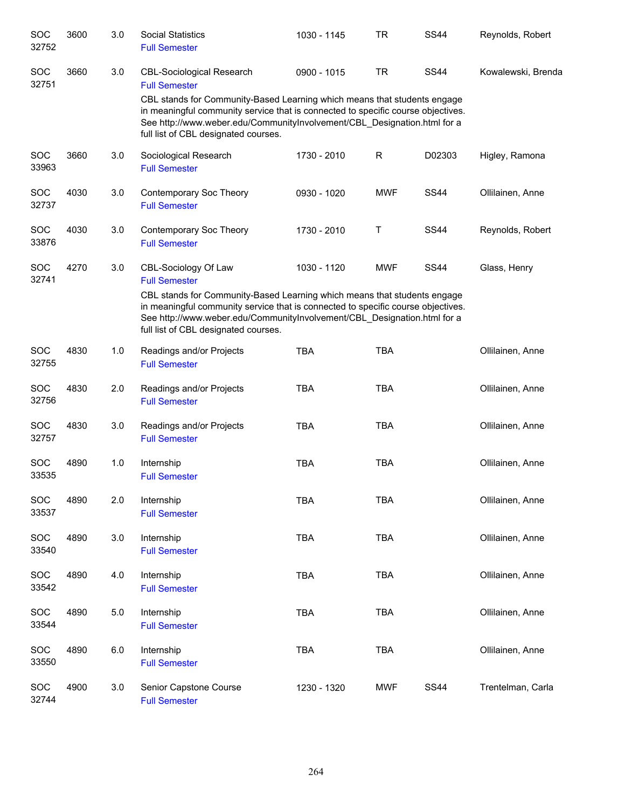| SOC<br>32752        | 3600 | 3.0 | <b>Social Statistics</b><br><b>Full Semester</b>                                                                                                                                                                                                                                 | 1030 - 1145 | TR         | <b>SS44</b> | Reynolds, Robert   |
|---------------------|------|-----|----------------------------------------------------------------------------------------------------------------------------------------------------------------------------------------------------------------------------------------------------------------------------------|-------------|------------|-------------|--------------------|
| SOC<br>32751        | 3660 | 3.0 | <b>CBL-Sociological Research</b><br><b>Full Semester</b>                                                                                                                                                                                                                         | 0900 - 1015 | <b>TR</b>  | <b>SS44</b> | Kowalewski, Brenda |
|                     |      |     | CBL stands for Community-Based Learning which means that students engage<br>in meaningful community service that is connected to specific course objectives.<br>See http://www.weber.edu/CommunityInvolvement/CBL_Designation.html for a<br>full list of CBL designated courses. |             |            |             |                    |
| SOC<br>33963        | 3660 | 3.0 | Sociological Research<br><b>Full Semester</b>                                                                                                                                                                                                                                    | 1730 - 2010 | R          | D02303      | Higley, Ramona     |
| SOC<br>32737        | 4030 | 3.0 | Contemporary Soc Theory<br><b>Full Semester</b>                                                                                                                                                                                                                                  | 0930 - 1020 | <b>MWF</b> | <b>SS44</b> | Ollilainen, Anne   |
| <b>SOC</b><br>33876 | 4030 | 3.0 | Contemporary Soc Theory<br><b>Full Semester</b>                                                                                                                                                                                                                                  | 1730 - 2010 | Τ          | <b>SS44</b> | Reynolds, Robert   |
| SOC<br>32741        | 4270 | 3.0 | CBL-Sociology Of Law<br><b>Full Semester</b>                                                                                                                                                                                                                                     | 1030 - 1120 | <b>MWF</b> | <b>SS44</b> | Glass, Henry       |
|                     |      |     | CBL stands for Community-Based Learning which means that students engage<br>in meaningful community service that is connected to specific course objectives.<br>See http://www.weber.edu/CommunityInvolvement/CBL Designation.html for a<br>full list of CBL designated courses. |             |            |             |                    |
| SOC<br>32755        | 4830 | 1.0 | Readings and/or Projects<br><b>Full Semester</b>                                                                                                                                                                                                                                 | <b>TBA</b>  | <b>TBA</b> |             | Ollilainen, Anne   |
| SOC<br>32756        | 4830 | 2.0 | Readings and/or Projects<br><b>Full Semester</b>                                                                                                                                                                                                                                 | <b>TBA</b>  | <b>TBA</b> |             | Ollilainen, Anne   |
| <b>SOC</b><br>32757 | 4830 | 3.0 | Readings and/or Projects<br><b>Full Semester</b>                                                                                                                                                                                                                                 | <b>TBA</b>  | <b>TBA</b> |             | Ollilainen, Anne   |
| SOC<br>33535        | 4890 | 1.0 | Internship<br><b>Full Semester</b>                                                                                                                                                                                                                                               | <b>TBA</b>  | <b>TBA</b> |             | Ollilainen, Anne   |
| SOC<br>33537        | 4890 | 2.0 | Internship<br><b>Full Semester</b>                                                                                                                                                                                                                                               | <b>TBA</b>  | <b>TBA</b> |             | Ollilainen, Anne   |
| SOC<br>33540        | 4890 | 3.0 | Internship<br><b>Full Semester</b>                                                                                                                                                                                                                                               | <b>TBA</b>  | <b>TBA</b> |             | Ollilainen, Anne   |
| <b>SOC</b><br>33542 | 4890 | 4.0 | Internship<br><b>Full Semester</b>                                                                                                                                                                                                                                               | <b>TBA</b>  | <b>TBA</b> |             | Ollilainen, Anne   |
| <b>SOC</b><br>33544 | 4890 | 5.0 | Internship<br><b>Full Semester</b>                                                                                                                                                                                                                                               | <b>TBA</b>  | <b>TBA</b> |             | Ollilainen, Anne   |
| <b>SOC</b><br>33550 | 4890 | 6.0 | Internship<br><b>Full Semester</b>                                                                                                                                                                                                                                               | <b>TBA</b>  | <b>TBA</b> |             | Ollilainen, Anne   |
| <b>SOC</b><br>32744 | 4900 | 3.0 | Senior Capstone Course<br><b>Full Semester</b>                                                                                                                                                                                                                                   | 1230 - 1320 | <b>MWF</b> | <b>SS44</b> | Trentelman, Carla  |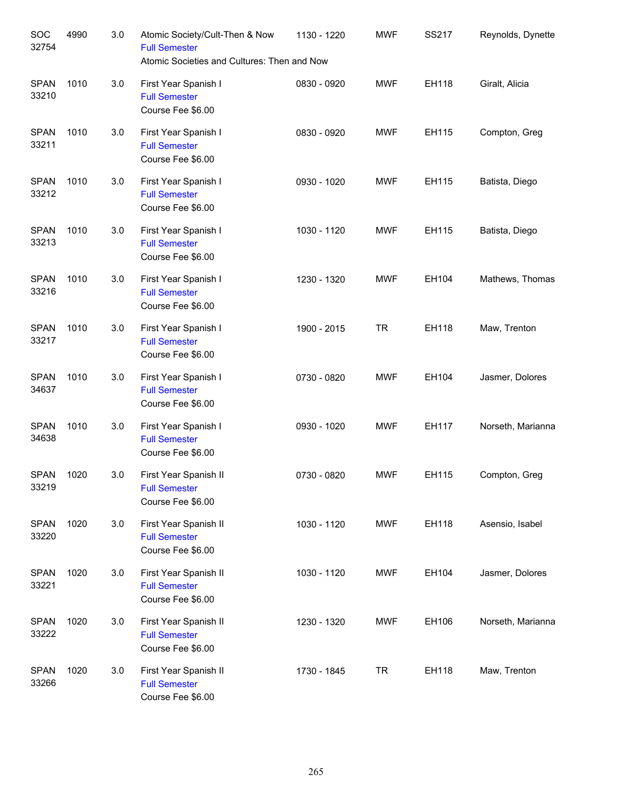| SOC<br>32754         | 4990 | 3.0 | Atomic Society/Cult-Then & Now<br><b>Full Semester</b><br>Atomic Societies and Cultures: Then and Now | 1130 - 1220 | <b>MWF</b> | SS217 | Reynolds, Dynette |
|----------------------|------|-----|-------------------------------------------------------------------------------------------------------|-------------|------------|-------|-------------------|
| <b>SPAN</b><br>33210 | 1010 | 3.0 | First Year Spanish I<br><b>Full Semester</b><br>Course Fee \$6.00                                     | 0830 - 0920 | <b>MWF</b> | EH118 | Giralt, Alicia    |
| <b>SPAN</b><br>33211 | 1010 | 3.0 | First Year Spanish I<br><b>Full Semester</b><br>Course Fee \$6.00                                     | 0830 - 0920 | MWF        | EH115 | Compton, Greg     |
| <b>SPAN</b><br>33212 | 1010 | 3.0 | First Year Spanish I<br><b>Full Semester</b><br>Course Fee \$6.00                                     | 0930 - 1020 | MWF        | EH115 | Batista, Diego    |
| <b>SPAN</b><br>33213 | 1010 | 3.0 | First Year Spanish I<br><b>Full Semester</b><br>Course Fee \$6.00                                     | 1030 - 1120 | MWF        | EH115 | Batista, Diego    |
| <b>SPAN</b><br>33216 | 1010 | 3.0 | First Year Spanish I<br><b>Full Semester</b><br>Course Fee \$6.00                                     | 1230 - 1320 | MWF        | EH104 | Mathews, Thomas   |
| <b>SPAN</b><br>33217 | 1010 | 3.0 | First Year Spanish I<br><b>Full Semester</b><br>Course Fee \$6.00                                     | 1900 - 2015 | <b>TR</b>  | EH118 | Maw, Trenton      |
| <b>SPAN</b><br>34637 | 1010 | 3.0 | First Year Spanish I<br><b>Full Semester</b><br>Course Fee \$6.00                                     | 0730 - 0820 | <b>MWF</b> | EH104 | Jasmer, Dolores   |
| <b>SPAN</b><br>34638 | 1010 | 3.0 | First Year Spanish I<br><b>Full Semester</b><br>Course Fee \$6.00                                     | 0930 - 1020 | <b>MWF</b> | EH117 | Norseth, Marianna |
| <b>SPAN</b><br>33219 | 1020 | 3.0 | First Year Spanish II<br><b>Full Semester</b><br>Course Fee \$6.00                                    | 0730 - 0820 | <b>MWF</b> | EH115 | Compton, Greg     |
| <b>SPAN</b><br>33220 | 1020 | 3.0 | First Year Spanish II<br><b>Full Semester</b><br>Course Fee \$6.00                                    | 1030 - 1120 | <b>MWF</b> | EH118 | Asensio, Isabel   |
| <b>SPAN</b><br>33221 | 1020 | 3.0 | First Year Spanish II<br><b>Full Semester</b><br>Course Fee \$6.00                                    | 1030 - 1120 | <b>MWF</b> | EH104 | Jasmer, Dolores   |
| <b>SPAN</b><br>33222 | 1020 | 3.0 | First Year Spanish II<br><b>Full Semester</b><br>Course Fee \$6.00                                    | 1230 - 1320 | <b>MWF</b> | EH106 | Norseth, Marianna |
| <b>SPAN</b><br>33266 | 1020 | 3.0 | First Year Spanish II<br><b>Full Semester</b><br>Course Fee \$6.00                                    | 1730 - 1845 | <b>TR</b>  | EH118 | Maw, Trenton      |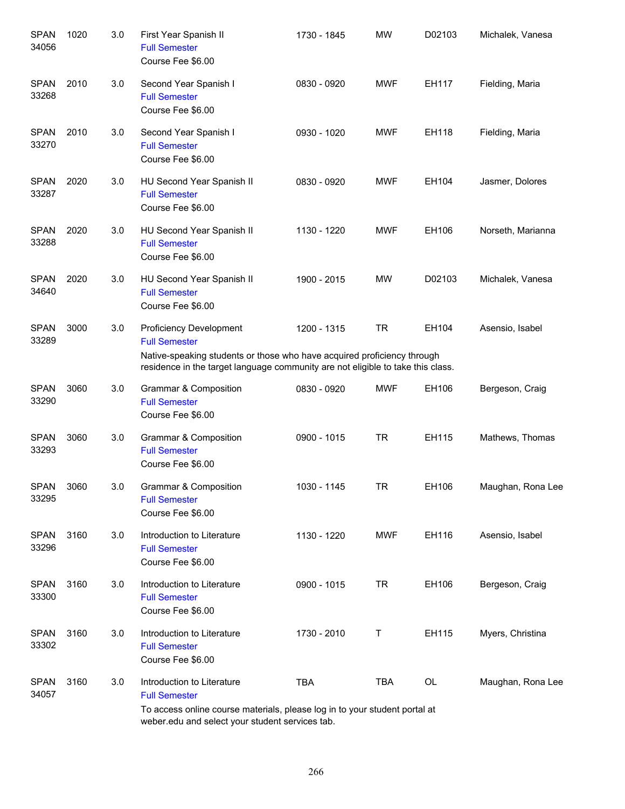| <b>SPAN</b><br>34056 | 1020 | 3.0 | First Year Spanish II<br><b>Full Semester</b><br>Course Fee \$6.00                                                                                                                                                   | 1730 - 1845 | <b>MW</b>  | D02103 | Michalek, Vanesa  |
|----------------------|------|-----|----------------------------------------------------------------------------------------------------------------------------------------------------------------------------------------------------------------------|-------------|------------|--------|-------------------|
| <b>SPAN</b><br>33268 | 2010 | 3.0 | Second Year Spanish I<br><b>Full Semester</b><br>Course Fee \$6.00                                                                                                                                                   | 0830 - 0920 | <b>MWF</b> | EH117  | Fielding, Maria   |
| <b>SPAN</b><br>33270 | 2010 | 3.0 | Second Year Spanish I<br><b>Full Semester</b><br>Course Fee \$6.00                                                                                                                                                   | 0930 - 1020 | <b>MWF</b> | EH118  | Fielding, Maria   |
| <b>SPAN</b><br>33287 | 2020 | 3.0 | HU Second Year Spanish II<br><b>Full Semester</b><br>Course Fee \$6.00                                                                                                                                               | 0830 - 0920 | <b>MWF</b> | EH104  | Jasmer, Dolores   |
| <b>SPAN</b><br>33288 | 2020 | 3.0 | HU Second Year Spanish II<br><b>Full Semester</b><br>Course Fee \$6.00                                                                                                                                               | 1130 - 1220 | <b>MWF</b> | EH106  | Norseth, Marianna |
| <b>SPAN</b><br>34640 | 2020 | 3.0 | HU Second Year Spanish II<br><b>Full Semester</b><br>Course Fee \$6.00                                                                                                                                               | 1900 - 2015 | <b>MW</b>  | D02103 | Michalek, Vanesa  |
| <b>SPAN</b><br>33289 | 3000 | 3.0 | <b>Proficiency Development</b><br><b>Full Semester</b><br>Native-speaking students or those who have acquired proficiency through<br>residence in the target language community are not eligible to take this class. | 1200 - 1315 | TR         | EH104  | Asensio, Isabel   |
| <b>SPAN</b><br>33290 | 3060 | 3.0 | Grammar & Composition<br><b>Full Semester</b><br>Course Fee \$6.00                                                                                                                                                   | 0830 - 0920 | <b>MWF</b> | EH106  | Bergeson, Craig   |
| <b>SPAN</b><br>33293 | 3060 | 3.0 | Grammar & Composition<br><b>Full Semester</b><br>Course Fee \$6.00                                                                                                                                                   | 0900 - 1015 | TR         | EH115  | Mathews, Thomas   |
| <b>SPAN</b><br>33295 | 3060 | 3.0 | Grammar & Composition<br><b>Full Semester</b><br>Course Fee \$6.00                                                                                                                                                   | 1030 - 1145 | TR         | EH106  | Maughan, Rona Lee |
| <b>SPAN</b><br>33296 | 3160 | 3.0 | Introduction to Literature<br><b>Full Semester</b><br>Course Fee \$6.00                                                                                                                                              | 1130 - 1220 | <b>MWF</b> | EH116  | Asensio, Isabel   |
| <b>SPAN</b><br>33300 | 3160 | 3.0 | Introduction to Literature<br><b>Full Semester</b><br>Course Fee \$6.00                                                                                                                                              | 0900 - 1015 | <b>TR</b>  | EH106  | Bergeson, Craig   |
| <b>SPAN</b><br>33302 | 3160 | 3.0 | Introduction to Literature<br><b>Full Semester</b><br>Course Fee \$6.00                                                                                                                                              | 1730 - 2010 | Τ          | EH115  | Myers, Christina  |
| <b>SPAN</b><br>34057 | 3160 | 3.0 | Introduction to Literature<br><b>Full Semester</b><br>To access online course materials, please log in to your student portal at<br>weber.edu and select your student services tab.                                  | <b>TBA</b>  | <b>TBA</b> | OL     | Maughan, Rona Lee |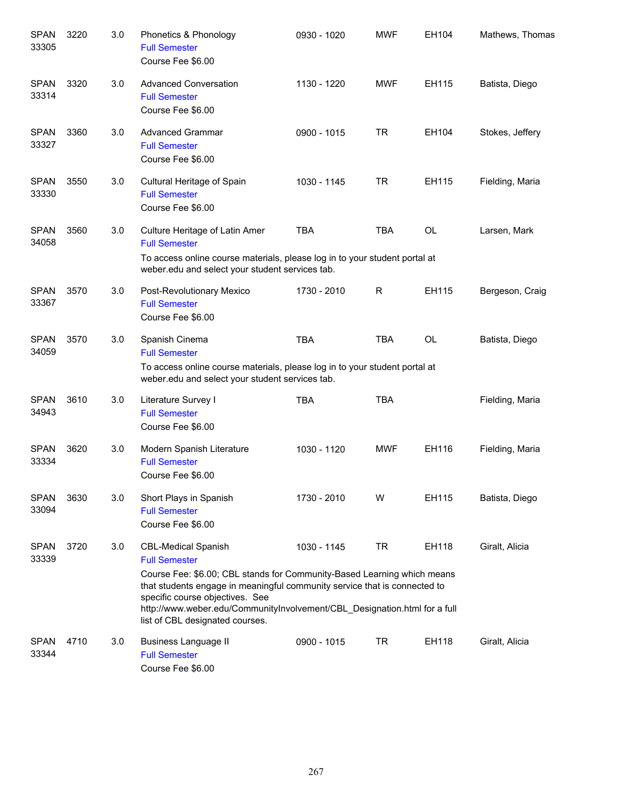| <b>SPAN</b><br>33305 | 3220 | 3.0 | Phonetics & Phonology<br><b>Full Semester</b><br>Course Fee \$6.00                                                                                                                                                                                                                                                                                            | 0930 - 1020 | <b>MWF</b> | EH104     | Mathews, Thomas |
|----------------------|------|-----|---------------------------------------------------------------------------------------------------------------------------------------------------------------------------------------------------------------------------------------------------------------------------------------------------------------------------------------------------------------|-------------|------------|-----------|-----------------|
| <b>SPAN</b><br>33314 | 3320 | 3.0 | <b>Advanced Conversation</b><br><b>Full Semester</b><br>Course Fee \$6.00                                                                                                                                                                                                                                                                                     | 1130 - 1220 | <b>MWF</b> | EH115     | Batista, Diego  |
| <b>SPAN</b><br>33327 | 3360 | 3.0 | <b>Advanced Grammar</b><br><b>Full Semester</b><br>Course Fee \$6.00                                                                                                                                                                                                                                                                                          | 0900 - 1015 | <b>TR</b>  | EH104     | Stokes, Jeffery |
| <b>SPAN</b><br>33330 | 3550 | 3.0 | Cultural Heritage of Spain<br><b>Full Semester</b><br>Course Fee \$6.00                                                                                                                                                                                                                                                                                       | 1030 - 1145 | <b>TR</b>  | EH115     | Fielding, Maria |
| <b>SPAN</b><br>34058 | 3560 | 3.0 | Culture Heritage of Latin Amer<br><b>Full Semester</b><br>To access online course materials, please log in to your student portal at<br>weber.edu and select your student services tab.                                                                                                                                                                       | <b>TBA</b>  | <b>TBA</b> | <b>OL</b> | Larsen, Mark    |
| <b>SPAN</b><br>33367 | 3570 | 3.0 | Post-Revolutionary Mexico<br><b>Full Semester</b><br>Course Fee \$6.00                                                                                                                                                                                                                                                                                        | 1730 - 2010 | R          | EH115     | Bergeson, Craig |
| <b>SPAN</b><br>34059 | 3570 | 3.0 | Spanish Cinema<br><b>Full Semester</b><br>To access online course materials, please log in to your student portal at<br>weber.edu and select your student services tab.                                                                                                                                                                                       | <b>TBA</b>  | <b>TBA</b> | <b>OL</b> | Batista, Diego  |
| <b>SPAN</b><br>34943 | 3610 | 3.0 | Literature Survey I<br><b>Full Semester</b><br>Course Fee \$6.00                                                                                                                                                                                                                                                                                              | <b>TBA</b>  | <b>TBA</b> |           | Fielding, Maria |
| <b>SPAN</b><br>33334 | 3620 | 3.0 | Modern Spanish Literature<br><b>Full Semester</b><br>Course Fee \$6.00                                                                                                                                                                                                                                                                                        | 1030 - 1120 | <b>MWF</b> | EH116     | Fielding, Maria |
| <b>SPAN</b><br>33094 | 3630 | 3.0 | Short Plays in Spanish<br><b>Full Semester</b><br>Course Fee \$6.00                                                                                                                                                                                                                                                                                           | 1730 - 2010 | W          | EH115     | Batista, Diego  |
| <b>SPAN</b><br>33339 | 3720 | 3.0 | <b>CBL-Medical Spanish</b><br><b>Full Semester</b><br>Course Fee: \$6.00; CBL stands for Community-Based Learning which means<br>that students engage in meaningful community service that is connected to<br>specific course objectives. See<br>http://www.weber.edu/CommunityInvolvement/CBL Designation.html for a full<br>list of CBL designated courses. | 1030 - 1145 | <b>TR</b>  | EH118     | Giralt, Alicia  |
| <b>SPAN</b><br>33344 | 4710 | 3.0 | <b>Business Language II</b><br><b>Full Semester</b><br>Course Fee \$6.00                                                                                                                                                                                                                                                                                      | 0900 - 1015 | <b>TR</b>  | EH118     | Giralt, Alicia  |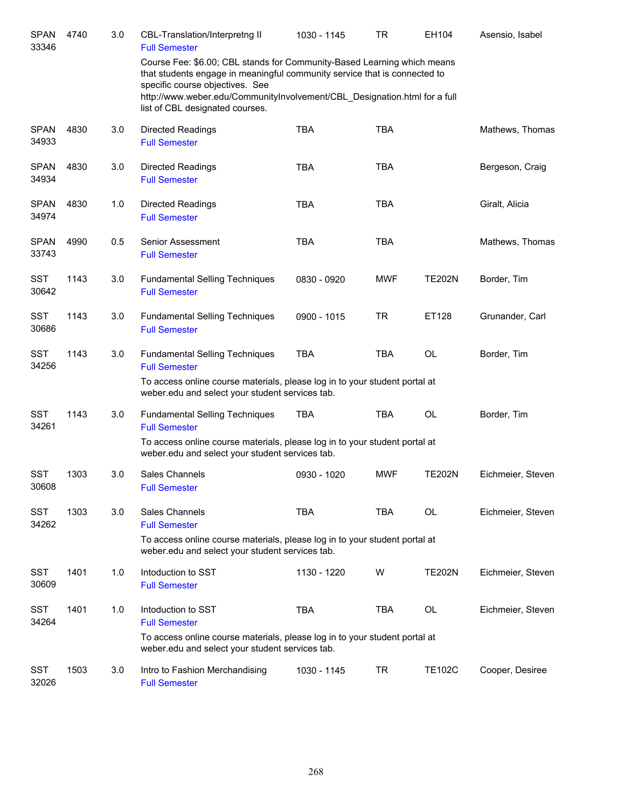| <b>SPAN</b><br>33346 | 4740 | 3.0 | CBL-Translation/Interpretng II<br><b>Full Semester</b>                                                                                                                                  | 1030 - 1145 | <b>TR</b>  | EH104         | Asensio, Isabel   |
|----------------------|------|-----|-----------------------------------------------------------------------------------------------------------------------------------------------------------------------------------------|-------------|------------|---------------|-------------------|
|                      |      |     | Course Fee: \$6.00; CBL stands for Community-Based Learning which means<br>that students engage in meaningful community service that is connected to<br>specific course objectives. See |             |            |               |                   |
|                      |      |     | http://www.weber.edu/CommunityInvolvement/CBL_Designation.html for a full<br>list of CBL designated courses.                                                                            |             |            |               |                   |
| <b>SPAN</b><br>34933 | 4830 | 3.0 | Directed Readings<br><b>Full Semester</b>                                                                                                                                               | <b>TBA</b>  | <b>TBA</b> |               | Mathews, Thomas   |
| <b>SPAN</b><br>34934 | 4830 | 3.0 | <b>Directed Readings</b><br><b>Full Semester</b>                                                                                                                                        | <b>TBA</b>  | <b>TBA</b> |               | Bergeson, Craig   |
| <b>SPAN</b><br>34974 | 4830 | 1.0 | Directed Readings<br><b>Full Semester</b>                                                                                                                                               | <b>TBA</b>  | <b>TBA</b> |               | Giralt, Alicia    |
| <b>SPAN</b><br>33743 | 4990 | 0.5 | Senior Assessment<br><b>Full Semester</b>                                                                                                                                               | <b>TBA</b>  | <b>TBA</b> |               | Mathews, Thomas   |
| <b>SST</b><br>30642  | 1143 | 3.0 | <b>Fundamental Selling Techniques</b><br><b>Full Semester</b>                                                                                                                           | 0830 - 0920 | <b>MWF</b> | <b>TE202N</b> | Border, Tim       |
| <b>SST</b><br>30686  | 1143 | 3.0 | <b>Fundamental Selling Techniques</b><br><b>Full Semester</b>                                                                                                                           | 0900 - 1015 | <b>TR</b>  | ET128         | Grunander, Carl   |
| <b>SST</b><br>34256  | 1143 | 3.0 | <b>Fundamental Selling Techniques</b><br><b>Full Semester</b>                                                                                                                           | <b>TBA</b>  | <b>TBA</b> | <b>OL</b>     | Border, Tim       |
|                      |      |     | To access online course materials, please log in to your student portal at<br>weber.edu and select your student services tab.                                                           |             |            |               |                   |
| <b>SST</b><br>34261  | 1143 | 3.0 | <b>Fundamental Selling Techniques</b><br><b>Full Semester</b>                                                                                                                           | <b>TBA</b>  | <b>TBA</b> | <b>OL</b>     | Border, Tim       |
|                      |      |     | To access online course materials, please log in to your student portal at<br>weber.edu and select your student services tab.                                                           |             |            |               |                   |
| <b>SST</b><br>30608  | 1303 | 3.0 | Sales Channels<br><b>Full Semester</b>                                                                                                                                                  | 0930 - 1020 | <b>MWF</b> | <b>TE202N</b> | Eichmeier, Steven |
| <b>SST</b><br>34262  | 1303 | 3.0 | Sales Channels<br><b>Full Semester</b>                                                                                                                                                  | <b>TBA</b>  | <b>TBA</b> | OL            | Eichmeier, Steven |
|                      |      |     | To access online course materials, please log in to your student portal at<br>weber.edu and select your student services tab.                                                           |             |            |               |                   |
| <b>SST</b><br>30609  | 1401 | 1.0 | Intoduction to SST<br><b>Full Semester</b>                                                                                                                                              | 1130 - 1220 | W          | <b>TE202N</b> | Eichmeier, Steven |
| <b>SST</b><br>34264  | 1401 | 1.0 | Intoduction to SST<br><b>Full Semester</b>                                                                                                                                              | <b>TBA</b>  | <b>TBA</b> | OL            | Eichmeier, Steven |
|                      |      |     | To access online course materials, please log in to your student portal at<br>weber.edu and select your student services tab.                                                           |             |            |               |                   |
| <b>SST</b><br>32026  | 1503 | 3.0 | Intro to Fashion Merchandising<br><b>Full Semester</b>                                                                                                                                  | 1030 - 1145 | <b>TR</b>  | <b>TE102C</b> | Cooper, Desiree   |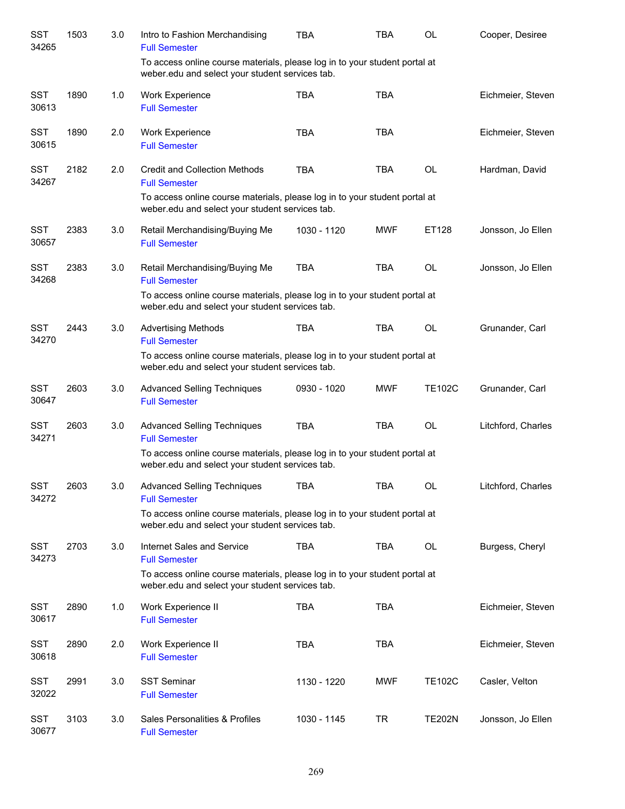| <b>SST</b><br>34265 | 1503 | 3.0 | Intro to Fashion Merchandising<br><b>Full Semester</b>                                                                        | <b>TBA</b>  | <b>TBA</b> | <b>OL</b>     | Cooper, Desiree    |
|---------------------|------|-----|-------------------------------------------------------------------------------------------------------------------------------|-------------|------------|---------------|--------------------|
|                     |      |     | To access online course materials, please log in to your student portal at<br>weber.edu and select your student services tab. |             |            |               |                    |
| <b>SST</b><br>30613 | 1890 | 1.0 | Work Experience<br><b>Full Semester</b>                                                                                       | <b>TBA</b>  | <b>TBA</b> |               | Eichmeier, Steven  |
| <b>SST</b><br>30615 | 1890 | 2.0 | Work Experience<br><b>Full Semester</b>                                                                                       | <b>TBA</b>  | <b>TBA</b> |               | Eichmeier, Steven  |
| <b>SST</b><br>34267 | 2182 | 2.0 | <b>Credit and Collection Methods</b><br><b>Full Semester</b>                                                                  | <b>TBA</b>  | <b>TBA</b> | <b>OL</b>     | Hardman, David     |
|                     |      |     | To access online course materials, please log in to your student portal at<br>weber.edu and select your student services tab. |             |            |               |                    |
| <b>SST</b><br>30657 | 2383 | 3.0 | Retail Merchandising/Buying Me<br><b>Full Semester</b>                                                                        | 1030 - 1120 | <b>MWF</b> | ET128         | Jonsson, Jo Ellen  |
| <b>SST</b><br>34268 | 2383 | 3.0 | Retail Merchandising/Buying Me<br><b>Full Semester</b>                                                                        | <b>TBA</b>  | <b>TBA</b> | <b>OL</b>     | Jonsson, Jo Ellen  |
|                     |      |     | To access online course materials, please log in to your student portal at<br>weber.edu and select your student services tab. |             |            |               |                    |
| <b>SST</b><br>34270 | 2443 | 3.0 | <b>Advertising Methods</b><br><b>Full Semester</b>                                                                            | <b>TBA</b>  | <b>TBA</b> | <b>OL</b>     | Grunander, Carl    |
|                     |      |     | To access online course materials, please log in to your student portal at<br>weber.edu and select your student services tab. |             |            |               |                    |
| <b>SST</b><br>30647 | 2603 | 3.0 | <b>Advanced Selling Techniques</b><br><b>Full Semester</b>                                                                    | 0930 - 1020 | <b>MWF</b> | <b>TE102C</b> | Grunander, Carl    |
| <b>SST</b><br>34271 | 2603 | 3.0 | <b>Advanced Selling Techniques</b><br><b>Full Semester</b>                                                                    | <b>TBA</b>  | <b>TBA</b> | <b>OL</b>     | Litchford, Charles |
|                     |      |     | To access online course materials, please log in to your student portal at<br>weber.edu and select your student services tab. |             |            |               |                    |
| <b>SST</b><br>34272 | 2603 | 3.0 | <b>Advanced Selling Techniques</b><br><b>Full Semester</b>                                                                    | TBA         | TBA        | OL            | Litchford, Charles |
|                     |      |     | To access online course materials, please log in to your student portal at<br>weber.edu and select your student services tab. |             |            |               |                    |
| <b>SST</b><br>34273 | 2703 | 3.0 | Internet Sales and Service<br><b>Full Semester</b>                                                                            | <b>TBA</b>  | <b>TBA</b> | OL            | Burgess, Cheryl    |
|                     |      |     | To access online course materials, please log in to your student portal at<br>weber.edu and select your student services tab. |             |            |               |                    |
| <b>SST</b><br>30617 | 2890 | 1.0 | Work Experience II<br><b>Full Semester</b>                                                                                    | <b>TBA</b>  | <b>TBA</b> |               | Eichmeier, Steven  |
| <b>SST</b><br>30618 | 2890 | 2.0 | Work Experience II<br><b>Full Semester</b>                                                                                    | <b>TBA</b>  | <b>TBA</b> |               | Eichmeier, Steven  |
| <b>SST</b><br>32022 | 2991 | 3.0 | <b>SST Seminar</b><br><b>Full Semester</b>                                                                                    | 1130 - 1220 | <b>MWF</b> | <b>TE102C</b> | Casler, Velton     |
| <b>SST</b><br>30677 | 3103 | 3.0 | Sales Personalities & Profiles<br><b>Full Semester</b>                                                                        | 1030 - 1145 | <b>TR</b>  | <b>TE202N</b> | Jonsson, Jo Ellen  |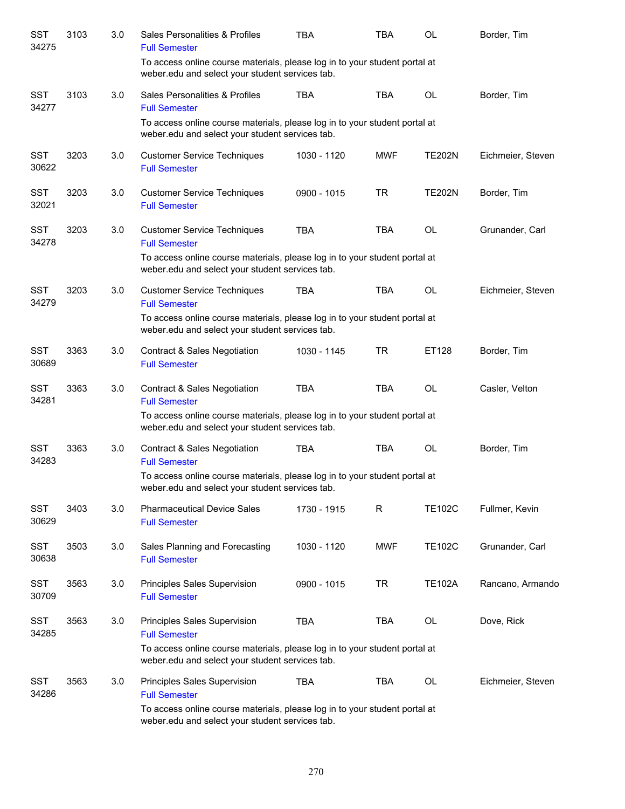| SST<br>34275        | 3103 | 3.0 | Sales Personalities & Profiles<br><b>Full Semester</b>                                                                        | <b>TBA</b>  | <b>TBA</b> | <b>OL</b>     | Border, Tim       |
|---------------------|------|-----|-------------------------------------------------------------------------------------------------------------------------------|-------------|------------|---------------|-------------------|
|                     |      |     | To access online course materials, please log in to your student portal at<br>weber.edu and select your student services tab. |             |            |               |                   |
| <b>SST</b><br>34277 | 3103 | 3.0 | Sales Personalities & Profiles<br><b>Full Semester</b>                                                                        | <b>TBA</b>  | <b>TBA</b> | <b>OL</b>     | Border, Tim       |
|                     |      |     | To access online course materials, please log in to your student portal at<br>weber.edu and select your student services tab. |             |            |               |                   |
| <b>SST</b><br>30622 | 3203 | 3.0 | <b>Customer Service Techniques</b><br><b>Full Semester</b>                                                                    | 1030 - 1120 | <b>MWF</b> | <b>TE202N</b> | Eichmeier, Steven |
| <b>SST</b><br>32021 | 3203 | 3.0 | <b>Customer Service Techniques</b><br><b>Full Semester</b>                                                                    | 0900 - 1015 | <b>TR</b>  | <b>TE202N</b> | Border, Tim       |
| <b>SST</b><br>34278 | 3203 | 3.0 | <b>Customer Service Techniques</b><br><b>Full Semester</b>                                                                    | <b>TBA</b>  | <b>TBA</b> | <b>OL</b>     | Grunander, Carl   |
|                     |      |     | To access online course materials, please log in to your student portal at<br>weber.edu and select your student services tab. |             |            |               |                   |
| <b>SST</b><br>34279 | 3203 | 3.0 | <b>Customer Service Techniques</b><br><b>Full Semester</b>                                                                    | <b>TBA</b>  | <b>TBA</b> | <b>OL</b>     | Eichmeier, Steven |
|                     |      |     | To access online course materials, please log in to your student portal at<br>weber.edu and select your student services tab. |             |            |               |                   |
| <b>SST</b><br>30689 | 3363 | 3.0 | <b>Contract &amp; Sales Negotiation</b><br><b>Full Semester</b>                                                               | 1030 - 1145 | <b>TR</b>  | ET128         | Border, Tim       |
| <b>SST</b><br>34281 | 3363 | 3.0 | <b>Contract &amp; Sales Negotiation</b><br><b>Full Semester</b>                                                               | <b>TBA</b>  | <b>TBA</b> | <b>OL</b>     | Casler, Velton    |
|                     |      |     | To access online course materials, please log in to your student portal at<br>weber.edu and select your student services tab. |             |            |               |                   |
| <b>SST</b><br>34283 | 3363 | 3.0 | <b>Contract &amp; Sales Negotiation</b><br><b>Full Semester</b>                                                               | <b>TBA</b>  | <b>TBA</b> | OL            | Border, Tim       |
|                     |      |     | To access online course materials, please log in to your student portal at<br>weber.edu and select your student services tab. |             |            |               |                   |
| <b>SST</b><br>30629 | 3403 | 3.0 | <b>Pharmaceutical Device Sales</b><br><b>Full Semester</b>                                                                    | 1730 - 1915 | R          | <b>TE102C</b> | Fullmer, Kevin    |
| <b>SST</b><br>30638 | 3503 | 3.0 | Sales Planning and Forecasting<br><b>Full Semester</b>                                                                        | 1030 - 1120 | <b>MWF</b> | <b>TE102C</b> | Grunander, Carl   |
| <b>SST</b><br>30709 | 3563 | 3.0 | Principles Sales Supervision<br><b>Full Semester</b>                                                                          | 0900 - 1015 | <b>TR</b>  | <b>TE102A</b> | Rancano, Armando  |
| <b>SST</b><br>34285 | 3563 | 3.0 | Principles Sales Supervision<br><b>Full Semester</b>                                                                          | <b>TBA</b>  | TBA        | OL            | Dove, Rick        |
|                     |      |     | To access online course materials, please log in to your student portal at<br>weber.edu and select your student services tab. |             |            |               |                   |
| <b>SST</b><br>34286 | 3563 | 3.0 | Principles Sales Supervision<br><b>Full Semester</b>                                                                          | <b>TBA</b>  | <b>TBA</b> | OL            | Eichmeier, Steven |
|                     |      |     | To access online course materials, please log in to your student portal at<br>weber.edu and select your student services tab. |             |            |               |                   |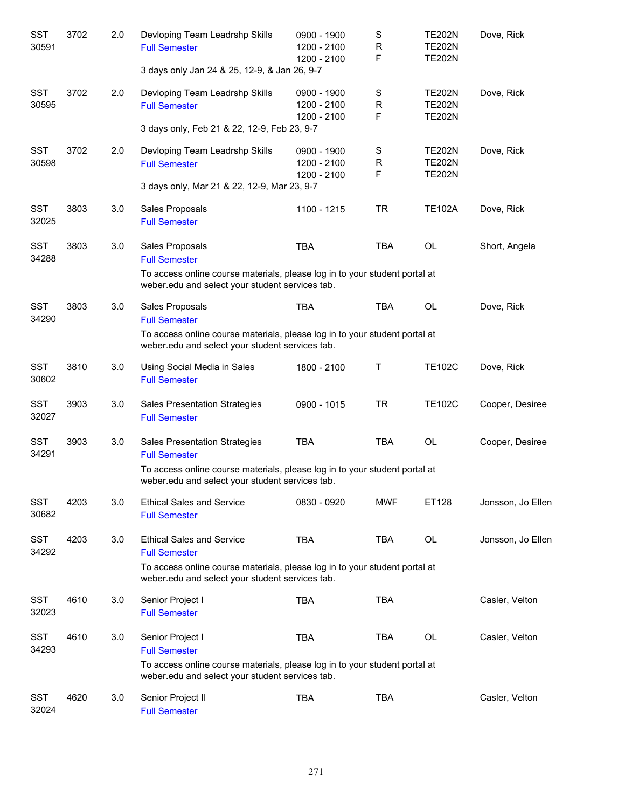| SST<br>30591 | 3702 | 2.0 | Devloping Team Leadrshp Skills<br><b>Full Semester</b>                                                                        | 0900 - 1900<br>1200 - 2100 | $\mathbf S$<br>$\mathsf{R}$ | <b>TE202N</b><br><b>TE202N</b> | Dove, Rick        |
|--------------|------|-----|-------------------------------------------------------------------------------------------------------------------------------|----------------------------|-----------------------------|--------------------------------|-------------------|
|              |      |     |                                                                                                                               | 1200 - 2100                | F                           | <b>TE202N</b>                  |                   |
|              |      |     | 3 days only Jan 24 & 25, 12-9, & Jan 26, 9-7                                                                                  |                            |                             |                                |                   |
| <b>SST</b>   | 3702 | 2.0 | Devloping Team Leadrshp Skills                                                                                                | 0900 - 1900                | S                           | <b>TE202N</b>                  | Dove, Rick        |
| 30595        |      |     | <b>Full Semester</b>                                                                                                          | 1200 - 2100<br>1200 - 2100 | $\mathsf R$<br>F            | <b>TE202N</b><br><b>TE202N</b> |                   |
|              |      |     | 3 days only, Feb 21 & 22, 12-9, Feb 23, 9-7                                                                                   |                            |                             |                                |                   |
| <b>SST</b>   | 3702 | 2.0 | Devloping Team Leadrshp Skills                                                                                                | 0900 - 1900                | S                           | <b>TE202N</b>                  | Dove, Rick        |
| 30598        |      |     | <b>Full Semester</b>                                                                                                          | 1200 - 2100                | $\mathsf{R}$                | <b>TE202N</b>                  |                   |
|              |      |     | 3 days only, Mar 21 & 22, 12-9, Mar 23, 9-7                                                                                   | 1200 - 2100                | F                           | <b>TE202N</b>                  |                   |
| <b>SST</b>   | 3803 | 3.0 | Sales Proposals                                                                                                               | 1100 - 1215                | <b>TR</b>                   | <b>TE102A</b>                  | Dove, Rick        |
| 32025        |      |     | <b>Full Semester</b>                                                                                                          |                            |                             |                                |                   |
| <b>SST</b>   | 3803 | 3.0 | Sales Proposals                                                                                                               | <b>TBA</b>                 | <b>TBA</b>                  | OL                             | Short, Angela     |
| 34288        |      |     | <b>Full Semester</b>                                                                                                          |                            |                             |                                |                   |
|              |      |     | To access online course materials, please log in to your student portal at<br>weber.edu and select your student services tab. |                            |                             |                                |                   |
| <b>SST</b>   | 3803 | 3.0 | Sales Proposals                                                                                                               | <b>TBA</b>                 | <b>TBA</b>                  | <b>OL</b>                      | Dove, Rick        |
| 34290        |      |     | <b>Full Semester</b>                                                                                                          |                            |                             |                                |                   |
|              |      |     | To access online course materials, please log in to your student portal at<br>weber.edu and select your student services tab. |                            |                             |                                |                   |
| <b>SST</b>   | 3810 | 3.0 | Using Social Media in Sales                                                                                                   | 1800 - 2100                | Τ                           | <b>TE102C</b>                  | Dove, Rick        |
| 30602        |      |     | <b>Full Semester</b>                                                                                                          |                            |                             |                                |                   |
| <b>SST</b>   | 3903 | 3.0 | <b>Sales Presentation Strategies</b>                                                                                          | 0900 - 1015                | <b>TR</b>                   | <b>TE102C</b>                  | Cooper, Desiree   |
| 32027        |      |     | <b>Full Semester</b>                                                                                                          |                            |                             |                                |                   |
| <b>SST</b>   | 3903 | 3.0 | <b>Sales Presentation Strategies</b>                                                                                          | <b>TBA</b>                 | <b>TBA</b>                  | <b>OL</b>                      | Cooper, Desiree   |
| 34291        |      |     | <b>Full Semester</b>                                                                                                          |                            |                             |                                |                   |
|              |      |     | To access online course materials, please log in to your student portal at<br>weber.edu and select your student services tab. |                            |                             |                                |                   |
| SST          | 4203 | 3.0 | <b>Ethical Sales and Service</b>                                                                                              | 0830 - 0920                | <b>MWF</b>                  | ET128                          | Jonsson, Jo Ellen |
| 30682        |      |     | <b>Full Semester</b>                                                                                                          |                            |                             |                                |                   |
| SST          | 4203 | 3.0 | <b>Ethical Sales and Service</b>                                                                                              | <b>TBA</b>                 | TBA                         | OL                             | Jonsson, Jo Ellen |
| 34292        |      |     | <b>Full Semester</b>                                                                                                          |                            |                             |                                |                   |
|              |      |     | To access online course materials, please log in to your student portal at<br>weber.edu and select your student services tab. |                            |                             |                                |                   |
| SST          | 4610 | 3.0 | Senior Project I                                                                                                              | <b>TBA</b>                 | <b>TBA</b>                  |                                | Casler, Velton    |
| 32023        |      |     | <b>Full Semester</b>                                                                                                          |                            |                             |                                |                   |
| SST          | 4610 | 3.0 | Senior Project I                                                                                                              | <b>TBA</b>                 | TBA                         | OL                             | Casler, Velton    |
| 34293        |      |     | <b>Full Semester</b>                                                                                                          |                            |                             |                                |                   |
|              |      |     | To access online course materials, please log in to your student portal at<br>weber.edu and select your student services tab. |                            |                             |                                |                   |
| <b>SST</b>   | 4620 | 3.0 | Senior Project II                                                                                                             | <b>TBA</b>                 | TBA                         |                                | Casler, Velton    |
| 32024        |      |     | <b>Full Semester</b>                                                                                                          |                            |                             |                                |                   |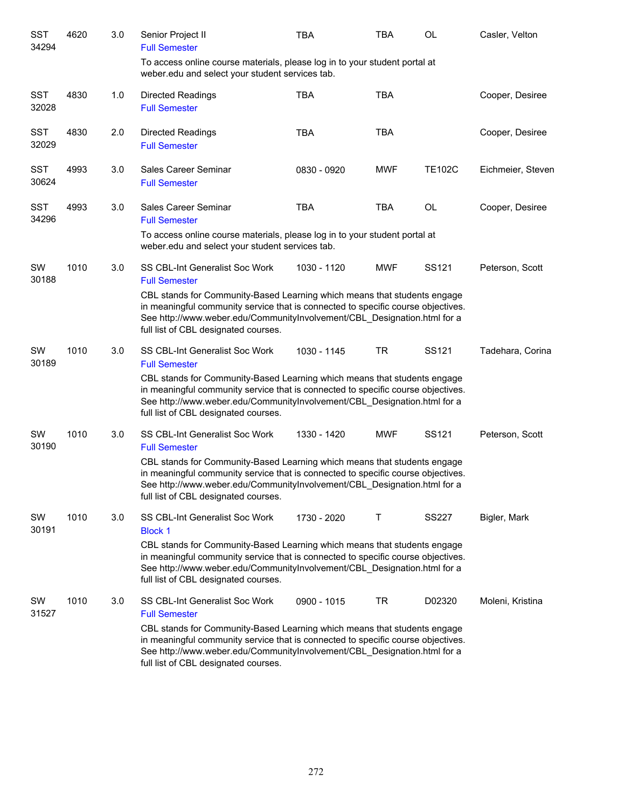| <b>SST</b><br>34294 | 4620 | 3.0 | Senior Project II<br><b>Full Semester</b>                                                                                                                                                                                                                                                                                                         | <b>TBA</b>  | TBA        | <b>OL</b>     | Casler, Velton    |
|---------------------|------|-----|---------------------------------------------------------------------------------------------------------------------------------------------------------------------------------------------------------------------------------------------------------------------------------------------------------------------------------------------------|-------------|------------|---------------|-------------------|
|                     |      |     | To access online course materials, please log in to your student portal at<br>weber.edu and select your student services tab.                                                                                                                                                                                                                     |             |            |               |                   |
| <b>SST</b><br>32028 | 4830 | 1.0 | Directed Readings<br><b>Full Semester</b>                                                                                                                                                                                                                                                                                                         | <b>TBA</b>  | <b>TBA</b> |               | Cooper, Desiree   |
| <b>SST</b><br>32029 | 4830 | 2.0 | <b>Directed Readings</b><br><b>Full Semester</b>                                                                                                                                                                                                                                                                                                  | <b>TBA</b>  | <b>TBA</b> |               | Cooper, Desiree   |
| <b>SST</b><br>30624 | 4993 | 3.0 | Sales Career Seminar<br><b>Full Semester</b>                                                                                                                                                                                                                                                                                                      | 0830 - 0920 | <b>MWF</b> | <b>TE102C</b> | Eichmeier, Steven |
| <b>SST</b><br>34296 | 4993 | 3.0 | Sales Career Seminar<br><b>Full Semester</b>                                                                                                                                                                                                                                                                                                      | <b>TBA</b>  | <b>TBA</b> | <b>OL</b>     | Cooper, Desiree   |
|                     |      |     | To access online course materials, please log in to your student portal at<br>weber.edu and select your student services tab.                                                                                                                                                                                                                     |             |            |               |                   |
| SW<br>30188         | 1010 | 3.0 | <b>SS CBL-Int Generalist Soc Work</b><br><b>Full Semester</b><br>CBL stands for Community-Based Learning which means that students engage<br>in meaningful community service that is connected to specific course objectives.<br>See http://www.weber.edu/CommunityInvolvement/CBL_Designation.html for a<br>full list of CBL designated courses. | 1030 - 1120 | <b>MWF</b> | SS121         | Peterson, Scott   |
| SW<br>30189         | 1010 | 3.0 | SS CBL-Int Generalist Soc Work<br><b>Full Semester</b><br>CBL stands for Community-Based Learning which means that students engage<br>in meaningful community service that is connected to specific course objectives.<br>See http://www.weber.edu/CommunityInvolvement/CBL_Designation.html for a<br>full list of CBL designated courses.        | 1030 - 1145 | <b>TR</b>  | SS121         | Tadehara, Corina  |
| SW<br>30190         | 1010 | 3.0 | <b>SS CBL-Int Generalist Soc Work</b><br><b>Full Semester</b><br>CBL stands for Community-Based Learning which means that students engage<br>in meaningful community service that is connected to specific course objectives.<br>See http://www.weber.edu/CommunityInvolvement/CBL_Designation.html for a<br>full list of CBL designated courses. | 1330 - 1420 | <b>MWF</b> | SS121         | Peterson, Scott   |
| SW<br>30191         | 1010 | 3.0 | <b>SS CBL-Int Generalist Soc Work</b><br><b>Block 1</b><br>CBL stands for Community-Based Learning which means that students engage<br>in meaningful community service that is connected to specific course objectives.<br>See http://www.weber.edu/CommunityInvolvement/CBL_Designation.html for a<br>full list of CBL designated courses.       | 1730 - 2020 | Т          | <b>SS227</b>  | Bigler, Mark      |
| SW<br>31527         | 1010 | 3.0 | <b>SS CBL-Int Generalist Soc Work</b><br><b>Full Semester</b><br>CBL stands for Community-Based Learning which means that students engage<br>in meaningful community service that is connected to specific course objectives.<br>See http://www.weber.edu/CommunityInvolvement/CBL_Designation.html for a<br>full list of CBL designated courses. | 0900 - 1015 | <b>TR</b>  | D02320        | Moleni, Kristina  |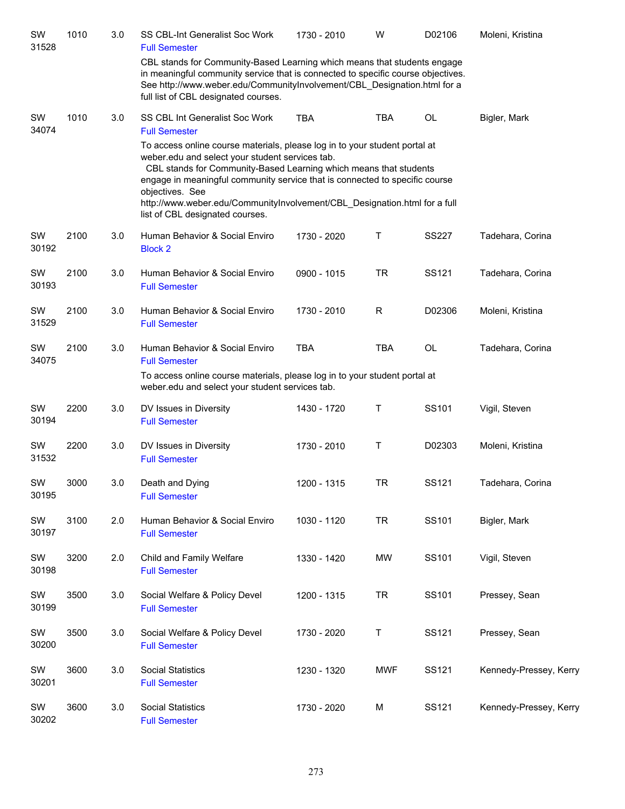| SW<br>31528 | 1010 | 3.0 | SS CBL-Int Generalist Soc Work<br><b>Full Semester</b>                                                                                                                                                                                                                                                                                                                                                               | 1730 - 2010 | W           | D02106       | Moleni, Kristina       |
|-------------|------|-----|----------------------------------------------------------------------------------------------------------------------------------------------------------------------------------------------------------------------------------------------------------------------------------------------------------------------------------------------------------------------------------------------------------------------|-------------|-------------|--------------|------------------------|
|             |      |     | CBL stands for Community-Based Learning which means that students engage<br>in meaningful community service that is connected to specific course objectives.<br>See http://www.weber.edu/CommunityInvolvement/CBL_Designation.html for a<br>full list of CBL designated courses.                                                                                                                                     |             |             |              |                        |
| SW<br>34074 | 1010 | 3.0 | SS CBL Int Generalist Soc Work<br><b>Full Semester</b>                                                                                                                                                                                                                                                                                                                                                               | <b>TBA</b>  | <b>TBA</b>  | OL           | Bigler, Mark           |
|             |      |     | To access online course materials, please log in to your student portal at<br>weber.edu and select your student services tab.<br>CBL stands for Community-Based Learning which means that students<br>engage in meaningful community service that is connected to specific course<br>objectives. See<br>http://www.weber.edu/CommunityInvolvement/CBL_Designation.html for a full<br>list of CBL designated courses. |             |             |              |                        |
| SW<br>30192 | 2100 | 3.0 | Human Behavior & Social Enviro<br><b>Block 2</b>                                                                                                                                                                                                                                                                                                                                                                     | 1730 - 2020 | Τ           | <b>SS227</b> | Tadehara, Corina       |
| SW<br>30193 | 2100 | 3.0 | Human Behavior & Social Enviro<br><b>Full Semester</b>                                                                                                                                                                                                                                                                                                                                                               | 0900 - 1015 | <b>TR</b>   | SS121        | Tadehara, Corina       |
| SW<br>31529 | 2100 | 3.0 | Human Behavior & Social Enviro<br><b>Full Semester</b>                                                                                                                                                                                                                                                                                                                                                               | 1730 - 2010 | $\mathsf R$ | D02306       | Moleni, Kristina       |
| SW<br>34075 | 2100 | 3.0 | Human Behavior & Social Enviro<br><b>Full Semester</b><br>To access online course materials, please log in to your student portal at                                                                                                                                                                                                                                                                                 | <b>TBA</b>  | <b>TBA</b>  | OL           | Tadehara, Corina       |
|             |      |     | weber.edu and select your student services tab.                                                                                                                                                                                                                                                                                                                                                                      |             |             |              |                        |
| SW<br>30194 | 2200 | 3.0 | DV Issues in Diversity<br><b>Full Semester</b>                                                                                                                                                                                                                                                                                                                                                                       | 1430 - 1720 | Τ           | SS101        | Vigil, Steven          |
| SW<br>31532 | 2200 | 3.0 | DV Issues in Diversity<br><b>Full Semester</b>                                                                                                                                                                                                                                                                                                                                                                       | 1730 - 2010 | Τ           | D02303       | Moleni, Kristina       |
| SW<br>30195 | 3000 | 3.0 | Death and Dying<br><b>Full Semester</b>                                                                                                                                                                                                                                                                                                                                                                              | 1200 - 1315 | <b>TR</b>   | SS121        | Tadehara, Corina       |
| SW<br>30197 | 3100 | 2.0 | Human Behavior & Social Enviro<br><b>Full Semester</b>                                                                                                                                                                                                                                                                                                                                                               | 1030 - 1120 | <b>TR</b>   | SS101        | Bigler, Mark           |
| SW<br>30198 | 3200 | 2.0 | Child and Family Welfare<br><b>Full Semester</b>                                                                                                                                                                                                                                                                                                                                                                     | 1330 - 1420 | MW          | SS101        | Vigil, Steven          |
| SW<br>30199 | 3500 | 3.0 | Social Welfare & Policy Devel<br><b>Full Semester</b>                                                                                                                                                                                                                                                                                                                                                                | 1200 - 1315 | <b>TR</b>   | SS101        | Pressey, Sean          |
| SW<br>30200 | 3500 | 3.0 | Social Welfare & Policy Devel<br><b>Full Semester</b>                                                                                                                                                                                                                                                                                                                                                                | 1730 - 2020 | Τ           | SS121        | Pressey, Sean          |
| SW<br>30201 | 3600 | 3.0 | <b>Social Statistics</b><br><b>Full Semester</b>                                                                                                                                                                                                                                                                                                                                                                     | 1230 - 1320 | <b>MWF</b>  | SS121        | Kennedy-Pressey, Kerry |
| SW<br>30202 | 3600 | 3.0 | <b>Social Statistics</b><br><b>Full Semester</b>                                                                                                                                                                                                                                                                                                                                                                     | 1730 - 2020 | M           | SS121        | Kennedy-Pressey, Kerry |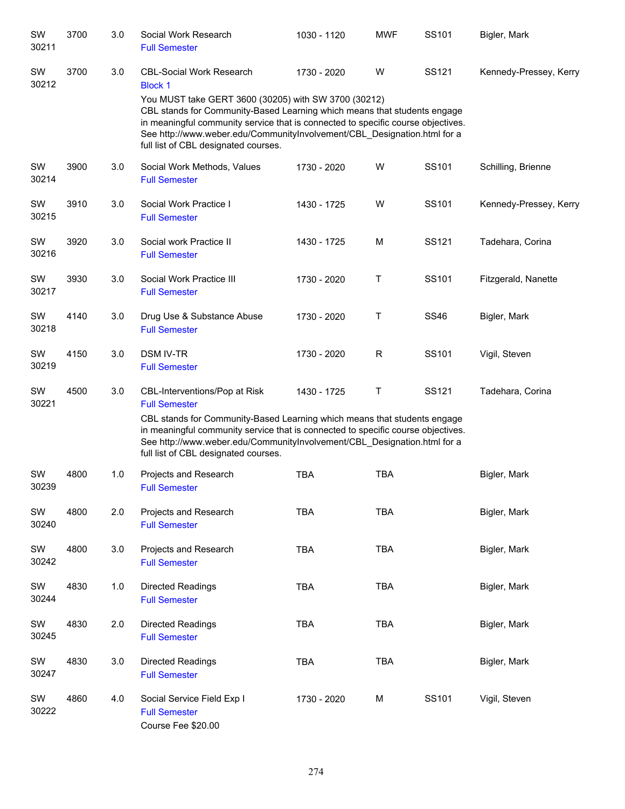| SW<br>30211 | 3700 | 3.0 | Social Work Research<br><b>Full Semester</b>                                                                                                                                                                                                                                                                                              | 1030 - 1120 | <b>MWF</b>   | SS101       | Bigler, Mark           |
|-------------|------|-----|-------------------------------------------------------------------------------------------------------------------------------------------------------------------------------------------------------------------------------------------------------------------------------------------------------------------------------------------|-------------|--------------|-------------|------------------------|
| SW<br>30212 | 3700 | 3.0 | <b>CBL-Social Work Research</b><br><b>Block 1</b>                                                                                                                                                                                                                                                                                         | 1730 - 2020 | W            | SS121       | Kennedy-Pressey, Kerry |
|             |      |     | You MUST take GERT 3600 (30205) with SW 3700 (30212)<br>CBL stands for Community-Based Learning which means that students engage<br>in meaningful community service that is connected to specific course objectives.<br>See http://www.weber.edu/CommunityInvolvement/CBL_Designation.html for a<br>full list of CBL designated courses.  |             |              |             |                        |
| SW<br>30214 | 3900 | 3.0 | Social Work Methods, Values<br><b>Full Semester</b>                                                                                                                                                                                                                                                                                       | 1730 - 2020 | W            | SS101       | Schilling, Brienne     |
| SW<br>30215 | 3910 | 3.0 | Social Work Practice I<br><b>Full Semester</b>                                                                                                                                                                                                                                                                                            | 1430 - 1725 | W            | SS101       | Kennedy-Pressey, Kerry |
| SW<br>30216 | 3920 | 3.0 | Social work Practice II<br><b>Full Semester</b>                                                                                                                                                                                                                                                                                           | 1430 - 1725 | M            | SS121       | Tadehara, Corina       |
| SW<br>30217 | 3930 | 3.0 | Social Work Practice III<br><b>Full Semester</b>                                                                                                                                                                                                                                                                                          | 1730 - 2020 | Τ            | SS101       | Fitzgerald, Nanette    |
| SW<br>30218 | 4140 | 3.0 | Drug Use & Substance Abuse<br><b>Full Semester</b>                                                                                                                                                                                                                                                                                        | 1730 - 2020 | Τ            | <b>SS46</b> | Bigler, Mark           |
| SW<br>30219 | 4150 | 3.0 | <b>DSM IV-TR</b><br><b>Full Semester</b>                                                                                                                                                                                                                                                                                                  | 1730 - 2020 | $\mathsf{R}$ | SS101       | Vigil, Steven          |
| SW<br>30221 | 4500 | 3.0 | CBL-Interventions/Pop at Risk<br><b>Full Semester</b><br>CBL stands for Community-Based Learning which means that students engage<br>in meaningful community service that is connected to specific course objectives.<br>See http://www.weber.edu/CommunityInvolvement/CBL_Designation.html for a<br>full list of CBL designated courses. | 1430 - 1725 | Τ            | SS121       | Tadehara, Corina       |
| SW<br>30239 | 4800 | 1.0 | Projects and Research<br><b>Full Semester</b>                                                                                                                                                                                                                                                                                             | <b>TBA</b>  | <b>TBA</b>   |             | Bigler, Mark           |
| SW<br>30240 | 4800 | 2.0 | Projects and Research<br><b>Full Semester</b>                                                                                                                                                                                                                                                                                             | TBA         | <b>TBA</b>   |             | Bigler, Mark           |
| SW<br>30242 | 4800 | 3.0 | Projects and Research<br><b>Full Semester</b>                                                                                                                                                                                                                                                                                             | TBA         | <b>TBA</b>   |             | Bigler, Mark           |
| SW<br>30244 | 4830 | 1.0 | <b>Directed Readings</b><br><b>Full Semester</b>                                                                                                                                                                                                                                                                                          | TBA         | <b>TBA</b>   |             | Bigler, Mark           |
| SW<br>30245 | 4830 | 2.0 | Directed Readings<br><b>Full Semester</b>                                                                                                                                                                                                                                                                                                 | TBA         | <b>TBA</b>   |             | Bigler, Mark           |
| SW<br>30247 | 4830 | 3.0 | Directed Readings<br><b>Full Semester</b>                                                                                                                                                                                                                                                                                                 | TBA         | <b>TBA</b>   |             | Bigler, Mark           |
| SW<br>30222 | 4860 | 4.0 | Social Service Field Exp I<br><b>Full Semester</b><br>Course Fee \$20.00                                                                                                                                                                                                                                                                  | 1730 - 2020 | M            | SS101       | Vigil, Steven          |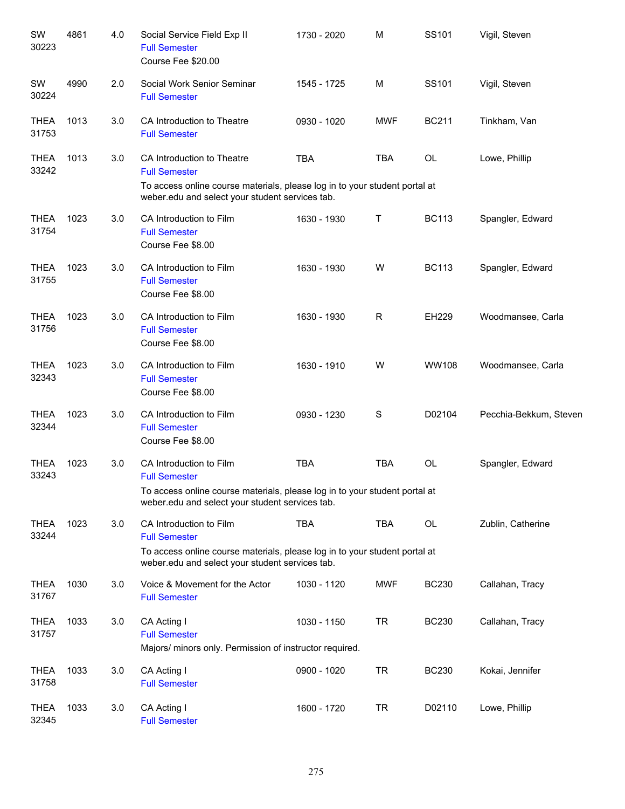| SW<br>30223          | 4861 | 4.0 | Social Service Field Exp II<br><b>Full Semester</b><br>Course Fee \$20.00                                                                                                           | 1730 - 2020 | M           | SS101        | Vigil, Steven          |
|----------------------|------|-----|-------------------------------------------------------------------------------------------------------------------------------------------------------------------------------------|-------------|-------------|--------------|------------------------|
| SW<br>30224          | 4990 | 2.0 | Social Work Senior Seminar<br><b>Full Semester</b>                                                                                                                                  | 1545 - 1725 | M           | SS101        | Vigil, Steven          |
| <b>THEA</b><br>31753 | 1013 | 3.0 | CA Introduction to Theatre<br><b>Full Semester</b>                                                                                                                                  | 0930 - 1020 | <b>MWF</b>  | <b>BC211</b> | Tinkham, Van           |
| <b>THEA</b><br>33242 | 1013 | 3.0 | CA Introduction to Theatre<br><b>Full Semester</b><br>To access online course materials, please log in to your student portal at<br>weber.edu and select your student services tab. | <b>TBA</b>  | <b>TBA</b>  | OL           | Lowe, Phillip          |
| <b>THEA</b><br>31754 | 1023 | 3.0 | CA Introduction to Film<br><b>Full Semester</b><br>Course Fee \$8.00                                                                                                                | 1630 - 1930 | т           | <b>BC113</b> | Spangler, Edward       |
| <b>THEA</b><br>31755 | 1023 | 3.0 | CA Introduction to Film<br><b>Full Semester</b><br>Course Fee \$8.00                                                                                                                | 1630 - 1930 | W           | <b>BC113</b> | Spangler, Edward       |
| <b>THEA</b><br>31756 | 1023 | 3.0 | CA Introduction to Film<br><b>Full Semester</b><br>Course Fee \$8.00                                                                                                                | 1630 - 1930 | R           | <b>EH229</b> | Woodmansee, Carla      |
| <b>THEA</b><br>32343 | 1023 | 3.0 | CA Introduction to Film<br><b>Full Semester</b><br>Course Fee \$8.00                                                                                                                | 1630 - 1910 | W           | WW108        | Woodmansee, Carla      |
| <b>THEA</b><br>32344 | 1023 | 3.0 | CA Introduction to Film<br><b>Full Semester</b><br>Course Fee \$8.00                                                                                                                | 0930 - 1230 | $\mathbf S$ | D02104       | Pecchia-Bekkum, Steven |
| <b>THEA</b><br>33243 | 1023 | 3.0 | CA Introduction to Film<br><b>Full Semester</b><br>To access online course materials, please log in to your student portal at<br>weber.edu and select your student services tab.    | <b>TBA</b>  | <b>TBA</b>  | <b>OL</b>    | Spangler, Edward       |
| <b>THEA</b><br>33244 | 1023 | 3.0 | CA Introduction to Film<br><b>Full Semester</b><br>To access online course materials, please log in to your student portal at<br>weber.edu and select your student services tab.    | <b>TBA</b>  | TBA         | OL           | Zublin, Catherine      |
| <b>THEA</b><br>31767 | 1030 | 3.0 | Voice & Movement for the Actor<br><b>Full Semester</b>                                                                                                                              | 1030 - 1120 | <b>MWF</b>  | <b>BC230</b> | Callahan, Tracy        |
| <b>THEA</b><br>31757 | 1033 | 3.0 | CA Acting I<br><b>Full Semester</b><br>Majors/ minors only. Permission of instructor required.                                                                                      | 1030 - 1150 | <b>TR</b>   | <b>BC230</b> | Callahan, Tracy        |
| <b>THEA</b><br>31758 | 1033 | 3.0 | CA Acting I<br><b>Full Semester</b>                                                                                                                                                 | 0900 - 1020 | <b>TR</b>   | <b>BC230</b> | Kokai, Jennifer        |
| <b>THEA</b><br>32345 | 1033 | 3.0 | CA Acting I<br><b>Full Semester</b>                                                                                                                                                 | 1600 - 1720 | <b>TR</b>   | D02110       | Lowe, Phillip          |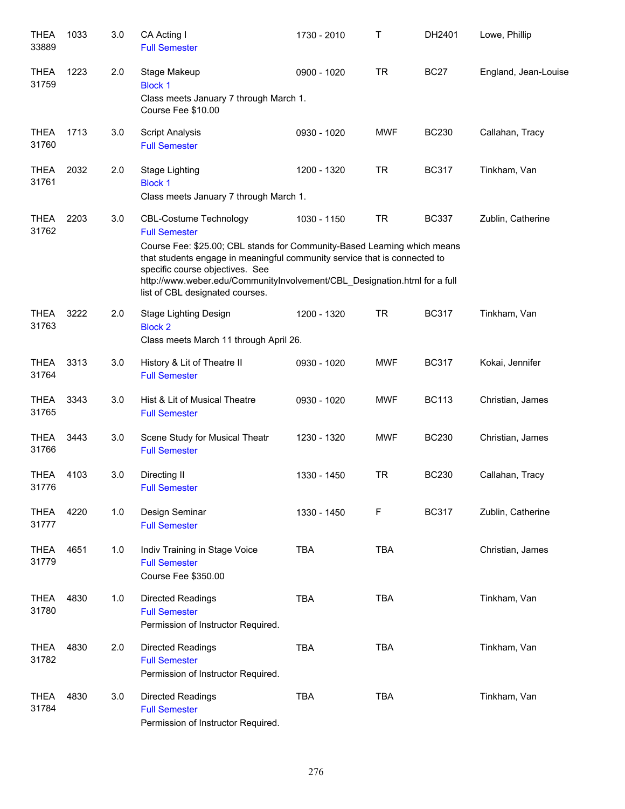| <b>THEA</b><br>33889 | 1033 | 3.0 | CA Acting I<br><b>Full Semester</b>                                                                                                                                                                                                                                                                      | 1730 - 2010 | Τ          | DH2401       | Lowe, Phillip        |
|----------------------|------|-----|----------------------------------------------------------------------------------------------------------------------------------------------------------------------------------------------------------------------------------------------------------------------------------------------------------|-------------|------------|--------------|----------------------|
| <b>THEA</b><br>31759 | 1223 | 2.0 | Stage Makeup<br><b>Block 1</b><br>Class meets January 7 through March 1.<br>Course Fee \$10.00                                                                                                                                                                                                           | 0900 - 1020 | <b>TR</b>  | <b>BC27</b>  | England, Jean-Louise |
| <b>THEA</b><br>31760 | 1713 | 3.0 | <b>Script Analysis</b><br><b>Full Semester</b>                                                                                                                                                                                                                                                           | 0930 - 1020 | <b>MWF</b> | <b>BC230</b> | Callahan, Tracy      |
| <b>THEA</b><br>31761 | 2032 | 2.0 | <b>Stage Lighting</b><br><b>Block 1</b><br>Class meets January 7 through March 1.                                                                                                                                                                                                                        | 1200 - 1320 | <b>TR</b>  | <b>BC317</b> | Tinkham, Van         |
| <b>THEA</b><br>31762 | 2203 | 3.0 | CBL-Costume Technology<br><b>Full Semester</b>                                                                                                                                                                                                                                                           | 1030 - 1150 | <b>TR</b>  | <b>BC337</b> | Zublin, Catherine    |
|                      |      |     | Course Fee: \$25.00; CBL stands for Community-Based Learning which means<br>that students engage in meaningful community service that is connected to<br>specific course objectives. See<br>http://www.weber.edu/CommunityInvolvement/CBL_Designation.html for a full<br>list of CBL designated courses. |             |            |              |                      |
| <b>THEA</b><br>31763 | 3222 | 2.0 | Stage Lighting Design<br><b>Block 2</b><br>Class meets March 11 through April 26.                                                                                                                                                                                                                        | 1200 - 1320 | <b>TR</b>  | <b>BC317</b> | Tinkham, Van         |
| <b>THEA</b><br>31764 | 3313 | 3.0 | History & Lit of Theatre II<br><b>Full Semester</b>                                                                                                                                                                                                                                                      | 0930 - 1020 | <b>MWF</b> | <b>BC317</b> | Kokai, Jennifer      |
| <b>THEA</b><br>31765 | 3343 | 3.0 | Hist & Lit of Musical Theatre<br><b>Full Semester</b>                                                                                                                                                                                                                                                    | 0930 - 1020 | <b>MWF</b> | <b>BC113</b> | Christian, James     |
| <b>THEA</b><br>31766 | 3443 | 3.0 | Scene Study for Musical Theatr<br><b>Full Semester</b>                                                                                                                                                                                                                                                   | 1230 - 1320 | <b>MWF</b> | <b>BC230</b> | Christian, James     |
| <b>THEA</b><br>31776 | 4103 | 3.0 | Directing II<br><b>Full Semester</b>                                                                                                                                                                                                                                                                     | 1330 - 1450 | <b>TR</b>  | <b>BC230</b> | Callahan, Tracy      |
| <b>THEA</b><br>31777 | 4220 | 1.0 | Design Seminar<br><b>Full Semester</b>                                                                                                                                                                                                                                                                   | 1330 - 1450 | F          | <b>BC317</b> | Zublin, Catherine    |
| <b>THEA</b><br>31779 | 4651 | 1.0 | Indiv Training in Stage Voice<br><b>Full Semester</b><br>Course Fee \$350.00                                                                                                                                                                                                                             | <b>TBA</b>  | <b>TBA</b> |              | Christian, James     |
| <b>THEA</b><br>31780 | 4830 | 1.0 | <b>Directed Readings</b><br><b>Full Semester</b><br>Permission of Instructor Required.                                                                                                                                                                                                                   | <b>TBA</b>  | <b>TBA</b> |              | Tinkham, Van         |
| <b>THEA</b><br>31782 | 4830 | 2.0 | <b>Directed Readings</b><br><b>Full Semester</b><br>Permission of Instructor Required.                                                                                                                                                                                                                   | <b>TBA</b>  | <b>TBA</b> |              | Tinkham, Van         |
| <b>THEA</b><br>31784 | 4830 | 3.0 | <b>Directed Readings</b><br><b>Full Semester</b><br>Permission of Instructor Required.                                                                                                                                                                                                                   | <b>TBA</b>  | <b>TBA</b> |              | Tinkham, Van         |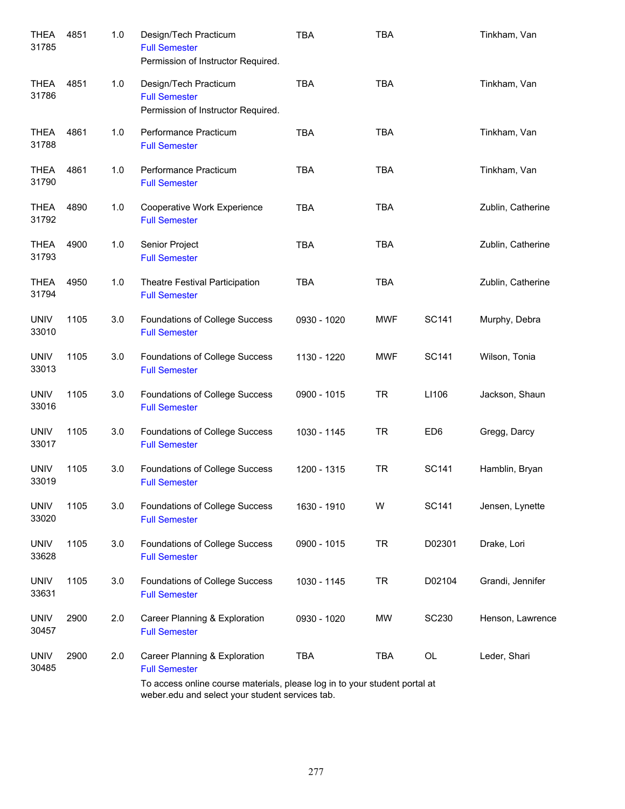| <b>THEA</b><br>31785 | 4851 | 1.0 | Design/Tech Practicum<br><b>Full Semester</b><br>Permission of Instructor Required.                                           | <b>TBA</b>  | <b>TBA</b> |                 | Tinkham, Van      |
|----------------------|------|-----|-------------------------------------------------------------------------------------------------------------------------------|-------------|------------|-----------------|-------------------|
| <b>THEA</b><br>31786 | 4851 | 1.0 | Design/Tech Practicum<br><b>Full Semester</b><br>Permission of Instructor Required.                                           | <b>TBA</b>  | <b>TBA</b> |                 | Tinkham, Van      |
| <b>THEA</b><br>31788 | 4861 | 1.0 | Performance Practicum<br><b>Full Semester</b>                                                                                 | <b>TBA</b>  | <b>TBA</b> |                 | Tinkham, Van      |
| <b>THEA</b><br>31790 | 4861 | 1.0 | Performance Practicum<br><b>Full Semester</b>                                                                                 | <b>TBA</b>  | <b>TBA</b> |                 | Tinkham, Van      |
| <b>THEA</b><br>31792 | 4890 | 1.0 | Cooperative Work Experience<br><b>Full Semester</b>                                                                           | <b>TBA</b>  | <b>TBA</b> |                 | Zublin, Catherine |
| <b>THEA</b><br>31793 | 4900 | 1.0 | Senior Project<br><b>Full Semester</b>                                                                                        | <b>TBA</b>  | <b>TBA</b> |                 | Zublin, Catherine |
| <b>THEA</b><br>31794 | 4950 | 1.0 | <b>Theatre Festival Participation</b><br><b>Full Semester</b>                                                                 | <b>TBA</b>  | <b>TBA</b> |                 | Zublin, Catherine |
| <b>UNIV</b><br>33010 | 1105 | 3.0 | Foundations of College Success<br><b>Full Semester</b>                                                                        | 0930 - 1020 | <b>MWF</b> | SC141           | Murphy, Debra     |
| <b>UNIV</b><br>33013 | 1105 | 3.0 | Foundations of College Success<br><b>Full Semester</b>                                                                        | 1130 - 1220 | <b>MWF</b> | SC141           | Wilson, Tonia     |
| <b>UNIV</b><br>33016 | 1105 | 3.0 | Foundations of College Success<br><b>Full Semester</b>                                                                        | 0900 - 1015 | <b>TR</b>  | LI106           | Jackson, Shaun    |
| <b>UNIV</b><br>33017 | 1105 | 3.0 | Foundations of College Success<br><b>Full Semester</b>                                                                        | 1030 - 1145 | <b>TR</b>  | ED <sub>6</sub> | Gregg, Darcy      |
| <b>UNIV</b><br>33019 | 1105 | 3.0 | Foundations of College Success<br><b>Full Semester</b>                                                                        | 1200 - 1315 | <b>TR</b>  | <b>SC141</b>    | Hamblin, Bryan    |
| <b>UNIV</b><br>33020 | 1105 | 3.0 | Foundations of College Success<br><b>Full Semester</b>                                                                        | 1630 - 1910 | W          | SC141           | Jensen, Lynette   |
| <b>UNIV</b><br>33628 | 1105 | 3.0 | Foundations of College Success<br><b>Full Semester</b>                                                                        | 0900 - 1015 | <b>TR</b>  | D02301          | Drake, Lori       |
| <b>UNIV</b><br>33631 | 1105 | 3.0 | Foundations of College Success<br><b>Full Semester</b>                                                                        | 1030 - 1145 | <b>TR</b>  | D02104          | Grandi, Jennifer  |
| <b>UNIV</b><br>30457 | 2900 | 2.0 | Career Planning & Exploration<br><b>Full Semester</b>                                                                         | 0930 - 1020 | MW         | <b>SC230</b>    | Henson, Lawrence  |
| <b>UNIV</b><br>30485 | 2900 | 2.0 | Career Planning & Exploration<br><b>Full Semester</b>                                                                         | <b>TBA</b>  | <b>TBA</b> | <b>OL</b>       | Leder, Shari      |
|                      |      |     | To access online course materials, please log in to your student portal at<br>weber.edu and select your student services tab. |             |            |                 |                   |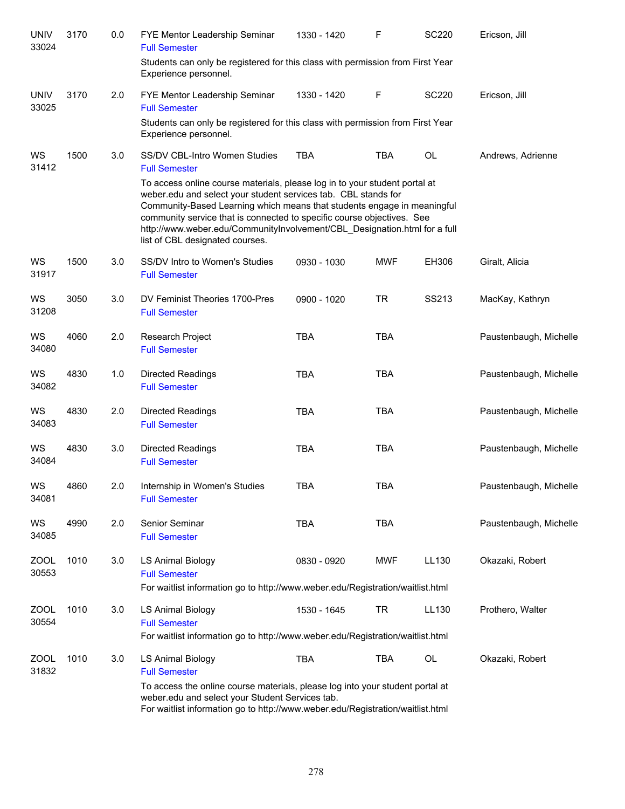| <b>UNIV</b><br>33024 | 3170 | 0.0 | FYE Mentor Leadership Seminar<br><b>Full Semester</b>                                                                                                                                                                                                                                                                                                                                                             | 1330 - 1420 | $\mathsf F$ | <b>SC220</b> | Ericson, Jill          |
|----------------------|------|-----|-------------------------------------------------------------------------------------------------------------------------------------------------------------------------------------------------------------------------------------------------------------------------------------------------------------------------------------------------------------------------------------------------------------------|-------------|-------------|--------------|------------------------|
|                      |      |     | Students can only be registered for this class with permission from First Year<br>Experience personnel.                                                                                                                                                                                                                                                                                                           |             |             |              |                        |
| <b>UNIV</b><br>33025 | 3170 | 2.0 | FYE Mentor Leadership Seminar<br><b>Full Semester</b>                                                                                                                                                                                                                                                                                                                                                             | 1330 - 1420 | F           | <b>SC220</b> | Ericson, Jill          |
|                      |      |     | Students can only be registered for this class with permission from First Year<br>Experience personnel.                                                                                                                                                                                                                                                                                                           |             |             |              |                        |
| WS<br>31412          | 1500 | 3.0 | <b>SS/DV CBL-Intro Women Studies</b><br><b>Full Semester</b>                                                                                                                                                                                                                                                                                                                                                      | <b>TBA</b>  | <b>TBA</b>  | OL           | Andrews, Adrienne      |
|                      |      |     | To access online course materials, please log in to your student portal at<br>weber.edu and select your student services tab. CBL stands for<br>Community-Based Learning which means that students engage in meaningful<br>community service that is connected to specific course objectives. See<br>http://www.weber.edu/CommunityInvolvement/CBL_Designation.html for a full<br>list of CBL designated courses. |             |             |              |                        |
| WS<br>31917          | 1500 | 3.0 | SS/DV Intro to Women's Studies<br><b>Full Semester</b>                                                                                                                                                                                                                                                                                                                                                            | 0930 - 1030 | <b>MWF</b>  | EH306        | Giralt, Alicia         |
| WS<br>31208          | 3050 | 3.0 | DV Feminist Theories 1700-Pres<br><b>Full Semester</b>                                                                                                                                                                                                                                                                                                                                                            | 0900 - 1020 | <b>TR</b>   | SS213        | MacKay, Kathryn        |
| WS<br>34080          | 4060 | 2.0 | Research Project<br><b>Full Semester</b>                                                                                                                                                                                                                                                                                                                                                                          | <b>TBA</b>  | <b>TBA</b>  |              | Paustenbaugh, Michelle |
| WS<br>34082          | 4830 | 1.0 | <b>Directed Readings</b><br><b>Full Semester</b>                                                                                                                                                                                                                                                                                                                                                                  | <b>TBA</b>  | <b>TBA</b>  |              | Paustenbaugh, Michelle |
| WS<br>34083          | 4830 | 2.0 | <b>Directed Readings</b><br><b>Full Semester</b>                                                                                                                                                                                                                                                                                                                                                                  | <b>TBA</b>  | <b>TBA</b>  |              | Paustenbaugh, Michelle |
| WS<br>34084          | 4830 | 3.0 | <b>Directed Readings</b><br><b>Full Semester</b>                                                                                                                                                                                                                                                                                                                                                                  | <b>TBA</b>  | <b>TBA</b>  |              | Paustenbaugh, Michelle |
| WS<br>34081          | 4860 | 2.0 | Internship in Women's Studies<br><b>Full Semester</b>                                                                                                                                                                                                                                                                                                                                                             | TBA         | <b>TBA</b>  |              | Paustenbaugh, Michelle |
| WS<br>34085          | 4990 | 2.0 | Senior Seminar<br><b>Full Semester</b>                                                                                                                                                                                                                                                                                                                                                                            | <b>TBA</b>  | <b>TBA</b>  |              | Paustenbaugh, Michelle |
| ZOOL<br>30553        | 1010 | 3.0 | <b>LS Animal Biology</b><br><b>Full Semester</b><br>For waitlist information go to http://www.weber.edu/Registration/waitlist.html                                                                                                                                                                                                                                                                                | 0830 - 0920 | <b>MWF</b>  | LL130        | Okazaki, Robert        |
| ZOOL<br>30554        | 1010 | 3.0 | <b>LS Animal Biology</b><br><b>Full Semester</b><br>For waitlist information go to http://www.weber.edu/Registration/waitlist.html                                                                                                                                                                                                                                                                                | 1530 - 1645 | TR          | LL130        | Prothero, Walter       |
| ZOOL<br>31832        | 1010 | 3.0 | <b>LS Animal Biology</b><br><b>Full Semester</b><br>To access the online course materials, please log into your student portal at                                                                                                                                                                                                                                                                                 | <b>TBA</b>  | TBA         | OL           | Okazaki, Robert        |
|                      |      |     | weber.edu and select your Student Services tab.<br>For waitlist information go to http://www.weber.edu/Registration/waitlist.html                                                                                                                                                                                                                                                                                 |             |             |              |                        |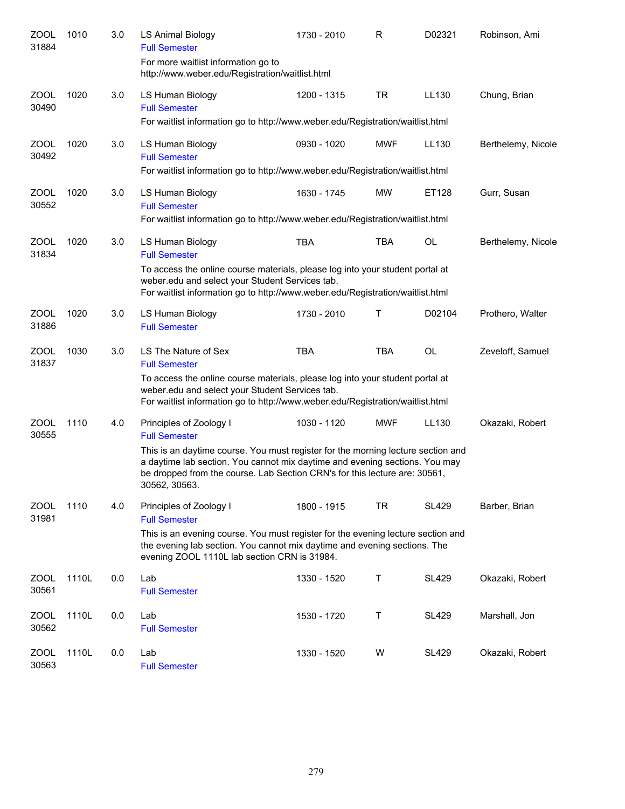| ZOOL<br>31884        | 1010  | 3.0 | <b>LS Animal Biology</b><br><b>Full Semester</b><br>For more waitlist information go to<br>http://www.weber.edu/Registration/waitlist.html                                                                                                                                                                        | 1730 - 2010 | R          | D02321       | Robinson, Ami      |
|----------------------|-------|-----|-------------------------------------------------------------------------------------------------------------------------------------------------------------------------------------------------------------------------------------------------------------------------------------------------------------------|-------------|------------|--------------|--------------------|
| ZOOL<br>30490        | 1020  | 3.0 | LS Human Biology<br><b>Full Semester</b><br>For waitlist information go to http://www.weber.edu/Registration/waitlist.html                                                                                                                                                                                        | 1200 - 1315 | <b>TR</b>  | LL130        | Chung, Brian       |
| <b>ZOOL</b><br>30492 | 1020  | 3.0 | LS Human Biology<br><b>Full Semester</b><br>For waitlist information go to http://www.weber.edu/Registration/waitlist.html                                                                                                                                                                                        | 0930 - 1020 | <b>MWF</b> | LL130        | Berthelemy, Nicole |
| ZOOL<br>30552        | 1020  | 3.0 | LS Human Biology<br><b>Full Semester</b><br>For waitlist information go to http://www.weber.edu/Registration/waitlist.html                                                                                                                                                                                        | 1630 - 1745 | <b>MW</b>  | ET128        | Gurr, Susan        |
| ZOOL<br>31834        | 1020  | 3.0 | LS Human Biology<br><b>Full Semester</b><br>To access the online course materials, please log into your student portal at<br>weber.edu and select your Student Services tab.<br>For waitlist information go to http://www.weber.edu/Registration/waitlist.html                                                    | <b>TBA</b>  | <b>TBA</b> | OL           | Berthelemy, Nicole |
| <b>ZOOL</b><br>31886 | 1020  | 3.0 | LS Human Biology<br><b>Full Semester</b>                                                                                                                                                                                                                                                                          | 1730 - 2010 | Τ          | D02104       | Prothero, Walter   |
| <b>ZOOL</b><br>31837 | 1030  | 3.0 | LS The Nature of Sex<br><b>Full Semester</b><br>To access the online course materials, please log into your student portal at<br>weber.edu and select your Student Services tab.<br>For waitlist information go to http://www.weber.edu/Registration/waitlist.html                                                | <b>TBA</b>  | <b>TBA</b> | <b>OL</b>    | Zeveloff, Samuel   |
| ZOOL<br>30555        | 1110  | 4.0 | Principles of Zoology I<br><b>Full Semester</b><br>This is an daytime course. You must register for the morning lecture section and<br>a daytime lab section. You cannot mix daytime and evening sections. You may<br>be dropped from the course. Lab Section CRN's for this lecture are: 30561,<br>30562, 30563. | 1030 - 1120 | <b>MWF</b> | LL130        | Okazaki, Robert    |
| <b>ZOOL</b><br>31981 | 1110  | 4.0 | Principles of Zoology I<br><b>Full Semester</b><br>This is an evening course. You must register for the evening lecture section and<br>the evening lab section. You cannot mix daytime and evening sections. The<br>evening ZOOL 1110L lab section CRN is 31984.                                                  | 1800 - 1915 | TR         | <b>SL429</b> | Barber, Brian      |
| <b>ZOOL</b><br>30561 | 1110L | 0.0 | Lab<br><b>Full Semester</b>                                                                                                                                                                                                                                                                                       | 1330 - 1520 | Τ          | <b>SL429</b> | Okazaki, Robert    |
| ZOOL<br>30562        | 1110L | 0.0 | Lab<br><b>Full Semester</b>                                                                                                                                                                                                                                                                                       | 1530 - 1720 | Τ          | <b>SL429</b> | Marshall, Jon      |
| <b>ZOOL</b><br>30563 | 1110L | 0.0 | Lab<br><b>Full Semester</b>                                                                                                                                                                                                                                                                                       | 1330 - 1520 | W          | <b>SL429</b> | Okazaki, Robert    |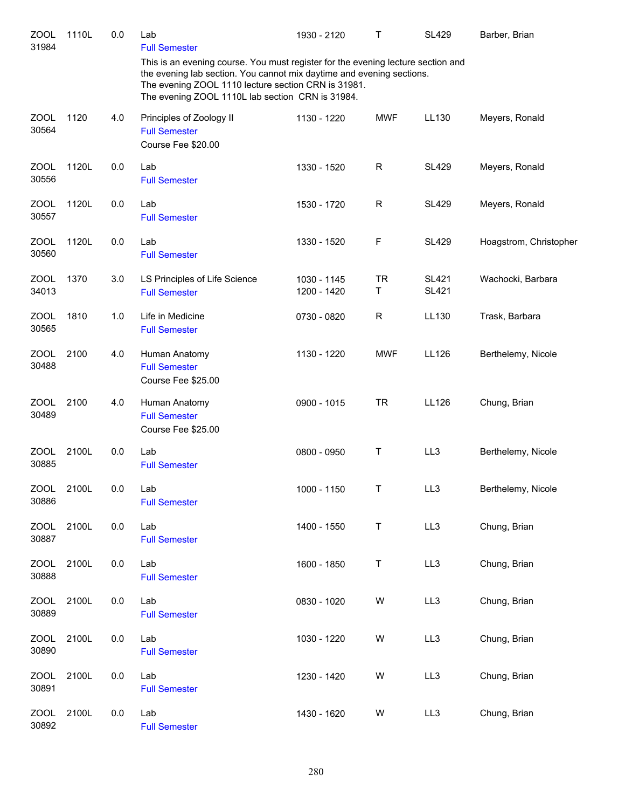| <b>ZOOL</b><br>31984 | 1110L | 0.0 | Lab<br><b>Full Semester</b>                                                                                                                                                                                                                                          | 1930 - 2120                | $\mathsf{T}$   | <b>SL429</b>                 | Barber, Brian          |
|----------------------|-------|-----|----------------------------------------------------------------------------------------------------------------------------------------------------------------------------------------------------------------------------------------------------------------------|----------------------------|----------------|------------------------------|------------------------|
|                      |       |     | This is an evening course. You must register for the evening lecture section and<br>the evening lab section. You cannot mix daytime and evening sections.<br>The evening ZOOL 1110 lecture section CRN is 31981.<br>The evening ZOOL 1110L lab section CRN is 31984. |                            |                |                              |                        |
| ZOOL<br>30564        | 1120  | 4.0 | Principles of Zoology II<br><b>Full Semester</b><br>Course Fee \$20.00                                                                                                                                                                                               | 1130 - 1220                | <b>MWF</b>     | LL130                        | Meyers, Ronald         |
| ZOOL<br>30556        | 1120L | 0.0 | Lab<br><b>Full Semester</b>                                                                                                                                                                                                                                          | 1330 - 1520                | $\mathsf{R}$   | <b>SL429</b>                 | Meyers, Ronald         |
| <b>ZOOL</b><br>30557 | 1120L | 0.0 | Lab<br><b>Full Semester</b>                                                                                                                                                                                                                                          | 1530 - 1720                | R              | <b>SL429</b>                 | Meyers, Ronald         |
| <b>ZOOL</b><br>30560 | 1120L | 0.0 | Lab<br><b>Full Semester</b>                                                                                                                                                                                                                                          | 1330 - 1520                | F              | <b>SL429</b>                 | Hoagstrom, Christopher |
| <b>ZOOL</b><br>34013 | 1370  | 3.0 | LS Principles of Life Science<br><b>Full Semester</b>                                                                                                                                                                                                                | 1030 - 1145<br>1200 - 1420 | <b>TR</b><br>Τ | <b>SL421</b><br><b>SL421</b> | Wachocki, Barbara      |
| <b>ZOOL</b><br>30565 | 1810  | 1.0 | Life in Medicine<br><b>Full Semester</b>                                                                                                                                                                                                                             | 0730 - 0820                | R              | LL130                        | Trask, Barbara         |
| <b>ZOOL</b><br>30488 | 2100  | 4.0 | Human Anatomy<br><b>Full Semester</b><br>Course Fee \$25.00                                                                                                                                                                                                          | 1130 - 1220                | <b>MWF</b>     | LL126                        | Berthelemy, Nicole     |
| ZOOL<br>30489        | 2100  | 4.0 | Human Anatomy<br><b>Full Semester</b><br>Course Fee \$25.00                                                                                                                                                                                                          | 0900 - 1015                | <b>TR</b>      | LL126                        | Chung, Brian           |
| <b>ZOOL</b><br>30885 | 2100L | 0.0 | Lab<br><b>Full Semester</b>                                                                                                                                                                                                                                          | 0800 - 0950                | Τ              | LL <sub>3</sub>              | Berthelemy, Nicole     |
| <b>ZOOL</b><br>30886 | 2100L | 0.0 | Lab<br><b>Full Semester</b>                                                                                                                                                                                                                                          | 1000 - 1150                | Τ              | LL3                          | Berthelemy, Nicole     |
| <b>ZOOL</b><br>30887 | 2100L | 0.0 | Lab<br><b>Full Semester</b>                                                                                                                                                                                                                                          | 1400 - 1550                | T              | LL3                          | Chung, Brian           |
| <b>ZOOL</b><br>30888 | 2100L | 0.0 | Lab<br><b>Full Semester</b>                                                                                                                                                                                                                                          | 1600 - 1850                | T              | LL3                          | Chung, Brian           |
| <b>ZOOL</b><br>30889 | 2100L | 0.0 | Lab<br><b>Full Semester</b>                                                                                                                                                                                                                                          | 0830 - 1020                | W              | LL3                          | Chung, Brian           |
| <b>ZOOL</b><br>30890 | 2100L | 0.0 | Lab<br><b>Full Semester</b>                                                                                                                                                                                                                                          | 1030 - 1220                | W              | LL3                          | Chung, Brian           |
| <b>ZOOL</b><br>30891 | 2100L | 0.0 | Lab<br><b>Full Semester</b>                                                                                                                                                                                                                                          | 1230 - 1420                | W              | LL3                          | Chung, Brian           |
| <b>ZOOL</b><br>30892 | 2100L | 0.0 | Lab<br><b>Full Semester</b>                                                                                                                                                                                                                                          | 1430 - 1620                | W              | LL3                          | Chung, Brian           |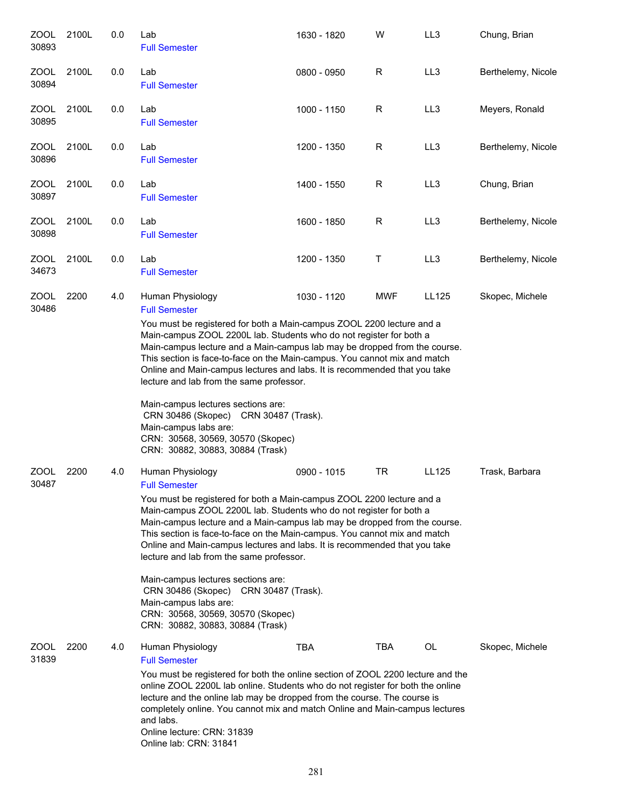| <b>ZOOL</b><br>30893 | 2100L | 0.0 | Lab<br><b>Full Semester</b>                                                                                                                                                                                                                                                                                                                                                                                                     | 1630 - 1820 | W          | LL3   | Chung, Brian       |
|----------------------|-------|-----|---------------------------------------------------------------------------------------------------------------------------------------------------------------------------------------------------------------------------------------------------------------------------------------------------------------------------------------------------------------------------------------------------------------------------------|-------------|------------|-------|--------------------|
| <b>ZOOL</b><br>30894 | 2100L | 0.0 | Lab<br><b>Full Semester</b>                                                                                                                                                                                                                                                                                                                                                                                                     | 0800 - 0950 | R          | LL3   | Berthelemy, Nicole |
| ZOOL<br>30895        | 2100L | 0.0 | Lab<br><b>Full Semester</b>                                                                                                                                                                                                                                                                                                                                                                                                     | 1000 - 1150 | R          | LL3   | Meyers, Ronald     |
| <b>ZOOL</b><br>30896 | 2100L | 0.0 | Lab<br><b>Full Semester</b>                                                                                                                                                                                                                                                                                                                                                                                                     | 1200 - 1350 | R          | LL3   | Berthelemy, Nicole |
| ZOOL<br>30897        | 2100L | 0.0 | Lab<br><b>Full Semester</b>                                                                                                                                                                                                                                                                                                                                                                                                     | 1400 - 1550 | R          | LL3   | Chung, Brian       |
| ZOOL<br>30898        | 2100L | 0.0 | Lab<br><b>Full Semester</b>                                                                                                                                                                                                                                                                                                                                                                                                     | 1600 - 1850 | R          | LL3   | Berthelemy, Nicole |
| <b>ZOOL</b><br>34673 | 2100L | 0.0 | Lab<br><b>Full Semester</b>                                                                                                                                                                                                                                                                                                                                                                                                     | 1200 - 1350 | Τ          | LL3   | Berthelemy, Nicole |
| ZOOL<br>30486        | 2200  | 4.0 | Human Physiology<br><b>Full Semester</b><br>You must be registered for both a Main-campus ZOOL 2200 lecture and a<br>Main-campus ZOOL 2200L lab. Students who do not register for both a                                                                                                                                                                                                                                        | 1030 - 1120 | <b>MWF</b> | LL125 | Skopec, Michele    |
|                      |       |     | Main-campus lecture and a Main-campus lab may be dropped from the course.<br>This section is face-to-face on the Main-campus. You cannot mix and match<br>Online and Main-campus lectures and labs. It is recommended that you take<br>lecture and lab from the same professor.                                                                                                                                                 |             |            |       |                    |
|                      |       |     | Main-campus lectures sections are:<br>CRN 30486 (Skopec) CRN 30487 (Trask).<br>Main-campus labs are:<br>CRN: 30568, 30569, 30570 (Skopec)<br>CRN: 30882, 30883, 30884 (Trask)                                                                                                                                                                                                                                                   |             |            |       |                    |
| <b>ZOOL</b><br>30487 | 2200  | 4.0 | Human Physiology<br><b>Full Semester</b>                                                                                                                                                                                                                                                                                                                                                                                        | 0900 - 1015 | TR         | LL125 | Trask, Barbara     |
|                      |       |     | You must be registered for both a Main-campus ZOOL 2200 lecture and a<br>Main-campus ZOOL 2200L lab. Students who do not register for both a<br>Main-campus lecture and a Main-campus lab may be dropped from the course.<br>This section is face-to-face on the Main-campus. You cannot mix and match<br>Online and Main-campus lectures and labs. It is recommended that you take<br>lecture and lab from the same professor. |             |            |       |                    |
|                      |       |     | Main-campus lectures sections are:<br>CRN 30486 (Skopec) CRN 30487 (Trask).<br>Main-campus labs are:<br>CRN: 30568, 30569, 30570 (Skopec)<br>CRN: 30882, 30883, 30884 (Trask)                                                                                                                                                                                                                                                   |             |            |       |                    |
| ZOOL<br>31839        | 2200  | 4.0 | Human Physiology<br><b>Full Semester</b>                                                                                                                                                                                                                                                                                                                                                                                        | <b>TBA</b>  | TBA        | OL    | Skopec, Michele    |
|                      |       |     | You must be registered for both the online section of ZOOL 2200 lecture and the<br>online ZOOL 2200L lab online. Students who do not register for both the online<br>lecture and the online lab may be dropped from the course. The course is<br>completely online. You cannot mix and match Online and Main-campus lectures<br>and labs.<br>Online lecture: CRN: 31839<br>Online lab: CRN: 31841                               |             |            |       |                    |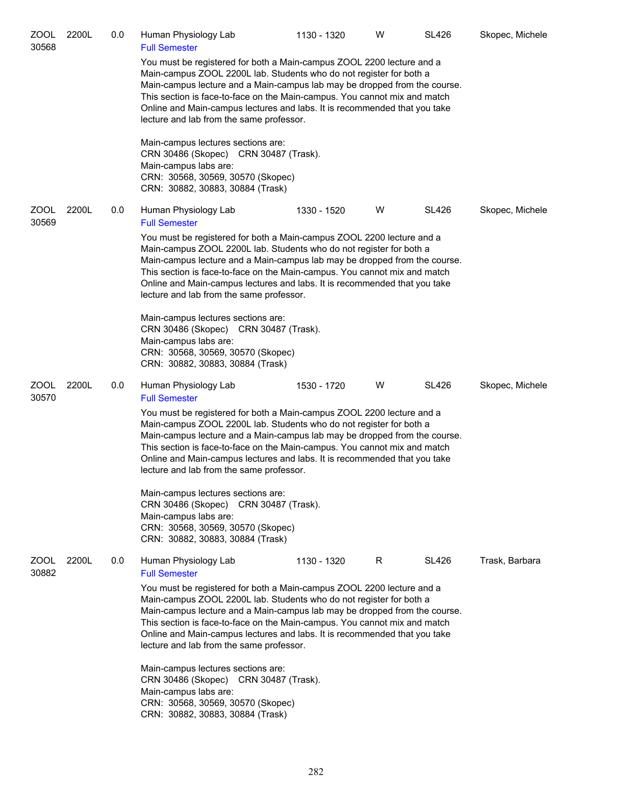| ZOOL<br>30568        | 2200L | 0.0 | Human Physiology Lab<br><b>Full Semester</b>                                                                                                                                                                                                                                                                                                                                                                                    | 1130 - 1320 | W  | <b>SL426</b> | Skopec, Michele |  |  |  |
|----------------------|-------|-----|---------------------------------------------------------------------------------------------------------------------------------------------------------------------------------------------------------------------------------------------------------------------------------------------------------------------------------------------------------------------------------------------------------------------------------|-------------|----|--------------|-----------------|--|--|--|
|                      |       |     | You must be registered for both a Main-campus ZOOL 2200 lecture and a<br>Main-campus ZOOL 2200L lab. Students who do not register for both a<br>Main-campus lecture and a Main-campus lab may be dropped from the course.<br>This section is face-to-face on the Main-campus. You cannot mix and match<br>Online and Main-campus lectures and labs. It is recommended that you take<br>lecture and lab from the same professor. |             |    |              |                 |  |  |  |
|                      |       |     | Main-campus lectures sections are:<br>CRN 30486 (Skopec) CRN 30487 (Trask).<br>Main-campus labs are:<br>CRN: 30568, 30569, 30570 (Skopec)<br>CRN: 30882, 30883, 30884 (Trask)                                                                                                                                                                                                                                                   |             |    |              |                 |  |  |  |
| ZOOL<br>30569        | 2200L | 0.0 | Human Physiology Lab<br><b>Full Semester</b>                                                                                                                                                                                                                                                                                                                                                                                    | 1330 - 1520 | W  | <b>SL426</b> | Skopec, Michele |  |  |  |
|                      |       |     | You must be registered for both a Main-campus ZOOL 2200 lecture and a<br>Main-campus ZOOL 2200L lab. Students who do not register for both a<br>Main-campus lecture and a Main-campus lab may be dropped from the course.<br>This section is face-to-face on the Main-campus. You cannot mix and match<br>Online and Main-campus lectures and labs. It is recommended that you take<br>lecture and lab from the same professor. |             |    |              |                 |  |  |  |
|                      |       |     | Main-campus lectures sections are:<br>CRN 30486 (Skopec) CRN 30487 (Trask).<br>Main-campus labs are:<br>CRN: 30568, 30569, 30570 (Skopec)<br>CRN: 30882, 30883, 30884 (Trask)                                                                                                                                                                                                                                                   |             |    |              |                 |  |  |  |
| <b>ZOOL</b><br>30570 | 2200L | 0.0 | Human Physiology Lab<br><b>Full Semester</b>                                                                                                                                                                                                                                                                                                                                                                                    | 1530 - 1720 | W  | <b>SL426</b> | Skopec, Michele |  |  |  |
|                      |       |     | You must be registered for both a Main-campus ZOOL 2200 lecture and a<br>Main-campus ZOOL 2200L lab. Students who do not register for both a<br>Main-campus lecture and a Main-campus lab may be dropped from the course.<br>This section is face-to-face on the Main-campus. You cannot mix and match<br>Online and Main-campus lectures and labs. It is recommended that you take<br>lecture and lab from the same professor. |             |    |              |                 |  |  |  |
|                      |       |     | Main-campus lectures sections are:<br>CRN 30486 (Skopec) CRN 30487 (Trask).<br>Main-campus labs are:<br>CRN: 30568, 30569, 30570 (Skopec)<br>CRN: 30882, 30883, 30884 (Trask)                                                                                                                                                                                                                                                   |             |    |              |                 |  |  |  |
| <b>ZOOL</b><br>30882 | 2200L | 0.0 | Human Physiology Lab<br><b>Full Semester</b>                                                                                                                                                                                                                                                                                                                                                                                    | 1130 - 1320 | R. | SL426        | Trask, Barbara  |  |  |  |
|                      |       |     | You must be registered for both a Main-campus ZOOL 2200 lecture and a<br>Main-campus ZOOL 2200L lab. Students who do not register for both a<br>Main-campus lecture and a Main-campus lab may be dropped from the course.<br>This section is face-to-face on the Main-campus. You cannot mix and match<br>Online and Main-campus lectures and labs. It is recommended that you take<br>lecture and lab from the same professor. |             |    |              |                 |  |  |  |
|                      |       |     | Main-campus lectures sections are:<br>CRN 30486 (Skopec) CRN 30487 (Trask).<br>Main-campus labs are:<br>CRN: 30568, 30569, 30570 (Skopec)<br>CRN: 30882, 30883, 30884 (Trask)                                                                                                                                                                                                                                                   |             |    |              |                 |  |  |  |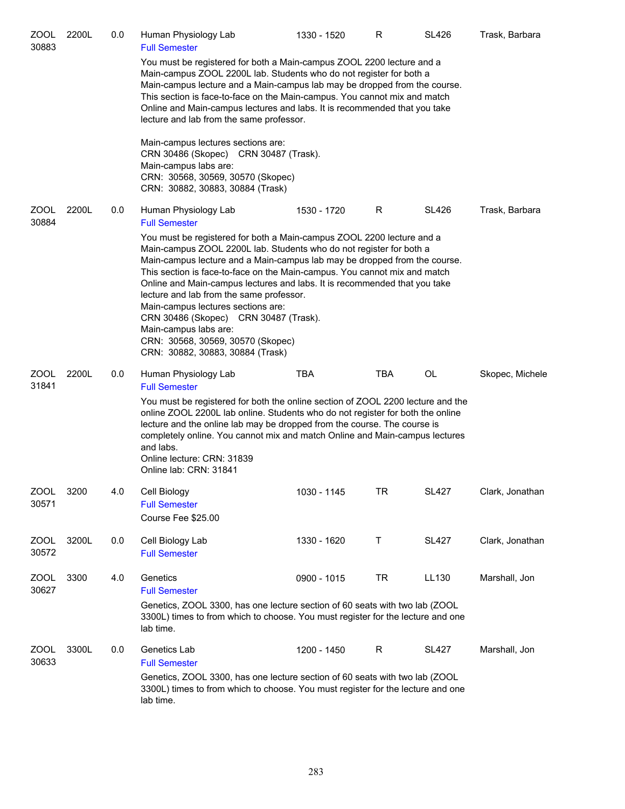| ZOOL<br>30883        | 2200L | 0.0 | Human Physiology Lab<br><b>Full Semester</b>                                                                                                                                                                                                                                                                                                                                                                                                                                                                                                                                                                     | 1330 - 1520 | R          | <b>SL426</b> | Trask, Barbara  |  |  |  |
|----------------------|-------|-----|------------------------------------------------------------------------------------------------------------------------------------------------------------------------------------------------------------------------------------------------------------------------------------------------------------------------------------------------------------------------------------------------------------------------------------------------------------------------------------------------------------------------------------------------------------------------------------------------------------------|-------------|------------|--------------|-----------------|--|--|--|
|                      |       |     | You must be registered for both a Main-campus ZOOL 2200 lecture and a<br>Main-campus ZOOL 2200L lab. Students who do not register for both a<br>Main-campus lecture and a Main-campus lab may be dropped from the course.<br>This section is face-to-face on the Main-campus. You cannot mix and match<br>Online and Main-campus lectures and labs. It is recommended that you take<br>lecture and lab from the same professor.                                                                                                                                                                                  |             |            |              |                 |  |  |  |
|                      |       |     | Main-campus lectures sections are:<br>CRN 30486 (Skopec) CRN 30487 (Trask).<br>Main-campus labs are:<br>CRN: 30568, 30569, 30570 (Skopec)<br>CRN: 30882, 30883, 30884 (Trask)                                                                                                                                                                                                                                                                                                                                                                                                                                    |             |            |              |                 |  |  |  |
| ZOOL<br>30884        | 2200L | 0.0 | Human Physiology Lab<br><b>Full Semester</b>                                                                                                                                                                                                                                                                                                                                                                                                                                                                                                                                                                     | 1530 - 1720 | R          | SL426        | Trask, Barbara  |  |  |  |
|                      |       |     | You must be registered for both a Main-campus ZOOL 2200 lecture and a<br>Main-campus ZOOL 2200L lab. Students who do not register for both a<br>Main-campus lecture and a Main-campus lab may be dropped from the course.<br>This section is face-to-face on the Main-campus. You cannot mix and match<br>Online and Main-campus lectures and labs. It is recommended that you take<br>lecture and lab from the same professor.<br>Main-campus lectures sections are:<br>CRN 30486 (Skopec) CRN 30487 (Trask).<br>Main-campus labs are:<br>CRN: 30568, 30569, 30570 (Skopec)<br>CRN: 30882, 30883, 30884 (Trask) |             |            |              |                 |  |  |  |
| ZOOL<br>31841        | 2200L | 0.0 | Human Physiology Lab<br><b>Full Semester</b>                                                                                                                                                                                                                                                                                                                                                                                                                                                                                                                                                                     | <b>TBA</b>  | <b>TBA</b> | <b>OL</b>    | Skopec, Michele |  |  |  |
|                      |       |     | You must be registered for both the online section of ZOOL 2200 lecture and the<br>online ZOOL 2200L lab online. Students who do not register for both the online<br>lecture and the online lab may be dropped from the course. The course is<br>completely online. You cannot mix and match Online and Main-campus lectures<br>and labs.<br>Online lecture: CRN: 31839<br>Online lab: CRN: 31841                                                                                                                                                                                                                |             |            |              |                 |  |  |  |
| <b>ZOOL</b><br>30571 | 3200  | 4.0 | Cell Biology<br><b>Full Semester</b><br>Course Fee \$25.00                                                                                                                                                                                                                                                                                                                                                                                                                                                                                                                                                       | 1030 - 1145 | <b>TR</b>  | <b>SL427</b> | Clark, Jonathan |  |  |  |
| <b>ZOOL</b><br>30572 | 3200L | 0.0 | Cell Biology Lab<br><b>Full Semester</b>                                                                                                                                                                                                                                                                                                                                                                                                                                                                                                                                                                         | 1330 - 1620 | Т          | <b>SL427</b> | Clark, Jonathan |  |  |  |
| <b>ZOOL</b><br>30627 | 3300  | 4.0 | Genetics<br><b>Full Semester</b>                                                                                                                                                                                                                                                                                                                                                                                                                                                                                                                                                                                 | 0900 - 1015 | <b>TR</b>  | LL130        | Marshall, Jon   |  |  |  |
|                      |       |     | Genetics, ZOOL 3300, has one lecture section of 60 seats with two lab (ZOOL<br>3300L) times to from which to choose. You must register for the lecture and one<br>lab time.                                                                                                                                                                                                                                                                                                                                                                                                                                      |             |            |              |                 |  |  |  |
| ZOOL<br>30633        | 3300L | 0.0 | Genetics Lab<br><b>Full Semester</b>                                                                                                                                                                                                                                                                                                                                                                                                                                                                                                                                                                             | 1200 - 1450 | R          | <b>SL427</b> | Marshall, Jon   |  |  |  |
|                      |       |     | Genetics, ZOOL 3300, has one lecture section of 60 seats with two lab (ZOOL<br>3300L) times to from which to choose. You must register for the lecture and one<br>lab time.                                                                                                                                                                                                                                                                                                                                                                                                                                      |             |            |              |                 |  |  |  |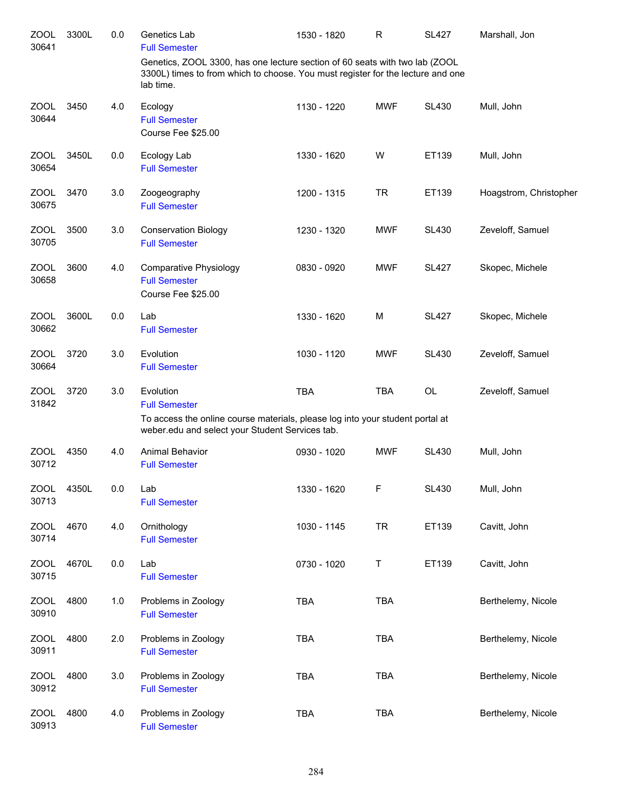| ZOOL<br>30641        | 3300L | 0.0   | Genetics Lab<br><b>Full Semester</b><br>Genetics, ZOOL 3300, has one lecture section of 60 seats with two lab (ZOOL<br>3300L) times to from which to choose. You must register for the lecture and one | 1530 - 1820 | $\mathsf R$ | <b>SL427</b> | Marshall, Jon          |
|----------------------|-------|-------|--------------------------------------------------------------------------------------------------------------------------------------------------------------------------------------------------------|-------------|-------------|--------------|------------------------|
|                      |       |       | lab time.                                                                                                                                                                                              |             |             |              |                        |
| <b>ZOOL</b><br>30644 | 3450  | 4.0   | Ecology<br><b>Full Semester</b><br>Course Fee \$25.00                                                                                                                                                  | 1130 - 1220 | <b>MWF</b>  | <b>SL430</b> | Mull, John             |
| <b>ZOOL</b><br>30654 | 3450L | 0.0   | Ecology Lab<br><b>Full Semester</b>                                                                                                                                                                    | 1330 - 1620 | W           | ET139        | Mull, John             |
| ZOOL<br>30675        | 3470  | 3.0   | Zoogeography<br><b>Full Semester</b>                                                                                                                                                                   | 1200 - 1315 | <b>TR</b>   | ET139        | Hoagstrom, Christopher |
| <b>ZOOL</b><br>30705 | 3500  | 3.0   | <b>Conservation Biology</b><br><b>Full Semester</b>                                                                                                                                                    | 1230 - 1320 | <b>MWF</b>  | <b>SL430</b> | Zeveloff, Samuel       |
| <b>ZOOL</b><br>30658 | 3600  | 4.0   | Comparative Physiology<br><b>Full Semester</b><br>Course Fee \$25.00                                                                                                                                   | 0830 - 0920 | <b>MWF</b>  | <b>SL427</b> | Skopec, Michele        |
| <b>ZOOL</b><br>30662 | 3600L | 0.0   | Lab<br><b>Full Semester</b>                                                                                                                                                                            | 1330 - 1620 | M           | <b>SL427</b> | Skopec, Michele        |
| <b>ZOOL</b><br>30664 | 3720  | 3.0   | Evolution<br><b>Full Semester</b>                                                                                                                                                                      | 1030 - 1120 | <b>MWF</b>  | <b>SL430</b> | Zeveloff, Samuel       |
| ZOOL<br>31842        | 3720  | 3.0   | Evolution<br><b>Full Semester</b><br>To access the online course materials, please log into your student portal at<br>weber.edu and select your Student Services tab.                                  | <b>TBA</b>  | <b>TBA</b>  | OL           | Zeveloff, Samuel       |
| ZOOL<br>30712        | 4350  | 4.0   | <b>Animal Behavior</b><br><b>Full Semester</b>                                                                                                                                                         | 0930 - 1020 | <b>MWF</b>  | <b>SL430</b> | Mull, John             |
| <b>ZOOL</b><br>30713 | 4350L | 0.0   | Lab<br><b>Full Semester</b>                                                                                                                                                                            | 1330 - 1620 | F           | <b>SL430</b> | Mull, John             |
| <b>ZOOL</b><br>30714 | 4670  | 4.0   | Ornithology<br><b>Full Semester</b>                                                                                                                                                                    | 1030 - 1145 | <b>TR</b>   | ET139        | Cavitt, John           |
| <b>ZOOL</b><br>30715 | 4670L | 0.0   | Lab<br><b>Full Semester</b>                                                                                                                                                                            | 0730 - 1020 | Τ           | ET139        | Cavitt, John           |
| <b>ZOOL</b><br>30910 | 4800  | $1.0$ | Problems in Zoology<br><b>Full Semester</b>                                                                                                                                                            | TBA         | <b>TBA</b>  |              | Berthelemy, Nicole     |
| <b>ZOOL</b><br>30911 | 4800  | 2.0   | Problems in Zoology<br><b>Full Semester</b>                                                                                                                                                            | <b>TBA</b>  | <b>TBA</b>  |              | Berthelemy, Nicole     |
| <b>ZOOL</b><br>30912 | 4800  | 3.0   | Problems in Zoology<br><b>Full Semester</b>                                                                                                                                                            | <b>TBA</b>  | <b>TBA</b>  |              | Berthelemy, Nicole     |
| <b>ZOOL</b><br>30913 | 4800  | 4.0   | Problems in Zoology<br><b>Full Semester</b>                                                                                                                                                            | <b>TBA</b>  | <b>TBA</b>  |              | Berthelemy, Nicole     |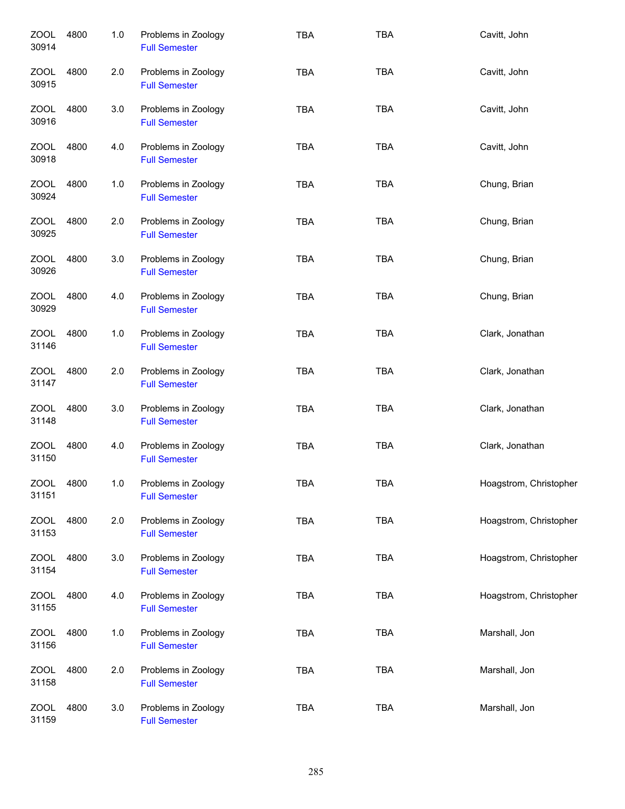| <b>ZOOL</b><br>30914 | 4800 | 1.0 | Problems in Zoology<br><b>Full Semester</b> | <b>TBA</b> | <b>TBA</b> | Cavitt, John           |
|----------------------|------|-----|---------------------------------------------|------------|------------|------------------------|
| ZOOL<br>30915        | 4800 | 2.0 | Problems in Zoology<br><b>Full Semester</b> | <b>TBA</b> | <b>TBA</b> | Cavitt, John           |
| ZOOL<br>30916        | 4800 | 3.0 | Problems in Zoology<br><b>Full Semester</b> | <b>TBA</b> | <b>TBA</b> | Cavitt, John           |
| <b>ZOOL</b><br>30918 | 4800 | 4.0 | Problems in Zoology<br><b>Full Semester</b> | <b>TBA</b> | <b>TBA</b> | Cavitt, John           |
| <b>ZOOL</b><br>30924 | 4800 | 1.0 | Problems in Zoology<br><b>Full Semester</b> | <b>TBA</b> | <b>TBA</b> | Chung, Brian           |
| <b>ZOOL</b><br>30925 | 4800 | 2.0 | Problems in Zoology<br><b>Full Semester</b> | <b>TBA</b> | <b>TBA</b> | Chung, Brian           |
| <b>ZOOL</b><br>30926 | 4800 | 3.0 | Problems in Zoology<br><b>Full Semester</b> | <b>TBA</b> | <b>TBA</b> | Chung, Brian           |
| ZOOL<br>30929        | 4800 | 4.0 | Problems in Zoology<br><b>Full Semester</b> | <b>TBA</b> | <b>TBA</b> | Chung, Brian           |
| <b>ZOOL</b><br>31146 | 4800 | 1.0 | Problems in Zoology<br><b>Full Semester</b> | <b>TBA</b> | <b>TBA</b> | Clark, Jonathan        |
| <b>ZOOL</b><br>31147 | 4800 | 2.0 | Problems in Zoology<br><b>Full Semester</b> | <b>TBA</b> | <b>TBA</b> | Clark, Jonathan        |
| <b>ZOOL</b><br>31148 | 4800 | 3.0 | Problems in Zoology<br><b>Full Semester</b> | <b>TBA</b> | <b>TBA</b> | Clark, Jonathan        |
| <b>ZOOL</b><br>31150 | 4800 | 4.0 | Problems in Zoology<br><b>Full Semester</b> | <b>TBA</b> | <b>TBA</b> | Clark, Jonathan        |
| ZOOL<br>31151        | 4800 | 1.0 | Problems in Zoology<br><b>Full Semester</b> | <b>TBA</b> | <b>TBA</b> | Hoagstrom, Christopher |
| <b>ZOOL</b><br>31153 | 4800 | 2.0 | Problems in Zoology<br><b>Full Semester</b> | <b>TBA</b> | <b>TBA</b> | Hoagstrom, Christopher |
| <b>ZOOL</b><br>31154 | 4800 | 3.0 | Problems in Zoology<br><b>Full Semester</b> | <b>TBA</b> | <b>TBA</b> | Hoagstrom, Christopher |
| <b>ZOOL</b><br>31155 | 4800 | 4.0 | Problems in Zoology<br><b>Full Semester</b> | <b>TBA</b> | <b>TBA</b> | Hoagstrom, Christopher |
| <b>ZOOL</b><br>31156 | 4800 | 1.0 | Problems in Zoology<br><b>Full Semester</b> | <b>TBA</b> | <b>TBA</b> | Marshall, Jon          |
| <b>ZOOL</b><br>31158 | 4800 | 2.0 | Problems in Zoology<br><b>Full Semester</b> | <b>TBA</b> | <b>TBA</b> | Marshall, Jon          |
| <b>ZOOL</b><br>31159 | 4800 | 3.0 | Problems in Zoology<br><b>Full Semester</b> | <b>TBA</b> | <b>TBA</b> | Marshall, Jon          |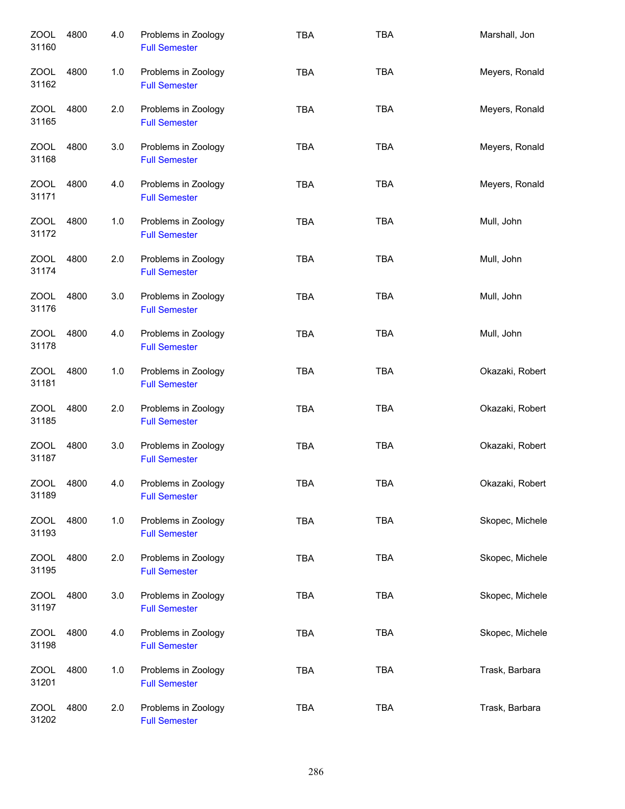| ZOOL<br>31160        | 4800 | 4.0 | Problems in Zoology<br><b>Full Semester</b> | <b>TBA</b> | <b>TBA</b> | Marshall, Jon   |
|----------------------|------|-----|---------------------------------------------|------------|------------|-----------------|
| ZOOL<br>31162        | 4800 | 1.0 | Problems in Zoology<br><b>Full Semester</b> | <b>TBA</b> | <b>TBA</b> | Meyers, Ronald  |
| ZOOL<br>31165        | 4800 | 2.0 | Problems in Zoology<br><b>Full Semester</b> | <b>TBA</b> | <b>TBA</b> | Meyers, Ronald  |
| ZOOL<br>31168        | 4800 | 3.0 | Problems in Zoology<br><b>Full Semester</b> | <b>TBA</b> | <b>TBA</b> | Meyers, Ronald  |
| ZOOL<br>31171        | 4800 | 4.0 | Problems in Zoology<br><b>Full Semester</b> | <b>TBA</b> | <b>TBA</b> | Meyers, Ronald  |
| <b>ZOOL</b><br>31172 | 4800 | 1.0 | Problems in Zoology<br><b>Full Semester</b> | <b>TBA</b> | <b>TBA</b> | Mull, John      |
| <b>ZOOL</b><br>31174 | 4800 | 2.0 | Problems in Zoology<br><b>Full Semester</b> | <b>TBA</b> | <b>TBA</b> | Mull, John      |
| <b>ZOOL</b><br>31176 | 4800 | 3.0 | Problems in Zoology<br><b>Full Semester</b> | <b>TBA</b> | <b>TBA</b> | Mull, John      |
| <b>ZOOL</b><br>31178 | 4800 | 4.0 | Problems in Zoology<br><b>Full Semester</b> | <b>TBA</b> | <b>TBA</b> | Mull, John      |
| <b>ZOOL</b><br>31181 | 4800 | 1.0 | Problems in Zoology<br><b>Full Semester</b> | <b>TBA</b> | <b>TBA</b> | Okazaki, Robert |
| <b>ZOOL</b><br>31185 | 4800 | 2.0 | Problems in Zoology<br><b>Full Semester</b> | <b>TBA</b> | <b>TBA</b> | Okazaki, Robert |
| <b>ZOOL</b><br>31187 | 4800 | 3.0 | Problems in Zoology<br><b>Full Semester</b> | <b>TBA</b> | <b>TBA</b> | Okazaki, Robert |
| <b>ZOOL</b><br>31189 | 4800 | 4.0 | Problems in Zoology<br><b>Full Semester</b> | TBA        | TBA        | Okazaki, Robert |
| <b>ZOOL</b><br>31193 | 4800 | 1.0 | Problems in Zoology<br><b>Full Semester</b> | <b>TBA</b> | <b>TBA</b> | Skopec, Michele |
| ZOOL<br>31195        | 4800 | 2.0 | Problems in Zoology<br><b>Full Semester</b> | <b>TBA</b> | <b>TBA</b> | Skopec, Michele |
| <b>ZOOL</b><br>31197 | 4800 | 3.0 | Problems in Zoology<br><b>Full Semester</b> | <b>TBA</b> | <b>TBA</b> | Skopec, Michele |
| ZOOL<br>31198        | 4800 | 4.0 | Problems in Zoology<br><b>Full Semester</b> | <b>TBA</b> | <b>TBA</b> | Skopec, Michele |
| <b>ZOOL</b><br>31201 | 4800 | 1.0 | Problems in Zoology<br><b>Full Semester</b> | <b>TBA</b> | <b>TBA</b> | Trask, Barbara  |
| <b>ZOOL</b><br>31202 | 4800 | 2.0 | Problems in Zoology<br><b>Full Semester</b> | <b>TBA</b> | <b>TBA</b> | Trask, Barbara  |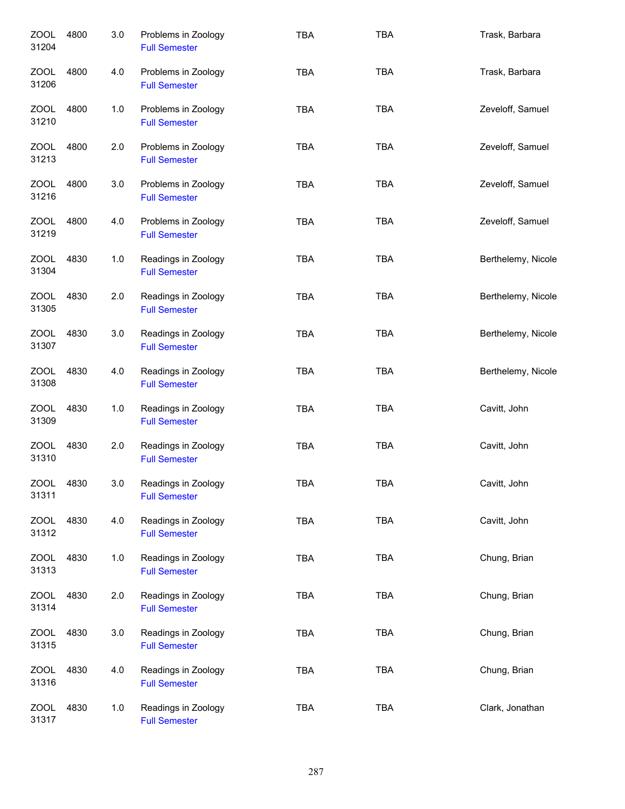| ZOOL<br>31204        | 4800 | 3.0 | Problems in Zoology<br><b>Full Semester</b> | <b>TBA</b> | <b>TBA</b> | Trask, Barbara     |
|----------------------|------|-----|---------------------------------------------|------------|------------|--------------------|
| ZOOL<br>31206        | 4800 | 4.0 | Problems in Zoology<br><b>Full Semester</b> | <b>TBA</b> | <b>TBA</b> | Trask, Barbara     |
| ZOOL<br>31210        | 4800 | 1.0 | Problems in Zoology<br><b>Full Semester</b> | <b>TBA</b> | <b>TBA</b> | Zeveloff, Samuel   |
| ZOOL<br>31213        | 4800 | 2.0 | Problems in Zoology<br><b>Full Semester</b> | <b>TBA</b> | <b>TBA</b> | Zeveloff, Samuel   |
| ZOOL<br>31216        | 4800 | 3.0 | Problems in Zoology<br><b>Full Semester</b> | <b>TBA</b> | <b>TBA</b> | Zeveloff, Samuel   |
| <b>ZOOL</b><br>31219 | 4800 | 4.0 | Problems in Zoology<br><b>Full Semester</b> | <b>TBA</b> | <b>TBA</b> | Zeveloff, Samuel   |
| <b>ZOOL</b><br>31304 | 4830 | 1.0 | Readings in Zoology<br><b>Full Semester</b> | <b>TBA</b> | <b>TBA</b> | Berthelemy, Nicole |
| <b>ZOOL</b><br>31305 | 4830 | 2.0 | Readings in Zoology<br><b>Full Semester</b> | <b>TBA</b> | <b>TBA</b> | Berthelemy, Nicole |
| ZOOL<br>31307        | 4830 | 3.0 | Readings in Zoology<br><b>Full Semester</b> | <b>TBA</b> | <b>TBA</b> | Berthelemy, Nicole |
| <b>ZOOL</b><br>31308 | 4830 | 4.0 | Readings in Zoology<br><b>Full Semester</b> | <b>TBA</b> | <b>TBA</b> | Berthelemy, Nicole |
| <b>ZOOL</b><br>31309 | 4830 | 1.0 | Readings in Zoology<br><b>Full Semester</b> | <b>TBA</b> | <b>TBA</b> | Cavitt, John       |
| <b>ZOOL</b><br>31310 | 4830 | 2.0 | Readings in Zoology<br><b>Full Semester</b> | <b>TBA</b> | <b>TBA</b> | Cavitt, John       |
| ZOOL<br>31311        | 4830 | 3.0 | Readings in Zoology<br><b>Full Semester</b> | TBA        | <b>TBA</b> | Cavitt, John       |
| <b>ZOOL</b><br>31312 | 4830 | 4.0 | Readings in Zoology<br><b>Full Semester</b> | <b>TBA</b> | <b>TBA</b> | Cavitt, John       |
| <b>ZOOL</b><br>31313 | 4830 | 1.0 | Readings in Zoology<br><b>Full Semester</b> | TBA        | <b>TBA</b> | Chung, Brian       |
| <b>ZOOL</b><br>31314 | 4830 | 2.0 | Readings in Zoology<br><b>Full Semester</b> | <b>TBA</b> | TBA        | Chung, Brian       |
| <b>ZOOL</b><br>31315 | 4830 | 3.0 | Readings in Zoology<br><b>Full Semester</b> | <b>TBA</b> | <b>TBA</b> | Chung, Brian       |
| ZOOL<br>31316        | 4830 | 4.0 | Readings in Zoology<br><b>Full Semester</b> | <b>TBA</b> | <b>TBA</b> | Chung, Brian       |
| <b>ZOOL</b><br>31317 | 4830 | 1.0 | Readings in Zoology<br><b>Full Semester</b> | <b>TBA</b> | <b>TBA</b> | Clark, Jonathan    |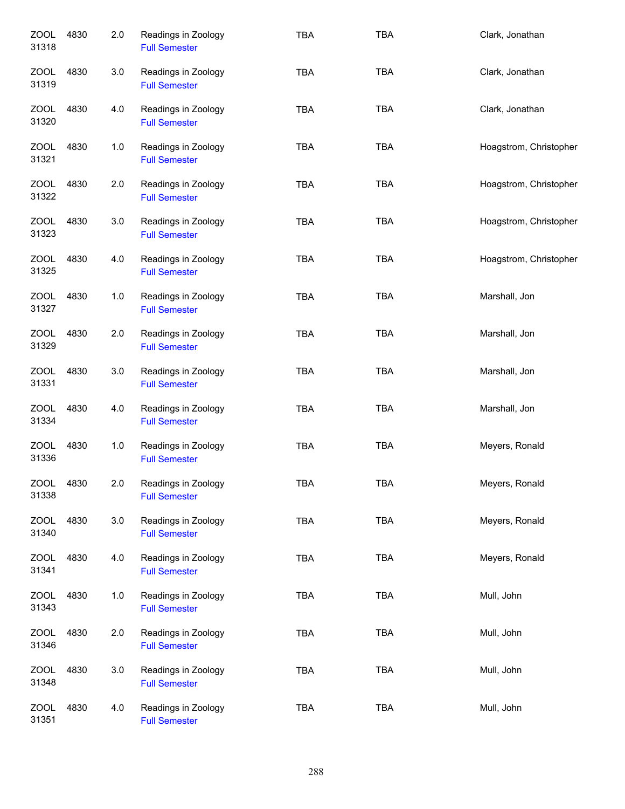| <b>ZOOL</b><br>31318 | 4830 | 2.0 | Readings in Zoology<br><b>Full Semester</b> | <b>TBA</b> | <b>TBA</b> | Clark, Jonathan        |
|----------------------|------|-----|---------------------------------------------|------------|------------|------------------------|
| ZOOL<br>31319        | 4830 | 3.0 | Readings in Zoology<br><b>Full Semester</b> | <b>TBA</b> | <b>TBA</b> | Clark, Jonathan        |
| ZOOL<br>31320        | 4830 | 4.0 | Readings in Zoology<br><b>Full Semester</b> | <b>TBA</b> | <b>TBA</b> | Clark, Jonathan        |
| ZOOL<br>31321        | 4830 | 1.0 | Readings in Zoology<br><b>Full Semester</b> | <b>TBA</b> | <b>TBA</b> | Hoagstrom, Christopher |
| ZOOL<br>31322        | 4830 | 2.0 | Readings in Zoology<br><b>Full Semester</b> | <b>TBA</b> | <b>TBA</b> | Hoagstrom, Christopher |
| ZOOL<br>31323        | 4830 | 3.0 | Readings in Zoology<br><b>Full Semester</b> | <b>TBA</b> | <b>TBA</b> | Hoagstrom, Christopher |
| <b>ZOOL</b><br>31325 | 4830 | 4.0 | Readings in Zoology<br><b>Full Semester</b> | <b>TBA</b> | <b>TBA</b> | Hoagstrom, Christopher |
| <b>ZOOL</b><br>31327 | 4830 | 1.0 | Readings in Zoology<br><b>Full Semester</b> | <b>TBA</b> | <b>TBA</b> | Marshall, Jon          |
| <b>ZOOL</b><br>31329 | 4830 | 2.0 | Readings in Zoology<br><b>Full Semester</b> | <b>TBA</b> | <b>TBA</b> | Marshall, Jon          |
| <b>ZOOL</b><br>31331 | 4830 | 3.0 | Readings in Zoology<br><b>Full Semester</b> | <b>TBA</b> | <b>TBA</b> | Marshall, Jon          |
| <b>ZOOL</b><br>31334 | 4830 | 4.0 | Readings in Zoology<br><b>Full Semester</b> | <b>TBA</b> | <b>TBA</b> | Marshall, Jon          |
| <b>ZOOL</b><br>31336 | 4830 | 1.0 | Readings in Zoology<br><b>Full Semester</b> | <b>TBA</b> | <b>TBA</b> | Meyers, Ronald         |
| <b>ZOOL</b><br>31338 | 4830 | 2.0 | Readings in Zoology<br><b>Full Semester</b> | <b>TBA</b> | <b>TBA</b> | Meyers, Ronald         |
| <b>ZOOL</b><br>31340 | 4830 | 3.0 | Readings in Zoology<br><b>Full Semester</b> | TBA        | <b>TBA</b> | Meyers, Ronald         |
| <b>ZOOL</b><br>31341 | 4830 | 4.0 | Readings in Zoology<br><b>Full Semester</b> | <b>TBA</b> | TBA        | Meyers, Ronald         |
| <b>ZOOL</b><br>31343 | 4830 | 1.0 | Readings in Zoology<br><b>Full Semester</b> | TBA        | TBA        | Mull, John             |
| <b>ZOOL</b><br>31346 | 4830 | 2.0 | Readings in Zoology<br><b>Full Semester</b> | <b>TBA</b> | TBA        | Mull, John             |
| <b>ZOOL</b><br>31348 | 4830 | 3.0 | Readings in Zoology<br><b>Full Semester</b> | <b>TBA</b> | TBA        | Mull, John             |
| <b>ZOOL</b><br>31351 | 4830 | 4.0 | Readings in Zoology<br><b>Full Semester</b> | TBA        | TBA        | Mull, John             |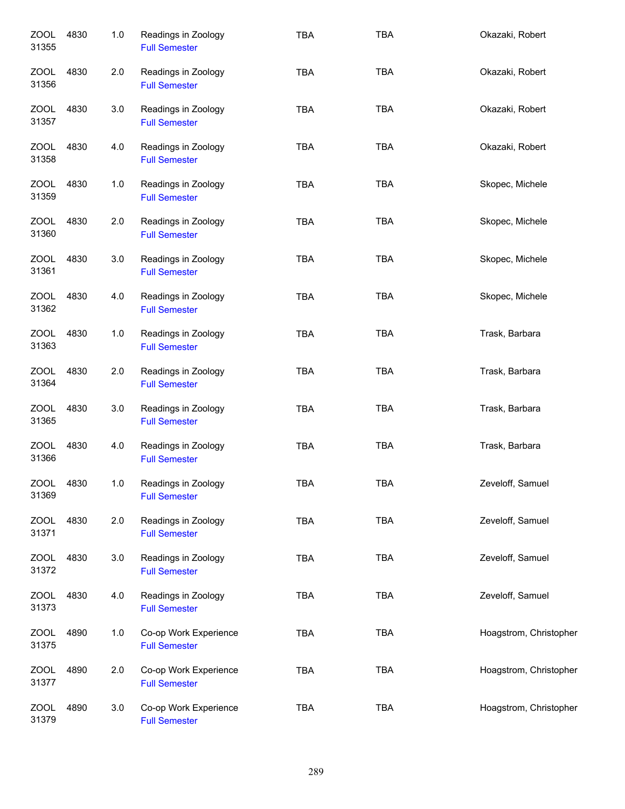| <b>ZOOL</b><br>31355 | 4830 | 1.0 | Readings in Zoology<br><b>Full Semester</b>   | <b>TBA</b> | <b>TBA</b> | Okazaki, Robert        |
|----------------------|------|-----|-----------------------------------------------|------------|------------|------------------------|
| ZOOL<br>31356        | 4830 | 2.0 | Readings in Zoology<br><b>Full Semester</b>   | <b>TBA</b> | <b>TBA</b> | Okazaki, Robert        |
| ZOOL<br>31357        | 4830 | 3.0 | Readings in Zoology<br><b>Full Semester</b>   | <b>TBA</b> | <b>TBA</b> | Okazaki, Robert        |
| ZOOL<br>31358        | 4830 | 4.0 | Readings in Zoology<br><b>Full Semester</b>   | <b>TBA</b> | <b>TBA</b> | Okazaki, Robert        |
| <b>ZOOL</b><br>31359 | 4830 | 1.0 | Readings in Zoology<br><b>Full Semester</b>   | <b>TBA</b> | <b>TBA</b> | Skopec, Michele        |
| <b>ZOOL</b><br>31360 | 4830 | 2.0 | Readings in Zoology<br><b>Full Semester</b>   | <b>TBA</b> | <b>TBA</b> | Skopec, Michele        |
| <b>ZOOL</b><br>31361 | 4830 | 3.0 | Readings in Zoology<br><b>Full Semester</b>   | <b>TBA</b> | <b>TBA</b> | Skopec, Michele        |
| <b>ZOOL</b><br>31362 | 4830 | 4.0 | Readings in Zoology<br><b>Full Semester</b>   | <b>TBA</b> | <b>TBA</b> | Skopec, Michele        |
| <b>ZOOL</b><br>31363 | 4830 | 1.0 | Readings in Zoology<br><b>Full Semester</b>   | <b>TBA</b> | <b>TBA</b> | Trask, Barbara         |
| <b>ZOOL</b><br>31364 | 4830 | 2.0 | Readings in Zoology<br><b>Full Semester</b>   | <b>TBA</b> | <b>TBA</b> | Trask, Barbara         |
| <b>ZOOL</b><br>31365 | 4830 | 3.0 | Readings in Zoology<br><b>Full Semester</b>   | <b>TBA</b> | <b>TBA</b> | Trask, Barbara         |
| <b>ZOOL</b><br>31366 | 4830 | 4.0 | Readings in Zoology<br><b>Full Semester</b>   | <b>TBA</b> | <b>TBA</b> | Trask, Barbara         |
| ZOOL<br>31369        | 4830 | 1.0 | Readings in Zoology<br><b>Full Semester</b>   | <b>TBA</b> | <b>TBA</b> | Zeveloff, Samuel       |
| ZOOL<br>31371        | 4830 | 2.0 | Readings in Zoology<br><b>Full Semester</b>   | <b>TBA</b> | <b>TBA</b> | Zeveloff, Samuel       |
| <b>ZOOL</b><br>31372 | 4830 | 3.0 | Readings in Zoology<br><b>Full Semester</b>   | TBA        | <b>TBA</b> | Zeveloff, Samuel       |
| ZOOL<br>31373        | 4830 | 4.0 | Readings in Zoology<br><b>Full Semester</b>   | <b>TBA</b> | <b>TBA</b> | Zeveloff, Samuel       |
| <b>ZOOL</b><br>31375 | 4890 | 1.0 | Co-op Work Experience<br><b>Full Semester</b> | <b>TBA</b> | <b>TBA</b> | Hoagstrom, Christopher |
| <b>ZOOL</b><br>31377 | 4890 | 2.0 | Co-op Work Experience<br><b>Full Semester</b> | <b>TBA</b> | <b>TBA</b> | Hoagstrom, Christopher |
| <b>ZOOL</b><br>31379 | 4890 | 3.0 | Co-op Work Experience<br><b>Full Semester</b> | <b>TBA</b> | <b>TBA</b> | Hoagstrom, Christopher |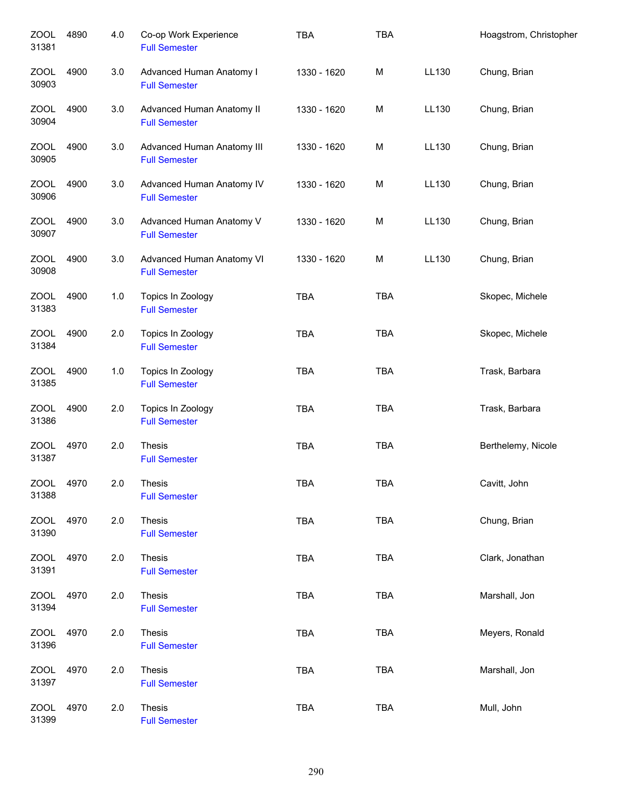| <b>ZOOL</b><br>31381 | 4890 | 4.0     | Co-op Work Experience<br><b>Full Semester</b>      | <b>TBA</b>  | <b>TBA</b> |       | Hoagstrom, Christopher |
|----------------------|------|---------|----------------------------------------------------|-------------|------------|-------|------------------------|
| <b>ZOOL</b><br>30903 | 4900 | 3.0     | Advanced Human Anatomy I<br><b>Full Semester</b>   | 1330 - 1620 | M          | LL130 | Chung, Brian           |
| <b>ZOOL</b><br>30904 | 4900 | 3.0     | Advanced Human Anatomy II<br><b>Full Semester</b>  | 1330 - 1620 | M          | LL130 | Chung, Brian           |
| ZOOL<br>30905        | 4900 | $3.0\,$ | Advanced Human Anatomy III<br><b>Full Semester</b> | 1330 - 1620 | M          | LL130 | Chung, Brian           |
| <b>ZOOL</b><br>30906 | 4900 | 3.0     | Advanced Human Anatomy IV<br><b>Full Semester</b>  | 1330 - 1620 | M          | LL130 | Chung, Brian           |
| <b>ZOOL</b><br>30907 | 4900 | 3.0     | Advanced Human Anatomy V<br><b>Full Semester</b>   | 1330 - 1620 | M          | LL130 | Chung, Brian           |
| <b>ZOOL</b><br>30908 | 4900 | 3.0     | Advanced Human Anatomy VI<br><b>Full Semester</b>  | 1330 - 1620 | M          | LL130 | Chung, Brian           |
| <b>ZOOL</b><br>31383 | 4900 | 1.0     | Topics In Zoology<br><b>Full Semester</b>          | <b>TBA</b>  | <b>TBA</b> |       | Skopec, Michele        |
| <b>ZOOL</b><br>31384 | 4900 | 2.0     | Topics In Zoology<br><b>Full Semester</b>          | <b>TBA</b>  | <b>TBA</b> |       | Skopec, Michele        |
| <b>ZOOL</b><br>31385 | 4900 | 1.0     | Topics In Zoology<br><b>Full Semester</b>          | TBA         | <b>TBA</b> |       | Trask, Barbara         |
| <b>ZOOL</b><br>31386 | 4900 | 2.0     | Topics In Zoology<br><b>Full Semester</b>          | <b>TBA</b>  | <b>TBA</b> |       | Trask, Barbara         |
| <b>ZOOL</b><br>31387 | 4970 | 2.0     | Thesis<br><b>Full Semester</b>                     | <b>TBA</b>  | <b>TBA</b> |       | Berthelemy, Nicole     |
| <b>ZOOL</b><br>31388 | 4970 | 2.0     | Thesis<br><b>Full Semester</b>                     | <b>TBA</b>  | <b>TBA</b> |       | Cavitt, John           |
| ZOOL<br>31390        | 4970 | 2.0     | Thesis<br><b>Full Semester</b>                     | <b>TBA</b>  | <b>TBA</b> |       | Chung, Brian           |
| <b>ZOOL</b><br>31391 | 4970 | 2.0     | <b>Thesis</b><br><b>Full Semester</b>              | <b>TBA</b>  | <b>TBA</b> |       | Clark, Jonathan        |
| <b>ZOOL</b><br>31394 | 4970 | 2.0     | <b>Thesis</b><br><b>Full Semester</b>              | <b>TBA</b>  | <b>TBA</b> |       | Marshall, Jon          |
| <b>ZOOL</b><br>31396 | 4970 | 2.0     | Thesis<br><b>Full Semester</b>                     | <b>TBA</b>  | <b>TBA</b> |       | Meyers, Ronald         |
| <b>ZOOL</b><br>31397 | 4970 | 2.0     | Thesis<br><b>Full Semester</b>                     | <b>TBA</b>  | <b>TBA</b> |       | Marshall, Jon          |
| <b>ZOOL</b><br>31399 | 4970 | 2.0     | Thesis<br><b>Full Semester</b>                     | <b>TBA</b>  | <b>TBA</b> |       | Mull, John             |